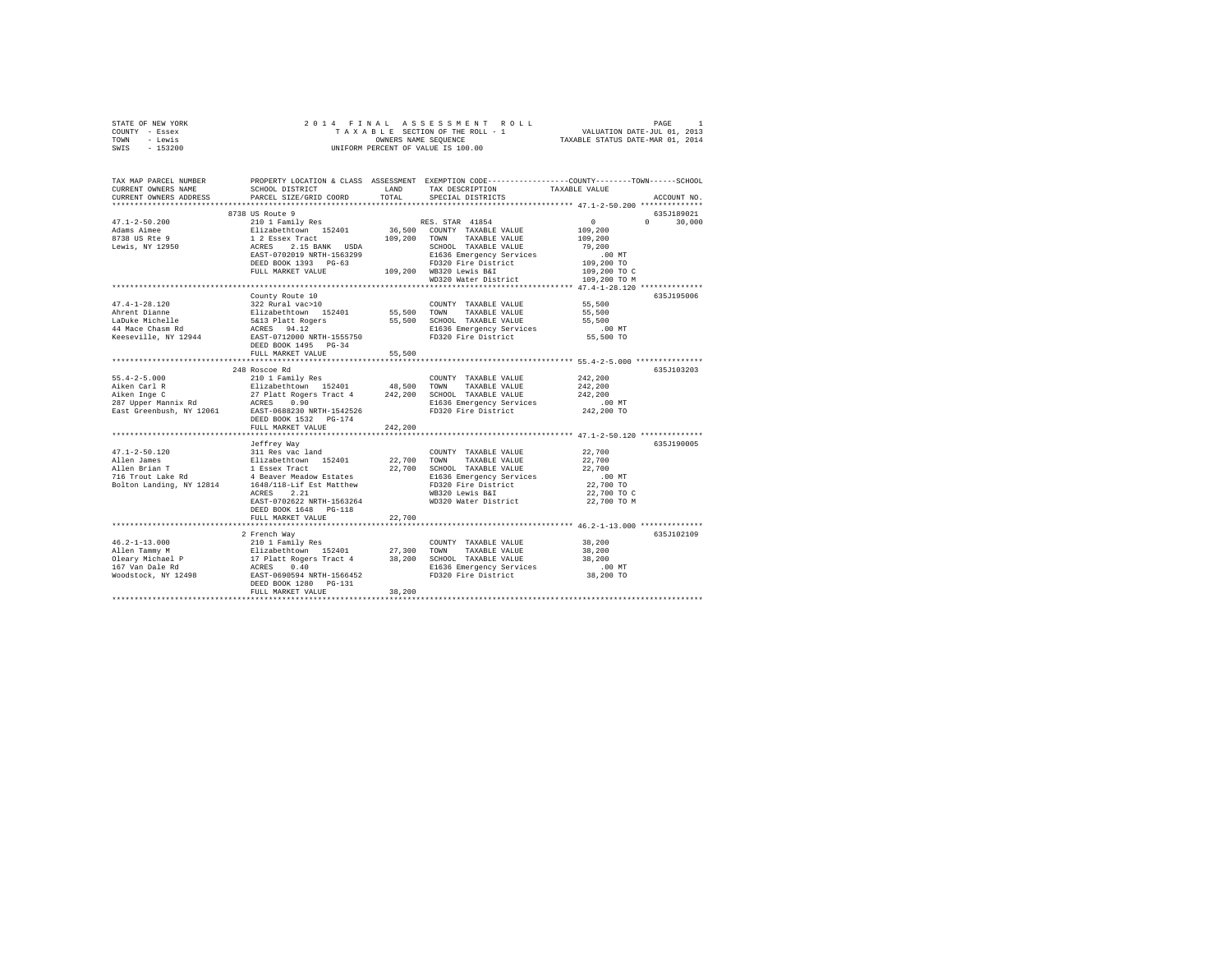| STATE OF NEW YORK                                                                                                                                                                                                                                                                                                                                                                   |                           |         |                                                                                                                                                                                                                                                                                                                                                                                                                                  |                                                                                                                                                                                                                   |  |
|-------------------------------------------------------------------------------------------------------------------------------------------------------------------------------------------------------------------------------------------------------------------------------------------------------------------------------------------------------------------------------------|---------------------------|---------|----------------------------------------------------------------------------------------------------------------------------------------------------------------------------------------------------------------------------------------------------------------------------------------------------------------------------------------------------------------------------------------------------------------------------------|-------------------------------------------------------------------------------------------------------------------------------------------------------------------------------------------------------------------|--|
| COUNTY - Essex                                                                                                                                                                                                                                                                                                                                                                      |                           |         |                                                                                                                                                                                                                                                                                                                                                                                                                                  |                                                                                                                                                                                                                   |  |
| TOWN - Lewis                                                                                                                                                                                                                                                                                                                                                                        |                           |         |                                                                                                                                                                                                                                                                                                                                                                                                                                  |                                                                                                                                                                                                                   |  |
| SWIS - 153200                                                                                                                                                                                                                                                                                                                                                                       |                           |         |                                                                                                                                                                                                                                                                                                                                                                                                                                  |                                                                                                                                                                                                                   |  |
|                                                                                                                                                                                                                                                                                                                                                                                     |                           |         |                                                                                                                                                                                                                                                                                                                                                                                                                                  |                                                                                                                                                                                                                   |  |
|                                                                                                                                                                                                                                                                                                                                                                                     |                           |         |                                                                                                                                                                                                                                                                                                                                                                                                                                  |                                                                                                                                                                                                                   |  |
|                                                                                                                                                                                                                                                                                                                                                                                     |                           |         |                                                                                                                                                                                                                                                                                                                                                                                                                                  |                                                                                                                                                                                                                   |  |
|                                                                                                                                                                                                                                                                                                                                                                                     |                           |         |                                                                                                                                                                                                                                                                                                                                                                                                                                  | TAX MAP PARCEL NUMBER     PROPERTY LOCATION & CLASS ASSESSMENT EXEMPTION CODE---------------COUNTY-------TOWN------SCHOOL<br>CURRENT OWNERS NAME     SCHOOL DISTRICT     LAND   TAX DESCRIPTION     TAXABLE VALUE |  |
|                                                                                                                                                                                                                                                                                                                                                                                     |                           |         | TAX DESCRIPTION TAXABLE VALUE                                                                                                                                                                                                                                                                                                                                                                                                    |                                                                                                                                                                                                                   |  |
| CURRENT OWNERS ADDRESS                                                                                                                                                                                                                                                                                                                                                              | PARCEL SIZE/GRID COORD    | TOTAL   | SPECIAL DISTRICTS                                                                                                                                                                                                                                                                                                                                                                                                                | ACCOUNT NO.                                                                                                                                                                                                       |  |
|                                                                                                                                                                                                                                                                                                                                                                                     |                           |         |                                                                                                                                                                                                                                                                                                                                                                                                                                  |                                                                                                                                                                                                                   |  |
|                                                                                                                                                                                                                                                                                                                                                                                     |                           |         |                                                                                                                                                                                                                                                                                                                                                                                                                                  | 635J189021                                                                                                                                                                                                        |  |
| $47.1 - 2 - 50.200$                                                                                                                                                                                                                                                                                                                                                                 |                           |         |                                                                                                                                                                                                                                                                                                                                                                                                                                  | $0 \t 30,000$                                                                                                                                                                                                     |  |
| Adams Aimee                                                                                                                                                                                                                                                                                                                                                                         |                           |         |                                                                                                                                                                                                                                                                                                                                                                                                                                  |                                                                                                                                                                                                                   |  |
|                                                                                                                                                                                                                                                                                                                                                                                     |                           |         |                                                                                                                                                                                                                                                                                                                                                                                                                                  |                                                                                                                                                                                                                   |  |
| 8738 US Rte 9<br>Lewis, NY 12950                                                                                                                                                                                                                                                                                                                                                    |                           |         |                                                                                                                                                                                                                                                                                                                                                                                                                                  |                                                                                                                                                                                                                   |  |
|                                                                                                                                                                                                                                                                                                                                                                                     |                           |         |                                                                                                                                                                                                                                                                                                                                                                                                                                  |                                                                                                                                                                                                                   |  |
|                                                                                                                                                                                                                                                                                                                                                                                     |                           |         |                                                                                                                                                                                                                                                                                                                                                                                                                                  |                                                                                                                                                                                                                   |  |
|                                                                                                                                                                                                                                                                                                                                                                                     |                           |         |                                                                                                                                                                                                                                                                                                                                                                                                                                  |                                                                                                                                                                                                                   |  |
|                                                                                                                                                                                                                                                                                                                                                                                     |                           |         |                                                                                                                                                                                                                                                                                                                                                                                                                                  |                                                                                                                                                                                                                   |  |
|                                                                                                                                                                                                                                                                                                                                                                                     |                           |         |                                                                                                                                                                                                                                                                                                                                                                                                                                  |                                                                                                                                                                                                                   |  |
|                                                                                                                                                                                                                                                                                                                                                                                     |                           |         | $\begin{tabular}{c c c c c c c c c} \multicolumn{1}{c}{\textbf{8738 US Route 9}} & \multicolumn{1}{c}{\textbf{8738 US Route 9}} & \multicolumn{1}{c}{\textbf{8738 US Route 9}} & \multicolumn{1}{c}{\textbf{8738 US Route 9}} & \multicolumn{1}{c}{\textbf{8738 US Route 152401}} & \multicolumn{1}{c}{\textbf{8738 CS IS CIVR}} & \multicolumn{1}{c}{\textbf{197.200}} & \multicolumn{1}{c}{\textbf{197.200}} & \multicolumn{1$ |                                                                                                                                                                                                                   |  |
|                                                                                                                                                                                                                                                                                                                                                                                     | County Route 10           |         |                                                                                                                                                                                                                                                                                                                                                                                                                                  | 635J195006                                                                                                                                                                                                        |  |
| $47.4 - 1 - 28.120$                                                                                                                                                                                                                                                                                                                                                                 | 322 Rural vac>10          |         | COUNTY TAXABLE VALUE<br>55,500 TOWN TAXABLE VALUE<br>COUNTY TAXABLE VALUE 55,500                                                                                                                                                                                                                                                                                                                                                 |                                                                                                                                                                                                                   |  |
| Ahrent Dianne<br>Ahrent Dianne<br>LaDuke Michelle<br>44 Mace Chasm Rd<br>Keeseville, NY 12944                                                                                                                                                                                                                                                                                       |                           |         | 912 Aurai 1921 - 1921 123401 12401 12401 12402 12402 12402 12402 12402 12402 12402 12402 12402 12402 12402 124<br>1920 12402 12402 12402 12402 12402 12402 12402 12402 12402 12402 12402 12402 12402 12402 12402 12402 12402 124                                                                                                                                                                                                 |                                                                                                                                                                                                                   |  |
|                                                                                                                                                                                                                                                                                                                                                                                     |                           |         |                                                                                                                                                                                                                                                                                                                                                                                                                                  |                                                                                                                                                                                                                   |  |
|                                                                                                                                                                                                                                                                                                                                                                                     |                           |         |                                                                                                                                                                                                                                                                                                                                                                                                                                  |                                                                                                                                                                                                                   |  |
|                                                                                                                                                                                                                                                                                                                                                                                     |                           |         |                                                                                                                                                                                                                                                                                                                                                                                                                                  |                                                                                                                                                                                                                   |  |
|                                                                                                                                                                                                                                                                                                                                                                                     |                           |         |                                                                                                                                                                                                                                                                                                                                                                                                                                  |                                                                                                                                                                                                                   |  |
|                                                                                                                                                                                                                                                                                                                                                                                     | FULL MARKET VALUE         | 55,500  |                                                                                                                                                                                                                                                                                                                                                                                                                                  |                                                                                                                                                                                                                   |  |
|                                                                                                                                                                                                                                                                                                                                                                                     |                           |         |                                                                                                                                                                                                                                                                                                                                                                                                                                  |                                                                                                                                                                                                                   |  |
|                                                                                                                                                                                                                                                                                                                                                                                     | 248 Roscoe Rd             |         |                                                                                                                                                                                                                                                                                                                                                                                                                                  | 635J103203                                                                                                                                                                                                        |  |
|                                                                                                                                                                                                                                                                                                                                                                                     |                           |         |                                                                                                                                                                                                                                                                                                                                                                                                                                  | 242,200                                                                                                                                                                                                           |  |
|                                                                                                                                                                                                                                                                                                                                                                                     |                           |         |                                                                                                                                                                                                                                                                                                                                                                                                                                  |                                                                                                                                                                                                                   |  |
|                                                                                                                                                                                                                                                                                                                                                                                     |                           |         |                                                                                                                                                                                                                                                                                                                                                                                                                                  |                                                                                                                                                                                                                   |  |
|                                                                                                                                                                                                                                                                                                                                                                                     |                           |         |                                                                                                                                                                                                                                                                                                                                                                                                                                  |                                                                                                                                                                                                                   |  |
|                                                                                                                                                                                                                                                                                                                                                                                     |                           |         | TOWN TAXABLE VALUE<br>SCHOOL TAXABLE VALUE 242,200<br>E1636 Emergency Services 242,200<br>FD320 Fire District 242,200 TO<br>FD320 Fire District 242,200 TO                                                                                                                                                                                                                                                                       |                                                                                                                                                                                                                   |  |
|                                                                                                                                                                                                                                                                                                                                                                                     | DEED BOOK 1532 PG-174     |         |                                                                                                                                                                                                                                                                                                                                                                                                                                  |                                                                                                                                                                                                                   |  |
|                                                                                                                                                                                                                                                                                                                                                                                     |                           | 242,200 |                                                                                                                                                                                                                                                                                                                                                                                                                                  |                                                                                                                                                                                                                   |  |
|                                                                                                                                                                                                                                                                                                                                                                                     | FULL MARKET VALUE         |         |                                                                                                                                                                                                                                                                                                                                                                                                                                  |                                                                                                                                                                                                                   |  |
|                                                                                                                                                                                                                                                                                                                                                                                     |                           |         |                                                                                                                                                                                                                                                                                                                                                                                                                                  |                                                                                                                                                                                                                   |  |
|                                                                                                                                                                                                                                                                                                                                                                                     | Jeffrey Way               |         |                                                                                                                                                                                                                                                                                                                                                                                                                                  | 635J190005                                                                                                                                                                                                        |  |
|                                                                                                                                                                                                                                                                                                                                                                                     |                           |         | COUNTY TAXABLE VALUE 22,700                                                                                                                                                                                                                                                                                                                                                                                                      |                                                                                                                                                                                                                   |  |
|                                                                                                                                                                                                                                                                                                                                                                                     |                           |         |                                                                                                                                                                                                                                                                                                                                                                                                                                  | 22,700                                                                                                                                                                                                            |  |
| 47.1-2-50.120<br>Allen James<br>$\begin{array}{lcl}\n\text{47.1-2-50.120} & & & & \\ \text{49.11}\n\end{array}\n\begin{array}{lcl}\n\text{41.2} & & & \\ \text{41.2} & & & \\ \text{42.2} & & & \\ \text{43.2} & & & \\ \text{44.2} & & & \\ \text{45.2} & & & \\ \text{46.2} & & & \\ \text{47.2} & & & \\ \text{48.2} & & & \\ \text{49.2} & & & \\ \text{40.2} & & & \\ \text{4$ |                           |         |                                                                                                                                                                                                                                                                                                                                                                                                                                  | 22,700                                                                                                                                                                                                            |  |
|                                                                                                                                                                                                                                                                                                                                                                                     |                           |         |                                                                                                                                                                                                                                                                                                                                                                                                                                  | 00 MT.<br>22,700 TO                                                                                                                                                                                               |  |
|                                                                                                                                                                                                                                                                                                                                                                                     |                           |         |                                                                                                                                                                                                                                                                                                                                                                                                                                  |                                                                                                                                                                                                                   |  |
|                                                                                                                                                                                                                                                                                                                                                                                     | ACRES 2.21                |         | WB320 Lewis B&I                                                                                                                                                                                                                                                                                                                                                                                                                  | 22,700 TO C                                                                                                                                                                                                       |  |
|                                                                                                                                                                                                                                                                                                                                                                                     | EAST-0702622 NRTH-1563264 |         | WD320 Water District 22,700 TO M                                                                                                                                                                                                                                                                                                                                                                                                 |                                                                                                                                                                                                                   |  |
|                                                                                                                                                                                                                                                                                                                                                                                     | DEED BOOK 1648 PG-118     |         |                                                                                                                                                                                                                                                                                                                                                                                                                                  |                                                                                                                                                                                                                   |  |
|                                                                                                                                                                                                                                                                                                                                                                                     | FULL MARKET VALUE         | 22,700  |                                                                                                                                                                                                                                                                                                                                                                                                                                  |                                                                                                                                                                                                                   |  |
|                                                                                                                                                                                                                                                                                                                                                                                     |                           |         |                                                                                                                                                                                                                                                                                                                                                                                                                                  |                                                                                                                                                                                                                   |  |
|                                                                                                                                                                                                                                                                                                                                                                                     | 2 French Way              |         |                                                                                                                                                                                                                                                                                                                                                                                                                                  | 635J102109                                                                                                                                                                                                        |  |
| $46.2 - 1 - 13.000$                                                                                                                                                                                                                                                                                                                                                                 |                           |         | COUNTY TAXABLE VALUE 38,200                                                                                                                                                                                                                                                                                                                                                                                                      |                                                                                                                                                                                                                   |  |
|                                                                                                                                                                                                                                                                                                                                                                                     |                           |         |                                                                                                                                                                                                                                                                                                                                                                                                                                  | 38,200                                                                                                                                                                                                            |  |
|                                                                                                                                                                                                                                                                                                                                                                                     |                           |         |                                                                                                                                                                                                                                                                                                                                                                                                                                  | 38,200                                                                                                                                                                                                            |  |
|                                                                                                                                                                                                                                                                                                                                                                                     |                           |         |                                                                                                                                                                                                                                                                                                                                                                                                                                  |                                                                                                                                                                                                                   |  |
|                                                                                                                                                                                                                                                                                                                                                                                     |                           |         |                                                                                                                                                                                                                                                                                                                                                                                                                                  | 00 MT.<br>38,200 TO                                                                                                                                                                                               |  |
| $\begin{tabular}{lcccc} 46.2-1-13.000 & 210.118 and 190.82 & 200.000000 & 210.118 and 210.118 and 210.118 are shown. \end{tabular} \begin{tabular}{lcccc} 46.2-1-13.000 & 210.118 and 210.118 and 210.118 are shown. \end{tabular} \begin{tabular}{lcccc} 46.2-1-13.000 & 210.118 and 210.128 are shown. \end{tabular} \end{tabular} \begin{tabular}{ll} \hline A & 210$            |                           |         |                                                                                                                                                                                                                                                                                                                                                                                                                                  |                                                                                                                                                                                                                   |  |
|                                                                                                                                                                                                                                                                                                                                                                                     | FULL MARKET VALUE         | 38,200  |                                                                                                                                                                                                                                                                                                                                                                                                                                  |                                                                                                                                                                                                                   |  |
|                                                                                                                                                                                                                                                                                                                                                                                     |                           |         |                                                                                                                                                                                                                                                                                                                                                                                                                                  |                                                                                                                                                                                                                   |  |
|                                                                                                                                                                                                                                                                                                                                                                                     |                           |         |                                                                                                                                                                                                                                                                                                                                                                                                                                  |                                                                                                                                                                                                                   |  |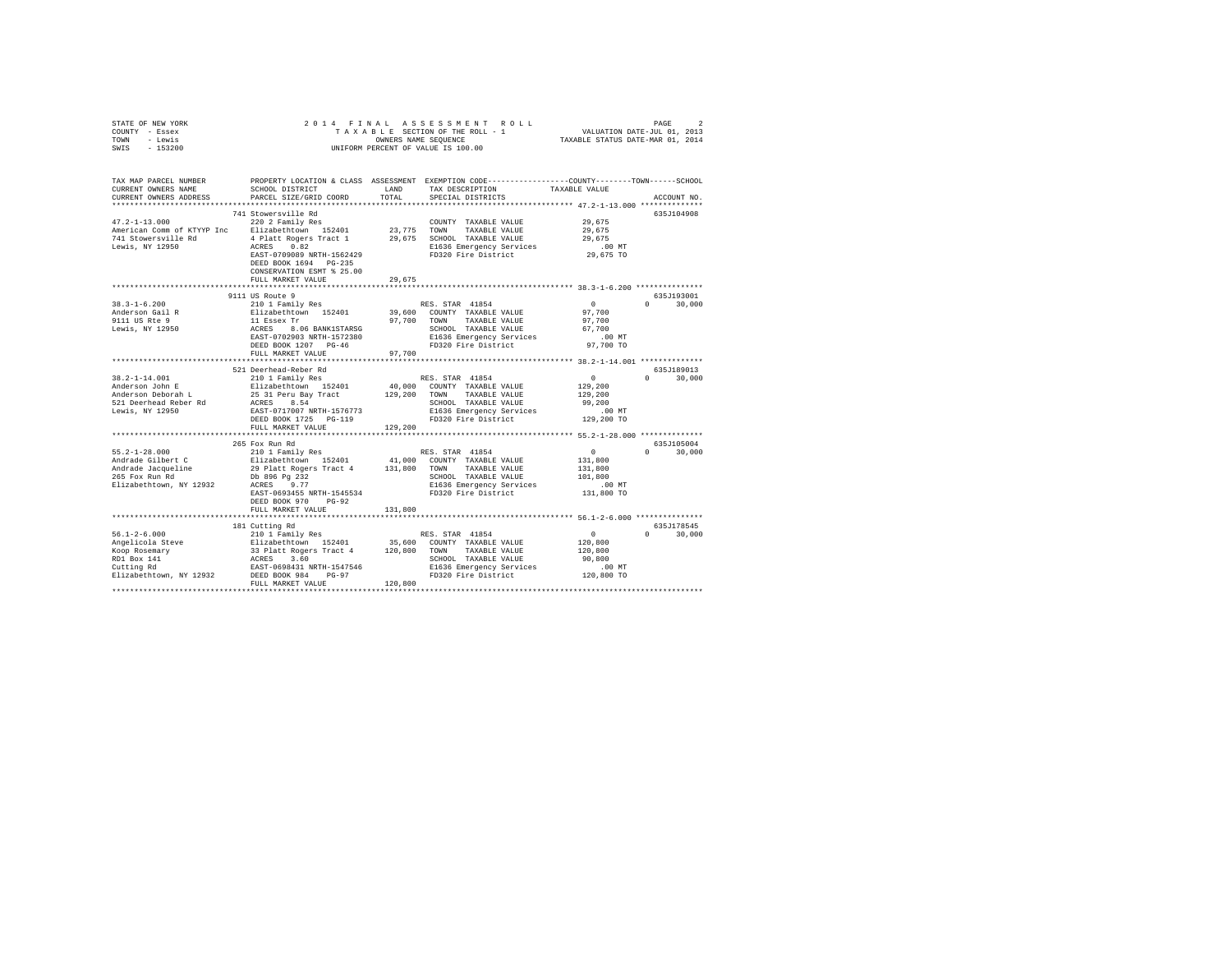| STATE OF NEW YORK<br>COUNTY - Essex<br>- Lewis<br>TOWN<br>$-153200$<br>SWIS                                                                            | 2014 FINAL<br>ASSESSMENT<br>TAXABLE SECTION OF THE ROLL - 1<br>OWNERS NAME SEQUENCE<br>UNIFORM PERCENT OF VALUE IS 100.00                                           |               |                                                                                                                                 | $\begin{tabular}{ccccc} R & O & L & L & \multicolumn{2}{c}{\small \texttt{PAGE}} & 2 \\ - & 1 & & \multicolumn{2}{c}{\small \texttt{VALUATION DATE-JUL 01, 2013}} \\ & \multicolumn{2}{c}{\small \texttt{TAXABLE STATUS DATE-MAR 01, 2014}} \end{tabular}$ |                             |
|--------------------------------------------------------------------------------------------------------------------------------------------------------|---------------------------------------------------------------------------------------------------------------------------------------------------------------------|---------------|---------------------------------------------------------------------------------------------------------------------------------|------------------------------------------------------------------------------------------------------------------------------------------------------------------------------------------------------------------------------------------------------------|-----------------------------|
| TAX MAP PARCEL NUMBER<br>CURRENT OWNERS NAME                                                                                                           | SCHOOL DISTRICT<br>PARCEL SIZE/GRID COORD                                                                                                                           | LAND<br>TOTAL | PROPERTY LOCATION & CLASS ASSESSMENT EXEMPTION CODE---------------COUNTY-------TOWN-----SCHOOL<br>TAX DESCRIPTION               | TAXABLE VALUE                                                                                                                                                                                                                                              |                             |
| CURRENT OWNERS ADDRESS<br>*************************                                                                                                    |                                                                                                                                                                     |               | SPECIAL DISTRICTS                                                                                                               |                                                                                                                                                                                                                                                            | ACCOUNT NO.                 |
|                                                                                                                                                        | 741 Stowersville Rd                                                                                                                                                 |               |                                                                                                                                 |                                                                                                                                                                                                                                                            | 635J104908                  |
| $47.2 - 1 - 13.000$<br>American Comm of KTYYP Inc<br>741 Stowersville Rd<br>Lewis, NY 12950                                                            | 220 2 Family Res<br>Elizabethtown 152401<br>4 Platt Rogers Tract 1<br>ACRES 0.82<br>EAST-0709089 NRTH-1562429<br>DEED BOOK 1694 PG-235<br>CONSERVATION ESMT % 25.00 | 23,775        | COUNTY TAXABLE VALUE<br>TOWN<br>TAXABLE VALUE<br>29,675 SCHOOL TAXABLE VALUE<br>E1636 Emergency Services<br>FD320 Fire District | 29.675<br>29,675<br>29.675<br>$.00$ MT<br>29,675 TO                                                                                                                                                                                                        |                             |
|                                                                                                                                                        | FULL MARKET VALUE                                                                                                                                                   | 29.675        |                                                                                                                                 |                                                                                                                                                                                                                                                            |                             |
|                                                                                                                                                        |                                                                                                                                                                     |               |                                                                                                                                 |                                                                                                                                                                                                                                                            |                             |
| $38.3 - 1 - 6.200$<br>Anderson Gail R<br>9111 US Rte 9                                                                                                 | 9111 US Route 9<br>210 1 Family Res<br>Elizabethtown 152401<br>11 Essex Tr<br>ACRES 8.06 BANK1STARSG                                                                | 97,700 TOWN   | RES. STAR 41854<br>39,600 COUNTY TAXABLE VALUE<br>TAXABLE VALUE                                                                 | $\sim$ 0<br>97,700<br>97,700                                                                                                                                                                                                                               | 635J193001<br>$0 \t 30,000$ |
| Lewis, NY 12950                                                                                                                                        | EAST-0702903 NRTH-1572380<br>DEED BOOK 1207 PG-46<br>FULL MARKET VALUE                                                                                              | 97,700        | SCHOOL TAXABLE VALUE<br>SCROOL TAAABLE VALUL<br>E1636 Emergency Services<br>FD320 Fire District                                 | 67,700<br>$.00$ MT<br>97,700 TO                                                                                                                                                                                                                            |                             |
|                                                                                                                                                        |                                                                                                                                                                     |               |                                                                                                                                 |                                                                                                                                                                                                                                                            |                             |
|                                                                                                                                                        | 521 Deerhead-Reber Rd                                                                                                                                               |               |                                                                                                                                 |                                                                                                                                                                                                                                                            | 635J189013                  |
| $38.2 - 1 - 14.001$                                                                                                                                    | 210 1 Family Res                                                                                                                                                    |               | RES. STAR 41854                                                                                                                 | $\sim$ 0                                                                                                                                                                                                                                                   | $0 \t 30.000$               |
| Anderson John E Elizabethtown 152401 40,000 COUNT<br>Anderson Deborah L 25 31 Peru Bay Tract 129,200 TOWN<br>521 Deerhead Reber Rd ACRES 8.54 -------- |                                                                                                                                                                     |               | 40,000 COUNTY TAXABLE VALUE                                                                                                     | 129,200                                                                                                                                                                                                                                                    |                             |
|                                                                                                                                                        |                                                                                                                                                                     |               | TAXABLE VALUE                                                                                                                   | 129,200                                                                                                                                                                                                                                                    |                             |
|                                                                                                                                                        |                                                                                                                                                                     |               | SCHOOL TAXABLE VALUE                                                                                                            | 99,200                                                                                                                                                                                                                                                     |                             |
| Lewis, NY 12950                                                                                                                                        | EAST-0717007 NRTH-1576773                                                                                                                                           |               | E1636 Emergency Services                                                                                                        | $.00$ MT                                                                                                                                                                                                                                                   |                             |
|                                                                                                                                                        | DEED BOOK 1725 PG-119                                                                                                                                               |               | FD320 Fire District                                                                                                             | 129,200 TO                                                                                                                                                                                                                                                 |                             |
|                                                                                                                                                        | FULL MARKET VALUE                                                                                                                                                   | 129,200       |                                                                                                                                 |                                                                                                                                                                                                                                                            |                             |
|                                                                                                                                                        |                                                                                                                                                                     |               |                                                                                                                                 |                                                                                                                                                                                                                                                            |                             |
|                                                                                                                                                        | 265 Fox Run Rd                                                                                                                                                      |               |                                                                                                                                 |                                                                                                                                                                                                                                                            | 635J105004                  |
| $55.2 - 1 - 28.000$                                                                                                                                    | 210 1 Family Res                                                                                                                                                    |               | RES. STAR 41854                                                                                                                 | $\mathbf{0}$                                                                                                                                                                                                                                               | 30,000<br>$\Omega$          |
| Andrade Gilbert C                                                                                                                                      | Elizabethtown 152401                                                                                                                                                |               | 41,000 COUNTY TAXABLE VALUE                                                                                                     | 131,800                                                                                                                                                                                                                                                    |                             |
| Andrade Jacqueline<br>265 Fox Run Rd                                                                                                                   | 29 Platt Rogers Tract 4<br>Db 896 Pq 232                                                                                                                            | 131,800 TOWN  | TAXABLE VALUE                                                                                                                   | 131,800<br>101,800                                                                                                                                                                                                                                         |                             |
| Elizabethtown, NY 12932                                                                                                                                | ACRES 9.77                                                                                                                                                          |               | SCHOOL TAXABLE VALUE<br>E1636 Emergency Services                                                                                | $.00$ MT                                                                                                                                                                                                                                                   |                             |
|                                                                                                                                                        | EAST-0693455 NRTH-1545534<br>DEED BOOK 970 PG-92<br>FULL MARKET VALUE                                                                                               |               | FD320 Fire District                                                                                                             | 131,800 TO                                                                                                                                                                                                                                                 |                             |
|                                                                                                                                                        |                                                                                                                                                                     | 131,800       |                                                                                                                                 |                                                                                                                                                                                                                                                            |                             |
|                                                                                                                                                        | 181 Cutting Rd                                                                                                                                                      |               |                                                                                                                                 |                                                                                                                                                                                                                                                            | 635J178545                  |
| $56.1 - 2 - 6.000$                                                                                                                                     | 210 1 Family Res                                                                                                                                                    |               | RES. STAR 41854                                                                                                                 | $\sim$ 0                                                                                                                                                                                                                                                   | $0 \t 30,000$               |
| Angelicola Steve                                                                                                                                       |                                                                                                                                                                     |               | COUNTY TAXABLE VALUE                                                                                                            | 120,800                                                                                                                                                                                                                                                    |                             |
| Koop Rosemary                                                                                                                                          | Elizabethtown 152401 35,600<br>33 Platt Rogers Tract 4 120,800<br>ACRES 3.60                                                                                        |               | TOWN<br>TAXABLE VALUE                                                                                                           | 120,800                                                                                                                                                                                                                                                    |                             |
|                                                                                                                                                        |                                                                                                                                                                     |               | SCHOOL TAXABLE VALUE                                                                                                            | 90,800                                                                                                                                                                                                                                                     |                             |
| RD1 Box 141<br>Cutting Rd                                                                                                                              | EAST-0698431 NRTH-1547546                                                                                                                                           |               | E1636 Emergency Services                                                                                                        | $.00$ MT                                                                                                                                                                                                                                                   |                             |
| Elizabethtown, NY 12932                                                                                                                                | DEED BOOK 984 PG-97                                                                                                                                                 |               | FD320 Fire District                                                                                                             | 120,800 TO                                                                                                                                                                                                                                                 |                             |
|                                                                                                                                                        | FULL MARKET VALUE                                                                                                                                                   | 120,800       |                                                                                                                                 |                                                                                                                                                                                                                                                            |                             |
|                                                                                                                                                        |                                                                                                                                                                     |               |                                                                                                                                 |                                                                                                                                                                                                                                                            |                             |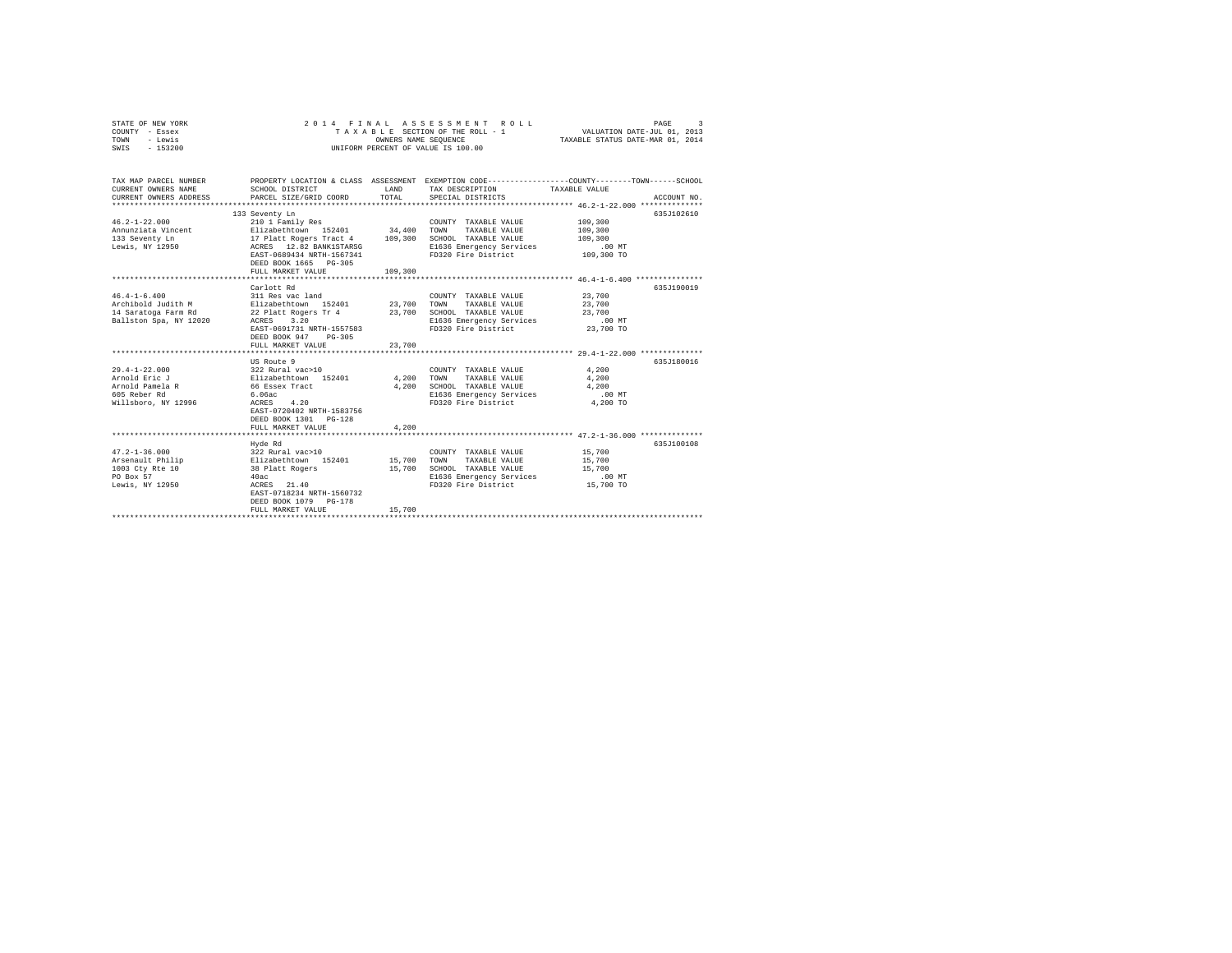| STATE OF NEW YORK<br>COUNTY - Essex<br>- Lewis<br>TOWN<br>SWIS - 153200                                                                                                                                                                                        | 2014 FINAL<br>ASSESSMENT ROLL<br>T A X A B L E SECTION OF THE ROLL - 1<br>OWNERS NAME SEQUENCE<br>UNIFORM PERCENT OF VALUE IS 100.00                                            |                          |                                                                                                                                                                                                                                                                   | 3<br>PAGE<br>VALUATION DATE-JUL 01, 2013<br>TAXABLE STATUS DATE-MAR 01, 2014                                                    |
|----------------------------------------------------------------------------------------------------------------------------------------------------------------------------------------------------------------------------------------------------------------|---------------------------------------------------------------------------------------------------------------------------------------------------------------------------------|--------------------------|-------------------------------------------------------------------------------------------------------------------------------------------------------------------------------------------------------------------------------------------------------------------|---------------------------------------------------------------------------------------------------------------------------------|
| TAX MAP PARCEL NUMBER<br>CURRENT OWNERS NAME<br>CURRENT OWNERS ADDRESS                                                                                                                                                                                         | SCHOOL DISTRICT<br><b>EXAMPLE AND SET OF STREET AND STREET AND STREET AND STREET AND STREET AND STREET AND STREET AND STREET AND ST</b><br>PARCEL SIZE/GRID COORD               | TOTAL                    | TAX DESCRIPTION<br>SPECIAL DISTRICTS                                                                                                                                                                                                                              | PROPERTY LOCATION & CLASS ASSESSMENT EXEMPTION CODE---------------COUNTY-------TOWN------SCHOOL<br>TAXABLE VALUE<br>ACCOUNT NO. |
| $46.2 - 1 - 22.000$<br>Annunziata Vincent (Elizabethtown 152401 - 2000)<br>2013 Seventy La (Elizabethtown 152401 - 24,400 TOWN TAXABLE VALUE<br>2013 Seventy La (Elizabethtown 162401 - 2009)<br>2016 Elizabethtown ACRES 12.82 BANK1STARSG ELIZAS (Elizabethe | 133 Seventy Ln<br>210 1 Family Res<br>EAST-0689434 NRTH-1567341<br>DEED BOOK 1665 PG-305<br>FULL MARKET VALUE                                                                   | 109,300                  | COUNTY TAXABLE VALUE<br>E1636 Emergency Services<br>FD320 Fire District 109,300 TO                                                                                                                                                                                | 635J102610<br>109,300<br>109,300<br>109,300<br>$.00$ MT                                                                         |
|                                                                                                                                                                                                                                                                |                                                                                                                                                                                 |                          |                                                                                                                                                                                                                                                                   |                                                                                                                                 |
| $46.4 - 1 - 6.400$<br>605 Reber Rd<br>Willsboro, NY 12996                                                                                                                                                                                                      | Carlott Rd<br>311 Res vac land<br>EAST-0691731 NRTH-1557583<br>DEED BOOK 947 PG-305<br>FULL MARKET VALUE<br>US Route 9<br>$6.06ac$<br>ACRES $4.20$<br>EAST-0720402 NRTH-1583756 | 23,700<br>4,200<br>4,200 | COUNTY TAXABLE VALUE<br>TAXABLE VALUE 23,700<br>TOWN<br>SCHOOL TAXABLE VALUE<br>E1636 Emergency Services<br>FD320 Fire District<br>COUNTY TAXABLE VALUE 4.200<br>TOWN<br>TAXABLE VALUE<br>SCHOOL TAXABLE VALUE<br>E1636 Emergency Services<br>FD320 Fire District | 635J190019<br>23,700<br>23,700<br>$.00$ MT<br>23,700 TO<br>635J180016<br>4,200<br>4,200<br>.00 MT<br>$4,200$ TO                 |
|                                                                                                                                                                                                                                                                | DEED BOOK 1301 PG-128<br>FULL MARKET VALUE                                                                                                                                      | 4,200                    |                                                                                                                                                                                                                                                                   |                                                                                                                                 |
| Lewis, NY 12950                                                                                                                                                                                                                                                | Hyde Rd<br>$40ac$ $ACRES$ $21.40$<br>EAST-0718234 NRTH-1560732<br>DEED BOOK 1079 PG-178<br>FULL MARKET VALUE<br>****************************                                    | 15,700                   | COUNTY TAXABLE VALUE<br>TOWN<br>TAXABLE VALUE<br>SCHOOL TAXABLE VALUE<br>SCHOOL TAXABLE VALUE<br>E1636 Emergency Services<br>FD320 Fire District                                                                                                                  | 635J100108<br>15,700<br>15,700<br>15,700<br>.00MT<br>15,700 TO                                                                  |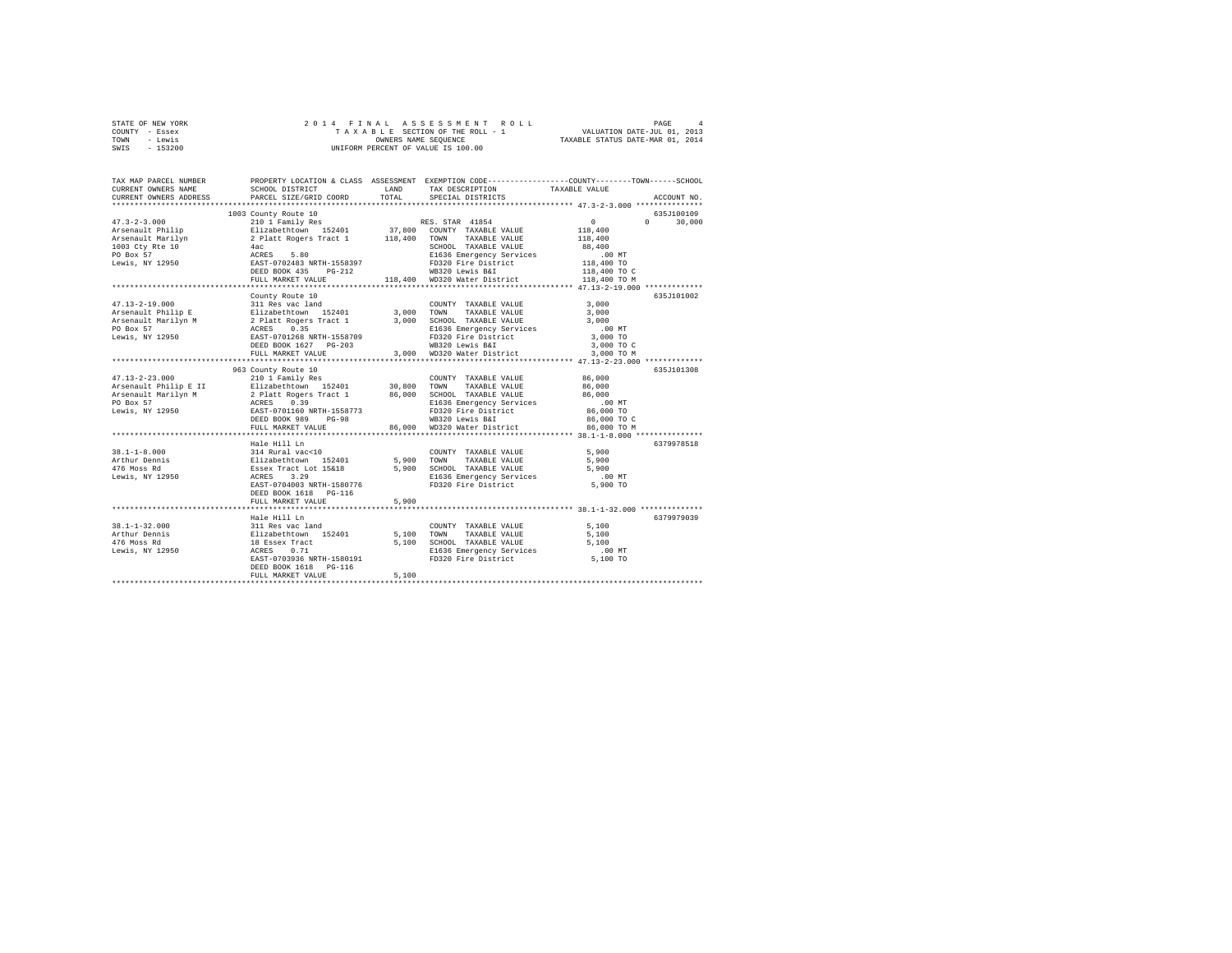| STATE OF NEW YORK                            |                                                                                                              | 2014 FINAL ASSESSMENT ROLL                                                                                              | PAGE<br>4                 |
|----------------------------------------------|--------------------------------------------------------------------------------------------------------------|-------------------------------------------------------------------------------------------------------------------------|---------------------------|
| COUNTY - Essex                               |                                                                                                              | TAXABLE SECTION OF THE ROLL - 1 VALUATION DATE-JUL 01, 2013                                                             |                           |
| TOWN<br>- Lewis                              |                                                                                                              | OWNERS NAME SEQUENCE TAXABLE STATUS DATE-MAR 01, 2014                                                                   |                           |
| SWIS - 153200                                |                                                                                                              | UNIFORM PERCENT OF VALUE IS 100.00                                                                                      |                           |
|                                              |                                                                                                              |                                                                                                                         |                           |
|                                              |                                                                                                              |                                                                                                                         |                           |
|                                              |                                                                                                              |                                                                                                                         |                           |
| TAX MAP PARCEL NUMBER<br>CURRENT OWNERS NAME | SCHOOL DISTRICT                                                                                              | PROPERTY LOCATION & CLASS ASSESSMENT EXEMPTION CODE----------------COUNTY-------TOWN-----SCHOOL<br>LAND TAX DESCRIPTION | TAXARLE VALUE             |
| CURRENT OWNERS ADDRESS                       | PARCEL SIZE/GRID COORD                                                                                       | TOTAL<br>SPECIAL DISTRICTS                                                                                              | ACCOUNT NO.               |
|                                              |                                                                                                              |                                                                                                                         |                           |
|                                              | 1003 County Route 10                                                                                         |                                                                                                                         | 635J100109                |
| $47.3 - 2 - 3.000$                           | 210 1 Family Res                                                                                             | RES. STAR 41854                                                                                                         | $\sim$ 0<br>$0 \t 30.000$ |
| Arsenault Philip                             |                                                                                                              | Elizabethtown 152401 37,800 COUNTY TAXABLE VALUE 118,400                                                                |                           |
|                                              | Arsenault Marilyn 2 Platt Rogers Tract 1 118,400                                                             | TAXABLE VALUE<br><b>TOWN</b>                                                                                            | 118,400                   |
| 1003 Ctv Rte 10                              | 4ac                                                                                                          | SCHOOL TAXABLE VALUE                                                                                                    | 88,400                    |
| PO Box 57                                    | 5.80<br>ACRES                                                                                                | E1636 Emergency Services                                                                                                | $.00$ MT                  |
| Lewis, NY 12950                              | EAST-0702483 NRTH-1558397                                                                                    | FD320 Fire District                                                                                                     | 118,400 TO                |
|                                              | DEED BOOK 435 PG-212                                                                                         | WB320 Lewis B&I                                                                                                         | 118,400 TO C              |
|                                              | FULL MARKET VALUE                                                                                            | 118,400 WD320 Water District                                                                                            | 118,400 TO M              |
|                                              |                                                                                                              |                                                                                                                         |                           |
|                                              | County Route 10                                                                                              |                                                                                                                         | 635J101002                |
| $47.13 - 2 - 19.000$                         | 311 Res vac land                                                                                             | $\begin{tabular}{lllllllll} \textbf{COUNTY} & \textbf{TAXABLE VALUE} & & & & 3 \, , \, 000 \\ \end{tabular}$            |                           |
| Arsenault Philip E                           | 311 Res Vac Lauw 152401 13,000 TOWN<br>Elizabethtown 152401 3,000 TOWN<br>2 Platt Rogers Tract 1 3,000 SCHOO | TAXABLE VALUE                                                                                                           | 3,000                     |
| Arsenault Marilyn M                          |                                                                                                              | SCHOOL TAXABLE VALUE                                                                                                    | 3,000                     |
| PO Box 57                                    | ACRES 0.35                                                                                                   | E1636 Emergency Services                                                                                                | .00 MT                    |
| Lewis, NY 12950                              | EAST-0701268 NRTH-1558709                                                                                    | FD320 Fire District                                                                                                     | 3,000 TO                  |
|                                              | DEED BOOK 1627 PG-203                                                                                        | WB320 Lewis B&I                                                                                                         | 3,000 TO C                |
|                                              | FULL MARKET VALUE                                                                                            | 3,000 WD320 Water District                                                                                              | 3,000 TO M                |
|                                              |                                                                                                              |                                                                                                                         |                           |
|                                              | 963 County Route 10                                                                                          |                                                                                                                         | 635.T101308               |
| $47.13 - 2 - 23.000$                         | 210 1 Family Res                                                                                             | COUNTY TAXABLE VALUE 86,000                                                                                             |                           |
|                                              |                                                                                                              | Arsenault Philip E II Blizabethtown 152401 30,800 TOWN TAXABLE VALUE                                                    | 86,000                    |
|                                              |                                                                                                              | Arsenault Marilyn M 1992 Platt Rogers Tract 1 86,000 SCHOOL TAXABLE VALUE 86,000                                        |                           |
| PO Box 57                                    | ACRES 0.39                                                                                                   | E1636 Emergency Services                                                                                                | $.00$ MT                  |
| Lewis, NY 12950                              | EAST-0701160 NRTH-1558773                                                                                    | FD320 Fire District                                                                                                     | 86,000 TO                 |
|                                              | DEED BOOK 989 PG-98                                                                                          | WB320 Lewis B&I                                                                                                         | 86,000 TO C               |
|                                              | FULL MARKET VALUE                                                                                            | 86,000 WD320 Water District                                                                                             | 86,000 TO M               |
|                                              |                                                                                                              |                                                                                                                         |                           |
|                                              | Hale Hill Ln                                                                                                 |                                                                                                                         | 6379978518                |
| $38.1 - 1 - 8.000$                           | 314 Rural vac<10                                                                                             | COUNTY TAXABLE VALUE                                                                                                    | 5,900                     |
| Arthur Dennis                                | Elizabethtown 152401                                                                                         | 5,900<br>TOWN<br>TAXABLE VALUE                                                                                          | 5,900                     |
| 476 Moss Rd                                  | Essex Tract Lot 15618                                                                                        | SCHOOL TAXABLE VALUE<br>5.900                                                                                           | 5.900                     |
|                                              |                                                                                                              |                                                                                                                         |                           |

|                 | Hale Hill Ln              |       |                          |          | 6379978518 |
|-----------------|---------------------------|-------|--------------------------|----------|------------|
| 38.1-1-8.000    | 314 Rural vac<10          |       | TAXABLE VALUE<br>COUNTY  | 5,900    |            |
| Arthur Dennis   | Elizabethtown 152401      | 5,900 | TOWN<br>TAXABLE VALUE    | 5,900    |            |
| 476 Moss Rd     | Essex Tract Lot 15&18     | 5,900 | SCHOOL TAXABLE VALUE     | 5,900    |            |
| Lewis, NY 12950 | 3.29<br>ACRES             |       | E1636 Emergency Services | $.00$ MT |            |
|                 | EAST-0704003 NRTH-1580776 |       | FD320 Fire District      | 5,900 TO |            |
|                 | DEED BOOK 1618 PG-116     |       |                          |          |            |
|                 | FULL MARKET VALUE         | 5,900 |                          |          |            |
|                 |                           |       |                          |          |            |
|                 | Hale Hill Ln              |       |                          |          | 6379979039 |
| 38.1-1-32.000   | 311 Res vac land          |       | TAXABLE VALUE<br>COUNTY  | 5,100    |            |
| Arthur Dennis   | Elizabethtown 152401      | 5,100 | TOWN<br>TAXABLE VALUE    | 5,100    |            |
| 476 Moss Rd     | 18 Essex Tract            | 5,100 | SCHOOL TAXABLE VALUE     | 5,100    |            |
| Lewis, NY 12950 | ACRES 0.71                |       | E1636 Emergency Services | $.00$ MT |            |
|                 | EAST-0703936 NRTH-1580191 |       | FD320 Fire District      | 5,100 TO |            |
|                 | DEED BOOK 1618    PG-116  |       |                          |          |            |
|                 | FULL MARKET VALUE         | 5,100 |                          |          |            |
|                 |                           |       |                          |          |            |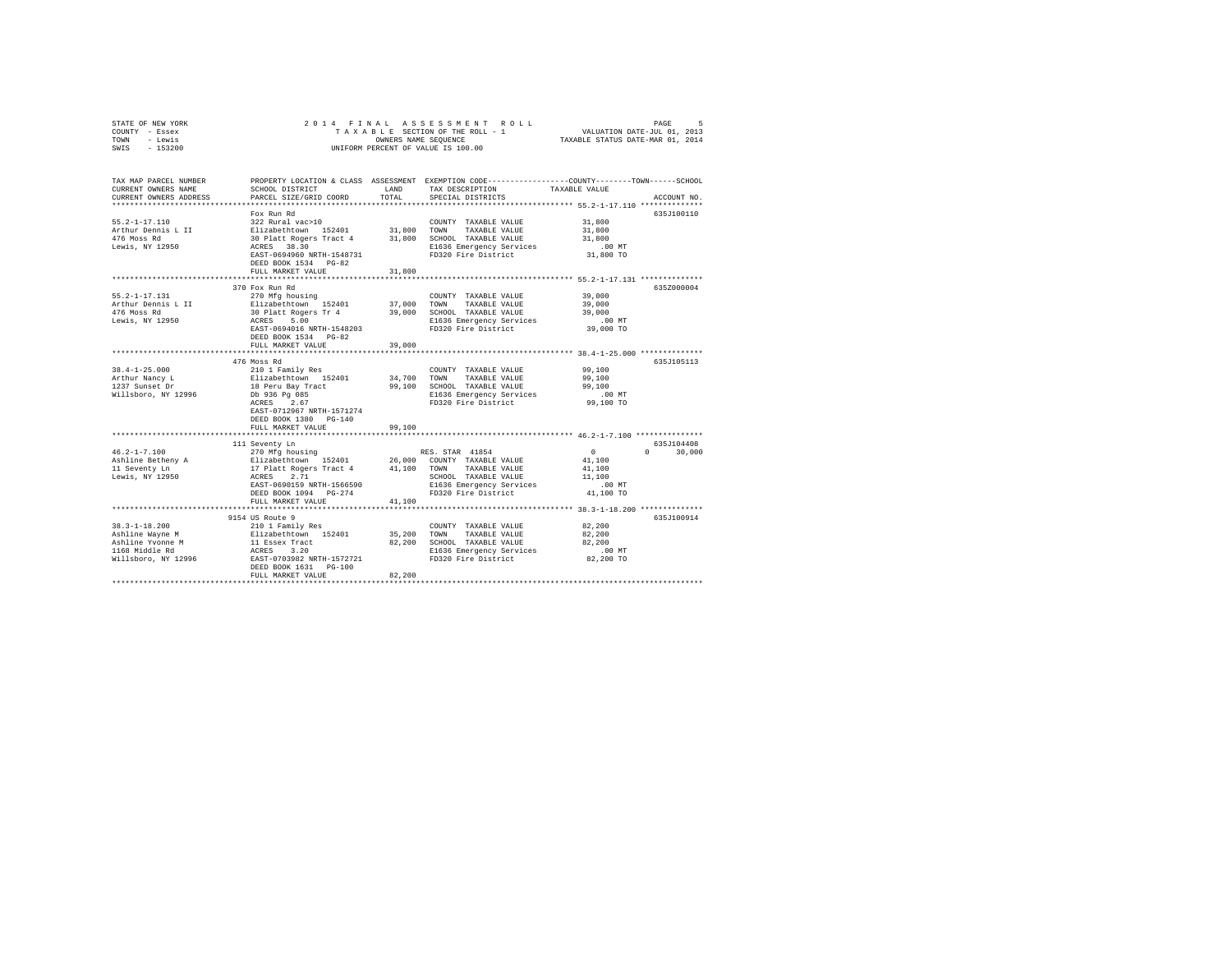| STATE OF NEW YORK<br>COUNTY - Essex<br>- Lewis<br>TOWN | 2014 FINAL<br>ASSESSMENT<br>PAGE<br>ROLL<br>VALUATION DATE-JUL 01, 2013<br>TAXABLE STATUS DATE-MAR 01, 2014<br>TAXABLE SECTION OF THE ROLL - 1<br>OWNERS NAME SEQUENCE |                  |                                                  |                                                                                                                 |
|--------------------------------------------------------|------------------------------------------------------------------------------------------------------------------------------------------------------------------------|------------------|--------------------------------------------------|-----------------------------------------------------------------------------------------------------------------|
| SWIS<br>$-153200$                                      |                                                                                                                                                                        |                  | UNIFORM PERCENT OF VALUE IS 100.00               |                                                                                                                 |
| TAX MAP PARCEL NUMBER<br>CURRENT OWNERS NAME           | SCHOOL DISTRICT                                                                                                                                                        | LAND             | TAX DESCRIPTION                                  | PROPERTY LOCATION & CLASS ASSESSMENT EXEMPTION CODE---------------COUNTY-------TOWN-----SCHOOL<br>TAXABLE VALUE |
| CURRENT OWNERS ADDRESS                                 | PARCEL SIZE/GRID COORD                                                                                                                                                 | TOTAL            | SPECIAL DISTRICTS                                | ACCOUNT NO.                                                                                                     |
|                                                        |                                                                                                                                                                        |                  |                                                  |                                                                                                                 |
|                                                        | Fox Run Rd                                                                                                                                                             |                  |                                                  | 635J100110                                                                                                      |
| $55.2 - 1 - 17.110$<br>Arthur Dennis L II              | 322 Rural vac>10<br>Elizabethtown 152401                                                                                                                               | 31,800           | COUNTY TAXABLE VALUE<br>TOWN<br>TAXABLE VALUE    | 31,800<br>31,800                                                                                                |
| 476 Moss Rd                                            | 30 Platt Rogers Tract 4                                                                                                                                                | 31,800           | SCHOOL TAXABLE VALUE                             | 31,800                                                                                                          |
| Lewis, NY 12950                                        | ACRES 38.30                                                                                                                                                            |                  | E1636 Emergency Services                         | $.00$ MT                                                                                                        |
|                                                        | EAST-0694960 NRTH-1548731                                                                                                                                              |                  | FD320 Fire District                              | 31,800 TO                                                                                                       |
|                                                        | DEED BOOK 1534 PG-82                                                                                                                                                   |                  |                                                  |                                                                                                                 |
|                                                        | FULL MARKET VALUE                                                                                                                                                      | 31,800           |                                                  |                                                                                                                 |
|                                                        | **************************                                                                                                                                             |                  |                                                  | ********************** 55.2-1-17.131 **************                                                             |
|                                                        | 370 Fox Run Rd                                                                                                                                                         |                  |                                                  | 635Z000004                                                                                                      |
| $55.2 - 1 - 17.131$                                    | 270 Mfg housing                                                                                                                                                        |                  | COUNTY TAXABLE VALUE                             | 39,000                                                                                                          |
| Arthur Dennis L II                                     | Elizabethtown 152401                                                                                                                                                   | 37,000           | TOWN<br>TAXABLE VALUE                            | 39,000                                                                                                          |
| 476 Moss Rd<br>Lewis, NY 12950                         | 30 Platt Rogers Tr 4<br>ACRES<br>5.00                                                                                                                                  | 39,000           | SCHOOL TAXABLE VALUE<br>E1636 Emergency Services | 39,000<br>.00 MT                                                                                                |
|                                                        | EAST-0694016 NRTH-1548203                                                                                                                                              |                  | FD320 Fire District                              | 39,000 TO                                                                                                       |
|                                                        | DEED BOOK 1534 PG-82                                                                                                                                                   |                  |                                                  |                                                                                                                 |
|                                                        | FULL MARKET VALUE                                                                                                                                                      | 39,000           |                                                  |                                                                                                                 |
|                                                        |                                                                                                                                                                        | **********       |                                                  | ****************************** 38.4-1-25.000 **************                                                     |
|                                                        | 476 Moss Rd                                                                                                                                                            |                  |                                                  | 635J105113                                                                                                      |
| $38.4 - 1 - 25.000$                                    | 210 1 Family Res                                                                                                                                                       |                  | COUNTY TAXABLE VALUE                             | 99,100                                                                                                          |
| Arthur Nancy L                                         | Elizabethtown 152401                                                                                                                                                   | 34,700           | TOWN<br>TAXABLE VALUE                            | 99,100                                                                                                          |
| 1237 Sunset Dr<br>Willsboro, NY 12996                  | 18 Peru Bay Tract<br>Db 936 Pg 085                                                                                                                                     | 99,100           | SCHOOL TAXABLE VALUE<br>E1636 Emergency Services | 99,100<br>.00MT                                                                                                 |
|                                                        | ACRES<br>2.67                                                                                                                                                          |                  | FD320 Fire District                              | 99,100 TO                                                                                                       |
|                                                        | EAST-0712967 NRTH-1571274                                                                                                                                              |                  |                                                  |                                                                                                                 |
|                                                        | DEED BOOK 1380 PG-140                                                                                                                                                  |                  |                                                  |                                                                                                                 |
|                                                        | FULL MARKET VALUE                                                                                                                                                      | 99,100           |                                                  |                                                                                                                 |
|                                                        |                                                                                                                                                                        |                  |                                                  |                                                                                                                 |
|                                                        | 111 Seventy Ln                                                                                                                                                         |                  |                                                  | 635J104408                                                                                                      |
| $46.2 - 1 - 7.100$                                     | 270 Mfg housing                                                                                                                                                        |                  | RES. STAR 41854                                  | $\Omega$<br>$\Omega$<br>30,000                                                                                  |
| Ashline Betheny A<br>11 Seventy Ln                     | Elizabethtown 152401<br>17 Platt Rogers Tract 4                                                                                                                        | 26,000<br>41,100 | COUNTY TAXABLE VALUE<br>TOWN<br>TAXABLE VALUE    | 41,100<br>41,100                                                                                                |
| Lewis, NY 12950                                        | 2.71<br>ACRES                                                                                                                                                          |                  | SCHOOL TAXABLE VALUE                             | 11,100                                                                                                          |
|                                                        | EAST-0690159 NRTH-1566590                                                                                                                                              |                  | E1636 Emergency Services                         | $.00$ MT                                                                                                        |
|                                                        | DEED BOOK 1094 PG-274                                                                                                                                                  |                  | FD320 Fire District                              | 41,100 TO                                                                                                       |
|                                                        | FULL MARKET VALUE                                                                                                                                                      | 41,100           |                                                  |                                                                                                                 |
|                                                        |                                                                                                                                                                        |                  |                                                  | *********************************** 38.3-1-18.200 **************                                                |
|                                                        | 9154 US Route 9                                                                                                                                                        |                  |                                                  | 635J100914                                                                                                      |
| $38.3 - 1 - 18.200$                                    | 210 1 Family Res                                                                                                                                                       |                  | COUNTY TAXABLE VALUE                             | 82,200                                                                                                          |
| Ashline Wayne M                                        | Elizabethtown 152401                                                                                                                                                   | 35,200           | TOWN<br>TAXABLE VALUE                            | 82,200                                                                                                          |
| Ashline Yvonne M<br>1168 Middle Rd                     | 11 Essex Tract<br>ACRES 3.20                                                                                                                                           | 82,200           | SCHOOL TAXABLE VALUE<br>E1636 Emergency Services | 82,200<br>$.00$ MT                                                                                              |
| Willsboro, NY 12996                                    | EAST-0703982 NRTH-1572721                                                                                                                                              |                  | FD320 Fire District                              | 82,200 TO                                                                                                       |
|                                                        | DEED BOOK 1631 PG-100                                                                                                                                                  |                  |                                                  |                                                                                                                 |
|                                                        | FULL MARKET VALUE                                                                                                                                                      | 82,200           |                                                  |                                                                                                                 |
|                                                        |                                                                                                                                                                        |                  |                                                  |                                                                                                                 |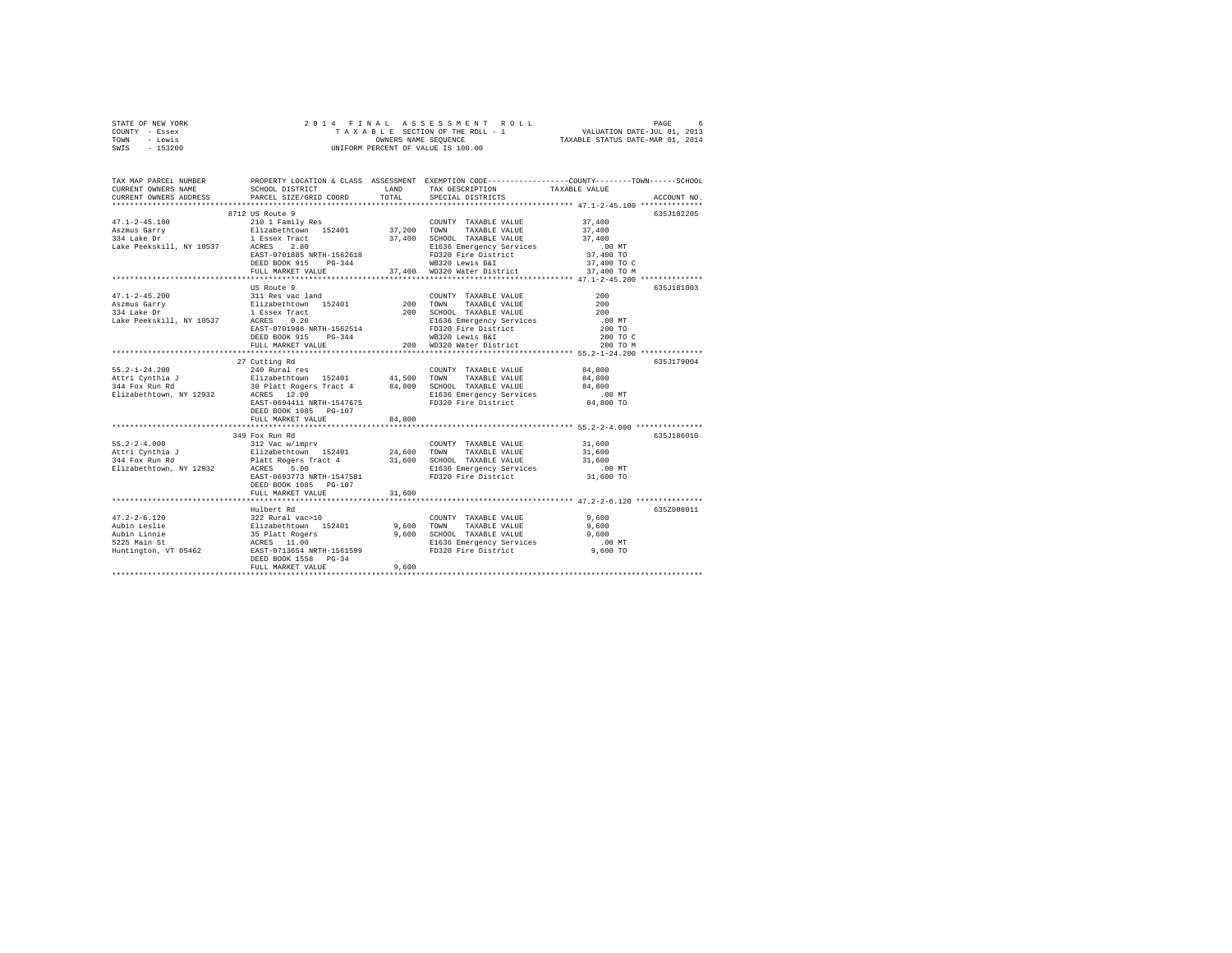| STATE OF NEW YORK | 2014 FINAL ASSESSMENT ROLL         | 6.<br>PAGE                       |
|-------------------|------------------------------------|----------------------------------|
| COUNTY - Essex    | TAXABLE SECTION OF THE ROLL - 1    | VALUATION DATE-JUL 01, 2013      |
| TOWN<br>- Lewis   | OWNERS NAME SEOUENCE               | TAXABLE STATUS DATE-MAR 01, 2014 |
| $-153200$<br>SWIS | UNIFORM PERCENT OF VALUE IS 100.00 |                                  |

| TAX MAP PARCEL NUMBER<br>CURRENT OWNERS NAME<br>CURRENT OWNERS ADDRESS                                                                                                                                                                                                                                                                                                                           | SCHOOL DISTRICT<br>PARCEL SIZE/GRID COORD                                                                                                                                                                                                                                                                                                                                     | <b>EXAMPLE AND</b><br>TOTAL | TAX DESCRIPTION<br>SPECIAL DISTRICTS                               | PROPERTY LOCATION & CLASS ASSESSMENT EXEMPTION CODE----------------COUNTY-------TOWN-----SCHOOL<br>TAXABLE VALUE<br>ACCOUNT NO. |
|--------------------------------------------------------------------------------------------------------------------------------------------------------------------------------------------------------------------------------------------------------------------------------------------------------------------------------------------------------------------------------------------------|-------------------------------------------------------------------------------------------------------------------------------------------------------------------------------------------------------------------------------------------------------------------------------------------------------------------------------------------------------------------------------|-----------------------------|--------------------------------------------------------------------|---------------------------------------------------------------------------------------------------------------------------------|
|                                                                                                                                                                                                                                                                                                                                                                                                  |                                                                                                                                                                                                                                                                                                                                                                               |                             |                                                                    |                                                                                                                                 |
|                                                                                                                                                                                                                                                                                                                                                                                                  |                                                                                                                                                                                                                                                                                                                                                                               |                             |                                                                    | 635J102205                                                                                                                      |
| 37,400<br>47.1-2-45.100<br>ABZER VALUE 2101 Family Res<br>ABZER VALUE 211 Family Res<br>334 Lake Dre 21 Essex Tract<br>37,400 SCHOOL TAXABLE VALUE 37,400<br>334 Lake Peekskill, NY 10537 ACRESS 2.80<br>2000 TORN 200 TORN 2000 TORN 2000 T                                                                                                                                                     |                                                                                                                                                                                                                                                                                                                                                                               |                             |                                                                    |                                                                                                                                 |
|                                                                                                                                                                                                                                                                                                                                                                                                  | FULL MARKET VALUE                                                                                                                                                                                                                                                                                                                                                             |                             | 37,400 WD320 Water District                                        | 37,400 TO M                                                                                                                     |
|                                                                                                                                                                                                                                                                                                                                                                                                  |                                                                                                                                                                                                                                                                                                                                                                               |                             |                                                                    |                                                                                                                                 |
|                                                                                                                                                                                                                                                                                                                                                                                                  | US Route 9                                                                                                                                                                                                                                                                                                                                                                    |                             |                                                                    | 635J181003                                                                                                                      |
| $47.1 - 2 - 45.200$                                                                                                                                                                                                                                                                                                                                                                              | 311 Res vac land<br>Elizabethtown 152401<br>1 Essex Tract<br>NY 10537 ACRES 0.20                                                                                                                                                                                                                                                                                              |                             | COUNTY TAXABLE VALUE 400                                           |                                                                                                                                 |
| Aszmus Garry                                                                                                                                                                                                                                                                                                                                                                                     | $\begin{tabular}{l c c c c c} \hline 311~\text{keV acc}~1\text{and} & 100~\text{V} \text{V} \text{M} & 100~\text{V} \text{M} \text{N} \text{R} \text{M} \text{L} \text{L} & 200~\text{S} \text{H} \text{O} \text{M} \text{M} & 200~\text{S} \text{H} \text{O} \text{M} \text{M} & 200~\text{S} \text{H} \text{M} \text{M} \text{M} \text{R} \text{M} \text{L} \text{R} & 200$ |                             |                                                                    |                                                                                                                                 |
| 334 Lake Dr                                                                                                                                                                                                                                                                                                                                                                                      |                                                                                                                                                                                                                                                                                                                                                                               |                             |                                                                    |                                                                                                                                 |
| Lake Peekskill, NY 10537 ACRES 0.20                                                                                                                                                                                                                                                                                                                                                              |                                                                                                                                                                                                                                                                                                                                                                               |                             |                                                                    |                                                                                                                                 |
|                                                                                                                                                                                                                                                                                                                                                                                                  |                                                                                                                                                                                                                                                                                                                                                                               |                             |                                                                    |                                                                                                                                 |
|                                                                                                                                                                                                                                                                                                                                                                                                  |                                                                                                                                                                                                                                                                                                                                                                               |                             |                                                                    | 200 TO C<br>200 TO M                                                                                                            |
|                                                                                                                                                                                                                                                                                                                                                                                                  | ********************************                                                                                                                                                                                                                                                                                                                                              |                             |                                                                    |                                                                                                                                 |
|                                                                                                                                                                                                                                                                                                                                                                                                  | 27 Cutting Rd                                                                                                                                                                                                                                                                                                                                                                 |                             |                                                                    | 635J179004                                                                                                                      |
|                                                                                                                                                                                                                                                                                                                                                                                                  |                                                                                                                                                                                                                                                                                                                                                                               |                             |                                                                    |                                                                                                                                 |
|                                                                                                                                                                                                                                                                                                                                                                                                  |                                                                                                                                                                                                                                                                                                                                                                               |                             |                                                                    |                                                                                                                                 |
| 55.2-1-24.200 - 240 Rural res COUNTY TAXABLE VALUE 84,800<br>Attri Cynthia J - 240 Rural Priss, 2001 - 41,500 TOWN TAXABLE VALUE 84,800<br>344 Fox Run Rd - 30 Platt Rogers Tract 4 - 84,800 SCHOOL TAXABLE VALUE 84,800<br>21636 Emerg                                                                                                                                                          |                                                                                                                                                                                                                                                                                                                                                                               |                             |                                                                    |                                                                                                                                 |
|                                                                                                                                                                                                                                                                                                                                                                                                  |                                                                                                                                                                                                                                                                                                                                                                               |                             |                                                                    |                                                                                                                                 |
|                                                                                                                                                                                                                                                                                                                                                                                                  | EAST-0694411 NRTH-1547675                                                                                                                                                                                                                                                                                                                                                     |                             | E1636 Emergency Services 60 00 MT<br>FD320 Fire District 64,800 TO |                                                                                                                                 |
|                                                                                                                                                                                                                                                                                                                                                                                                  | DEED BOOK 1085 PG-107                                                                                                                                                                                                                                                                                                                                                         |                             |                                                                    |                                                                                                                                 |
|                                                                                                                                                                                                                                                                                                                                                                                                  | FULL MARKET VALUE                                                                                                                                                                                                                                                                                                                                                             | 84,800                      |                                                                    |                                                                                                                                 |
|                                                                                                                                                                                                                                                                                                                                                                                                  |                                                                                                                                                                                                                                                                                                                                                                               |                             |                                                                    |                                                                                                                                 |
|                                                                                                                                                                                                                                                                                                                                                                                                  | 349 Fox Run Rd                                                                                                                                                                                                                                                                                                                                                                |                             |                                                                    | 635J186010                                                                                                                      |
|                                                                                                                                                                                                                                                                                                                                                                                                  |                                                                                                                                                                                                                                                                                                                                                                               |                             |                                                                    |                                                                                                                                 |
|                                                                                                                                                                                                                                                                                                                                                                                                  |                                                                                                                                                                                                                                                                                                                                                                               |                             |                                                                    |                                                                                                                                 |
| $\begin{array}{lcccccc} 55.2-2-4.000 && 312\text{ Vac w/imprv} && {\tt COUNTY} && {\tt TAXABLE\ VALUE} && 31,600 \\ \texttt{Att:} & & & & & & & \\ 53.4\text{ Fox Run }\text{Rd} && 152401 && 24,600\text{ TOXALE VALUE} && 31,600 \\ 344\text{ Fox Run }\text{Rd} && 14\text{ Fox Run }\text{Rd} && 31,600\text{ SCHOOL}\text{ TAXABLE VALUE} && 31,600 \\ 344\text{ Fox Run }\text{Rd} && 31,$ |                                                                                                                                                                                                                                                                                                                                                                               |                             |                                                                    |                                                                                                                                 |
|                                                                                                                                                                                                                                                                                                                                                                                                  |                                                                                                                                                                                                                                                                                                                                                                               |                             |                                                                    |                                                                                                                                 |
|                                                                                                                                                                                                                                                                                                                                                                                                  | EAST-0693773 NRTH-1547581                                                                                                                                                                                                                                                                                                                                                     |                             | FD320 Fire District 31,600 TO                                      |                                                                                                                                 |
|                                                                                                                                                                                                                                                                                                                                                                                                  | DEED BOOK 1085 PG-107                                                                                                                                                                                                                                                                                                                                                         |                             |                                                                    |                                                                                                                                 |
|                                                                                                                                                                                                                                                                                                                                                                                                  | FULL MARKET VALUE                                                                                                                                                                                                                                                                                                                                                             | 31,600                      |                                                                    |                                                                                                                                 |
|                                                                                                                                                                                                                                                                                                                                                                                                  | Hulbert Rd                                                                                                                                                                                                                                                                                                                                                                    |                             |                                                                    | 635Z008011                                                                                                                      |
|                                                                                                                                                                                                                                                                                                                                                                                                  |                                                                                                                                                                                                                                                                                                                                                                               |                             |                                                                    |                                                                                                                                 |
|                                                                                                                                                                                                                                                                                                                                                                                                  |                                                                                                                                                                                                                                                                                                                                                                               |                             |                                                                    |                                                                                                                                 |
|                                                                                                                                                                                                                                                                                                                                                                                                  |                                                                                                                                                                                                                                                                                                                                                                               |                             |                                                                    |                                                                                                                                 |
|                                                                                                                                                                                                                                                                                                                                                                                                  |                                                                                                                                                                                                                                                                                                                                                                               |                             |                                                                    |                                                                                                                                 |
|                                                                                                                                                                                                                                                                                                                                                                                                  |                                                                                                                                                                                                                                                                                                                                                                               |                             |                                                                    |                                                                                                                                 |
|                                                                                                                                                                                                                                                                                                                                                                                                  |                                                                                                                                                                                                                                                                                                                                                                               |                             |                                                                    |                                                                                                                                 |
|                                                                                                                                                                                                                                                                                                                                                                                                  | FULL MARKET VALUE                                                                                                                                                                                                                                                                                                                                                             | 9.600                       |                                                                    |                                                                                                                                 |
|                                                                                                                                                                                                                                                                                                                                                                                                  |                                                                                                                                                                                                                                                                                                                                                                               |                             |                                                                    |                                                                                                                                 |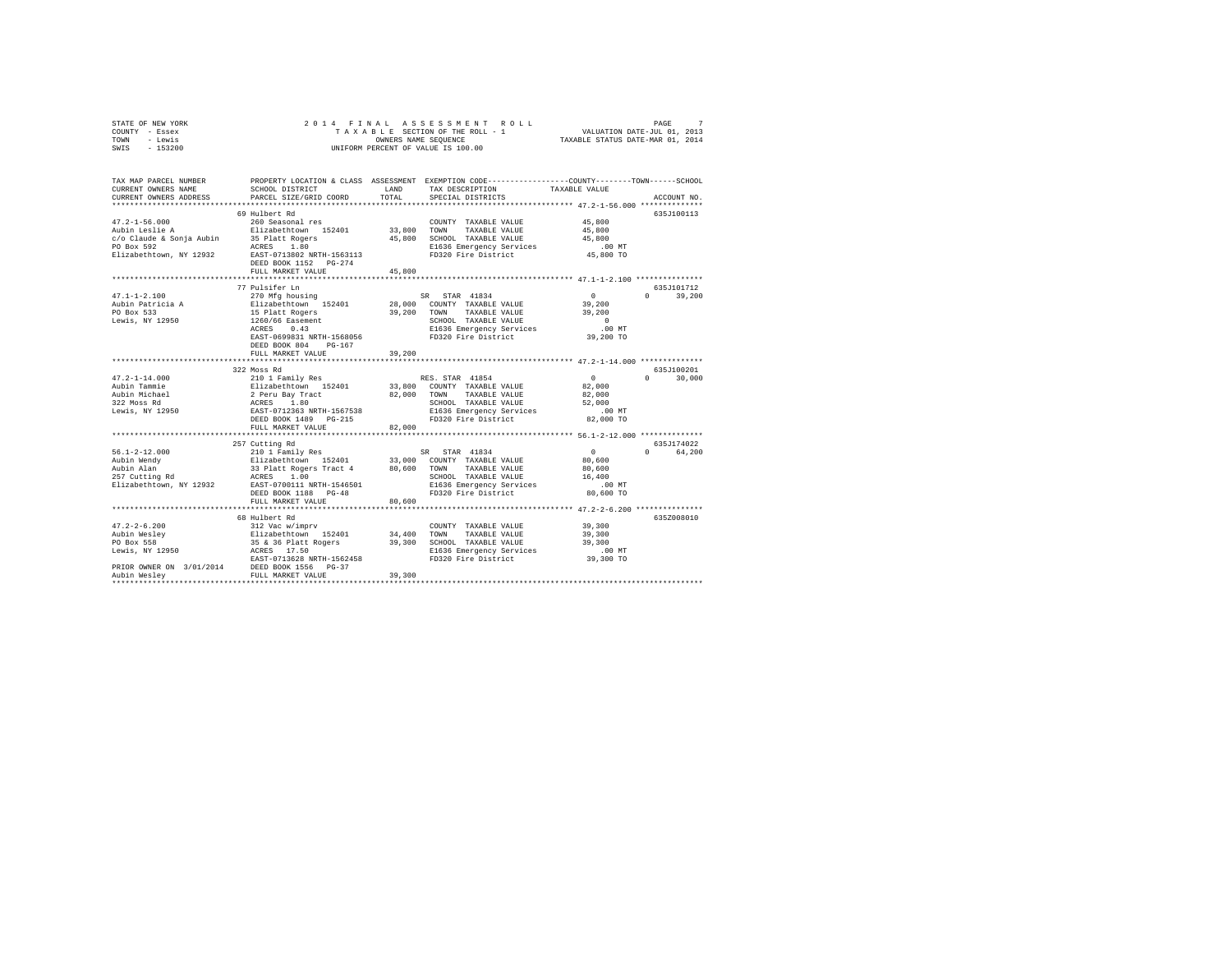| STATE OF NEW YORK | 2014 FINAL ASSESSMENT ROLL         | PAGE                             |
|-------------------|------------------------------------|----------------------------------|
| COUNTY - Essex    | TAXABLE SECTION OF THE ROLL - 1    | VALUATION DATE-JUL 01, 2013      |
| TOWN<br>- Lewis   | OWNERS NAME SEOUENCE               | TAXABLE STATUS DATE-MAR 01, 2014 |
| $-153200$<br>SWIS | UNIFORM PERCENT OF VALUE IS 100.00 |                                  |

| TAX MAP PARCEL NUMBER<br>CURRENT OWNERS NAME<br>CURRENT OWNERS ADDRESS                                          | SCHOOL DISTRICT<br>PARCEL SIZE/GRID COORD<br>***********************                                                                                                                                                       | LAND<br>TOTAL              | PROPERTY LOCATION & CLASS ASSESSMENT EXEMPTION CODE-----------------COUNTY-------TOWN------SCHOOL<br>TAX DESCRIPTION<br>SPECIAL DISTRICTS        | TAXABLE VALUE                                                                                | ACCOUNT NO.           |
|-----------------------------------------------------------------------------------------------------------------|----------------------------------------------------------------------------------------------------------------------------------------------------------------------------------------------------------------------------|----------------------------|--------------------------------------------------------------------------------------------------------------------------------------------------|----------------------------------------------------------------------------------------------|-----------------------|
| $47.2 - 1 - 56.000$<br>Aubin Leslie A<br>c/o Claude & Sonja Aubin<br>PO Box 592<br>Elizabethtown, NY 12932      | 69 Hulbert Rd<br>260 Seasonal res<br>Elizabethtown 152401<br>35 Platt Rogers<br>ACRES 1.80<br>EAST-0713802 NRTH-1563113<br>DEED BOOK 1152 PG-274<br>FULL MARKET VALUE                                                      | 33,800<br>45,800<br>45,800 | COUNTY TAXABLE VALUE<br>TOWN<br>TAXABLE VALUE<br>SCHOOL TAXABLE VALUE<br>E1636 Emergency Services<br>FD320 Fire District                         | 45,800<br>45,800<br>45,800<br>$.00$ MT<br>45,800 TO                                          | 635J100113            |
| $47.1 - 1 - 2.100$<br>Aubin Patricia A<br>PO Box 533<br>Lewis. NY 12950                                         | 77 Pulsifer Ln<br>270 Mfg housing<br>Elizabethtown 152401<br>15 Platt Rogers<br>1260/66 Easement<br>0.43<br>ACRES<br>EAST-0699831 NRTH-1568056<br>DEED BOOK 804<br>$PG-167$<br>FULL MARKET VALUE<br>********************** | 39,200<br>39,200           | SR STAR 41834<br>28,000 COUNTY TAXABLE VALUE<br>TAXABLE VALUE<br>TOWN<br>SCHOOL TAXABLE VALUE<br>E1636 Emergency Services<br>FD320 Fire District | $\Omega$<br>$\circ$<br>39,200<br>39,200<br>$\Omega$<br>.00MT<br>39,200 TO                    | 635.T101712<br>39,200 |
| $47.2 - 1 - 14.000$<br>Aubin Tammie<br>Aubin Michael<br><sup>999</sup> Moss Rd<br>Lewis, NY 12950               | 322 Moss Rd<br>210 1 Family Res<br>Elizabethtown 152401<br>2 Peru Bay Tract<br>ACRES 1.80<br>EAST-0712363 NRTH-1567538                                                                                                     | 33,800<br>82,000           | RES. STAR 41854<br>COUNTY TAXABLE VALUE<br>TOWN<br>TAXABLE VALUE<br>SCHOOL TAXABLE VALUE<br>E1636 Emergency Services                             | $\circ$<br>$\cap$<br>82,000<br>82,000<br>52,000<br>$.00$ MT                                  | 635J100201<br>30,000  |
|                                                                                                                 | DEED BOOK 1489<br>PG-215<br>FULL MARKET VALUE<br>*************************                                                                                                                                                 | 82,000                     | FD320 Fire District<br>***************************** 56.1-2-12.000 **************                                                                | 82,000 TO                                                                                    |                       |
| $56.1 - 2 - 12.000$<br>Aubin Wendy<br>Aubin Alan<br>257 Cutting Rd<br>Elizabethtown, NY 12932                   | 257 Cutting Rd<br>210 1 Family Res<br>210 1 Family Res<br>Elizabethtown 152401 33,000<br>33 Platt Rogers Tract 4 80,600<br>ACRES 1.00<br>EAST-0700111 NRTH-1546501<br>DEED BOOK 1188<br>$PG-48$<br>FULL MARKET VALUE       | 80,600                     | SR STAR 41834<br>33,000 COUNTY TAXABLE VALUE<br>TAXABLE VALUE<br>TOWN<br>SCHOOL TAXABLE VALUE<br>E1636 Emergency Services<br>FD320 Fire District | $\sim$ 0<br>$\Omega$<br>80,600<br>80,600<br>16,400<br>.00 MT<br>80,600 TO                    | 635J174022<br>64,200  |
| $47.2 - 2 - 6.200$<br>Aubin Wesley<br>PO Box 558<br>Lewis, NY 12950<br>PRIOR OWNER ON 3/01/2014<br>Aubin Weslev | 68 Hulbert Rd<br>68 Hulbert Au<br>312 Vac W/imprv<br>Elizabethtown 152401<br>35 & 36 Platt Rogers<br>- 17.50<br>EAST-0713628 NRTH-1562458<br>DEED BOOK 1556<br>$PG-37$<br>FULL MARKET VALUE                                | 34,400<br>39,300<br>39,300 | COUNTY TAXABLE VALUE<br>TOWN<br>TAXABLE VALUE<br>SCHOOL TAXABLE VALUE<br>E1636 Emergency Services<br>FD320 Fire District                         | ************* 47.2-2-6.200 ************<br>39,300<br>39,300<br>39,300<br>.00 MT<br>39,300 TO | 635Z008010            |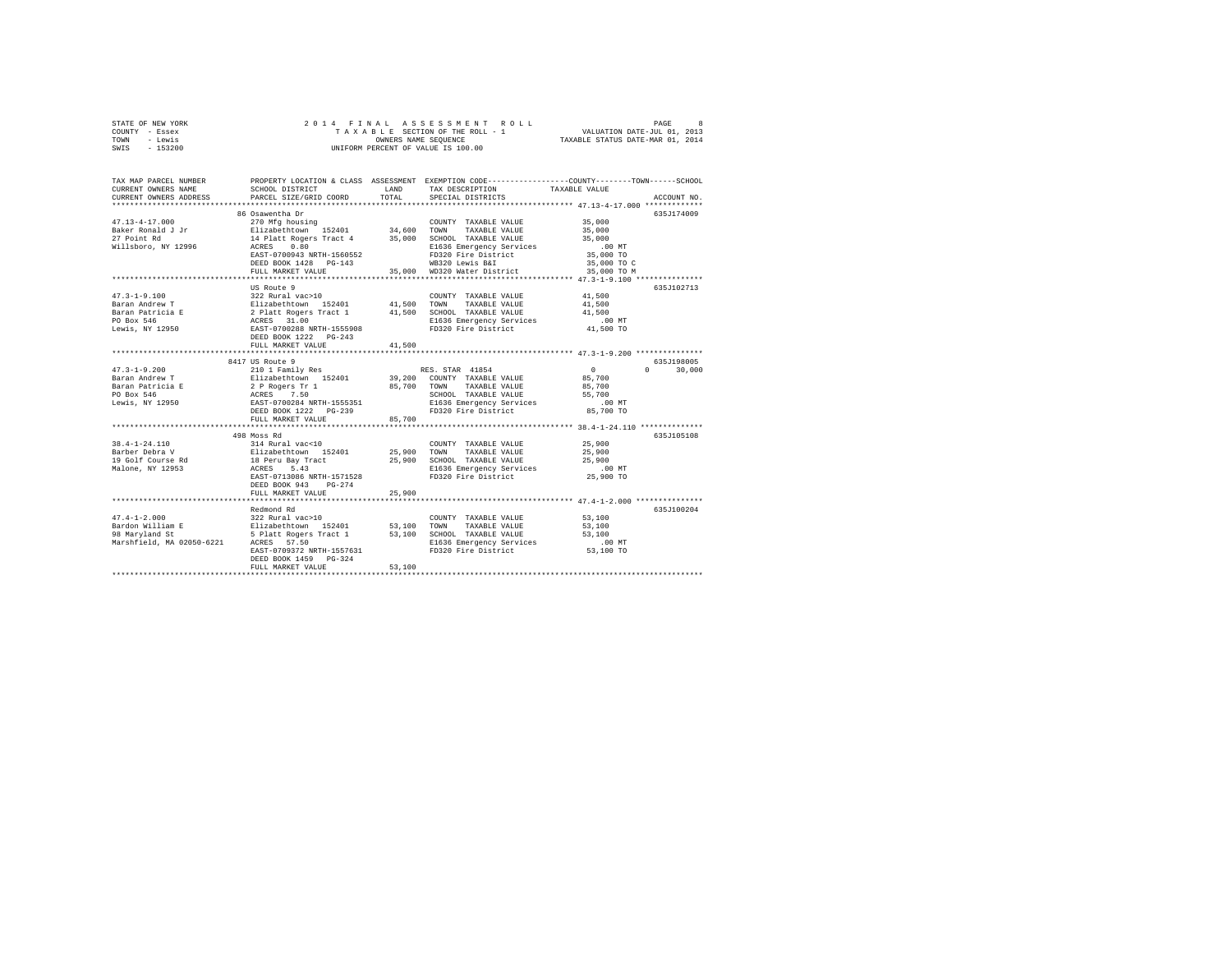| STATE OF NEW YORK | 2014 FINAL ASSESSMENT ROLL         | PAGE                             |
|-------------------|------------------------------------|----------------------------------|
| COUNTY - Essex    | TAXABLE SECTION OF THE ROLL - 1    | VALUATION DATE-JUL 01, 2013      |
| TOWN<br>- Lewis   | OWNERS NAME SEOUENCE               | TAXABLE STATUS DATE-MAR 01, 2014 |
| $-153200$<br>SWIS | UNIFORM PERCENT OF VALUE IS 100.00 |                                  |

| TAX MAP PARCEL NUMBER<br>CURRENT OWNERS NAME                                                                                                                                                                                         | SCHOOL DISTRICT                                | LAND   | TAX DESCRIPTION                                                                 | PROPERTY LOCATION & CLASS ASSESSMENT EXEMPTION CODE----------------COUNTY-------TOWN------SCHOOL<br>TAXABLE VALUE |
|--------------------------------------------------------------------------------------------------------------------------------------------------------------------------------------------------------------------------------------|------------------------------------------------|--------|---------------------------------------------------------------------------------|-------------------------------------------------------------------------------------------------------------------|
| CURRENT OWNERS ADDRESS                                                                                                                                                                                                               | PARCEL SIZE/GRID COORD                         | TOTAL  | SPECIAL DISTRICTS                                                               | ACCOUNT NO.                                                                                                       |
|                                                                                                                                                                                                                                      | 86 Osawentha Dr                                |        |                                                                                 | 635J174009                                                                                                        |
| $47.13 - 4 - 17.000$                                                                                                                                                                                                                 | 270 Mfg housing                                |        | COUNTY TAXABLE VALUE 35,000                                                     |                                                                                                                   |
| Baker Ronald J Jr                                                                                                                                                                                                                    | Elizabethtown 152401 34,600 TOWN TAXABLE VALUE |        |                                                                                 | 35,000                                                                                                            |
| 27 Point Rd                                                                                                                                                                                                                          | 14 Platt Rogers Tract 4                        |        | 35,000 SCHOOL TAXABLE VALUE                                                     | 35,000                                                                                                            |
| Willsboro, NY 12996 ACRES 0.80                                                                                                                                                                                                       |                                                |        | E1636 Emergency Services                                                        | $.00$ MT                                                                                                          |
|                                                                                                                                                                                                                                      | EAST-0700943 NRTH-1560552                      |        | FD320 Fire District                                                             | 00 MT.<br>35,000 TO                                                                                               |
|                                                                                                                                                                                                                                      | DEED BOOK 1428 PG-143                          |        | WB320 Lewis B&I                                                                 | 35,000 TO C                                                                                                       |
|                                                                                                                                                                                                                                      | FULL MARKET VALUE                              |        | 35,000 WD320 Water District                                                     | 35,000 TO M                                                                                                       |
|                                                                                                                                                                                                                                      |                                                |        |                                                                                 |                                                                                                                   |
|                                                                                                                                                                                                                                      | US Route 9                                     |        |                                                                                 | 635J102713                                                                                                        |
| $47.3 - 1 - 9.100$                                                                                                                                                                                                                   | 322 Rural vac>10                               |        | COUNTY TAXABLE VALUE 41,500                                                     |                                                                                                                   |
| Baran Andrew T                                                                                                                                                                                                                       | Elizabethtown 152401                           |        | 41,500 TOWN TAXABLE VALUE                                                       | 41,500                                                                                                            |
|                                                                                                                                                                                                                                      |                                                |        |                                                                                 |                                                                                                                   |
|                                                                                                                                                                                                                                      |                                                |        |                                                                                 | $.00$ MT                                                                                                          |
| Baran Patricia E – 2 Platt Rogers Tract 1 – 41,500 SCHOOL TAXABLE VALUE – 41,500<br>Po Box 546 – 2 Platt Rogers Tract 1 – 41,500 SCHOOL TAXABLE VALUE – 41,500<br>Po MCRES 11.000 – 2 PLATT – 41,500 – 41,500 – 41,500 – 41,500 – 41 |                                                |        |                                                                                 | 41,500 TO                                                                                                         |
|                                                                                                                                                                                                                                      | DEED BOOK 1222 PG-243                          |        |                                                                                 |                                                                                                                   |
|                                                                                                                                                                                                                                      | FULL MARKET VALUE                              | 41,500 |                                                                                 |                                                                                                                   |
|                                                                                                                                                                                                                                      |                                                |        |                                                                                 |                                                                                                                   |
|                                                                                                                                                                                                                                      | 8417 US Route 9                                |        |                                                                                 | 635J198005                                                                                                        |
|                                                                                                                                                                                                                                      |                                                |        |                                                                                 | $\sim$ 0<br>$\Omega$<br>30,000                                                                                    |
|                                                                                                                                                                                                                                      |                                                |        |                                                                                 | 85,700                                                                                                            |
|                                                                                                                                                                                                                                      |                                                |        |                                                                                 | 85,700                                                                                                            |
|                                                                                                                                                                                                                                      |                                                |        |                                                                                 | 55,700                                                                                                            |
|                                                                                                                                                                                                                                      |                                                |        | E1636 Emergency Services .00 MT<br>FD320 Fire District 85,700 TO                |                                                                                                                   |
|                                                                                                                                                                                                                                      |                                                |        |                                                                                 |                                                                                                                   |
|                                                                                                                                                                                                                                      | FULL MARKET VALUE                              | 85,700 |                                                                                 |                                                                                                                   |
|                                                                                                                                                                                                                                      |                                                |        |                                                                                 |                                                                                                                   |
| 498 Moss KG<br>394-1-24.110 498 Moss KG<br>314-1-24.110 25,900 TOWN TAXABLE VALUE 25,900<br>Barber Pebra V Elizabethtown 152401 25,900 TOWN TAXABLE VALUE 25,900<br>19 Golf Course Rd arress 5.43  E1636 Emergency Services<br>19 G  |                                                |        |                                                                                 | 635J105108                                                                                                        |
|                                                                                                                                                                                                                                      |                                                |        |                                                                                 |                                                                                                                   |
|                                                                                                                                                                                                                                      |                                                |        |                                                                                 |                                                                                                                   |
|                                                                                                                                                                                                                                      |                                                |        |                                                                                 |                                                                                                                   |
|                                                                                                                                                                                                                                      |                                                |        |                                                                                 |                                                                                                                   |
|                                                                                                                                                                                                                                      | DEED BOOK 943 PG-274                           |        |                                                                                 |                                                                                                                   |
|                                                                                                                                                                                                                                      | FULL MARKET VALUE                              | 25,900 |                                                                                 |                                                                                                                   |
|                                                                                                                                                                                                                                      |                                                |        |                                                                                 |                                                                                                                   |
|                                                                                                                                                                                                                                      | Redmond Rd                                     |        |                                                                                 | 635J100204                                                                                                        |
| $47.4 - 1 - 2.000$                                                                                                                                                                                                                   | 322 Rural vac>10                               |        | COUNTY TAXABLE VALUE                                                            | 53,100                                                                                                            |
|                                                                                                                                                                                                                                      | Elizabethtown 152401                           |        |                                                                                 | 53,100                                                                                                            |
| Bardon William E<br>98 Marvland St                                                                                                                                                                                                   | 5 Platt Rogers Tract 1                         |        | 53,100 TOWN TAXABLE VALUE<br>53,100 SCHOOL TAXABLE VALUE                        | 53,100                                                                                                            |
| Marshfield, MA 02050-6221                                                                                                                                                                                                            | ACRES 57.50                                    |        |                                                                                 |                                                                                                                   |
|                                                                                                                                                                                                                                      | EAST-0709372 NRTH-1557631                      |        | SUE 26 Emergency Services 1636 Emergency Services 1636 Demergency Services 2018 |                                                                                                                   |
|                                                                                                                                                                                                                                      | DEED BOOK 1459 PG-324                          |        |                                                                                 |                                                                                                                   |
|                                                                                                                                                                                                                                      | FULL MARKET VALUE                              | 53,100 |                                                                                 |                                                                                                                   |
|                                                                                                                                                                                                                                      |                                                |        |                                                                                 |                                                                                                                   |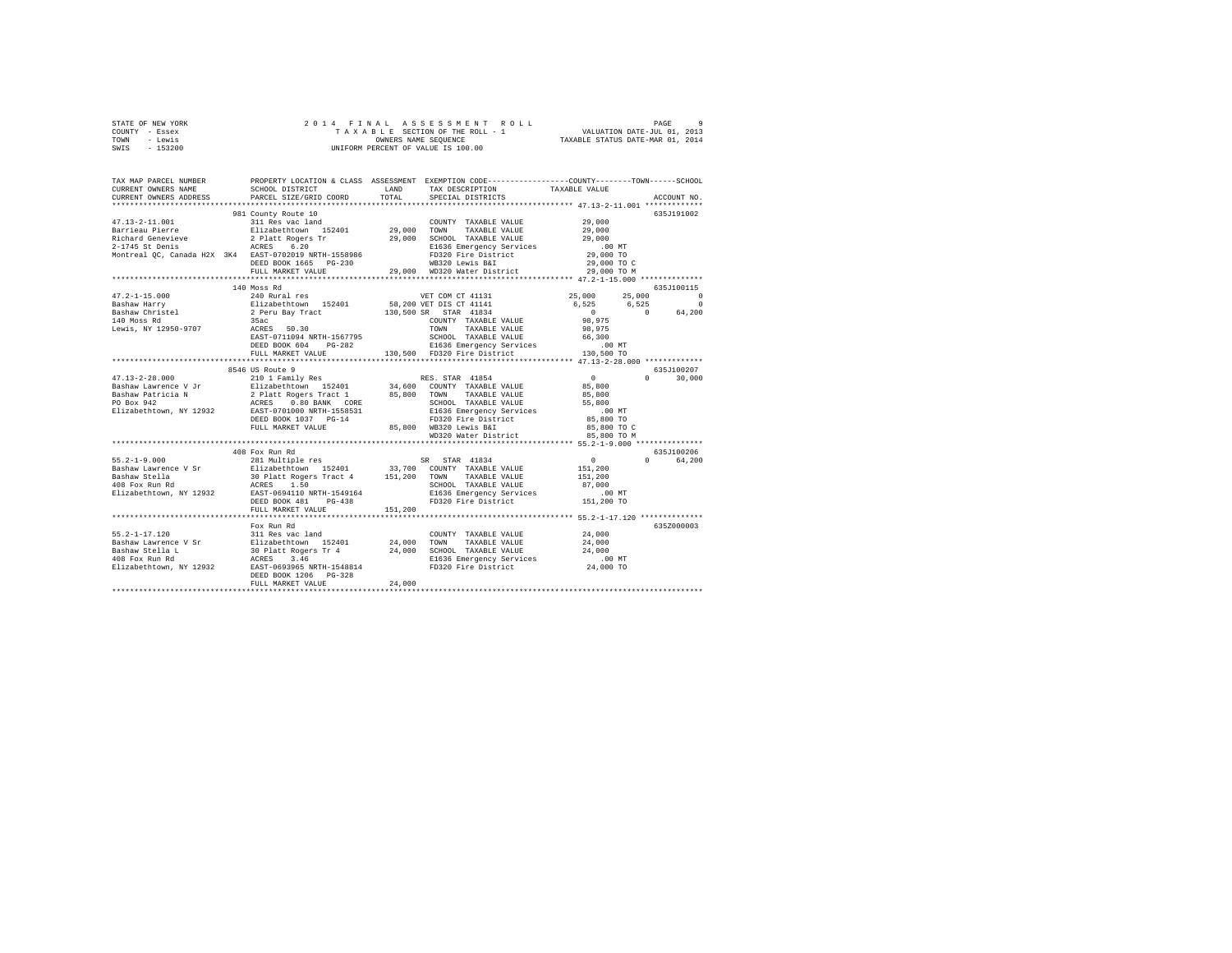| STATE OF NEW YORK | 2014 FINAL ASSESSMENT ROLL         | $\alpha$<br>PAGE                 |
|-------------------|------------------------------------|----------------------------------|
| COUNTY - Essex    | TAXABLE SECTION OF THE ROLL - 1    | VALUATION DATE-JUL 01, 2013      |
| TOWN<br>- Lewis   | OWNERS NAME SEOUENCE               | TAXABLE STATUS DATE-MAR 01, 2014 |
| - 153200<br>SWIS  | UNIFORM PERCENT OF VALUE IS 100.00 |                                  |

| TAX MAP PARCEL NUMBER<br>CURRENT OWNERS NAME                 | SCHOOL DISTRICT                                                                                                                                               | LAND        | PROPERTY LOCATION & CLASS ASSESSMENT EXEMPTION CODE----------------COUNTY-------TOWN------SCHOOL<br>TAX DESCRIPTION | TAXABLE VALUE                                 |             |
|--------------------------------------------------------------|---------------------------------------------------------------------------------------------------------------------------------------------------------------|-------------|---------------------------------------------------------------------------------------------------------------------|-----------------------------------------------|-------------|
| CURRENT OWNERS ADDRESS<br>***********************            | PARCEL SIZE/GRID COORD                                                                                                                                        | TOTAL       | SPECIAL DISTRICTS                                                                                                   |                                               | ACCOUNT NO. |
|                                                              | 981 County Route 10                                                                                                                                           |             |                                                                                                                     |                                               | 635.7191002 |
| $47.13 - 2 - 11.001$<br>Barrieau Pierre<br>Richard Genevieve | 311 Res vac land<br>Elizabethtown 152401                                                                                                                      | 29,000 TOWN | COUNTY TAXABLE VALUE<br>TAXABLE VALUE                                                                               | 29,000<br>29,000                              |             |
| $2-1745$ St Denis                                            | 2 Platt Rogers Tr<br>ACRES 6.20                                                                                                                               | 29,000      | SCHOOL TAXABLE VALUE<br>E1636 Emergency Services                                                                    | 29,000<br>$.00$ MT                            |             |
|                                                              | Montreal OC. Canada H2X 3K4 EAST-0702019 NRTH-1558986                                                                                                         |             | FD320 Fire District                                                                                                 | 29,000 TO                                     |             |
|                                                              | DEED BOOK 1665 PG-230                                                                                                                                         |             | WB320 Lewis B&I                                                                                                     | 29,000 TO C                                   |             |
|                                                              | FULL MARKET VALUE                                                                                                                                             |             | 29,000 WD320 Water District                                                                                         | 29,000 TO M                                   |             |
|                                                              | *********************                                                                                                                                         |             |                                                                                                                     | **************** 47.2-1-15.000 ************** |             |
|                                                              | 140 Moss Rd                                                                                                                                                   |             |                                                                                                                     |                                               | 635J100115  |
| $47.2 - 1 - 15.000$                                          | 240 Rural res                                                                                                                                                 |             | VET COM CT 41131                                                                                                    | 25,000<br>25,000                              | $^{\circ}$  |
|                                                              |                                                                                                                                                               |             | 58,200 VET DIS CT 41141                                                                                             | 6.525<br>6.525                                | $\circ$     |
|                                                              | Elizabethtown 152401<br>2 Peru Bay Tract                                                                                                                      | 130,500 SR  | $STAR$ 41834                                                                                                        | $\sim$ 0<br>$\sim$ 0                          | 64,200      |
| 4/.4-1-1-1<br>Bashaw Harry<br>Bashaw Christel<br>*** Moss Rd | 35ac                                                                                                                                                          |             | COUNTY TAXABLE VALUE                                                                                                | 98,975                                        |             |
| Lewis, NY 12950-9707                                         | ACRES<br>50.30                                                                                                                                                |             | TOWN<br>TAXABLE VALUE                                                                                               | 98,975                                        |             |
|                                                              | EAST-0711094 NRTH-1567795                                                                                                                                     |             | SCHOOL TAXABLE VALUE                                                                                                | 66,300                                        |             |
|                                                              | DEED BOOK 604                                                                                                                                                 |             | PG-282 E1636 Emergency Services                                                                                     | $.00$ MT                                      |             |
|                                                              | FULL MARKET VALUE                                                                                                                                             |             | 130.500 FD320 Fire District                                                                                         | 130,500 TO                                    |             |
|                                                              | *************************                                                                                                                                     |             |                                                                                                                     |                                               |             |
|                                                              | 8546 US Route 9                                                                                                                                               |             |                                                                                                                     |                                               | 635J100207  |
| $47.13 - 2 - 28.000$                                         | 210 1 Family Res                                                                                                                                              |             | RES. STAR 41854                                                                                                     | $\sim$ 0<br>$\mathbf{r}$<br>85,800            | 30,000      |
| Bashaw Lawrence V Jr                                         | Elizabethtown 152401 34,600 COUNT<br>2 Platt Rogers Tract 1 85,800 TOWN<br>ACRES 0.80 BANK CORE SCHOO                                                         |             | COUNTY TAXABLE VALUE<br>TAXABLE VALUE                                                                               |                                               |             |
| Bashaw Patricia N<br>PO Box 942                              |                                                                                                                                                               |             | SCHOOL TAXABLE VALUE                                                                                                | 85,800<br>55,800                              |             |
| Elizabethtown, NY 12932                                      | EAST-0701000 NRTH-1558531                                                                                                                                     |             | E1636 Emergency Services                                                                                            | $.00$ MT                                      |             |
|                                                              | DEED BOOK 1037 PG-14                                                                                                                                          |             | FD320 Fire District                                                                                                 | 85,800 TO                                     |             |
|                                                              | FULL MARKET VALUE                                                                                                                                             |             | 85,800 WB320 Lewis B&I                                                                                              | 85,800 TO C                                   |             |
|                                                              |                                                                                                                                                               |             | WB320 Lewis B&I<br>WD320 Water District                                                                             | 85,800 TO M                                   |             |
|                                                              |                                                                                                                                                               |             |                                                                                                                     |                                               |             |
|                                                              | 408 Fox Run Rd                                                                                                                                                |             |                                                                                                                     |                                               | 635J100206  |
| $55.2 - 1 - 9.000$                                           | 281 Multiple res                                                                                                                                              |             | SR STAR 41834                                                                                                       | $\sim$ 0                                      | 0 64.200    |
|                                                              |                                                                                                                                                               |             | COUNTY TAXABLE VALUE                                                                                                | 151,200                                       |             |
|                                                              |                                                                                                                                                               |             | TOWN TAXABLE VALUE                                                                                                  | 151,200                                       |             |
|                                                              |                                                                                                                                                               |             | SCHOOL TAXABLE VALUE                                                                                                | 87,000                                        |             |
|                                                              |                                                                                                                                                               |             | E1636 Emergency Services                                                                                            | $.00$ MT                                      |             |
|                                                              | $PG-438$<br>DEED BOOK 481                                                                                                                                     |             | FD320 Fire District                                                                                                 | 151,200 TO                                    |             |
|                                                              | FULL MARKET VALUE                                                                                                                                             | 151,200     |                                                                                                                     |                                               |             |
|                                                              |                                                                                                                                                               |             |                                                                                                                     |                                               |             |
|                                                              | Fox Run Rd                                                                                                                                                    |             |                                                                                                                     |                                               | 6357000003  |
| 55.2-1-17.120                                                | 311 Res vac land                                                                                                                                              | 24,000 TOWN | COUNTY TAXABLE VALUE                                                                                                | 24,000                                        |             |
|                                                              |                                                                                                                                                               |             | TAXABLE VALUE                                                                                                       | 24,000                                        |             |
|                                                              |                                                                                                                                                               |             | SCHOOL TAXABLE VALUE<br>E1636 Emergency Services                                                                    | 24,000<br>$.00$ MT                            |             |
|                                                              | 33.4-1-1.1.20<br>Bashaw Stella L (1998) 211 as 102 103101 124,000<br>Bashaw Stella L (1998) 2011 224,000<br>Elizabethtown, NY 12932 EAST-0693965 NRTH-1548814 |             | FD320 Fire District                                                                                                 | 24,000 TO                                     |             |
|                                                              | DEED BOOK 1206 PG-328                                                                                                                                         |             |                                                                                                                     |                                               |             |
|                                                              | FULL MARKET VALUE                                                                                                                                             | 24,000      |                                                                                                                     |                                               |             |
|                                                              |                                                                                                                                                               |             |                                                                                                                     |                                               |             |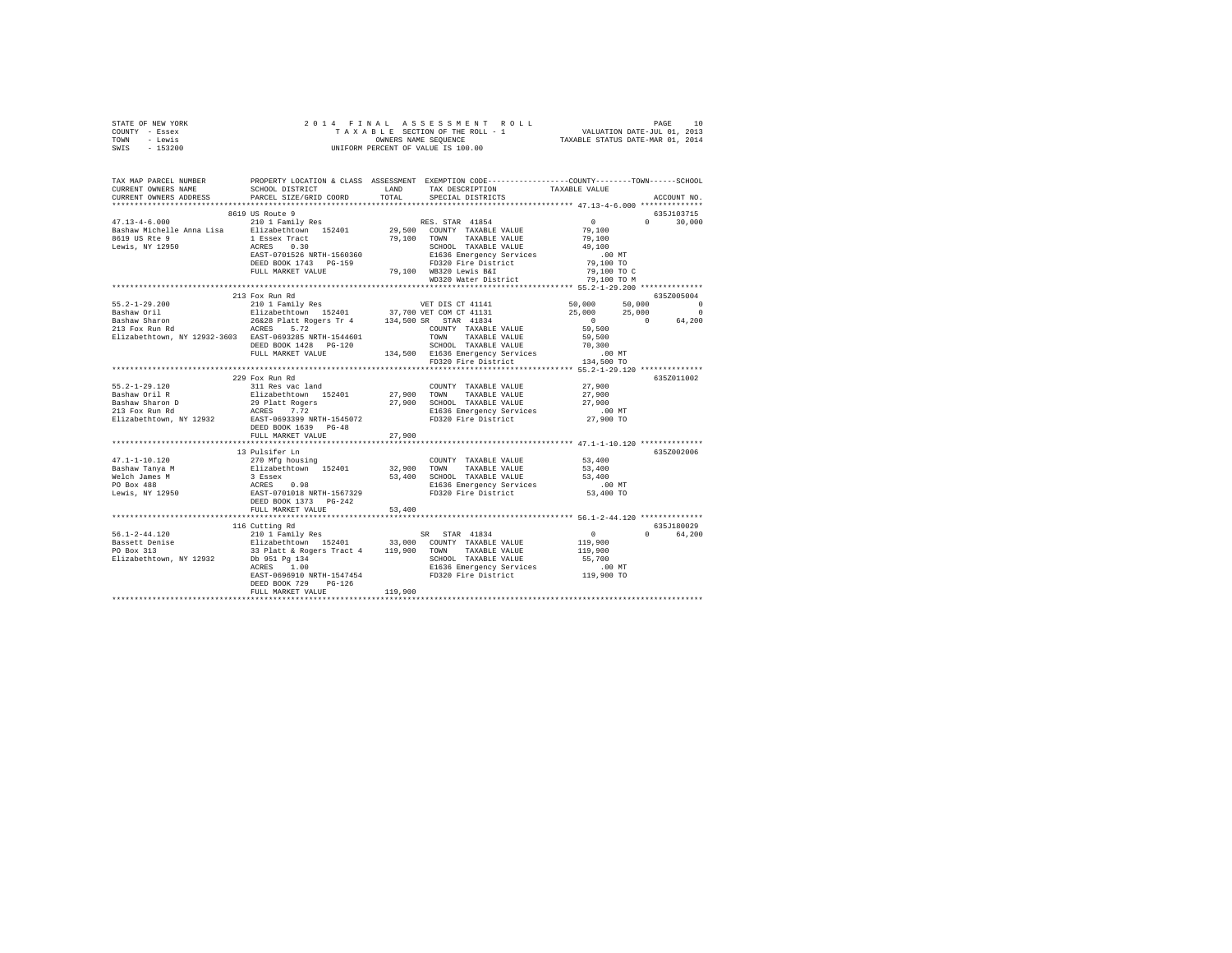| STATE OF NEW YORK                                                                                                                                                                                                                                                                                                                                                                                                 |                      |         |                                                                                                                                                                                 |           |               |
|-------------------------------------------------------------------------------------------------------------------------------------------------------------------------------------------------------------------------------------------------------------------------------------------------------------------------------------------------------------------------------------------------------------------|----------------------|---------|---------------------------------------------------------------------------------------------------------------------------------------------------------------------------------|-----------|---------------|
| COUNTY - Essex                                                                                                                                                                                                                                                                                                                                                                                                    |                      |         |                                                                                                                                                                                 |           |               |
| TOWN - Lewis                                                                                                                                                                                                                                                                                                                                                                                                      |                      |         |                                                                                                                                                                                 |           |               |
| SWIS - 153200                                                                                                                                                                                                                                                                                                                                                                                                     |                      |         |                                                                                                                                                                                 |           |               |
|                                                                                                                                                                                                                                                                                                                                                                                                                   |                      |         |                                                                                                                                                                                 |           |               |
|                                                                                                                                                                                                                                                                                                                                                                                                                   |                      |         |                                                                                                                                                                                 |           |               |
|                                                                                                                                                                                                                                                                                                                                                                                                                   |                      |         |                                                                                                                                                                                 |           |               |
|                                                                                                                                                                                                                                                                                                                                                                                                                   |                      |         |                                                                                                                                                                                 |           |               |
|                                                                                                                                                                                                                                                                                                                                                                                                                   |                      |         | SCHOOL DISTRICT TAND TAX DESCRIPTION TAXABLE VALUE                                                                                                                              |           |               |
| CURRENT OWNERS ADDRESS PARCEL SIZE/GRID COORD                                                                                                                                                                                                                                                                                                                                                                     |                      | TOTAL   | SPECIAL DISTRICTS                                                                                                                                                               |           | ACCOUNT NO.   |
|                                                                                                                                                                                                                                                                                                                                                                                                                   |                      |         |                                                                                                                                                                                 |           |               |
|                                                                                                                                                                                                                                                                                                                                                                                                                   |                      |         |                                                                                                                                                                                 |           |               |
|                                                                                                                                                                                                                                                                                                                                                                                                                   |                      |         |                                                                                                                                                                                 |           | 635J103715    |
|                                                                                                                                                                                                                                                                                                                                                                                                                   |                      |         |                                                                                                                                                                                 |           | $0 \t 30,000$ |
|                                                                                                                                                                                                                                                                                                                                                                                                                   |                      |         |                                                                                                                                                                                 |           |               |
|                                                                                                                                                                                                                                                                                                                                                                                                                   |                      |         |                                                                                                                                                                                 |           |               |
|                                                                                                                                                                                                                                                                                                                                                                                                                   |                      |         |                                                                                                                                                                                 |           |               |
|                                                                                                                                                                                                                                                                                                                                                                                                                   |                      |         |                                                                                                                                                                                 |           |               |
|                                                                                                                                                                                                                                                                                                                                                                                                                   |                      |         |                                                                                                                                                                                 |           |               |
|                                                                                                                                                                                                                                                                                                                                                                                                                   |                      |         |                                                                                                                                                                                 |           |               |
|                                                                                                                                                                                                                                                                                                                                                                                                                   |                      |         |                                                                                                                                                                                 |           |               |
|                                                                                                                                                                                                                                                                                                                                                                                                                   |                      |         |                                                                                                                                                                                 |           |               |
|                                                                                                                                                                                                                                                                                                                                                                                                                   | 213 Fox Run Rd       |         |                                                                                                                                                                                 |           | 6352005004    |
|                                                                                                                                                                                                                                                                                                                                                                                                                   |                      |         |                                                                                                                                                                                 |           |               |
|                                                                                                                                                                                                                                                                                                                                                                                                                   |                      |         |                                                                                                                                                                                 |           |               |
|                                                                                                                                                                                                                                                                                                                                                                                                                   |                      |         |                                                                                                                                                                                 |           |               |
|                                                                                                                                                                                                                                                                                                                                                                                                                   |                      |         |                                                                                                                                                                                 |           |               |
|                                                                                                                                                                                                                                                                                                                                                                                                                   |                      |         |                                                                                                                                                                                 |           |               |
|                                                                                                                                                                                                                                                                                                                                                                                                                   |                      |         |                                                                                                                                                                                 |           |               |
|                                                                                                                                                                                                                                                                                                                                                                                                                   |                      |         |                                                                                                                                                                                 |           |               |
|                                                                                                                                                                                                                                                                                                                                                                                                                   |                      |         |                                                                                                                                                                                 |           |               |
|                                                                                                                                                                                                                                                                                                                                                                                                                   |                      |         |                                                                                                                                                                                 |           |               |
|                                                                                                                                                                                                                                                                                                                                                                                                                   |                      |         |                                                                                                                                                                                 |           |               |
|                                                                                                                                                                                                                                                                                                                                                                                                                   | 229 Fox Run Rd       |         |                                                                                                                                                                                 |           | 635Z011002    |
| 55.2-1-29.120<br>Bashaw Oril R                                                                                                                                                                                                                                                                                                                                                                                    | 311 Res vac land     |         | COUNTY TAXABLE VALUE                                                                                                                                                            | 27,900    |               |
|                                                                                                                                                                                                                                                                                                                                                                                                                   |                      |         |                                                                                                                                                                                 | 27,900    |               |
|                                                                                                                                                                                                                                                                                                                                                                                                                   |                      |         |                                                                                                                                                                                 |           |               |
| Bashaw Sharon D<br>213 Fox Run Rd                                                                                                                                                                                                                                                                                                                                                                                 |                      |         | --- --- -سال ------<br>Elizabethtown 152401 27,900 TOWN TAXABLE VALUE<br>29 Platt Rogers 27,900 SCHOOL TAXABLE VALUE<br>27,900 SCHOOL TAXABLE VALUE<br>21636 Emergency Services |           |               |
|                                                                                                                                                                                                                                                                                                                                                                                                                   |                      |         |                                                                                                                                                                                 |           |               |
|                                                                                                                                                                                                                                                                                                                                                                                                                   |                      |         |                                                                                                                                                                                 |           |               |
|                                                                                                                                                                                                                                                                                                                                                                                                                   | DEED BOOK 1639 PG-48 |         |                                                                                                                                                                                 |           |               |
|                                                                                                                                                                                                                                                                                                                                                                                                                   | FULL MARKET VALUE    | 27,900  |                                                                                                                                                                                 |           |               |
|                                                                                                                                                                                                                                                                                                                                                                                                                   |                      |         |                                                                                                                                                                                 |           |               |
| $\begin{tabular}{l c c c c} \multicolumn{2}{c}{\textbf{47.1--1--10.120}} & \multicolumn{2}{c}{\textbf{32.101}} & \multicolumn{2}{c}{\textbf{33.101}} & \multicolumn{2}{c}{\textbf{34.101}} & \multicolumn{2}{c}{\textbf{35.101}} & \multicolumn{2}{c}{\textbf{36.101}} & \multicolumn{2}{c}{\textbf{37.10}} & \multicolumn{2}{c}{\textbf{38.10}} & \multicolumn{2}{c}{\textbf{39.10}} & \multicolumn{2}{c}{\text$ |                      |         |                                                                                                                                                                                 |           | 635Z002006    |
|                                                                                                                                                                                                                                                                                                                                                                                                                   |                      |         | COUNTY TAXABLE VALUE 53.400                                                                                                                                                     |           |               |
|                                                                                                                                                                                                                                                                                                                                                                                                                   |                      |         |                                                                                                                                                                                 | 53,400    |               |
|                                                                                                                                                                                                                                                                                                                                                                                                                   |                      |         |                                                                                                                                                                                 | 53,400    |               |
|                                                                                                                                                                                                                                                                                                                                                                                                                   |                      |         |                                                                                                                                                                                 | .00 MT    |               |
|                                                                                                                                                                                                                                                                                                                                                                                                                   |                      |         |                                                                                                                                                                                 | 53,400 TO |               |
|                                                                                                                                                                                                                                                                                                                                                                                                                   |                      |         |                                                                                                                                                                                 |           |               |
|                                                                                                                                                                                                                                                                                                                                                                                                                   |                      |         |                                                                                                                                                                                 |           |               |
|                                                                                                                                                                                                                                                                                                                                                                                                                   |                      |         |                                                                                                                                                                                 |           |               |
|                                                                                                                                                                                                                                                                                                                                                                                                                   |                      |         |                                                                                                                                                                                 |           |               |
|                                                                                                                                                                                                                                                                                                                                                                                                                   | 116 Cutting Rd       |         |                                                                                                                                                                                 |           | 635J180029    |
|                                                                                                                                                                                                                                                                                                                                                                                                                   |                      |         |                                                                                                                                                                                 |           | 0 64,200      |
|                                                                                                                                                                                                                                                                                                                                                                                                                   |                      |         |                                                                                                                                                                                 |           |               |
|                                                                                                                                                                                                                                                                                                                                                                                                                   |                      |         |                                                                                                                                                                                 |           |               |
|                                                                                                                                                                                                                                                                                                                                                                                                                   |                      |         |                                                                                                                                                                                 |           |               |
|                                                                                                                                                                                                                                                                                                                                                                                                                   |                      |         |                                                                                                                                                                                 |           |               |
|                                                                                                                                                                                                                                                                                                                                                                                                                   |                      |         |                                                                                                                                                                                 |           |               |
|                                                                                                                                                                                                                                                                                                                                                                                                                   | DEED BOOK 729 PG-126 |         |                                                                                                                                                                                 |           |               |
|                                                                                                                                                                                                                                                                                                                                                                                                                   | FULL MARKET VALUE    | 119,900 |                                                                                                                                                                                 |           |               |
|                                                                                                                                                                                                                                                                                                                                                                                                                   |                      |         |                                                                                                                                                                                 |           |               |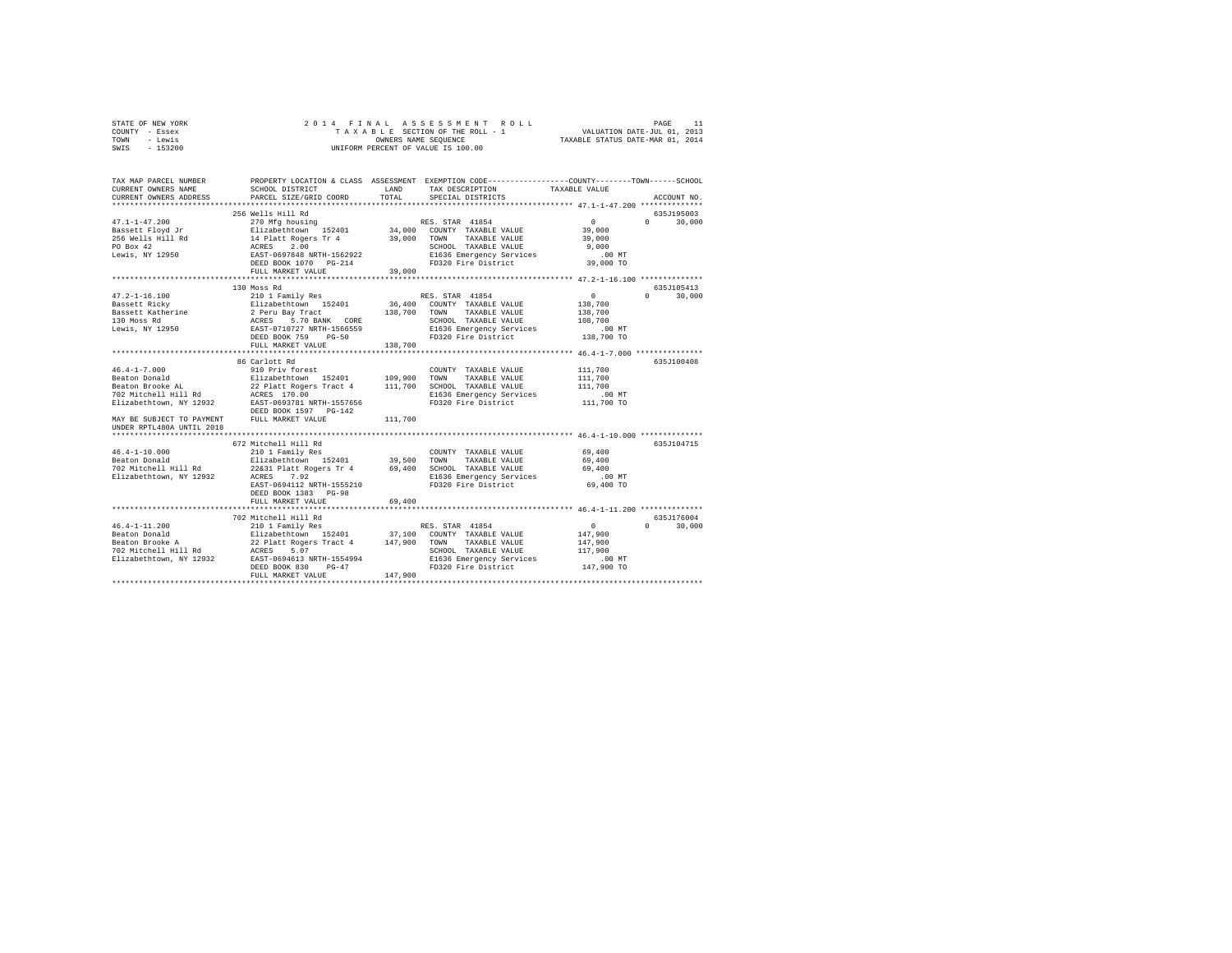| STATE OF NEW YORK | 2014 FINAL ASSESSMENT ROLL         | PAGE                             |
|-------------------|------------------------------------|----------------------------------|
| COUNTY - Essex    | TAXABLE SECTION OF THE ROLL - 1    | VALUATION DATE-JUL 01, 2013      |
| TOWN<br>- Lewis   | OWNERS NAME SEOUENCE               | TAXABLE STATUS DATE-MAR 01, 2014 |
| $-153200$<br>SWIS | UNIFORM PERCENT OF VALUE IS 100.00 |                                  |

| TAX MAP PARCEL NUMBER<br>CURRENT OWNERS NAME<br>CURRENT OWNERS ADDRESS                                                                                      | SCHOOL DISTRICT<br>PARCEL SIZE/GRID COORD                                                                                                                                                                                                                                                                                               | LAND<br>TOTAL      | PROPERTY LOCATION & CLASS ASSESSMENT EXEMPTION CODE----------------COUNTY-------TOWN------SCHOOL<br>TAX DESCRIPTION<br>SPECIAL DISTRICTS           | TAXABLE VALUE                                                           | ACCOUNT NO.                       |
|-------------------------------------------------------------------------------------------------------------------------------------------------------------|-----------------------------------------------------------------------------------------------------------------------------------------------------------------------------------------------------------------------------------------------------------------------------------------------------------------------------------------|--------------------|----------------------------------------------------------------------------------------------------------------------------------------------------|-------------------------------------------------------------------------|-----------------------------------|
|                                                                                                                                                             | ***************************                                                                                                                                                                                                                                                                                                             |                    |                                                                                                                                                    |                                                                         |                                   |
| $47.1 - 1 - 47.200$<br>Bassett Floyd Jr<br>256 Wells Hill Rd<br>PO Box 42<br>Lewis, NY 12950                                                                | 256 Wells Hill Rd<br>270 Mfg housing<br>Elizabethtown 152401 34,000 COUNTY TAXABLE VALUE<br>14 Platt Rogers Tr 4 39,000 TOWN TAXABLE VALUE<br>ACRES 2.00 TOWN TAXABLE VALUE<br>EAST-0697848 NRTH-1562922 ECHOOL TAXABLE VALUE<br>EAST-0697848 NRTH-1562922 EL636 Emergency Service<br>FULL MARKET VALUE                                 | 39,000             | RES. STAR 41854<br>SCHOOL TAXABLE VALUE<br>E1636 Emergency Services<br>FD320 Fire District 39,000 TO                                               | $\sim$ 0<br>39,000<br>39,000<br>9,000<br>$.00$ MT                       | 635J195003<br>$0 \t 30,000$       |
| $47.2 - 1 - 16.100$<br>Bassett Ricky<br>Bassett Katherine<br>130 Moss Rd<br>Lewis, NY 12950                                                                 | 130 Moss Rd<br>210 1 Family Res<br>Elizabethtown 152401<br>2 Peru Bay Tract<br>ACRES 5.70 BANK CORE<br>EAST-0710727 NRTH-1566559<br>DEED BOOK 759 PG-50<br>FULL MARKET VALUE                                                                                                                                                            | 138,700<br>138,700 | RES. STAR 41854<br>36,400 COUNTY TAXABLE VALUE<br>TAXABLE VALUE<br>TOWN<br>SCHOOL TAXABLE VALUE<br>E1636 Emergency Services<br>FD320 Fire District | $\overline{0}$<br>138,700<br>138,700<br>108,700<br>.00 MT<br>138,700 TO | 635.7105413<br>30,000<br>$\Omega$ |
| $46.4 - 1 - 7.000$<br>Beaton Donald<br>Beaton Brooke AL<br>702 Mitchell Hill Rd<br>MAY BE SUBJECT TO PAYMENT FULL MARKET VALUE<br>UNDER RPTL480A UNTIL 2018 | 86 Carlott Rd<br>910 Priv forest<br>Elizabethtown 152401 109,900<br>22 Platt Rogers Tract 4 111,700<br>ACRES 170.00<br>Vol Mitcheli 1111 Au 12932<br>Elizabethtown, NY 12932 1285T-0693781 NRTH-1557656<br>DEED BOOK 1597 PG-142                                                                                                        | 109,900<br>111,700 | COUNTY TAXABLE VALUE<br>TOWN<br>TAXABLE VALUE<br>SCHOOL TAXABLE VALUE<br>E1636 Emergency Services<br>FD320 Fire District                           | 111,700<br>111,700<br>111,700<br>$.00$ MT<br>111,700 TO                 | 635J100408                        |
| $46.4 - 1 - 10.000$<br>Beaton Donald<br>Elizabethtown, NY 12932                                                                                             | 672 Mitchell Hill Rd<br>210 1 Family Res<br>Elizabethtown 152401 39,500 TOWN<br>702 Mitchell Hill Rd 22&31 Platt Rogers Tr 4 69,400 SCHOOL TAXABLE VALUE<br>ACRES 7.92<br>EAST-0694112 NRTH-1555210<br>DEED BOOK 1383 PG-98<br>FULL MARKET VALUE                                                                                        | 69,400             | COUNTY TAXABLE VALUE<br>TAXABLE VALUE<br>E1636 Emergency Services<br>FD320 Fire District                                                           | 69,400<br>69,400<br>69,400<br>$.00$ MT<br>69,400 TO                     | 635J104715                        |
| $46.4 - 1 - 11.200$                                                                                                                                         | 702 Mitchell Hill Rd<br>210 1 Family Res<br>%-1-11.000 COUNTY TAXABLE VALUE<br>Beaton Brooks A and 22 platt Rogers Tract 4 147,900 TOWN TAXABLE VALUE<br>Peaton Brooks A 22 platt Rogers Tract 4 147,900 TOWN TAXABLE VALUE<br>TO2 Mitchell Hill Rd ACRES 5.07<br>Elizabethtown, NY 12<br>DEED BOOK 830<br>$PG-47$<br>FULL MARKET VALUE | 147,900            | RES. STAR 41854<br>SCHOOL TAXABLE VALUE<br>E1636 Emergency Services .00 MT<br>FD320 Fire District 247,900 TO                                       | $\sim$ 0<br>147,900<br>147,900<br>117,900                               | 635J176004<br>$0 \t 30,000$       |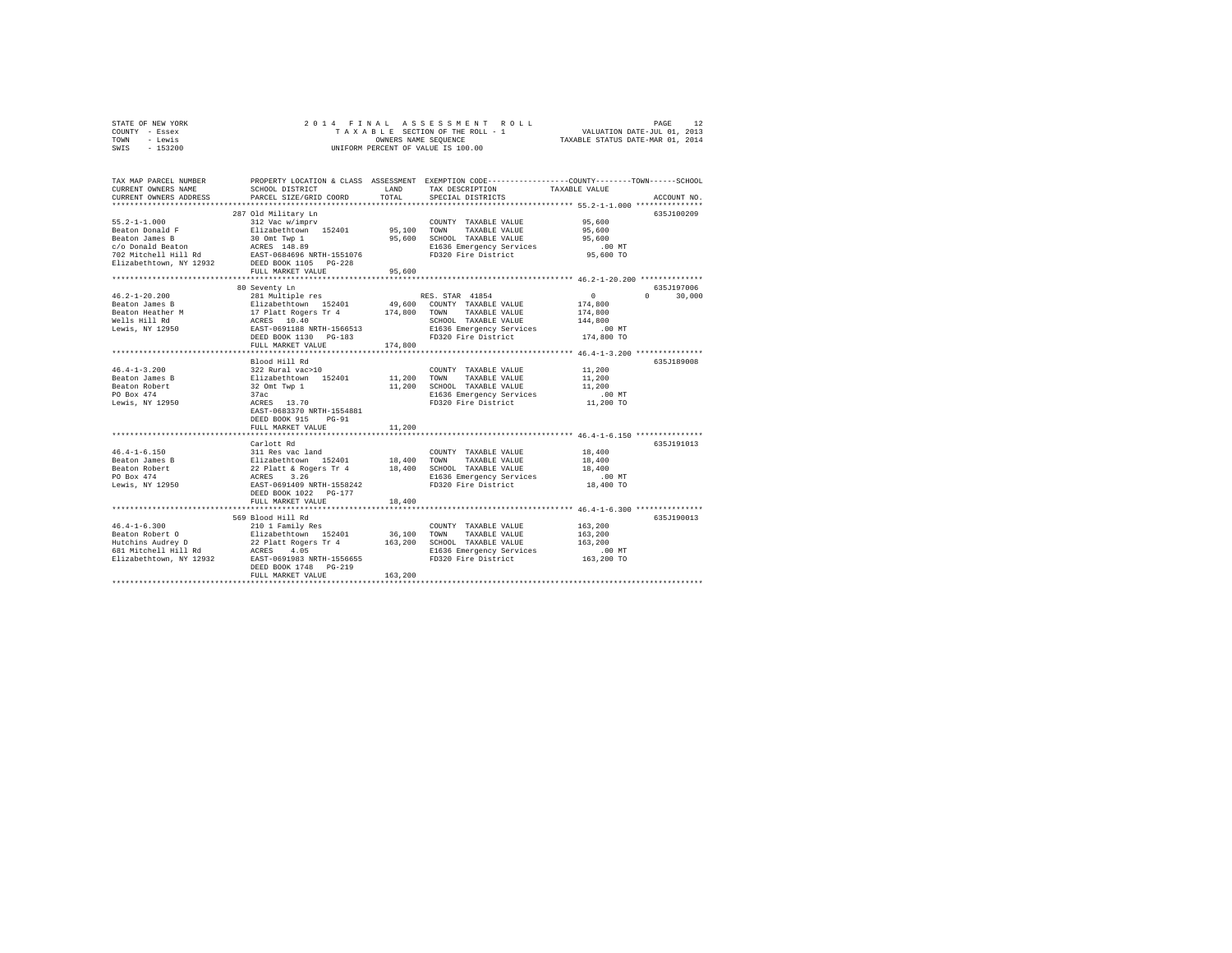| STATE OF NEW YORK                | 2014 FINAL                                                       |         | ASSESSMENT ROLL                                                                                |                                  | PAGE<br>12         |
|----------------------------------|------------------------------------------------------------------|---------|------------------------------------------------------------------------------------------------|----------------------------------|--------------------|
| COUNTY - Essex                   |                                                                  |         | TAXABLE SECTION OF THE ROLL - 1                                                                | VALUATION DATE-JUL 01, 2013      |                    |
| TOWN<br>- Lewis                  |                                                                  |         | OWNERS NAME SEQUENCE                                                                           | TAXABLE STATUS DATE-MAR 01, 2014 |                    |
| SWIS<br>$-153200$                |                                                                  |         | UNIFORM PERCENT OF VALUE IS 100.00                                                             |                                  |                    |
|                                  |                                                                  |         |                                                                                                |                                  |                    |
|                                  |                                                                  |         |                                                                                                |                                  |                    |
|                                  |                                                                  |         |                                                                                                |                                  |                    |
| TAX MAP PARCEL NUMBER            |                                                                  |         | PROPERTY LOCATION & CLASS ASSESSMENT EXEMPTION CODE---------------COUNTY-------TOWN-----SCHOOL |                                  |                    |
| CURRENT OWNERS NAME              | SCHOOL DISTRICT                                                  | LAND    | TAX DESCRIPTION                                                                                | TAXABLE VALUE                    |                    |
| CURRENT OWNERS ADDRESS           | PARCEL SIZE/GRID COORD                                           | TOTAL   | SPECIAL DISTRICTS                                                                              |                                  | ACCOUNT NO.        |
|                                  |                                                                  |         |                                                                                                |                                  |                    |
|                                  | 287 Old Military Ln                                              |         |                                                                                                |                                  | 635J100209         |
| $55.2 - 1 - 1.000$               | 312 Vac w/imprv                                                  |         | COUNTY TAXABLE VALUE                                                                           | 95,600                           |                    |
| Beaton Donald F                  | Elizabethtown 152401                                             | 95,100  | TOWN<br>TAXABLE VALUE                                                                          | 95,600                           |                    |
| Beaton James B                   |                                                                  | 95,600  | SCHOOL TAXABLE VALUE                                                                           | 95,600                           |                    |
| c/o Donald Beaton                | 30 Omt Twp 1<br>ACRES 148.89                                     |         | E1636 Emergency Services                                                                       | $.00$ MT                         |                    |
| 702 Mitchell Hill Rd             | EAST-0684696 NRTH-1551076                                        |         | FD320 Fire District                                                                            |                                  |                    |
|                                  |                                                                  |         |                                                                                                | 95,600 TO                        |                    |
| Elizabethtown, NY 12932          | DEED BOOK 1105 PG-228                                            |         |                                                                                                |                                  |                    |
|                                  | FULL MARKET VALUE                                                | 95,600  |                                                                                                |                                  |                    |
|                                  |                                                                  |         |                                                                                                |                                  |                    |
|                                  | 80 Seventy Ln                                                    |         |                                                                                                |                                  | 635J197006         |
| $46.2 - 1 - 20.200$              | 281 Multiple res                                                 |         | RES. STAR 41854                                                                                | $\circ$                          | $\Omega$<br>30,000 |
| Beaton James B                   | Elizabethtown 152401                                             | 49,600  | COUNTY TAXABLE VALUE                                                                           | 174,800                          |                    |
| Beaton Heather M                 | 17 Platt Rogers Tr 4<br>ACRES 10.40<br>EAST-0691188 NRTH-1566513 | 174,800 | TAXABLE VALUE<br>TOWN                                                                          | 174,800                          |                    |
|                                  |                                                                  |         | SCHOOL TAXABLE VALUE                                                                           | 144,800                          |                    |
| Wells Hill Rd<br>Lewis, NY 12950 | EAST-0691188 NRTH-1566513                                        |         | E1636 Emergency Services                                                                       | $.00$ MT                         |                    |
|                                  | DEED BOOK 1130 PG-183                                            |         | FD320 Fire District                                                                            | 174,800 TO                       |                    |
|                                  | FULL MARKET VALUE                                                | 174,800 |                                                                                                |                                  |                    |
|                                  |                                                                  |         |                                                                                                |                                  |                    |
|                                  | Blood Hill Rd                                                    |         |                                                                                                |                                  | 635.7189008        |
| $46.4 - 1 - 3.200$               | 322 Rural vac>10                                                 |         | COUNTY TAXABLE VALUE                                                                           | 11,200                           |                    |
| Beaton James B                   | Elizabethtown 152401                                             | 11,200  | TOWN<br>TAXABLE VALUE                                                                          | 11,200                           |                    |
|                                  |                                                                  |         |                                                                                                |                                  |                    |
| Beaton Robert                    | 32 Omt Twp 1                                                     | 11,200  | SCHOOL TAXABLE VALUE                                                                           | 11,200                           |                    |
| PO Box 474                       | 37ac                                                             |         | E1636 Emergency Services                                                                       | $.00$ MT                         |                    |
| Lewis, NY 12950                  | ACRES 13.70                                                      |         | FD320 Fire District                                                                            | 11,200 TO                        |                    |
|                                  | EAST-0683370 NRTH-1554881                                        |         |                                                                                                |                                  |                    |
|                                  | DEED BOOK 915 PG-91                                              |         |                                                                                                |                                  |                    |
|                                  | FULL MARKET VALUE                                                | 11,200  |                                                                                                |                                  |                    |
|                                  |                                                                  |         |                                                                                                |                                  |                    |
|                                  | Carlott Rd                                                       |         |                                                                                                |                                  | 635J191013         |
| $46.4 - 1 - 6.150$               | 311 Res vac land                                                 |         | COUNTY TAXABLE VALUE                                                                           | 18,400                           |                    |
| Beaton James B                   |                                                                  | 18,400  | TOWN<br>TAXABLE VALUE                                                                          | 18,400                           |                    |
| Beaton Robert                    | Elizabethtown 152401<br>22 Platt & Rogers Tr 4<br>ACRES 3.26     | 18,400  | SCHOOL TAXABLE VALUE                                                                           | 18,400                           |                    |
| PO Box 474                       |                                                                  |         | E1636 Emergency Services                                                                       | .00 MT                           |                    |
| Lewis, NY 12950                  | EAST-0691409 NRTH-1558242                                        |         | FD320 Fire District                                                                            | 18,400 TO                        |                    |
|                                  | DEED BOOK 1022 PG-177                                            |         |                                                                                                |                                  |                    |
|                                  | FULL MARKET VALUE                                                | 18,400  |                                                                                                |                                  |                    |
|                                  |                                                                  |         |                                                                                                |                                  |                    |
|                                  | 569 Blood Hill Rd                                                |         |                                                                                                |                                  | 635J190013         |
| $46.4 - 1 - 6.300$               | 210 1 Family Res                                                 |         | COUNTY TAXABLE VALUE                                                                           | 163,200                          |                    |
| Beaton Robert O                  | Elizabethtown 152401                                             | 36,100  | TOWN<br>TAXABLE VALUE                                                                          | 163,200                          |                    |
|                                  |                                                                  | 163,200 |                                                                                                | 163,200                          |                    |
| Hutchins Audrey D                | 22 Platt Rogers Tr 4                                             |         | SCHOOL TAXABLE VALUE                                                                           |                                  |                    |
| 681 Mitchell Hill Rd             | ACRES 4.05                                                       |         | E1636 Emergency Services                                                                       | $.00$ MT                         |                    |
| Elizabethtown, NY 12932          | EAST-0691983 NRTH-1556655                                        |         | FD320 Fire District                                                                            | 163,200 TO                       |                    |
|                                  | DEED BOOK 1748 PG-219                                            |         |                                                                                                |                                  |                    |
|                                  | FULL MARKET VALUE                                                | 163,200 |                                                                                                |                                  |                    |
|                                  |                                                                  |         |                                                                                                |                                  |                    |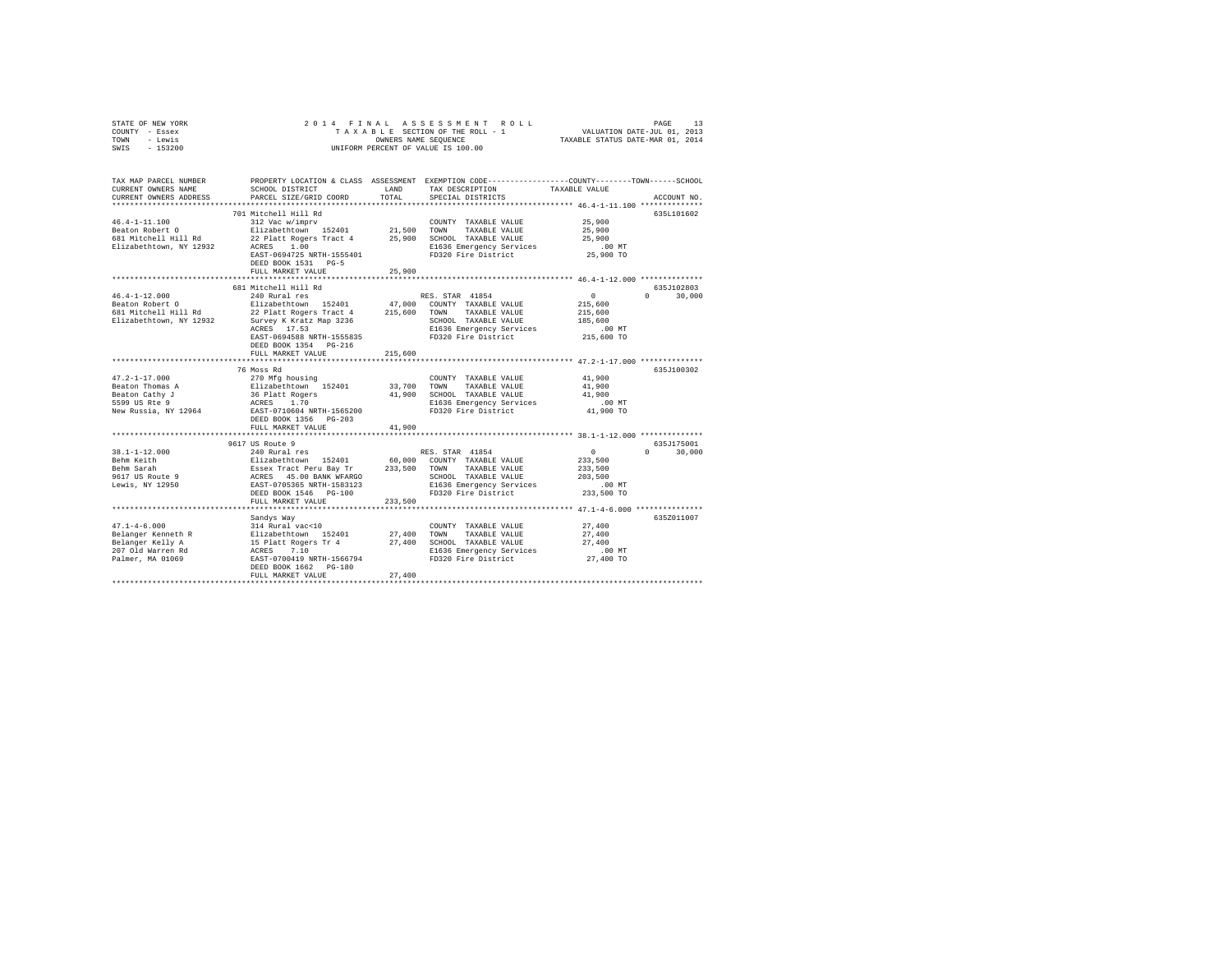| STATE OF NEW YORK                  | 2014 FINAL                                                                                                  |             | ASSESSMENT ROLL                                                                                |                                                           | 13<br>PAGE  |  |  |
|------------------------------------|-------------------------------------------------------------------------------------------------------------|-------------|------------------------------------------------------------------------------------------------|-----------------------------------------------------------|-------------|--|--|
| COUNTY - Essex                     | VALUATION DATE-JUL 01, 2013<br>TAXABLE STATUS DATE-MAR 01, 2014<br>TAXABLE SECTION OF THE ROLL - 1          |             |                                                                                                |                                                           |             |  |  |
| - Lewis<br>TOWN                    | OWNERS NAME SEQUENCE                                                                                        |             |                                                                                                |                                                           |             |  |  |
| SWIS<br>$-153200$                  |                                                                                                             |             | UNIFORM PERCENT OF VALUE IS 100.00                                                             |                                                           |             |  |  |
|                                    |                                                                                                             |             |                                                                                                |                                                           |             |  |  |
|                                    |                                                                                                             |             |                                                                                                |                                                           |             |  |  |
|                                    |                                                                                                             |             |                                                                                                |                                                           |             |  |  |
| TAX MAP PARCEL NUMBER              |                                                                                                             |             | PROPERTY LOCATION & CLASS ASSESSMENT EXEMPTION CODE---------------COUNTY-------TOWN-----SCHOOL |                                                           |             |  |  |
| CURRENT OWNERS NAME                | SCHOOL DISTRICT                                                                                             | LAND        | TAX DESCRIPTION                                                                                | TAXABLE VALUE                                             |             |  |  |
| CURRENT OWNERS ADDRESS             | PARCEL SIZE/GRID COORD                                                                                      | TOTAL       | SPECIAL DISTRICTS                                                                              |                                                           | ACCOUNT NO. |  |  |
|                                    |                                                                                                             |             |                                                                                                |                                                           |             |  |  |
|                                    | 701 Mitchell Hill Rd                                                                                        |             |                                                                                                |                                                           | 635L101602  |  |  |
| $46.4 - 1 - 11.100$                | 312 Vac w/imprv                                                                                             |             | COUNTY TAXABLE VALUE                                                                           | 25,900                                                    |             |  |  |
| Beaton Robert O                    | Elizabethtown 152401                                                                                        | 21,500      | TOWN<br>TAXABLE VALUE                                                                          | 25,900                                                    |             |  |  |
| 681 Mitchell Hill Rd               | 22 Platt Rogers Tract 4                                                                                     | 25,900      | SCHOOL TAXABLE VALUE                                                                           | 25,900                                                    |             |  |  |
| Elizabethtown, NY 12932            | ACRES<br>1.00                                                                                               |             | E1636 Emergency Services                                                                       | .00MT                                                     |             |  |  |
|                                    | EAST-0694725 NRTH-1555401                                                                                   |             | FD320 Fire District                                                                            | 25,900 TO                                                 |             |  |  |
|                                    | DEED BOOK 1531 PG-5                                                                                         |             |                                                                                                |                                                           |             |  |  |
|                                    | FULL MARKET VALUE                                                                                           | 25,900      |                                                                                                |                                                           |             |  |  |
|                                    | *************************                                                                                   | *********** |                                                                                                | **************************** 46.4-1-12.000 ************** |             |  |  |
|                                    | 681 Mitchell Hill Rd                                                                                        |             |                                                                                                |                                                           | 635J102803  |  |  |
| $46.4 - 1 - 12.000$                | 240 Rural res                                                                                               |             | RES. STAR 41854                                                                                | 0<br>$\Omega$                                             | 30,000      |  |  |
| Beaton Robert O                    | Elizabethtown 152401                                                                                        |             | 47,000 COUNTY TAXABLE VALUE                                                                    | 215,600                                                   |             |  |  |
| 681 Mitchell Hill Rd               | 22 Platt Rogers Tract 4                                                                                     | 215,600     | TOWN TAXABLE VALUE                                                                             | 215,600                                                   |             |  |  |
| Elizabethtown, NY 12932            | Survey K Kratz Map 3236                                                                                     |             | SCHOOL TAXABLE VALUE                                                                           | 185,600                                                   |             |  |  |
|                                    | ACRES 17.53                                                                                                 |             | E1636 Emergency Services                                                                       | .00MT                                                     |             |  |  |
|                                    | EAST-0694588 NRTH-1555835                                                                                   |             | FD320 Fire District                                                                            | 215,600 TO                                                |             |  |  |
|                                    | DEED BOOK 1354 PG-216                                                                                       |             |                                                                                                |                                                           |             |  |  |
|                                    | FULL MARKET VALUE                                                                                           | 215,600     |                                                                                                |                                                           |             |  |  |
|                                    |                                                                                                             |             |                                                                                                |                                                           |             |  |  |
|                                    | 76 Moss Rd                                                                                                  |             |                                                                                                |                                                           | 635J100302  |  |  |
| $47.2 - 1 - 17.000$                | 270 Mfg housing                                                                                             |             | COUNTY TAXABLE VALUE                                                                           | 41,900                                                    |             |  |  |
| Beaton Thomas A                    | Elizabethtown 152401                                                                                        | 33,700      | TAXABLE VALUE<br>TOWN                                                                          | 41,900                                                    |             |  |  |
| Beaton Cathy J                     | 36 Platt Rogers                                                                                             |             | 41,900 SCHOOL TAXABLE VALUE                                                                    | 41.900                                                    |             |  |  |
| 5599 US Rte 9                      | ACRES 1.70                                                                                                  |             | E1636 Emergency Services                                                                       | $.00$ MT                                                  |             |  |  |
| New Russia, NY 12964               | EAST-0710604 NRTH-1565200                                                                                   |             | FD320 Fire District                                                                            | 41,900 TO                                                 |             |  |  |
|                                    |                                                                                                             |             |                                                                                                |                                                           |             |  |  |
|                                    | DEED BOOK 1356 PG-203                                                                                       |             |                                                                                                |                                                           |             |  |  |
|                                    | FULL MARKET VALUE                                                                                           | 41,900      |                                                                                                |                                                           |             |  |  |
|                                    |                                                                                                             |             |                                                                                                |                                                           |             |  |  |
|                                    | 9617 US Route 9                                                                                             |             |                                                                                                |                                                           | 635J175001  |  |  |
| $38.1 - 1 - 12.000$                | 240 Rural res                                                                                               |             | RES. STAR 41854                                                                                | $\Omega$<br>$\Omega$                                      | 30,000      |  |  |
| Behm Keith                         |                                                                                                             |             | 60,000 COUNTY TAXABLE VALUE                                                                    | 233,500                                                   |             |  |  |
| Behm Sarah                         |                                                                                                             | 233,500     | TOWN<br>TAXABLE VALUE                                                                          | 233,500                                                   |             |  |  |
| 9617 US Route 9<br>Lewis, NY 12950 |                                                                                                             |             | SCHOOL TAXABLE VALUE                                                                           | 203,500                                                   |             |  |  |
|                                    |                                                                                                             |             | E1636 Emergency Services                                                                       | .00MT                                                     |             |  |  |
|                                    | DEED BOOK 1546 PG-100                                                                                       |             | FD320 Fire District                                                                            | 233,500 TO                                                |             |  |  |
|                                    | FULL MARKET VALUE                                                                                           | 233,500     |                                                                                                |                                                           |             |  |  |
|                                    |                                                                                                             |             |                                                                                                |                                                           |             |  |  |
|                                    | Sandys Way                                                                                                  |             |                                                                                                |                                                           | 635Z011007  |  |  |
| $47.1 - 4 - 6.000$                 | 314 Rural vac<10                                                                                            |             | COUNTY TAXABLE VALUE                                                                           | 27,400                                                    |             |  |  |
| Belanger Kenneth R                 | 314 Rural vac<10<br>Elizabethtown 152401<br>15 Platt Rogers Tr 4<br>ACRES 7.10<br>EAST-0700419 NRTH-1566794 | 27,400      | TOWN<br>TAXABLE VALUE                                                                          | 27,400                                                    |             |  |  |
| Belanger Kelly A                   |                                                                                                             | 27,400      | SCHOOL TAXABLE VALUE                                                                           | 27,400                                                    |             |  |  |
| 207 Old Warren Rd                  |                                                                                                             |             | E1636 Emergency Services                                                                       | .00 MT                                                    |             |  |  |
| Palmer, MA 01069                   |                                                                                                             |             | FD320 Fire District                                                                            | 27,400 TO                                                 |             |  |  |
|                                    | DEED BOOK 1662 PG-180                                                                                       |             |                                                                                                |                                                           |             |  |  |
|                                    | FULL MARKET VALUE                                                                                           | 27,400      |                                                                                                |                                                           |             |  |  |
|                                    |                                                                                                             |             |                                                                                                |                                                           |             |  |  |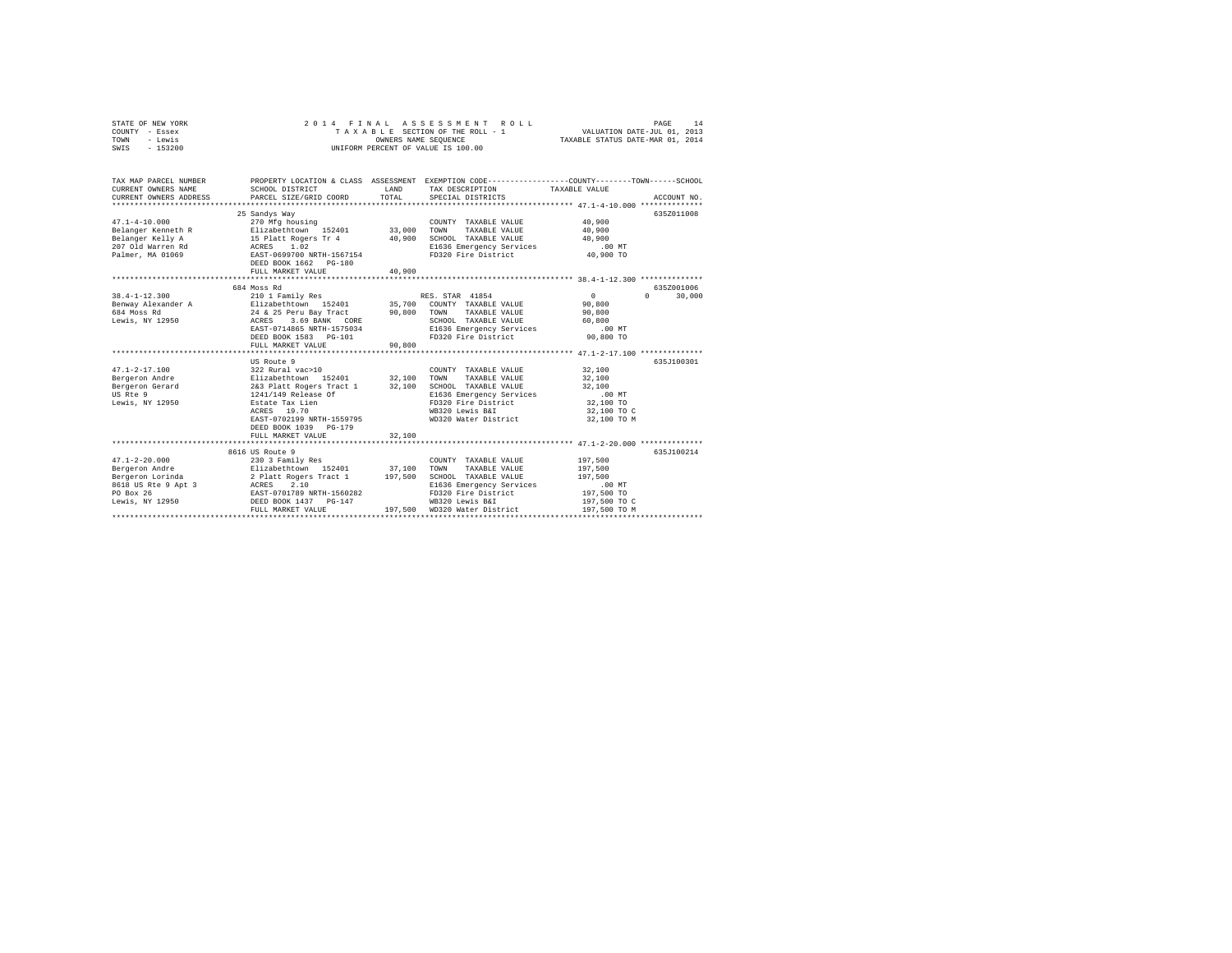|                | STATE OF NEW YORK |  |  |  |  |                                    | 2014 FINAL ASSESSMENT ROLL      |  |                                  | PAGE | 14 |
|----------------|-------------------|--|--|--|--|------------------------------------|---------------------------------|--|----------------------------------|------|----|
| COUNTY - Essex |                   |  |  |  |  |                                    | TAXABLE SECTION OF THE ROLL - 1 |  | VALUATION DATE-JUL 01, 2013      |      |    |
| TOWN - Lewis   |                   |  |  |  |  | OWNERS NAME SEOUENCE               |                                 |  | TAXABLE STATUS DATE-MAR 01, 2014 |      |    |
| SWIS           | - 153200          |  |  |  |  | UNIFORM PERCENT OF VALUE IS 100.00 |                                 |  |                                  |      |    |
|                |                   |  |  |  |  |                                    |                                 |  |                                  |      |    |
|                |                   |  |  |  |  |                                    |                                 |  |                                  |      |    |

| TAX MAP PARCEL NUMBER<br>CURRENT OWNERS NAME          | SCHOOL DISTRICT<br>CURRENT OWNERS ADDRESS PARCEL SIZE/GRID COORD                                                                                                                                                                                                                                                                                                                                                                                                                                                 | TOTAL   | LAND TAX DESCRIPTION TAXABLE VALUE<br>SPECIAL DISTRICTS                                                                                                                       | PROPERTY LOCATION & CLASS ASSESSMENT EXEMPTION CODE----------------COUNTY-------TOWN-----SCHOOL<br>ACCOUNT NO. |        |
|-------------------------------------------------------|------------------------------------------------------------------------------------------------------------------------------------------------------------------------------------------------------------------------------------------------------------------------------------------------------------------------------------------------------------------------------------------------------------------------------------------------------------------------------------------------------------------|---------|-------------------------------------------------------------------------------------------------------------------------------------------------------------------------------|----------------------------------------------------------------------------------------------------------------|--------|
| $47.1 - 4 - 10.000$                                   | 25 Sandys Way<br>270 Mfg housing<br>Belanger Kenneth R Elizabethtown 152401 33,000<br>DEED BOOK 1662 PG-180<br>FULL MARKET VALUE                                                                                                                                                                                                                                                                                                                                                                                 | 40,900  | COUNTY TAXABLE VALUE<br>TOWN TAXABLE VALUE 40.900                                                                                                                             | 6357011008<br>40,900                                                                                           |        |
| $38.4 - 1 - 12.300$<br>684 Moss Rd<br>Lewis, NY 12950 | 684 Moss Rd<br>Benway Alexander A Blizabethtown 152401 35,700 COUNTY TAXABLE VALUE 90,800<br>90,800 – المسلم المسلم المسلم المسلم المسلم 25 Peru Bay Tract – 90,800<br>24 & 25 Peru Bay Tract – 90,800 – 2011 – 2012 – 90,800<br>2001 – ACRES – 3.69 BANK – COPR – 2010 – 2010 – 2011 – 2011 – 2014<br>ACRES 3.69 BANK CORE<br>EAST-0714865 NRTH-1575034<br>DEED BOOK 1583 PG-101<br>FULL MARKET VALUE                                                                                                           | 90,800  | SCHOOL TAXABLE VALUE 60,800<br>E1636 Emergency Services .00 MT<br>FD320 Fire District 90,800 TO                                                                               | 635Z001006<br>$\sim$ 0 $\sim$ 0<br>$\Omega$                                                                    | 30,000 |
|                                                       | US Route 9<br>$\begin{tabular}{l cccc} $47.1-2-17.100$ & $322$ Rural vac>10$ & $32,100$ & $70\text{NN}$ & $7A\text{XABLE VALUE} & $16.100$ \\ \hline \text{Bergeron Andre} & \text{Eergeron} & \text{Bergeron} & \text{B32.100} & \text{D32.100} & \text{SCHOOL} & \text{TXABLE VALUE} & $32,100$ \\ \text{Bergeron Gerard} & 243 \text{ Plate Research} & 32,100 & \text{SCHOOL} & \text{TXABLE VALUE} & $32,100$ \\ \text{m} & $1.$<br>EAST-0702199 NRTH-1559795<br>DEED BOOK 1039 PG-179<br>FULL MARKET VALUE | 32,100  | WD320 Water District                                                                                                                                                          | 635.T100301<br>32,100 TO C<br>32,100 TO M                                                                      |        |
| $47.1 - 2 - 20.000$                                   | 8616 US Route 9<br>230 3 Family Res<br>Bergeron Lorinda $2$ Platt Rogers Tract 1 $197,500$<br>8618 US Rte 9 Apt 3 ACRES 2.10<br>PO Box 26 EAST-0701789 NRTH-1560282<br>Lewis, NY 12950 DEED BOOK 1437 PG-147<br>FULL MARKET VALUE                                                                                                                                                                                                                                                                                | 197.500 | COUNTY TAXABLE VALUE<br>TOWN TAXABLE VALUE<br>SCHOOL TAXABLE VALUE<br>E1636 Emergency Services<br>FD320 Fire District<br>WB320 Lewis B&I<br>WD320 Water District 197.500 TO M | 635J100214<br>197,500<br>197,500<br>197,500<br>00 MT.<br>197,500 TO<br>197,500 TO C                            |        |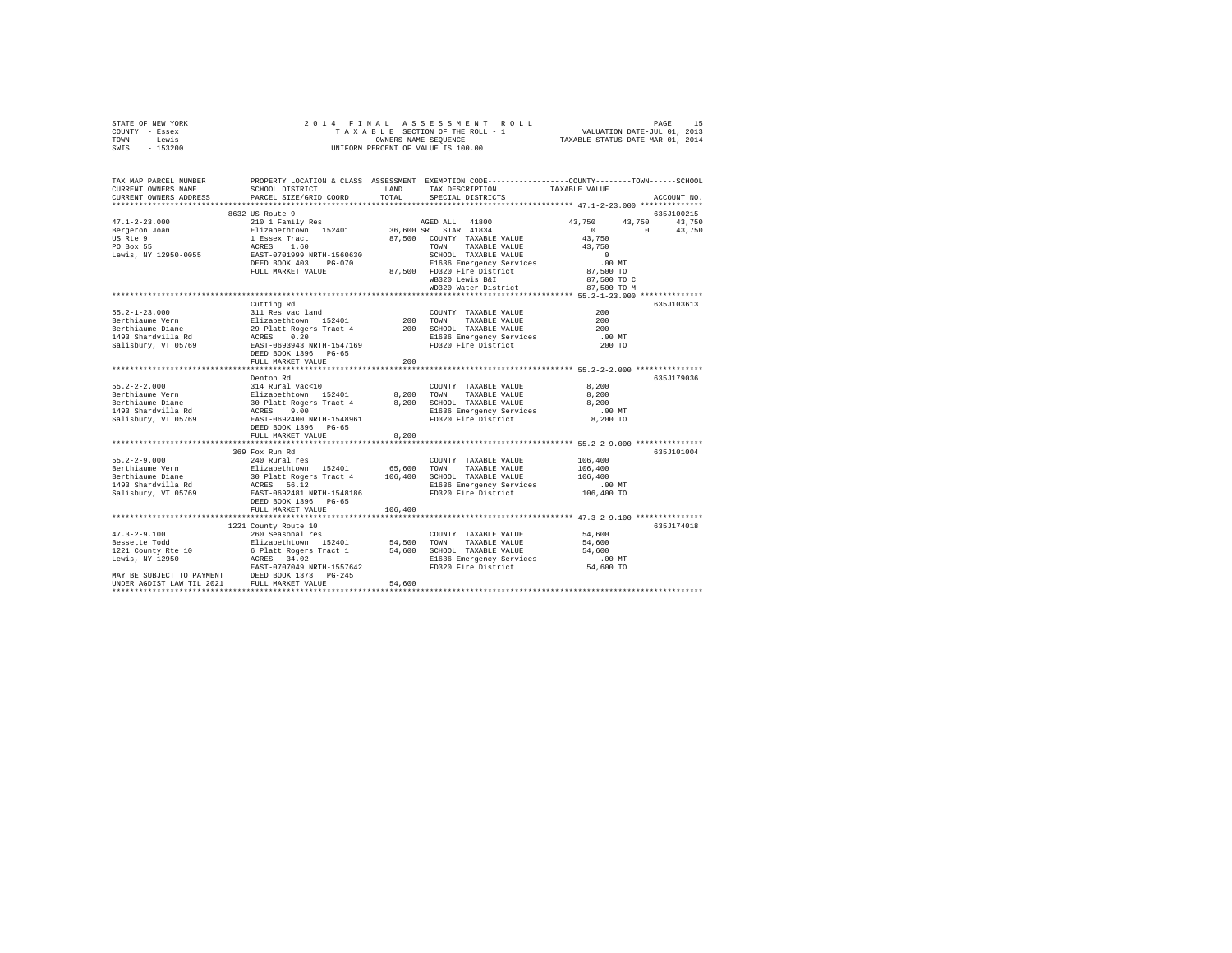| STATE OF NEW YORK<br>COUNTY - Essex<br>TOWN - Lewis<br>SWIS - 153200              |                                                                                                                                                                                                                                                   |       | 2014 FINAL ASSESSMENT ROLL<br>TAXABLE SECTION OF THE ROLL - 1 VALUATION DATE-JUL 01, 2013<br>OWNERS NAME SEQUENCE TAXABLE STATUS DATE-MAR 01, 2014<br>UNIFORM PERCENT OF VALUE IS 100.00                                                              |                                                                 | PAGE | 15          |
|-----------------------------------------------------------------------------------|---------------------------------------------------------------------------------------------------------------------------------------------------------------------------------------------------------------------------------------------------|-------|-------------------------------------------------------------------------------------------------------------------------------------------------------------------------------------------------------------------------------------------------------|-----------------------------------------------------------------|------|-------------|
| TAX MAP PARCEL NUMBER<br>CURRENT OWNERS NAME<br>CURRENT OWNERS ADDRESS            | SCHOOL DISTRICT<br>PARCEL SIZE/GRID COORD TOTAL SPECIAL DISTRICTS                                                                                                                                                                                 |       | PROPERTY LOCATION & CLASS ASSESSMENT EXEMPTION CODE----------------COUNTY-------TOWN-----SCHOOL<br>LAND TAX DESCRIPTION TAXABLE VALUE                                                                                                                 |                                                                 |      | ACCOUNT NO. |
| $47.1 - 2 - 23.000$<br>US Rte 9<br>PO Box 55                                      | 8632 US Route 9<br>Bergeron Joan Blizabethtown 152401 36,600 SR STAR 41834<br>1 Essex Tract 67,500 COUNTY TAXABLE VALUE<br>ACRES 1.60<br>Lewis, NY 12950-0055 EAST-0701999 NRTH-1560630<br>DEED BOOK 403 PG-070<br>FULL MARKET VALUE              |       | 210 1 Family Res 643,750 AGED ALL 41800 43,750 43,750 43,750 43,750<br>TOWN TAXABLE VALUE 43,750<br>SCHOOL TAXABLE VALUE 43,750<br>E1636 Emergency Services .00 MT<br>87,500 FD320 Fire District 87,500 TO<br>WB320 Lewis B&I<br>WD320 Water District | $0 \t 43,750$<br>43,750<br>43,750<br>87,500 TO C<br>87.500 TO M |      | 635J100215  |
| $55.2 - 1 - 23.000$<br>Berthiaume Vern<br>Berthiaume Diane<br>Salisbury, VT 05769 | Cutting Rd<br>1493 Shardvilla Rd<br>ACRES 0.20<br>EAST-0693943 NRTH-1547169<br>DEED BOOK 1396 PG-65<br>FULL MARKET VALUE 200                                                                                                                      |       | E1636 Emergency Services 100 MT<br>FD320 Fire District 200 TO                                                                                                                                                                                         | 200<br>200<br>200                                               |      | 635J103613  |
| $55.2 - 2 - 2.000$<br>1493 Shardvilla Rd<br>Salisbury, VT 05769                   | Denton Rd<br>314 Rural vac<10<br>Berthiaume Vern 6.200 Elizabethtown 152401 8.200 TOWN TAXABLE VALUE 8.200<br>Berthiaume Diane 30 Platt Rogers Tract 4<br>ACRES<br>9.00<br>EAST-0692400 NRTH-1548961<br>DEED BOOK 1396 PG-65<br>FULL MARKET VALUE | 8,200 | COUNTY TAXABLE VALUE<br>8,200 SCHOOL TAXABLE VALUE 8,200<br>E1636 Emergency Services .00 MT<br>FD320 Fire District 8.200 TO                                                                                                                           | 8.200                                                           |      | 635.7179036 |

 $369 \text{ Fox Run Rd}$ <br> $369 \text{ Fox Run Rd}$ <br> $240 \text{ Rural res}$  COUNTY TAXABLE VALUE  $106,400$ <br> $35.2-2-9.000$  635J101004

1997 - 1998 - 1998 - 1999 - 1998 - 1998 - 1998 - 1998 - 1998 - 1998 - 1998 - 1998 - 1998 - 1998 - 1998 - 1998<br>1493 - 1493 - 1493 - 1499 - 1599 - 1599 - 1599 - 1599 - 1599 - 1599 - 1599 - 1599 - 1599 - 1599 - 1599 - 1599<br>14

1221 County Route 10 635J174018 47.3-2-9.100 260 Seasonal res COUNTY TAXABLE VALUE 54,600

UNDER AGDIST LAW TIL 2021 FULL MARKET VALUE 54,600 \*\*\*\*\*\*\*\*\*\*\*\*\*\*\*\*\*\*\*\*\*\*\*\*\*\*\*\*\*\*\*\*\*\*\*\*\*\*\*\*\*\*\*\*\*\*\*\*\*\*\*\*\*\*\*\*\*\*\*\*\*\*\*\*\*\*\*\*\*\*\*\*\*\*\*\*\*\*\*\*\*\*\*\*\*\*\*\*\*\*\*\*\*\*\*\*\*\*\*\*\*\*\*\*\*\*\*\*\*\*\*\*\*\*\*\*\*\*\*\*\*\*\*\*\*\*\*\*\*\*\*\*

55.2-2-9.000 240 Rural res COUNTY TAXABLE VALUE 106,400

Bessette Todd Elizabethtown 152401 54,500 TOWN TAXABLE VALUE 54,600 1221 County Rte 10 6 Platt Rogers Tract 1 54,600 SCHOOL TAXABLE VALUE 54,600 Lewis, NY 12950 ACRES 34.02 E1636 Emergency Services .00 MT EAST-0707049 NRTH-1557642 FD320 Fire District 54,600 TO MAY BE SUBJECT TO PAYMENT DEED BOOK 1373 PG-245

Berthiaume Vern 1921 - Elizabethtown 152401 65,600 TOWN TAXABLE VALUE 106,400 TOWN TAXABLE VALUE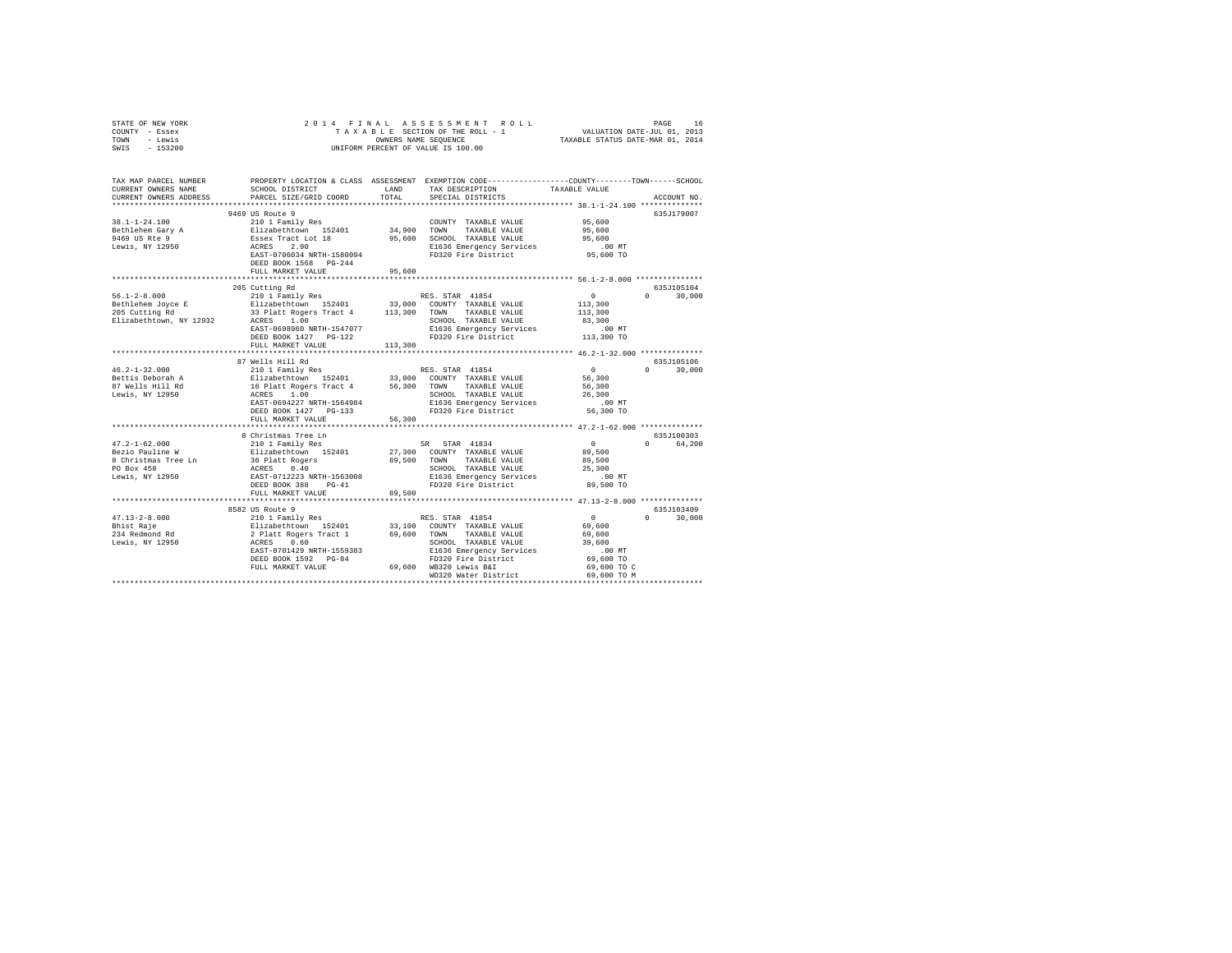| STATE OF NEW YORK                                    | 2014 FINAL                                                                                                                                                                                                                         |                 |                                                                                                  |                                                 |                                 |  |  |
|------------------------------------------------------|------------------------------------------------------------------------------------------------------------------------------------------------------------------------------------------------------------------------------------|-----------------|--------------------------------------------------------------------------------------------------|-------------------------------------------------|---------------------------------|--|--|
| COUNTY - Essex                                       | 4 FINAL ASSESSMENT ROLL INDUSTRIES IN PAGE 16 19 PAGE 16 19 PAGE 16 19 PAGE 16 PAGE 16 PAGE 16 PAGE 16 PAGE 16 PAGE 16 PAGE 16 PAGE 16 PAGE 16 PAGE 16 PAGE 16 PAGE 16 PAGE 16 PAGE 16 PAGE 16 PAGE 16 PAGE 16 PAGE 16 PAGE 16     |                 |                                                                                                  |                                                 |                                 |  |  |
| - Lewis<br>TOWN                                      | OWNERS NAME SEQUENCE<br>UNIFORM PERCENT OF VALUE IS 100.00                                                                                                                                                                         |                 |                                                                                                  |                                                 |                                 |  |  |
| $-153200$<br>SWIS                                    |                                                                                                                                                                                                                                    |                 |                                                                                                  |                                                 |                                 |  |  |
|                                                      |                                                                                                                                                                                                                                    |                 |                                                                                                  |                                                 |                                 |  |  |
| TAX MAP PARCEL NUMBER                                |                                                                                                                                                                                                                                    |                 | PROPERTY LOCATION & CLASS ASSESSMENT EXEMPTION CODE----------------COUNTY-------TOWN------SCHOOL |                                                 |                                 |  |  |
| CURRENT OWNERS NAME                                  | SCHOOL DISTRICT                                                                                                                                                                                                                    | LAND            | TAX DESCRIPTION                                                                                  | TAXABLE VALUE                                   |                                 |  |  |
| CURRENT OWNERS ADDRESS                               | PARCEL SIZE/GRID COORD                                                                                                                                                                                                             | TOTAL           | SPECIAL DISTRICTS                                                                                |                                                 | ACCOUNT NO.                     |  |  |
|                                                      |                                                                                                                                                                                                                                    |                 |                                                                                                  |                                                 |                                 |  |  |
|                                                      | 9469 US Route 9                                                                                                                                                                                                                    |                 |                                                                                                  |                                                 | 635J179007                      |  |  |
| 38.1-1-24.100                                        |                                                                                                                                                                                                                                    |                 | COUNTY TAXABLE VALUE                                                                             | 95,600                                          |                                 |  |  |
|                                                      |                                                                                                                                                                                                                                    | 34,900 TOWN     | TAXABLE VALUE                                                                                    | 95,600                                          |                                 |  |  |
|                                                      |                                                                                                                                                                                                                                    |                 | 95,600 SCHOOL TAXABLE VALUE                                                                      | 95,600                                          |                                 |  |  |
| Bethlehem Gary A<br>9469 US Rte 9<br>Lewis, NY 12950 | 210 1 Family Res<br>Elizabethtown 152401<br>Essex Tract Lot 18<br>ACRES 2.90<br>RES 0202.91                                                                                                                                        |                 | E1636 Emergency Services                                                                         | $.00$ MT                                        |                                 |  |  |
|                                                      | EAST-0706034 NRTH-1580094                                                                                                                                                                                                          |                 | FD320 Fire District                                                                              | 95,600 TO                                       |                                 |  |  |
|                                                      | DEED BOOK 1568 PG-244                                                                                                                                                                                                              |                 |                                                                                                  |                                                 |                                 |  |  |
|                                                      | FULL MARKET VALUE                                                                                                                                                                                                                  | 95,600          |                                                                                                  |                                                 |                                 |  |  |
|                                                      |                                                                                                                                                                                                                                    |                 |                                                                                                  |                                                 |                                 |  |  |
|                                                      | 205 Cutting Rd                                                                                                                                                                                                                     |                 |                                                                                                  |                                                 | 635J105104                      |  |  |
| $56.1 - 2 - 8.000$                                   | 210 1 Family Res                                                                                                                                                                                                                   |                 | RES. STAR 41854                                                                                  | $\sim$ 0                                        | $\Omega$ and $\Omega$<br>30,000 |  |  |
| Bethlehem Joyce E<br>205 Cutting Rd                  | Elizabethtown 152401 33,000 COUNTY TAXABLE VALUE                                                                                                                                                                                   |                 |                                                                                                  | 113,300                                         |                                 |  |  |
|                                                      | 33 Platt Rogers Tract 4 113,300 TOWN TAXABLE VALUE                                                                                                                                                                                 |                 |                                                                                                  | 113,300                                         |                                 |  |  |
| Elizabethtown, NY 12932                              | ACRES 1.00                                                                                                                                                                                                                         |                 | SCHOOL TAXABLE VALUE                                                                             | 83,300                                          |                                 |  |  |
|                                                      | EAST-0698960 NRTH-1547077                                                                                                                                                                                                          |                 | E1636 Emergency Services                                                                         | $.00$ MT                                        |                                 |  |  |
|                                                      | DEED BOOK 1427 PG-122                                                                                                                                                                                                              |                 | FD320 Fire District                                                                              | 113,300 TO                                      |                                 |  |  |
|                                                      | FULL MARKET VALUE                                                                                                                                                                                                                  | 113,300         |                                                                                                  |                                                 |                                 |  |  |
|                                                      | *****************************                                                                                                                                                                                                      |                 |                                                                                                  |                                                 |                                 |  |  |
|                                                      | 87 Wells Hill Rd                                                                                                                                                                                                                   |                 |                                                                                                  |                                                 | 635J105106                      |  |  |
| $46.2 - 1 - 32.000$                                  | 210 1 Family Res                                                                                                                                                                                                                   |                 | RES. STAR 41854                                                                                  | $\mathbf{0}$                                    | $0 \t 30,000$                   |  |  |
| Bettis Deborah A                                     |                                                                                                                                                                                                                                    |                 |                                                                                                  | 56,300                                          |                                 |  |  |
| 87 Wells Hill Rd                                     |                                                                                                                                                                                                                                    |                 |                                                                                                  | 56,300                                          |                                 |  |  |
| Lewis, NY 12950                                      |                                                                                                                                                                                                                                    |                 |                                                                                                  | 26,300                                          |                                 |  |  |
|                                                      | EAST-0694227 NRTH-1564984                                                                                                                                                                                                          |                 | E1636 Emergency Services                                                                         | $.00$ MT                                        |                                 |  |  |
|                                                      | DEED BOOK 1427    PG-133                                                                                                                                                                                                           |                 |                                                                                                  | 56,300 TO                                       |                                 |  |  |
|                                                      | FULL MARKET VALUE                                                                                                                                                                                                                  |                 | SCHOOL Instance<br>E1636 Emergency Services<br>FD320 Fire District                               |                                                 |                                 |  |  |
|                                                      |                                                                                                                                                                                                                                    | *************** |                                                                                                  | ****************** 47.2-1-62.000 ************** |                                 |  |  |
|                                                      | 8 Christmas Tree Ln                                                                                                                                                                                                                |                 |                                                                                                  |                                                 | 635J100303                      |  |  |
| $47.2 - 1 - 62.000$                                  | 210 1 Family Res                                                                                                                                                                                                                   |                 | SR STAR 41834                                                                                    | $\sim$ 0                                        | 0 64,200                        |  |  |
|                                                      |                                                                                                                                                                                                                                    |                 | 27,300 COUNTY TAXABLE VALUE<br>89,500 TOWN TAXABLE VALUE                                         | 89,500                                          |                                 |  |  |
|                                                      |                                                                                                                                                                                                                                    |                 |                                                                                                  | 89,500                                          |                                 |  |  |
|                                                      |                                                                                                                                                                                                                                    |                 | SCHOOL TAXABLE VALUE                                                                             | 25,300                                          |                                 |  |  |
|                                                      |                                                                                                                                                                                                                                    |                 | E1636 Emergency services<br>FD320 Fire District                                                  | .00MT                                           |                                 |  |  |
|                                                      |                                                                                                                                                                                                                                    |                 |                                                                                                  | 89,500 TO                                       |                                 |  |  |
|                                                      | FULL MARKET VALUE                                                                                                                                                                                                                  | 89,500          |                                                                                                  |                                                 |                                 |  |  |
|                                                      |                                                                                                                                                                                                                                    |                 |                                                                                                  |                                                 |                                 |  |  |
|                                                      | 8582 US Route 9                                                                                                                                                                                                                    |                 |                                                                                                  |                                                 | 635J103409                      |  |  |
| $47.13 - 2 - 8.000$                                  |                                                                                                                                                                                                                                    |                 |                                                                                                  | $\sim$ 0                                        | $0 \t 30.000$                   |  |  |
|                                                      |                                                                                                                                                                                                                                    |                 |                                                                                                  | 69,600                                          |                                 |  |  |
| Bhist Raje<br>234 Redmond Rd                         | 210 1 Family Res (ESS. STAR 41854<br>Elizabethtown 152401 33,100 COUNTY TAXABLE VALUE<br>2 Platt Rogers Tract 1 69,600 TOWN TAXABLE VALUE<br>ACRES 0.60 COMM TAXABLE VALUE<br>ERST-0701429 NPTH-1559383 FIS36 EMBRYGROUL CONTRABLE |                 |                                                                                                  | 69,600                                          |                                 |  |  |
| Lewis, NY 12950                                      |                                                                                                                                                                                                                                    |                 |                                                                                                  | 39,600                                          |                                 |  |  |
|                                                      | EAST-0701429 NRTH-1559383                                                                                                                                                                                                          |                 |                                                                                                  | .00 MT                                          |                                 |  |  |
|                                                      | DEED BOOK 1592 PG-84                                                                                                                                                                                                               |                 | E1636 Emergency Services<br>FD320 Fire District<br>69,600 WB320 Lewis B&I                        | 69,600 TO                                       |                                 |  |  |
|                                                      | FULL MARKET VALUE                                                                                                                                                                                                                  |                 | 69,600 WB320 Lewis B&I                                                                           | 69,600 TO C                                     |                                 |  |  |
|                                                      |                                                                                                                                                                                                                                    |                 | WD320 Water District                                                                             | 69,600 TO M                                     |                                 |  |  |
|                                                      |                                                                                                                                                                                                                                    |                 |                                                                                                  |                                                 |                                 |  |  |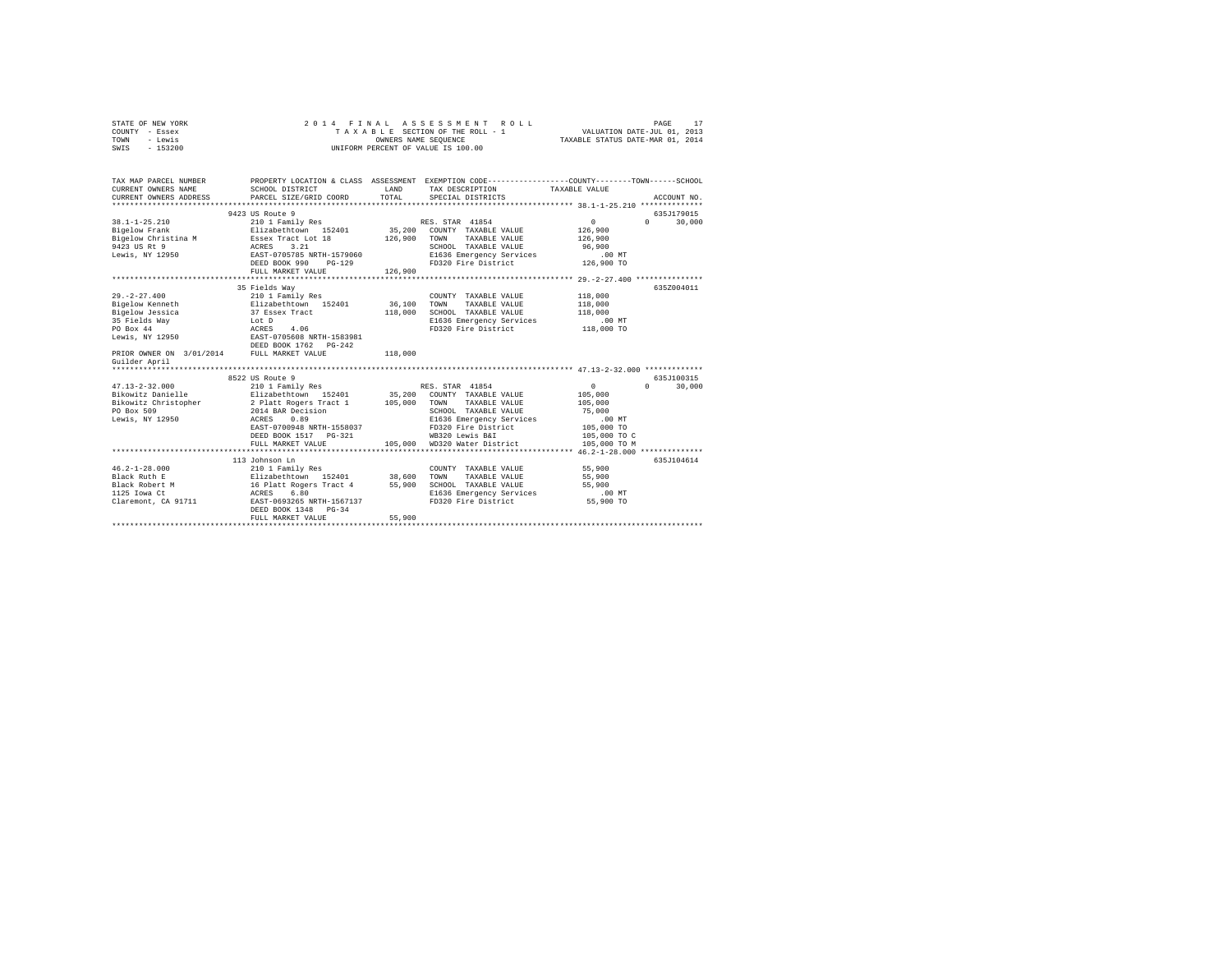| COUNTY - Essex                                |                                                                                                  |              | TAXABLE SECTION OF THE ROLL - 1                                            | VALUATION DATE-JUL 01, 2013 |                    |  |  |
|-----------------------------------------------|--------------------------------------------------------------------------------------------------|--------------|----------------------------------------------------------------------------|-----------------------------|--------------------|--|--|
| TOWN<br>- Lewis                               | TAXABLE STATUS DATE-MAR 01, 2014<br>OWNERS NAME SEQUENCE                                         |              |                                                                            |                             |                    |  |  |
| $-153200$<br>SWTS                             |                                                                                                  |              | UNIFORM PERCENT OF VALUE IS 100.00                                         |                             |                    |  |  |
|                                               |                                                                                                  |              |                                                                            |                             |                    |  |  |
|                                               |                                                                                                  |              |                                                                            |                             |                    |  |  |
|                                               |                                                                                                  |              |                                                                            |                             |                    |  |  |
| TAX MAP PARCEL NUMBER                         | PROPERTY LOCATION & CLASS ASSESSMENT EXEMPTION CODE----------------COUNTY-------TOWN------SCHOOL |              |                                                                            |                             |                    |  |  |
| CURRENT OWNERS NAME                           | SCHOOL DISTRICT                                                                                  | LAND         | TAX DESCRIPTION TAXABLE VALUE                                              |                             |                    |  |  |
| CURRENT OWNERS ADDRESS                        | PARCEL SIZE/GRID COORD                                                                           | TOTAL        | SPECIAL DISTRICTS                                                          |                             | ACCOUNT NO.        |  |  |
|                                               |                                                                                                  |              |                                                                            |                             |                    |  |  |
|                                               | 9423 US Route 9                                                                                  |              |                                                                            |                             | 635J179015         |  |  |
|                                               |                                                                                                  |              | RES. STAR 41854                                                            | $\Omega$                    | $\Omega$<br>30,000 |  |  |
|                                               |                                                                                                  |              | 35,200 COUNTY TAXABLE VALUE                                                | 126,900                     |                    |  |  |
|                                               |                                                                                                  | 126,900 TOWN | TAXABLE VALUE                                                              | 126,900                     |                    |  |  |
|                                               |                                                                                                  |              | SCHOOL TAXABLE VALUE                                                       | 96,900                      |                    |  |  |
|                                               |                                                                                                  |              |                                                                            |                             |                    |  |  |
|                                               |                                                                                                  |              |                                                                            |                             |                    |  |  |
|                                               | FULL MARKET VALUE                                                                                | 126,900      |                                                                            |                             |                    |  |  |
|                                               |                                                                                                  |              |                                                                            |                             |                    |  |  |
|                                               | 35 Fields Way                                                                                    |              |                                                                            |                             | 635Z004011         |  |  |
| $29. -2 - 27.400$                             | 210 1 Family Res                                                                                 |              | COUNTY TAXABLE VALUE                                                       | 118,000                     |                    |  |  |
| Bigelow Kenneth                               | $\frac{210 + \text{r} \cdot \text{cm}}{212 \cdot \text{cm}}$ 152401 36,100                       |              | TAXABLE VALUE<br>TOWN                                                      | 118,000                     |                    |  |  |
| Bigelow Jessica                               | 37 Essex Tract                                                                                   | 118,000      | SCHOOL TAXABLE VALUE                                                       | 118,000                     |                    |  |  |
|                                               |                                                                                                  |              |                                                                            |                             |                    |  |  |
| 35 Fields Way<br>no nov 44                    | 4.06                                                                                             |              | E1636 Emergency Services .00 MT<br>FD320 Fire District  118,000 TO         |                             |                    |  |  |
|                                               |                                                                                                  |              |                                                                            |                             |                    |  |  |
|                                               |                                                                                                  |              |                                                                            |                             |                    |  |  |
|                                               |                                                                                                  | 118,000      |                                                                            |                             |                    |  |  |
| Guilder April                                 |                                                                                                  |              |                                                                            |                             |                    |  |  |
| ***********************                       |                                                                                                  |              |                                                                            |                             |                    |  |  |
|                                               | 8522 US Route 9                                                                                  |              |                                                                            |                             | 635J100315         |  |  |
|                                               |                                                                                                  |              | RES. STAR 41854                                                            | $\mathbf{0}$                | 30,000<br>$\Omega$ |  |  |
|                                               |                                                                                                  |              | COUNTY TAXABLE VALUE                                                       |                             |                    |  |  |
|                                               |                                                                                                  |              | TAXABLE VALUE                                                              | 105,000<br>105,000          |                    |  |  |
| Bikowitz Christopher<br>PO Box 509            | 2 Platt Rogers Tract 1 105,000<br>2014 BAR Decision 105,000<br>ACRES 0.89                        |              | TOWN                                                                       |                             |                    |  |  |
|                                               |                                                                                                  |              | SCHOOL TAXABLE VALUE                                                       | 75,000                      |                    |  |  |
| Lewis, NY 12950                               |                                                                                                  |              | E1636 Emergency Services<br>E1636 Emergency Service<br>FD320 Fire District | .00 MT                      |                    |  |  |
|                                               | EAST-0700948 NRTH-1558037                                                                        |              |                                                                            | 105,000 TO                  |                    |  |  |
|                                               |                                                                                                  |              | WB320 Lewis B&I                                                            | 105,000 TO C                |                    |  |  |
|                                               | FULL MARKET VALUE                                                                                |              | 105,000 WD320 Water District                                               | 105,000 TO M                |                    |  |  |
|                                               |                                                                                                  |              |                                                                            |                             |                    |  |  |
|                                               | 113 Johnson Ln                                                                                   |              |                                                                            |                             | 635J104614         |  |  |
|                                               |                                                                                                  |              | COUNTY TAXABLE VALUE                                                       | 55,900                      |                    |  |  |
|                                               |                                                                                                  |              | TAXABLE VALUE<br>TOWN                                                      | 55,900                      |                    |  |  |
|                                               |                                                                                                  |              | SCHOOL TAXABLE VALUE                                                       | 55,900                      |                    |  |  |
|                                               |                                                                                                  |              | E1636 Emergency Services<br>FD320 Fire District                            | $.00$ MT                    |                    |  |  |
| Claremont, CA 91711 EAST-0693265 NRTH-1567137 |                                                                                                  |              |                                                                            | 55,900 TO                   |                    |  |  |
|                                               | DEED BOOK 1348 PG-34                                                                             |              |                                                                            |                             |                    |  |  |
|                                               | FULL MARKET VALUE                                                                                | 55,900       |                                                                            |                             |                    |  |  |
|                                               |                                                                                                  |              |                                                                            |                             |                    |  |  |

STATE OF NEW YORK 2 0 1 4 F I N A L A S S E S S M E N T R O L L PAGE 17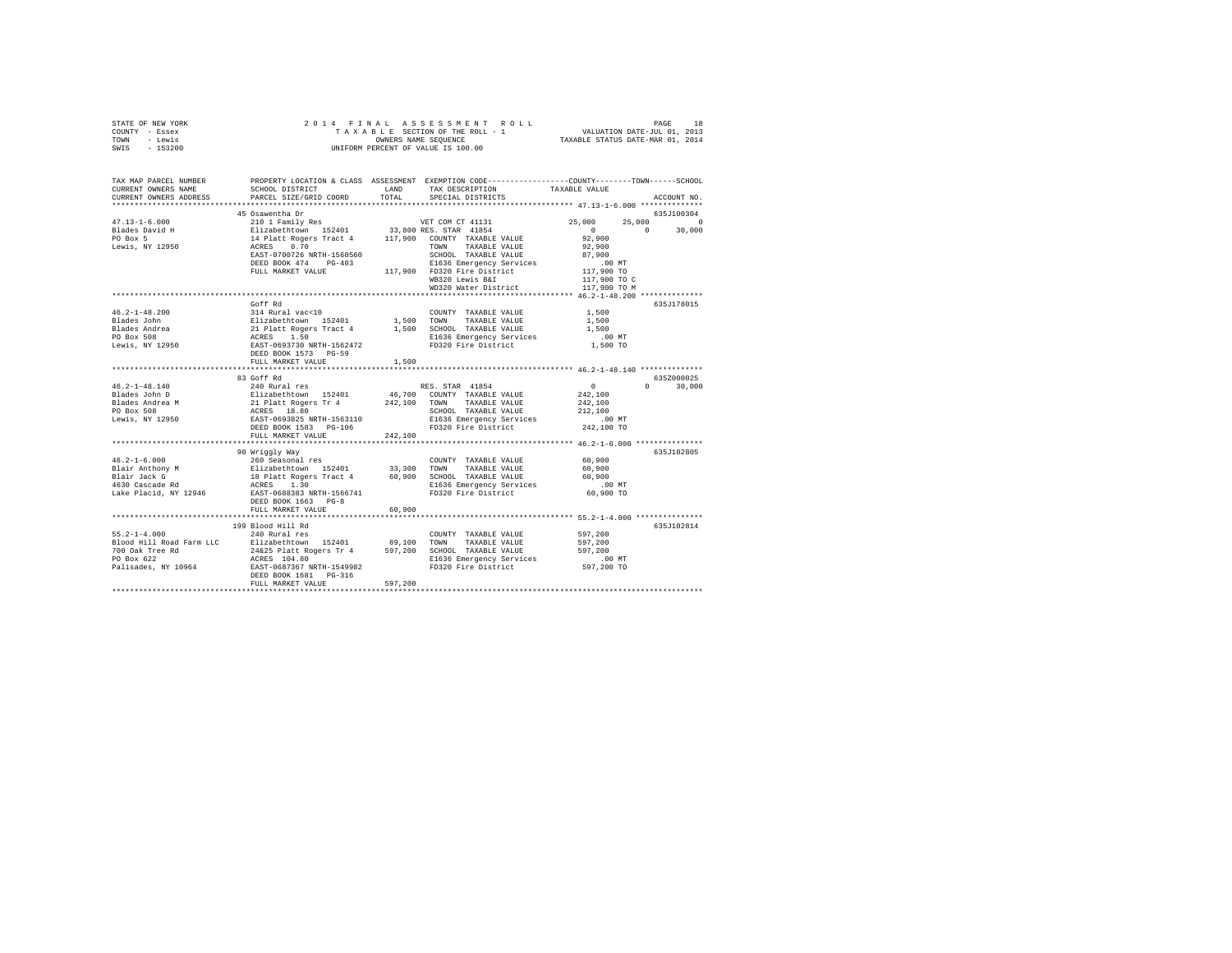| STATE OF NEW YORK | 2014 FINAL ASSESSMENT ROLL         | 18<br>PAGE                       |
|-------------------|------------------------------------|----------------------------------|
| COUNTY - Essex    | TAXABLE SECTION OF THE ROLL - 1    | VALUATION DATE-JUL 01, 2013      |
| TOWN<br>- Lewis   | OWNERS NAME SEOUENCE               | TAXABLE STATUS DATE-MAR 01, 2014 |
| $-153200$<br>SWIS | UNIFORM PERCENT OF VALUE IS 100.00 |                                  |

| TAX MAP PARCEL NUMBER<br>CURRENT OWNERS NAME<br>CURRENT OWNERS ADDRESS               | SCHOOL DISTRICT<br>PARCEL SIZE/GRID COORD                                                                                                                                                                                                      | LAND<br>TOTAL | PROPERTY LOCATION & CLASS ASSESSMENT EXEMPTION CODE----------------COUNTY-------TOWN------SCHOOL<br>TAX DESCRIPTION<br>SPECIAL DISTRICTS | TAXABLE VALUE                                                 | ACCOUNT NO.   |
|--------------------------------------------------------------------------------------|------------------------------------------------------------------------------------------------------------------------------------------------------------------------------------------------------------------------------------------------|---------------|------------------------------------------------------------------------------------------------------------------------------------------|---------------------------------------------------------------|---------------|
|                                                                                      |                                                                                                                                                                                                                                                |               |                                                                                                                                          |                                                               |               |
|                                                                                      |                                                                                                                                                                                                                                                |               |                                                                                                                                          |                                                               |               |
|                                                                                      | EAST-0700726 NRTH-1560560<br>EAST-0700726 NRTH-1560560<br>DEED BOOK 474 PG-403<br>DEED BOOK 474 PG-403<br>PD320 Fire District 117,900 TO MB320 Lewis B&I 117,900 TO WB320 Lewis B&I 117,900 TO C                                               |               | SCHOOL TAXABLE VALUE                                                                                                                     |                                                               |               |
|                                                                                      |                                                                                                                                                                                                                                                |               |                                                                                                                                          |                                                               |               |
|                                                                                      |                                                                                                                                                                                                                                                |               | WD320 Water District 117,900 TO M                                                                                                        |                                                               |               |
|                                                                                      |                                                                                                                                                                                                                                                |               |                                                                                                                                          |                                                               |               |
| $46.2 - 1 - 48.200$<br>Blades John<br>Blades Andrea<br>PO Box 508<br>Lewis, NY 12950 | Goff Rd<br>2001 - 2003<br>214 Rural vac<br><10 152401 1,500 TOWNTY TAXABLE VALUE RILE PARABLE VALUE 21 Platt Rogers 1.500 153401 1,500 SCHOOL TAXABLE VALUE 2022<br>21 Platt Rogers Tract 4 1,500 SCHOOL TAXABLE VALUE 2022<br>2022 0225-06937 |               | COUNTY TAXABLE VALUE 1.500                                                                                                               | 1,500<br>1,500<br>$.00$ MT<br>$1,500$ TO                      | 635J178015    |
|                                                                                      | FULL MARKET VALUE                                                                                                                                                                                                                              | 1,500         |                                                                                                                                          |                                                               |               |
|                                                                                      |                                                                                                                                                                                                                                                |               |                                                                                                                                          |                                                               |               |
|                                                                                      |                                                                                                                                                                                                                                                |               |                                                                                                                                          |                                                               | 635Z000025    |
|                                                                                      |                                                                                                                                                                                                                                                |               | SCHOOL TAXABLE VALUE 212,100<br>E1636 Emergency Services 6.00 MT<br>FD320 Fire District 242,100 TO                                       | $\sim$ 0<br>242,100<br>242,100                                | $0 \t 30,000$ |
|                                                                                      |                                                                                                                                                                                                                                                |               |                                                                                                                                          |                                                               |               |
|                                                                                      |                                                                                                                                                                                                                                                |               |                                                                                                                                          | ********************************** 46.2-1-6.000 ************* |               |
|                                                                                      | 90 Wriggly Way                                                                                                                                                                                                                                 |               |                                                                                                                                          | MT.<br>60,900 TO                                              | 635J102805    |
|                                                                                      | FULL MARKET VALUE                                                                                                                                                                                                                              | 60,900        |                                                                                                                                          |                                                               |               |
|                                                                                      |                                                                                                                                                                                                                                                |               |                                                                                                                                          |                                                               |               |
|                                                                                      | 199 Blood Hill Rd<br>DEED BOOK 1681    PG-316                                                                                                                                                                                                  |               |                                                                                                                                          |                                                               | 635J102814    |
|                                                                                      | FULL MARKET VALUE                                                                                                                                                                                                                              | 597,200       |                                                                                                                                          |                                                               |               |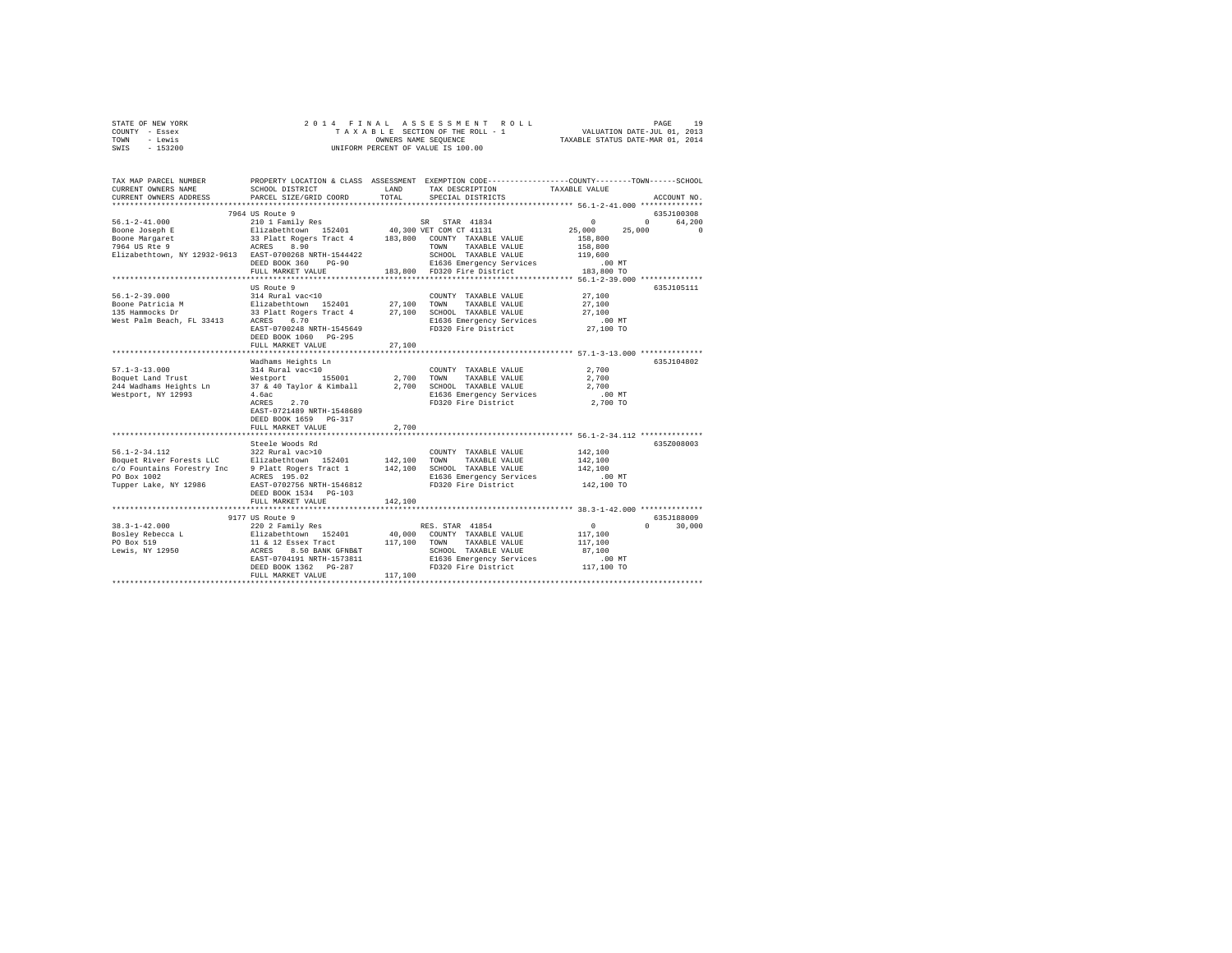|      | STATE OF NEW YORK |  |  |  | 2014 FINAL ASSESSMENT ROLL         |  |  |  |  |  |                                  |                             | PAGE | 19 |
|------|-------------------|--|--|--|------------------------------------|--|--|--|--|--|----------------------------------|-----------------------------|------|----|
|      | COUNTY - Essex    |  |  |  | TAXABLE SECTION OF THE ROLL - 1    |  |  |  |  |  |                                  | VALUATION DATE-JUL 01, 2013 |      |    |
| TOWN | - Lewis           |  |  |  | OWNERS NAME SEOUENCE               |  |  |  |  |  | TAXABLE STATUS DATE-MAR 01, 2014 |                             |      |    |
| SWIS | - 153200          |  |  |  | UNIFORM PERCENT OF VALUE IS 100.00 |  |  |  |  |  |                                  |                             |      |    |

| TAX MAP PARCEL NUMBER<br>CURRENT OWNERS NAME                                                                                                                                                      | SCHOOL DISTRICT                     | LAND       | PROPERTY LOCATION & CLASS ASSESSMENT EXEMPTION CODE---------------COUNTY-------TOWN-----SCHOOL<br>TAX DESCRIPTION | TAXABLE VALUE       |                             |
|---------------------------------------------------------------------------------------------------------------------------------------------------------------------------------------------------|-------------------------------------|------------|-------------------------------------------------------------------------------------------------------------------|---------------------|-----------------------------|
| CURRENT OWNERS ADDRESS                                                                                                                                                                            | PARCEL SIZE/GRID COORD              | TOTAL      | SPECIAL DISTRICTS                                                                                                 |                     | ACCOUNT NO.                 |
|                                                                                                                                                                                                   | 7964 US Route 9                     |            |                                                                                                                   |                     | 635J100308                  |
|                                                                                                                                                                                                   |                                     |            |                                                                                                                   |                     | $0 \qquad \qquad$<br>64,200 |
|                                                                                                                                                                                                   |                                     |            |                                                                                                                   | 25,000              | 25,000<br>$\Omega$          |
|                                                                                                                                                                                                   |                                     |            |                                                                                                                   | 158,800             |                             |
|                                                                                                                                                                                                   |                                     |            |                                                                                                                   | 158,800             |                             |
| Elizabethtown, NY 12932-9613 EAST-0700268 NRTH-1544422                                                                                                                                            |                                     |            | SCHOOL TAXABLE VALUE                                                                                              | 119,600             |                             |
|                                                                                                                                                                                                   | DEED BOOK 360 PG-90                 |            | E1636 Emergency Services<br>FD320 Fire District                                                                   | .00 MT              |                             |
|                                                                                                                                                                                                   | FULL MARKET VALUE                   |            | 183,800 FD320 Fire District                                                                                       | 183,800 TO          |                             |
|                                                                                                                                                                                                   | US Route 9                          |            |                                                                                                                   |                     | 635J105111                  |
| $56.1 - 2 - 39.000$                                                                                                                                                                               | 314 Rural vac<10                    |            | COUNTY TAXABLE VALUE                                                                                              | 27,100              |                             |
|                                                                                                                                                                                                   |                                     |            |                                                                                                                   | 27,100              |                             |
|                                                                                                                                                                                                   |                                     |            |                                                                                                                   | 27,100              |                             |
| -Distribution of Distribution 152401 27,100 TOWN TAKABLE VALUE<br>135 Hammocks Dr. 31 2011 152401 27,100 TOWN TAKABLE VALUE<br>West Palm Beach, FL 33413 ACRES 6.70 2011 E1636 Emergency Services |                                     |            |                                                                                                                   | $.00$ MT            |                             |
|                                                                                                                                                                                                   | EAST-0700248 NRTH-1545649           |            | FD320 Fire District                                                                                               | 27,100 TO           |                             |
|                                                                                                                                                                                                   | DEED BOOK 1060 PG-295               |            |                                                                                                                   |                     |                             |
|                                                                                                                                                                                                   | FULL MARKET VALUE                   | 27,100     |                                                                                                                   |                     |                             |
|                                                                                                                                                                                                   |                                     |            |                                                                                                                   |                     |                             |
|                                                                                                                                                                                                   | Wadhams Heights Ln                  |            |                                                                                                                   |                     | 635J104802                  |
| $57.1 - 3 - 13.000$<br>Boquet Land Trust                                                                                                                                                          | 314 Rural vac<10<br>Westport 155001 | 2,700 TOWN | COUNTY TAXABLE VALUE<br>TAXABLE VALUE                                                                             | 2,700<br>2,700      |                             |
| 244 Wadhams Heights Ln $37 \& 40$ Taylor & Kimball $2,700$ SCHOOL TAXABLE VALUE                                                                                                                   |                                     |            |                                                                                                                   | 2,700               |                             |
| Westport, NY 12993                                                                                                                                                                                | 4.6ac                               |            |                                                                                                                   |                     |                             |
|                                                                                                                                                                                                   | ACRES<br>2.70                       |            | E1636 Emergency Services .00 MT<br>FD320 Fire District 2,700 TO                                                   |                     |                             |
|                                                                                                                                                                                                   | EAST-0721489 NRTH-1548689           |            |                                                                                                                   |                     |                             |
|                                                                                                                                                                                                   | DEED BOOK 1659 PG-317               |            |                                                                                                                   |                     |                             |
|                                                                                                                                                                                                   | FULL MARKET VALUE                   | 2,700      |                                                                                                                   |                     |                             |
|                                                                                                                                                                                                   |                                     |            | ******************************* 56.1-2-34.112 **************                                                      |                     |                             |
|                                                                                                                                                                                                   | Steele Woods Rd                     |            |                                                                                                                   |                     | 635Z008003                  |
| 56.1-2-34.112 322 Rural vac>10<br>Boquet River Forests LLC Elizabethtown 152401                                                                                                                   |                                     |            | COUNTY TAXABLE VALUE                                                                                              | 142,100             |                             |
|                                                                                                                                                                                                   |                                     |            | 142,100 TOWN TAXABLE VALUE                                                                                        | 142,100             |                             |
| c/o Fountains Forestry Inc 9 Platt Rogers Tract 1 142,100 SCHOOL TAXABLE VALUE<br>PO Box 1002                                                                                                     | ACRES 195.02                        |            | E1636 Emergency Services                                                                                          | 142,100<br>$.00$ MT |                             |
| Tupper Lake, NY 12986 EAST-0702756 NRTH-1546812                                                                                                                                                   |                                     |            | FD320 Fire District                                                                                               | 142,100 TO          |                             |
|                                                                                                                                                                                                   | DEED BOOK 1534 PG-103               |            |                                                                                                                   |                     |                             |
|                                                                                                                                                                                                   | FULL MARKET VALUE                   | 142,100    |                                                                                                                   |                     |                             |
|                                                                                                                                                                                                   |                                     |            |                                                                                                                   |                     |                             |
|                                                                                                                                                                                                   |                                     |            |                                                                                                                   |                     | 635J188009                  |
|                                                                                                                                                                                                   |                                     |            |                                                                                                                   |                     | $\mathbf{0}$<br>30,000      |
|                                                                                                                                                                                                   |                                     |            |                                                                                                                   |                     |                             |
|                                                                                                                                                                                                   |                                     |            |                                                                                                                   |                     |                             |
|                                                                                                                                                                                                   |                                     |            |                                                                                                                   |                     |                             |
|                                                                                                                                                                                                   |                                     |            |                                                                                                                   |                     |                             |
|                                                                                                                                                                                                   |                                     |            |                                                                                                                   |                     |                             |
|                                                                                                                                                                                                   |                                     |            |                                                                                                                   |                     |                             |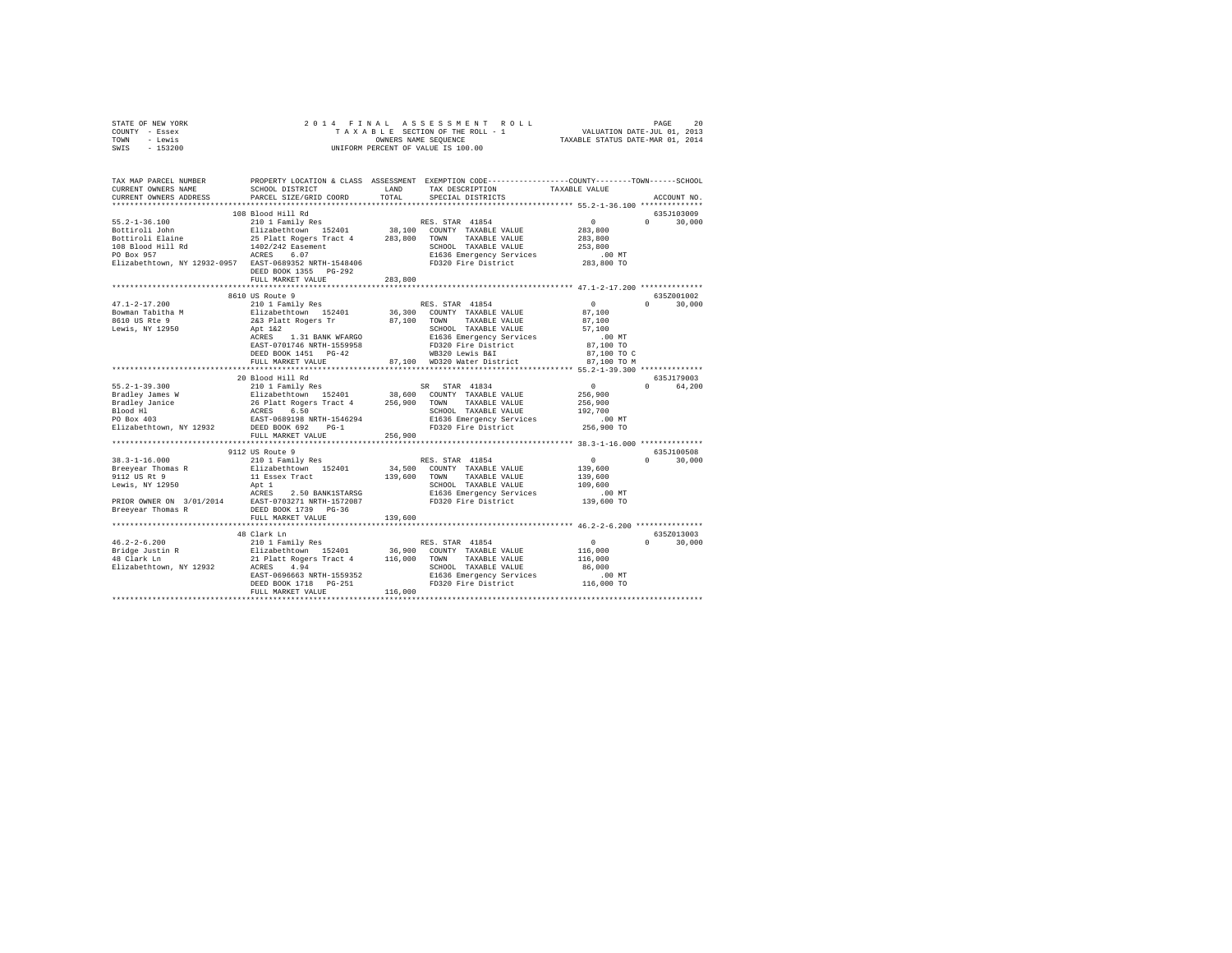| STATE OF NEW YORK<br>COUNTY - Essex<br>- Lewis<br>TOWN<br>SWIS - 153200                                                                                                                                                                           |                                                                                                              | 2014 FINAL ASSESSMENT ROLL<br>UNIFORM PERCENT OF VALUE IS 100.00 |                                                                                                                                           | PAGE                            | 20     |
|---------------------------------------------------------------------------------------------------------------------------------------------------------------------------------------------------------------------------------------------------|--------------------------------------------------------------------------------------------------------------|------------------------------------------------------------------|-------------------------------------------------------------------------------------------------------------------------------------------|---------------------------------|--------|
| TAX MAP PARCEL NUMBER PROPERTY LOCATION & CLASS ASSESSMENT EXEMPTION CODE---------------COUNTY-------TOWN------SCHOOL<br>CURRENT OWNERS NAME<br>CURRENT OWNERS ADDRESS OF PARCEL SIZE/GRID COORD TOTAL SPECIAL DISTRICTS CONFERENT OWNERS ADDRESS | SCHOOL DISTRICT                                                                                              |                                                                  | LAND TAX DESCRIPTION TAXABLE VALUE                                                                                                        |                                 |        |
|                                                                                                                                                                                                                                                   |                                                                                                              |                                                                  |                                                                                                                                           |                                 |        |
| $55.2 - 1 - 36.100$<br>Bottiroli John<br>Bottiroli Elaine 25 Platt Rogers Tract 4 283,800 TOWN<br>108 Blood Hill Rd 1402/242 Easement<br>PO Box 957<br>Elizabethtown, NY 12932-0957 EAST-0689352 NRTH-1548406                                     | 108 Blood Hill Rd<br>Elizabethtown 152401 38,100 COUNTY TAXABLE VALUE<br>ACRES 6.07<br>DEED BOOK 1355 PG-292 | SCHOOL TAXABLE VALUE                                             | $\Omega$ and $\Omega$<br>283,800<br>TAXABLE VALUE 283,800<br>253,800<br>E1636 Emergency Services .00 MT<br>FD320 Fire District 283,800 TO | 635J103009<br>$0 \qquad \qquad$ | 30,000 |
|                                                                                                                                                                                                                                                   | FULL MARKET VALUE 283,800                                                                                    |                                                                  |                                                                                                                                           |                                 |        |
|                                                                                                                                                                                                                                                   | 8610 US Route 9                                                                                              |                                                                  |                                                                                                                                           | 635Z001002                      |        |
| $47.1 - 2 - 17.200$                                                                                                                                                                                                                               | 210 1 Family Res RES. STAR 41854                                                                             |                                                                  | $\mathbf{0}$                                                                                                                              | $\Omega$                        | 30,000 |
| Bowman Tabitha M                                                                                                                                                                                                                                  | Elizabethtown 152401 36,300 COUNTY TAXABLE VALUE 87,100                                                      |                                                                  |                                                                                                                                           |                                 |        |
| 8610 US Rte 9                                                                                                                                                                                                                                     | 2&3 Platt Rogers Tr 87,100 TOWN                                                                              |                                                                  | TAXABLE VALUE 87,100                                                                                                                      |                                 |        |
| Lewis, NY 12950                                                                                                                                                                                                                                   | Apt 1&2                                                                                                      | SCHOOL TAXABLE VALUE                                             | 57,100                                                                                                                                    |                                 |        |
|                                                                                                                                                                                                                                                   | 1.31 BANK WFARGO<br>ACRES                                                                                    |                                                                  | E1636 Emergency Services .00 MT                                                                                                           |                                 |        |
|                                                                                                                                                                                                                                                   | EAST-0701746 NRTH-1559958                                                                                    |                                                                  | FD320 Fire District 87,100 TO                                                                                                             |                                 |        |
|                                                                                                                                                                                                                                                   | DEED BOOK 1451 PG-42                                                                                         |                                                                  | $MR320$ Tevris R&T $R37100$ TO $C$                                                                                                        |                                 |        |

| DUWWGH IGDILHG M<br>8610 US Rte 9     | prisangentown 192401 90,900<br>2&3 Platt Rogers Tr | COUNTI TUVUUD AUND<br>87,100<br>TOWN<br>TAXABLE VALUE                            | 01,100<br>87,100 |                        |
|---------------------------------------|----------------------------------------------------|----------------------------------------------------------------------------------|------------------|------------------------|
| Lewis. NY 12950                       | Apt 1&2                                            | SCHOOL TAXABLE VALUE                                                             | 57,100           |                        |
|                                       | ACRES 1.31 BANK WFARGO                             | E1636 Emergency Services .00 MT                                                  |                  |                        |
|                                       | EAST-0701746 NRTH-1559958                          | FD320 Fire District 87.100 TO                                                    |                  |                        |
|                                       | DEED BOOK 1451 PG-42                               | WB320 Lewis B&I 87,100 TO C                                                      |                  |                        |
|                                       |                                                    | FULL MARKET VALUE 87,100 WD320 Water District 87,100 TO M                        |                  |                        |
|                                       |                                                    |                                                                                  |                  |                        |
|                                       | 20 Blood Hill Rd                                   |                                                                                  |                  | 635J179003             |
| $55.2 - 1 - 39.300$                   | 210 1 Family Res                                   | SR STAR 41834                                                                    | $\sim$ 0         | $\Omega$<br>64,200     |
|                                       |                                                    |                                                                                  | 256,900          |                        |
|                                       |                                                    |                                                                                  | 256,900          |                        |
| Blood Hl<br><b>ACRES</b>              | 6.50                                               | SCHOOL TAXABLE VALUE                                                             | 192,700          |                        |
| PO Box 403                            | EAST-0689198 NRTH-1546294                          | E1636 Emergency Services .00 MT                                                  |                  |                        |
| Elizabethtown, NY 12932 DEED BOOK 692 | $PG-1$                                             | FD320 Fire District 256,900 TO                                                   |                  |                        |
|                                       | FULL MARKET VALUE                                  | 256,900                                                                          |                  |                        |
|                                       |                                                    |                                                                                  |                  |                        |
|                                       | 9112 US Route 9                                    |                                                                                  |                  | 635J100508             |
| $38.3 - 1 - 16.000$                   | 210 1 Family Res                                   | RES. STAR 41854                                                                  | $\sim$ 0         | $\Omega$<br>30,000     |
|                                       |                                                    | Breeyear Thomas R         Elizabethtown 152401       34,500 COUNTY TAXABLE VALUE | 139,600          |                        |
| 9112 US Rt 9                          | 11 Essex Tract 139,600 TOWN                        | TAXABLE VALUE 139,600                                                            |                  |                        |
| Lewis, NY 12950 Apt 1                 |                                                    | SCHOOL TAXABLE VALUE                                                             | 109,600          |                        |
|                                       | ACRES 2.50 BANK1STARSG                             | E1636 Emergency Services                                                         | .00 MT           |                        |
|                                       | PRIOR OWNER ON 3/01/2014 EAST-0703271 NRTH-1572087 | FD320 Fire District 139,600 TO                                                   |                  |                        |
| Breevear Thomas R                     | DEED BOOK 1739 PG-36                               |                                                                                  |                  |                        |
|                                       | FULL MARKET VALUE                                  | 139,600                                                                          |                  |                        |
|                                       |                                                    |                                                                                  |                  | 635Z013003             |
| $46.2 - 2 - 6.200$                    | 48 Clark Ln<br>210 1 Family Res                    | RES. STAR 41854                                                                  | $\overline{0}$   | 30,000<br>$\mathbf{r}$ |
|                                       |                                                    |                                                                                  | 116,000          |                        |
| 48 Clark Ln                           | 21 Platt Rogers Tract 4 116,000                    | TOWN<br>TAXABLE VALUE                                                            | 116,000          |                        |
| Elizabethtown, NY 12932               | 4.94<br>ACRES                                      | SCHOOL TAXABLE VALUE                                                             | 86,000           |                        |
|                                       | EAST-0696663 NRTH-1559352                          | E1636 Emergency Services                                                         | .00 MT           |                        |
|                                       | DEED BOOK 1718    PG-251                           | FD320 Fire District                                                              | 116,000 TO       |                        |
|                                       | FULL MARKET VALUE                                  | 116,000                                                                          |                  |                        |
|                                       |                                                    |                                                                                  |                  |                        |
|                                       |                                                    |                                                                                  |                  |                        |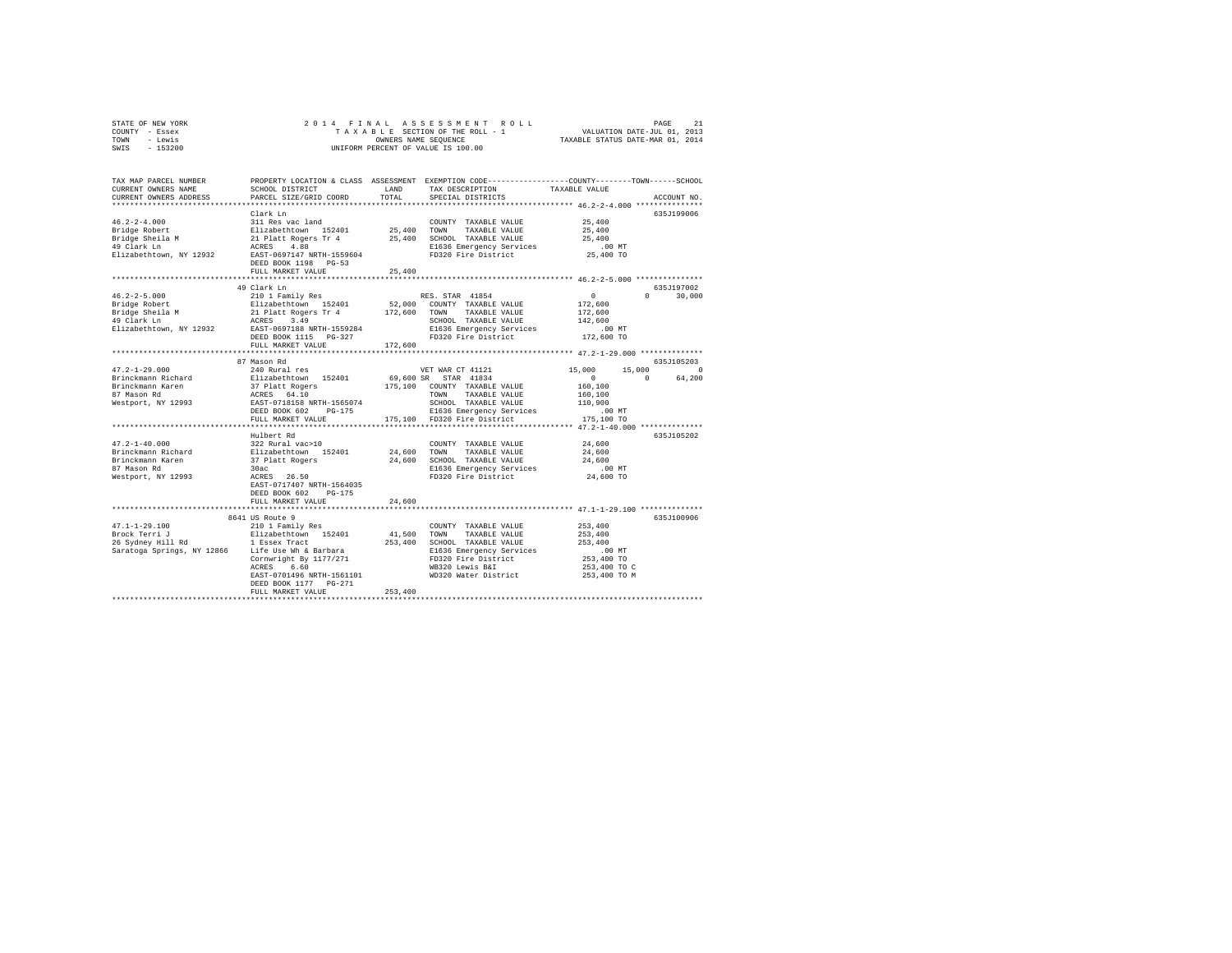| STATE OF NEW YORK |           |  |  | 2014 FINAL ASSESSMENT ROLL         |                                  | PAGE                        |  |
|-------------------|-----------|--|--|------------------------------------|----------------------------------|-----------------------------|--|
| COUNTY - Essex    |           |  |  | TAXABLE SECTION OF THE ROLL - 1    |                                  | VALUATION DATE-JUL 01, 2013 |  |
| TOWN              | - Lewis   |  |  | OWNERS NAME SEOUENCE               | TAXABLE STATUS DATE-MAR 01, 2014 |                             |  |
| SWIS              | $-153200$ |  |  | UNIFORM PERCENT OF VALUE IS 100.00 |                                  |                             |  |

| TAX MAP PARCEL NUMBER                            |                                                 |             | PROPERTY LOCATION & CLASS ASSESSMENT EXEMPTION CODE---------------COUNTY-------TOWN-----SCHOOL |                                                                |                    |
|--------------------------------------------------|-------------------------------------------------|-------------|------------------------------------------------------------------------------------------------|----------------------------------------------------------------|--------------------|
| CURRENT OWNERS NAME                              | SCHOOL DISTRICT                                 | LAND        | TAX DESCRIPTION                                                                                | TAXABLE VALUE                                                  |                    |
| CURRENT OWNERS ADDRESS                           | PARCEL SIZE/GRID COORD                          | TOTAL       | SPECIAL DISTRICTS                                                                              |                                                                | ACCOUNT NO.        |
|                                                  | ***************************                     |             |                                                                                                |                                                                |                    |
|                                                  | Clark In                                        |             |                                                                                                |                                                                | 635J199006         |
| $46.2 - 2 - 4.000$                               | 311 Res vac land                                |             | COUNTY TAXABLE VALUE                                                                           | 25,400                                                         |                    |
| Bridge Robert                                    | Elizabethtown 152401                            |             | 25,400 TOWN<br>TAXABLE VALUE                                                                   | 25,400                                                         |                    |
| Bridge Sheila M                                  | 21 Platt Rogers Tr 4                            |             | 25,400 SCHOOL TAXABLE VALUE                                                                    | 25,400                                                         |                    |
| 49 Clark Ln                                      | ACRES 4.88                                      |             | E1636 Emergency Services                                                                       | $.00$ MT                                                       |                    |
| Elizabethtown, NY 12932                          | EAST-0697147 NRTH-1559604                       |             | FD320 Fire District                                                                            | 25,400 TO                                                      |                    |
|                                                  | DEED BOOK 1198 PG-53                            |             |                                                                                                |                                                                |                    |
|                                                  | FULL MARKET VALUE                               | 25,400      |                                                                                                |                                                                |                    |
|                                                  |                                                 |             |                                                                                                |                                                                |                    |
|                                                  | 49 Clark Ln                                     |             |                                                                                                |                                                                | 635J197002         |
| $46.2 - 2 - 5.000$                               | 210 1 Family Res                                |             | RES. STAR 41854                                                                                | $\Omega$                                                       | $\Omega$<br>30,000 |
| Bridge Robert                                    | Elizabethtown 152401                            |             | 52,000 COUNTY TAXABLE VALUE                                                                    | 172,600                                                        |                    |
| Bridge Sheila M                                  | 21 Platt Rogers Tr 4 172,600 TOWN TAXABLE VALUE |             |                                                                                                | 172,600                                                        |                    |
| 49 Clark Ln                                      | ACRES 3.49                                      |             | SCHOOL TAXABLE VALUE                                                                           | 142,600                                                        |                    |
| Elizabethtown, NY 12932                          | EAST-0697188 NRTH-1559284                       |             | E1636 Emergency Services                                                                       | .00 MT                                                         |                    |
|                                                  | DEED BOOK 1115 PG-327                           |             | FD320 Fire District                                                                            | 172,600 TO                                                     |                    |
|                                                  | FULL MARKET VALUE                               | 172,600     |                                                                                                |                                                                |                    |
|                                                  | ***********************                         |             |                                                                                                |                                                                |                    |
|                                                  | 87 Mason Rd                                     |             |                                                                                                |                                                                | 635J105203         |
| $47.2 - 1 - 29.000$                              | 240 Rural res                                   |             | VET WAR CT 41121                                                                               | 15,000<br>15,000                                               | $\Omega$           |
| Brinckmann Richard                               | Elizabethtown 152401                            |             | 69,600 SR STAR 41834                                                                           | $\overline{0}$                                                 | $\Omega$<br>64,200 |
| Brinckmann Karen                                 | 37 Platt Rogers<br>ACRES 64.10                  |             | 175,100 COUNTY TAXABLE VALUE                                                                   | 160,100                                                        |                    |
| 87 Mason Rd                                      |                                                 |             | TOWN<br>TAXABLE VALUE                                                                          | 160,100                                                        |                    |
| Westport, NY 12993                               | EAST-0718158 NRTH-1565074                       |             | SCHOOL TAXABLE VALUE                                                                           | 110,900                                                        |                    |
|                                                  | DEED BOOK 602<br>PG-175                         |             | E1636 Emergency Services                                                                       | $.00$ MT                                                       |                    |
|                                                  | FULL MARKET VALUE                               |             | 175,100 FD320 Fire District                                                                    | 175,100 TO                                                     |                    |
|                                                  |                                                 |             |                                                                                                | *************** 47.2-1-40.000 *************                    |                    |
|                                                  | Hulbert Rd                                      |             |                                                                                                |                                                                | 635J105202         |
| $47.2 - 1 - 40.000$                              | 322 Rural vac>10                                |             | COUNTY TAXABLE VALUE                                                                           | 24,600                                                         |                    |
| Brinckmann Richard                               | Elizabethtown 152401<br>37 Platt Rogers         | 24,600 TOWN | TAXABLE VALUE                                                                                  | 24,600                                                         |                    |
| Brinckmann Karen                                 |                                                 |             | 24,600 SCHOOL TAXABLE VALUE                                                                    | 24,600                                                         |                    |
| 87 Mason Rd                                      | 30ac                                            |             | E1636 Emergency Services                                                                       | $.00$ MT                                                       |                    |
| Westport, NY 12993                               | ACRES 26.50                                     |             | FD320 Fire District                                                                            | 24,600 TO                                                      |                    |
|                                                  | EAST-0717407 NRTH-1564035                       |             |                                                                                                |                                                                |                    |
|                                                  | DEED BOOK 602<br>PG-175                         |             |                                                                                                |                                                                |                    |
|                                                  | FULL MARKET VALUE                               | 24,600      |                                                                                                |                                                                |                    |
|                                                  |                                                 |             |                                                                                                | ********************************** 47.1-1-29.100 ************* |                    |
|                                                  | 8641 US Route 9                                 |             |                                                                                                |                                                                | 635J100906         |
| $47.1 - 1 - 29.100$                              | 210 1 Family Res                                |             | COUNTY TAXABLE VALUE                                                                           | 253,400                                                        |                    |
| Brock Terri J                                    | Elizabethtown 152401                            | 41,500 TOWN | TAXABLE VALUE                                                                                  | 253,400                                                        |                    |
| 26 Sydney Hill Rd 1 Essex Tract                  |                                                 |             | 253,400 SCHOOL TAXABLE VALUE                                                                   | 253,400                                                        |                    |
| Saratoga Springs, NY 12866 Life Use Wh & Barbara |                                                 |             | E1636 Emergency Services                                                                       | .00 MT                                                         |                    |
|                                                  | Cornwright By 1177/271<br>6.60                  |             | FD320 Fire District<br>WB320 Lewis B&I                                                         | 253,400 TO                                                     |                    |
|                                                  | ACRES<br>EAST-0701496 NRTH-1561101              |             | WD320 Water District                                                                           | 253,400 TO C<br>253,400 TO M                                   |                    |
|                                                  | DEED BOOK 1177 PG-271                           |             |                                                                                                |                                                                |                    |
|                                                  | FULL MARKET VALUE                               | 253,400     |                                                                                                |                                                                |                    |
|                                                  |                                                 |             |                                                                                                |                                                                |                    |
|                                                  |                                                 |             |                                                                                                |                                                                |                    |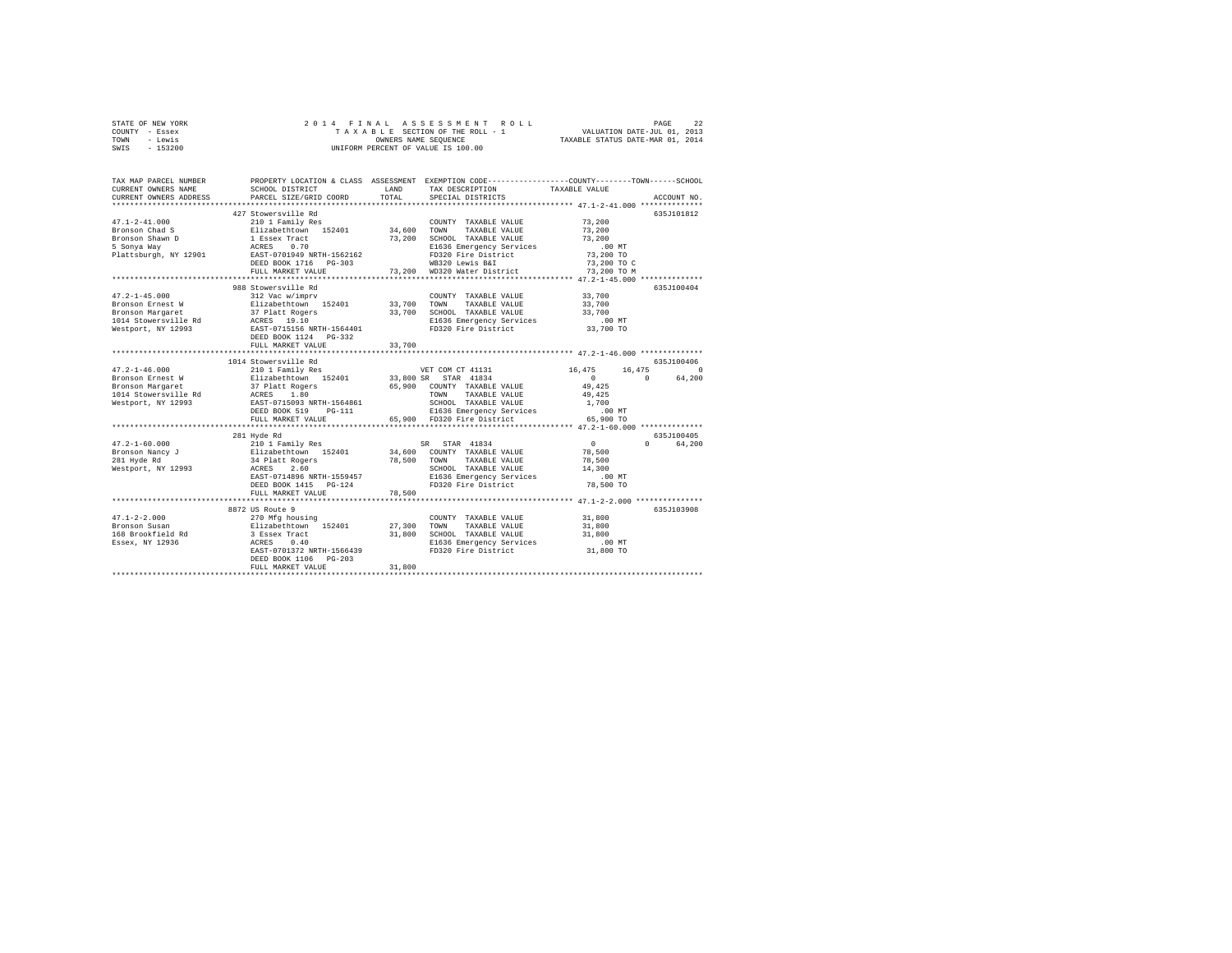| STATE OF NEW YORK | 2014 FINAL ASSESSMENT ROLL         | 22<br>PAGE                       |
|-------------------|------------------------------------|----------------------------------|
| - Essex<br>COUNTY | TAXABLE SECTION OF THE ROLL - 1    | VALUATION DATE-JUL 01, 2013      |
| - Lewis<br>TOWN   | OWNERS NAME SEOUENCE               | TAXABLE STATUS DATE-MAR 01, 2014 |
| $-153200$<br>SWIS | UNIFORM PERCENT OF VALUE IS 100.00 |                                  |
|                   |                                    |                                  |

| TAX MAP PARCEL NUMBER<br>CURRENT OWNERS NAME<br>CURRENT OWNERS ADDRESS                                    | SCHOOL DISTRICT<br>PARCEL SIZE/GRID COORD                                                                                                                                                                       | LAND<br>TOTAL                   | PROPERTY LOCATION & CLASS ASSESSMENT EXEMPTION CODE---------------COUNTY-------TOWN-----SCHOOL<br>TAX DESCRIPTION<br>SPECIAL DISTRICTS                                                                                                  | TAXABLE VALUE                                                                      | ACCOUNT NO.                    |
|-----------------------------------------------------------------------------------------------------------|-----------------------------------------------------------------------------------------------------------------------------------------------------------------------------------------------------------------|---------------------------------|-----------------------------------------------------------------------------------------------------------------------------------------------------------------------------------------------------------------------------------------|------------------------------------------------------------------------------------|--------------------------------|
| $47.1 - 2 - 41.000$<br>Bronson Chad S<br>Bronson Shawn D<br>5 Sonya Way<br>Plattsburgh, NY 12901          | 427 Stowersville Rd<br>210 1 Family Res<br>Elizabethtown 152401 34,600<br>1 Essex Tract<br>0.70<br>ACRES<br>EAST-0701949 NRTH-1562162<br>DEED BOOK 1716 PG-303<br>FULL MARKET VALUE<br>************************ | 73,200<br>73,200                | COUNTY TAXABLE VALUE<br>TOWN<br>TAXABLE VALUE<br>SCHOOL TAXABLE VALUE<br>E1636 Emergency Services<br>FD320 Fire District<br>WB320 Lewis B&I<br>WD320 Water District<br>************************************ 47.2-1-45.000 ************* | 73,200<br>73,200<br>73,200<br>$.00$ MT<br>73,200 TO<br>73,200 TO C<br>73,200 TO M  | 635J101812                     |
| $47.2 - 1 - 45.000$<br>Bronson Ernest W<br>Bronson Margaret<br>1014 Stowersville Rd<br>Westport, NY 12993 | 988 Stowersville Rd<br>312 Vac w/imprv<br>Elizabethtown 152401<br>37 Platt Rogers<br>ACRES 19.10<br>EAST-0715156 NRTH-1564401<br>DEED BOOK 1124 PG-332<br>FULL MARKET VALUE                                     | 33,700<br>33,700<br>33,700<br>. | COUNTY TAXABLE VALUE<br>TOWN<br>TAXABLE VALUE<br>SCHOOL TAXABLE VALUE<br>E1636 Emergency Services<br>FD320 Fire District<br>********************************** 47.2-1-46.000 ***************                                            | 33,700<br>33,700<br>33,700<br>.00 MT<br>33,700 TO                                  | 635J100404                     |
|                                                                                                           | 1014 Stowersville Rd                                                                                                                                                                                            |                                 |                                                                                                                                                                                                                                         |                                                                                    | 635J100406                     |
| $47.2 - 1 - 46.000$<br>Bronson Ernest W<br>Bronson Margaret<br>1014 Stowersville Rd<br>Westport, NY 12993 | 210 1 Family Res<br>Elizabethtown 152401<br>37 Platt Rogers<br>ACRES 1.80<br>EAST-0715093 NRTH-1564861<br>DEED BOOK 519 PG-111<br>FULL MARKET VALUE                                                             |                                 | VET COM CT 41131<br>33,800 SR STAR 41834<br>65,900 COUNTY TAXABLE VALUE<br>TAXABLE VALUE<br>TOWN<br>SCHOOL TAXABLE VALUE<br>E1636 Emergency Services<br>65,900 FD320 Fire District                                                      | 16,475<br>16,475<br>$\sim$ 0<br>49.425<br>49.425<br>1,700<br>$.00$ MT<br>65,900 TO | $\circ$<br>64,200<br>$\Omega$  |
|                                                                                                           |                                                                                                                                                                                                                 |                                 |                                                                                                                                                                                                                                         |                                                                                    |                                |
| Westport, NY 12993 ACRES                                                                                  | 281 Hyde Rd<br>2.60<br>EAST-0714896 NRTH-1559457<br>DEED BOOK 1415 PG-124<br>FULL MARKET VALUE                                                                                                                  | 34,600<br>78,500<br>78,500      | SR STAR 41834<br>COUNTY TAXABLE VALUE<br>TOWN<br>TAXABLE VALUE<br>SCHOOL TAXABLE VALUE<br>E1636 Emergency Services<br>FD320 Fire District                                                                                               | 0<br>78,500<br>78,500<br>14,300<br>.00 MT<br>78,500 TO                             | 635J100405<br>$\cap$<br>64,200 |
|                                                                                                           |                                                                                                                                                                                                                 |                                 |                                                                                                                                                                                                                                         |                                                                                    |                                |
| $47.1 - 2 - 2.000$<br>Bronson Susan<br>168 Brookfield Rd<br>Essex, NY 12936                               | 8872 US Route 9<br>270 Mfg housing<br>Elizabethtown 152401<br>3 Essex Tract<br>ACRES<br>0.40<br>EAST-0701372 NRTH-1566439<br>DEED BOOK 1106 PG-203<br>FULL MARKET VALUE                                         | 27,300<br>31,800<br>31,800      | COUNTY TAXABLE VALUE<br>TOWN<br>TAXABLE VALUE<br>SCHOOL TAXABLE VALUE<br>E1636 Emergency Services<br>FD320 Fire District                                                                                                                | 31,800<br>31,800<br>31,800<br>$.00$ MT<br>31,800 TO                                | 635J103908                     |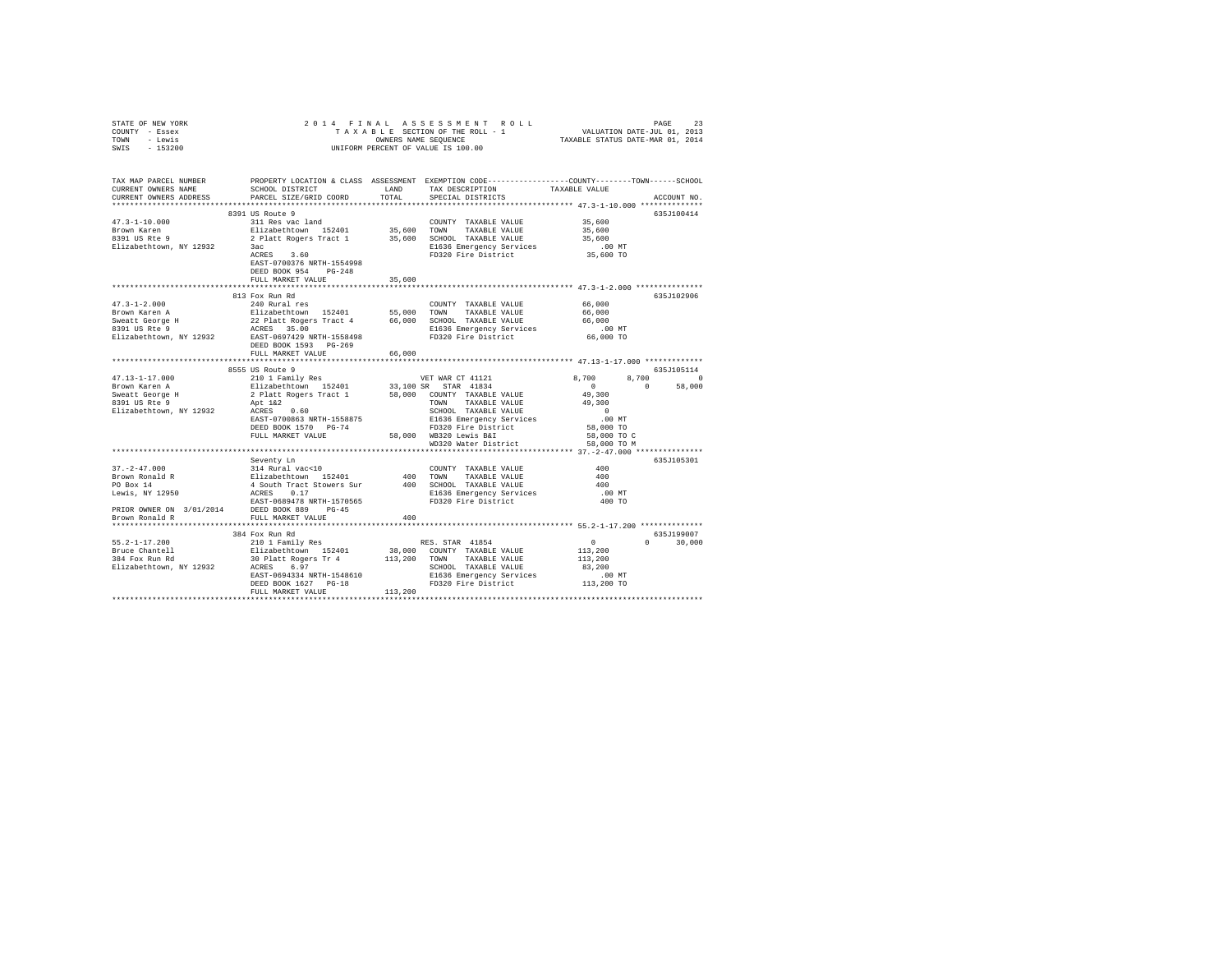| STATE OF NEW YORK                                                                                                                                                                                                 |                                                                                                                                                          |        |                                  |                                                     |               |
|-------------------------------------------------------------------------------------------------------------------------------------------------------------------------------------------------------------------|----------------------------------------------------------------------------------------------------------------------------------------------------------|--------|----------------------------------|-----------------------------------------------------|---------------|
| COUNTY - Essex                                                                                                                                                                                                    |                                                                                                                                                          |        |                                  |                                                     |               |
| TOWN - Lewis                                                                                                                                                                                                      |                                                                                                                                                          |        |                                  |                                                     |               |
| SWIS - 153200                                                                                                                                                                                                     |                                                                                                                                                          |        |                                  |                                                     |               |
|                                                                                                                                                                                                                   |                                                                                                                                                          |        |                                  |                                                     |               |
|                                                                                                                                                                                                                   |                                                                                                                                                          |        |                                  |                                                     |               |
|                                                                                                                                                                                                                   |                                                                                                                                                          |        |                                  |                                                     |               |
| TAX MAP PARCEL NUMBER     PROPERTY LOCATION & CLASS ASSESSMENT EXEMPTION CODE---------------COUNTY-------TOWN------SCHOOL<br>CURRENT OWNERS NAME     SCHOOL DISTRICT     LAND   TAX DESCRIPTION     TAXABLE VALUE |                                                                                                                                                          |        | TAX DESCRIPTION                  | TAXABLE VALUE                                       |               |
| CURRENT OWNERS ADDRESS                                                                                                                                                                                            | PARCEL SIZE/GRID COORD                                                                                                                                   | TOTAL  | SPECIAL DISTRICTS                |                                                     | ACCOUNT NO.   |
|                                                                                                                                                                                                                   |                                                                                                                                                          |        |                                  |                                                     |               |
|                                                                                                                                                                                                                   | 8391 US Route 9                                                                                                                                          |        |                                  |                                                     | 635J100414    |
| $47.3 - 1 - 10.000$                                                                                                                                                                                               | 311 Res vac land                                                                                                                                         |        | COUNTY TAXABLE VALUE             | 35,600                                              |               |
| Brown Karen                                                                                                                                                                                                       |                                                                                                                                                          |        |                                  | 35,600                                              |               |
| 8391 US Rte 9                                                                                                                                                                                                     |                                                                                                                                                          |        |                                  | 35,600                                              |               |
| Elizabethtown, NY 12932                                                                                                                                                                                           | Elizabethtown 152401 35,600 TOWN TAXABLE VALUE<br>2 Platt Rogers Tract 1 35,600 SCHOOL TAXABLE VALUE<br>3ac 1 2010 21636 Racket 200 SCHOOL TAXABLE VALUE |        |                                  |                                                     |               |
|                                                                                                                                                                                                                   | 3ac<br>ACRES 3.60                                                                                                                                        |        | FD320 Fire District              | 00 MT.<br>35,600 TO                                 |               |
|                                                                                                                                                                                                                   | EAST-0700376 NRTH-1554998                                                                                                                                |        |                                  |                                                     |               |
|                                                                                                                                                                                                                   | DEED BOOK 954 PG-248                                                                                                                                     |        |                                  |                                                     |               |
|                                                                                                                                                                                                                   | FULL MARKET VALUE                                                                                                                                        | 35,600 |                                  |                                                     |               |
|                                                                                                                                                                                                                   |                                                                                                                                                          |        |                                  |                                                     |               |
|                                                                                                                                                                                                                   | 813 Fox Run Rd                                                                                                                                           |        |                                  |                                                     | 635J102906    |
|                                                                                                                                                                                                                   |                                                                                                                                                          |        |                                  |                                                     |               |
|                                                                                                                                                                                                                   |                                                                                                                                                          |        |                                  |                                                     |               |
|                                                                                                                                                                                                                   |                                                                                                                                                          |        |                                  |                                                     |               |
|                                                                                                                                                                                                                   |                                                                                                                                                          |        |                                  |                                                     |               |
|                                                                                                                                                                                                                   |                                                                                                                                                          |        |                                  |                                                     |               |
|                                                                                                                                                                                                                   |                                                                                                                                                          |        |                                  |                                                     |               |
|                                                                                                                                                                                                                   | FULL MARKET VALUE                                                                                                                                        | 66,000 |                                  |                                                     |               |
|                                                                                                                                                                                                                   |                                                                                                                                                          |        |                                  |                                                     |               |
|                                                                                                                                                                                                                   |                                                                                                                                                          |        |                                  |                                                     | 635J105114    |
|                                                                                                                                                                                                                   |                                                                                                                                                          |        |                                  |                                                     | 8,700 0       |
|                                                                                                                                                                                                                   |                                                                                                                                                          |        |                                  |                                                     | $0 \t 58,000$ |
|                                                                                                                                                                                                                   |                                                                                                                                                          |        |                                  |                                                     |               |
|                                                                                                                                                                                                                   |                                                                                                                                                          |        |                                  |                                                     |               |
|                                                                                                                                                                                                                   |                                                                                                                                                          |        |                                  |                                                     |               |
|                                                                                                                                                                                                                   |                                                                                                                                                          |        |                                  |                                                     |               |
|                                                                                                                                                                                                                   |                                                                                                                                                          |        |                                  |                                                     |               |
|                                                                                                                                                                                                                   |                                                                                                                                                          |        | WD320 Water District 58,000 TO M |                                                     |               |
|                                                                                                                                                                                                                   |                                                                                                                                                          |        |                                  |                                                     |               |
|                                                                                                                                                                                                                   |                                                                                                                                                          |        |                                  |                                                     | 635J105301    |
|                                                                                                                                                                                                                   |                                                                                                                                                          |        |                                  | 400                                                 |               |
|                                                                                                                                                                                                                   |                                                                                                                                                          |        |                                  | 400                                                 |               |
|                                                                                                                                                                                                                   |                                                                                                                                                          |        |                                  | 400                                                 |               |
|                                                                                                                                                                                                                   |                                                                                                                                                          |        |                                  | $.00$ MT                                            |               |
|                                                                                                                                                                                                                   |                                                                                                                                                          |        |                                  | 400 TO                                              |               |
|                                                                                                                                                                                                                   |                                                                                                                                                          |        |                                  |                                                     |               |
|                                                                                                                                                                                                                   |                                                                                                                                                          |        |                                  |                                                     |               |
|                                                                                                                                                                                                                   |                                                                                                                                                          |        |                                  |                                                     |               |
|                                                                                                                                                                                                                   | 384 Fox Run Rd                                                                                                                                           |        |                                  |                                                     | 635J199007    |
|                                                                                                                                                                                                                   |                                                                                                                                                          |        |                                  | $\begin{smallmatrix}&&0\\&&2\\113\end{smallmatrix}$ | $0 \t 30.000$ |
|                                                                                                                                                                                                                   |                                                                                                                                                          |        |                                  |                                                     |               |
|                                                                                                                                                                                                                   |                                                                                                                                                          |        |                                  | 113,200                                             |               |
|                                                                                                                                                                                                                   |                                                                                                                                                          |        |                                  | 83,200                                              |               |
|                                                                                                                                                                                                                   |                                                                                                                                                          |        |                                  | $.00$ MT                                            |               |
|                                                                                                                                                                                                                   |                                                                                                                                                          |        |                                  | 113,200 TO                                          |               |
|                                                                                                                                                                                                                   |                                                                                                                                                          |        |                                  |                                                     |               |
|                                                                                                                                                                                                                   |                                                                                                                                                          |        |                                  |                                                     |               |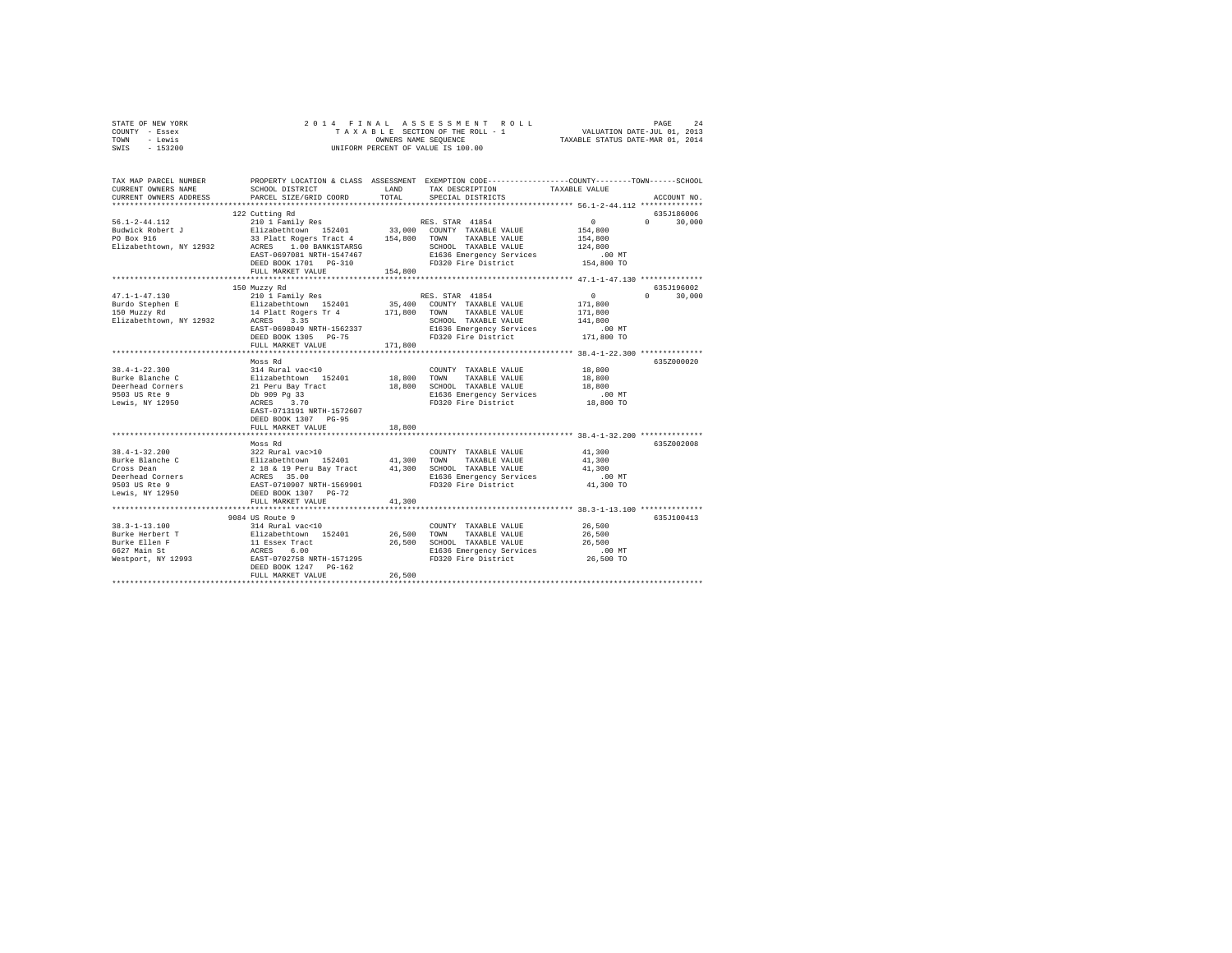| STATE OF NEW YORK | 2014 FINAL ASSESSMENT ROLL         | 2.4<br>PAGE                      |
|-------------------|------------------------------------|----------------------------------|
| COUNTY - Essex    | TAXABLE SECTION OF THE ROLL - 1    | VALUATION DATE-JUL 01, 2013      |
| TOWN<br>- Lewis   | OWNERS NAME SEOUENCE               | TAXABLE STATUS DATE-MAR 01, 2014 |
| $-153200$<br>SWIS | UNIFORM PERCENT OF VALUE IS 100.00 |                                  |

| TAX MAP PARCEL NUMBER<br>CURRENT OWNERS NAME<br>CURRENT OWNERS ADDRESS                                                                                                        | SCHOOL DISTRICT<br>PARCEL SIZE/GRID COORD                                                                                                   | LAND<br>TOTAL | PROPERTY LOCATION & CLASS ASSESSMENT EXEMPTION CODE----------------COUNTY-------TOWN-----SCHOOL<br>TAX DESCRIPTION<br>SPECIAL DISTRICTS | TAXABLE VALUE        | ACCOUNT NO.   |
|-------------------------------------------------------------------------------------------------------------------------------------------------------------------------------|---------------------------------------------------------------------------------------------------------------------------------------------|---------------|-----------------------------------------------------------------------------------------------------------------------------------------|----------------------|---------------|
|                                                                                                                                                                               |                                                                                                                                             |               |                                                                                                                                         |                      |               |
|                                                                                                                                                                               | 122 Cutting Rd                                                                                                                              |               |                                                                                                                                         |                      | 635J186006    |
| $56.1 - 2 - 44.112$                                                                                                                                                           | 210 1 Family Res (RES. STAR 41854<br>Elizabethtown 152401 33,000 COUNTY TAXABLE VALUE<br>33 Platt Rogers Tract 4 154,800 TOWN TAXABLE VALUE |               |                                                                                                                                         | $\sim$ 0             | $0 \t 30,000$ |
| Budwick Robert J                                                                                                                                                              |                                                                                                                                             |               |                                                                                                                                         | 154,800              |               |
| PO Box 916                                                                                                                                                                    |                                                                                                                                             |               |                                                                                                                                         | 154,800              |               |
| Elizabethtown, NY 12932 ACRES 1.00 BANK1STARSG                                                                                                                                |                                                                                                                                             |               | SCHOOL TAXABLE VALUE                                                                                                                    | 124,800              |               |
|                                                                                                                                                                               | EAST-0697081 NRTH-1547467                                                                                                                   |               | E1636 Emergency Services                                                                                                                | .00 MT               |               |
|                                                                                                                                                                               | DEED BOOK 1701    PG-310                                                                                                                    |               | FD320 Fire District                                                                                                                     | 154,800 TO           |               |
|                                                                                                                                                                               | FULL MARKET VALUE                                                                                                                           | 154,800       |                                                                                                                                         |                      |               |
|                                                                                                                                                                               | 150 Muzzy Rd                                                                                                                                |               |                                                                                                                                         |                      | 635J196002    |
| $47.1 - 1 - 47.130$                                                                                                                                                           | 210 1 Family Res                                                                                                                            |               | RES. STAR 41854                                                                                                                         | $\sim$ 0<br>$\Omega$ | 30,000        |
| Burdo Stephen E                                                                                                                                                               |                                                                                                                                             |               |                                                                                                                                         | 171,800              |               |
| 150 Muzzy Rd                                                                                                                                                                  |                                                                                                                                             |               |                                                                                                                                         | 171,800              |               |
| Elizabethtown, NY 12932                                                                                                                                                       |                                                                                                                                             |               |                                                                                                                                         | 141,800              |               |
|                                                                                                                                                                               | EAST-0698049 NRTH-1562337                                                                                                                   |               | E1636 Emergency Services                                                                                                                | $.00$ MT             |               |
|                                                                                                                                                                               | DEED BOOK 1305 PG-75                                                                                                                        |               | FD320 Fire District                                                                                                                     | 171,800 TO           |               |
|                                                                                                                                                                               | FULL MARKET VALUE                                                                                                                           | 171,800       |                                                                                                                                         |                      |               |
|                                                                                                                                                                               |                                                                                                                                             |               |                                                                                                                                         |                      |               |
|                                                                                                                                                                               | Moss Rd                                                                                                                                     |               |                                                                                                                                         |                      | 635Z000020    |
|                                                                                                                                                                               |                                                                                                                                             | 18,800 TOWN   | COUNTY TAXABLE VALUE                                                                                                                    | 18,800               |               |
|                                                                                                                                                                               |                                                                                                                                             | 18,800        | TAXABLE VALUE<br>SCHOOL TAXABLE VALUE                                                                                                   | 18,800<br>18,800     |               |
|                                                                                                                                                                               |                                                                                                                                             |               |                                                                                                                                         | $.00$ MT             |               |
|                                                                                                                                                                               |                                                                                                                                             |               | E1636 Emergency Services<br>FD320 Fire District                                                                                         | 18,800 TO            |               |
|                                                                                                                                                                               | EAST-0713191 NRTH-1572607                                                                                                                   |               |                                                                                                                                         |                      |               |
|                                                                                                                                                                               | DEED BOOK 1307 PG-95                                                                                                                        |               |                                                                                                                                         |                      |               |
|                                                                                                                                                                               | FULL MARKET VALUE                                                                                                                           | 18,800        |                                                                                                                                         |                      |               |
|                                                                                                                                                                               |                                                                                                                                             | ***********   |                                                                                                                                         |                      |               |
|                                                                                                                                                                               | Moss Rd                                                                                                                                     |               |                                                                                                                                         |                      | 6357002008    |
| $38.4 - 1 - 32.200$                                                                                                                                                           |                                                                                                                                             |               |                                                                                                                                         | 41,300               |               |
| Burke Blanche C                                                                                                                                                               |                                                                                                                                             |               |                                                                                                                                         | 41,300<br>41,300     |               |
| Cross Dean<br>Deerhead Corners                                                                                                                                                |                                                                                                                                             |               |                                                                                                                                         | $.00$ MT             |               |
| 9503 US Rte 9                                                                                                                                                                 |                                                                                                                                             |               |                                                                                                                                         | 41,300 TO            |               |
| Lewis, NY 12950                                                                                                                                                               |                                                                                                                                             |               |                                                                                                                                         |                      |               |
|                                                                                                                                                                               | FULL MARKET VALUE                                                                                                                           | 41,300        |                                                                                                                                         |                      |               |
|                                                                                                                                                                               | **********************                                                                                                                      |               |                                                                                                                                         |                      |               |
|                                                                                                                                                                               | 9084 US Route 9                                                                                                                             |               |                                                                                                                                         |                      | 635J100413    |
|                                                                                                                                                                               |                                                                                                                                             |               | COUNTY TAXABLE VALUE                                                                                                                    | 26,500               |               |
|                                                                                                                                                                               |                                                                                                                                             | 26,500 TOWN   | TAXABLE VALUE                                                                                                                           | 26,500               |               |
| 38.3-1-13.100<br>Burke Herbert T 511-aber-110 E12aber-1101-2401<br>Burke Ellen F 11 Essex Tract<br>6627 Main St 11 Essex 6.00<br>Mestport, NY 12993 BAST-0702758 NRTH-1571295 |                                                                                                                                             |               | 26,500 SCHOOL TAXABLE VALUE                                                                                                             | 26,500               |               |
|                                                                                                                                                                               |                                                                                                                                             |               | E1636 Emergency Services                                                                                                                | $.00$ MT             |               |
|                                                                                                                                                                               |                                                                                                                                             |               | FD320 Fire District                                                                                                                     | 26,500 TO            |               |
|                                                                                                                                                                               | DEED BOOK 1247 PG-162<br>FULL MARKET VALUE                                                                                                  | 26,500        |                                                                                                                                         |                      |               |
|                                                                                                                                                                               |                                                                                                                                             |               |                                                                                                                                         |                      |               |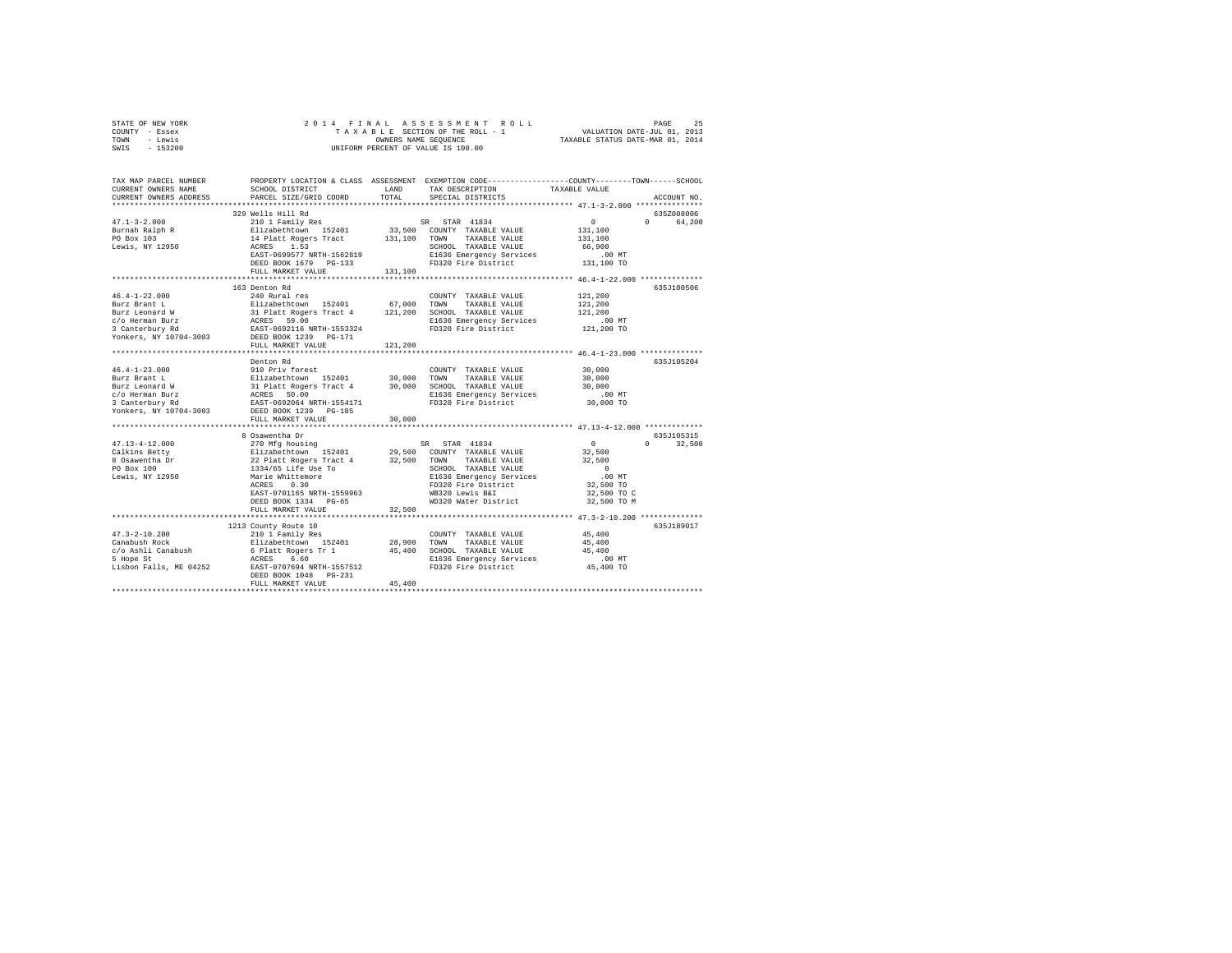| STATE OF NEW YORK<br>COUNTY - Essex<br>TOWN - Lewis<br>SWIS - 153200                                                                                                                                                                             | 2014 FINAL                                                   |         | PAGE 25 - PAGE 25 - PAGE 25 - PAGE 25 - PAGE 25 - PAGE 25 - PAGE 25 - PAGE 25 - PAGE 25 - PAGE 25 - PAGE 25 - PAGE 25 - PAGE 25 - PAGE 25 - PAGE 26 - PAGE 26 - PAGE 26 - PAGE 27 - PAGE 27 - PAGE 27 - PAGE 27 - PAGE 27 - PA<br>UNIFORM PERCENT OF VALUE IS 100.00                                                                                                                                                                                                      |                                                       |              |
|--------------------------------------------------------------------------------------------------------------------------------------------------------------------------------------------------------------------------------------------------|--------------------------------------------------------------|---------|---------------------------------------------------------------------------------------------------------------------------------------------------------------------------------------------------------------------------------------------------------------------------------------------------------------------------------------------------------------------------------------------------------------------------------------------------------------------------|-------------------------------------------------------|--------------|
|                                                                                                                                                                                                                                                  |                                                              |         |                                                                                                                                                                                                                                                                                                                                                                                                                                                                           |                                                       |              |
| TAX MAP PARCEL NUMBER                                                                                                                                                                                                                            |                                                              |         | PROPERTY LOCATION & CLASS ASSESSMENT EXEMPTION CODE----------------COUNTY-------TOWN-----SCHOOL                                                                                                                                                                                                                                                                                                                                                                           |                                                       |              |
| CURRENT OWNERS NAME                                                                                                                                                                                                                              | SCHOOL DISTRICT LAND                                         |         | TAX DESCRIPTION                                                                                                                                                                                                                                                                                                                                                                                                                                                           | TAXABLE VALUE                                         |              |
| CURRENT OWNERS ADDRESS                                                                                                                                                                                                                           | PARCEL SIZE/GRID COORD                                       | TOTAL   | SPECIAL DISTRICTS                                                                                                                                                                                                                                                                                                                                                                                                                                                         |                                                       | ACCOUNT NO.  |
|                                                                                                                                                                                                                                                  |                                                              |         |                                                                                                                                                                                                                                                                                                                                                                                                                                                                           |                                                       |              |
|                                                                                                                                                                                                                                                  | 329 Wells Hill Rd                                            |         |                                                                                                                                                                                                                                                                                                                                                                                                                                                                           |                                                       | 635Z008006   |
| $47.1 - 3 - 2.000$                                                                                                                                                                                                                               | 210 1 Family Res                                             |         | SR STAR 41834                                                                                                                                                                                                                                                                                                                                                                                                                                                             | $\mathbf{0}$                                          | 0 64,200     |
| Burnah Ralph R                                                                                                                                                                                                                                   | =1:1zabethtown 152401<br>14 Platt Rogers Tract<br>ACRES 1.53 |         | 33,500 COUNTY TAXABLE VALUE<br>131,100 TOWN TAXABLE VALUE                                                                                                                                                                                                                                                                                                                                                                                                                 | 131,100                                               |              |
| PO Box 103                                                                                                                                                                                                                                       |                                                              |         |                                                                                                                                                                                                                                                                                                                                                                                                                                                                           | 131,100                                               |              |
| Lewis, NY 12950                                                                                                                                                                                                                                  |                                                              |         |                                                                                                                                                                                                                                                                                                                                                                                                                                                                           | 66,900                                                |              |
|                                                                                                                                                                                                                                                  |                                                              |         |                                                                                                                                                                                                                                                                                                                                                                                                                                                                           | $.00$ MT<br>131,100 TO                                |              |
|                                                                                                                                                                                                                                                  | FULL MARKET VALUE                                            | 131,100 |                                                                                                                                                                                                                                                                                                                                                                                                                                                                           |                                                       |              |
|                                                                                                                                                                                                                                                  |                                                              |         |                                                                                                                                                                                                                                                                                                                                                                                                                                                                           |                                                       |              |
|                                                                                                                                                                                                                                                  | 163 Denton Rd                                                |         |                                                                                                                                                                                                                                                                                                                                                                                                                                                                           |                                                       | 635J100506   |
| $46.4 - 1 - 22.000$                                                                                                                                                                                                                              | 240 Rural res                                                |         | COUNTY TAXABLE VALUE                                                                                                                                                                                                                                                                                                                                                                                                                                                      | 121,200                                               |              |
|                                                                                                                                                                                                                                                  |                                                              |         |                                                                                                                                                                                                                                                                                                                                                                                                                                                                           | 121,200                                               |              |
|                                                                                                                                                                                                                                                  |                                                              |         |                                                                                                                                                                                                                                                                                                                                                                                                                                                                           | 121,200                                               |              |
|                                                                                                                                                                                                                                                  |                                                              |         |                                                                                                                                                                                                                                                                                                                                                                                                                                                                           | .00 MT                                                |              |
|                                                                                                                                                                                                                                                  |                                                              |         |                                                                                                                                                                                                                                                                                                                                                                                                                                                                           | 121,200 TO                                            |              |
| Purz Brant L<br>Burz Brant L<br>Burz Leonard W<br>31 Platt Rogers Tract 4<br>31 Platt Rogers Tract 4<br>211,200 SCHOOL TAXABLE VALUE<br>21 CO. Berman Burz Burz E1636 Emergency Services<br>3 Canterbury Rd<br>2008 DEED BOOK 1239<br>2011 PD320 |                                                              |         |                                                                                                                                                                                                                                                                                                                                                                                                                                                                           |                                                       |              |
|                                                                                                                                                                                                                                                  | FULL MARKET VALUE                                            | 121,200 |                                                                                                                                                                                                                                                                                                                                                                                                                                                                           |                                                       |              |
|                                                                                                                                                                                                                                                  | ************************************                         |         |                                                                                                                                                                                                                                                                                                                                                                                                                                                                           | ************************ 46.4-1-23.000 ************** |              |
|                                                                                                                                                                                                                                                  | Denton Rd                                                    |         |                                                                                                                                                                                                                                                                                                                                                                                                                                                                           |                                                       | 635J105204   |
| $46.4 - 1 - 23.000$                                                                                                                                                                                                                              | 910 Priv forest                                              |         | COUNTY TAXABLE VALUE                                                                                                                                                                                                                                                                                                                                                                                                                                                      | 30,000                                                |              |
|                                                                                                                                                                                                                                                  |                                                              |         |                                                                                                                                                                                                                                                                                                                                                                                                                                                                           | 30,000                                                |              |
|                                                                                                                                                                                                                                                  |                                                              |         |                                                                                                                                                                                                                                                                                                                                                                                                                                                                           | 30,000                                                |              |
| Part 2 Family 1912<br>Burz Brant Land (1914)<br>21 Flat Rogers Tract 4 20,000 SCHOOL TAXABLE VALUE C/O Herman Burz Leonard W<br>21 Platt Rogers Tract 4 20,000 SCHOOL TAXABLE VALUE<br>22 Family Rd (2015)<br>21 RAST-0692064 NRTH-15541         |                                                              |         | E1636 Emergency Services<br>FD320 Fire District                                                                                                                                                                                                                                                                                                                                                                                                                           | $.00$ MT<br>30,000 TO                                 |              |
| Yonkers, NY 10704-3003                                                                                                                                                                                                                           | DEED BOOK 1239 PG-185                                        |         |                                                                                                                                                                                                                                                                                                                                                                                                                                                                           |                                                       |              |
|                                                                                                                                                                                                                                                  |                                                              |         | $\begin{tabular}{l c c c c c} \hline \multicolumn{2}{c}{\multicolumn{2}{c}{\multicolumn{2}{c}{\multicolumn{2}{c}{\multicolumn{2}{c}{\multicolumn{2}{c}{\multicolumn{2}{c}{\multicolumn{2}{c}{\multicolumn{2}{c}{\multicolumn{2}{c}{\multicolumn{2}{c}{\multicolumn{2}{c}{\multicolumn{2}{c}{\multicolumn{2}{c}{\multicolumn{2}{c}{\multicolumn{2}{c}{\multicolumn{2}{c}{\multicolumn{2}{c}{\multicolumn{2}{c}{\multicolumn{2}{c}{\multicolumn{2}{c}{\multicolumn{2}{c}{\$ |                                                       |              |
|                                                                                                                                                                                                                                                  |                                                              |         |                                                                                                                                                                                                                                                                                                                                                                                                                                                                           |                                                       |              |
|                                                                                                                                                                                                                                                  |                                                              |         |                                                                                                                                                                                                                                                                                                                                                                                                                                                                           |                                                       | 635J105315   |
| $47.13 - 4 - 12.000$                                                                                                                                                                                                                             |                                                              |         |                                                                                                                                                                                                                                                                                                                                                                                                                                                                           | $\mathbf{0}$                                          | $0 \t32,500$ |
| Calkins Betty                                                                                                                                                                                                                                    |                                                              |         |                                                                                                                                                                                                                                                                                                                                                                                                                                                                           | 32,500                                                |              |
| 8 Osawentha Dr                                                                                                                                                                                                                                   |                                                              |         |                                                                                                                                                                                                                                                                                                                                                                                                                                                                           | 32,500                                                |              |
| PO Box 100                                                                                                                                                                                                                                       |                                                              |         |                                                                                                                                                                                                                                                                                                                                                                                                                                                                           | $\sim$ 0                                              |              |
| Lewis, NY 12950                                                                                                                                                                                                                                  |                                                              |         | E1636 Emergency Services<br>FD320 Fire District                                                                                                                                                                                                                                                                                                                                                                                                                           | .00 MT                                                |              |
|                                                                                                                                                                                                                                                  |                                                              |         |                                                                                                                                                                                                                                                                                                                                                                                                                                                                           | 32,500 TO                                             |              |
|                                                                                                                                                                                                                                                  |                                                              |         |                                                                                                                                                                                                                                                                                                                                                                                                                                                                           | 32,500 TO C                                           |              |
|                                                                                                                                                                                                                                                  | DEED BOOK 1334 PG-65                                         |         | WD320 Water District                                                                                                                                                                                                                                                                                                                                                                                                                                                      | 32,500 TO M                                           |              |
|                                                                                                                                                                                                                                                  | FULL MARKET VALUE                                            | 32,500  |                                                                                                                                                                                                                                                                                                                                                                                                                                                                           |                                                       |              |
|                                                                                                                                                                                                                                                  |                                                              |         |                                                                                                                                                                                                                                                                                                                                                                                                                                                                           |                                                       |              |
|                                                                                                                                                                                                                                                  | 1213 County Route 10                                         |         |                                                                                                                                                                                                                                                                                                                                                                                                                                                                           |                                                       | 635J189017   |
|                                                                                                                                                                                                                                                  |                                                              |         |                                                                                                                                                                                                                                                                                                                                                                                                                                                                           | 45,400<br>45,400                                      |              |
|                                                                                                                                                                                                                                                  |                                                              |         |                                                                                                                                                                                                                                                                                                                                                                                                                                                                           | 45,400                                                |              |
|                                                                                                                                                                                                                                                  |                                                              |         |                                                                                                                                                                                                                                                                                                                                                                                                                                                                           | $.00$ MT                                              |              |
|                                                                                                                                                                                                                                                  |                                                              |         | E1636 Emergency Services<br>FD320 Fire District                                                                                                                                                                                                                                                                                                                                                                                                                           | 45,400 TO                                             |              |
|                                                                                                                                                                                                                                                  | DEED BOOK 1048 PG-231                                        |         |                                                                                                                                                                                                                                                                                                                                                                                                                                                                           |                                                       |              |
|                                                                                                                                                                                                                                                  | FULL MARKET VALUE                                            | 45,400  |                                                                                                                                                                                                                                                                                                                                                                                                                                                                           |                                                       |              |
|                                                                                                                                                                                                                                                  |                                                              |         |                                                                                                                                                                                                                                                                                                                                                                                                                                                                           |                                                       |              |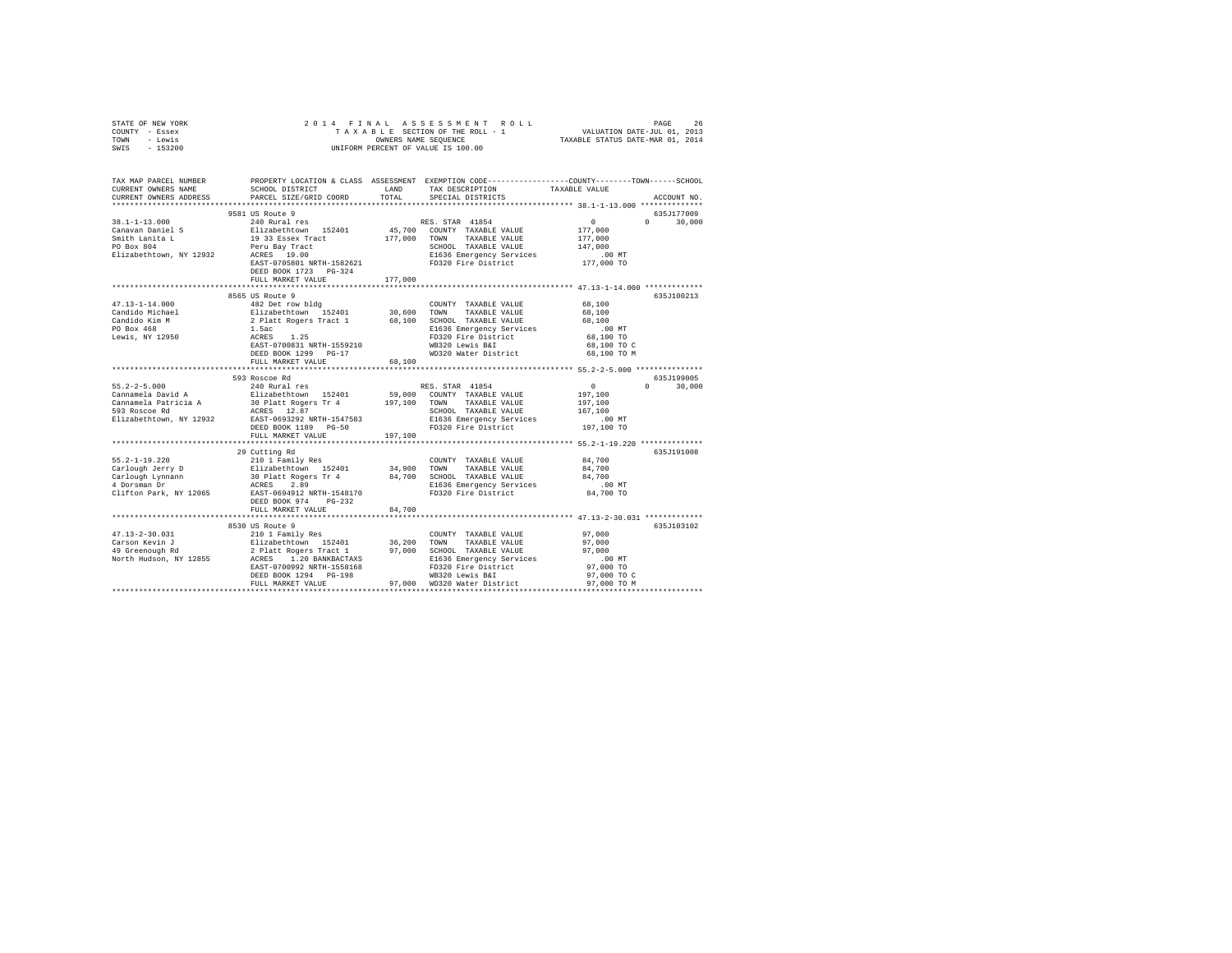| STATE OF NEW YORK<br>COUNTY - Essex<br>TOWN - Lewis<br>SWIS - 153200                                                                                                                                                           | 2014 FINAL ASSESSMENT ROL<br>TAXABLE SECTION OF THE ROLL - 1<br>ONNERS NAME SEQUENCE<br>UNIFORM PERCENT OF VALUE IS 100.00 |         | 4 FINAL ASSESSMENT ROLL TAXABLE PROFINE 2013<br>TAXABLE SECTION OF THE ROLL - 1 VALUATION DATE-JUL 01, 2013<br>OWNERS NAME SEQUENCE  TAXABLE STATUS DATE-MAR 01, 2014 |                            |                             |
|--------------------------------------------------------------------------------------------------------------------------------------------------------------------------------------------------------------------------------|----------------------------------------------------------------------------------------------------------------------------|---------|-----------------------------------------------------------------------------------------------------------------------------------------------------------------------|----------------------------|-----------------------------|
| TAX MAP PARCEL NUMBER PROPERTY LOCATION & CLASS ASSESSMENT EXEMPTION CODE---------------COUNTY-------TOWN-----SCHOOL<br>CURRENT OWNERS NAME                                                                                    | SCHOOL DISTRICT LAND                                                                                                       |         | TAX DESCRIPTION                                                                                                                                                       | TAXABLE VALUE              |                             |
| CURRENT OWNERS ADDRESS                                                                                                                                                                                                         | PARCEL SIZE/GRID COORD                                                                                                     | TOTAL   | SPECIAL DISTRICTS                                                                                                                                                     |                            | ACCOUNT NO.                 |
|                                                                                                                                                                                                                                |                                                                                                                            |         |                                                                                                                                                                       |                            |                             |
|                                                                                                                                                                                                                                | 9581 US Route 9                                                                                                            |         |                                                                                                                                                                       |                            | 635J177009                  |
| $38.1 - 1 - 13.000$                                                                                                                                                                                                            | 240 Rural res                                                                                                              |         | RES. STAR 41854                                                                                                                                                       | $\sim$ 0                   | $0 \t 30,000$               |
|                                                                                                                                                                                                                                |                                                                                                                            |         |                                                                                                                                                                       | 177,000                    |                             |
|                                                                                                                                                                                                                                |                                                                                                                            |         |                                                                                                                                                                       | 177,000                    |                             |
|                                                                                                                                                                                                                                |                                                                                                                            |         |                                                                                                                                                                       | 147,000<br>.00 MT          |                             |
| 36.1-1-1.0.000 MM and a set that the conservation of COUNTY TAXABLE VALUE Smith Lanking and Den and Den and Den and Den and Den and Den and Den and Den and Den and Den and Den and Den and Den and Den and Den and Den and De |                                                                                                                            |         |                                                                                                                                                                       | 177,000 TO                 |                             |
|                                                                                                                                                                                                                                | DEED BOOK 1723 PG-324                                                                                                      |         |                                                                                                                                                                       |                            |                             |
|                                                                                                                                                                                                                                | FULL MARKET VALUE                                                                                                          | 177,000 |                                                                                                                                                                       |                            |                             |
|                                                                                                                                                                                                                                |                                                                                                                            |         |                                                                                                                                                                       |                            |                             |
|                                                                                                                                                                                                                                | 8565 US Route 9                                                                                                            |         |                                                                                                                                                                       |                            | 635J100213                  |
| $47.13 - 1 - 14.000$                                                                                                                                                                                                           | 482 Det row bldg                                                                                                           |         | COUNTY TAXABLE VALUE                                                                                                                                                  | 68,100                     |                             |
|                                                                                                                                                                                                                                |                                                                                                                            |         |                                                                                                                                                                       | 68,100<br>68,100           |                             |
|                                                                                                                                                                                                                                |                                                                                                                            |         |                                                                                                                                                                       | $.00$ MT                   |                             |
|                                                                                                                                                                                                                                |                                                                                                                            |         |                                                                                                                                                                       | 68,100 TO                  |                             |
|                                                                                                                                                                                                                                |                                                                                                                            |         |                                                                                                                                                                       | 68,100 TO C                |                             |
|                                                                                                                                                                                                                                | DEED BOOK 1299 PG-17                                                                                                       |         | E1636 Emergency Service<br>FD320 Fire District<br>WB320 Lewis B&I<br>WD320 Water District<br>WD320 Water District                                                     | 68,100 TO M                |                             |
|                                                                                                                                                                                                                                | FULL MARKET VALUE                                                                                                          | 68,100  |                                                                                                                                                                       |                            |                             |
|                                                                                                                                                                                                                                |                                                                                                                            |         |                                                                                                                                                                       |                            |                             |
| $55.2 - 2 - 5.000$                                                                                                                                                                                                             | 593 Roscoe Rd<br>240 Rural res                                                                                             |         | RES. STAR 41854                                                                                                                                                       | $\sim$ 0                   | 635J199005<br>$0 \t 30,000$ |
|                                                                                                                                                                                                                                |                                                                                                                            |         |                                                                                                                                                                       | 197,100                    |                             |
|                                                                                                                                                                                                                                |                                                                                                                            |         |                                                                                                                                                                       | 197,100                    |                             |
|                                                                                                                                                                                                                                |                                                                                                                            |         |                                                                                                                                                                       | 167,100                    |                             |
|                                                                                                                                                                                                                                |                                                                                                                            |         |                                                                                                                                                                       | $.00$ MT                   |                             |
|                                                                                                                                                                                                                                |                                                                                                                            |         |                                                                                                                                                                       | 197,100 TO                 |                             |
|                                                                                                                                                                                                                                | FULL MARKET VALUE                                                                                                          | 197,100 |                                                                                                                                                                       |                            |                             |
|                                                                                                                                                                                                                                | 29 Cutting Rd                                                                                                              |         |                                                                                                                                                                       |                            | 635J191008                  |
| $55.2 - 1 - 19.220$                                                                                                                                                                                                            |                                                                                                                            |         | COUNTY TAXABLE VALUE 84,700                                                                                                                                           |                            |                             |
|                                                                                                                                                                                                                                | 210 1 Family Res<br>Elizabethtown 152401                                                                                   |         |                                                                                                                                                                       | 84,700                     |                             |
| Carlough Jerry D<br>1909 - Elizabethtown 152401 - 34,700 SCMN TAXABLE VALUE<br>1909 - Games AD Platt Rogers Tr $4$ 84,700 SCHOOL TAXABLE VALUE<br>1907 - ACRES 2.89<br>1907 - Elé36 Emergency Services                         |                                                                                                                            |         |                                                                                                                                                                       | 84,700                     |                             |
|                                                                                                                                                                                                                                |                                                                                                                            |         |                                                                                                                                                                       | 00 MT.<br>84,700 TO        |                             |
| Clifton Park, NY 12065                                                                                                                                                                                                         | EAST-0694912 NRTH-1548170                                                                                                  |         | FD320 Fire District                                                                                                                                                   |                            |                             |
|                                                                                                                                                                                                                                | DEED BOOK 974 PG-232                                                                                                       |         |                                                                                                                                                                       |                            |                             |
|                                                                                                                                                                                                                                | FULL MARKET VALUE                                                                                                          | 84,700  |                                                                                                                                                                       |                            |                             |
|                                                                                                                                                                                                                                |                                                                                                                            |         |                                                                                                                                                                       |                            | 635J103102                  |
|                                                                                                                                                                                                                                |                                                                                                                            |         |                                                                                                                                                                       | 97,000                     |                             |
|                                                                                                                                                                                                                                |                                                                                                                            |         |                                                                                                                                                                       | 97,000                     |                             |
|                                                                                                                                                                                                                                |                                                                                                                            |         |                                                                                                                                                                       | 97,000                     |                             |
|                                                                                                                                                                                                                                |                                                                                                                            |         |                                                                                                                                                                       | 00 MT.<br>97,000 TO        |                             |
|                                                                                                                                                                                                                                |                                                                                                                            |         |                                                                                                                                                                       |                            |                             |
|                                                                                                                                                                                                                                |                                                                                                                            |         | 97,000 WD320 Water District                                                                                                                                           | 97,000 TO C<br>97,000 TO M |                             |
|                                                                                                                                                                                                                                | FULL MARKET VALUE                                                                                                          |         |                                                                                                                                                                       | *********************      |                             |
|                                                                                                                                                                                                                                |                                                                                                                            |         |                                                                                                                                                                       |                            |                             |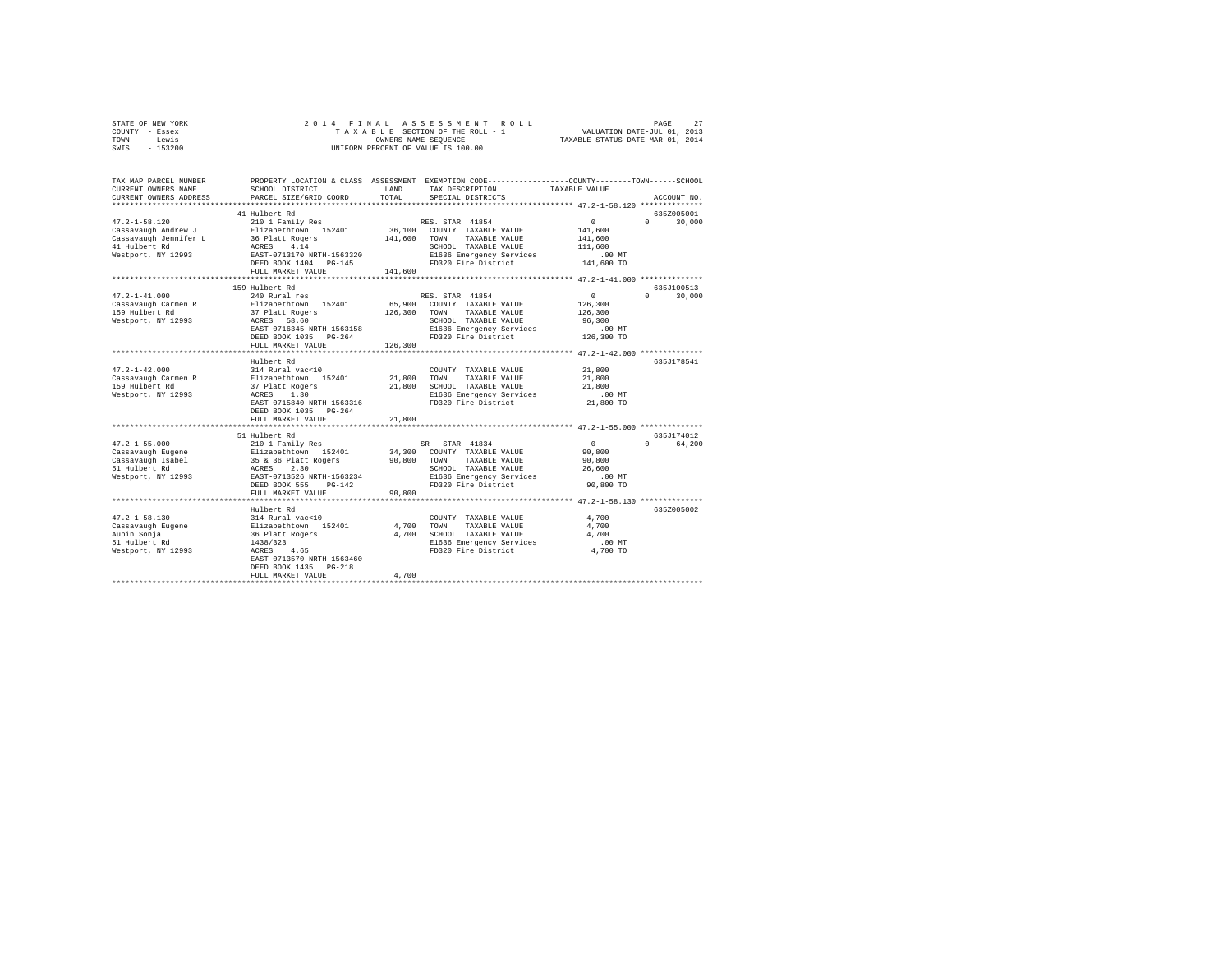| STATE OF NEW YORK | 2014 FINAL ASSESSMENT ROLL         | 27<br>PAGE                       |
|-------------------|------------------------------------|----------------------------------|
| COUNTY - Essex    | TAXABLE SECTION OF THE ROLL - 1    | VALUATION DATE-JUL 01, 2013      |
| TOWN<br>- Lewis   | OWNERS NAME SEOUENCE               | TAXABLE STATUS DATE-MAR 01, 2014 |
| $-153200$<br>SWIS | UNIFORM PERCENT OF VALUE IS 100.00 |                                  |

| TAX MAP PARCEL NUMBER<br>CURRENT OWNERS NAME<br>CURRENT OWNERS ADDRESS | SCHOOL DISTRICT<br>PARCEL SIZE/GRID COORD    | LAND<br>TOTAL. | PROPERTY LOCATION & CLASS ASSESSMENT EXEMPTION CODE---------------COUNTY-------TOWN-----SCHOOL<br>TAX DESCRIPTION<br>SPECIAL DISTRICTS | TAXABLE VALUE                                          | ACCOUNT NO.                      |
|------------------------------------------------------------------------|----------------------------------------------|----------------|----------------------------------------------------------------------------------------------------------------------------------------|--------------------------------------------------------|----------------------------------|
|                                                                        |                                              |                |                                                                                                                                        |                                                        |                                  |
| $47.2 - 1 - 58.120$                                                    | 41 Hulbert Rd<br>210 1 Family Res            |                | RES. STAR 41854                                                                                                                        | 0                                                      | 635Z005001<br>30,000<br>$\Omega$ |
| Cassavaugh Andrew J                                                    | Elizabethtown 152401                         |                | 36,100 COUNTY TAXABLE VALUE                                                                                                            | 141,600                                                |                                  |
| Cassavaugh Jennifer L                                                  | 36 Platt Rogers                              | 141,600        | TOWN<br>TAXABLE VALUE                                                                                                                  | 141,600                                                |                                  |
| 41 Hulbert Rd                                                          | ACRES 4.14                                   |                | SCHOOL TAXABLE VALUE                                                                                                                   | 111,600                                                |                                  |
| Westport, NY 12993                                                     | EAST-0713170 NRTH-1563320                    |                | E1636 Emergency Services                                                                                                               | $.00$ MT                                               |                                  |
|                                                                        | DEED BOOK 1404 PG-145                        |                | FD320 Fire District                                                                                                                    | 141,600 TO                                             |                                  |
|                                                                        | FULL MARKET VALUE                            | 141,600        |                                                                                                                                        |                                                        |                                  |
|                                                                        |                                              |                |                                                                                                                                        |                                                        |                                  |
|                                                                        | 159 Hulbert Rd                               |                |                                                                                                                                        |                                                        | 635J100513                       |
| $47.2 - 1 - 41.000$                                                    | 240 Rural res                                |                | RES. STAR 41854                                                                                                                        | $\circ$                                                | 30,000<br>$\mathbf{r}$           |
| Cassavaugh Carmen R                                                    | Elizabethtown 152401                         | 65,900         | COUNTY TAXABLE VALUE                                                                                                                   | 126,300                                                |                                  |
| 159 Hulbert Rd                                                         | 37 Platt Rogers                              | 126,300        | TAXABLE VALUE<br>TOWN                                                                                                                  | 126,300                                                |                                  |
| Westport, NY 12993                                                     | ACRES<br>58.60                               |                | SCHOOL TAXABLE VALUE                                                                                                                   | 96,300                                                 |                                  |
|                                                                        | EAST-0716345 NRTH-1563158                    |                | E1636 Emergency Services                                                                                                               | .00 MT                                                 |                                  |
|                                                                        | DEED BOOK 1035 PG-264                        |                | FD320 Fire District                                                                                                                    | 126,300 TO                                             |                                  |
|                                                                        | FULL MARKET VALUE<br>*********************** | 126,300        |                                                                                                                                        | ************************ 47.2-1-42.000 *************** |                                  |
|                                                                        | Hulbert Rd                                   |                |                                                                                                                                        |                                                        | 635J178541                       |
| $47.2 - 1 - 42.000$                                                    | 314 Rural vac<10                             |                | COUNTY TAXABLE VALUE                                                                                                                   | 21,800                                                 |                                  |
| Cassavaugh Carmen R                                                    | Elizabethtown 152401                         | 21,800         | TAXABLE VALUE<br>TOWN                                                                                                                  | 21,800                                                 |                                  |
| 159 Hulbert Rd                                                         | 37 Platt Rogers                              | 21,800         | SCHOOL TAXABLE VALUE                                                                                                                   | 21,800                                                 |                                  |
| Westport, NY 12993                                                     | 1.30<br>ACRES                                |                | E1636 Emergency Services                                                                                                               | $.00$ MT                                               |                                  |
|                                                                        | EAST-0715840 NRTH-1563316                    |                | FD320 Fire District                                                                                                                    | 21,800 TO                                              |                                  |
|                                                                        | DEED BOOK 1035 PG-264                        |                |                                                                                                                                        |                                                        |                                  |
|                                                                        | FULL MARKET VALUE                            | 21,800         |                                                                                                                                        |                                                        |                                  |
|                                                                        |                                              |                |                                                                                                                                        |                                                        |                                  |
|                                                                        | 51 Hulbert Rd                                |                |                                                                                                                                        |                                                        | 635J174012                       |
| $47.2 - 1 - 55.000$                                                    | 210 1 Family Res                             |                | SR STAR 41834                                                                                                                          | $\Omega$                                               | 64,200<br>$\Omega$               |
| Cassavaugh Eugene                                                      | Elizabethtown 152401                         | 34,300         | COUNTY TAXABLE VALUE                                                                                                                   | 90,800                                                 |                                  |
| Cassavaugh Isabel                                                      | 35 & 36 Platt Rogers                         | 90,800         | TOWN<br>TAXABLE VALUE                                                                                                                  | 90,800                                                 |                                  |
| 51 Hulbert Rd                                                          | 2.30<br>ACRES                                |                | SCHOOL TAXABLE VALUE                                                                                                                   | 26,600                                                 |                                  |
| Westport, NY 12993                                                     | EAST-0713526 NRTH-1563234                    |                | E1636 Emergency Services                                                                                                               | $.00$ MT                                               |                                  |
|                                                                        | DEED BOOK 555<br>$PG-142$                    |                | FD320 Fire District                                                                                                                    | 90,800 TO                                              |                                  |
|                                                                        | FULL MARKET VALUE                            | 90,800         |                                                                                                                                        |                                                        |                                  |
|                                                                        |                                              |                |                                                                                                                                        | *************** 47.2-1-58.130 ***********              |                                  |
|                                                                        | Hulbert Rd                                   |                |                                                                                                                                        |                                                        | 635Z005002                       |
| $47.2 - 1 - 58.130$                                                    | 314 Rural vac<10                             |                | COUNTY TAXABLE VALUE                                                                                                                   | 4,700                                                  |                                  |
| Cassavaugh Eugene                                                      | Elizabethtown 152401                         | 4,700          | TOWN<br>TAXABLE VALUE                                                                                                                  | 4,700                                                  |                                  |
| Aubin Sonja                                                            | 36 Platt Rogers<br>1438/323                  | 4,700          | SCHOOL TAXABLE VALUE                                                                                                                   | 4,700                                                  |                                  |
| 51 Hulbert Rd                                                          |                                              |                | E1636 Emergency Services                                                                                                               | $.00$ MT                                               |                                  |
| Westport, NY 12993                                                     | 4.65<br>ACRES                                |                | FD320 Fire District                                                                                                                    | 4,700 TO                                               |                                  |
|                                                                        | EAST-0713570 NRTH-1563460                    |                |                                                                                                                                        |                                                        |                                  |
|                                                                        | DEED BOOK 1435 PG-218                        |                |                                                                                                                                        |                                                        |                                  |
|                                                                        | FULL MARKET VALUE                            | 4,700          |                                                                                                                                        |                                                        |                                  |
|                                                                        |                                              |                |                                                                                                                                        |                                                        |                                  |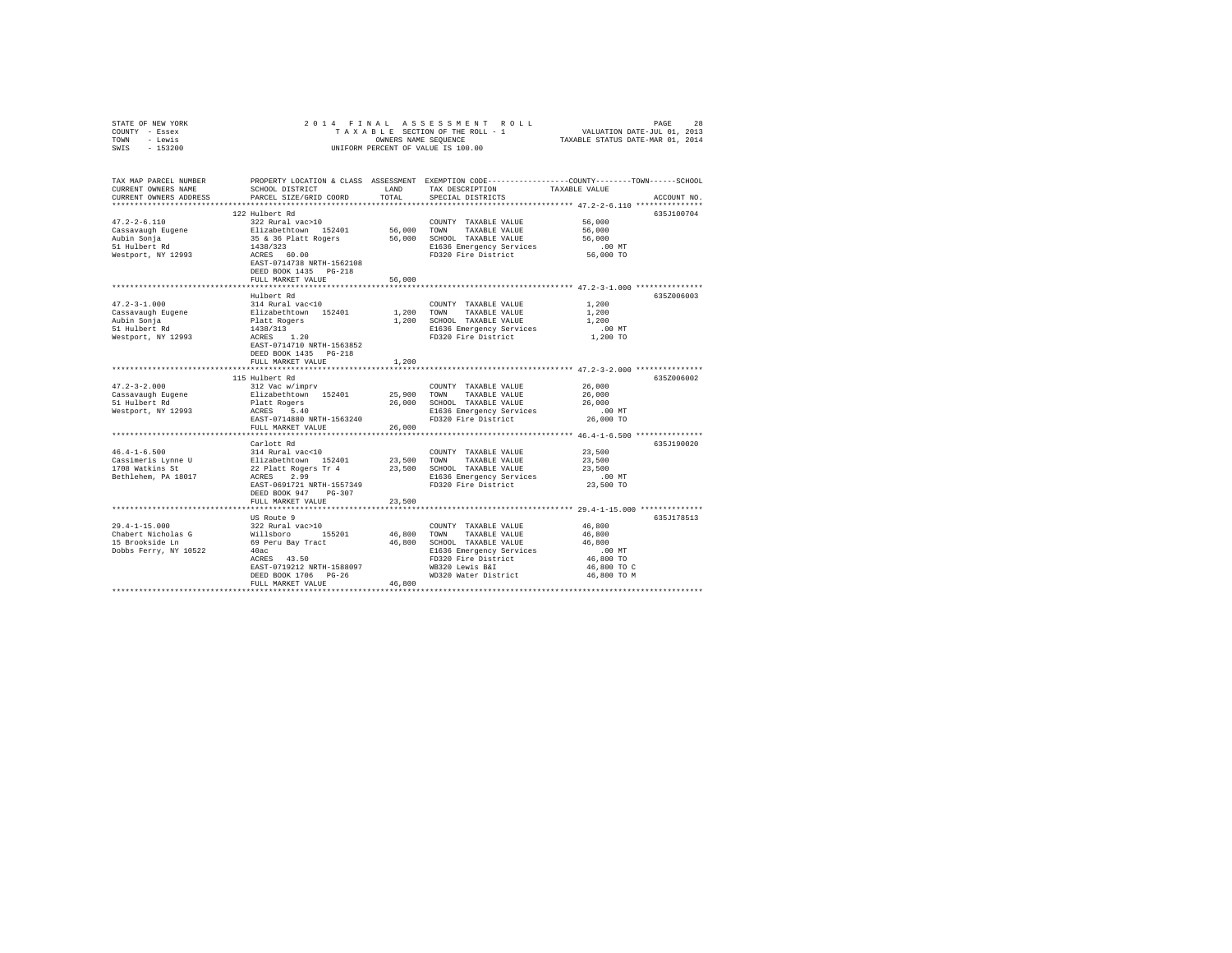| STATE OF NEW YORK                  | 2014 FINAL                                   |                  | ASSESSMENT ROLL                                            | PAGE 28<br>VALUATION DATE-JUL 01, 2013<br>TAXABLE STATUS DATE-MAR 01, 2014                      |
|------------------------------------|----------------------------------------------|------------------|------------------------------------------------------------|-------------------------------------------------------------------------------------------------|
| COUNTY - Essex<br>- Lewis          |                                              |                  | TAXABLE SECTION OF THE ROLL - 1                            |                                                                                                 |
| TOWN<br>$-153200$<br>SWIS          |                                              |                  | OWNERS NAME SEQUENCE<br>UNIFORM PERCENT OF VALUE IS 100.00 |                                                                                                 |
|                                    |                                              |                  |                                                            |                                                                                                 |
|                                    |                                              |                  |                                                            |                                                                                                 |
| TAX MAP PARCEL NUMBER              |                                              |                  |                                                            | PROPERTY LOCATION & CLASS ASSESSMENT EXEMPTION CODE---------------COUNTY-------TOWN------SCHOOL |
| CURRENT OWNERS NAME                | SCHOOL DISTRICT                              | LAND             | TAX DESCRIPTION                                            | TAXABLE VALUE                                                                                   |
| CURRENT OWNERS ADDRESS             | PARCEL SIZE/GRID COORD                       | TOTAL            | SPECIAL DISTRICTS                                          | ACCOUNT NO.                                                                                     |
| ***********************            |                                              |                  |                                                            |                                                                                                 |
|                                    | 122 Hulbert Rd                               |                  |                                                            | 635J100704                                                                                      |
| $47.2 - 2 - 6.110$                 | 322 Rural vac>10                             |                  | COUNTY TAXABLE VALUE                                       | 56,000                                                                                          |
| Cassavaugh Eugene                  | Elizabethtown 152401                         | 56,000           | TOWN<br>TAXABLE VALUE                                      | 56,000                                                                                          |
| Aubin Sonja                        | 35 & 36 Platt Rogers                         | 56,000           | SCHOOL TAXABLE VALUE                                       | 56,000                                                                                          |
| 51 Hulbert Rd                      | 1438/323                                     |                  | E1636 Emergency Services                                   | .00MT                                                                                           |
| Westport, NY 12993                 | ACRES 60.00                                  |                  | FD320 Fire District                                        | 56,000 TO                                                                                       |
|                                    | EAST-0714738 NRTH-1562108                    |                  |                                                            |                                                                                                 |
|                                    | DEED BOOK 1435 PG-218                        |                  |                                                            |                                                                                                 |
|                                    | FULL MARKET VALUE                            | 56,000           |                                                            |                                                                                                 |
|                                    |                                              |                  |                                                            | ********************************** 47.2-3-1.000 ***************                                 |
|                                    | Hulbert Rd                                   |                  |                                                            | 635Z006003                                                                                      |
| $47.2 - 3 - 1.000$                 | 314 Rural vac<10                             |                  | COUNTY TAXABLE VALUE                                       | 1,200                                                                                           |
| Cassavaugh Eugene                  | Elizabethtown 152401                         | 1,200            | TOWN<br>TAXABLE VALUE                                      | 1,200                                                                                           |
| Aubin Sonja                        | Platt Rogers                                 | 1,200            | SCHOOL TAXABLE VALUE                                       | 1,200                                                                                           |
| 51 Hulbert Rd                      | 1438/313                                     |                  | E1636 Emergency Services                                   | $.00$ MT                                                                                        |
| Westport, NY 12993                 | ACRES 1.20                                   |                  | FD320 Fire District                                        | 1,200 TO                                                                                        |
|                                    | EAST-0714710 NRTH-1563852                    |                  |                                                            |                                                                                                 |
|                                    | DEED BOOK 1435 PG-218                        |                  |                                                            |                                                                                                 |
|                                    | FULL MARKET VALUE                            | 1,200            |                                                            |                                                                                                 |
|                                    |                                              |                  |                                                            | ******************** 47.2-3-2.000 ***************                                               |
|                                    | 115 Hulbert Rd                               |                  |                                                            | 635Z006002                                                                                      |
| $47.2 - 3 - 2.000$                 | 312 Vac w/imprv                              |                  | COUNTY TAXABLE VALUE                                       | 26,000                                                                                          |
| Cassavaugh Eugene<br>51 Hulbert Rd | Elizabethtown 152401<br>Platt Rogers         | 25,900<br>26,000 | TOWN<br>TAXABLE VALUE<br>SCHOOL TAXABLE VALUE              | 26,000<br>26,000                                                                                |
| Westport, NY 12993                 | ACRES 5.40                                   |                  | E1636 Emergency Services                                   | $.00$ MT                                                                                        |
|                                    | EAST-0714880 NRTH-1563240                    |                  | FD320 Fire District                                        | 26,000 TO                                                                                       |
|                                    | FULL MARKET VALUE                            | 26,000           |                                                            |                                                                                                 |
|                                    |                                              |                  |                                                            | ********************************** 46.4-1-6.500 ***************                                 |
|                                    | Carlott Rd                                   |                  |                                                            | 635J190020                                                                                      |
| $46.4 - 1 - 6.500$                 | 314 Rural vac<10                             |                  | COUNTY TAXABLE VALUE                                       | 23,500                                                                                          |
| Cassimeris Lynne U                 |                                              | 23,500           | TAXABLE VALUE<br>TOWN                                      | 23,500                                                                                          |
| 1708 Watkins St                    | Elizabethtown 152401<br>22 Platt Rogers Tr 4 | 23,500           | SCHOOL TAXABLE VALUE                                       | 23,500                                                                                          |
| Bethlehem, PA 18017                | 22 Platt Rogers Tr 4<br>ACRES 2.99           |                  | E1636 Emergency Services                                   | $.00$ MT                                                                                        |
|                                    | EAST-0691721 NRTH-1557349                    |                  | FD320 Fire District                                        | 23,500 TO                                                                                       |
|                                    | DEED BOOK 947 PG-307                         |                  |                                                            |                                                                                                 |
|                                    | FULL MARKET VALUE                            | 23,500           |                                                            |                                                                                                 |
|                                    |                                              |                  |                                                            | *************** 29.4-1-15.000 **************                                                    |
|                                    | US Route 9                                   |                  |                                                            | 635J178513                                                                                      |
| $29.4 - 1 - 15.000$                | 322 Rural vac>10                             |                  | COUNTY TAXABLE VALUE                                       | 46,800                                                                                          |
| Chabert Nicholas G                 | Willsboro 155201                             | 46,800           | TOWN<br>TAXABLE VALUE                                      | 46,800                                                                                          |
| 15 Brookside Ln                    | 69 Peru Bay Tract                            | 46,800           | SCHOOL TAXABLE VALUE                                       | 46,800                                                                                          |
| Dobbs Ferry, NY 10522              | 40ac                                         |                  | E1636 Emergency Services                                   | $.00$ MT                                                                                        |
|                                    | ACRES 43.50                                  |                  | FD320 Fire District                                        | 46,800 TO                                                                                       |
|                                    | EAST-0719212 NRTH-1588097                    |                  | WB320 Lewis B&I                                            | 46,800 TO C                                                                                     |
|                                    | DEED BOOK 1706 PG-26                         |                  | WD320 Water District                                       | 46,800 TO M                                                                                     |
|                                    | FULL MARKET VALUE                            | 46,800           |                                                            |                                                                                                 |
|                                    |                                              |                  |                                                            |                                                                                                 |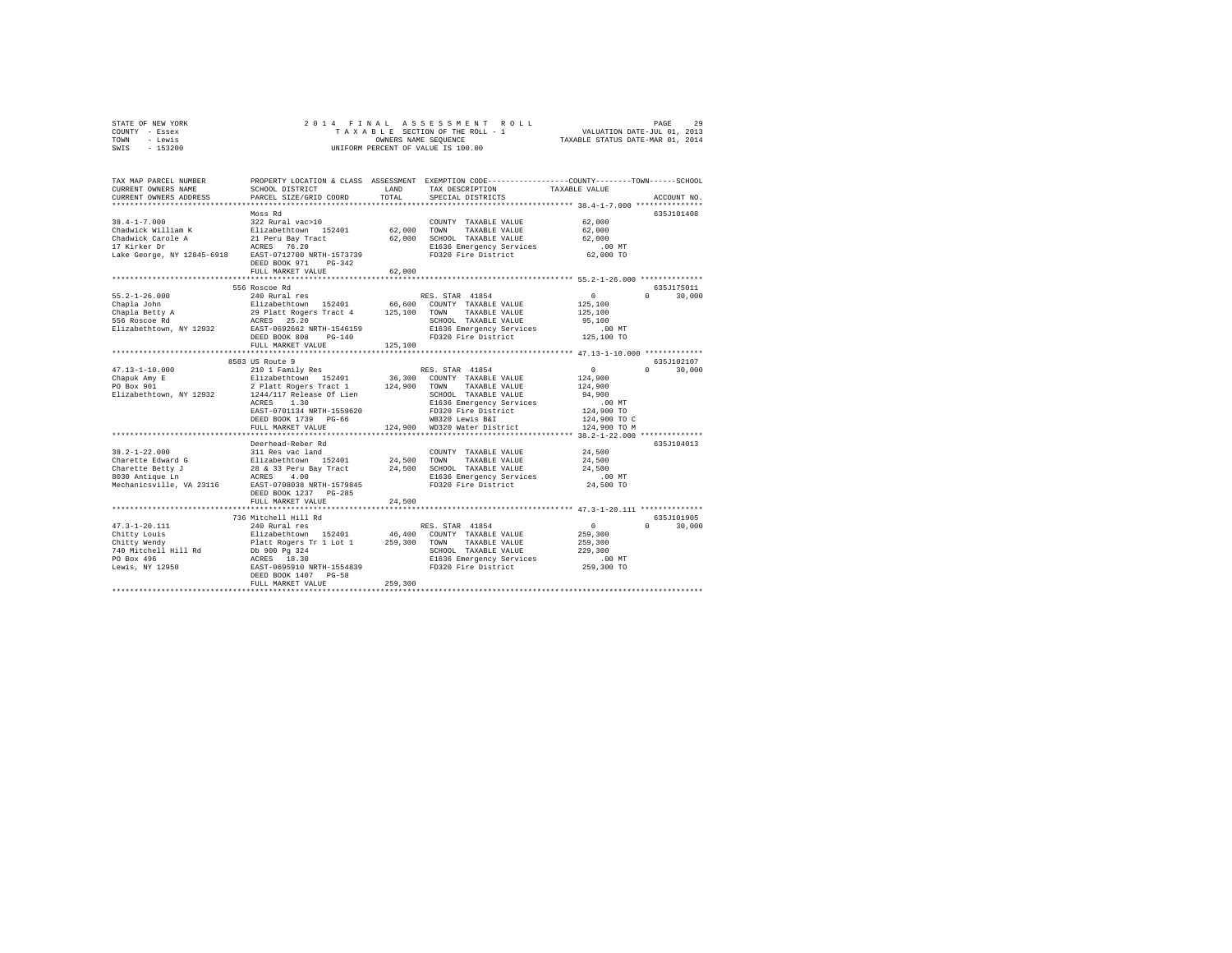| STATE OF NEW YORK |           |  |  | 2014 FINAL ASSESSMENT ROLL         |                                  | PAGE                        | 29 |
|-------------------|-----------|--|--|------------------------------------|----------------------------------|-----------------------------|----|
| COUNTY - Essex    |           |  |  | TAXABLE SECTION OF THE ROLL - 1    |                                  | VALUATION DATE-JUL 01, 2013 |    |
| TOWN              | - Lewis   |  |  | OWNERS NAME SEOUENCE               | TAXABLE STATUS DATE-MAR 01, 2014 |                             |    |
| SWTS              | $-153200$ |  |  | UNIFORM PERCENT OF VALUE IS 100.00 |                                  |                             |    |

| TAX MAP PARCEL NUMBER<br>CURRENT OWNERS NAME         | SCHOOL DISTRICT                                                                                       | LAND         | PROPERTY LOCATION & CLASS ASSESSMENT EXEMPTION CODE---------------COUNTY-------TOWN-----SCHOOL<br>TAX DESCRIPTION | TAXABLE VALUE    |                        |
|------------------------------------------------------|-------------------------------------------------------------------------------------------------------|--------------|-------------------------------------------------------------------------------------------------------------------|------------------|------------------------|
| CURRENT OWNERS ADDRESS                               | PARCEL SIZE/GRID COORD<br>*****************************                                               | TOTAL        | SPECIAL DISTRICTS                                                                                                 |                  | ACCOUNT NO.            |
|                                                      | Moss Rd                                                                                               |              |                                                                                                                   |                  | 635J101408             |
| $38.4 - 1 - 7.000$                                   | 322 Rural vac>10                                                                                      |              | COUNTY TAXABLE VALUE                                                                                              | 62,000           |                        |
| Chadwick William K                                   |                                                                                                       | 62.000 TOWN  | TAXABLE VALUE                                                                                                     | 62,000           |                        |
| Chadwick Carole A                                    | Elizabethtown 152401<br>21 Peru Bay Tract                                                             | 62,000       | SCHOOL TAXABLE VALUE                                                                                              | 62,000           |                        |
| 17 Kirker Dr                                         | ACRES 76.20                                                                                           |              | E1636 Emergency Services                                                                                          | .00 MT           |                        |
| Lake George, NY 12845-6918 EAST-0712700 NRTH-1573739 |                                                                                                       |              | FD320 Fire District                                                                                               | 62,000 TO        |                        |
|                                                      | DEED BOOK 971<br>$PG-342$                                                                             |              |                                                                                                                   |                  |                        |
|                                                      | FULL MARKET VALUE                                                                                     | 62,000       |                                                                                                                   |                  |                        |
|                                                      |                                                                                                       |              |                                                                                                                   |                  |                        |
|                                                      | 556 Roscoe Rd                                                                                         |              |                                                                                                                   |                  | 635J175011             |
| $55.2 - 1 - 26.000$                                  | 240 Rural res                                                                                         |              | RES. STAR 41854                                                                                                   | $\circ$          | $\mathbf{a}$<br>30,000 |
| Chapla John                                          |                                                                                                       |              | 66,600 COUNTY TAXABLE VALUE                                                                                       | 125,100          |                        |
| Chapla Betty A                                       |                                                                                                       | 125,100 TOWN | TAXABLE VALUE                                                                                                     | 125,100          |                        |
| 556 Roscoe Rd                                        | Elizabethtown 152401<br>29 Platt Rogers Tract 4<br>ACRES 25.20<br>EAST-0692662 NRTH-1546159           |              | SCHOOL TAXABLE VALUE                                                                                              | 95,100           |                        |
| Elizabethtown, NY 12932                              | DEED BOOK 808                                                                                         |              | E1636 Emergency Services .00 MT<br>FD320 Fire District  125,100 TO                                                |                  |                        |
|                                                      | $PG-140$<br>FULL MARKET VALUE                                                                         | 125,100      |                                                                                                                   |                  |                        |
|                                                      |                                                                                                       |              |                                                                                                                   |                  |                        |
|                                                      | 8583 US Route 9                                                                                       |              |                                                                                                                   |                  | 635J102107             |
| $47.13 - 1 - 10.000$                                 | 210 1 Family Res                                                                                      |              | RES. STAR 41854                                                                                                   | $\Omega$         | $\Omega$<br>30,000     |
| Chapuk Amy E                                         |                                                                                                       |              | 36,300 COUNTY TAXABLE VALUE                                                                                       | 124,900          |                        |
| PO Box 901                                           | Elizabethtown 152401 36,300 COUNTY TAXABLE VALUE<br>2 Platt Rogers Tract 1 124,900 TOWN TAXABLE VALUE |              |                                                                                                                   | 124,900          |                        |
| Elizabethtown, NY 12932                              | 1244/117 Release Of Lien                                                                              |              | SCHOOL TAXABLE VALUE                                                                                              | 94,900           |                        |
|                                                      | 1.30<br>ACRES                                                                                         |              | E1636 Emergency Services                                                                                          | $.00$ MT         |                        |
|                                                      | EAST-0701134 NRTH-1559620                                                                             |              | FD320 Fire District                                                                                               | 124,900 TO       |                        |
|                                                      | DEED BOOK 1739 PG-66                                                                                  |              | WB320 Lewis B&I                                                                                                   | 124,900 TO C     |                        |
|                                                      | FULL MARKET VALUE                                                                                     |              | 124,900 WD320 Water District                                                                                      | 124,900 TO M     |                        |
|                                                      |                                                                                                       |              |                                                                                                                   |                  |                        |
|                                                      | Deerhead-Reber Rd                                                                                     |              |                                                                                                                   |                  | 635J104013             |
| $38.2 - 1 - 22.000$                                  |                                                                                                       |              | COUNTY TAXABLE VALUE                                                                                              | 24,500           |                        |
| Charette Edward G<br>Charette Betty J                |                                                                                                       | 24,500 TOWN  | TAXABLE VALUE<br>SCHOOL TAXABLE VALUE                                                                             | 24,500<br>24,500 |                        |
| 8030 Antique Ln                                      | 311 Res vac land<br>Elizabethcown 152401 24,500<br>28 & 33 Peru Bay Tract 24,500<br>ACRES 4.00        |              |                                                                                                                   | .00 MT           |                        |
| Mechanicsville, VA 23116                             | EAST-0708038 NRTH-1579845                                                                             |              | E1636 Emergency Services<br>FD320 Fire District                                                                   | 24,500 TO        |                        |
|                                                      | DEED BOOK 1237 PG-285                                                                                 |              |                                                                                                                   |                  |                        |
|                                                      | FULL MARKET VALUE                                                                                     | 24,500       |                                                                                                                   |                  |                        |
|                                                      |                                                                                                       |              |                                                                                                                   |                  |                        |
|                                                      | 736 Mitchell Hill Rd                                                                                  |              |                                                                                                                   |                  | 635J101905             |
| $47.3 - 1 - 20.111$                                  | 240 Rural res                                                                                         |              | RES. STAR 41854                                                                                                   | $\sim$ 0         | $\Omega$<br>30,000     |
| Chitty Louis                                         |                                                                                                       |              | 46,400 COUNTY TAXABLE VALUE                                                                                       | 259,300          |                        |
| Chitty Wendy                                         | Elizabethtown 152401 46,400<br>Platt Rogers Tr 1 Lot 1 259,300                                        |              | TOWN<br>TAXABLE VALUE                                                                                             | 259,300          |                        |
| 740 Mitchell Hill Rd                                 | Db 900 Pg 324<br>ACRES 18.30<br>EAST-0695910 NRTH-1554839                                             |              | SCHOOL TAXABLE VALUE                                                                                              | 229,300          |                        |
| PO Box 496                                           |                                                                                                       |              | E1636 Emergency Services                                                                                          | .00MT            |                        |
| Lewis, NY 12950                                      |                                                                                                       |              | FD320 Fire District                                                                                               | 259,300 TO       |                        |
|                                                      | DEED BOOK 1407 PG-58                                                                                  |              |                                                                                                                   |                  |                        |
|                                                      | FULL MARKET VALUE                                                                                     | 259,300      |                                                                                                                   |                  |                        |
|                                                      |                                                                                                       |              |                                                                                                                   |                  |                        |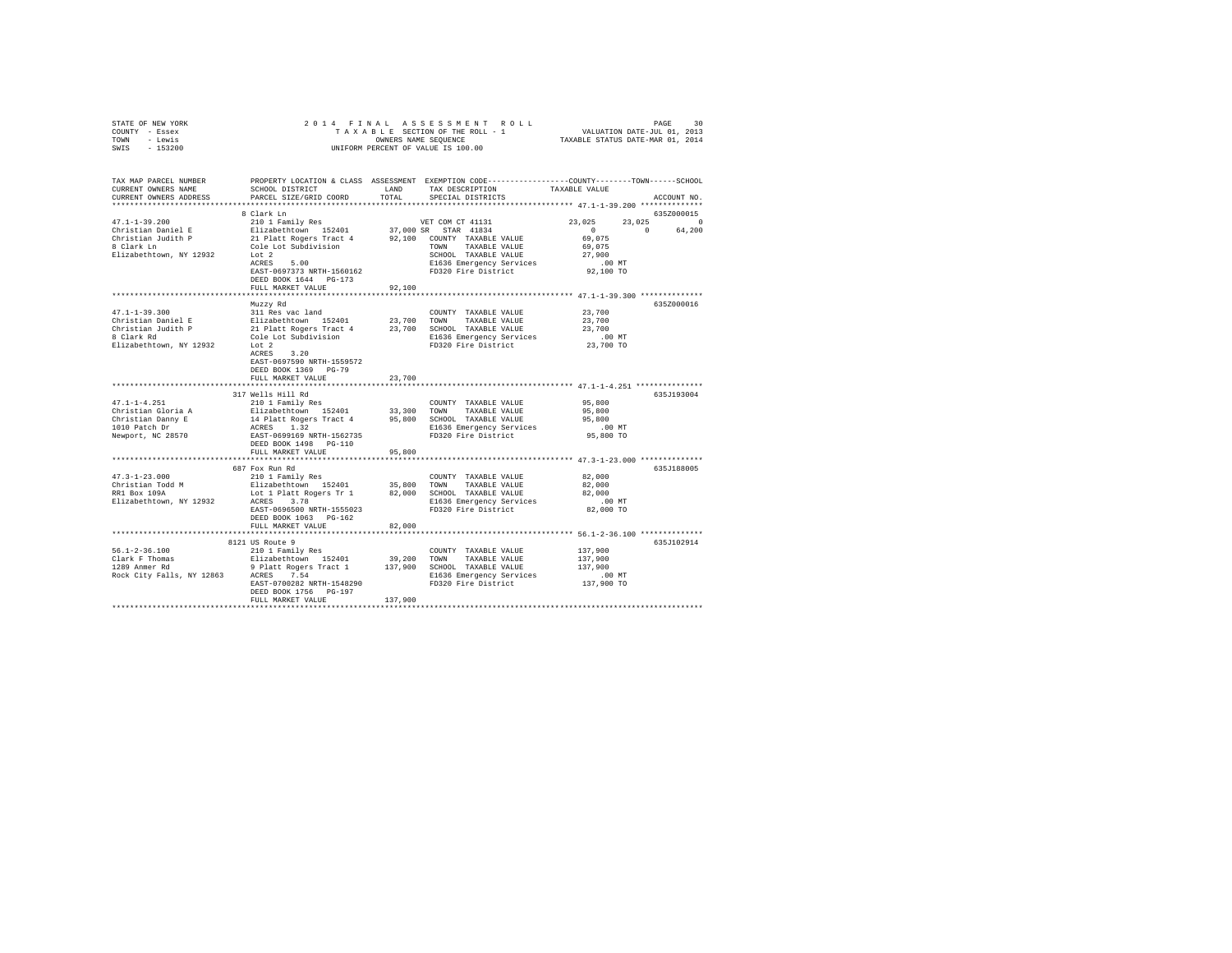|                | STATE OF NEW YORK | 2014 FINAL ASSESSMENT ROLL         |                                  | PAGE | 30 |
|----------------|-------------------|------------------------------------|----------------------------------|------|----|
| COUNTY - Essex |                   | TAXABLE SECTION OF THE ROLL - 1    | VALUATION DATE-JUL 01, 2013      |      |    |
| TOWN           | - Lewis           | OWNERS NAME SEOUENCE               | TAXABLE STATUS DATE-MAR 01, 2014 |      |    |
| SWIS           | - 153200          | UNIFORM PERCENT OF VALUE IS 100.00 |                                  |      |    |
|                |                   |                                    |                                  |      |    |
|                |                   |                                    |                                  |      |    |

| TAX MAP PARCEL NUMBER<br>CURRENT OWNERS NAME<br>CURRENT OWNERS ADDRESS | SCHOOL DISTRICT<br>PARCEL SIZE/GRID COORD                     | <b>T.AND</b><br>TOTAL | PROPERTY LOCATION & CLASS ASSESSMENT EXEMPTION CODE----------------COUNTY-------TOWN------SCHOOL<br>TAX DESCRIPTION<br>SPECIAL DISTRICTS | TAXABLE VALUE                                        | ACCOUNT NO.        |
|------------------------------------------------------------------------|---------------------------------------------------------------|-----------------------|------------------------------------------------------------------------------------------------------------------------------------------|------------------------------------------------------|--------------------|
|                                                                        |                                                               |                       |                                                                                                                                          |                                                      |                    |
|                                                                        | 8 Clark Ln                                                    |                       |                                                                                                                                          |                                                      | 635Z000015         |
| $47.1 - 1 - 39.200$                                                    | 210 1 Family Res                                              |                       | VET COM CT 41131                                                                                                                         | 23,025                                               | 23,025<br>$\Omega$ |
| Christian Daniel E                                                     | Elizabethtown 152401                                          |                       | 37,000 SR STAR 41834                                                                                                                     | $\sim$                                               | $\Omega$<br>64,200 |
| Christian Judith P                                                     | 21 Platt Rogers Tract 4 92,100 COUNTY TAXABLE VALUE           |                       |                                                                                                                                          | 69,075                                               |                    |
| 8 Clark Ln                                                             | Cole Lot Subdivision                                          |                       | TOWN TAXABLE VALUE                                                                                                                       | 69,075                                               |                    |
| Elizabethtown, NY 12932                                                | Lot 2                                                         |                       | SCHOOL TAXABLE VALUE                                                                                                                     | 27,900                                               |                    |
|                                                                        | 5.00<br>ACRES                                                 |                       | E1636 Emergency Services                                                                                                                 | $.00$ MT                                             |                    |
|                                                                        | EAST-0697373 NRTH-1560162                                     |                       |                                                                                                                                          |                                                      |                    |
|                                                                        |                                                               |                       | FD320 Fire District                                                                                                                      | 92,100 TO                                            |                    |
|                                                                        | DEED BOOK 1644 PG-173                                         |                       |                                                                                                                                          |                                                      |                    |
|                                                                        | FULL MARKET VALUE                                             | 92,100                |                                                                                                                                          |                                                      |                    |
|                                                                        |                                                               |                       |                                                                                                                                          |                                                      |                    |
|                                                                        | Muzzy Rd                                                      |                       |                                                                                                                                          |                                                      | 6357000016         |
| $47.1 - 1 - 39.300$                                                    | 311 Res vac land                                              |                       | COUNTY TAXABLE VALUE                                                                                                                     | 23,700                                               |                    |
| Christian Daniel E                                                     |                                                               |                       | TOWN<br>TAXABLE VALUE                                                                                                                    | 23,700                                               |                    |
| Christian Judith P                                                     | Elizabethtown 152401 23,700<br>21 Platt Rogers Tract 4 23,700 |                       | 23,700 SCHOOL TAXABLE VALUE                                                                                                              | 23,700                                               |                    |
|                                                                        |                                                               |                       |                                                                                                                                          |                                                      |                    |
| 8 Clark Rd                                                             | Cole Lot Subdivision                                          |                       | E1636 Emergency Services                                                                                                                 | $.00$ MT                                             |                    |
| Elizabethtown, NY 12932                                                | Lot 2                                                         |                       | FD320 Fire District                                                                                                                      | 23,700 TO                                            |                    |
|                                                                        | ACRES 3.20                                                    |                       |                                                                                                                                          |                                                      |                    |
|                                                                        | EAST-0697590 NRTH-1559572                                     |                       |                                                                                                                                          |                                                      |                    |
|                                                                        | DEED BOOK 1369 PG-79                                          |                       |                                                                                                                                          |                                                      |                    |
|                                                                        | FULL MARKET VALUE                                             | 23,700                |                                                                                                                                          |                                                      |                    |
|                                                                        |                                                               |                       |                                                                                                                                          |                                                      |                    |
|                                                                        | 317 Wells Hill Rd                                             |                       |                                                                                                                                          |                                                      | 635J193004         |
| $47.1 - 1 - 4.251$                                                     | 210 1 Family Res                                              |                       | COUNTY TAXABLE VALUE                                                                                                                     | 95,800                                               |                    |
| Christian Gloria A                                                     |                                                               |                       | TAXABLE VALUE                                                                                                                            |                                                      |                    |
|                                                                        | Elizabethtown 152401                                          | 33,300                | TOWN                                                                                                                                     | 95,800                                               |                    |
| Christian Danny E                                                      | 14 Platt Rogers Tract 4                                       | 95,800                | SCHOOL TAXABLE VALUE                                                                                                                     | 95,800                                               |                    |
| 1010 Patch Dr                                                          | ACRES 1.32                                                    |                       | E1636 Emergency Services                                                                                                                 | $.00$ MT                                             |                    |
| Newport, NC 28570                                                      | EAST-0699169 NRTH-1562735                                     |                       | FD320 Fire District                                                                                                                      | 95,800 TO                                            |                    |
|                                                                        | DEED BOOK 1498    PG-110                                      |                       |                                                                                                                                          |                                                      |                    |
|                                                                        | FULL MARKET VALUE                                             | 95,800                |                                                                                                                                          |                                                      |                    |
|                                                                        |                                                               |                       |                                                                                                                                          |                                                      |                    |
|                                                                        | 687 Fox Run Rd                                                |                       |                                                                                                                                          |                                                      | 635J188005         |
| $47.3 - 1 - 23.000$                                                    | 210 1 Family Res                                              |                       | COUNTY TAXABLE VALUE                                                                                                                     | 82,000                                               |                    |
| Christian Todd M                                                       | Elizabethtown 152401                                          | 35,800                | TOWN<br>TAXABLE VALUE                                                                                                                    | 82,000                                               |                    |
| RR1 Box 109A                                                           | Lot 1 Platt Rogers Tr 1                                       | 82,000                | SCHOOL TAXABLE VALUE                                                                                                                     | 82,000                                               |                    |
|                                                                        |                                                               |                       |                                                                                                                                          |                                                      |                    |
| Elizabethtown, NY 12932                                                | ACRES 3.78                                                    |                       | E1636 Emergency Services                                                                                                                 | $.00$ MT                                             |                    |
|                                                                        | EAST-0696500 NRTH-1555023                                     |                       | FD320 Fire District                                                                                                                      | 82,000 TO                                            |                    |
|                                                                        | DEED BOOK 1063 PG-162                                         |                       |                                                                                                                                          |                                                      |                    |
|                                                                        | FULL MARKET VALUE                                             | 82,000                |                                                                                                                                          |                                                      |                    |
|                                                                        |                                                               |                       |                                                                                                                                          | *********************** 56.1-2-36.100 ************** |                    |
|                                                                        | 8121 US Route 9                                               |                       |                                                                                                                                          |                                                      | 635J102914         |
| $56.1 - 2 - 36.100$                                                    | 210 1 Family Res                                              |                       | COUNTY TAXABLE VALUE                                                                                                                     | 137,900                                              |                    |
| Clark F Thomas                                                         | Elizabethtown 152401                                          | 39,200                | TOWN TAXABLE VALUE                                                                                                                       | 137,900                                              |                    |
| 1289 Anmer Rd                                                          |                                                               |                       | 9 Platt Rogers Tract 1 137,900 SCHOOL TAXABLE VALUE                                                                                      | 137,900                                              |                    |
| Rock City Falls, NY 12863 ACRES 7.54                                   |                                                               |                       |                                                                                                                                          |                                                      |                    |
|                                                                        |                                                               |                       | E1636 Emergency Services                                                                                                                 | $.00$ MT                                             |                    |
|                                                                        | EAST-0700282 NRTH-1548290                                     |                       | FD320 Fire District                                                                                                                      | 137,900 TO                                           |                    |
|                                                                        | DEED BOOK 1756 PG-197                                         |                       |                                                                                                                                          |                                                      |                    |
|                                                                        | FULL MARKET VALUE                                             | 137,900               |                                                                                                                                          |                                                      |                    |
|                                                                        |                                                               |                       |                                                                                                                                          |                                                      |                    |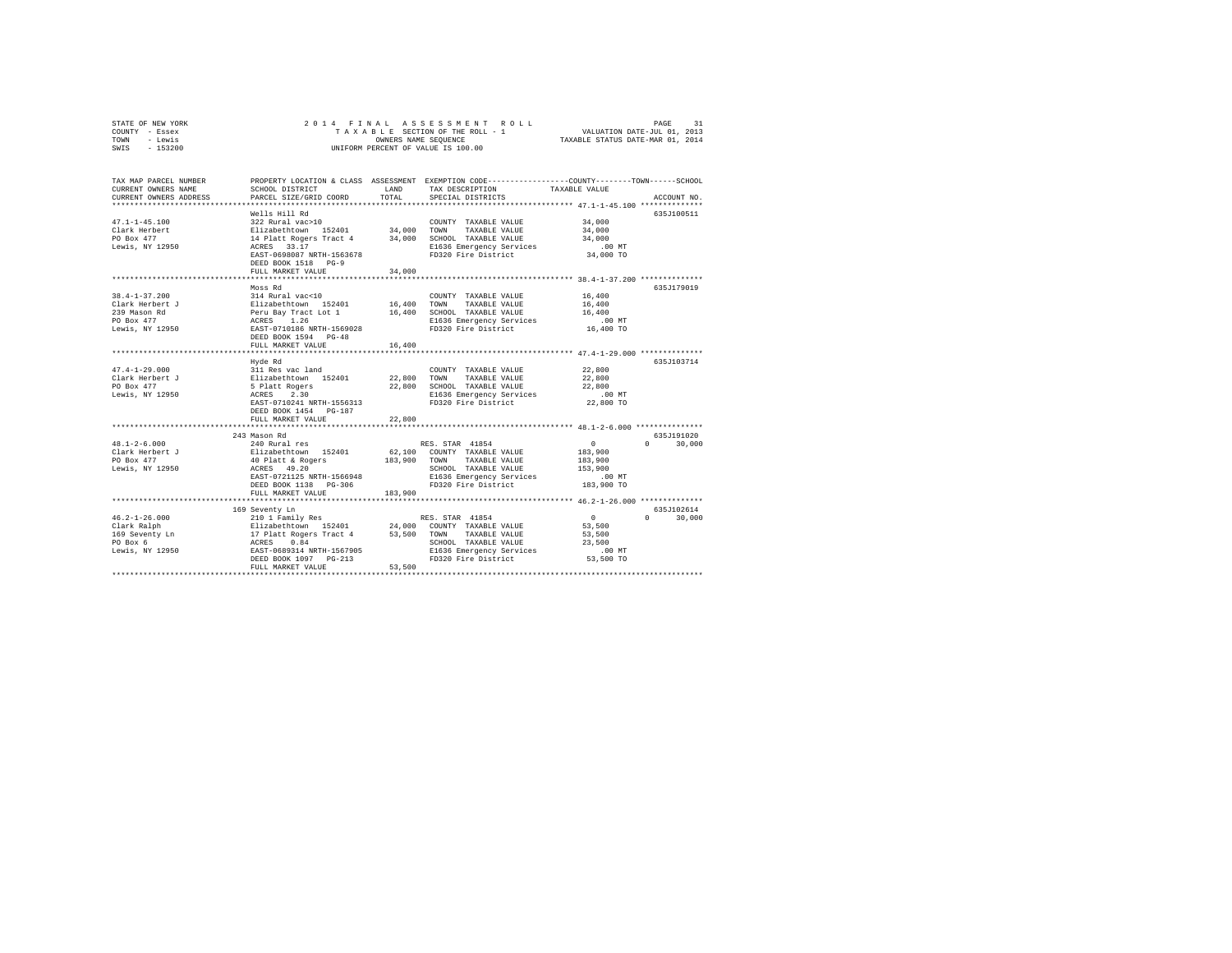| STATE OF NEW YORK                                                                      |                                                                                                                                                                                                                                                         |
|----------------------------------------------------------------------------------------|---------------------------------------------------------------------------------------------------------------------------------------------------------------------------------------------------------------------------------------------------------|
| COUNTY - Essex                                                                         |                                                                                                                                                                                                                                                         |
| TOWN - Lewis<br>SWIS - 153200                                                          |                                                                                                                                                                                                                                                         |
|                                                                                        |                                                                                                                                                                                                                                                         |
| TAX MAP PARCEL NUMBER                                                                  | PROPERTY LOCATION & CLASS ASSESSMENT EXEMPTION CODE---------------COUNTY-------TOWN-----SCHOOL                                                                                                                                                          |
| CURRENT OWNERS NAME<br>SCHOOL DISTRICT<br>CURRENT OWNERS ADDRESS                       | A A CHINE THE LAND TAX DESCRIPTION TAXABLE VALUE .<br>1 COORD TOTAL SPECIAL DISTRICTS                                                                                                                                                                   |
| PARCEL SIZE/GRID COORD TOTAL                                                           | ACCOUNT NO.                                                                                                                                                                                                                                             |
| Wells Hill Rd                                                                          | 635J100511                                                                                                                                                                                                                                              |
|                                                                                        | COUNTY TAXABLE VALUE 34,000                                                                                                                                                                                                                             |
|                                                                                        | 34,000                                                                                                                                                                                                                                                  |
|                                                                                        |                                                                                                                                                                                                                                                         |
|                                                                                        | 34,000<br>.00 MT                                                                                                                                                                                                                                        |
| ACRES 33.17<br>EAST-0698087 NRTH-1563678<br>FD320 Fire District<br>FD320 Fire District | 34,000 TO                                                                                                                                                                                                                                               |
| DEED BOOK 1518 PG-9                                                                    |                                                                                                                                                                                                                                                         |
| FULL MARKET VALUE<br>34,000                                                            |                                                                                                                                                                                                                                                         |
|                                                                                        |                                                                                                                                                                                                                                                         |
| Moss Rd                                                                                | 635J179019                                                                                                                                                                                                                                              |
| $314$ Rural vac<10<br>$38.4 - 1 - 37.200$                                              | COUNTY TAXABLE VALUE 16,400                                                                                                                                                                                                                             |
| Clark Herbert J                                                                        |                                                                                                                                                                                                                                                         |
| 239 Mason Rd                                                                           |                                                                                                                                                                                                                                                         |
| PO Box 477                                                                             | .00 MT                                                                                                                                                                                                                                                  |
| Lewis, NY 12950                                                                        | 16,400 TO                                                                                                                                                                                                                                               |
| DEED BOOK 1594 PG-48                                                                   |                                                                                                                                                                                                                                                         |
| FULL MARKET VALUE<br>16,400                                                            |                                                                                                                                                                                                                                                         |
|                                                                                        |                                                                                                                                                                                                                                                         |
| Hyde Rd<br>$47.4 - 1 - 29.000$                                                         | 635J103714<br>22,800                                                                                                                                                                                                                                    |
|                                                                                        |                                                                                                                                                                                                                                                         |
| Clark Herbert J<br>PO Box 477                                                          |                                                                                                                                                                                                                                                         |
| Lewis, NY 12950                                                                        | $.00$ MT                                                                                                                                                                                                                                                |
|                                                                                        | Hyde Rd<br>311 Res vac land<br>22,800 TOWNT TAXABLE VALUE 22,800<br>5 Platt Rogers 22,800 22,800 SONOL TAXABLE VALUE 22,800<br>5 Platt Rogers 23,800 SCHOOL TAXABLE VALUE 22,800<br>RASE -010241 NRTH-1556313 F1636 Emergency Services<br><br>22,800 TO |
|                                                                                        |                                                                                                                                                                                                                                                         |
| FULL MARKET VALUE<br>22,800                                                            |                                                                                                                                                                                                                                                         |
|                                                                                        |                                                                                                                                                                                                                                                         |
| 243 Mason Rd                                                                           | 635.T191020                                                                                                                                                                                                                                             |
| $48.1 - 2 - 6.000$                                                                     | $\sim$ 0<br>$0 \t 30,000$                                                                                                                                                                                                                               |
| Elizabethtown 152401<br>Clark Herbert J<br>PO Box 477                                  | -rundarics -responding to the state of the state of the state of the state of the state of the state of the state of the state of the state of the state of the state of the state of the state of the state of the state of t                          |
|                                                                                        |                                                                                                                                                                                                                                                         |
| Lewis, NY 12950                                                                        |                                                                                                                                                                                                                                                         |
|                                                                                        |                                                                                                                                                                                                                                                         |
|                                                                                        |                                                                                                                                                                                                                                                         |
| FULL MARKET VALUE 183,900                                                              |                                                                                                                                                                                                                                                         |
|                                                                                        |                                                                                                                                                                                                                                                         |
|                                                                                        | 635J102614                                                                                                                                                                                                                                              |
|                                                                                        | $0 \t 30,000$                                                                                                                                                                                                                                           |
|                                                                                        | $0$<br>53,500<br>53,500                                                                                                                                                                                                                                 |
|                                                                                        |                                                                                                                                                                                                                                                         |
|                                                                                        |                                                                                                                                                                                                                                                         |
|                                                                                        | 23,500                                                                                                                                                                                                                                                  |
|                                                                                        | $.00$ MT                                                                                                                                                                                                                                                |
| 53,500<br>FULL MARKET VALUE                                                            | 53,500 TO                                                                                                                                                                                                                                               |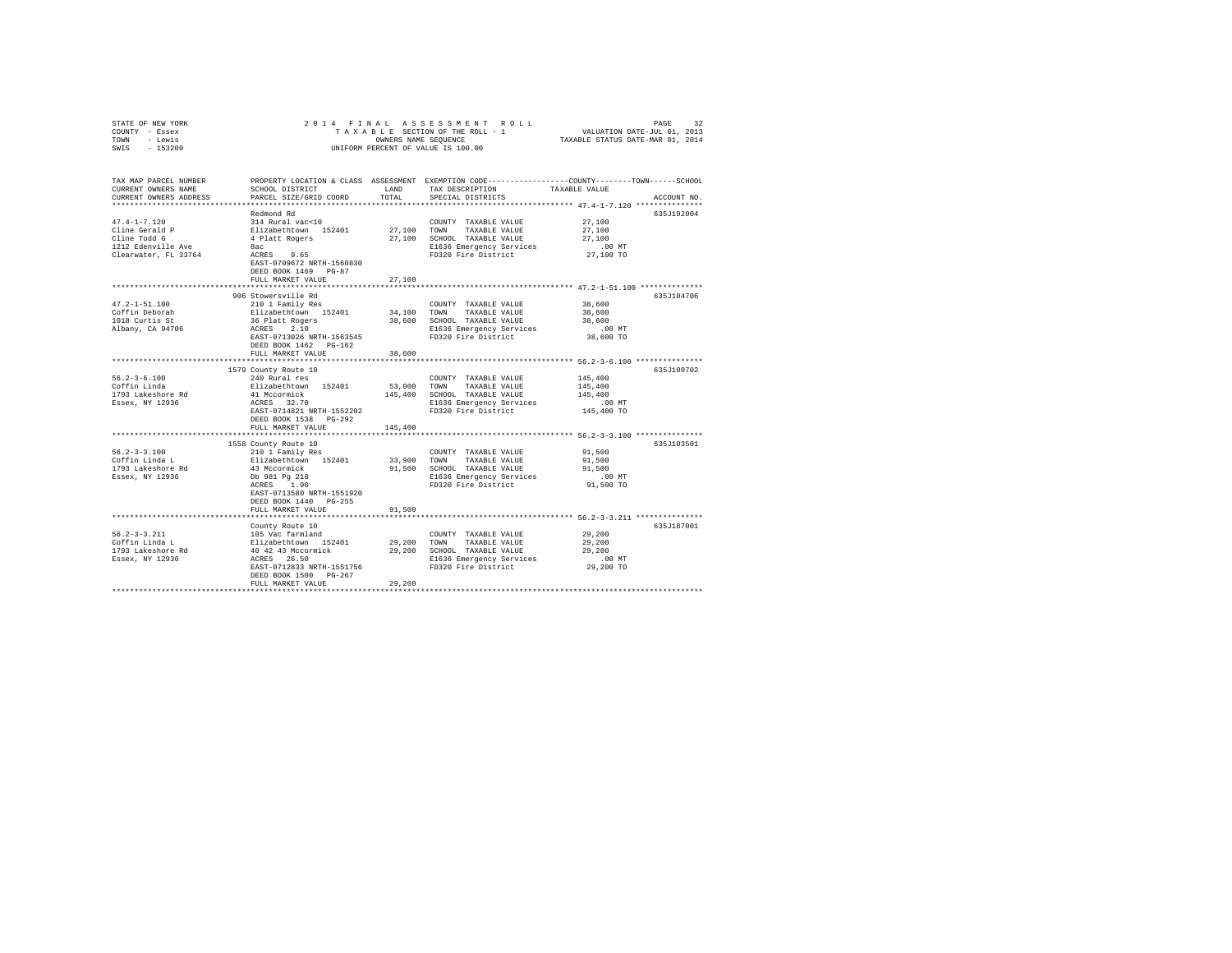| STATE OF NEW YORK<br>COUNTY - Essex<br>TOWN - Lewis<br>$-153200$<br>SWIS                            | 2014 FINAL                                                                                                                                                            |               | UNIFORM PERCENT OF VALUE IS 100.00                                                                                       | PAGE 32 בESS MENT ROLL PAGE 32 בESS MENT ROLL<br>TAXABLE SECTION OF THE ROLL - 1 VALUATION DATE-JUL 01, 2013<br>OWNERS NAME SEQUENCE TAXABLE STATUS DATE-MAR 01, 2014 |  |
|-----------------------------------------------------------------------------------------------------|-----------------------------------------------------------------------------------------------------------------------------------------------------------------------|---------------|--------------------------------------------------------------------------------------------------------------------------|-----------------------------------------------------------------------------------------------------------------------------------------------------------------------|--|
| TAX MAP PARCEL NUMBER<br>CURRENT OWNERS NAME<br>CURRENT OWNERS ADDRESS<br>************************* | SCHOOL DISTRICT<br>PARCEL SIZE/GRID COORD                                                                                                                             | LAND<br>TOTAL | TAX DESCRIPTION<br>SPECIAL DISTRICTS                                                                                     | PROPERTY LOCATION & CLASS ASSESSMENT EXEMPTION CODE---------------COUNTY-------TOWN------SCHOOL<br>TAXABLE VALUE<br>ACCOUNT NO.                                       |  |
|                                                                                                     | Redmond Rd                                                                                                                                                            |               |                                                                                                                          | 635J192004                                                                                                                                                            |  |
| $47.4 - 1 - 7.120$<br>Cline Gerald P<br>Cline Todd G<br>1212 Edenville Ave<br>Clearwater, FL 33764  | 314 Rural vac<10<br>314 Rural vac<10<br>Elizabethtown 152401<br>4 Platt Rogers<br>8ac<br>$ACRES$ 9.65<br>EAST-0709672 NRTH-1560830<br>DEED BOOK 1469 PG-87            | 27,100 TOWN   | COUNTY TAXABLE VALUE<br>TAXABLE VALUE<br>27,100 SCHOOL TAXABLE VALUE<br>E1636 Emergency Services<br>FD320 Fire District  | 27,100<br>27,100<br>27,100<br>$.00$ MT<br>27,100 TO                                                                                                                   |  |
|                                                                                                     | FULL MARKET VALUE                                                                                                                                                     | 27,100        |                                                                                                                          |                                                                                                                                                                       |  |
| 47.2-1-51.100<br>Coffin Deborah<br>1018 Curtis St<br>Albany, CA 94706                               | 906 Stowersville Rd<br>210 1 Family Res<br>Elizabethtown 152401<br>36 Platt Rogers<br>ACRES 2 10<br>ACRES 2.10<br>EAST-0713026 NRTH-1563545<br>DEED BOOK 1462 PG-162  | 34,100 TOWN   | COUNTY TAXABLE VALUE<br>TAXABLE VALUE<br>38,600 SCHOOL TAXABLE VALUE<br>E1636 Emergency Services<br>FD320 Fire District  | 635J104706<br>38,600<br>38,600<br>38,600<br>$.00$ MT<br>38,600 TO                                                                                                     |  |
|                                                                                                     | FULL MARKET VALUE                                                                                                                                                     | 38,600        |                                                                                                                          |                                                                                                                                                                       |  |
| $56.2 - 3 - 6.100$<br>Coffin Linda<br>1793 Lakeshore Rd<br>Essex, NY 12936                          | 1579 County Route 10<br>240 Rural res<br>Elizabethtown 152401<br>41 Mccormick<br>ACRES 32.70<br>EAST-0714821 NRTH-1552202<br>DEED BOOK 1538 PG-292                    | 53,000 TOWN   | COUNTY TAXABLE VALUE<br>TAXABLE VALUE<br>145,400 SCHOOL TAXABLE VALUE<br>E1636 Emergency Services<br>FD320 Fire District | 635J100702<br>145,400<br>145,400<br>145,400<br>$.00$ MT<br>145,400 TO                                                                                                 |  |
|                                                                                                     | FULL MARKET VALUE                                                                                                                                                     | 145,400       |                                                                                                                          | ************************ 56.2-3-3.100 ***************                                                                                                                 |  |
| $56.2 - 3 - 3.100$<br>Coffin Linda L<br>1793 Lakeshore Rd<br>Essex, NY 12936                        | 1558 County Route 10<br>210 1 Family Res<br>Elizabethtown 152401<br>43 Mccormick<br>Db 981 Pg 218<br>ACRES 1.90<br>EAST-0713580 NRTH-1551920<br>DEED BOOK 1440 PG-255 | 33,900 TOWN   | COUNTY TAXABLE VALUE<br>TAXABLE VALUE<br>91,500 SCHOOL TAXABLE VALUE<br>E1636 Emergency Services<br>FD320 Fire District  | 635J103501<br>91,500<br>91,500<br>91,500<br>$.00$ MT<br>91,500 TO                                                                                                     |  |
|                                                                                                     | FULL MARKET VALUE                                                                                                                                                     | 91,500        |                                                                                                                          |                                                                                                                                                                       |  |
| 56.2-3-3.211<br>Coffin Linda L<br>1793 Lakeshore Rd<br>Essex, NY 12936                              | County Route 10<br>105 vac farmland<br>Elizabethtown 152401<br>40 42 43 Mccormick<br>ACRES 26.50<br>EAST-0712833 NRTH-1551756<br>DEED BOOK 1500 PG-267                | 29,200 TOWN   | COUNTY TAXABLE VALUE<br>TAXABLE VALUE<br>29,200 SCHOOL TAXABLE VALUE<br>E1636 Emergency Services<br>FD320 Fire District  | 635J187001<br>29,200<br>29,200<br>29,200<br>$.00$ MT<br>29,200 TO                                                                                                     |  |
|                                                                                                     | FULL MARKET VALUE                                                                                                                                                     | 29,200        |                                                                                                                          |                                                                                                                                                                       |  |
|                                                                                                     |                                                                                                                                                                       |               |                                                                                                                          |                                                                                                                                                                       |  |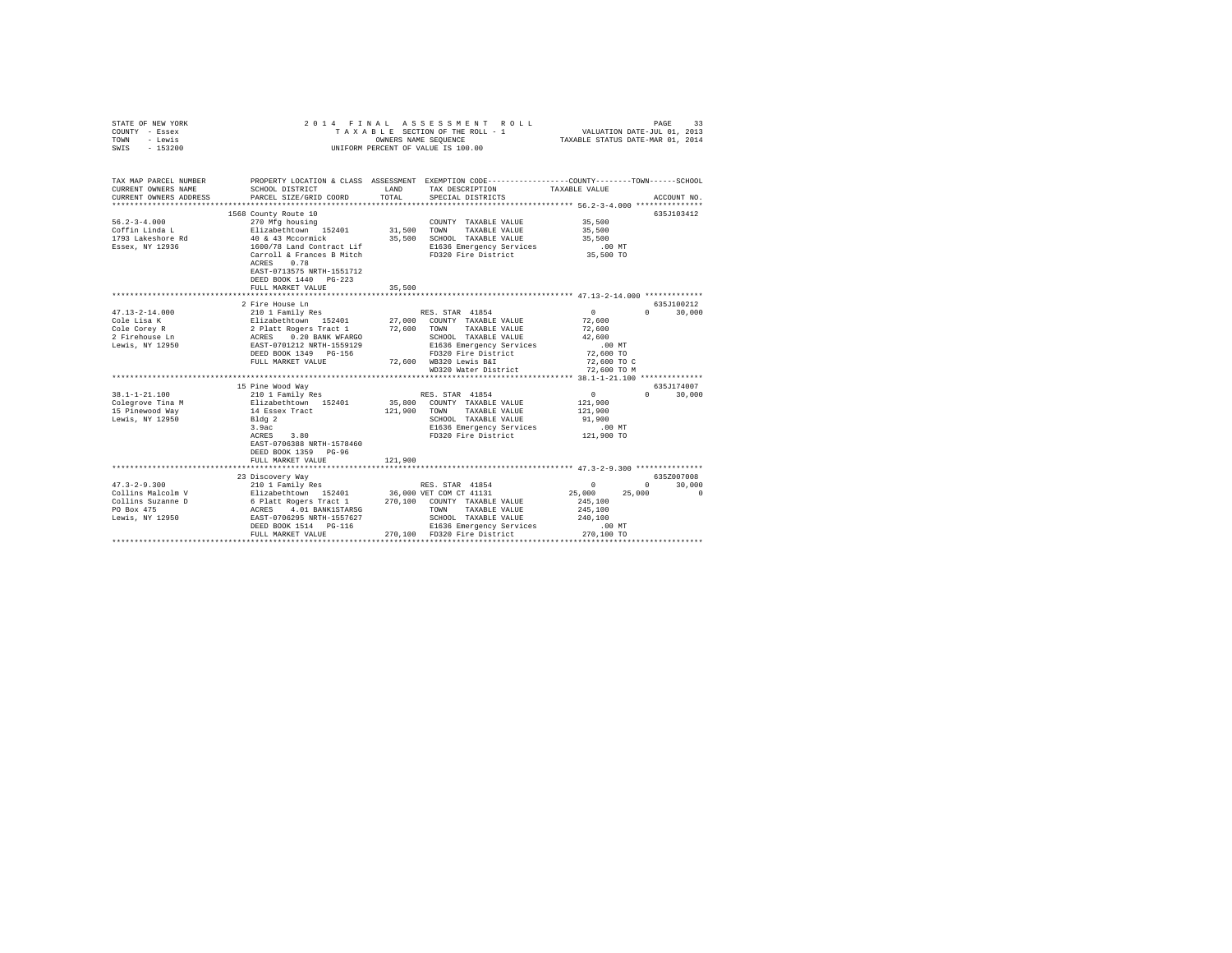| STATE OF NEW YORK<br>COUNTY - Essex<br>TOWN - Lewis<br>SWIS - 153200                                                                                                                                                                                                                                                                                                                                                                                            | 2014 FINAL                                                                                                                                                                                                                                                           |               | ASSESSMENT ROLL<br>TAXABLE SECTION OF THE ROLL - 1<br>OWNERS NAME SEOUENCE<br>UNIFORM PERCENT OF VALUE IS 100.00                                                                                                                                                                                                                                                                                                                                                       | PAGE 33<br>VALUATION DATE-JUL 01, 2013<br>TAXABLE STATUS DATE-MAR 01, 2014                                                                                                                        |                                                   |
|-----------------------------------------------------------------------------------------------------------------------------------------------------------------------------------------------------------------------------------------------------------------------------------------------------------------------------------------------------------------------------------------------------------------------------------------------------------------|----------------------------------------------------------------------------------------------------------------------------------------------------------------------------------------------------------------------------------------------------------------------|---------------|------------------------------------------------------------------------------------------------------------------------------------------------------------------------------------------------------------------------------------------------------------------------------------------------------------------------------------------------------------------------------------------------------------------------------------------------------------------------|---------------------------------------------------------------------------------------------------------------------------------------------------------------------------------------------------|---------------------------------------------------|
| TAX MAP PARCEL NUMBER PROPERTY LOCATION & CLASS ASSESSMENT EXEMPTION CODE--------------COUNTY-------TOWN------SCHOOL<br>CURRENT OWNERS NAME<br>CURRENT OWNERS ADDRESS                                                                                                                                                                                                                                                                                           | SCHOOL DISTRICT<br>PARCEL SIZE/GRID COORD                                                                                                                                                                                                                            | LAND<br>TOTAL | TAX DESCRIPTION<br>SPECIAL DISTRICTS                                                                                                                                                                                                                                                                                                                                                                                                                                   | TAXABLE VALUE                                                                                                                                                                                     | ACCOUNT NO.                                       |
|                                                                                                                                                                                                                                                                                                                                                                                                                                                                 |                                                                                                                                                                                                                                                                      |               |                                                                                                                                                                                                                                                                                                                                                                                                                                                                        |                                                                                                                                                                                                   |                                                   |
| $56.2 - 3 - 4.000$<br>Coffin Linda L<br>1793 Lakeshore Rd<br>Essex, NY 12936                                                                                                                                                                                                                                                                                                                                                                                    | 1568 County Route 10<br>270 Mfg housing<br>Elizabethtown 152401<br>40 & 43 Mccormick<br>$1600/78$ Land Contract Lif<br>ACRES 0.78<br>EAST-0713575 NRTH-1551712                                                                                                       | 31,500 TOWN   | COUNTY TAXABLE VALUE<br>TAXABLE VALUE<br>35,500 SCHOOL TAXABLE VALUE<br>E1636 Emergency Services<br>FD320 Fire District                                                                                                                                                                                                                                                                                                                                                | 35,500<br>35,500<br>35,500<br>$.00$ MT<br>$35,500$ TO                                                                                                                                             | 635J103412                                        |
|                                                                                                                                                                                                                                                                                                                                                                                                                                                                 | DEED BOOK 1440 PG-223<br>FULL MARKET VALUE                                                                                                                                                                                                                           | 35,500        |                                                                                                                                                                                                                                                                                                                                                                                                                                                                        |                                                                                                                                                                                                   |                                                   |
|                                                                                                                                                                                                                                                                                                                                                                                                                                                                 |                                                                                                                                                                                                                                                                      |               |                                                                                                                                                                                                                                                                                                                                                                                                                                                                        |                                                                                                                                                                                                   |                                                   |
|                                                                                                                                                                                                                                                                                                                                                                                                                                                                 | 2 Fire House Ln                                                                                                                                                                                                                                                      |               |                                                                                                                                                                                                                                                                                                                                                                                                                                                                        |                                                                                                                                                                                                   | 635J100212                                        |
| $47.13 - 2 - 14.000$<br>Cole Lisa K<br>Cole Corey R<br>2 Firehouse Ln<br>Lewis, NY 12950<br>$38.1 - 1 - 21.100$<br>Colegrove Tina M<br>15 Pinewood Way<br>Lewis, NY 12950                                                                                                                                                                                                                                                                                       | 210 1 Family Res<br>FULL MARKET VALUE<br>***************************<br>15 Pine Wood Way<br>210 1 Family Res<br>Elizabethtown 152401<br>14 Essex Tract<br>Bldg 2<br>3.9ac<br>3.80<br>ACRES<br>EAST-0706388 NRTH-1578460<br>DEED BOOK 1359 PG-96<br>FULL MARKET VALUE | 121,900       | RES. STAR 41854<br>210 - Lewis 7, 200 - CONTY TAXABLE VALUE<br>2 Platt Rogers Tract 1 27,000 - CONTY TAXABLE VALUE<br>2 Platt Rogers Tract 1 27,600 TOWN TAXABLE VALUE<br>RATE-1701212 RRTH-1559129 - E1636 Emergency Services<br>DEED BOOK 1349 - PG-156<br>72,600 WB320 Lewis B&I<br>WD320 Water District<br>RES. STAR 41854<br>35,800 COUNTY TAXABLE VALUE<br>121,900 TOWN TAXABLE VALUE<br>SCHOOL TAXABLE VALUE<br>E1636 Emergency Services<br>FD320 Fire District | $\overline{0}$<br>72,600<br>72,600<br>42,600<br>$.00$ MT<br>72,600 TO<br>72,600 TO C<br>72,600 TO M<br>$\begin{array}{c} 0 \\ 121,900 \end{array}$<br>121,900<br>91,900<br>$.00$ MT<br>121,900 TO | $0 \t 30,000$<br>635J174007<br>$\sim$ 0<br>30,000 |
|                                                                                                                                                                                                                                                                                                                                                                                                                                                                 |                                                                                                                                                                                                                                                                      |               |                                                                                                                                                                                                                                                                                                                                                                                                                                                                        |                                                                                                                                                                                                   |                                                   |
| $\begin{tabular}{l c c c c c} \multicolumn{1}{c}{\textbf{1}} & \multicolumn{1}{c}{\textbf{2}} & \multicolumn{1}{c}{\textbf{2}} & \multicolumn{1}{c}{\textbf{2}} & \multicolumn{1}{c}{\textbf{2}} & \multicolumn{1}{c}{\textbf{2}} & \multicolumn{1}{c}{\textbf{2}} & \multicolumn{1}{c}{\textbf{2}} & \multicolumn{1}{c}{\textbf{2}} & \multicolumn{1}{c}{\textbf{2}} & \multicolumn{1}{c}{\textbf{2}} & \multicolumn{1}{c}{\textbf{2}} & \multicolumn{1}{c}{\$ |                                                                                                                                                                                                                                                                      |               |                                                                                                                                                                                                                                                                                                                                                                                                                                                                        |                                                                                                                                                                                                   | 635Z007008<br>$0 \t 30.000$<br>25,000<br>$\sim$ 0 |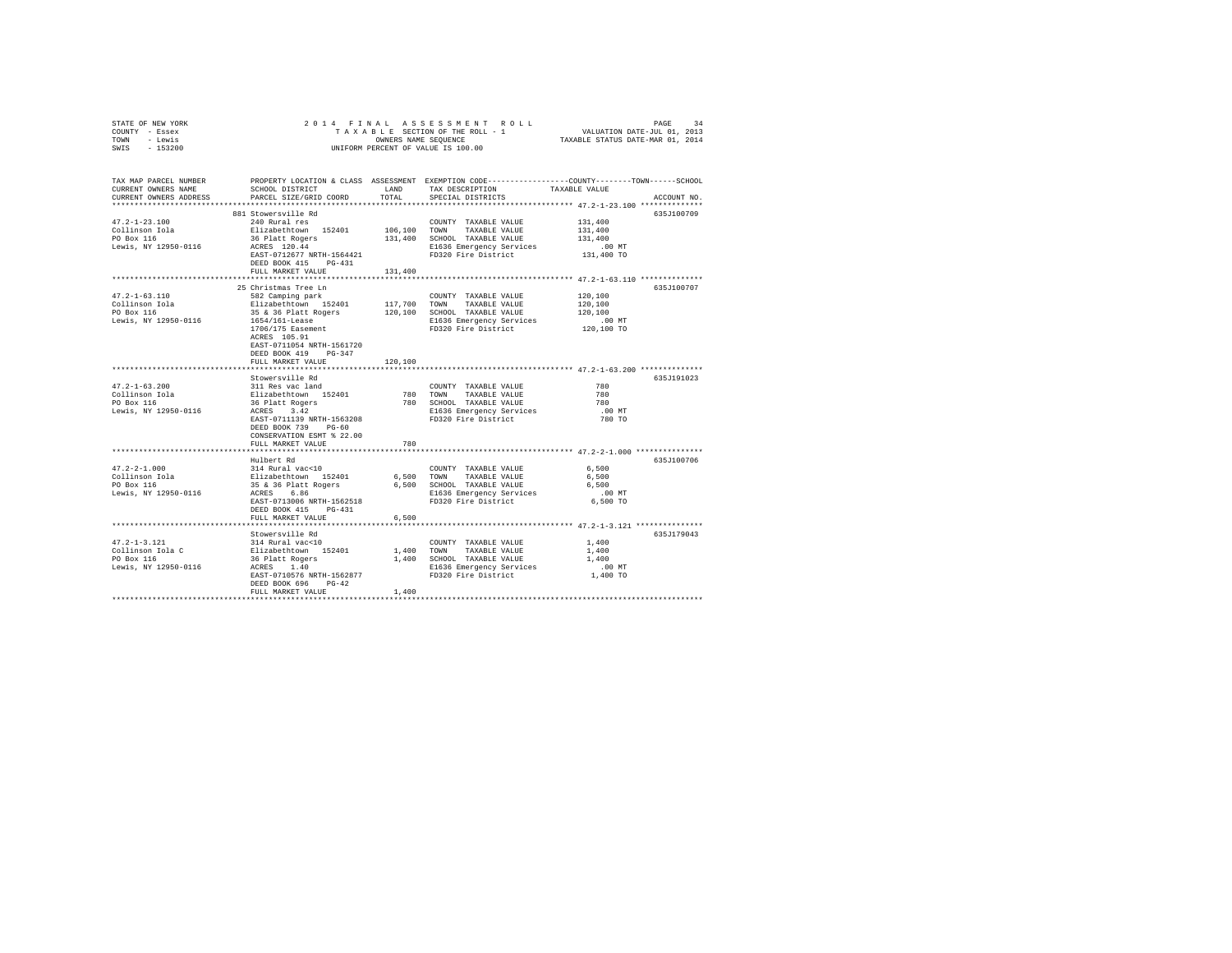| STATE OF NEW YORK<br>COUNTY - Essex<br>TOWN - Lewis<br>SWIS - 153200         |                                                                                                                                                                                                                                                        |               | UNIFORM PERCENT OF VALUE IS 100.00                                                                                                    |                                                                                                                                 |
|------------------------------------------------------------------------------|--------------------------------------------------------------------------------------------------------------------------------------------------------------------------------------------------------------------------------------------------------|---------------|---------------------------------------------------------------------------------------------------------------------------------------|---------------------------------------------------------------------------------------------------------------------------------|
| TAX MAP PARCEL NUMBER<br>CURRENT OWNERS NAME<br>CURRENT OWNERS ADDRESS       | SCHOOL DISTRICT<br>PARCEL SIZE/GRID COORD                                                                                                                                                                                                              | LAND<br>TOTAL | TAX DESCRIPTION<br>SPECIAL DISTRICTS                                                                                                  | PROPERTY LOCATION & CLASS ASSESSMENT EXEMPTION CODE---------------COUNTY-------TOWN------SCHOOL<br>TAXABLE VALUE<br>ACCOUNT NO. |
| $47.2 - 1 - 23.100$<br>Collinson Iola<br>PO Box 116<br>Lewis, NY 12950-0116  | 881 Stowersville Rd<br>240 Rural res<br>Elizabethtown 152401<br>36 Platt Rogers<br>ACRES 120.44<br>EAST-0712677 NRTH-1564421<br>DEED BOOK 415 PG-431<br>FULL MARKET VALUE                                                                              | 131,400       | COUNTY TAXABLE VALUE<br>106,100 TOWN TAXABLE VALUE<br>131,400 SCHOOL TAXABLE VALUE<br>E1636 Emergency Services<br>FD320 Fire District | 635J100709<br>131,400<br>131,400<br>131,400<br>.00 MT<br>131,400 TO                                                             |
| $47.2 - 1 - 63.110$<br>Collinson Iola<br>PO Box 116<br>Lewis, NY 12950-0116  | 25 Christmas Tree Ln<br>582 Camping park<br>Elizabethtown 152401 117,700 TOWN TAXABLE VALUE<br>35 & 36 Platt Rogers<br>1654/161-Lease<br>$1706/175$ Easement<br>ACRES 105.91<br>EAST-0711054 NRTH-1561720<br>DEED BOOK 419 PG-347<br>FULL MARKET VALUE | 120,100       | COUNTY TAXABLE VALUE<br>120,100 SCHOOL TAXABLE VALUE<br>E1636 Emergency Services<br>FD320 Fire District                               | 635J100707<br>120,100<br>120,100<br>120,100<br>$.00$ MT<br>120,100 TO                                                           |
| 47.2-1-63.200<br>Collinson Iola<br>PO Box 116<br>Lewis, NY 12950-0116        | Stowersville Rd<br>311 Res vac land<br>Elizabethtown 152401<br>36 Platt Rogers<br>ACRES 3.42<br>EAST-0711139 NRTH-1563208<br>DEED BOOK 739 PG-60<br>CONSERVATION ESMT % 22.00<br>FULL MARKET VALUE                                                     | 780           | COUNTY TAXABLE VALUE<br>780 TOWN TAXABLE VALUE<br>780 SCHOOL TAXABLE VALUE<br>E1636 Emergency Services<br>FD320 Fire District         | 635J191023<br>780<br>780<br>780<br>$.00$ MT<br>780 TO                                                                           |
| $47.2 - 2 - 1.000$<br>Collinson Iola<br>PO Box 116<br>Lewis, NY 12950-0116   | Hulbert Rd<br>314 Rural vac<10<br>Elizabethtown 152401<br>$35$ & 36 Platt Rogers<br>ACRES 6.86<br>EAST-0713006 NRTH-1562518<br>DEED BOOK 415 PG-431<br>FULL MARKET VALUE                                                                               | 6,500         | COUNTY TAXABLE VALUE<br>6,500 TOWN TAXABLE VALUE<br>6,500 SCHOOL TAXABLE VALUE<br>E1636 Emergency Services<br>FD320 Fire District     | 635J100706<br>6,500<br>6,500<br>6,500<br>$.00$ MT<br>6,500 TO                                                                   |
| $47.2 - 1 - 3.121$<br>Collinson Iola C<br>PO Box 116<br>Lewis, NY 12950-0116 | Stowersville Rd<br>314 Rural vac<10<br>Elizabethtown 152401<br>36 Platt Rogers<br>ACRES 1.40<br>EAST-0710576 NRTH-1562877<br>DEED BOOK 696 PG-42<br>FULL MARKET VALUE                                                                                  | 1,400         | COUNTY TAXABLE VALUE<br>1,400 TOWN TAXABLE VALUE<br>1,400 SCHOOL TAXABLE VALUE<br>E1636 Emergency Services<br>FD320 Fire District     | 635J179043<br>1,400<br>1,400<br>1,400<br>$.00$ MT<br>$1,400$ TO                                                                 |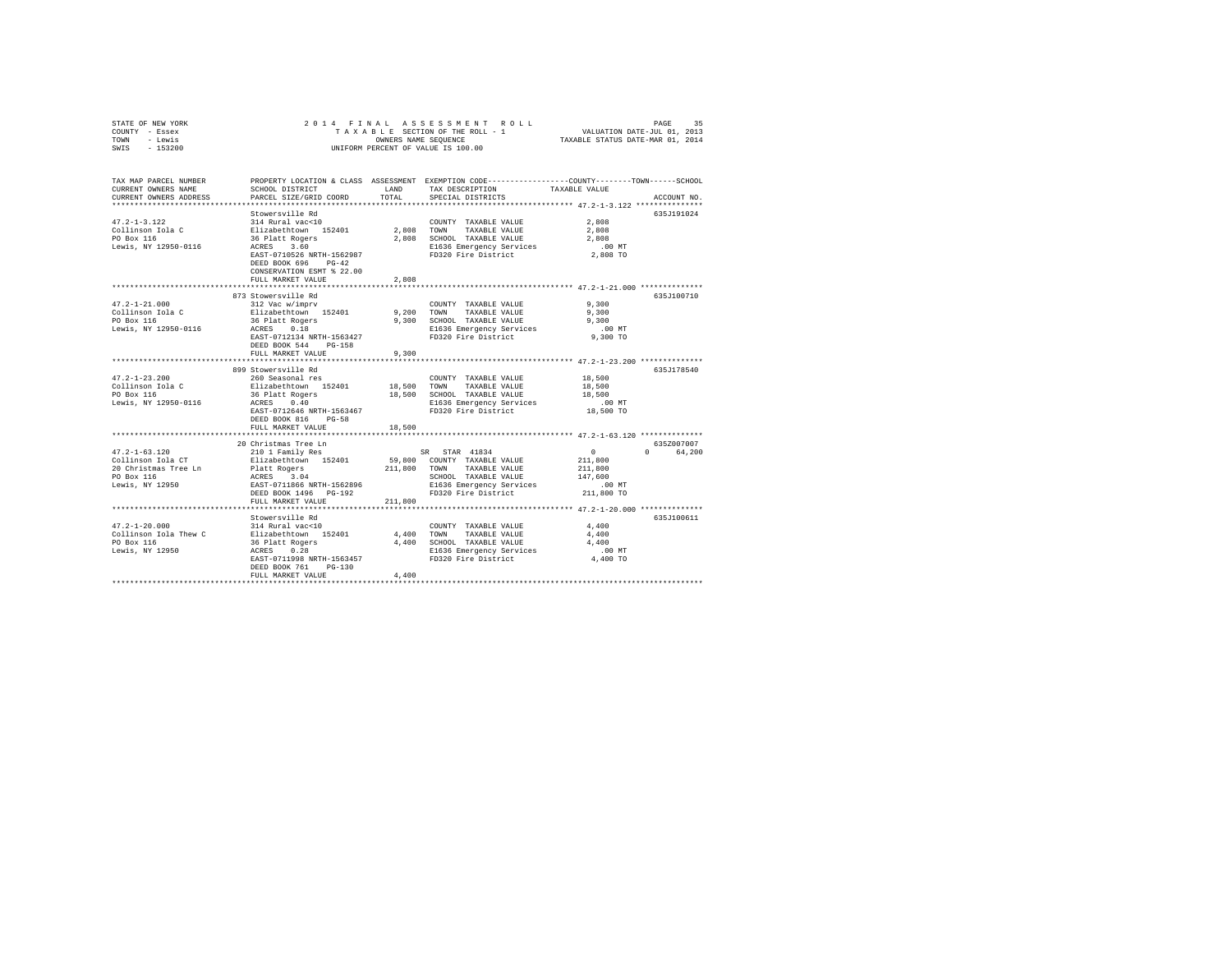| STATE OF NEW YORK<br>COUNTY - Essex                                    | 2014 FINAL                                                                    |               | A S S E S S M E N T R O L L<br>TAXABLE SECTION OF THE ROLL - 1                                                                         | VALUATION DATE-JUL 01, 2013<br>TAXABLE STATUS DATE-MAR 01, 2014 | PAGE<br>35  |
|------------------------------------------------------------------------|-------------------------------------------------------------------------------|---------------|----------------------------------------------------------------------------------------------------------------------------------------|-----------------------------------------------------------------|-------------|
| TOWN - Lewis<br>SWIS<br>$-153200$                                      |                                                                               |               | OWNERS NAME SEQUENCE<br>UNIFORM PERCENT OF VALUE IS 100.00                                                                             |                                                                 |             |
| TAX MAP PARCEL NUMBER<br>CURRENT OWNERS NAME<br>CURRENT OWNERS ADDRESS | SCHOOL DISTRICT<br>PARCEL SIZE/GRID COORD                                     | LAND<br>TOTAL | PROPERTY LOCATION & CLASS ASSESSMENT EXEMPTION CODE---------------COUNTY-------TOWN-----SCHOOL<br>TAX DESCRIPTION<br>SPECIAL DISTRICTS | TAXABLE VALUE                                                   | ACCOUNT NO. |
|                                                                        | Stowersville Rd                                                               |               |                                                                                                                                        |                                                                 | 635J191024  |
| $47.2 - 1 - 3.122$                                                     | 314 Rural vac<10                                                              |               | COUNTY TAXABLE VALUE                                                                                                                   | 2,808                                                           |             |
| Collinson Iola C                                                       | Elizabethtown 152401                                                          | 2,808 TOWN    | TAXABLE VALUE                                                                                                                          | 2,808                                                           |             |
| PO Box 116                                                             | 36 Platt Rogers<br>ACRES 3.60                                                 |               | 2,808 SCHOOL TAXABLE VALUE                                                                                                             | 2.808                                                           |             |
| Lewis, NY 12950-0116                                                   |                                                                               |               | E1636 Emergency Services                                                                                                               | $.00$ MT                                                        |             |
|                                                                        | EAST-0710526 NRTH-1562987<br>DEED BOOK 696 PG-42<br>CONSERVATION ESMT % 22.00 |               | FD320 Fire District                                                                                                                    | 2,808 TO                                                        |             |
|                                                                        | FULL MARKET VALUE                                                             | 2,808         | ********************************* 47.2-1-21.000 ***************                                                                        |                                                                 |             |
|                                                                        | 873 Stowersville Rd                                                           |               |                                                                                                                                        |                                                                 | 635J100710  |
| $47.2 - 1 - 21.000$                                                    | 312 Vac w/imprv                                                               |               | COUNTY TAXABLE VALUE                                                                                                                   | 9,300                                                           |             |
| Collinson Iola C                                                       | Elizabethtown 152401                                                          | 9,200         | TOWN TAXABLE VALUE                                                                                                                     | 9,300                                                           |             |
| PO Box 116                                                             | 36 Platt Rogers                                                               | 9,300         | SCHOOL TAXABLE VALUE                                                                                                                   | 9,300                                                           |             |
| Lewis, NY 12950-0116                                                   | ACRES 0.18                                                                    |               | E1636 Emergency Services                                                                                                               | $.00$ MT                                                        |             |
|                                                                        | EAST-0712134 NRTH-1563427                                                     |               | FD320 Fire District                                                                                                                    | 9,300 TO                                                        |             |
|                                                                        | DEED BOOK 544 PG-158<br>FULL MARKET VALUE                                     | 9,300         |                                                                                                                                        |                                                                 |             |
|                                                                        |                                                                               |               |                                                                                                                                        |                                                                 |             |
|                                                                        | 899 Stowersville Rd                                                           |               |                                                                                                                                        |                                                                 | 635J178540  |
| $47.2 - 1 - 23.200$                                                    | 260 Seasonal res                                                              |               | COUNTY TAXABLE VALUE                                                                                                                   | 18,500                                                          |             |
| Collinson Iola C                                                       | Elizabethtown 152401                                                          | 18,500        | TOWN TAXABLE VALUE                                                                                                                     | 18,500                                                          |             |
| PO Box 116                                                             | 36 Platt Rogers                                                               |               | 18,500 SCHOOL TAXABLE VALUE                                                                                                            | 18.500                                                          |             |
| Lewis, NY 12950-0116                                                   | ACRES 0.40<br>EAST-0712646 NRTH-1563467                                       |               | E1636 Emergency Services<br>FD320 Fire District                                                                                        | $.00$ MT<br>18,500 TO                                           |             |
|                                                                        | DEED BOOK 816 PG-58                                                           |               |                                                                                                                                        |                                                                 |             |
|                                                                        | FULL MARKET VALUE                                                             | 18,500        |                                                                                                                                        |                                                                 |             |
|                                                                        |                                                                               |               |                                                                                                                                        |                                                                 |             |
|                                                                        | 20 Christmas Tree Ln                                                          |               |                                                                                                                                        |                                                                 | 635Z007007  |
| $47.2 - 1 - 63.120$                                                    | 210 1 Family Res                                                              |               | SR STAR 41834                                                                                                                          | $\sim$ 0                                                        | 0 64,200    |
| Collinson Iola CT                                                      | Elizabethtown 152401                                                          |               | 59,800 COUNTY TAXABLE VALUE                                                                                                            | 211,800                                                         |             |
| 20 Christmas Tree Ln                                                   | Platt Rogers<br>ACRES 3.04                                                    | 211,800       | TOWN TAXABLE VALUE                                                                                                                     | 211,800<br>147,600                                              |             |
| PO Box 116<br>Lewis, NY 12950                                          | EAST-0711866 NRTH-1562896                                                     |               | SCHOOL TAXABLE VALUE<br>E1636 Emergency Services                                                                                       | .00MT                                                           |             |
|                                                                        | DEED BOOK 1496 PG-192                                                         |               | FD320 Fire District                                                                                                                    | 211,800 TO                                                      |             |
|                                                                        | FULL MARKET VALUE                                                             | 211,800       |                                                                                                                                        |                                                                 |             |
|                                                                        |                                                                               |               |                                                                                                                                        |                                                                 |             |
|                                                                        | Stowersville Rd                                                               |               |                                                                                                                                        |                                                                 | 635J100611  |
| $47.2 - 1 - 20.000$                                                    | 314 Rural vac<10                                                              |               | COUNTY TAXABLE VALUE                                                                                                                   | 4,400                                                           |             |
| Collinson Iola Thew C Elizabethtown 152401                             |                                                                               |               | 4,400 TOWN TAXABLE VALUE<br>4,400 SCHOOL TAXABLE VALUE                                                                                 | 4,400<br>4,400                                                  |             |
| PO Box 116<br>Lewis, NY 12950                                          | 36 Platt Rogers                                                               |               | E1636 Emergency Services                                                                                                               | $.00$ MT                                                        |             |
|                                                                        | ACRES 0.28<br>EAST-0711998 NRTH-1563457                                       |               | FD320 Fire District                                                                                                                    | 4,400 TO                                                        |             |
|                                                                        | $PG-130$<br>DEED BOOK 761                                                     |               |                                                                                                                                        |                                                                 |             |
|                                                                        | FULL MARKET VALUE                                                             | 4,400         |                                                                                                                                        |                                                                 |             |
|                                                                        |                                                                               |               |                                                                                                                                        |                                                                 |             |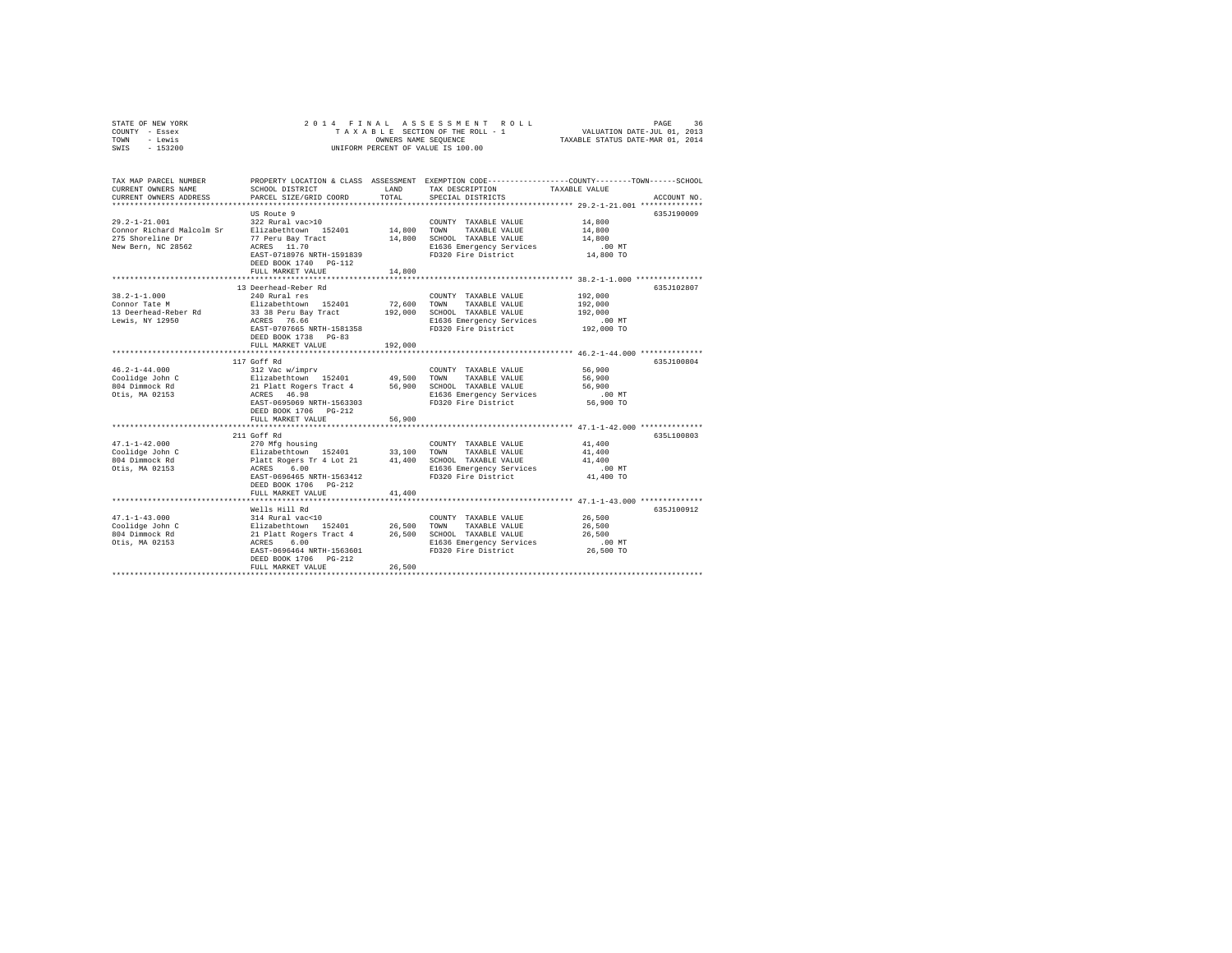| STATE OF NEW YORK | 2014 FINAL ASSESSMENT ROLL         | 36<br>PAGE                       |
|-------------------|------------------------------------|----------------------------------|
| COUNTY - Essex    | TAXABLE SECTION OF THE ROLL - 1    | VALUATION DATE-JUL 01, 2013      |
| TOWN<br>- Lewis   | OWNERS NAME SEOUENCE               | TAXABLE STATUS DATE-MAR 01, 2014 |
| $-153200$<br>SWIS | UNIFORM PERCENT OF VALUE IS 100.00 |                                  |

| TAX MAP PARCEL NUMBER<br>CURRENT OWNERS NAME<br>CURRENT OWNERS ADDRESS                     | PROPERTY LOCATION & CLASS ASSESSMENT<br>SCHOOL DISTRICT<br>PARCEL SIZE/GRID COORD                                                                                                                                               | LAND<br>TOTAL                | EXEMPTION CODE----------------COUNTY-------TOWN-----SCHOOL<br>TAX DESCRIPTION<br>SPECIAL DISTRICTS                                                                                                 | TAXABLE VALUE                                                                                                        | ACCOUNT NO. |
|--------------------------------------------------------------------------------------------|---------------------------------------------------------------------------------------------------------------------------------------------------------------------------------------------------------------------------------|------------------------------|----------------------------------------------------------------------------------------------------------------------------------------------------------------------------------------------------|----------------------------------------------------------------------------------------------------------------------|-------------|
| $29.2 - 1 - 21.001$<br>Connor Richard Malcolm Sr<br>275 Shoreline Dr<br>New Bern, NC 28562 | US Route 9<br>322 Rural vac>10<br>Elizabethtown 152401 14,800 TOWN<br>77 Peru Bay Tract<br>ACRES 11.70<br>EAST-0718976 NRTH-1591839<br>DEED BOOK 1740 PG-112<br>FULL MARKET VALUE<br>**************************                 | 14,800<br>14,800             | COUNTY TAXABLE VALUE<br>TAXABLE VALUE<br>SCHOOL TAXABLE VALUE<br>E1636 Emergency Services<br>FD320 Fire District                                                                                   | 14,800<br>14,800<br>14,800<br>$.00$ MT<br>14,800 TO<br>****************** 38.2-1-1.000 *************                 | 635J190009  |
| $38.2 - 1 - 1.000$<br>Connor Tate M<br>13 Deerhead-Reber Rd<br>Lewis, NY 12950             | 13 Deerhead-Reber Rd<br>240 Rural res<br>Elizabethtown 152401<br>33 38 Peru Bay Tract<br>ACRES 76.66<br>EAST-0707665 NRTH-1581358<br>DEED BOOK 1738 PG-83<br>FULL MARKET VALUE                                                  | 72,600<br>192,000<br>192,000 | COUNTY TAXABLE VALUE<br>TOWN<br>TAXABLE VALUE<br>SCHOOL TAXABLE VALUE<br>E1636 Emergency Services<br>FD320 Fire District                                                                           | 192,000<br>192,000<br>192,000<br>$.00$ MT<br>192,000 TO<br>*************************** 46.2-1-44.000 *************** | 635J102807  |
| $46.2 - 1 - 44.000$<br>Coolidge John C<br>804 Dimmock Rd<br>Otis, MA 02153                 | 117 Goff Rd<br>312 Vac w/imprv<br>Elizabethtown 152401<br>21 Platt Rogers Tract 4 56,900 SCHOOL TAXABLE VALUE<br>ACRES 46.98<br>EAST-0695069 NRTH-1563303<br>DEED BOOK 1706 PG-212<br>FULL MARKET VALUE                         | 49,500 TOWN<br>56,900        | COUNTY TAXABLE VALUE<br>TAXABLE VALUE<br>E1636 Emergency Services<br>FD320 Fire District                                                                                                           | 56,900<br>56,900<br>56,900<br>$.00$ MT<br>56,900 TO                                                                  | 635J100804  |
| $47.1 - 1 - 42.000$<br>Coolidge John C<br>804 Dimmock Rd<br>Otis, MA 02153                 | 211 Goff Rd<br>270 Mfg housing<br>Elizabethtown 152401 33,100<br>Platt Rogers Tr 4 Lot 21<br>6.00<br>ACRES<br>EAST-0696465 NRTH-1563412<br>DEED BOOK 1706 PG-212<br>FULL MARKET VALUE<br>************************************** | 41,400                       | COUNTY TAXABLE VALUE<br>TOWN<br>TAXABLE VALUE<br>41,400 SCHOOL TAXABLE VALUE<br>E1636 Emergency Services<br>FD320 Fire District<br>********************************** 47.1-1-43.000 ************** | 41,400<br>41,400<br>41,400<br>$.00$ MT<br>41,400 TO                                                                  | 635L100803  |
| $47.1 - 1 - 43.000$<br>Coolidge John C<br>804 Dimmock Rd<br>Otis, MA 02153                 | Wells Hill Rd<br>314 Rural vac<10<br>Elizabethtown 152401<br>21 Platt Rogers Tract 4<br>ACRES 6.00<br>EAST-0696464 NRTH-1563601<br>DEED BOOK 1706 PG-212<br>FULL MARKET VALUE                                                   | 26,500<br>26,500<br>26,500   | COUNTY TAXABLE VALUE<br>TOWN<br>TAXABLE VALUE<br>SCHOOL TAXABLE VALUE<br>E1636 Emergency Services<br>FD320 Fire District                                                                           | 26,500<br>26,500<br>26,500<br>$.00$ MT<br>26,500 TO                                                                  | 635J100912  |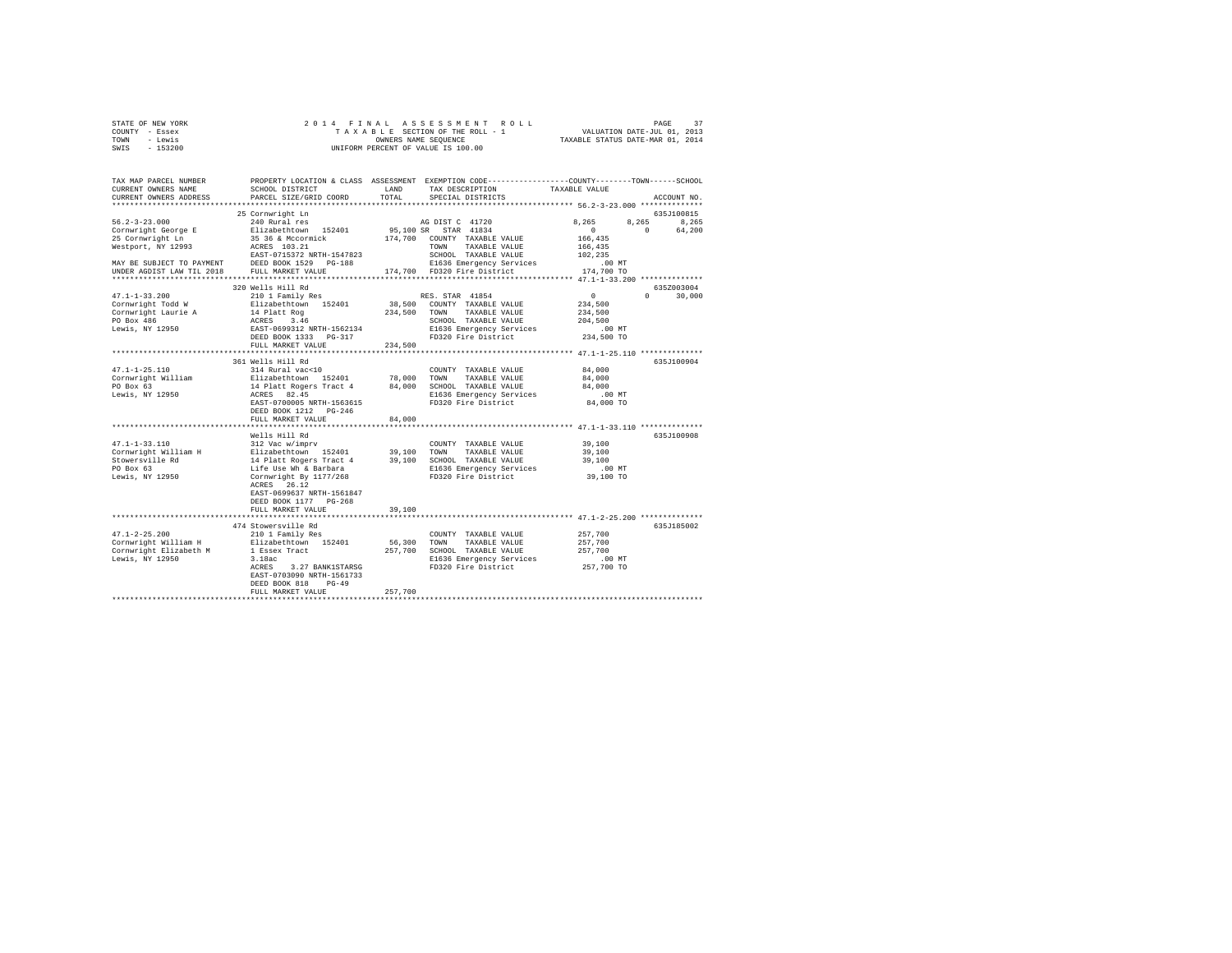| STATE OF NEW YORK |  |  | 2014 FINAL ASSESSMENT ROLL         | PAGE                             | 37 |
|-------------------|--|--|------------------------------------|----------------------------------|----|
| COUNTY - Essex    |  |  | TAXABLE SECTION OF THE ROLL - 1    | VALUATION DATE-JUL 01, 2013      |    |
| TOWN<br>- Lewis   |  |  | OWNERS NAME SEOUENCE               | TAXABLE STATUS DATE-MAR 01, 2014 |    |
| - 153200<br>SWIS  |  |  | UNIFORM PERCENT OF VALUE IS 100.00 |                                  |    |

| TAX MAP PARCEL NUMBER<br>CURRENT OWNERS NAME<br>CURRENT OWNERS ADDRESS                                                                                                      | SCHOOL DISTRICT<br>PARCEL SIZE/GRID COORD                                                                                                                                                                                                                                                                                                                                                                                                           | LAND<br>TOTAL                                       | PROPERTY LOCATION & CLASS ASSESSMENT EXEMPTION CODE----------------COUNTY-------TOWN-----SCHOOL<br>TAX DESCRIPTION<br>SPECIAL DISTRICTS                                                                                                             | TAXABLE VALUE                                                                                                                                                                                        | ACCOUNT NO.                 |
|-----------------------------------------------------------------------------------------------------------------------------------------------------------------------------|-----------------------------------------------------------------------------------------------------------------------------------------------------------------------------------------------------------------------------------------------------------------------------------------------------------------------------------------------------------------------------------------------------------------------------------------------------|-----------------------------------------------------|-----------------------------------------------------------------------------------------------------------------------------------------------------------------------------------------------------------------------------------------------------|------------------------------------------------------------------------------------------------------------------------------------------------------------------------------------------------------|-----------------------------|
|                                                                                                                                                                             | 25 Cornwright Ln                                                                                                                                                                                                                                                                                                                                                                                                                                    |                                                     |                                                                                                                                                                                                                                                     |                                                                                                                                                                                                      | 635J100815                  |
| $56.2 - 3 - 23.000$<br>Cornwright George E<br>25 Cornwright Ln<br>Westport, NY 12993<br>MAY BE SUBJECT TO PAYMENT                                                           | 240 Rural res<br>Elizabethtown 152401<br>35 36 & Mccormick<br>ACRES 103.21<br>EAST-0715372 NRTH-1547823<br>DEED BOOK 1529 PG-188                                                                                                                                                                                                                                                                                                                    | 174,700                                             | AG DIST C 41720<br>95,100 SR STAR 41834<br>COUNTY TAXABLE VALUE<br>TAXABLE VALUE<br>TOWN<br>SCHOOL TAXABLE VALUE<br>E1636 Emergency Services                                                                                                        | 8.265<br>8.265<br>$\Omega$<br>166,435<br>166,435<br>102,235<br>$.00$ MT                                                                                                                              | 8.265<br>$\Omega$<br>64,200 |
| UNDER AGDIST LAW TIL 2018                                                                                                                                                   | FULL MARKET VALUE<br>**************************                                                                                                                                                                                                                                                                                                                                                                                                     |                                                     | 174,700 FD320 Fire District                                                                                                                                                                                                                         | 174,700 TO<br>************** 47.1-1-33.200 **************                                                                                                                                            |                             |
|                                                                                                                                                                             | 320 Wells Hill Rd                                                                                                                                                                                                                                                                                                                                                                                                                                   |                                                     |                                                                                                                                                                                                                                                     |                                                                                                                                                                                                      | 635Z003004                  |
| $47.1 - 1 - 33.200$<br>Cornwright Todd W<br>Cornwright Laurie A<br>PO Box 486<br>Lewis, NY 12950                                                                            | 210 1 Family Res<br>Elizabethtown 152401<br>14 Platt Rog<br>ACRES 3.46<br>EAST-0699312 NRTH-1562134<br>DEED BOOK 1333 PG-317                                                                                                                                                                                                                                                                                                                        |                                                     | RES. STAR 41854<br>38,500 COUNTY TAXABLE VALUE<br>234,500 TOWN TAXABLE VALUE<br>SCHOOL TAXABLE VALUE<br>E1636 Emergency Services<br>FD320 Fire District                                                                                             | $\Omega$<br>234,500<br>234,500<br>204,500<br>.00 MT<br>234,500 TO                                                                                                                                    | $\Omega$<br>30,000          |
|                                                                                                                                                                             | FULL MARKET VALUE                                                                                                                                                                                                                                                                                                                                                                                                                                   | 234,500                                             |                                                                                                                                                                                                                                                     |                                                                                                                                                                                                      |                             |
| $47.1 - 1 - 25.110$<br>Cornwright William<br>PO Box 63<br>Lewis, NY 12950<br>$47.1 - 1 - 33.110$<br>Cornwright William H<br>Stowersville Rd<br>PO Box 63<br>Lewis, NY 12950 | 361 Wells Hill Rd<br>314 Rural vac<10<br>Elizabethtown 152401<br>14 Platt Rogers Tract 4<br>ACRES 82.45<br>EAST-0700005 NRTH-1563615<br>DEED BOOK 1212 PG-246<br>FULL MARKET VALUE<br>Wells Hill Rd<br>312 Vac w/imprv<br>Elizabethtown 152401<br>14 Platt Rogers Tract 4<br>Life Use Wh & Barbara<br>Cornwright By 1177/268<br>ACRES 26.12<br>EAST-0699637 NRTH-1561847<br>DEED BOOK 1177 PG-268<br>FULL MARKET VALUE<br>************************* | 78,000<br>84,000<br>84,000<br>39,100 TOWN<br>39,100 | COUNTY TAXABLE VALUE<br>TOWN<br>TAXABLE VALUE<br>SCHOOL TAXABLE VALUE<br>E1636 Emergency Services<br>FD320 Fire District<br>COUNTY TAXABLE VALUE<br>TAXABLE VALUE<br>39,100 SCHOOL TAXABLE VALUE<br>E1636 Emergency Services<br>FD320 Fire District | 84,000<br>84,000<br>84,000<br>$.00$ MT<br>84,000 TO<br>*********** 47.1-1-33.110 *************<br>39,100<br>39,100<br>39,100<br>.00MT<br>39,100 TO<br>***************** 47.1-2-25.200 ************** | 635J100904<br>635J100908    |
| $47.1 - 2 - 25.200$<br>Cornwright William H<br>Cornwright Elizabeth M<br>Lewis, NY 12950                                                                                    | 474 Stowersville Rd<br>210 1 Family Res<br>Elizabethtown 152401<br>1 Essex Tract<br>3.18ac<br>ACRES<br>3.27 BANK1STARSG<br>EAST-0703090 NRTH-1561733<br>DEED BOOK 818<br>$PG-49$<br>FULL MARKET VALUE                                                                                                                                                                                                                                               | 56,300<br>257,700<br>257,700                        | COUNTY TAXABLE VALUE<br>TOWN TAXABLE VALUE<br>SCHOOL TAXABLE VALUE<br>E1636 Emergency Services<br>FD320 Fire District                                                                                                                               | 257,700<br>257,700<br>257,700<br>.00 MT<br>257,700 TO                                                                                                                                                | 635J185002                  |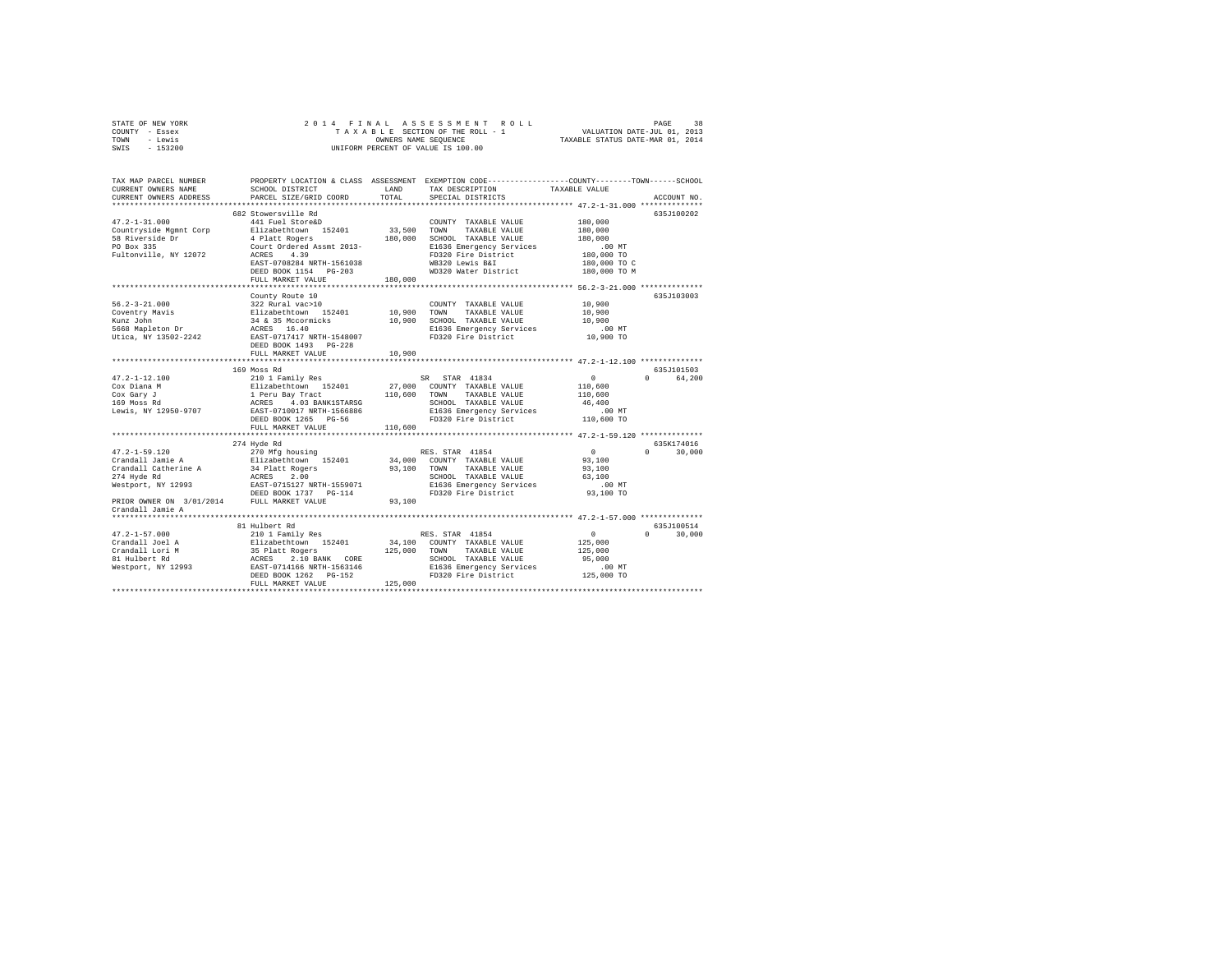|      | STATE OF NEW YORK |  |  | 2014 FINAL ASSESSMENT ROLL         |                                  | PAGE | 38 |
|------|-------------------|--|--|------------------------------------|----------------------------------|------|----|
|      | COUNTY - Essex    |  |  | TAXABLE SECTION OF THE ROLL - 1    | VALUATION DATE-JUL 01, 2013      |      |    |
| TOWN | - Lewis           |  |  | OWNERS NAME SEOUENCE               | TAXABLE STATUS DATE-MAR 01, 2014 |      |    |
| SWIS | - 153200          |  |  | UNIFORM PERCENT OF VALUE IS 100.00 |                                  |      |    |

| TAX MAP PARCEL NUMBER<br>CURRENT OWNERS NAME<br>CURRENT OWNERS ADDRESS | SCHOOL DISTRICT<br>PARCEL SIZE/GRID COORD                                              | LAND<br>TOTAL | PROPERTY LOCATION & CLASS ASSESSMENT EXEMPTION CODE----------------COUNTY-------TOWN-----SCHOOL<br>TAX DESCRIPTION<br>SPECIAL DISTRICTS | TAXABLE VALUE | ACCOUNT NO.                      |
|------------------------------------------------------------------------|----------------------------------------------------------------------------------------|---------------|-----------------------------------------------------------------------------------------------------------------------------------------|---------------|----------------------------------|
|                                                                        |                                                                                        |               |                                                                                                                                         |               |                                  |
|                                                                        | 682 Stowersville Rd                                                                    |               |                                                                                                                                         |               | 635J100202                       |
| $47.2 - 1 - 31.000$                                                    | 441 Fuel Store&D                                                                       |               | COUNTY TAXABLE VALUE                                                                                                                    | 180,000       |                                  |
| Countryside Mgmnt Corp                                                 | Elizabethtown 152401                                                                   | 33,500        | TOWN<br>TAXABLE VALUE                                                                                                                   | 180,000       |                                  |
| 58 Riverside Dr                                                        | 4 Platt Rogers                                                                         | 180,000       | SCHOOL TAXABLE VALUE                                                                                                                    | 180,000       |                                  |
| PO Box 335                                                             | Court Ordered Assmt 2013-                                                              |               | E1636 Emergency Services                                                                                                                | $.00$ MT      |                                  |
| Fultonville, NY 12072                                                  | ACRES<br>4.39                                                                          |               | FD320 Fire District                                                                                                                     | 180,000 TO    |                                  |
|                                                                        | EAST-0708284 NRTH-1561038                                                              |               | WB320 Lewis B&I                                                                                                                         | 180,000 TO C  |                                  |
|                                                                        | DEED BOOK 1154 PG-203                                                                  |               | WD320 Water District                                                                                                                    | 180,000 TO M  |                                  |
|                                                                        | FULL MARKET VALUE                                                                      | 180,000       |                                                                                                                                         |               |                                  |
|                                                                        | ***************************                                                            |               | ******************************* 56.2-3-21.000 *************                                                                             |               |                                  |
|                                                                        | County Route 10                                                                        |               |                                                                                                                                         |               | 635J103003                       |
| $56.2 - 3 - 21.000$                                                    | 322 Rural vac>10                                                                       |               | COUNTY TAXABLE VALUE                                                                                                                    | 10,900        |                                  |
| Coventry Mavis                                                         | Elizabethtown 152401                                                                   | 10,900        | TAXABLE VALUE<br>TOWN                                                                                                                   | 10,900        |                                  |
| Kunz John<br>5668 Mapleton Dr                                          | 34 & 35 Mccormicks<br>ACRES 16.40                                                      | 10,900        | SCHOOL TAXABLE VALUE                                                                                                                    | 10,900        |                                  |
|                                                                        |                                                                                        |               | E1636 Emergency Services                                                                                                                | .00 MT        |                                  |
| Utica, NY 13502-2242                                                   | EAST-0717417 NRTH-1548007                                                              |               | FD320 Fire District                                                                                                                     | 10,900 TO     |                                  |
|                                                                        | DEED BOOK 1493 PG-228                                                                  |               |                                                                                                                                         |               |                                  |
|                                                                        | FULL MARKET VALUE<br>*******************************                                   | 10,900        |                                                                                                                                         |               |                                  |
|                                                                        |                                                                                        |               |                                                                                                                                         |               |                                  |
| $47.2 - 1 - 12.100$                                                    | 169 Moss Rd<br>210 1 Family Res                                                        |               | SR STAR 41834                                                                                                                           | 0             | 635J101503<br>$\Omega$<br>64,200 |
| Cox Diana M                                                            |                                                                                        |               | 27,000 COUNTY TAXABLE VALUE                                                                                                             | 110,600       |                                  |
| Cox Gary J                                                             | 210 1 Family Res<br>Elizabethtown 152401<br>1 Peru Bay Tract<br>ACRES 4.03 BANK1STARSG | 110,600       | TAXABLE VALUE<br>TOWN                                                                                                                   | 110,600       |                                  |
| 169 Moss Rd                                                            |                                                                                        |               | SCHOOL TAXABLE VALUE                                                                                                                    | 46,400        |                                  |
| Lewis, NY 12950-9707                                                   | EAST-0710017 NRTH-1566886                                                              |               | E1636 Emergency Services                                                                                                                | .00 MT        |                                  |
|                                                                        | DEED BOOK 1265 PG-56                                                                   |               | FD320 Fire District                                                                                                                     | 110,600 TO    |                                  |
|                                                                        | FULL MARKET VALUE                                                                      | 110,600       |                                                                                                                                         |               |                                  |
|                                                                        |                                                                                        |               |                                                                                                                                         |               |                                  |
|                                                                        | 274 Hyde Rd                                                                            |               |                                                                                                                                         |               | 635K174016                       |
| $47.2 - 1 - 59.120$                                                    |                                                                                        |               | RES. STAR 41854                                                                                                                         | $\circ$       | $\Omega$<br>30,000               |
| Crandall Jamie A                                                       | 270 Mfg housing<br>Elizabethtown 152401                                                |               | 34,000 COUNTY TAXABLE VALUE                                                                                                             | 93,100        |                                  |
| Crandall Catherine A                                                   |                                                                                        | 93,100        | TOWN<br>TAXABLE VALUE                                                                                                                   | 93,100        |                                  |
| 274 Hyde Rd                                                            | 34 Platt Rogers<br>ACRES 2.00                                                          |               | SCHOOL TAXABLE VALUE                                                                                                                    | 63,100        |                                  |
|                                                                        |                                                                                        |               | E1636 Emergency Services<br>FD320 Fire District                                                                                         | $.00$ MT      |                                  |
|                                                                        |                                                                                        |               |                                                                                                                                         | 93,100 TO     |                                  |
|                                                                        |                                                                                        | 93,100        |                                                                                                                                         |               |                                  |
| Crandall Jamie A                                                       |                                                                                        |               |                                                                                                                                         |               |                                  |
|                                                                        |                                                                                        |               |                                                                                                                                         |               |                                  |
|                                                                        | 81 Hulbert Rd                                                                          |               |                                                                                                                                         |               | 635J100514                       |
| $47.2 - 1 - 57.000$                                                    | 210 1 Family Res                                                                       |               | RES. STAR 41854                                                                                                                         | $\circ$       | $\Omega$<br>30,000               |
| Crandall Joel A                                                        | Elizabethtown 152401                                                                   |               | 34,100 COUNTY TAXABLE VALUE                                                                                                             | 125,000       |                                  |
| Crandall Lori M                                                        | 35 Platt Rogers<br>ACRES 2.10 BANK CORE<br>EAST-0714166 NRTH-1563146                   | 125,000 TOWN  | TAXABLE VALUE                                                                                                                           | 125,000       |                                  |
| 81 Hulbert Rd                                                          |                                                                                        |               | SCHOOL TAXABLE VALUE                                                                                                                    | 95,000        |                                  |
| Westport, NY 12993                                                     |                                                                                        |               | E1636 Emergency Services                                                                                                                | $.00$ MT      |                                  |
|                                                                        | DEED BOOK 1262 PG-152                                                                  |               | FD320 Fire District                                                                                                                     | 125,000 TO    |                                  |
|                                                                        | FULL MARKET VALUE                                                                      | 125,000       |                                                                                                                                         |               |                                  |
|                                                                        |                                                                                        |               |                                                                                                                                         |               |                                  |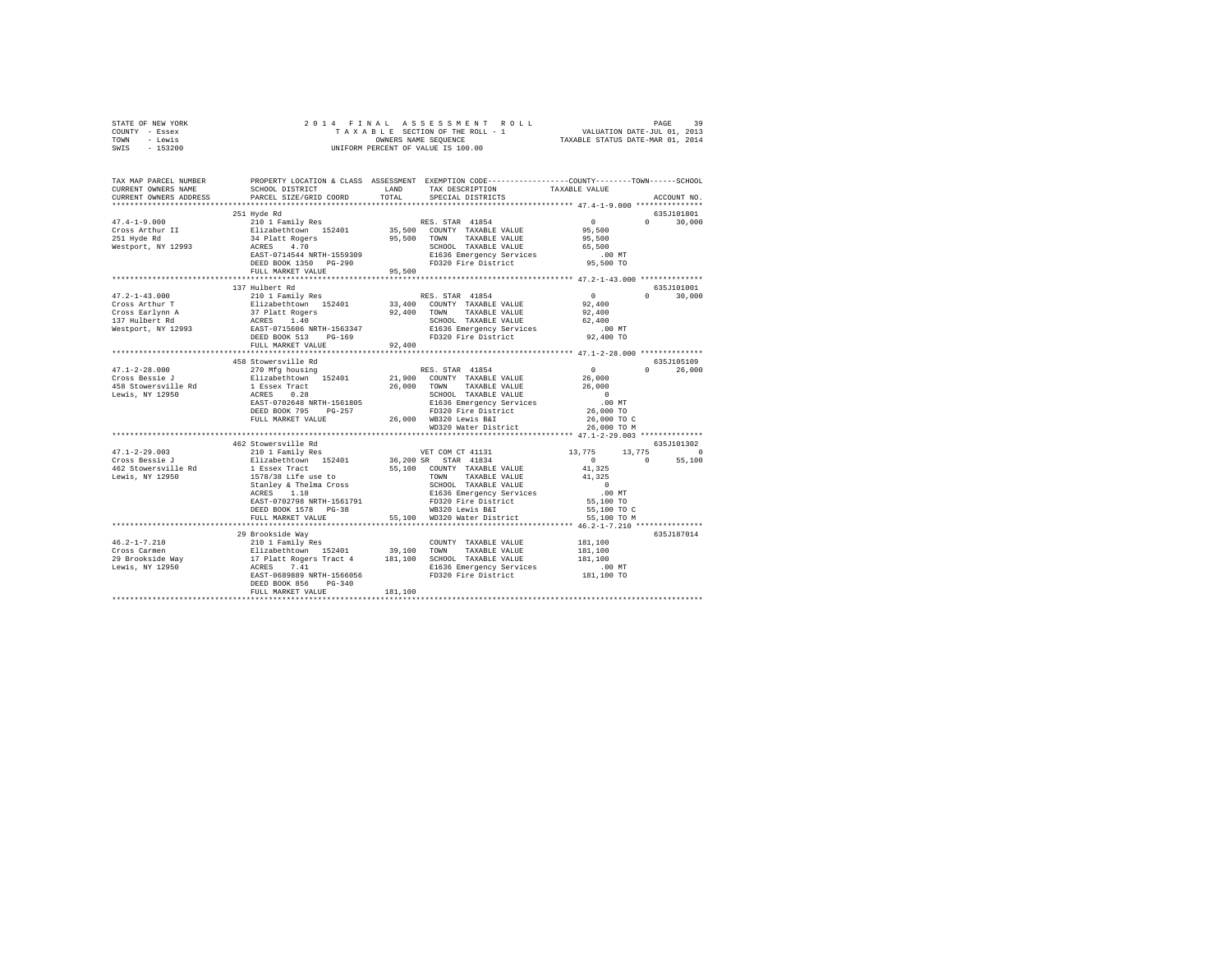| STATE OF NEW YORK                                                                                                                     |                        |         |                                                   |                                                        |               |
|---------------------------------------------------------------------------------------------------------------------------------------|------------------------|---------|---------------------------------------------------|--------------------------------------------------------|---------------|
| COUNTY - Essex                                                                                                                        |                        |         |                                                   |                                                        |               |
| TOWN - Lewis                                                                                                                          |                        |         |                                                   |                                                        |               |
| SWIS - 153200                                                                                                                         |                        |         |                                                   |                                                        |               |
|                                                                                                                                       |                        |         |                                                   |                                                        |               |
|                                                                                                                                       |                        |         |                                                   |                                                        |               |
|                                                                                                                                       |                        |         |                                                   |                                                        |               |
| TAX MAR PARCEL MUMBER PROPERTY LOCATION & CLASS ASSESSMENT EXEMPTION CODE-----------------OUNTY---------------<br>CURPENT ORNERS NAME |                        |         |                                                   |                                                        |               |
| CURRENT OWNERS NAME                                                                                                                   | SCHOOL DISTRICT LAND   |         | TAX DESCRIPTION TAXABLE VALUE                     |                                                        |               |
| CURRENT OWNERS ADDRESS                                                                                                                | PARCEL SIZE/GRID COORD | TOTAL   | SPECIAL DISTRICTS                                 |                                                        | ACCOUNT NO.   |
|                                                                                                                                       |                        |         |                                                   |                                                        |               |
|                                                                                                                                       | 251 Hyde Rd            |         |                                                   |                                                        | 635J101801    |
|                                                                                                                                       |                        |         |                                                   |                                                        |               |
| $47.4 - 1 - 9.000$                                                                                                                    |                        |         |                                                   |                                                        | $0 \t 30.000$ |
|                                                                                                                                       |                        |         |                                                   |                                                        |               |
|                                                                                                                                       |                        |         |                                                   |                                                        |               |
| Cross Arthur II<br>251 Hyde Rd<br>Westport, NY 12993                                                                                  |                        |         |                                                   |                                                        |               |
|                                                                                                                                       |                        |         |                                                   |                                                        |               |
|                                                                                                                                       |                        |         |                                                   |                                                        |               |
|                                                                                                                                       |                        |         |                                                   |                                                        |               |
|                                                                                                                                       |                        |         |                                                   |                                                        |               |
|                                                                                                                                       | 137 Hulbert Rd         |         |                                                   |                                                        | 635J101001    |
|                                                                                                                                       |                        |         |                                                   | $\sim$ 0                                               | $0 \t 30,000$ |
|                                                                                                                                       |                        |         |                                                   |                                                        |               |
|                                                                                                                                       |                        |         |                                                   |                                                        |               |
|                                                                                                                                       |                        |         |                                                   |                                                        |               |
|                                                                                                                                       |                        |         |                                                   |                                                        |               |
|                                                                                                                                       |                        |         |                                                   | .00 MT                                                 |               |
|                                                                                                                                       |                        |         |                                                   | 92,400 TO                                              |               |
|                                                                                                                                       |                        |         |                                                   |                                                        |               |
|                                                                                                                                       |                        |         |                                                   |                                                        |               |
|                                                                                                                                       |                        |         |                                                   |                                                        | 635J105109    |
| $47.1 - 2 - 28.000$                                                                                                                   |                        |         |                                                   |                                                        | $0 \t 26,000$ |
|                                                                                                                                       |                        |         |                                                   |                                                        |               |
|                                                                                                                                       |                        |         |                                                   |                                                        |               |
|                                                                                                                                       |                        |         |                                                   |                                                        |               |
|                                                                                                                                       |                        |         |                                                   |                                                        |               |
|                                                                                                                                       |                        |         |                                                   |                                                        |               |
|                                                                                                                                       |                        |         |                                                   |                                                        |               |
|                                                                                                                                       |                        |         |                                                   |                                                        |               |
|                                                                                                                                       |                        |         |                                                   |                                                        |               |
|                                                                                                                                       |                        |         |                                                   |                                                        |               |
|                                                                                                                                       | 462 Stowersville Rd    |         |                                                   |                                                        | 635J101302    |
| 47.1-2-29.003<br>Cross Bessie J                                                                                                       | 210 1 Family Res       |         | VET COM CT 41131 13,775<br>36,200 SR STAR 41834 0 |                                                        | 13,775 0      |
|                                                                                                                                       | Elizabethtown 152401   |         |                                                   | $\begin{array}{ccc} & & & 0 & \quad & & 0 \end{array}$ | 55,100        |
|                                                                                                                                       |                        |         |                                                   |                                                        |               |
| 462 Stowersville Rd<br>Lewis, NY 12950                                                                                                |                        |         |                                                   |                                                        |               |
|                                                                                                                                       |                        |         |                                                   |                                                        |               |
|                                                                                                                                       |                        |         |                                                   |                                                        |               |
|                                                                                                                                       |                        |         |                                                   |                                                        |               |
|                                                                                                                                       |                        |         |                                                   |                                                        |               |
|                                                                                                                                       |                        |         |                                                   |                                                        |               |
|                                                                                                                                       |                        |         |                                                   |                                                        |               |
|                                                                                                                                       |                        |         |                                                   |                                                        |               |
|                                                                                                                                       | 29 Brookside Way       |         |                                                   |                                                        | 635J187014    |
|                                                                                                                                       |                        |         | COUNTY TAXABLE VALUE 181,100                      |                                                        |               |
|                                                                                                                                       |                        |         |                                                   | 181,100                                                |               |
|                                                                                                                                       |                        |         |                                                   | 181,100                                                |               |
|                                                                                                                                       |                        |         |                                                   |                                                        |               |
|                                                                                                                                       |                        |         |                                                   | .00 MT<br>181,100 TO                                   |               |
|                                                                                                                                       |                        |         |                                                   |                                                        |               |
|                                                                                                                                       | DEED BOOK 856 PG-340   |         |                                                   |                                                        |               |
|                                                                                                                                       | FULL MARKET VALUE      | 181,100 |                                                   |                                                        |               |
|                                                                                                                                       |                        |         |                                                   |                                                        |               |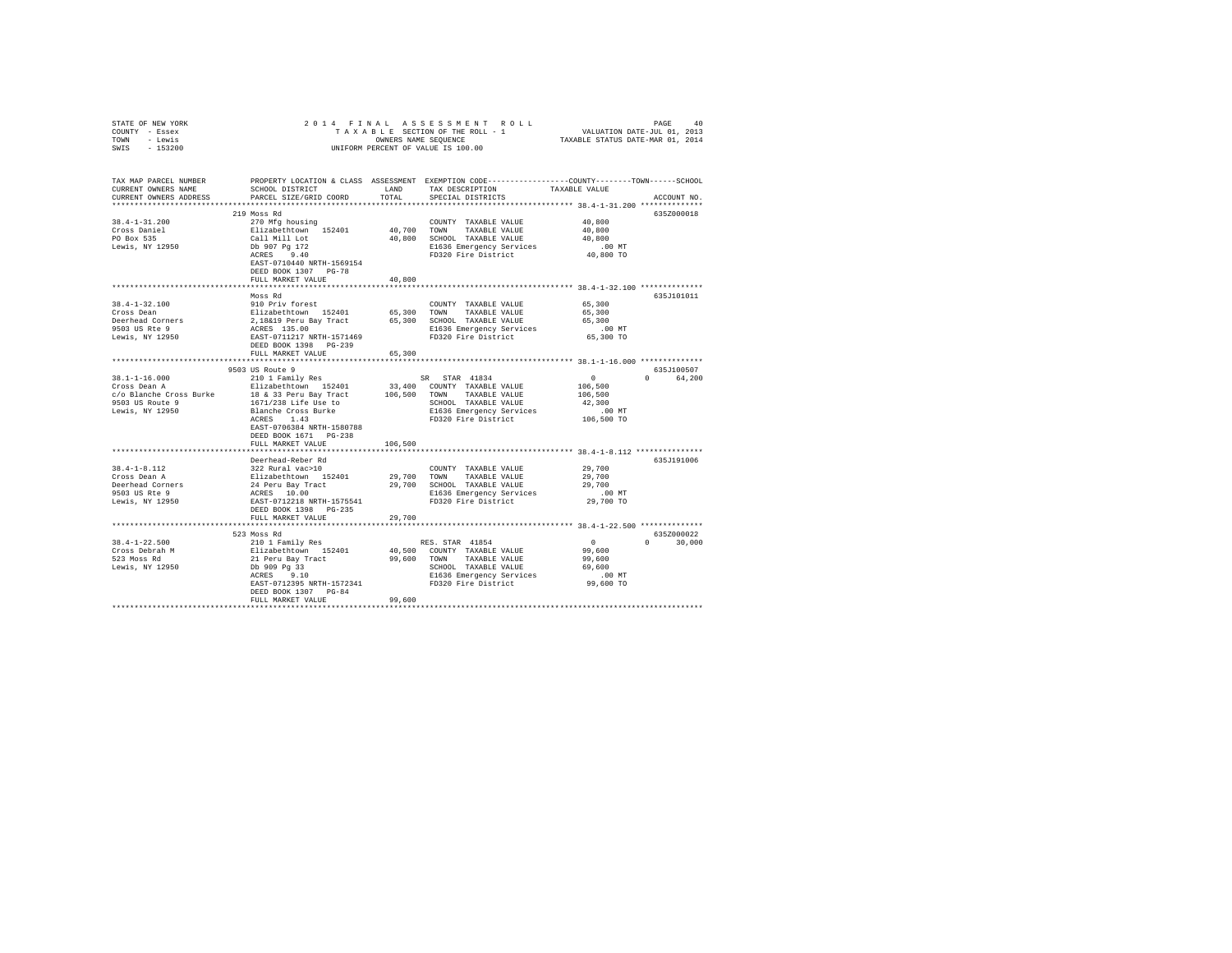| STATE OF NEW YORK                                    |                                                                                                                                                                                                                                            |                |                                                                                                                                                                          |                                                     |               |
|------------------------------------------------------|--------------------------------------------------------------------------------------------------------------------------------------------------------------------------------------------------------------------------------------------|----------------|--------------------------------------------------------------------------------------------------------------------------------------------------------------------------|-----------------------------------------------------|---------------|
| COUNTY - Essex                                       |                                                                                                                                                                                                                                            |                |                                                                                                                                                                          |                                                     |               |
| TOWN - Lewis                                         |                                                                                                                                                                                                                                            |                |                                                                                                                                                                          |                                                     |               |
| SWIS - 153200                                        |                                                                                                                                                                                                                                            |                |                                                                                                                                                                          |                                                     |               |
|                                                      |                                                                                                                                                                                                                                            |                |                                                                                                                                                                          |                                                     |               |
|                                                      |                                                                                                                                                                                                                                            |                |                                                                                                                                                                          |                                                     |               |
| TAX MAP PARCEL NUMBER                                |                                                                                                                                                                                                                                            |                | PROPERTY LOCATION & CLASS ASSESSMENT EXEMPTION CODE---------------COUNTY-------TOWN------SCHOOL                                                                          |                                                     |               |
| CURRENT OWNERS NAME                                  | SCHOOL DISTRICT                                                                                                                                                                                                                            | LAND           | TAX DESCRIPTION                                                                                                                                                          | TAXABLE VALUE                                       |               |
| CURRENT OWNERS ADDRESS                               | PARCEL SIZE/GRID COORD                                                                                                                                                                                                                     | TOTAL          | SPECIAL DISTRICTS                                                                                                                                                        |                                                     | ACCOUNT NO.   |
|                                                      |                                                                                                                                                                                                                                            |                |                                                                                                                                                                          |                                                     |               |
|                                                      | 219 Moss Rd                                                                                                                                                                                                                                |                |                                                                                                                                                                          |                                                     | 635Z000018    |
| $38.4 - 1 - 31.200$                                  | 270 Mfg housing                                                                                                                                                                                                                            |                | COUNTY TAXABLE VALUE                                                                                                                                                     | 40,800                                              |               |
| Cross Daniel                                         |                                                                                                                                                                                                                                            |                | 40,700 TOWN TAXABLE VALUE                                                                                                                                                | 40,800                                              |               |
| PO Box 535                                           | Elizabethtown 152401<br>Call Mill Lot<br>Db 907 Pg 172<br>ACRES 9.40                                                                                                                                                                       |                | 40,800 SCHOOL TAXABLE VALUE                                                                                                                                              | 40,800                                              |               |
| Lewis, NY 12950                                      |                                                                                                                                                                                                                                            |                |                                                                                                                                                                          | .00 MT<br>40,800 TO                                 |               |
|                                                      |                                                                                                                                                                                                                                            |                | E1636 Emergency Services<br>FD320 Fire District                                                                                                                          |                                                     |               |
|                                                      | EAST-0710440 NRTH-1569154                                                                                                                                                                                                                  |                |                                                                                                                                                                          |                                                     |               |
|                                                      | DEED BOOK 1307 PG-78                                                                                                                                                                                                                       |                |                                                                                                                                                                          |                                                     |               |
|                                                      | FULL MARKET VALUE                                                                                                                                                                                                                          | 40,800         |                                                                                                                                                                          |                                                     |               |
|                                                      |                                                                                                                                                                                                                                            | ************** |                                                                                                                                                                          |                                                     |               |
|                                                      | Moss Rd                                                                                                                                                                                                                                    |                |                                                                                                                                                                          |                                                     | 635J101011    |
|                                                      |                                                                                                                                                                                                                                            |                |                                                                                                                                                                          | 65,300                                              |               |
| 38.4-1-32.100                                        | 910 Priv forest                                                                                                                                                                                                                            |                | COUNTY TAXABLE VALUE                                                                                                                                                     |                                                     |               |
| Cross Dean                                           |                                                                                                                                                                                                                                            |                |                                                                                                                                                                          | 65,300                                              |               |
|                                                      | Elizabethtown 152401 65,300 TOWN TAXABLE VALUE<br>2,18&19 Peru Bay Tract 65,300 SCHOOL TAXABLE VALUE<br>ACRES 135.00 E1636 EAST-0711217 NETH-1571469 E1636 EMETGency Services                                                              |                |                                                                                                                                                                          | 65,300                                              |               |
|                                                      |                                                                                                                                                                                                                                            |                |                                                                                                                                                                          | $.00$ MT                                            |               |
| Deerhead Corners<br>9503 US Rte 9<br>Lewis, NY 12950 |                                                                                                                                                                                                                                            |                | E1636 Emergency Services<br>FD320 Fire District                                                                                                                          | 65,300 TO                                           |               |
|                                                      | DEED BOOK 1398 PG-239                                                                                                                                                                                                                      |                |                                                                                                                                                                          |                                                     |               |
|                                                      | FULL MARKET VALUE                                                                                                                                                                                                                          | 65,300         |                                                                                                                                                                          |                                                     |               |
|                                                      |                                                                                                                                                                                                                                            |                |                                                                                                                                                                          | ********************** 38.1-1-16.000 ************** |               |
|                                                      | 9503 US Route 9                                                                                                                                                                                                                            |                |                                                                                                                                                                          |                                                     | 635J100507    |
| 38.1-1-16.000<br>Cross Dean A                        | 210 1 Family Res                                                                                                                                                                                                                           |                | SR STAR 41834                                                                                                                                                            | $\begin{smallmatrix}&&0\0&106\end{smallmatrix}$     | 0 64,200      |
|                                                      | Elizabethtown 152401 33,400 COUNTY TAXABLE VALUE                                                                                                                                                                                           |                |                                                                                                                                                                          |                                                     |               |
| c/o Blanche Cross Burke                              |                                                                                                                                                                                                                                            |                | 106,500 TOWN TAXABLE VALUE                                                                                                                                               | 106,500                                             |               |
| 9503 US Route 9                                      |                                                                                                                                                                                                                                            |                |                                                                                                                                                                          | 42,300                                              |               |
| Lewis, NY 12950                                      | 18 & 33 Peru Bay Tract<br>1671/238 Life Use to<br>Blanche Cross Burke<br>ACRES 1.43                                                                                                                                                        |                | SCHOOL TAXABLE VALUE<br>E1636 Emergency Services                                                                                                                         | $.00$ MT                                            |               |
|                                                      |                                                                                                                                                                                                                                            |                | FD320 Fire District                                                                                                                                                      | 106,500 TO                                          |               |
|                                                      | EAST-0706384 NRTH-1580788                                                                                                                                                                                                                  |                |                                                                                                                                                                          |                                                     |               |
|                                                      | DEED BOOK 1671 PG-238                                                                                                                                                                                                                      |                |                                                                                                                                                                          |                                                     |               |
|                                                      | FULL MARKET VALUE                                                                                                                                                                                                                          | 106,500        |                                                                                                                                                                          |                                                     |               |
|                                                      |                                                                                                                                                                                                                                            |                |                                                                                                                                                                          |                                                     |               |
|                                                      |                                                                                                                                                                                                                                            |                |                                                                                                                                                                          |                                                     |               |
|                                                      | Deerhead-Reber Rd                                                                                                                                                                                                                          |                |                                                                                                                                                                          |                                                     | 635J191006    |
| $38.4 - 1 - 8.112$                                   | 322 Rural vac>10                                                                                                                                                                                                                           |                | COUNTY TAXABLE VALUE                                                                                                                                                     | 29,700                                              |               |
| 38.4-1-8.112<br>Cross Dean A<br>Deerhead Corners     |                                                                                                                                                                                                                                            |                |                                                                                                                                                                          | 29,700                                              |               |
|                                                      | Prizabethtown 152401 29,700 TOWN TAXABLE VALUE<br>24 Peru Bay Tract 29,700 SCHOOL TAXABLE VALUE<br>24 Peru Bay Tract 29,700 SCHOOL TAXABLE VALUE<br>26 RATES 10.00 B1636 Emergency Services<br>26 RAST-0712218 NRTH-1575541 PD320 Fire Dis |                |                                                                                                                                                                          | 29,700                                              |               |
| 9503 US Rte 9                                        |                                                                                                                                                                                                                                            |                | E1636 Emergency Services<br>FD320 Fire District                                                                                                                          | $.00$ MT                                            |               |
| Lewis, NY 12950                                      |                                                                                                                                                                                                                                            |                |                                                                                                                                                                          | 29,700 TO                                           |               |
|                                                      | DEED BOOK 1398 PG-235                                                                                                                                                                                                                      |                |                                                                                                                                                                          |                                                     |               |
|                                                      | FULL MARKET VALUE                                                                                                                                                                                                                          | 29,700         |                                                                                                                                                                          |                                                     |               |
|                                                      |                                                                                                                                                                                                                                            |                |                                                                                                                                                                          |                                                     |               |
|                                                      | 523 Moss Rd                                                                                                                                                                                                                                |                |                                                                                                                                                                          |                                                     | 635Z000022    |
| $38.4 - 1 - 22.500$                                  |                                                                                                                                                                                                                                            |                | RES. STAR 41854                                                                                                                                                          | $\sim$ 0                                            | $0 \t 30,000$ |
| Cross Debrah M                                       |                                                                                                                                                                                                                                            |                | 40,500 COUNTY TAXABLE VALUE                                                                                                                                              | 99.600                                              |               |
| 523 Moss Rd                                          |                                                                                                                                                                                                                                            |                |                                                                                                                                                                          | 99,600                                              |               |
| Lewis, NY 12950                                      |                                                                                                                                                                                                                                            |                | 21 Peru Bay Tract 39,600 TOWN TAXABLE VALUE<br>Db 909 33<br>Db 909 33<br>SCHOOL TAXABLE VALUE<br>RATE-0712395 NRTH-1572341 PD320 Fire District FAST-0712395 NRTH-1572341 | 69,600                                              |               |
|                                                      |                                                                                                                                                                                                                                            |                |                                                                                                                                                                          |                                                     |               |
|                                                      |                                                                                                                                                                                                                                            |                |                                                                                                                                                                          | MT.<br>99,600 TO                                    |               |
|                                                      | DEED BOOK 1307 PG-84                                                                                                                                                                                                                       |                |                                                                                                                                                                          |                                                     |               |
|                                                      | FULL MARKET VALUE                                                                                                                                                                                                                          | 99,600         |                                                                                                                                                                          |                                                     |               |
|                                                      |                                                                                                                                                                                                                                            |                |                                                                                                                                                                          |                                                     |               |
|                                                      |                                                                                                                                                                                                                                            |                |                                                                                                                                                                          |                                                     |               |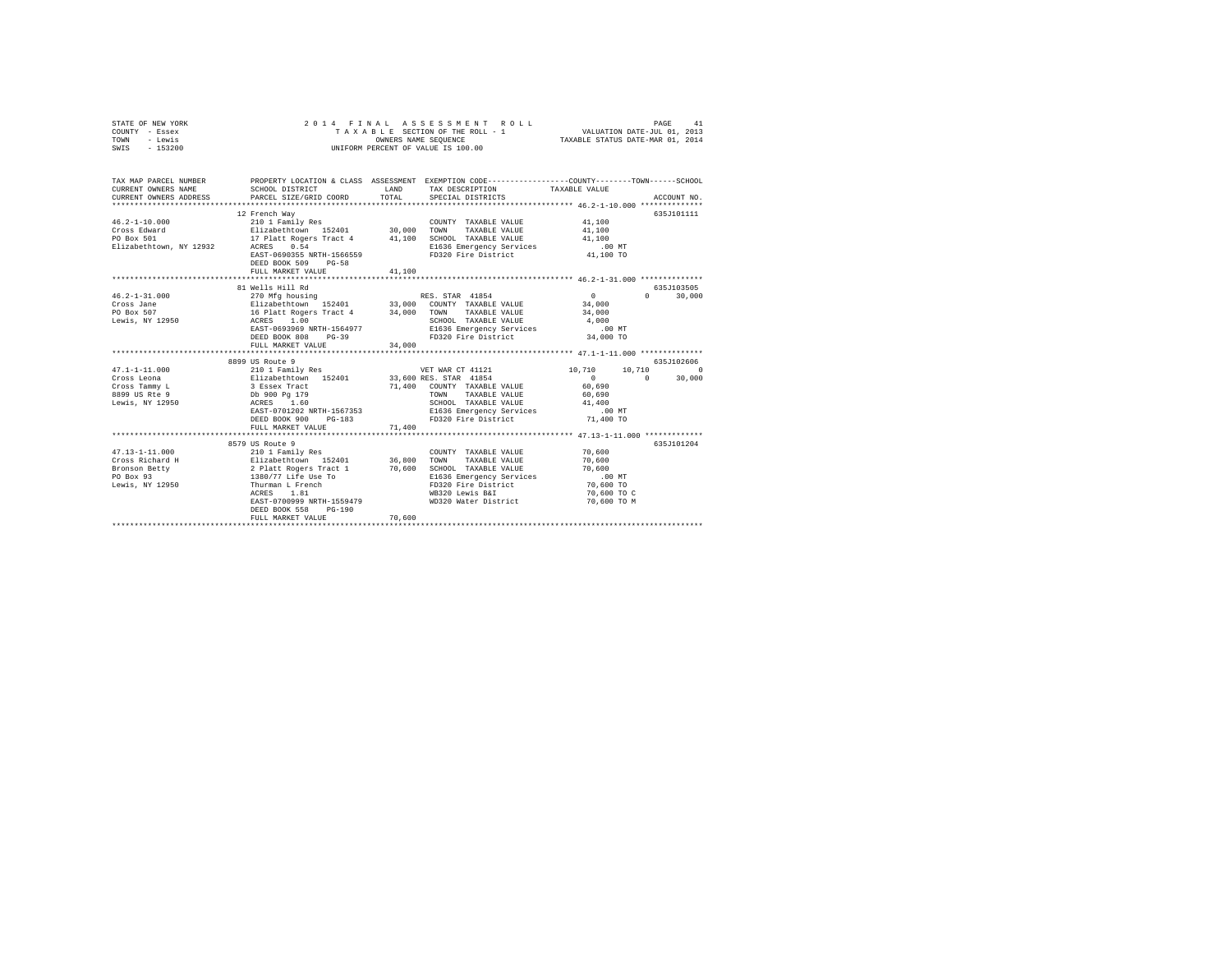| STATE OF NEW YORK | 2014 FINAL ASSESSMENT ROLL         | 41<br>PAGE                       |
|-------------------|------------------------------------|----------------------------------|
| COUNTY - Essex    | TAXABLE SECTION OF THE ROLL - 1    | VALUATION DATE-JUL 01, 2013      |
| TOWN<br>- Lewis   | OWNERS NAME SEOUENCE               | TAXABLE STATUS DATE-MAR 01, 2014 |
| $-153200$<br>SWIS | UNIFORM PERCENT OF VALUE IS 100.00 |                                  |

| TAX MAP PARCEL NUMBER<br>CURRENT OWNERS ADDRESS PARCEL SIZE/GRIT<br>SCHOOL DISTRICT CONNERS ADDRESS PARCEL SIZE/GRIT | PROPERTY LOCATION & CLASS ASSESSMENT EXEMPTION CODE----------------COUNTY-------TOWN-----SCHOOL<br>PARCEL SIZE/GRID COORD | LAND<br>TOTAL | TAX DESCRIPTION TAXABLE VALUE<br>SPECIAL DISTRICTS                                                |               | ACCOUNT NO.            |
|----------------------------------------------------------------------------------------------------------------------|---------------------------------------------------------------------------------------------------------------------------|---------------|---------------------------------------------------------------------------------------------------|---------------|------------------------|
|                                                                                                                      |                                                                                                                           |               |                                                                                                   |               |                        |
|                                                                                                                      | 12 French Way                                                                                                             |               |                                                                                                   |               | 635J101111             |
| $46.2 - 1 - 10.000$                                                                                                  |                                                                                                                           |               | COUNTY TAXABLE VALUE                                                                              | 41,100        |                        |
| Cross Edward                                                                                                         |                                                                                                                           |               |                                                                                                   | 41,100        |                        |
| PO Box 501                                                                                                           |                                                                                                                           |               | SCHOOL TAXABLE VALUE 41,100                                                                       |               |                        |
| Elizabethtown, NY 12932 ACRES                                                                                        | 0.54                                                                                                                      |               | E1636 Emergency Services .00 MT                                                                   |               |                        |
|                                                                                                                      | EAST-0690355 NRTH-1566559<br>DEED BOOK 509<br>$PG-58$                                                                     |               | FD320 Fire District                                                                               | 41,100 TO     |                        |
|                                                                                                                      | FULL MARKET VALUE                                                                                                         | 41,100        |                                                                                                   |               |                        |
|                                                                                                                      |                                                                                                                           |               |                                                                                                   |               |                        |
|                                                                                                                      | 81 Wells Hill Rd                                                                                                          |               |                                                                                                   |               | 635J103505             |
| $46.2 - 1 - 31.000$                                                                                                  | 270 Mfg housing 30 RES. STAR 41854                                                                                        |               |                                                                                                   | $\mathbf{0}$  | $\Omega$<br>30,000     |
| Cross Jane                                                                                                           |                                                                                                                           |               |                                                                                                   |               |                        |
|                                                                                                                      |                                                                                                                           |               |                                                                                                   |               |                        |
| PO Box 507<br>Lewis, NY 12950                                                                                        |                                                                                                                           |               | SCHOOL TAXABLE VALUE 4,000<br>E1636 Emergency Services .00 MT                                     |               |                        |
|                                                                                                                      | EAST-0693969 NRTH-1564977                                                                                                 |               |                                                                                                   |               |                        |
|                                                                                                                      | DEED BOOK 808<br>$PG-39$                                                                                                  |               | FD320 Fire District 34,000 TO                                                                     |               |                        |
|                                                                                                                      | FULL MARKET VALUE                                                                                                         | 34,000        |                                                                                                   |               |                        |
|                                                                                                                      |                                                                                                                           |               |                                                                                                   |               |                        |
|                                                                                                                      | 8899 US Route 9                                                                                                           |               |                                                                                                   |               | 635J102606             |
| $47.1 - 1 - 11.000$                                                                                                  | 210 1 Family Res VET WAR CT 41121<br>Elizabethtown 152401 33,600 RES. STAR 41854<br>3 Essex Tract 21,400 COUNTY TAXARLE   |               | VET WAR CT 41121                                                                                  | 10,710 10,710 | $\sim$                 |
| Cross Leona                                                                                                          |                                                                                                                           |               |                                                                                                   | $\sim$ 0      | $\mathbf{0}$<br>30,000 |
| Cross Tammy L                                                                                                        |                                                                                                                           |               | 71,400 COUNTY TAXABLE VALUE                                                                       | 60,690        |                        |
| Db 900 Pg 179<br>50 ACRES 1.60<br>8899 US Rte 9                                                                      |                                                                                                                           |               | TOWN<br>TAXABLE VALUE 60.690                                                                      |               |                        |
| Lewis, NY 12950                                                                                                      |                                                                                                                           |               |                                                                                                   |               |                        |
|                                                                                                                      | EAST-0701202 NRTH-1567353                                                                                                 |               | SCHOOL TAXABLE VALUE $41,400$<br>E1636 Emergency Services .00 MT<br>FD320 Fire District 71,400 TO |               |                        |
|                                                                                                                      | $PG-183$<br>DEED BOOK 900                                                                                                 |               |                                                                                                   |               |                        |
|                                                                                                                      | FULL MARKET VALUE                                                                                                         | 71,400        |                                                                                                   |               |                        |
|                                                                                                                      |                                                                                                                           |               |                                                                                                   |               |                        |
|                                                                                                                      | 8579 US Route 9                                                                                                           |               |                                                                                                   |               | 635J101204             |
| $47.13 - 1 - 11.000$                                                                                                 | 210 1 Family Res                                                                                                          |               | COUNTY TAXABLE VALUE 70.600                                                                       |               |                        |
|                                                                                                                      |                                                                                                                           |               | TOWN TAXABLE VALUE                                                                                | 70,600        |                        |
|                                                                                                                      |                                                                                                                           |               | SCHOOL TAXABLE VALUE<br>E1636 Emergency Services                                                  | 70,600        |                        |
|                                                                                                                      |                                                                                                                           |               | FD320 Fire District 70,600 TO                                                                     | .00 MT        |                        |
| Lewis, NY 12950                                                                                                      | Thurman L French                                                                                                          |               |                                                                                                   |               |                        |
|                                                                                                                      | ACRES 1.81                                                                                                                |               | WB320 Lewis B&I                                                                                   | 70,600 TO C   |                        |
|                                                                                                                      | EAST-0700999 NRTH-1559479<br>DEED BOOK 558<br>$PG-190$                                                                    |               | WD320 Water District                                                                              | 70,600 TO M   |                        |
|                                                                                                                      | FULL MARKET VALUE                                                                                                         | 70,600        |                                                                                                   |               |                        |
|                                                                                                                      |                                                                                                                           |               |                                                                                                   |               |                        |
|                                                                                                                      |                                                                                                                           |               |                                                                                                   |               |                        |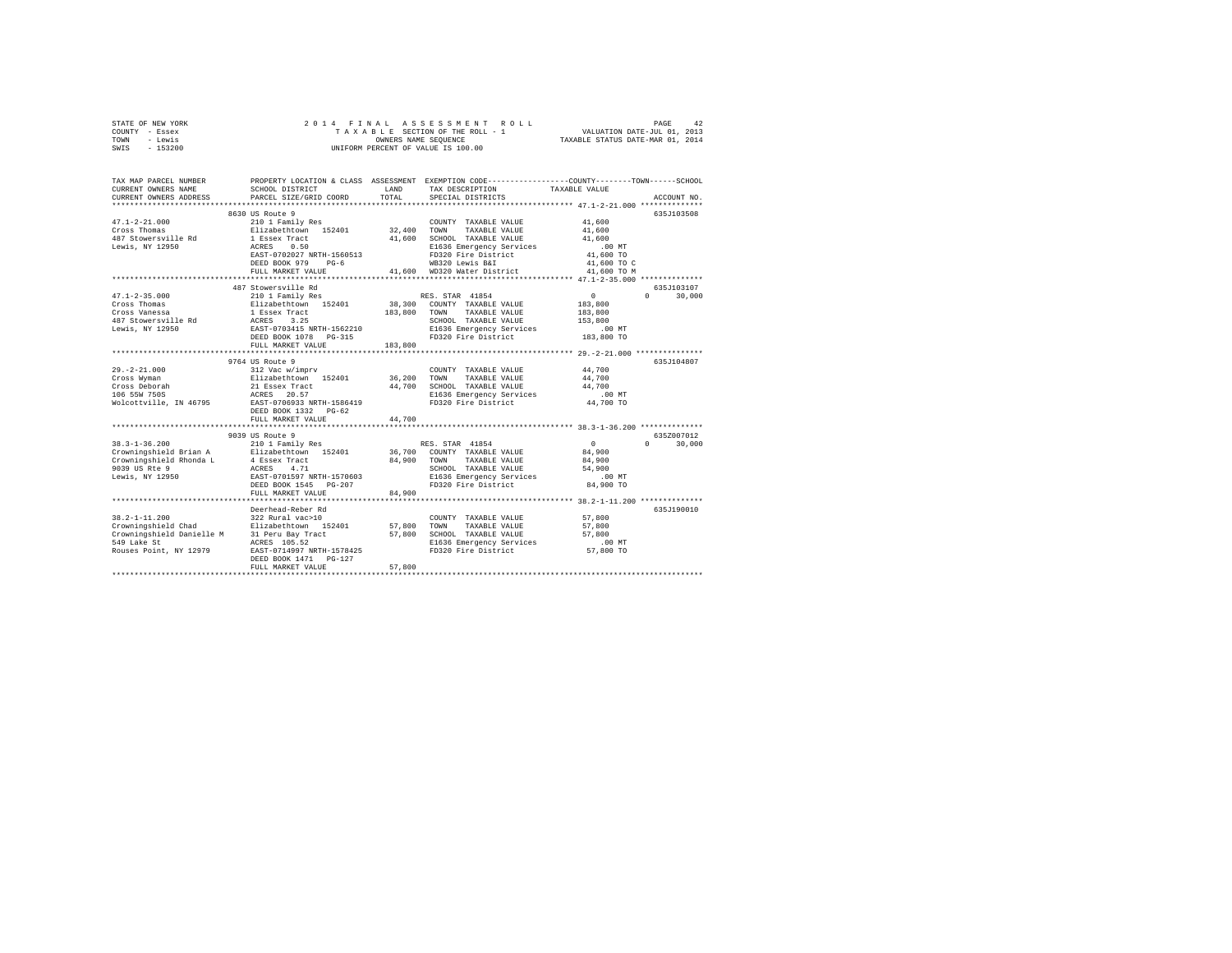| STATE OF NEW YORK | 2014 FINAL ASSESSMENT ROLL         | 42<br>PAGE                       |
|-------------------|------------------------------------|----------------------------------|
| - Essex<br>COUNTY | TAXABLE SECTION OF THE ROLL - 1    | VALUATION DATE-JUL 01, 2013      |
| - Lewis<br>TOWN   | OWNERS NAME SEOUENCE               | TAXABLE STATUS DATE-MAR 01, 2014 |
| $-153200$<br>SWIS | UNIFORM PERCENT OF VALUE IS 100.00 |                                  |
|                   |                                    |                                  |

| TAX MAP PARCEL NUMBER<br>CURRENT OWNERS NAME<br>CURRENT OWNERS ADDRESS                                                                              | SCHOOL DISTRICT<br>PARCEL SIZE/GRID COORD                                                                                                                                    | LAND<br>TOTAL              | PROPERTY LOCATION & CLASS ASSESSMENT EXEMPTION CODE---------------COUNTY-------TOWN-----SCHOOL<br>TAX DESCRIPTION<br>SPECIAL DISTRICTS             | TAXABLE VALUE                                                       | ACCOUNT NO.                    |
|-----------------------------------------------------------------------------------------------------------------------------------------------------|------------------------------------------------------------------------------------------------------------------------------------------------------------------------------|----------------------------|----------------------------------------------------------------------------------------------------------------------------------------------------|---------------------------------------------------------------------|--------------------------------|
| $47.1 - 2 - 21.000$<br>Cross Thomas<br>487 Stowersville Rd<br>Lewis, NY 12950                                                                       | 8630 US Route 9<br>210 1 Family Res<br>Elizabethtown 152401<br>1 Essex Tract<br>0.50<br>ACRES<br>EAST-0702027 NRTH-1560513<br>DEED BOOK 979<br>$PG-6$                        | 32,400                     | COUNTY TAXABLE VALUE<br>TOWN<br>TAXABLE VALUE<br>41,600 SCHOOL TAXABLE VALUE<br>E1636 Emergency Services<br>FD320 Fire District<br>WB320 Lewis B&I | 41,600<br>41,600<br>41,600<br>$.00$ MT<br>41,600 TO<br>41,600 TO C  | 635.T103508                    |
|                                                                                                                                                     | FULL MARKET VALUE                                                                                                                                                            |                            | 41,600 WD320 Water District                                                                                                                        | 41,600 TO M                                                         |                                |
| $47.1 - 2 - 35.000$<br>Cross Thomas<br>Cross Vanessa<br>487 Stowersville Rd<br>Lewis, NY 12950                                                      | 487 Stowersville Rd<br>210 1 Family Res<br>Elizabethtown 152401<br>1 Essex Tract<br>ACRES 3.25<br>EAST-0703415 NRTH-1562210<br>DEED BOOK 1078    PG-315<br>FULL MARKET VALUE | 183,800 TOWN<br>183,800    | RES. STAR 41854<br>38,300 COUNTY TAXABLE VALUE<br>TAXABLE VALUE<br>SCHOOL TAXABLE VALUE<br>E1636 Emergency Services<br>FD320 Fire District         | $\sim$ 0<br>183,800<br>183,800<br>153,800<br>$.00$ MT<br>183,800 TO | 635J103107<br>$\cap$<br>30,000 |
| $29. -2 - 21.000$<br>Cross Wyman<br>Cross Deborah<br>106 55W 750S                                                                                   | 9764 US Route 9<br>312 Vac w/imprv<br>Elizabethtown 152401<br>21 Essex Tract<br>ACRES 20.57<br>Wolcottville, IN 46795 EAST-0706933 NRTH-1586419<br>DEED BOOK 1332 PG-62      | 36,200 TOWN                | COUNTY TAXABLE VALUE<br>TAXABLE VALUE<br>44,700 SCHOOL TAXABLE VALUE<br>E1636 Emergency Services<br>FD320 Fire District                            | 44,700<br>44,700<br>44,700<br>$.00$ MT<br>44,700 TO                 | 635J104807                     |
|                                                                                                                                                     | FULL MARKET VALUE                                                                                                                                                            | 44,700                     |                                                                                                                                                    |                                                                     |                                |
| $38.3 - 1 - 36.200$<br>Crowningshield Brian A<br>Crowningshield Rhonda L<br>9039 US Rte 9<br>Lewis, NY 12950                                        | 9039 US Route 9<br>210 1 Family Res<br>Elizabethtown 152401<br>4 Essex Tract<br>4.71<br>ACRES<br>EAST-0701597 NRTH-1570603<br>DEED BOOK 1545 PG-207<br>FULL MARKET VALUE     | 84,900 TOWN<br>84,900      | RES. STAR 41854<br>36.700 COUNTY TAXABLE VALUE<br>TAXABLE VALUE<br>SCHOOL TAXABLE VALUE<br>E1636 Emergency Services<br>FD320 Fire District         | $\Omega$<br>84,900<br>84,900<br>54,900<br>$.00$ MT<br>84,900 TO     | 6352007012<br>30,000<br>$\cap$ |
|                                                                                                                                                     |                                                                                                                                                                              |                            |                                                                                                                                                    |                                                                     |                                |
| $38.2 - 1 - 11.200$<br>Crowningshield Chad Elizabethtown 15<br>Crowningshield Danielle M 31 Peru Bay Tract<br>549 Lake St<br>Rouses Point, NY 12979 | Deerhead-Reber Rd<br>322 Rural vac>10<br>Elizabethtown 152401<br>ACRES 105.52<br>EAST-0714997 NRTH-1578425<br>DEED BOOK 1471   PG-127<br>FULL MARKET VALUE                   | 57,800<br>57,800<br>57.800 | COUNTY TAXABLE VALUE<br>TAXABLE VALUE<br>TOWN<br>SCHOOL TAXABLE VALUE<br>E1636 Emergency Services<br>FD320 Fire District                           | 57.800<br>57,800<br>57,800<br>$.00$ MT<br>57,800 TO                 | 635J190010                     |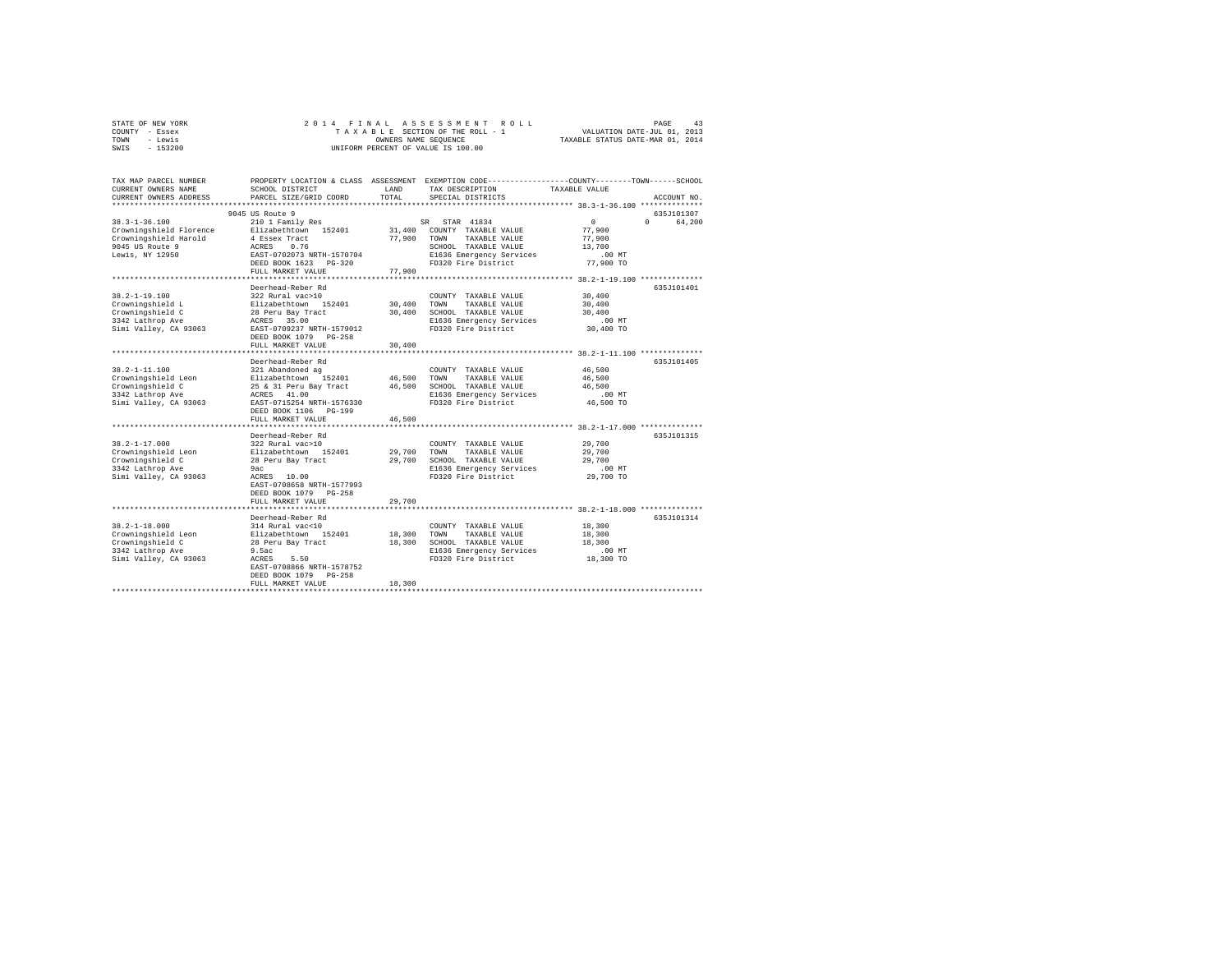| STATE OF NEW YORK | 2014 FINAL ASSESSMENT ROLL         | 43<br>PAGE                       |
|-------------------|------------------------------------|----------------------------------|
| COUNTY - Essex    | TAXABLE SECTION OF THE ROLL - 1    | VALUATION DATE-JUL 01, 2013      |
| TOWN<br>- Lewis   | OWNERS NAME SEOUENCE               | TAXABLE STATUS DATE-MAR 01, 2014 |
| $-153200$<br>SWIS | UNIFORM PERCENT OF VALUE IS 100.00 |                                  |

| TAX MAP PARCEL NUMBER<br>CURRENT OWNERS NAME<br>CURRENT OWNERS ADDRESS | SCHOOL DISTRICT<br>PARCEL SIZE/GRID COORD          | LAND<br>TOTAL | PROPERTY LOCATION & CLASS ASSESSMENT EXEMPTION CODE----------------COUNTY-------TOWN------SCHOOL<br>TAX DESCRIPTION<br>SPECIAL DISTRICTS | TAXABLE VALUE    | ACCOUNT NO.        |
|------------------------------------------------------------------------|----------------------------------------------------|---------------|------------------------------------------------------------------------------------------------------------------------------------------|------------------|--------------------|
| ***********************                                                |                                                    |               |                                                                                                                                          |                  |                    |
|                                                                        | 9045 US Route 9                                    |               |                                                                                                                                          |                  | 635J101307         |
| $38.3 - 1 - 36.100$                                                    | 210 1 Family Res                                   |               | STAR 41834<br>SR                                                                                                                         | $\circ$          | $\Omega$<br>64,200 |
| Crowningshield Florence                                                | Elizabethtown 152401                               |               | 31,400 COUNTY TAXABLE VALUE                                                                                                              | 77,900           |                    |
| Crowningshield Harold                                                  | 4 Essex Tract                                      | 77,900        | TAXABLE VALUE<br>TOWN                                                                                                                    | 77,900           |                    |
| 9045 US Route 9                                                        | 0.76<br>ACRES                                      |               | SCHOOL TAXABLE VALUE                                                                                                                     | 13,700           |                    |
| Lewis, NY 12950                                                        | EAST-0702073 NRTH-1570704                          |               | E1636 Emergency Services                                                                                                                 | $.00$ MT         |                    |
|                                                                        | DEED BOOK 1623 PG-320                              |               | FD320 Fire District                                                                                                                      | 77,900 TO        |                    |
|                                                                        | FULL MARKET VALUE<br>***************************** | 77,900        |                                                                                                                                          |                  |                    |
|                                                                        | Deerhead-Reber Rd                                  |               |                                                                                                                                          |                  |                    |
| $38.2 - 1 - 19.100$                                                    | 322 Rural vac>10                                   |               |                                                                                                                                          | 30,400           | 635J101401         |
| Crowningshield L                                                       | Elizabethtown 152401                               | 30,400        | COUNTY TAXABLE VALUE<br>TOWN<br>TAXABLE VALUE                                                                                            |                  |                    |
|                                                                        |                                                    | 30,400        | SCHOOL TAXABLE VALUE                                                                                                                     | 30,400<br>30,400 |                    |
| Crowningshield C<br>3342 Lathrop Ave                                   | 28 Peru Bay Tract<br>ACRES 35.00                   |               | E1636 Emergency Services                                                                                                                 | $.00$ MT         |                    |
| Simi Valley, CA 93063                                                  | EAST-0709237 NRTH-1579012                          |               | FD320 Fire District                                                                                                                      | 30,400 TO        |                    |
|                                                                        | DEED BOOK 1079 PG-258                              |               |                                                                                                                                          |                  |                    |
|                                                                        | FULL MARKET VALUE                                  | 30,400        |                                                                                                                                          |                  |                    |
|                                                                        |                                                    |               |                                                                                                                                          |                  |                    |
|                                                                        | Deerhead-Reber Rd                                  |               |                                                                                                                                          |                  | 635J101405         |
| $38.2 - 1 - 11.100$                                                    | 321 Abandoned ag                                   |               | COUNTY TAXABLE VALUE                                                                                                                     | 46,500           |                    |
| Crowningshield Leon                                                    | Elizabethtown 152401                               | 46,500        | TOWN<br>TAXABLE VALUE                                                                                                                    | 46,500           |                    |
| Crowningshield C                                                       | 25 & 31 Peru Bay Tract                             | 46,500        | SCHOOL TAXABLE VALUE                                                                                                                     | 46,500           |                    |
| 3342 Lathrop Ave                                                       | ACRES 41.00                                        |               | E1636 Emergency Services                                                                                                                 | .00 MT           |                    |
| Simi Valley, CA 93063                                                  | EAST-0715254 NRTH-1576330                          |               | FD320 Fire District                                                                                                                      | 46,500 TO        |                    |
|                                                                        | DEED BOOK 1106 PG-199                              |               |                                                                                                                                          |                  |                    |
|                                                                        | FULL MARKET VALUE                                  | 46,500        |                                                                                                                                          |                  |                    |
|                                                                        | ************************                           |               | *********************************** 38.2-1-17.000 ***************                                                                        |                  |                    |
|                                                                        | Deerhead-Reber Rd                                  |               |                                                                                                                                          |                  | 635J101315         |
| $38.2 - 1 - 17.000$                                                    | 322 Rural vac>10                                   |               | COUNTY TAXABLE VALUE                                                                                                                     | 29,700           |                    |
| Crowningshield Leon                                                    | Elizabethtown 152401                               | 29,700        | TOWN<br>TAXABLE VALUE                                                                                                                    | 29,700           |                    |
| Crowningshield C                                                       | 28 Peru Bay Tract                                  | 29,700        | SCHOOL TAXABLE VALUE                                                                                                                     | 29,700           |                    |
| 3342 Lathrop Ave                                                       | 9ac<br>ACRES 10.00                                 |               | E1636 Emergency Services<br>FD320 Fire District                                                                                          | $.00$ MT         |                    |
| Simi Valley, CA 93063                                                  | EAST-0708658 NRTH-1577993                          |               |                                                                                                                                          | 29,700 TO        |                    |
|                                                                        | DEED BOOK 1079 PG-258                              |               |                                                                                                                                          |                  |                    |
|                                                                        | FULL MARKET VALUE                                  | 29,700        |                                                                                                                                          |                  |                    |
|                                                                        |                                                    |               |                                                                                                                                          |                  |                    |
|                                                                        | Deerhead-Reber Rd                                  |               |                                                                                                                                          |                  | 635J101314         |
| $38.2 - 1 - 18.000$                                                    | 314 Rural vac<10                                   |               | COUNTY TAXABLE VALUE                                                                                                                     | 18,300           |                    |
| Crowningshield Leon                                                    | Elizabethtown 152401                               | 18,300        | TOWN<br>TAXABLE VALUE                                                                                                                    | 18,300           |                    |
| Crowningshield C                                                       | 28 Peru Bay Tract                                  | 18,300        | SCHOOL TAXABLE VALUE                                                                                                                     | 18,300           |                    |
| 3342 Lathrop Ave                                                       | 9.5ac                                              |               | E1636 Emergency Services                                                                                                                 | .00MT            |                    |
| Simi Valley, CA 93063                                                  | 5.50<br>ACRES                                      |               | FD320 Fire District                                                                                                                      | 18,300 TO        |                    |
|                                                                        | EAST-0708866 NRTH-1578752                          |               |                                                                                                                                          |                  |                    |
|                                                                        | DEED BOOK 1079 PG-258                              |               |                                                                                                                                          |                  |                    |
|                                                                        | FULL MARKET VALUE                                  | 18,300        |                                                                                                                                          |                  |                    |
|                                                                        |                                                    |               |                                                                                                                                          |                  |                    |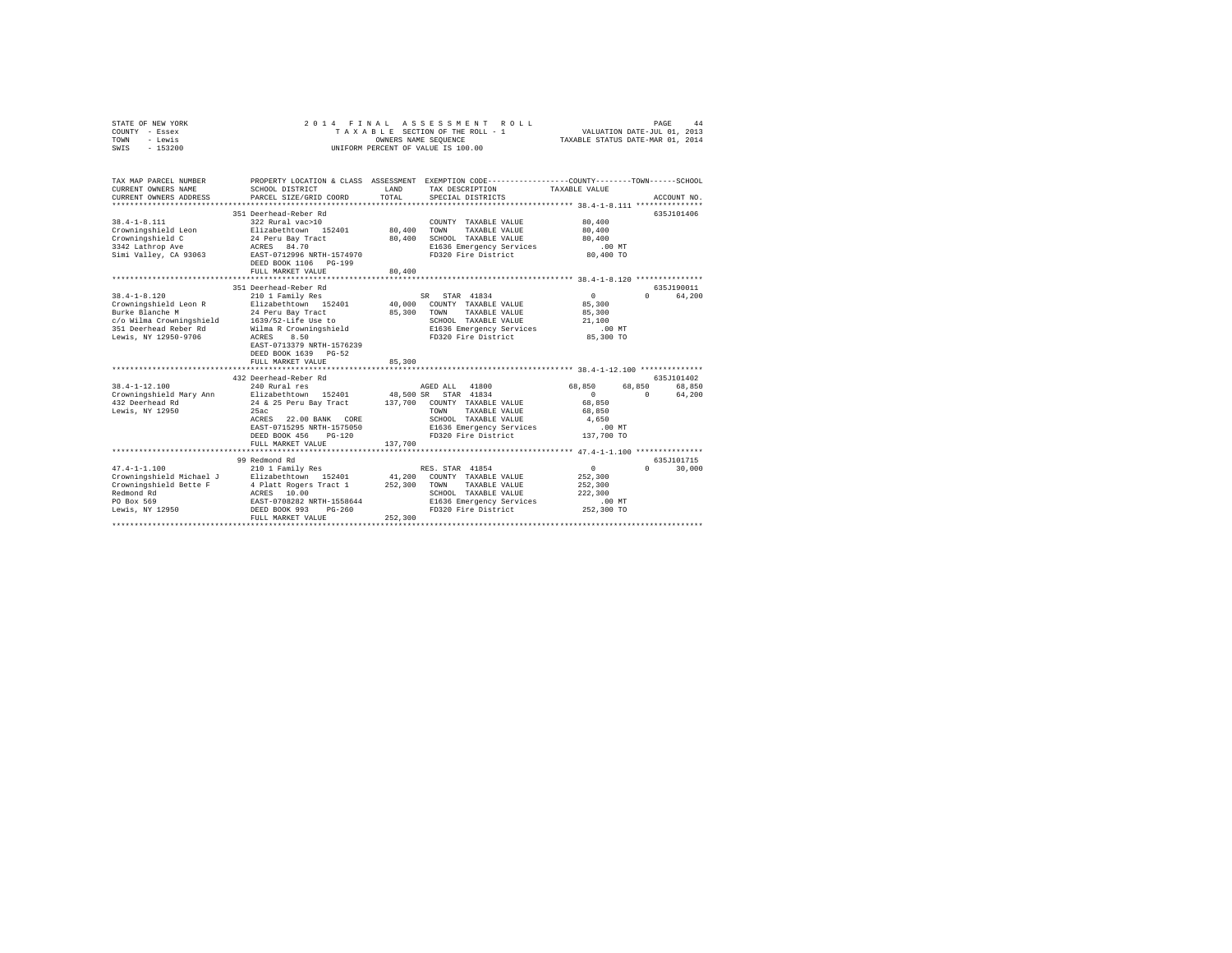| STATE OF NEW YORK<br>COUNTY - Essex<br>TOWN<br>- Lewis<br>$-153200$<br>SWIS                                                                                     | 2 0 1 4<br>FINAL                                                                                                                                                                   | OWNERS NAME SEQUENCE         | ASSESSMENT<br>ROLL<br>TAXABLE SECTION OF THE ROLL - 1<br>UNIFORM PERCENT OF VALUE IS 100.00                                                                      | VALUATION DATE-JUL 01, 2013<br>TAXABLE STATUS DATE-MAR 01, 2014        | PAGE               | 44                   |
|-----------------------------------------------------------------------------------------------------------------------------------------------------------------|------------------------------------------------------------------------------------------------------------------------------------------------------------------------------------|------------------------------|------------------------------------------------------------------------------------------------------------------------------------------------------------------|------------------------------------------------------------------------|--------------------|----------------------|
| TAX MAP PARCEL NUMBER<br>CURRENT OWNERS NAME<br>CURRENT OWNERS ADDRESS<br>**************************                                                            | PROPERTY LOCATION & CLASS ASSESSMENT EXEMPTION CODE---------------COUNTY-------TOWN-----SCHOOL<br>SCHOOL DISTRICT<br>PARCEL SIZE/GRID COORD                                        | LAND<br>TOTAL                | TAX DESCRIPTION<br>SPECIAL DISTRICTS                                                                                                                             | TAXABLE VALUE                                                          |                    | ACCOUNT NO.          |
| $38.4 - 1 - 8.111$<br>Crowningshield Leon<br>Crowningshield C<br>3342 Lathrop Ave<br>Simi Valley, CA 93063                                                      | 351 Deerhead-Reber Rd<br>322 Rural vac>10<br>Elizabethtown 152401<br>24 Peru Bay Tract<br>ACRES 84.70<br>EAST-0712996 NRTH-1574970<br>DEED BOOK 1106 PG-199<br>FULL MARKET VALUE   | 80,400<br>80,400<br>80,400   | COUNTY TAXABLE VALUE<br>TOWN<br>TAXABLE VALUE<br>SCHOOL TAXABLE VALUE<br>E1636 Emergency Services<br>FD320 Fire District                                         | 80,400<br>80,400<br>80,400<br>$.00$ MT<br>80,400 TO                    |                    | 635J101406           |
|                                                                                                                                                                 | 351 Deerhead-Reber Rd                                                                                                                                                              |                              |                                                                                                                                                                  |                                                                        |                    | 635J190011           |
| $38.4 - 1 - 8.120$<br>Crowningshield Leon R<br>Burke Blanche M<br>c/o Wilma Crowningshield 1639/52-Life Use to<br>351 Deerhead Reber Rd<br>Lewis, NY 12950-9706 | 210 1 Family Res<br>Elizabethtown 152401<br>24 Peru Bay Tract<br>Wilma R Crowningshield<br>8.50<br>ACRES<br>EAST-0713379 NRTH-1576239<br>DEED BOOK 1639 PG-52<br>FULL MARKET VALUE | 40,000<br>85,300<br>85,300   | SR STAR 41834<br>COUNTY TAXABLE VALUE<br>TAXABLE VALUE<br>TOWN<br>SCHOOL TAXABLE VALUE<br>E1636 Emergency Services<br>FD320 Fire District                        | $\circ$<br>85,300<br>85,300<br>21,100<br>.00 MT<br>85,300 TO           | $\Omega$           | 64,200               |
|                                                                                                                                                                 | 432 Deerhead-Reber Rd                                                                                                                                                              |                              |                                                                                                                                                                  |                                                                        |                    | 635J101402           |
| $38.4 - 1 - 12.100$<br>Crowningshield Mary Ann<br>432 Deerhead Rd<br>Lewis, NY 12950                                                                            | 240 Rural res<br>Elizabethtown 152401<br>24 & 25 Peru Bay Tract<br>25ac<br>ACRES 22.00 BANK CORE<br>EAST-0715295 NRTH-1575050<br>DEED BOOK 456<br>$PG-120$                         | 48,500 SR                    | AGED ALL 41800<br>STAR 41834<br>137,700 COUNTY TAXABLE VALUE<br>TAXABLE VALUE<br>TOWN<br>SCHOOL TAXABLE VALUE<br>E1636 Emergency Services<br>FD320 Fire District | 68,850<br>$\Omega$<br>68,850<br>68,850<br>4.650<br>.00MT<br>137,700 TO | 68,850<br>$\Omega$ | 68,850<br>64,200     |
|                                                                                                                                                                 | FULL MARKET VALUE                                                                                                                                                                  | 137,700                      |                                                                                                                                                                  |                                                                        |                    |                      |
| $47.4 - 1 - 1.100$<br>Crowningshield Michael J<br>Crowningshield Bette F<br>Redmond Rd<br>PO Box 569<br>Lewis, NY 12950                                         | 99 Redmond Rd<br>210 1 Family Res<br>Elizabethtown 152401<br>4 Platt Rogers Tract 1<br>ACRES 10.00<br>EAST-0708282 NRTH-1558644<br>DEED BOOK 993<br>$PG-260$<br>FULL MARKET VALUE  | 41,200<br>252,300<br>252,300 | RES. STAR 41854<br>COUNTY TAXABLE VALUE<br>TAXABLE VALUE<br>TOWN<br>SCHOOL TAXABLE VALUE<br>E1636 Emergency Services<br>FD320 Fire District                      | $\circ$<br>252,300<br>252,300<br>222,300<br>$.00$ MT<br>252,300 TO     | $\cap$             | 635J101715<br>30,000 |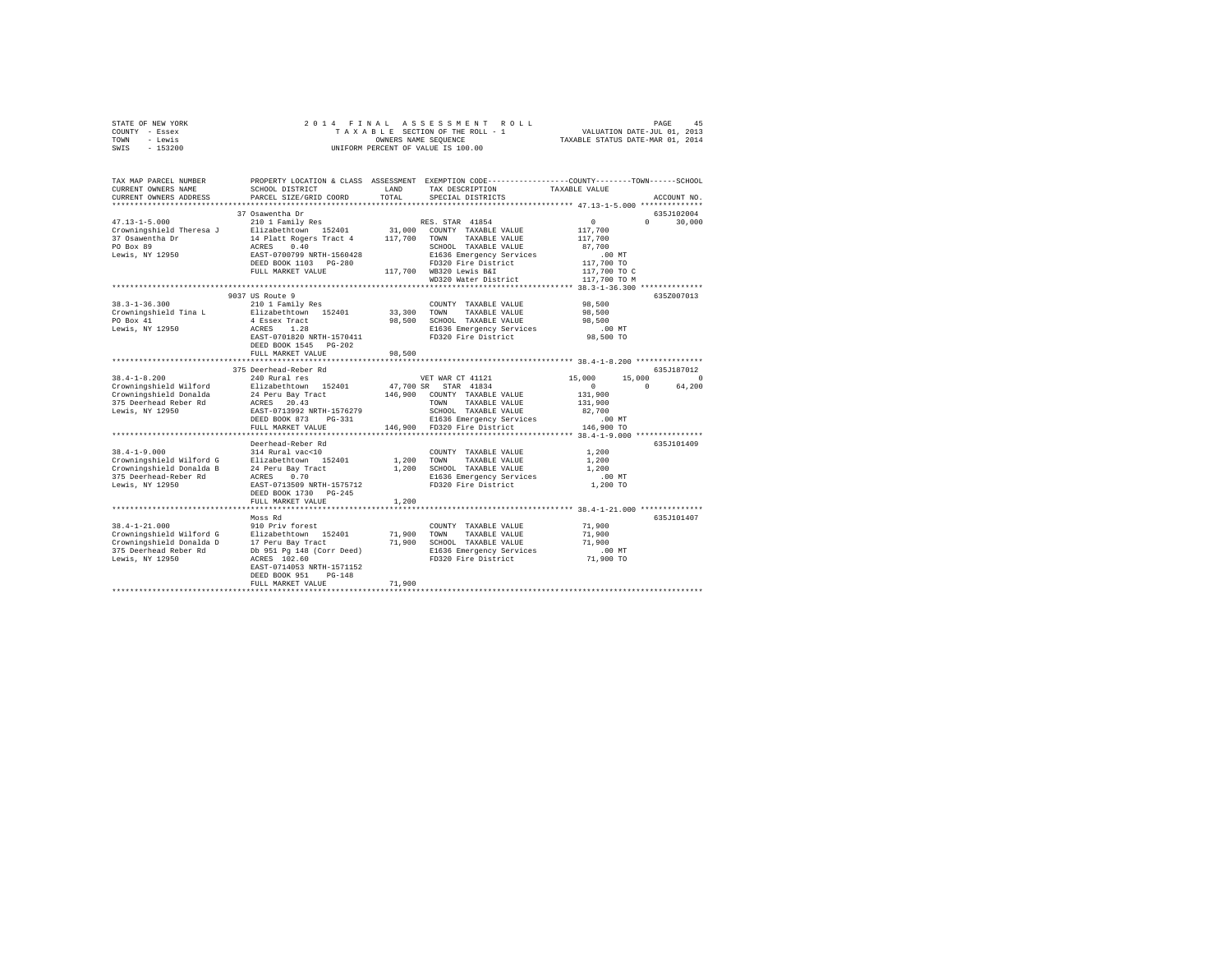| STATE OF NEW YORK<br>COUNTY - Essex<br>TOWN<br>- Lewis | 2014 FINAL<br>ASSESSMENT<br>PAGE<br>ROLL<br>VALUATION DATE-JUL 01, 2013<br>TAXABLE STATUS DATE-MAR 01, 2014<br>TAXABLE SECTION OF THE ROLL - 1<br>OWNERS NAME SEQUENCE |           |                                                                                                                   |                                               |             |
|--------------------------------------------------------|------------------------------------------------------------------------------------------------------------------------------------------------------------------------|-----------|-------------------------------------------------------------------------------------------------------------------|-----------------------------------------------|-------------|
| SWIS<br>$-153200$                                      |                                                                                                                                                                        |           | UNIFORM PERCENT OF VALUE IS 100.00                                                                                |                                               |             |
| TAX MAP PARCEL NUMBER<br>CURRENT OWNERS NAME           | SCHOOL DISTRICT                                                                                                                                                        | LAND      | PROPERTY LOCATION & CLASS ASSESSMENT EXEMPTION CODE---------------COUNTY-------TOWN-----SCHOOL<br>TAX DESCRIPTION | TAXABLE VALUE                                 |             |
| CURRENT OWNERS ADDRESS                                 | PARCEL SIZE/GRID COORD                                                                                                                                                 | TOTAL     | SPECIAL DISTRICTS                                                                                                 |                                               | ACCOUNT NO. |
| **********************                                 |                                                                                                                                                                        |           |                                                                                                                   |                                               |             |
|                                                        | 37 Osawentha Dr                                                                                                                                                        |           |                                                                                                                   |                                               | 635J102004  |
| $47.13 - 1 - 5.000$                                    | 210 1 Family Res                                                                                                                                                       |           | RES. STAR 41854                                                                                                   | $\circ$<br>$\cap$                             | 30,000      |
| Crowningshield Theresa J<br>37 Osawentha Dr            | Elizabethtown 152401<br>14 Platt Rogers Tract 4                                                                                                                        | 117,700   | 31,000 COUNTY TAXABLE VALUE<br>TOWN<br>TAXABLE VALUE                                                              | 117,700<br>117,700                            |             |
| PO Box 89                                              | 0.40<br>ACRES                                                                                                                                                          |           | SCHOOL TAXABLE VALUE                                                                                              | 87,700                                        |             |
| Lewis, NY 12950                                        | EAST-0700799 NRTH-1560428                                                                                                                                              |           | E1636 Emergency Services                                                                                          | $.00$ MT                                      |             |
|                                                        | DEED BOOK 1103 PG-280                                                                                                                                                  |           | FD320 Fire District                                                                                               | 117,700 TO                                    |             |
|                                                        | FULL MARKET VALUE                                                                                                                                                      |           | 117,700 WB320 Lewis B&I                                                                                           | 117,700 TO C                                  |             |
|                                                        |                                                                                                                                                                        |           | WD320 Water District                                                                                              | 117,700 TO M                                  |             |
|                                                        | 9037 US Route 9                                                                                                                                                        |           |                                                                                                                   |                                               | 635Z007013  |
| $38.3 - 1 - 36.300$                                    | 210 1 Family Res                                                                                                                                                       |           | COUNTY TAXABLE VALUE                                                                                              | 98,500                                        |             |
| Crowningshield Tina L                                  | Elizabethtown 152401                                                                                                                                                   | 33,300    | TOWN<br>TAXABLE VALUE                                                                                             | 98,500                                        |             |
| PO Box 41                                              | 4 Essex Tract                                                                                                                                                          | 98,500    | SCHOOL TAXABLE VALUE                                                                                              | 98,500                                        |             |
| Lewis, NY 12950                                        | ACRES 1.28                                                                                                                                                             |           | E1636 Emergency Services                                                                                          | .00MT                                         |             |
|                                                        | EAST-0701820 NRTH-1570411                                                                                                                                              |           | FD320 Fire District                                                                                               | 98,500 TO                                     |             |
|                                                        | DEED BOOK 1545 PG-202                                                                                                                                                  |           |                                                                                                                   |                                               |             |
|                                                        | FULL MARKET VALUE                                                                                                                                                      | 98,500    |                                                                                                                   |                                               |             |
|                                                        | 375 Deerhead-Reber Rd                                                                                                                                                  |           |                                                                                                                   |                                               | 635J187012  |
| $38.4 - 1 - 8.200$                                     | 240 Rural res                                                                                                                                                          |           | VET WAR CT 41121                                                                                                  | 15,000<br>15,000                              | $\cap$      |
| Crowningshield Wilford                                 | Elizabethtown 152401                                                                                                                                                   | 47,700 SR | STAR 41834                                                                                                        | $\Omega$<br>$^{\circ}$                        | 64,200      |
| Crowningshield Donalda                                 | 24 Peru Bay Tract                                                                                                                                                      |           | 146,900 COUNTY TAXABLE VALUE                                                                                      | 131,900                                       |             |
| 375 Deerhead Reber Rd                                  | ACRES 20.43                                                                                                                                                            |           | TOWN<br>TAXABLE VALUE                                                                                             | 131,900                                       |             |
| Lewis, NY 12950                                        | EAST-0713992 NRTH-1576279                                                                                                                                              |           | SCHOOL TAXABLE VALUE                                                                                              | 82,700                                        |             |
|                                                        | DEED BOOK 873<br>$PG-331$                                                                                                                                              |           | E1636 Emergency Services                                                                                          | $.00$ MT                                      |             |
|                                                        | FULL MARKET VALUE                                                                                                                                                      |           | 146,900 FD320 Fire District                                                                                       | 146,900 TO                                    |             |
|                                                        | Deerhead-Reber Rd                                                                                                                                                      |           |                                                                                                                   |                                               | 635J101409  |
| $38.4 - 1 - 9.000$                                     | 314 Rural vac<10                                                                                                                                                       |           | COUNTY TAXABLE VALUE                                                                                              | 1,200                                         |             |
| Crowningshield Wilford G                               | Elizabethtown 152401                                                                                                                                                   | 1,200     | TOWN<br>TAXABLE VALUE                                                                                             | 1,200                                         |             |
| Crowningshield Donalda B                               | 24 Peru Bay Tract<br>ACRES 0.70                                                                                                                                        | 1,200     | SCHOOL TAXABLE VALUE                                                                                              | 1,200                                         |             |
| 375 Deerhead-Reber Rd                                  | ACRES                                                                                                                                                                  |           | E1636 Emergency Services                                                                                          | $.00$ MT                                      |             |
| Lewis, NY 12950                                        | EAST-0713509 NRTH-1575712                                                                                                                                              |           | FD320 Fire District                                                                                               | 1,200 TO                                      |             |
|                                                        | DEED BOOK 1730 PG-245                                                                                                                                                  | 1,200     |                                                                                                                   |                                               |             |
|                                                        | FULL MARKET VALUE                                                                                                                                                      |           |                                                                                                                   | **************** 38.4-1-21.000 ************** |             |
|                                                        | Moss Rd                                                                                                                                                                |           |                                                                                                                   |                                               | 635J101407  |
| $38.4 - 1 - 21.000$                                    | 910 Priv forest                                                                                                                                                        |           | COUNTY TAXABLE VALUE                                                                                              | 71,900                                        |             |
| Crowningshield Wilford G                               | Elizabethtown 152401                                                                                                                                                   | 71,900    | TOWN<br>TAXABLE VALUE                                                                                             | 71,900                                        |             |
| Crowningshield Donalda D                               | 17 Peru Bay Tract                                                                                                                                                      | 71,900    | SCHOOL TAXABLE VALUE                                                                                              | 71,900                                        |             |
| 375 Deerhead Reber Rd                                  | Db 951 Pg 148 (Corr Deed)                                                                                                                                              |           | E1636 Emergency Services                                                                                          | $.00$ MT                                      |             |
| Lewis, NY 12950                                        | ACRES 102.60<br>EAST-0714053 NRTH-1571152                                                                                                                              |           | FD320 Fire District                                                                                               | 71,900 TO                                     |             |
|                                                        | DEED BOOK 951<br>$PG-148$                                                                                                                                              |           |                                                                                                                   |                                               |             |
|                                                        | FULL MARKET VALUE                                                                                                                                                      | 71,900    |                                                                                                                   |                                               |             |
|                                                        |                                                                                                                                                                        |           |                                                                                                                   |                                               |             |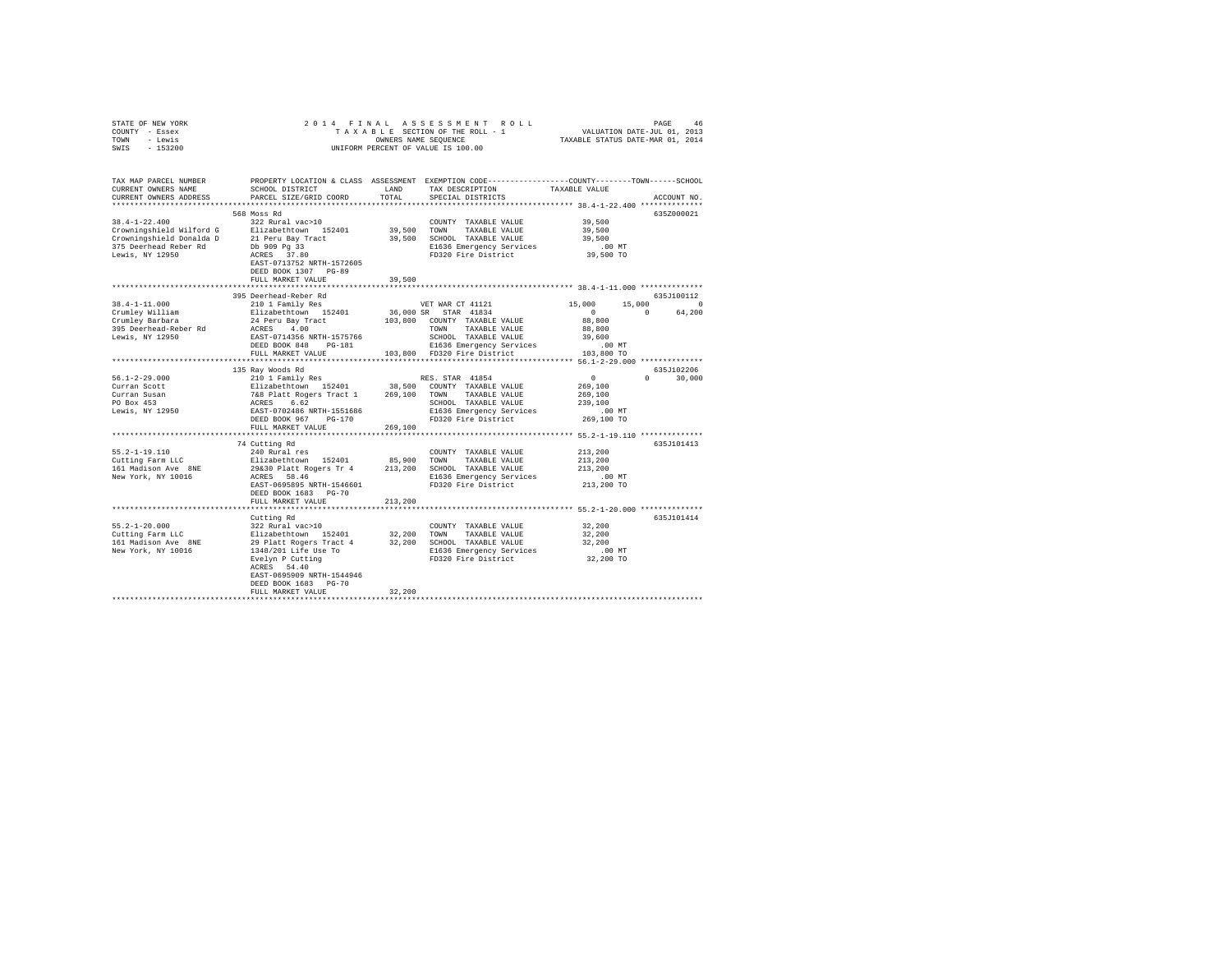|      | STATE OF NEW YORK |  |  | 2014 FINAL ASSESSMENT ROLL         | PAGE                             | 46 |
|------|-------------------|--|--|------------------------------------|----------------------------------|----|
|      | COUNTY - Essex    |  |  | TAXABLE SECTION OF THE ROLL - 1    | VALUATION DATE-JUL 01, 2013      |    |
| TOWN | - Lewis           |  |  | OWNERS NAME SEOUENCE               | TAXABLE STATUS DATE-MAR 01, 2014 |    |
| SWIS | $-153200$         |  |  | UNIFORM PERCENT OF VALUE IS 100.00 |                                  |    |

| TAX MAP PARCEL NUMBER<br>CURRENT OWNERS NAME<br>CURRENT OWNERS ADDRESS<br>**********************                        | SCHOOL DISTRICT<br>PARCEL SIZE/GRID COORD                                                                                                                                                         | LAND<br>TOTAL         | PROPERTY LOCATION & CLASS ASSESSMENT EXEMPTION CODE-----------------COUNTY-------TOWN------SCHOOL<br>TAX DESCRIPTION<br>SPECIAL DISTRICTS              | TAXABLE VALUE                                                     | ACCOUNT NO.           |
|-------------------------------------------------------------------------------------------------------------------------|---------------------------------------------------------------------------------------------------------------------------------------------------------------------------------------------------|-----------------------|--------------------------------------------------------------------------------------------------------------------------------------------------------|-------------------------------------------------------------------|-----------------------|
| $38.4 - 1 - 22.400$<br>Crowningshield Wilford G<br>Crowningshield Donalda D<br>375 Deerhead Reber Rd<br>Lewis, NY 12950 | 568 Moss Rd<br>322 Rural vac>10<br>Elizabethtown 152401<br>21 Peru Bay Tract<br>Db 909 Pg 33<br>ACRES 37.80<br>EAST-0713752 NRTH-1572605<br>DEED BOOK 1307 PG-89<br>FULL MARKET VALUE             | 39,500 TOWN<br>39,500 | COUNTY TAXABLE VALUE<br>TAXABLE VALUE<br>39,500 SCHOOL TAXABLE VALUE<br>E1636 Emergency Services<br>FD320 Fire District                                | 39,500<br>39,500<br>39,500<br>$.00$ MT<br>39,500 TO               | 635Z000021            |
| $38.4 - 1 - 11.000$                                                                                                     | 395 Deerhead-Reber Rd<br>210 1 Family Res                                                                                                                                                         |                       | VET WAR CT 41121                                                                                                                                       | 15,000<br>15,000                                                  | 635J100112<br>$\circ$ |
| Crumley William<br>Crumley Barbara<br>395 Deerhead-Reber Rd<br>Lewis, NY 12950                                          | Elizabethtown 152401<br>24 Peru Bay Tract<br>ACRES 4.00<br>EAST-0714356 NRTH-1575766<br>DEED BOOK 848 PG-181<br>FULL MARKET VALUE                                                                 | 36,000 SR             | STAR 41834<br>103,800 COUNTY TAXABLE VALUE<br>TAXABLE VALUE<br>TOWN<br>SCHOOL TAXABLE VALUE<br>E1636 Emergency Services<br>103,800 FD320 Fire District | $\circ$<br>88,800<br>88,800<br>39,600<br>.00MT<br>103,800 TO      | $\Omega$<br>64,200    |
|                                                                                                                         |                                                                                                                                                                                                   |                       |                                                                                                                                                        |                                                                   |                       |
|                                                                                                                         | 135 Ray Woods Rd                                                                                                                                                                                  |                       |                                                                                                                                                        |                                                                   | 635J102206            |
| $56.1 - 2 - 29.000$<br>Curran Scott<br>Curran Susan<br>PO Box 453<br>Lewis, NY 12950                                    | DEED BOOK 967 PG-170<br>FULL MARKET VALUE                                                                                                                                                         | 269,100               | E1636 Emergency Services<br>FD320 Fire District                                                                                                        | $\Omega$<br>269,100<br>269,100<br>239,100<br>.00 MT<br>269,100 TO | $\Omega$<br>30,000    |
|                                                                                                                         |                                                                                                                                                                                                   |                       |                                                                                                                                                        |                                                                   |                       |
| $55.2 - 1 - 19.110$<br>Cutting Farm LLC<br>161 Madison Ave 8NE<br>New York, NY 10016                                    | 74 Cutting Rd<br>240 Rural res<br>Elizabethtown 152401<br>29&30 Platt Rogers Tr 4<br>ACRES 58.46<br>EAST-0695895 NRTH-1546601<br>DEED BOOK 1683 PG-70<br>FULL MARKET VALUE                        | 213,200               | COUNTY TAXABLE VALUE<br>85,900 TOWN TAXABLE VALUE<br>213,200 SCHOOL TAXABLE VALUE<br>E1636 Emergency Services<br>FD320 Fire District                   | 213,200<br>213,200<br>213,200<br>$.00$ MT<br>213,200 TO           | 635J101413            |
|                                                                                                                         |                                                                                                                                                                                                   |                       |                                                                                                                                                        |                                                                   |                       |
| $55.2 - 1 - 20.000$<br>Cutting Farm LLC<br>161 Madison Ave 8NE<br>New York, NY 10016                                    | Cutting Rd<br>322 Rural vac>10<br>Elizabethtown 152401<br>29 Platt Rogers Tract 4<br>1348/201 Life Use To<br>Evelyn P Cutting<br>ACRES 54.40<br>EAST-0695909 NRTH-1544946<br>DEED BOOK 1683 PG-70 |                       | COUNTY TAXABLE VALUE<br>32,200 TOWN<br>TAXABLE VALUE<br>32,200 SCHOOL TAXABLE VALUE<br>E1636 Emergency Services<br>FD320 Fire District                 | 32,200<br>32,200<br>32,200<br>$.00$ MT<br>32,200 TO               | 635J101414            |
|                                                                                                                         | FULL MARKET VALUE                                                                                                                                                                                 | 32,200                |                                                                                                                                                        |                                                                   |                       |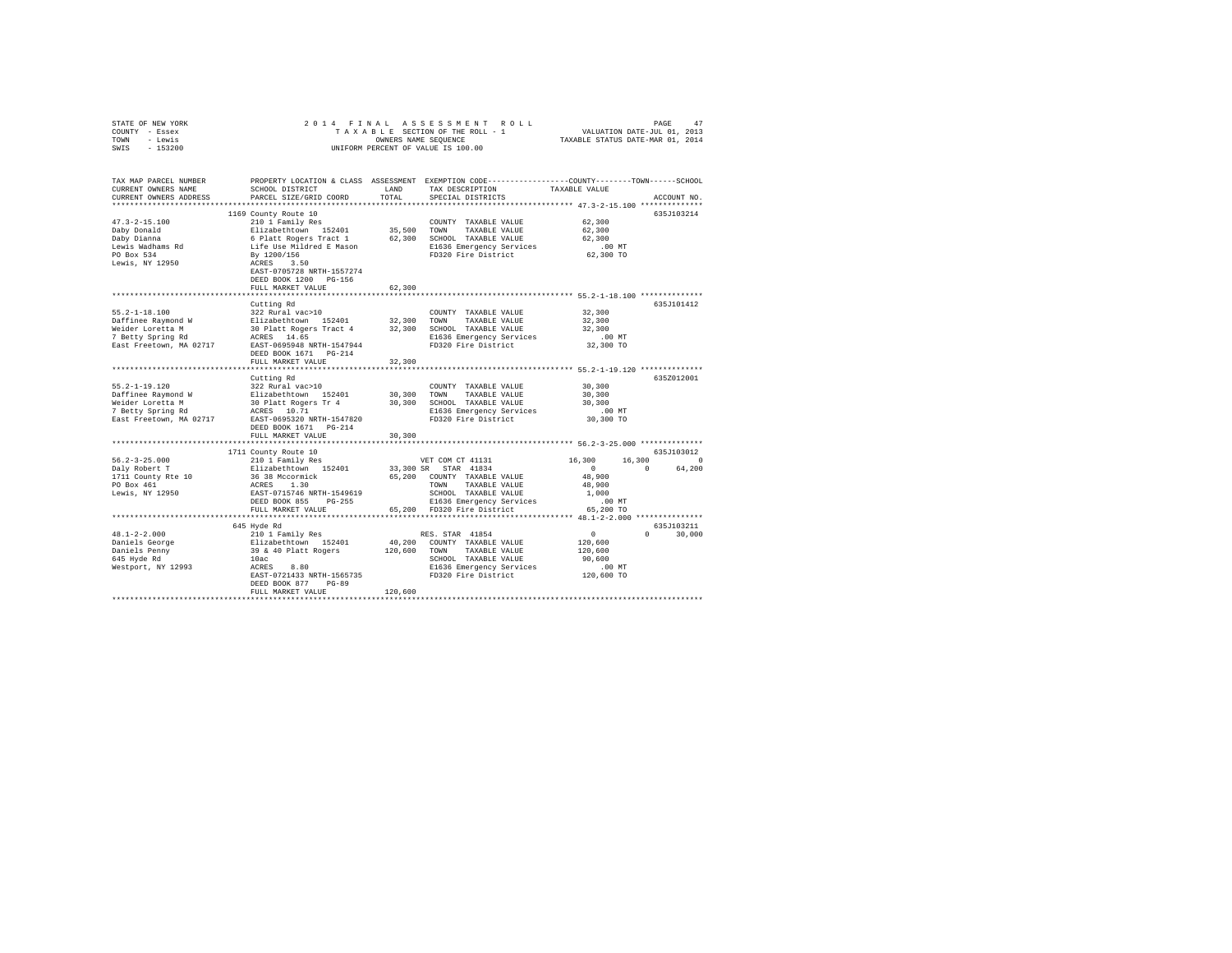| STATE OF NEW YORK                                                    | 2014 FINAL                                                                                                                                                                                                                                |              |                                      |               |               |  |
|----------------------------------------------------------------------|-------------------------------------------------------------------------------------------------------------------------------------------------------------------------------------------------------------------------------------------|--------------|--------------------------------------|---------------|---------------|--|
| COUNTY - Essex                                                       |                                                                                                                                                                                                                                           |              |                                      |               |               |  |
| TOWN - Lewis                                                         | OWNERS NAME SEQUENCE                                                                                                                                                                                                                      |              |                                      |               |               |  |
| $-153200$<br>SWIS                                                    |                                                                                                                                                                                                                                           |              | UNIFORM PERCENT OF VALUE IS 100.00   |               |               |  |
|                                                                      |                                                                                                                                                                                                                                           |              |                                      |               |               |  |
|                                                                      |                                                                                                                                                                                                                                           |              |                                      |               |               |  |
|                                                                      |                                                                                                                                                                                                                                           |              |                                      |               |               |  |
| TAX MAP PARCEL NUMBER                                                | PROPERTY LOCATION & CLASS ASSESSMENT EXEMPTION CODE-----------------COUNTY-------TOWN-----SCHOOL                                                                                                                                          |              |                                      |               |               |  |
| CURRENT OWNERS NAME                                                  | SCHOOL DISTRICT                                                                                                                                                                                                                           | LAND         | TAX DESCRIPTION                      | TAXABLE VALUE |               |  |
| CURRENT OWNERS ADDRESS                                               | PARCEL SIZE/GRID COORD                                                                                                                                                                                                                    | TOTAL        | SPECIAL DISTRICTS                    |               | ACCOUNT NO.   |  |
|                                                                      |                                                                                                                                                                                                                                           |              |                                      |               |               |  |
|                                                                      | 1169 County Route 10                                                                                                                                                                                                                      |              |                                      |               | 635J103214    |  |
| $47.3 - 2 - 15.100$                                                  | 210 1 Family Res                                                                                                                                                                                                                          |              | COUNTY TAXABLE VALUE                 | 62,300        |               |  |
|                                                                      |                                                                                                                                                                                                                                           |              |                                      | 62,300        |               |  |
| Daby Donald<br>Daby Dianna                                           |                                                                                                                                                                                                                                           |              |                                      | 62,300        |               |  |
|                                                                      |                                                                                                                                                                                                                                           |              |                                      |               |               |  |
| Lewis Wadhams Rd                                                     | Notes the temperator of the Bizabeth<br>Community of Platt Rogers Tract 1 and 152401 5 and 162,300 SOWN TAXABLE VALUE<br>162,300 SCHOLD TAXABLE VALUE<br>162,300 SCHOLD TAXABLE VALUE<br>2012 1636 Emergency Services<br>2020 Fire Distri |              | E1636 Emergency Services             | $.00$ MT      |               |  |
| PO Box 534                                                           |                                                                                                                                                                                                                                           |              | FD320 Fire District                  | 62,300 TO     |               |  |
| Lewis, NY 12950                                                      |                                                                                                                                                                                                                                           |              |                                      |               |               |  |
|                                                                      |                                                                                                                                                                                                                                           |              |                                      |               |               |  |
|                                                                      | DEED BOOK 1200 PG-156                                                                                                                                                                                                                     |              |                                      |               |               |  |
|                                                                      | FULL MARKET VALUE                                                                                                                                                                                                                         | 62,300       |                                      |               |               |  |
|                                                                      |                                                                                                                                                                                                                                           |              |                                      |               |               |  |
|                                                                      | Cutting Rd                                                                                                                                                                                                                                |              |                                      |               | 635J101412    |  |
| $55.2 - 1 - 18.100$                                                  | 322 Rural vac>10                                                                                                                                                                                                                          |              | COUNTY TAXABLE VALUE                 | 32,300        |               |  |
| Daffinee Raymond W                                                   |                                                                                                                                                                                                                                           |              |                                      | 32,300        |               |  |
|                                                                      |                                                                                                                                                                                                                                           |              |                                      | 32,300        |               |  |
| Weider Loretta M<br>7 Betty Spring Rd                                | Elizabethtown 152401 32,300 TOWN TAXABLE VALUE<br>30 Platt Rogers Tract 4 32,300 SCHOOL TAXABLE VALUE<br>ACRES 14.65 RESERVENCE RESERVE RESERVE                                                                                           |              | E1636 Emergency Services             | $.00$ MT      |               |  |
| East Freetown, MA 02717                                              | EAST-0695948 NRTH-1547944                                                                                                                                                                                                                 |              | FD320 Fire District                  | 32,300 TO     |               |  |
|                                                                      | DEED BOOK 1671 PG-214                                                                                                                                                                                                                     |              |                                      |               |               |  |
|                                                                      | FULL MARKET VALUE                                                                                                                                                                                                                         | 32,300       |                                      |               |               |  |
|                                                                      |                                                                                                                                                                                                                                           |              |                                      |               |               |  |
|                                                                      | Cutting Rd                                                                                                                                                                                                                                |              |                                      |               | 635Z012001    |  |
| $55.2 - 1 - 19.120$                                                  |                                                                                                                                                                                                                                           |              | COUNTY TAXABLE VALUE                 | 30,300        |               |  |
|                                                                      |                                                                                                                                                                                                                                           |              |                                      | 30,300        |               |  |
| Daffinee Raymond W                                                   |                                                                                                                                                                                                                                           |              | 30,300 TOWN TAXABLE VALUE            |               |               |  |
| Weider Loretta M                                                     | 322 Rural vac>10<br>Elizabethtown 152401<br>30 Platt Rogers Tr 4<br>ACRES 10.71                                                                                                                                                           |              | 30,300 SCHOOL TAXABLE VALUE          | 30,300        |               |  |
| 7 Betty Spring Rd                                                    |                                                                                                                                                                                                                                           |              | E1636 Emergency Services             | $.00$ MT      |               |  |
|                                                                      | East Freetown, MA 02717 EAST-0695320 NRTH-1547820                                                                                                                                                                                         |              | FD320 Fire District                  | 30,300 TO     |               |  |
|                                                                      | DEED BOOK 1671    PG-214                                                                                                                                                                                                                  |              |                                      |               |               |  |
|                                                                      |                                                                                                                                                                                                                                           |              |                                      |               |               |  |
|                                                                      | FULL MARKET VALUE                                                                                                                                                                                                                         | 30,300       |                                      |               |               |  |
|                                                                      |                                                                                                                                                                                                                                           |              |                                      |               |               |  |
|                                                                      |                                                                                                                                                                                                                                           |              |                                      |               | 635J103012    |  |
| $56.2 - 3 - 25.000$                                                  |                                                                                                                                                                                                                                           |              | VET COM CT 41131                     | 16,300        | $16,300$ 0    |  |
|                                                                      | 1711 County Route 10<br>210 1 Family Res<br>Elizabethtown 152401                                                                                                                                                                          |              | 33,300 SR STAR 41834                 | $\sim$ 0      | 0 64,200      |  |
|                                                                      |                                                                                                                                                                                                                                           |              |                                      | 48,900        |               |  |
|                                                                      |                                                                                                                                                                                                                                           |              | 65,200 COUNTY TAXABLE VALUE          |               |               |  |
|                                                                      |                                                                                                                                                                                                                                           |              | TOWN TAXABLE VALUE                   | 48,900        |               |  |
| Daly Robert T<br>1711 County Rte 10<br>PO Box 461<br>Lewis, NY 12950 |                                                                                                                                                                                                                                           |              | SCHOOL TAXABLE VALUE                 | 1,000         |               |  |
|                                                                      | 36 38 Mccormick<br>ACRES 1.30<br>EAST-0715746 NRTH-1549619<br>DEED BOOK 855 PG-255                                                                                                                                                        |              | E1636 Emergency Services             | $.00$ MT      |               |  |
|                                                                      | FULL MARKET VALUE                                                                                                                                                                                                                         |              | 65,200 FD320 Fire District 65,200 TO |               |               |  |
|                                                                      |                                                                                                                                                                                                                                           |              |                                      |               |               |  |
|                                                                      | 645 Hyde Rd                                                                                                                                                                                                                               |              |                                      |               | 635J103211    |  |
| $48.1 - 2 - 2.000$                                                   | 210 1 Family Res                                                                                                                                                                                                                          |              | RES. STAR 41854                      | $\sim$ 0      | $0 \t 30,000$ |  |
| Daniels George                                                       |                                                                                                                                                                                                                                           |              | 40,200 COUNTY TAXABLE VALUE          | 120,600       |               |  |
|                                                                      | Elizabethtown 152401<br>39 & 40 Platt Rogers                                                                                                                                                                                              | 120,600 TOWN | TAXABLE VALUE                        | 120,600       |               |  |
| Daniels Penny<br>645 Hyde Rd                                         | 10ac                                                                                                                                                                                                                                      |              | SCHOOL TAXABLE VALUE                 | 90,600        |               |  |
| Westport, NY 12993                                                   |                                                                                                                                                                                                                                           |              | E1636 Emergency Services             | $.00$ MT      |               |  |
|                                                                      | ----<br>ACRES 8.80<br>EAST-0721433 NRTH-1565735                                                                                                                                                                                           |              | FD320 Fire District                  | 120,600 TO    |               |  |
|                                                                      | DEED BOOK 877 PG-89                                                                                                                                                                                                                       |              |                                      |               |               |  |
|                                                                      | FULL MARKET VALUE                                                                                                                                                                                                                         | 120,600      |                                      |               |               |  |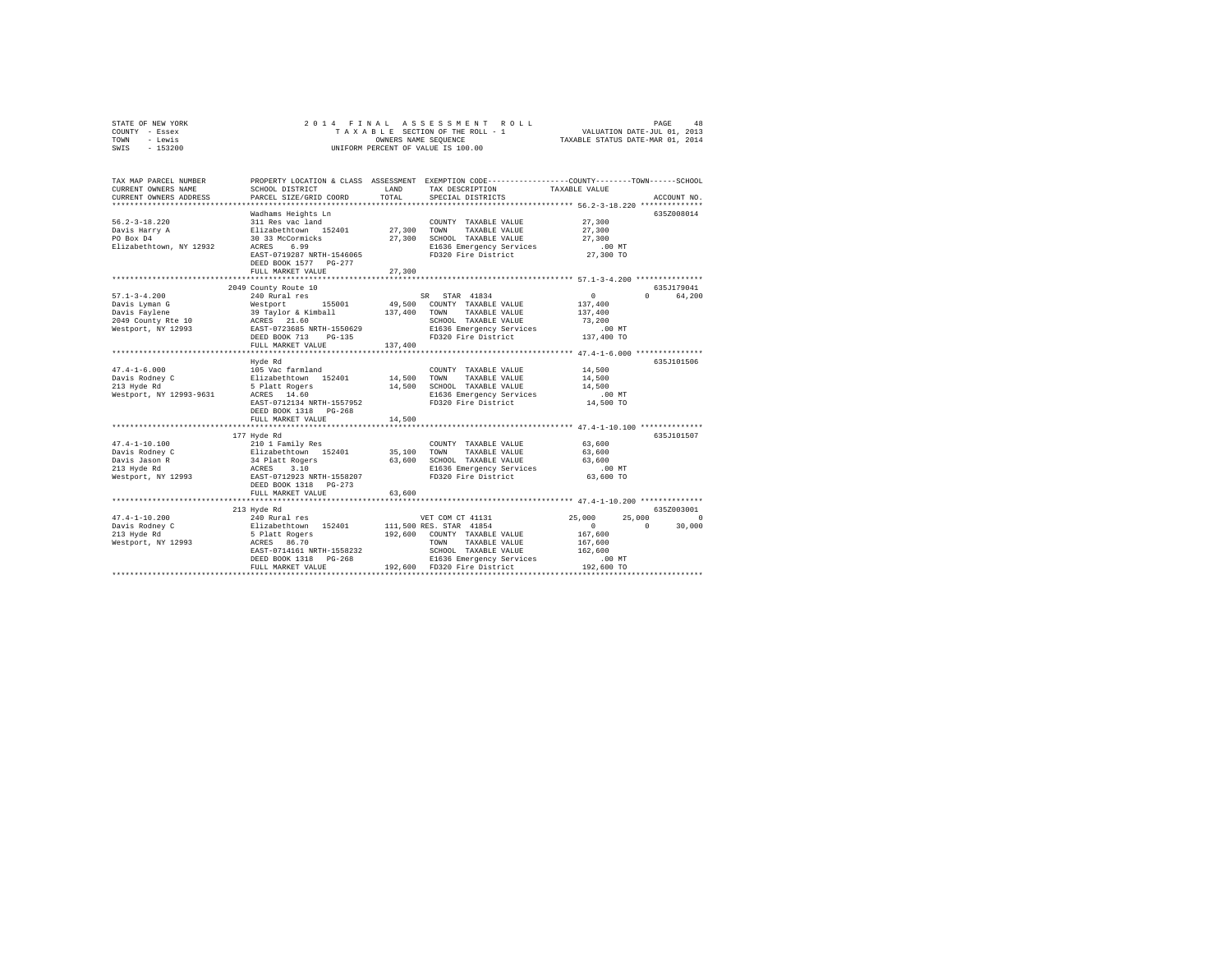| STATE OF NEW YORK | 2014 FINAL ASSESSMENT ROLL         | 48<br>PAGE                       |
|-------------------|------------------------------------|----------------------------------|
| COUNTY - Essex    | TAXABLE SECTION OF THE ROLL - 1    | VALUATION DATE-JUL 01, 2013      |
| TOWN<br>- Lewis   | OWNERS NAME SEOUENCE               | TAXABLE STATUS DATE-MAR 01, 2014 |
| $-153200$<br>SWIS | UNIFORM PERCENT OF VALUE IS 100.00 |                                  |

| TAX MAP PARCEL NUMBER<br>CURRENT OWNERS NAME<br>CURRENT OWNERS ADDRESS                           | PROPERTY LOCATION & CLASS ASSESSMENT<br>SCHOOL DISTRICT<br>PARCEL SIZE/GRID COORD                                                                                                                                           | LAND<br>TOTAL           | EXEMPTION CODE----------------COUNTY-------TOWN------SCHOOL<br>TAX DESCRIPTION<br>SPECIAL DISTRICTS                                                                                     | TAXABLE VALUE                                                                                      | ACCOUNT NO.                                 |
|--------------------------------------------------------------------------------------------------|-----------------------------------------------------------------------------------------------------------------------------------------------------------------------------------------------------------------------------|-------------------------|-----------------------------------------------------------------------------------------------------------------------------------------------------------------------------------------|----------------------------------------------------------------------------------------------------|---------------------------------------------|
| $56.2 - 3 - 18.220$<br>Davis Harry A<br>PO Box D4<br>Elizabethtown, NY 12932                     | Wadhams Heights Ln<br>311 Res vac land<br>Elizabethtown 152401 27,300 TOWN<br>30 33 McCormicks<br>6.99<br>ACRES<br>EAST-0719287 NRTH-1546065<br>DEED BOOK 1577 PG-277<br>FULL MARKET VALUE<br>***************************** | 27,300<br>************  | COUNTY TAXABLE VALUE<br>TAXABLE VALUE<br>27,300 SCHOOL TAXABLE VALUE<br>E1636 Emergency Services<br>FD320 Fire District<br>****************************** 57.1-3-4.200 ***************  | 27,300<br>27,300<br>27,300<br>.00MT<br>27,300 TO                                                   | 635Z008014                                  |
| $57.1 - 3 - 4.200$<br>Davis Lyman G<br>Davis Faylene<br>2049 County Rte 10<br>Westport, NY 12993 | 2049 County Route 10<br>240 Rural res<br>Westport 155001<br>Westport 1556<br>39 Taylor & Kimball<br>ACRES 21.60<br>EAST-0723685 NRTH-1550629<br>DEED BOOK 713<br>PG-135<br>FULL MARKET VALUE<br>***********************     | 137,400<br>137,400<br>. | SR STAR 41834<br>49,500 COUNTY TAXABLE VALUE<br>TAXABLE VALUE<br>TOWN<br>SCHOOL TAXABLE VALUE<br>E1636 Emergency Services<br>FD320 Fire District 137,400 TO                             | $\sim$ 0<br>137,400<br>137,400<br>73,200<br>.00 MT<br>**************** 47.4-1-6.000 ************** | 635J179041<br>$\cap$<br>64,200              |
| $47.4 - 1 - 6.000$<br>Davis Rodney C<br>213 Hyde Rd<br>Westport, NY 12993-9631                   | Hyde Rd<br>105 Vac farmland<br>Elizabethtown 152401<br>5 Platt Rogers<br>ACRES 14.60<br>EAST-0712134 NRTH-1557952<br>DEED BOOK 1318 PG-268<br>FULL MARKET VALUE                                                             | 14,500 TOWN<br>14,500   | COUNTY TAXABLE VALUE<br>TAXABLE VALUE<br>14,500 SCHOOL TAXABLE VALUE<br>E1636 Emergency Services<br>FD320 Fire District                                                                 | 14,500<br>14,500<br>14,500<br>$.00$ MT<br>14,500 TO                                                | 635J101506                                  |
| $47.4 - 1 - 10.100$<br>Davis Rodney C<br>Davis Jason R<br>213 Hyde Rd<br>Westport, NY 12993      | 177 Hyde Rd<br>210 1 Family Res<br>Elizabethtown 152401<br>34 Platt Rogers<br>ACRES 3.10<br>EAST-0712923 NRTH-1558207<br>DEED BOOK 1318 PG-273<br>FULL MARKET VALUE                                                         | 35,100<br>63,600        | COUNTY TAXABLE VALUE<br>TOWN<br>TAXABLE VALUE<br>63,600 SCHOOL TAXABLE VALUE 63,600<br>E1636 Emergency Services .00 MT<br>FD320 Fire District                                           | 63,600<br>63,600<br>63,600 TO                                                                      | 635J101507                                  |
| $47.4 - 1 - 10.200$<br>Davis Rodney C<br>213 Hyde Rd<br>Westport, NY 12993                       | 213 Hyde Rd<br>240 Rural res<br>Elizabethtown 152401<br>5 Platt Rogers<br>ACRES 86.70<br>EAST-0714161 NRTH-1558232<br>FULL MARKET VALUE                                                                                     |                         | VET COM CT 41131<br>111,500 RES. STAR 41854<br>192,600 COUNTY TAXABLE VALUE<br>TOWN<br>TAXABLE VALUE<br>SCHOOL TAXABLE VALUE<br>E1636 Emergency Services<br>192,600 FD320 Fire District | 25,000<br>25,000<br>$\overline{0}$<br>167,600<br>167.600<br>162,600<br>.00MT<br>192,600 TO         | 635Z003001<br>$\circ$<br>$\Omega$<br>30,000 |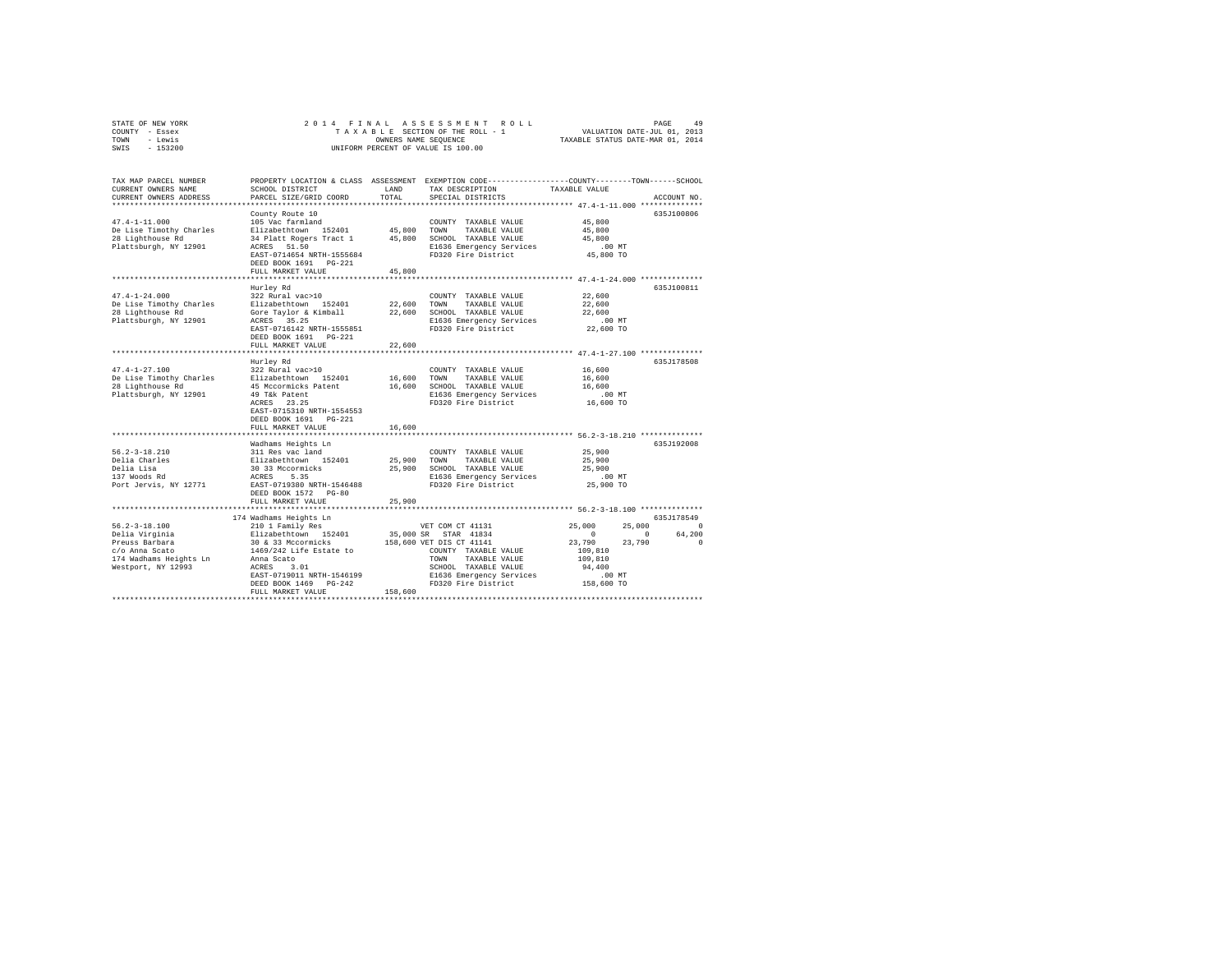| PROPERTY LOCATION & CLASS ASSESSMENT EXEMPTION CODE---------------COUNTY-------TOWN-----SCHOOL<br>TAX MAP PARCEL NUMBER<br>SCHOOL DISTRICT<br>LAND<br>TAX DESCRIPTION<br>CURRENT OWNERS NAME<br>TAXABLE VALUE                                                                                                                                                                                                                                                                                                                          |          |
|----------------------------------------------------------------------------------------------------------------------------------------------------------------------------------------------------------------------------------------------------------------------------------------------------------------------------------------------------------------------------------------------------------------------------------------------------------------------------------------------------------------------------------------|----------|
| CURRENT OWNERS ADDRESS<br>PARCEL SIZE/GRID COORD<br>TOTAL<br>SPECIAL DISTRICTS<br>ACCOUNT NO.                                                                                                                                                                                                                                                                                                                                                                                                                                          |          |
| 635J100806<br>County Route 10                                                                                                                                                                                                                                                                                                                                                                                                                                                                                                          |          |
| $47.4 - 1 - 11.000$<br>105 Vac farmland<br>45,800<br>COUNTY TAXABLE VALUE<br>De Lise Timothy Charles<br>Elizabethtown 152401<br>45,800<br>TOWN<br>TAXABLE VALUE<br>45,800<br>34 Platt Rogers Tract 1 45,800<br>28 Lighthouse Rd<br>45,800<br>SCHOOL TAXABLE VALUE<br>Plattsburgh, NY 12901<br>ACRES 51.50<br>E1636 Emergency Services<br>$.00$ MT<br>45,800 TO<br>FD320 Fire District<br>EAST-0714654 NRTH-1555684<br>DEED BOOK 1691 PG-221                                                                                            |          |
| 45,800<br>FULL MARKET VALUE                                                                                                                                                                                                                                                                                                                                                                                                                                                                                                            |          |
| Hurley Rd<br>635J100811<br>$47.4 - 1 - 24.000$<br>322 Rural vac>10<br>22,600<br>COUNTY TAXABLE VALUE                                                                                                                                                                                                                                                                                                                                                                                                                                   |          |
| De Lise Timothy Charles<br>Elizabethtown 152401<br>22,600<br>TOWN TAXABLE VALUE<br>22,600                                                                                                                                                                                                                                                                                                                                                                                                                                              |          |
| Gore Taylor & Kimball<br>28 Lighthouse Rd<br>22,600<br>SCHOOL TAXABLE VALUE<br>22,600<br>Plattsburgh, NY 12901<br>ACRES 35.25<br>E1636 Emergency Services<br>$.00$ MT                                                                                                                                                                                                                                                                                                                                                                  |          |
| 22,600 TO<br>EAST-0716142 NRTH-1555851<br>FD320 Fire District<br>DEED BOOK 1691    PG-221                                                                                                                                                                                                                                                                                                                                                                                                                                              |          |
| FULL MARKET VALUE<br>22,600                                                                                                                                                                                                                                                                                                                                                                                                                                                                                                            |          |
| **************** 47.4-1-27.100 ***************<br>Hurley Rd<br>635J178508                                                                                                                                                                                                                                                                                                                                                                                                                                                              |          |
| $47.4 - 1 - 27.100$<br>322 Rural vac>10<br>16,600<br>COUNTY TAXABLE VALUE<br>De Lise Timothy Charles<br>Elizabethtown 152401<br>16,600<br>TOWN<br>TAXABLE VALUE<br>16,600<br>28 Lighthouse Rd<br>45 Mccormicks Patent<br>16,600<br>SCHOOL TAXABLE VALUE<br>16,600<br>Plattsburgh, NY 12901<br>.00 MT<br>49 T&k Patent<br>E1636 Emergency Services<br>16,600 TO<br>FD320 Fire District<br>ACRES 23.25<br>EAST-0715310 NRTH-1554553<br>DEED BOOK 1691   PG-221                                                                           |          |
| 16,600<br>FULL MARKET VALUE                                                                                                                                                                                                                                                                                                                                                                                                                                                                                                            |          |
| ******************************* 56.2-3-18.210 **************<br>Wadhams Heights Ln<br>635J192008<br>$56.2 - 3 - 18.210$<br>25,900<br>311 Res vac land<br>Elizabethtown 152401<br>30 33 Mccormicks<br>ACRES 5.35<br>EAST-0719380 NRTH-1546488<br>COUNTY TAXABLE VALUE<br>25,900<br>Delia Charles<br>25,900<br>TOWN<br>TAXABLE VALUE<br>Delia Lisa<br>25,900 SCHOOL TAXABLE VALUE<br>25,900<br>137 Woods Rd<br>E1636 Emergency Services<br>$.00$ MT<br>Port Jervis, NY 12771<br>FD320 Fire District<br>25,900 TO<br>DEED BOOK 1572 PG-80 |          |
| FULL MARKET VALUE<br>25,900                                                                                                                                                                                                                                                                                                                                                                                                                                                                                                            |          |
| ******************** 56.2-3-18.100 **************                                                                                                                                                                                                                                                                                                                                                                                                                                                                                      |          |
| 174 Wadhams Heights Ln<br>635J178549<br>210 1 Family Res<br>25,000<br>$56.2 - 3 - 18.100$<br>25,000<br>$\sim$ 0<br>VET COM CT 41131<br>$\sim$ 0<br>64,200<br>Delia Virginia<br>35,000 SR STAR 41834<br>$\sim$ 0                                                                                                                                                                                                                                                                                                                        |          |
| Elizabethtown 152401<br>30 & 33 Mccormicks<br>158,600 VET DIS CT 41141<br>23,790<br>23,790<br>Preuss Barbara<br>c/o Anna Scato<br>1469/242 Life Estate to<br>109,810<br>COUNTY TAXABLE VALUE<br>Anna Scato<br>Anna Scato<br>ACRES 3.01<br>174 Wadhams Heights Ln<br>109,810<br>TOWN TAXABLE VALUE<br>Westport, NY 12993<br>SCHOOL TAXABLE VALUE<br>94,400<br>EAST-0719011 NRTH-1546199<br>E1636 Emergency Services<br>$.00$ MT<br>DEED BOOK 1469 PG-242<br>FD320 Fire District<br>158,600 TO                                           | $\Omega$ |
| 158,600<br>FULL MARKET VALUE                                                                                                                                                                                                                                                                                                                                                                                                                                                                                                           |          |

STATE OF NEW YORK 2 0 1 4 F I N A L A S S E S S M E N T R O L L PAGE 49 COUNTY - Essex T A X A B L E SECTION OF THE ROLL - 1 VALUATION DATE-JUL 01, 2013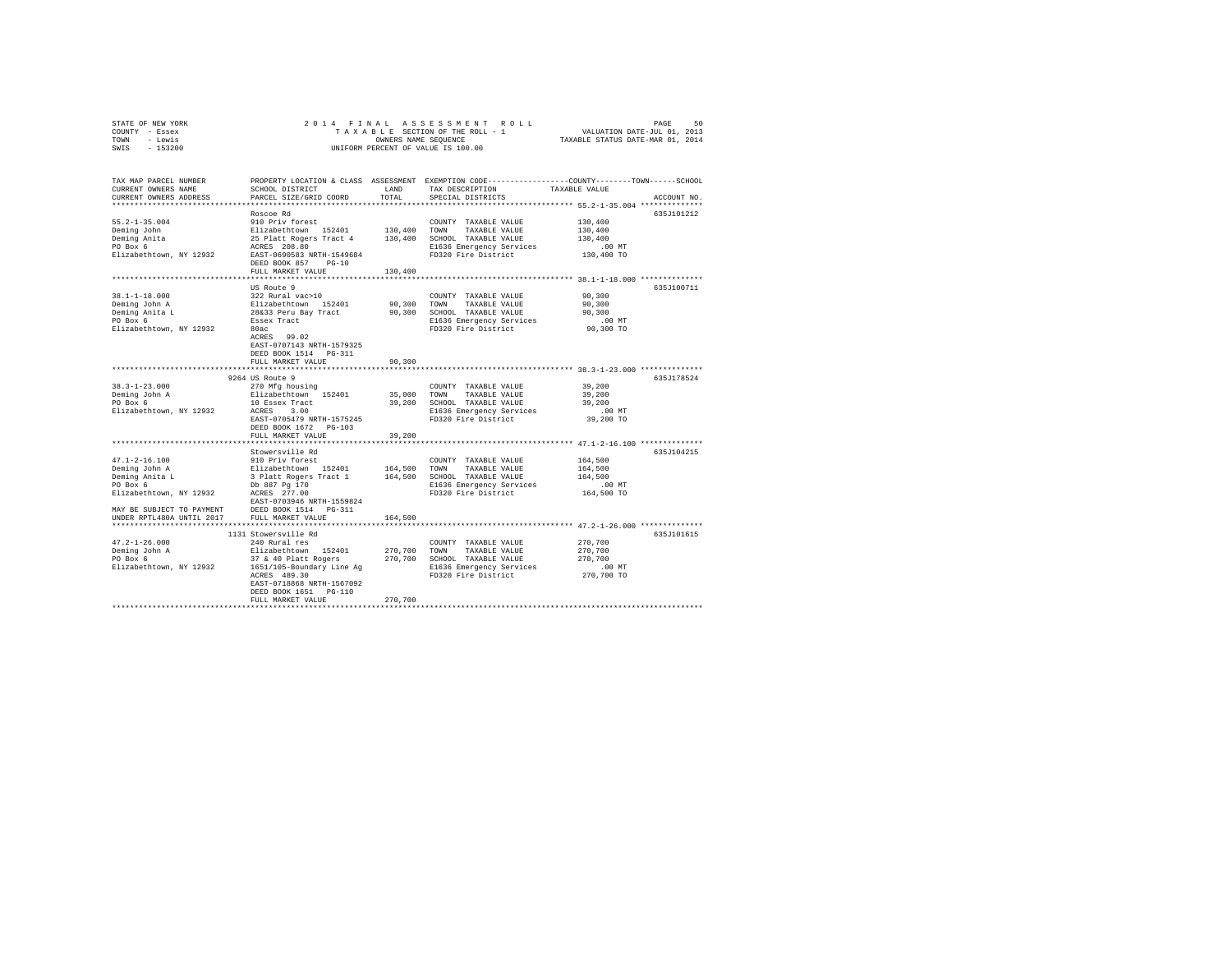| STATE OF NEW YORK | 2014 FINAL ASSESSMENT ROLL         | 50<br>PAGE                       |
|-------------------|------------------------------------|----------------------------------|
| COUNTY - Essex    | TAXABLE SECTION OF THE ROLL - 1    | VALUATION DATE-JUL 01, 2013      |
| TOWN<br>- Lewis   | OWNERS NAME SEOUENCE               | TAXABLE STATUS DATE-MAR 01, 2014 |
| - 153200<br>SWIS  | UNIFORM PERCENT OF VALUE IS 100.00 |                                  |

| TAX MAP PARCEL NUMBER<br>CURRENT OWNERS NAME<br>CURRENT OWNERS ADDRESS<br>***********************                                                       | PROPERTY LOCATION & CLASS ASSESSMENT EXEMPTION CODE---------------COUNTY-------TOWN-----SCHOOL<br>SCHOOL DISTRICT<br>PARCEL SIZE/GRID COORD                                                                                    | LAND<br>TOTAL                      | TAX DESCRIPTION<br>SPECIAL DISTRICTS                                                                                     | TAXABLE VALUE                                                                                                                                            | ACCOUNT NO  |
|---------------------------------------------------------------------------------------------------------------------------------------------------------|--------------------------------------------------------------------------------------------------------------------------------------------------------------------------------------------------------------------------------|------------------------------------|--------------------------------------------------------------------------------------------------------------------------|----------------------------------------------------------------------------------------------------------------------------------------------------------|-------------|
| $55.2 - 1 - 35.004$<br>Deming John<br>Deming Anita<br>PO Box 6<br>Elizabethtown, NY 12932                                                               | Roscoe Rd<br>910 Priv forest<br>Elizabethtown 152401<br>25 Platt Rogers Tract 4<br>ACRES 208.80<br>EAST-0690583 NRTH-1549684<br>DEED BOOK 857 PG-10<br>FULL MARKET VALUE                                                       | 130,400<br>130,400<br>130,400      | COUNTY TAXABLE VALUE<br>TOWN<br>TAXABLE VALUE<br>SCHOOL TAXABLE VALUE<br>E1636 Emergency Services<br>FD320 Fire District | 130,400<br>130,400<br>130,400<br>$.00$ MT<br>130,400 TO                                                                                                  | 635.1101212 |
| $38.1 - 1 - 18.000$<br>Deming John A<br>Deming Anita L<br>PO Box 6<br>Elizabethtown, NY 12932                                                           | US Route 9<br>322 Rural vac>10<br>Elizabethtown 152401<br>28&33 Peru Bay Tract<br>Essex Tract<br>80ac<br>ACRES 99.02<br>EAST-0707143 NRTH-1579325<br>DEED BOOK 1514   PG-311<br>FULL MARKET VALUE                              | 90,300<br>90,300<br>90,300         | COUNTY TAXABLE VALUE<br>TOWN<br>TAXABLE VALUE<br>SCHOOL TAXABLE VALUE<br>E1636 Emergency Services<br>FD320 Fire District | 90,300<br>90,300<br>90,300<br>.00 MT<br>90,300 TO                                                                                                        | 635J100711  |
| $38.3 - 1 - 23.000$<br>Deming John A<br>PO Box 6<br>Elizabethtown, NY 12932                                                                             | ***********************<br>9264 US Route 9<br>270 Mfg housing<br>Elizabethtown 152401<br>10 Essex Tract<br>ACRES 3.00<br>EAST-0705479 NRTH-1575245<br>DEED BOOK 1672 PG-103<br>FULL MARKET VALUE                               | 35,000<br>39,200<br>39,200         | COUNTY TAXABLE VALUE<br>TOWN<br>TAXABLE VALUE<br>SCHOOL TAXABLE VALUE<br>E1636 Emergency Services<br>FD320 Fire District | 39,200<br>39,200<br>39,200<br>$.00$ MT<br>39,200 TO                                                                                                      | 635J178524  |
| $47.1 - 2 - 16.100$<br>Deming John A<br>Deming Anita L<br>PO Box 6<br>Elizabethtown, NY 12932<br>MAY BE SUBJECT TO PAYMENT<br>UNDER RPTL480A UNTIL 2017 | Stowersville Rd<br>910 Priv forest<br>Elizabethtown 152401<br>3 Platt Rogers Tract 1<br>Db 887 Pg 170<br>ACRES 277.00<br>EAST-0703946 NRTH-1559824<br>DEED BOOK 1514    PG-311<br>FULL MARKET VALUE<br>*********************** | 164,500 TOWN<br>164,500<br>164,500 | COUNTY TAXABLE VALUE<br>TAXABLE VALUE<br>SCHOOL TAXABLE VALUE<br>E1636 Emergency Services<br>FD320 Fire District         | ************************ 47.1-2-16.100 ***************<br>164,500<br>164,500<br>164,500<br>.00 MT<br>164,500 TO<br>********* 47.2-1-26.000 ************* | 635J104215  |
| $47.2 - 1 - 26.000$<br>Deming John A<br>PO Box 6<br>Elizabethtown, NY 12932                                                                             | 1131 Stowersville Rd<br>240 Rural res<br>Elizabethtown 152401<br>37 & 40 Platt Rogers<br>1651/105-Boundary Line Aq<br>ACRES 489.30<br>EAST-0718868 NRTH-1567092<br>DEED BOOK 1651 PG-110<br>FULL MARKET VALUE                  | 270,700<br>270,700<br>270,700      | COUNTY TAXABLE VALUE<br>TOWN<br>TAXABLE VALUE<br>SCHOOL TAXABLE VALUE<br>E1636 Emergency Services<br>FD320 Fire District | 270,700<br>270,700<br>270,700<br>$.00$ MT<br>270,700 TO                                                                                                  | 635J101615  |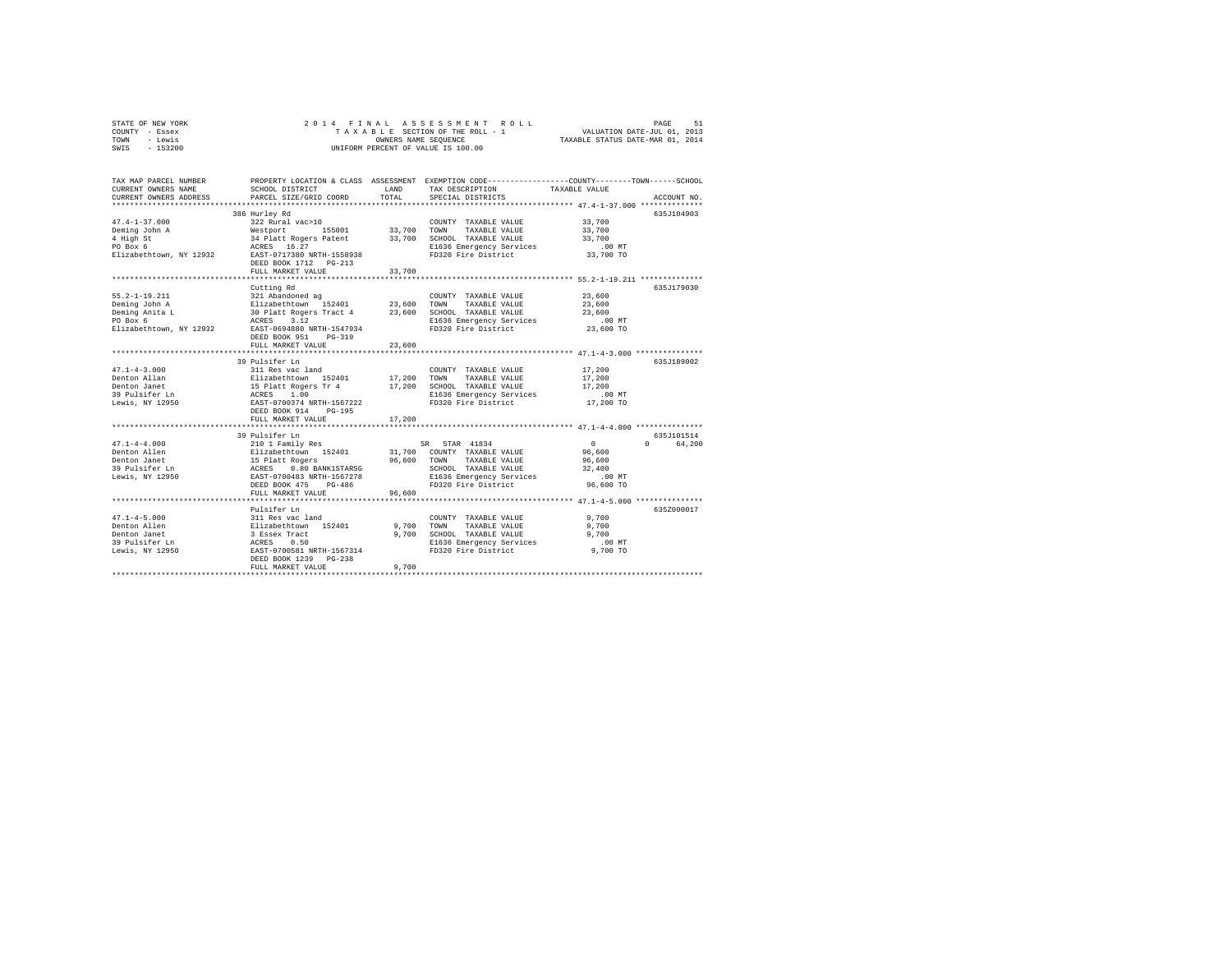| STATE OF NEW YORK | 2014 FINAL ASSESSMENT ROLL         | 51<br>PAGE                       |
|-------------------|------------------------------------|----------------------------------|
| COUNTY - Essex    | TAXABLE SECTION OF THE ROLL - 1    | VALUATION DATE-JUL 01, 2013      |
| TOWN<br>- Lewis   | OWNERS NAME SEOUENCE               | TAXABLE STATUS DATE-MAR 01, 2014 |
| $-153200$<br>SWIS | UNIFORM PERCENT OF VALUE IS 100.00 |                                  |

| TAX MAP PARCEL NUMBER<br>CURRENT OWNERS NAME<br>CURRENT OWNERS ADDRESS                                   | SCHOOL DISTRICT<br>PARCEL SIZE/GRID COORD                                                                                                                                                                                                                         | LAND<br>TOTAL           | PROPERTY LOCATION & CLASS ASSESSMENT EXEMPTION CODE---------------COUNTY-------TOWN-----SCHOOL<br>TAX DESCRIPTION<br>SPECIAL DISTRICTS           | TAXABLE VALUE                                                   | ACCOUNT NO.                           |
|----------------------------------------------------------------------------------------------------------|-------------------------------------------------------------------------------------------------------------------------------------------------------------------------------------------------------------------------------------------------------------------|-------------------------|--------------------------------------------------------------------------------------------------------------------------------------------------|-----------------------------------------------------------------|---------------------------------------|
| $47.4 - 1 - 37.000$<br>Deming John A<br>4 High St<br>PO Box 6                                            | 386 Hurley Rd<br>322 Rural vac>10<br>Westport 155001 33,700 TOWN<br>34 Platt Rogers Patent 33,700 SCHOOL TAXABLE VALUE<br>ACRES 16.27 E1636 Emergency Services<br>Elizabethtown, NY 12932 EAST-0717380 NRTH-1558938<br>DEED BOOK 1712 PG-213<br>FULL MARKET VALUE | 33,700                  | COUNTY TAXABLE VALUE<br>TAXABLE VALUE<br>FD320 Fire District                                                                                     | 33,700<br>33,700<br>33,700<br>$.00$ MT<br>33,700 TO             | 635J104903                            |
| $55.2 - 1 - 19.211$<br>Deming John A<br>Deming Anita L<br>PO Box 6<br>Elizabethtown, NY 12932            | Cutting Rd<br>321 Abandoned ag<br>511zabethtown 152401 23,600<br>30 Platt Rogers Tract 4 23,600<br>ACRES 3.12<br>NY 12932 EAST-0694880 NRTH-1547934<br>DEED BOOK 951<br>$PG-319$<br>FULL MARKET VALUE                                                             | 23,600                  | COUNTY TAXABLE VALUE<br>TOWN<br>TAXABLE VALUE<br>SCHOOL TAXABLE VALUE<br>E1636 Emergency Services<br>FD320 Fire District                         | 23,600<br>23,600<br>23,600<br>$.00$ MT<br>23,600 TO             | 635.T179030                           |
| $47.1 - 4 - 3.000$<br>Denton Allan<br>Denton Janet<br>39 Pulsifer Ln<br>Lewis, NY 12950                  | 39 Pulsifer Ln<br>311 Res vac land<br>Elizabethtown 152401<br>15 Platt Rogers Tr 4 17,200<br>ACRES 1.00<br>EAST-0700374 NRTH-1567222<br>DEED BOOK 914 PG-195                                                                                                      | 17,200 TOWN             | COUNTY TAXABLE VALUE<br>TAXABLE VALUE<br>SCHOOL TAXABLE VALUE<br>E1636 Emergency Services<br>FD320 Fire District                                 | 17,200<br>17,200<br>17,200<br>$.00$ MT<br>17,200 TO             | 635.T189002                           |
|                                                                                                          | FULL MARKET VALUE                                                                                                                                                                                                                                                 | 17,200                  |                                                                                                                                                  |                                                                 |                                       |
| $47.1 - 4 - 4.000$<br>Denton Allen<br>Denton Janet<br>39 Pulsifer Ln<br>Lewis, NY 12950                  | 39 Pulsifer Ln<br>210 1 Family Res<br>Elizabethtown 152401<br>15 Platt Rogers<br>ACRES 0.80 BANK1STARSG<br>EAST-0700483 NRTH-1567278<br>DEED BOOK 475 PG-486                                                                                                      | 96,600 TOWN             | SR STAR 41834<br>31,700 COUNTY TAXABLE VALUE<br>TAXABLE VALUE<br>SCHOOL TAXABLE VALUE<br>E1636 Emergency Services<br>FD320 Fire District         | $\sim$ 0<br>96,600<br>96,600<br>32,400<br>$.00$ MT<br>96,600 TO | 635.T101514<br>64.200<br>$\mathbf{r}$ |
|                                                                                                          | FULL MARKET VALUE<br>*************************                                                                                                                                                                                                                    | 96,600                  |                                                                                                                                                  |                                                                 |                                       |
| $47.1 - 4 - 5.000$<br>Denton Allen<br>Denton Janet<br>------- -----<br>39 Pulsifer Ln<br>Lewis, NY 12950 | Pulsifer Ln<br>311 Res vac land<br>Elizabethtown 152401<br>3 Essex Tract<br>3 2332.1 11222<br>ACRES 0.50<br>EAST-0700581 NRTH-1567314<br>DEED BOOK 1239<br>$PG-238$<br>FULL MARKET VALUE                                                                          | 9,700<br>9,700<br>9,700 | COUNTY TAXABLE VALUE<br>TOWN<br>TAXABLE VALUE<br>SCHOOL TAXABLE VALUE<br>SCHOOL TAXABLE VALUE<br>E1636 Emergency Services<br>FD320 Fire District | 9,700<br>9,700<br>9,700<br>$.00$ MT<br>9,700 TO                 | 635Z000017                            |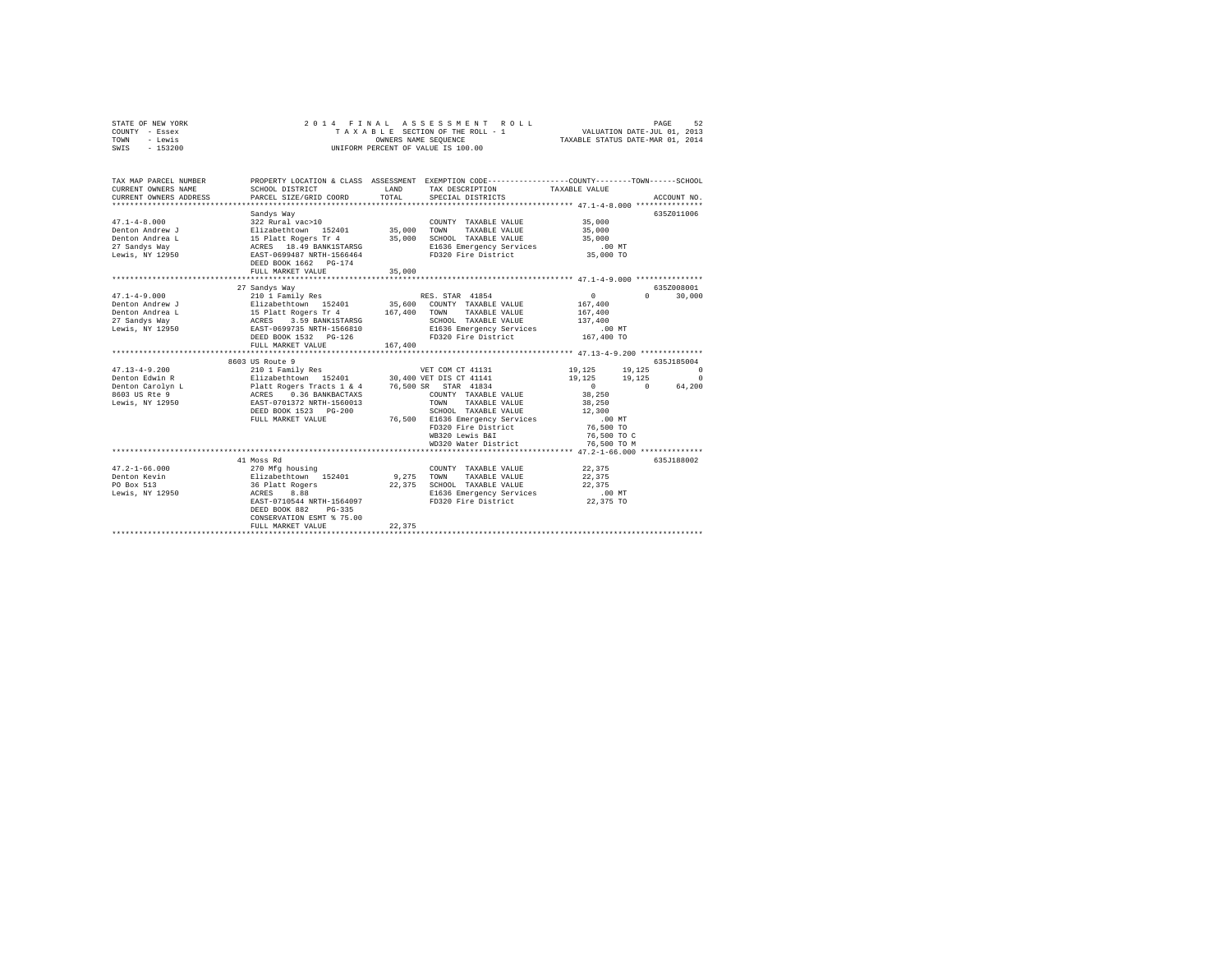| STATE OF NEW YORK<br>COUNTY - Essex<br>- Lewis<br>TOWN<br>SWIS - 153200 | 2014 FINAL                                                                                                                                                                                                                                 |         | ASSESSMENT ROLL<br>TAXABLE SECTION OF THE ROLL - 1<br>OWNERS NAME SEQUENCE<br>UNIFORM PERCENT OF VALUE IS 100.00                             | VALUATION DATE-JUL 01, 2013<br>TAXABLE STATUS DATE-MAR 01, 2014 | PAGE<br>52         |
|-------------------------------------------------------------------------|--------------------------------------------------------------------------------------------------------------------------------------------------------------------------------------------------------------------------------------------|---------|----------------------------------------------------------------------------------------------------------------------------------------------|-----------------------------------------------------------------|--------------------|
| TAX MAP PARCEL NUMBER<br>CURRENT OWNERS NAME<br>CURRENT OWNERS ADDRESS  | SCHOOL DISTRICT<br>PARCEL SIZE/GRID COORD                                                                                                                                                                                                  | TOTAL   | PROPERTY LOCATION & CLASS ASSESSMENT EXEMPTION CODE---------------COUNTY-------TOWN------SCHOOL<br>LAND TAX DESCRIPTION<br>SPECIAL DISTRICTS | TAXABLE VALUE                                                   | ACCOUNT NO.        |
|                                                                         |                                                                                                                                                                                                                                            |         |                                                                                                                                              |                                                                 | 635Z011006         |
| $47.1 - 4 - 8.000$                                                      | Sandys Way<br>322 Rural vac>10                                                                                                                                                                                                             |         | COUNTY TAXABLE VALUE                                                                                                                         | 35,000                                                          |                    |
| Denton Andrew J                                                         |                                                                                                                                                                                                                                            |         |                                                                                                                                              | 35,000                                                          |                    |
| Denton Andrea L                                                         |                                                                                                                                                                                                                                            |         |                                                                                                                                              | 35,000                                                          |                    |
| 27 Sandys Way                                                           |                                                                                                                                                                                                                                            |         | E1636 Emergency Services                                                                                                                     | .00 MT                                                          |                    |
| Lewis, NY 12950                                                         |                                                                                                                                                                                                                                            |         | FD320 Fire District                                                                                                                          | 35,000 TO                                                       |                    |
|                                                                         | DEED BOOK 1662 PG-174                                                                                                                                                                                                                      |         |                                                                                                                                              |                                                                 |                    |
|                                                                         | FULL MARKET VALUE                                                                                                                                                                                                                          | 35,000  |                                                                                                                                              |                                                                 |                    |
|                                                                         |                                                                                                                                                                                                                                            |         |                                                                                                                                              |                                                                 |                    |
|                                                                         | 27 Sandys Way                                                                                                                                                                                                                              |         |                                                                                                                                              |                                                                 | 635Z008001         |
| $47.1 - 4 - 9.000$                                                      | 210 1 Family Res                                                                                                                                                                                                                           |         |                                                                                                                                              | $\Omega$                                                        | $\Omega$<br>30,000 |
| Denton Andrew J                                                         |                                                                                                                                                                                                                                            |         | 35,600 COUNTY TAXABLE VALUE                                                                                                                  | 167,400                                                         |                    |
| Denton Andrea L                                                         |                                                                                                                                                                                                                                            |         |                                                                                                                                              | 167,400                                                         |                    |
| 27 Sandys Way                                                           | 210 1 Family Res (EX. STAR 41854<br>Elizabethcown 152401 35,600 COUNTY TAXABLE VALUE<br>15 Platt Rogers Tr 4 167,400 TOWN TAXABLE VALUE<br>ACRES 3.59 BANK1STARSG (SCHOOL TAXABLE VALUE<br>EXET-0699735 NRTH-1566810 E1636 Emergency Servi |         | SCHOOL TAXABLE VALUE                                                                                                                         | 137,400                                                         |                    |
| Lewis, NY 12950                                                         |                                                                                                                                                                                                                                            |         | E1636 Emergency Services<br>FD320 Fire District                                                                                              | .00 MT<br>167,400 TO                                            |                    |
|                                                                         | DEED BOOK 1532 PG-126<br>FULL MARKET VALUE                                                                                                                                                                                                 | 167,400 |                                                                                                                                              |                                                                 |                    |
|                                                                         | ***************************                                                                                                                                                                                                                |         |                                                                                                                                              |                                                                 |                    |
|                                                                         | 8603 US Route 9                                                                                                                                                                                                                            |         |                                                                                                                                              |                                                                 | 635J185004         |
| $47.13 - 4 - 9.200$                                                     | 210 1 Family Res                                                                                                                                                                                                                           |         | VET COM CT 41131                                                                                                                             | 19,125                                                          | 19,125 0           |
| Denton Edwin R                                                          |                                                                                                                                                                                                                                            |         |                                                                                                                                              | 19,125<br>19,125                                                | $\sim$ 0           |
| Denton Carolyn L<br>8603 US Rte 9                                       |                                                                                                                                                                                                                                            |         |                                                                                                                                              | $\sim$ 0                                                        | $\Omega$<br>64,200 |
|                                                                         |                                                                                                                                                                                                                                            |         | COUNTY TAXABLE VALUE                                                                                                                         | 38,250                                                          |                    |
| Lewis, NY 12950                                                         |                                                                                                                                                                                                                                            |         | TOWN TAXABLE VALUE                                                                                                                           | 38,250                                                          |                    |
|                                                                         | DEED BOOK 1523 PG-200                                                                                                                                                                                                                      |         | SCHOOL TAXABLE VALUE                                                                                                                         | 12,300                                                          |                    |
|                                                                         | FULL MARKET VALUE                                                                                                                                                                                                                          |         | 76,500 E1636 Emergency Services                                                                                                              | $.00$ MT                                                        |                    |
|                                                                         |                                                                                                                                                                                                                                            |         | FD320 Fire District                                                                                                                          | 76,500 TO                                                       |                    |
|                                                                         |                                                                                                                                                                                                                                            |         | WB320 Lewis B&I                                                                                                                              | 76,500 TO C                                                     |                    |
|                                                                         |                                                                                                                                                                                                                                            |         | WD320 Water District                                                                                                                         | 76,500 TO M                                                     |                    |
|                                                                         |                                                                                                                                                                                                                                            |         |                                                                                                                                              |                                                                 |                    |
|                                                                         | 41 Moss Rd                                                                                                                                                                                                                                 |         |                                                                                                                                              |                                                                 | 635J188002         |
| $47.2 - 1 - 66.000$                                                     | 270 Mfg housing                                                                                                                                                                                                                            |         | COUNTY TAXABLE VALUE                                                                                                                         | 22,375                                                          |                    |
| Denton Kevin<br>PO Box 513                                              | Elizabethtown 152401                                                                                                                                                                                                                       |         | 9,275 TOWN TAXABLE VALUE<br>22.375 SCHOOL TAXABLE VALUE                                                                                      | 22,375<br>22,375                                                |                    |
| Lewis, NY 12950                                                         | 36 Platt Rogers<br>ACRES 8.88                                                                                                                                                                                                              |         | E1636 Emergency Services                                                                                                                     | $.00$ MT                                                        |                    |
|                                                                         | EAST-0710544 NRTH-1564097                                                                                                                                                                                                                  |         | FD320 Fire District 22.375 TO                                                                                                                |                                                                 |                    |
|                                                                         | DEED BOOK 882 PG-335                                                                                                                                                                                                                       |         |                                                                                                                                              |                                                                 |                    |
|                                                                         | CONSERVATION ESMT % 75.00                                                                                                                                                                                                                  |         |                                                                                                                                              |                                                                 |                    |
|                                                                         | FULL MARKET VALUE                                                                                                                                                                                                                          | 22.375  |                                                                                                                                              |                                                                 |                    |
|                                                                         |                                                                                                                                                                                                                                            |         |                                                                                                                                              |                                                                 |                    |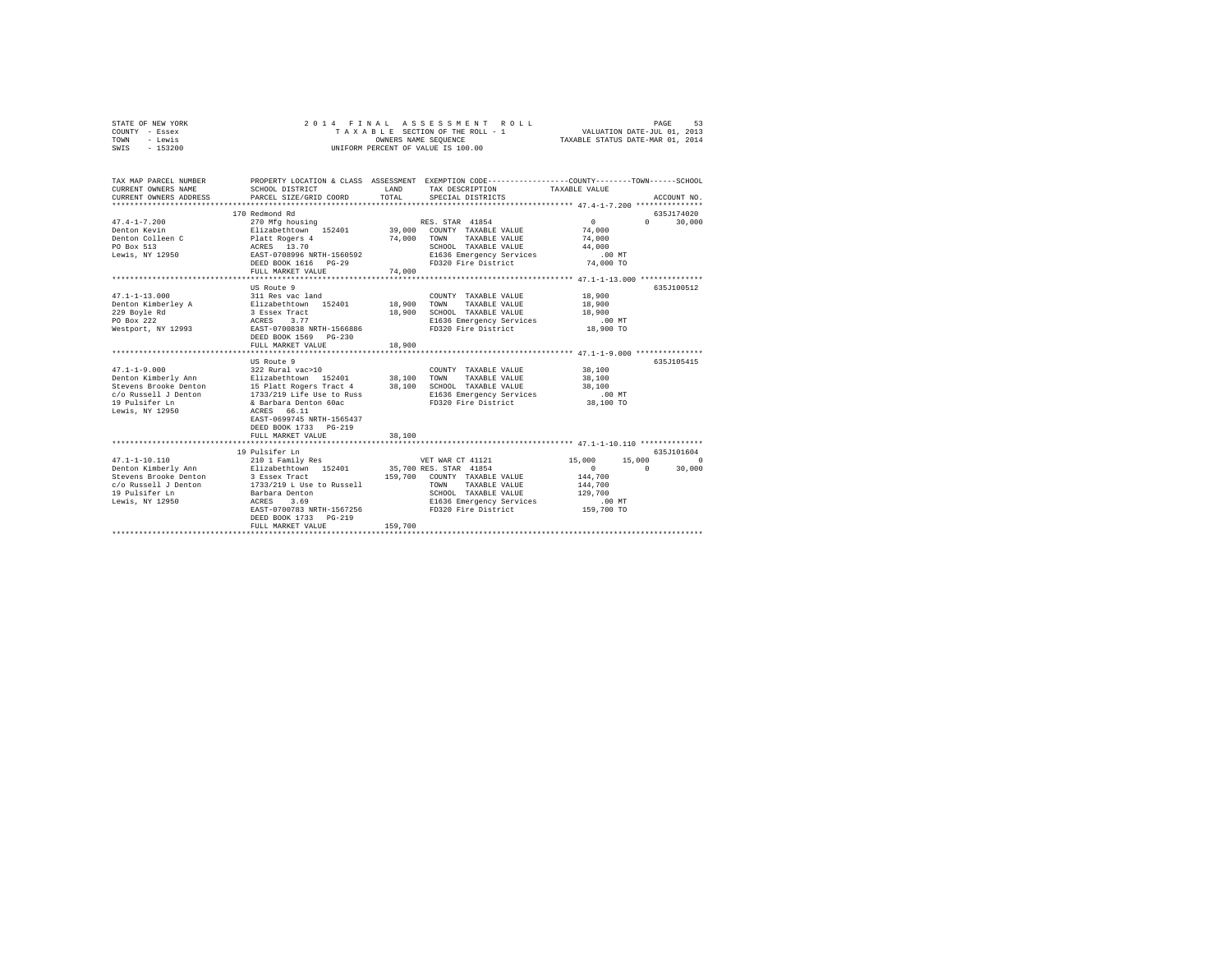| - Lewis<br>TOWN<br>$-153200$<br>SWIS                                                                                             | TAXABLE STATUS DATE-MAR 01, 2014<br>OWNERS NAME SEQUENCE<br>UNIFORM PERCENT OF VALUE IS 100.00                                                                                                               |                            |                                                                                                                                                                        |                                                                              |                    |                      |
|----------------------------------------------------------------------------------------------------------------------------------|--------------------------------------------------------------------------------------------------------------------------------------------------------------------------------------------------------------|----------------------------|------------------------------------------------------------------------------------------------------------------------------------------------------------------------|------------------------------------------------------------------------------|--------------------|----------------------|
|                                                                                                                                  |                                                                                                                                                                                                              |                            |                                                                                                                                                                        |                                                                              |                    |                      |
| TAX MAP PARCEL NUMBER<br>CURRENT OWNERS NAME<br>CURRENT OWNERS ADDRESS                                                           | PROPERTY LOCATION & CLASS ASSESSMENT EXEMPTION CODE----------------COUNTY-------TOWN------SCHOOL<br>SCHOOL DISTRICT<br>PARCEL SIZE/GRID COORD<br>***************************                                 | LAND<br>TOTAL              | TAX DESCRIPTION<br>SPECIAL DISTRICTS                                                                                                                                   | TAXABLE VALUE<br>************* 47.4-1-7.200 ***************                  |                    | ACCOUNT NO.          |
| $47.4 - 1 - 7.200$<br>Denton Kevin<br>Denton Colleen C<br>PO Box 513<br>Lewis, NY 12950                                          | 170 Redmond Rd<br>270 Mfg housing<br>Elizabethtown 152401<br>Platt Rogers 4<br>ACRES 13.70<br>EAST-0708996 NRTH-1560592<br>DEED BOOK 1616 PG-29<br>FULL MARKET VALUE                                         | 74,000<br>74,000           | RES. STAR 41854<br>39,000 COUNTY TAXABLE VALUE<br>TOWN<br>TAXABLE VALUE<br>SCHOOL TAXABLE VALUE<br>E1636 Emergency Services<br>FD320 Fire District                     | $\Omega$<br>74,000<br>74,000<br>44,000<br>.00MT<br>74,000 TO                 | $\cap$             | 635J174020<br>30,000 |
|                                                                                                                                  | US Route 9                                                                                                                                                                                                   |                            |                                                                                                                                                                        |                                                                              |                    | 635J100512           |
| $47.1 - 1 - 13.000$<br>Denton Kimberley A<br>229 Boyle Rd<br>PO Box 222<br>Westport, NY 12993                                    | 311 Res vac land<br>Elizabethtown 152401<br>3 Essex Tract<br>ACRES 3.77<br>EAST-0700838 NRTH-1566886<br>DEED BOOK 1569 PG-230<br>FULL MARKET VALUE                                                           | 18,900<br>18,900<br>18,900 | COUNTY TAXABLE VALUE<br>TOWN<br>TAXABLE VALUE<br>SCHOOL TAXABLE VALUE<br>E1636 Emergency Services<br>FD320 Fire District                                               | 18,900<br>18,900<br>18,900<br>$.00$ MT<br>18,900 TO                          |                    |                      |
|                                                                                                                                  |                                                                                                                                                                                                              |                            |                                                                                                                                                                        |                                                                              |                    |                      |
| $47.1 - 1 - 9.000$<br>Denton Kimberly Ann<br>Stevens Brooke Denton<br>c/o Russell J Denton<br>19 Pulsifer Ln<br>Lewis, NY 12950  | US Route 9<br>322 Rural vac>10<br>Elizabethtown 152401<br>15 Platt Rogers Tract 4<br>1733/219 Life Use to Russ<br>& Barbara Denton 60ac<br>ACRES 66.11<br>EAST-0699745 NRTH-1565437<br>DEED BOOK 1733 PG-219 | 38,100<br>38,100           | COUNTY TAXABLE VALUE<br>TAXABLE VALUE<br>TOWN<br>SCHOOL TAXABLE VALUE<br>E1636 Emergency Services<br>FD320 Fire District                                               | 38,100<br>38,100<br>38,100<br>.00MT<br>38,100 TO                             |                    | 635J105415           |
|                                                                                                                                  | FULL MARKET VALUE<br>**********************                                                                                                                                                                  | 38,100                     | ******************************** 47.1-1-10.110 ***************                                                                                                         |                                                                              |                    |                      |
|                                                                                                                                  | 19 Pulsifer Ln                                                                                                                                                                                               |                            |                                                                                                                                                                        |                                                                              |                    | 635J101604           |
| $47.1 - 1 - 10.110$<br>Denton Kimberly Ann<br>Stevens Brooke Denton<br>c/o Russell J Denton<br>19 Pulsifer Ln<br>Lewis, NY 12950 | 210 1 Family Res<br>Elizabethtown 152401<br>3 Essex Tract<br>1733/219 L Use to Russell<br>Barbara Denton<br>3.69<br>ACRES<br>EAST-0700783 NRTH-1567256<br>DEED BOOK 1733 PG-219<br>FULL MARKET VALUE         | 159,700<br>159,700         | VET WAR CT 41121<br>35,700 RES. STAR 41854<br>COUNTY TAXABLE VALUE<br>TAXABLE VALUE<br>TOWN<br>SCHOOL TAXABLE VALUE<br>E1636 Emergency Services<br>FD320 Fire District | 15,000<br>$\circ$<br>144,700<br>144,700<br>129,700<br>$.00$ MT<br>159,700 TO | 15,000<br>$\Omega$ | $\Omega$<br>30,000   |

STATE OF NEW YORK 2 0 1 4 F I N A L A S S E S S M E N T R O L L PAGE 53 COUNTY - Essex T A X A B L E SECTION OF THE ROLL - 1 VALUATION DATE-JUL 01, 2013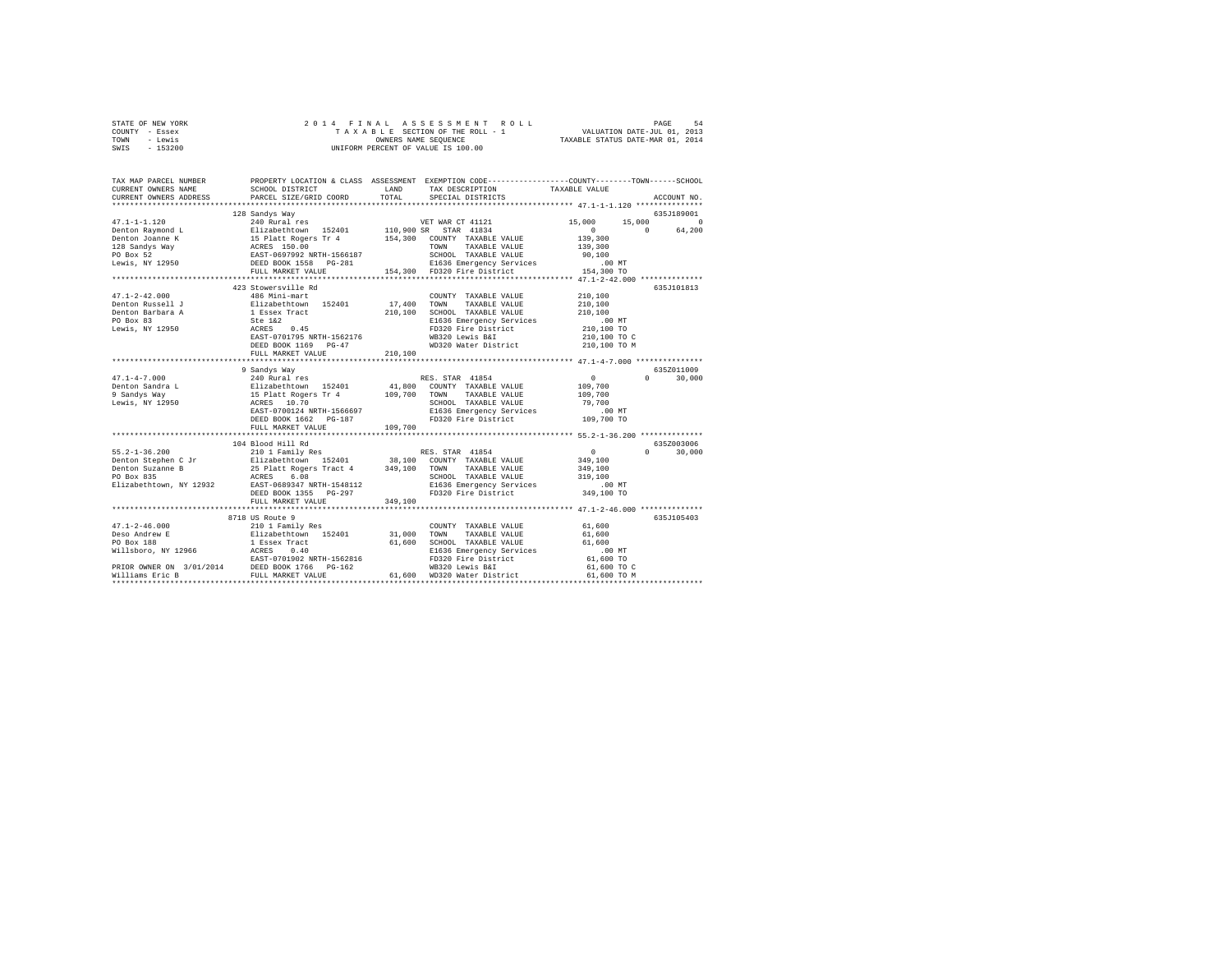| STATE OF NEW YORK | 2014 FINAL ASSESSMENT ROLL         | 54<br>PAGE                       |
|-------------------|------------------------------------|----------------------------------|
| COUNTY - Essex    | TAXABLE SECTION OF THE ROLL - 1    | VALUATION DATE-JUL 01, 2013      |
| TOWN<br>- Lewis   | OWNERS NAME SEOUENCE               | TAXABLE STATUS DATE-MAR 01, 2014 |
| $-153200$<br>SWIS | UNIFORM PERCENT OF VALUE IS 100.00 |                                  |

| TAX MAP PARCEL NUMBER<br>CURRENT OWNERS NAME<br>CURRENT OWNERS ADDRESS                                                                                                                                                | SCHOOL DISTRICT<br>PARCEL SIZE/GRID COORD                                                                                                | <b>T.AND</b><br>TOTAL                   | PROPERTY LOCATION & CLASS ASSESSMENT EXEMPTION CODE---------------COUNTY-------TOWN-----SCHOOL<br>TAX DESCRIPTION TAXABLE VALUE<br>SPECIAL DISTRICTS                        |                                                                                   | ACCOUNT NO.                                            |
|-----------------------------------------------------------------------------------------------------------------------------------------------------------------------------------------------------------------------|------------------------------------------------------------------------------------------------------------------------------------------|-----------------------------------------|-----------------------------------------------------------------------------------------------------------------------------------------------------------------------------|-----------------------------------------------------------------------------------|--------------------------------------------------------|
|                                                                                                                                                                                                                       | 128 Sandys Way                                                                                                                           |                                         | E1636 Emergency Services<br>FD320 Fire District 15                                                                                                                          | 15,000<br>$\mathbf{0}$<br>139,300<br>139,300<br>90,100<br>.00 MT                  | 635J189001<br>15,000<br>$\Omega$<br>64.200<br>$\Omega$ |
| $47.1 - 2 - 42.000$                                                                                                                                                                                                   | FULL MARKET VALUE<br>423 Stowersville Rd<br>486 Mini-mart                                                                                |                                         | 154,300 FD320 Fire District<br>COUNTY TAXABLE VALUE                                                                                                                         | 154,300 TO<br>********** 47.1-2-42.000 *************<br>210,100                   | 635J101813                                             |
| Denton Russell J<br>Denton Barbara A<br>PO Box 83<br>Lewis, NY 12950                                                                                                                                                  | Elizabethtown 152401<br>1 Essex Tract<br>Ste 1&2<br>ACRES 0.45<br>EAST-0701795 NRTH-1562176<br>DEED BOOK 1169 PG-47<br>FULL MARKET VALUE | 17,400 TOWN<br>210,100                  | TAXABLE VALUE<br>210,100 SCHOOL TAXABLE VALUE<br>E1636 Emergency Services<br>FD320 Fire District<br>WP320 Lewis BST<br>WB320 Lewis B&I<br>WD320 Water District 210,100 TO M | 210,100<br>210,100<br>$.00$ MT<br>210,100 TO<br>210,100 TO C                      |                                                        |
|                                                                                                                                                                                                                       |                                                                                                                                          |                                         |                                                                                                                                                                             |                                                                                   |                                                        |
| $47.1 - 4 - 7.000$<br>Penton Sandra Land and Elizabethtown 152401 41,800 COUNTY TAXABLE VALUE<br>29 Sandra Way 152401 152401 41,800 COUNTY TAXABLE VALUE<br>Lewis, NY 12950 1295 ACRES 10.70 100 SCHOOL TAXABLE VALUE | 9 Sandys Way<br>240 Rural res<br>EAST-0700124 NRTH-1566697<br>DEED BOOK 1662 PG-187<br>FULL MARKET VALUE                                 | 109,700                                 | RES. STAR 41854<br>COUNTY TAXABLE VALUE<br>SCHOOL TAXABLE VALUE<br>E1636 Emergency Services<br>FD320 Fire District                                                          | $\sim$ 0<br>109,700<br>109,700<br>79,700<br>.00 MT<br>109,700 TO                  | 635Z011009<br>$0 \t 30,000$                            |
|                                                                                                                                                                                                                       | **************************<br>104 Blood Hill Rd                                                                                          |                                         |                                                                                                                                                                             |                                                                                   | 635Z003006                                             |
| $55.2 - 1 - 36.200$<br>Elizabethtown, NY 12932 EAST-0689347 NRTH-1548112                                                                                                                                              | 210 1 Family Res RES. STAR 41854<br>DEED BOOK 1355 PG-297                                                                                |                                         | E1636 Emergency Services<br>FD320 Fire District                                                                                                                             | $\sim$ 0<br>349,100<br>349,100<br>319,100<br>.00 MT<br>349,100 TO                 | $\Omega$<br>30,000                                     |
|                                                                                                                                                                                                                       | FULL MARKET VALUE<br>**************************                                                                                          | 349,100<br>**************************** |                                                                                                                                                                             | **************** 47.1-2-46.000 **************                                     |                                                        |
| PRIOR OWNER ON 3/01/2014 DEED BOOK 1766 PG-162<br>Williams Eric B                                                                                                                                                     | 8718 US Route 9<br>avabə 0.40<br>EAST-0701902 NRTH-1562816<br>DRPD BOOK 1566<br>FULL MARKET VALUE                                        | 31,000<br>61,600                        | COUNTY TAXABLE VALUE<br>TOWN<br>TAXABLE VALUE<br>61,600 SCHOOL TAXABLE VALUE<br>E1636 Emergency Services<br>FD320 Fire District<br>WB320 Lewis B&I<br>WD320 Water District  | 61,600<br>61,600<br>61,600<br>00 MT.<br>61,600 TO<br>$61,600$ TO C<br>61,600 TO M | 635J105403                                             |
|                                                                                                                                                                                                                       |                                                                                                                                          |                                         |                                                                                                                                                                             |                                                                                   |                                                        |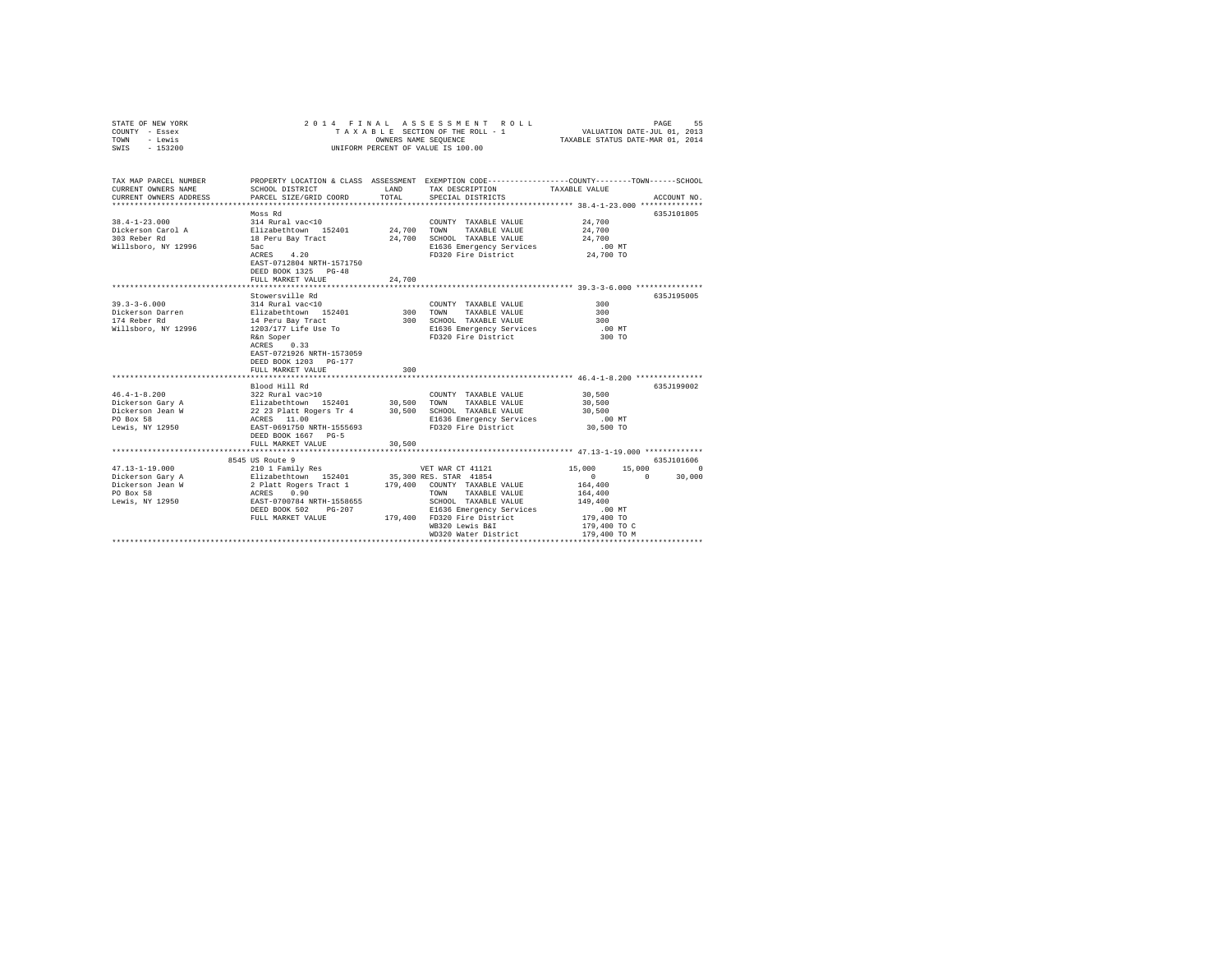| STATE OF NEW YORK<br>COUNTY - Essex<br>TOWN - Lewis<br>SWIS - 153200 |                                                                                                                                                                                                                                                |             | 2014 FINAL ASSESSMENT ROLL<br>TAXABLE SECTION OF THE ROLL - 1<br>OWNERS NAME SEOUENCE<br>UNIFORM PERCENT OF VALUE IS 100.00 | VALUATION DATE-JUL 01, 2013<br>TAXABLE STATUS DATE-MAR 01, 2014 | PAGE<br>55  |
|----------------------------------------------------------------------|------------------------------------------------------------------------------------------------------------------------------------------------------------------------------------------------------------------------------------------------|-------------|-----------------------------------------------------------------------------------------------------------------------------|-----------------------------------------------------------------|-------------|
| TAX MAP PARCEL NUMBER<br>CURRENT OWNERS NAME                         | SCHOOL DISTRICT                                                                                                                                                                                                                                | LAND        | PROPERTY LOCATION & CLASS ASSESSMENT EXEMPTION CODE---------------COUNTY-------TOWN-----SCHOOL<br>TAX DESCRIPTION           | TAXABLE VALUE                                                   |             |
| CURRENT OWNERS ADDRESS                                               | PARCEL SIZE/GRID COORD                                                                                                                                                                                                                         | TOTAL       | SPECIAL DISTRICTS                                                                                                           |                                                                 | ACCOUNT NO. |
|                                                                      |                                                                                                                                                                                                                                                |             |                                                                                                                             |                                                                 |             |
| $38.4 - 1 - 23.000$                                                  | Moss Rd<br>314 Rural vac<10                                                                                                                                                                                                                    |             |                                                                                                                             | 24,700                                                          | 635J101805  |
| Dickerson Carol A                                                    |                                                                                                                                                                                                                                                | 24,700 TOWN | COUNTY TAXABLE VALUE<br>TAXABLE VALUE                                                                                       | 24,700                                                          |             |
| 303 Reber Rd                                                         | Elizabethtown 152401<br>18 Peru Bay Tract                                                                                                                                                                                                      |             | 24.700 SCHOOL TAXABLE VALUE                                                                                                 | 24,700                                                          |             |
| Willsboro, NY 12996                                                  | 5ac                                                                                                                                                                                                                                            |             | E1636 Emergency Services                                                                                                    | .00 MT                                                          |             |
|                                                                      | $ACRES$ 4.20                                                                                                                                                                                                                                   |             | FD320 Fire District                                                                                                         | 24,700 TO                                                       |             |
|                                                                      | EAST-0712804 NRTH-1571750                                                                                                                                                                                                                      |             |                                                                                                                             |                                                                 |             |
|                                                                      | DEED BOOK 1325 PG-48                                                                                                                                                                                                                           |             |                                                                                                                             |                                                                 |             |
|                                                                      | FULL MARKET VALUE                                                                                                                                                                                                                              | 24,700      |                                                                                                                             |                                                                 |             |
|                                                                      |                                                                                                                                                                                                                                                |             |                                                                                                                             |                                                                 |             |
| $39.3 - 3 - 6.000$                                                   | Stowersville Rd<br>314 Rural vac<10                                                                                                                                                                                                            |             |                                                                                                                             | 300                                                             | 635J195005  |
| Dickerson Darren                                                     | Elizabethtown 152401                                                                                                                                                                                                                           |             | COUNTY TAXABLE VALUE<br>300 TOWN TAXABLE VALUE                                                                              | 300                                                             |             |
| 174 Reber Rd                                                         |                                                                                                                                                                                                                                                |             | 300 SCHOOL TAXABLE VALUE                                                                                                    | 300                                                             |             |
| Willsboro, NY 12996                                                  | 14 Peru Bay Tract<br>1203/177 Life Use To                                                                                                                                                                                                      |             | E1636 Emergency Services                                                                                                    | $.00$ MT                                                        |             |
|                                                                      | R&n Soper                                                                                                                                                                                                                                      |             | FD320 Fire District                                                                                                         | 300 TO                                                          |             |
|                                                                      | ACRES 0.33                                                                                                                                                                                                                                     |             |                                                                                                                             |                                                                 |             |
|                                                                      | EAST-0721926 NRTH-1573059                                                                                                                                                                                                                      |             |                                                                                                                             |                                                                 |             |
|                                                                      | DEED BOOK 1203 PG-177                                                                                                                                                                                                                          |             |                                                                                                                             |                                                                 |             |
|                                                                      | FULL MARKET VALUE                                                                                                                                                                                                                              | 300         |                                                                                                                             |                                                                 |             |
|                                                                      |                                                                                                                                                                                                                                                |             |                                                                                                                             | ************************* 46.4-1-8.200 ****************         |             |
|                                                                      | Blood Hill Rd                                                                                                                                                                                                                                  |             |                                                                                                                             |                                                                 | 635J199002  |
| $46.4 - 1 - 8.200$                                                   |                                                                                                                                                                                                                                                |             |                                                                                                                             | 30,500<br>30,500                                                |             |
| Dickerson Gary A<br>Dickerson Jean W                                 |                                                                                                                                                                                                                                                |             |                                                                                                                             | 30,500                                                          |             |
| PO Box 58                                                            | COUNTY TAXABLE VALUE<br>1922 Rural vac>10<br>212 Rural vac>10<br>22 Rural vac>10<br>22 Rural vacanos 152401<br>22 Rural vacanos 1636 Emergency Services<br>22 Rural vacanos TaxaBLE VALUE<br>22 Rural vacanos TaxaBLE Value<br>22 Rural vacano |             | E1636 Emergency Services                                                                                                    | $.00$ MT                                                        |             |
| Lewis, NY 12950                                                      | EAST-0691750 NRTH-1555693                                                                                                                                                                                                                      |             | FD320 Fire District                                                                                                         | 30,500 TO                                                       |             |
|                                                                      | DEED BOOK 1667 PG-5                                                                                                                                                                                                                            |             |                                                                                                                             |                                                                 |             |
|                                                                      | FULL MARKET VALUE                                                                                                                                                                                                                              | 30,500      |                                                                                                                             |                                                                 |             |
|                                                                      | *************************                                                                                                                                                                                                                      |             | ********************************** 47.13-1-19.000 *************                                                             |                                                                 |             |
|                                                                      | 8545 US Route 9                                                                                                                                                                                                                                |             |                                                                                                                             |                                                                 | 635J101606  |
| $47.13 - 1 - 19.000$                                                 | 210 1 Family Res                                                                                                                                                                                                                               |             | VET WAR CT 41121                                                                                                            | $15,000$<br>0                                                   | 15,000 0    |
| Dickerson Gary A                                                     | var war CT 41121<br>2 Blizabethtown 152401 35,300 RES. STAR 41854                                                                                                                                                                              |             |                                                                                                                             | $\sim$ 0                                                        | 30,000      |
| Dickerson Jean W<br>PO Box 58                                        |                                                                                                                                                                                                                                                |             |                                                                                                                             | 164,400<br>164,400                                              |             |
| Lewis, NY 12950                                                      |                                                                                                                                                                                                                                                |             |                                                                                                                             | 149,400                                                         |             |
|                                                                      | 2 Platt Rogers Tract 1 179,400 COUNTY TAXABLE VALUE<br>ACRES 0.90 TOWN TAXABLE VALUE<br>EAST-0700784 NRTH-1558655 SCHOOL TAXABLE VALUE<br>DEED BOOK 502 PG-207 E1636 Emergency Services                                                        |             | E1636 Emergency Services                                                                                                    | $.00$ MT                                                        |             |
|                                                                      | FULL MARKET VALUE                                                                                                                                                                                                                              |             | 179,400 FD320 Fire District                                                                                                 | 179,400 TO                                                      |             |
|                                                                      |                                                                                                                                                                                                                                                |             | WB320 Lewis B&I                                                                                                             | 179,400 TO C                                                    |             |
|                                                                      |                                                                                                                                                                                                                                                |             | WD320 Water District                                                                                                        | 179,400 TO M                                                    |             |
|                                                                      |                                                                                                                                                                                                                                                |             |                                                                                                                             |                                                                 |             |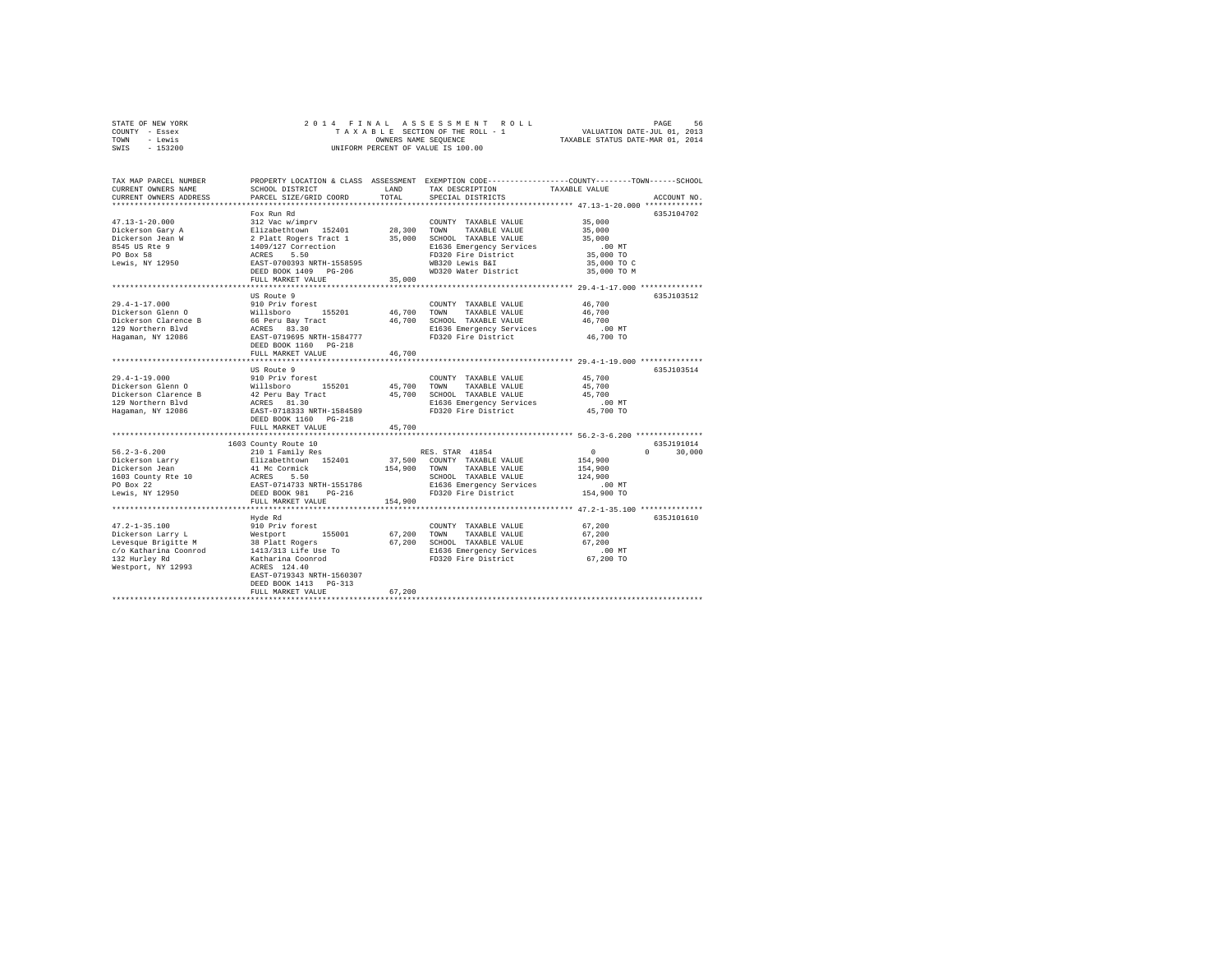| STATE OF NEW YORK | 2014 FINAL ASSESSMENT ROLL         | 56<br>PAGE                       |
|-------------------|------------------------------------|----------------------------------|
| COUNTY - Essex    | TAXABLE SECTION OF THE ROLL - 1    | VALUATION DATE-JUL 01, 2013      |
| TOWN<br>- Lewis   | OWNERS NAME SEOUENCE               | TAXABLE STATUS DATE-MAR 01, 2014 |
| $-153200$<br>SWIS | UNIFORM PERCENT OF VALUE IS 100.00 |                                  |

| TAX MAP PARCEL NUMBER<br>CURRENT OWNERS NAME<br>CURRENT OWNERS ADDRESS | SCHOOL DISTRICT<br>PARCEL SIZE/GRID COORD                               | LAND<br>TOTAL.   | PROPERTY LOCATION & CLASS ASSESSMENT EXEMPTION CODE---------------COUNTY-------TOWN-----SCHOOL<br>TAX DESCRIPTION<br>SPECIAL DISTRICTS | TAXABLE VALUE                        | ACCOUNT NO.        |
|------------------------------------------------------------------------|-------------------------------------------------------------------------|------------------|----------------------------------------------------------------------------------------------------------------------------------------|--------------------------------------|--------------------|
| $47.13 - 1 - 20.000$                                                   | Fox Run Rd<br>312 Vac w/imprv                                           |                  | COUNTY TAXABLE VALUE                                                                                                                   | 35,000                               | 635J104702         |
| Dickerson Gary A<br>Dickerson Jean W                                   | Elizabethtown 152401<br>2 Platt Rogers Tract 1                          | 28,300<br>35,000 | TOWN<br>TAXABLE VALUE<br>SCHOOL TAXABLE VALUE                                                                                          | 35,000<br>35,000                     |                    |
| 8545 US Rte 9<br>PO Box 58<br>Lewis, NY 12950                          | 1409/127 Correction<br>ACRES 5.50<br>EAST-0700393 NRTH-1558595          |                  | E1636 Emergency Services<br>FD320 Fire District<br>WB320 Lewis B&I                                                                     | $.00$ MT<br>35,000 TO<br>35,000 TO C |                    |
|                                                                        | DEED BOOK 1409 PG-206<br>FULL MARKET VALUE                              | 35,000           | WD320 Water District                                                                                                                   | 35,000 TO M                          |                    |
|                                                                        | US Route 9                                                              |                  |                                                                                                                                        |                                      | 635J103512         |
| $29.4 - 1 - 17.000$                                                    | 910 Priv forest                                                         |                  | COUNTY TAXABLE VALUE                                                                                                                   | 46,700                               |                    |
| Dickerson Glenn O                                                      | Willsboro<br>155201                                                     | 46,700           | TOWN<br>TAXABLE VALUE                                                                                                                  | 46,700                               |                    |
| Dickerson Clarence B                                                   | 66 Peru Bay Tract                                                       | 46,700           | SCHOOL TAXABLE VALUE                                                                                                                   | 46.700                               |                    |
| 129 Northern Blvd                                                      | ACRES 83.30                                                             |                  | E1636 Emergency Services                                                                                                               | .00 MT                               |                    |
| Hagaman, NY 12086                                                      | EAST-0719695 NRTH-1584777<br>DEED BOOK 1160 PG-218<br>FULL MARKET VALUE | 46,700           | FD320 Fire District                                                                                                                    | 46,700 TO                            |                    |
|                                                                        |                                                                         | .                | *********************************** 29.4-1-19.000 **************                                                                       |                                      |                    |
|                                                                        | US Route 9                                                              |                  |                                                                                                                                        |                                      | 635J103514         |
| $29.4 - 1 - 19.000$                                                    | 910 Priv forest                                                         |                  | COUNTY TAXABLE VALUE                                                                                                                   | 45,700                               |                    |
| Dickerson Glenn O                                                      | 155201<br>Willsboro                                                     | 45,700           | TOWN<br>TAXABLE VALUE                                                                                                                  | 45,700                               |                    |
| Dickerson Clarence B                                                   | 42 Peru Bay Tract                                                       | 45,700           | SCHOOL TAXABLE VALUE                                                                                                                   | 45,700                               |                    |
| 129 Northern Blvd                                                      | ACRES 81.30                                                             |                  | E1636 Emergency Services                                                                                                               | $.00$ MT                             |                    |
| Hagaman, NY 12086                                                      | EAST-0718333 NRTH-1584589<br>DEED BOOK 1160 PG-218                      |                  | FD320 Fire District                                                                                                                    | 45,700 TO                            |                    |
|                                                                        | FULL MARKET VALUE                                                       | 45,700           |                                                                                                                                        |                                      |                    |
|                                                                        | 1603 County Route 10                                                    |                  |                                                                                                                                        |                                      | 635J191014         |
| $56.2 - 3 - 6.200$                                                     | 210 1 Family Res                                                        |                  | RES. STAR 41854                                                                                                                        | $\circ$                              | $\Omega$<br>30,000 |
| Dickerson Larry                                                        | Elizabethtown 152401                                                    |                  | 37,500 COUNTY TAXABLE VALUE                                                                                                            | 154,900                              |                    |
| Dickerson Jean                                                         | 41 Mc Cormick                                                           | 154,900          | TAXABLE VALUE<br>TOWN                                                                                                                  | 154,900                              |                    |
| 1603 County Rte 10                                                     | ACRES 5.50                                                              |                  | SCHOOL TAXABLE VALUE                                                                                                                   | 124,900                              |                    |
| PO Box 22                                                              | EAST-0714733 NRTH-1551786<br>DEED BOOK 981 PG-216                       |                  | E1636 Emergency Services                                                                                                               | .00MT                                |                    |
| Lewis, NY 12950                                                        |                                                                         |                  | FD320 Fire District                                                                                                                    | 154,900 TO                           |                    |
|                                                                        | FULL MARKET VALUE                                                       | 154,900          |                                                                                                                                        |                                      |                    |
|                                                                        |                                                                         |                  |                                                                                                                                        |                                      | 635J101610         |
| $47.2 - 1 - 35.100$                                                    | Hyde Rd<br>910 Priv forest                                              |                  | COUNTY TAXABLE VALUE                                                                                                                   | 67.200                               |                    |
| Dickerson Larry L                                                      | Westport<br>155001                                                      | 67,200           | TOWN<br>TAXABLE VALUE                                                                                                                  | 67,200                               |                    |
| Levesque Brigitte M                                                    |                                                                         | 67.200           | SCHOOL TAXABLE VALUE                                                                                                                   | 67,200                               |                    |
| c/o Katharina Coonrod                                                  | 38 Platt Rogers<br>1413/313 Life Use To                                 |                  | E1636 Emergency Services                                                                                                               | .00 MT                               |                    |
| 132 Hurley Rd                                                          | Katharina Coonrod                                                       |                  | FD320 Fire District                                                                                                                    | 67,200 TO                            |                    |
| Westport, NY 12993                                                     | ACRES 124.40<br>EAST-0719343 NRTH-1560307                               |                  |                                                                                                                                        |                                      |                    |
|                                                                        | DEED BOOK 1413 PG-313<br>FULL MARKET VALUE                              | 67.200           |                                                                                                                                        |                                      |                    |
|                                                                        |                                                                         |                  |                                                                                                                                        |                                      |                    |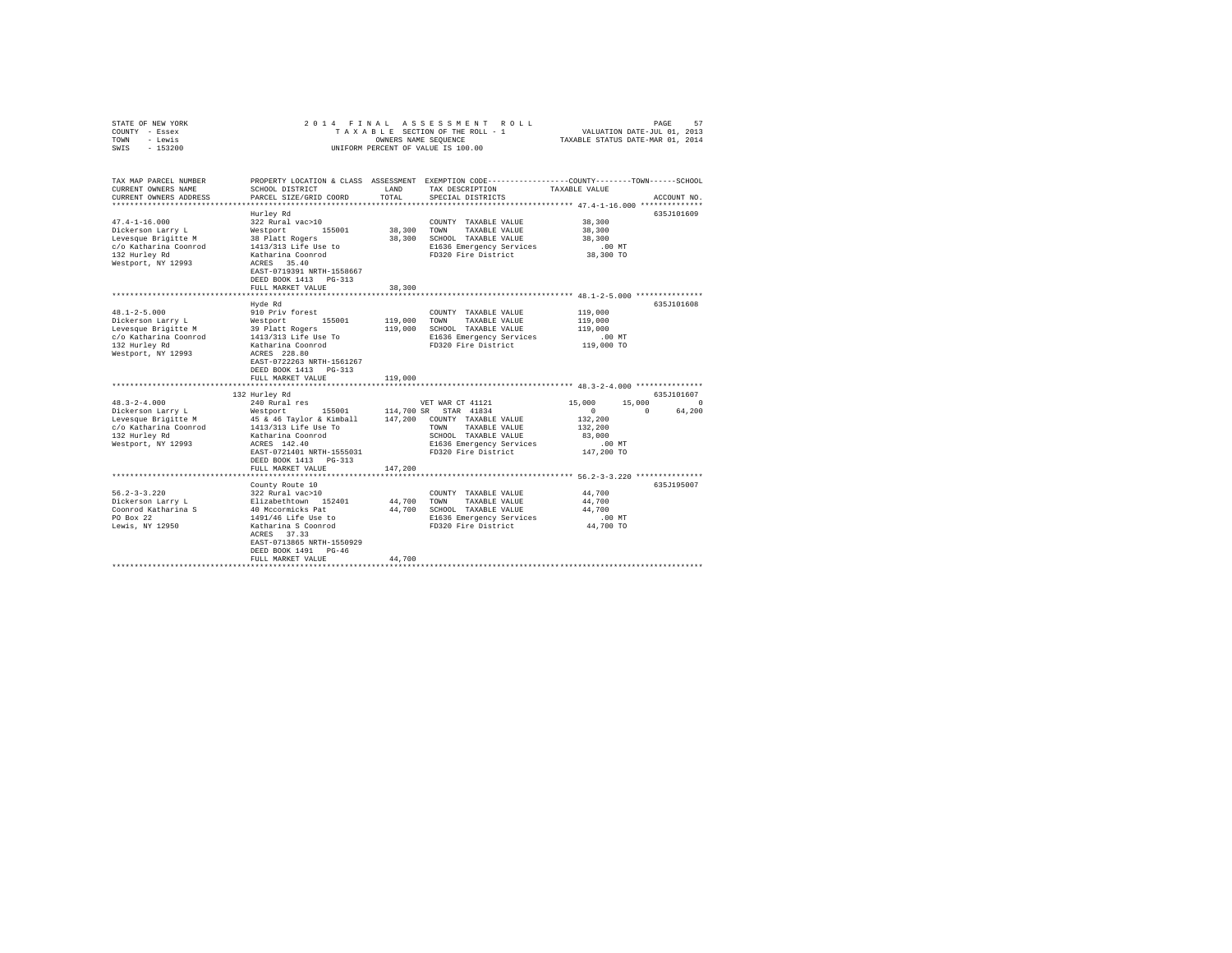| COUNTY - Essex<br>- Lewis<br>TOWN<br>$-153200$<br>SWIS                                                                          |                                                                                                                                                                                                    | OWNERS NAME SEQUENCE | TAXABLE SECTION OF THE ROLL - 1<br>UNIFORM PERCENT OF VALUE IS 100.00                                                                                  | VALUATION DATE-JUL 01, 2013<br>TAXABLE STATUS DATE-MAR 01, 2014   |                    |  |
|---------------------------------------------------------------------------------------------------------------------------------|----------------------------------------------------------------------------------------------------------------------------------------------------------------------------------------------------|----------------------|--------------------------------------------------------------------------------------------------------------------------------------------------------|-------------------------------------------------------------------|--------------------|--|
| TAX MAP PARCEL NUMBER<br>CURRENT OWNERS NAME<br>CURRENT OWNERS ADDRESS                                                          | SCHOOL DISTRICT<br>PARCEL SIZE/GRID COORD                                                                                                                                                          | LAND<br>TOTAL        | PROPERTY LOCATION & CLASS ASSESSMENT EXEMPTION CODE---------------COUNTY-------TOWN-----SCHOOL<br>TAX DESCRIPTION<br>SPECIAL DISTRICTS                 | TAXABLE VALUE                                                     | ACCOUNT NO.        |  |
| $47.4 - 1 - 16.000$<br>Dickerson Larry L<br>Levesque Brigitte M<br>c/o Katharina Coonrod<br>132 Hurley Rd<br>Westport, NY 12993 | Hurley Rd<br>322 Rural vac>10<br>Westport 155001<br>38 Platt Rogers<br>1413/313 Life Use to<br>Katharina Coonrod<br>ACRES 35.40<br>EAST-0719391 NRTH-1558667<br>DEED BOOK 1413 PG-313              | 38,300<br>38,300     | COUNTY TAXABLE VALUE<br>TOWN<br>TAXABLE VALUE<br>SCHOOL TAXABLE VALUE<br>E1636 Emergency Services<br>FD320 Fire District                               | 38,300<br>38,300<br>38,300<br>$.00$ MT<br>38,300 TO               | 635J101609         |  |
|                                                                                                                                 | FULL MARKET VALUE                                                                                                                                                                                  | 38,300               |                                                                                                                                                        |                                                                   |                    |  |
|                                                                                                                                 | Hyde Rd                                                                                                                                                                                            |                      |                                                                                                                                                        | *************** 48.1-2-5.000 ***************                      | 635J101608         |  |
| $48.1 - 2 - 5.000$<br>Dickerson Larry L<br>Levesque Brigitte M<br>c/o Katharina Coonrod<br>132 Hurley Rd<br>Westport, NY 12993  | 910 Priv forest<br>Westport<br>39 Platt<br>155001<br>39 Platt Rogers<br>1413/313 Life Use To<br>Katharina Coonrod<br>ACRES 228.80<br>EAST-0722263 NRTH-1561267<br>DEED BOOK 1413 PG-313            | 119,000<br>119,000   | COUNTY TAXABLE VALUE<br>TAXABLE VALUE<br>TOWN<br>SCHOOL TAXABLE VALUE<br>E1636 Emergency Services<br>FD320 Fire District                               | 119,000<br>119,000<br>119,000<br>$.00$ MT<br>119,000 TO           |                    |  |
|                                                                                                                                 | FULL MARKET VALUE                                                                                                                                                                                  | 119,000              |                                                                                                                                                        |                                                                   |                    |  |
|                                                                                                                                 |                                                                                                                                                                                                    |                      |                                                                                                                                                        |                                                                   |                    |  |
|                                                                                                                                 | 132 Hurley Rd                                                                                                                                                                                      |                      |                                                                                                                                                        |                                                                   | 635J101607         |  |
| $48.3 - 2 - 4.000$                                                                                                              | 240 Rural res                                                                                                                                                                                      |                      | VET WAR CT 41121                                                                                                                                       | 15,000<br>15,000                                                  | $\Omega$           |  |
| Dickerson Larry L<br>Levesque Brigitte M<br>c/o Katharina Coonrod<br>132 Hurley Rd<br>Westport, NY 12993                        | Westport 155001<br>45 & 46 Taylor & Kimball<br>1413/313 Life Use To<br>Katharina Coonrod<br>ACRES 142.40<br>EAST-0721401 NRTH-1555031<br>DEED BOOK 1413 PG-313<br>FULL MARKET VALUE                | 147,200              | 114,700 SR STAR 41834<br>147,200 COUNTY TAXABLE VALUE<br>TOWN TAXABLE VALUE<br>SCHOOL TAXABLE VALUE<br>E1636 Emergency Services<br>FD320 Fire District | $\circ$<br>132,200<br>132,200<br>83,000<br>$.00$ MT<br>147,200 TO | $\sim$ 0<br>64,200 |  |
|                                                                                                                                 |                                                                                                                                                                                                    |                      |                                                                                                                                                        |                                                                   |                    |  |
| $56.2 - 3 - 3.220$<br>Dickerson Larry L<br>Coonrod Katharina S<br>PO Box 22<br>Lewis, NY 12950                                  | County Route 10<br>322 Rural vac>10<br>Elizabethtown 152401<br>40 Mccormicks Pat<br>1491/46 Life Use to<br>Katharina S Coonrod<br>ACRES 37.33<br>EAST-0713865 NRTH-1550929<br>DEED BOOK 1491 PG-46 | 44,700<br>44,700     | COUNTY TAXABLE VALUE<br>TAXABLE VALUE<br>TOWN<br>SCHOOL TAXABLE VALUE<br>E1636 Emergency Services<br>FD320 Fire District                               | 44,700<br>44,700<br>44,700<br>$.00$ MT<br>44,700 TO               | 635J195007         |  |
|                                                                                                                                 | FULL MARKET VALUE                                                                                                                                                                                  | 44,700               |                                                                                                                                                        |                                                                   |                    |  |
|                                                                                                                                 |                                                                                                                                                                                                    |                      |                                                                                                                                                        |                                                                   |                    |  |

STATE OF NEW YORK 2 0 1 4 F I N A L A S S E S S M E N T R O L L PAGE 57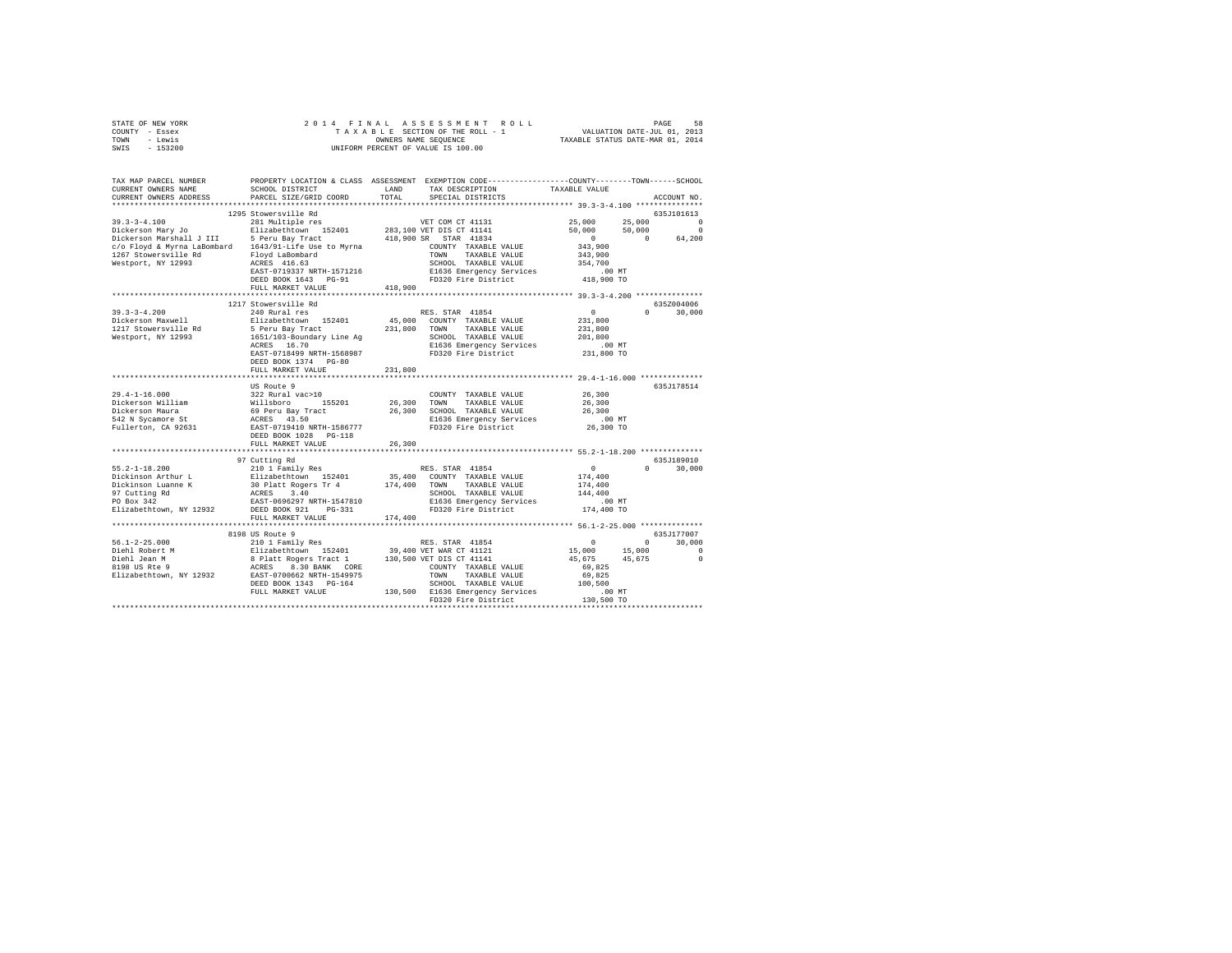|      | STATE OF NEW YORK |  | 2014 FINAL ASSESSMENT ROLL         | PAGE                             | 58 |
|------|-------------------|--|------------------------------------|----------------------------------|----|
|      | COUNTY - Essex    |  | TAXABLE SECTION OF THE ROLL - 1    | VALUATION DATE-JUL 01, 2013      |    |
| TOWN | - Lewis           |  | OWNERS NAME SEOUENCE               | TAXABLE STATUS DATE-MAR 01, 2014 |    |
| SWIS | - 153200          |  | UNIFORM PERCENT OF VALUE IS 100.00 |                                  |    |

| TAX MAP PARCEL NUMBER<br>CURRENT OWNERS NAME<br>CURRENT OWNERS ADDRESS                                                                                                                                                                                                                                                                                                                                    | PROPERTY LOCATION & CLASS ASSESSMENT EXEMPTION CODE----------------COUNTY-------TOWN------SCHOOL<br>SCHOOL DISTRICT<br>PARCEL SIZE/GRID COORD | LAND    | TAX DESCRIPTION<br>TOTAL SPECIAL DISTRICTS                         | TAXABLE VALUE                                      | ACCOUNT NO.                 |
|-----------------------------------------------------------------------------------------------------------------------------------------------------------------------------------------------------------------------------------------------------------------------------------------------------------------------------------------------------------------------------------------------------------|-----------------------------------------------------------------------------------------------------------------------------------------------|---------|--------------------------------------------------------------------|----------------------------------------------------|-----------------------------|
|                                                                                                                                                                                                                                                                                                                                                                                                           |                                                                                                                                               |         |                                                                    |                                                    |                             |
|                                                                                                                                                                                                                                                                                                                                                                                                           | 1295 Stowersville Rd                                                                                                                          |         |                                                                    |                                                    | 635J101613                  |
| $\begin{tabular}{l c c c c c} \multicolumn{3}{c}{\text{\emph{5-1-1-1}--1}--1} & \multicolumn{3}{c}{281} & \multicolumn{3}{c}{\text{\emph{1-1}--1}--1} & \multicolumn{3}{c}{281} & \multicolumn{3}{c}{\text{\emph{1-1}--1}--1} & \multicolumn{3}{c}{\text{\emph{1-1}--1}--1} & \multicolumn{3}{c}{\text{\emph{1-1}--1}--1} & \multicolumn{3}{c}{\text{\emph{1-1}--1}--1} & \multicolumn{3}{c}{\text{\emph$ |                                                                                                                                               |         |                                                                    | 25,000 25,000                                      | $\Omega$                    |
|                                                                                                                                                                                                                                                                                                                                                                                                           |                                                                                                                                               |         |                                                                    | 50,000                                             | $\Omega$<br>50,000          |
|                                                                                                                                                                                                                                                                                                                                                                                                           |                                                                                                                                               |         |                                                                    | $\sim$ 0                                           | $\sim$ 0<br>64,200          |
|                                                                                                                                                                                                                                                                                                                                                                                                           |                                                                                                                                               |         |                                                                    | 343,900<br>343,900                                 |                             |
|                                                                                                                                                                                                                                                                                                                                                                                                           |                                                                                                                                               |         |                                                                    |                                                    |                             |
|                                                                                                                                                                                                                                                                                                                                                                                                           |                                                                                                                                               |         |                                                                    |                                                    |                             |
|                                                                                                                                                                                                                                                                                                                                                                                                           | ACRES 416.63<br>EAST-0719337 NRTH-1571216                                                                                                     |         | SCHOOL TAXABLE VALUE 354,700<br>E1636 Emergency Services .00 MT    |                                                    |                             |
|                                                                                                                                                                                                                                                                                                                                                                                                           | DEED BOOK 1643 PG-91                                                                                                                          |         | FD320 Fire District                                                | 418,900 TO                                         |                             |
|                                                                                                                                                                                                                                                                                                                                                                                                           | FULL MARKET VALUE                                                                                                                             | 418,900 |                                                                    |                                                    |                             |
|                                                                                                                                                                                                                                                                                                                                                                                                           |                                                                                                                                               |         |                                                                    |                                                    |                             |
|                                                                                                                                                                                                                                                                                                                                                                                                           | 1217 Stowersville Rd                                                                                                                          |         |                                                                    |                                                    | 635Z004006                  |
|                                                                                                                                                                                                                                                                                                                                                                                                           |                                                                                                                                               |         |                                                                    | $\sim$ 0                                           | $0 \qquad \qquad$<br>30,000 |
|                                                                                                                                                                                                                                                                                                                                                                                                           |                                                                                                                                               |         |                                                                    | 231,800                                            |                             |
|                                                                                                                                                                                                                                                                                                                                                                                                           |                                                                                                                                               |         |                                                                    | 231,800                                            |                             |
|                                                                                                                                                                                                                                                                                                                                                                                                           |                                                                                                                                               |         |                                                                    |                                                    |                             |
|                                                                                                                                                                                                                                                                                                                                                                                                           |                                                                                                                                               |         | E1636 Emergency Services<br>FD320 Fire District                    |                                                    |                             |
|                                                                                                                                                                                                                                                                                                                                                                                                           |                                                                                                                                               |         |                                                                    | 201,800<br>00 MT.<br>231,800 TO                    |                             |
|                                                                                                                                                                                                                                                                                                                                                                                                           | DEED BOOK 1374 PG-80                                                                                                                          |         |                                                                    |                                                    |                             |
|                                                                                                                                                                                                                                                                                                                                                                                                           | FULL MARKET VALUE                                                                                                                             | 231,800 |                                                                    |                                                    |                             |
|                                                                                                                                                                                                                                                                                                                                                                                                           |                                                                                                                                               |         |                                                                    |                                                    |                             |
|                                                                                                                                                                                                                                                                                                                                                                                                           |                                                                                                                                               |         |                                                                    |                                                    | 635J178514                  |
|                                                                                                                                                                                                                                                                                                                                                                                                           |                                                                                                                                               |         | COUNTY TAXABLE VALUE                                               | 26,300                                             |                             |
|                                                                                                                                                                                                                                                                                                                                                                                                           |                                                                                                                                               |         | 26,300 TOWN TAXABLE VALUE                                          | 26,300                                             |                             |
|                                                                                                                                                                                                                                                                                                                                                                                                           |                                                                                                                                               |         | 26,300 SCHOOL TAXABLE VALUE                                        | 26,300                                             |                             |
|                                                                                                                                                                                                                                                                                                                                                                                                           |                                                                                                                                               |         | E1636 Emergency Services .00 MT<br>FD320 Fire District 26,300 TO   |                                                    |                             |
|                                                                                                                                                                                                                                                                                                                                                                                                           |                                                                                                                                               |         |                                                                    |                                                    |                             |
|                                                                                                                                                                                                                                                                                                                                                                                                           |                                                                                                                                               |         |                                                                    |                                                    |                             |
|                                                                                                                                                                                                                                                                                                                                                                                                           |                                                                                                                                               | 26,300  |                                                                    |                                                    |                             |
|                                                                                                                                                                                                                                                                                                                                                                                                           |                                                                                                                                               |         |                                                                    |                                                    |                             |
|                                                                                                                                                                                                                                                                                                                                                                                                           | 97 Cutting Rd                                                                                                                                 |         |                                                                    |                                                    | 635J189010                  |
|                                                                                                                                                                                                                                                                                                                                                                                                           |                                                                                                                                               |         |                                                                    | $\begin{smallmatrix}&&0\0174,400\end{smallmatrix}$ | 30,000<br>$\Omega$          |
|                                                                                                                                                                                                                                                                                                                                                                                                           |                                                                                                                                               |         |                                                                    |                                                    |                             |
|                                                                                                                                                                                                                                                                                                                                                                                                           |                                                                                                                                               |         |                                                                    | 174,400<br>144,400                                 |                             |
|                                                                                                                                                                                                                                                                                                                                                                                                           |                                                                                                                                               |         |                                                                    |                                                    |                             |
|                                                                                                                                                                                                                                                                                                                                                                                                           |                                                                                                                                               |         | E1636 Emergency Services 6.00 MT<br>FD320 Fire District 174,400 TO |                                                    |                             |
|                                                                                                                                                                                                                                                                                                                                                                                                           |                                                                                                                                               |         |                                                                    |                                                    |                             |
|                                                                                                                                                                                                                                                                                                                                                                                                           | FULL MARKET VALUE                                                                                                                             | 174,400 |                                                                    |                                                    |                             |
|                                                                                                                                                                                                                                                                                                                                                                                                           |                                                                                                                                               |         |                                                                    |                                                    | 635J177007                  |
|                                                                                                                                                                                                                                                                                                                                                                                                           | 8198 US Route 9                                                                                                                               |         |                                                                    |                                                    | $0 \qquad \qquad$<br>30,000 |
|                                                                                                                                                                                                                                                                                                                                                                                                           |                                                                                                                                               |         |                                                                    |                                                    | $\Omega$                    |
|                                                                                                                                                                                                                                                                                                                                                                                                           |                                                                                                                                               |         |                                                                    |                                                    | $\sim$ 0                    |
|                                                                                                                                                                                                                                                                                                                                                                                                           |                                                                                                                                               |         |                                                                    |                                                    |                             |
| $\begin{tabular}{l c c c c c} \hline 56.1-2-25.000 & \text{0.15 to 1011 Family Res} & \text{RES. STAR 41854} & 0 & 0 \\ \hline \text{Diehl Robert M} & \text{Elizabethtown} & 152401 & 39,400 VET WAR CT 41121 & 15,000 & 15,000 \\ \text{Diehl Robert M} & \text{Blizabethttown} & 87400 VET WAR CT 41141 & 15,000 & 15,000 \\ \text{Bilizber M} & \text{S[Platt Rogers 2Tact C1} & 130,5$               |                                                                                                                                               |         |                                                                    |                                                    |                             |
|                                                                                                                                                                                                                                                                                                                                                                                                           |                                                                                                                                               |         |                                                                    |                                                    |                             |
|                                                                                                                                                                                                                                                                                                                                                                                                           |                                                                                                                                               |         |                                                                    |                                                    |                             |
|                                                                                                                                                                                                                                                                                                                                                                                                           |                                                                                                                                               |         |                                                                    |                                                    |                             |
|                                                                                                                                                                                                                                                                                                                                                                                                           |                                                                                                                                               |         |                                                                    |                                                    |                             |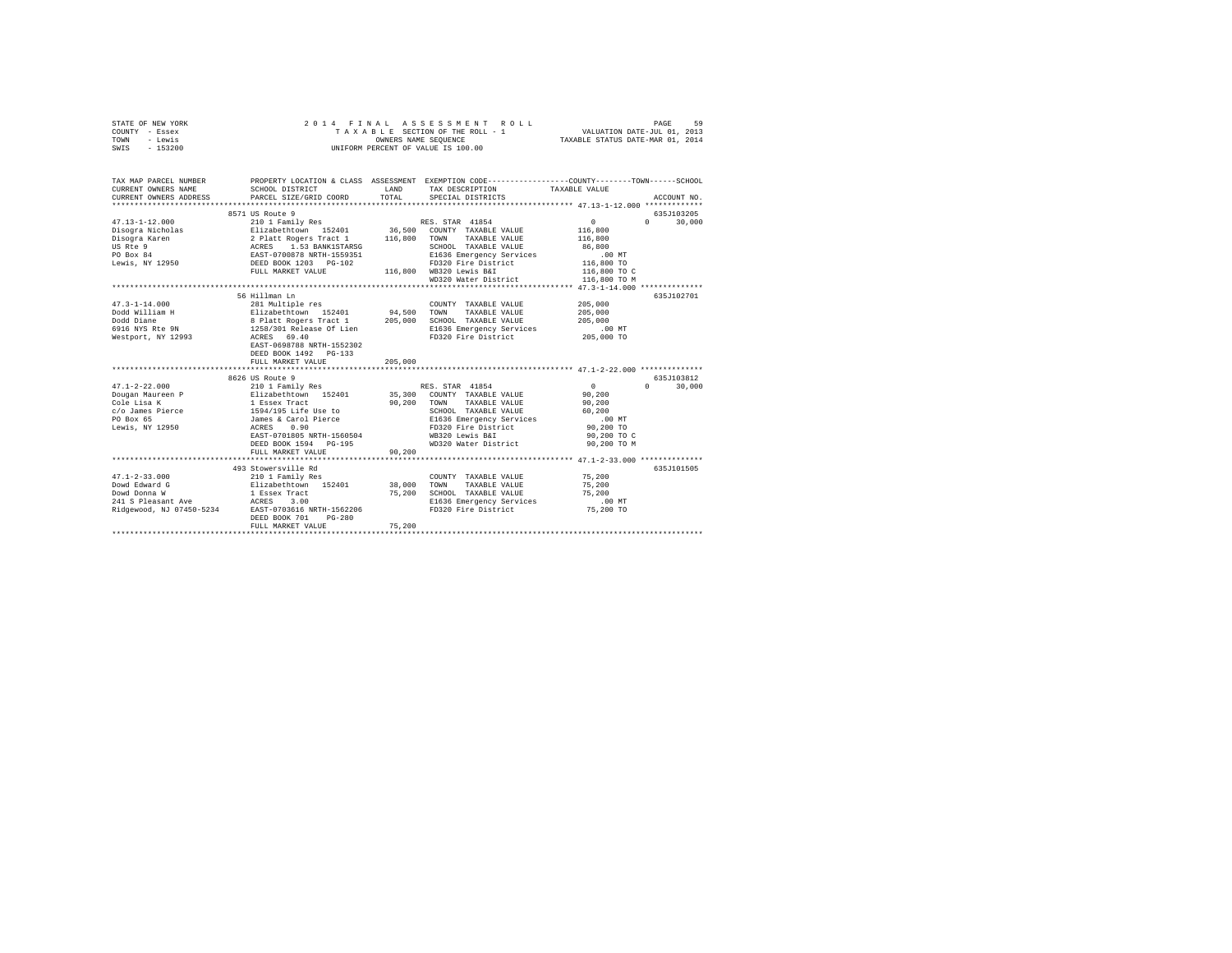| STATE OF NEW YORK<br>COUNTY - Essex<br>- Lewis<br>TOWN<br>SWIS - 153200                                                                                                   | 2014 FINAL                                                                | OWNERS NAME SEQUENCE | ASSESSMENT ROLL<br>TAXABLE SECTION OF THE ROLL - 1<br>UNIFORM PERCENT OF VALUE IS 100.00 | VALUATION DATE-JUL 01, 2013<br>TAXABLE STATUS DATE-MAR 01, 2014 | PAGE<br>59             |
|---------------------------------------------------------------------------------------------------------------------------------------------------------------------------|---------------------------------------------------------------------------|----------------------|------------------------------------------------------------------------------------------|-----------------------------------------------------------------|------------------------|
| TAX MAP PARCEL NUMBER THE PROPERTY LOCATION & CLASS ASSESSMENT EXEMPTION CODE--------------COUNTY-------TOWN------SCHOOL<br>CURRENT OWNERS NAME<br>CURRENT OWNERS ADDRESS | SCHOOL DISTRICT<br>PARCEL SIZE/GRID COORD                                 | LAND<br>TOTAL        | TAX DESCRIPTION<br>SPECIAL DISTRICTS                                                     | TAXABLE VALUE                                                   | ACCOUNT NO.            |
|                                                                                                                                                                           |                                                                           |                      |                                                                                          |                                                                 |                        |
|                                                                                                                                                                           | 8571 US Route 9                                                           |                      |                                                                                          |                                                                 | 635J103205             |
| $47.13 - 1 - 12.000$                                                                                                                                                      |                                                                           |                      | RES. STAR 41854                                                                          | $\mathbf{0}$                                                    | $\Omega$<br>30,000     |
| Disogra Nicholas                                                                                                                                                          |                                                                           |                      | 36,500 COUNTY TAXABLE VALUE                                                              | 116,800                                                         |                        |
| Disogra Karen                                                                                                                                                             |                                                                           |                      | TAXABLE VALUE<br>TOWN                                                                    | 116,800                                                         |                        |
| US Rte 9<br>PO Box 84                                                                                                                                                     |                                                                           |                      | SCHOOL TAXABLE VALUE                                                                     | 86,800                                                          |                        |
|                                                                                                                                                                           |                                                                           |                      | E1636 Emergency Services                                                                 | .00 MT                                                          |                        |
| Lewis, NY 12950                                                                                                                                                           |                                                                           |                      | FD320 Fire District                                                                      | 116,800 TO                                                      |                        |
|                                                                                                                                                                           |                                                                           |                      | 116,800 WB320 Lewis B&I<br>WD320 Water District                                          | 116,800 TO C                                                    |                        |
|                                                                                                                                                                           |                                                                           |                      |                                                                                          | 116,800 TO M                                                    |                        |
|                                                                                                                                                                           |                                                                           |                      |                                                                                          |                                                                 |                        |
| $47.3 - 1 - 14.000$                                                                                                                                                       | 56 Hillman Ln                                                             |                      |                                                                                          |                                                                 | 635J102701             |
|                                                                                                                                                                           | 281 Multiple res                                                          |                      | COUNTY TAXABLE VALUE                                                                     | 205,000                                                         |                        |
| Dodd William H                                                                                                                                                            | Elizabethtown 152401 94,500                                               |                      | TOWN<br>TAXABLE VALUE                                                                    | 205,000                                                         |                        |
| Dodd Diane<br>6916 NYS Rte 9N                                                                                                                                             |                                                                           |                      | SCHOOL TAXABLE VALUE                                                                     | 205,000                                                         |                        |
| Westport, NY 12993                                                                                                                                                        | 8 Platt Rogers Tract 1 205,000<br>1258/301 Release Of Lien<br>ACRES 69.40 |                      | E1636 Emergency Services<br>FD320 Fire District                                          | .00 MT<br>205,000 TO                                            |                        |
|                                                                                                                                                                           | EAST-0698788 NRTH-1552302                                                 |                      |                                                                                          |                                                                 |                        |
|                                                                                                                                                                           | DEED BOOK 1492 PG-133                                                     |                      |                                                                                          |                                                                 |                        |
|                                                                                                                                                                           | FULL MARKET VALUE                                                         | 205,000              |                                                                                          |                                                                 |                        |
|                                                                                                                                                                           |                                                                           |                      |                                                                                          |                                                                 |                        |
|                                                                                                                                                                           | 8626 US Route 9                                                           |                      |                                                                                          |                                                                 | 635J103812             |
| $47.1 - 2 - 22.000$                                                                                                                                                       |                                                                           |                      | RES. STAR 41854                                                                          | $\sim$ 0                                                        | 30,000<br>$\mathbf{a}$ |
| Dougan Maureen P                                                                                                                                                          | 210 1 Family Res<br>Elizabethtown 152401<br>1 Essex Tract                 |                      | 35,300 COUNTY TAXABLE VALUE                                                              | 90,200                                                          |                        |
| Cole Lisa K                                                                                                                                                               |                                                                           |                      | 90,200 TOWN<br>TAXABLE VALUE                                                             | 90,200                                                          |                        |
| c/o James Pierce                                                                                                                                                          |                                                                           |                      | SCHOOL TAXABLE VALUE                                                                     | 60,200                                                          |                        |
| PO Box 65                                                                                                                                                                 |                                                                           |                      | E1636 Emergency Services                                                                 | $.00$ MT                                                        |                        |
| Lewis, NY 12950                                                                                                                                                           | 1 2002 1120<br>1594/195 Life Use to<br>James & Carol Pierce<br>ACRES 0.90 |                      | FD320 Fire District                                                                      | 90,200 TO                                                       |                        |
|                                                                                                                                                                           | EAST-0701805 NRTH-1560504                                                 |                      | WB320 Lewis B&I                                                                          | 90,200 TO C                                                     |                        |
|                                                                                                                                                                           | DEED BOOK 1594 PG-195                                                     |                      | WD320 Water District                                                                     | 90,200 TO M                                                     |                        |
|                                                                                                                                                                           | FULL MARKET VALUE                                                         | 90,200               |                                                                                          |                                                                 |                        |
|                                                                                                                                                                           |                                                                           |                      |                                                                                          |                                                                 |                        |
|                                                                                                                                                                           | 493 Stowersville Rd                                                       |                      |                                                                                          |                                                                 | 635J101505             |
| $47.1 - 2 - 33.000$                                                                                                                                                       | 210 1 Family Res                                                          |                      | COUNTY TAXABLE VALUE                                                                     | 75,200                                                          |                        |
| Dowd Edward G                                                                                                                                                             |                                                                           | 38,000               | TOWN<br>TAXABLE VALUE                                                                    | 75,200                                                          |                        |
| Dowd Donna W                                                                                                                                                              | Elizabethtown 152401<br>1 Essex Tract                                     | 75,200               | SCHOOL TAXABLE VALUE                                                                     | 75,200                                                          |                        |
|                                                                                                                                                                           |                                                                           |                      | E1636 Emergency Services                                                                 | $.00$ MT                                                        |                        |
|                                                                                                                                                                           |                                                                           |                      | FD320 Fire District                                                                      | 75,200 TO                                                       |                        |
|                                                                                                                                                                           | DEED BOOK 701<br>$PG-280$                                                 |                      |                                                                                          |                                                                 |                        |
|                                                                                                                                                                           | FULL MARKET VALUE                                                         | 75,200               |                                                                                          |                                                                 |                        |
|                                                                                                                                                                           |                                                                           |                      |                                                                                          |                                                                 |                        |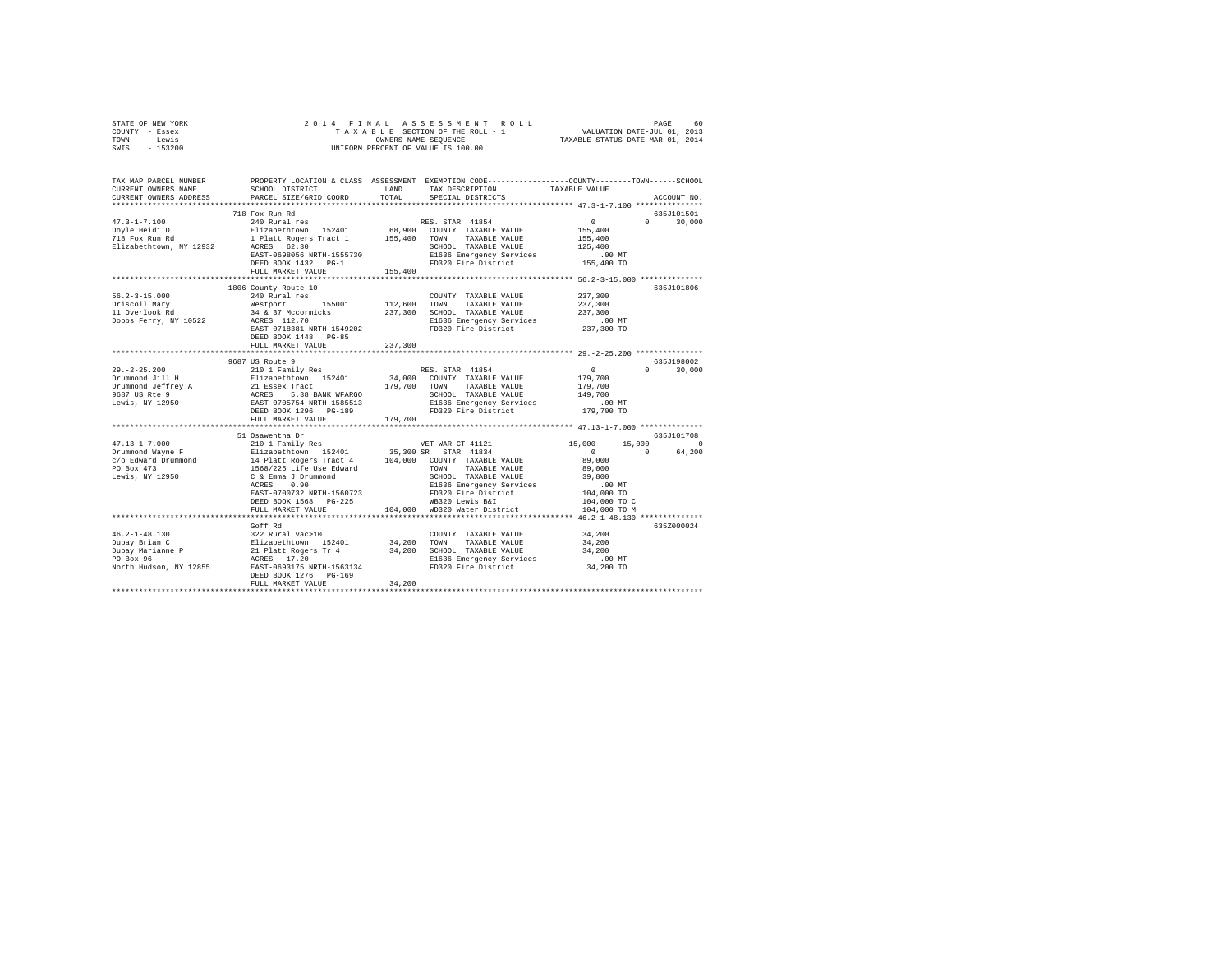| TOWN<br>- Lewis<br>$-153200$<br>SWIS                                                                                                                                                                                                         | UNIFORM PERCENT OF VALUE IS 100.00                                                          | TAXABLE STATUS DATE-MAR 01, 2014 |                                                          |                                                  |                                     |
|----------------------------------------------------------------------------------------------------------------------------------------------------------------------------------------------------------------------------------------------|---------------------------------------------------------------------------------------------|----------------------------------|----------------------------------------------------------|--------------------------------------------------|-------------------------------------|
|                                                                                                                                                                                                                                              |                                                                                             |                                  |                                                          |                                                  |                                     |
| TAX MAP PARCEL NUMBER PROPERTY LOCATION & CLASS ASSESSMENT EXEMPTION CODE--------------COUNTY-------TOWN------SCHOOL                                                                                                                         |                                                                                             |                                  |                                                          |                                                  |                                     |
| CURRENT OWNERS NAME                                                                                                                                                                                                                          | SCHOOL DISTRICT                                                                             | LAND                             | TAX DESCRIPTION                                          | TAXABLE VALUE                                    |                                     |
| CURRENT OWNERS ADDRESS                                                                                                                                                                                                                       | PARCEL SIZE/GRID COORD                                                                      | TOTAL                            | SPECIAL DISTRICTS                                        |                                                  | ACCOUNT NO.                         |
|                                                                                                                                                                                                                                              |                                                                                             |                                  |                                                          |                                                  |                                     |
| $47.3 - 1 - 7.100$                                                                                                                                                                                                                           | 718 Fox Run Rd<br>240 Rural res                                                             |                                  |                                                          | $\Omega$                                         | 635J101501<br>$\Omega$ and $\Omega$ |
|                                                                                                                                                                                                                                              | Elizabethtown 152401                                                                        |                                  | RES. STAR 41854<br>68,900 COUNTY TAXABLE VALUE           | 155,400                                          | 30,000                              |
| Doyle Heidi D<br>718 Fox Run Rd                                                                                                                                                                                                              | 1 Platt Rogers Tract 1                                                                      |                                  | 155,400 TOWN TAXABLE VALUE                               | 155,400                                          |                                     |
| Elizabethtown, NY 12932                                                                                                                                                                                                                      | ACRES 62.30                                                                                 |                                  | SCHOOL TAXABLE VALUE                                     | 125,400                                          |                                     |
|                                                                                                                                                                                                                                              | EAST-0698056 NRTH-1555730                                                                   |                                  | E1636 Emergency Services                                 | $.00$ MT                                         |                                     |
|                                                                                                                                                                                                                                              | DEED BOOK 1432 PG-1                                                                         |                                  | FD320 Fire District                                      | 155,400 TO                                       |                                     |
|                                                                                                                                                                                                                                              | FULL MARKET VALUE                                                                           | 155,400                          |                                                          |                                                  |                                     |
|                                                                                                                                                                                                                                              |                                                                                             |                                  |                                                          | ******************* 56.2-3-15.000 ************** |                                     |
|                                                                                                                                                                                                                                              | 1806 County Route 10                                                                        |                                  |                                                          |                                                  | 635J101806                          |
| $56.2 - 3 - 15.000$                                                                                                                                                                                                                          | 240 Rural res                                                                               |                                  | COUNTY TAXABLE VALUE                                     | 237,300                                          |                                     |
| Driscoll Mary                                                                                                                                                                                                                                | Westport 155001                                                                             | 112,600                          | TOWN TAXABLE VALUE                                       | 237,300                                          |                                     |
| 11 Overlook Rd                                                                                                                                                                                                                               | 34 & 37 Mccormicks<br>ACRES 112.70                                                          |                                  | 237,300 SCHOOL TAXABLE VALUE                             | 237,300                                          |                                     |
| Dobbs Ferry, NY 10522                                                                                                                                                                                                                        |                                                                                             |                                  | E1636 Emergency Services                                 | $.00$ MT                                         |                                     |
|                                                                                                                                                                                                                                              | EAST-0718381 NRTH-1549202                                                                   |                                  | FD320 Fire District                                      | 237,300 TO                                       |                                     |
|                                                                                                                                                                                                                                              | DEED BOOK 1448 PG-85<br>FULL MARKET VALUE                                                   | 237,300                          |                                                          |                                                  |                                     |
|                                                                                                                                                                                                                                              | *******************************                                                             |                                  |                                                          |                                                  |                                     |
|                                                                                                                                                                                                                                              | 9687 US Route 9                                                                             |                                  |                                                          |                                                  | 635J198002                          |
| $29. -2 - 25.200$                                                                                                                                                                                                                            | 210 1 Family Res                                                                            |                                  | RES. STAR 41854                                          | $\sim$ 0                                         | $0 \t 30,000$                       |
|                                                                                                                                                                                                                                              |                                                                                             |                                  | 34,000 COUNTY TAXABLE VALUE                              | 179,700                                          |                                     |
|                                                                                                                                                                                                                                              |                                                                                             |                                  | 179.700 TOWN TAXABLE VALUE                               | 179,700                                          |                                     |
|                                                                                                                                                                                                                                              |                                                                                             |                                  | SCHOOL TAXABLE VALUE                                     | 149,700                                          |                                     |
| 27.-24.2.400<br>27.1.2401 H 2112abethrown 152401 34,000<br>Drummond Jeffrey A 21 Essex Tract<br>9667 US Refere ACRES 5.38 BANK WFARGO<br>179,701<br>28.267 US RAST-0705754 NRTH-1585513<br>Lewis, NY 12950 BASET-0705754 NRTH-1585513<br>DEE |                                                                                             |                                  | E1636 Emergency Services                                 | $.00$ MT                                         |                                     |
|                                                                                                                                                                                                                                              |                                                                                             |                                  | FD320 Fire District                                      | 179,700 TO                                       |                                     |
|                                                                                                                                                                                                                                              | FULL MARKET VALUE                                                                           | 179,700                          |                                                          |                                                  |                                     |
|                                                                                                                                                                                                                                              | 51 Osawentha Dr                                                                             |                                  |                                                          |                                                  | 635J101708                          |
| $47.13 - 1 - 7.000$                                                                                                                                                                                                                          | 210 1 Family Res                                                                            |                                  | VET WAR CT 41121                                         | 15,000<br>15,000                                 | $\sim$ 0                            |
| Drummond Wayne F                                                                                                                                                                                                                             |                                                                                             |                                  |                                                          | $\sim$ 0                                         | 64,200<br>$\Omega$                  |
| c/o Edward Drummond                                                                                                                                                                                                                          |                                                                                             |                                  |                                                          | 89,000                                           |                                     |
| PO Box 473                                                                                                                                                                                                                                   |                                                                                             |                                  |                                                          | 89,000                                           |                                     |
| Lewis, NY 12950                                                                                                                                                                                                                              |                                                                                             |                                  | SCHOOL TAXABLE VALUE                                     | 39,800                                           |                                     |
|                                                                                                                                                                                                                                              |                                                                                             |                                  | E1636 Emergency Services                                 | .00MT                                            |                                     |
|                                                                                                                                                                                                                                              | EAST-0700732 NRTH-1560723                                                                   |                                  | -----<br>FD320 Fire District<br>WB320 Lewis B&I          | 104,000 TO                                       |                                     |
|                                                                                                                                                                                                                                              | DEED BOOK 1568 PG-225                                                                       |                                  |                                                          | 104,000 TO C                                     |                                     |
|                                                                                                                                                                                                                                              | FULL MARKET VALUE<br>*************************                                              |                                  | 104,000 WD320 Water District                             | 104,000 TO M                                     |                                     |
|                                                                                                                                                                                                                                              |                                                                                             |                                  |                                                          | ******* 46.2-1-48.130 ***************            |                                     |
| $46.2 - 1 - 48.130$                                                                                                                                                                                                                          | Goff Rd                                                                                     |                                  | COUNTY TAXABLE VALUE                                     | 34,200                                           | 635Z000024                          |
| Dubay Brian C                                                                                                                                                                                                                                |                                                                                             | 34,200                           |                                                          | 34,200                                           |                                     |
| Dubay Marianne P                                                                                                                                                                                                                             | ---- ---<br>322 Rural vac>10<br>Elizabethtown 152401<br>21 Platt Rogers Tr 4<br>ACRES 17.20 |                                  | 34,200 TOWN TAXABLE VALUE<br>34,200 SCHOOL TAXABLE VALUE | 34,200                                           |                                     |
| PO Box 96                                                                                                                                                                                                                                    |                                                                                             |                                  | E1636 Emergency Services                                 | $.00$ MT                                         |                                     |
| North Hudson, NY 12855 EAST-0693175 NRTH-1563134                                                                                                                                                                                             |                                                                                             |                                  | FD320 Fire District                                      | 34,200 TO                                        |                                     |
|                                                                                                                                                                                                                                              | DEED BOOK 1276 PG-169                                                                       |                                  |                                                          |                                                  |                                     |
|                                                                                                                                                                                                                                              | FULL MARKET VALUE                                                                           | 34,200                           |                                                          |                                                  |                                     |
|                                                                                                                                                                                                                                              |                                                                                             |                                  |                                                          |                                                  |                                     |

STATE OF NEW YORK 2 0 1 4 F I N A L A S S E S S M E N T R O L L PAGE 60 COUNTY - Essex T A X A B L E SECTION OF THE ROLL - 1 VALUATION DATE-JUL 01, 2013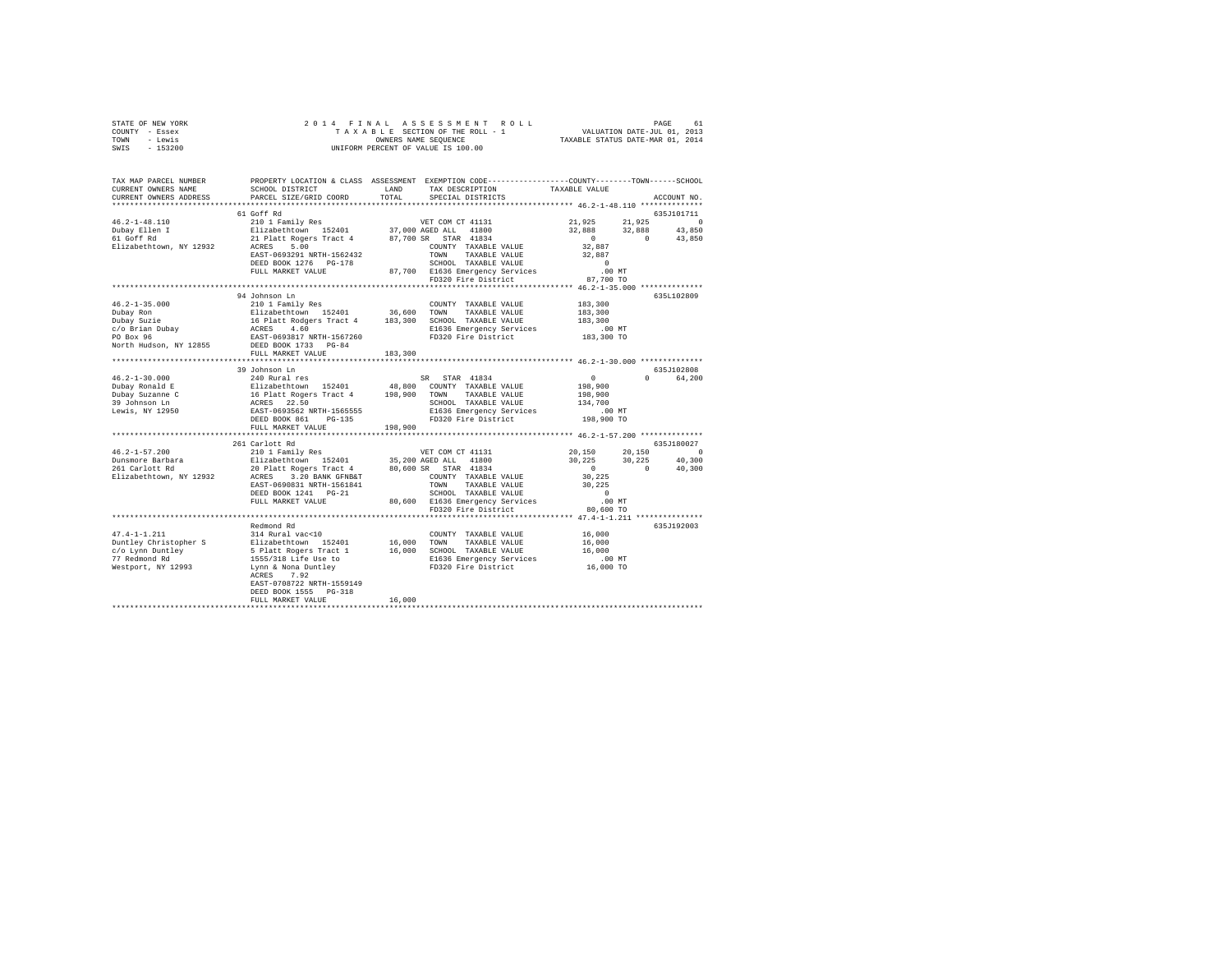| STATE OF NEW YORK                                                                                                                                                                                                                                                                                                                                                                                   |                                                                                                                                                                                                                                                        |         |                                                                                  |                                                                                                                                                                             |             |
|-----------------------------------------------------------------------------------------------------------------------------------------------------------------------------------------------------------------------------------------------------------------------------------------------------------------------------------------------------------------------------------------------------|--------------------------------------------------------------------------------------------------------------------------------------------------------------------------------------------------------------------------------------------------------|---------|----------------------------------------------------------------------------------|-----------------------------------------------------------------------------------------------------------------------------------------------------------------------------|-------------|
| COUNTY - Essex                                                                                                                                                                                                                                                                                                                                                                                      |                                                                                                                                                                                                                                                        |         |                                                                                  |                                                                                                                                                                             |             |
| TOWN - Lewis                                                                                                                                                                                                                                                                                                                                                                                        |                                                                                                                                                                                                                                                        |         |                                                                                  |                                                                                                                                                                             |             |
| SWIS - 153200                                                                                                                                                                                                                                                                                                                                                                                       |                                                                                                                                                                                                                                                        |         |                                                                                  |                                                                                                                                                                             |             |
|                                                                                                                                                                                                                                                                                                                                                                                                     |                                                                                                                                                                                                                                                        |         |                                                                                  |                                                                                                                                                                             |             |
| TAX MAP PARCEL NUMBER PROPERTY LOCATION & CLASS ASSESSMENT EXEMPTION CODE---------------COUNTY-------TOWN-----SCHOOL                                                                                                                                                                                                                                                                                |                                                                                                                                                                                                                                                        |         |                                                                                  |                                                                                                                                                                             |             |
| CURRENT OWNERS NAME                                                                                                                                                                                                                                                                                                                                                                                 | SCHOOL DISTRICT                                                                                                                                                                                                                                        |         | LAND TAX DESCRIPTION                                                             | TAXABLE VALUE                                                                                                                                                               |             |
| CURRENT OWNERS ADDRESS                                                                                                                                                                                                                                                                                                                                                                              | PARCEL SIZE/GRID COORD                                                                                                                                                                                                                                 |         | TOTAL SPECIAL DISTRICTS                                                          |                                                                                                                                                                             | ACCOUNT NO. |
|                                                                                                                                                                                                                                                                                                                                                                                                     |                                                                                                                                                                                                                                                        |         |                                                                                  |                                                                                                                                                                             |             |
|                                                                                                                                                                                                                                                                                                                                                                                                     | 61 Goff Rd<br>% (1 OCF R All 2018)<br>210 1 Family Res (1 37,000 AGB ALL 41800)<br>21 Platt Rogers Tract 4 87,700 SR STAR 41834<br>21 Platt Rogers Tract 4 87,700 SR STAR 41834<br>22 Platt Rogers Tract 4 70,700 SR STAR 41834<br>202291 NRTH-1562432 |         |                                                                                  |                                                                                                                                                                             | 635J101711  |
| $46.2 - 1 - 48.110$                                                                                                                                                                                                                                                                                                                                                                                 |                                                                                                                                                                                                                                                        |         |                                                                                  |                                                                                                                                                                             |             |
|                                                                                                                                                                                                                                                                                                                                                                                                     |                                                                                                                                                                                                                                                        |         |                                                                                  |                                                                                                                                                                             |             |
| Dubay Ellen I<br>61 Goff Rd                                                                                                                                                                                                                                                                                                                                                                         |                                                                                                                                                                                                                                                        |         |                                                                                  | $\begin{array}{cccc} 21\, , 925 & \quad & 21\, , 925 & \quad & 0 \\ 32\, , 888 & \quad & 32\, , 888 & \quad & 43\, , 850 \\ 0 & \quad & 0 & \quad & 43\, , 850 \end{array}$ |             |
| Elizabethtown, NY 12932                                                                                                                                                                                                                                                                                                                                                                             |                                                                                                                                                                                                                                                        |         |                                                                                  |                                                                                                                                                                             |             |
|                                                                                                                                                                                                                                                                                                                                                                                                     |                                                                                                                                                                                                                                                        |         |                                                                                  | 32,887<br>32,887                                                                                                                                                            |             |
|                                                                                                                                                                                                                                                                                                                                                                                                     |                                                                                                                                                                                                                                                        |         |                                                                                  | $\sim$ 0                                                                                                                                                                    |             |
|                                                                                                                                                                                                                                                                                                                                                                                                     | FULL MARKET VALUE                                                                                                                                                                                                                                      |         | 00 MT<br>87,700 E1636 Emergency Services 100 MT<br>FD320 Fire District 87,700 TO |                                                                                                                                                                             |             |
|                                                                                                                                                                                                                                                                                                                                                                                                     |                                                                                                                                                                                                                                                        |         |                                                                                  |                                                                                                                                                                             |             |
|                                                                                                                                                                                                                                                                                                                                                                                                     |                                                                                                                                                                                                                                                        |         |                                                                                  |                                                                                                                                                                             |             |
|                                                                                                                                                                                                                                                                                                                                                                                                     | 94 Johnson Ln                                                                                                                                                                                                                                          |         |                                                                                  |                                                                                                                                                                             | 635L102809  |
|                                                                                                                                                                                                                                                                                                                                                                                                     |                                                                                                                                                                                                                                                        |         |                                                                                  |                                                                                                                                                                             |             |
|                                                                                                                                                                                                                                                                                                                                                                                                     |                                                                                                                                                                                                                                                        |         |                                                                                  |                                                                                                                                                                             |             |
|                                                                                                                                                                                                                                                                                                                                                                                                     |                                                                                                                                                                                                                                                        |         |                                                                                  |                                                                                                                                                                             |             |
|                                                                                                                                                                                                                                                                                                                                                                                                     |                                                                                                                                                                                                                                                        |         |                                                                                  |                                                                                                                                                                             |             |
|                                                                                                                                                                                                                                                                                                                                                                                                     |                                                                                                                                                                                                                                                        |         |                                                                                  |                                                                                                                                                                             |             |
| $\begin{tabular}{l c c c c c c c c} \multicolumn{3}{c c c c} \multicolumn{3}{c c c c} \multicolumn{3}{c c c} \multicolumn{3}{c c c} \multicolumn{3}{c c c} \multicolumn{3}{c c c} \multicolumn{3}{c c c} \multicolumn{3}{c c c} \multicolumn{3}{c c c} \multicolumn{3}{c c c} \multicolumn{3}{c c c} \multicolumn{3}{c c c} \multicolumn{3}{c c c} \multicolumn{3}{c c c} \multicolumn{3}{c c$      |                                                                                                                                                                                                                                                        |         |                                                                                  |                                                                                                                                                                             |             |
| North Hudson, NY 12855 DEED BOOK 1733 PG-84                                                                                                                                                                                                                                                                                                                                                         |                                                                                                                                                                                                                                                        |         |                                                                                  |                                                                                                                                                                             |             |
|                                                                                                                                                                                                                                                                                                                                                                                                     | FULL MARKET VALUE<br>*************************                                                                                                                                                                                                         | 183,300 |                                                                                  |                                                                                                                                                                             |             |
|                                                                                                                                                                                                                                                                                                                                                                                                     |                                                                                                                                                                                                                                                        |         |                                                                                  |                                                                                                                                                                             |             |
|                                                                                                                                                                                                                                                                                                                                                                                                     | 39 Johnson Ln                                                                                                                                                                                                                                          |         |                                                                                  |                                                                                                                                                                             | 635J102808  |
|                                                                                                                                                                                                                                                                                                                                                                                                     |                                                                                                                                                                                                                                                        |         |                                                                                  | 0<br>198,900<br>198,900                                                                                                                                                     | 0 64,200    |
|                                                                                                                                                                                                                                                                                                                                                                                                     |                                                                                                                                                                                                                                                        |         |                                                                                  |                                                                                                                                                                             |             |
|                                                                                                                                                                                                                                                                                                                                                                                                     |                                                                                                                                                                                                                                                        |         |                                                                                  |                                                                                                                                                                             |             |
|                                                                                                                                                                                                                                                                                                                                                                                                     |                                                                                                                                                                                                                                                        |         |                                                                                  |                                                                                                                                                                             |             |
|                                                                                                                                                                                                                                                                                                                                                                                                     |                                                                                                                                                                                                                                                        |         |                                                                                  |                                                                                                                                                                             |             |
| $\begin{tabular}{l c c c c c c} \multicolumn{3}{c c c c} \multicolumn{3}{c c c} \multicolumn{3}{c c c} \multicolumn{3}{c c c} \multicolumn{3}{c c c} \multicolumn{3}{c c c} \multicolumn{3}{c c c} \multicolumn{3}{c c c} \multicolumn{3}{c c c} \multicolumn{3}{c c c} \multicolumn{3}{c c c} \multicolumn{3}{c c c} \multicolumn{3}{c c c} \multicolumn{3}{c c c} \multicolumn{3}{c c c} \multic$ |                                                                                                                                                                                                                                                        |         |                                                                                  |                                                                                                                                                                             |             |
|                                                                                                                                                                                                                                                                                                                                                                                                     | FULL MARKET VALUE                                                                                                                                                                                                                                      | 198,900 |                                                                                  |                                                                                                                                                                             |             |
|                                                                                                                                                                                                                                                                                                                                                                                                     |                                                                                                                                                                                                                                                        |         |                                                                                  |                                                                                                                                                                             |             |
|                                                                                                                                                                                                                                                                                                                                                                                                     | 261 Carlott Rd                                                                                                                                                                                                                                         |         |                                                                                  |                                                                                                                                                                             | 635J180027  |
|                                                                                                                                                                                                                                                                                                                                                                                                     |                                                                                                                                                                                                                                                        |         |                                                                                  |                                                                                                                                                                             |             |
|                                                                                                                                                                                                                                                                                                                                                                                                     |                                                                                                                                                                                                                                                        |         |                                                                                  |                                                                                                                                                                             |             |
|                                                                                                                                                                                                                                                                                                                                                                                                     |                                                                                                                                                                                                                                                        |         |                                                                                  |                                                                                                                                                                             |             |
|                                                                                                                                                                                                                                                                                                                                                                                                     |                                                                                                                                                                                                                                                        |         |                                                                                  |                                                                                                                                                                             |             |
|                                                                                                                                                                                                                                                                                                                                                                                                     |                                                                                                                                                                                                                                                        |         |                                                                                  |                                                                                                                                                                             |             |
|                                                                                                                                                                                                                                                                                                                                                                                                     |                                                                                                                                                                                                                                                        |         |                                                                                  |                                                                                                                                                                             |             |
| $\begin{tabular}{l c c c c c} \hline 46.2-1-57.200 & 261~\text{Cartolt }\text{Ed} & 210.1~\text{Fami1y. Res} & \text{VET COM CT 41131} & 20,150 & 20,150 & 20,150 \\ \hline \text{Dunsmore Barkor} & \text{Eilzabethtown} & 152401 & 35,200~\text{AGL} & 41800 & 30,225 & 30,225 & 40,300 \\ \hline \text{Dilzabethtown, NY 12932} & \text{ACRES} & $                                               |                                                                                                                                                                                                                                                        |         |                                                                                  |                                                                                                                                                                             |             |
|                                                                                                                                                                                                                                                                                                                                                                                                     |                                                                                                                                                                                                                                                        |         |                                                                                  |                                                                                                                                                                             |             |
|                                                                                                                                                                                                                                                                                                                                                                                                     |                                                                                                                                                                                                                                                        |         |                                                                                  |                                                                                                                                                                             |             |
|                                                                                                                                                                                                                                                                                                                                                                                                     | Redmond Rd                                                                                                                                                                                                                                             |         |                                                                                  |                                                                                                                                                                             | 635J192003  |
|                                                                                                                                                                                                                                                                                                                                                                                                     |                                                                                                                                                                                                                                                        |         |                                                                                  |                                                                                                                                                                             |             |
|                                                                                                                                                                                                                                                                                                                                                                                                     |                                                                                                                                                                                                                                                        |         |                                                                                  |                                                                                                                                                                             |             |
|                                                                                                                                                                                                                                                                                                                                                                                                     |                                                                                                                                                                                                                                                        |         |                                                                                  |                                                                                                                                                                             |             |
|                                                                                                                                                                                                                                                                                                                                                                                                     |                                                                                                                                                                                                                                                        |         |                                                                                  |                                                                                                                                                                             |             |
|                                                                                                                                                                                                                                                                                                                                                                                                     |                                                                                                                                                                                                                                                        |         |                                                                                  |                                                                                                                                                                             |             |
|                                                                                                                                                                                                                                                                                                                                                                                                     |                                                                                                                                                                                                                                                        |         |                                                                                  |                                                                                                                                                                             |             |
|                                                                                                                                                                                                                                                                                                                                                                                                     | EAST-0708722 NRTH-1559149                                                                                                                                                                                                                              |         |                                                                                  |                                                                                                                                                                             |             |
|                                                                                                                                                                                                                                                                                                                                                                                                     | DEED BOOK 1555 PG-318                                                                                                                                                                                                                                  |         |                                                                                  |                                                                                                                                                                             |             |
|                                                                                                                                                                                                                                                                                                                                                                                                     | FULL MARKET VALUE                                                                                                                                                                                                                                      | 16,000  |                                                                                  |                                                                                                                                                                             |             |
|                                                                                                                                                                                                                                                                                                                                                                                                     |                                                                                                                                                                                                                                                        |         |                                                                                  |                                                                                                                                                                             |             |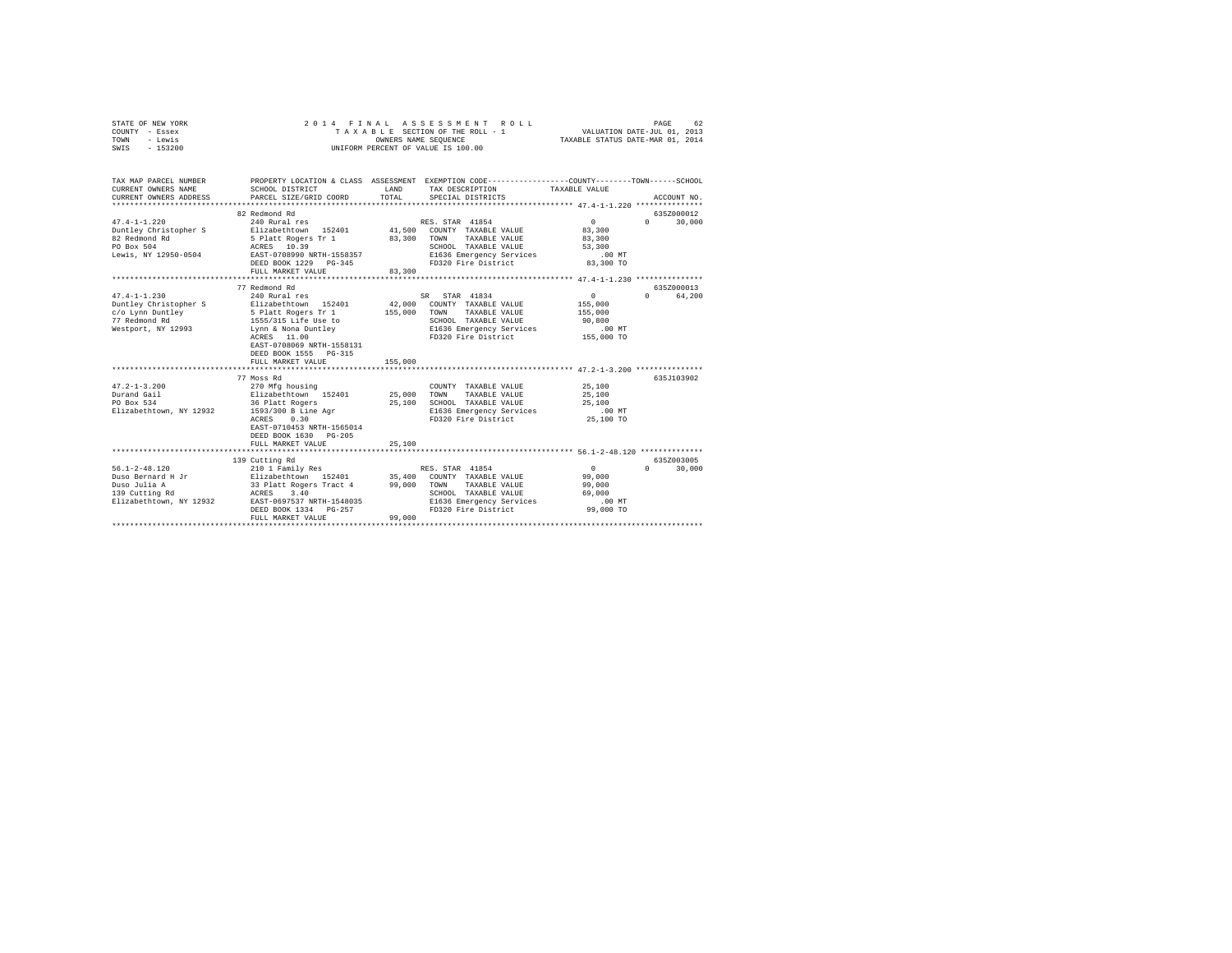| STATE OF NEW YORK<br>COUNTY - Essex<br>TOWN<br>- Lewis<br>SWIS<br>$-153200$                                                                                                          | 2014 FINAL                                                                                                                                                                                                                                                                                                                                                                   | ASSESSMENT ROLL<br>TAXABLE SECTION OF THE ROLL - 1<br>OWNERS NAME SEQUENCE<br>UNIFORM PERCENT OF VALUE IS 100.00                                                                                                                                                                                                       | 62<br>PAGE<br>VALUATION DATE-JUL 01, 2013<br>TAXABLE STATUS DATE-MAR 01, 2014                                                                                     |
|--------------------------------------------------------------------------------------------------------------------------------------------------------------------------------------|------------------------------------------------------------------------------------------------------------------------------------------------------------------------------------------------------------------------------------------------------------------------------------------------------------------------------------------------------------------------------|------------------------------------------------------------------------------------------------------------------------------------------------------------------------------------------------------------------------------------------------------------------------------------------------------------------------|-------------------------------------------------------------------------------------------------------------------------------------------------------------------|
| TAX MAP PARCEL NUMBER<br>CURRENT OWNERS NAME<br>CURRENT OWNERS ADDRESS                                                                                                               | SCHOOL DISTRICT<br>PARCEL SIZE/GRID COORD                                                                                                                                                                                                                                                                                                                                    | PROPERTY LOCATION & CLASS ASSESSMENT EXEMPTION CODE---------------COUNTY-------TOWN------SCHOOL<br>LAND<br>TAX DESCRIPTION<br>TOTAL<br>SPECIAL DISTRICTS                                                                                                                                                               | TAXABLE VALUE<br>ACCOUNT NO.                                                                                                                                      |
|                                                                                                                                                                                      | 82 Redmond Rd                                                                                                                                                                                                                                                                                                                                                                |                                                                                                                                                                                                                                                                                                                        | 635Z000012                                                                                                                                                        |
| $47.4 - 1 - 1.220$<br>Duntley Christopher S<br>82 Redmond Rd<br>PO Box 504<br>Lewis, NY 12950-0504                                                                                   | 240 Rural res<br>Elizabethtown 152401<br>5 Platt Rogers Tr 1<br>ACRES 10.39<br>EAST-0708990 NRTH-1558357                                                                                                                                                                                                                                                                     | RES. STAR 41854<br>41,500 COUNTY TAXABLE VALUE<br>83,300<br>TOWN<br>TAXABLE VALUE<br>SCHOOL TAXABLE VALUE<br>E1636 Emergency Services                                                                                                                                                                                  | $\sim$ 0<br>$\Omega$ and $\Omega$<br>30,000<br>83,300<br>83,300<br>53,300<br>$.00$ MT                                                                             |
|                                                                                                                                                                                      | DEED BOOK 1229 PG-345                                                                                                                                                                                                                                                                                                                                                        | FD320 Fire District                                                                                                                                                                                                                                                                                                    | 83,300 TO                                                                                                                                                         |
|                                                                                                                                                                                      | FULL MARKET VALUE<br>77 Redmond Rd                                                                                                                                                                                                                                                                                                                                           | 83,300                                                                                                                                                                                                                                                                                                                 | 635Z000013                                                                                                                                                        |
| $47.4 - 1 - 1.230$<br>Duntley Christopher S<br>c/o Lynn Duntley<br>77 Redmond Rd<br>Westport, NY 12993<br>$47.2 - 1 - 3.200$<br>Durand Gail<br>PO Box 534<br>Elizabethtown, NY 12932 | 240 Rural res<br>Elizabethtown 152401<br>5 Platt Rogers Tr 1<br>1555/315 Life Use to<br>Lynn & Nona Duntley<br>ACRES 11.00<br>EAST-0708069 NRTH-1558131<br>DEED BOOK 1555 PG-315<br>FULL MARKET VALUE<br>77 Moss Rd<br>270 Mfg housing<br>Elizabethtown 152401<br>36 Platt Rogers<br>1593/300 B Line Agr<br>ACRES 0.30<br>EAST-0710453 NRTH-1565014<br>DEED BOOK 1630 PG-205 | SR STAR 41834<br>42,000 COUNTY TAXABLE VALUE<br>155,000<br>TAXABLE VALUE<br>TOWN<br>SCHOOL TAXABLE VALUE<br>E1636 Emergency Services<br>FD320 Fire District<br>155,000<br>COUNTY TAXABLE VALUE<br>25,000<br>TOWN<br>TAXABLE VALUE<br>25,100<br>SCHOOL TAXABLE VALUE<br>E1636 Emergency Services<br>FD320 Fire District | $\mathbf{0}$<br>$\Omega$<br>64,200<br>155,000<br>155,000<br>90,800<br>$.00$ MT<br>155,000 TO<br>635J103902<br>25,100<br>25,100<br>25,100<br>$.00$ MT<br>25,100 TO |
|                                                                                                                                                                                      | FULL MARKET VALUE                                                                                                                                                                                                                                                                                                                                                            | 25,100                                                                                                                                                                                                                                                                                                                 |                                                                                                                                                                   |
| $56.1 - 2 - 48.120$                                                                                                                                                                  | 139 Cutting Rd<br>210 1 Family Res                                                                                                                                                                                                                                                                                                                                           | RES. STAR 41854                                                                                                                                                                                                                                                                                                        | 635Z003005<br>$\sim$ 0<br>$\Omega$ and $\Omega$<br>30,000                                                                                                         |
| Duso Bernard H Jr<br>Duso Julia A<br>Duso Julia A<br>139 Cutting Rd  10000<br>Elizabethtown, NY 12932                                                                                | Elizabethtown 152401<br>33 Platt Rogers Tract 4<br>ACRES 3.40<br>EAST-0697537 NRTH-1548035<br>DEED BOOK 1334 PG-257<br>FULL MARKET VALUE                                                                                                                                                                                                                                     | 35,400<br>99,000<br>COUNTY TAXABLE VALUE<br>TAXABLE VALUE<br>TOWN<br>SCHOOL TAXABLE VALUE<br>E1636 Emergency Services<br>FD320 Fire District<br>99,000                                                                                                                                                                 | 99,000<br>99,000<br>69,000<br>$.00$ MT<br>99,000 TO                                                                                                               |
|                                                                                                                                                                                      |                                                                                                                                                                                                                                                                                                                                                                              |                                                                                                                                                                                                                                                                                                                        |                                                                                                                                                                   |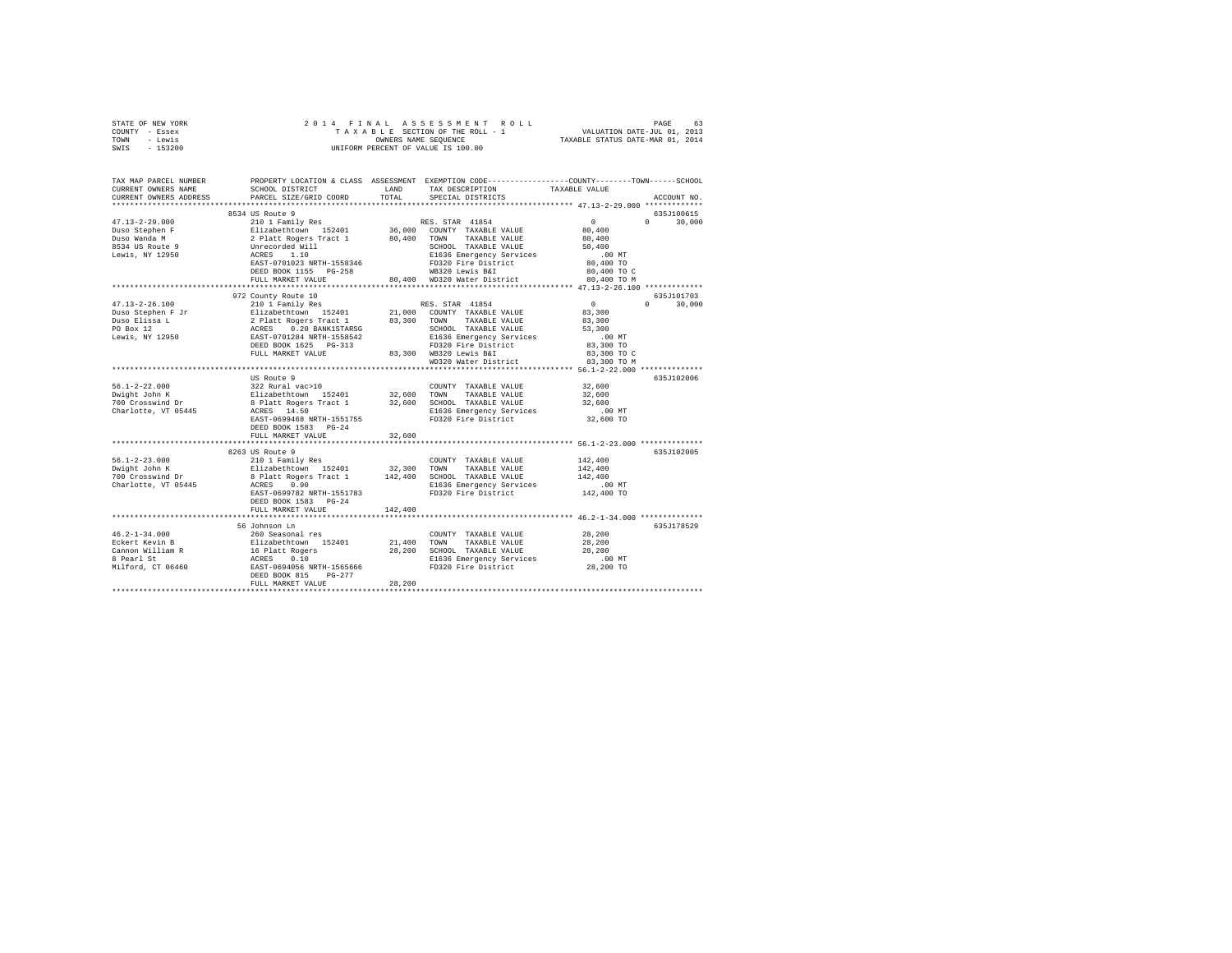| STATE OF NEW YORK                                                                                                                                                                                                                                                                                                                                                                              |                                      |         |                                                                                                                                                                                                                                                                                                                                                                                                                                     |                      |               |
|------------------------------------------------------------------------------------------------------------------------------------------------------------------------------------------------------------------------------------------------------------------------------------------------------------------------------------------------------------------------------------------------|--------------------------------------|---------|-------------------------------------------------------------------------------------------------------------------------------------------------------------------------------------------------------------------------------------------------------------------------------------------------------------------------------------------------------------------------------------------------------------------------------------|----------------------|---------------|
| COUNTY - Essex                                                                                                                                                                                                                                                                                                                                                                                 |                                      |         |                                                                                                                                                                                                                                                                                                                                                                                                                                     |                      |               |
| TOWN - Lewis                                                                                                                                                                                                                                                                                                                                                                                   |                                      |         |                                                                                                                                                                                                                                                                                                                                                                                                                                     |                      |               |
| SWIS - 153200                                                                                                                                                                                                                                                                                                                                                                                  |                                      |         |                                                                                                                                                                                                                                                                                                                                                                                                                                     |                      |               |
|                                                                                                                                                                                                                                                                                                                                                                                                |                                      |         |                                                                                                                                                                                                                                                                                                                                                                                                                                     |                      |               |
|                                                                                                                                                                                                                                                                                                                                                                                                |                                      |         |                                                                                                                                                                                                                                                                                                                                                                                                                                     |                      |               |
| TAX MAP PARCEL NUMBER PROPERTY LOCATION & CLASS ASSESSMENT EXEMPTION CODE--------------COUNTY-------TOWN------SCHOOL                                                                                                                                                                                                                                                                           |                                      |         |                                                                                                                                                                                                                                                                                                                                                                                                                                     |                      |               |
| CURRENT OWNERS NAME                                                                                                                                                                                                                                                                                                                                                                            | SCHOOL DISTRICT TAND TAX DESCRIPTION |         |                                                                                                                                                                                                                                                                                                                                                                                                                                     | TAXABLE VALUE        |               |
| CURRENT OWNERS ADDRESS                                                                                                                                                                                                                                                                                                                                                                         | PARCEL SIZE/GRID COORD               | TOTAL   | SPECIAL DISTRICTS                                                                                                                                                                                                                                                                                                                                                                                                                   |                      | ACCOUNT NO.   |
|                                                                                                                                                                                                                                                                                                                                                                                                |                                      |         |                                                                                                                                                                                                                                                                                                                                                                                                                                     |                      |               |
|                                                                                                                                                                                                                                                                                                                                                                                                | 8534 US Route 9                      |         |                                                                                                                                                                                                                                                                                                                                                                                                                                     |                      | 635J100615    |
| $47.13 - 2 - 29.000$                                                                                                                                                                                                                                                                                                                                                                           | 210 1 Family Res                     |         | RES. STAR 41854                                                                                                                                                                                                                                                                                                                                                                                                                     | $\sim$ 0             | $0 \t 30,000$ |
|                                                                                                                                                                                                                                                                                                                                                                                                |                                      |         |                                                                                                                                                                                                                                                                                                                                                                                                                                     | 80,400               |               |
| Duso Stephen F<br>Duso Wanda M                                                                                                                                                                                                                                                                                                                                                                 |                                      |         |                                                                                                                                                                                                                                                                                                                                                                                                                                     | 80,400               |               |
| 8534 US Route 9                                                                                                                                                                                                                                                                                                                                                                                |                                      |         |                                                                                                                                                                                                                                                                                                                                                                                                                                     | 50,400               |               |
| Lewis, NY 12950                                                                                                                                                                                                                                                                                                                                                                                |                                      |         | $\begin{tabular}{c c c} \multicolumn{1}{c}{2101~Family~Res} & \multicolumn{1}{c}{\text{RES. STAR}} & 41854\\ \multicolumn{1}{c}{2112~Hzhebthown} & 152401 & 36,000 & \multicolumn{1}{c}{\text{COMNT}} & \text{TXABALE VALUE}\\ \multicolumn{1}{c}{2112~Hzhebthown} & 152401 & 80,400 & \multicolumn{1}{c}{\text{TONARLE VALUE}}\\ \multicolumn{1}{c}{\text{Unrecored Will}} & \multicolumn{1}{c}{\text{SICHOM}} & \multicolumn{1}{$ | $.00$ MT             |               |
|                                                                                                                                                                                                                                                                                                                                                                                                |                                      |         |                                                                                                                                                                                                                                                                                                                                                                                                                                     | 80,400 TO            |               |
|                                                                                                                                                                                                                                                                                                                                                                                                |                                      |         |                                                                                                                                                                                                                                                                                                                                                                                                                                     | 80,400 TO C          |               |
|                                                                                                                                                                                                                                                                                                                                                                                                |                                      |         |                                                                                                                                                                                                                                                                                                                                                                                                                                     | 80,400 TO M          |               |
|                                                                                                                                                                                                                                                                                                                                                                                                |                                      |         |                                                                                                                                                                                                                                                                                                                                                                                                                                     |                      |               |
|                                                                                                                                                                                                                                                                                                                                                                                                | 972 County Route 10                  |         |                                                                                                                                                                                                                                                                                                                                                                                                                                     |                      | 635J101703    |
| $\begin{tabular}{l c c c c c c c c} \multicolumn{3}{c c c c} \multicolumn{3}{c c c} \multicolumn{3}{c c c} \multicolumn{3}{c c c} \multicolumn{3}{c c c} \multicolumn{3}{c c c} \multicolumn{3}{c c c} \multicolumn{3}{c c c} \multicolumn{3}{c c c} \multicolumn{3}{c c c} \multicolumn{3}{c c c} \multicolumn{3}{c c c} \multicolumn{3}{c c c} \multicolumn{3}{c c c} \multicolumn{3}{c c c$ |                                      |         |                                                                                                                                                                                                                                                                                                                                                                                                                                     |                      | $0 \t 30,000$ |
|                                                                                                                                                                                                                                                                                                                                                                                                |                                      |         |                                                                                                                                                                                                                                                                                                                                                                                                                                     |                      |               |
|                                                                                                                                                                                                                                                                                                                                                                                                |                                      |         |                                                                                                                                                                                                                                                                                                                                                                                                                                     |                      |               |
|                                                                                                                                                                                                                                                                                                                                                                                                |                                      |         |                                                                                                                                                                                                                                                                                                                                                                                                                                     |                      |               |
|                                                                                                                                                                                                                                                                                                                                                                                                |                                      |         |                                                                                                                                                                                                                                                                                                                                                                                                                                     |                      |               |
|                                                                                                                                                                                                                                                                                                                                                                                                |                                      |         |                                                                                                                                                                                                                                                                                                                                                                                                                                     | $.00$ MT             |               |
|                                                                                                                                                                                                                                                                                                                                                                                                |                                      |         |                                                                                                                                                                                                                                                                                                                                                                                                                                     | 83,300 TO            |               |
|                                                                                                                                                                                                                                                                                                                                                                                                | FULL MARKET VALUE                    |         | 83,300 WB320 Lewis B&I                                                                                                                                                                                                                                                                                                                                                                                                              | 83,300 TO C          |               |
|                                                                                                                                                                                                                                                                                                                                                                                                |                                      |         | WD320 Water District 83,300 TO M                                                                                                                                                                                                                                                                                                                                                                                                    |                      |               |
|                                                                                                                                                                                                                                                                                                                                                                                                |                                      |         |                                                                                                                                                                                                                                                                                                                                                                                                                                     |                      |               |
|                                                                                                                                                                                                                                                                                                                                                                                                | US Route 9                           |         |                                                                                                                                                                                                                                                                                                                                                                                                                                     |                      | 635J102006    |
| $56.1 - 2 - 22.000$                                                                                                                                                                                                                                                                                                                                                                            | 322 Rural vac>10                     |         | COUNTY TAXABLE VALUE                                                                                                                                                                                                                                                                                                                                                                                                                | 32,600               |               |
| Dwight John K<br>700 Crosswind Dr                                                                                                                                                                                                                                                                                                                                                              |                                      |         |                                                                                                                                                                                                                                                                                                                                                                                                                                     | 32,600               |               |
|                                                                                                                                                                                                                                                                                                                                                                                                |                                      |         |                                                                                                                                                                                                                                                                                                                                                                                                                                     | 32,600               |               |
| Charlotte, VT 05445                                                                                                                                                                                                                                                                                                                                                                            |                                      |         |                                                                                                                                                                                                                                                                                                                                                                                                                                     |                      |               |
|                                                                                                                                                                                                                                                                                                                                                                                                |                                      |         |                                                                                                                                                                                                                                                                                                                                                                                                                                     |                      |               |
|                                                                                                                                                                                                                                                                                                                                                                                                | DEED BOOK 1583 PG-24                 |         |                                                                                                                                                                                                                                                                                                                                                                                                                                     |                      |               |
|                                                                                                                                                                                                                                                                                                                                                                                                | FULL MARKET VALUE                    | 32,600  |                                                                                                                                                                                                                                                                                                                                                                                                                                     |                      |               |
|                                                                                                                                                                                                                                                                                                                                                                                                |                                      |         |                                                                                                                                                                                                                                                                                                                                                                                                                                     |                      |               |
|                                                                                                                                                                                                                                                                                                                                                                                                | 8263 US Route 9                      |         |                                                                                                                                                                                                                                                                                                                                                                                                                                     |                      | 635J102005    |
| $56.1 - 2 - 23.000$                                                                                                                                                                                                                                                                                                                                                                            | 210 1 Family Res                     |         | COUNTY TAXABLE VALUE 142,400                                                                                                                                                                                                                                                                                                                                                                                                        |                      |               |
| Dwight John K<br>700 Crosswind Dr                                                                                                                                                                                                                                                                                                                                                              |                                      |         |                                                                                                                                                                                                                                                                                                                                                                                                                                     | 142,400              |               |
|                                                                                                                                                                                                                                                                                                                                                                                                |                                      |         |                                                                                                                                                                                                                                                                                                                                                                                                                                     | 142,400              |               |
| Charlotte, VT 05445                                                                                                                                                                                                                                                                                                                                                                            |                                      |         |                                                                                                                                                                                                                                                                                                                                                                                                                                     | .00 MT<br>142,400 TO |               |
|                                                                                                                                                                                                                                                                                                                                                                                                | EAST-0699782 NRTH-1551783            |         | FD320 Fire District                                                                                                                                                                                                                                                                                                                                                                                                                 |                      |               |
|                                                                                                                                                                                                                                                                                                                                                                                                | DEED BOOK 1583 PG-24                 |         |                                                                                                                                                                                                                                                                                                                                                                                                                                     |                      |               |
|                                                                                                                                                                                                                                                                                                                                                                                                | FULL MARKET VALUE                    | 142,400 |                                                                                                                                                                                                                                                                                                                                                                                                                                     |                      |               |
|                                                                                                                                                                                                                                                                                                                                                                                                |                                      |         |                                                                                                                                                                                                                                                                                                                                                                                                                                     |                      |               |
|                                                                                                                                                                                                                                                                                                                                                                                                | 56 Johnson Ln                        |         |                                                                                                                                                                                                                                                                                                                                                                                                                                     |                      | 635J178529    |
| 46.2-1-34.000<br>Eckert Kevin B                                                                                                                                                                                                                                                                                                                                                                |                                      |         |                                                                                                                                                                                                                                                                                                                                                                                                                                     |                      |               |
|                                                                                                                                                                                                                                                                                                                                                                                                |                                      |         |                                                                                                                                                                                                                                                                                                                                                                                                                                     |                      |               |
|                                                                                                                                                                                                                                                                                                                                                                                                |                                      |         |                                                                                                                                                                                                                                                                                                                                                                                                                                     |                      |               |
|                                                                                                                                                                                                                                                                                                                                                                                                |                                      |         |                                                                                                                                                                                                                                                                                                                                                                                                                                     |                      |               |
|                                                                                                                                                                                                                                                                                                                                                                                                |                                      |         |                                                                                                                                                                                                                                                                                                                                                                                                                                     |                      |               |
|                                                                                                                                                                                                                                                                                                                                                                                                |                                      |         |                                                                                                                                                                                                                                                                                                                                                                                                                                     |                      |               |
|                                                                                                                                                                                                                                                                                                                                                                                                | FULL MARKET VALUE                    | 28,200  |                                                                                                                                                                                                                                                                                                                                                                                                                                     |                      |               |
|                                                                                                                                                                                                                                                                                                                                                                                                |                                      |         |                                                                                                                                                                                                                                                                                                                                                                                                                                     |                      |               |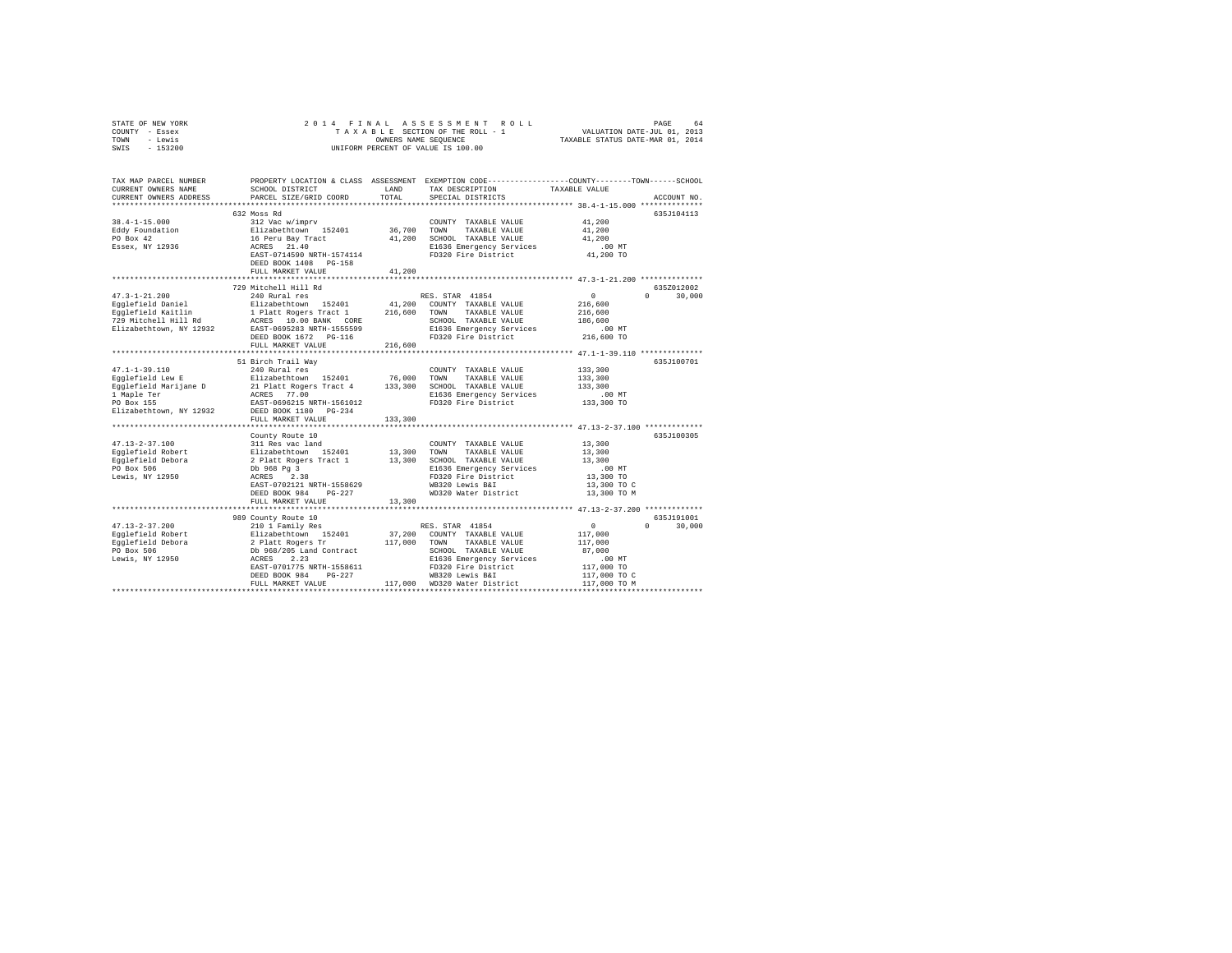| STATE OF NEW YORK     | 2014 FINAL ASSESSMENT ROLL                                                                   | 64<br>PAGE                       |
|-----------------------|----------------------------------------------------------------------------------------------|----------------------------------|
| COUNTY<br>- Essex     | TAXABLE SECTION OF THE ROLL - 1                                                              | VALUATION DATE-JUL 01, 2013      |
| - Lewis<br>TOWN       | OWNERS NAME SEOUENCE                                                                         | TAXABLE STATUS DATE-MAR 01, 2014 |
| $-153200$<br>SWIS     | UNIFORM PERCENT OF VALUE IS 100.00                                                           |                                  |
|                       |                                                                                              |                                  |
|                       |                                                                                              |                                  |
|                       |                                                                                              |                                  |
| TAX MAP PARCEL NUMBER | PROPERTY LOCATION & CLASS ASSESSMENT<br>EXEMPTION CODE-----------------COUNTY------TOWN----- | -SCHOOL                          |

| CURRENT OWNERS NAME     | SCHOOL DISTRICT                                                                                    | LAND         | TAX DESCRIPTION                                 | TAXABLE VALUE  |                    |
|-------------------------|----------------------------------------------------------------------------------------------------|--------------|-------------------------------------------------|----------------|--------------------|
| CURRENT OWNERS ADDRESS  | PARCEL SIZE/GRID COORD                                                                             | TOTAL        | SPECIAL DISTRICTS                               |                | ACCOUNT NO.        |
|                         |                                                                                                    |              |                                                 |                |                    |
|                         | 632 Moss Rd                                                                                        |              |                                                 |                | 635J104113         |
| $38.4 - 1 - 15.000$     | 312 Vac w/imprv                                                                                    |              | COUNTY TAXABLE VALUE                            | 41,200         |                    |
| Eddy Foundation         | Elizabethtown 152401                                                                               | 36,700 TOWN  | TAXABLE VALUE                                   | 41,200         |                    |
| PO Box 42               | 16 Peru Bay Tract                                                                                  | 41,200       | SCHOOL TAXABLE VALUE                            | 41,200         |                    |
| Essex, NY 12936         | ACRES 21.40                                                                                        |              | E1636 Emergency Services                        | .00 MT         |                    |
|                         | EAST-0714590 NRTH-1574114                                                                          |              | FD320 Fire District                             | 41,200 TO      |                    |
|                         | DEED BOOK 1408 PG-158                                                                              |              |                                                 |                |                    |
|                         | FULL MARKET VALUE                                                                                  | 41,200       |                                                 |                |                    |
|                         |                                                                                                    |              |                                                 |                |                    |
|                         | 729 Mitchell Hill Rd                                                                               |              |                                                 |                | 635Z012002         |
| $47.3 - 1 - 21.200$     | 240 Rural res                                                                                      |              | RES. STAR 41854                                 | $\sim$         | 30,000<br>$\Omega$ |
| Egglefield Daniel       | Elizabethtown 152401                                                                               |              | 41,200 COUNTY TAXABLE VALUE                     | 216,600        |                    |
| Egglefield Kaitlin      |                                                                                                    | 216,600      | TAXABLE VALUE<br>TOWN                           | 216,600        |                    |
| 729 Mitchell Hill Rd    | 1 Platt Rogers Tract 1<br>ACRES 10.00 BANK CORE                                                    |              | SCHOOL TAXABLE VALUE                            | 186,600        |                    |
| Elizabethtown, NY 12932 | EAST-0695283 NRTH-1555599                                                                          |              | E1636 Emergency Services                        | $.00$ MT       |                    |
|                         | DEED BOOK 1672 PG-116                                                                              |              | FD320 Fire District                             | 216,600 TO     |                    |
|                         | FULL MARKET VALUE                                                                                  | 216,600      |                                                 |                |                    |
|                         |                                                                                                    |              |                                                 |                |                    |
|                         | 51 Birch Trail Way                                                                                 |              |                                                 |                | 635J100701         |
| $47.1 - 1 - 39.110$     | 240 Rural res                                                                                      |              | COUNTY TAXABLE VALUE                            | 133,300        |                    |
| Eqqlefield Lew E        |                                                                                                    | 76,000       | TOWN<br>TAXABLE VALUE                           | 133,300        |                    |
|                         | Elizabethtown 152401<br>21 Platt Rogers Tract 4<br>ACRES 77.00                                     | 133,300      | SCHOOL TAXABLE VALUE                            | 133,300        |                    |
| Eqqlefield Marijane D   |                                                                                                    |              |                                                 |                |                    |
| 1 Maple Ter             |                                                                                                    |              | E1636 Emergency Services                        | $.00$ MT       |                    |
| PO Box 155              | EAST-0696215 NRTH-1561012                                                                          |              | FD320 Fire District                             | 133,300 TO     |                    |
| Elizabethtown, NY 12932 | DEED BOOK 1180 PG-234                                                                              |              |                                                 |                |                    |
|                         | FULL MARKET VALUE                                                                                  | 133,300      |                                                 |                |                    |
|                         | ************************                                                                           |              | ******************** 47.13-2-37.100 *********** |                |                    |
|                         | County Route 10                                                                                    |              |                                                 |                | 635J100305         |
| $47.13 - 2 - 37.100$    |                                                                                                    |              |                                                 | 13,300         |                    |
| Egglefield Robert       |                                                                                                    |              |                                                 | 13,300         |                    |
| Egglefield Debora       |                                                                                                    |              |                                                 | 13,300         |                    |
| PO Box 506              |                                                                                                    |              | E1636 Emergency Services                        | $.00$ MT       |                    |
| Lewis, NY 12950         | ACRES 2.38                                                                                         |              | FD320 Fire District                             | 13,300 TO      |                    |
|                         | EAST-0702121 NRTH-1558629                                                                          |              | WB320 Lewis B&I                                 | 13,300 TO C    |                    |
|                         | DEED BOOK 984<br>$PG-227$                                                                          |              | WD320 Water District                            | 13,300 TO M    |                    |
|                         | FULL MARKET VALUE                                                                                  | 13,300       |                                                 |                |                    |
|                         |                                                                                                    |              |                                                 |                |                    |
|                         | 989 County Route 10                                                                                |              |                                                 |                | 635J191001         |
| $47.13 - 2 - 37.200$    | 210 1 Family Res                                                                                   |              | RES. STAR 41854                                 | $\overline{0}$ | $\Omega$<br>30,000 |
| Eqqlefield Robert       |                                                                                                    |              | 37,200 COUNTY TAXABLE VALUE                     | 117,000        |                    |
| Eqqlefield Debora       |                                                                                                    | 117,000 TOWN | TAXABLE VALUE                                   | 117,000        |                    |
| PO Box 506              |                                                                                                    |              | SCHOOL TAXABLE VALUE                            | 87,000         |                    |
| Lewis, NY 12950         | Elizabration<br>Elizabration 152401<br>2 Platt Rogers Tr<br>Db 968/205 Land Contract<br>ACRES 2.23 |              | E1636 Emergency Services                        | $.00$ MT       |                    |
|                         | EAST-0701775 NRTH-1558611                                                                          |              | FD320 Fire District                             | 117,000 TO     |                    |
|                         | $PG-227$<br>DEED BOOK 984                                                                          |              | WB320 Lewis B&I                                 | 117,000 TO C   |                    |
|                         | FULL MARKET VALUE                                                                                  |              | 117,000 WD320 Water District                    | 117,000 TO M   |                    |
|                         |                                                                                                    |              |                                                 |                |                    |
|                         |                                                                                                    |              |                                                 |                |                    |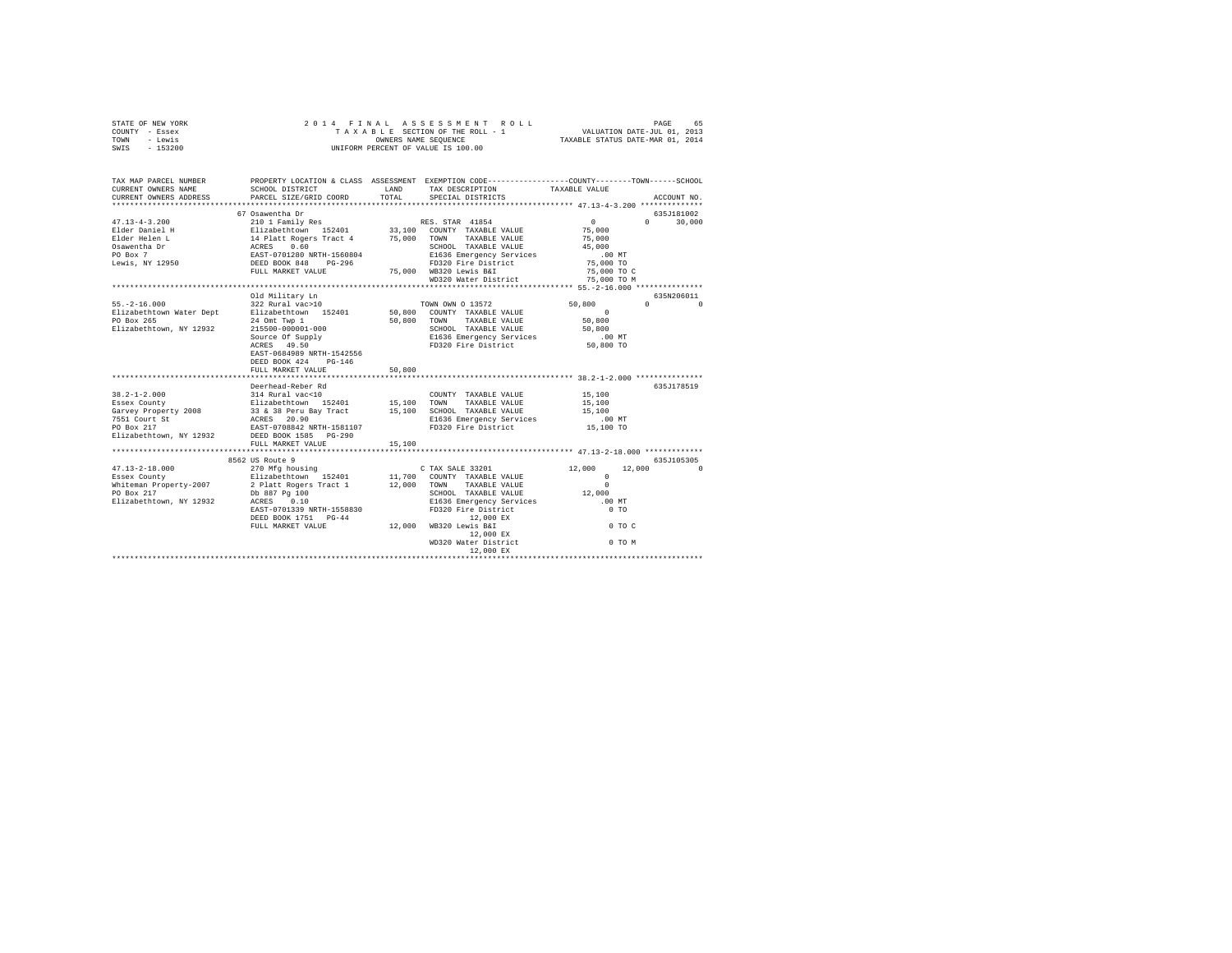| STATE OF NEW YORK                                                                                                                                                                                                                                                                                                                                                           |                                                       |        |                                                                                                                                                                                                                                                                                                                                                                                                                                                                          |                                            |               |
|-----------------------------------------------------------------------------------------------------------------------------------------------------------------------------------------------------------------------------------------------------------------------------------------------------------------------------------------------------------------------------|-------------------------------------------------------|--------|--------------------------------------------------------------------------------------------------------------------------------------------------------------------------------------------------------------------------------------------------------------------------------------------------------------------------------------------------------------------------------------------------------------------------------------------------------------------------|--------------------------------------------|---------------|
| COUNTY - Essex                                                                                                                                                                                                                                                                                                                                                              |                                                       |        |                                                                                                                                                                                                                                                                                                                                                                                                                                                                          |                                            |               |
| TOWN - Lewis                                                                                                                                                                                                                                                                                                                                                                |                                                       |        |                                                                                                                                                                                                                                                                                                                                                                                                                                                                          |                                            |               |
| SWIS - 153200                                                                                                                                                                                                                                                                                                                                                               |                                                       |        |                                                                                                                                                                                                                                                                                                                                                                                                                                                                          |                                            |               |
|                                                                                                                                                                                                                                                                                                                                                                             |                                                       |        |                                                                                                                                                                                                                                                                                                                                                                                                                                                                          |                                            |               |
|                                                                                                                                                                                                                                                                                                                                                                             |                                                       |        |                                                                                                                                                                                                                                                                                                                                                                                                                                                                          |                                            |               |
|                                                                                                                                                                                                                                                                                                                                                                             |                                                       |        |                                                                                                                                                                                                                                                                                                                                                                                                                                                                          |                                            |               |
| TAX MAP PARCEL NUMBER PROPERTY LOCATION & CLASS ASSESSMENT EXEMPTION CORE--------------COUNT-------SCHOOL DER<br>CURRENT OWNERS NAME SCHOOL DISTRICT CONTENTS LAND TAX DESCRIPTION TAXABLE VALUE VALUE                                                                                                                                                                      |                                                       |        |                                                                                                                                                                                                                                                                                                                                                                                                                                                                          |                                            |               |
|                                                                                                                                                                                                                                                                                                                                                                             | SCHOOL DISTRICT                                       |        |                                                                                                                                                                                                                                                                                                                                                                                                                                                                          |                                            |               |
| CURRENT OWNERS ADDRESS PARCEL SIZE/GRID COORD                                                                                                                                                                                                                                                                                                                               |                                                       | TOTAL  | SPECIAL DISTRICTS                                                                                                                                                                                                                                                                                                                                                                                                                                                        |                                            | ACCOUNT NO.   |
|                                                                                                                                                                                                                                                                                                                                                                             |                                                       |        |                                                                                                                                                                                                                                                                                                                                                                                                                                                                          |                                            |               |
| $\begin{tabular}{l c c c c} \multicolumn{3}{c}{\textbf{47.13--4--3.200}} & \multicolumn{3}{c}{67.0Suler Daniel H} & \multicolumn{3}{c}{210.11Euler.} & \multicolumn{3}{c}{210.12Euler.} & \multicolumn{3}{c}{210.12Euler.} & \multicolumn{3}{c}{210.12Euler.} & \multicolumn{3}{c}{210.12Euler.} & \multicolumn{3}{c}{210.12Euler.} & \multicolumn{3}{c}{210.12Euler.} & \$ | 67 Osawentha Dr                                       |        |                                                                                                                                                                                                                                                                                                                                                                                                                                                                          |                                            | 635J181002    |
|                                                                                                                                                                                                                                                                                                                                                                             |                                                       |        |                                                                                                                                                                                                                                                                                                                                                                                                                                                                          | $\begin{array}{c} 0 \\ 75,000 \end{array}$ | $0 \t 30.000$ |
|                                                                                                                                                                                                                                                                                                                                                                             |                                                       |        |                                                                                                                                                                                                                                                                                                                                                                                                                                                                          |                                            |               |
|                                                                                                                                                                                                                                                                                                                                                                             |                                                       |        |                                                                                                                                                                                                                                                                                                                                                                                                                                                                          | 75,000                                     |               |
|                                                                                                                                                                                                                                                                                                                                                                             |                                                       |        | SCHOOL TAXABLE VALUE                                                                                                                                                                                                                                                                                                                                                                                                                                                     | 45,000                                     |               |
|                                                                                                                                                                                                                                                                                                                                                                             |                                                       |        |                                                                                                                                                                                                                                                                                                                                                                                                                                                                          | .00 MT<br>75,000 TO                        |               |
|                                                                                                                                                                                                                                                                                                                                                                             |                                                       |        |                                                                                                                                                                                                                                                                                                                                                                                                                                                                          |                                            |               |
|                                                                                                                                                                                                                                                                                                                                                                             |                                                       |        |                                                                                                                                                                                                                                                                                                                                                                                                                                                                          | 75,000 TO C                                |               |
|                                                                                                                                                                                                                                                                                                                                                                             |                                                       |        | WD320 Water District                                                                                                                                                                                                                                                                                                                                                                                                                                                     | 75,000 TO M                                |               |
|                                                                                                                                                                                                                                                                                                                                                                             |                                                       |        |                                                                                                                                                                                                                                                                                                                                                                                                                                                                          |                                            |               |
|                                                                                                                                                                                                                                                                                                                                                                             | Old Military Ln                                       |        |                                                                                                                                                                                                                                                                                                                                                                                                                                                                          |                                            | 635N206011    |
| $55. -2 - 16.000$                                                                                                                                                                                                                                                                                                                                                           | Old Military Ln<br>322 Rural vac>10                   |        | TOWN OWN O 13572                                                                                                                                                                                                                                                                                                                                                                                                                                                         | $50,800$ 0 0                               |               |
|                                                                                                                                                                                                                                                                                                                                                                             |                                                       |        |                                                                                                                                                                                                                                                                                                                                                                                                                                                                          |                                            |               |
| 1999 - 2008 - 2008 - 2008 - 2008 - 2008 - 2008 - 2008 - 2008 - 2009 - 2009 - 2018 - 2019 - 2019 - 2019 - 2019<br>1999 - 2019 - 2019 - 2019 - 2019 - 2019 - 2019 - 2019 - 2019 - 2019 - 2019 - 2019 - 2019 - 2019 - 2019 - 2019<br>19                                                                                                                                        |                                                       |        | 50,800 TOWN TAXABLE VALUE                                                                                                                                                                                                                                                                                                                                                                                                                                                |                                            |               |
|                                                                                                                                                                                                                                                                                                                                                                             |                                                       |        |                                                                                                                                                                                                                                                                                                                                                                                                                                                                          |                                            |               |
| Elizabethtown, NY 12932 215500-000001-000<br>Surce of Supply 21636 Emergency Services<br>Source of Supply 21636 Emergency Services                                                                                                                                                                                                                                          |                                                       |        |                                                                                                                                                                                                                                                                                                                                                                                                                                                                          | .00 MT                                     |               |
|                                                                                                                                                                                                                                                                                                                                                                             | Source Of Supply<br>ACRES 49.50                       |        | FD320 Fire District                                                                                                                                                                                                                                                                                                                                                                                                                                                      | 50,800 TO                                  |               |
|                                                                                                                                                                                                                                                                                                                                                                             | EAST-0684989 NRTH-1542556                             |        |                                                                                                                                                                                                                                                                                                                                                                                                                                                                          |                                            |               |
|                                                                                                                                                                                                                                                                                                                                                                             | DEED BOOK 424 PG-146                                  |        |                                                                                                                                                                                                                                                                                                                                                                                                                                                                          |                                            |               |
|                                                                                                                                                                                                                                                                                                                                                                             | FULL MARKET VALUE                                     | 50,800 |                                                                                                                                                                                                                                                                                                                                                                                                                                                                          |                                            |               |
|                                                                                                                                                                                                                                                                                                                                                                             |                                                       |        |                                                                                                                                                                                                                                                                                                                                                                                                                                                                          |                                            |               |
|                                                                                                                                                                                                                                                                                                                                                                             | Deerhead-Reber Rd                                     |        |                                                                                                                                                                                                                                                                                                                                                                                                                                                                          |                                            | 635J178519    |
|                                                                                                                                                                                                                                                                                                                                                                             |                                                       |        | $\begin{tabular}{lllllll} \multicolumn{2}{l}{{\text{COUNTY}}} & \multicolumn{2}{l}{\text{TAXABLE VALUE}} & \multicolumn{2}{l}{\text{YALUE}} & \multicolumn{2}{l}{\text{15,100}} \\ \multicolumn{2}{l}{\text{COUNTY}} & \multicolumn{2}{l}{\text{TAXABLE VALUE}} & \multicolumn{2}{l}{\text{YALUE}} & \multicolumn{2}{l}{\text{15,100}} \\ \multicolumn{2}{l}{\text{15,100}} & \multicolumn{2}{l}{\text{15,100}} & \multicolumn{2}{l}{\text{15,100}} \\ \multicolumn{2}{$ |                                            |               |
|                                                                                                                                                                                                                                                                                                                                                                             |                                                       |        |                                                                                                                                                                                                                                                                                                                                                                                                                                                                          | 15,100                                     |               |
|                                                                                                                                                                                                                                                                                                                                                                             |                                                       |        |                                                                                                                                                                                                                                                                                                                                                                                                                                                                          | $15\,, 100$                                |               |
|                                                                                                                                                                                                                                                                                                                                                                             |                                                       |        |                                                                                                                                                                                                                                                                                                                                                                                                                                                                          | $.00$ MT                                   |               |
|                                                                                                                                                                                                                                                                                                                                                                             |                                                       |        |                                                                                                                                                                                                                                                                                                                                                                                                                                                                          | 15,100 TO                                  |               |
| Elizabethtown, NY 12932 DEED BOOK 1585 PG-290                                                                                                                                                                                                                                                                                                                               |                                                       |        |                                                                                                                                                                                                                                                                                                                                                                                                                                                                          |                                            |               |
|                                                                                                                                                                                                                                                                                                                                                                             | FULL MARKET VALUE                                     | 15,100 |                                                                                                                                                                                                                                                                                                                                                                                                                                                                          |                                            |               |
|                                                                                                                                                                                                                                                                                                                                                                             |                                                       |        |                                                                                                                                                                                                                                                                                                                                                                                                                                                                          |                                            |               |
| $\begin{tabular}{lcccc} $47.13-2-18.000 & $8562 \text{ US Route 9} & $270 \text{ Mfg housing} & $27.13-2-18.000 & $113.2-18.000 & $113.2-18.000 & $113.2-18.000 & $113.2-18.000 & $113.2-18.000 & $113.2-18.000 & $113.2-18.000 & $113.2-18.000 & $113.2-18.000 & $113.2-18.000 & $113.2-18.000$                                                                            |                                                       |        |                                                                                                                                                                                                                                                                                                                                                                                                                                                                          |                                            |               |
|                                                                                                                                                                                                                                                                                                                                                                             |                                                       |        |                                                                                                                                                                                                                                                                                                                                                                                                                                                                          |                                            |               |
|                                                                                                                                                                                                                                                                                                                                                                             |                                                       |        |                                                                                                                                                                                                                                                                                                                                                                                                                                                                          |                                            |               |
|                                                                                                                                                                                                                                                                                                                                                                             |                                                       |        |                                                                                                                                                                                                                                                                                                                                                                                                                                                                          |                                            |               |
|                                                                                                                                                                                                                                                                                                                                                                             |                                                       |        |                                                                                                                                                                                                                                                                                                                                                                                                                                                                          |                                            |               |
|                                                                                                                                                                                                                                                                                                                                                                             |                                                       |        |                                                                                                                                                                                                                                                                                                                                                                                                                                                                          |                                            |               |
|                                                                                                                                                                                                                                                                                                                                                                             | EAST-0701339 NRTH-1558830                             |        |                                                                                                                                                                                                                                                                                                                                                                                                                                                                          |                                            |               |
|                                                                                                                                                                                                                                                                                                                                                                             | DEED BOOK 1751 PG-44                                  |        | CONTRAINING MAIL CONTRAINING MAIL CONTRAINING MAIL CONTRAINING MAIL CONTROL CONTROL CONTROL CONTRAINING MAIL CONTRAINING MAIL CONTRAINING MAIL CONTRAINING MAIL CONTRAINING MAIL CONTRAINING MAIL CONTRAINING MAIL CONTRAINING                                                                                                                                                                                                                                           |                                            |               |
|                                                                                                                                                                                                                                                                                                                                                                             | 12,000 EX<br>FULL MARKET VALUE 12,000 WB320 Lewis B&I |        |                                                                                                                                                                                                                                                                                                                                                                                                                                                                          | $0$ TO $C$                                 |               |
|                                                                                                                                                                                                                                                                                                                                                                             |                                                       |        |                                                                                                                                                                                                                                                                                                                                                                                                                                                                          |                                            |               |
|                                                                                                                                                                                                                                                                                                                                                                             |                                                       |        |                                                                                                                                                                                                                                                                                                                                                                                                                                                                          |                                            |               |
|                                                                                                                                                                                                                                                                                                                                                                             |                                                       |        | WB320 Lewis B&1<br>12,000 EX<br>WD320 Water District<br>12,000 EX<br>12,000 EX                                                                                                                                                                                                                                                                                                                                                                                           |                                            |               |
|                                                                                                                                                                                                                                                                                                                                                                             |                                                       |        |                                                                                                                                                                                                                                                                                                                                                                                                                                                                          |                                            |               |
|                                                                                                                                                                                                                                                                                                                                                                             |                                                       |        |                                                                                                                                                                                                                                                                                                                                                                                                                                                                          |                                            |               |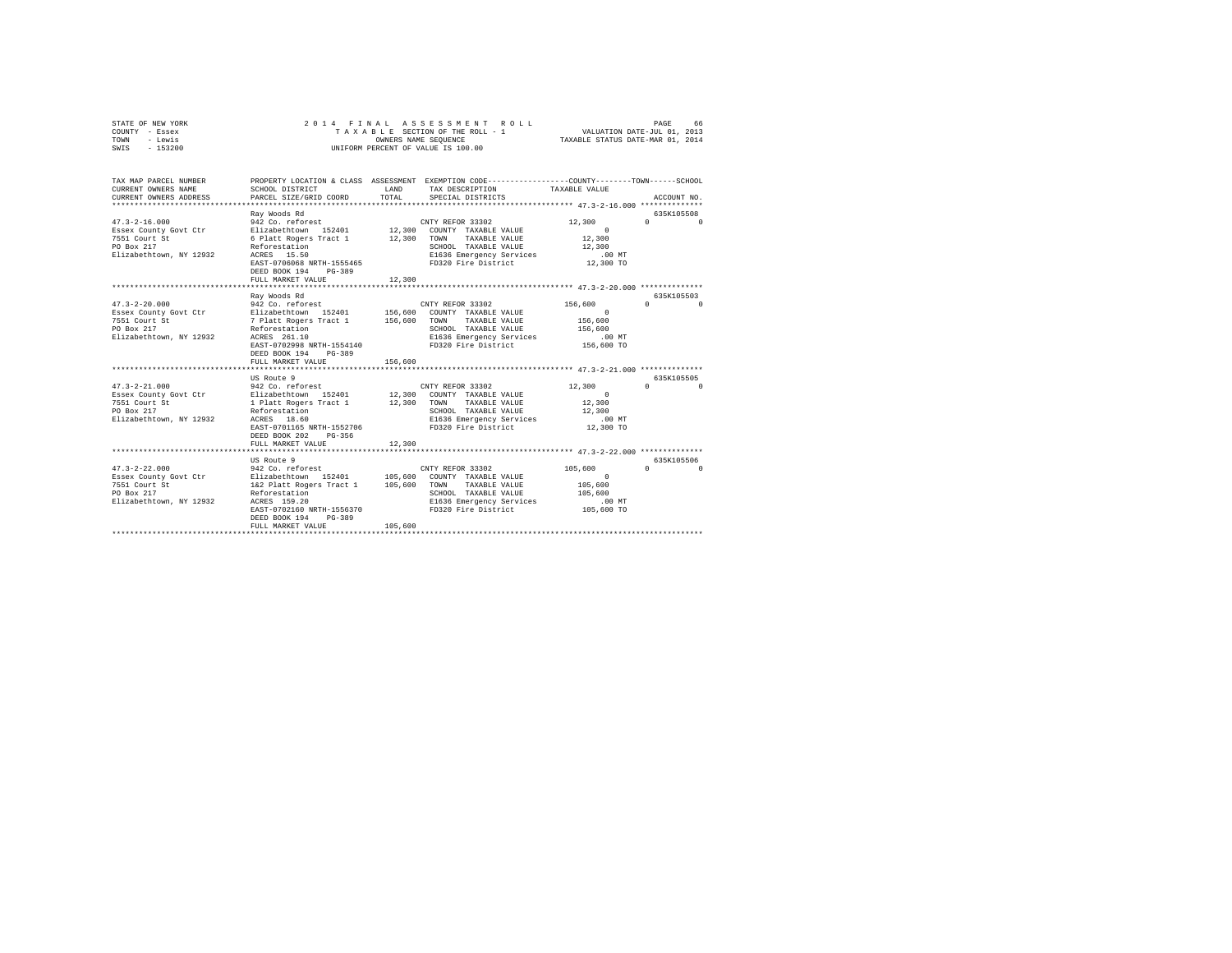| STATE OF NEW YORK<br>COUNTY - Essex<br>- Lewis<br>TOWN<br>SWIS - 153200                                |                                                                                                                                                                                                                                    |                    | 2014 FINAL ASSESSMENT ROLL<br>TAXABLE SECTION OF THE ROLL - 1<br>OWNERS NAME SEQUENCE<br>UNIFORM PERCENT OF VALUE IS 100.00                             | VALUATION DATE-JUL 01, 2013<br>TAXABLE STATUS DATE-MAR 01, 2014     | PAGE<br>66                                                  |
|--------------------------------------------------------------------------------------------------------|------------------------------------------------------------------------------------------------------------------------------------------------------------------------------------------------------------------------------------|--------------------|---------------------------------------------------------------------------------------------------------------------------------------------------------|---------------------------------------------------------------------|-------------------------------------------------------------|
| TAX MAP PARCEL NUMBER<br>CURRENT OWNERS NAME<br>CURRENT OWNERS ADDRESS                                 | PROPERTY LOCATION & CLASS ASSESSMENT EXEMPTION CODE---------------COUNTY-------TOWN------SCHOOL<br>SCHOOL DISTRICT<br>PARCEL SIZE/GRID COORD                                                                                       | LAND<br>TOTAL      | TAX DESCRIPTION<br>SPECIAL DISTRICTS                                                                                                                    | TAXABLE VALUE                                                       | ACCOUNT NO.                                                 |
| $47.3 - 2 - 16.000$<br>Essex County Govt Ctr<br>7551 Court St<br>PO Box 217<br>Elizabethtown, NY 12932 | Ray Woods Rd<br>942 Co. reforest<br>Elizabethtown 152401<br>6 Platt Rogers Tract 1 12,300<br>Reforestation<br>ACRES 15.50<br>EAST-0706068 NRTH-1555465<br>DEED BOOK 194 PG-389<br>FULL MARKET VALUE                                | 12,300             | CNTY REFOR 33302<br>12,300 COUNTY TAXABLE VALUE<br>TOWN<br>TAXABLE VALUE<br>SCHOOL TAXABLE VALUE<br>E1636 Emergency Services<br>FD320 Fire District     | 12,300<br>$\sim$ 0<br>12,300<br>12,300<br>$.00$ MT<br>12,300 TO     | 635K105508<br>$\sim$ 0<br>$\Omega$                          |
|                                                                                                        |                                                                                                                                                                                                                                    |                    |                                                                                                                                                         |                                                                     |                                                             |
| $47.3 - 2 - 20.000$<br>Essex County Govt Ctr<br>7551 Court St<br>PO Box 217<br>Elizabethtown, NY 12932 | Ray Woods Rd<br>942 Co. reforest<br>Elizabethtown 152401 156,600 COUNTY TAXABLE VALUE<br>7 Platt Rogers Tract 1 156,600<br>Reforestation<br>ACRES 261.10<br>EAST-0702998 NRTH-1554140<br>DEED BOOK 194 PG-389<br>FULL MARKET VALUE | 156,600            | CNTY REFOR 33302<br>TOWN TAXABLE VALUE<br>SCHOOL TAXABLE VALUE<br>E1636 Emergency Services<br>FD320 Fire District                                       | 156,600<br>$\sim$ 0<br>156,600<br>156,600<br>$.00$ MT<br>156,600 TO | 635K105503<br>$\begin{array}{ccc}\n0 & & & 0\n\end{array}$  |
|                                                                                                        |                                                                                                                                                                                                                                    |                    |                                                                                                                                                         |                                                                     |                                                             |
| $47.3 - 2 - 21.000$<br>Essex County Govt Ctr<br>7551 Court St<br>PO Box 217<br>Elizabethtown, NY 12932 | US Route 9<br>942 Co. reforest<br>Elizabethtown 152401<br>1 Platt Rogers Tract 1<br>Reforestation<br>ACRES 18.60<br>EAST-0701165 NRTH-1552706<br>DEED BOOK 202 PG-356                                                              |                    | CNTY REFOR 33302<br>12,300 COUNTY TAXABLE VALUE<br>12,300 TOWN TAXABLE VALUE<br>SCHOOL TAXABLE VALUE<br>E1636 Emergency Services<br>FD320 Fire District | 12,300<br>$\sim$ 0<br>12,300<br>12,300<br>$.00$ MT<br>12,300 TO     | 635K105505<br>$\mathfrak{a}$ and $\mathfrak{a}$<br>$\Omega$ |
|                                                                                                        | FULL MARKET VALUE                                                                                                                                                                                                                  | 12,300             |                                                                                                                                                         |                                                                     |                                                             |
|                                                                                                        | US Route 9                                                                                                                                                                                                                         |                    |                                                                                                                                                         |                                                                     | 635K105506                                                  |
| $47.3 - 2 - 22.000$<br>Essex County Govt Ctr<br>7551 Court St<br>PO Box 217<br>Elizabethtown, NY 12932 | 942 Co. reforest<br>Elizabethtown 152401<br>1&2 Platt Rogers Tract 1<br>Reforestation<br>ACRES 159.20<br>EAST-0702160 NRTH-1556370<br>DEED BOOK 194<br>PG-389<br>FULL MARKET VALUE                                                 | 105,600<br>105,600 | CNTY REFOR 33302<br>105,600 COUNTY TAXABLE VALUE<br>TOWN<br>TAXABLE VALUE<br>SCHOOL TAXABLE VALUE<br>E1636 Emergency Services<br>FD320 Fire District    | 105,600<br>$\Omega$<br>105,600<br>105,600<br>.00 MT<br>105,600 TO   | $\mathbf{0}$<br>$\cap$                                      |
|                                                                                                        |                                                                                                                                                                                                                                    |                    |                                                                                                                                                         |                                                                     |                                                             |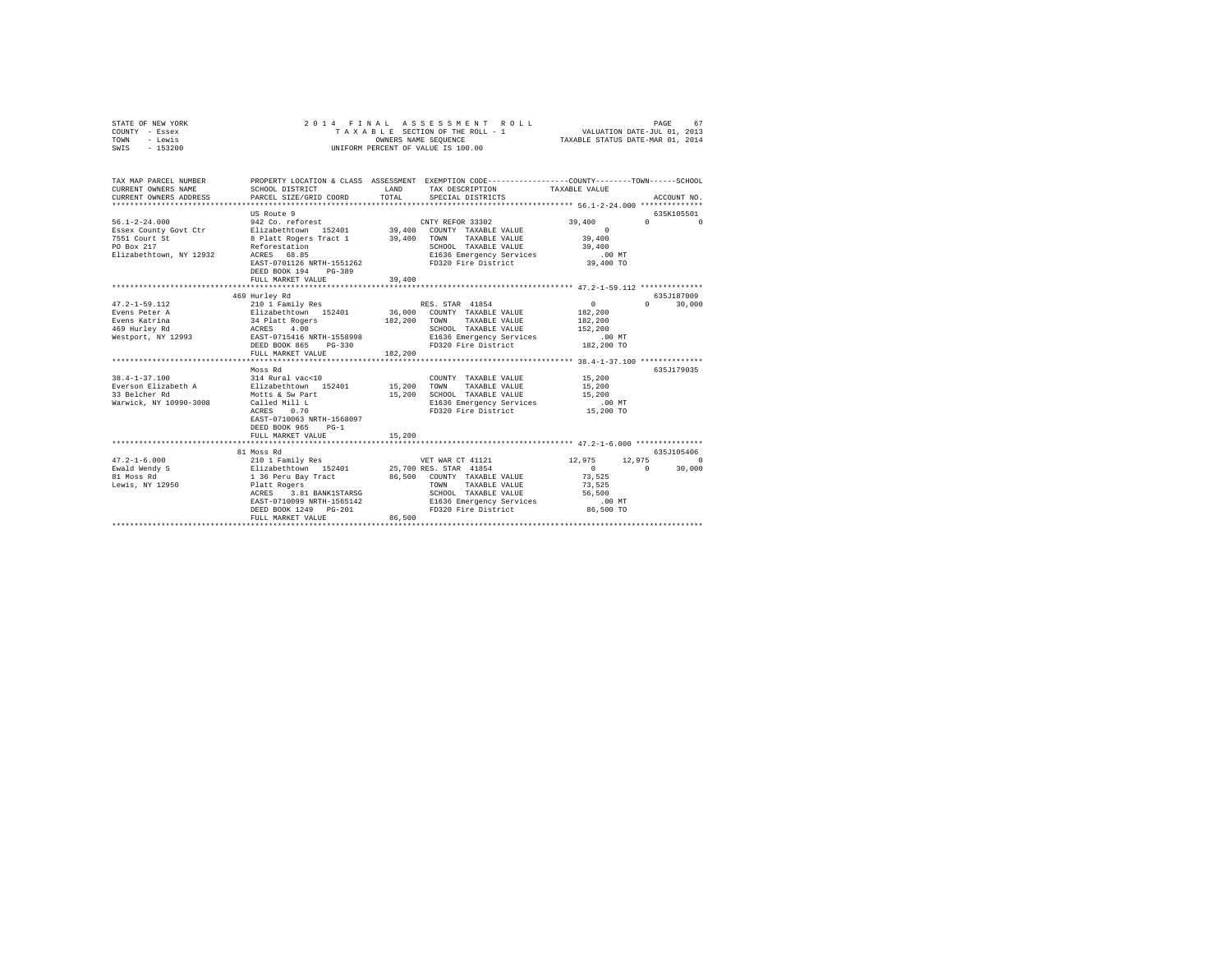| STATE OF NEW YORK<br>COUNTY - Essex<br>TOWN<br>- Lewis<br>SWIS - 153200                                | 2014 FINAL                                                                                                                                                                                                                         | OWNERS NAME SEQUENCE       | ASSESSMENT<br>ROLL<br>TAXABLE SECTION OF THE ROLL - 1<br>UNIFORM PERCENT OF VALUE IS 100.00                                                                                   | VALUATION DATE-JUL 01, 2013<br>TAXABLE STATUS DATE-MAR 01, 2014        | PAGE<br>67                                              |
|--------------------------------------------------------------------------------------------------------|------------------------------------------------------------------------------------------------------------------------------------------------------------------------------------------------------------------------------------|----------------------------|-------------------------------------------------------------------------------------------------------------------------------------------------------------------------------|------------------------------------------------------------------------|---------------------------------------------------------|
| TAX MAP PARCEL NUMBER<br>CURRENT OWNERS NAME<br>CURRENT OWNERS ADDRESS                                 | SCHOOL DISTRICT<br>PARCEL SIZE/GRID COORD                                                                                                                                                                                          | LAND<br>TOTAL              | PROPERTY LOCATION & CLASS ASSESSMENT EXEMPTION CODE---------------COUNTY-------TOWN-----SCHOOL<br>TAX DESCRIPTION<br>SPECIAL DISTRICTS                                        | TAXABLE VALUE                                                          | ACCOUNT NO.                                             |
| $56.1 - 2 - 24.000$<br>Essex County Govt Ctr<br>7551 Court St<br>PO Box 217<br>Elizabethtown, NY 12932 | US Route 9<br>942 Co. reforest<br>Elizabethtown 152401<br>8 Platt Rogers Tract 1<br>Reforestation<br>ACRES 68.85<br>EAST-0701126 NRTH-1551262<br>DEED BOOK 194<br>PG-389<br>FULL MARKET VALUE                                      | 39,400                     | CNTY REFOR 33302<br>39,400 COUNTY TAXABLE VALUE<br>39,400 TOWN TAXABLE VALUE<br>SCHOOL TAXABLE VALUE<br>E1636 Emergency Services<br>FD320 Fire District                       | 39,400<br>$\sim$ 0<br>39,400<br>39,400<br>$.00$ MT<br>39,400 TO        | 635K105501<br>$\mathbf{0}$<br>$\Omega$                  |
|                                                                                                        |                                                                                                                                                                                                                                    |                            |                                                                                                                                                                               |                                                                        |                                                         |
|                                                                                                        | 469 Hurley Rd                                                                                                                                                                                                                      |                            |                                                                                                                                                                               |                                                                        | 635J187009                                              |
| $47.2 - 1 - 59.112$<br>Evens Peter A<br>Evens Katrina<br>469 Hurley Rd<br>Westport, NY 12993           | 210 1 Family Res<br>Elizabethtown 152401<br>34 Platt Rogers<br>ACRES 4.00<br>EAST-0715416 NRTH-1558998<br>DEED BOOK 865 PG-330<br>FULL MARKET VALUE<br>Moss Rd                                                                     | 182,200<br>182,200         | RES. STAR 41854<br>36,000 COUNTY TAXABLE VALUE<br>TOWN<br>TAXABLE VALUE<br>SCHOOL TAXABLE VALUE<br>E1636 Emergency Services<br>FD320 Fire District 182,200 TO                 | $\mathbf{0}$<br>182,200<br>182,200<br>152,200<br>$.00$ MT              | 30,000<br>$\Omega$ and $\Omega$<br>635J179035           |
| $38.4 - 1 - 37.100$<br>Everson Elizabeth A<br>33 Belcher Rd<br>Warwick, NY 10990-3008                  | 314 Rural vac<10<br>Elizabethtown 152401<br>Motts & Sw Part<br>Called Mill L<br>ACRES<br>0.70<br>EAST-0710063 NRTH-1568097<br>DEED BOOK 965<br>$PG-1$<br>FULL MARKET VALUE                                                         | 15,200<br>15,200<br>15,200 | COUNTY TAXABLE VALUE<br>TOWN<br>TAXABLE VALUE<br>SCHOOL TAXABLE VALUE<br>E1636 Emergency Services<br>FD320 Fire District                                                      | 15,200<br>15,200<br>15,200<br>$.00$ MT<br>15,200 TO                    |                                                         |
|                                                                                                        |                                                                                                                                                                                                                                    |                            |                                                                                                                                                                               |                                                                        |                                                         |
| $47.2 - 1 - 6.000$<br>Ewald Wendy S<br>81 Moss Rd<br>Lewis, NY 12950                                   | 81 Moss Rd<br>210 1 Family Res<br>Elizabethtown 152401<br>1 36 Peru Bay Tract<br>Platt Rogers<br>ACRES 3.81 BANK1STARSG<br>EAST-0710099 NRTH-1565142<br>DEED BOOK 1249 PG-201<br>FULL MARKET VALUE<br>**************************** | 86,500                     | VET WAR CT 41121<br>25,700 RES. STAR 41854<br>86,500 COUNTY TAXABLE VALUE<br>TAXABLE VALUE<br>TOWN<br>SCHOOL TAXABLE VALUE<br>E1636 Emergency Services<br>FD320 Fire District | 12,975<br>$\sim$ 0<br>73.525<br>73,525<br>56,500<br>.00MT<br>86,500 TO | 635.T105406<br>12,975<br>$\Omega$<br>$\sim$ 0<br>30,000 |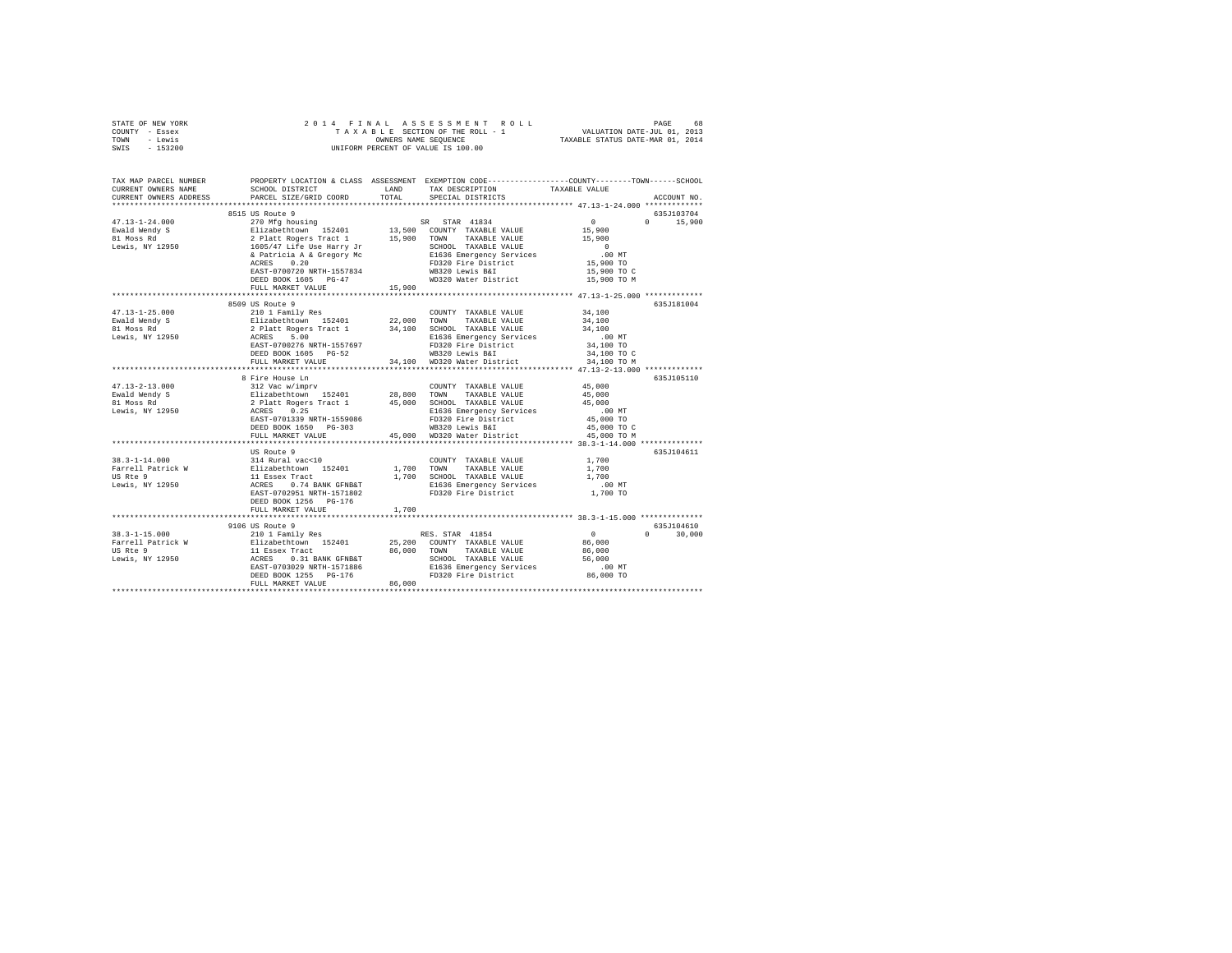|      | STATE OF NEW YORK |  |  |  | 2014 FINAL ASSESSMENT ROLL         |  |  |                                  | PAGE | 68 |
|------|-------------------|--|--|--|------------------------------------|--|--|----------------------------------|------|----|
|      | COUNTY - Essex    |  |  |  | TAXABLE SECTION OF THE ROLL - 1    |  |  | VALUATION DATE-JUL 01, 2013      |      |    |
| TOWN | - Lewis           |  |  |  | OWNERS NAME SEOUENCE               |  |  | TAXABLE STATUS DATE-MAR 01, 2014 |      |    |
| SWIS | $-153200$         |  |  |  | UNIFORM PERCENT OF VALUE IS 100.00 |  |  |                                  |      |    |

| TAX MAP PARCEL NUMBER<br>CURRENT OWNERS NAME                                                                                                                                                                                                                                                                                                                                  | SCHOOL DISTRICT        |        | PROPERTY LOCATION & CLASS ASSESSMENT EXEMPTION CODE---------------COUNTY-------TOWN------SCHOOL<br>LAND TAX DESCRIPTION | TAXABLE VALUE                                  |               |
|-------------------------------------------------------------------------------------------------------------------------------------------------------------------------------------------------------------------------------------------------------------------------------------------------------------------------------------------------------------------------------|------------------------|--------|-------------------------------------------------------------------------------------------------------------------------|------------------------------------------------|---------------|
| CURRENT OWNERS ADDRESS                                                                                                                                                                                                                                                                                                                                                        | PARCEL SIZE/GRID COORD |        | TOTAL SPECIAL DISTRICTS                                                                                                 |                                                | ACCOUNT NO.   |
|                                                                                                                                                                                                                                                                                                                                                                               |                        |        |                                                                                                                         |                                                |               |
|                                                                                                                                                                                                                                                                                                                                                                               | 8515 US Route 9        |        |                                                                                                                         |                                                | 635J103704    |
|                                                                                                                                                                                                                                                                                                                                                                               |                        |        |                                                                                                                         | $\begin{array}{c} 0 \\ 15,900 \end{array}$     | $0 \t 15,900$ |
|                                                                                                                                                                                                                                                                                                                                                                               |                        |        |                                                                                                                         |                                                |               |
|                                                                                                                                                                                                                                                                                                                                                                               |                        |        |                                                                                                                         |                                                |               |
|                                                                                                                                                                                                                                                                                                                                                                               |                        |        |                                                                                                                         |                                                |               |
| $\begin{tabular}{lcccc} 47.13-1-24.000 & 891.90 out 917.13-1-24.000 & 270 Mfg housing & SR STR 41834 & 017.13-1-24.000 & 270 Mfg housing & SR STR 41834 & 15,90018.1008 Rd & 271.142419.1008 Rd & 271.14141008 Rd & 271.14141008 Rd & 271.14141008 Rd & 271.14141008 Rd & 27$                                                                                                 |                        |        |                                                                                                                         | 00 MT.<br>15,900 TO                            |               |
|                                                                                                                                                                                                                                                                                                                                                                               |                        |        |                                                                                                                         |                                                |               |
|                                                                                                                                                                                                                                                                                                                                                                               |                        |        | EAST-0700720 NRTH-1557834 WB320 Lewis B&I<br>DEED BOOK 1605 PG-47 WD320 Water District                                  | 15,900 TO C                                    |               |
|                                                                                                                                                                                                                                                                                                                                                                               |                        |        |                                                                                                                         | 15,900 TO M                                    |               |
|                                                                                                                                                                                                                                                                                                                                                                               | FULL MARKET VALUE      | 15,900 |                                                                                                                         |                                                |               |
|                                                                                                                                                                                                                                                                                                                                                                               | 8509 US Route 9        |        |                                                                                                                         |                                                | 635J181004    |
| $\begin{tabular}{lcccc} 47.13-1-25.000 & 8509& 5000 & 210 & 117cm & 1210 & 1210 & 1210 & 1210 & 1210 & 1210 & 1210 & 1210 & 1210 & 1210 & 1210 & 1210 & 1210 & 1210 & 1210 & 1210 & 1210 & 1210 & 1210 & 1210 & 1210 & 1210 & 1210 & 1210 & 1210 & 1210 & 1210 & 1210 & 121$                                                                                                  |                        |        |                                                                                                                         |                                                |               |
|                                                                                                                                                                                                                                                                                                                                                                               |                        |        |                                                                                                                         |                                                |               |
|                                                                                                                                                                                                                                                                                                                                                                               |                        |        |                                                                                                                         |                                                |               |
|                                                                                                                                                                                                                                                                                                                                                                               |                        |        |                                                                                                                         |                                                |               |
|                                                                                                                                                                                                                                                                                                                                                                               |                        |        |                                                                                                                         |                                                |               |
|                                                                                                                                                                                                                                                                                                                                                                               |                        |        |                                                                                                                         |                                                |               |
|                                                                                                                                                                                                                                                                                                                                                                               |                        |        | FULL MARKET VALUE 34,100 WD320 Water District                                                                           | 34,100 TO M                                    |               |
|                                                                                                                                                                                                                                                                                                                                                                               |                        |        |                                                                                                                         |                                                |               |
|                                                                                                                                                                                                                                                                                                                                                                               | 8 Fire House Ln        |        |                                                                                                                         |                                                | 635J105110    |
| $\begin{array}{cccccc} 47.13-2-13.000 & & 112 \text{ Vate} & \text{with} & & & & & & & & & & & & & & 45,000 \\ 18.13-2-13.000 & & 312 \text{ Vate} & \text{with} & & 152401 & & 28,800 & \text{TVAM} & \text{TXAABLE VALUE} & & 45,000 \\ 81 \text{ Noes Red} & & 21 \text{zate} & \text{Kogers Trade} & & 45,000 & & 22,800 & \text{NCMD} & \text{TXAABLE VALUE} & & 45,000$ |                        |        |                                                                                                                         |                                                |               |
|                                                                                                                                                                                                                                                                                                                                                                               |                        |        |                                                                                                                         |                                                |               |
|                                                                                                                                                                                                                                                                                                                                                                               |                        |        |                                                                                                                         |                                                |               |
|                                                                                                                                                                                                                                                                                                                                                                               |                        |        |                                                                                                                         |                                                |               |
|                                                                                                                                                                                                                                                                                                                                                                               |                        |        |                                                                                                                         |                                                |               |
|                                                                                                                                                                                                                                                                                                                                                                               | DEED BOOK 1650 PG-303  |        |                                                                                                                         | 45,000 TO C                                    |               |
|                                                                                                                                                                                                                                                                                                                                                                               | FULL MARKET VALUE      |        | WB320 Lewis B&I<br>45,000 WD320 Water District                                                                          | 45,000 TO M                                    |               |
|                                                                                                                                                                                                                                                                                                                                                                               |                        |        |                                                                                                                         |                                                |               |
|                                                                                                                                                                                                                                                                                                                                                                               |                        |        |                                                                                                                         |                                                | 635J104611    |
|                                                                                                                                                                                                                                                                                                                                                                               |                        |        |                                                                                                                         |                                                |               |
|                                                                                                                                                                                                                                                                                                                                                                               |                        |        |                                                                                                                         |                                                |               |
|                                                                                                                                                                                                                                                                                                                                                                               |                        |        |                                                                                                                         |                                                |               |
|                                                                                                                                                                                                                                                                                                                                                                               |                        |        |                                                                                                                         | $\begin{array}{c} 0.00 \\ 0.00 \end{array}$ TO |               |
|                                                                                                                                                                                                                                                                                                                                                                               |                        |        |                                                                                                                         |                                                |               |
|                                                                                                                                                                                                                                                                                                                                                                               | DEED BOOK 1256 PG-176  |        |                                                                                                                         |                                                |               |
|                                                                                                                                                                                                                                                                                                                                                                               | FULL MARKET VALUE      | 1,700  |                                                                                                                         |                                                |               |
|                                                                                                                                                                                                                                                                                                                                                                               |                        |        |                                                                                                                         |                                                |               |
|                                                                                                                                                                                                                                                                                                                                                                               | 9106 US Route 9        |        |                                                                                                                         |                                                | 635J104610    |
|                                                                                                                                                                                                                                                                                                                                                                               |                        |        |                                                                                                                         |                                                | $0 \t 30.000$ |
|                                                                                                                                                                                                                                                                                                                                                                               |                        |        |                                                                                                                         |                                                |               |
|                                                                                                                                                                                                                                                                                                                                                                               |                        |        |                                                                                                                         |                                                |               |
|                                                                                                                                                                                                                                                                                                                                                                               |                        |        |                                                                                                                         |                                                |               |
|                                                                                                                                                                                                                                                                                                                                                                               |                        |        |                                                                                                                         |                                                |               |
|                                                                                                                                                                                                                                                                                                                                                                               |                        |        |                                                                                                                         |                                                |               |
|                                                                                                                                                                                                                                                                                                                                                                               |                        |        |                                                                                                                         |                                                |               |
|                                                                                                                                                                                                                                                                                                                                                                               |                        |        |                                                                                                                         |                                                |               |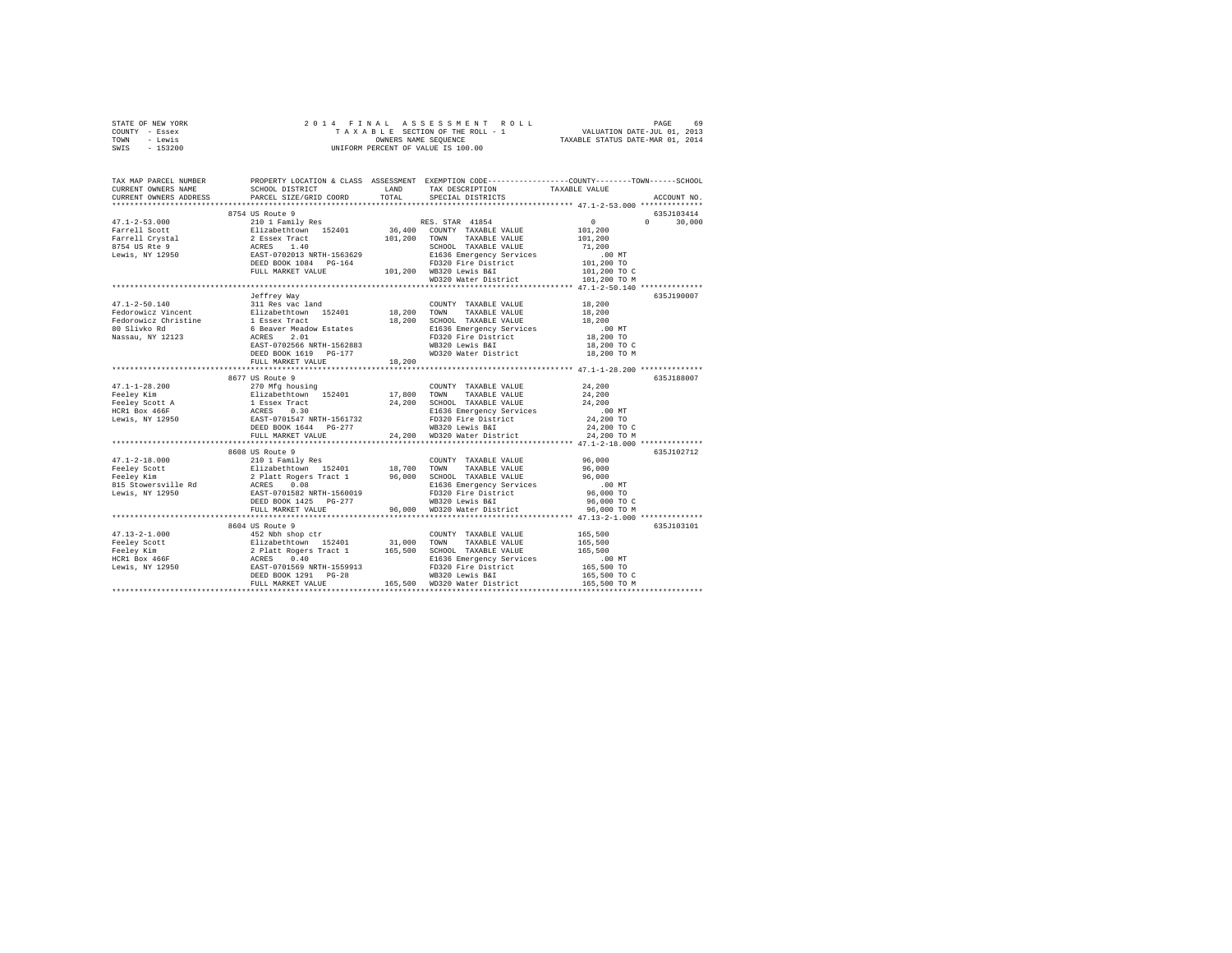| STATE OF NEW YORK                                                                                                                                                                                                                                                                                                                                                                                            |                   |        |                             |                                                                                                                     |  |
|--------------------------------------------------------------------------------------------------------------------------------------------------------------------------------------------------------------------------------------------------------------------------------------------------------------------------------------------------------------------------------------------------------------|-------------------|--------|-----------------------------|---------------------------------------------------------------------------------------------------------------------|--|
| COUNTY - Essex                                                                                                                                                                                                                                                                                                                                                                                               |                   |        |                             |                                                                                                                     |  |
| TOWN - Lewis                                                                                                                                                                                                                                                                                                                                                                                                 |                   |        |                             |                                                                                                                     |  |
| $-153200$<br>SWIS                                                                                                                                                                                                                                                                                                                                                                                            |                   |        |                             |                                                                                                                     |  |
|                                                                                                                                                                                                                                                                                                                                                                                                              |                   |        |                             |                                                                                                                     |  |
|                                                                                                                                                                                                                                                                                                                                                                                                              |                   |        |                             |                                                                                                                     |  |
|                                                                                                                                                                                                                                                                                                                                                                                                              |                   |        |                             | TAX MAP PARCEL NUMBER PROPERTY LOCATION & CLASS ASSESSMENT EXEMPTION CODE--------------COUNTY-------TOWN-----SCHOOL |  |
| CURRENT OWNERS NAME                                                                                                                                                                                                                                                                                                                                                                                          |                   |        |                             |                                                                                                                     |  |
| CURRENT OWNERS ADDRESS                                                                                                                                                                                                                                                                                                                                                                                       |                   |        |                             | ACCOUNT NO.                                                                                                         |  |
|                                                                                                                                                                                                                                                                                                                                                                                                              |                   |        |                             |                                                                                                                     |  |
|                                                                                                                                                                                                                                                                                                                                                                                                              |                   |        |                             | 635J103414<br>$0 \t 30,000$                                                                                         |  |
|                                                                                                                                                                                                                                                                                                                                                                                                              |                   |        |                             |                                                                                                                     |  |
|                                                                                                                                                                                                                                                                                                                                                                                                              |                   |        |                             |                                                                                                                     |  |
|                                                                                                                                                                                                                                                                                                                                                                                                              |                   |        |                             |                                                                                                                     |  |
|                                                                                                                                                                                                                                                                                                                                                                                                              |                   |        |                             |                                                                                                                     |  |
|                                                                                                                                                                                                                                                                                                                                                                                                              |                   |        |                             |                                                                                                                     |  |
|                                                                                                                                                                                                                                                                                                                                                                                                              |                   |        |                             | 101,200 TO C                                                                                                        |  |
|                                                                                                                                                                                                                                                                                                                                                                                                              |                   |        |                             | 101,200 TO M                                                                                                        |  |
|                                                                                                                                                                                                                                                                                                                                                                                                              |                   |        |                             |                                                                                                                     |  |
|                                                                                                                                                                                                                                                                                                                                                                                                              | Jeffrey Way       |        |                             | 635J190007                                                                                                          |  |
| 47.1-2-50.140                                                                                                                                                                                                                                                                                                                                                                                                | 311 Res vac land  |        | COUNTY TAXABLE VALUE        | 18,200                                                                                                              |  |
|                                                                                                                                                                                                                                                                                                                                                                                                              |                   |        |                             |                                                                                                                     |  |
|                                                                                                                                                                                                                                                                                                                                                                                                              |                   |        |                             |                                                                                                                     |  |
|                                                                                                                                                                                                                                                                                                                                                                                                              |                   |        |                             | .00 MT                                                                                                              |  |
|                                                                                                                                                                                                                                                                                                                                                                                                              |                   |        |                             | 18,200 TO                                                                                                           |  |
|                                                                                                                                                                                                                                                                                                                                                                                                              |                   |        |                             | 18,200 TO C                                                                                                         |  |
|                                                                                                                                                                                                                                                                                                                                                                                                              |                   |        |                             | 18,200 TO M                                                                                                         |  |
|                                                                                                                                                                                                                                                                                                                                                                                                              | FULL MARKET VALUE | 18,200 |                             |                                                                                                                     |  |
|                                                                                                                                                                                                                                                                                                                                                                                                              |                   |        |                             |                                                                                                                     |  |
|                                                                                                                                                                                                                                                                                                                                                                                                              | 8677 US Route 9   |        |                             | 635J188007                                                                                                          |  |
|                                                                                                                                                                                                                                                                                                                                                                                                              |                   |        |                             |                                                                                                                     |  |
|                                                                                                                                                                                                                                                                                                                                                                                                              |                   |        |                             |                                                                                                                     |  |
| $\begin{tabular}{l c c c c} \multicolumn{3}{c c c} \multicolumn{3}{c c c} \multicolumn{3}{c c c} \multicolumn{3}{c c c} \multicolumn{3}{c c c} \multicolumn{3}{c c c} \multicolumn{3}{c c c} \multicolumn{3}{c c c} \multicolumn{3}{c c c} \multicolumn{3}{c c c} \multicolumn{3}{c c c} \multicolumn{3}{c c c} \multicolumn{3}{c c c} \multicolumn{3}{c c c} \multicolumn{3}{c c c} \multicolumn{3}{c $     |                   |        |                             |                                                                                                                     |  |
|                                                                                                                                                                                                                                                                                                                                                                                                              |                   |        |                             |                                                                                                                     |  |
|                                                                                                                                                                                                                                                                                                                                                                                                              |                   |        |                             |                                                                                                                     |  |
|                                                                                                                                                                                                                                                                                                                                                                                                              |                   |        |                             | 24,200 TO C<br>24,200 TO M                                                                                          |  |
|                                                                                                                                                                                                                                                                                                                                                                                                              |                   |        |                             |                                                                                                                     |  |
|                                                                                                                                                                                                                                                                                                                                                                                                              |                   |        |                             |                                                                                                                     |  |
|                                                                                                                                                                                                                                                                                                                                                                                                              | 8608 US Route 9   |        |                             | 635J102712                                                                                                          |  |
|                                                                                                                                                                                                                                                                                                                                                                                                              |                   |        | COUNTY TAXABLE VALUE 96,000 |                                                                                                                     |  |
|                                                                                                                                                                                                                                                                                                                                                                                                              |                   |        |                             | 96,000                                                                                                              |  |
|                                                                                                                                                                                                                                                                                                                                                                                                              |                   |        |                             | 96,000                                                                                                              |  |
|                                                                                                                                                                                                                                                                                                                                                                                                              |                   |        |                             | 00 MT.<br>96,000 TO<br>96,000 TO C                                                                                  |  |
|                                                                                                                                                                                                                                                                                                                                                                                                              |                   |        |                             |                                                                                                                     |  |
|                                                                                                                                                                                                                                                                                                                                                                                                              |                   |        |                             |                                                                                                                     |  |
|                                                                                                                                                                                                                                                                                                                                                                                                              |                   |        |                             |                                                                                                                     |  |
|                                                                                                                                                                                                                                                                                                                                                                                                              |                   |        |                             |                                                                                                                     |  |
|                                                                                                                                                                                                                                                                                                                                                                                                              | 8604 US Route 9   |        |                             | 635J103101                                                                                                          |  |
|                                                                                                                                                                                                                                                                                                                                                                                                              |                   |        |                             |                                                                                                                     |  |
|                                                                                                                                                                                                                                                                                                                                                                                                              |                   |        |                             |                                                                                                                     |  |
|                                                                                                                                                                                                                                                                                                                                                                                                              |                   |        |                             |                                                                                                                     |  |
|                                                                                                                                                                                                                                                                                                                                                                                                              |                   |        |                             |                                                                                                                     |  |
|                                                                                                                                                                                                                                                                                                                                                                                                              |                   |        |                             |                                                                                                                     |  |
| $\begin{tabular}{l c c c c} \multicolumn{3}{c}{\textbf{47.13--2-1.000}} & \multicolumn{3}{c}{\textbf{65.900}} & \multicolumn{3}{c}{\textbf{65.900}} & \multicolumn{3}{c}{\textbf{65.900}} & \multicolumn{3}{c}{\textbf{65.900}} & \multicolumn{3}{c}{\textbf{65.900}} & \multicolumn{3}{c}{\textbf{65.900}} & \multicolumn{3}{c}{\textbf{65.900}} & \multicolumn{3}{c}{\textbf{65.900}} & \multicolumn{3}{c$ |                   |        |                             |                                                                                                                     |  |
|                                                                                                                                                                                                                                                                                                                                                                                                              |                   |        |                             |                                                                                                                     |  |
|                                                                                                                                                                                                                                                                                                                                                                                                              |                   |        |                             |                                                                                                                     |  |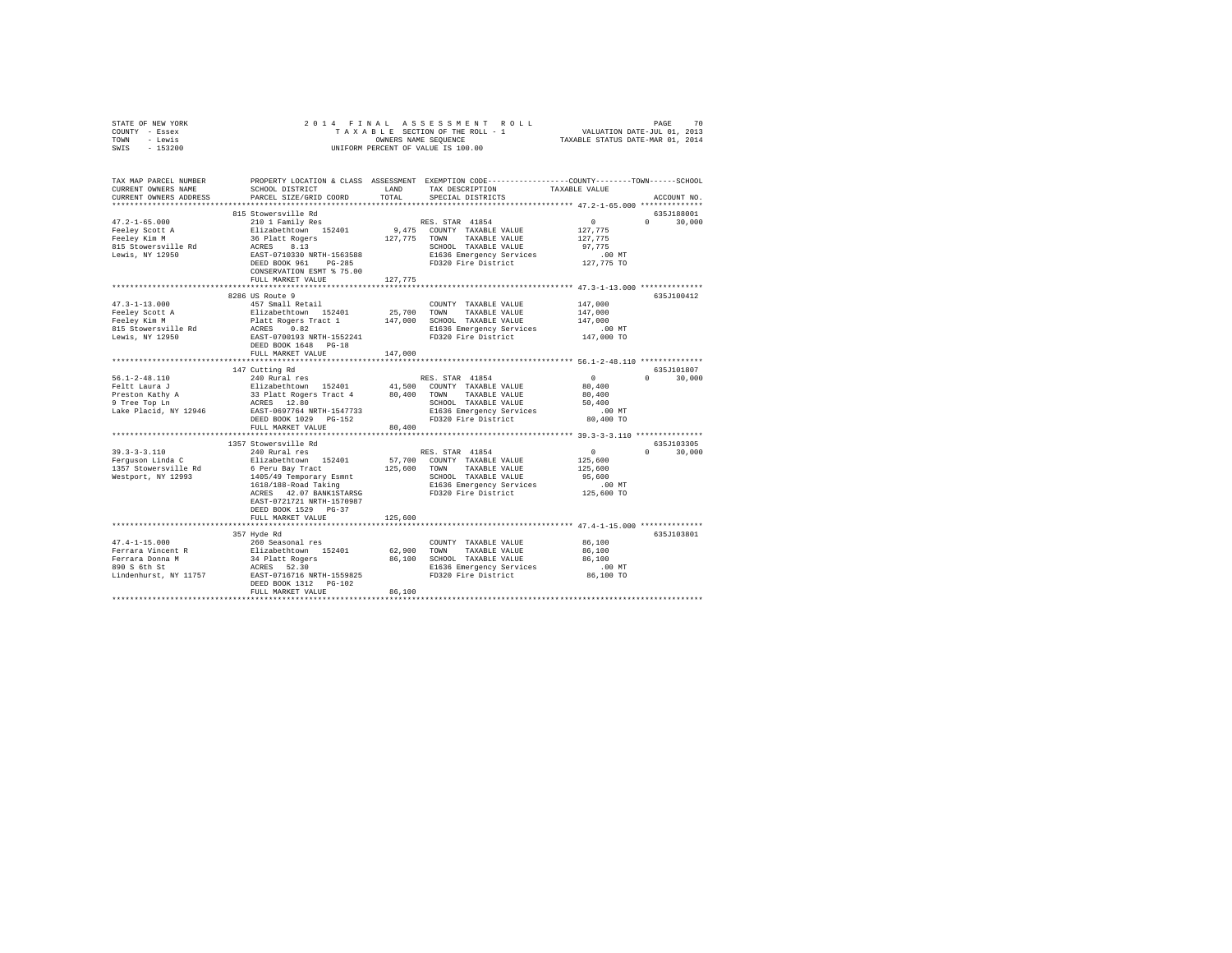| STATE OF NEW YORK                                                                                                                                                                                                                                                                                                                                                                                                                          |                                                                                                                                                                                                                                                                      |         |                                                                                                                   |                     |               |
|--------------------------------------------------------------------------------------------------------------------------------------------------------------------------------------------------------------------------------------------------------------------------------------------------------------------------------------------------------------------------------------------------------------------------------------------|----------------------------------------------------------------------------------------------------------------------------------------------------------------------------------------------------------------------------------------------------------------------|---------|-------------------------------------------------------------------------------------------------------------------|---------------------|---------------|
| COUNTY - Essex                                                                                                                                                                                                                                                                                                                                                                                                                             |                                                                                                                                                                                                                                                                      |         |                                                                                                                   |                     |               |
| TOWN - Lewis                                                                                                                                                                                                                                                                                                                                                                                                                               |                                                                                                                                                                                                                                                                      |         |                                                                                                                   |                     |               |
| SWIS - 153200                                                                                                                                                                                                                                                                                                                                                                                                                              |                                                                                                                                                                                                                                                                      |         | OWNERS NAME SEQUENCE<br>UNIFORM PERCENT OF VALUE IS 100.00                                                        |                     |               |
|                                                                                                                                                                                                                                                                                                                                                                                                                                            |                                                                                                                                                                                                                                                                      |         |                                                                                                                   |                     |               |
|                                                                                                                                                                                                                                                                                                                                                                                                                                            |                                                                                                                                                                                                                                                                      |         |                                                                                                                   |                     |               |
|                                                                                                                                                                                                                                                                                                                                                                                                                                            |                                                                                                                                                                                                                                                                      |         |                                                                                                                   |                     |               |
| TAX MAP PARCEL NUMBER PROPERTY LOCATION & CLASS ASSESSMENT EXEMPTION CODE---------------COUNTY-------TOWN-----SCHOOL                                                                                                                                                                                                                                                                                                                       |                                                                                                                                                                                                                                                                      |         |                                                                                                                   |                     |               |
| CURRENT OWNERS NAME                                                                                                                                                                                                                                                                                                                                                                                                                        | SCHOOL DISTRICT LAND                                                                                                                                                                                                                                                 |         | TAX DESCRIPTION TAXABLE VALUE                                                                                     |                     |               |
| CURRENT OWNERS ADDRESS                                                                                                                                                                                                                                                                                                                                                                                                                     | PARCEL SIZE/GRID COORD                                                                                                                                                                                                                                               | TOTAL   | SPECIAL DISTRICTS                                                                                                 |                     | ACCOUNT NO.   |
|                                                                                                                                                                                                                                                                                                                                                                                                                                            |                                                                                                                                                                                                                                                                      |         |                                                                                                                   |                     |               |
|                                                                                                                                                                                                                                                                                                                                                                                                                                            | 815 Stowersville Rd                                                                                                                                                                                                                                                  |         |                                                                                                                   |                     | 635J188001    |
|                                                                                                                                                                                                                                                                                                                                                                                                                                            | 2101 Family Res<br>2101 Family Res<br>2101 Family Res<br>36 Platt Rogers<br>36 Platt Rogers<br>2127,775 TOWN TAXABLE VALUE<br>26 RES<br>26 RES<br>26 RES<br>26 RES<br>26 RES<br>26 RES<br>26 RES<br>26 RES<br>26 RES<br>26 RES<br>26 RES<br>26 RES<br>26 RES<br>26 R |         |                                                                                                                   |                     |               |
| $47.2 - 1 - 65.000$                                                                                                                                                                                                                                                                                                                                                                                                                        |                                                                                                                                                                                                                                                                      |         |                                                                                                                   | $\sim$ 0            | $0 \t 30,000$ |
|                                                                                                                                                                                                                                                                                                                                                                                                                                            |                                                                                                                                                                                                                                                                      |         |                                                                                                                   | 127,775             |               |
|                                                                                                                                                                                                                                                                                                                                                                                                                                            |                                                                                                                                                                                                                                                                      |         |                                                                                                                   | 127,775             |               |
| Feeley Scott A<br>Feeley Kim M<br>815 Stowersville Rd                                                                                                                                                                                                                                                                                                                                                                                      |                                                                                                                                                                                                                                                                      |         |                                                                                                                   | 97,775              |               |
| Lewis, NY 12950                                                                                                                                                                                                                                                                                                                                                                                                                            |                                                                                                                                                                                                                                                                      |         |                                                                                                                   | $.00$ MT            |               |
|                                                                                                                                                                                                                                                                                                                                                                                                                                            |                                                                                                                                                                                                                                                                      |         |                                                                                                                   | 127,775 TO          |               |
|                                                                                                                                                                                                                                                                                                                                                                                                                                            | CONSERVATION ESMT % 75.00                                                                                                                                                                                                                                            |         |                                                                                                                   |                     |               |
|                                                                                                                                                                                                                                                                                                                                                                                                                                            | FULL MARKET VALUE                                                                                                                                                                                                                                                    | 127,775 |                                                                                                                   |                     |               |
|                                                                                                                                                                                                                                                                                                                                                                                                                                            |                                                                                                                                                                                                                                                                      |         |                                                                                                                   |                     |               |
|                                                                                                                                                                                                                                                                                                                                                                                                                                            |                                                                                                                                                                                                                                                                      |         |                                                                                                                   |                     | 635J100412    |
|                                                                                                                                                                                                                                                                                                                                                                                                                                            |                                                                                                                                                                                                                                                                      |         | $\begin{tabular}{lllllll} \textbf{COUNTY} & \textbf{TAXABLE} & \textbf{VALUE} & & \textbf{147,000} \end{tabular}$ |                     |               |
|                                                                                                                                                                                                                                                                                                                                                                                                                                            |                                                                                                                                                                                                                                                                      |         |                                                                                                                   |                     |               |
|                                                                                                                                                                                                                                                                                                                                                                                                                                            |                                                                                                                                                                                                                                                                      |         |                                                                                                                   | 147,000             |               |
|                                                                                                                                                                                                                                                                                                                                                                                                                                            |                                                                                                                                                                                                                                                                      |         |                                                                                                                   | 147,000             |               |
|                                                                                                                                                                                                                                                                                                                                                                                                                                            |                                                                                                                                                                                                                                                                      |         |                                                                                                                   | .00 MT              |               |
|                                                                                                                                                                                                                                                                                                                                                                                                                                            |                                                                                                                                                                                                                                                                      |         |                                                                                                                   | 147,000 TO          |               |
|                                                                                                                                                                                                                                                                                                                                                                                                                                            |                                                                                                                                                                                                                                                                      |         |                                                                                                                   |                     |               |
|                                                                                                                                                                                                                                                                                                                                                                                                                                            | FULL MARKET VALUE                                                                                                                                                                                                                                                    | 147,000 |                                                                                                                   |                     |               |
|                                                                                                                                                                                                                                                                                                                                                                                                                                            |                                                                                                                                                                                                                                                                      |         |                                                                                                                   |                     |               |
| $\begin{tabular}{lllllllllll} \textbf{56.1-2-48.110} & & & 147 \text{ Cutting Rd} & & & \text{RES. STAR } 41854 & & & \\ \textbf{Feltt Laura J} & & 240 \text{ Rural res} & & & 41,500 \text{ COUNTY TAXABLE VALUE} & & 80,400 \\ \textbf{Feltt Laura J} & & 33 \text{ Plat Roger Tract 4} & & 80,400 \text{ TOWAN TAXABLE VALUE} & 80,400 \\ \textbf{9 Tree Top Ln} & & 33 \text{ Plat Roger Tact 4} & & 80,400 \text{ TOWAN} & \text{TA$ |                                                                                                                                                                                                                                                                      |         |                                                                                                                   |                     | 635J101807    |
|                                                                                                                                                                                                                                                                                                                                                                                                                                            |                                                                                                                                                                                                                                                                      |         |                                                                                                                   |                     | $0 \t 30,000$ |
|                                                                                                                                                                                                                                                                                                                                                                                                                                            |                                                                                                                                                                                                                                                                      |         |                                                                                                                   |                     |               |
|                                                                                                                                                                                                                                                                                                                                                                                                                                            |                                                                                                                                                                                                                                                                      |         |                                                                                                                   |                     |               |
|                                                                                                                                                                                                                                                                                                                                                                                                                                            |                                                                                                                                                                                                                                                                      |         |                                                                                                                   |                     |               |
|                                                                                                                                                                                                                                                                                                                                                                                                                                            |                                                                                                                                                                                                                                                                      |         |                                                                                                                   |                     |               |
|                                                                                                                                                                                                                                                                                                                                                                                                                                            |                                                                                                                                                                                                                                                                      |         |                                                                                                                   |                     |               |
|                                                                                                                                                                                                                                                                                                                                                                                                                                            |                                                                                                                                                                                                                                                                      |         |                                                                                                                   |                     |               |
|                                                                                                                                                                                                                                                                                                                                                                                                                                            |                                                                                                                                                                                                                                                                      |         |                                                                                                                   |                     |               |
|                                                                                                                                                                                                                                                                                                                                                                                                                                            |                                                                                                                                                                                                                                                                      |         |                                                                                                                   |                     |               |
|                                                                                                                                                                                                                                                                                                                                                                                                                                            | 1357 Stowersville Rd                                                                                                                                                                                                                                                 |         |                                                                                                                   |                     | 635J103305    |
|                                                                                                                                                                                                                                                                                                                                                                                                                                            |                                                                                                                                                                                                                                                                      |         |                                                                                                                   |                     | $0 \t 30,000$ |
|                                                                                                                                                                                                                                                                                                                                                                                                                                            |                                                                                                                                                                                                                                                                      |         |                                                                                                                   |                     |               |
|                                                                                                                                                                                                                                                                                                                                                                                                                                            |                                                                                                                                                                                                                                                                      |         |                                                                                                                   |                     |               |
|                                                                                                                                                                                                                                                                                                                                                                                                                                            |                                                                                                                                                                                                                                                                      |         |                                                                                                                   |                     |               |
|                                                                                                                                                                                                                                                                                                                                                                                                                                            |                                                                                                                                                                                                                                                                      |         |                                                                                                                   |                     |               |
|                                                                                                                                                                                                                                                                                                                                                                                                                                            |                                                                                                                                                                                                                                                                      |         |                                                                                                                   |                     |               |
|                                                                                                                                                                                                                                                                                                                                                                                                                                            |                                                                                                                                                                                                                                                                      |         |                                                                                                                   |                     |               |
|                                                                                                                                                                                                                                                                                                                                                                                                                                            |                                                                                                                                                                                                                                                                      |         |                                                                                                                   |                     |               |
|                                                                                                                                                                                                                                                                                                                                                                                                                                            | DEED BOOK 1529 PG-37                                                                                                                                                                                                                                                 |         |                                                                                                                   |                     |               |
|                                                                                                                                                                                                                                                                                                                                                                                                                                            | FULL MARKET VALUE                                                                                                                                                                                                                                                    | 125,600 |                                                                                                                   |                     |               |
|                                                                                                                                                                                                                                                                                                                                                                                                                                            |                                                                                                                                                                                                                                                                      |         |                                                                                                                   |                     |               |
|                                                                                                                                                                                                                                                                                                                                                                                                                                            | 357 Hyde Rd                                                                                                                                                                                                                                                          |         |                                                                                                                   |                     | 635J103801    |
|                                                                                                                                                                                                                                                                                                                                                                                                                                            |                                                                                                                                                                                                                                                                      |         | COUNTY TAXABLE VALUE 86,100                                                                                       |                     |               |
|                                                                                                                                                                                                                                                                                                                                                                                                                                            |                                                                                                                                                                                                                                                                      |         |                                                                                                                   | 86,100              |               |
|                                                                                                                                                                                                                                                                                                                                                                                                                                            |                                                                                                                                                                                                                                                                      |         |                                                                                                                   | 86,100              |               |
|                                                                                                                                                                                                                                                                                                                                                                                                                                            |                                                                                                                                                                                                                                                                      |         |                                                                                                                   |                     |               |
|                                                                                                                                                                                                                                                                                                                                                                                                                                            |                                                                                                                                                                                                                                                                      |         |                                                                                                                   | 00 MT.<br>86,100 TO |               |
|                                                                                                                                                                                                                                                                                                                                                                                                                                            | DEED BOOK 1312    PG-102                                                                                                                                                                                                                                             |         |                                                                                                                   |                     |               |
|                                                                                                                                                                                                                                                                                                                                                                                                                                            | FULL MARKET VALUE                                                                                                                                                                                                                                                    | 86,100  |                                                                                                                   |                     |               |
|                                                                                                                                                                                                                                                                                                                                                                                                                                            |                                                                                                                                                                                                                                                                      |         |                                                                                                                   |                     |               |
|                                                                                                                                                                                                                                                                                                                                                                                                                                            |                                                                                                                                                                                                                                                                      |         |                                                                                                                   |                     |               |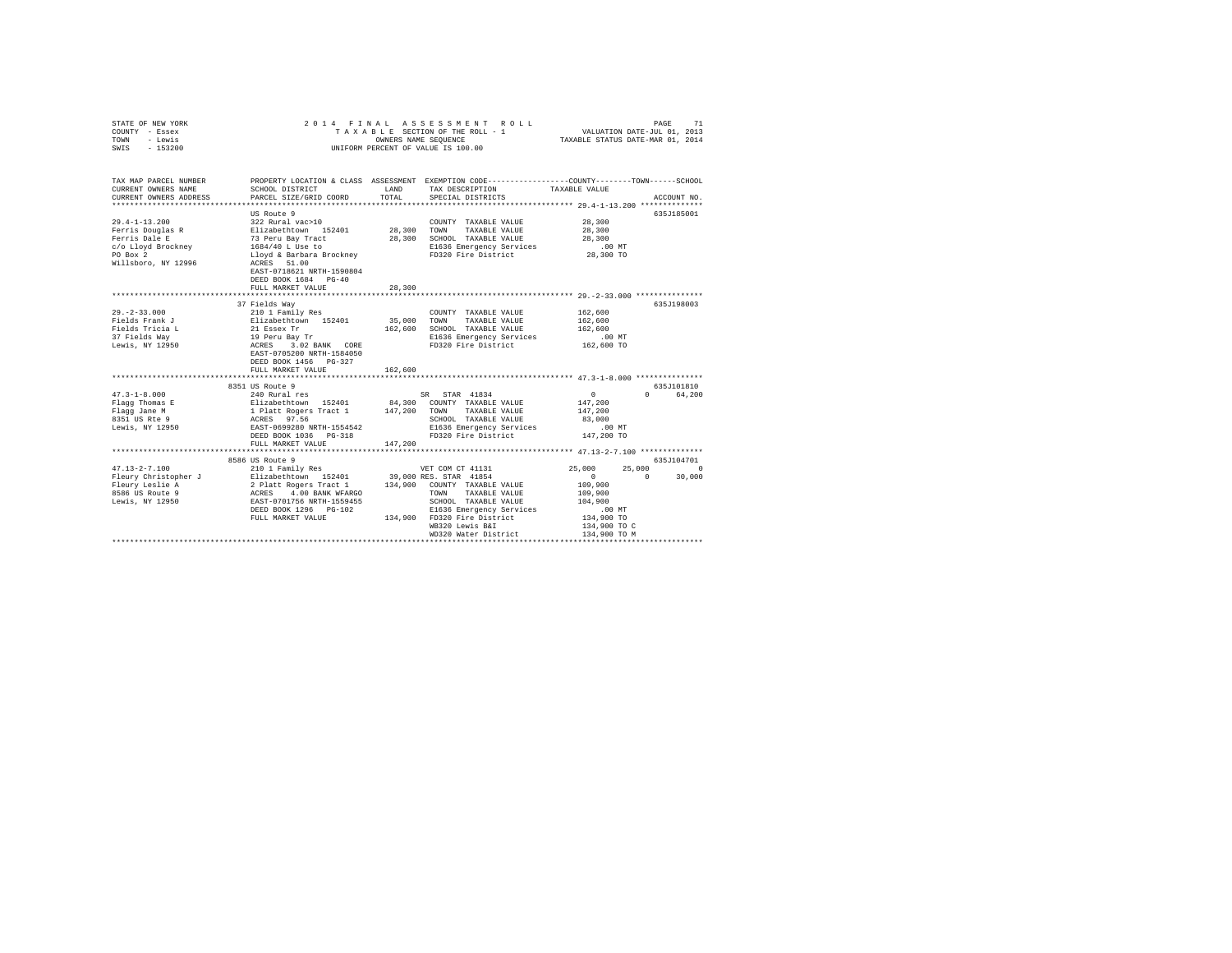|                                           | PAGE<br>71<br>VALUATION DATE-JUL 01, 2013<br>TAXABLE STATUS DATE-MAR 01, 2014                                                                                                                              |                                                                                                                                                                                                                                                                           |                                                                                                                                                                                                                                                                                                                                                                                                                                                         |                                                                                                                                                                                                                                                                                                                                                                   |
|-------------------------------------------|------------------------------------------------------------------------------------------------------------------------------------------------------------------------------------------------------------|---------------------------------------------------------------------------------------------------------------------------------------------------------------------------------------------------------------------------------------------------------------------------|---------------------------------------------------------------------------------------------------------------------------------------------------------------------------------------------------------------------------------------------------------------------------------------------------------------------------------------------------------------------------------------------------------------------------------------------------------|-------------------------------------------------------------------------------------------------------------------------------------------------------------------------------------------------------------------------------------------------------------------------------------------------------------------------------------------------------------------|
| SCHOOL DISTRICT<br>PARCEL SIZE/GRID COORD | LAND<br>TOTAL                                                                                                                                                                                              | TAX DESCRIPTION<br>SPECIAL DISTRICTS                                                                                                                                                                                                                                      |                                                                                                                                                                                                                                                                                                                                                                                                                                                         | ACCOUNT NO.                                                                                                                                                                                                                                                                                                                                                       |
|                                           |                                                                                                                                                                                                            |                                                                                                                                                                                                                                                                           |                                                                                                                                                                                                                                                                                                                                                                                                                                                         |                                                                                                                                                                                                                                                                                                                                                                   |
| DEED BOOK 1684 PG-40                      |                                                                                                                                                                                                            | COUNTY TAXABLE VALUE<br>TOWN<br>TAXABLE VALUE                                                                                                                                                                                                                             | 28,300<br>28,300<br>28,300<br>$.00$ MT<br>28,300 TO                                                                                                                                                                                                                                                                                                                                                                                                     | 635J185001                                                                                                                                                                                                                                                                                                                                                        |
| FULL MARKET VALUE                         | 28,300                                                                                                                                                                                                     |                                                                                                                                                                                                                                                                           |                                                                                                                                                                                                                                                                                                                                                                                                                                                         |                                                                                                                                                                                                                                                                                                                                                                   |
|                                           |                                                                                                                                                                                                            |                                                                                                                                                                                                                                                                           |                                                                                                                                                                                                                                                                                                                                                                                                                                                         | 635J198003                                                                                                                                                                                                                                                                                                                                                        |
| DEED BOOK 1456 PG-327                     |                                                                                                                                                                                                            | COUNTY TAXABLE VALUE<br>TOWN<br>TAXABLE VALUE                                                                                                                                                                                                                             | 162,600<br>162,600<br>162,600<br>$.00$ MT<br>162,600 TO                                                                                                                                                                                                                                                                                                                                                                                                 |                                                                                                                                                                                                                                                                                                                                                                   |
|                                           |                                                                                                                                                                                                            |                                                                                                                                                                                                                                                                           |                                                                                                                                                                                                                                                                                                                                                                                                                                                         |                                                                                                                                                                                                                                                                                                                                                                   |
| FULL MARKET VALUE                         | 147,200                                                                                                                                                                                                    | SCHOOL TAXABLE VALUE                                                                                                                                                                                                                                                      | $\sim$ 0<br>147,200<br>147,200<br>83,000<br>$.00$ MT<br>147,200 TO                                                                                                                                                                                                                                                                                                                                                                                      | 635J101810<br>0 64,200                                                                                                                                                                                                                                                                                                                                            |
|                                           |                                                                                                                                                                                                            |                                                                                                                                                                                                                                                                           |                                                                                                                                                                                                                                                                                                                                                                                                                                                         | 635J104701                                                                                                                                                                                                                                                                                                                                                        |
|                                           |                                                                                                                                                                                                            | WB320 Lewis B&I<br>WD320 Water District                                                                                                                                                                                                                                   | 25,000<br>$\sim$ 0<br>109,900<br>109,900<br>104,900<br>.00 MT<br>134,900 TO<br>134,900 TO C<br>134,900 TO M<br>**********************************                                                                                                                                                                                                                                                                                                       | 25,000 0<br>30,000<br>$\sim$ 0                                                                                                                                                                                                                                                                                                                                    |
|                                           | CURRENT OWNERS ADDRESS<br>US Route 9<br>ACRES 51.00<br>EAST-0718621 NRTH-1590804<br>FULL MARKET VALUE<br>************************<br>8351 US Route 9<br>*******************************<br>8586 US Route 9 | 2014 FINAL<br>322 Rural vac>10<br>Blizabethtown 152401<br>73 Peru Bay Tract<br>1684/40 L Use to<br>Lloyd & Barbara Brockney<br>usus way<br>2101 Family Res<br>21 Easex Tr<br>21 Easex Tr<br>19 Feru Bay Tr<br>ACRES 3.02 BANK CORE<br>EAST-0705200 NFTH-159445<br>162,600 | ASSESSMENT ROLL<br>TAXABLE SECTION OF THE ROLL - 1<br>OWNERS NAME SEOUENCE<br>UNIFORM PERCENT OF VALUE IS 100.00<br>28,300<br>28,300 SCHOOL TAXABLE VALUE<br>35,000<br>162,600 SCHOOL TAXABLE VALUE<br>240 Rural res<br>240 Rural res<br>240 Rural res<br>240 Rural res<br>240 Rural res<br>240 Rural res<br>240 Rural res<br>240 Rural Res<br>240 Rural Rural Rural Rural Rural Rural Rural Rural<br>240 RURAL RURAL RURAL RURAL RURAL RURAL RURAL RUR | PROPERTY LOCATION & CLASS ASSESSMENT EXEMPTION CODE---------------COUNTY-------TOWN------SCHOOL<br>TAXABLE VALUE<br>E1636 Emergency Services<br>FD320 Fire District<br>E1636 Emergency Services<br>FD320 Fire District<br>************************** 47.3-1-8.000 ****************<br>E1636 Emergency Services<br>FD320 Fire District<br>E1636 Emergency Services |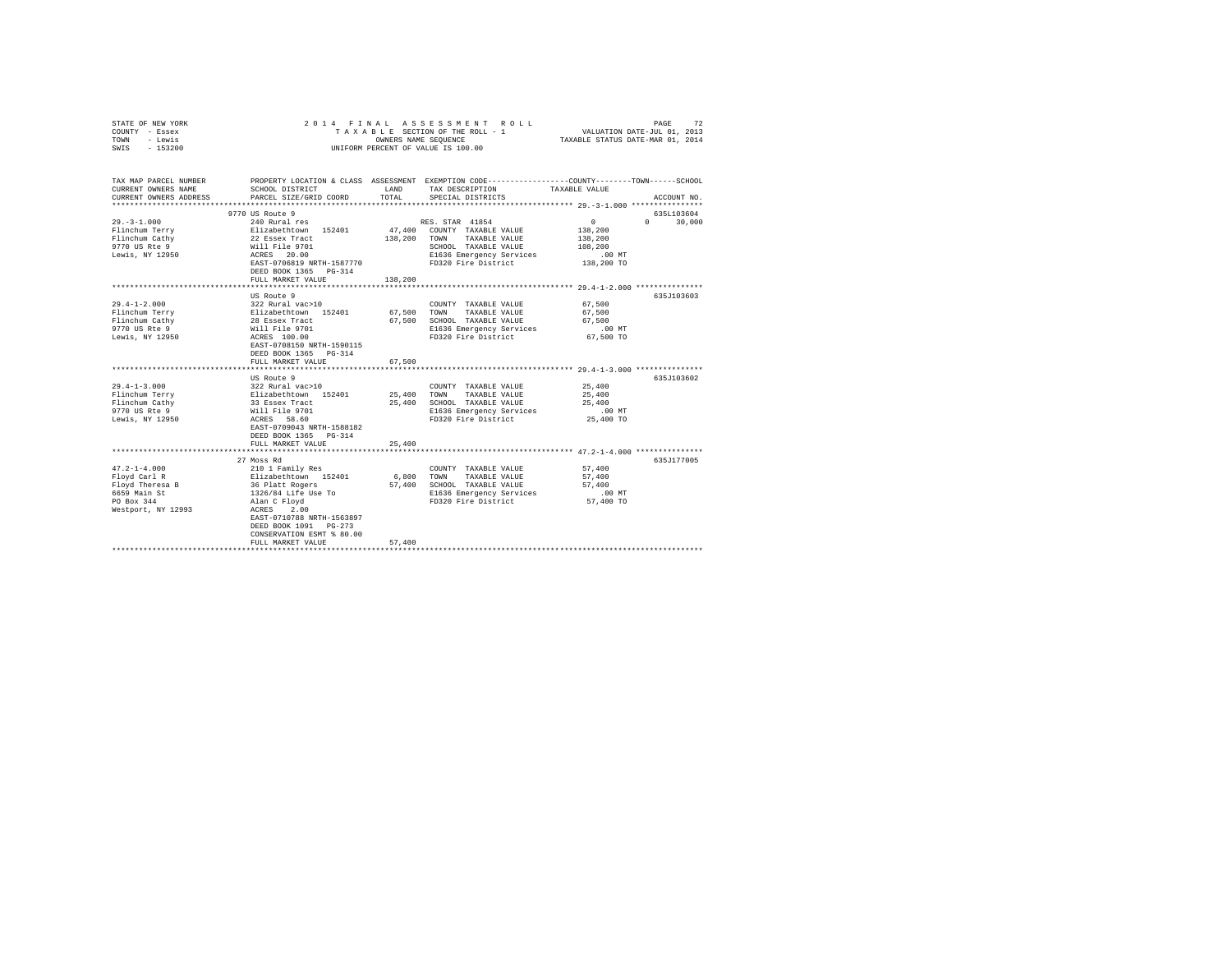| COUNTY - Essex<br>TOWN<br>- Lewis<br>$-153200$<br>SWIS                                               | TAXABLE SECTION OF THE ROLL - 1<br>OWNERS NAME SEOUENCE<br>UNIFORM PERCENT OF VALUE IS 100.00                                               |               |                                                  | VALUATION DATE-JUL 01, 2013<br>TAXABLE STATUS DATE-MAR 01, 2014 |                    |
|------------------------------------------------------------------------------------------------------|---------------------------------------------------------------------------------------------------------------------------------------------|---------------|--------------------------------------------------|-----------------------------------------------------------------|--------------------|
| TAX MAP PARCEL NUMBER<br>CURRENT OWNERS NAME<br>CURRENT OWNERS ADDRESS<br>************************** | PROPERTY LOCATION & CLASS ASSESSMENT EXEMPTION CODE---------------COUNTY-------TOWN-----SCHOOL<br>SCHOOL DISTRICT<br>PARCEL SIZE/GRID COORD | LAND<br>TOTAL | TAX DESCRIPTION<br>SPECIAL DISTRICTS             | TAXABLE VALUE                                                   | ACCOUNT NO.        |
|                                                                                                      | 9770 US Route 9                                                                                                                             |               |                                                  |                                                                 | 635L103604         |
| $29. -3 - 1.000$                                                                                     | 240 Rural res<br>Elizabethtown 152401<br>22 Essex Tract<br>Will File 9701<br>-----                                                          |               | RES. STAR 41854                                  | 0                                                               | 30,000<br>$\Omega$ |
| Flinchum Terry                                                                                       |                                                                                                                                             |               | 47,400 COUNTY TAXABLE VALUE                      | 138,200                                                         |                    |
| Flinchum Cathy                                                                                       |                                                                                                                                             | 138,200       | TOWN<br>TAXABLE VALUE                            | 138,200                                                         |                    |
| 9770 US Rte 9                                                                                        |                                                                                                                                             |               | SCHOOL TAXABLE VALUE                             | 108,200                                                         |                    |
| Lewis, NY 12950                                                                                      | ACRES 20.00                                                                                                                                 |               | E1636 Emergency Services                         | .00 MT                                                          |                    |
|                                                                                                      | EAST-0706819 NRTH-1587770                                                                                                                   |               | FD320 Fire District                              | 138,200 TO                                                      |                    |
|                                                                                                      | DEED BOOK 1365 PG-314                                                                                                                       |               |                                                  |                                                                 |                    |
|                                                                                                      | FULL MARKET VALUE                                                                                                                           | 138,200       |                                                  |                                                                 |                    |
|                                                                                                      |                                                                                                                                             |               |                                                  |                                                                 |                    |
|                                                                                                      | US Route 9                                                                                                                                  |               |                                                  |                                                                 | 635J103603         |
| $29.4 - 1 - 2.000$                                                                                   | 322 Rural vac>10                                                                                                                            |               | COUNTY TAXABLE VALUE                             | 67.500                                                          |                    |
| Flinchum Terry                                                                                       | Elizabethtown 152401<br>28 Essex Tract<br>Will File 9701<br>ACRES 100.00                                                                    | 67,500        | TOWN<br>TAXABLE VALUE                            | 67,500                                                          |                    |
| Flinchum Cathy<br>9770 US Rte 9                                                                      |                                                                                                                                             | 67,500        | SCHOOL TAXABLE VALUE<br>E1636 Emergency Services | 67.500<br>$.00$ MT                                              |                    |
| Lewis, NY 12950                                                                                      |                                                                                                                                             |               | FD320 Fire District                              | 67,500 TO                                                       |                    |
|                                                                                                      | EAST-0708150 NRTH-1590115<br>DEED BOOK 1365 PG-314<br>FULL MARKET VALUE                                                                     | 67,500        |                                                  |                                                                 |                    |
|                                                                                                      |                                                                                                                                             |               |                                                  |                                                                 |                    |
|                                                                                                      | US Route 9                                                                                                                                  |               |                                                  |                                                                 | 635J103602         |
| $29.4 - 1 - 3.000$                                                                                   |                                                                                                                                             |               | COUNTY TAXABLE VALUE                             | 25,400                                                          |                    |
| Flinchum Terry                                                                                       | 322 Rural vac>10<br>Elizabethtown 152401<br>33 Essex Tract<br>Will File 9701                                                                | 25,400        | TOWN<br>TAXABLE VALUE                            | 25,400                                                          |                    |
| Flinchum Cathy                                                                                       |                                                                                                                                             | 25,400        | SCHOOL TAXABLE VALUE                             | 25,400                                                          |                    |
| 9770 US Rte 9                                                                                        |                                                                                                                                             |               | E1636 Emergency Services                         | $.00$ MT                                                        |                    |
| Lewis, NY 12950                                                                                      | ACRES 58.60                                                                                                                                 |               | FD320 Fire District                              | 25,400 TO                                                       |                    |
|                                                                                                      | EAST-0709043 NRTH-1588182                                                                                                                   |               |                                                  |                                                                 |                    |
|                                                                                                      | DEED BOOK 1365 PG-314                                                                                                                       |               |                                                  |                                                                 |                    |
|                                                                                                      | FULL MARKET VALUE                                                                                                                           | 25,400        |                                                  |                                                                 |                    |
|                                                                                                      | 27 Moss Rd                                                                                                                                  |               |                                                  |                                                                 | 635J177005         |
| $47.2 - 1 - 4.000$                                                                                   | 210 1 Family Res                                                                                                                            |               | COUNTY TAXABLE VALUE                             | 57,400                                                          |                    |
| Floyd Carl R                                                                                         |                                                                                                                                             | 6,800         | TOWN<br>TAXABLE VALUE                            | 57,400                                                          |                    |
| Floyd Theresa B                                                                                      | Elizabethtown 152401<br>36 Platt Rogers                                                                                                     |               | 57,400 SCHOOL TAXABLE VALUE                      | 57,400                                                          |                    |
| 6659 Main St                                                                                         |                                                                                                                                             |               | E1636 Emergency Services                         | $.00$ MT                                                        |                    |
| PO Box 344                                                                                           | 1326/84 Life Use To<br>Alan C Floyd                                                                                                         |               | FD320 Fire District                              | 57,400 TO                                                       |                    |
| Westport, NY 12993                                                                                   | ACRES 2.00                                                                                                                                  |               |                                                  |                                                                 |                    |
|                                                                                                      | EAST-0710788 NRTH-1563897                                                                                                                   |               |                                                  |                                                                 |                    |
|                                                                                                      | DEED BOOK 1091 PG-273                                                                                                                       |               |                                                  |                                                                 |                    |
|                                                                                                      | CONSERVATION ESMT % 80.00                                                                                                                   |               |                                                  |                                                                 |                    |
|                                                                                                      | FULL MARKET VALUE                                                                                                                           | 57,400        |                                                  |                                                                 |                    |
|                                                                                                      |                                                                                                                                             |               |                                                  |                                                                 |                    |

STATE OF NEW YORK 2 0 1 4 F I N A L A S S E S S M E N T R O L L PAGE 72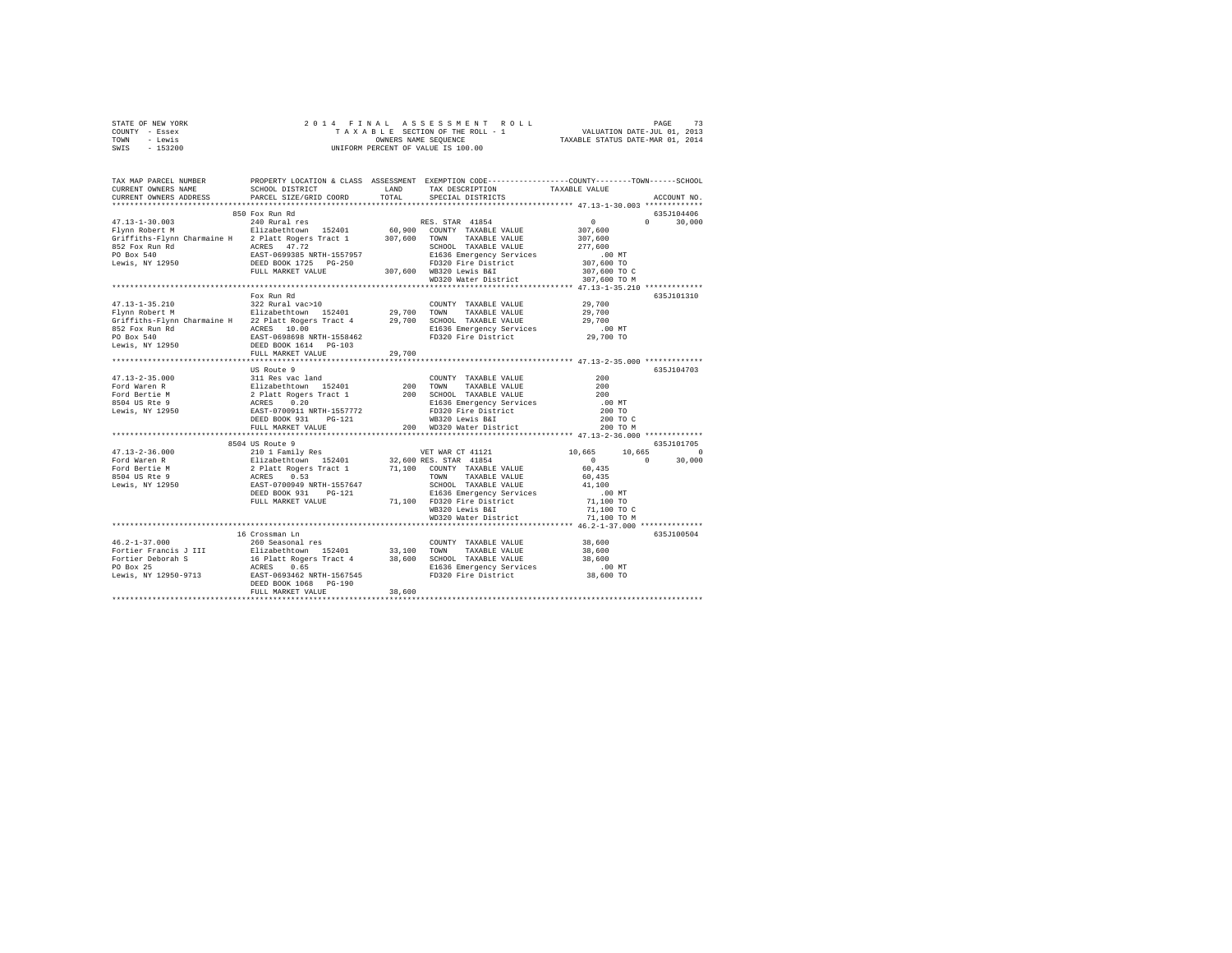| STATE OF NEW YORK                                                                                                                                                                                                                                                                                                                                                                                                                             |                        |        |                                                      |                                     |               |
|-----------------------------------------------------------------------------------------------------------------------------------------------------------------------------------------------------------------------------------------------------------------------------------------------------------------------------------------------------------------------------------------------------------------------------------------------|------------------------|--------|------------------------------------------------------|-------------------------------------|---------------|
| COUNTY - Essex                                                                                                                                                                                                                                                                                                                                                                                                                                |                        |        |                                                      |                                     |               |
| TOWN - Lewis                                                                                                                                                                                                                                                                                                                                                                                                                                  |                        |        |                                                      |                                     |               |
| SWIS - 153200                                                                                                                                                                                                                                                                                                                                                                                                                                 |                        |        |                                                      |                                     |               |
|                                                                                                                                                                                                                                                                                                                                                                                                                                               |                        |        |                                                      |                                     |               |
|                                                                                                                                                                                                                                                                                                                                                                                                                                               |                        |        |                                                      |                                     |               |
|                                                                                                                                                                                                                                                                                                                                                                                                                                               |                        |        |                                                      |                                     |               |
| TAX MAP PARCEL NUMBER PROPERTY LOCATION & CLASS ASSESSMENT EXEMPTION CODE---------------COUNTY-------TOWN------SCHOOL<br>CURRENT OWNERS NAME SCHOOL DISTRICT LAND TAX DESCRIPTION TAXARLE VALUE                                                                                                                                                                                                                                               |                        |        |                                                      |                                     |               |
|                                                                                                                                                                                                                                                                                                                                                                                                                                               |                        |        | SCHOOL DISTRICT . LAND TAX DESCRIPTION TAXABLE VALUE |                                     |               |
| CURRENT OWNERS ADDRESS                                                                                                                                                                                                                                                                                                                                                                                                                        | PARCEL SIZE/GRID COORD | TOTAL  | SPECIAL DISTRICTS                                    |                                     | ACCOUNT NO.   |
|                                                                                                                                                                                                                                                                                                                                                                                                                                               |                        |        |                                                      |                                     |               |
|                                                                                                                                                                                                                                                                                                                                                                                                                                               | 850 Fox Run Rd         |        |                                                      |                                     | 635J104406    |
| 47.13-1-30.003<br>Flynn Robert M<br>Elizabethtown 152401 60,900 COUNTY TAXABLE VALUE<br>Griffiths-Flynn Charmaine H<br>2 Platt Rogers Tract 1 307,600 TOWN TAXABLE VALUE<br>SCHOOL TAXABLE VALUE<br>SCHOOL TAXABLE VALUE                                                                                                                                                                                                                      |                        |        | RES. STAR 41854                                      | $\sim$ 0                            | $0 \t 30,000$ |
|                                                                                                                                                                                                                                                                                                                                                                                                                                               |                        |        |                                                      |                                     |               |
|                                                                                                                                                                                                                                                                                                                                                                                                                                               |                        |        |                                                      | $307,600$<br>$307,600$<br>$277,600$ |               |
|                                                                                                                                                                                                                                                                                                                                                                                                                                               |                        |        |                                                      |                                     |               |
|                                                                                                                                                                                                                                                                                                                                                                                                                                               |                        |        |                                                      |                                     |               |
|                                                                                                                                                                                                                                                                                                                                                                                                                                               |                        |        |                                                      |                                     |               |
|                                                                                                                                                                                                                                                                                                                                                                                                                                               |                        |        |                                                      |                                     |               |
|                                                                                                                                                                                                                                                                                                                                                                                                                                               |                        |        |                                                      |                                     |               |
|                                                                                                                                                                                                                                                                                                                                                                                                                                               |                        |        |                                                      |                                     |               |
|                                                                                                                                                                                                                                                                                                                                                                                                                                               |                        |        |                                                      |                                     |               |
|                                                                                                                                                                                                                                                                                                                                                                                                                                               | Fox Run Rd             |        |                                                      |                                     | 635J101310    |
|                                                                                                                                                                                                                                                                                                                                                                                                                                               |                        |        |                                                      |                                     |               |
|                                                                                                                                                                                                                                                                                                                                                                                                                                               |                        |        |                                                      |                                     |               |
|                                                                                                                                                                                                                                                                                                                                                                                                                                               |                        |        |                                                      |                                     |               |
|                                                                                                                                                                                                                                                                                                                                                                                                                                               |                        |        |                                                      |                                     |               |
|                                                                                                                                                                                                                                                                                                                                                                                                                                               |                        |        |                                                      |                                     |               |
|                                                                                                                                                                                                                                                                                                                                                                                                                                               |                        |        |                                                      |                                     |               |
|                                                                                                                                                                                                                                                                                                                                                                                                                                               | FULL MARKET VALUE      | 29,700 |                                                      |                                     |               |
|                                                                                                                                                                                                                                                                                                                                                                                                                                               |                        |        |                                                      |                                     |               |
| $\begin{tabular}{l c c c c} \multicolumn{3}{c}{\textbf{47.13--2-35.000}} & \multicolumn{3}{c}{US Route 9} & \multicolumn{3}{c}{S.11 Res} & \multicolumn{3}{c}{COMNTY} & \multicolumn{3}{c}{TAXABLE VALUE} & \multicolumn{3}{c}{200} \\ \multicolumn{3}{c}{\textbf{Ford Waren R}} & \multicolumn{3}{c}{E11 Res} & \multicolumn{3}{c}{S11 Res} & \multicolumn{3}{c}{COMNTY} & \multicolumn{3}{c}{TAXABLE VALUE} & \multicolumn{3}{c}{200} \\ \$ |                        |        |                                                      |                                     | 635J104703    |
|                                                                                                                                                                                                                                                                                                                                                                                                                                               |                        |        |                                                      |                                     |               |
|                                                                                                                                                                                                                                                                                                                                                                                                                                               |                        |        |                                                      |                                     |               |
|                                                                                                                                                                                                                                                                                                                                                                                                                                               |                        |        |                                                      |                                     |               |
|                                                                                                                                                                                                                                                                                                                                                                                                                                               |                        |        |                                                      |                                     |               |
|                                                                                                                                                                                                                                                                                                                                                                                                                                               |                        |        |                                                      |                                     |               |
|                                                                                                                                                                                                                                                                                                                                                                                                                                               |                        |        |                                                      |                                     |               |
|                                                                                                                                                                                                                                                                                                                                                                                                                                               |                        |        |                                                      |                                     |               |
|                                                                                                                                                                                                                                                                                                                                                                                                                                               |                        |        |                                                      |                                     |               |
|                                                                                                                                                                                                                                                                                                                                                                                                                                               | 8504 US Route 9        |        |                                                      | 635J101705                          |               |
| $\begin{tabular}{l c c c c} \multicolumn{3}{c}{\textbf{47.13--2-36.000}} & \multicolumn{3}{c}{\textbf{49.13--2-36.000}} & \multicolumn{3}{c}{\textbf{49.13--2-36.000}} & \multicolumn{3}{c}{\textbf{49.13--2-36.000}} & \multicolumn{3}{c}{\textbf{49.13--2-36.000}} & \multicolumn{3}{c}{\textbf{49.13--2-36.000}} & \multicolumn{3}{c}{\textbf{49.13--2-36.000}} & \$                                                                       |                        |        |                                                      |                                     |               |
|                                                                                                                                                                                                                                                                                                                                                                                                                                               |                        |        |                                                      |                                     |               |
|                                                                                                                                                                                                                                                                                                                                                                                                                                               |                        |        |                                                      |                                     |               |
|                                                                                                                                                                                                                                                                                                                                                                                                                                               |                        |        |                                                      |                                     |               |
|                                                                                                                                                                                                                                                                                                                                                                                                                                               |                        |        |                                                      |                                     |               |
|                                                                                                                                                                                                                                                                                                                                                                                                                                               |                        |        |                                                      |                                     |               |
|                                                                                                                                                                                                                                                                                                                                                                                                                                               |                        |        |                                                      |                                     |               |
|                                                                                                                                                                                                                                                                                                                                                                                                                                               |                        |        |                                                      |                                     |               |
|                                                                                                                                                                                                                                                                                                                                                                                                                                               |                        |        |                                                      |                                     |               |
|                                                                                                                                                                                                                                                                                                                                                                                                                                               |                        |        |                                                      |                                     |               |
|                                                                                                                                                                                                                                                                                                                                                                                                                                               | 16 Crossman Ln         |        |                                                      |                                     | 635J100504    |
| $46.2 - 1 - 37.000$                                                                                                                                                                                                                                                                                                                                                                                                                           | 260 Seasonal res       |        |                                                      |                                     |               |
|                                                                                                                                                                                                                                                                                                                                                                                                                                               |                        |        | COUNTY TAXABLE VALUE 38,600                          |                                     |               |
|                                                                                                                                                                                                                                                                                                                                                                                                                                               |                        |        |                                                      |                                     |               |
|                                                                                                                                                                                                                                                                                                                                                                                                                                               |                        |        |                                                      |                                     |               |
|                                                                                                                                                                                                                                                                                                                                                                                                                                               |                        |        |                                                      |                                     |               |
|                                                                                                                                                                                                                                                                                                                                                                                                                                               |                        |        |                                                      |                                     |               |
|                                                                                                                                                                                                                                                                                                                                                                                                                                               |                        | 38,600 |                                                      |                                     |               |
|                                                                                                                                                                                                                                                                                                                                                                                                                                               | FULL MARKET VALUE      |        |                                                      |                                     |               |
|                                                                                                                                                                                                                                                                                                                                                                                                                                               |                        |        |                                                      |                                     |               |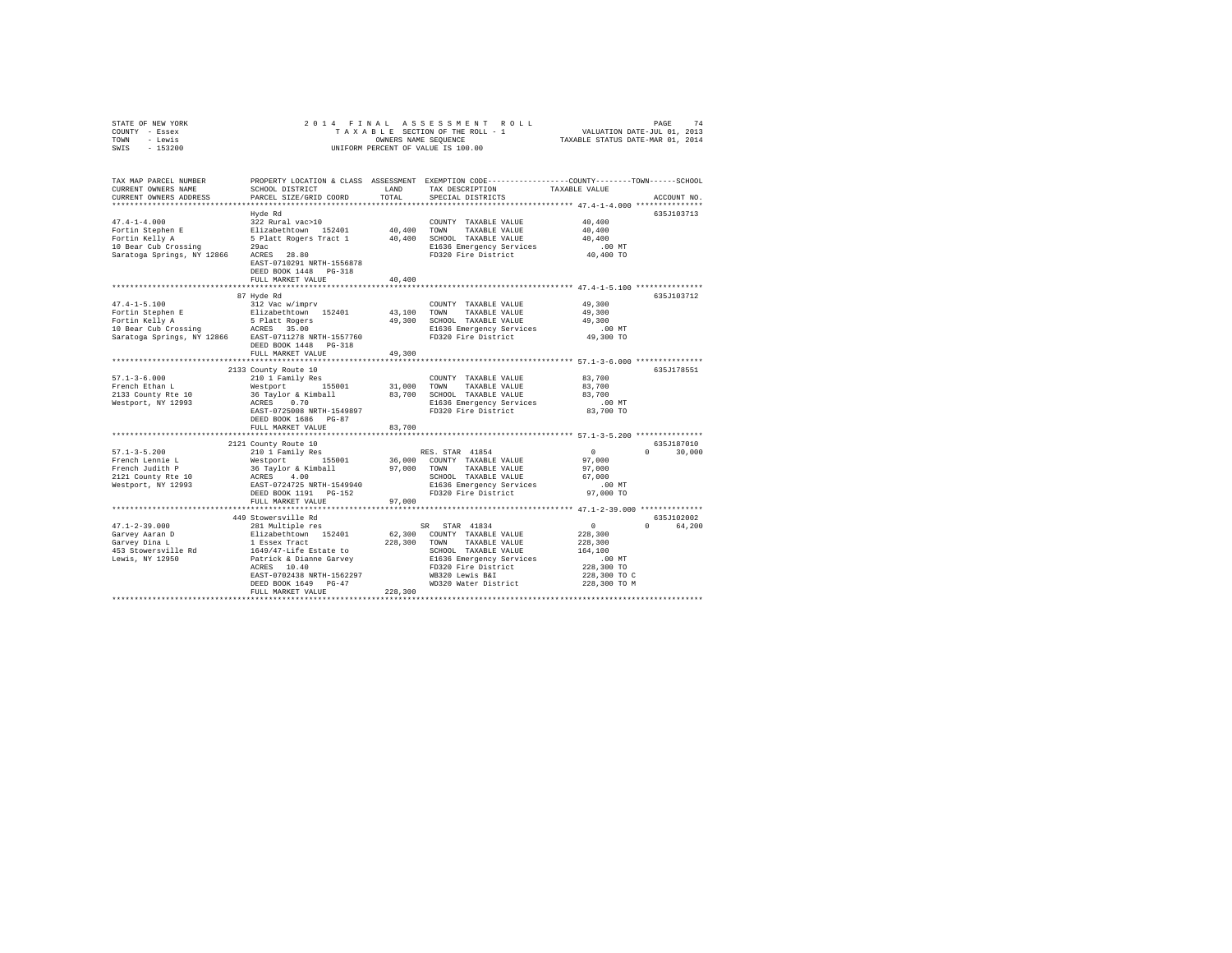| TOWN<br>- Lewis<br>$-153200$<br>SWIS                 | UNIFORM PERCENT OF VALUE IS 100.00                   | TAXABLE STATUS DATE-MAR 01, 2014 |                                                                                                 |                                                          |                                 |
|------------------------------------------------------|------------------------------------------------------|----------------------------------|-------------------------------------------------------------------------------------------------|----------------------------------------------------------|---------------------------------|
| TAX MAP PARCEL NUMBER                                |                                                      |                                  | PROPERTY LOCATION & CLASS ASSESSMENT EXEMPTION CODE---------------COUNTY-------TOWN------SCHOOL |                                                          |                                 |
| CURRENT OWNERS NAME<br>CURRENT OWNERS ADDRESS        | SCHOOL DISTRICT<br>PARCEL SIZE/GRID COORD            | LAND<br>TOTAL                    | TAX DESCRIPTION<br>SPECIAL DISTRICTS                                                            | TAXABLE VALUE                                            | ACCOUNT NO.                     |
| ******************************                       |                                                      |                                  |                                                                                                 |                                                          |                                 |
|                                                      | Hyde Rd                                              |                                  |                                                                                                 |                                                          | 635J103713                      |
| $47.4 - 1 - 4.000$                                   | 322 Rural vac>10                                     |                                  | COUNTY TAXABLE VALUE                                                                            | 40,400                                                   |                                 |
| Fortin Stephen E                                     | Elizabethtown 152401                                 | 40,400                           | TOWN<br>TAXABLE VALUE                                                                           | 40,400                                                   |                                 |
| Fortin Kelly A                                       | 5 Platt Rogers Tract 1                               | 40,400                           | SCHOOL TAXABLE VALUE                                                                            | 40,400                                                   |                                 |
| 10 Bear Cub Crossing                                 | 29ac                                                 |                                  | E1636 Emergency Services                                                                        | $.00$ MT                                                 |                                 |
| Saratoga Springs, NY 12866                           | ACRES 28.80<br>EAST-0710291 NRTH-1556878             |                                  | FD320 Fire District                                                                             | 40,400 TO                                                |                                 |
|                                                      | DEED BOOK 1448 PG-318                                |                                  |                                                                                                 |                                                          |                                 |
|                                                      | FULL MARKET VALUE                                    | 40,400                           |                                                                                                 |                                                          |                                 |
|                                                      |                                                      |                                  |                                                                                                 |                                                          |                                 |
|                                                      | 87 Hyde Rd                                           |                                  |                                                                                                 | 49,300                                                   | 635J103712                      |
| $47.4 - 1 - 5.100$                                   | 312 Vac w/imprv                                      |                                  | COUNTY TAXABLE VALUE<br>TOWN                                                                    |                                                          |                                 |
| Fortin Stephen E<br>Fortin Kelly A                   | Elizabethtown 152401<br>5 Platt Rogers               | 43,100<br>49,300                 | TAXABLE VALUE<br>SCHOOL TAXABLE VALUE                                                           | 49,300<br>49,300                                         |                                 |
| 10 Bear Cub Crossing                                 | ACRES 35.00                                          |                                  | E1636 Emergency Services                                                                        | $.00$ MT                                                 |                                 |
| Saratoga Springs, NY 12866 EAST-0711278 NRTH-1557760 |                                                      |                                  | FD320 Fire District                                                                             | 49,300 TO                                                |                                 |
|                                                      | DEED BOOK 1448 PG-318<br>FULL MARKET VALUE           | 49,300                           |                                                                                                 |                                                          |                                 |
|                                                      |                                                      |                                  |                                                                                                 |                                                          |                                 |
|                                                      | 2133 County Route 10                                 |                                  |                                                                                                 |                                                          | 635J178551                      |
| $57.1 - 3 - 6.000$                                   | 210 1 Family Res                                     |                                  | COUNTY TAXABLE VALUE                                                                            | 83,700                                                   |                                 |
| French Ethan L                                       | Westport 155001                                      | 31,000                           | TOWN<br>TAXABLE VALUE                                                                           | 83,700                                                   |                                 |
| 2133 County Rte 10                                   | 36 Taylor & Kimball                                  | 83,700                           | SCHOOL TAXABLE VALUE                                                                            | 83,700                                                   |                                 |
| Westport, NY 12993                                   | ACRES 0.70                                           |                                  | E1636 Emergency Services                                                                        | $.00$ MT                                                 |                                 |
|                                                      | EAST-0725008 NRTH-1549897                            |                                  | FD320 Fire District                                                                             | 83,700 TO                                                |                                 |
|                                                      | DEED BOOK 1686 PG-87                                 | 83,700                           |                                                                                                 |                                                          |                                 |
|                                                      | FULL MARKET VALUE<br>******************************* |                                  |                                                                                                 |                                                          |                                 |
|                                                      | 2121 County Route 10                                 |                                  |                                                                                                 |                                                          | 635J187010                      |
| $57.1 - 3 - 5.200$                                   | 210 1 Family Res                                     |                                  | RES. STAR 41854                                                                                 | $\sim$ 0                                                 | $\Omega$ and $\Omega$<br>30,000 |
| French Lennie L                                      | Westport 155001                                      |                                  | 36,000 COUNTY TAXABLE VALUE                                                                     | 97,000                                                   |                                 |
| French Judith P                                      | 36 Taylor & Kimball                                  | 97,000                           | TAXABLE VALUE<br>TOWN                                                                           | 97,000                                                   |                                 |
| 2121 County Rte 10                                   | ACRES 4.00                                           |                                  | SCHOOL TAXABLE VALUE                                                                            | 67,000                                                   |                                 |
| Westport, NY 12993                                   | EAST-0724725 NRTH-1549940                            |                                  | E1636 Emergency Services                                                                        | $.00$ MT                                                 |                                 |
|                                                      | DEED BOOK 1191 PG-152                                |                                  | FD320 Fire District                                                                             | 97,000 TO                                                |                                 |
|                                                      | FULL MARKET VALUE                                    | 97,000                           |                                                                                                 | *************************** 47.1-2-39.000 ************** |                                 |
|                                                      | 449 Stowersville Rd                                  |                                  |                                                                                                 |                                                          | 635J102002                      |
| $47.1 - 2 - 39.000$                                  | 281 Multiple res                                     |                                  | SR STAR 41834                                                                                   | $\Omega$                                                 | 64,200                          |
| Garvey Aaran D                                       | Elizabethtown 152401                                 |                                  | 62,300 COUNTY TAXABLE VALUE                                                                     | 228,300                                                  |                                 |
| Garvey Dina L                                        | 1 Essex Tract                                        | 228,300                          | TOWN<br>TAXABLE VALUE                                                                           | 228,300                                                  |                                 |
| 453 Stowersville Rd                                  | 1649/47-Life Estate to                               |                                  | SCHOOL TAXABLE VALUE                                                                            | 164,100                                                  |                                 |
| Lewis, NY 12950                                      | Patrick & Dianne Garvey                              |                                  | E1636 Emergency Services                                                                        | $.00$ MT                                                 |                                 |
|                                                      | ACRES 10.40                                          |                                  | FD320 Fire District                                                                             | 228,300 TO                                               |                                 |
|                                                      | EAST-0702438 NRTH-1562297                            |                                  | WB320 Lewis B&I                                                                                 | 228,300 TO C                                             |                                 |
|                                                      | DEED BOOK 1649 PG-47                                 |                                  | WD320 Water District                                                                            | 228,300 TO M                                             |                                 |
|                                                      | FULL MARKET VALUE                                    | 228,300                          |                                                                                                 |                                                          |                                 |
|                                                      |                                                      |                                  |                                                                                                 |                                                          |                                 |

STATE OF NEW YORK THE SALL AS SESS SOMEN IN A RUID OF A LAGE 74<br>COUNTY – Essex The Sall Page 14 A X A B L E SECTION OF THE ROLL – 1 VALUATION DATE-JUL 01, 2013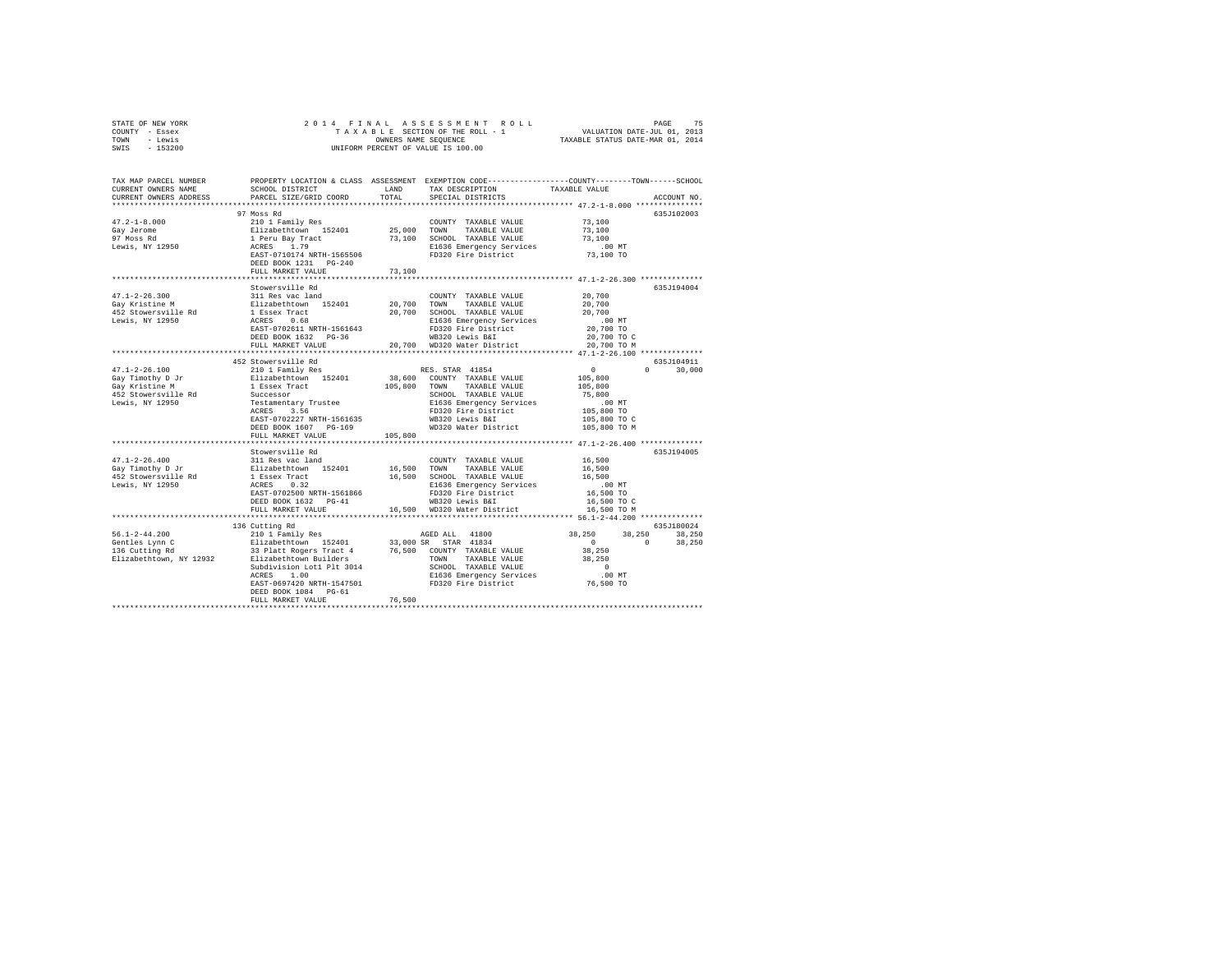|      | STATE OF NEW YORK |  |  | 2014 FINAL ASSESSMENT ROLL         | PAGE                             | 75 |
|------|-------------------|--|--|------------------------------------|----------------------------------|----|
|      | COUNTY - Essex    |  |  | TAXABLE SECTION OF THE ROLL - 1    | VALUATION DATE-JUL 01, 2013      |    |
| TOWN | - Lewis           |  |  | OWNERS NAME SEOUENCE               | TAXABLE STATUS DATE-MAR 01, 2014 |    |
| SWIS | - 153200          |  |  | UNIFORM PERCENT OF VALUE IS 100.00 |                                  |    |

| TAX MAP PARCEL NUMBER<br>CURRENT OWNERS NAME<br>CURRENT OWNERS ADDRESS                                         | SCHOOL DISTRICT<br>PARCEL SIZE/GRID COORD                                                                                                                                                                                   | LAND<br>TOTAL         | TAX DESCRIPTION<br>SPECIAL DISTRICTS                                                                                                                                                               | PROPERTY LOCATION & CLASS ASSESSMENT EXEMPTION CODE---------------COUNTY-------TOWN-----SCHOOL<br>TAXABLE VALUE<br>ACCOUNT NO.        |        |
|----------------------------------------------------------------------------------------------------------------|-----------------------------------------------------------------------------------------------------------------------------------------------------------------------------------------------------------------------------|-----------------------|----------------------------------------------------------------------------------------------------------------------------------------------------------------------------------------------------|---------------------------------------------------------------------------------------------------------------------------------------|--------|
|                                                                                                                |                                                                                                                                                                                                                             |                       |                                                                                                                                                                                                    |                                                                                                                                       |        |
| $47.2 - 1 - 8.000$<br>Gay Jerome<br>97 Moss Rd<br>Lewis, NY 12950                                              | 97 Moss Rd<br>210 1 Family Res<br>Elizabethtown 152401<br>1 Peru Bay Tract<br>ACRES 1.79<br>EAST-0710174 NRTH-1565506<br>DEED BOOK 1231 PG-240<br>FULL MARKET VALUE                                                         | 25,000 TOWN<br>73,100 | COUNTY TAXABLE VALUE<br>TAXABLE VALUE<br>73,100 SCHOOL TAXABLE VALUE<br>E1636 Emergency Services<br>FD320 Fire District                                                                            | 635J102003<br>73,100<br>73,100<br>73,100<br>$.00$ MT<br>73,100 TO                                                                     |        |
|                                                                                                                |                                                                                                                                                                                                                             |                       |                                                                                                                                                                                                    |                                                                                                                                       |        |
| $47.1 - 2 - 26.300$<br>Gay Kristine M<br>452 Stowersville Rd<br>Lewis, NY 12950                                | Stowersville Rd<br>311 Res vac land<br>EAST-0702611 NRTH-1561643<br>DEED BOOK 1632 PG-36<br>FULL MARKET VALUE 20,700 WD320 Water District 20,700 TO M                                                                       |                       | COUNTY TAXABLE VALUE<br>20,700 SCHOOL TAXABLE VALUE<br>E1636 Emergency Services<br>FD320 Fire District<br>WB320 Lewis B&I                                                                          | 635J194004<br>20,700<br>20,700<br>20,700<br>00 MT.<br>20,700 TO<br>20,700 TO C                                                        |        |
|                                                                                                                |                                                                                                                                                                                                                             |                       |                                                                                                                                                                                                    | ********************** 47.1-2-26.100 **************                                                                                   |        |
| $47.1 - 2 - 26.100$<br>4/.1-2 ==<br>Gay Timothy D Jr<br>- Y≃istine M<br>452 Stowersville Rd<br>Lewis, NY 12950 | 452 Stowersville Rd<br>210 1 Family Res<br>Elizabethtown 152401<br>1 Essex Tract<br>Successor<br>Testamentary Trustee<br>ACRES 3.56<br>EAST-0702227 NRTH-1561635<br>DEED BOOK 1607 PG-169<br>FULL MARKET VALUE              | 105,800               | RES. STAR 41854<br>38,600 COUNTY TAXABLE VALUE<br>105,800 TOWN TAXABLE VALUE<br>SCHOOL TAXABLE VALUE<br>E1636 Emergency Services<br>FD320 Fire District<br>WB320 Lewis B&I<br>WD320 Water District | 635J104911<br>$\Omega$<br>$0 \qquad \qquad$<br>105,800<br>105,800<br>75,800<br>$.00$ MT<br>105,800 TO<br>105,800 TO C<br>105,800 TO M | 30,000 |
|                                                                                                                | Stowersville Rd                                                                                                                                                                                                             |                       |                                                                                                                                                                                                    | 635J194005                                                                                                                            |        |
| $47.1 - 2 - 26.400$<br>Gay Timothy D Jr<br>452 Stowersville Rd<br>Lewis, NY 12950                              | 311 Res vac land<br>First-Director (1921)<br>2012 16,500 TOMN TAXABLE VALUE<br>1826 Tract 16,500 SCHOOL TAXABLE VALUE<br>201636 Emergency Service<br>EAST-0702500 NRTH-1561866<br>DEED BOOK 1632 PG-41<br>FULL MARKET VALUE |                       | COUNTY TAXABLE VALUE<br>16,500 SCHOOL TAXABLE VALUE<br>E1636 Emergency Services<br>FD320 Fire District<br>WB320 Lewis B&I<br>16,500 WD320 Water District                                           | 16,500<br>16,500<br>16,500<br>$.00$ MT<br>16,500 TO<br>16,500 TO C<br>16,500 TO M                                                     |        |
|                                                                                                                | 136 Cutting Rd                                                                                                                                                                                                              |                       |                                                                                                                                                                                                    | 635J180024                                                                                                                            |        |
|                                                                                                                | Subdivision Lot1 Plt 3014<br>ACRES 1.00<br>EAST-0697420 NRTH-1547501<br>DEED BOOK 1084 PG-61<br>FULL MARKET VALUE                                                                                                           | 76,500                | TOWN TAXABLE VALUE<br>SCHOOL TAXABLE VALUE<br>F1626 Emergency Services<br>E1636 Emergency Services<br>FD320 Fire District                                                                          | 38,250<br>38,250 38,250<br>$\sim$ 0<br>$\sim$ 0<br>38,250<br>38,250<br>$\sim$ 0<br>.00 MT<br>76,500 TO                                | 38,250 |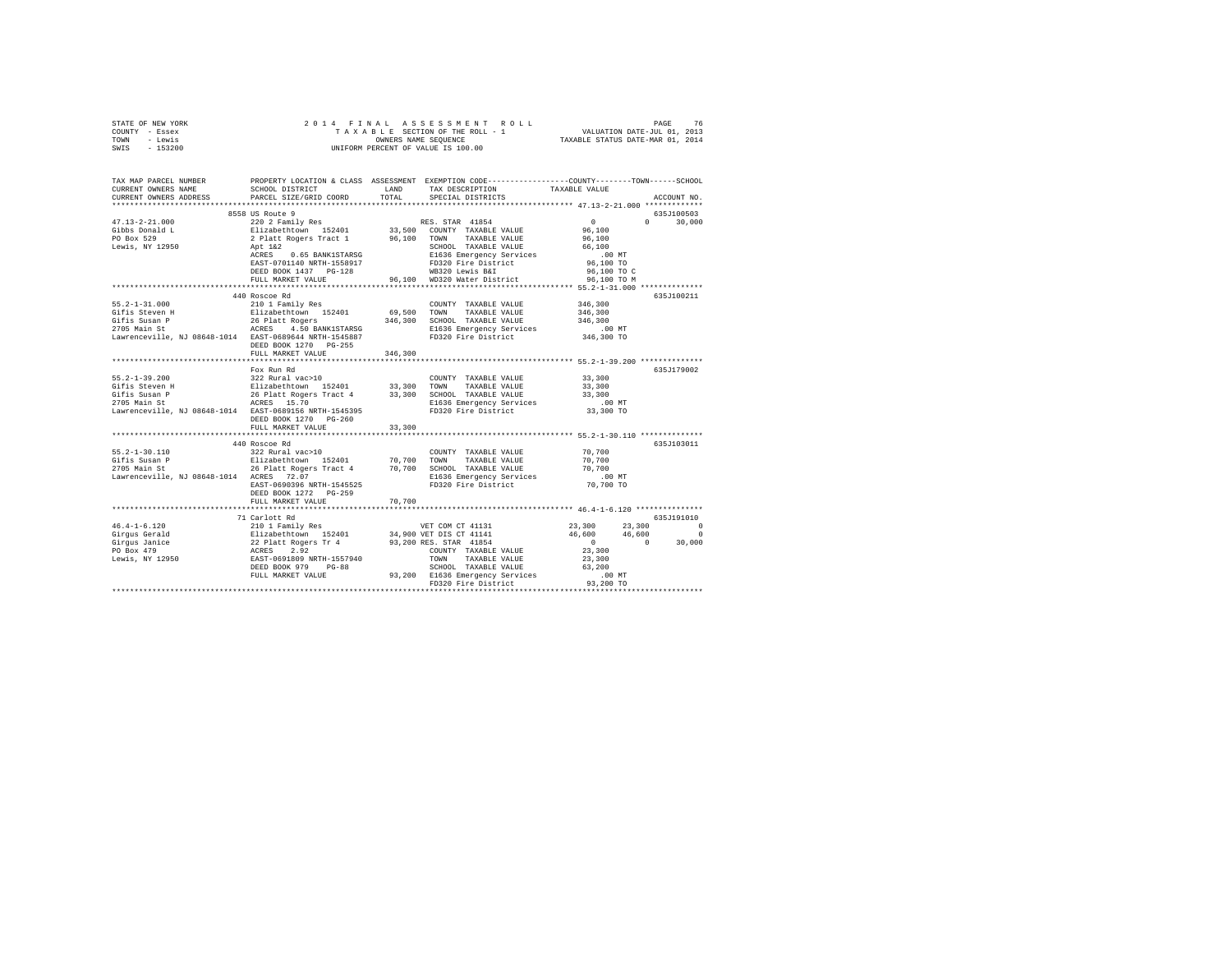| 2014 FINAL ASSESSMENT ROL<br>TAXABLE SECTION OF THE ROLL - 1<br>ONNERS NAME SEQUENCE<br>UNIFORM PERCENT OF VALUE IS 100.00<br>SWIS - 153200<br>TAX MAP PARCEL NUMBER PROPERTY LOCATION & CLASS ASSESSMENT EXEMPTION CODE--------------COUNTY-------TOWN------SCHOOL<br>TAX DESCRIPTION<br>TAXABLE VALUE<br>SCHOOL DISTRICT LAND<br>CURRENT OWNERS NAME<br>TOTAL<br>PARCEL SIZE/GRID COORD<br>CURRENT OWNERS ADDRESS<br>SPECIAL DISTRICTS<br>ACCOUNT NO.<br>*************************<br>8558 US Route 9<br>635J100503<br>8558 03 ROME 9<br>220 2 Family Res<br>Elizabethtown 152401<br>2 Platt Rogers Tract 1<br>2 Platt Rogers Tract 1<br>46,100 TOWN TAXABLE VALUE<br>APE 142<br>APE 142<br>APE 1636 Emergency Services<br>RES<br>2 POST-0701140 NRTH-1558917<br>APER POST<br>$\sim$ 0<br>$0 \t 30,000$<br>$47.13 - 2 - 21.000$<br>96,100<br>Gibbs Donald L<br>PO Box 529<br>96,100<br>66,100<br>Lewis, NY 12950<br>.00 MT<br>96,100 TO<br>96,100 TO C<br>96,100 TO M<br>440 Roscoe Rd<br>635J100211<br>$55.2 - 1 - 31.000$<br>210 1 Family Res<br>346,300<br>COUNTY TAXABLE VALUE<br>346,300<br>346,300<br>.00 MT<br>346,300 TO<br>DEED BOOK 1270 PG-255<br>FULL MARKET VALUE<br>346,300<br>Fox Run Rd<br>635J179002<br>322 Rural vac>10<br>COUNTY TAXABLE VALUE 33,300<br>$55.2 - 1 - 39.200$<br>33,300<br>33,300<br>.00 MT<br>33,300 TO<br>DEED BOOK 1270 PG-260<br>FULL MARKET VALUE<br>33,300<br>*********************** 55.2-1-30.110 **************<br>635J103011<br>FULL MARKET VALUE<br>70,700<br>******************* 46.4-1-6.120 ****************<br>************************<br>************<br>635.T191010<br>71 Carlott Rd<br>$\begin{tabular}{l c c c c c} \multicolumn{3}{c c c c} \multicolumn{3}{c c c} \multicolumn{3}{c c c} \multicolumn{3}{c c c} \multicolumn{3}{c c c} \multicolumn{3}{c c c} \multicolumn{3}{c c c} \multicolumn{3}{c c c} \multicolumn{3}{c c c} \multicolumn{3}{c c c} \multicolumn{3}{c c c} \multicolumn{3}{c c c} \multicolumn{3}{c c c} \multicolumn{3}{c c c} \multicolumn{3}{c c c} \multicolumn{$ | STATE OF NEW YORK<br>COUNTY - Essex<br>TOWN - Lewis |  |  |  |
|-------------------------------------------------------------------------------------------------------------------------------------------------------------------------------------------------------------------------------------------------------------------------------------------------------------------------------------------------------------------------------------------------------------------------------------------------------------------------------------------------------------------------------------------------------------------------------------------------------------------------------------------------------------------------------------------------------------------------------------------------------------------------------------------------------------------------------------------------------------------------------------------------------------------------------------------------------------------------------------------------------------------------------------------------------------------------------------------------------------------------------------------------------------------------------------------------------------------------------------------------------------------------------------------------------------------------------------------------------------------------------------------------------------------------------------------------------------------------------------------------------------------------------------------------------------------------------------------------------------------------------------------------------------------------------------------------------------------------------------------------------------------------------------------------------------------------------------------------------------------------------------------------------------------------------------------------------------------------------------------------------------------------------------------------------|-----------------------------------------------------|--|--|--|
|                                                                                                                                                                                                                                                                                                                                                                                                                                                                                                                                                                                                                                                                                                                                                                                                                                                                                                                                                                                                                                                                                                                                                                                                                                                                                                                                                                                                                                                                                                                                                                                                                                                                                                                                                                                                                                                                                                                                                                                                                                                       |                                                     |  |  |  |
|                                                                                                                                                                                                                                                                                                                                                                                                                                                                                                                                                                                                                                                                                                                                                                                                                                                                                                                                                                                                                                                                                                                                                                                                                                                                                                                                                                                                                                                                                                                                                                                                                                                                                                                                                                                                                                                                                                                                                                                                                                                       |                                                     |  |  |  |
|                                                                                                                                                                                                                                                                                                                                                                                                                                                                                                                                                                                                                                                                                                                                                                                                                                                                                                                                                                                                                                                                                                                                                                                                                                                                                                                                                                                                                                                                                                                                                                                                                                                                                                                                                                                                                                                                                                                                                                                                                                                       |                                                     |  |  |  |
|                                                                                                                                                                                                                                                                                                                                                                                                                                                                                                                                                                                                                                                                                                                                                                                                                                                                                                                                                                                                                                                                                                                                                                                                                                                                                                                                                                                                                                                                                                                                                                                                                                                                                                                                                                                                                                                                                                                                                                                                                                                       |                                                     |  |  |  |
|                                                                                                                                                                                                                                                                                                                                                                                                                                                                                                                                                                                                                                                                                                                                                                                                                                                                                                                                                                                                                                                                                                                                                                                                                                                                                                                                                                                                                                                                                                                                                                                                                                                                                                                                                                                                                                                                                                                                                                                                                                                       |                                                     |  |  |  |
|                                                                                                                                                                                                                                                                                                                                                                                                                                                                                                                                                                                                                                                                                                                                                                                                                                                                                                                                                                                                                                                                                                                                                                                                                                                                                                                                                                                                                                                                                                                                                                                                                                                                                                                                                                                                                                                                                                                                                                                                                                                       |                                                     |  |  |  |
|                                                                                                                                                                                                                                                                                                                                                                                                                                                                                                                                                                                                                                                                                                                                                                                                                                                                                                                                                                                                                                                                                                                                                                                                                                                                                                                                                                                                                                                                                                                                                                                                                                                                                                                                                                                                                                                                                                                                                                                                                                                       |                                                     |  |  |  |
|                                                                                                                                                                                                                                                                                                                                                                                                                                                                                                                                                                                                                                                                                                                                                                                                                                                                                                                                                                                                                                                                                                                                                                                                                                                                                                                                                                                                                                                                                                                                                                                                                                                                                                                                                                                                                                                                                                                                                                                                                                                       |                                                     |  |  |  |
|                                                                                                                                                                                                                                                                                                                                                                                                                                                                                                                                                                                                                                                                                                                                                                                                                                                                                                                                                                                                                                                                                                                                                                                                                                                                                                                                                                                                                                                                                                                                                                                                                                                                                                                                                                                                                                                                                                                                                                                                                                                       |                                                     |  |  |  |
|                                                                                                                                                                                                                                                                                                                                                                                                                                                                                                                                                                                                                                                                                                                                                                                                                                                                                                                                                                                                                                                                                                                                                                                                                                                                                                                                                                                                                                                                                                                                                                                                                                                                                                                                                                                                                                                                                                                                                                                                                                                       |                                                     |  |  |  |
|                                                                                                                                                                                                                                                                                                                                                                                                                                                                                                                                                                                                                                                                                                                                                                                                                                                                                                                                                                                                                                                                                                                                                                                                                                                                                                                                                                                                                                                                                                                                                                                                                                                                                                                                                                                                                                                                                                                                                                                                                                                       |                                                     |  |  |  |
|                                                                                                                                                                                                                                                                                                                                                                                                                                                                                                                                                                                                                                                                                                                                                                                                                                                                                                                                                                                                                                                                                                                                                                                                                                                                                                                                                                                                                                                                                                                                                                                                                                                                                                                                                                                                                                                                                                                                                                                                                                                       |                                                     |  |  |  |
|                                                                                                                                                                                                                                                                                                                                                                                                                                                                                                                                                                                                                                                                                                                                                                                                                                                                                                                                                                                                                                                                                                                                                                                                                                                                                                                                                                                                                                                                                                                                                                                                                                                                                                                                                                                                                                                                                                                                                                                                                                                       |                                                     |  |  |  |
|                                                                                                                                                                                                                                                                                                                                                                                                                                                                                                                                                                                                                                                                                                                                                                                                                                                                                                                                                                                                                                                                                                                                                                                                                                                                                                                                                                                                                                                                                                                                                                                                                                                                                                                                                                                                                                                                                                                                                                                                                                                       |                                                     |  |  |  |
|                                                                                                                                                                                                                                                                                                                                                                                                                                                                                                                                                                                                                                                                                                                                                                                                                                                                                                                                                                                                                                                                                                                                                                                                                                                                                                                                                                                                                                                                                                                                                                                                                                                                                                                                                                                                                                                                                                                                                                                                                                                       |                                                     |  |  |  |
|                                                                                                                                                                                                                                                                                                                                                                                                                                                                                                                                                                                                                                                                                                                                                                                                                                                                                                                                                                                                                                                                                                                                                                                                                                                                                                                                                                                                                                                                                                                                                                                                                                                                                                                                                                                                                                                                                                                                                                                                                                                       |                                                     |  |  |  |
|                                                                                                                                                                                                                                                                                                                                                                                                                                                                                                                                                                                                                                                                                                                                                                                                                                                                                                                                                                                                                                                                                                                                                                                                                                                                                                                                                                                                                                                                                                                                                                                                                                                                                                                                                                                                                                                                                                                                                                                                                                                       |                                                     |  |  |  |
|                                                                                                                                                                                                                                                                                                                                                                                                                                                                                                                                                                                                                                                                                                                                                                                                                                                                                                                                                                                                                                                                                                                                                                                                                                                                                                                                                                                                                                                                                                                                                                                                                                                                                                                                                                                                                                                                                                                                                                                                                                                       |                                                     |  |  |  |
|                                                                                                                                                                                                                                                                                                                                                                                                                                                                                                                                                                                                                                                                                                                                                                                                                                                                                                                                                                                                                                                                                                                                                                                                                                                                                                                                                                                                                                                                                                                                                                                                                                                                                                                                                                                                                                                                                                                                                                                                                                                       |                                                     |  |  |  |
|                                                                                                                                                                                                                                                                                                                                                                                                                                                                                                                                                                                                                                                                                                                                                                                                                                                                                                                                                                                                                                                                                                                                                                                                                                                                                                                                                                                                                                                                                                                                                                                                                                                                                                                                                                                                                                                                                                                                                                                                                                                       |                                                     |  |  |  |
|                                                                                                                                                                                                                                                                                                                                                                                                                                                                                                                                                                                                                                                                                                                                                                                                                                                                                                                                                                                                                                                                                                                                                                                                                                                                                                                                                                                                                                                                                                                                                                                                                                                                                                                                                                                                                                                                                                                                                                                                                                                       |                                                     |  |  |  |
|                                                                                                                                                                                                                                                                                                                                                                                                                                                                                                                                                                                                                                                                                                                                                                                                                                                                                                                                                                                                                                                                                                                                                                                                                                                                                                                                                                                                                                                                                                                                                                                                                                                                                                                                                                                                                                                                                                                                                                                                                                                       |                                                     |  |  |  |
|                                                                                                                                                                                                                                                                                                                                                                                                                                                                                                                                                                                                                                                                                                                                                                                                                                                                                                                                                                                                                                                                                                                                                                                                                                                                                                                                                                                                                                                                                                                                                                                                                                                                                                                                                                                                                                                                                                                                                                                                                                                       |                                                     |  |  |  |
|                                                                                                                                                                                                                                                                                                                                                                                                                                                                                                                                                                                                                                                                                                                                                                                                                                                                                                                                                                                                                                                                                                                                                                                                                                                                                                                                                                                                                                                                                                                                                                                                                                                                                                                                                                                                                                                                                                                                                                                                                                                       |                                                     |  |  |  |
|                                                                                                                                                                                                                                                                                                                                                                                                                                                                                                                                                                                                                                                                                                                                                                                                                                                                                                                                                                                                                                                                                                                                                                                                                                                                                                                                                                                                                                                                                                                                                                                                                                                                                                                                                                                                                                                                                                                                                                                                                                                       |                                                     |  |  |  |
|                                                                                                                                                                                                                                                                                                                                                                                                                                                                                                                                                                                                                                                                                                                                                                                                                                                                                                                                                                                                                                                                                                                                                                                                                                                                                                                                                                                                                                                                                                                                                                                                                                                                                                                                                                                                                                                                                                                                                                                                                                                       |                                                     |  |  |  |
|                                                                                                                                                                                                                                                                                                                                                                                                                                                                                                                                                                                                                                                                                                                                                                                                                                                                                                                                                                                                                                                                                                                                                                                                                                                                                                                                                                                                                                                                                                                                                                                                                                                                                                                                                                                                                                                                                                                                                                                                                                                       |                                                     |  |  |  |
|                                                                                                                                                                                                                                                                                                                                                                                                                                                                                                                                                                                                                                                                                                                                                                                                                                                                                                                                                                                                                                                                                                                                                                                                                                                                                                                                                                                                                                                                                                                                                                                                                                                                                                                                                                                                                                                                                                                                                                                                                                                       |                                                     |  |  |  |
|                                                                                                                                                                                                                                                                                                                                                                                                                                                                                                                                                                                                                                                                                                                                                                                                                                                                                                                                                                                                                                                                                                                                                                                                                                                                                                                                                                                                                                                                                                                                                                                                                                                                                                                                                                                                                                                                                                                                                                                                                                                       |                                                     |  |  |  |
|                                                                                                                                                                                                                                                                                                                                                                                                                                                                                                                                                                                                                                                                                                                                                                                                                                                                                                                                                                                                                                                                                                                                                                                                                                                                                                                                                                                                                                                                                                                                                                                                                                                                                                                                                                                                                                                                                                                                                                                                                                                       |                                                     |  |  |  |
|                                                                                                                                                                                                                                                                                                                                                                                                                                                                                                                                                                                                                                                                                                                                                                                                                                                                                                                                                                                                                                                                                                                                                                                                                                                                                                                                                                                                                                                                                                                                                                                                                                                                                                                                                                                                                                                                                                                                                                                                                                                       |                                                     |  |  |  |
|                                                                                                                                                                                                                                                                                                                                                                                                                                                                                                                                                                                                                                                                                                                                                                                                                                                                                                                                                                                                                                                                                                                                                                                                                                                                                                                                                                                                                                                                                                                                                                                                                                                                                                                                                                                                                                                                                                                                                                                                                                                       |                                                     |  |  |  |
|                                                                                                                                                                                                                                                                                                                                                                                                                                                                                                                                                                                                                                                                                                                                                                                                                                                                                                                                                                                                                                                                                                                                                                                                                                                                                                                                                                                                                                                                                                                                                                                                                                                                                                                                                                                                                                                                                                                                                                                                                                                       |                                                     |  |  |  |
|                                                                                                                                                                                                                                                                                                                                                                                                                                                                                                                                                                                                                                                                                                                                                                                                                                                                                                                                                                                                                                                                                                                                                                                                                                                                                                                                                                                                                                                                                                                                                                                                                                                                                                                                                                                                                                                                                                                                                                                                                                                       |                                                     |  |  |  |
|                                                                                                                                                                                                                                                                                                                                                                                                                                                                                                                                                                                                                                                                                                                                                                                                                                                                                                                                                                                                                                                                                                                                                                                                                                                                                                                                                                                                                                                                                                                                                                                                                                                                                                                                                                                                                                                                                                                                                                                                                                                       |                                                     |  |  |  |
|                                                                                                                                                                                                                                                                                                                                                                                                                                                                                                                                                                                                                                                                                                                                                                                                                                                                                                                                                                                                                                                                                                                                                                                                                                                                                                                                                                                                                                                                                                                                                                                                                                                                                                                                                                                                                                                                                                                                                                                                                                                       |                                                     |  |  |  |
|                                                                                                                                                                                                                                                                                                                                                                                                                                                                                                                                                                                                                                                                                                                                                                                                                                                                                                                                                                                                                                                                                                                                                                                                                                                                                                                                                                                                                                                                                                                                                                                                                                                                                                                                                                                                                                                                                                                                                                                                                                                       |                                                     |  |  |  |
|                                                                                                                                                                                                                                                                                                                                                                                                                                                                                                                                                                                                                                                                                                                                                                                                                                                                                                                                                                                                                                                                                                                                                                                                                                                                                                                                                                                                                                                                                                                                                                                                                                                                                                                                                                                                                                                                                                                                                                                                                                                       |                                                     |  |  |  |
|                                                                                                                                                                                                                                                                                                                                                                                                                                                                                                                                                                                                                                                                                                                                                                                                                                                                                                                                                                                                                                                                                                                                                                                                                                                                                                                                                                                                                                                                                                                                                                                                                                                                                                                                                                                                                                                                                                                                                                                                                                                       |                                                     |  |  |  |
|                                                                                                                                                                                                                                                                                                                                                                                                                                                                                                                                                                                                                                                                                                                                                                                                                                                                                                                                                                                                                                                                                                                                                                                                                                                                                                                                                                                                                                                                                                                                                                                                                                                                                                                                                                                                                                                                                                                                                                                                                                                       |                                                     |  |  |  |
|                                                                                                                                                                                                                                                                                                                                                                                                                                                                                                                                                                                                                                                                                                                                                                                                                                                                                                                                                                                                                                                                                                                                                                                                                                                                                                                                                                                                                                                                                                                                                                                                                                                                                                                                                                                                                                                                                                                                                                                                                                                       |                                                     |  |  |  |
|                                                                                                                                                                                                                                                                                                                                                                                                                                                                                                                                                                                                                                                                                                                                                                                                                                                                                                                                                                                                                                                                                                                                                                                                                                                                                                                                                                                                                                                                                                                                                                                                                                                                                                                                                                                                                                                                                                                                                                                                                                                       |                                                     |  |  |  |
|                                                                                                                                                                                                                                                                                                                                                                                                                                                                                                                                                                                                                                                                                                                                                                                                                                                                                                                                                                                                                                                                                                                                                                                                                                                                                                                                                                                                                                                                                                                                                                                                                                                                                                                                                                                                                                                                                                                                                                                                                                                       |                                                     |  |  |  |
|                                                                                                                                                                                                                                                                                                                                                                                                                                                                                                                                                                                                                                                                                                                                                                                                                                                                                                                                                                                                                                                                                                                                                                                                                                                                                                                                                                                                                                                                                                                                                                                                                                                                                                                                                                                                                                                                                                                                                                                                                                                       |                                                     |  |  |  |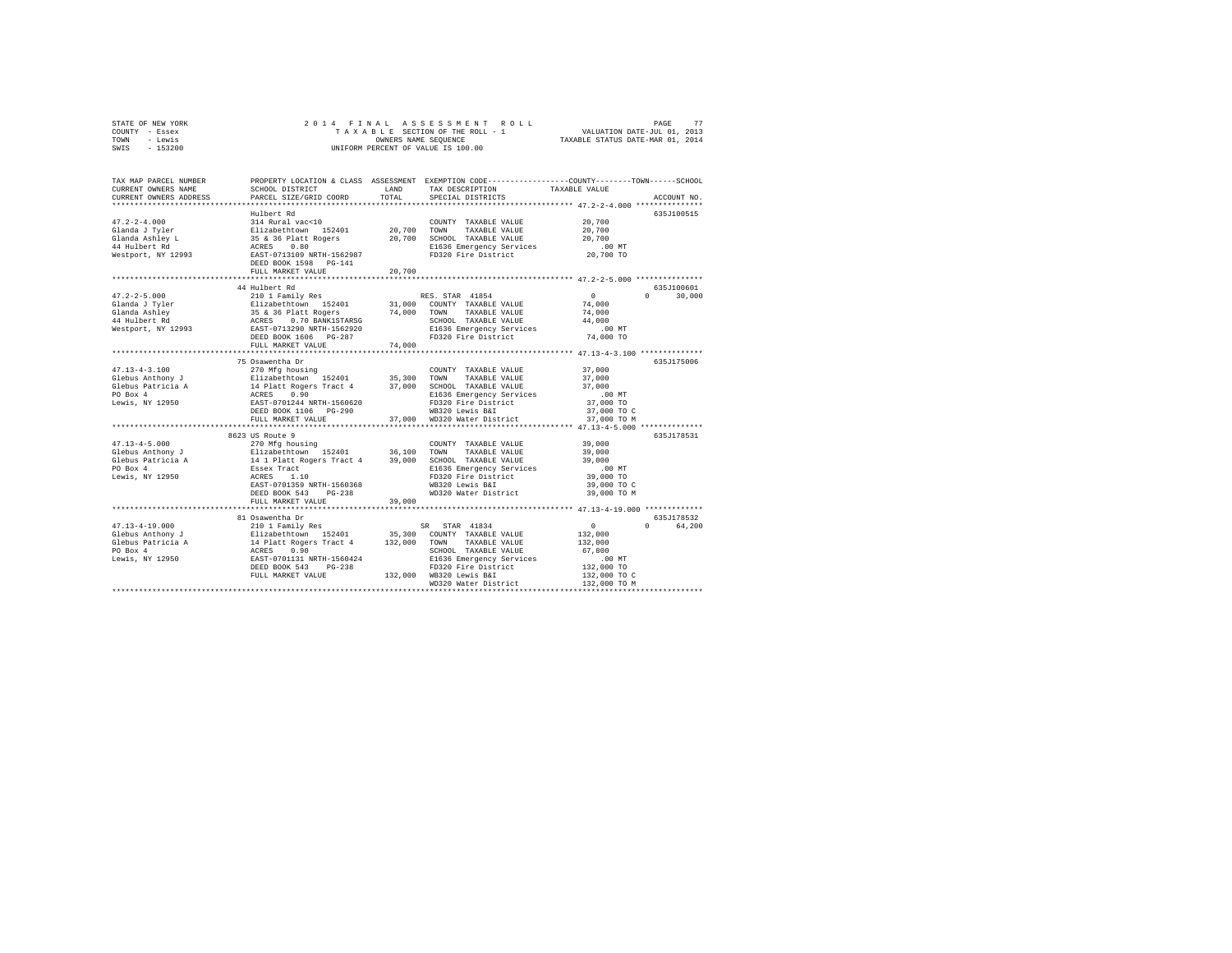|      | STATE OF NEW YORK |  |  | 2014 FINAL ASSESSMENT ROLL         | 77<br>PAGE                       |  |
|------|-------------------|--|--|------------------------------------|----------------------------------|--|
|      | COUNTY - Essex    |  |  | TAXABLE SECTION OF THE ROLL - 1    | VALUATION DATE-JUL 01, 2013      |  |
| TOWN | - Lewis           |  |  | OWNERS NAME SEOUENCE               | TAXABLE STATUS DATE-MAR 01, 2014 |  |
| SWIS | - 153200          |  |  | UNIFORM PERCENT OF VALUE IS 100.00 |                                  |  |

| TAX MAP PARCEL NUMBER<br>CURRENT OWNERS NAME<br>CURRENT OWNERS ADDRESS | SCHOOL DISTRICT<br>PARCEL SIZE/GRID COORD                                                           | LAND<br>TOTAL. | PROPERTY LOCATION & CLASS ASSESSMENT EXEMPTION CODE-----------------COUNTY-------TOWN------SCHOOL<br>TAX DESCRIPTION<br>SPECIAL DISTRICTS | TAXABLE VALUE  | ACCOUNT NO.                     |
|------------------------------------------------------------------------|-----------------------------------------------------------------------------------------------------|----------------|-------------------------------------------------------------------------------------------------------------------------------------------|----------------|---------------------------------|
|                                                                        |                                                                                                     |                |                                                                                                                                           |                |                                 |
|                                                                        | Hulbert Rd                                                                                          |                |                                                                                                                                           |                | 635J100515                      |
| $47.2 - 2 - 4.000$                                                     | 314 Rural vac<10                                                                                    |                | COUNTY TAXABLE VALUE                                                                                                                      | 20,700         |                                 |
| Glanda J Tyler                                                         | Elizabethtown 152401<br>35 & 36 Platt Rogers<br>ACRES 0.80                                          | 20,700         | TOWN<br>TAXABLE VALUE                                                                                                                     | 20,700         |                                 |
| Glanda Ashley L                                                        |                                                                                                     | 20,700         | SCHOOL TAXABLE VALUE                                                                                                                      | 20,700         |                                 |
| 44 Hulbert Rd<br>Westport, NY 12993                                    |                                                                                                     |                | E1636 Emergency Services                                                                                                                  | $.00$ MT       |                                 |
|                                                                        | EAST-0713109 NRTH-1562987<br>DEED BOOK 1598    PG-141                                               |                | FD320 Fire District                                                                                                                       | 20,700 TO      |                                 |
|                                                                        | FULL MARKET VALUE                                                                                   | 20,700         |                                                                                                                                           |                |                                 |
|                                                                        |                                                                                                     |                |                                                                                                                                           |                |                                 |
|                                                                        | 44 Hulbert Rd                                                                                       |                |                                                                                                                                           |                | 635J100601                      |
| $47.2 - 2 - 5.000$                                                     | 210 1 Family Res                                                                                    |                | RES. STAR 41854                                                                                                                           | $^{\circ}$     | $0 \qquad \qquad$<br>30,000     |
| Glanda J Tyler                                                         |                                                                                                     | 31,000         | COUNTY TAXABLE VALUE                                                                                                                      | 74,000         |                                 |
| Glanda Ashlev                                                          | Elizabethtown 152401<br>35 & 36 Platt Rogers<br>ACRES 0.70 BANK1STARSG<br>EAST-0713290 NRTH-1562920 | 74,000         | TOWN<br>TAXABLE VALUE                                                                                                                     | 74,000         |                                 |
| 44 Hulbert Rd                                                          |                                                                                                     |                | SCHOOL TAXABLE VALUE                                                                                                                      | 44,000         |                                 |
| Westport, NY 12993                                                     |                                                                                                     |                | E1636 Emergency Services<br>FD320 Fire District                                                                                           | $.00$ MT       |                                 |
|                                                                        | DEED BOOK 1606 PG-287                                                                               |                |                                                                                                                                           | 74,000 TO      |                                 |
|                                                                        | FULL MARKET VALUE                                                                                   | 74,000         |                                                                                                                                           |                |                                 |
|                                                                        |                                                                                                     |                |                                                                                                                                           |                |                                 |
|                                                                        | 75 Osawentha Dr                                                                                     |                |                                                                                                                                           |                | 635J175006                      |
| $47.13 - 4 - 3.100$                                                    | 270 Mfg housing                                                                                     |                | COUNTY TAXABLE VALUE                                                                                                                      | 37,000         |                                 |
| Glebus Anthony J                                                       | Elizabethtown 152401                                                                                | 35,300         | TOWN<br>TAXABLE VALUE                                                                                                                     | 37,000         |                                 |
| Glebus Patricia A                                                      | 14 Platt Rogers Tract 4<br>ACRES 0.90<br>EAST-0701244 NRTH-1560620                                  | 37,000         | SCHOOL TAXABLE VALUE                                                                                                                      | 37,000         |                                 |
| PO Box 4                                                               |                                                                                                     |                | E1636 Emergency Services                                                                                                                  | $.00$ MT       |                                 |
| Lewis, NY 12950                                                        |                                                                                                     |                | FD320 Fire District                                                                                                                       | 37,000 TO      |                                 |
|                                                                        | DEED BOOK 1106 PG-290                                                                               |                | WB320 Lewis B&I                                                                                                                           | 37,000 TO C    |                                 |
|                                                                        | FULL MARKET VALUE                                                                                   |                | 37,000 WD320 Water District                                                                                                               | 37,000 TO M    |                                 |
|                                                                        |                                                                                                     |                |                                                                                                                                           |                |                                 |
|                                                                        | 8623 US Route 9                                                                                     |                |                                                                                                                                           |                | 635J178531                      |
| $47.13 - 4 - 5.000$                                                    | 270 Mfg housing                                                                                     |                | COUNTY TAXABLE VALUE                                                                                                                      | 39,000         |                                 |
| Glebus Anthony J                                                       | Elizabethtown 152401                                                                                | 36,100 TOWN    | TAXABLE VALUE                                                                                                                             | 39,000         |                                 |
| Glebus Patricia A                                                      | 14 1 Platt Rogers Tract 4 39,000                                                                    |                | SCHOOL TAXABLE VALUE                                                                                                                      | 39,000         |                                 |
| PO Box 4                                                               | Essex Tract                                                                                         |                | E1636 Emergency Services                                                                                                                  | .00 MT         |                                 |
| Lewis, NY 12950                                                        | ACRES<br>1.10                                                                                       |                | FD320 Fire District                                                                                                                       | 39,000 TO      |                                 |
|                                                                        | EAST-0701359 NRTH-1560368                                                                           |                | WB320 Lewis B&I                                                                                                                           | 39,000 TO C    |                                 |
|                                                                        | $PG-238$<br>DEED BOOK 543                                                                           |                | WD320 Water District                                                                                                                      | 39,000 TO M    |                                 |
|                                                                        | FULL MARKET VALUE<br>************************                                                       | 39,000         |                                                                                                                                           |                |                                 |
|                                                                        |                                                                                                     |                |                                                                                                                                           |                |                                 |
|                                                                        | 81 Osawentha Dr                                                                                     |                |                                                                                                                                           |                | 635J178532                      |
| $47.13 - 4 - 19.000$                                                   | 210 1 Family Res                                                                                    |                | SR STAR 41834                                                                                                                             | $\overline{0}$ | 64,200<br>$\Omega$ and $\Omega$ |
| Glebus Anthony J                                                       | Elizabethtown 152401 35,300 COUNTY TAXABLE VALUE                                                    |                |                                                                                                                                           | 132,000        |                                 |
| Glebus Patricia A                                                      | 14 Platt Rogers Tract 4 132,000<br>ACRES 0.90<br>EAST-0701131 NRTH-1560424                          |                | TOWN TAXABLE VALUE                                                                                                                        | 132,000        |                                 |
| PO Box 4                                                               |                                                                                                     |                | SCHOOL TAXABLE VALUE                                                                                                                      | 67.800         |                                 |
| Lewis, NY 12950                                                        |                                                                                                     |                | E1636 Emergency Services                                                                                                                  | .00MT          |                                 |
|                                                                        | $PG-238$<br>DEED BOOK 543                                                                           |                | FD320 Fire District                                                                                                                       | 132,000 TO     |                                 |
|                                                                        | FULL MARKET VALUE                                                                                   |                | 132,000 WB320 Lewis B&I                                                                                                                   | 132,000 TO C   |                                 |
|                                                                        |                                                                                                     |                | WD320 Water District                                                                                                                      | 132,000 TO M   |                                 |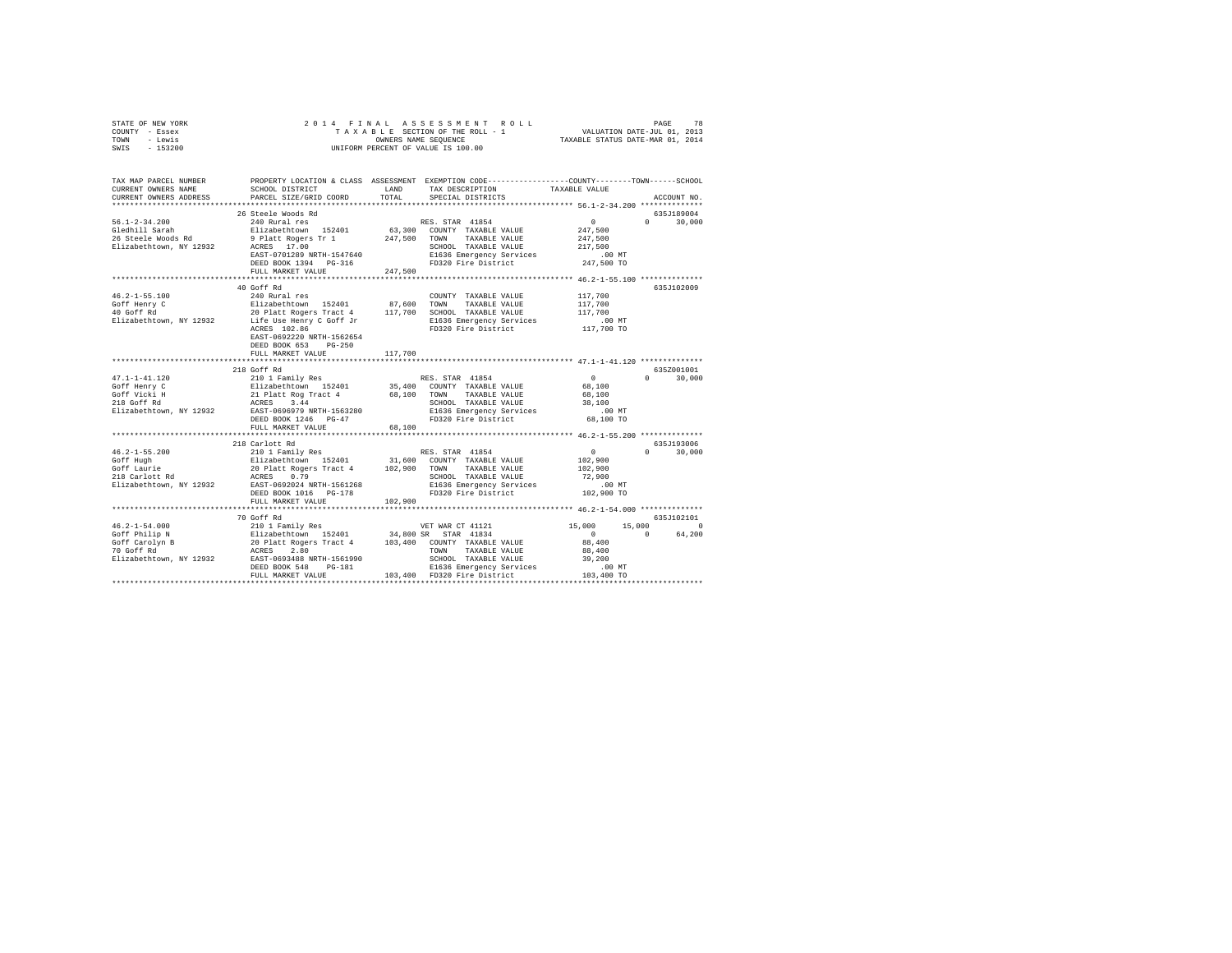| STATE OF NEW YORK                                                                                                                                            | 2014 FINAL                                                                                                                                                                                                   |         |                                                  |                       |                    |  |  |  |  |
|--------------------------------------------------------------------------------------------------------------------------------------------------------------|--------------------------------------------------------------------------------------------------------------------------------------------------------------------------------------------------------------|---------|--------------------------------------------------|-----------------------|--------------------|--|--|--|--|
| COUNTY - Essex<br>TOWN - Lewis                                                                                                                               | 4 FINAL ASSESSMENT ROLL TAXABLE SECTION OF THE ROLL TAXABLE SECTION OF THE ROLL - 1<br>TAXABLE SECTION OF THE ROLL - 1 WALUATION DATE-JUL 01, 2013<br>OWNERS NAME SEQUENCE  TAXABLE STATUS DATE-MAR 01, 2014 |         |                                                  |                       |                    |  |  |  |  |
| SWIS<br>$-153200$                                                                                                                                            | OWNERS NAME SEQUENCE<br>UNIFORM PERCENT OF VALUE IS 100.00                                                                                                                                                   |         |                                                  |                       |                    |  |  |  |  |
|                                                                                                                                                              |                                                                                                                                                                                                              |         |                                                  |                       |                    |  |  |  |  |
|                                                                                                                                                              |                                                                                                                                                                                                              |         |                                                  |                       |                    |  |  |  |  |
| TAX MAP PARCEL NUMBER                                                                                                                                        | PROPERTY LOCATION & CLASS ASSESSMENT EXEMPTION CODE----------------COUNTY--------TOWN-----SCHOOL                                                                                                             |         |                                                  |                       |                    |  |  |  |  |
| CURRENT OWNERS NAME                                                                                                                                          | SCHOOL DISTRICT                                                                                                                                                                                              | LAND    | TAX DESCRIPTION                                  | TAXABLE VALUE         |                    |  |  |  |  |
| CURRENT OWNERS ADDRESS                                                                                                                                       | PARCEL SIZE/GRID COORD                                                                                                                                                                                       | TOTAL   | SPECIAL DISTRICTS                                |                       | ACCOUNT NO.        |  |  |  |  |
|                                                                                                                                                              | 26 Steele Woods Rd                                                                                                                                                                                           |         |                                                  |                       | 635J189004         |  |  |  |  |
|                                                                                                                                                              | 240 Rural res                                                                                                                                                                                                |         |                                                  | $\sim$ 0              | $\Omega$<br>30,000 |  |  |  |  |
| 56.1-2-34.200<br>Gledhill Sarah                                                                                                                              | Elizabethtown 152401                                                                                                                                                                                         |         | RES. STAR 41854<br>63,300 COUNTY TAXABLE VALUE   | 247,500               |                    |  |  |  |  |
| 26 Steele Woods Rd                                                                                                                                           |                                                                                                                                                                                                              |         | 247,500 TOWN TAXABLE VALUE                       | 247,500               |                    |  |  |  |  |
| Elizabethtown, NY 12932                                                                                                                                      | 9 Platt Rogers Tr 1<br>ACRES 17.00<br>ACRES 17.00                                                                                                                                                            |         | SCHOOL TAXABLE VALUE                             | 217,500               |                    |  |  |  |  |
|                                                                                                                                                              | EAST-0701289 NRTH-1547640                                                                                                                                                                                    |         | E1636 Emergency Services                         | .00 MT                |                    |  |  |  |  |
|                                                                                                                                                              | DEED BOOK 1394 PG-316                                                                                                                                                                                        |         | FD320 Fire District                              | 247,500 TO            |                    |  |  |  |  |
|                                                                                                                                                              | FULL MARKET VALUE                                                                                                                                                                                            | 247,500 |                                                  |                       |                    |  |  |  |  |
|                                                                                                                                                              |                                                                                                                                                                                                              |         |                                                  |                       |                    |  |  |  |  |
|                                                                                                                                                              | 40 Goff Rd                                                                                                                                                                                                   |         |                                                  |                       | 635J102009         |  |  |  |  |
| $46.2 - 1 - 55.100$                                                                                                                                          | 240 Rural res                                                                                                                                                                                                |         | COUNTY TAXABLE VALUE                             | 117,700               |                    |  |  |  |  |
| Goff Henry C<br>40 Goff Rd                                                                                                                                   | --- www.rustallent.com/minimum/minimum/minimum/minimum/minimum/minimum/minimum/minimum/minimum/minimum/minimum<br>20 Platt Rogers Tract 4 117,700 SCHOOL TAXABLE VALUE                                       |         |                                                  | 117,700               |                    |  |  |  |  |
| 40 Goff Rd $20$ Platt Rogers Tract 4 $117,700$ SCHOOL TAXABLE VALUE<br>Elizabethtown, NY 12932 $1.16$ Use Henry C Goff Jr $117,700$ Eli35 Emergency Services |                                                                                                                                                                                                              |         |                                                  | 117,700<br>.00 MT     |                    |  |  |  |  |
|                                                                                                                                                              | ACRES 102.86                                                                                                                                                                                                 |         | E1636 Emergency Services<br>FD320 Fire District  | 117,700 TO            |                    |  |  |  |  |
|                                                                                                                                                              | EAST-0692220 NRTH-1562654                                                                                                                                                                                    |         |                                                  |                       |                    |  |  |  |  |
|                                                                                                                                                              | DEED BOOK 653 PG-250                                                                                                                                                                                         |         |                                                  |                       |                    |  |  |  |  |
|                                                                                                                                                              | FULL MARKET VALUE                                                                                                                                                                                            | 117,700 |                                                  |                       |                    |  |  |  |  |
|                                                                                                                                                              |                                                                                                                                                                                                              |         |                                                  |                       |                    |  |  |  |  |
|                                                                                                                                                              | 218 Goff Rd                                                                                                                                                                                                  |         |                                                  |                       | 635Z001001         |  |  |  |  |
|                                                                                                                                                              |                                                                                                                                                                                                              |         | RES. STAR 41854                                  | $\sim$ 0              | $0 \t 30,000$      |  |  |  |  |
|                                                                                                                                                              |                                                                                                                                                                                                              |         | 35,400 COUNTY TAXABLE VALUE                      | 68,100                |                    |  |  |  |  |
|                                                                                                                                                              |                                                                                                                                                                                                              |         | 68,100 TOWN TAXABLE VALUE                        | 68,100                |                    |  |  |  |  |
|                                                                                                                                                              |                                                                                                                                                                                                              |         | SCHOOL TAXABLE VALUE<br>E1636 Emergency Services | 38,100                |                    |  |  |  |  |
|                                                                                                                                                              | DEED BOOK 1246 PG-47                                                                                                                                                                                         |         | FD320 Fire District                              | $.00$ MT<br>68,100 TO |                    |  |  |  |  |
|                                                                                                                                                              | FULL MARKET VALUE                                                                                                                                                                                            | 68,100  |                                                  |                       |                    |  |  |  |  |
|                                                                                                                                                              |                                                                                                                                                                                                              |         |                                                  |                       |                    |  |  |  |  |
|                                                                                                                                                              | 218 Carlott Rd                                                                                                                                                                                               |         |                                                  |                       | 635J193006         |  |  |  |  |
|                                                                                                                                                              | 210 1 Family Res                                                                                                                                                                                             |         | RES. STAR 41854                                  | $\sim$ 0              | $0 \t 30,000$      |  |  |  |  |
| 46.2-1-55.200<br>Goff Hugh                                                                                                                                   |                                                                                                                                                                                                              |         |                                                  | 102,900               |                    |  |  |  |  |
| Goff Laurie                                                                                                                                                  | 210 1 rauily Res (B2401 1862)<br>Elizabethtown 152401 31,600 COUNTY TAXABLE VALUE<br>20 Platt Rogers Tract 4 102,900 TOWN TAXABLE VALUE                                                                      |         |                                                  | 102,900               |                    |  |  |  |  |
| soft Bauffe<br>218 Carlott Rd                                                                                                                                | ACRES 0.79                                                                                                                                                                                                   |         | SCHOOL TAXABLE VALUE<br>E1636 Emergency Services | 72,900                |                    |  |  |  |  |
| Elizabethtown, NY 12932 EAST-0692024 NRTH-1561268                                                                                                            |                                                                                                                                                                                                              |         |                                                  | .00 MT                |                    |  |  |  |  |
|                                                                                                                                                              | DEED BOOK 1016 PG-178                                                                                                                                                                                        |         | FD320 Fire District                              | 102,900 TO            |                    |  |  |  |  |
|                                                                                                                                                              | FULL MARKET VALUE                                                                                                                                                                                            | 102,900 |                                                  |                       |                    |  |  |  |  |
|                                                                                                                                                              | 70 Goff Rd                                                                                                                                                                                                   |         |                                                  |                       | 635J102101         |  |  |  |  |
|                                                                                                                                                              |                                                                                                                                                                                                              |         |                                                  | 15,000                | 15,000 0           |  |  |  |  |
|                                                                                                                                                              |                                                                                                                                                                                                              |         |                                                  | $\overline{0}$        | 64,200<br>$\Omega$ |  |  |  |  |
|                                                                                                                                                              |                                                                                                                                                                                                              |         |                                                  | 88,400                |                    |  |  |  |  |
|                                                                                                                                                              |                                                                                                                                                                                                              |         |                                                  | 88,400                |                    |  |  |  |  |
|                                                                                                                                                              |                                                                                                                                                                                                              |         |                                                  | 39,200                |                    |  |  |  |  |
|                                                                                                                                                              |                                                                                                                                                                                                              |         |                                                  | $.00$ MT              |                    |  |  |  |  |
|                                                                                                                                                              | FULL MARKET VALUE                                                                                                                                                                                            |         | 103,400 FD320 Fire District                      | 103,400 TO            |                    |  |  |  |  |
|                                                                                                                                                              |                                                                                                                                                                                                              |         |                                                  |                       |                    |  |  |  |  |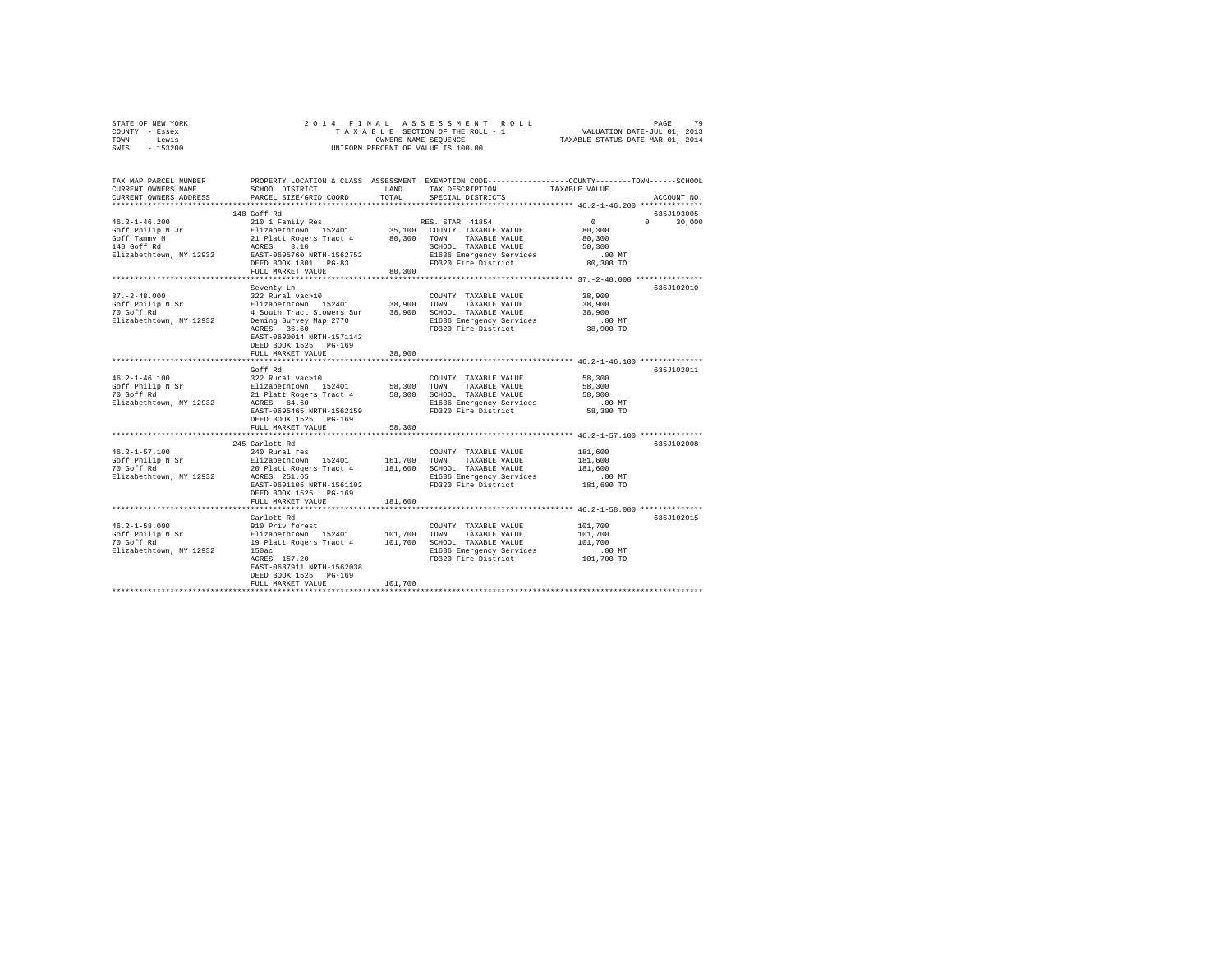| STATE OF NEW YORK |  |  |  | 2014 FINAL ASSESSMENT ROLL         |                                  | PAGE                        | 79 |
|-------------------|--|--|--|------------------------------------|----------------------------------|-----------------------------|----|
| COUNTY - Essex    |  |  |  | TAXABLE SECTION OF THE ROLL - 1    |                                  | VALUATION DATE-JUL 01, 2013 |    |
| TOWN<br>- Lewis   |  |  |  | OWNERS NAME SEOUENCE               | TAXABLE STATUS DATE-MAR 01, 2014 |                             |    |
| $-153200$<br>SWIS |  |  |  | UNIFORM PERCENT OF VALUE IS 100.00 |                                  |                             |    |

| TAX MAP PARCEL NUMBER<br>CURRENT OWNERS NAME<br>CURRENT OWNERS ADDRESS                                                      | SCHOOL DISTRICT<br>PARCEL SIZE/GRID COORD                                                                                                                                                                                                                                                                     | LAND<br>TOTAL              | PROPERTY LOCATION & CLASS ASSESSMENT EXEMPTION CODE----------------COUNTY-------TOWN-----SCHOOL<br>TAX DESCRIPTION<br>SPECIAL DISTRICTS | TAXABLE VALUE                                                   | ACCOUNT NO.                      |
|-----------------------------------------------------------------------------------------------------------------------------|---------------------------------------------------------------------------------------------------------------------------------------------------------------------------------------------------------------------------------------------------------------------------------------------------------------|----------------------------|-----------------------------------------------------------------------------------------------------------------------------------------|-----------------------------------------------------------------|----------------------------------|
|                                                                                                                             |                                                                                                                                                                                                                                                                                                               |                            |                                                                                                                                         |                                                                 |                                  |
| $46.2 - 1 - 46.200$<br>Goff Philip N Jr<br>Goff Tammy M<br>148 Goff Rd<br>Elizabethtown, NY 12932 EAST-0695760 NRTH-1562752 | 148 Goff Rd<br>210 1 Family Res<br>DEED BOOK 1301 PG-83<br>FULL MARKET VALUE                                                                                                                                                                                                                                  | 80,300                     | RES. STAR 41854<br>E1636 Emergency Services<br>FD320 Fire District                                                                      | $\sim$ 0<br>80,300<br>80,300<br>50,300<br>$.00$ MT<br>80,300 TO | 635J193005<br>$\Omega$<br>30,000 |
|                                                                                                                             |                                                                                                                                                                                                                                                                                                               |                            |                                                                                                                                         | ************************ 37.-2-48.000 **************            |                                  |
| $37. - 2 - 48.000$<br>Goff Philip N Sr<br>70 Goff Rd<br>Elizabethtown, NY 12932                                             | Seventy Ln<br>322 Rural vac>10<br>Elizabethtown 152401<br>4 South Tract Stowers Sur<br>Deming Survey Map 2770<br>ACRES 36.60<br>EAST-0690014 NRTH-1571142<br>DEED BOOK 1525 PG-169<br>FULL MARKET VALUE                                                                                                       | 38,900<br>38,900<br>38,900 | COUNTY TAXABLE VALUE<br>TOWN<br>TAXABLE VALUE<br>SCHOOL TAXABLE VALUE<br>E1636 Emergency Services<br>FD320 Fire District                | 38,900<br>38,900<br>38,900<br>.00 MT<br>38,900 TO               | 635J102010                       |
|                                                                                                                             |                                                                                                                                                                                                                                                                                                               |                            | **************************** 46.2-1-46.100 **************                                                                               |                                                                 |                                  |
| $46.2 - 1 - 46.100$<br>Goff Philip N Sr<br>70 Goff Rd<br>Elizabethtown, NY 12932                                            | Goff Rd<br>% COUNTY TAXABLE VALUE (COUNTY TAXABLE VALUE Elizabethtown 152401 58,300 TOWN TAXABLE VALUE<br>21 Platt Rogers Tract 4 58,300 SCHOOL TAXABLE VALUE<br>21 Platt Rogers Tract 4 58,300 SCHOOL TAXABLE VALUE<br>CRES 64.60<br>EAST-0695465 NRTH-1562159<br>DEED BOOK 1525 PG-169<br>FULL MARKET VALUE | 58,300                     | FD320 Fire District                                                                                                                     | 58,300<br>58,300<br>58,300<br>$.00$ MT<br>58,300 TO             | 635J102011                       |
|                                                                                                                             |                                                                                                                                                                                                                                                                                                               |                            | ********************************** 46.2-1-57.100 ***************                                                                        |                                                                 |                                  |
| $46.2 - 1 - 57.100$<br>Goff Philip N Sr<br>70 Goff Rd<br>Elizabethtown, NY 12932                                            | 245 Carlott Rd<br>240 Rural res<br>Elizabethtown 152401<br>20 Platt Rogers Tract 4 181,600 SCHOOL TAXABLE VALUE<br>ACRES 251.65<br>EAST-0691105 NRTH-1561102<br>DEED BOOK 1525 PG-169                                                                                                                         | 161,700 TOWN               | COUNTY TAXABLE VALUE<br>TAXABLE VALUE<br>E1636 Emergency Services<br>FD320 Fire District                                                | 181,600<br>181,600<br>181,600<br>$.00$ MT<br>181,600 TO         | 635J102008                       |
|                                                                                                                             | FULL MARKET VALUE                                                                                                                                                                                                                                                                                             | 181,600                    |                                                                                                                                         |                                                                 |                                  |
| $46.2 - 1 - 58.000$<br>Goff Philip N Sr<br>70 Goff Rd<br>Elizabethtown, NY 12932                                            | Carlott Rd<br>910 Priv forest<br>Elizabethtown 152401<br>19 Platt Rogers Tract 4 101,700 SCHOOL TAXABLE VALUE<br>150ac<br>ACRES 157.20<br>EAST-0687911 NRTH-1562038<br>DEED BOOK 1525 PG-169<br>FULL MARKET VALUE                                                                                             | 101,700                    | COUNTY TAXABLE VALUE<br>101,700 TOWN TAXABLE VALUE<br>E1636 Emergency Services<br>FD320 Fire District                                   | 101,700<br>101,700<br>101,700<br>.00 MT<br>101,700 TO           | 635J102015                       |
|                                                                                                                             |                                                                                                                                                                                                                                                                                                               |                            |                                                                                                                                         |                                                                 |                                  |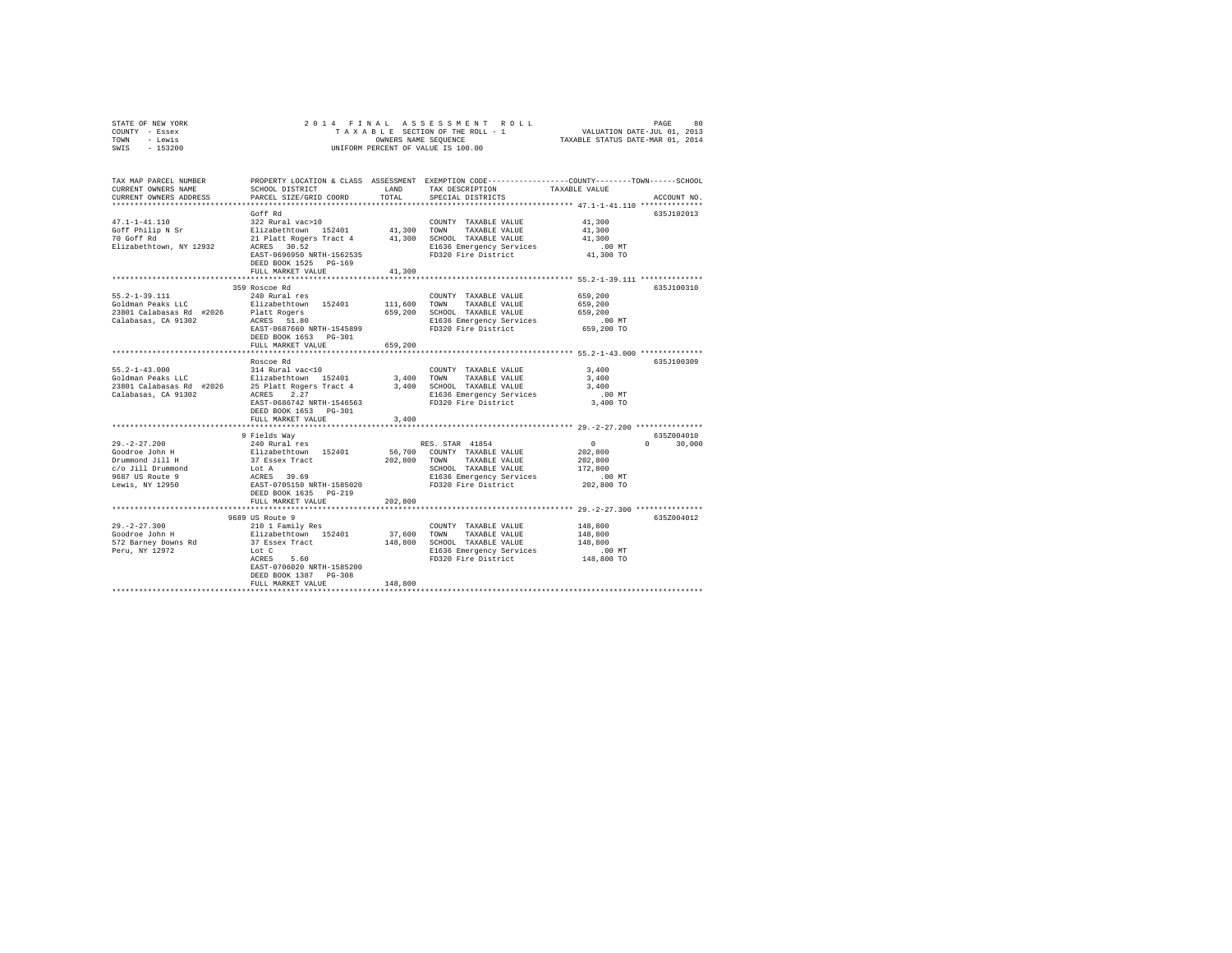| STATE OF NEW YORK | 2014 FINAL ASSESSMENT ROLL         | 80<br>PAGE                       |
|-------------------|------------------------------------|----------------------------------|
| COUNTY - Essex    | TAXABLE SECTION OF THE ROLL - 1    | VALUATION DATE-JUL 01, 2013      |
| TOWN<br>- Lewis   | OWNERS NAME SEOUENCE               | TAXABLE STATUS DATE-MAR 01, 2014 |
| $-153200$<br>SWIS | UNIFORM PERCENT OF VALUE IS 100.00 |                                  |

| TAX MAP PARCEL NUMBER<br>CURRENT OWNERS NAME<br>CURRENT OWNERS ADDRESS                                                                                         | SCHOOL DISTRICT<br>PARCEL SIZE/GRID COORD                  | LAND<br>TOTAL | PROPERTY LOCATION & CLASS ASSESSMENT EXEMPTION CODE---------------COUNTY-------TOWN-----SCHOOL<br>TAX DESCRIPTION<br>SPECIAL DISTRICTS | TAXABLE VALUE          | ACCOUNT NO.        |
|----------------------------------------------------------------------------------------------------------------------------------------------------------------|------------------------------------------------------------|---------------|----------------------------------------------------------------------------------------------------------------------------------------|------------------------|--------------------|
|                                                                                                                                                                |                                                            |               |                                                                                                                                        |                        |                    |
|                                                                                                                                                                | Goff Rd                                                    |               |                                                                                                                                        |                        | 635J102013         |
| $47.1 - 1 - 41.110$                                                                                                                                            | 322 Rural vac>10                                           |               | COUNTY TAXABLE VALUE                                                                                                                   | 41,300                 |                    |
| Goff Philip N Sr                                                                                                                                               | Elizabethtown 152401 41,300 TOWN                           |               | TAXABLE VALUE                                                                                                                          | 41,300                 |                    |
| 70 Goff Rd                                                                                                                                                     | 21 Platt Rogers Tract 4                                    |               | 41,300 SCHOOL TAXABLE VALUE                                                                                                            | 41,300                 |                    |
| Elizabethtown, NY 12932                                                                                                                                        | ACRES 30.52                                                |               | E1636 Emergency Services                                                                                                               | .00 MT                 |                    |
|                                                                                                                                                                | EAST-0696950 NRTH-1562535                                  |               | FD320 Fire District                                                                                                                    | 41,300 TO              |                    |
|                                                                                                                                                                | DEED BOOK 1525 PG-169                                      | 41,300        |                                                                                                                                        |                        |                    |
|                                                                                                                                                                | FULL MARKET VALUE                                          |               |                                                                                                                                        |                        |                    |
|                                                                                                                                                                | 359 Roscoe Rd                                              |               |                                                                                                                                        |                        | 635J100310         |
| $55.2 - 1 - 39.111$                                                                                                                                            | 240 Rural res                                              |               | COUNTY TAXABLE VALUE                                                                                                                   | 659,200                |                    |
|                                                                                                                                                                |                                                            | 111,600       | TOWN<br>TAXABLE VALUE                                                                                                                  | 659,200                |                    |
|                                                                                                                                                                |                                                            | 659,200       | SCHOOL TAXABLE VALUE                                                                                                                   | 659,200                |                    |
| Calabasas, CA 91302                                                                                                                                            | ACRES 51.80                                                |               | E1636 Emergency Services                                                                                                               | .00MT                  |                    |
|                                                                                                                                                                | EAST-0687660 NRTH-1545899                                  |               | FD320 Fire District                                                                                                                    | 659,200 TO             |                    |
|                                                                                                                                                                | DEED BOOK 1653 PG-301                                      |               |                                                                                                                                        |                        |                    |
|                                                                                                                                                                | FULL MARKET VALUE                                          | 659,200       |                                                                                                                                        |                        |                    |
|                                                                                                                                                                |                                                            |               |                                                                                                                                        |                        |                    |
|                                                                                                                                                                | Roscoe Rd                                                  |               |                                                                                                                                        |                        | 635J100309         |
|                                                                                                                                                                |                                                            |               | COUNTY TAXABLE VALUE                                                                                                                   | 3,400                  |                    |
|                                                                                                                                                                |                                                            |               | 3,400 TOWN<br>TAXABLE VALUE                                                                                                            | 3,400                  |                    |
| 55.2-1-43.000 314 Rural vac<10<br>Goldman Peaks LLC Blizabethtown 152401<br>23801 Calabasas Rd #2026 25 Platt Rogers Tract 4<br>Calabasas, CA 91302 ACRES 2.27 |                                                            |               | 3,400 SCHOOL TAXABLE VALUE                                                                                                             | 3,400                  |                    |
|                                                                                                                                                                |                                                            |               | E1636 Emergency Services                                                                                                               | .00 MT                 |                    |
|                                                                                                                                                                | EAST-0686742 NRTH-1546563                                  |               | FD320 Fire District                                                                                                                    | 3,400 TO               |                    |
|                                                                                                                                                                | DEED BOOK 1653 PG-301                                      |               |                                                                                                                                        |                        |                    |
|                                                                                                                                                                | FULL MARKET VALUE                                          | 3,400         |                                                                                                                                        |                        |                    |
|                                                                                                                                                                |                                                            |               |                                                                                                                                        |                        |                    |
|                                                                                                                                                                | 9 Fields Way                                               |               |                                                                                                                                        |                        | 635Z004010         |
| $29. -2 - 27.200$                                                                                                                                              | 240 Rural res                                              |               | RES. STAR 41854                                                                                                                        | $\sim$ 0               | $\Omega$<br>30,000 |
| Goodroe John H                                                                                                                                                 | Elizabethtown 152401                                       |               | 56,700 COUNTY TAXABLE VALUE                                                                                                            | 202,800                |                    |
| Drummond Jill H<br>c/o Jill Drummond                                                                                                                           | 37 Essex Tract                                             | 202.800 TOWN  | TAXABLE VALUE                                                                                                                          | 202,800                |                    |
| 9687 US Route 9                                                                                                                                                | Lot A<br>ACRES 39.69                                       |               | SCHOOL TAXABLE VALUE<br>E1636 Emergency Services                                                                                       | 172,800                |                    |
| Lewis, NY 12950                                                                                                                                                | EAST-0705150 NRTH-1585020                                  |               | FD320 Fire District                                                                                                                    | $.00$ MT<br>202,800 TO |                    |
|                                                                                                                                                                | DEED BOOK 1635 PG-219                                      |               |                                                                                                                                        |                        |                    |
|                                                                                                                                                                | FULL MARKET VALUE                                          | 202,800       |                                                                                                                                        |                        |                    |
|                                                                                                                                                                |                                                            |               |                                                                                                                                        |                        |                    |
|                                                                                                                                                                | 9689 US Route 9                                            |               |                                                                                                                                        |                        | 635Z004012         |
| $29. - 2 - 27.300$                                                                                                                                             |                                                            |               | COUNTY TAXABLE VALUE                                                                                                                   | 148,800                |                    |
| Goodroe John H                                                                                                                                                 |                                                            | 37,600 TOWN   | TAXABLE VALUE                                                                                                                          | 148,800                |                    |
| 572 Barney Downs Rd                                                                                                                                            | 210 1 Family Res<br>Elizabethtown 152401<br>37 Essex Tract |               | 148,800 SCHOOL TAXABLE VALUE                                                                                                           | 148,800                |                    |
| Peru, NY 12972                                                                                                                                                 | Lot C                                                      |               | E1636 Emergency Services                                                                                                               | $.00$ MT               |                    |
|                                                                                                                                                                | 5.60<br>ACRES                                              |               | FD320 Fire District                                                                                                                    | 148,800 TO             |                    |
|                                                                                                                                                                | EAST-0706020 NRTH-1585200                                  |               |                                                                                                                                        |                        |                    |
|                                                                                                                                                                | DEED BOOK 1387 PG-308                                      |               |                                                                                                                                        |                        |                    |
|                                                                                                                                                                | FULL MARKET VALUE                                          | 148,800       |                                                                                                                                        |                        |                    |
|                                                                                                                                                                |                                                            |               |                                                                                                                                        |                        |                    |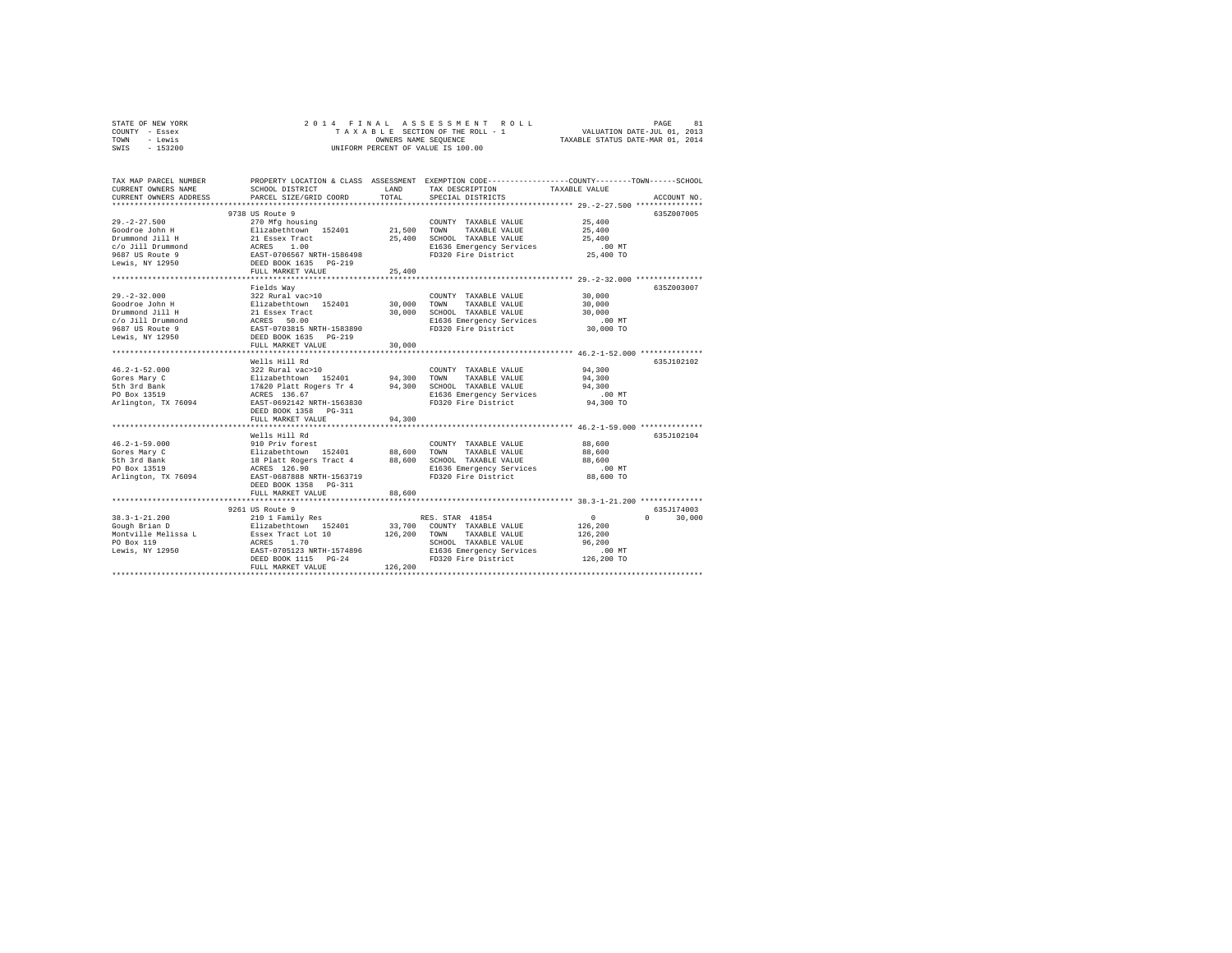| STATE OF NEW YORK | 2014 FINAL ASSESSMENT ROLL         | 81<br>PAGE                       |
|-------------------|------------------------------------|----------------------------------|
| COUNTY - Essex    | TAXABLE SECTION OF THE ROLL - 1    | VALUATION DATE-JUL 01, 2013      |
| - Lewis<br>TOWN   | OWNERS NAME SEOUENCE               | TAXABLE STATUS DATE-MAR 01, 2014 |
| $-153200$<br>SWIS | UNIFORM PERCENT OF VALUE IS 100.00 |                                  |

| TAX MAP PARCEL NUMBER<br>CURRENT OWNERS NAME<br>CURRENT OWNERS ADDRESS                                                                                                                                                                            | SCHOOL DISTRICT<br>PARCEL SIZE/GRID COORD                                                                                                                                                              | LAND<br>TOTAL | PROPERTY LOCATION & CLASS ASSESSMENT EXEMPTION CODE----------------COUNTY-------TOWN-----SCHOOL<br>TAX DESCRIPTION<br>SPECIAL DISTRICTS | TAXABLE VALUE      | ACCOUNT NO |
|---------------------------------------------------------------------------------------------------------------------------------------------------------------------------------------------------------------------------------------------------|--------------------------------------------------------------------------------------------------------------------------------------------------------------------------------------------------------|---------------|-----------------------------------------------------------------------------------------------------------------------------------------|--------------------|------------|
|                                                                                                                                                                                                                                                   | ****************************                                                                                                                                                                           |               |                                                                                                                                         |                    |            |
|                                                                                                                                                                                                                                                   | 9738 US Route 9                                                                                                                                                                                        |               |                                                                                                                                         |                    | 635Z007005 |
| $29. -2 - 27.500$                                                                                                                                                                                                                                 | 270 Mfg housing                                                                                                                                                                                        |               | COUNTY TAXABLE VALUE                                                                                                                    | 25,400             |            |
|                                                                                                                                                                                                                                                   |                                                                                                                                                                                                        |               | TAXABLE VALUE                                                                                                                           | 25,400             |            |
|                                                                                                                                                                                                                                                   |                                                                                                                                                                                                        |               | 25,400 SCHOOL TAXABLE VALUE                                                                                                             | 25,400             |            |
|                                                                                                                                                                                                                                                   |                                                                                                                                                                                                        |               | SCHOOL TAXABLE VALUE<br>E1636 Emergency Services                                                                                        | $.00$ MT           |            |
|                                                                                                                                                                                                                                                   |                                                                                                                                                                                                        |               | FD320 Fire District                                                                                                                     | 25,400 TO          |            |
| 2012 - 2010<br>2021 - 2010 - 2011 - 2012 - 2014<br>21 - 21 - 22 - 22 - 23 - 24 - 25,400<br>25,400<br>2637 - 23 - 24 - 25,400<br>2637 - 25 - 25,400<br>2637 - 21 - 21 - 21 - 21 - 21<br>2637 - 21 - 21 - 21<br>2637 - 21 - 21<br>2637 - 21<br>2637 |                                                                                                                                                                                                        |               |                                                                                                                                         |                    |            |
|                                                                                                                                                                                                                                                   | FULL MARKET VALUE                                                                                                                                                                                      | 25,400        |                                                                                                                                         |                    |            |
|                                                                                                                                                                                                                                                   |                                                                                                                                                                                                        |               |                                                                                                                                         |                    |            |
|                                                                                                                                                                                                                                                   | Fields Wav                                                                                                                                                                                             |               |                                                                                                                                         |                    | 635Z003007 |
| $29. -2 - 32.000$                                                                                                                                                                                                                                 | 322 Rural vac>10                                                                                                                                                                                       |               | COUNTY TAXABLE VALUE                                                                                                                    | 30,000             |            |
| Goodroe John H                                                                                                                                                                                                                                    |                                                                                                                                                                                                        |               | 30,000 TOWN TAXABLE VALUE                                                                                                               | 30,000             |            |
| Drummond Jill H                                                                                                                                                                                                                                   |                                                                                                                                                                                                        |               | 30,000 SCHOOL TAXABLE VALUE                                                                                                             | 30,000             |            |
| $c/o$ Jill Drummond                                                                                                                                                                                                                               |                                                                                                                                                                                                        |               | E1636 Emergency Services                                                                                                                | $.00$ MT           |            |
| 9687 US Route 9                                                                                                                                                                                                                                   | Elizabethtown 152401<br>21 Essex Tract<br>ACRES 50.00<br>EAST-0703815 NRTH-1583890                                                                                                                     |               | FD320 Fire District                                                                                                                     | $30,000$ TO        |            |
| Lewis, NY 12950                                                                                                                                                                                                                                   | DEED BOOK 1635 PG-219                                                                                                                                                                                  |               |                                                                                                                                         |                    |            |
|                                                                                                                                                                                                                                                   | FULL MARKET VALUE                                                                                                                                                                                      | 30,000        |                                                                                                                                         |                    |            |
|                                                                                                                                                                                                                                                   |                                                                                                                                                                                                        |               |                                                                                                                                         |                    |            |
|                                                                                                                                                                                                                                                   | Wells Hill Rd                                                                                                                                                                                          |               |                                                                                                                                         |                    | 635J102102 |
| $46.2 - 1 - 52.000$                                                                                                                                                                                                                               |                                                                                                                                                                                                        |               |                                                                                                                                         |                    |            |
| Gores Mary C                                                                                                                                                                                                                                      |                                                                                                                                                                                                        |               |                                                                                                                                         |                    |            |
| 5th 3rd Bank                                                                                                                                                                                                                                      |                                                                                                                                                                                                        |               |                                                                                                                                         |                    |            |
| PO Box 13519                                                                                                                                                                                                                                      |                                                                                                                                                                                                        |               |                                                                                                                                         | $.00$ MT           |            |
| Arlington, TX 76094                                                                                                                                                                                                                               | EAST-0692142 NRTH-1563830                                                                                                                                                                              |               | FD320 Fire District                                                                                                                     | 94,300 TO          |            |
|                                                                                                                                                                                                                                                   | DEED BOOK 1358 PG-311                                                                                                                                                                                  |               |                                                                                                                                         |                    |            |
|                                                                                                                                                                                                                                                   | FULL MARKET VALUE                                                                                                                                                                                      | 94,300        |                                                                                                                                         |                    |            |
|                                                                                                                                                                                                                                                   |                                                                                                                                                                                                        |               |                                                                                                                                         |                    |            |
|                                                                                                                                                                                                                                                   | Wells Hill Rd<br>----- ---- --- --<br>910 Priv forest<br>Elizabethtown 152401 88,600 TOWN TAXABLE VALUE<br>18 Platt Rogers Tract 4 88,600 SCHOOL TAXABLE VALUE<br>ACRES 126.90 SLEG36 Emergency Servic |               |                                                                                                                                         |                    | 635J102104 |
| $46.2 - 1 - 59.000$                                                                                                                                                                                                                               |                                                                                                                                                                                                        |               | COUNTY TAXABLE VALUE                                                                                                                    | 88,600             |            |
| Gores Mary C                                                                                                                                                                                                                                      |                                                                                                                                                                                                        |               | TAXABLE VALUE                                                                                                                           | 88,600             |            |
| 5th 3rd Bank                                                                                                                                                                                                                                      |                                                                                                                                                                                                        |               |                                                                                                                                         | 88,600             |            |
| PO Box 13519                                                                                                                                                                                                                                      |                                                                                                                                                                                                        |               |                                                                                                                                         |                    |            |
| Arlington, TX 76094                                                                                                                                                                                                                               | EAST-0687888 NRTH-1563719                                                                                                                                                                              |               | FD320 Fire District                                                                                                                     | 88,600 TO          |            |
|                                                                                                                                                                                                                                                   | DEED BOOK 1358 PG-311                                                                                                                                                                                  |               |                                                                                                                                         |                    |            |
|                                                                                                                                                                                                                                                   | FULL MARKET VALUE                                                                                                                                                                                      | 88,600        |                                                                                                                                         |                    |            |
|                                                                                                                                                                                                                                                   | 9261 US Route 9                                                                                                                                                                                        |               |                                                                                                                                         |                    | 635J174003 |
| $38.3 - 1 - 21.200$                                                                                                                                                                                                                               |                                                                                                                                                                                                        |               |                                                                                                                                         |                    | $\Omega$   |
|                                                                                                                                                                                                                                                   |                                                                                                                                                                                                        |               | RES. STAR 41854<br>33.700 COUNTY TAXABLE VALUE                                                                                          | $\mathbf{0}$       | 30,000     |
| Gough Brian D<br>Montville Melissa L                                                                                                                                                                                                              | 210 1 Family Res<br>Elizabethtown 152401<br>Essex Tract Lot 10<br>ACRES 1.70<br>EAST-0705123 NRTH-1574896                                                                                              |               |                                                                                                                                         | 126,200            |            |
|                                                                                                                                                                                                                                                   |                                                                                                                                                                                                        | 126,200 TOWN  | TAXABLE VALUE                                                                                                                           | 126,200            |            |
| PO Box 119<br>Lewis, NY 12950                                                                                                                                                                                                                     |                                                                                                                                                                                                        |               | SCHOOL TAXABLE VALUE<br>E1636 Emergency Services                                                                                        | 96,200<br>$.00$ MT |            |
|                                                                                                                                                                                                                                                   |                                                                                                                                                                                                        |               | FD320 Fire District 126,200 TO                                                                                                          |                    |            |
|                                                                                                                                                                                                                                                   | DEED BOOK 1115 PG-24<br>FULL MARKET VALUE                                                                                                                                                              | 126,200       |                                                                                                                                         |                    |            |
|                                                                                                                                                                                                                                                   |                                                                                                                                                                                                        |               | ******************************                                                                                                          |                    |            |
|                                                                                                                                                                                                                                                   |                                                                                                                                                                                                        |               |                                                                                                                                         |                    |            |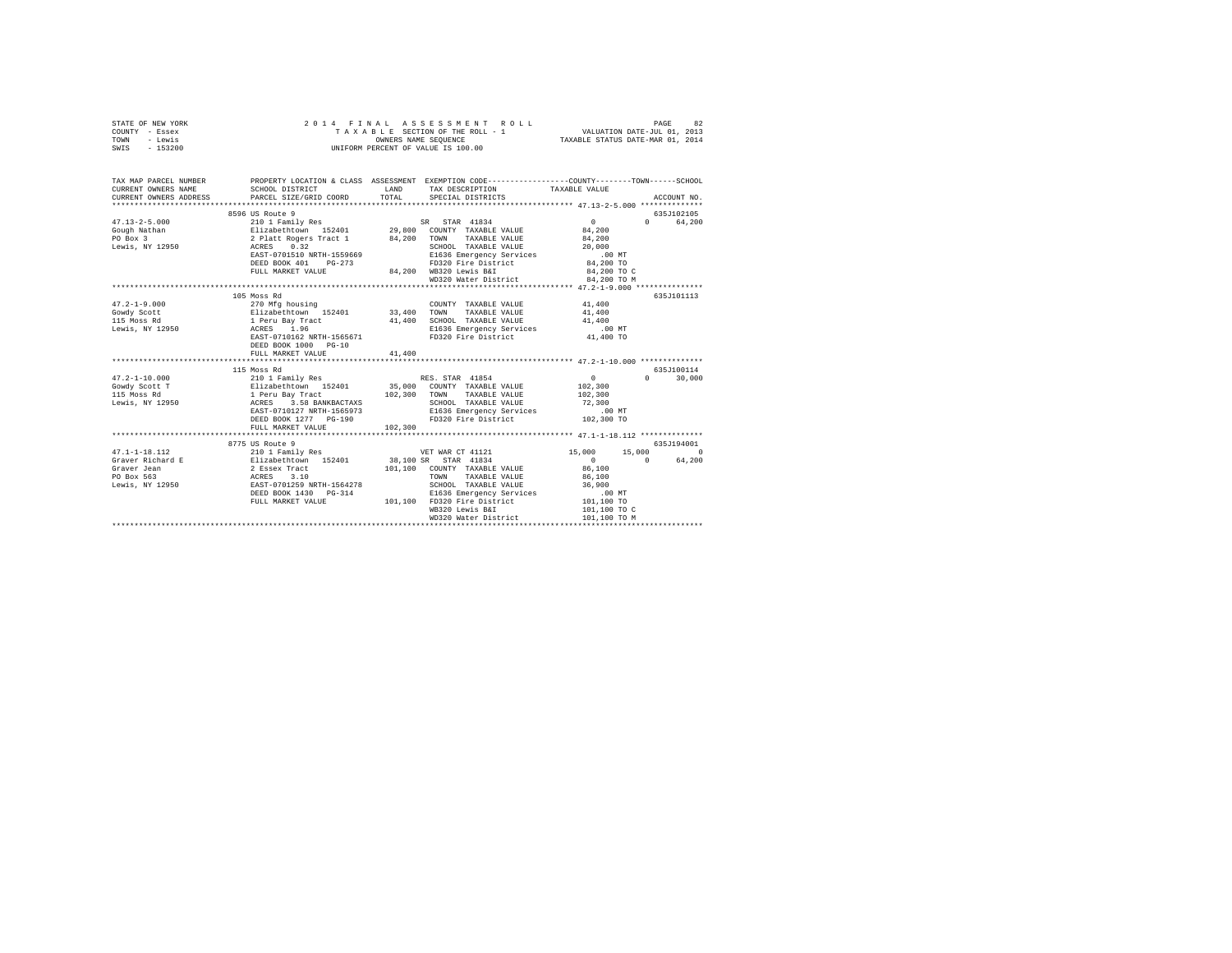| STATE OF NEW YORK<br>COUNTY - Essex<br>TOWN<br>- Lewis<br>SWIS - 153200                                                                                                                                                                                                                                                                                                                                | 2014 FINAL                                                                                                                                                                                                                              |                            | ASSESSMENT ROLL<br>T A X A B L E SECTION OF THE ROLL - 1<br>OWNERS NAME SEQUENCE<br>UNIFORM PERCENT OF VALUE IS 100.00                                                             | VALUATION DATE-JUL 01, 2013<br>TAXABLE STATUS DATE-MAR 01, 2014                                               | PAGE<br>82                                |
|--------------------------------------------------------------------------------------------------------------------------------------------------------------------------------------------------------------------------------------------------------------------------------------------------------------------------------------------------------------------------------------------------------|-----------------------------------------------------------------------------------------------------------------------------------------------------------------------------------------------------------------------------------------|----------------------------|------------------------------------------------------------------------------------------------------------------------------------------------------------------------------------|---------------------------------------------------------------------------------------------------------------|-------------------------------------------|
| TAX MAP PARCEL NUMBER<br>CURRENT OWNERS NAME<br>CURRENT OWNERS ADDRESS                                                                                                                                                                                                                                                                                                                                 | PROPERTY LOCATION & CLASS ASSESSMENT EXEMPTION CODE---------------COUNTY-------TOWN-----SCHOOL<br>SCHOOL DISTRICT<br>PARCEL SIZE/GRID COORD                                                                                             | LAND <b>LAND</b><br>TOTAL  | TAX DESCRIPTION<br>SPECIAL DISTRICTS                                                                                                                                               | TAXABLE VALUE                                                                                                 | ACCOUNT NO.                               |
|                                                                                                                                                                                                                                                                                                                                                                                                        |                                                                                                                                                                                                                                         |                            |                                                                                                                                                                                    |                                                                                                               |                                           |
|                                                                                                                                                                                                                                                                                                                                                                                                        | 8596 US Route 9<br>DEED BOOK 401 PG-273<br>FULL MARKET VALUE                                                                                                                                                                            |                            | FD320 Fire District<br>84,200 WB320 Lewis B&I                                                                                                                                      | $\sim$ 0<br>84,200<br>84,200<br>20,000<br>.00 MT<br>84,200 TO<br>84,200 TO C                                  | 635J102105<br>0 64,200                    |
|                                                                                                                                                                                                                                                                                                                                                                                                        |                                                                                                                                                                                                                                         |                            | WD320 Water District                                                                                                                                                               | 84,200 TO M                                                                                                   |                                           |
| $47.2 - 1 - 9.000$<br>Gowdy Scott<br>115 Moss Rd<br>Lewis, NY 12950<br>$47.2 - 1 - 10.000$<br>Gowdy Scott T<br>115 Moss Rd<br>Lewis, NY 12950                                                                                                                                                                                                                                                          | 105 Moss Rd<br>270 Mfg housing<br>Elizabethtown 152401<br>1 Peru Bay Tract<br>ACRES 1.96<br>EAST-0710162 NRTH-1565671<br>DEED BOOK 1000 PG-10<br>FULL MARKET VALUE<br>115 Moss Rd<br>EAST-0710127 NRTH-1565973<br>DEED BOOK 1277 PG-190 | 33,400<br>41,400<br>41,400 | COUNTY TAXABLE VALUE 41,400<br>TAXABLE VALUE<br>TOWN<br>SCHOOL TAXABLE VALUE<br>E1636 Emergency Services<br>FD320 Fire District<br>E1636 Emergency Services<br>FD320 Fire District | 41,400<br>41,400<br>.00 MT<br>41.400 TO<br>$\sim$ 0<br>102,300<br>102,300<br>72,300<br>$.00$ MT<br>102,300 TO | 635J101113<br>635J100114<br>$0 \t 30,000$ |
|                                                                                                                                                                                                                                                                                                                                                                                                        | FULL MARKET VALUE                                                                                                                                                                                                                       | 102,300                    |                                                                                                                                                                                    |                                                                                                               |                                           |
|                                                                                                                                                                                                                                                                                                                                                                                                        | 8775 US Route 9                                                                                                                                                                                                                         |                            |                                                                                                                                                                                    |                                                                                                               | 635.T194001                               |
| $47.1 - 1 - 18.112$<br>$\begin{tabular}{l c c c c c} \hline \texttt{4-1-1-0} & \texttt{4-1} & \texttt{4-1} & \texttt{4-1} & \texttt{4-1} & \texttt{4-1} & \texttt{4-1} & \texttt{4-1} & \texttt{4-1} & \texttt{4-1} & \texttt{4-1} & \texttt{4-1} & \texttt{4-1} & \texttt{4-1} & \texttt{4-1} & \texttt{4-1} & \texttt{4-1} & \texttt{4-1} & \texttt{4-1} & \texttt{4-1} & \texttt{4-1} & \texttt{4-$ | 210 1 Family Res 7 1 2010 1 210 1 210 1 210 1 210 1 210 1 210 1 210 1 210 1 210 1 210 1 210 1 210 1 210 1 210 1<br>DEED BOOK 1430 PG-314 E1636 Emergency Services<br>FULL MARKET VALUE 101,100 FD320 Fire District                      |                            | 101,100 COUNTY TAXABLE VALUE<br>TAXABLE VALUE<br>SCHOOL TAXABLE VALUE<br>WB320 Lewis B&I<br>WD320 Water District                                                                   | $\sim$ 0<br>86,100<br>86,100<br>36,900<br>00 MT.<br>101,100 TO<br>101,100 TO C<br>101,100 TO M                | 0 64,200                                  |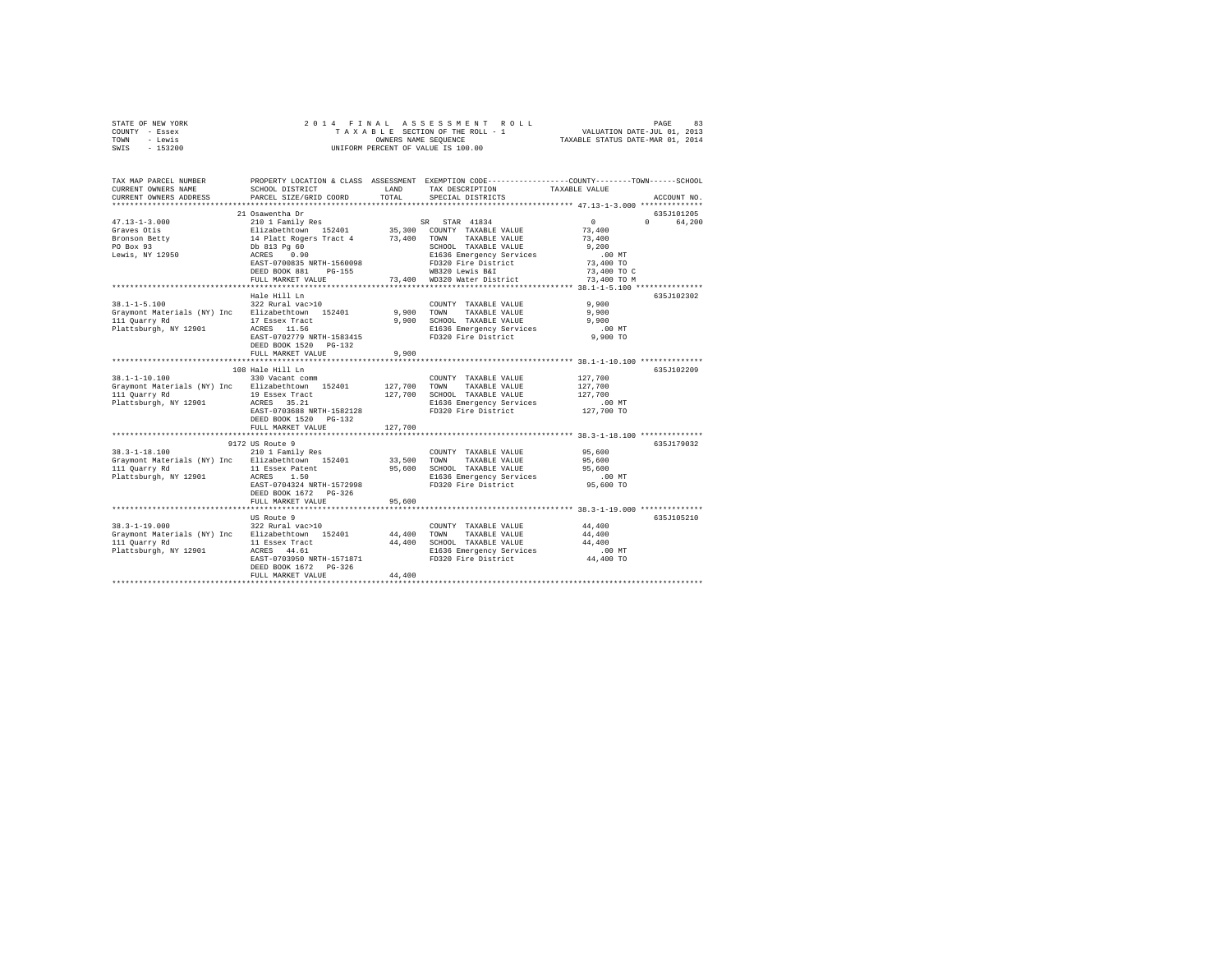| STATE OF NEW YORK<br>COUNTY - Essex                               | 2014 FINAL                                 |                                  | ASSESSMENT ROLL<br>TAXABLE SECTION OF THE ROLL - 1<br>OWNERS NAME SEQUENCE                                        | VALUATION DATE-JUL 01, 2013 | PAGE<br>83  |
|-------------------------------------------------------------------|--------------------------------------------|----------------------------------|-------------------------------------------------------------------------------------------------------------------|-----------------------------|-------------|
| - Lewis<br>TOWN                                                   |                                            | TAXABLE STATUS DATE-MAR 01, 2014 |                                                                                                                   |                             |             |
| SWIS<br>$-153200$                                                 |                                            |                                  | UNIFORM PERCENT OF VALUE IS 100.00                                                                                |                             |             |
| TAX MAP PARCEL NUMBER<br>CURRENT OWNERS NAME                      | SCHOOL DISTRICT                            | LAND                             | PROPERTY LOCATION & CLASS ASSESSMENT EXEMPTION CODE---------------COUNTY-------TOWN-----SCHOOL<br>TAX DESCRIPTION | TAXABLE VALUE               |             |
| CURRENT OWNERS ADDRESS                                            | PARCEL SIZE/GRID COORD                     | TOTAL                            | SPECIAL DISTRICTS                                                                                                 |                             | ACCOUNT NO. |
|                                                                   |                                            |                                  |                                                                                                                   |                             |             |
|                                                                   | 21 Osawentha Dr                            |                                  |                                                                                                                   |                             | 635J101205  |
| $47.13 - 1 - 3.000$                                               | 210 1 Family Res                           |                                  | SR STAR 41834                                                                                                     | $\sim$<br>$\Omega$          | 64,200      |
| Graves Otis<br>Bronson Betty                                      | Elizabethtown 152401                       | 73,400 TOWN                      | 35,300 COUNTY TAXABLE VALUE<br>TAXABLE VALUE                                                                      | 73,400<br>73,400            |             |
| PO Box 93                                                         | 14 Platt Rogers Tract 4                    |                                  | SCHOOL TAXABLE VALUE                                                                                              | 9.200                       |             |
| Lewis, NY 12950                                                   | Db 813 Pg 60<br>ACRES 0.90                 |                                  | E1636 Emergency Services                                                                                          | $.00$ MT                    |             |
|                                                                   | EAST-0700835 NRTH-1560098                  |                                  | FD320 Fire District                                                                                               | 73,400 TO                   |             |
|                                                                   | DEED BOOK 881 PG-155                       |                                  | WB320 Lewis B&I                                                                                                   | 73,400 TO C                 |             |
|                                                                   | FULL MARKET VALUE                          |                                  | 73,400 WD320 Water District                                                                                       | 73,400 TO M                 |             |
|                                                                   |                                            |                                  |                                                                                                                   |                             |             |
|                                                                   | Hale Hill Ln                               |                                  |                                                                                                                   |                             | 635J102302  |
| $38.1 - 1 - 5.100$                                                | 322 Rural vac>10                           |                                  | COUNTY TAXABLE VALUE                                                                                              | 9,900                       |             |
| Graymont Materials (NY) Inc Elizabethtown 152401                  |                                            | 9,900                            | TOWN<br>TAXABLE VALUE                                                                                             | 9,900                       |             |
| 111 Quarry Rd                                                     | 17 Essex Tract                             | 9,900                            | SCHOOL TAXABLE VALUE                                                                                              | 9,900                       |             |
| Plattsburgh, NY 12901                                             | ACRES 11.56                                |                                  | E1636 Emergency Services                                                                                          | $.00$ MT                    |             |
|                                                                   | EAST-0702779 NRTH-1583415                  |                                  | FD320 Fire District                                                                                               | 9,900 TO                    |             |
|                                                                   | DEED BOOK 1520 PG-132<br>FULL MARKET VALUE | 9,900                            |                                                                                                                   |                             |             |
|                                                                   |                                            |                                  |                                                                                                                   |                             |             |
|                                                                   | 108 Hale Hill Ln                           |                                  |                                                                                                                   |                             | 635J102209  |
| $38.1 - 1 - 10.100$                                               | 330 Vacant comm                            |                                  | COUNTY TAXABLE VALUE                                                                                              | 127,700                     |             |
| Graymont Materials (NY) Inc Elizabethtown 152401                  |                                            | 127,700                          | TAXABLE VALUE<br>TOWN                                                                                             | 127,700                     |             |
| 111 Quarry Rd                                                     | 19 Essex Tract                             | 127,700                          | SCHOOL TAXABLE VALUE                                                                                              | 127,700                     |             |
| Plattsburgh, NY 12901                                             | ACRES 35.21                                |                                  | E1636 Emergency Services                                                                                          | $.00$ MT                    |             |
|                                                                   | EAST-0703688 NRTH-1582128                  |                                  | FD320 Fire District                                                                                               | 127,700 TO                  |             |
|                                                                   | DEED BOOK 1520 PG-132                      |                                  |                                                                                                                   |                             |             |
|                                                                   | FULL MARKET VALUE                          | 127,700                          |                                                                                                                   |                             |             |
|                                                                   | 9172 US Route 9                            |                                  |                                                                                                                   |                             | 635J179032  |
| $38.3 - 1 - 18.100$                                               | 210 1 Family Res                           |                                  | COUNTY TAXABLE VALUE                                                                                              | 95,600                      |             |
| Graymont Materials (NY) Inc Elizabethtown 152401                  |                                            | 33,500                           | TOWN<br>TAXABLE VALUE                                                                                             | 95,600                      |             |
| 111 Quarry Rd                                                     | 11 Essex Patent                            |                                  | 95,600 SCHOOL TAXABLE VALUE                                                                                       | 95,600                      |             |
| Plattsburgh, NY 12901                                             | ACRES 1.50                                 |                                  | E1636 Emergency Services                                                                                          | $.00$ MT                    |             |
|                                                                   | EAST-0704324 NRTH-1572998                  |                                  | FD320 Fire District                                                                                               | 95,600 TO                   |             |
|                                                                   | DEED BOOK 1672 PG-326                      |                                  |                                                                                                                   |                             |             |
|                                                                   | FULL MARKET VALUE                          | 95,600                           |                                                                                                                   |                             |             |
|                                                                   |                                            |                                  |                                                                                                                   |                             |             |
|                                                                   | US Route 9                                 |                                  |                                                                                                                   |                             | 635J105210  |
| $38.3 - 1 - 19.000$                                               | 322 Rural vac>10                           |                                  | COUNTY TAXABLE VALUE                                                                                              | 44,400                      |             |
| Graymont Materials (NY) Inc Elizabethtown 152401<br>111 Quarry Rd | 11 Essex Tract                             | 44,400<br>44,400                 | TOWN<br>TAXABLE VALUE<br>SCHOOL TAXABLE VALUE                                                                     | 44,400<br>44,400            |             |
| Plattsburgh, NY 12901                                             | ACRES 44.61                                |                                  | E1636 Emergency Services                                                                                          | $.00$ MT                    |             |
|                                                                   | EAST-0703950 NRTH-1571871                  |                                  | FD320 Fire District                                                                                               | 44,400 TO                   |             |
|                                                                   | DEED BOOK 1672 PG-326                      |                                  |                                                                                                                   |                             |             |
|                                                                   | FULL MARKET VALUE                          | 44,400                           |                                                                                                                   |                             |             |
|                                                                   |                                            |                                  |                                                                                                                   |                             |             |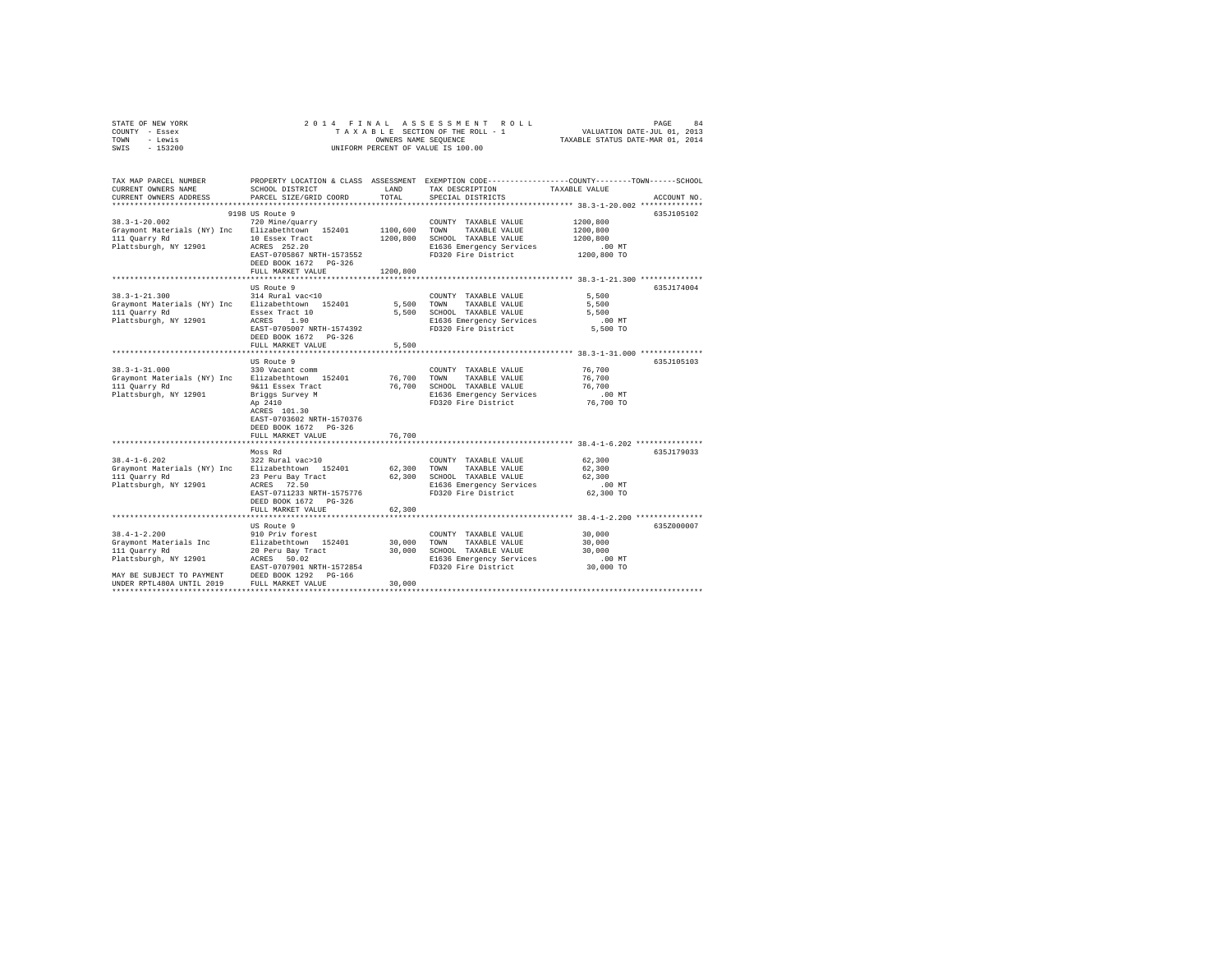| STATE OF NEW YORK<br>COUNTY - Essex<br>TOWN<br>- Lewis<br>SWIS<br>$-153200$                                                | 2014 FINAL<br>TAXABLE SECTION OF THE ROLL - 1<br>UNIFORM PERCENT OF VALUE IS 100.00                                                                   | PAGE 94<br>VALUATION DATE-JUL 01, 2013<br>TAXABLE STATUS DATE-MAR 01, 2014 |                                                                                                                                   |                                                                                                                                                      |
|----------------------------------------------------------------------------------------------------------------------------|-------------------------------------------------------------------------------------------------------------------------------------------------------|----------------------------------------------------------------------------|-----------------------------------------------------------------------------------------------------------------------------------|------------------------------------------------------------------------------------------------------------------------------------------------------|
| CURRENT OWNERS NAME<br>CURRENT OWNERS ADDRESS                                                                              | SCHOOL DISTRICT<br>PARCEL SIZE/GRID COORD                                                                                                             | LAND<br>TOTAL                                                              | TAX DESCRIPTION<br>SPECIAL DISTRICTS                                                                                              | TAX MAP PARCEL NUMBER PROPERTY LOCATION & CLASS ASSESSMENT EXEMPTION CODE--------------COUNTY-------TOWN------SCHOOL<br>TAXABLE VALUE<br>ACCOUNT NO. |
|                                                                                                                            |                                                                                                                                                       |                                                                            |                                                                                                                                   |                                                                                                                                                      |
| $38.3 - 1 - 20.002$<br>Graymont Materials (NY) Inc Elizabethtown 152401 1100,600<br>111 Quarry Rd<br>Plattsburgh, NY 12901 | 9198 US Route 9<br>720 Mine/quarry<br>10 Essex Tract<br>ACRES 252.20<br>EAST-0705867 NRTH-1573552<br>DEED BOOK 1672    PG-326<br>FULL MARKET VALUE    | 1200,800                                                                   | COUNTY TAXABLE VALUE<br>TAXABLE VALUE<br>TOWN<br>1200,800 SCHOOL TAXABLE VALUE<br>E1636 Emergency Services<br>FD320 Fire District | 635J105102<br>1200,800<br>1200,800<br>1200,800<br>$.00$ MT<br>1200,800 TO                                                                            |
|                                                                                                                            |                                                                                                                                                       |                                                                            |                                                                                                                                   |                                                                                                                                                      |
| $38.3 - 1 - 21.300$<br>Graymont Materials (NY) Inc Elizabethtown 152401<br>111 Quarry Rd<br>Plattsburgh, NY 12901          | US Route 9<br>314 Rural vac<10<br>Essex Tract 10<br>ACRES 1.90<br>EAST-0705007 NRTH-1574392<br>DEED BOOK 1672 PG-326                                  | 5,500 TOWN                                                                 | COUNTY TAXABLE VALUE<br>TAXABLE VALUE<br>5,500 SCHOOL TAXABLE VALUE<br>E1636 Emergency Services<br>FD320 Fire District            | 635J174004<br>5,500<br>5,500<br>5,500<br>$.00$ MT<br>5,500 TO                                                                                        |
|                                                                                                                            | FULL MARKET VALUE                                                                                                                                     | 5,500                                                                      |                                                                                                                                   | ******************************** 38.3-1-31.000 **************                                                                                        |
| $38.3 - 1 - 31.000$<br>Graymont Materials (NY) Inc Elizabethtown 152401<br>111 Quarry Rd<br>Plattsburgh, NY 12901          | US Route 9<br>330 Vacant comm<br>9&11 Essex Tract<br>Briggs Survey M<br>Ap 2410<br>ACRES 101.30<br>EAST-0703602 NRTH-1570376<br>DEED BOOK 1672 PG-326 | 76,700<br>76,700                                                           | COUNTY TAXABLE VALUE<br>TAXABLE VALUE<br>TOWN<br>SCHOOL TAXABLE VALUE<br>E1636 Emergency Services<br>FD320 Fire District          | 635J105103<br>76,700<br>76,700<br>76,700<br>$.00$ MT<br>76,700 TO                                                                                    |
|                                                                                                                            | FULL MARKET VALUE                                                                                                                                     | 76,700                                                                     |                                                                                                                                   |                                                                                                                                                      |
| $38.4 - 1 - 6.202$<br>Graymont Materials (NY) Inc Elizabethtown 152401<br>111 Quarry Rd<br>Plattsburgh, NY 12901           | Moss Rd<br>322 Rural vac>10<br>23 Peru Bay Tract<br>ACRES 72.50<br>EAST-0711233 NRTH-1575776<br>DEED BOOK 1672 PG-326<br>FULL MARKET VALUE            | 62,300<br>62,300<br>62,300                                                 | COUNTY TAXABLE VALUE<br>TAXABLE VALUE<br>TOWN<br>SCHOOL TAXABLE VALUE<br>E1636 Emergency Services<br>FD320 Fire District          | 635J179033<br>62,300<br>62,300<br>62,300<br>$.00$ MT<br>62,300 TO                                                                                    |
|                                                                                                                            |                                                                                                                                                       |                                                                            |                                                                                                                                   |                                                                                                                                                      |
| $38.4 - 1 - 2.200$<br>Graymont Materials Inc<br>111 Quarry Rd<br>Plattsburgh, NY 12901                                     | US Route 9<br>910 Priv forest<br>Elizabethtown 152401<br>20 Peru Bay Tract<br>ACRES 50.02<br>EAST-0707901 NRTH-1572854                                | 30,000<br>30,000                                                           | COUNTY TAXABLE VALUE<br>TOWN<br>TAXABLE VALUE<br>30,000 SCHOOL TAXABLE VALUE<br>E1636 Emergency Services<br>FD320 Fire District   | 635Z000007<br>30,000<br>30,000<br>30,000<br>$.00$ MT<br>30,000 TO                                                                                    |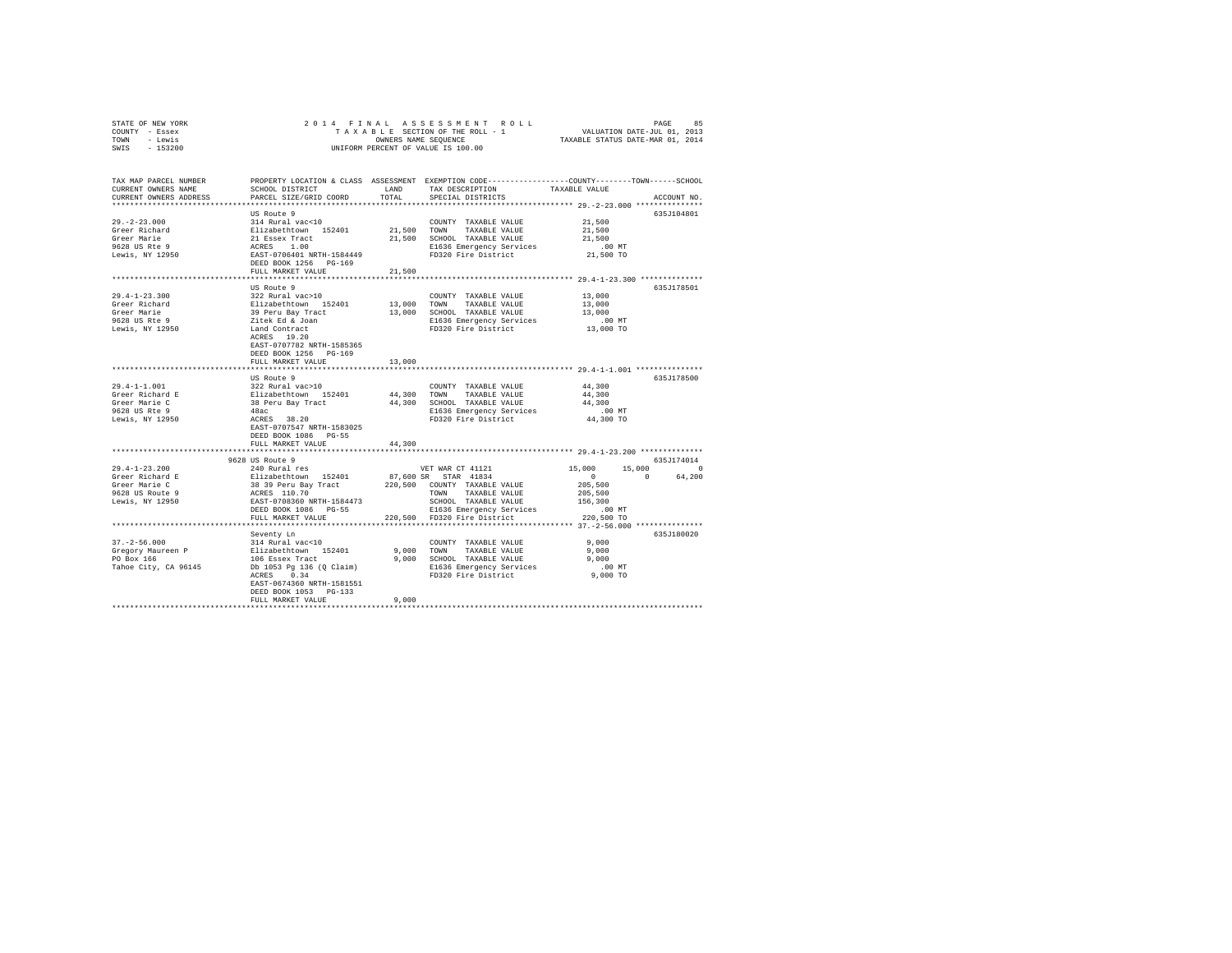| STATE OF NEW YORK                                                                                                    |                           |                 |                                                                                                                                                                                                                                              |                                               |                                   |
|----------------------------------------------------------------------------------------------------------------------|---------------------------|-----------------|----------------------------------------------------------------------------------------------------------------------------------------------------------------------------------------------------------------------------------------------|-----------------------------------------------|-----------------------------------|
| COUNTY - Essex                                                                                                       |                           |                 |                                                                                                                                                                                                                                              |                                               |                                   |
| TOWN - Lewis                                                                                                         |                           |                 | OWNERS NAME SEQUENCE<br>UNIFORM PERCENT OF VALUE IS 100.00                                                                                                                                                                                   |                                               |                                   |
| SWIS - 153200                                                                                                        |                           |                 |                                                                                                                                                                                                                                              |                                               |                                   |
|                                                                                                                      |                           |                 |                                                                                                                                                                                                                                              |                                               |                                   |
|                                                                                                                      |                           |                 |                                                                                                                                                                                                                                              |                                               |                                   |
| TAX MAP PARCEL NUMBER PROPERTY LOCATION & CLASS ASSESSMENT EXEMPTION CODE--------------COUNTY-------TOWN------SCHOOL |                           |                 |                                                                                                                                                                                                                                              | TAXABLE VALUE                                 |                                   |
| CURRENT OWNERS NAME                                                                                                  | SCHOOL DISTRICT LAND      |                 | TAX DESCRIPTION                                                                                                                                                                                                                              |                                               |                                   |
| CURRENT OWNERS ADDRESS                                                                                               | PARCEL SIZE/GRID COORD    | TOTAL           | SPECIAL DISTRICTS                                                                                                                                                                                                                            |                                               | ACCOUNT NO.                       |
|                                                                                                                      |                           |                 |                                                                                                                                                                                                                                              |                                               |                                   |
|                                                                                                                      | US Route 9                |                 |                                                                                                                                                                                                                                              |                                               | 635J104801                        |
| $29. -2 - 23.000$                                                                                                    | 314 Rural vac<10          |                 | COUNTY TAXABLE VALUE                                                                                                                                                                                                                         | 21,500                                        |                                   |
| 29. - 2 - 2 -<br>Greer Richard                                                                                       |                           |                 |                                                                                                                                                                                                                                              | 21,500                                        |                                   |
| Greer Marie                                                                                                          |                           |                 |                                                                                                                                                                                                                                              | 21,500                                        |                                   |
| 9628 US Rte 9<br>Lewis, NY 12950                                                                                     |                           |                 | 314 Rural Vacci0<br>21,500 TOWN TAXABLE VALUE<br>21 Essex Tract 21,500 SCHOOL TAXABLE VALUE<br>21 Essex Tract 21,500 SCHOOL TAXABLE VALUE<br>21536 Emergency Services<br>21536 Energency Services<br>21536 Energency Services<br>21536 Energ | .00 MT<br>21,500 TO                           |                                   |
|                                                                                                                      |                           |                 |                                                                                                                                                                                                                                              |                                               |                                   |
|                                                                                                                      | DEED BOOK 1256 PG-169     |                 |                                                                                                                                                                                                                                              |                                               |                                   |
|                                                                                                                      | FULL MARKET VALUE         | 21,500          |                                                                                                                                                                                                                                              |                                               |                                   |
|                                                                                                                      |                           |                 | *********************************** 29.4-1-23.300 **************                                                                                                                                                                             |                                               |                                   |
|                                                                                                                      | US Route 9                |                 |                                                                                                                                                                                                                                              |                                               | 635J178501                        |
| $29.4 - 1 - 23.300$                                                                                                  | 322 Rural vac>10          |                 | COUNTY TAXABLE VALUE                                                                                                                                                                                                                         | 13,000                                        |                                   |
|                                                                                                                      |                           |                 |                                                                                                                                                                                                                                              | 13,000                                        |                                   |
|                                                                                                                      |                           |                 |                                                                                                                                                                                                                                              | 13,000                                        |                                   |
| Greer Richard<br>Greer Marie<br>9628 US Rte 9                                                                        |                           |                 |                                                                                                                                                                                                                                              |                                               |                                   |
| Lewis, NY 12950                                                                                                      |                           |                 |                                                                                                                                                                                                                                              | 00 MT.<br>13,000 TO                           |                                   |
|                                                                                                                      |                           |                 |                                                                                                                                                                                                                                              |                                               |                                   |
|                                                                                                                      | EAST-0707782 NRTH-1585365 |                 |                                                                                                                                                                                                                                              |                                               |                                   |
|                                                                                                                      | DEED BOOK 1256 PG-169     |                 |                                                                                                                                                                                                                                              |                                               |                                   |
|                                                                                                                      | FULL MARKET VALUE         | 13,000          |                                                                                                                                                                                                                                              |                                               |                                   |
|                                                                                                                      |                           | *************** |                                                                                                                                                                                                                                              | ************** 29.4-1-1.001 ****************  |                                   |
|                                                                                                                      | US Route 9                |                 |                                                                                                                                                                                                                                              |                                               | 635J178500                        |
| $29.4 - 1 - 1.001$                                                                                                   |                           |                 |                                                                                                                                                                                                                                              |                                               |                                   |
|                                                                                                                      |                           |                 |                                                                                                                                                                                                                                              |                                               |                                   |
| Greer Richard E<br>Greer Marie C<br>9628 US Rte 9                                                                    |                           |                 |                                                                                                                                                                                                                                              |                                               |                                   |
|                                                                                                                      |                           |                 |                                                                                                                                                                                                                                              |                                               |                                   |
| Lewis, NY 12950                                                                                                      |                           |                 |                                                                                                                                                                                                                                              |                                               |                                   |
|                                                                                                                      | EAST-0707547 NRTH-1583025 |                 | US Route 9<br>322 Rural vac>10<br>Elizabethtown 152401 44,300 TOWN TAXABLE VALUE 44,300<br>38 Peru Bay Tract 44,300 SCHOOL TAXABLE VALUE 44,300<br>44,300 SCHOOL TAXABLE VALUE 44,300<br>EI636 Emergency Services<br>Pharma Fire District    |                                               |                                   |
|                                                                                                                      |                           |                 |                                                                                                                                                                                                                                              |                                               |                                   |
|                                                                                                                      | DEED BOOK 1086 PG-55      |                 |                                                                                                                                                                                                                                              |                                               |                                   |
|                                                                                                                      | FULL MARKET VALUE         | 44,300          |                                                                                                                                                                                                                                              |                                               |                                   |
|                                                                                                                      |                           |                 |                                                                                                                                                                                                                                              |                                               |                                   |
|                                                                                                                      | 9628 US Route 9           |                 |                                                                                                                                                                                                                                              |                                               | 635J174014                        |
|                                                                                                                      |                           |                 |                                                                                                                                                                                                                                              |                                               | $15,000$ $15,000$ 0<br>0 0 64,200 |
|                                                                                                                      |                           |                 |                                                                                                                                                                                                                                              |                                               | $\sim$ 0.000 $\sim$               |
|                                                                                                                      |                           |                 |                                                                                                                                                                                                                                              |                                               |                                   |
|                                                                                                                      |                           |                 |                                                                                                                                                                                                                                              |                                               |                                   |
|                                                                                                                      |                           |                 |                                                                                                                                                                                                                                              |                                               |                                   |
|                                                                                                                      |                           |                 |                                                                                                                                                                                                                                              |                                               |                                   |
|                                                                                                                      | FULL MARKET VALUE         |                 | 220,500 FD320 Fire District                                                                                                                                                                                                                  | 220,500 TO                                    |                                   |
|                                                                                                                      |                           |                 | *******************************                                                                                                                                                                                                              | **************** 37.-2-56.000 *************** |                                   |
|                                                                                                                      | Seventy Ln                |                 |                                                                                                                                                                                                                                              |                                               | 635J180020                        |
|                                                                                                                      |                           |                 |                                                                                                                                                                                                                                              |                                               |                                   |
|                                                                                                                      |                           |                 |                                                                                                                                                                                                                                              |                                               |                                   |
|                                                                                                                      |                           |                 |                                                                                                                                                                                                                                              |                                               |                                   |
|                                                                                                                      |                           |                 |                                                                                                                                                                                                                                              |                                               |                                   |
|                                                                                                                      |                           |                 |                                                                                                                                                                                                                                              |                                               |                                   |
|                                                                                                                      | EAST-0674360 NRTH-1581551 |                 |                                                                                                                                                                                                                                              |                                               |                                   |
|                                                                                                                      | DEED BOOK 1053 PG-133     |                 |                                                                                                                                                                                                                                              |                                               |                                   |
|                                                                                                                      | FULL MARKET VALUE         | 9.000           |                                                                                                                                                                                                                                              |                                               |                                   |
|                                                                                                                      |                           |                 |                                                                                                                                                                                                                                              |                                               |                                   |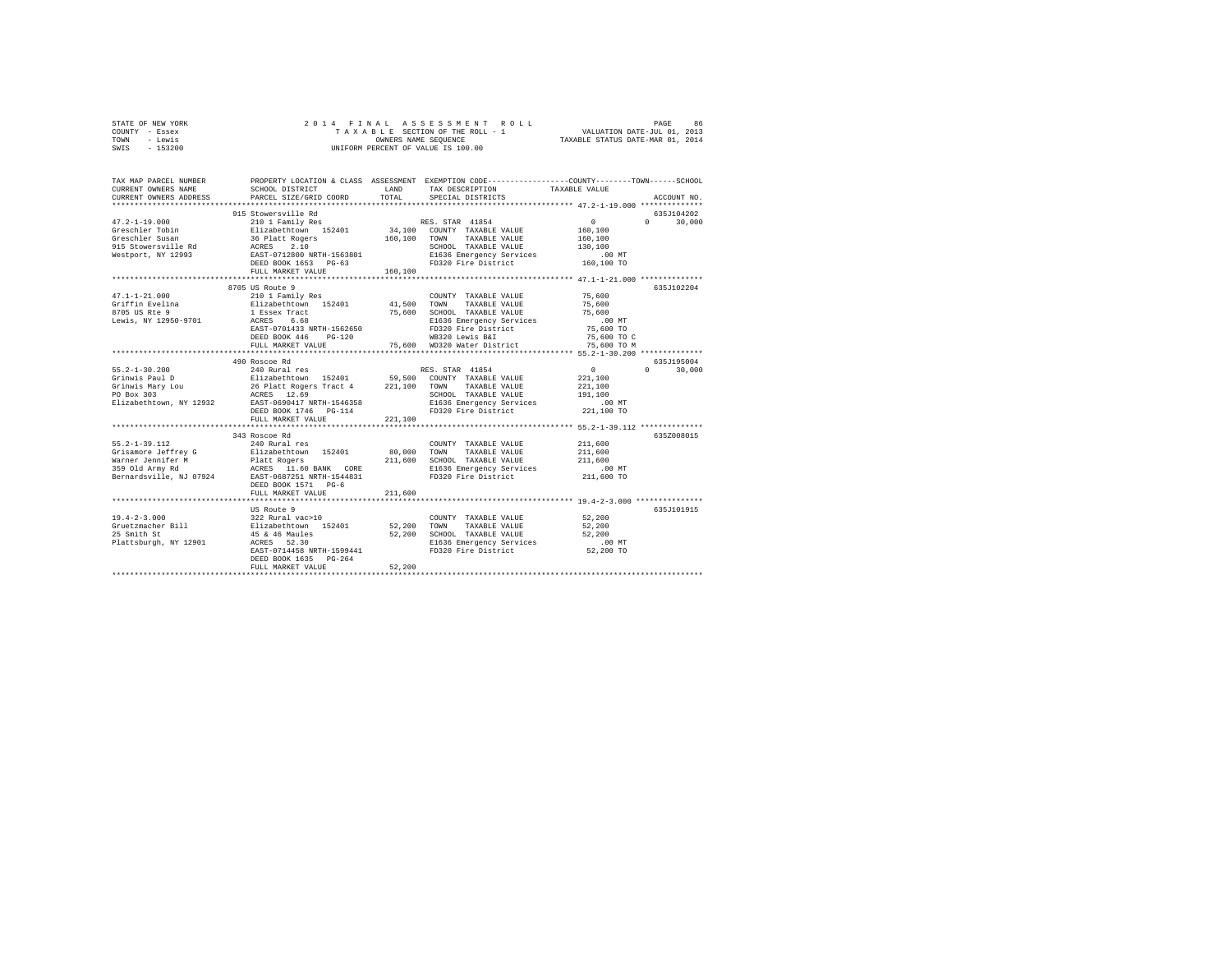| STATE OF NEW YORK | 2014 FINAL ASSESSMENT ROLL         | 86<br>PAGE                       |
|-------------------|------------------------------------|----------------------------------|
| COUNTY - Essex    | TAXABLE SECTION OF THE ROLL - 1    | VALUATION DATE-JUL 01, 2013      |
| TOWN<br>- Lewis   | OWNERS NAME SEOUENCE               | TAXABLE STATUS DATE-MAR 01, 2014 |
| - 153200<br>SWIS  | UNIFORM PERCENT OF VALUE IS 100.00 |                                  |

| TAX MAP PARCEL NUMBER<br>CURRENT OWNERS NAME<br>CURRENT OWNERS ADDRESS                                                 | SCHOOL DISTRICT<br>PARCEL SIZE/GRID COORD | LAND<br>TOTAL | PROPERTY LOCATION & CLASS ASSESSMENT EXEMPTION CODE---------------COUNTY-------TOWN------SCHOOL<br>TAX DESCRIPTION<br>SPECIAL DISTRICTS                                                                                                                                                                                                                                           | TAXABLE VALUE        | ACCOUNT NO.      |
|------------------------------------------------------------------------------------------------------------------------|-------------------------------------------|---------------|-----------------------------------------------------------------------------------------------------------------------------------------------------------------------------------------------------------------------------------------------------------------------------------------------------------------------------------------------------------------------------------|----------------------|------------------|
| *************************                                                                                              |                                           |               |                                                                                                                                                                                                                                                                                                                                                                                   |                      |                  |
|                                                                                                                        | 915 Stowersville Rd                       |               |                                                                                                                                                                                                                                                                                                                                                                                   |                      | 635.1104202      |
| $47.2 - 1 - 19.000$                                                                                                    | 210 1 Family Res RES. STAR 41854          |               |                                                                                                                                                                                                                                                                                                                                                                                   | $\mathbf{0}$         | $0 \t 30,000$    |
|                                                                                                                        |                                           |               | $\texttt{Greschler Tobin} \texttt{Tobin} \begin{minipage}{0.5\textwidth} \begin{tabular}{lcccccc} \texttt{Greschler Tobin} & \texttt{160,100} & \texttt{160,100} & \texttt{160,100} & \texttt{160,100} & \texttt{160,100} & \texttt{160,100} & \texttt{160,100} & \texttt{160,100} & \texttt{160,100} & \texttt{160,100} & \texttt{160,100} & \texttt{160,100} & \texttt{160,100$ |                      |                  |
| Greschler Susan                                                                                                        | 36 Platt Rogers                           |               | 160,100 TOWN TAXABLE VALUE                                                                                                                                                                                                                                                                                                                                                        | 160,100              |                  |
|                                                                                                                        |                                           |               | SCHOOL TAXABLE VALUE 130,100                                                                                                                                                                                                                                                                                                                                                      |                      |                  |
|                                                                                                                        |                                           |               | E1636 Emergency Services                                                                                                                                                                                                                                                                                                                                                          | .00 MT<br>160,100 TO |                  |
| Greschler Susan<br>915 Stowersville Rd<br>Westport, NY 12993<br>Mestport, NY 12993<br>DEED BOOK 1653<br>DEED BOOK 1653 |                                           |               | FD320 Fire District                                                                                                                                                                                                                                                                                                                                                               |                      |                  |
|                                                                                                                        | FULL MARKET VALUE                         | 160,100       |                                                                                                                                                                                                                                                                                                                                                                                   |                      |                  |
|                                                                                                                        | 8705 US Route 9                           |               |                                                                                                                                                                                                                                                                                                                                                                                   |                      | 635J102204       |
| $47.1 - 1 - 21.000$                                                                                                    | 210 1 Family Res                          |               | COUNTY TAXABLE VALUE 75,600                                                                                                                                                                                                                                                                                                                                                       |                      |                  |
| $\begin{array}{c} 47.1 - 1 - 1.1.1.1 \\ \text{Griffin Evelina} \\ -1.1 - 1.1.1 \\ \text{Area} \\ 0.1 \end{array}$      |                                           |               |                                                                                                                                                                                                                                                                                                                                                                                   | 75,600               |                  |
|                                                                                                                        |                                           |               |                                                                                                                                                                                                                                                                                                                                                                                   | 75,600               |                  |
|                                                                                                                        | ACRES 6.68                                |               | 75,600 SCHOOL TAXABLE VALUE<br>E1636 Emergency Services                                                                                                                                                                                                                                                                                                                           | $.00$ MT             |                  |
| Lewis, NY 12950-9701                                                                                                   | EAST-0701433 NRTH-1562650                 |               | E1636 Emergency Services                                                                                                                                                                                                                                                                                                                                                          | 75,600 TO            |                  |
|                                                                                                                        |                                           |               | 2000 Extra Property State of the District Capacity of the Pistrict Capacity of the PD320 Fried State Capacity<br>75,600 TO WE320 Eewis B&I Past Capacity 75,600 TO M                                                                                                                                                                                                              |                      |                  |
|                                                                                                                        | DEED BOOK 446<br>$PG-120$                 |               |                                                                                                                                                                                                                                                                                                                                                                                   |                      |                  |
|                                                                                                                        | FULL MARKET VALUE                         |               |                                                                                                                                                                                                                                                                                                                                                                                   |                      |                  |
|                                                                                                                        | 490 Roscoe Rd                             |               |                                                                                                                                                                                                                                                                                                                                                                                   |                      | 635J195004       |
|                                                                                                                        |                                           |               |                                                                                                                                                                                                                                                                                                                                                                                   | $\sim$ 0             | $\cap$<br>30,000 |
|                                                                                                                        |                                           |               |                                                                                                                                                                                                                                                                                                                                                                                   | 221,100              |                  |
|                                                                                                                        |                                           |               |                                                                                                                                                                                                                                                                                                                                                                                   | 221,100              |                  |
|                                                                                                                        |                                           |               |                                                                                                                                                                                                                                                                                                                                                                                   | 191,100              |                  |
| Elizabethtown, NY 12932 EAST-0690417 NRTH-1546358                                                                      |                                           |               | E1636 Emergency Services                                                                                                                                                                                                                                                                                                                                                          | .00 MT               |                  |
|                                                                                                                        | DEED BOOK 1746    PG-114                  |               | FD320 Fire District                                                                                                                                                                                                                                                                                                                                                               | 221,100 TO           |                  |
|                                                                                                                        | FULL MARKET VALUE                         | 221,100       |                                                                                                                                                                                                                                                                                                                                                                                   |                      |                  |
|                                                                                                                        |                                           |               |                                                                                                                                                                                                                                                                                                                                                                                   |                      |                  |
|                                                                                                                        | 343 Roscoe Rd                             |               |                                                                                                                                                                                                                                                                                                                                                                                   |                      | 635Z008015       |
|                                                                                                                        |                                           |               | COUNTY TAXABLE VALUE                                                                                                                                                                                                                                                                                                                                                              | 211,600              |                  |
|                                                                                                                        |                                           |               | TAXABLE VALUE                                                                                                                                                                                                                                                                                                                                                                     | 211,600              |                  |
|                                                                                                                        |                                           |               | 211,600 SCHOOL TAXABLE VALUE                                                                                                                                                                                                                                                                                                                                                      | 211,600              |                  |
|                                                                                                                        |                                           |               | E1636 Emergency Services                                                                                                                                                                                                                                                                                                                                                          | .00 MT               |                  |
|                                                                                                                        |                                           |               | FD320 Fire District                                                                                                                                                                                                                                                                                                                                                               | 211,600 TO           |                  |
|                                                                                                                        | DEED BOOK 1571 PG-6                       |               |                                                                                                                                                                                                                                                                                                                                                                                   |                      |                  |
|                                                                                                                        | FULL MARKET VALUE                         | 211,600       |                                                                                                                                                                                                                                                                                                                                                                                   |                      |                  |
|                                                                                                                        |                                           |               |                                                                                                                                                                                                                                                                                                                                                                                   |                      |                  |
|                                                                                                                        | US Route 9                                |               |                                                                                                                                                                                                                                                                                                                                                                                   |                      | 635J101915       |
| $19.4 - 2 - 3.000$                                                                                                     | 322 Rural vac>10<br>Elizabethtown 152401  |               | COUNTY TAXABLE VALUE                                                                                                                                                                                                                                                                                                                                                              | 52,200               |                  |
|                                                                                                                        |                                           | 52,200 TOWN   | TAXABLE VALUE                                                                                                                                                                                                                                                                                                                                                                     | 52,200               |                  |
| Gruetzmacher Bill<br>25 Smith St<br>25 Smith St                                                                        | 45 & 46 Maules                            |               | 52,200 SCHOOL TAXABLE VALUE                                                                                                                                                                                                                                                                                                                                                       | 52,200               |                  |
| Plattsburgh, NY 12901                                                                                                  | ACRES 52.30                               |               |                                                                                                                                                                                                                                                                                                                                                                                   |                      |                  |
|                                                                                                                        | EAST-0714458 NRTH-1599441                 |               |                                                                                                                                                                                                                                                                                                                                                                                   |                      |                  |
|                                                                                                                        | DEED BOOK 1635 PG-264                     |               |                                                                                                                                                                                                                                                                                                                                                                                   |                      |                  |
|                                                                                                                        | FULL MARKET VALUE                         | 52,200        |                                                                                                                                                                                                                                                                                                                                                                                   |                      |                  |
|                                                                                                                        |                                           |               |                                                                                                                                                                                                                                                                                                                                                                                   |                      |                  |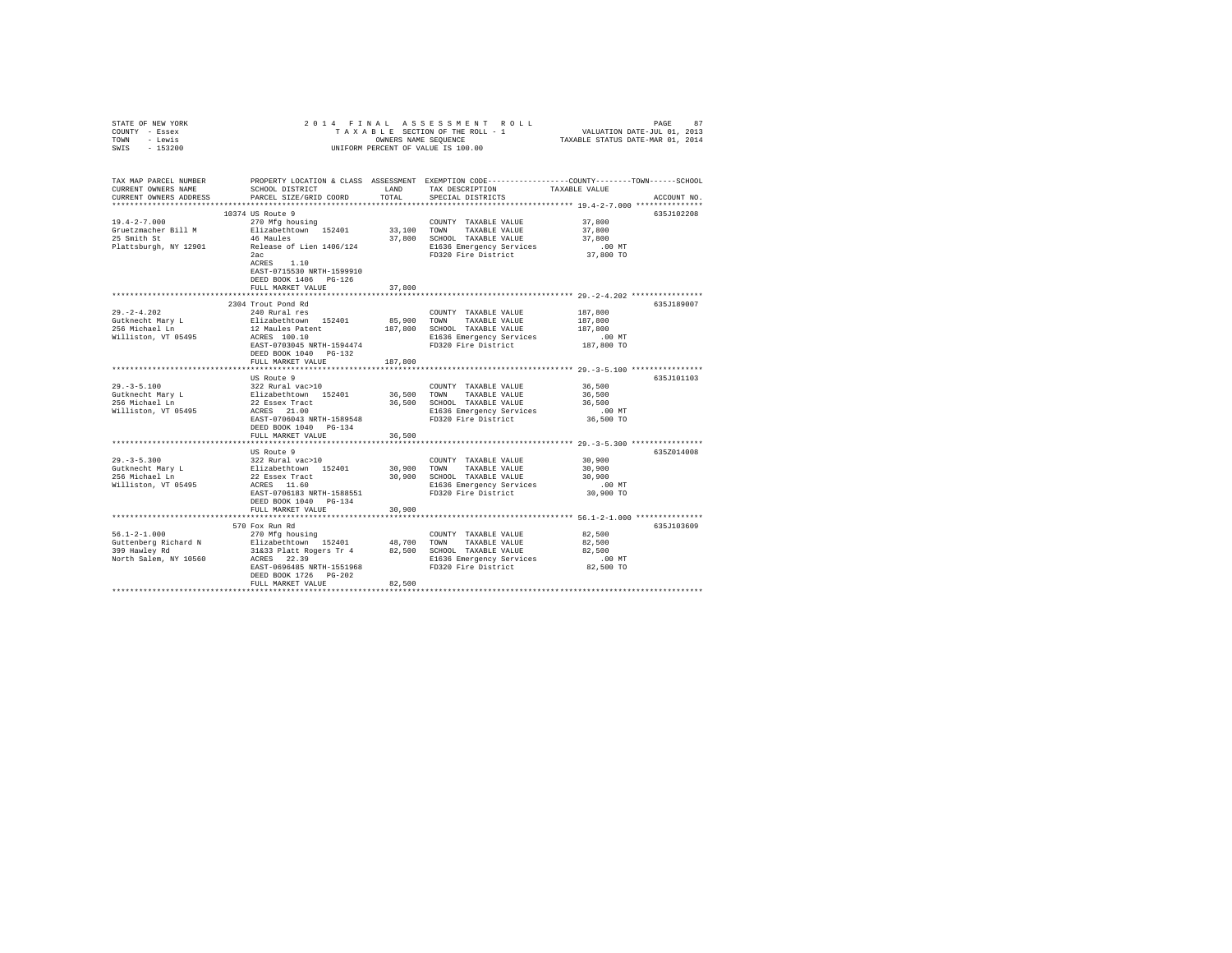| STATE OF NEW YORK<br>COUNTY - Essex<br>TOWN - Lewis<br>$-153200$<br>SWIS                                                                                               | 2014 FINAL<br>UNIFORM PERCENT OF VALUE IS 100.00                                                                                                                                                                                                                                                                                                                    | PAGE 87 PLAN A SSESSMENT ROLL PROPERTY PASSELE SARTION OF THE ROLL TRANSPLUES AND SALUATION PATE-VAR 0.1 (2013<br>TRANSPLE SECTION OF THE ROLL - 1 VALUATION DATE-VAR 0.1 (2014 |                                                                                                                                 |                                                     |             |
|------------------------------------------------------------------------------------------------------------------------------------------------------------------------|---------------------------------------------------------------------------------------------------------------------------------------------------------------------------------------------------------------------------------------------------------------------------------------------------------------------------------------------------------------------|---------------------------------------------------------------------------------------------------------------------------------------------------------------------------------|---------------------------------------------------------------------------------------------------------------------------------|-----------------------------------------------------|-------------|
| TAX MAP PARCEL NUMBER PROPERTY LOCATION & CLASS ASSESSMENT EXEMPTION CODE---------------COUNTY-------TOWN------SCHOOL<br>CURRENT OWNERS NAME<br>CURRENT OWNERS ADDRESS | SCHOOL DISTRICT<br>PARCEL SIZE/GRID COORD                                                                                                                                                                                                                                                                                                                           | LAND<br>TOTAL                                                                                                                                                                   | TAX DESCRIPTION<br>SPECIAL DISTRICTS                                                                                            | TAXABLE VALUE                                       | ACCOUNT NO. |
|                                                                                                                                                                        |                                                                                                                                                                                                                                                                                                                                                                     |                                                                                                                                                                                 |                                                                                                                                 |                                                     |             |
| $19.4 - 2 - 7.000$<br>Gruetzmacher Bill M<br>25 Smith St<br>Plattsburgh, NY 12901                                                                                      | 10374 US Route 9<br>270 Mfg housing<br>Elizabethtown 152401<br>46 Maules<br>Release of Lien 1406/124<br>2ac<br>ACRES 1.10<br>EAST-0715530 NRTH-1599910<br>DEED BOOK 1406 PG-126                                                                                                                                                                                     | 33,100                                                                                                                                                                          | COUNTY TAXABLE VALUE<br>TOWN<br>TAXABLE VALUE<br>37,800 SCHOOL TAXABLE VALUE<br>E1636 Emergency Services<br>FD320 Fire District | 37,800<br>37,800<br>37,800<br>$.00$ MT<br>37,800 TO | 635J102208  |
|                                                                                                                                                                        | FULL MARKET VALUE                                                                                                                                                                                                                                                                                                                                                   | 37,800                                                                                                                                                                          |                                                                                                                                 |                                                     |             |
| $29. -2 - 4.202$<br>Gutknecht Mary L<br>256 Michael Ln                                                                                                                 | 2304 Trout Pond Rd<br>240 Rural res                                                                                                                                                                                                                                                                                                                                 | 85,900                                                                                                                                                                          | COUNTY TAXABLE VALUE<br>TOWN<br>TAXABLE VALUE                                                                                   | 187,800<br>187,800                                  | 635J189007  |
| Williston, VT 05495                                                                                                                                                    | Elizabethtown 152401<br>12 Maules Patent<br>ACRES 100.10<br>EAST-0703045 NRTH-1594474<br>DEED BOOK 1040 PG-132<br>FULL MARKET VALUE                                                                                                                                                                                                                                 | 187,800                                                                                                                                                                         | 187,800 SCHOOL TAXABLE VALUE<br>E1636 Emergency Services<br>FD320 Fire District                                                 | 187,800<br>$.00$ MT<br>187,800 TO                   |             |
|                                                                                                                                                                        | ***********************                                                                                                                                                                                                                                                                                                                                             |                                                                                                                                                                                 |                                                                                                                                 |                                                     |             |
| $29. - 3 - 5.100$<br>Gutknecht Mary L<br>256 Michael Ln<br>Williston, VT 05495                                                                                         | US Route 9<br>322 Rural vac>10<br>Elizabethtown 152401<br>22 Essex Tract<br>ACRES 21.00<br>EAST-0706043 NRTH-1589548<br>DEED BOOK 1040 PG-134                                                                                                                                                                                                                       | 36,500<br>36,500                                                                                                                                                                | COUNTY TAXABLE VALUE<br>TOWN<br>TAXABLE VALUE<br>SCHOOL TAXABLE VALUE<br>E1636 Emergency Services<br>FD320 Fire District        | 36,500<br>36,500<br>36,500<br>$.00$ MT<br>36,500 TO | 635J101103  |
|                                                                                                                                                                        | FULL MARKET VALUE                                                                                                                                                                                                                                                                                                                                                   | 36,500                                                                                                                                                                          |                                                                                                                                 |                                                     |             |
| $29. -3 - 5.300$<br>Gutknecht Mary L<br>256 Michael Ln<br>Williston, VT 05495                                                                                          | US Route 9<br>322 Rural vac>10<br>Elizabethtown 152401<br>22 Essex Tract<br>ACRES 11.60<br>EAST-0706183 NRTH-1588551<br>DEED BOOK 1040 PG-134<br>FULL MARKET VALUE                                                                                                                                                                                                  | 30,900<br>30,900<br>30,900                                                                                                                                                      | COUNTY TAXABLE VALUE<br>TOWN<br>TAXABLE VALUE<br>SCHOOL TAXABLE VALUE<br>E1636 Emergency Services<br>FD320 Fire District        | 30,900<br>30,900<br>30,900<br>MT.<br>30,900 TO      | 635Z014008  |
|                                                                                                                                                                        |                                                                                                                                                                                                                                                                                                                                                                     |                                                                                                                                                                                 |                                                                                                                                 |                                                     |             |
| $56.1 - 2 - 1.000$<br>Guttenberg Richard N<br>399 Hawley Rd<br>North Salem, NY 10560                                                                                   | 570 Fox Run Rd<br>270 Mfg housing<br>200 m. automobilis 152401 = 48,700 m. 200 m. 200 m. 200 m. 200 m. 200 m. 200 m. 200 m. 200 m. 200 m. 200 m. 20<br>200 m. 200 m. 200 m. 200 m. 200 m. 200 m. 200 m. 200 m. 200 m. 200 m. 200 m. 200 m. 200 m. 200 m. 200 m. 200 m<br><br>ACRES 22.39<br>EAST-0696485 NRTH-1551968<br>DEED BOOK 1726 PG-202<br>FULL MARKET VALUE | 82,500                                                                                                                                                                          | COUNTY TAXABLE VALUE<br>E1636 Emergency Services<br>FD320 Fire District                                                         | 82,500<br>82,500<br>82,500<br>$.00$ MT<br>82,500 TO | 635J103609  |
|                                                                                                                                                                        |                                                                                                                                                                                                                                                                                                                                                                     |                                                                                                                                                                                 |                                                                                                                                 |                                                     |             |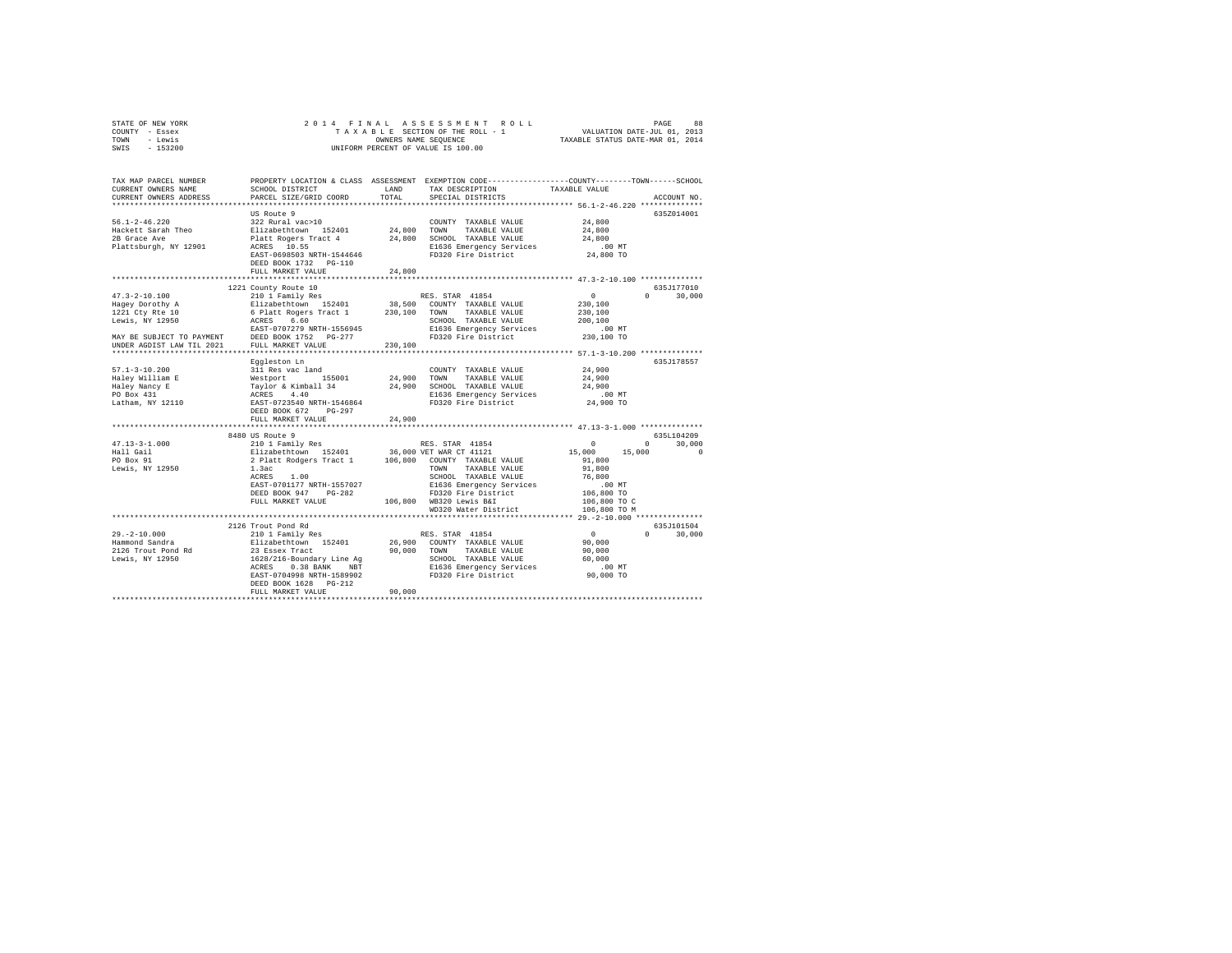|      | STATE OF NEW YORK |                      |  |  | 2014 FINAL ASSESSMENT ROLL         |  |                                  | PAGE                        | 88 |
|------|-------------------|----------------------|--|--|------------------------------------|--|----------------------------------|-----------------------------|----|
|      | COUNTY - Essex    |                      |  |  | TAXABLE SECTION OF THE ROLL - 1    |  |                                  | VALUATION DATE-JUL 01, 2013 |    |
| TOWN | - Lewis           | OWNERS NAME SEOUENCE |  |  |                                    |  | TAXABLE STATUS DATE-MAR 01, 2014 |                             |    |
| SWIS | - 153200          |                      |  |  | UNIFORM PERCENT OF VALUE IS 100.00 |  |                                  |                             |    |

| TAX MAP PARCEL NUMBER<br>CURRENT OWNERS NAME<br>CURRENT OWNERS ADDRESS                                                                                        | SCHOOL DISTRICT<br>PARCEL SIZE/GRID COORD                                                                                                                                                                                                                                                                                                        | LAND<br>TOTAL         | PROPERTY LOCATION & CLASS ASSESSMENT EXEMPTION CODE---------------COUNTY-------TOWN-----SCHOOL<br>TAX DESCRIPTION<br>SPECIAL DISTRICTS                                                      | TAXABLE VALUE                                                                                                                                                                           | ACCOUNT NO                                     |
|---------------------------------------------------------------------------------------------------------------------------------------------------------------|--------------------------------------------------------------------------------------------------------------------------------------------------------------------------------------------------------------------------------------------------------------------------------------------------------------------------------------------------|-----------------------|---------------------------------------------------------------------------------------------------------------------------------------------------------------------------------------------|-----------------------------------------------------------------------------------------------------------------------------------------------------------------------------------------|------------------------------------------------|
| $56.1 - 2 - 46.220$<br>Hackett Sarah Theo<br>2B Grace Ave<br>Plattsburgh, NY 12901                                                                            | ***************************<br>US Route 9<br>322 Rural vac>10<br>Elizabethtown 152401<br>ACRES 10.55<br>EAST-0698503 NRTH-1544646<br>DEED BOOK 1732 PG-110                                                                                                                                                                                       | 24.800 TOWN           | COUNTY TAXABLE VALUE<br>TAXABLE VALUE<br>Platt Rogers Tract 4 24,800 SCHOOL TAXABLE VALUE<br>E1636 Emergency Services<br>FD320 Fire District                                                | 24,800<br>24,800<br>24,800<br>.00 MT<br>24,800 TO                                                                                                                                       | 635Z014001                                     |
|                                                                                                                                                               | FULL MARKET VALUE                                                                                                                                                                                                                                                                                                                                | 24,800                |                                                                                                                                                                                             |                                                                                                                                                                                         |                                                |
|                                                                                                                                                               | 1221 County Route 10                                                                                                                                                                                                                                                                                                                             |                       |                                                                                                                                                                                             |                                                                                                                                                                                         | 635J177010                                     |
| $47.3 - 2 - 10.100$<br>Hagey Dorothy A<br>1221 Cty Rte 10<br>Lewis, NY 12950<br>MAY BE SUBJECT TO PAYMENT                                                     | 210 1 Family Res<br>Elizabethtown 152401<br>6 Platt Rogers Tract 1 230,100 TOWN TAXABLE VALUE<br>ACRES 6.60<br>EAST-0707279 NRTH-1556945<br>DEED BOOK 1752    PG-277                                                                                                                                                                             |                       | RES. STAR 41854<br>38,500 COUNTY TAXABLE VALUE<br>SCHOOL TAXABLE VALUE<br>E1636 Emergency Services<br>FD320 Fire District                                                                   | 0<br>$\Omega$<br>230,100<br>230,100<br>200,100<br>$.00$ MT<br>230,100 TO                                                                                                                | 30,000                                         |
| UNDER AGDIST LAW TIL 2021                                                                                                                                     | FULL MARKET VALUE<br>*************************                                                                                                                                                                                                                                                                                                   | 230,100               |                                                                                                                                                                                             |                                                                                                                                                                                         |                                                |
| $57.1 - 3 - 10.200$<br>Haley William E<br>Haley Nancy E<br>PO Box 431<br>Latham, NY 12110<br>$47.13 - 3 - 1.000$<br>Hall Gail<br>PO Box 91<br>Lewis, NY 12950 | Eqqleston Ln<br>311 Res vac land<br>Mestport 155001<br>Taylor & Kimball 34<br>ACRES 4.40<br>EAST-0723540 NRTH-1546864<br>DEED BOOK 672<br>$PG-297$<br>FULL MARKET VALUE<br>8480 US Route 9<br>210 1 Family Res<br>Elizabethtown 152401 36,000 VET WAR CT 41121<br>2 Platt Rodgers Tract 1 106,800 COUNTY TAXABLE VALUE<br>1.3ac<br>1.00<br>ACRES | 24,900 TOWN<br>24,900 | COUNTY TAXABLE VALUE<br>TAXABLE VALUE<br>24,900 SCHOOL TAXABLE VALUE<br>E1636 Emergency Services<br>FD320 Fire District<br>RES. STAR 41854<br>TOWN<br>TAXABLE VALUE<br>SCHOOL TAXABLE VALUE | 24,900<br>24,900<br>24,900<br>$.00$ MT<br>24,900 TO<br>*********************** 47.13-3-1.000 **************<br>$^{\circ}$<br>$\Omega$<br>15,000<br>15,000<br>91,800<br>91,800<br>76,800 | 635J178557<br>6351104209<br>30,000<br>$\Omega$ |
|                                                                                                                                                               | EAST-0701177 NRTH-1557027<br>DEED BOOK 947<br>$PG-282$<br>FULL MARKET VALUE<br>*********************************                                                                                                                                                                                                                                 |                       | E1636 Emergency Services<br>FD320 Fire District<br>106,800 WB320 Lewis B&I<br>WD320 Water District                                                                                          | $.00$ MT<br>س بن.<br>106,800 TO<br>106,800 TO C<br>106,800 TO M                                                                                                                         |                                                |
| $29. -2 - 10.000$<br>Hammond Sandra<br>2126 Trout Pond Rd<br>Lewis, NY 12950                                                                                  | 2126 Trout Pond Rd<br>210 1 Family Res<br>Elizabethtown 152401<br>23 Essex Tract<br>1628/216-Boundary Line Ag<br>ACRES 0.38 BANK NBT<br>EAST-0704998 NRTH-1589902<br>DEED BOOK 1628   PG-212<br>FULL MARKET VALUE                                                                                                                                | 90,000                | RES. STAR 41854<br>26,900 COUNTY TAXABLE VALUE<br>90,000 TOWN TAXABLE VALUE<br>SCHOOL TAXABLE VALUE<br>E1636 Emergency Services<br>FD320 Fire District                                      | $\sim$ 0<br>$\Omega$<br>90,000<br>90,000<br>60,000<br>.00 MT<br>90,000 TO                                                                                                               | 635J101504<br>30,000                           |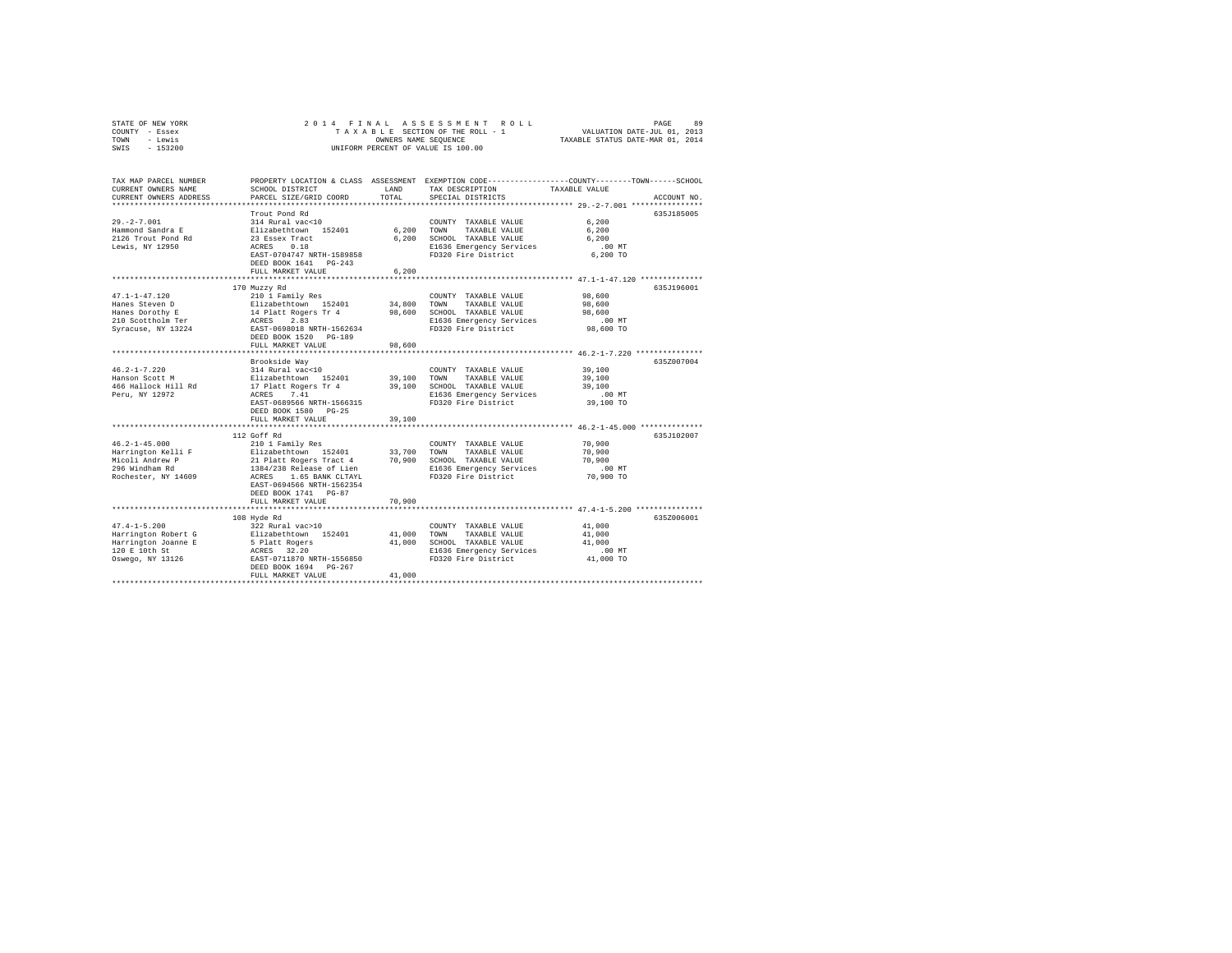| STATE OF NEW YORK<br>COUNTY - Essex  | 2014 FINAL                                       |                                                                 | ASSESSMENT<br>ROLL<br>TAXABLE SECTION OF THE ROLL - 1 | 89<br>PAGE                                                                                     |  |
|--------------------------------------|--------------------------------------------------|-----------------------------------------------------------------|-------------------------------------------------------|------------------------------------------------------------------------------------------------|--|
| - Lewis<br>TOWN                      |                                                  | VALUATION DATE-JUL 01, 2013<br>TAXABLE STATUS DATE-MAR 01, 2014 |                                                       |                                                                                                |  |
| SWIS<br>$-153200$                    |                                                  | OWNERS NAME SEQUENCE                                            | UNIFORM PERCENT OF VALUE IS 100.00                    |                                                                                                |  |
|                                      |                                                  |                                                                 |                                                       |                                                                                                |  |
|                                      |                                                  |                                                                 |                                                       |                                                                                                |  |
| TAX MAP PARCEL NUMBER                |                                                  |                                                                 |                                                       | PROPERTY LOCATION & CLASS ASSESSMENT EXEMPTION CODE---------------COUNTY-------TOWN-----SCHOOL |  |
| CURRENT OWNERS NAME                  | SCHOOL DISTRICT                                  | LAND                                                            | TAX DESCRIPTION                                       | TAXABLE VALUE                                                                                  |  |
| CURRENT OWNERS ADDRESS               | PARCEL SIZE/GRID COORD                           | TOTAL                                                           | SPECIAL DISTRICTS                                     | ACCOUNT NO.                                                                                    |  |
|                                      |                                                  |                                                                 |                                                       |                                                                                                |  |
|                                      | Trout Pond Rd                                    |                                                                 |                                                       | 635J185005                                                                                     |  |
| $29. -2 - 7.001$                     | 314 Rural vac<10                                 |                                                                 | COUNTY TAXABLE VALUE                                  | 6.200                                                                                          |  |
| Hammond Sandra E                     | Elizabethtown 152401                             | 6.200                                                           | TOWN<br>TAXABLE VALUE                                 | 6.200                                                                                          |  |
| 2126 Trout Pond Rd                   | 23 Essex Tract                                   | 6.200                                                           | SCHOOL TAXABLE VALUE                                  | 6.200                                                                                          |  |
| Lewis, NY 12950                      | ACRES<br>0.18                                    |                                                                 | E1636 Emergency Services                              | $.00$ MT                                                                                       |  |
|                                      | EAST-0704747 NRTH-1589858                        |                                                                 | FD320 Fire District                                   | 6,200 TO                                                                                       |  |
|                                      | DEED BOOK 1641 PG-243                            |                                                                 |                                                       |                                                                                                |  |
|                                      | FULL MARKET VALUE                                | 6.200                                                           |                                                       |                                                                                                |  |
|                                      | ***********************                          |                                                                 |                                                       | ****************** 47.1-1-47.120 **************                                                |  |
|                                      | 170 Muzzy Rd                                     |                                                                 |                                                       | 635J196001                                                                                     |  |
| $47.1 - 1 - 47.120$                  | 210 1 Family Res                                 |                                                                 | COUNTY TAXABLE VALUE                                  | 98,600                                                                                         |  |
| Hanes Steven D                       | Elizabethtown 152401                             | 34,800                                                          | TOWN<br>TAXABLE VALUE                                 | 98,600                                                                                         |  |
| Hanes Dorothy E                      | 14 Platt Rogers Tr 4                             | 98,600                                                          | SCHOOL TAXABLE VALUE                                  | 98,600                                                                                         |  |
| 210 Scottholm Ter                    | 2.83<br>ACRES                                    |                                                                 | E1636 Emergency Services                              | $.00$ MT                                                                                       |  |
| Syracuse, NY 13224                   | EAST-0698018 NRTH-1562634                        |                                                                 | FD320 Fire District                                   | 98,600 TO                                                                                      |  |
|                                      | DEED BOOK 1520 PG-189                            |                                                                 |                                                       |                                                                                                |  |
|                                      | FULL MARKET VALUE<br>*************************** | 98,600<br>**********                                            |                                                       | ***************************** 46.2-1-7.220 **************                                      |  |
|                                      | Brookside Way                                    |                                                                 |                                                       | 635Z007004                                                                                     |  |
| $46.2 - 1 - 7.220$                   | 314 Rural vac<10                                 |                                                                 | COUNTY TAXABLE VALUE                                  | 39,100                                                                                         |  |
| Hanson Scott M                       | Elizabethtown 152401                             | 39,100                                                          | TOWN<br>TAXABLE VALUE                                 | 39,100                                                                                         |  |
| 466 Hallock Hill Rd                  | 17 Platt Rogers Tr 4                             | 39,100                                                          | SCHOOL TAXABLE VALUE                                  | 39,100                                                                                         |  |
| Peru, NY 12972                       | ACRES 7.41                                       |                                                                 | E1636 Emergency Services                              | $.00$ MT                                                                                       |  |
|                                      | EAST-0689566 NRTH-1566315                        |                                                                 | FD320 Fire District                                   | 39,100 TO                                                                                      |  |
|                                      | DEED BOOK 1580 PG-25                             |                                                                 |                                                       |                                                                                                |  |
|                                      | FULL MARKET VALUE                                | 39,100                                                          |                                                       |                                                                                                |  |
|                                      |                                                  |                                                                 |                                                       | ******** 46.2-1-45.000 ***************                                                         |  |
|                                      | 112 Goff Rd                                      |                                                                 |                                                       | 635J102007                                                                                     |  |
| $46.2 - 1 - 45.000$                  | 210 1 Family Res                                 |                                                                 | COUNTY TAXABLE VALUE                                  | 70,900                                                                                         |  |
| Harrington Kelli F                   | Elizabethtown 152401                             | 33,700                                                          | TAXABLE VALUE<br>TOWN                                 | 70,900                                                                                         |  |
| Micoli Andrew P                      | 21 Platt Rogers Tract 4                          | 70,900                                                          | SCHOOL TAXABLE VALUE                                  | 70,900                                                                                         |  |
| 296 Windham Rd                       | 1384/238 Release of Lien                         |                                                                 | E1636 Emergency Services                              | $.00$ MT                                                                                       |  |
| Rochester, NY 14609                  | ACRES<br>1.65 BANK CLTAYL                        |                                                                 | FD320 Fire District                                   | 70,900 TO                                                                                      |  |
|                                      | EAST-0694566 NRTH-1562354                        |                                                                 |                                                       |                                                                                                |  |
|                                      | DEED BOOK 1741 PG-87                             |                                                                 |                                                       |                                                                                                |  |
|                                      | FULL MARKET VALUE                                | 70,900                                                          |                                                       |                                                                                                |  |
|                                      | ********************                             |                                                                 |                                                       | ****************************** 47.4-1-5.200 ***************                                    |  |
|                                      | 108 Hyde Rd                                      |                                                                 |                                                       | 635Z006001                                                                                     |  |
| $47.4 - 1 - 5.200$                   | 322 Rural vac>10                                 |                                                                 | COUNTY TAXABLE VALUE                                  | 41,000                                                                                         |  |
| Harrington Robert G                  | Elizabethtown 152401                             | 41,000                                                          | TOWN<br>TAXABLE VALUE                                 | 41,000                                                                                         |  |
| Harrington Joanne E<br>120 E 10th St | 5 Platt Rogers<br>ACRES 32.20                    | 41,000                                                          | SCHOOL TAXABLE VALUE                                  | 41,000<br>$.00$ MT                                                                             |  |
| Oswego, NY 13126                     | EAST-0711870 NRTH-1556850                        |                                                                 | E1636 Emergency Services<br>FD320 Fire District       | 41,000 TO                                                                                      |  |
|                                      | DEED BOOK 1694 PG-267                            |                                                                 |                                                       |                                                                                                |  |
|                                      | FULL MARKET VALUE                                | 41,000                                                          |                                                       |                                                                                                |  |
|                                      |                                                  |                                                                 |                                                       |                                                                                                |  |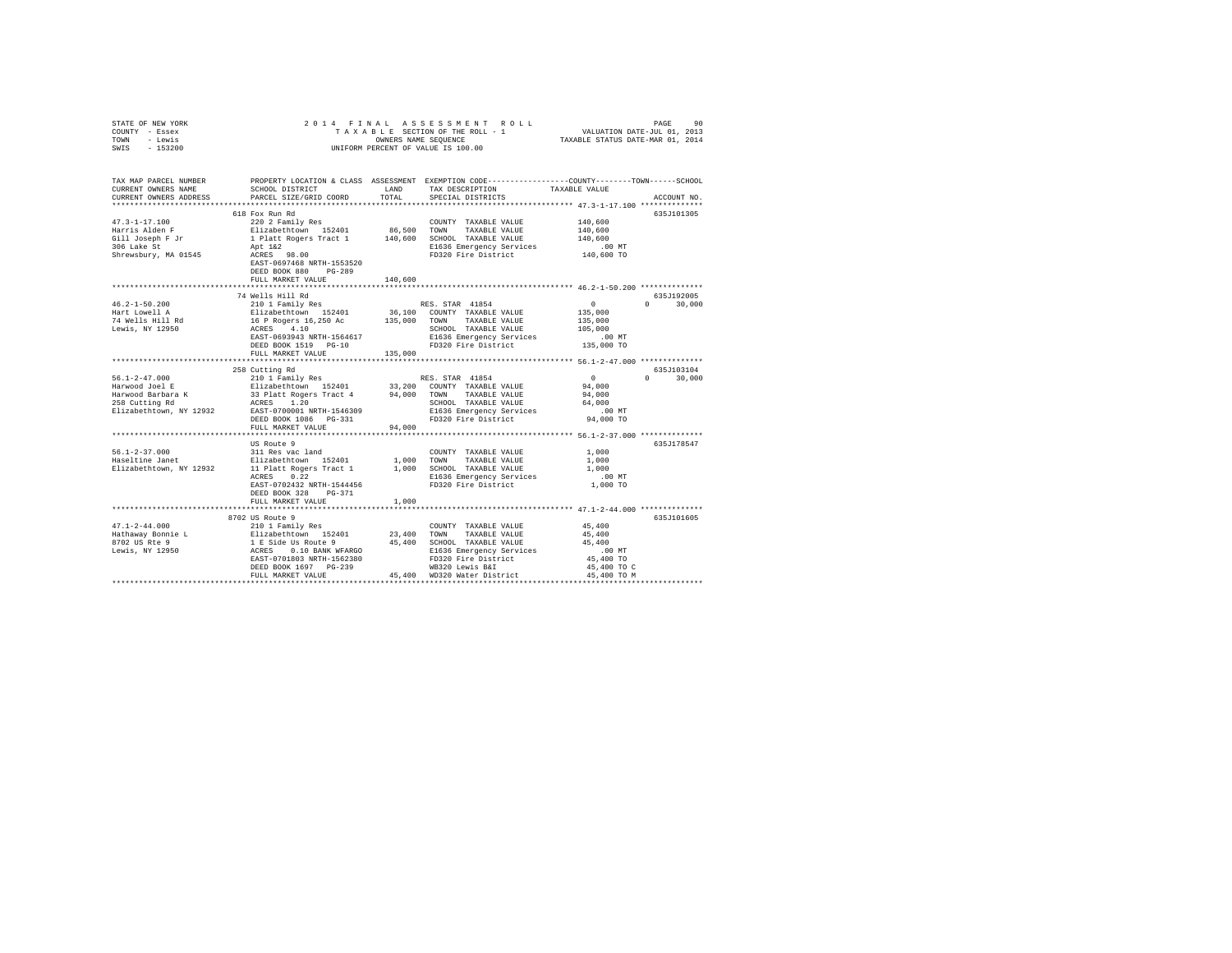| STATE OF NEW YORK<br>COUNTY - Essex                                                                                                                                                                                                                                                                                                                                                          | 2014 FINAL                                                                                       |         | PAGE 90 PAGE 91 PAGE 92 PAGE 92<br>TAXABLE SECTION OF THE ROLL - 1 VALUATION DATE-JUL 01, 2013<br>OWNERS NAME SEQUENCE 7 TAXABLE STATUS DATE-NAR 01, 2014 |                  |               |
|----------------------------------------------------------------------------------------------------------------------------------------------------------------------------------------------------------------------------------------------------------------------------------------------------------------------------------------------------------------------------------------------|--------------------------------------------------------------------------------------------------|---------|-----------------------------------------------------------------------------------------------------------------------------------------------------------|------------------|---------------|
| TOWN - Lewis                                                                                                                                                                                                                                                                                                                                                                                 |                                                                                                  |         |                                                                                                                                                           |                  |               |
| SWIS<br>$-153200$                                                                                                                                                                                                                                                                                                                                                                            |                                                                                                  |         | OWNERS NAME SEQUENCE<br>UNIFORM PERCENT OF VALUE IS 100.00                                                                                                |                  |               |
|                                                                                                                                                                                                                                                                                                                                                                                              |                                                                                                  |         |                                                                                                                                                           |                  |               |
| TAX MAP PARCEL NUMBER                                                                                                                                                                                                                                                                                                                                                                        |                                                                                                  |         | PROPERTY LOCATION & CLASS ASSESSMENT EXEMPTION CODE----------------COUNTY-------TOWN-----SCHOOL                                                           |                  |               |
| CURRENT OWNERS NAME                                                                                                                                                                                                                                                                                                                                                                          | SCHOOL DISTRICT                                                                                  | LAND    | TAX DESCRIPTION                                                                                                                                           | TAXABLE VALUE    |               |
| CURRENT OWNERS ADDRESS                                                                                                                                                                                                                                                                                                                                                                       | PARCEL SIZE/GRID COORD                                                                           | TOTAL   | SPECIAL DISTRICTS                                                                                                                                         |                  | ACCOUNT NO.   |
|                                                                                                                                                                                                                                                                                                                                                                                              |                                                                                                  |         |                                                                                                                                                           |                  |               |
|                                                                                                                                                                                                                                                                                                                                                                                              | 618 Fox Run Rd                                                                                   |         |                                                                                                                                                           |                  | 635J101305    |
| $47.3 - 1 - 17.100$                                                                                                                                                                                                                                                                                                                                                                          | res COUNT<br>Elizabethtown 152401 86,500 TOWN<br>1 Platt Rogers Tract 1 140,600 SCHOO<br>Apt 1&2 |         | COUNTY TAXABLE VALUE                                                                                                                                      | 140,600          |               |
| Harris Alden F                                                                                                                                                                                                                                                                                                                                                                               |                                                                                                  |         | TAXABLE VALUE                                                                                                                                             | 140,600          |               |
| Gill Joseph F Jr<br>306 Lake St                                                                                                                                                                                                                                                                                                                                                              |                                                                                                  |         | 140,600 SCHOOL TAXABLE VALUE                                                                                                                              | 140,600          |               |
|                                                                                                                                                                                                                                                                                                                                                                                              | Apt 1&2<br>ACRES 98.00                                                                           |         | E1636 Emergency Services                                                                                                                                  | $.00$ MT         |               |
| Shrewsbury, MA 01545                                                                                                                                                                                                                                                                                                                                                                         |                                                                                                  |         | FD320 Fire District                                                                                                                                       | 140,600 TO       |               |
|                                                                                                                                                                                                                                                                                                                                                                                              | EAST-0697468 NRTH-1553520<br>DEED BOOK 880 PG-289                                                |         |                                                                                                                                                           |                  |               |
|                                                                                                                                                                                                                                                                                                                                                                                              | FULL MARKET VALUE                                                                                | 140,600 |                                                                                                                                                           |                  |               |
|                                                                                                                                                                                                                                                                                                                                                                                              |                                                                                                  |         |                                                                                                                                                           |                  |               |
|                                                                                                                                                                                                                                                                                                                                                                                              | 74 Wells Hill Rd                                                                                 |         |                                                                                                                                                           |                  | 635J192005    |
| $46.2 - 1 - 50.200$                                                                                                                                                                                                                                                                                                                                                                          | 210 1 Family Res                                                                                 |         | RES. STAR 41854                                                                                                                                           | $\sim$           | $0 \t 30.000$ |
| Hart Lowell A                                                                                                                                                                                                                                                                                                                                                                                | Elizabethtown 152401                                                                             |         | 36,100 COUNTY TAXABLE VALUE                                                                                                                               | 135,000          |               |
| 74 Wells Hill Rd                                                                                                                                                                                                                                                                                                                                                                             | 16 P Rogers 16,250 Ac 135,000 TOWN<br>ACRES 4.10 SCHOOL                                          |         | TAXABLE VALUE                                                                                                                                             | 135,000          |               |
| Lewis, NY 12950                                                                                                                                                                                                                                                                                                                                                                              |                                                                                                  |         | SCHOOL TAXABLE VALUE                                                                                                                                      | 105,000          |               |
|                                                                                                                                                                                                                                                                                                                                                                                              | EAST-0693943 NRTH-1564617                                                                        |         | E1636 Emergency Services                                                                                                                                  | .00 MT           |               |
|                                                                                                                                                                                                                                                                                                                                                                                              | DEED BOOK 1519 PG-10                                                                             |         | FD320 Fire District                                                                                                                                       | 135,000 TO       |               |
|                                                                                                                                                                                                                                                                                                                                                                                              | FULL MARKET VALUE                                                                                | 135,000 |                                                                                                                                                           |                  |               |
|                                                                                                                                                                                                                                                                                                                                                                                              |                                                                                                  |         |                                                                                                                                                           |                  |               |
|                                                                                                                                                                                                                                                                                                                                                                                              | 258 Cutting Rd                                                                                   |         |                                                                                                                                                           |                  | 635J103104    |
| $56.1 - 2 - 47.000$                                                                                                                                                                                                                                                                                                                                                                          | 210 1 Family Res                                                                                 |         | RES. STAR 41854                                                                                                                                           | $\sim$ 0         | $0 \t 30,000$ |
|                                                                                                                                                                                                                                                                                                                                                                                              |                                                                                                  |         | 33,200 COUNTY TAXABLE VALUE                                                                                                                               | 94,000           |               |
|                                                                                                                                                                                                                                                                                                                                                                                              |                                                                                                  |         | TAXABLE VALUE<br>SCHOOL TAXABLE VALUE                                                                                                                     | 94,000<br>64,000 |               |
| ${\tt Barwood\ Jcell\ E} \begin{tabular}{lcl} 56.1-2-47.000 \\ Haarwood\ Jcell\ E & & & & & \\ Harwood\ Dell\ E & & & & & \\ Starwood\ BrbarbarR & & & & & \\ 23.912 & & & & & \\ 24.912 & & & & & \\ 25.912 & & & & & \\ 26.912 & & & & & \\ 27.912 & & & & & \\ 28.912 & & & & & \\ 29.912 & & & & & \\ 20.912 & & & & & \\ 21.92 & & & & & \\ 22.912 & & & & & \\ 23.912 & & & & & \\ 24$ |                                                                                                  |         | E1636 Emergency Services                                                                                                                                  | $.00$ MT         |               |
|                                                                                                                                                                                                                                                                                                                                                                                              | DEED BOOK 1086 PG-331                                                                            |         | FD320 Fire District                                                                                                                                       | 94,000 TO        |               |
|                                                                                                                                                                                                                                                                                                                                                                                              | FULL MARKET VALUE                                                                                | 94,000  |                                                                                                                                                           |                  |               |
|                                                                                                                                                                                                                                                                                                                                                                                              |                                                                                                  |         |                                                                                                                                                           |                  |               |
|                                                                                                                                                                                                                                                                                                                                                                                              | US Route 9                                                                                       |         |                                                                                                                                                           |                  | 635J178547    |
| 56.1-2-37.000<br>Haseltine Janet                                                                                                                                                                                                                                                                                                                                                             | 311 Res vac land                                                                                 |         | COUNTY TAXABLE VALUE                                                                                                                                      | 1,000            |               |
|                                                                                                                                                                                                                                                                                                                                                                                              | Elizabethtown 152401                                                                             |         | 1,000 TOWN TAXABLE VALUE                                                                                                                                  | 1,000            |               |
| Elizabethtown, NY 12932                                                                                                                                                                                                                                                                                                                                                                      | 11 Platt Rogers Tract 1                                                                          |         | 1,000 SCHOOL TAXABLE VALUE                                                                                                                                | 1,000            |               |
|                                                                                                                                                                                                                                                                                                                                                                                              | ACRES 0.22                                                                                       |         | E1636 Emergency Services<br>FD320 Fire District                                                                                                           | $.00$ MT         |               |
|                                                                                                                                                                                                                                                                                                                                                                                              | EAST-0702432 NRTH-1544456                                                                        |         |                                                                                                                                                           | 1,000 TO         |               |
|                                                                                                                                                                                                                                                                                                                                                                                              | DEED BOOK 328 PG-371                                                                             |         |                                                                                                                                                           |                  |               |
|                                                                                                                                                                                                                                                                                                                                                                                              | FULL MARKET VALUE                                                                                | 1,000   |                                                                                                                                                           |                  |               |
|                                                                                                                                                                                                                                                                                                                                                                                              |                                                                                                  |         |                                                                                                                                                           |                  |               |
|                                                                                                                                                                                                                                                                                                                                                                                              | 8702 US Route 9                                                                                  |         |                                                                                                                                                           |                  | 635J101605    |
|                                                                                                                                                                                                                                                                                                                                                                                              |                                                                                                  |         |                                                                                                                                                           | 45,400<br>45,400 |               |
|                                                                                                                                                                                                                                                                                                                                                                                              |                                                                                                  |         |                                                                                                                                                           | 45,400           |               |
|                                                                                                                                                                                                                                                                                                                                                                                              |                                                                                                  |         |                                                                                                                                                           | $.00$ MT         |               |
|                                                                                                                                                                                                                                                                                                                                                                                              |                                                                                                  |         |                                                                                                                                                           | 45,400 TO        |               |
|                                                                                                                                                                                                                                                                                                                                                                                              |                                                                                                  |         |                                                                                                                                                           | 45,400 TO C      |               |
|                                                                                                                                                                                                                                                                                                                                                                                              | FULL MARKET VALUE                                                                                |         | 45.400 WD320 Water District                                                                                                                               | 45,400 TO M      |               |
|                                                                                                                                                                                                                                                                                                                                                                                              |                                                                                                  |         |                                                                                                                                                           |                  |               |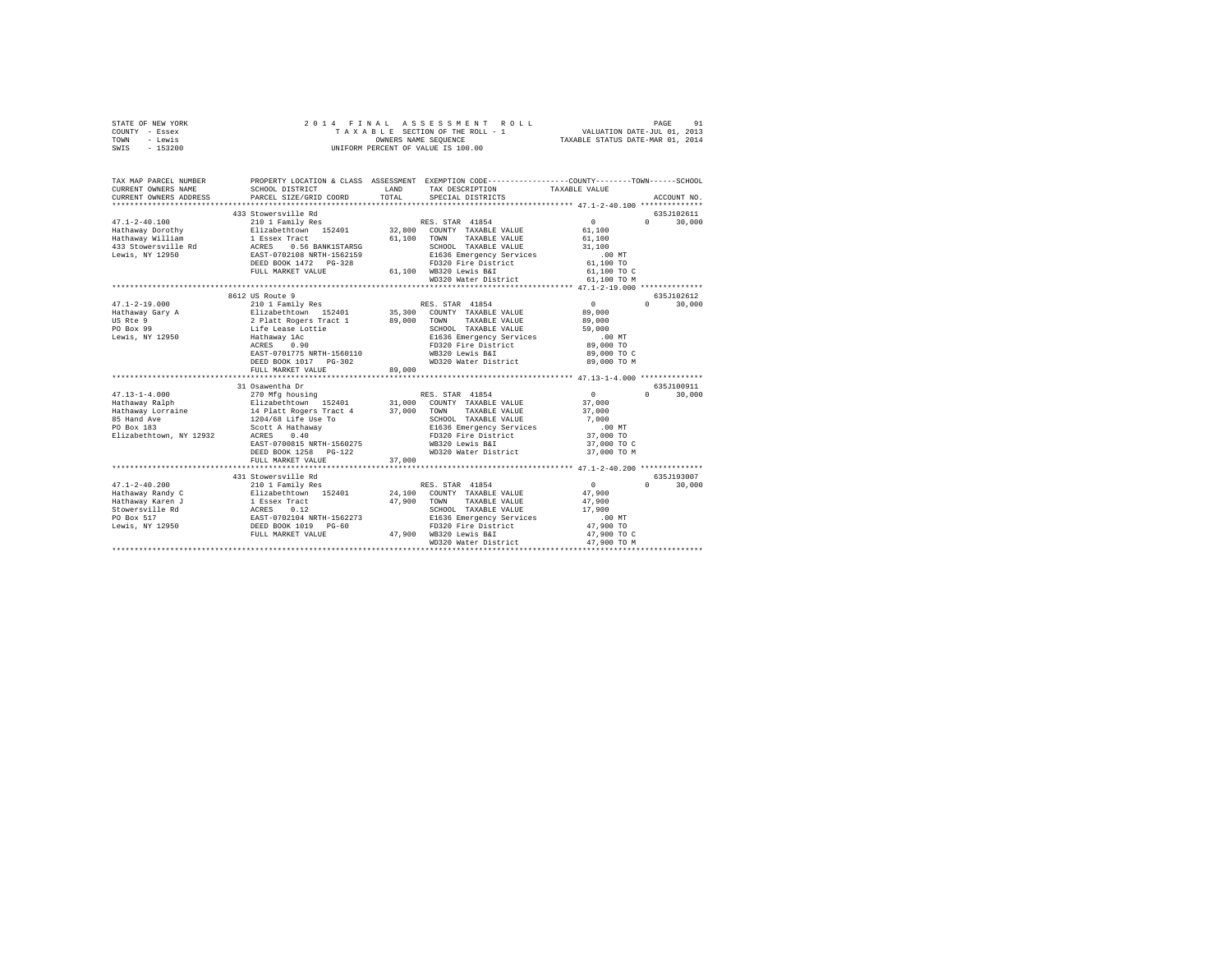| STATE OF NEW YORK<br>COUNTY - Essex<br>TOWN<br>- Lewis<br>SWIS - 153200 |                                                                           |        | 2014 FINAL ASSESSMENT ROLL<br>TAXABLE SECTION OF THE ROLL - 1<br>OWNERS NAME SEQUENCE<br>UNIFORM PERCENT OF VALUE IS 100.00 | VALUATION DATE-JUL 01, 2013<br>TAXABLE STATUS DATE-MAR 01, 2014 | 91<br>PAGE                                    |
|-------------------------------------------------------------------------|---------------------------------------------------------------------------|--------|-----------------------------------------------------------------------------------------------------------------------------|-----------------------------------------------------------------|-----------------------------------------------|
| TAX MAP PARCEL NUMBER<br>CURRENT OWNERS NAME                            | SCHOOL DISTRICT                                                           | LAND   | PROPERTY LOCATION & CLASS ASSESSMENT EXEMPTION CODE----------------COUNTY-------TOWN-----SCHOOL<br>TAX DESCRIPTION          | TAXABLE VALUE                                                   |                                               |
| CURRENT OWNERS ADDRESS                                                  | PARCEL SIZE/GRID COORD                                                    | TOTAL  | SPECIAL DISTRICTS                                                                                                           |                                                                 | ACCOUNT NO.                                   |
|                                                                         | 433 Stowersville Rd                                                       |        |                                                                                                                             |                                                                 | 635J102611                                    |
| $47.1 - 2 - 40.100$                                                     | 210 1 Family Res                                                          |        | RES. STAR 41854                                                                                                             | $\Omega$                                                        | 30,000<br>$\Omega$ and $\Omega$               |
| Hathaway Dorothy                                                        | Elizabethtown 152401                                                      |        | 32,800 COUNTY TAXABLE VALUE                                                                                                 | 61,100                                                          |                                               |
| Hathaway William                                                        |                                                                           |        | 61.100 TOWN TAXABLE VALUE                                                                                                   | 61,100                                                          |                                               |
|                                                                         |                                                                           |        | SCHOOL TAXABLE VALUE                                                                                                        | 31,100                                                          |                                               |
|                                                                         |                                                                           |        | E1636 Emergency Services                                                                                                    | $.00$ MT                                                        |                                               |
|                                                                         |                                                                           |        | FD320 Fire District                                                                                                         | 61,100 TO                                                       |                                               |
|                                                                         | FULL MARKET VALUE                                                         |        | 61.100 WB320 Lewis B&I                                                                                                      | 61,100 TO C                                                     |                                               |
|                                                                         |                                                                           |        | WD320 Water District                                                                                                        | 61,100 TO M                                                     |                                               |
|                                                                         |                                                                           |        |                                                                                                                             |                                                                 |                                               |
| $47.1 - 2 - 19.000$                                                     | 8612 US Route 9                                                           |        | RES. STAR 41854                                                                                                             | $\sim$ 0                                                        | 635J102612<br>$\Omega$ and $\Omega$<br>30,000 |
| Hathaway Gary A                                                         | 210 1 Family Res                                                          |        |                                                                                                                             | 89,000                                                          |                                               |
| US Rte 9                                                                | Elizabethtown 152401<br>2 Platt Rogers Tract 1                            |        | 35,300 COUNTY TAXABLE VALUE<br>89,000 TOWN TAXABLE VALUE                                                                    | 89,000                                                          |                                               |
| PO Box 99                                                               | Life Lease Lottie                                                         |        | SCHOOL TAXABLE VALUE                                                                                                        | 59,000                                                          |                                               |
| Lewis, NY 12950                                                         | Hathaway 1Ac                                                              |        | E1636 Emergency Services                                                                                                    | $.00$ MT                                                        |                                               |
|                                                                         | Hathaway 1Ac<br>ACRES 0.90                                                |        | FD320 Fire District                                                                                                         | 89,000 TO                                                       |                                               |
|                                                                         | EAST-0701775 NRTH-1560110                                                 |        | WB320 Lewis B&I                                                                                                             | 89,000 TO C                                                     |                                               |
|                                                                         | DEED BOOK 1017 PG-302                                                     |        | WD320 Water District                                                                                                        | 89,000 TO M                                                     |                                               |
|                                                                         | FULL MARKET VALUE                                                         | 89,000 |                                                                                                                             |                                                                 |                                               |
|                                                                         |                                                                           |        |                                                                                                                             |                                                                 |                                               |
|                                                                         | 31 Osawentha Dr                                                           |        |                                                                                                                             |                                                                 | 635J100911                                    |
| $47.13 - 1 - 4.000$                                                     | 270 Mfg housing                                                           |        | RES. STAR 41854                                                                                                             | $\sim$ 0                                                        | 30,000<br>$\Omega$ and $\Omega$               |
| Hathaway Ralph<br>Hathaway Lorraine                                     | Elizabethtown 152401<br>14 Platt Rogers Tract 4 37,000 TOWN TAXABLE VALUE |        | 31,000 COUNTY TAXABLE VALUE                                                                                                 | 37,000                                                          |                                               |
| 85 Hand Ave                                                             | 1204/68 Life Use To                                                       |        | SCHOOL TAXABLE VALUE                                                                                                        | 37,000<br>7.000                                                 |                                               |
| PO Box 183                                                              |                                                                           |        | E1636 Emergency Services                                                                                                    | $.00$ MT                                                        |                                               |
| Elizabethtown, NY 12932                                                 | Scott A Hathaway<br>ACRES 0.40                                            |        | FD320 Fire District                                                                                                         | 37,000 TO                                                       |                                               |
|                                                                         | EAST-0700815 NRTH-1560275                                                 |        | WB320 Lewis B&I                                                                                                             | 37,000 TO C                                                     |                                               |
|                                                                         | DEED BOOK 1258 PG-122                                                     |        | WD320 Water District                                                                                                        | 37,000 TO M                                                     |                                               |
|                                                                         | FULL MARKET VALUE                                                         | 37,000 |                                                                                                                             |                                                                 |                                               |
|                                                                         |                                                                           |        |                                                                                                                             |                                                                 |                                               |
|                                                                         | 431 Stowersville Rd                                                       |        |                                                                                                                             |                                                                 | 635J193007                                    |
| $47.1 - 2 - 40.200$                                                     | 210 1 Family Res                                                          |        | RES. STAR 41854                                                                                                             | $\sim$ 0                                                        | $0 \t 30,000$                                 |
| Hathaway Randy C                                                        | Elizabethtown 152401<br>1 Essex Tract                                     |        | 24,100 COUNTY TAXABLE VALUE                                                                                                 | 47,900                                                          |                                               |
| Hathaway Karen J                                                        |                                                                           |        | 47,900 TOWN TAXABLE VALUE                                                                                                   | 47,900                                                          |                                               |
|                                                                         |                                                                           |        | SCHOOL TAXABLE VALUE                                                                                                        | 17,900                                                          |                                               |
|                                                                         |                                                                           |        | E1636 Emergency Services<br>FD320 Fire District                                                                             | .00 MT                                                          |                                               |
|                                                                         |                                                                           |        | 47,900 WB320 Lewis B&I                                                                                                      | 47,900 TO<br>47,900 TO C                                        |                                               |
|                                                                         |                                                                           |        | WD320 Water District                                                                                                        | 47,900 TO M                                                     |                                               |
|                                                                         |                                                                           |        |                                                                                                                             |                                                                 |                                               |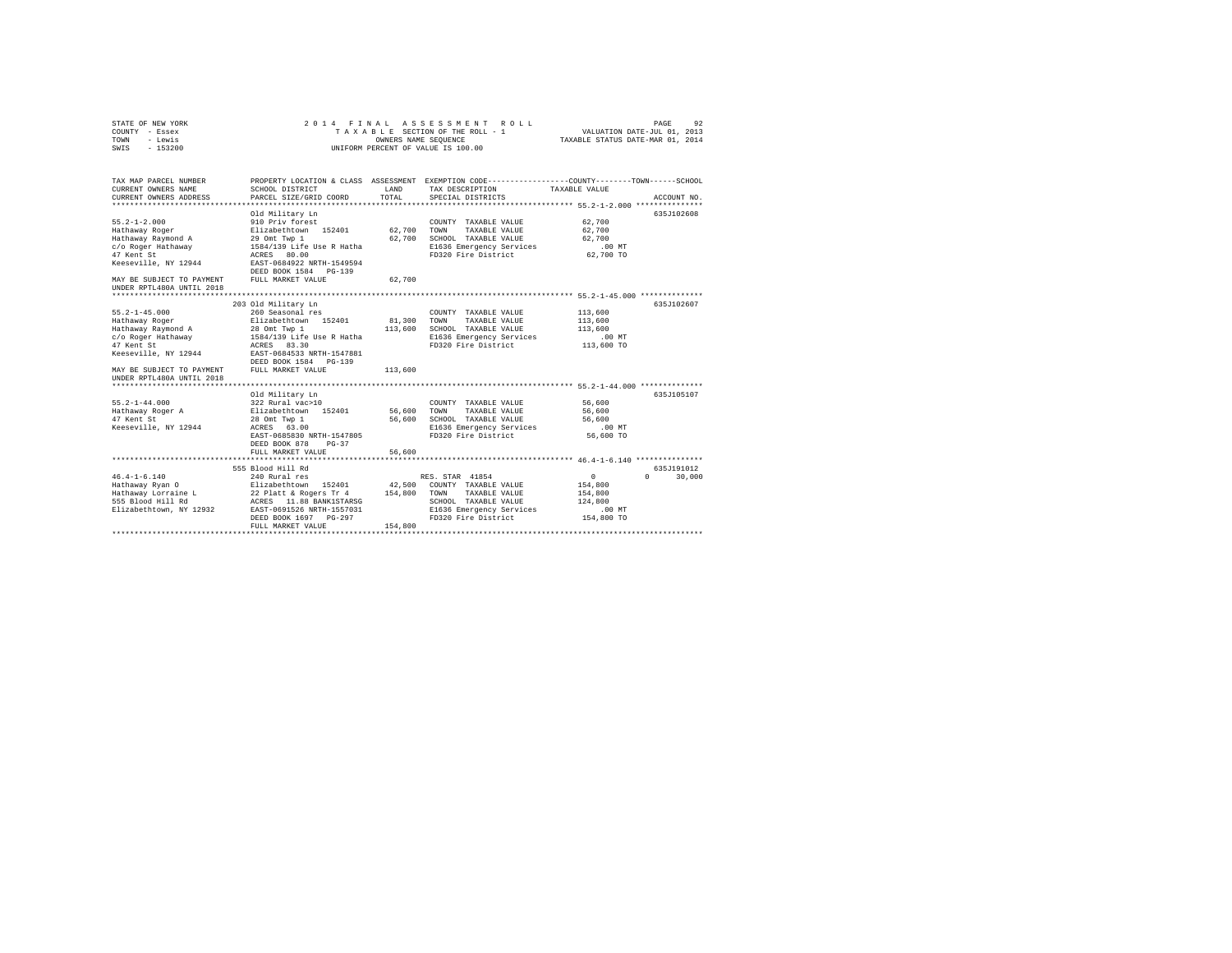| STATE OF NEW YORK<br>COUNTY - Essex<br>TOWN<br>- Lewis<br>SWIS - 153200                                                                                                           |                                                                                                                                                                                                        |                        | 2014 FINAL ASSESSMENT ROLL<br>T A X A B L E SECTION OF THE ROLL - 1<br>OWNERS NAME SEQUENCE<br>UNIFORM PERCENT OF VALUE IS 100.00                     | VALUATION DATE-JUL 01, 2013<br>TAXABLE STATUS DATE-MAR 01, 2014     | 92<br>PAGE                       |
|-----------------------------------------------------------------------------------------------------------------------------------------------------------------------------------|--------------------------------------------------------------------------------------------------------------------------------------------------------------------------------------------------------|------------------------|-------------------------------------------------------------------------------------------------------------------------------------------------------|---------------------------------------------------------------------|----------------------------------|
| TAX MAP PARCEL NUMBER<br>CURRENT OWNERS NAME<br>CURRENT OWNERS ADDRESS                                                                                                            | SCHOOL DISTRICT<br>PARCEL SIZE/GRID COORD                                                                                                                                                              | LAND<br>TOTAL          | PROPERTY LOCATION & CLASS ASSESSMENT EXEMPTION CODE----------------COUNTY-------TOWN-----SCHOOL<br>TAX DESCRIPTION TAXABLE VALUE<br>SPECIAL DISTRICTS |                                                                     | ACCOUNT NO.                      |
| $55.2 - 1 - 2.000$<br>Hathaway Roger<br>Hathaway Raymond A<br>c/o Roger Hathaway<br>47 Kent St<br>Keeseville, NY 12944                                                            | Old Military Ln<br>910 Priv forest<br>Elizabethtown 152401<br>29 Omt Twp 1<br>1584/139 Life Use R Hatha<br>ACRES 80.00<br>EAST-0684922 NRTH-1549594<br>DEED BOOK 1584 PG-139                           | 62,700 TOWN            | COUNTY TAXABLE VALUE<br>TAXABLE VALUE<br>62,700 SCHOOL TAXABLE VALUE<br>E1636 Emergency Services<br>FD320 Fire District                               | 62,700<br>62,700<br>62,700<br>$.00$ MT<br>62,700 TO                 | 635J102608                       |
| MAY BE SUBJECT TO PAYMENT<br>UNDER RPTL480A UNTIL 2018                                                                                                                            | FULL MARKET VALUE                                                                                                                                                                                      | 62,700                 |                                                                                                                                                       |                                                                     |                                  |
| $55.2 - 1 - 45.000$<br>Hathaway Roger<br>Hathaway Raymond A<br>c/o Roger Hathaway<br>47 Kent St<br>Keeseville, NY 12944<br>MAY BE SUBJECT TO PAYMENT<br>UNDER RPTL480A UNTIL 2018 | 203 Old Military Ln<br>260 Seasonal res<br>Elizabethtown 152401<br>28 Omt Twp 1<br>1584/139 Life Use R Hatha<br>ACRES 83.30<br>EAST-0684533 NRTH-1547881<br>DEED BOOK 1584 PG-139<br>FULL MARKET VALUE | 81,300 TOWN<br>113,600 | COUNTY TAXABLE VALUE<br>TAXABLE VALUE<br>113,600 SCHOOL TAXABLE VALUE<br>E1636 Emergency Services<br>FD320 Fire District                              | 113,600<br>113,600<br>113,600<br>.00MT<br>113,600 TO                | 635J102607                       |
| $55.2 - 1 - 44.000$<br>Hathaway Roger A<br>47 Kent St<br>Keeseville, NY 12944                                                                                                     | Old Military Ln<br>322 Rural vac>10<br>Elizabethtown 152401<br>28 Omt Twp 1<br>ACRES 63.00<br>EAST-0685830 NRTH-1547805<br>DEED BOOK 878<br>$PG-37$<br>FULL MARKET VALUE                               | 56,600 TOWN<br>56,600  | COUNTY TAXABLE VALUE<br>TAXABLE VALUE<br>56,600 SCHOOL TAXABLE VALUE<br>E1636 Emergency Services<br>FD320 Fire District                               | 56,600<br>56,600<br>56,600<br>$.00$ MT<br>56,600 TO                 | 635J105107                       |
| $46.4 - 1 - 6.140$<br>Hathaway Ryan O                                                                                                                                             | 555 Blood Hill Rd<br>240 Rural res<br>Elizabethtown 152401 42,500 COUNTY TAXABLE VALUE<br>DEED BOOK 1697 PG-297<br>FULL MARKET VALUE                                                                   | 154,800                | RES. STAR 41854<br>TAXABLE VALUE<br>SCHOOL TAXABLE VALUE<br>E1636 Emergency Services<br>FD320 Fire District                                           | $\sim$ 0<br>154,800<br>154,800<br>124,800<br>$.00$ MT<br>154,800 TO | 635J191012<br>$\Omega$<br>30,000 |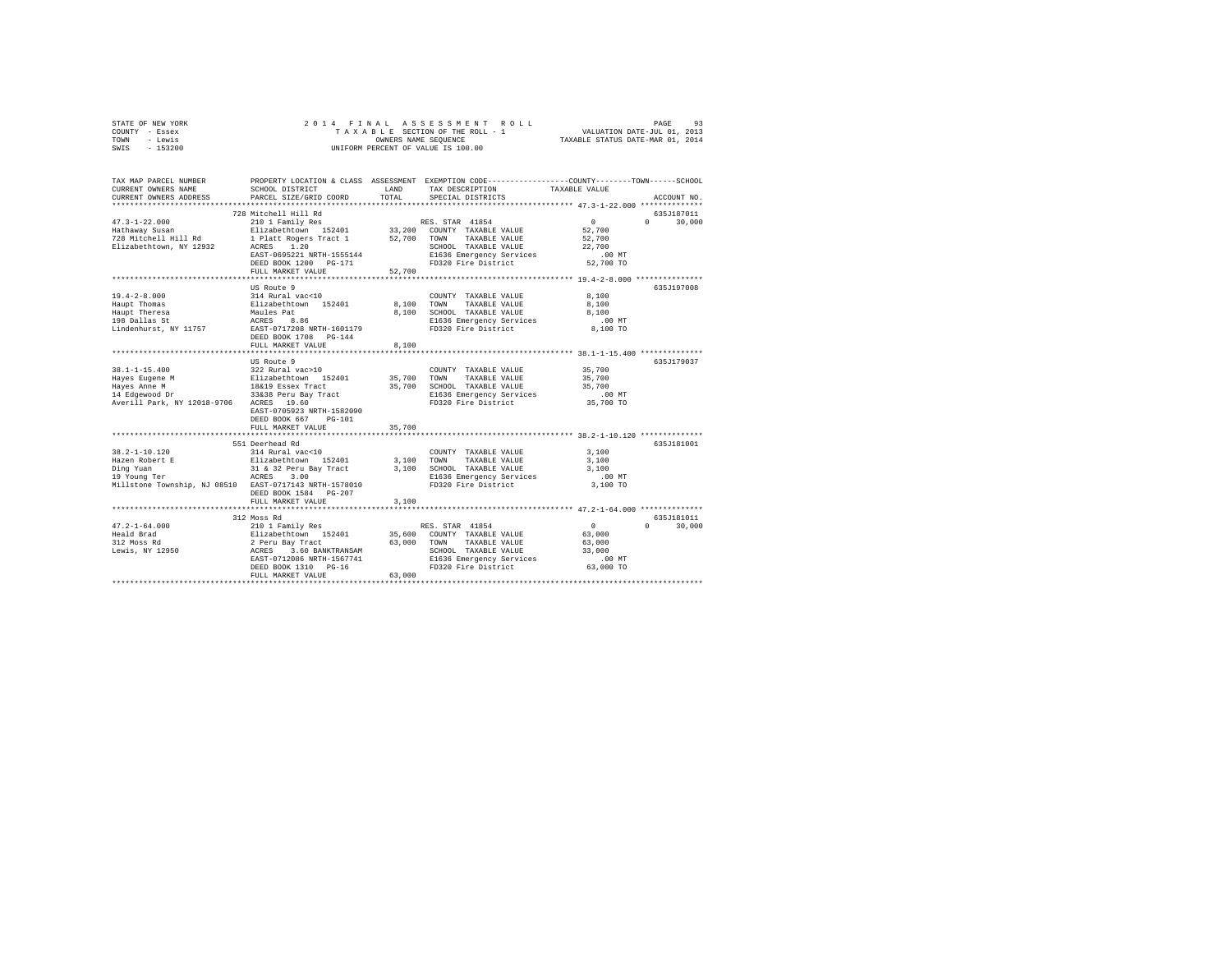| - Lewis<br>TOWN<br>$-153200$<br>SWIS                                                                                                                                                                                                                                                                                                                                                                                                                                                                                                                                                               |                                                                                                                                                                                               |                | OWNERS NAME SEQUENCE<br>UNIFORM PERCENT OF VALUE IS 100.00                                                                              | TAXABLE STATUS DATE-MAR 01, 2014                 |                             |
|----------------------------------------------------------------------------------------------------------------------------------------------------------------------------------------------------------------------------------------------------------------------------------------------------------------------------------------------------------------------------------------------------------------------------------------------------------------------------------------------------------------------------------------------------------------------------------------------------|-----------------------------------------------------------------------------------------------------------------------------------------------------------------------------------------------|----------------|-----------------------------------------------------------------------------------------------------------------------------------------|--------------------------------------------------|-----------------------------|
| TAX MAP PARCEL NUMBER<br>CURRENT OWNERS NAME<br>CURRENT OWNERS ADDRESS                                                                                                                                                                                                                                                                                                                                                                                                                                                                                                                             | PROPERTY LOCATION & CLASS ASSESSMENT EXEMPTION CODE---------------COUNTY-------TOWN------SCHOOL<br>SCHOOL DISTRICT<br>PARCEL SIZE/GRID COORD                                                  | TOTAL.         | LAND TAX DESCRIPTION<br>SPECIAL DISTRICTS                                                                                               | TAXABLE VALUE                                    | ACCOUNT NO.                 |
|                                                                                                                                                                                                                                                                                                                                                                                                                                                                                                                                                                                                    |                                                                                                                                                                                               |                |                                                                                                                                         |                                                  |                             |
| $47.3 - 1 - 22.000$<br>Hathaway Susan<br>Elizabethtown, NY 12932                                                                                                                                                                                                                                                                                                                                                                                                                                                                                                                                   | 728 Mitchell Hill Rd<br>ACRES 1.20<br>ACRES 1.20<br>EAST-0695221 NRTH-1555144<br>DEED BOOK 1200 PG-171<br>FULL MARKET VALUE                                                                   | 52,700         | TAXABLE VALUE<br>SCHOOL TAXABLE VALUE<br>E1636 Emergency Services<br>FD320 Fire District 52,700 TO                                      | $\sim$ 0<br>52,700<br>52,700<br>22,700<br>.00 MT | 635J187011<br>$0 \t 30.000$ |
|                                                                                                                                                                                                                                                                                                                                                                                                                                                                                                                                                                                                    |                                                                                                                                                                                               |                |                                                                                                                                         |                                                  |                             |
| $19.4 - 2 - 8.000$<br>Haupt Thomas<br>Haupt Theresa<br>- --1100 St<br>Lindenhurst, NY 11757                                                                                                                                                                                                                                                                                                                                                                                                                                                                                                        | US Route 9<br>314 Rural vac<10<br>Elizabethtown 152401 8,100<br>Maules Pat<br>ACRES 8.86<br>Maules Pat<br>ACRES 8.<br>EAST-0717208 NRTH-1601179<br>DEED BOOK 1708 PG-144<br>FULL MARKET VALUE | 8,100<br>8,100 | COUNTY TAXABLE VALUE<br>TOWN<br>TAXABLE VALUE 8,100<br>SCHOOL TAXABLE VALUE<br>E1636 Emergency Services<br>FD320 Fire District 8.100 TO | 8,100<br>8,100<br>.00 MT                         | 635J197008                  |
|                                                                                                                                                                                                                                                                                                                                                                                                                                                                                                                                                                                                    | US Route 9                                                                                                                                                                                    |                |                                                                                                                                         |                                                  | 635.T179037                 |
| $38.1 - 1 - 15.400$<br>$[{\rm Hayes\ Ruge and {\rm Imiges\ Ruge and {\rm Imiges\ Ruge and {\rm Imiges\ Ruge and {\rm Imiges\ Ruge and {\rm Imiges\ Ruge and {\rm Imiges\ Ruge and {\rm Imiges\ Ruge and {\rm Imiges\ Ruge and {\rm Imiges\ Ruge and {\rm Imiges\ Ruge and {\rm Imiges\ Ruge and {\rm Imiges\ Ruge and {\rm Imiges\ Ruge and {\rm Imiges\ Ruge and {\rm Imiges\ Ruge and {\rm Imiges\ Ruge and {\rm Imiges\ Ruge and {\rm Imiges\ Ruge and {\rm Imiges\ Ruge and {\rm Imiges\ Ruge.}}}}}}}} \cdot 165,700 \quad {\rm 700M} \quad {\rm 7$<br>Averill Park, NY 12018-9706 ACRES 19.60 | 322 Rural vac>10<br>EAST-0705923 NRTH-1582090<br>DEED BOOK 667 PG-101                                                                                                                         |                | COUNTY TAXABLE VALUE 35,700<br>E1636 Emergency Services<br>FD320 Fire District                                                          | 35,700<br>35,700<br>.00MT<br>00 MT.<br>35,700 TO |                             |
|                                                                                                                                                                                                                                                                                                                                                                                                                                                                                                                                                                                                    | FULL MARKET VALUE                                                                                                                                                                             | 35,700         |                                                                                                                                         |                                                  |                             |
| $38.2 - 1 - 10.120$                                                                                                                                                                                                                                                                                                                                                                                                                                                                                                                                                                                | 551 Deerhead Rd<br>$314$ Rural vac< $10$                                                                                                                                                      |                | COUNTY TAXABLE VALUE                                                                                                                    | 3,100                                            | 635J181001                  |
| Hazen Robert E<br>Ding Yuan<br>19 Young Ter<br>Millstone Township, NJ 08510 EAST-0717143 NRTH-1578010                                                                                                                                                                                                                                                                                                                                                                                                                                                                                              | Elizabethtown 152401 3,100<br>31 & 32 Peru Bay Tract<br>ACRES 3.00<br>DEED BOOK 1584 PG-207<br>FULL MARKET VALUE                                                                              | 3,100          | TAXABLE VALUE 3,100<br>TOWN<br>3,100 SCHOOL TAXABLE VALUE<br>E1636 Emergency Services<br>FD320 Fire District 3.100 TO                   | 3,100<br>.00 MT                                  |                             |
|                                                                                                                                                                                                                                                                                                                                                                                                                                                                                                                                                                                                    |                                                                                                                                                                                               |                |                                                                                                                                         |                                                  |                             |

312 Moss Rd 635J181011 47.2-1-64.000 210 1 Family Res RES. STAR 41854 0 0 30,000

EAST-0712086 NRTH-1567741 E1636 Emergency Services .00 MT DEED BOOK 1310 PG-16 FD320 Fire District 63,000 TO FULL MARKET VALUE 63,000 \*\*\*\*\*\*\*\*\*\*\*\*\*\*\*\*\*\*\*\*\*\*\*\*\*\*\*\*\*\*\*\*\*\*\*\*\*\*\*\*\*\*\*\*\*\*\*\*\*\*\*\*\*\*\*\*\*\*\*\*\*\*\*\*\*\*\*\*\*\*\*\*\*\*\*\*\*\*\*\*\*\*\*\*\*\*\*\*\*\*\*\*\*\*\*\*\*\*\*\*\*\*\*\*\*\*\*\*\*\*\*\*\*\*\*\*\*\*\*\*\*\*\*\*\*\*\*\*\*\*\*\*

Heald Brad Elizabethtown 152401 35,600 COUNTY TAXABLE VALUE 63,000 312 Moss Rd 2 Peru Bay Tract 63,000 TOWN TAXABLE VALUE 63,000 Lewis, NY 12950 ACRES 3.60 BANKTRANSAM SCHOOL TAXABLE VALUE 33,000

STATE OF NEW YORK 2 0 1 4 F I N A L A S S E S S M E N T R O L L PAGE 93 COUNTY - Essex T A X A B L E SECTION OF THE ROLL - 1 VALUATION DATE-JUL 01, 2013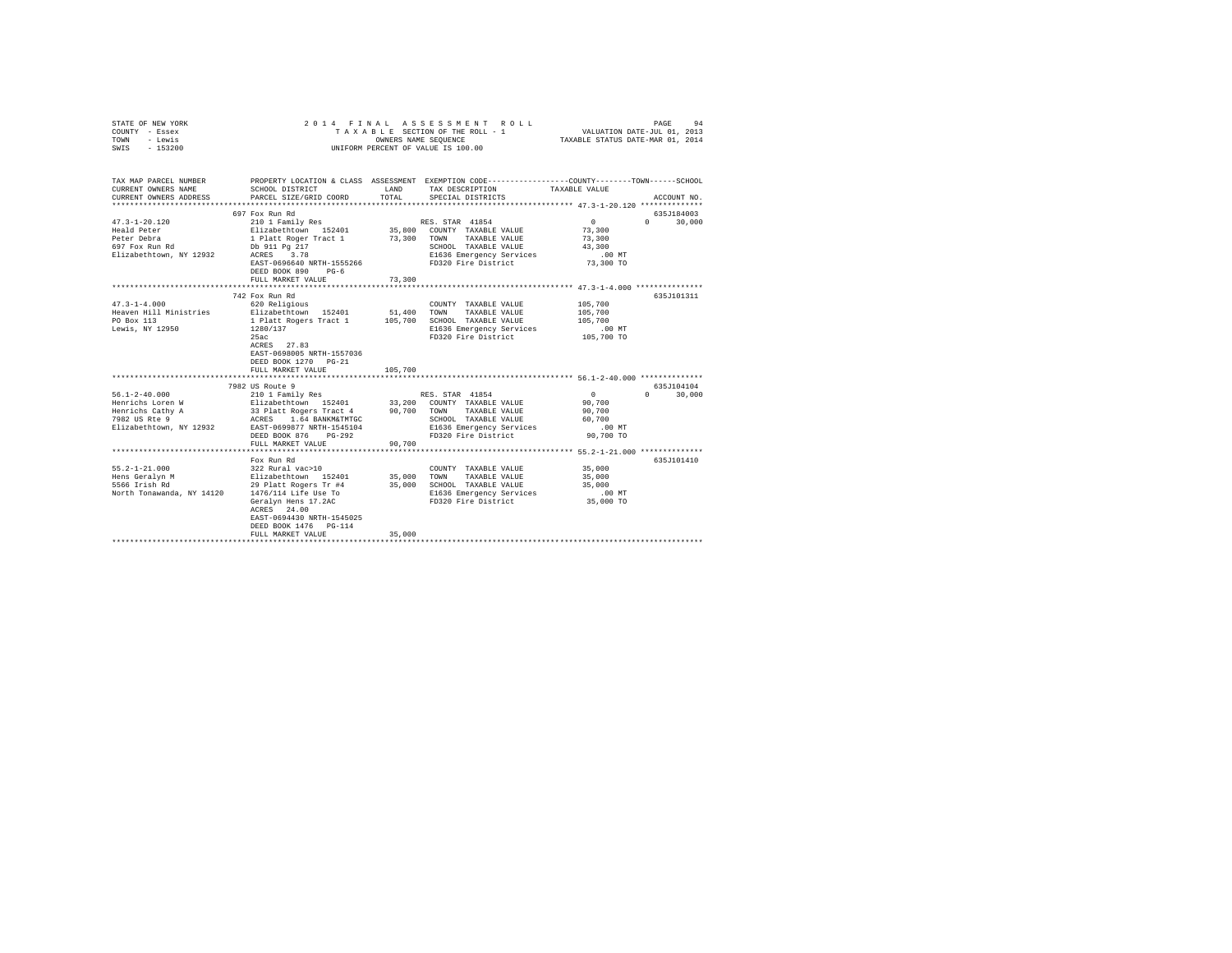| STATE OF NEW YORK<br>COUNTY - Essex<br>TOWN<br>- Lewis<br>SWIS - 153200 | 2014 FINAL<br>TAXABLE SECTION OF THE ROLL - 1<br>UNIFORM PERCENT OF VALUE IS 100.00                                                      | VALUATION DATE-JUL 01, 2013<br>TAXABLE STATUS DATE-MAR 01, 2014 | PAGE<br>94                                                  |                                                     |                                  |
|-------------------------------------------------------------------------|------------------------------------------------------------------------------------------------------------------------------------------|-----------------------------------------------------------------|-------------------------------------------------------------|-----------------------------------------------------|----------------------------------|
| TAX MAP PARCEL NUMBER<br>CURRENT OWNERS NAME                            | PROPERTY LOCATION & CLASS ASSESSMENT EXEMPTION CODE----------------COUNTY--------TOWN-----SCHOOL<br>SCHOOL DISTRICT                      | LAND                                                            | TAX DESCRIPTION                                             | TAXABLE VALUE                                       |                                  |
| CURRENT OWNERS ADDRESS                                                  | PARCEL SIZE/GRID COORD                                                                                                                   | TOTAL                                                           | SPECIAL DISTRICTS                                           |                                                     | ACCOUNT NO.                      |
|                                                                         | 697 Fox Run Rd                                                                                                                           |                                                                 |                                                             |                                                     | 635J184003                       |
| $47.3 - 1 - 20.120$                                                     | 210 1 Family Res                                                                                                                         |                                                                 | RES. STAR 41854                                             | $\sim$ 0                                            | $0 \qquad \qquad$<br>30,000      |
| Heald Peter<br>Peter Debra                                              | Elizabethtown 152401<br>1 Platt Roger Tract 1                                                                                            |                                                                 | 35,800 COUNTY TAXABLE VALUE<br>73,300 TOWN TAXABLE VALUE    | 73,300<br>73,300                                    |                                  |
| 697 Fox Run Rd                                                          | Db 911 Pg 217                                                                                                                            |                                                                 | SCHOOL TAXABLE VALUE                                        | 43,300                                              |                                  |
| Elizabethtown, NY 12932                                                 | ACRES 3.78                                                                                                                               |                                                                 | E1636 Emergency Services                                    | $.00$ MT                                            |                                  |
|                                                                         | EAST-0696640 NRTH-1555266                                                                                                                |                                                                 | FD320 Fire District                                         | 73,300 TO                                           |                                  |
|                                                                         | DEED BOOK 890<br>$PG-6$                                                                                                                  |                                                                 |                                                             |                                                     |                                  |
|                                                                         | FULL MARKET VALUE                                                                                                                        | 73,300                                                          |                                                             |                                                     |                                  |
|                                                                         | 742 Fox Run Rd                                                                                                                           |                                                                 |                                                             |                                                     | 635J101311                       |
| $47.3 - 1 - 4.000$                                                      | 620 Religious                                                                                                                            |                                                                 | COUNTY TAXABLE VALUE                                        | 105,700                                             |                                  |
| Heaven Hill Ministries                                                  | Elizabethtown 152401                                                                                                                     | 51,400                                                          | TOWN TAXABLE VALUE                                          | 105,700                                             |                                  |
| PO Box 113                                                              | 1 Platt Rogers Tract 1 105,700 SCHOOL TAXABLE VALUE                                                                                      |                                                                 |                                                             | 105,700                                             |                                  |
| Lewis, NY 12950                                                         | 1280/137                                                                                                                                 |                                                                 | E1636 Emergency Services                                    | .00 MT                                              |                                  |
|                                                                         | 25ac<br>ACRES 27.83<br>EAST-0698005 NRTH-1557036<br>DEED BOOK 1270 PG-21                                                                 |                                                                 | FD320 Fire District                                         | 105,700 TO                                          |                                  |
|                                                                         | FULL MARKET VALUE                                                                                                                        | 105,700                                                         |                                                             |                                                     |                                  |
|                                                                         | ***********************                                                                                                                  | *********                                                       |                                                             | ********************** 56.1-2-40.000 ************** |                                  |
| $56.1 - 2 - 40.000$                                                     | 7982 US Route 9<br>210 1 Family Res                                                                                                      |                                                                 | RES. STAR 41854                                             | $\mathbf{0}$                                        | 635J104104<br>$\Omega$<br>30,000 |
| Henrichs Loren W                                                        |                                                                                                                                          |                                                                 | 33,200 COUNTY TAXABLE VALUE                                 | 90,700                                              |                                  |
| Henrichs Cathy A                                                        |                                                                                                                                          |                                                                 | TAXABLE VALUE                                               | 90,700                                              |                                  |
| 7982 US Rte 9                                                           | 210 ramsly Res 2010 COUNTY<br>Elizabethtown 152401 33,200 COUNTY<br>33 Platt Rogers Tract 4 90,700 TOWN<br>ACRES 1.64 BANKM&TMTGC SCHOOL |                                                                 | SCHOOL TAXABLE VALUE                                        | 60,700                                              |                                  |
| Elizabethtown, NY 12932                                                 | EAST-0699877 NRTH-1545104                                                                                                                |                                                                 | E1636 Emergency Services                                    | $.00$ MT                                            |                                  |
|                                                                         | DEED BOOK 876 PG-292                                                                                                                     |                                                                 | FD320 Fire District                                         | 90,700 TO                                           |                                  |
|                                                                         | FULL MARKET VALUE                                                                                                                        | 90,700                                                          | ****************************** 55.2-1-21.000 ************** |                                                     |                                  |
|                                                                         | Fox Run Rd                                                                                                                               |                                                                 |                                                             |                                                     | 635J101410                       |
| $55.2 - 1 - 21.000$                                                     | 322 Rural vac>10                                                                                                                         |                                                                 | COUNTY TAXABLE VALUE                                        | 35,000                                              |                                  |
| Hens Geralyn M                                                          | Elizabethtown 152401                                                                                                                     | 35,000                                                          | TAXABLE VALUE<br>TOWN                                       | 35,000                                              |                                  |
| 5566 Irish Rd                                                           | 29 Platt Rogers Tr #4                                                                                                                    | 35,000                                                          | SCHOOL TAXABLE VALUE                                        | 35,000                                              |                                  |
| North Tonawanda, NY 14120                                               | 1476/114 Life Use To                                                                                                                     |                                                                 | E1636 Emergency Services                                    | $.00$ MT                                            |                                  |
|                                                                         | Geralyn Hens 17.2AC<br>ACRES 24.00                                                                                                       |                                                                 | FD320 Fire District                                         | 35,000 TO                                           |                                  |
|                                                                         | EAST-0694430 NRTH-1545025                                                                                                                |                                                                 |                                                             |                                                     |                                  |
|                                                                         | DEED BOOK 1476 PG-114                                                                                                                    |                                                                 |                                                             |                                                     |                                  |
|                                                                         | FULL MARKET VALUE                                                                                                                        | 35,000                                                          |                                                             |                                                     |                                  |
|                                                                         |                                                                                                                                          |                                                                 |                                                             |                                                     |                                  |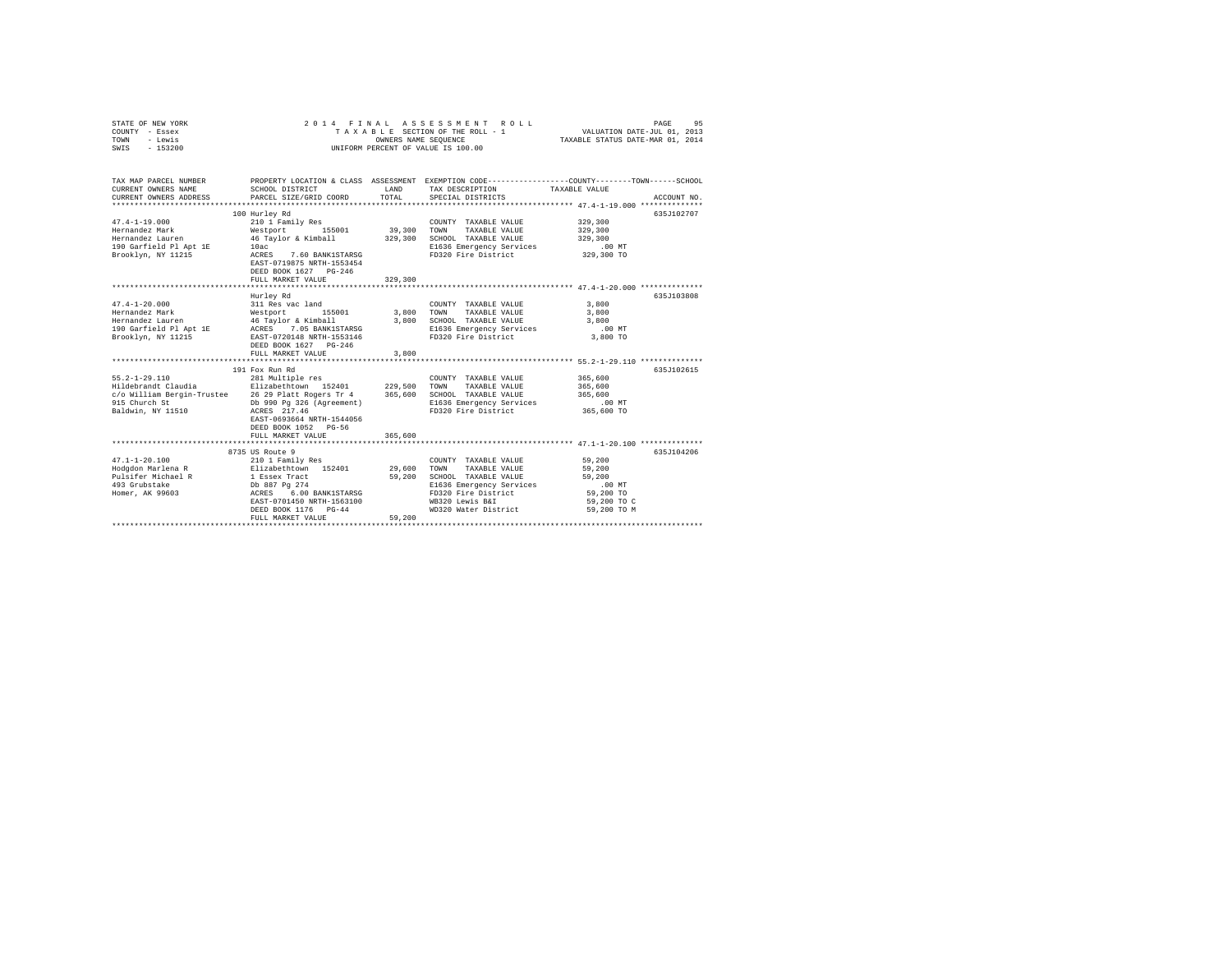| STATE OF NEW YORK<br>COUNTY - Essex<br>TOWN<br>- Lewis<br>SWIS<br>$-153200$                                     | 2014 FINAL<br>TAXABLE SECTION OF THE ROLL - 1<br>UNIFORM PERCENT OF VALUE IS 100.00                                                                                                                                                | PAGE<br>VALUATION DATE-JUL 01, 2013<br>TAXABLE STATUS DATE-MAR 01, 2014 | 95                                                                                                                                                                  |                                                                                                                                |  |
|-----------------------------------------------------------------------------------------------------------------|------------------------------------------------------------------------------------------------------------------------------------------------------------------------------------------------------------------------------------|-------------------------------------------------------------------------|---------------------------------------------------------------------------------------------------------------------------------------------------------------------|--------------------------------------------------------------------------------------------------------------------------------|--|
| TAX MAP PARCEL NUMBER<br>CURRENT OWNERS NAME<br>CURRENT OWNERS ADDRESS                                          | SCHOOL DISTRICT<br>PARCEL SIZE/GRID COORD                                                                                                                                                                                          | LAND<br>TOTAL                                                           | TAX DESCRIPTION<br>SPECIAL DISTRICTS                                                                                                                                | PROPERTY LOCATION & CLASS ASSESSMENT EXEMPTION CODE---------------COUNTY-------TOWN-----SCHOOL<br>TAXABLE VALUE<br>ACCOUNT NO. |  |
| $47.4 - 1 - 19.000$<br>Hernandez Mark<br>Hernandez Lauren<br>190 Garfield Pl Apt 1E<br>Brooklyn, NY 11215       | 100 Hurley Rd<br>210 1 Family Res<br>Westport 155001<br>46 Taylor & Kimball<br>10ac<br>ACRES<br>7.60 BANK1STARSG<br>EAST-0719875 NRTH-1553454<br>DEED BOOK 1627 PG-246<br>FULL MARKET VALUE                                        | 39,300<br>329,300<br>329,300                                            | COUNTY TAXABLE VALUE<br>TOWN<br>TAXABLE VALUE<br>SCHOOL TAXABLE VALUE<br>E1636 Emergency Services<br>FD320 Fire District                                            | 635J102707<br>329,300<br>329,300<br>329,300<br>$.00$ MT<br>329,300 TO                                                          |  |
|                                                                                                                 |                                                                                                                                                                                                                                    |                                                                         |                                                                                                                                                                     |                                                                                                                                |  |
| $47.4 - 1 - 20.000$<br>Hernandez Mark<br>Hernandez Lauren<br>Brooklyn, NY 11215                                 | Hurley Rd<br>311 Res vac land<br>Westport<br>155001<br>46 Taylor & Kimball<br>EAST-0720148 NRTH-1553146<br>DEED BOOK 1627 PG-246<br>FULL MARKET VALUE                                                                              | 3,800<br>3,800<br>3,800                                                 | COUNTY TAXABLE VALUE<br>TOWN<br>TAXABLE VALUE<br>SCHOOL TAXABLE VALUE<br>E1636 Emergency Services<br>FD320 Fire District                                            | 635J103808<br>3,800<br>3,800<br>3,800<br>.00 MT<br>3,800 TO                                                                    |  |
|                                                                                                                 | 191 Fox Run Rd                                                                                                                                                                                                                     |                                                                         |                                                                                                                                                                     | 635J102615                                                                                                                     |  |
| $55.2 - 1 - 29.110$<br>c/o William Bergin-Trustee 26 29 Platt Rogers Tr 4<br>915 Church St<br>Baldwin, NY 11510 | 281 Multiple res<br>Db 990 Pg 326 (Agreement)<br>ACRES 217.46<br>EAST-0693664 NRTH-1544056<br>DEED BOOK 1052 PG-56<br>FULL MARKET VALUE                                                                                            | 229,500<br>365,600<br>365,600                                           | COUNTY TAXABLE VALUE<br>TOWN<br>TAXABLE VALUE<br>SCHOOL TAXABLE VALUE<br>E1636 Emergency Services<br>FD320 Fire District                                            | 365,600<br>365,600<br>365,600<br>$.00$ MT<br>365,600 TO                                                                        |  |
|                                                                                                                 |                                                                                                                                                                                                                                    |                                                                         |                                                                                                                                                                     |                                                                                                                                |  |
| $47.1 - 1 - 20.100$<br>Hodgdon Marlena R<br>Pulsifer Michael R<br>493 Grubstake<br>Homer, AK 99603              | 8735 US Route 9<br>210 1 Family Res<br>Elizabethtown 152401<br>1 Essex Tract<br>Db 887 Pg 274<br>6.00 BANK1STARSG<br>ACRES<br>EAST-0701450 NRTH-1563100<br>DEED BOOK 1176 PG-44<br>FULL MARKET VALUE<br>************************** | 29,600<br>59,200<br>59,200                                              | COUNTY TAXABLE VALUE<br>TOWN<br>TAXABLE VALUE<br>SCHOOL TAXABLE VALUE<br>E1636 Emergency Services<br>FD320 Fire District<br>WB320 Lewis B&I<br>WD320 Water District | 635.T104206<br>59,200<br>59,200<br>59,200<br>$.00$ MT<br>59,200 TO<br>59,200 TO C<br>59.200 TO M                               |  |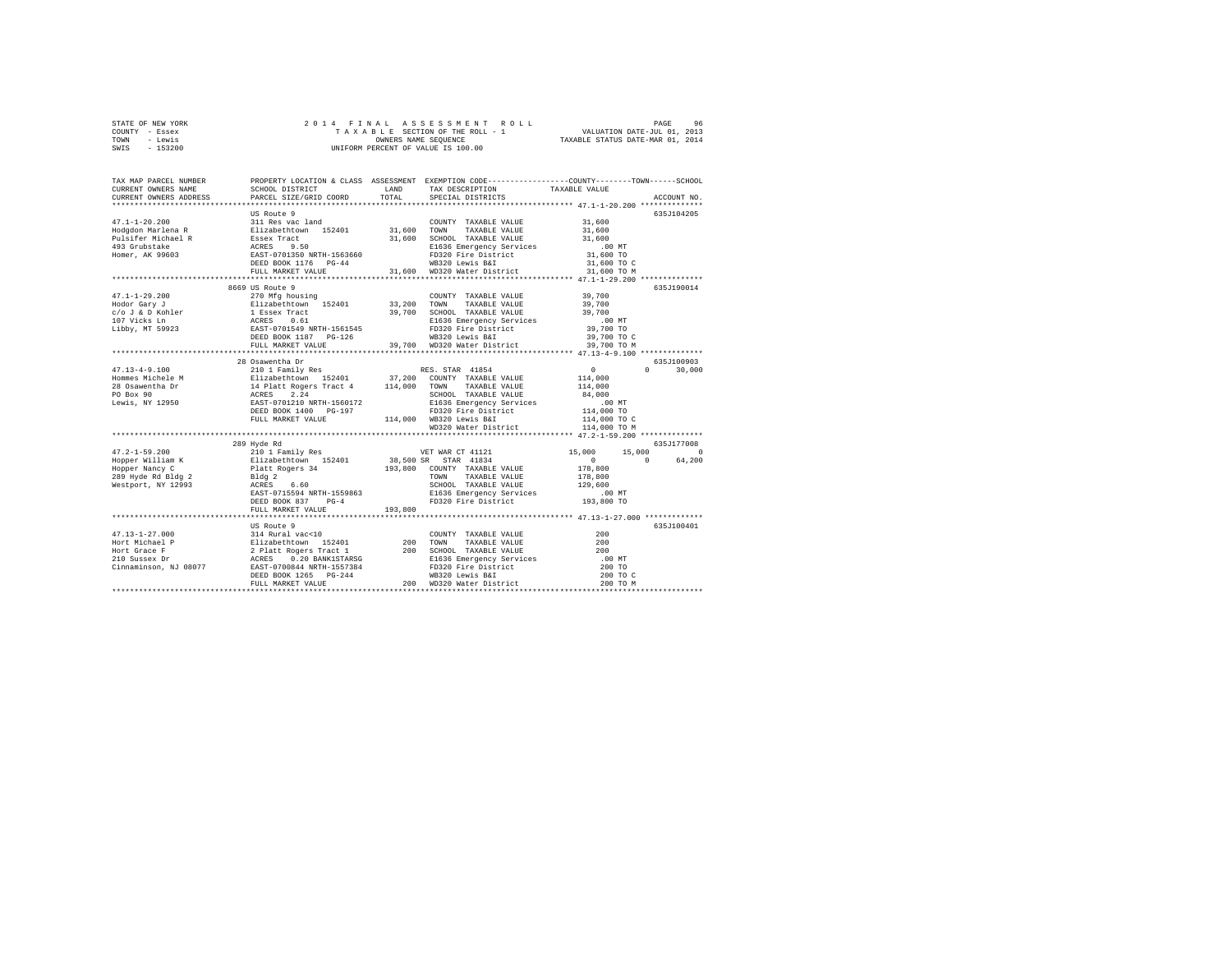|                | STATE OF NEW YORK |  |  | 2014 FINAL ASSESSMENT ROLL         |                                  | PAGE                        | 96 |
|----------------|-------------------|--|--|------------------------------------|----------------------------------|-----------------------------|----|
| COUNTY - Essex |                   |  |  | TAXABLE SECTION OF THE ROLL - 1    |                                  | VALUATION DATE-JUL 01, 2013 |    |
| TOWN           | - Lewis           |  |  | OWNERS NAME SEOUENCE               | TAXABLE STATUS DATE-MAR 01, 2014 |                             |    |
| SWIS           | $-153200$         |  |  | UNIFORM PERCENT OF VALUE IS 100.00 |                                  |                             |    |

| TAX MAP PARCEL NUMBER<br>CURRENT OWNERS NAME<br>CURRENT OWNERS ADDRESS | SCHOOL DISTRICT<br>PARCEL SIZE/GRID COORD | LAND<br>TOTAL | PROPERTY LOCATION & CLASS ASSESSMENT EXEMPTION CODE---------------COUNTY-------TOWN------SCHOOL<br>TAX DESCRIPTION<br>SPECIAL DISTRICTS | TAXABLE VALUE                                         | ACCOUNT NO.        |
|------------------------------------------------------------------------|-------------------------------------------|---------------|-----------------------------------------------------------------------------------------------------------------------------------------|-------------------------------------------------------|--------------------|
|                                                                        |                                           |               |                                                                                                                                         |                                                       |                    |
|                                                                        | US Route 9                                |               |                                                                                                                                         |                                                       | 635.1104205        |
| $47.1 - 1 - 20.200$                                                    | 311 Res vac land                          |               | COUNTY TAXABLE VALUE 31,600                                                                                                             |                                                       |                    |
|                                                                        |                                           |               |                                                                                                                                         | 31,600                                                |                    |
|                                                                        |                                           |               | 31,600 SCHOOL TAXABLE VALUE                                                                                                             | 31,600                                                |                    |
|                                                                        |                                           |               | E1636 Emergency Services                                                                                                                | $.00$ MT                                              |                    |
|                                                                        |                                           |               | FD320 Fire District 31,600 TO<br>MP320 Levis BST                                                                                        |                                                       |                    |
|                                                                        |                                           |               |                                                                                                                                         |                                                       |                    |
|                                                                        |                                           |               |                                                                                                                                         |                                                       |                    |
|                                                                        |                                           |               |                                                                                                                                         | ************************ 47.1-1-29.200 ************** |                    |
|                                                                        | 8669 US Route 9                           |               |                                                                                                                                         |                                                       | 635J190014         |
| $47.1 - 1 - 29.200$                                                    | 270 Mfg housing                           |               | COUNTY TAXABLE VALUE                                                                                                                    | 39.700                                                |                    |
|                                                                        |                                           |               |                                                                                                                                         | 39,700<br>39,700                                      |                    |
|                                                                        |                                           |               |                                                                                                                                         |                                                       |                    |
|                                                                        |                                           |               | E1636 Emergency Services .00 MT<br>FD320 Fire District 39,700 TO                                                                        |                                                       |                    |
|                                                                        |                                           |               |                                                                                                                                         |                                                       |                    |
|                                                                        | FULL MARKET VALUE                         |               | WB320 Lewis B&I<br>39,700 WD320 Water District 39,700 TO M                                                                              | 39,700 TO C                                           |                    |
|                                                                        |                                           |               |                                                                                                                                         |                                                       |                    |
|                                                                        | 28 Osawentha Dr                           |               |                                                                                                                                         |                                                       | 635J100903         |
| $47.13 - 4 - 9.100$                                                    | 210 1 Family Res RES. STAR 41854          |               |                                                                                                                                         |                                                       | $0 \t 30,000$      |
|                                                                        |                                           |               |                                                                                                                                         | 114,000                                               |                    |
|                                                                        |                                           |               |                                                                                                                                         | 114,000                                               |                    |
|                                                                        |                                           |               | SCHOOL TAXABLE VALUE                                                                                                                    | 84,000                                                |                    |
|                                                                        |                                           |               | E1636 Emergency Services                                                                                                                |                                                       |                    |
|                                                                        |                                           |               |                                                                                                                                         |                                                       |                    |
|                                                                        | FULL MARKET VALUE                         |               | FD320 Fire District<br>114,000 WB320 Lewis B&I                                                                                          | $114,000$ TO<br>$114,000$ TO<br>$114,000$ TO C        |                    |
|                                                                        |                                           |               | WD320 Water District                                                                                                                    | 114,000 TO M                                          |                    |
|                                                                        |                                           |               |                                                                                                                                         |                                                       |                    |
|                                                                        | 289 Hyde Rd                               |               |                                                                                                                                         |                                                       | 635J177008         |
|                                                                        |                                           |               |                                                                                                                                         | 15,000                                                | 15,000<br>$\Omega$ |
|                                                                        |                                           |               |                                                                                                                                         | $\mathbf{0}$                                          | 64,200<br>$\Omega$ |
|                                                                        |                                           |               |                                                                                                                                         | 178,800                                               |                    |
|                                                                        |                                           |               |                                                                                                                                         | 178,800                                               |                    |
|                                                                        |                                           |               | SCHOOL TAXABLE VALUE 129,600<br>E1636 Emergency Services .00 MT<br>FD320 Fire District 193,800 TO                                       |                                                       |                    |
|                                                                        |                                           |               | E1636 Emergency Services                                                                                                                |                                                       |                    |
|                                                                        | DEED BOOK 837 PG-4                        |               |                                                                                                                                         |                                                       |                    |
|                                                                        | FULL MARKET VALUE                         | 193,800       |                                                                                                                                         |                                                       |                    |
|                                                                        |                                           |               |                                                                                                                                         |                                                       | 635.7100401        |
|                                                                        | US Route 9                                |               |                                                                                                                                         | 200                                                   |                    |
|                                                                        |                                           |               |                                                                                                                                         | 200                                                   |                    |
|                                                                        |                                           |               |                                                                                                                                         |                                                       |                    |
|                                                                        |                                           |               | SCHOOL TAXABLE VALUE<br>E1636 Emergency Services (0.0 MT)<br>200 TO                                                                     |                                                       |                    |
|                                                                        |                                           |               |                                                                                                                                         | 200 TO                                                |                    |
|                                                                        |                                           |               |                                                                                                                                         | 200 TO C                                              |                    |
|                                                                        |                                           |               |                                                                                                                                         | 200 TO M                                              |                    |
|                                                                        |                                           |               |                                                                                                                                         |                                                       |                    |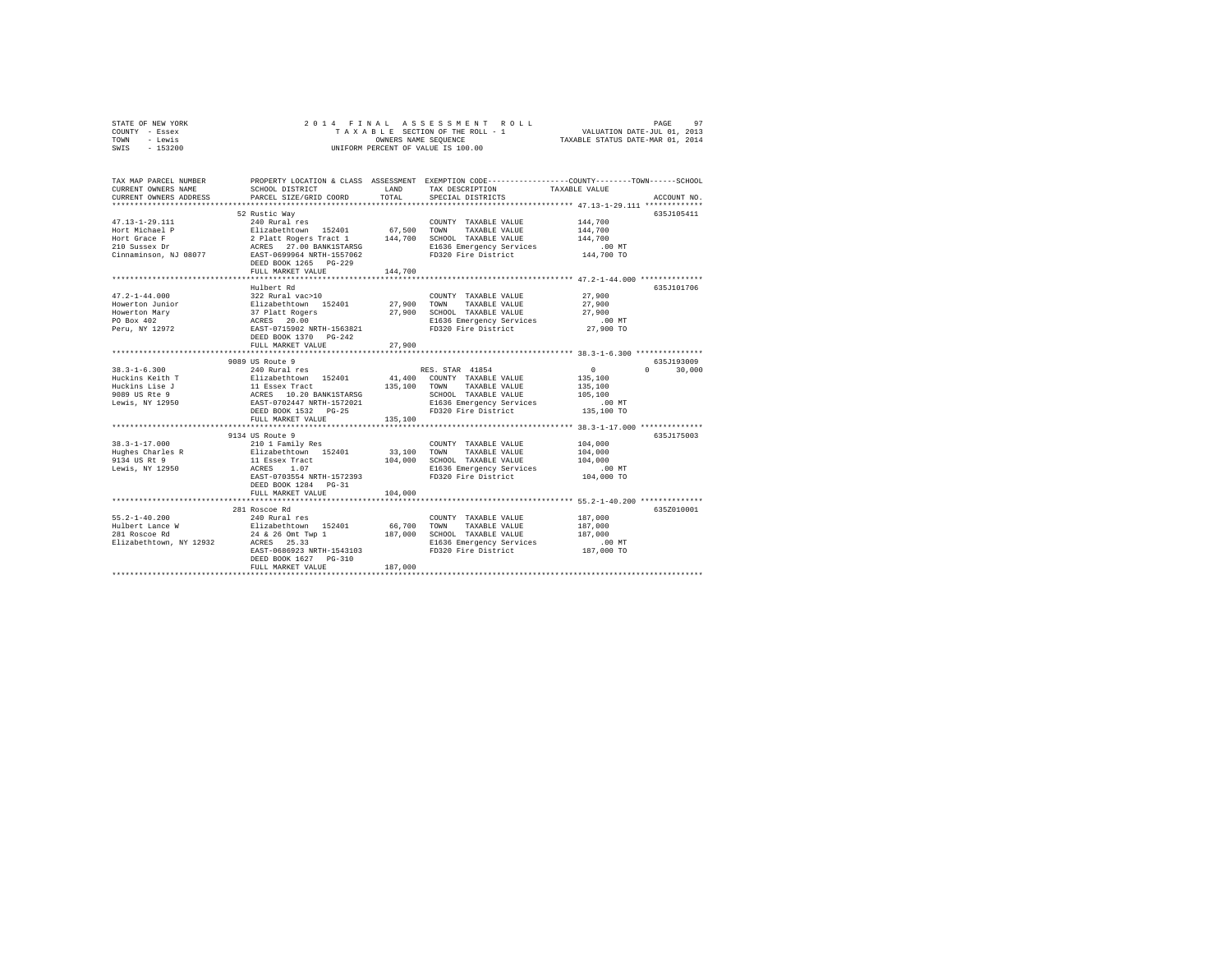| STATE OF NEW YORK                                                                                                                                                                                                                                                                                                    | 2014 FINAL                                                                                                                                                                                                                                                                                   |         |                                    |                                                                                                |  |  |
|----------------------------------------------------------------------------------------------------------------------------------------------------------------------------------------------------------------------------------------------------------------------------------------------------------------------|----------------------------------------------------------------------------------------------------------------------------------------------------------------------------------------------------------------------------------------------------------------------------------------------|---------|------------------------------------|------------------------------------------------------------------------------------------------|--|--|
| COUNTY - Essex                                                                                                                                                                                                                                                                                                       |                                                                                                                                                                                                                                                                                              |         |                                    |                                                                                                |  |  |
| TOWN - Lewis                                                                                                                                                                                                                                                                                                         | 4 FINAL ASSESSMENT ROLL PROFINE PROFINE PROFINE PROFINE SELENCE SECTION OF THE ROLL PROFINE PROFINE PROFINE PROFINE PROFINE PROFINE PROFINE PROFINE PROFINE PROFINE PROFINE PROFINE PROFINE PROFINE PROFINE PROFINE PROFINE PR<br>OWNERS NAME SEQUENCE<br>UNIFORM PERCENT OF VALUE IS 100.00 |         |                                    |                                                                                                |  |  |
| SWIS - 153200                                                                                                                                                                                                                                                                                                        |                                                                                                                                                                                                                                                                                              |         |                                    |                                                                                                |  |  |
|                                                                                                                                                                                                                                                                                                                      |                                                                                                                                                                                                                                                                                              |         |                                    |                                                                                                |  |  |
|                                                                                                                                                                                                                                                                                                                      |                                                                                                                                                                                                                                                                                              |         |                                    |                                                                                                |  |  |
| TAX MAP PARCEL NUMBER                                                                                                                                                                                                                                                                                                |                                                                                                                                                                                                                                                                                              |         |                                    |                                                                                                |  |  |
| CURRENT OWNERS NAME                                                                                                                                                                                                                                                                                                  | SCHOOL DISTRICT                                                                                                                                                                                                                                                                              |         | LAND TAX DESCRIPTION TAXABLE VALUE | PROPERTY LOCATION & CLASS ASSESSMENT EXEMPTION CODE---------------COUNTY-------TOWN-----SCHOOL |  |  |
| CURRENT OWNERS ADDRESS                                                                                                                                                                                                                                                                                               | PARCEL SIZE/GRID COORD                                                                                                                                                                                                                                                                       | TOTAL   | SPECIAL DISTRICTS                  | ACCOUNT NO.                                                                                    |  |  |
|                                                                                                                                                                                                                                                                                                                      |                                                                                                                                                                                                                                                                                              |         |                                    |                                                                                                |  |  |
|                                                                                                                                                                                                                                                                                                                      | 52 Rustic Way                                                                                                                                                                                                                                                                                |         |                                    | 635J105411                                                                                     |  |  |
| $47.13 - 1 - 29.111$                                                                                                                                                                                                                                                                                                 | 240 Rural res                                                                                                                                                                                                                                                                                |         | COUNTY TAXABLE VALUE               | 144,700                                                                                        |  |  |
|                                                                                                                                                                                                                                                                                                                      |                                                                                                                                                                                                                                                                                              |         |                                    | 144,700                                                                                        |  |  |
|                                                                                                                                                                                                                                                                                                                      |                                                                                                                                                                                                                                                                                              |         |                                    | 144,700                                                                                        |  |  |
|                                                                                                                                                                                                                                                                                                                      |                                                                                                                                                                                                                                                                                              |         |                                    | .00 MT                                                                                         |  |  |
|                                                                                                                                                                                                                                                                                                                      |                                                                                                                                                                                                                                                                                              |         |                                    | 144,700 TO                                                                                     |  |  |
|                                                                                                                                                                                                                                                                                                                      | DEED BOOK 1265 PG-229                                                                                                                                                                                                                                                                        |         |                                    |                                                                                                |  |  |
|                                                                                                                                                                                                                                                                                                                      | FULL MARKET VALUE                                                                                                                                                                                                                                                                            | 144,700 |                                    |                                                                                                |  |  |
|                                                                                                                                                                                                                                                                                                                      |                                                                                                                                                                                                                                                                                              |         |                                    |                                                                                                |  |  |
|                                                                                                                                                                                                                                                                                                                      | Hulbert Rd                                                                                                                                                                                                                                                                                   |         |                                    | 635J101706                                                                                     |  |  |
| $47.2 - 1 - 44.000$                                                                                                                                                                                                                                                                                                  | $322$ Rural vac > 10                                                                                                                                                                                                                                                                         |         | COUNTY TAXABLE VALUE               | 27,900                                                                                         |  |  |
|                                                                                                                                                                                                                                                                                                                      |                                                                                                                                                                                                                                                                                              |         |                                    | 27,900                                                                                         |  |  |
|                                                                                                                                                                                                                                                                                                                      |                                                                                                                                                                                                                                                                                              |         |                                    | 27,900                                                                                         |  |  |
|                                                                                                                                                                                                                                                                                                                      |                                                                                                                                                                                                                                                                                              |         |                                    | $.00$ MT                                                                                       |  |  |
| ${\tiny \begin{tabular}{l c c c c c c c} \hline $47.2-1$-40.000 & $522$ & $84$ & $17.2$ & $17.2$ & $17.2$ & $17.2$ & $17.2$ & $17.2$ & $17.2$ & $17.2$ & $17.2$ & $17.2$ & $17.2$ & $17.2$ & $17.2$ & $17.2$ & $17.2$ & $17.2$ & $17.2$ & $17.2$ & $17.2$ & $17.2$ & $17.2$ & $17.2$ & $17.2$ & $17.2$<br>PU BUA 302 |                                                                                                                                                                                                                                                                                              |         |                                    | 27,900 TO                                                                                      |  |  |
|                                                                                                                                                                                                                                                                                                                      | DEED BOOK 1370 PG-242                                                                                                                                                                                                                                                                        |         |                                    |                                                                                                |  |  |
|                                                                                                                                                                                                                                                                                                                      | FULL MARKET VALUE                                                                                                                                                                                                                                                                            | 27,900  |                                    |                                                                                                |  |  |
|                                                                                                                                                                                                                                                                                                                      |                                                                                                                                                                                                                                                                                              |         |                                    |                                                                                                |  |  |
|                                                                                                                                                                                                                                                                                                                      | 9089 US Route 9                                                                                                                                                                                                                                                                              |         |                                    | 635J193009                                                                                     |  |  |
|                                                                                                                                                                                                                                                                                                                      | 89 US Route 9<br>240 Rural res                                                                                                                                                                                                                                                               |         |                                    | $0 \t 30.000$                                                                                  |  |  |
|                                                                                                                                                                                                                                                                                                                      |                                                                                                                                                                                                                                                                                              |         |                                    |                                                                                                |  |  |
|                                                                                                                                                                                                                                                                                                                      |                                                                                                                                                                                                                                                                                              |         |                                    |                                                                                                |  |  |
|                                                                                                                                                                                                                                                                                                                      |                                                                                                                                                                                                                                                                                              |         |                                    |                                                                                                |  |  |
|                                                                                                                                                                                                                                                                                                                      |                                                                                                                                                                                                                                                                                              |         |                                    |                                                                                                |  |  |
|                                                                                                                                                                                                                                                                                                                      |                                                                                                                                                                                                                                                                                              |         |                                    |                                                                                                |  |  |
|                                                                                                                                                                                                                                                                                                                      |                                                                                                                                                                                                                                                                                              |         |                                    |                                                                                                |  |  |
|                                                                                                                                                                                                                                                                                                                      |                                                                                                                                                                                                                                                                                              |         |                                    |                                                                                                |  |  |
|                                                                                                                                                                                                                                                                                                                      | 9134 US Route 9                                                                                                                                                                                                                                                                              |         |                                    | 635J175003                                                                                     |  |  |
| $38.3 - 1 - 17.000$                                                                                                                                                                                                                                                                                                  | 210 1 Family Res                                                                                                                                                                                                                                                                             |         | COUNTY TAXABLE VALUE               | 104,000                                                                                        |  |  |
| Hughes Charles R<br>9134 US Rt 9                                                                                                                                                                                                                                                                                     | Elizabethtown 152401                                                                                                                                                                                                                                                                         |         | 33,100 TOWN TAXABLE VALUE          | 104,000                                                                                        |  |  |
|                                                                                                                                                                                                                                                                                                                      | 11 Essex Tract                                                                                                                                                                                                                                                                               |         | 104,000 SCHOOL TAXABLE VALUE       | 104,000                                                                                        |  |  |
| Lewis, NY 12950                                                                                                                                                                                                                                                                                                      | ACRES 1.07                                                                                                                                                                                                                                                                                   |         | E1636 Emergency Services           | .00MT                                                                                          |  |  |
|                                                                                                                                                                                                                                                                                                                      | EAST-0703554 NRTH-1572393                                                                                                                                                                                                                                                                    |         | FD320 Fire District                | 104,000 TO                                                                                     |  |  |
|                                                                                                                                                                                                                                                                                                                      | DEED BOOK 1284 PG-31                                                                                                                                                                                                                                                                         |         |                                    |                                                                                                |  |  |
|                                                                                                                                                                                                                                                                                                                      | FULL MARKET VALUE                                                                                                                                                                                                                                                                            | 104,000 |                                    |                                                                                                |  |  |
|                                                                                                                                                                                                                                                                                                                      |                                                                                                                                                                                                                                                                                              |         |                                    |                                                                                                |  |  |
|                                                                                                                                                                                                                                                                                                                      | 281 Roscoe Rd                                                                                                                                                                                                                                                                                |         |                                    | 635Z010001                                                                                     |  |  |
| $55.2 - 1 - 40.200$                                                                                                                                                                                                                                                                                                  | 240 Rural res                                                                                                                                                                                                                                                                                |         | COUNTY TAXABLE VALUE               | 187,000                                                                                        |  |  |
| Hulbert Lance W Elizabethtown 152401<br>281 Roscoe Rd 24 & 26 Omt Twp 1                                                                                                                                                                                                                                              |                                                                                                                                                                                                                                                                                              |         | 66,700 TOWN TAXABLE VALUE          | 187,000                                                                                        |  |  |
|                                                                                                                                                                                                                                                                                                                      |                                                                                                                                                                                                                                                                                              |         | 187,000 SCHOOL TAXABLE VALUE       | 187,000                                                                                        |  |  |
| Elizabethtown, NY 12932                                                                                                                                                                                                                                                                                              | ACRES 25.33                                                                                                                                                                                                                                                                                  |         | E1636 Emergency Services           | $.00$ MT                                                                                       |  |  |
|                                                                                                                                                                                                                                                                                                                      | EAST-0686923 NRTH-1543103                                                                                                                                                                                                                                                                    |         | FD320 Fire District                | 187,000 TO                                                                                     |  |  |
|                                                                                                                                                                                                                                                                                                                      | DEED BOOK 1627 PG-310                                                                                                                                                                                                                                                                        |         |                                    |                                                                                                |  |  |
|                                                                                                                                                                                                                                                                                                                      | FULL MARKET VALUE                                                                                                                                                                                                                                                                            | 187,000 |                                    |                                                                                                |  |  |
|                                                                                                                                                                                                                                                                                                                      |                                                                                                                                                                                                                                                                                              |         |                                    |                                                                                                |  |  |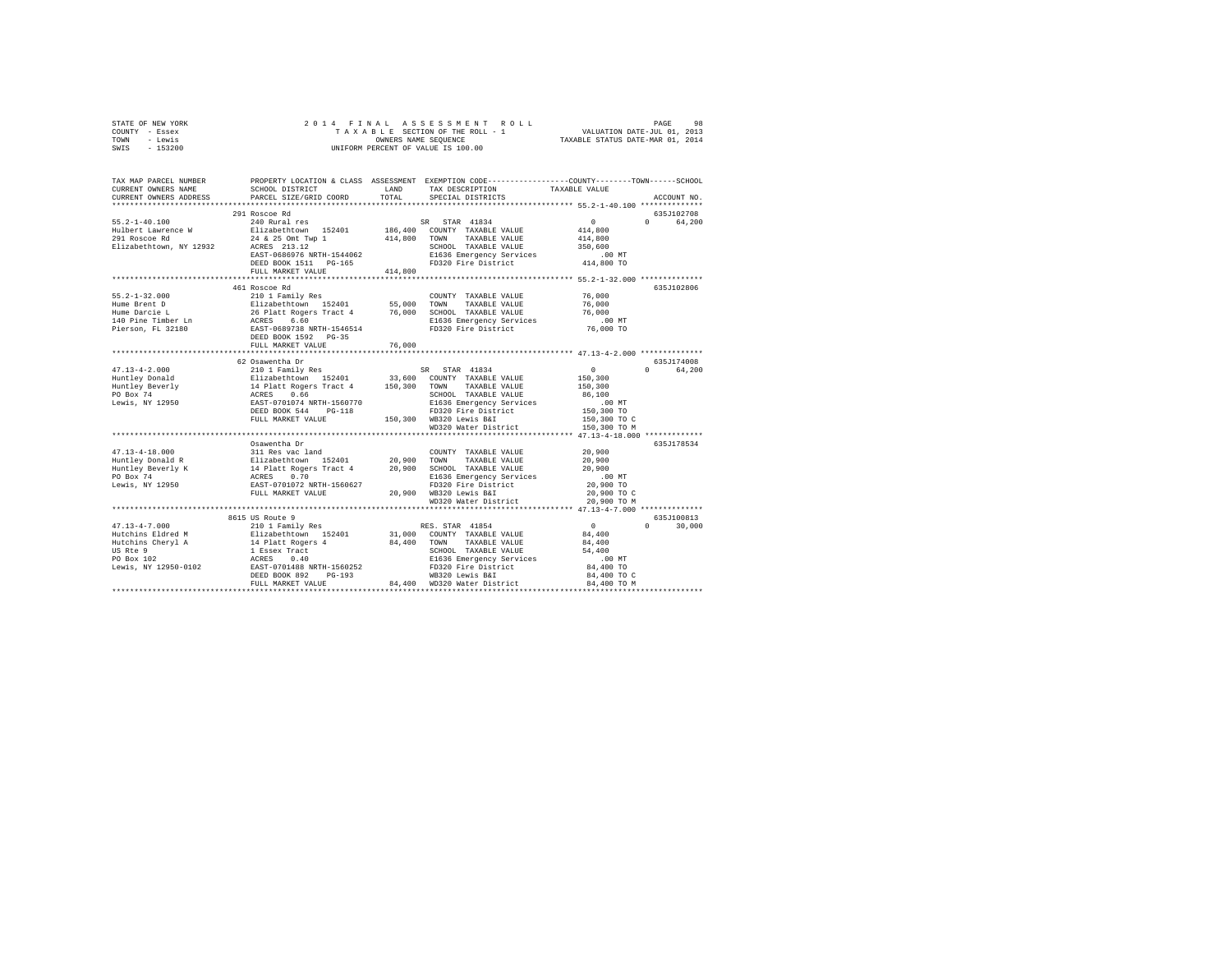| STATE OF NEW YORK                                                                                                                                                                                                                                                                                                                                                                                                 |                              |        |                                                                  |  |               |  |  |  |
|-------------------------------------------------------------------------------------------------------------------------------------------------------------------------------------------------------------------------------------------------------------------------------------------------------------------------------------------------------------------------------------------------------------------|------------------------------|--------|------------------------------------------------------------------|--|---------------|--|--|--|
| COUNTY - Essex<br>TOWN - Lewis                                                                                                                                                                                                                                                                                                                                                                                    |                              |        |                                                                  |  |               |  |  |  |
| SWIS - 153200                                                                                                                                                                                                                                                                                                                                                                                                     |                              |        |                                                                  |  |               |  |  |  |
|                                                                                                                                                                                                                                                                                                                                                                                                                   |                              |        |                                                                  |  |               |  |  |  |
|                                                                                                                                                                                                                                                                                                                                                                                                                   |                              |        |                                                                  |  |               |  |  |  |
| TAX MAP PARCEL NUMBER PROPERTY LOCATION & CLASS ASSESSMENT EXEMPTION CODE---------------COUNTY-------TOWN------SCHOOL                                                                                                                                                                                                                                                                                             |                              |        |                                                                  |  |               |  |  |  |
| CURRENT OWNERS NAME                                                                                                                                                                                                                                                                                                                                                                                               | SCHOOL DISTRICT LAND         |        | TAX DESCRIPTION TAXABLE VALUE<br>SPECIAL DISTRICTS TAXABLE VALUE |  |               |  |  |  |
| CURRENT OWNERS ADDRESS                                                                                                                                                                                                                                                                                                                                                                                            | PARCEL SIZE/GRID COORD TOTAL |        |                                                                  |  | ACCOUNT NO.   |  |  |  |
|                                                                                                                                                                                                                                                                                                                                                                                                                   |                              |        |                                                                  |  |               |  |  |  |
| $\begin{tabular}{lcccc} 55.2-1-40.100 & \rule{0pt}{2pt} \rule{0pt}{2pt} & \rule{0pt}{2pt} \rule{0pt}{2pt} \rule{0pt}{2pt} \rule{0pt}{2pt} \rule{0pt}{2pt} \rule{0pt}{2pt} \rule{0pt}{2pt} \rule{0pt}{2pt} \rule{0pt}{2pt} \rule{0pt}{2pt} \rule{0pt}{2pt} \rule{0pt}{2pt} \rule{0pt}{2pt} \rule{0pt}{2pt} \rule{0pt}{2pt} \rule{0pt}{2pt} \rule{0pt}{2pt} \rule{0pt}{2pt} \rule{0pt}{2pt} \rule{0pt}{$            | 291 Roscoe Rd                |        |                                                                  |  | 635J102708    |  |  |  |
|                                                                                                                                                                                                                                                                                                                                                                                                                   |                              |        |                                                                  |  | 0 64,200      |  |  |  |
|                                                                                                                                                                                                                                                                                                                                                                                                                   |                              |        |                                                                  |  |               |  |  |  |
|                                                                                                                                                                                                                                                                                                                                                                                                                   |                              |        |                                                                  |  |               |  |  |  |
|                                                                                                                                                                                                                                                                                                                                                                                                                   |                              |        |                                                                  |  |               |  |  |  |
|                                                                                                                                                                                                                                                                                                                                                                                                                   |                              |        |                                                                  |  |               |  |  |  |
|                                                                                                                                                                                                                                                                                                                                                                                                                   |                              |        |                                                                  |  |               |  |  |  |
|                                                                                                                                                                                                                                                                                                                                                                                                                   |                              |        |                                                                  |  |               |  |  |  |
|                                                                                                                                                                                                                                                                                                                                                                                                                   | 461 Roscoe Rd                |        |                                                                  |  | 635J102806    |  |  |  |
| $\begin{tabular}{l c c c c c c} \hline 55.2-1-32.000 & $\cdots$ & $200$ & Pauly Res & $C0\texttt{UVITY} $TAXABLE\ \texttt{VALUE} $ & $76,000$ \\ \hline \texttt{Hume Berci $D$} & $210$ & Paulxebt 55,000 $ & $55,000$ & $70\texttt{WW} $ & $76,000$ \\ \texttt{Hume Berci $D$} & $26$ & platt Rogers $Tact 4 & $76,000$ & $C\texttt{HOM} $ & $TABLE\ \texttt{VALUE} $ & $76,000$$                                |                              |        |                                                                  |  |               |  |  |  |
|                                                                                                                                                                                                                                                                                                                                                                                                                   |                              |        |                                                                  |  |               |  |  |  |
|                                                                                                                                                                                                                                                                                                                                                                                                                   |                              |        |                                                                  |  |               |  |  |  |
|                                                                                                                                                                                                                                                                                                                                                                                                                   |                              |        |                                                                  |  |               |  |  |  |
|                                                                                                                                                                                                                                                                                                                                                                                                                   |                              |        |                                                                  |  |               |  |  |  |
|                                                                                                                                                                                                                                                                                                                                                                                                                   |                              |        |                                                                  |  |               |  |  |  |
|                                                                                                                                                                                                                                                                                                                                                                                                                   | FULL MARKET VALUE            | 76,000 |                                                                  |  |               |  |  |  |
|                                                                                                                                                                                                                                                                                                                                                                                                                   |                              |        |                                                                  |  | 635J174008    |  |  |  |
|                                                                                                                                                                                                                                                                                                                                                                                                                   | 62 Osawentha Dr              |        |                                                                  |  | 0 64,200      |  |  |  |
|                                                                                                                                                                                                                                                                                                                                                                                                                   |                              |        |                                                                  |  |               |  |  |  |
|                                                                                                                                                                                                                                                                                                                                                                                                                   |                              |        |                                                                  |  |               |  |  |  |
|                                                                                                                                                                                                                                                                                                                                                                                                                   |                              |        |                                                                  |  |               |  |  |  |
|                                                                                                                                                                                                                                                                                                                                                                                                                   |                              |        |                                                                  |  |               |  |  |  |
|                                                                                                                                                                                                                                                                                                                                                                                                                   |                              |        |                                                                  |  |               |  |  |  |
|                                                                                                                                                                                                                                                                                                                                                                                                                   |                              |        |                                                                  |  |               |  |  |  |
| $\begin{tabular}{l c c c c c} \multicolumn{3}{c c c c} \multicolumn{3}{c c c} \multicolumn{3}{c c c} \multicolumn{3}{c c c} \multicolumn{3}{c c c} \multicolumn{3}{c c c} \multicolumn{3}{c c c} \multicolumn{3}{c c c} \multicolumn{3}{c c c} \multicolumn{3}{c c c} \multicolumn{3}{c c c} \multicolumn{3}{c c c} \multicolumn{3}{c c c} \multicolumn{3}{c c c} \multicolumn{3}{c c c} \multicolumn{$           |                              |        |                                                                  |  |               |  |  |  |
|                                                                                                                                                                                                                                                                                                                                                                                                                   |                              |        |                                                                  |  |               |  |  |  |
| $\begin{tabular}{lcccc} 47.13-4-18.000 & 0.03wenteln & 20.900 & 0.03wenteln & 20.900 & 0.03wenteln & 20.900 & 0.03wenteln & 20.900 & 0.03wenteln & 20.900 & 0.03wenteln & 20.900 & 0.03wenteln & 20.900 & 0.03wenteln & 20.900 & 0.03wenteln & 20.900 & 0.03wenteln & 20.900 & 0.03wenteln & 20.9$                                                                                                                | Osawentha Dr                 |        |                                                                  |  | 635J178534    |  |  |  |
|                                                                                                                                                                                                                                                                                                                                                                                                                   |                              |        |                                                                  |  |               |  |  |  |
|                                                                                                                                                                                                                                                                                                                                                                                                                   |                              |        |                                                                  |  |               |  |  |  |
|                                                                                                                                                                                                                                                                                                                                                                                                                   |                              |        |                                                                  |  |               |  |  |  |
|                                                                                                                                                                                                                                                                                                                                                                                                                   |                              |        |                                                                  |  |               |  |  |  |
|                                                                                                                                                                                                                                                                                                                                                                                                                   |                              |        |                                                                  |  |               |  |  |  |
|                                                                                                                                                                                                                                                                                                                                                                                                                   |                              |        |                                                                  |  |               |  |  |  |
|                                                                                                                                                                                                                                                                                                                                                                                                                   |                              |        |                                                                  |  |               |  |  |  |
|                                                                                                                                                                                                                                                                                                                                                                                                                   | 8615 US Route 9              |        |                                                                  |  | 635.T100813   |  |  |  |
|                                                                                                                                                                                                                                                                                                                                                                                                                   |                              |        |                                                                  |  | $0 \t 30,000$ |  |  |  |
|                                                                                                                                                                                                                                                                                                                                                                                                                   |                              |        |                                                                  |  |               |  |  |  |
|                                                                                                                                                                                                                                                                                                                                                                                                                   |                              |        |                                                                  |  |               |  |  |  |
|                                                                                                                                                                                                                                                                                                                                                                                                                   |                              |        |                                                                  |  |               |  |  |  |
|                                                                                                                                                                                                                                                                                                                                                                                                                   |                              |        |                                                                  |  |               |  |  |  |
|                                                                                                                                                                                                                                                                                                                                                                                                                   |                              |        |                                                                  |  |               |  |  |  |
| $\begin{tabular}{l c c c c} \multicolumn{3}{c}{\textbf{47.13--4-7.000}} & \multicolumn{3}{c}{\textbf{66.15}} & \multicolumn{3}{c}{\textbf{66.15}} & \multicolumn{3}{c}{\textbf{66.15}} & \multicolumn{3}{c}{\textbf{66.15}} & \multicolumn{3}{c}{\textbf{66.15}} & \multicolumn{3}{c}{\textbf{66.15}} & \multicolumn{3}{c}{\textbf{66.15}} & \multicolumn{3}{c}{\textbf{66.15}} & \multicolumn{3}{c}{\textbf{66.$ |                              |        |                                                                  |  |               |  |  |  |
|                                                                                                                                                                                                                                                                                                                                                                                                                   |                              |        |                                                                  |  |               |  |  |  |
|                                                                                                                                                                                                                                                                                                                                                                                                                   |                              |        |                                                                  |  |               |  |  |  |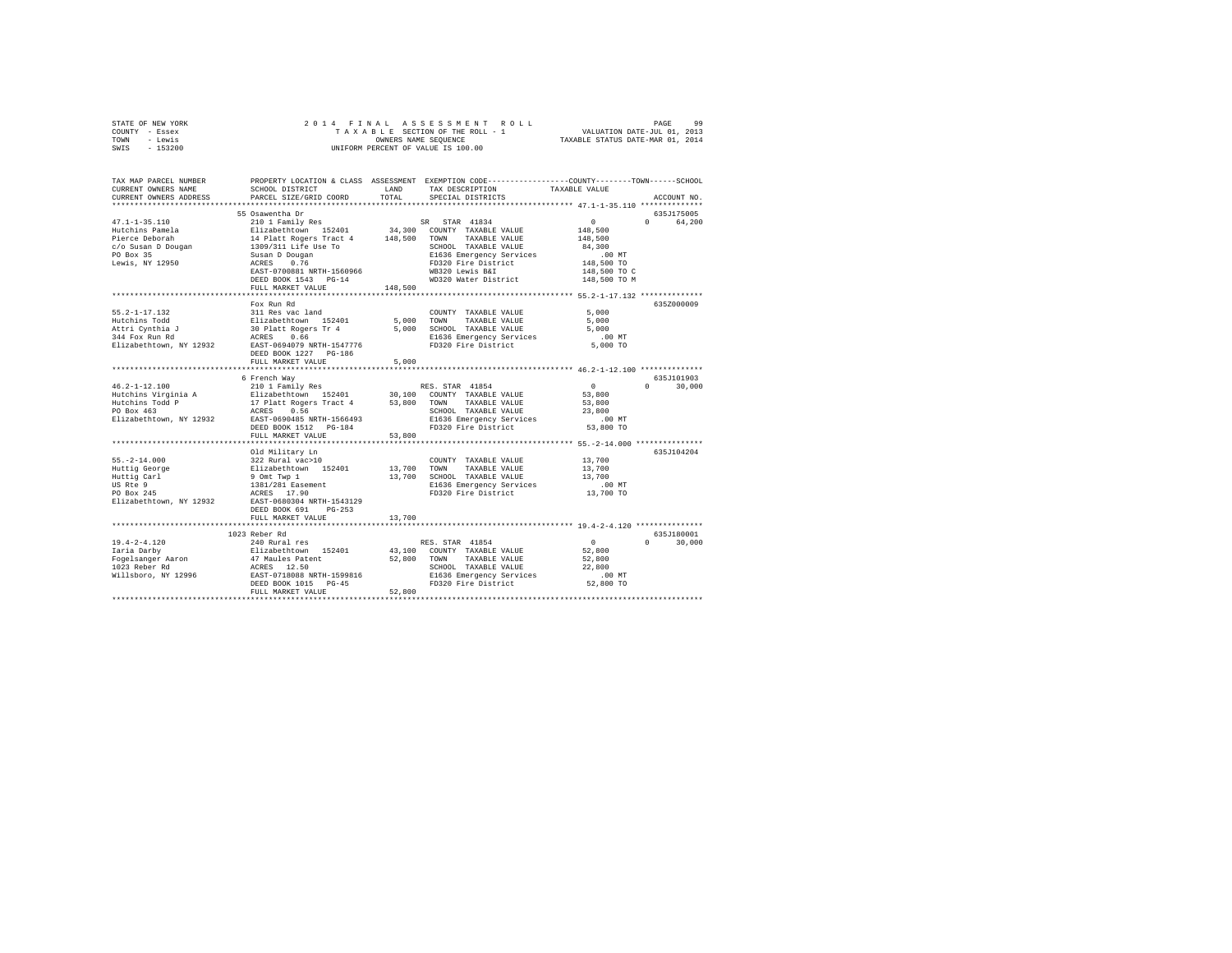| STATE OF NEW YORK | 2014 FINAL ASSESSMENT ROLL         | PAGE                             | 99 |
|-------------------|------------------------------------|----------------------------------|----|
| COUNTY - Essex    | TAXABLE SECTION OF THE ROLL - 1    | VALUATION DATE-JUL 01, 2013      |    |
| TOWN<br>- Lewis   | OWNERS NAME SEOUENCE               | TAXABLE STATUS DATE-MAR 01, 2014 |    |
| SWIS<br>- 153200  | UNIFORM PERCENT OF VALUE IS 100.00 |                                  |    |
|                   |                                    |                                  |    |

| TAX MAP PARCEL NUMBER                             |                                                                                                                                                                                                     |                           | PROPERTY LOCATION & CLASS ASSESSMENT EXEMPTION CODE---------------COUNTY-------TOWN-----SCHOOL |                                        |               |
|---------------------------------------------------|-----------------------------------------------------------------------------------------------------------------------------------------------------------------------------------------------------|---------------------------|------------------------------------------------------------------------------------------------|----------------------------------------|---------------|
| CURRENT OWNERS NAME                               | SCHOOL DISTRICT                                                                                                                                                                                     | LAND                      | TAX DESCRIPTION                                                                                | TAXABLE VALUE                          |               |
| CURRENT OWNERS ADDRESS PARCEL SIZE/GRID COORD     |                                                                                                                                                                                                     | TOTAL                     | SPECIAL DISTRICTS                                                                              |                                        | ACCOUNT NO.   |
|                                                   |                                                                                                                                                                                                     |                           |                                                                                                | **************** 47.1-1-35.110 ******* |               |
|                                                   | 55 Osawentha Dr                                                                                                                                                                                     |                           |                                                                                                |                                        | 635J175005    |
|                                                   |                                                                                                                                                                                                     |                           |                                                                                                | 0                                      | 0 64.200      |
|                                                   |                                                                                                                                                                                                     |                           |                                                                                                |                                        |               |
|                                                   |                                                                                                                                                                                                     |                           |                                                                                                | 148,500<br>148,500                     |               |
|                                                   |                                                                                                                                                                                                     |                           |                                                                                                | 84,300                                 |               |
|                                                   |                                                                                                                                                                                                     |                           |                                                                                                | .00 MT<br>148,500 TO<br>148,500 TO C   |               |
|                                                   |                                                                                                                                                                                                     |                           |                                                                                                |                                        |               |
|                                                   |                                                                                                                                                                                                     |                           |                                                                                                |                                        |               |
|                                                   | DEED BOOK 1543 PG-14                                                                                                                                                                                |                           | WD320 Water District                                                                           | 148,500 TO M                           |               |
|                                                   | FULL MARKET VALUE 148,500                                                                                                                                                                           |                           |                                                                                                |                                        |               |
|                                                   |                                                                                                                                                                                                     |                           |                                                                                                |                                        |               |
|                                                   | Fox Run Rd                                                                                                                                                                                          |                           |                                                                                                |                                        | 635Z000009    |
| $55.2 - 1 - 17.132$                               |                                                                                                                                                                                                     |                           | COUNTY TAXABLE VALUE                                                                           | 5,000                                  |               |
|                                                   |                                                                                                                                                                                                     |                           | TAXABLE VALUE                                                                                  | 5,000                                  |               |
| Hutchins Todd<br>Attri Cynthia J                  |                                                                                                                                                                                                     | 5,000 TOWN<br>5,000 SCHOO | 5,000 SCHOOL TAXABLE VALUE                                                                     | 5,000                                  |               |
| 344 Fox Run Rd                                    | 311 Res vac land<br>Elizabethtown 152401<br>30 platt Rogers Tr 4<br>ACRES 0.66                                                                                                                      |                           |                                                                                                |                                        |               |
| Elizabethtown, NY 12932 EAST-0694079 NRTH-1547776 |                                                                                                                                                                                                     |                           | E1636 Emergency Services .00 MT<br>FD320 Fire District 5,000 TO                                |                                        |               |
|                                                   | DEED BOOK 1227 PG-186                                                                                                                                                                               |                           |                                                                                                |                                        |               |
|                                                   | FULL MARKET VALUE                                                                                                                                                                                   | 5,000                     |                                                                                                |                                        |               |
|                                                   |                                                                                                                                                                                                     |                           |                                                                                                |                                        |               |
|                                                   | 6 French Way                                                                                                                                                                                        |                           |                                                                                                |                                        | 635J101903    |
| $46.2 - 1 - 12.100$                               | 210 1 Family Res                                                                                                                                                                                    |                           | RES. STAR 41854                                                                                | $\sim$ 0                               | $0 \t 30.000$ |
|                                                   |                                                                                                                                                                                                     |                           |                                                                                                | 53,800                                 |               |
|                                                   |                                                                                                                                                                                                     |                           |                                                                                                | 53,800                                 |               |
|                                                   |                                                                                                                                                                                                     |                           |                                                                                                |                                        |               |
| Elizabethtown, NY 12932 EAST-0690485 NRTH-1566493 |                                                                                                                                                                                                     |                           | SCHOOL TAXABLE VALUE 23,800<br>E1636 Emergency Services .00 MT                                 |                                        |               |
|                                                   | DEED BOOK 1512 PG-184                                                                                                                                                                               |                           | FD320 Fire District                                                                            | 53,800 TO                              |               |
|                                                   | FULL MARKET VALUE                                                                                                                                                                                   | 53,800                    |                                                                                                |                                        |               |
|                                                   |                                                                                                                                                                                                     |                           |                                                                                                |                                        |               |
|                                                   | Old Military Ln                                                                                                                                                                                     |                           |                                                                                                |                                        | 635J104204    |
| $55. -2 - 14.000$                                 |                                                                                                                                                                                                     |                           | COUNTY TAXABLE VALUE                                                                           | 13,700                                 |               |
|                                                   |                                                                                                                                                                                                     |                           | TAXABLE VALUE                                                                                  | 13,700                                 |               |
| Huttig George<br>Huttig Carl                      |                                                                                                                                                                                                     |                           | 13,700 SCHOOL TAXABLE VALUE                                                                    | 13,700                                 |               |
| US Rte 9                                          |                                                                                                                                                                                                     |                           |                                                                                                |                                        |               |
| PO Box 245                                        |                                                                                                                                                                                                     |                           | E1636 Emergency Services .00 MT<br>FD320 Fire District  13,700 TO                              |                                        |               |
|                                                   | 010 Military Lm<br>322 Rural vac>10<br>Elizabethcom 152401 13,700 TOWN<br>9 Ont Twp 1 13,700 SCHOC<br>9 Ont Twp 1 13,700 SCHOC<br>1381/281 Easement 1243129 FD320<br>EARES 17.90 NRTH-1543129 FD320 |                           |                                                                                                |                                        |               |
| Elizabethtown, NY 12932                           | $PG-253$                                                                                                                                                                                            |                           |                                                                                                |                                        |               |
|                                                   | DEED BOOK 691                                                                                                                                                                                       |                           |                                                                                                |                                        |               |
|                                                   | FULL MARKET VALUE<br>***********************                                                                                                                                                        | 13,700                    | ****************************** 19.4-2-4.120 **************                                     |                                        |               |
|                                                   |                                                                                                                                                                                                     |                           |                                                                                                |                                        |               |
|                                                   | 1023 Reber Rd                                                                                                                                                                                       |                           |                                                                                                |                                        | 635J180001    |
|                                                   |                                                                                                                                                                                                     |                           |                                                                                                |                                        | $0 \t 30,000$ |
|                                                   |                                                                                                                                                                                                     |                           |                                                                                                |                                        |               |
|                                                   |                                                                                                                                                                                                     |                           |                                                                                                |                                        |               |
|                                                   |                                                                                                                                                                                                     |                           |                                                                                                |                                        |               |
|                                                   |                                                                                                                                                                                                     |                           |                                                                                                |                                        |               |
|                                                   |                                                                                                                                                                                                     |                           |                                                                                                |                                        |               |
|                                                   | FULL MARKET VALUE                                                                                                                                                                                   | 52,800                    |                                                                                                |                                        |               |
|                                                   |                                                                                                                                                                                                     |                           |                                                                                                |                                        |               |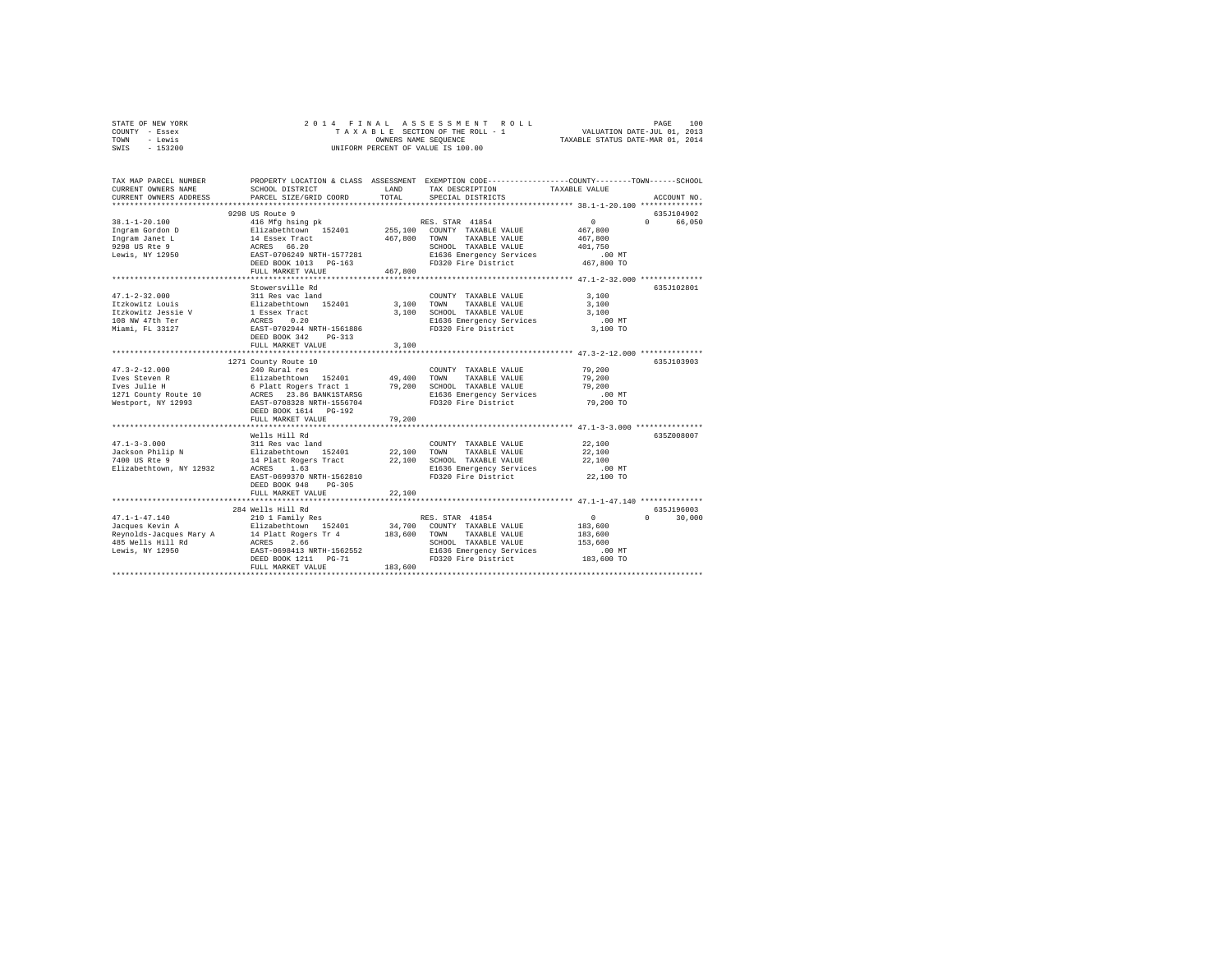| STATE OF NEW YORK | 2014 FINAL ASSESSMENT ROLL         | 100<br>PAGE                      |
|-------------------|------------------------------------|----------------------------------|
| COUNTY - Essex    | TAXABLE SECTION OF THE ROLL - 1    | VALUATION DATE-JUL 01, 2013      |
| TOWN<br>- Lewis   | OWNERS NAME SEOUENCE               | TAXABLE STATUS DATE-MAR 01, 2014 |
| $-153200$<br>SWIS | UNIFORM PERCENT OF VALUE IS 100.00 |                                  |

| TAX MAP PARCEL NUMBER<br>CURRENT OWNERS NAME                                                                                                                                                       | SCHOOL DISTRICT                                                                                                                                                | LAND    | PROPERTY LOCATION & CLASS ASSESSMENT EXEMPTION CODE----------------COUNTY-------TOWN------SCHOOL<br>TAX DESCRIPTION | TAXABLE VALUE                             |               |
|----------------------------------------------------------------------------------------------------------------------------------------------------------------------------------------------------|----------------------------------------------------------------------------------------------------------------------------------------------------------------|---------|---------------------------------------------------------------------------------------------------------------------|-------------------------------------------|---------------|
| CURRENT OWNERS ADDRESS                                                                                                                                                                             | PARCEL SIZE/GRID COORD                                                                                                                                         | TOTAL   | SPECIAL DISTRICTS                                                                                                   |                                           | ACCOUNT NO.   |
|                                                                                                                                                                                                    | 9298 US Route 9                                                                                                                                                |         |                                                                                                                     |                                           | 635J104902    |
|                                                                                                                                                                                                    |                                                                                                                                                                |         |                                                                                                                     | $\sim$ 0                                  | 0 66,050      |
|                                                                                                                                                                                                    |                                                                                                                                                                |         |                                                                                                                     |                                           |               |
|                                                                                                                                                                                                    |                                                                                                                                                                |         |                                                                                                                     |                                           |               |
|                                                                                                                                                                                                    |                                                                                                                                                                |         |                                                                                                                     |                                           |               |
|                                                                                                                                                                                                    |                                                                                                                                                                |         |                                                                                                                     |                                           |               |
|                                                                                                                                                                                                    |                                                                                                                                                                |         |                                                                                                                     |                                           |               |
|                                                                                                                                                                                                    | FULL MARKET VALUE                                                                                                                                              | 467,800 |                                                                                                                     |                                           |               |
|                                                                                                                                                                                                    |                                                                                                                                                                |         |                                                                                                                     |                                           |               |
|                                                                                                                                                                                                    | Stowersville Rd                                                                                                                                                |         |                                                                                                                     |                                           | 635J102801    |
|                                                                                                                                                                                                    |                                                                                                                                                                |         | COUNTY TAXABLE VALUE 3,100                                                                                          |                                           |               |
|                                                                                                                                                                                                    |                                                                                                                                                                |         | 3,100 TOWN TAXABLE VALUE                                                                                            | 3,100                                     |               |
|                                                                                                                                                                                                    |                                                                                                                                                                |         | 3,100 SCHOOL TAXABLE VALUE                                                                                          | 3,100                                     |               |
| 47.1-2-32.000<br>ItzKowitz Louis Blizabethcwn 152401<br>ItzKowitz Jessie V I Essex Tract<br>10.000 NW 47th Terr ACES 0.20<br>Miami, FL 33127 ACES 0.20<br>Mami, FL 33127 RAST-0702944 NRTH-1561886 |                                                                                                                                                                |         |                                                                                                                     | $.00$ MT                                  |               |
|                                                                                                                                                                                                    |                                                                                                                                                                |         | E1636 Emergency Services<br>FD320 Fire District                                                                     | 3,100 TO                                  |               |
|                                                                                                                                                                                                    | DEED BOOK 342<br>$PG-313$                                                                                                                                      |         |                                                                                                                     |                                           |               |
|                                                                                                                                                                                                    | FULL MARKET VALUE                                                                                                                                              | 3,100   |                                                                                                                     |                                           |               |
|                                                                                                                                                                                                    | *************************                                                                                                                                      |         |                                                                                                                     | ************ 47.3-2-12.000 ************** |               |
|                                                                                                                                                                                                    | 1271 County Route 10                                                                                                                                           |         |                                                                                                                     |                                           | 635J103903    |
|                                                                                                                                                                                                    |                                                                                                                                                                |         |                                                                                                                     |                                           |               |
|                                                                                                                                                                                                    |                                                                                                                                                                |         |                                                                                                                     |                                           |               |
|                                                                                                                                                                                                    |                                                                                                                                                                |         |                                                                                                                     |                                           |               |
|                                                                                                                                                                                                    |                                                                                                                                                                |         |                                                                                                                     | .00 MT                                    |               |
|                                                                                                                                                                                                    |                                                                                                                                                                |         | FD320 Fire District 79,200 TO                                                                                       |                                           |               |
|                                                                                                                                                                                                    | DEED BOOK 1614 PG-192                                                                                                                                          |         |                                                                                                                     |                                           |               |
|                                                                                                                                                                                                    | FULL MARKET VALUE                                                                                                                                              | 79,200  |                                                                                                                     |                                           |               |
|                                                                                                                                                                                                    |                                                                                                                                                                |         |                                                                                                                     |                                           |               |
|                                                                                                                                                                                                    |                                                                                                                                                                |         |                                                                                                                     |                                           | 635Z008007    |
| $47.1 - 3 - 3.000$                                                                                                                                                                                 | Wells Hill Rd                                                                                                                                                  |         |                                                                                                                     |                                           |               |
|                                                                                                                                                                                                    |                                                                                                                                                                |         |                                                                                                                     | 22,100                                    |               |
| Jackson Philip N<br>7400 US Rte 9                                                                                                                                                                  |                                                                                                                                                                |         |                                                                                                                     | 22,100                                    |               |
| 7400 US Rte 9                                                                                                                                                                                      | 311 Res vac land $22,100$ TOWNTY TAXABLE VALUE Elizabeth<br>town 152401 22,100 TOWN TAXABLE VALUE 14 Platt Rogers Tract 22,100 SCHOOL TAXABLE VALUE ACRES 1.63 |         |                                                                                                                     | 22,100<br>.00 MT                          |               |
| Elizabethtown, NY 12932                                                                                                                                                                            |                                                                                                                                                                |         |                                                                                                                     |                                           |               |
|                                                                                                                                                                                                    | EAST-0699370 NRTH-1562810                                                                                                                                      |         | FD320 Fire District                                                                                                 | 22,100 TO                                 |               |
|                                                                                                                                                                                                    | DEED BOOK 948 PG-305                                                                                                                                           |         |                                                                                                                     |                                           |               |
|                                                                                                                                                                                                    | FULL MARKET VALUE                                                                                                                                              | 22,100  |                                                                                                                     |                                           |               |
|                                                                                                                                                                                                    |                                                                                                                                                                |         |                                                                                                                     |                                           |               |
|                                                                                                                                                                                                    | 284 Wells Hill Rd                                                                                                                                              |         |                                                                                                                     |                                           | 635J196003    |
| $47.1 - 1 - 47.140$                                                                                                                                                                                | 210 1 Family Res                                                                                                                                               |         | RES. STAR 41854                                                                                                     | $\sim$ 0                                  | $0 \t 30.000$ |
|                                                                                                                                                                                                    |                                                                                                                                                                |         |                                                                                                                     | 183,600                                   |               |
|                                                                                                                                                                                                    |                                                                                                                                                                |         |                                                                                                                     | 183,600                                   |               |
|                                                                                                                                                                                                    |                                                                                                                                                                |         | SCHOOL TAXABLE VALUE 153,600                                                                                        |                                           |               |
|                                                                                                                                                                                                    |                                                                                                                                                                |         |                                                                                                                     |                                           |               |
|                                                                                                                                                                                                    |                                                                                                                                                                | 183,600 |                                                                                                                     |                                           |               |
|                                                                                                                                                                                                    | FULL MARKET VALUE                                                                                                                                              |         |                                                                                                                     |                                           |               |
|                                                                                                                                                                                                    |                                                                                                                                                                |         |                                                                                                                     |                                           |               |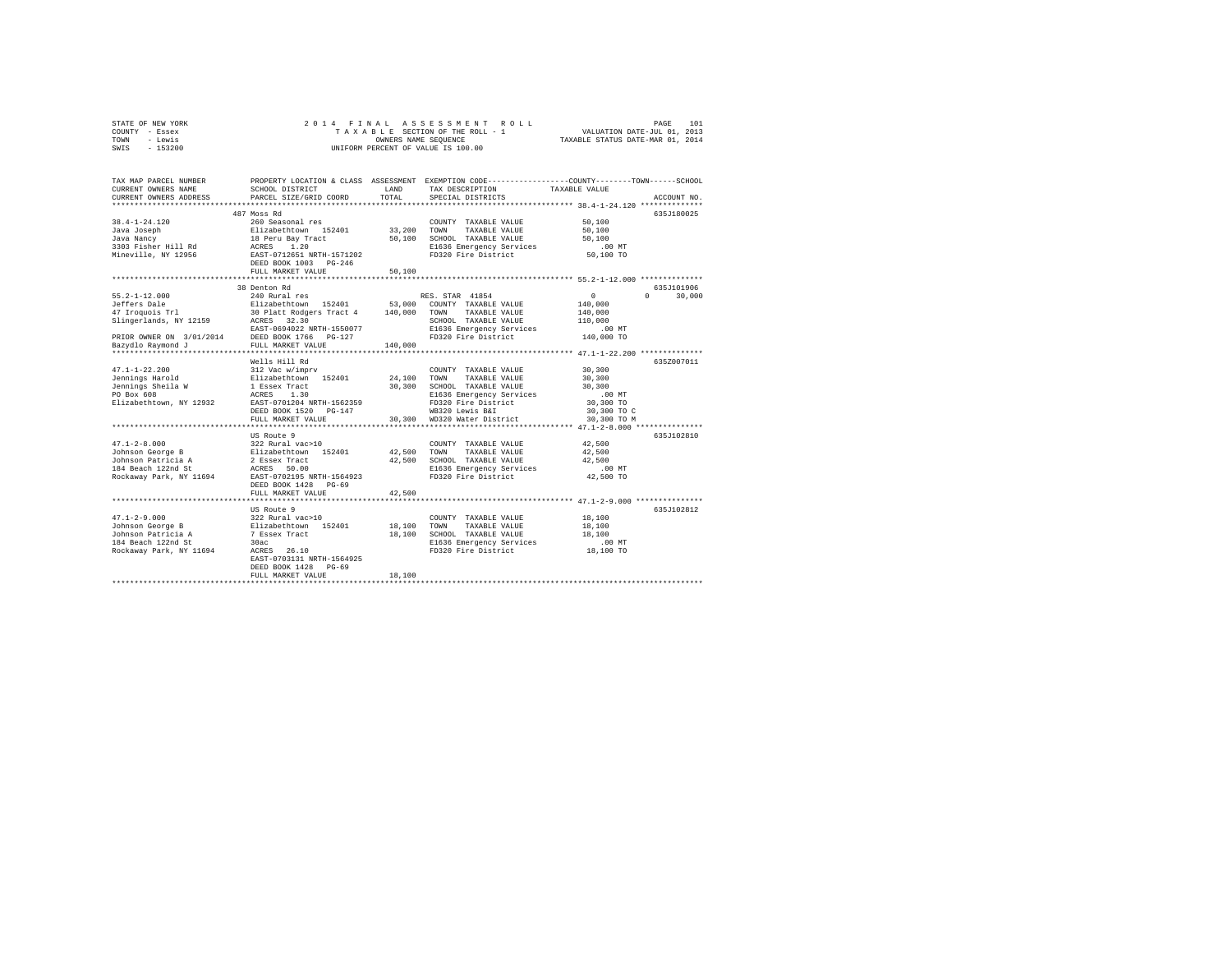| STATE OF NEW YORK | 2014 FINAL ASSESSMENT ROLL         | 101<br>PAGE                      |
|-------------------|------------------------------------|----------------------------------|
| COUNTY - Essex    | TAXABLE SECTION OF THE ROLL - 1    | VALUATION DATE-JUL 01, 2013      |
| TOWN<br>- Lewis   | OWNERS NAME SEOUENCE               | TAXABLE STATUS DATE-MAR 01, 2014 |
| $-153200$<br>SWIS | UNIFORM PERCENT OF VALUE IS 100.00 |                                  |

| TAX MAP PARCEL NUMBER<br>CURRENT OWNERS NAME<br>CURRENT OWNERS ADDRESS | SCHOOL DISTRICT<br>PARCEL SIZE/GRID COORD                        | LAND<br>TOTAL | PROPERTY LOCATION & CLASS ASSESSMENT EXEMPTION CODE----------------COUNTY-------TOWN------SCHOOL<br>TAX DESCRIPTION<br>SPECIAL DISTRICTS | TAXABLE VALUE                        | ACCOUNT NO.        |
|------------------------------------------------------------------------|------------------------------------------------------------------|---------------|------------------------------------------------------------------------------------------------------------------------------------------|--------------------------------------|--------------------|
|                                                                        | *************************<br>487 Moss Rd                         |               |                                                                                                                                          |                                      | 635J180025         |
| $38.4 - 1 - 24.120$<br>Java Joseph                                     | 260 Seasonal res<br>Elizabethtown 152401<br>18 Peru Bay Tract    | 33,200        | COUNTY TAXABLE VALUE<br>TOWN<br>TAXABLE VALUE                                                                                            | 50,100<br>50,100                     |                    |
| Java Nancy<br>3303 Fisher Hill Rd<br>Mineville, NY 12956               | ACRES 1.20<br>EAST-0712651 NRTH-1571202<br>DEED BOOK 1003 PG-246 | 50,100        | SCHOOL TAXABLE VALUE<br>E1636 Emergency Services<br>FD320 Fire District                                                                  | 50,100<br>.00 MT<br>50,100 TO        |                    |
|                                                                        | FULL MARKET VALUE                                                | 50,100        |                                                                                                                                          |                                      |                    |
|                                                                        | 38 Denton Rd                                                     |               |                                                                                                                                          |                                      | 635.T101906        |
| $55.2 - 1 - 12.000$                                                    | 240 Rural res                                                    |               | RES. STAR 41854                                                                                                                          | $\circ$                              | $\Omega$<br>30,000 |
| Jeffers Dale                                                           | Elizabethtown 152401 53,000 COUNTY TAXABLE VALUE                 |               |                                                                                                                                          | 140,000                              |                    |
| 47 Iroquois Trl                                                        | 30 Platt Rodgers Tract 4 140,000<br>ACRES 32.30                  |               | TAXABLE VALUE<br>TOWN                                                                                                                    | 140,000                              |                    |
| Slingerlands, NY 12159                                                 |                                                                  |               | SCHOOL TAXABLE VALUE                                                                                                                     | 110,000                              |                    |
|                                                                        | EAST-0694022 NRTH-1550077                                        |               | E1636 Emergency Services                                                                                                                 | .00 MT                               |                    |
|                                                                        |                                                                  |               | FD320 Fire District                                                                                                                      | 140,000 TO                           |                    |
|                                                                        |                                                                  | 140,000       |                                                                                                                                          |                                      |                    |
|                                                                        | Wells Hill Rd                                                    |               |                                                                                                                                          |                                      | 635Z007011         |
| $47.1 - 1 - 22.200$                                                    | 312 Vac w/imprv                                                  |               | COUNTY TAXABLE VALUE                                                                                                                     | 30,300                               |                    |
| Jennings Harold                                                        | Elizabethtown 152401                                             | 24,100 TOWN   | TAXABLE VALUE                                                                                                                            | 30,300                               |                    |
| Jennings Sheila W                                                      | 1 Essex Tract                                                    | 30,300        | SCHOOL TAXABLE VALUE                                                                                                                     | 30,300                               |                    |
| PO Box 608                                                             | ACRES 1.30                                                       |               | E1636 Emergency Services                                                                                                                 | .00 MT                               |                    |
| Elizabethtown, NY 12932                                                | EAST-0701204 NRTH-1562359                                        |               | FD320 Fire District                                                                                                                      | 30,300 TO                            |                    |
|                                                                        | DEED BOOK 1520 PG-147                                            |               | WB320 Lewis B&I                                                                                                                          | 30,300 TO C                          |                    |
|                                                                        | FULL MARKET VALUE                                                |               | 30,300 WD320 Water District                                                                                                              | 30,300 TO M                          |                    |
|                                                                        |                                                                  |               |                                                                                                                                          |                                      |                    |
|                                                                        | US Route 9                                                       |               |                                                                                                                                          |                                      | 635J102810         |
| $47.1 - 2 - 8.000$                                                     | 322 Rural vac>10                                                 |               | COUNTY TAXABLE VALUE                                                                                                                     | 42,500                               |                    |
| Johnson George B Elizabethtown 152401                                  |                                                                  | 42,500        | TOWN<br>TAXABLE VALUE                                                                                                                    | 42,500                               |                    |
| Johnson Patricia A                                                     | 2 Essex Tract                                                    | 42,500        | SCHOOL TAXABLE VALUE                                                                                                                     | 42,500                               |                    |
| 184 Beach 122nd St                                                     | ACRES 50.00                                                      |               | E1636 Emergency Services                                                                                                                 | $.00$ MT                             |                    |
| Rockaway Park, NY 11694                                                | EAST-0702195 NRTH-1564923                                        |               | FD320 Fire District                                                                                                                      | 42,500 TO                            |                    |
|                                                                        | DEED BOOK 1428 PG-69                                             |               |                                                                                                                                          |                                      |                    |
|                                                                        | FULL MARKET VALUE                                                | 42,500        |                                                                                                                                          |                                      |                    |
|                                                                        | *******************                                              |               |                                                                                                                                          | ********** 47.1-2-9.000 ************ |                    |
|                                                                        | US Route 9                                                       |               |                                                                                                                                          |                                      | 635J102812         |
| $47.1 - 2 - 9.000$                                                     | 322 Rural vac>10<br>Elizabethtown 152401                         |               | COUNTY TAXABLE VALUE                                                                                                                     | 18,100                               |                    |
| Johnson George B                                                       |                                                                  |               | 18,100 TOWN<br>TAXABLE VALUE                                                                                                             | 18,100                               |                    |
| Johnson Patricia A 7 Essex Tract                                       |                                                                  | 18,100        | SCHOOL TAXABLE VALUE                                                                                                                     | 18,100                               |                    |
| 184 Beach 122nd St                                                     | 30ac                                                             |               | E1636 Emergency Services                                                                                                                 | $.00$ MT                             |                    |
| Rockaway Park, NY 11694                                                | ACRES 26.10                                                      |               | FD320 Fire District                                                                                                                      | 18,100 TO                            |                    |
|                                                                        | EAST-0703131 NRTH-1564925                                        |               |                                                                                                                                          |                                      |                    |
|                                                                        | DEED BOOK 1428 PG-69                                             |               |                                                                                                                                          |                                      |                    |
|                                                                        | FULL MARKET VALUE                                                | 18,100        |                                                                                                                                          |                                      |                    |
|                                                                        |                                                                  |               |                                                                                                                                          |                                      |                    |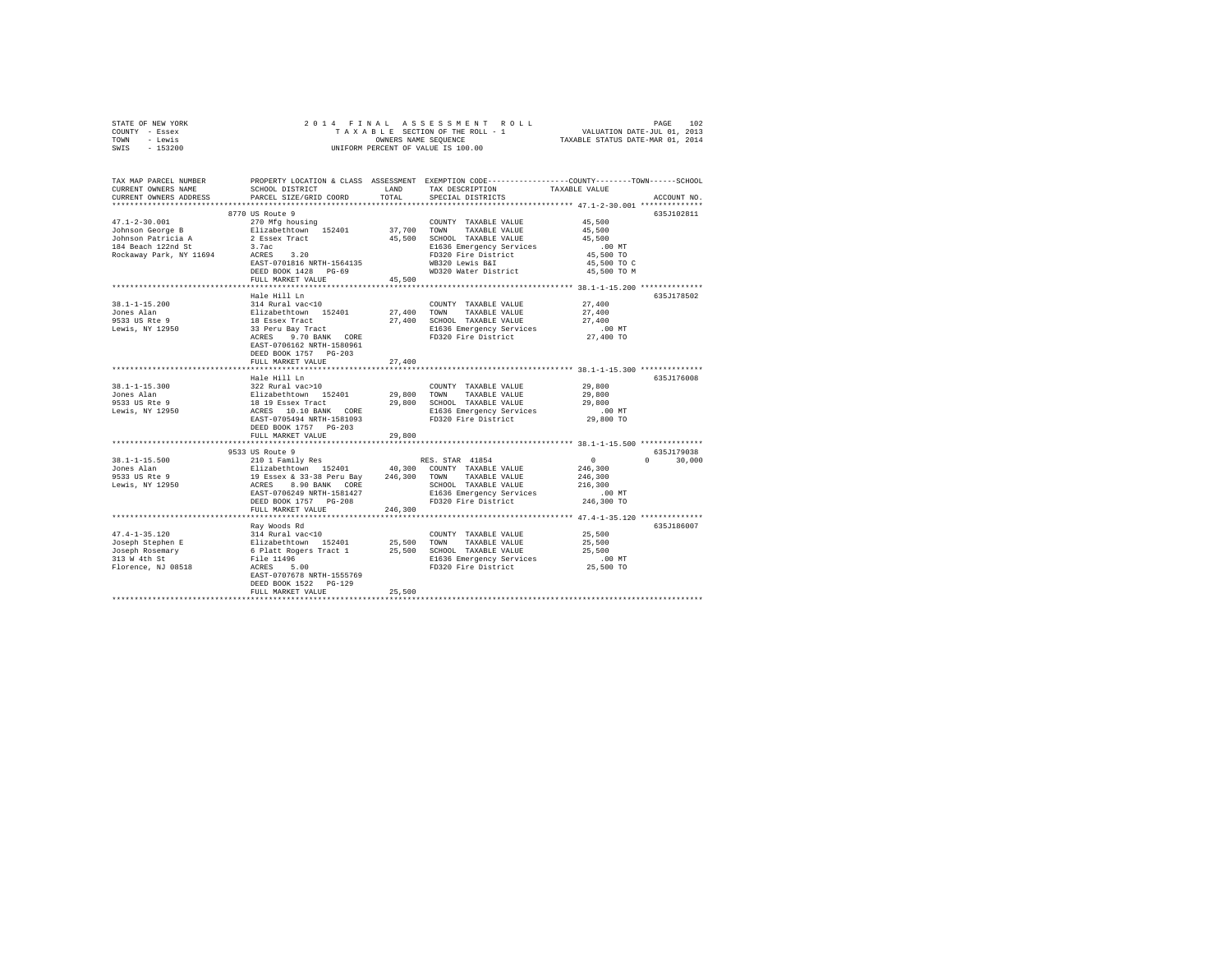|                | STATE OF NEW YORK |  |  | 2014 FINAL ASSESSMENT ROLL         | PAGE                             | 102 |
|----------------|-------------------|--|--|------------------------------------|----------------------------------|-----|
| COUNTY - Essex |                   |  |  | TAXABLE SECTION OF THE ROLL - 1    | VALUATION DATE-JUL 01, 2013      |     |
| TOWN           | - Lewis           |  |  | OWNERS NAME SEOUENCE               | TAXABLE STATUS DATE-MAR 01, 2014 |     |
| SWIS           | $-153200$         |  |  | UNIFORM PERCENT OF VALUE IS 100.00 |                                  |     |

| TAX MAP PARCEL NUMBER<br>CURRENT OWNERS NAME<br>CURRENT OWNERS ADDRESS                                                                                                                                                                           | SCHOOL DISTRICT<br>PARCEL SIZE/GRID COORD                                                                                                                                                                                                                                                                                                                                                                                                      | LAND<br>TOTAL | PROPERTY LOCATION & CLASS ASSESSMENT EXEMPTION CODE---------------COUNTY-------TOWN------SCHOOL<br>TAX DESCRIPTION<br>SPECIAL DISTRICTS                                                                                                          | TAXABLE VALUE                 | ACCOUNT NO. |
|--------------------------------------------------------------------------------------------------------------------------------------------------------------------------------------------------------------------------------------------------|------------------------------------------------------------------------------------------------------------------------------------------------------------------------------------------------------------------------------------------------------------------------------------------------------------------------------------------------------------------------------------------------------------------------------------------------|---------------|--------------------------------------------------------------------------------------------------------------------------------------------------------------------------------------------------------------------------------------------------|-------------------------------|-------------|
|                                                                                                                                                                                                                                                  |                                                                                                                                                                                                                                                                                                                                                                                                                                                |               |                                                                                                                                                                                                                                                  |                               |             |
|                                                                                                                                                                                                                                                  | 8770 US Route 9                                                                                                                                                                                                                                                                                                                                                                                                                                |               |                                                                                                                                                                                                                                                  |                               | 635J102811  |
| $47.1 - 2 - 30.001$                                                                                                                                                                                                                              |                                                                                                                                                                                                                                                                                                                                                                                                                                                |               | COUNTY TAXABLE VALUE                                                                                                                                                                                                                             | 45,500                        |             |
| Johnson George B                                                                                                                                                                                                                                 | 270 Mfg housing<br>Elizabethtown 152401                                                                                                                                                                                                                                                                                                                                                                                                        |               | COUNTY TAXABLE VALUE<br>37,700 TOWN TAXABLE VALUE                                                                                                                                                                                                | 45,500                        |             |
|                                                                                                                                                                                                                                                  |                                                                                                                                                                                                                                                                                                                                                                                                                                                |               |                                                                                                                                                                                                                                                  | 45,500                        |             |
| Johnson Patricia A<br>184 Beach 122nd St                                                                                                                                                                                                         | 2 Essex Tract<br>3.7ac                                                                                                                                                                                                                                                                                                                                                                                                                         |               | 45,500 SCHOOL TAXABLE VALUE                                                                                                                                                                                                                      | $.00$ MT                      |             |
|                                                                                                                                                                                                                                                  | $3.7ac$<br>ACRES $3.20$                                                                                                                                                                                                                                                                                                                                                                                                                        |               | E1636 Emergency Services<br>FD320 Fire District                                                                                                                                                                                                  | 45,500 TO                     |             |
| Rockaway Park, NY 11694                                                                                                                                                                                                                          | EAST-0701816 NRTH-1564135                                                                                                                                                                                                                                                                                                                                                                                                                      |               | WB320 Lewis B&I                                                                                                                                                                                                                                  |                               |             |
|                                                                                                                                                                                                                                                  | DEED BOOK 1428 PG-69                                                                                                                                                                                                                                                                                                                                                                                                                           |               | WD320 Water District                                                                                                                                                                                                                             | 45,500 TO C<br>45,500 TO M    |             |
|                                                                                                                                                                                                                                                  | FULL MARKET VALUE                                                                                                                                                                                                                                                                                                                                                                                                                              | 45,500        |                                                                                                                                                                                                                                                  |                               |             |
|                                                                                                                                                                                                                                                  | ************************                                                                                                                                                                                                                                                                                                                                                                                                                       |               | ***************************** 38.1-1-15.200 ***********                                                                                                                                                                                          |                               |             |
|                                                                                                                                                                                                                                                  | Hale Hill Ln                                                                                                                                                                                                                                                                                                                                                                                                                                   |               |                                                                                                                                                                                                                                                  |                               | 635J178502  |
| $38.1 - 1 - 15.200$                                                                                                                                                                                                                              | 314 Rural vac<10                                                                                                                                                                                                                                                                                                                                                                                                                               |               | COUNTY TAXABLE VALUE 27,400                                                                                                                                                                                                                      |                               |             |
| Jones Alan                                                                                                                                                                                                                                       |                                                                                                                                                                                                                                                                                                                                                                                                                                                |               |                                                                                                                                                                                                                                                  |                               |             |
| 9533 US Rte 9                                                                                                                                                                                                                                    |                                                                                                                                                                                                                                                                                                                                                                                                                                                |               | 27,400 TOWN TAXABLE VALUE                                                                                                                                                                                                                        | 27,400<br>27,400              |             |
|                                                                                                                                                                                                                                                  |                                                                                                                                                                                                                                                                                                                                                                                                                                                |               | 27,400 SCHOOL TAXABLE VALUE<br>E1636 Emergency Services                                                                                                                                                                                          |                               |             |
| Lewis, NY 12950                                                                                                                                                                                                                                  | Elizabethtown 152401<br>18 Essex Tract<br>33 Peru Bay Tract<br>ACRES 9.70 BANK CORE                                                                                                                                                                                                                                                                                                                                                            |               | E1636 Emergency Services .00 MT<br>FD320 Fire District 27,400 TO                                                                                                                                                                                 |                               |             |
|                                                                                                                                                                                                                                                  | 9.70 BANK CORE                                                                                                                                                                                                                                                                                                                                                                                                                                 |               |                                                                                                                                                                                                                                                  |                               |             |
|                                                                                                                                                                                                                                                  | EAST-0706162 NRTH-1580961                                                                                                                                                                                                                                                                                                                                                                                                                      |               |                                                                                                                                                                                                                                                  |                               |             |
|                                                                                                                                                                                                                                                  | DEED BOOK 1757 PG-203                                                                                                                                                                                                                                                                                                                                                                                                                          |               |                                                                                                                                                                                                                                                  |                               |             |
|                                                                                                                                                                                                                                                  | FULL MARKET VALUE                                                                                                                                                                                                                                                                                                                                                                                                                              | 27,400        |                                                                                                                                                                                                                                                  |                               |             |
|                                                                                                                                                                                                                                                  |                                                                                                                                                                                                                                                                                                                                                                                                                                                |               |                                                                                                                                                                                                                                                  |                               |             |
| 38.1-1-15.300<br>39.1-1-15.300<br>39.22 Rural vac>10<br>29,800 TOWN TAXABLE VALUE<br>29,800 SCHOOL TAXABLE VALUE<br>29,800 SCHOOL TAXABLE VALUE<br>29,800 SCHOOL TAXABLE VALUE<br>29,800 SCHOOL TAXABLE VALUE<br>29,800 SCHOOL TAXABLE VALUE<br> | Hale Hill Ln                                                                                                                                                                                                                                                                                                                                                                                                                                   |               |                                                                                                                                                                                                                                                  |                               | 635J176008  |
|                                                                                                                                                                                                                                                  |                                                                                                                                                                                                                                                                                                                                                                                                                                                |               |                                                                                                                                                                                                                                                  | 29,800                        |             |
|                                                                                                                                                                                                                                                  |                                                                                                                                                                                                                                                                                                                                                                                                                                                |               |                                                                                                                                                                                                                                                  | 29,800                        |             |
|                                                                                                                                                                                                                                                  |                                                                                                                                                                                                                                                                                                                                                                                                                                                |               |                                                                                                                                                                                                                                                  | 29,800                        |             |
|                                                                                                                                                                                                                                                  |                                                                                                                                                                                                                                                                                                                                                                                                                                                |               | E1636 Emergency Services<br>FD320 Fire District                                                                                                                                                                                                  |                               |             |
|                                                                                                                                                                                                                                                  | EAST-0705494 NRTH-1581093                                                                                                                                                                                                                                                                                                                                                                                                                      |               |                                                                                                                                                                                                                                                  | $29,800$ TO                   |             |
|                                                                                                                                                                                                                                                  | DEED BOOK 1757 PG-203                                                                                                                                                                                                                                                                                                                                                                                                                          |               |                                                                                                                                                                                                                                                  |                               |             |
|                                                                                                                                                                                                                                                  | FULL MARKET VALUE                                                                                                                                                                                                                                                                                                                                                                                                                              | 29,800        |                                                                                                                                                                                                                                                  |                               |             |
|                                                                                                                                                                                                                                                  |                                                                                                                                                                                                                                                                                                                                                                                                                                                |               |                                                                                                                                                                                                                                                  |                               |             |
|                                                                                                                                                                                                                                                  | 9533 US Route 9<br>9533 US Route > $10 \begin{array}{l} \texttt{RES} & \texttt{RES} & \texttt{STAR} & \texttt{41b} & \texttt{31b} \\ \texttt{210 1 Famil} & \texttt{Res} & \texttt{152401} & \texttt{40,300} & \texttt{COUNTY} & \texttt{TAXABLE VALUE} \\ \texttt{13 Esex} & \texttt{833-38 Pervu Bay} & \texttt{246,300} & \texttt{TONITY} & \texttt{TAXABLE VALUE} \\ \texttt{ACRES} & \texttt{8.90 BART} & \texttt{QRE} & \texttt{SCHOOL}$ |               |                                                                                                                                                                                                                                                  | $\mathbf{a}$                  | 635J179038  |
| $38.1 - 1 - 15.500$                                                                                                                                                                                                                              |                                                                                                                                                                                                                                                                                                                                                                                                                                                |               |                                                                                                                                                                                                                                                  | $\sim$ 0                      | 30,000      |
| Jones Alan                                                                                                                                                                                                                                       |                                                                                                                                                                                                                                                                                                                                                                                                                                                |               |                                                                                                                                                                                                                                                  | 246,300                       |             |
| 9533 US Rte 9                                                                                                                                                                                                                                    |                                                                                                                                                                                                                                                                                                                                                                                                                                                |               |                                                                                                                                                                                                                                                  | 246,300                       |             |
| Lewis, NY 12950                                                                                                                                                                                                                                  |                                                                                                                                                                                                                                                                                                                                                                                                                                                |               | SCHOOL TAXABLE VALUE                                                                                                                                                                                                                             | 216,300                       |             |
|                                                                                                                                                                                                                                                  |                                                                                                                                                                                                                                                                                                                                                                                                                                                |               | E1636 Emergency Services                                                                                                                                                                                                                         | .00 MT                        |             |
|                                                                                                                                                                                                                                                  | DEED BOOK 1757 PG-208                                                                                                                                                                                                                                                                                                                                                                                                                          |               | FD320 Fire District 246,300 TO                                                                                                                                                                                                                   |                               |             |
|                                                                                                                                                                                                                                                  | FULL MARKET VALUE                                                                                                                                                                                                                                                                                                                                                                                                                              | 246,300       |                                                                                                                                                                                                                                                  |                               |             |
|                                                                                                                                                                                                                                                  |                                                                                                                                                                                                                                                                                                                                                                                                                                                |               |                                                                                                                                                                                                                                                  |                               |             |
|                                                                                                                                                                                                                                                  |                                                                                                                                                                                                                                                                                                                                                                                                                                                |               |                                                                                                                                                                                                                                                  |                               | 635J186007  |
| $47.4 - 1 - 35.120$                                                                                                                                                                                                                              |                                                                                                                                                                                                                                                                                                                                                                                                                                                |               |                                                                                                                                                                                                                                                  | 25,500                        |             |
| Joseph Stephen E                                                                                                                                                                                                                                 |                                                                                                                                                                                                                                                                                                                                                                                                                                                |               |                                                                                                                                                                                                                                                  | 00 ط , ب.<br>25 , 500<br>25 – |             |
| Joseph Rosemary<br>Joseph Rosemary                                                                                                                                                                                                               |                                                                                                                                                                                                                                                                                                                                                                                                                                                |               | Nay Woods Rd<br>314 Rural vac<10<br>Elizabethtown 152401<br>25,500 TOWN TAXABLE VALUE<br>6 Platt Rogers Tract 1<br>25,500 SCHOOL TAXABLE VALUE<br>File 11496<br>REES 5.00 SCHOOL TAXABLE VALUE<br>25,500 E1636 Emergency Services<br>27,800 Fire |                               |             |
|                                                                                                                                                                                                                                                  |                                                                                                                                                                                                                                                                                                                                                                                                                                                |               |                                                                                                                                                                                                                                                  |                               |             |
| Florence, NJ 08518                                                                                                                                                                                                                               |                                                                                                                                                                                                                                                                                                                                                                                                                                                |               |                                                                                                                                                                                                                                                  |                               |             |
|                                                                                                                                                                                                                                                  | EAST-0707678 NRTH-1555769                                                                                                                                                                                                                                                                                                                                                                                                                      |               |                                                                                                                                                                                                                                                  |                               |             |
|                                                                                                                                                                                                                                                  | DEED BOOK 1522 PG-129                                                                                                                                                                                                                                                                                                                                                                                                                          |               |                                                                                                                                                                                                                                                  |                               |             |
|                                                                                                                                                                                                                                                  | FULL MARKET VALUE                                                                                                                                                                                                                                                                                                                                                                                                                              | 25,500        |                                                                                                                                                                                                                                                  |                               |             |
|                                                                                                                                                                                                                                                  |                                                                                                                                                                                                                                                                                                                                                                                                                                                |               |                                                                                                                                                                                                                                                  |                               |             |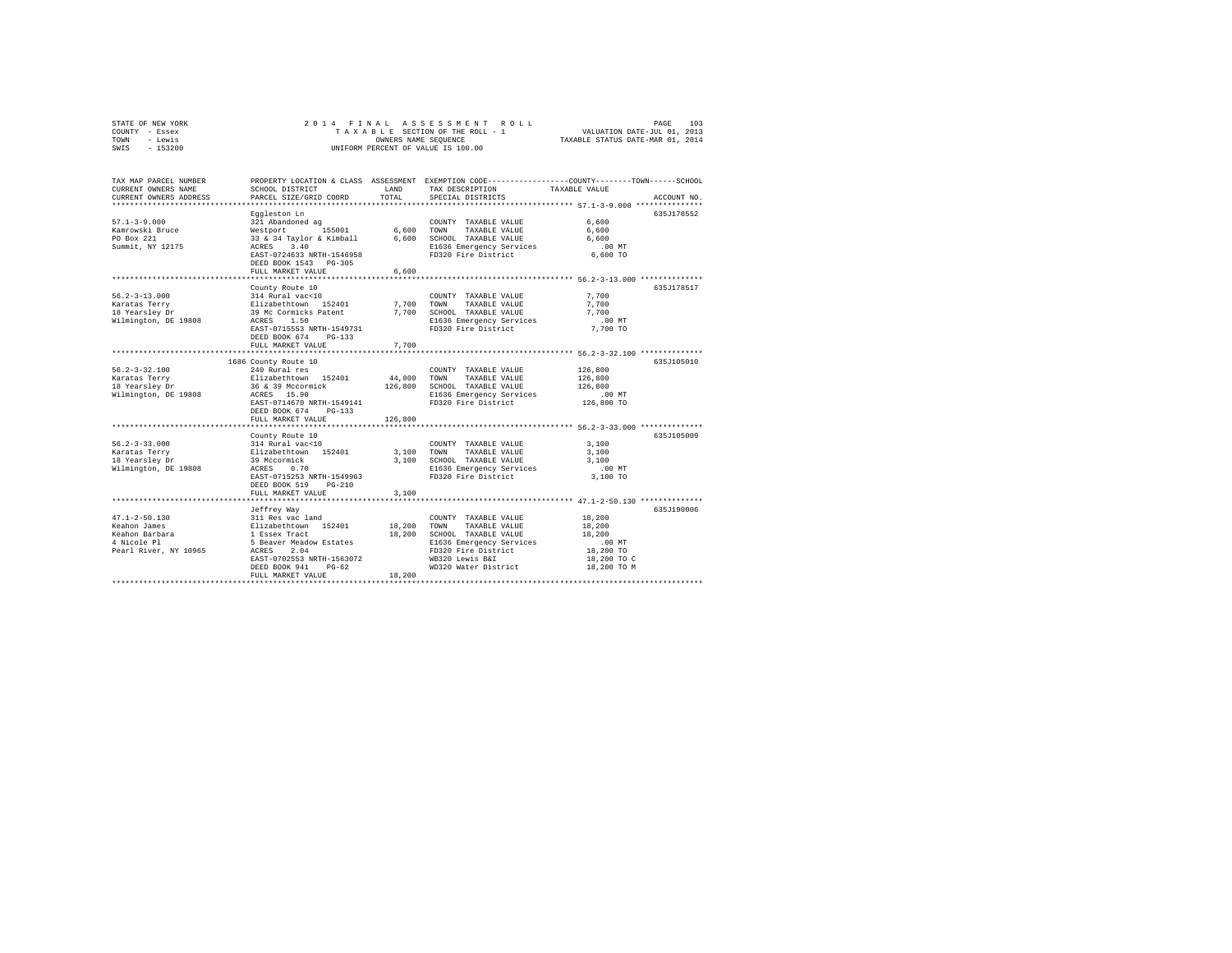| STATE OF NEW YORK | 2014 FINAL ASSESSMENT ROLL         | 103<br>PAGE                      |
|-------------------|------------------------------------|----------------------------------|
| COUNTY - Essex    | TAXABLE SECTION OF THE ROLL - 1    | VALUATION DATE-JUL 01, 2013      |
| TOWN<br>- Lewis   | OWNERS NAME SEOUENCE               | TAXABLE STATUS DATE-MAR 01, 2014 |
| $-153200$<br>SWIS | UNIFORM PERCENT OF VALUE IS 100.00 |                                  |

| TAX MAP PARCEL NUMBER<br>CURRENT OWNERS NAME<br>CURRENT OWNERS ADDRESS                        | SCHOOL DISTRICT<br>PARCEL SIZE/GRID COORD                                                                                                                                                                        | LAND<br>TOTAL                | PROPERTY LOCATION & CLASS ASSESSMENT EXEMPTION CODE----------------COUNTY-------TOWN------SCHOOL<br>TAX DESCRIPTION<br>SPECIAL DISTRICTS                            | TAXABLE VALUE                                                                            | ACCOUNT NO. |
|-----------------------------------------------------------------------------------------------|------------------------------------------------------------------------------------------------------------------------------------------------------------------------------------------------------------------|------------------------------|---------------------------------------------------------------------------------------------------------------------------------------------------------------------|------------------------------------------------------------------------------------------|-------------|
| $57.1 - 3 - 9.000$<br>Kamrowski Bruce<br>PO Box 221<br>Summit, NY 12175                       | Eggleston Ln<br>321 Abandoned ag<br>Westport 155001<br>33 & 34 Taylor & Kimball<br>ACRES 3.40<br>EAST-0724633 NRTH-1546958<br>DEED BOOK 1543 PG-305<br>FULL MARKET VALUE                                         | 6,600<br>6,600<br>6,600      | COUNTY TAXABLE VALUE<br>TOWN<br>TAXABLE VALUE<br>SCHOOL TAXABLE VALUE<br>E1636 Emergency Services<br>FD320 Fire District                                            | 6.600<br>6,600<br>6,600<br>$.00$ MT<br>6,600 TO                                          | 635J178552  |
| $56.2 - 3 - 13.000$<br>Karatas Terry<br>18 Yearslev Dr<br>Wilmington, DE 19808                | County Route 10<br>314 Rural vac<10<br>Elizabethtown 152401<br>39 Mc Cormicks Patent<br>1.50<br>ACRES<br>EAST-0715553 NRTH-1549731<br>DEED BOOK 674<br>$PG-133$<br>FULL MARKET VALUE                             | 7.700<br>7,700<br>7.700      | COUNTY TAXABLE VALUE<br>TOWN<br>TAXABLE VALUE<br>SCHOOL TAXABLE VALUE<br>E1636 Emergency Services<br>FD320 Fire District                                            | 7,700<br>7,700<br>7.700<br>$.00$ MT<br>7,700 TO                                          | 635.T178517 |
| $56.2 - 3 - 32.100$<br>Karatas Terry<br>18 Yearsley Dr<br>Wilmington, DE 19808                | 1686 County Route 10<br>240 Rural res<br>Elizabethtown 152401<br>36 & 39 Mccormick<br>ACRES 15.90<br>EAST-0714670 NRTH-1549141<br>DEED BOOK 674<br>$PG-133$<br>FULL MARKET VALUE<br>**************************** | 44,000<br>126,800<br>126,800 | COUNTY TAXABLE VALUE<br>TOWN<br>TAXABLE VALUE<br>SCHOOL TAXABLE VALUE<br>E1636 Emergency Services<br>FD320 Fire District                                            | 126,800<br>126,800<br>126,800<br>.00 MT<br>126,800 TO                                    | 635J105010  |
| $56.2 - 3 - 33.000$<br>Karatas Terry<br>18 Yearsley Dr<br>Wilmington, DE 19808                | County Route 10<br>314 Rural vac<10<br>Elizabethtown 152401<br>39 Mccormick<br>0.70<br>ACRES<br>EAST-0715253 NRTH-1549963<br>DEED BOOK 519<br>$PG-210$<br>FULL MARKET VALUE                                      | 3,100<br>3.100               | COUNTY TAXABLE VALUE<br>TOWN<br>TAXABLE VALUE<br>3,100 SCHOOL TAXABLE VALUE<br>E1636 Emergency Services<br>FD320 Fire District                                      | 3,100<br>3,100<br>3,100<br>$.00$ MT<br>3,100 TO<br>********* 47.1-2-50.130 ************* | 635J105009  |
| $47.1 - 2 - 50.130$<br>Keahon James<br>Keahon Barbara<br>4 Nicole Pl<br>Pearl River, NY 10965 | Jeffrey Way<br>311 Res vac land<br>Elizabethtown 152401<br>1 Essex Tract<br>5 Beaver Meadow Estates<br>ACRES<br>2.04<br>EAST-0702553 NRTH-1563072<br>DEED BOOK 941<br>$PG-62$<br>FULL MARKET VALUE               | 18,200<br>18,200<br>18,200   | COUNTY TAXABLE VALUE<br>TOWN<br>TAXABLE VALUE<br>SCHOOL TAXABLE VALUE<br>E1636 Emergency Services<br>FD320 Fire District<br>WB320 Lewis B&I<br>WD320 Water District | 18,200<br>18,200<br>18,200<br>.00MT<br>18,200 TO<br>18,200 TO C<br>18,200 TO M           | 635J190006  |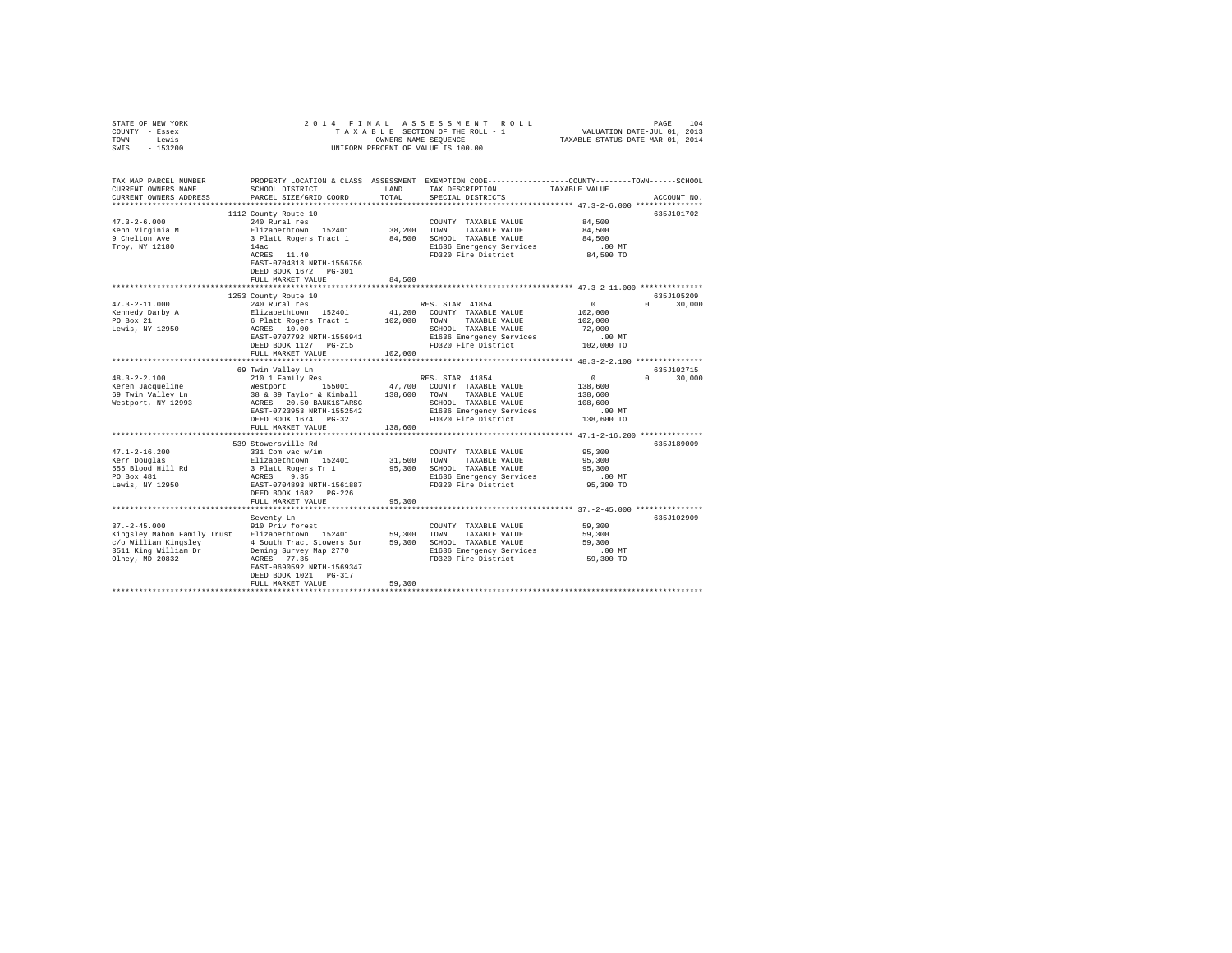| STATE OF NEW YORK<br>COUNTY - Essex<br>- Lewis<br>TOWN<br>$-153200$<br>SWIS | 2014 FINAL                                                                                     |               | ASSESSMENT<br>TAXABLE SECTION OF THE ROLL - 1<br>OWNERS NAME SEQUENCE<br>UNIFORM PERCENT OF VALUE IS 100.00                             | $\begin{tabular}{ccccc} R & O & L & L & \multicolumn{2}{c}{\small \texttt{PAGE}} & 104 \\ - & 1 & & \multicolumn{2}{c}{\small \texttt{VALUATION DATE-JUL 01, 2013}} \\ & \multicolumn{2}{c}{\small \texttt{TAXABLE STATUS DATE-MAR 01, 2014}} \end{tabular}$ |                    |
|-----------------------------------------------------------------------------|------------------------------------------------------------------------------------------------|---------------|-----------------------------------------------------------------------------------------------------------------------------------------|--------------------------------------------------------------------------------------------------------------------------------------------------------------------------------------------------------------------------------------------------------------|--------------------|
| TAX MAP PARCEL NUMBER<br>CURRENT OWNERS NAME<br>CURRENT OWNERS ADDRESS      | SCHOOL DISTRICT<br>PARCEL SIZE/GRID COORD                                                      | LAND<br>TOTAL | PROPERTY LOCATION & CLASS ASSESSMENT EXEMPTION CODE---------------COUNTY-------TOWN------SCHOOL<br>TAX DESCRIPTION<br>SPECIAL DISTRICTS | TAXABLE VALUE                                                                                                                                                                                                                                                | ACCOUNT NO.        |
| **************************                                                  |                                                                                                |               |                                                                                                                                         |                                                                                                                                                                                                                                                              |                    |
|                                                                             | 1112 County Route 10                                                                           |               |                                                                                                                                         |                                                                                                                                                                                                                                                              | 635J101702         |
| $47.3 - 2 - 6.000$                                                          | 240 Rural res                                                                                  |               | COUNTY TAXABLE VALUE                                                                                                                    | 84,500                                                                                                                                                                                                                                                       |                    |
| Kehn Virginia M                                                             | Elizabethtown 152401                                                                           | 38,200        | TOWN<br>TAXABLE VALUE                                                                                                                   | 84,500                                                                                                                                                                                                                                                       |                    |
| 9 Chelton Ave                                                               | 3 Platt Rogers Tract 1                                                                         | 84,500        | SCHOOL TAXABLE VALUE                                                                                                                    | 84,500                                                                                                                                                                                                                                                       |                    |
| Troy, NY 12180                                                              | 14ac<br>ACRES 11.40<br>EAST-0704313 NRTH-1556756<br>DEED BOOK 1672 PG-301<br>FULL MARKET VALUE | 84,500        | E1636 Emergency Services<br>FD320 Fire District                                                                                         | $.00$ MT<br>84,500 TO                                                                                                                                                                                                                                        |                    |
|                                                                             |                                                                                                |               |                                                                                                                                         |                                                                                                                                                                                                                                                              |                    |
|                                                                             | 1253 County Route 10                                                                           |               |                                                                                                                                         |                                                                                                                                                                                                                                                              | 635J105209         |
| $47.3 - 2 - 11.000$                                                         | 240 Rural res                                                                                  |               | RES. STAR 41854                                                                                                                         | $\sim$ 0                                                                                                                                                                                                                                                     | $0 \t 30,000$      |
| Kennedy Darby A                                                             |                                                                                                |               | COUNTY TAXABLE VALUE                                                                                                                    | 102,000                                                                                                                                                                                                                                                      |                    |
| PO Box 21                                                                   | Elizabethtown 152401 41,200<br>6 Platt Rogers Tract 1 102,000                                  |               | TAXABLE VALUE<br>TOWN                                                                                                                   | 102,000                                                                                                                                                                                                                                                      |                    |
| Lewis, NY 12950                                                             | ACRES 10.00                                                                                    |               | SCHOOL TAXABLE VALUE                                                                                                                    | 72,000                                                                                                                                                                                                                                                       |                    |
|                                                                             | EAST-0707792 NRTH-1556941                                                                      |               | E1636 Emergency Services<br>FD320 Fire District                                                                                         | .00 MT                                                                                                                                                                                                                                                       |                    |
|                                                                             | DEED BOOK 1127 PG-215                                                                          |               |                                                                                                                                         | 102,000 TO                                                                                                                                                                                                                                                   |                    |
|                                                                             | FULL MARKET VALUE                                                                              | 102,000       |                                                                                                                                         |                                                                                                                                                                                                                                                              |                    |
|                                                                             | 69 Twin Valley Ln                                                                              |               |                                                                                                                                         |                                                                                                                                                                                                                                                              | 635J102715         |
| $48.3 - 2 - 2.100$                                                          | 210 1 Family Res                                                                               |               | RES. STAR 41854                                                                                                                         | $\sim$ 0                                                                                                                                                                                                                                                     | $\Omega$<br>30,000 |
| Keren Jacqueline                                                            | Westport 155001                                                                                |               | 47,700 COUNTY TAXABLE VALUE                                                                                                             | 138,600                                                                                                                                                                                                                                                      |                    |
| 69 Twin Valley Ln                                                           | 38 & 39 Taylor & Kimball 138,600 TOWN                                                          |               | TAXABLE VALUE                                                                                                                           | 138,600                                                                                                                                                                                                                                                      |                    |
| Westport, NY 12993                                                          | ACRES 20.50 BANK1STARSG                                                                        |               | SCHOOL TAXABLE VALUE                                                                                                                    | 108,600                                                                                                                                                                                                                                                      |                    |
|                                                                             | EAST-0723953 NRTH-1552542                                                                      |               | E1636 Emergency Services                                                                                                                | $.00$ MT                                                                                                                                                                                                                                                     |                    |
|                                                                             | DEED BOOK 1674 PG-32                                                                           |               | FD320 Fire District                                                                                                                     | 138,600 TO                                                                                                                                                                                                                                                   |                    |
|                                                                             | FULL MARKET VALUE                                                                              | 138,600       | ************************************* 47.1-2-16.200 **************                                                                      |                                                                                                                                                                                                                                                              |                    |
|                                                                             | 539 Stowersville Rd                                                                            |               |                                                                                                                                         |                                                                                                                                                                                                                                                              | 635J189009         |
| $47.1 - 2 - 16.200$                                                         | 331 Com vac w/im                                                                               |               | COUNTY TAXABLE VALUE                                                                                                                    | 95,300                                                                                                                                                                                                                                                       |                    |
| Kerr Douglas                                                                | Elizabethtown 152401                                                                           | 31,500        | TOWN<br>TAXABLE VALUE                                                                                                                   | 95,300                                                                                                                                                                                                                                                       |                    |
| 555 Blood Hill Rd<br>PO Box 481                                             |                                                                                                | 95,300        | SCHOOL TAXABLE VALUE                                                                                                                    | 95,300                                                                                                                                                                                                                                                       |                    |
|                                                                             | 3 Platt Rogers Tr 1<br>ACRES 9.35                                                              |               | E1636 Emergency Services                                                                                                                | $.00$ MT                                                                                                                                                                                                                                                     |                    |
| Lewis, NY 12950                                                             | EAST-0704893 NRTH-1561887                                                                      |               | FD320 Fire District                                                                                                                     | 95,300 TO                                                                                                                                                                                                                                                    |                    |
|                                                                             | DEED BOOK 1682 PG-226                                                                          |               |                                                                                                                                         |                                                                                                                                                                                                                                                              |                    |
|                                                                             | FULL MARKET VALUE                                                                              | 95,300        |                                                                                                                                         | ***************** 37.-2-45.000 ***************                                                                                                                                                                                                               |                    |
|                                                                             | Seventy Ln                                                                                     |               |                                                                                                                                         |                                                                                                                                                                                                                                                              | 635.7102909        |
| $37. - 2 - 45.000$                                                          | 910 Priv forest                                                                                |               | COUNTY TAXABLE VALUE                                                                                                                    | 59,300                                                                                                                                                                                                                                                       |                    |
| Kingsley Mabon Family Trust                                                 | Elizabethtown 152401                                                                           | 59,300        | TOWN<br>TAXABLE VALUE                                                                                                                   | 59,300                                                                                                                                                                                                                                                       |                    |
| c/o William Kingsley                                                        | 4 South Tract Stowers Sur                                                                      | 59,300        | SCHOOL TAXABLE VALUE                                                                                                                    | 59,300                                                                                                                                                                                                                                                       |                    |
| 3511 King William Dr                                                        | Deming Survey Map 2770                                                                         |               | E1636 Emergency Services<br>FD320 Fire District                                                                                         | $.00$ MT                                                                                                                                                                                                                                                     |                    |
| Olney, MD 20832                                                             | ACRES 77.35                                                                                    |               |                                                                                                                                         | 59,300 TO                                                                                                                                                                                                                                                    |                    |
|                                                                             | EAST-0690592 NRTH-1569347                                                                      |               |                                                                                                                                         |                                                                                                                                                                                                                                                              |                    |
|                                                                             | DEED BOOK 1021 PG-317<br>FULL MARKET VALUE                                                     | 59,300        |                                                                                                                                         |                                                                                                                                                                                                                                                              |                    |
|                                                                             |                                                                                                |               |                                                                                                                                         |                                                                                                                                                                                                                                                              |                    |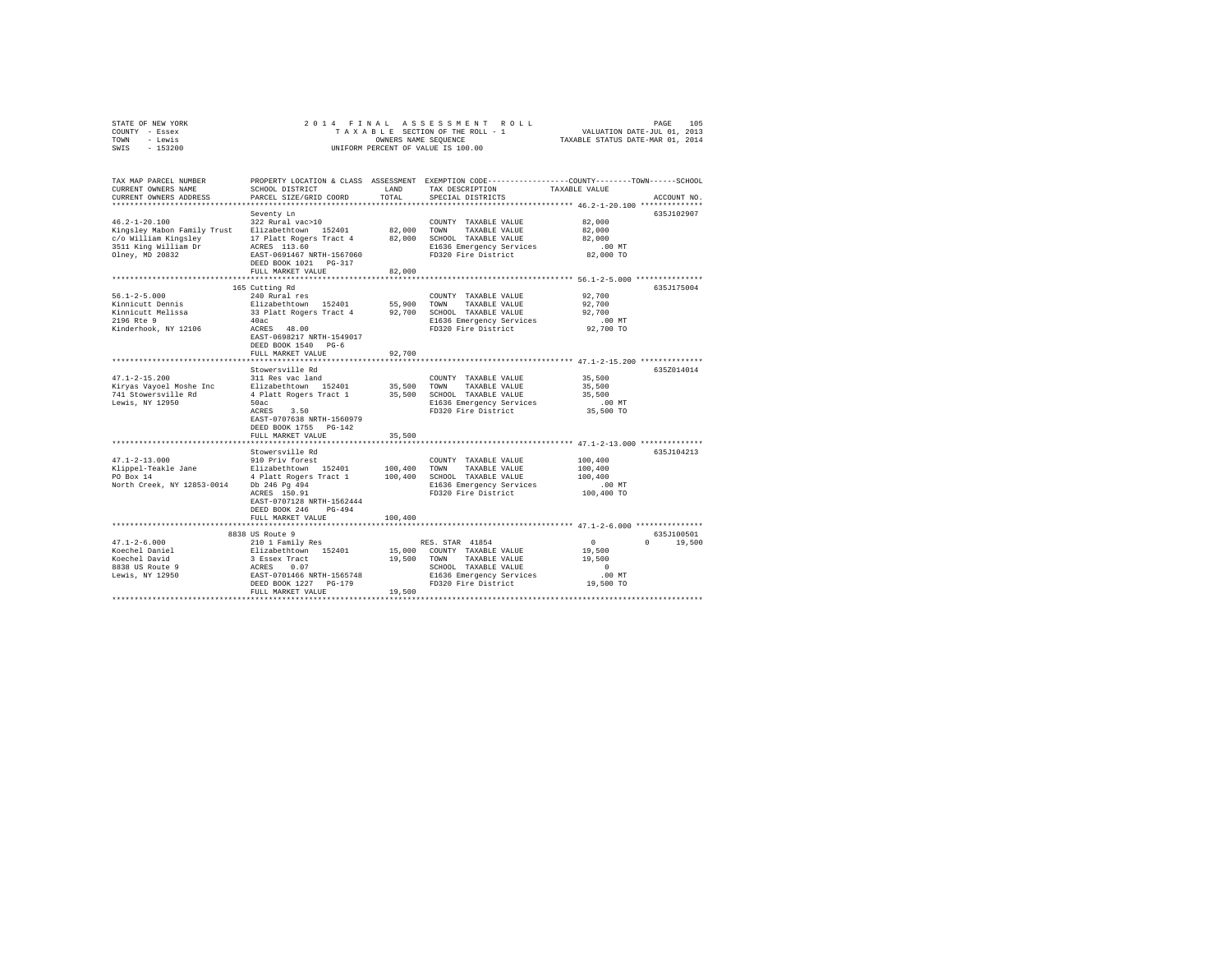| STATE OF NEW YORK | 2014 FINAL ASSESSMENT ROLL         | 105<br>PAGE                      |
|-------------------|------------------------------------|----------------------------------|
| COUNTY - Essex    | TAXABLE SECTION OF THE ROLL - 1    | VALUATION DATE-JUL 01, 2013      |
| TOWN<br>- Lewis   | OWNERS NAME SEOUENCE               | TAXABLE STATUS DATE-MAR 01, 2014 |
| $-153200$<br>SWIS | UNIFORM PERCENT OF VALUE IS 100.00 |                                  |

| TAX MAP PARCEL NUMBER<br>CURRENT OWNERS NAME<br>CURRENT OWNERS ADDRESS | SCHOOL DISTRICT<br>PARCEL SIZE/GRID COORD | T.AND<br>TOTAL | PROPERTY LOCATION & CLASS ASSESSMENT EXEMPTION CODE----------------COUNTY-------TOWN------SCHOOL<br>TAX DESCRIPTION<br>SPECIAL DISTRICTS | TAXABLE VALUE                               | ACCOUNT NO.        |
|------------------------------------------------------------------------|-------------------------------------------|----------------|------------------------------------------------------------------------------------------------------------------------------------------|---------------------------------------------|--------------------|
| **********************                                                 | **************************                |                |                                                                                                                                          |                                             |                    |
|                                                                        | Seventy Ln                                |                |                                                                                                                                          |                                             | 635J102907         |
| $46.2 - 1 - 20.100$                                                    | 322 Rural vac>10                          |                | COUNTY TAXABLE VALUE                                                                                                                     | 82,000                                      |                    |
| Kingsley Mabon Family Trust                                            | Elizabethtown 152401                      | 82,000         | TOWN<br>TAXABLE VALUE                                                                                                                    | 82,000                                      |                    |
| c/o William Kingslev                                                   | 17 Platt Rogers Tract 4                   |                | 82.000 SCHOOL TAXABLE VALUE                                                                                                              | 82,000                                      |                    |
| 3511 King William Dr                                                   | ACRES 113.60                              |                | E1636 Emergency Services                                                                                                                 | $.00$ MT                                    |                    |
| Olney, MD 20832                                                        | EAST-0691467 NRTH-1567060                 |                | FD320 Fire District                                                                                                                      | 82,000 TO                                   |                    |
|                                                                        | DEED BOOK 1021 PG-317                     |                |                                                                                                                                          |                                             |                    |
|                                                                        | FULL MARKET VALUE                         | 82,000         |                                                                                                                                          |                                             |                    |
|                                                                        |                                           |                |                                                                                                                                          |                                             |                    |
|                                                                        | 165 Cutting Rd                            |                |                                                                                                                                          |                                             | 635J175004         |
| $56.1 - 2 - 5.000$                                                     | 240 Rural res                             |                | COUNTY TAXABLE VALUE                                                                                                                     | 92,700                                      |                    |
| Kinnicutt Dennis                                                       | Elizabethtown 152401                      | 55,900         | TOWN<br>TAXABLE VALUE                                                                                                                    | 92,700                                      |                    |
| Kinnicutt Melissa                                                      | 33 Platt Rogers Tract 4                   | 92,700         | SCHOOL TAXABLE VALUE                                                                                                                     | 92,700                                      |                    |
| 2196 Rte 9                                                             | 40ac                                      |                | E1636 Emergency Services                                                                                                                 | .00 MT                                      |                    |
| Kinderhook, NY 12106                                                   | ACRES 48.00                               |                | FD320 Fire District                                                                                                                      | 92,700 TO                                   |                    |
|                                                                        | EAST-0698217 NRTH-1549017                 |                |                                                                                                                                          |                                             |                    |
|                                                                        | DEED BOOK 1540 PG-6                       |                |                                                                                                                                          |                                             |                    |
|                                                                        | FULL MARKET VALUE                         | 92,700         |                                                                                                                                          |                                             |                    |
|                                                                        |                                           |                |                                                                                                                                          | **************** 47.1-2-15.200 ************ |                    |
|                                                                        | Stowersville Rd                           |                |                                                                                                                                          |                                             | 635Z014014         |
| $47.1 - 2 - 15.200$                                                    | 311 Res vac land                          |                | COUNTY TAXABLE VALUE                                                                                                                     | 35,500                                      |                    |
| Kiryas Vayoel Moshe Inc                                                | Elizabethtown 152401                      | 35,500         | TOWN<br>TAXABLE VALUE                                                                                                                    | 35,500                                      |                    |
| 741 Stowersville Rd                                                    | 4 Platt Rogers Tract 1                    | 35,500         | SCHOOL TAXABLE VALUE                                                                                                                     | 35,500                                      |                    |
| Lewis, NY 12950                                                        |                                           |                |                                                                                                                                          | $.00$ MT                                    |                    |
|                                                                        | 50ac                                      |                | E1636 Emergency Services                                                                                                                 |                                             |                    |
|                                                                        | ACRES<br>3.50                             |                | FD320 Fire District                                                                                                                      | 35,500 TO                                   |                    |
|                                                                        | EAST-0707638 NRTH-1560979                 |                |                                                                                                                                          |                                             |                    |
|                                                                        | DEED BOOK 1755 PG-142                     |                |                                                                                                                                          |                                             |                    |
|                                                                        | FULL MARKET VALUE                         | 35,500         |                                                                                                                                          |                                             |                    |
|                                                                        |                                           |                |                                                                                                                                          |                                             |                    |
|                                                                        | Stowersville Rd                           |                |                                                                                                                                          |                                             | 635J104213         |
| $47.1 - 2 - 13.000$                                                    | 910 Priv forest                           |                | COUNTY TAXABLE VALUE                                                                                                                     | 100,400                                     |                    |
| Klippel-Teakle Jane                                                    | Elizabethtown 152401                      | 100,400        | TOWN<br>TAXABLE VALUE                                                                                                                    | 100,400                                     |                    |
| PO Box 14                                                              | 4 Platt Rogers Tract 1                    | 100,400        | SCHOOL TAXABLE VALUE                                                                                                                     | 100,400                                     |                    |
| North Creek, NY 12853-0014 Db 246 Pq 494                               |                                           |                | E1636 Emergency Services                                                                                                                 | .00 MT                                      |                    |
|                                                                        | ACRES 150.91                              |                | FD320 Fire District                                                                                                                      | 100,400 TO                                  |                    |
|                                                                        | EAST-0707128 NRTH-1562444                 |                |                                                                                                                                          |                                             |                    |
|                                                                        | DEED BOOK 246<br>$PG-494$                 |                |                                                                                                                                          |                                             |                    |
|                                                                        | FULL MARKET VALUE                         | 100,400        |                                                                                                                                          |                                             |                    |
|                                                                        | ***************************               |                | ************************************ 47.1-2-6.000 ***************                                                                        |                                             |                    |
|                                                                        | 8838 US Route 9                           |                |                                                                                                                                          |                                             | 635J100501         |
| $47.1 - 2 - 6.000$                                                     | 210 1 Family Res                          |                | RES. STAR 41854                                                                                                                          | $\circ$                                     | $\Omega$<br>19,500 |
| Koechel Daniel                                                         | Elizabethtown 152401                      |                | 15,000 COUNTY TAXABLE VALUE                                                                                                              | 19,500                                      |                    |
| Koechel David                                                          | 3 Essex Tract                             | 19,500 TOWN    | TAXABLE VALUE                                                                                                                            | 19,500                                      |                    |
| 8838 US Route 9                                                        | ACRES<br>0.07                             |                | SCHOOL TAXABLE VALUE                                                                                                                     | $\Omega$                                    |                    |
| Lewis, NY 12950                                                        | EAST-0701466 NRTH-1565748                 |                | E1636 Emergency Services                                                                                                                 | .00MT                                       |                    |
|                                                                        | DEED BOOK 1227 PG-179                     |                | FD320 Fire District                                                                                                                      | 19,500 TO                                   |                    |
|                                                                        | FULL MARKET VALUE                         | 19,500         |                                                                                                                                          |                                             |                    |
|                                                                        |                                           |                |                                                                                                                                          |                                             |                    |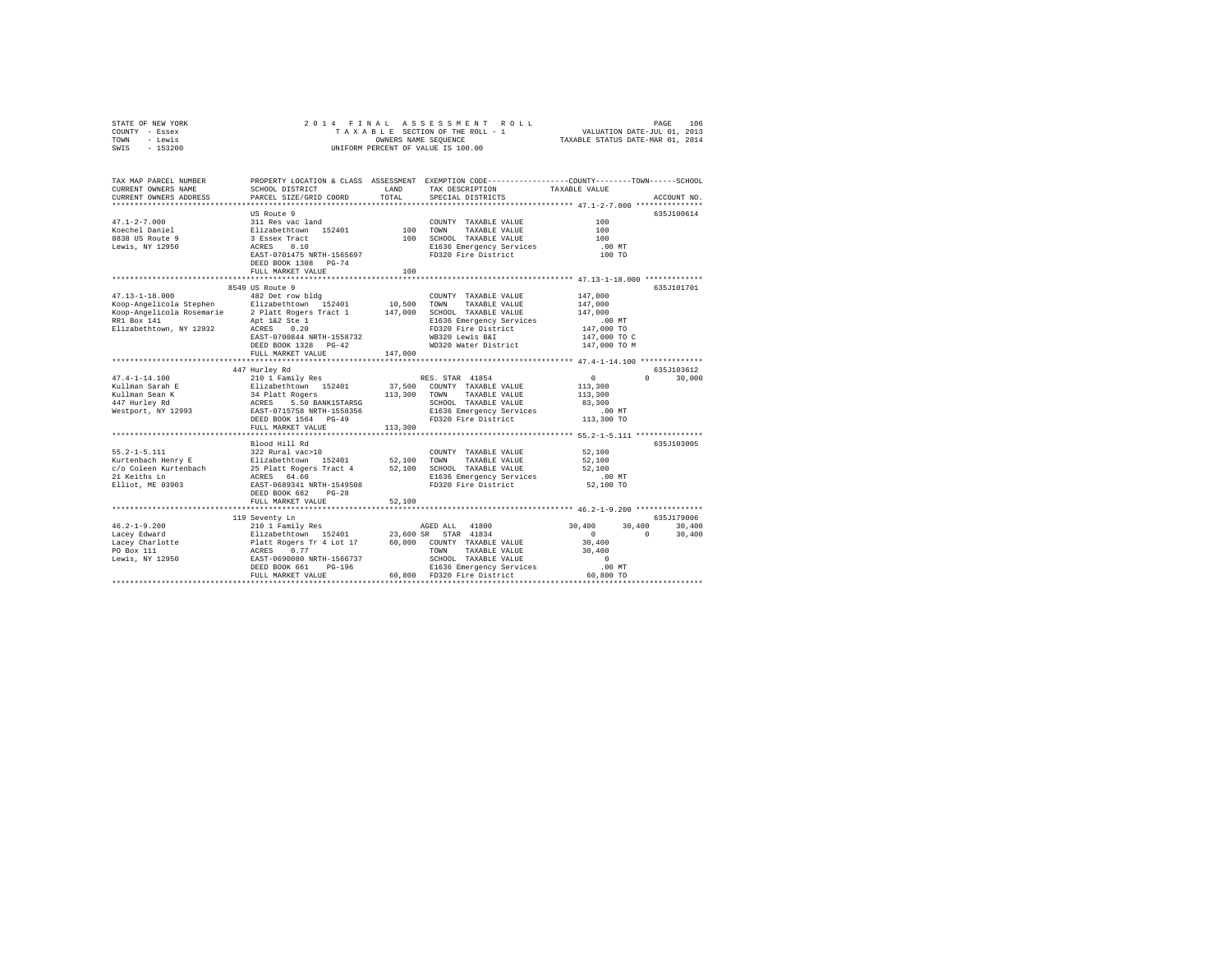| STATE OF NEW YORK<br>COUNTY - Essex<br>- Lewis<br>TOWN<br>SWIS<br>$-153200$                                              | 2014 FINAL                                                                                     | OWNERS NAME SEQUENCE | ASSESSMENT<br>ROLL<br>TAXABLE SECTION OF THE ROLL - 1<br>UNIFORM PERCENT OF VALUE IS 100.00                       | VALUATION DATE-JUL 01, 2013<br>TAXABLE STATUS DATE-MAR 01, 2014 | PAGE<br>106        |
|--------------------------------------------------------------------------------------------------------------------------|------------------------------------------------------------------------------------------------|----------------------|-------------------------------------------------------------------------------------------------------------------|-----------------------------------------------------------------|--------------------|
|                                                                                                                          |                                                                                                |                      |                                                                                                                   |                                                                 |                    |
| TAX MAP PARCEL NUMBER<br>CURRENT OWNERS NAME                                                                             | SCHOOL DISTRICT                                                                                | LAND                 | PROPERTY LOCATION & CLASS ASSESSMENT EXEMPTION CODE---------------COUNTY-------TOWN-----SCHOOL<br>TAX DESCRIPTION | TAXABLE VALUE                                                   |                    |
| CURRENT OWNERS ADDRESS                                                                                                   | PARCEL SIZE/GRID COORD                                                                         | TOTAL                | SPECIAL DISTRICTS                                                                                                 |                                                                 | ACCOUNT NO.        |
|                                                                                                                          |                                                                                                |                      |                                                                                                                   |                                                                 |                    |
|                                                                                                                          | US Route 9                                                                                     |                      |                                                                                                                   |                                                                 | 635J100614         |
| $47.1 - 2 - 7.000$                                                                                                       | 311 Res vac land                                                                               |                      | COUNTY TAXABLE VALUE                                                                                              | 100                                                             |                    |
| Koechel Daniel                                                                                                           | Elizabethtown 152401<br>3 Essex Tract                                                          | 100 TOWN             | TAXABLE VALUE                                                                                                     | 100                                                             |                    |
| 8838 US Route 9                                                                                                          |                                                                                                |                      | 100 SCHOOL TAXABLE VALUE                                                                                          | 100                                                             |                    |
| Lewis, NY 12950                                                                                                          | ACRES 0.10                                                                                     |                      | E1636 Emergency Services                                                                                          | $.00$ MT                                                        |                    |
|                                                                                                                          | EAST-0701475 NRTH-1565697<br>DEED BOOK 1308 PG-74                                              |                      | FD320 Fire District                                                                                               | 100 TO                                                          |                    |
|                                                                                                                          | FULL MARKET VALUE                                                                              | 100                  |                                                                                                                   |                                                                 |                    |
|                                                                                                                          |                                                                                                |                      |                                                                                                                   |                                                                 |                    |
|                                                                                                                          | 8549 US Route 9                                                                                |                      |                                                                                                                   |                                                                 | 635J101701         |
| $47.13 - 1 - 18.000$                                                                                                     | 482 Det row bldg                                                                               |                      | COUNTY TAXABLE VALUE                                                                                              | 147,000                                                         |                    |
|                                                                                                                          |                                                                                                | 10,500               | TOWN<br>TAXABLE VALUE                                                                                             | 147,000                                                         |                    |
| Example 152401<br>Koop-Angelicola Stephen<br>Elizabethtown 152401<br>Koop-Angelicola Rosemarie<br>2 Platt Rogers Tract 1 |                                                                                                |                      | 147,000 SCHOOL TAXABLE VALUE                                                                                      | 147,000                                                         |                    |
| RR1 Box 141                                                                                                              | Apt 1&2 Ste 1                                                                                  |                      | E1636 Emergency Services                                                                                          | $.00$ MT                                                        |                    |
| Elizabethtown, NY 12932                                                                                                  | ACRES 0.20                                                                                     |                      | FD320 Fire District                                                                                               | 147,000 TO                                                      |                    |
|                                                                                                                          | EAST-0700844 NRTH-1558732                                                                      |                      | WB320 Lewis B&I                                                                                                   | 147,000 TO C                                                    |                    |
|                                                                                                                          | DEED BOOK 1328 PG-42                                                                           |                      | WD320 Water District                                                                                              | 147,000 TO M                                                    |                    |
|                                                                                                                          | FULL MARKET VALUE                                                                              | 147,000              |                                                                                                                   |                                                                 |                    |
|                                                                                                                          |                                                                                                |                      |                                                                                                                   |                                                                 |                    |
|                                                                                                                          | 447 Hurley Rd                                                                                  |                      |                                                                                                                   |                                                                 | 635J103612         |
| $47.4 - 1 - 14.100$                                                                                                      | 210 1 Family Res                                                                               |                      | RES. STAR 41854                                                                                                   | $0 \qquad \qquad$                                               | 30,000<br>$\Omega$ |
| Kullman Sarah E                                                                                                          |                                                                                                |                      | 37,500 COUNTY TAXABLE VALUE                                                                                       | 113,300                                                         |                    |
| Kullman Sean K                                                                                                           | Elizabethtown 152401<br>34 Platt Rogers<br>ACRES 5.50 BANK1STARSG<br>EAST-0715758 NRTH-1558356 | 113,300 TOWN         | TAXABLE VALUE                                                                                                     | 113,300                                                         |                    |
| 447 Hurley Rd                                                                                                            |                                                                                                |                      | SCHOOL TAXABLE VALUE                                                                                              | 83,300                                                          |                    |
| Westport, NY 12993                                                                                                       |                                                                                                |                      | E1636 Emergency Services                                                                                          | $.00$ MT                                                        |                    |
|                                                                                                                          | DEED BOOK 1564 PG-49                                                                           |                      | FD320 Fire District                                                                                               | 113,300 TO                                                      |                    |
|                                                                                                                          | FULL MARKET VALUE                                                                              | 113,300              |                                                                                                                   |                                                                 |                    |
|                                                                                                                          |                                                                                                |                      |                                                                                                                   |                                                                 |                    |
|                                                                                                                          | Blood Hill Rd<br>322 Rural vac>10                                                              |                      |                                                                                                                   | 52,100                                                          | 635J103005         |
| $55.2 - 1 - 5.111$                                                                                                       | Elizabethtown 152401                                                                           |                      | COUNTY TAXABLE VALUE                                                                                              |                                                                 |                    |
| Kurtenbach Henry E<br>c/o Coleen Kurtenbach                                                                              |                                                                                                | 52,100               | TOWN<br>TAXABLE VALUE<br>52,100 SCHOOL TAXABLE VALUE                                                              | 52,100<br>52,100                                                |                    |
| 21 Keiths Ln                                                                                                             | 25 Platt Rogers Tract 4<br>ACRES 64.60                                                         |                      | E1636 Emergency Services                                                                                          | $.00$ MT                                                        |                    |
| Elliot, ME 03903                                                                                                         | EAST-0689341 NRTH-1549508                                                                      |                      | FD320 Fire District                                                                                               | 52,100 TO                                                       |                    |
|                                                                                                                          | DEED BOOK 682 PG-28                                                                            |                      |                                                                                                                   |                                                                 |                    |
|                                                                                                                          | FULL MARKET VALUE                                                                              | 52,100               |                                                                                                                   |                                                                 |                    |
|                                                                                                                          |                                                                                                |                      |                                                                                                                   |                                                                 |                    |
|                                                                                                                          | 119 Seventy Ln                                                                                 |                      |                                                                                                                   |                                                                 | 635J179006         |
| $46.2 - 1 - 9.200$                                                                                                       | 210 1 Family Res                                                                               |                      | AGED ALL 41800                                                                                                    | 30,400<br>30,400                                                | 30,400             |
| Lacey Edward                                                                                                             |                                                                                                |                      | 23,600 SR STAR 41834                                                                                              | $\sim$ 0                                                        | $\Omega$<br>30,400 |
| $\frac{\text{Lacc}_{\text{L}}}{\text{Lacey}}$ Charlotte                                                                  |                                                                                                |                      | 60,800 COUNTY TAXABLE VALUE                                                                                       | 30,400                                                          |                    |
| PO Box 111                                                                                                               |                                                                                                |                      | TOWN<br>TAXABLE VALUE                                                                                             | 30,400                                                          |                    |
| Lewis, NY 12950                                                                                                          | Elizabethtown 152401<br>Platt Rogers Tr 4 Lot 17<br>ACRES 0.77<br>EAST-0690080 NRTH-1566737    |                      | SCHOOL TAXABLE VALUE                                                                                              | $\circ$                                                         |                    |
|                                                                                                                          | PG-196<br>DEED BOOK 661                                                                        |                      | E1636 Emergency Services                                                                                          | $.00$ MT                                                        |                    |
|                                                                                                                          | FULL MARKET VALUE                                                                              |                      | 60.800 FD320 Fire District                                                                                        | 60,800 TO                                                       |                    |
|                                                                                                                          |                                                                                                |                      |                                                                                                                   |                                                                 |                    |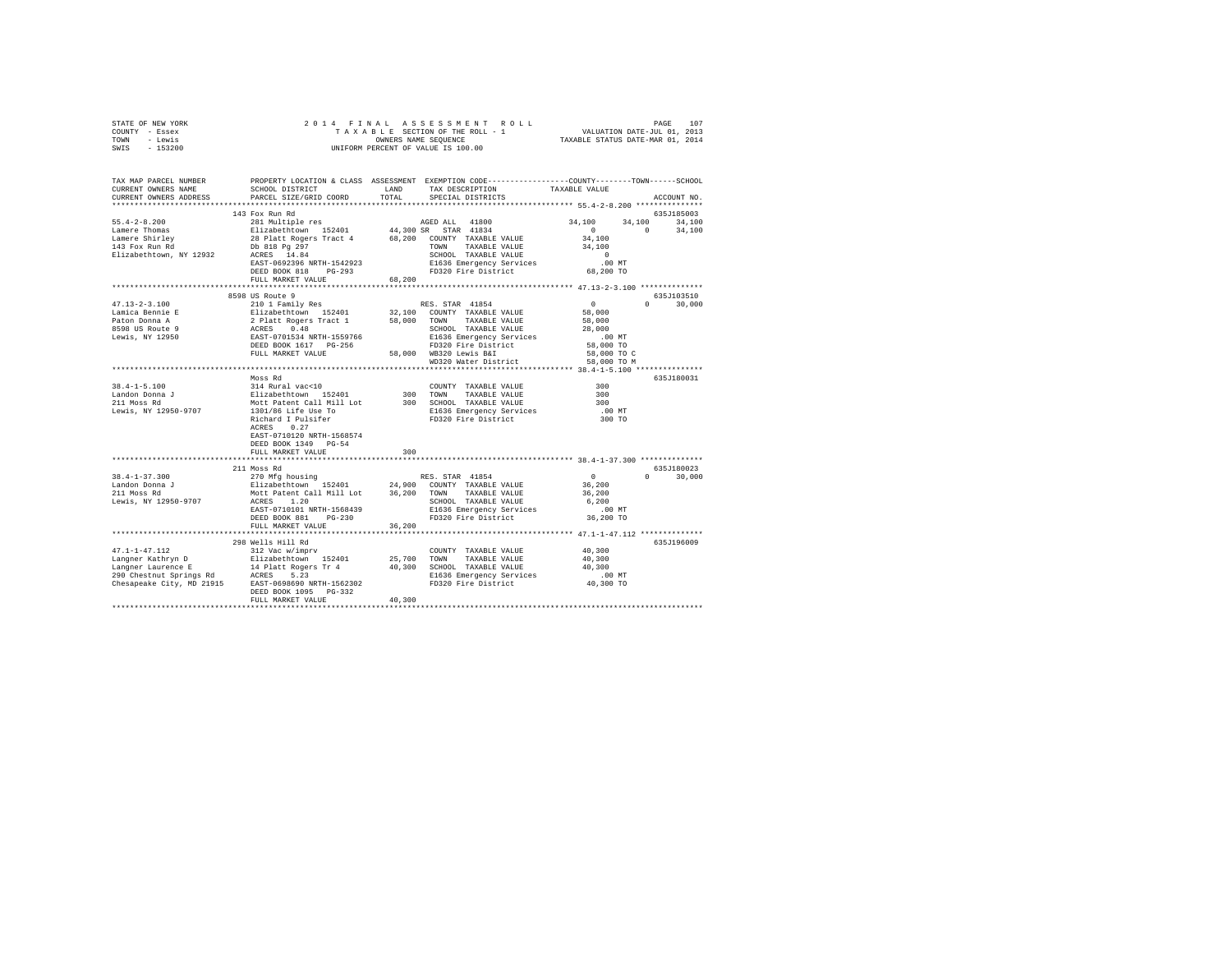| STATE OF NEW YORK             |                                                                                                                                                                                                                                                                                                                                                                                                                             |        |                                                                                                                                                                                                                                                                                                                                                                                                                                                    |                      |               |  |  |  |
|-------------------------------|-----------------------------------------------------------------------------------------------------------------------------------------------------------------------------------------------------------------------------------------------------------------------------------------------------------------------------------------------------------------------------------------------------------------------------|--------|----------------------------------------------------------------------------------------------------------------------------------------------------------------------------------------------------------------------------------------------------------------------------------------------------------------------------------------------------------------------------------------------------------------------------------------------------|----------------------|---------------|--|--|--|
| COUNTY - Essex                |                                                                                                                                                                                                                                                                                                                                                                                                                             |        |                                                                                                                                                                                                                                                                                                                                                                                                                                                    |                      |               |  |  |  |
| TOWN - Lewis                  |                                                                                                                                                                                                                                                                                                                                                                                                                             |        |                                                                                                                                                                                                                                                                                                                                                                                                                                                    |                      |               |  |  |  |
| SWIS - 153200                 |                                                                                                                                                                                                                                                                                                                                                                                                                             |        |                                                                                                                                                                                                                                                                                                                                                                                                                                                    |                      |               |  |  |  |
|                               |                                                                                                                                                                                                                                                                                                                                                                                                                             |        |                                                                                                                                                                                                                                                                                                                                                                                                                                                    |                      |               |  |  |  |
|                               |                                                                                                                                                                                                                                                                                                                                                                                                                             |        |                                                                                                                                                                                                                                                                                                                                                                                                                                                    |                      |               |  |  |  |
|                               | TAX MAP PARCEL NUMBER     PROPERTY LOCATION & CLASS ASSESSMENT EXEMPTION CODE--------------COUNTY-------TOWN------SCHOOL DISTRICT     LAND   TAX DESCRIPTION     TAXABLE VALUE                                                                                                                                                                                                                                              |        |                                                                                                                                                                                                                                                                                                                                                                                                                                                    |                      |               |  |  |  |
|                               |                                                                                                                                                                                                                                                                                                                                                                                                                             |        |                                                                                                                                                                                                                                                                                                                                                                                                                                                    |                      |               |  |  |  |
| CURRENT OWNERS ADDRESS        | PARCEL SIZE/GRID COORD                                                                                                                                                                                                                                                                                                                                                                                                      | TOTAL  | SPECIAL DISTRICTS                                                                                                                                                                                                                                                                                                                                                                                                                                  |                      | ACCOUNT NO.   |  |  |  |
|                               |                                                                                                                                                                                                                                                                                                                                                                                                                             |        |                                                                                                                                                                                                                                                                                                                                                                                                                                                    |                      |               |  |  |  |
|                               | 143 Fox Run Rd                                                                                                                                                                                                                                                                                                                                                                                                              |        |                                                                                                                                                                                                                                                                                                                                                                                                                                                    |                      | 635J185003    |  |  |  |
|                               |                                                                                                                                                                                                                                                                                                                                                                                                                             |        |                                                                                                                                                                                                                                                                                                                                                                                                                                                    |                      |               |  |  |  |
|                               |                                                                                                                                                                                                                                                                                                                                                                                                                             |        |                                                                                                                                                                                                                                                                                                                                                                                                                                                    |                      |               |  |  |  |
|                               |                                                                                                                                                                                                                                                                                                                                                                                                                             |        |                                                                                                                                                                                                                                                                                                                                                                                                                                                    |                      |               |  |  |  |
|                               |                                                                                                                                                                                                                                                                                                                                                                                                                             |        |                                                                                                                                                                                                                                                                                                                                                                                                                                                    |                      |               |  |  |  |
|                               | $\begin{tabular}{lcccc} 55.4-2-8.200 & 143\textrm{ ~0. 34, 100} & 34\textrm{ ~0. 34, 100} \\ Lameer Thomas & 281 \textrm{ Multiple res} & 44, 300\textrm{ SFR} & 41800 & 34, 100 & 34, 100 \\ Lameer Shree & 281\textrm{ at 34} & 281\textrm{ at 34} & 68, 200\textrm{ TMXABLE VALUE} & 0 & 0 & 34, 100 \\ Lameer Shire & 281\textrm{ RGE} & 14.300\textrm$                                                                 |        |                                                                                                                                                                                                                                                                                                                                                                                                                                                    |                      |               |  |  |  |
|                               |                                                                                                                                                                                                                                                                                                                                                                                                                             |        |                                                                                                                                                                                                                                                                                                                                                                                                                                                    |                      |               |  |  |  |
|                               |                                                                                                                                                                                                                                                                                                                                                                                                                             |        |                                                                                                                                                                                                                                                                                                                                                                                                                                                    |                      |               |  |  |  |
|                               | FULL MARKET VALUE                                                                                                                                                                                                                                                                                                                                                                                                           |        | 68,200                                                                                                                                                                                                                                                                                                                                                                                                                                             |                      |               |  |  |  |
|                               |                                                                                                                                                                                                                                                                                                                                                                                                                             |        |                                                                                                                                                                                                                                                                                                                                                                                                                                                    |                      |               |  |  |  |
|                               | 8598 US Route 9                                                                                                                                                                                                                                                                                                                                                                                                             |        |                                                                                                                                                                                                                                                                                                                                                                                                                                                    |                      | 635J103510    |  |  |  |
| $47.13 - 2 - 3.100$           |                                                                                                                                                                                                                                                                                                                                                                                                                             |        | RES. STAR 41854                                                                                                                                                                                                                                                                                                                                                                                                                                    | $\sim$ 0 $\sim$ 0    | $0 \t 30,000$ |  |  |  |
|                               |                                                                                                                                                                                                                                                                                                                                                                                                                             |        |                                                                                                                                                                                                                                                                                                                                                                                                                                                    |                      |               |  |  |  |
|                               |                                                                                                                                                                                                                                                                                                                                                                                                                             |        |                                                                                                                                                                                                                                                                                                                                                                                                                                                    |                      |               |  |  |  |
|                               |                                                                                                                                                                                                                                                                                                                                                                                                                             |        |                                                                                                                                                                                                                                                                                                                                                                                                                                                    |                      |               |  |  |  |
|                               | $\begin{tabular}{l c c c c c} \multicolumn{3}{c}{\textbf{47.13--2-3.100}} & \multicolumn{3}{c}{2101}~\text{Family Res} & \text{RES. STAR 41854} \\ \multicolumn{3}{c}{\textbf{Lamica Bennie E}} & \textbf{E11zabeChown} & \textbf{152401} & \textbf{32,100} & \textbf{70NN} & \textbf{TAXABLE VALUE} & \textbf{58,000} \\ \multicolumn{3}{c}{\textbf{Palica Bennie E}} & \textbf{2} & \textbf{21zabeChown} & \textbf{58,00$ |        |                                                                                                                                                                                                                                                                                                                                                                                                                                                    |                      |               |  |  |  |
|                               |                                                                                                                                                                                                                                                                                                                                                                                                                             |        |                                                                                                                                                                                                                                                                                                                                                                                                                                                    |                      |               |  |  |  |
|                               |                                                                                                                                                                                                                                                                                                                                                                                                                             |        |                                                                                                                                                                                                                                                                                                                                                                                                                                                    |                      |               |  |  |  |
|                               |                                                                                                                                                                                                                                                                                                                                                                                                                             |        |                                                                                                                                                                                                                                                                                                                                                                                                                                                    |                      |               |  |  |  |
|                               |                                                                                                                                                                                                                                                                                                                                                                                                                             |        |                                                                                                                                                                                                                                                                                                                                                                                                                                                    |                      |               |  |  |  |
|                               |                                                                                                                                                                                                                                                                                                                                                                                                                             |        |                                                                                                                                                                                                                                                                                                                                                                                                                                                    |                      |               |  |  |  |
|                               |                                                                                                                                                                                                                                                                                                                                                                                                                             |        |                                                                                                                                                                                                                                                                                                                                                                                                                                                    |                      | 635J180031    |  |  |  |
|                               |                                                                                                                                                                                                                                                                                                                                                                                                                             |        | $\begin{tabular}{lllllll} \multicolumn{2}{c}{\textbf{COUNTY}} & \textbf{TAXABLE} & \textbf{VALUE} & \textbf{300} \\ \multicolumn{2}{c}{\textbf{1.00}} & \multicolumn{2}{c}{\textbf{1.00}} & \multicolumn{2}{c}{\textbf{1.00}} & \multicolumn{2}{c}{\textbf{1.00}} & \multicolumn{2}{c}{\textbf{1.00}} \\ \multicolumn{2}{c}{\textbf{1.00}} & \multicolumn{2}{c}{\textbf{1.00}} & \multicolumn{2}{c}{\textbf{1.00}} & \multicolumn{2}{c}{\textbf{1$ |                      |               |  |  |  |
|                               |                                                                                                                                                                                                                                                                                                                                                                                                                             |        |                                                                                                                                                                                                                                                                                                                                                                                                                                                    | 300                  |               |  |  |  |
|                               |                                                                                                                                                                                                                                                                                                                                                                                                                             |        |                                                                                                                                                                                                                                                                                                                                                                                                                                                    | 300                  |               |  |  |  |
|                               |                                                                                                                                                                                                                                                                                                                                                                                                                             |        |                                                                                                                                                                                                                                                                                                                                                                                                                                                    | .00 MT<br>300 TO     |               |  |  |  |
|                               |                                                                                                                                                                                                                                                                                                                                                                                                                             |        |                                                                                                                                                                                                                                                                                                                                                                                                                                                    |                      |               |  |  |  |
|                               |                                                                                                                                                                                                                                                                                                                                                                                                                             |        |                                                                                                                                                                                                                                                                                                                                                                                                                                                    |                      |               |  |  |  |
|                               | EAST-0710120 NRTH-1568574                                                                                                                                                                                                                                                                                                                                                                                                   |        |                                                                                                                                                                                                                                                                                                                                                                                                                                                    |                      |               |  |  |  |
|                               | DEED BOOK 1349 PG-54                                                                                                                                                                                                                                                                                                                                                                                                        |        |                                                                                                                                                                                                                                                                                                                                                                                                                                                    |                      |               |  |  |  |
|                               | FULL MARKET VALUE                                                                                                                                                                                                                                                                                                                                                                                                           | 300    |                                                                                                                                                                                                                                                                                                                                                                                                                                                    |                      |               |  |  |  |
|                               |                                                                                                                                                                                                                                                                                                                                                                                                                             |        |                                                                                                                                                                                                                                                                                                                                                                                                                                                    |                      |               |  |  |  |
|                               | 211 Moss Rd                                                                                                                                                                                                                                                                                                                                                                                                                 |        |                                                                                                                                                                                                                                                                                                                                                                                                                                                    |                      | 635J180023    |  |  |  |
| $38.4 - 1 - 37.300$           | ALL THIS AND RES. STAR 41854<br>270 Mfg housing<br>Elizabethtown 152401 24,900 COUNTY TAXABLE VALUE<br>Mott Patent Call Mill Lot 36,200 TOWN TAXABLE VALUE<br>ACRES 1.20                                                                                                                                                                                                                                                    |        |                                                                                                                                                                                                                                                                                                                                                                                                                                                    | $0$<br>36,200        | $0 \t 30,000$ |  |  |  |
| Landon Donna J<br>211 Moss Rd |                                                                                                                                                                                                                                                                                                                                                                                                                             |        |                                                                                                                                                                                                                                                                                                                                                                                                                                                    |                      |               |  |  |  |
|                               |                                                                                                                                                                                                                                                                                                                                                                                                                             |        |                                                                                                                                                                                                                                                                                                                                                                                                                                                    | 36,200               |               |  |  |  |
| Lewis, NY 12950-9707          |                                                                                                                                                                                                                                                                                                                                                                                                                             |        |                                                                                                                                                                                                                                                                                                                                                                                                                                                    | 6,200                |               |  |  |  |
|                               | EAST-0710101 NRTH-1568439                                                                                                                                                                                                                                                                                                                                                                                                   |        |                                                                                                                                                                                                                                                                                                                                                                                                                                                    |                      |               |  |  |  |
|                               | DEED BOOK 881 PG-230                                                                                                                                                                                                                                                                                                                                                                                                        |        |                                                                                                                                                                                                                                                                                                                                                                                                                                                    | .00 MT.<br>36,200 TO |               |  |  |  |
|                               | FULL MARKET VALUE                                                                                                                                                                                                                                                                                                                                                                                                           | 36,200 |                                                                                                                                                                                                                                                                                                                                                                                                                                                    |                      |               |  |  |  |
|                               |                                                                                                                                                                                                                                                                                                                                                                                                                             |        |                                                                                                                                                                                                                                                                                                                                                                                                                                                    |                      |               |  |  |  |
|                               |                                                                                                                                                                                                                                                                                                                                                                                                                             |        |                                                                                                                                                                                                                                                                                                                                                                                                                                                    |                      |               |  |  |  |
|                               | 298 Wells Hill Rd                                                                                                                                                                                                                                                                                                                                                                                                           |        |                                                                                                                                                                                                                                                                                                                                                                                                                                                    |                      | 635J196009    |  |  |  |
|                               |                                                                                                                                                                                                                                                                                                                                                                                                                             |        |                                                                                                                                                                                                                                                                                                                                                                                                                                                    |                      |               |  |  |  |
|                               |                                                                                                                                                                                                                                                                                                                                                                                                                             |        |                                                                                                                                                                                                                                                                                                                                                                                                                                                    |                      |               |  |  |  |
|                               |                                                                                                                                                                                                                                                                                                                                                                                                                             |        |                                                                                                                                                                                                                                                                                                                                                                                                                                                    |                      |               |  |  |  |
|                               |                                                                                                                                                                                                                                                                                                                                                                                                                             |        |                                                                                                                                                                                                                                                                                                                                                                                                                                                    |                      |               |  |  |  |
|                               |                                                                                                                                                                                                                                                                                                                                                                                                                             |        |                                                                                                                                                                                                                                                                                                                                                                                                                                                    |                      |               |  |  |  |
|                               |                                                                                                                                                                                                                                                                                                                                                                                                                             |        |                                                                                                                                                                                                                                                                                                                                                                                                                                                    |                      |               |  |  |  |
|                               | FULL MARKET VALUE                                                                                                                                                                                                                                                                                                                                                                                                           | 40,300 |                                                                                                                                                                                                                                                                                                                                                                                                                                                    |                      |               |  |  |  |
|                               |                                                                                                                                                                                                                                                                                                                                                                                                                             |        |                                                                                                                                                                                                                                                                                                                                                                                                                                                    |                      |               |  |  |  |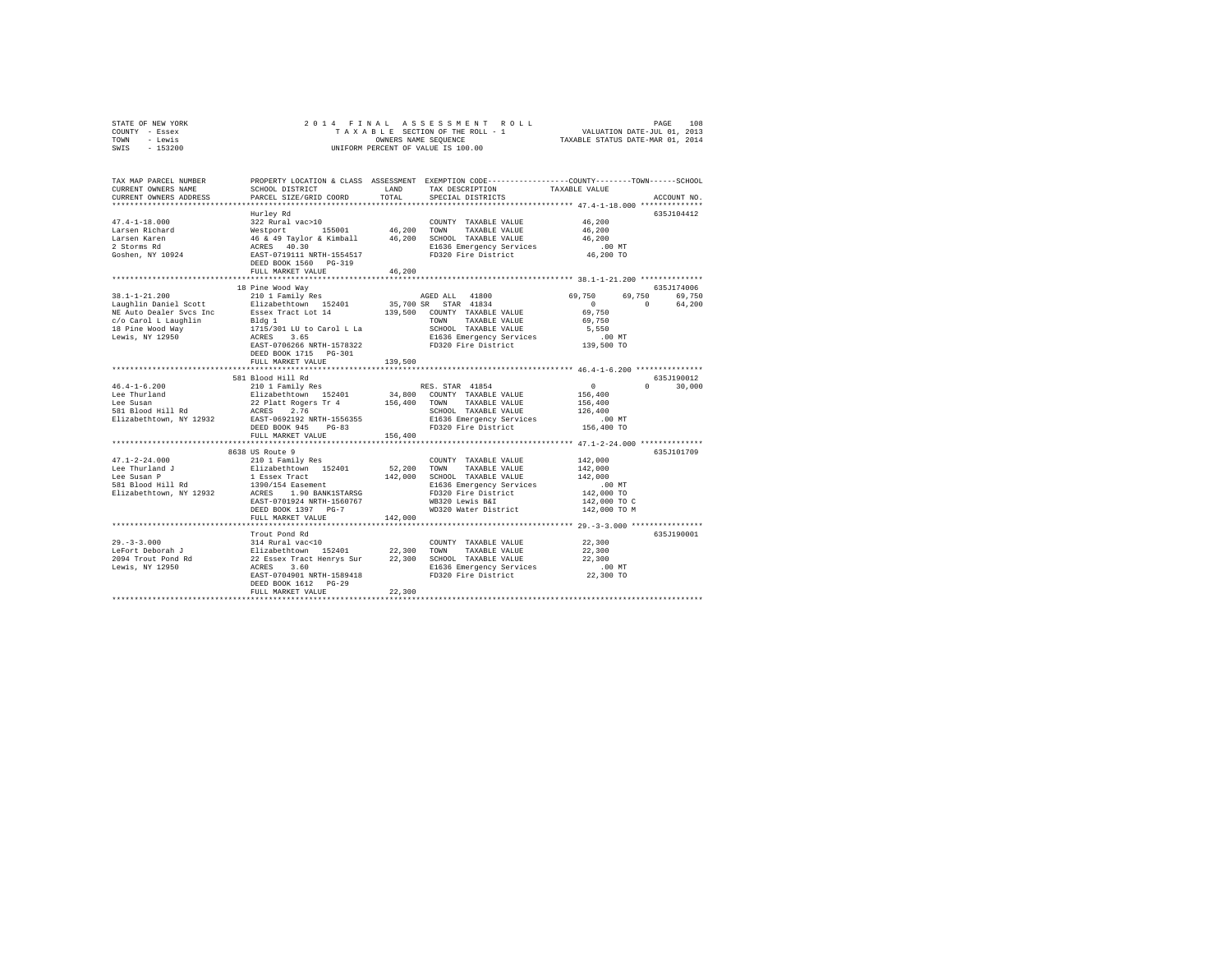| STATE OF NEW YORK | 2014 FINAL ASSESSMENT ROLL         | 108<br>PAGE                      |
|-------------------|------------------------------------|----------------------------------|
| COUNTY - Essex    | TAXABLE SECTION OF THE ROLL - 1    | VALUATION DATE-JUL 01, 2013      |
| TOWN<br>- Lewis   | OWNERS NAME SEOUENCE               | TAXABLE STATUS DATE-MAR 01, 2014 |
| $-153200$<br>SWIS | UNIFORM PERCENT OF VALUE IS 100.00 |                                  |

| TAX MAP PARCEL NUMBER<br>CURRENT OWNERS NAME<br>CURRENT OWNERS ADDRESS | SCHOOL DISTRICT<br>PARCEL SIZE/GRID COORD                                                                                                                                                          | LAND<br>TOTAL. | PROPERTY LOCATION & CLASS ASSESSMENT EXEMPTION CODE---------------COUNTY-------TOWN-----SCHOOL<br>TAX DESCRIPTION<br>SPECIAL DISTRICTS                                                                                                                         | TAXABLE VALUE                                               | ACCOUNT NO.  |  |  |  |  |
|------------------------------------------------------------------------|----------------------------------------------------------------------------------------------------------------------------------------------------------------------------------------------------|----------------|----------------------------------------------------------------------------------------------------------------------------------------------------------------------------------------------------------------------------------------------------------------|-------------------------------------------------------------|--------------|--|--|--|--|
|                                                                        |                                                                                                                                                                                                    |                |                                                                                                                                                                                                                                                                |                                                             |              |  |  |  |  |
|                                                                        | Hurley Rd                                                                                                                                                                                          |                |                                                                                                                                                                                                                                                                |                                                             | 635J104412   |  |  |  |  |
| $47.4 - 1 - 18.000$                                                    | 322 Rural vac>10                                                                                                                                                                                   |                | COUNTY TAXABLE VALUE                                                                                                                                                                                                                                           | 46,200                                                      |              |  |  |  |  |
| Larsen Richard                                                         |                                                                                                                                                                                                    |                |                                                                                                                                                                                                                                                                | 46,200                                                      |              |  |  |  |  |
| Larsen Karen                                                           |                                                                                                                                                                                                    |                |                                                                                                                                                                                                                                                                | 46,200                                                      |              |  |  |  |  |
| 2 Storms Rd                                                            |                                                                                                                                                                                                    |                | E1636 Emergency Services                                                                                                                                                                                                                                       | $.00$ MT                                                    |              |  |  |  |  |
| Goshen, NY 10924                                                       |                                                                                                                                                                                                    |                | Westport 155001 46,200 TOWN TAXABLE VALUE<br>46 & 49 Taylor & Kimball 46,200 SCHOOL TAXABLE VALUE<br>ACRES 40.30 SCHOOL TAXABLE VALUE<br>RAFE-0719111 NRTH-1554517 FD320 Fire District<br>RAFT-0719111 NRTH-1554517 FD320 Fire District<br>FD320 Fire District | 46,200 TO                                                   |              |  |  |  |  |
|                                                                        | DEED BOOK 1560 PG-319                                                                                                                                                                              |                |                                                                                                                                                                                                                                                                |                                                             |              |  |  |  |  |
|                                                                        | FULL MARKET VALUE                                                                                                                                                                                  | 46,200         |                                                                                                                                                                                                                                                                |                                                             |              |  |  |  |  |
|                                                                        |                                                                                                                                                                                                    |                |                                                                                                                                                                                                                                                                |                                                             |              |  |  |  |  |
|                                                                        | 18 Pine Wood Way                                                                                                                                                                                   |                |                                                                                                                                                                                                                                                                |                                                             | 635J174006   |  |  |  |  |
| $38.1 - 1 - 21.200$                                                    | 210 1 Family Res                                                                                                                                                                                   |                | AGED ALL 41800                                                                                                                                                                                                                                                 | 69,750<br>69,750                                            | 69,750       |  |  |  |  |
| Laughlin Daniel Scott                                                  | Elizabethtown 152401                                                                                                                                                                               |                | 35,700 SR STAR 41834                                                                                                                                                                                                                                           | $\circ$<br>$\Omega$                                         | 64,200       |  |  |  |  |
| NE Auto Dealer Sycs Inc                                                |                                                                                                                                                                                                    |                |                                                                                                                                                                                                                                                                | 69,750                                                      |              |  |  |  |  |
| c/o Carol L Laughlin                                                   |                                                                                                                                                                                                    |                |                                                                                                                                                                                                                                                                | 69,750                                                      |              |  |  |  |  |
| 18 Pine Wood Way                                                       | Essex Tract Lot 14 139,500 COUNTY TAXABLE VALUE B1dg 1 115/301 LU to Carol L La SCHOOL TAXABLE VALUE 1715/301 LU to Carol L La SCHOOL TAXABLE VALUE 1715/301 LU to Carol L La SCHOOL TAXABLE VALUE |                | SCHOOL TAXABLE VALUE                                                                                                                                                                                                                                           | 5,550                                                       |              |  |  |  |  |
| Lewis, NY 12950                                                        |                                                                                                                                                                                                    |                | E1636 Emergency Services                                                                                                                                                                                                                                       | $.00$ MT                                                    |              |  |  |  |  |
|                                                                        | EAST-0706266 NRTH-1578322                                                                                                                                                                          |                | FD320 Fire District                                                                                                                                                                                                                                            | 139,500 TO                                                  |              |  |  |  |  |
|                                                                        | DEED BOOK 1715 PG-301                                                                                                                                                                              |                |                                                                                                                                                                                                                                                                |                                                             |              |  |  |  |  |
|                                                                        | FULL MARKET VALUE<br>*****************************                                                                                                                                                 | 139,500        |                                                                                                                                                                                                                                                                | ****************************** 46.4-1-6.200 *************** |              |  |  |  |  |
|                                                                        | 581 Blood Hill Rd                                                                                                                                                                                  |                |                                                                                                                                                                                                                                                                |                                                             | 635.T190012  |  |  |  |  |
| $46.4 - 1 - 6.200$                                                     | 210 1 Family Res                                                                                                                                                                                   |                |                                                                                                                                                                                                                                                                | 0                                                           | $\mathbf{r}$ |  |  |  |  |
| Lee Thurland                                                           | Elizabethtown 152401                                                                                                                                                                               |                | RES. STAR 41854                                                                                                                                                                                                                                                | 156,400                                                     | 30,000       |  |  |  |  |
| Lee Susan                                                              | 22 Platt Rogers Tr 4                                                                                                                                                                               | 156,400 TOWN   | 34,800 COUNTY TAXABLE VALUE<br>TAXABLE VALUE                                                                                                                                                                                                                   | 156,400                                                     |              |  |  |  |  |
| 581 Blood Hill Rd                                                      | ACRES<br>2.76                                                                                                                                                                                      |                | SCHOOL TAXABLE VALUE                                                                                                                                                                                                                                           | 126,400                                                     |              |  |  |  |  |
|                                                                        | EAST-0692192 NRTH-1556355                                                                                                                                                                          |                |                                                                                                                                                                                                                                                                | $.00$ MT                                                    |              |  |  |  |  |
| Elizabethtown, NY 12932                                                | DEED BOOK 945<br>$PG-83$                                                                                                                                                                           |                | E1636 Emergency Services<br>FD320 Fire District                                                                                                                                                                                                                | 156,400 TO                                                  |              |  |  |  |  |
|                                                                        | FULL MARKET VALUE                                                                                                                                                                                  | 156,400        |                                                                                                                                                                                                                                                                |                                                             |              |  |  |  |  |
|                                                                        |                                                                                                                                                                                                    |                |                                                                                                                                                                                                                                                                |                                                             |              |  |  |  |  |
|                                                                        | 8638 US Route 9                                                                                                                                                                                    |                |                                                                                                                                                                                                                                                                |                                                             | 635J101709   |  |  |  |  |
| $47.1 - 2 - 24.000$                                                    | 210 1 Family Res                                                                                                                                                                                   |                | COUNTY TAXABLE VALUE                                                                                                                                                                                                                                           | 142,000                                                     |              |  |  |  |  |
| Lee Thurland J                                                         | Elizabethtown 152401                                                                                                                                                                               | 52.200 TOWN    | TAXABLE VALUE                                                                                                                                                                                                                                                  | 142,000                                                     |              |  |  |  |  |
| Lee Susan P                                                            | 1 Essex Tract                                                                                                                                                                                      |                | 142,000 SCHOOL TAXABLE VALUE                                                                                                                                                                                                                                   | 142,000                                                     |              |  |  |  |  |
| 581 Blood Hill Rd                                                      |                                                                                                                                                                                                    |                | E1636 Emergency Services                                                                                                                                                                                                                                       | $.00$ MT                                                    |              |  |  |  |  |
| Elizabethtown, NY 12932                                                | 1390/154 Easement<br>ACRES 1.90 BANK1STARSG                                                                                                                                                        |                | FD320 Fire District                                                                                                                                                                                                                                            | 142,000 TO                                                  |              |  |  |  |  |
|                                                                        | EAST-0701924 NRTH-1560767                                                                                                                                                                          |                | WB320 Lewis B&I                                                                                                                                                                                                                                                | 142,000 TO C                                                |              |  |  |  |  |
|                                                                        | DEED BOOK 1397 PG-7                                                                                                                                                                                |                | WD320 Water District                                                                                                                                                                                                                                           | 142,000 TO M                                                |              |  |  |  |  |
|                                                                        | FULL MARKET VALUE                                                                                                                                                                                  | 142,000        |                                                                                                                                                                                                                                                                |                                                             |              |  |  |  |  |
|                                                                        | ******************************                                                                                                                                                                     |                | ********************************** 29.-3-3.000 *********************************                                                                                                                                                                               |                                                             |              |  |  |  |  |
|                                                                        | Trout Pond Rd                                                                                                                                                                                      |                |                                                                                                                                                                                                                                                                |                                                             | 635J190001   |  |  |  |  |
| $29. - 3 - 3.000$                                                      | 314 Rural vac<10                                                                                                                                                                                   |                | COUNTY TAXABLE VALUE                                                                                                                                                                                                                                           | 22,300                                                      |              |  |  |  |  |
| LeFort Deborah J                                                       | Elizabethtown 152401                                                                                                                                                                               | 22,300 TOWN    | TAXABLE VALUE                                                                                                                                                                                                                                                  | 22,300                                                      |              |  |  |  |  |
| 2094 Trout Pond Rd                                                     | 22 Essex Tract Henrys Sur 22,300 SCHOOL TAXABLE VALUE                                                                                                                                              |                |                                                                                                                                                                                                                                                                | 22,300                                                      |              |  |  |  |  |
| Lewis, NY 12950                                                        | ACRES<br>3.60                                                                                                                                                                                      |                | E1636 Emergency Services                                                                                                                                                                                                                                       | $.00$ MT                                                    |              |  |  |  |  |
|                                                                        | EAST-0704901 NRTH-1589418                                                                                                                                                                          |                | FD320 Fire District                                                                                                                                                                                                                                            | 22,300 TO                                                   |              |  |  |  |  |
|                                                                        | DEED BOOK 1612 PG-29                                                                                                                                                                               |                |                                                                                                                                                                                                                                                                |                                                             |              |  |  |  |  |
|                                                                        | FULL MARKET VALUE                                                                                                                                                                                  | 22,300         |                                                                                                                                                                                                                                                                |                                                             |              |  |  |  |  |
|                                                                        |                                                                                                                                                                                                    |                |                                                                                                                                                                                                                                                                |                                                             |              |  |  |  |  |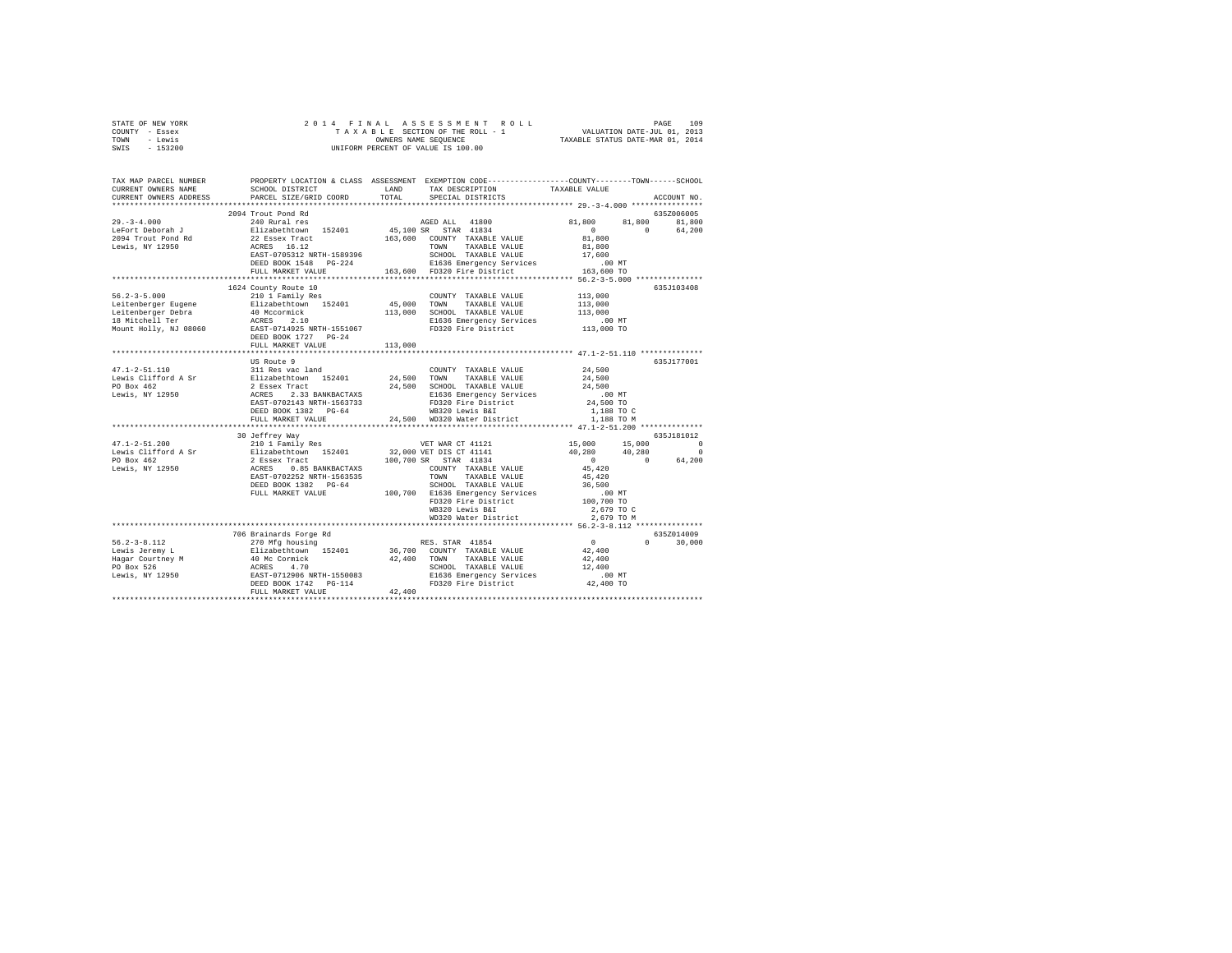| TOWN - Lewis<br>SWIS - 153200                                                                                        | OWNERS NAME SEQUENCE<br>UNIFORM PERCENT OF VALUE IS 100.00 |                                |                                                                                                          | TAXABLE STATUS DATE-MAR 01, 2014                                                                                                                         |            |             |
|----------------------------------------------------------------------------------------------------------------------|------------------------------------------------------------|--------------------------------|----------------------------------------------------------------------------------------------------------|----------------------------------------------------------------------------------------------------------------------------------------------------------|------------|-------------|
| TAX MAP PARCEL NUMBER PROPERTY LOCATION & CLASS ASSESSMENT EXEMPTION CODE--------------COUNTY-------TOWN------SCHOOL |                                                            |                                |                                                                                                          |                                                                                                                                                          |            |             |
| CURRENT OWNERS NAME                                                                                                  | SCHOOL DISTRICT TAND TAX DESCRIPTION                       |                                |                                                                                                          | TAXABLE VALUE                                                                                                                                            |            |             |
| CURRENT OWNERS ADDRESS                                                                                               | PARCEL SIZE/GRID COORD                                     | TOTAL                          | SPECIAL DISTRICTS                                                                                        |                                                                                                                                                          |            | ACCOUNT NO. |
|                                                                                                                      | 2094 Trout Pond Rd                                         |                                |                                                                                                          |                                                                                                                                                          |            | 635Z006005  |
| $29 - 3 - 4.000$                                                                                                     | 240 Rural res                                              |                                | AGED ALL 41800                                                                                           |                                                                                                                                                          |            |             |
| LeFort Deborah J                                                                                                     |                                                            |                                |                                                                                                          | $81,800$ $81,800$ $81,800$ $81,800$<br>0 0 64,200                                                                                                        |            |             |
| 2094 Trout Pond Rd                                                                                                   |                                                            |                                |                                                                                                          | $81,800$<br>$81,800$                                                                                                                                     |            |             |
| Lewis, NY 12950                                                                                                      |                                                            |                                |                                                                                                          |                                                                                                                                                          |            |             |
|                                                                                                                      |                                                            |                                |                                                                                                          |                                                                                                                                                          |            |             |
|                                                                                                                      | DEED BOOK 1548 PG-224                                      |                                |                                                                                                          |                                                                                                                                                          |            |             |
|                                                                                                                      |                                                            |                                |                                                                                                          |                                                                                                                                                          |            |             |
|                                                                                                                      | 1624 County Route 10                                       |                                |                                                                                                          |                                                                                                                                                          |            | 635.T103408 |
| $56.2 - 3 - 5.000$                                                                                                   |                                                            |                                | COUNTY TAXABLE VALUE 113,000                                                                             |                                                                                                                                                          |            |             |
|                                                                                                                      |                                                            |                                | 45,000 TOWN TAXABLE VALUE                                                                                | 113,000                                                                                                                                                  |            |             |
|                                                                                                                      |                                                            |                                | 113,000 SCHOOL TAXABLE VALUE<br>E1636 Emergency Services                                                 |                                                                                                                                                          |            |             |
|                                                                                                                      |                                                            |                                |                                                                                                          |                                                                                                                                                          |            |             |
|                                                                                                                      |                                                            |                                | 13,000 SCHOOL TAXABLE VALUE 113,000<br>E1636 Emergency Services .00 MT<br>FD320 Fire District 113,000 TO |                                                                                                                                                          |            |             |
|                                                                                                                      |                                                            |                                |                                                                                                          |                                                                                                                                                          |            |             |
|                                                                                                                      | FULL MARKET VALUE                                          | 113,000<br>******************* | ************************* 47.1-2-51.110 **************                                                   |                                                                                                                                                          |            |             |
|                                                                                                                      | US Route 9                                                 |                                |                                                                                                          |                                                                                                                                                          |            | 635J177001  |
|                                                                                                                      |                                                            |                                | COUNTY TAXABLE VALUE 24,500                                                                              |                                                                                                                                                          |            |             |
|                                                                                                                      |                                                            |                                |                                                                                                          | 24,500                                                                                                                                                   |            |             |
|                                                                                                                      |                                                            |                                |                                                                                                          | 24,500                                                                                                                                                   |            |             |
|                                                                                                                      |                                                            |                                |                                                                                                          | $.00$ MT                                                                                                                                                 |            |             |
|                                                                                                                      |                                                            |                                |                                                                                                          | $24,500$ TO                                                                                                                                              |            |             |
|                                                                                                                      |                                                            |                                | FULL MARKET VALUE 24.500 WD320 Water District 1.188 TO M                                                 | 1,188 TO C                                                                                                                                               |            |             |
|                                                                                                                      |                                                            |                                |                                                                                                          |                                                                                                                                                          |            |             |
|                                                                                                                      | 30 Jeffrey Way                                             |                                |                                                                                                          |                                                                                                                                                          | 635J181012 |             |
|                                                                                                                      |                                                            |                                |                                                                                                          |                                                                                                                                                          |            |             |
|                                                                                                                      |                                                            |                                |                                                                                                          |                                                                                                                                                          |            |             |
|                                                                                                                      |                                                            |                                |                                                                                                          | $\begin{array}{cccc} 15\,,000 & \quad & 15\,,000 & \quad & 0 \\ 40\,,280 & \quad & 40\,,280 & \quad & 0 \\ 0 & \quad & 0 & \quad & 64\,,200 \end{array}$ |            |             |
|                                                                                                                      |                                                            |                                |                                                                                                          |                                                                                                                                                          |            |             |
|                                                                                                                      |                                                            |                                |                                                                                                          |                                                                                                                                                          |            |             |
|                                                                                                                      |                                                            |                                |                                                                                                          |                                                                                                                                                          |            |             |
|                                                                                                                      |                                                            |                                |                                                                                                          |                                                                                                                                                          |            |             |
|                                                                                                                      |                                                            |                                |                                                                                                          | 2,679 TO C                                                                                                                                               |            |             |
|                                                                                                                      |                                                            |                                |                                                                                                          | 2,679 TO M                                                                                                                                               |            |             |
|                                                                                                                      |                                                            |                                |                                                                                                          |                                                                                                                                                          |            |             |
|                                                                                                                      |                                                            |                                |                                                                                                          |                                                                                                                                                          |            |             |
|                                                                                                                      |                                                            |                                |                                                                                                          |                                                                                                                                                          |            |             |
|                                                                                                                      |                                                            |                                |                                                                                                          |                                                                                                                                                          |            |             |
|                                                                                                                      |                                                            |                                |                                                                                                          |                                                                                                                                                          |            |             |
|                                                                                                                      |                                                            |                                |                                                                                                          |                                                                                                                                                          |            |             |
|                                                                                                                      |                                                            |                                |                                                                                                          |                                                                                                                                                          |            |             |
|                                                                                                                      |                                                            |                                |                                                                                                          |                                                                                                                                                          |            |             |
|                                                                                                                      |                                                            |                                |                                                                                                          |                                                                                                                                                          |            |             |

STATE OF NEW YORK 2 0 1 4 F I N A L A S S E S S M E N T R O L L PAGE 109 COUNTY - Essex T A X A B L E SECTION OF THE ROLL - 1 VALUATION DATE-JUL 01, 2013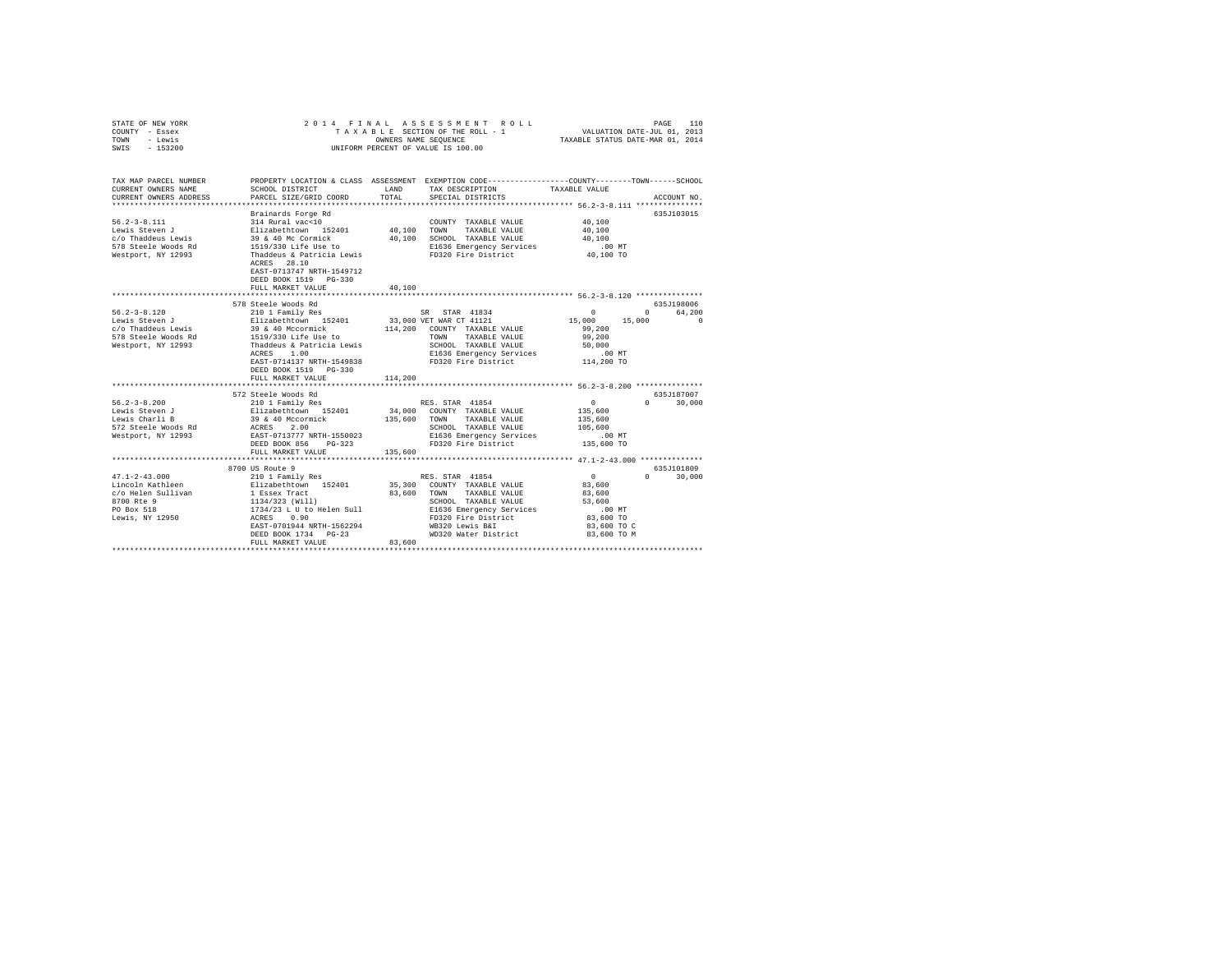| STATE OF NEW YORK<br>COUNTY - Essex<br>- Lewis<br>TOWN<br>SWIS - 153200                                                                                                                                                                                             | 2014 FINAL ASSESSMENT ROLL<br>TAXABLE SECTION OF THE ROLL - 1<br>OWNERS NAME SEQUENCE<br>UNIFORM PERCENT OF VALUE IS 100.00                                                                                                                                                                                                                                     |                       |                                                                                                                                                                                                                                                                                                                                         | PAGE<br>110<br>VALUATION DATE-JUL 01, 2013<br>TAXABLE STATUS DATE-MAR 01, 2014                                                                               |                                                     |  |
|---------------------------------------------------------------------------------------------------------------------------------------------------------------------------------------------------------------------------------------------------------------------|-----------------------------------------------------------------------------------------------------------------------------------------------------------------------------------------------------------------------------------------------------------------------------------------------------------------------------------------------------------------|-----------------------|-----------------------------------------------------------------------------------------------------------------------------------------------------------------------------------------------------------------------------------------------------------------------------------------------------------------------------------------|--------------------------------------------------------------------------------------------------------------------------------------------------------------|-----------------------------------------------------|--|
| TAX MAP PARCEL NUMBER<br>CURRENT OWNERS NAME<br>CURRENT OWNERS ADDRESS                                                                                                                                                                                              | SCHOOL DISTRICT<br>PARCEL SIZE/GRID COORD                                                                                                                                                                                                                                                                                                                       | LAND<br>TOTAL         | PROPERTY LOCATION & CLASS ASSESSMENT EXEMPTION CODE---------------COUNTY-------TOWN------SCHOOL<br>TAX DESCRIPTION<br>SPECIAL DISTRICTS                                                                                                                                                                                                 | TAXABLE VALUE                                                                                                                                                | ACCOUNT NO.                                         |  |
| $56.2 - 3 - 8.111$<br>Lewis Steven J<br>c/o Thaddeus Lewis<br>578 Steele Woods Rd<br>Westport, NY 12993                                                                                                                                                             | Brainards Forge Rd<br>ACRES 28.10<br>EAST-0713747 NRTH-1549712<br>DEED BOOK 1519 PG-330<br>FULL MARKET VALUE                                                                                                                                                                                                                                                    | 40,100                |                                                                                                                                                                                                                                                                                                                                         | 40,100<br>40,100<br>40,100<br>$.00$ MT<br>40,100 TO                                                                                                          | 635J103015                                          |  |
|                                                                                                                                                                                                                                                                     | *********************************                                                                                                                                                                                                                                                                                                                               |                       | ****************************** 56.2-3-8.120 ***************                                                                                                                                                                                                                                                                             |                                                                                                                                                              |                                                     |  |
|                                                                                                                                                                                                                                                                     | 578 Steele Woods Rd                                                                                                                                                                                                                                                                                                                                             |                       |                                                                                                                                                                                                                                                                                                                                         |                                                                                                                                                              | 635J198006                                          |  |
| $56.2 - 3 - 8.120$<br>Lewis Steven J<br>c/o Thaddeus Lewis<br>578 Steele Woods Rd<br>1519/330 Life Use to<br>Westport, NY 12993<br>Thaddeus & Patricia Lewis<br>$56.2 - 3 - 8.200$<br>Lewis Steven J<br>Lewis Charli B<br>572 Steele Woods Rd<br>Westport, NY 12993 | 210 1 Family Res<br>Elizabethtown 152401<br>39 & 40 Mccormick<br>ACRES 1.00<br>EAST-0714137 NRTH-1549838<br>DEED BOOK 1519    PG-330<br>FULL MARKET VALUE<br>572 Steele Woods Rd<br>/2 Steele Woods Rd<br>210 1 Family Res<br>Elizabethtown 152401<br>39 & 40 Mccormick<br>ACRES 2.00<br>EAST-0713777 NRTH-1550023<br>DEED BOOK 856 PG-323<br>FULL MARKET VALUE | 114,200<br>135,600    | SR STAR 41834<br>33,000 VET WAR CT 41121<br>114,200 COUNTY TAXABLE VALUE<br>TOWN<br>TAXABLE VALUE<br>SCHOOL TAXABLE VALUE<br>E1636 Emergency Services<br>FD320 Fire District<br>RES. STAR 41854<br>34.000 COUNTY TAXABLE VALUE<br>135,600 TOWN TAXABLE VALUE<br>SCHOOL TAXABLE VALUE<br>E1636 Emergency Services<br>FD320 Fire District | $\mathbf{0}$<br>15,000 15,000<br>99,200<br>99,200<br>50,000<br>$.00$ MT<br>114,200 TO<br>$\sim$ 0<br>135,600<br>135,600<br>105,600<br>$.00$ MT<br>135,600 TO | 0 64.200<br>$\sim$ 0<br>635J187007<br>$0 \t 30,000$ |  |
|                                                                                                                                                                                                                                                                     | 8700 US Route 9                                                                                                                                                                                                                                                                                                                                                 |                       |                                                                                                                                                                                                                                                                                                                                         |                                                                                                                                                              | 635J101809                                          |  |
| $47.1 - 2 - 43.000$<br>Lincoln Kathleen<br>c/o Helen Sullivan<br>8700 Rte 9<br>PO Box 518<br>Lewis, NY 12950                                                                                                                                                        | 210 1 Family Res<br>Elizabethtown 152401<br>1 Essex Tract<br>1134/323 (Will)<br>1734/23 L U to Helen Sull<br>1734/23 L U to Helen Sull<br>ACRES 0.90<br>EAST-0701944 NRTH-1562294<br>DEED BOOK 1734 PG-23<br>FULL MARKET VALUE                                                                                                                                  | 83,600 TOWN<br>83,600 | RES. STAR 41854<br>35,300 COUNTY TAXABLE VALUE<br>TAXABLE VALUE<br>SCHOOL TAXABLE VALUE<br>E1636 Emergency Services<br>FD320 Fire District<br>WB320 Lewis B&I<br>WD320 Water District                                                                                                                                                   | $\sim$ 0<br>83,600<br>83,600<br>53,600<br>$.00$ MT<br>83,600 TO<br>83,600 TO C<br>83,600 TO M                                                                | $\Omega$ and $\Omega$<br>30,000                     |  |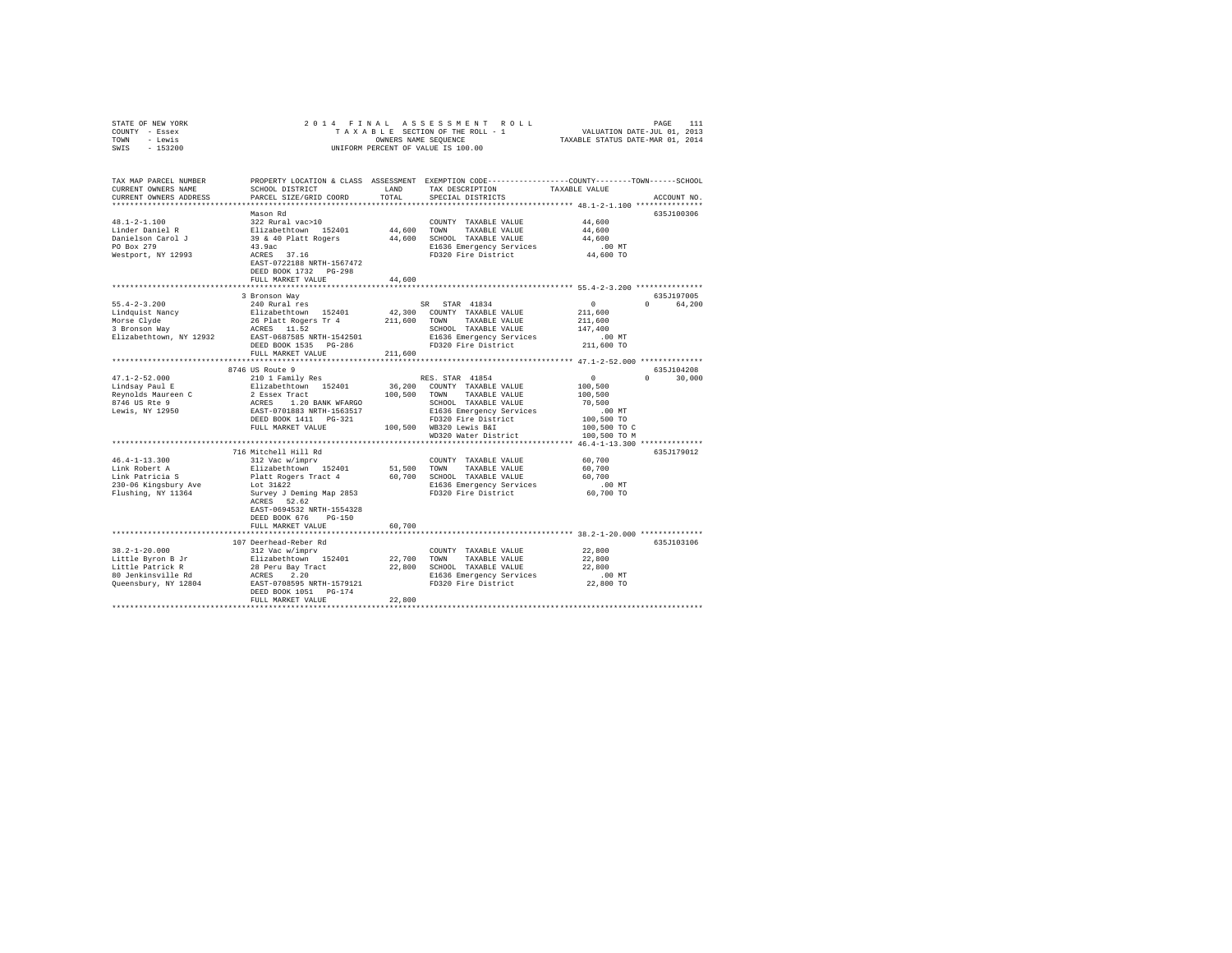| STATE OF NEW YORK                                        |                                                                                                                                                                                                                                                                                                                                                                                                                                                   |         |                                                                                                 |                                                           |               |
|----------------------------------------------------------|---------------------------------------------------------------------------------------------------------------------------------------------------------------------------------------------------------------------------------------------------------------------------------------------------------------------------------------------------------------------------------------------------------------------------------------------------|---------|-------------------------------------------------------------------------------------------------|-----------------------------------------------------------|---------------|
| COUNTY - Essex                                           |                                                                                                                                                                                                                                                                                                                                                                                                                                                   |         |                                                                                                 |                                                           |               |
| TOWN - Lewis                                             |                                                                                                                                                                                                                                                                                                                                                                                                                                                   |         |                                                                                                 |                                                           |               |
| SWIS - 153200                                            |                                                                                                                                                                                                                                                                                                                                                                                                                                                   |         |                                                                                                 |                                                           |               |
|                                                          |                                                                                                                                                                                                                                                                                                                                                                                                                                                   |         |                                                                                                 |                                                           |               |
| TAX MAP PARCEL NUMBER                                    |                                                                                                                                                                                                                                                                                                                                                                                                                                                   |         | PROPERTY LOCATION & CLASS ASSESSMENT EXEMPTION CODE---------------COUNTY-------TOWN------SCHOOL |                                                           |               |
|                                                          | SCHOOL DISTRICT                                                                                                                                                                                                                                                                                                                                                                                                                                   | LAND    |                                                                                                 | TAXABLE VALUE                                             |               |
| CURRENT OWNERS NAME                                      |                                                                                                                                                                                                                                                                                                                                                                                                                                                   |         | TAX DESCRIPTION                                                                                 |                                                           |               |
| CURRENT OWNERS ADDRESS                                   | PARCEL SIZE/GRID COORD                                                                                                                                                                                                                                                                                                                                                                                                                            | TOTAL   | SPECIAL DISTRICTS                                                                               |                                                           | ACCOUNT NO.   |
|                                                          |                                                                                                                                                                                                                                                                                                                                                                                                                                                   |         |                                                                                                 |                                                           |               |
| $48.1 - 2 - 1.100$                                       | Mason Rd                                                                                                                                                                                                                                                                                                                                                                                                                                          |         |                                                                                                 |                                                           | 635J100306    |
|                                                          |                                                                                                                                                                                                                                                                                                                                                                                                                                                   |         | COUNTY TAXABLE VALUE 44,600                                                                     |                                                           |               |
| Linder Daniel R                                          |                                                                                                                                                                                                                                                                                                                                                                                                                                                   |         |                                                                                                 | 44,600                                                    |               |
| Danielson Carol J<br>PO Box 279                          |                                                                                                                                                                                                                                                                                                                                                                                                                                                   |         |                                                                                                 | 44,600                                                    |               |
|                                                          |                                                                                                                                                                                                                                                                                                                                                                                                                                                   |         | E1636 Emergency Services<br>FD320 Fire District                                                 | .00 MT<br>44,600 TO                                       |               |
| Westport, NY 12993                                       |                                                                                                                                                                                                                                                                                                                                                                                                                                                   |         |                                                                                                 |                                                           |               |
|                                                          | EAST-0722188 NRTH-1567472                                                                                                                                                                                                                                                                                                                                                                                                                         |         |                                                                                                 |                                                           |               |
|                                                          | DEED BOOK 1732 PG-298                                                                                                                                                                                                                                                                                                                                                                                                                             |         |                                                                                                 |                                                           |               |
|                                                          | FULL MARKET VALUE                                                                                                                                                                                                                                                                                                                                                                                                                                 | 44,600  |                                                                                                 |                                                           |               |
|                                                          |                                                                                                                                                                                                                                                                                                                                                                                                                                                   |         |                                                                                                 |                                                           |               |
|                                                          | 3 Bronson Way                                                                                                                                                                                                                                                                                                                                                                                                                                     |         |                                                                                                 |                                                           | 635J197005    |
| $55.4 - 2 - 3.200$                                       | 240 Rural res                                                                                                                                                                                                                                                                                                                                                                                                                                     |         | SR STAR 41834                                                                                   | $\sim$ 0                                                  | 0 64,200      |
|                                                          |                                                                                                                                                                                                                                                                                                                                                                                                                                                   |         |                                                                                                 | 211,600                                                   |               |
|                                                          |                                                                                                                                                                                                                                                                                                                                                                                                                                                   |         |                                                                                                 | 211,600                                                   |               |
|                                                          |                                                                                                                                                                                                                                                                                                                                                                                                                                                   |         |                                                                                                 | 147,400                                                   |               |
|                                                          | $\begin{tabular}{l c c c c c c c} \hline $\mathbf{1}$ & $\mathbf{2}$ & $1$ & $\mathbf{3}$ & $\mathbf{4}$ & $1$ & $1001$ & $1000$ & $1000$ & $1000$\\ \hline $\mathbf{1}$ & $\mathbf{1}$ & $\mathbf{2}$ & $\mathbf{1}$ & $\mathbf{2}$ & $\mathbf{1}$ & $\mathbf{2}$ & $\mathbf{2}$ & $\mathbf{2}$ & $\mathbf{1}$ & $\mathbf{2}$ & $\mathbf{2}$ & $\mathbf{2}$ & $\mathbf{2}$ & $\mathbf{2}$ & $\mathbf{2}$ & $\mathbf{2}$ & $\mathbf{2}$ & $\math$ |         |                                                                                                 | .00 MT                                                    |               |
|                                                          |                                                                                                                                                                                                                                                                                                                                                                                                                                                   |         |                                                                                                 | 211,600 TO                                                |               |
|                                                          | FULL MARKET VALUE                                                                                                                                                                                                                                                                                                                                                                                                                                 |         |                                                                                                 |                                                           |               |
|                                                          | **************************                                                                                                                                                                                                                                                                                                                                                                                                                        | 211,600 |                                                                                                 | ******************* 47.1-2-52.000 **************          |               |
|                                                          |                                                                                                                                                                                                                                                                                                                                                                                                                                                   |         |                                                                                                 |                                                           | 635J104208    |
|                                                          | 8746 US Route 9                                                                                                                                                                                                                                                                                                                                                                                                                                   |         |                                                                                                 |                                                           |               |
| 47.1-2-52.000<br>Lindsay Paul E                          | 210 1 Family Res<br>$\begin{tabular}{l c c c c c c} \hline $47.1$--2$--20.000 & $1000$& $2100$& $1000$& $1000$& $1000$& $1000$& $1000$& $1000$& $1000$& $1000$& $1000$& $1000$& $1000$& $1000$& $1000$& $1000$& $1000$& $1000$& $1000$& $1000$& $1000$& $1000$& $1000$& $1000$& $1000$& $1000$                                                                                                                                                    |         | RES. STAR 41854                                                                                 | $\begin{smallmatrix}&&0\100,500\100,500\end{smallmatrix}$ | $0 \t 30,000$ |
|                                                          |                                                                                                                                                                                                                                                                                                                                                                                                                                                   |         |                                                                                                 |                                                           |               |
|                                                          |                                                                                                                                                                                                                                                                                                                                                                                                                                                   |         |                                                                                                 |                                                           |               |
|                                                          |                                                                                                                                                                                                                                                                                                                                                                                                                                                   |         |                                                                                                 | 70,500                                                    |               |
|                                                          |                                                                                                                                                                                                                                                                                                                                                                                                                                                   |         |                                                                                                 | $.00$ MT                                                  |               |
|                                                          |                                                                                                                                                                                                                                                                                                                                                                                                                                                   |         |                                                                                                 | 100,500 TO                                                |               |
|                                                          | FULL MARKET VALUE                                                                                                                                                                                                                                                                                                                                                                                                                                 |         | 100,500 WB320 Lewis B&I                                                                         | 100,500 TO C                                              |               |
|                                                          |                                                                                                                                                                                                                                                                                                                                                                                                                                                   |         | WD320 Water District                                                                            | 100,500 TO M                                              |               |
|                                                          |                                                                                                                                                                                                                                                                                                                                                                                                                                                   |         |                                                                                                 |                                                           |               |
|                                                          | 716 Mitchell Hill Rd                                                                                                                                                                                                                                                                                                                                                                                                                              |         |                                                                                                 |                                                           | 635J179012    |
| $46.4 - 1 - 13.300$                                      | 312 Vac w/imprv                                                                                                                                                                                                                                                                                                                                                                                                                                   |         | COUNTY TAXABLE VALUE                                                                            | 60,700                                                    |               |
| Link Robert A                                            | Elizabethtown 152401                                                                                                                                                                                                                                                                                                                                                                                                                              |         | 51,500 TOWN TAXABLE VALUE                                                                       | 60,700                                                    |               |
| Lihk Robert A<br>Lihk Patricia S<br>230-06 Kingsbury Ave |                                                                                                                                                                                                                                                                                                                                                                                                                                                   |         |                                                                                                 | 60,700                                                    |               |
|                                                          |                                                                                                                                                                                                                                                                                                                                                                                                                                                   |         |                                                                                                 | .00 MT                                                    |               |
|                                                          |                                                                                                                                                                                                                                                                                                                                                                                                                                                   |         |                                                                                                 | 60,700 TO                                                 |               |
| Flushing, NY 11364                                       |                                                                                                                                                                                                                                                                                                                                                                                                                                                   |         |                                                                                                 |                                                           |               |
|                                                          | EAST-0694532 NRTH-1554328                                                                                                                                                                                                                                                                                                                                                                                                                         |         |                                                                                                 |                                                           |               |
|                                                          | DEED BOOK 676 PG-150                                                                                                                                                                                                                                                                                                                                                                                                                              |         |                                                                                                 |                                                           |               |
|                                                          | FULL MARKET VALUE                                                                                                                                                                                                                                                                                                                                                                                                                                 | 60,700  |                                                                                                 |                                                           |               |
|                                                          |                                                                                                                                                                                                                                                                                                                                                                                                                                                   |         |                                                                                                 |                                                           |               |
|                                                          |                                                                                                                                                                                                                                                                                                                                                                                                                                                   |         |                                                                                                 |                                                           |               |
|                                                          | 107 Deerhead-Reber Rd                                                                                                                                                                                                                                                                                                                                                                                                                             |         |                                                                                                 |                                                           | 635J103106    |
| $38.2 - 1 - 20.000$                                      | 312 Vac w/imprv                                                                                                                                                                                                                                                                                                                                                                                                                                   |         | COUNTY TAXABLE VALUE                                                                            | 22,800                                                    |               |
|                                                          |                                                                                                                                                                                                                                                                                                                                                                                                                                                   |         |                                                                                                 | 22,800                                                    |               |
|                                                          |                                                                                                                                                                                                                                                                                                                                                                                                                                                   |         |                                                                                                 | 22,800                                                    |               |
|                                                          |                                                                                                                                                                                                                                                                                                                                                                                                                                                   |         |                                                                                                 | 00 MT.<br>22,800 TO                                       |               |
|                                                          |                                                                                                                                                                                                                                                                                                                                                                                                                                                   |         |                                                                                                 |                                                           |               |
|                                                          |                                                                                                                                                                                                                                                                                                                                                                                                                                                   |         |                                                                                                 |                                                           |               |
|                                                          | FULL MARKET VALUE                                                                                                                                                                                                                                                                                                                                                                                                                                 | 22,800  |                                                                                                 |                                                           |               |
|                                                          |                                                                                                                                                                                                                                                                                                                                                                                                                                                   |         |                                                                                                 |                                                           |               |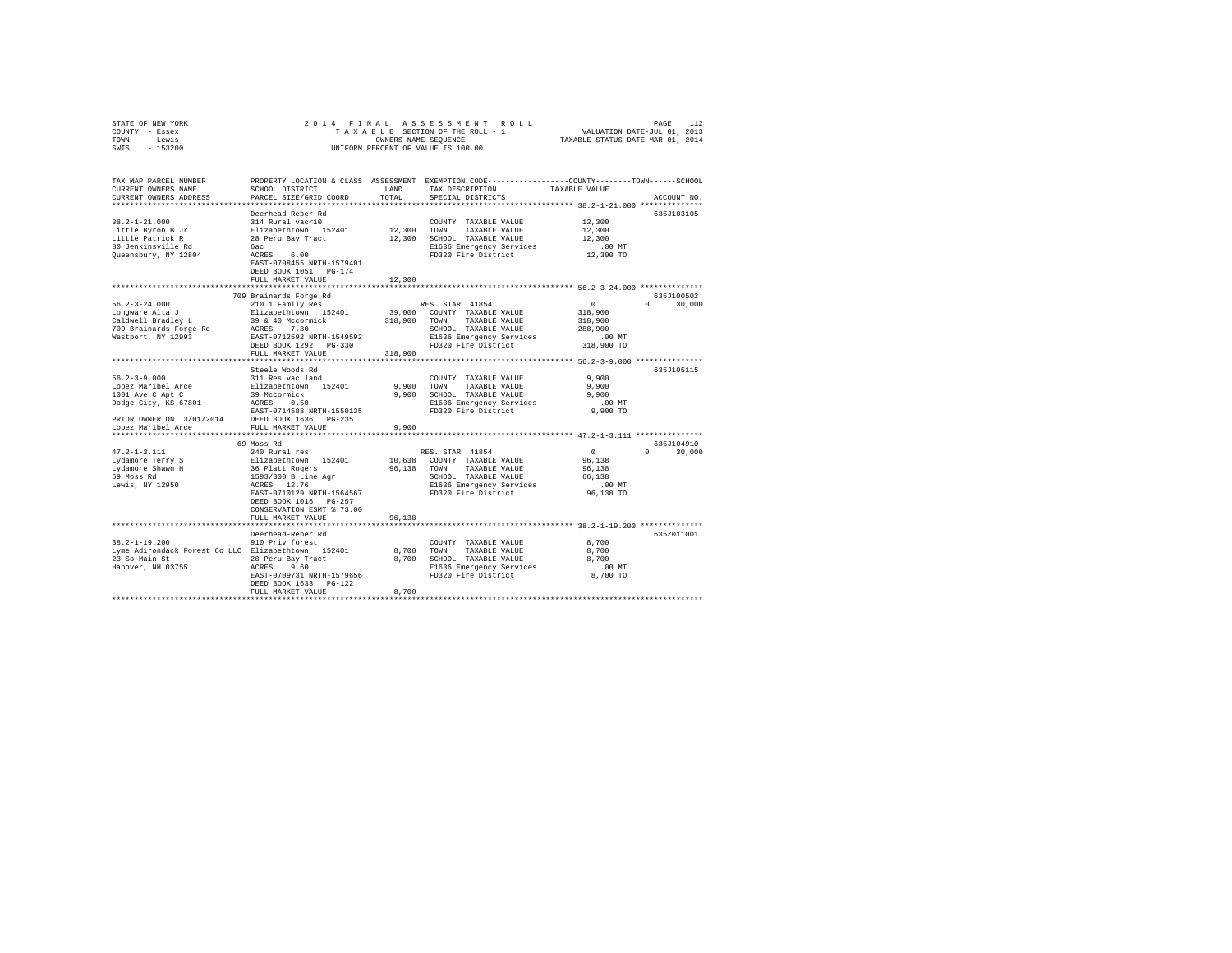| STATE OF NEW YORK                                                | 2014 FINAL                                                                    |                                         |                                                                                                 |               |                    |
|------------------------------------------------------------------|-------------------------------------------------------------------------------|-----------------------------------------|-------------------------------------------------------------------------------------------------|---------------|--------------------|
| COUNTY - Essex                                                   | TAXABLE SECTION OF THE ROLL - 1                                               | PAGE 112<br>VALUATION DATE-JUL 01, 2013 |                                                                                                 |               |                    |
| TOWN - Lewis                                                     | OWNERS NAME SEQUENCE                                                          | TAXABLE STATUS DATE-MAR 01, 2014        |                                                                                                 |               |                    |
| SWIS - 153200                                                    |                                                                               |                                         | UNIFORM PERCENT OF VALUE IS 100.00                                                              |               |                    |
|                                                                  |                                                                               |                                         |                                                                                                 |               |                    |
|                                                                  |                                                                               |                                         |                                                                                                 |               |                    |
|                                                                  |                                                                               |                                         |                                                                                                 |               |                    |
| TAX MAP PARCEL NUMBER                                            |                                                                               |                                         | PROPERTY LOCATION & CLASS ASSESSMENT EXEMPTION CODE---------------COUNTY-------TOWN------SCHOOL |               |                    |
|                                                                  |                                                                               |                                         |                                                                                                 |               |                    |
| CURRENT OWNERS NAME                                              | SCHOOL DISTRICT                                                               | LAND                                    | TAX DESCRIPTION                                                                                 | TAXABLE VALUE |                    |
| CURRENT OWNERS ADDRESS                                           | PARCEL SIZE/GRID COORD                                                        | TOTAL                                   | SPECIAL DISTRICTS                                                                               |               | ACCOUNT NO.        |
|                                                                  |                                                                               |                                         |                                                                                                 |               |                    |
|                                                                  | Deerhead-Reber Rd                                                             |                                         |                                                                                                 |               | 635J103105         |
| $38.2 - 1 - 21.000$                                              | 314 Rural vac<10                                                              |                                         | COUNTY TAXABLE VALUE                                                                            | 12,300        |                    |
| Little Byron B Jr                                                | Elizabethtown 152401                                                          | 12,300 TOWN                             | TAXABLE VALUE                                                                                   | 12,300        |                    |
| Little Patrick R                                                 | 28 Peru Bay Tract                                                             |                                         | 12,300 SCHOOL TAXABLE VALUE                                                                     | 12,300        |                    |
| 80 Jenkinsville Rd                                               | бас                                                                           |                                         | E1636 Emergency Services                                                                        | $.00$ MT      |                    |
|                                                                  | bac<br>ACRES 6.00                                                             |                                         |                                                                                                 |               |                    |
| Queensbury, NY 12804                                             |                                                                               |                                         | FD320 Fire District                                                                             | 12,300 TO     |                    |
|                                                                  | EAST-0708455 NRTH-1579401                                                     |                                         |                                                                                                 |               |                    |
|                                                                  | DEED BOOK 1051 PG-174                                                         |                                         |                                                                                                 |               |                    |
|                                                                  | FULL MARKET VALUE                                                             | 12,300                                  |                                                                                                 |               |                    |
|                                                                  |                                                                               |                                         |                                                                                                 |               |                    |
|                                                                  | 709 Brainards Forge Rd                                                        |                                         |                                                                                                 |               | 635J100502         |
| $56.2 - 3 - 24.000$                                              | 210 1 Family Res                                                              |                                         | RES. STAR 41854                                                                                 | $\sim$ 0      | $0 \t 30.000$      |
| Lonqware Alta J                                                  | Elizabethtown 152401                                                          |                                         | 39,000 COUNTY TAXABLE VALUE                                                                     | 318,900       |                    |
| Caldwell Bradlev L                                               |                                                                               | 318,900 TOWN                            | TAXABLE VALUE                                                                                   | 318,900       |                    |
|                                                                  | 39 & 40 Mccormick<br>ACRES 7.30                                               |                                         |                                                                                                 |               |                    |
| 709 Brainards Forge Rd                                           |                                                                               |                                         | SCHOOL TAXABLE VALUE                                                                            | 288,900       |                    |
| Westport, NY 12993                                               | EAST-0712592 NRTH-1549592                                                     |                                         | E1636 Emergency Services                                                                        | $.00$ MT      |                    |
|                                                                  | DEED BOOK 1292 PG-330                                                         |                                         | FD320 Fire District                                                                             | 318,900 TO    |                    |
|                                                                  | FULL MARKET VALUE                                                             | 318,900                                 |                                                                                                 |               |                    |
|                                                                  |                                                                               |                                         |                                                                                                 |               |                    |
|                                                                  | Steele Woods Rd                                                               |                                         |                                                                                                 |               | 635J105115         |
| $56.2 - 3 - 9.000$                                               | 311 Res vac land                                                              |                                         | COUNTY TAXABLE VALUE                                                                            | 9,900         |                    |
| Lopez Maribel Arce                                               | Elizabethtown 152401                                                          | 9,900                                   | TOWN<br>TAXABLE VALUE                                                                           | 9.900         |                    |
| 1001 Ave C Apt C                                                 |                                                                               | 9.900                                   | SCHOOL TAXABLE VALUE                                                                            | 9.900         |                    |
|                                                                  | 39 Mccormick<br>ACRES 0.50                                                    |                                         |                                                                                                 |               |                    |
| 1001 Ave $\sim$ Ap $\sim$ -<br>Dodge City, KS 67801              |                                                                               |                                         | E1636 Emergency Services                                                                        | $.00$ MT      |                    |
|                                                                  | EAST-0714588 NRTH-1550135                                                     |                                         | FD320 Fire District                                                                             | 9,900 TO      |                    |
| PRIOR OWNER ON $3/01/2014$ DEED BOOK 1636 PG-235                 |                                                                               |                                         |                                                                                                 |               |                    |
| Lopez Maribel Arce                                               | FULL MARKET VALUE                                                             | 9,900                                   |                                                                                                 |               |                    |
|                                                                  |                                                                               |                                         |                                                                                                 |               |                    |
|                                                                  | 69 Moss Rd                                                                    |                                         |                                                                                                 |               | 635J104910         |
| $47.2 - 1 - 3.111$                                               | 240 Rural res                                                                 |                                         | RES. STAR 41854                                                                                 | $\mathbf{0}$  | 30,000<br>$\Omega$ |
| Lydamore Terry S                                                 |                                                                               |                                         | 10,638 COUNTY TAXABLE VALUE                                                                     | 96,138        |                    |
|                                                                  |                                                                               |                                         | 96,138 TOWN TAXABLE VALUE                                                                       | 96.138        |                    |
| Lydamore Shawn H<br>69 Moss Rd<br>Lewis, NY 12950                | Elizabethtown 152401<br>36 Platt Rogers<br>1593/300 B Line Agr<br>ACRES 12.76 |                                         |                                                                                                 |               |                    |
|                                                                  |                                                                               |                                         | SCHOOL TAXABLE VALUE                                                                            | 66.138        |                    |
|                                                                  |                                                                               |                                         | E1636 Emergency Services<br>FD320 Fire District                                                 | $.00$ MT      |                    |
|                                                                  | EAST-0710129 NRTH-1564567                                                     |                                         |                                                                                                 | 96,138 TO     |                    |
|                                                                  | DEED BOOK 1016 PG-257                                                         |                                         |                                                                                                 |               |                    |
|                                                                  | CONSERVATION ESMT % 73.00                                                     |                                         |                                                                                                 |               |                    |
|                                                                  | FULL MARKET VALUE                                                             | 96.138                                  |                                                                                                 |               |                    |
|                                                                  |                                                                               |                                         |                                                                                                 |               |                    |
|                                                                  | Deerhead-Reber Rd                                                             |                                         |                                                                                                 |               | 635Z011001         |
| $38.2 - 1 - 19.200$                                              |                                                                               |                                         |                                                                                                 |               |                    |
|                                                                  | 910 Priv forest                                                               |                                         | COUNTY TAXABLE VALUE                                                                            | 8,700         |                    |
| Lyme Adirondack Forest Co LLC Elizabethtown 152401               |                                                                               | 8,700                                   | TOWN TAXABLE VALUE                                                                              | 8,700         |                    |
|                                                                  |                                                                               |                                         | 8,700 SCHOOL TAXABLE VALUE                                                                      | 8,700         |                    |
| 23 So Main St 28 Peru Bay Tract<br>Hanover, NH 03755 20 260 2560 |                                                                               |                                         | E1636 Emergency Services                                                                        | $.00$ MT      |                    |
|                                                                  | EAST-0709731 NRTH-1579656                                                     |                                         | FD320 Fire District                                                                             | 8,700 TO      |                    |
|                                                                  | DEED BOOK 1633 PG-122                                                         |                                         |                                                                                                 |               |                    |
|                                                                  | FULL MARKET VALUE                                                             | 8,700                                   |                                                                                                 |               |                    |
|                                                                  |                                                                               | *********                               |                                                                                                 |               |                    |
|                                                                  |                                                                               |                                         |                                                                                                 |               |                    |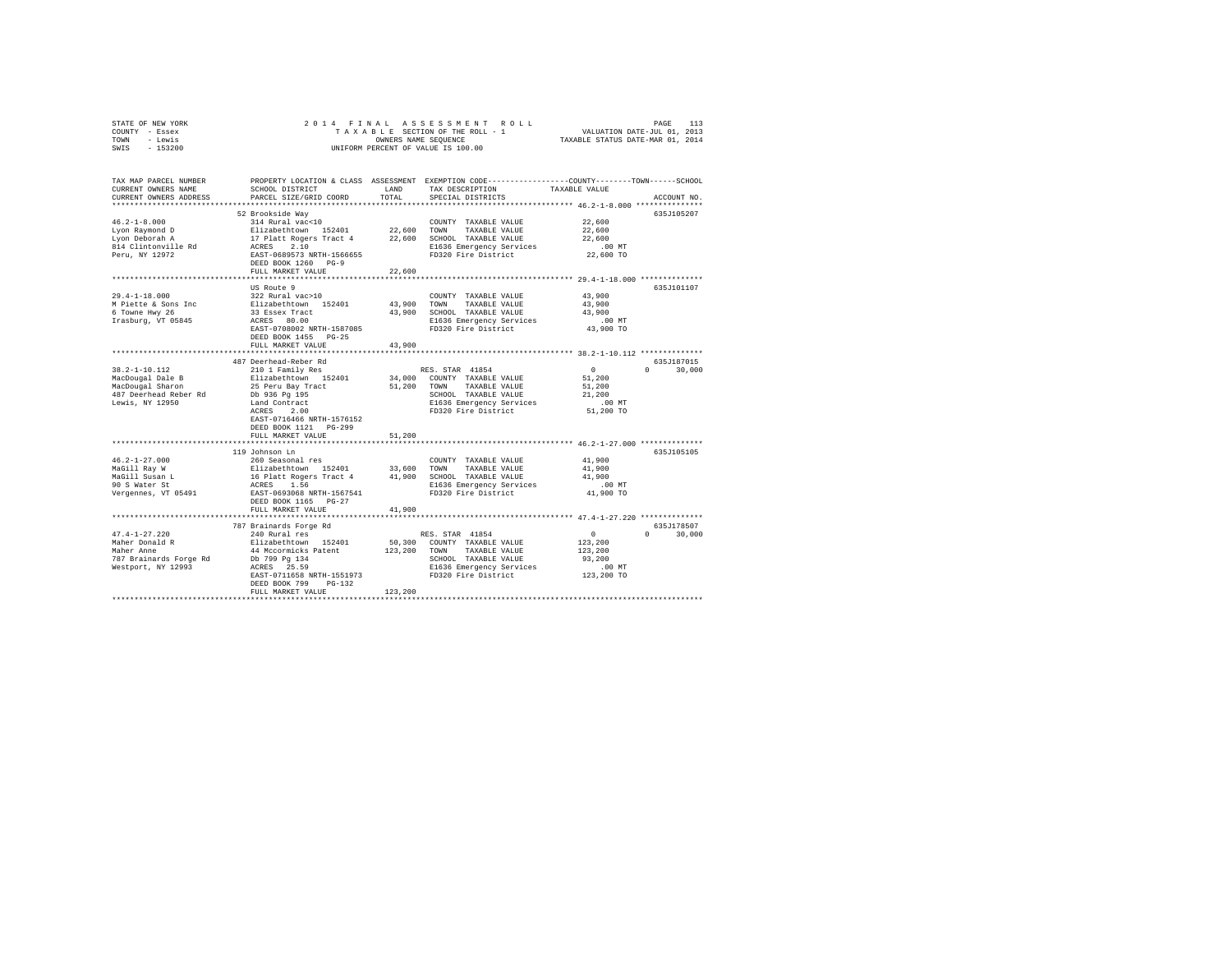| STATE OF NEW YORK | 2014 FINAL ASSESSMENT ROLL         | 113<br>PAGE                      |
|-------------------|------------------------------------|----------------------------------|
| COUNTY - Essex    | TAXABLE SECTION OF THE ROLL - 1    | VALUATION DATE-JUL 01, 2013      |
| TOWN<br>- Lewis   | OWNERS NAME SEOUENCE               | TAXABLE STATUS DATE-MAR 01, 2014 |
| $-153200$<br>SWIS | UNIFORM PERCENT OF VALUE IS 100.00 |                                  |

| TAX MAP PARCEL NUMBER<br>CURRENT OWNERS NAME<br>CURRENT OWNERS ADDRESS | SCHOOL DISTRICT<br>PARCEL SIZE/GRID COORD       | <b>T.AND</b><br>TOTAL | TAX DESCRIPTION<br>SPECIAL DISTRICTS            | PROPERTY LOCATION & CLASS ASSESSMENT EXEMPTION CODE---------------COUNTY-------TOWN-----SCHOOL<br>TAXABLE VALUE<br>ACCOUNT NO. |  |
|------------------------------------------------------------------------|-------------------------------------------------|-----------------------|-------------------------------------------------|--------------------------------------------------------------------------------------------------------------------------------|--|
| ***********************                                                | ****************************                    |                       |                                                 |                                                                                                                                |  |
|                                                                        | 52 Brookside Way                                |                       |                                                 | 635J105207                                                                                                                     |  |
| $46.2 - 1 - 8.000$                                                     | 314 Rural vac<10                                |                       | COUNTY TAXABLE VALUE                            | 22,600                                                                                                                         |  |
| Lyon Raymond D                                                         | Elizabethtown 152401                            | 22,600                | TOWN<br>TAXABLE VALUE                           | 22,600                                                                                                                         |  |
| Lvon Deborah A                                                         | 17 Platt Rogers Tract 4 22,600                  |                       | SCHOOL TAXABLE VALUE                            | 22,600                                                                                                                         |  |
| 814 Clintonville Rd                                                    | ACRES<br>2.10                                   |                       | E1636 Emergency Services                        | $.00$ MT                                                                                                                       |  |
| Peru, NY 12972                                                         | EAST-0689573 NRTH-1566655                       |                       | FD320 Fire District                             | 22,600 TO                                                                                                                      |  |
|                                                                        | DEED BOOK 1260 PG-9                             |                       |                                                 |                                                                                                                                |  |
|                                                                        | FULL MARKET VALUE                               | 22,600                |                                                 |                                                                                                                                |  |
|                                                                        |                                                 |                       |                                                 |                                                                                                                                |  |
|                                                                        | US Route 9                                      |                       |                                                 | 635J101107                                                                                                                     |  |
| $29.4 - 1 - 18.000$                                                    | 322 Rural vac>10                                |                       | COUNTY TAXABLE VALUE                            | 43,900                                                                                                                         |  |
| M Piette & Sons Inc                                                    | Elizabethtown 152401                            | 43,900                | TOWN<br>TAXABLE VALUE                           | 43,900                                                                                                                         |  |
| 6 Towne Hwy 26                                                         | 33 Essex Tract                                  | 43,900                | SCHOOL TAXABLE VALUE                            | 43,900                                                                                                                         |  |
| Irasburg, VT 05845                                                     | ACRES 80.00                                     |                       | E1636 Emergency Services                        | .00 MT                                                                                                                         |  |
|                                                                        | EAST-0708002 NRTH-1587085                       |                       | FD320 Fire District                             | 43,900 TO                                                                                                                      |  |
|                                                                        | DEED BOOK 1455 PG-25                            |                       |                                                 |                                                                                                                                |  |
|                                                                        | FULL MARKET VALUE                               | 43,900                |                                                 |                                                                                                                                |  |
|                                                                        | **********************                          | ********              |                                                 | ********************************** 38.2-1-10.112 **************                                                                |  |
|                                                                        | 487 Deerhead-Reber Rd                           |                       |                                                 | 635J187015                                                                                                                     |  |
| $38.2 - 1 - 10.112$                                                    | 210 1 Family Res                                |                       | RES. STAR 41854                                 | $\sim$ 0<br>$\Omega$<br>30,000                                                                                                 |  |
| MacDougal Dale B                                                       | Elizabethtown 152401                            | 34,000                | COUNTY TAXABLE VALUE                            | 51,200                                                                                                                         |  |
| MacDougal Sharon                                                       | 25 Peru Bay Tract                               | 51,200                | TOWN<br>TAXABLE VALUE<br>SCHOOL TAXABLE VALUE   | 51,200                                                                                                                         |  |
| 487 Deerhead Reber Rd                                                  | Db 936 Pg 195                                   |                       |                                                 | 21,200                                                                                                                         |  |
| Lewis, NY 12950                                                        | Land Contract<br>ACRES<br>2.00                  |                       | E1636 Emergency Services<br>FD320 Fire District | $.00$ MT<br>51,200 TO                                                                                                          |  |
|                                                                        | EAST-0716466 NRTH-1576152                       |                       |                                                 |                                                                                                                                |  |
|                                                                        | DEED BOOK 1121<br>PG-299                        |                       |                                                 |                                                                                                                                |  |
|                                                                        | FULL MARKET VALUE                               | 51,200                |                                                 |                                                                                                                                |  |
|                                                                        |                                                 |                       |                                                 |                                                                                                                                |  |
|                                                                        | 119 Johnson Ln                                  |                       |                                                 | 635J105105                                                                                                                     |  |
| $46.2 - 1 - 27.000$                                                    | 260 Seasonal res                                |                       | COUNTY TAXABLE VALUE                            | 41,900                                                                                                                         |  |
| MaGill Ray W                                                           |                                                 | 33,600                | TOWN<br>TAXABLE VALUE                           | 41,900                                                                                                                         |  |
| MaGill Susan L                                                         | Elizabethtown 152401<br>16 Platt Rogers Tract 4 |                       | 41,900 SCHOOL TAXABLE VALUE                     | 41,900                                                                                                                         |  |
| 90 S Water St                                                          | ACRES<br>1.56                                   |                       | E1636 Emergency Services                        | .00 MT                                                                                                                         |  |
| Vergennes, VT 05491                                                    | EAST-0693068 NRTH-1567541                       |                       | FD320 Fire District                             | 41,900 TO                                                                                                                      |  |
|                                                                        | DEED BOOK 1165 PG-27                            |                       |                                                 |                                                                                                                                |  |
|                                                                        | FULL MARKET VALUE                               | 41,900                |                                                 |                                                                                                                                |  |
|                                                                        |                                                 |                       |                                                 |                                                                                                                                |  |
|                                                                        | 787 Brainards Forge Rd                          |                       |                                                 | 635J178507                                                                                                                     |  |
| $47.4 - 1 - 27.220$                                                    | 240 Rural res                                   |                       | RES. STAR 41854                                 | $^{\circ}$<br>$\Omega$<br>30,000                                                                                               |  |
| Maher Donald R                                                         | Elizabethtown 152401                            | 50,300                | COUNTY TAXABLE VALUE                            | 123,200                                                                                                                        |  |
| Maher Anne                                                             | 44 Mccormicks Patent                            | 123,200               | TOWN<br>TAXABLE VALUE                           | 123,200                                                                                                                        |  |
| 787 Brainards Forge Rd                                                 | Db 799 Pg 134                                   |                       | SCHOOL TAXABLE VALUE                            | 93,200                                                                                                                         |  |
| Westport, NY 12993                                                     | ACRES 25.59                                     |                       | E1636 Emergency Services                        | $.00$ MT                                                                                                                       |  |
|                                                                        | EAST-0711658 NRTH-1551973                       |                       | FD320 Fire District                             | 123,200 TO                                                                                                                     |  |
|                                                                        | DEED BOOK 799<br>$PG-132$                       |                       |                                                 |                                                                                                                                |  |
|                                                                        | FULL MARKET VALUE                               | 123,200               |                                                 |                                                                                                                                |  |
|                                                                        |                                                 |                       |                                                 |                                                                                                                                |  |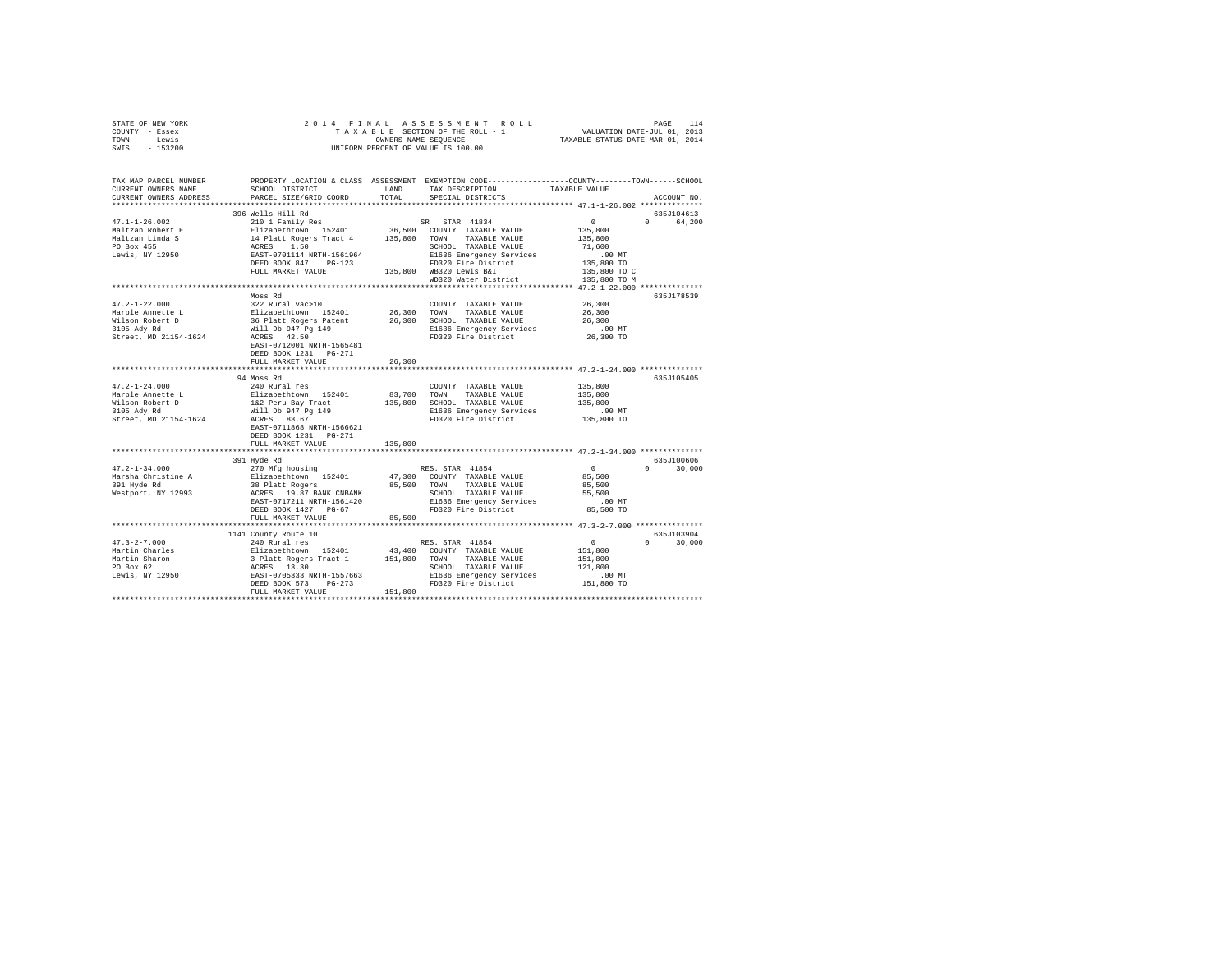| STATE OF NEW YORK                                                                                                                                                                                                                                                                                                                                                                                                                        |                                                                                 |         |                                                                                                                                                                                                                                                                                 |                                                      |               |
|------------------------------------------------------------------------------------------------------------------------------------------------------------------------------------------------------------------------------------------------------------------------------------------------------------------------------------------------------------------------------------------------------------------------------------------|---------------------------------------------------------------------------------|---------|---------------------------------------------------------------------------------------------------------------------------------------------------------------------------------------------------------------------------------------------------------------------------------|------------------------------------------------------|---------------|
| COUNTY - Essex                                                                                                                                                                                                                                                                                                                                                                                                                           |                                                                                 |         |                                                                                                                                                                                                                                                                                 |                                                      |               |
| TOWN - Lewis                                                                                                                                                                                                                                                                                                                                                                                                                             |                                                                                 |         | OWNERS NAME SEQUENCE<br>UNIFORM PERCENT OF VALUE IS 100.00                                                                                                                                                                                                                      |                                                      |               |
| SWIS - 153200                                                                                                                                                                                                                                                                                                                                                                                                                            |                                                                                 |         |                                                                                                                                                                                                                                                                                 |                                                      |               |
|                                                                                                                                                                                                                                                                                                                                                                                                                                          |                                                                                 |         |                                                                                                                                                                                                                                                                                 |                                                      |               |
|                                                                                                                                                                                                                                                                                                                                                                                                                                          |                                                                                 |         |                                                                                                                                                                                                                                                                                 |                                                      |               |
|                                                                                                                                                                                                                                                                                                                                                                                                                                          |                                                                                 |         |                                                                                                                                                                                                                                                                                 |                                                      |               |
| TAX MAP PARCEL NUMBER PROPERTY LOCATION & CLASS ASSESSMENT EXEMPTION CODE----------------COUNTY-------TOWN------SCHOOL<br>CURRENT OWNERS NAME                                                                                                                                                                                                                                                                                            | SCHOOL DISTRICT                                                                 | LAND    |                                                                                                                                                                                                                                                                                 | TAXABLE VALUE                                        |               |
|                                                                                                                                                                                                                                                                                                                                                                                                                                          |                                                                                 | TOTAL   | TAX DESCRIPTION                                                                                                                                                                                                                                                                 |                                                      |               |
| CURRENT OWNERS ADDRESS                                                                                                                                                                                                                                                                                                                                                                                                                   | PARCEL SIZE/GRID COORD                                                          |         | SPECIAL DISTRICTS                                                                                                                                                                                                                                                               |                                                      | ACCOUNT NO.   |
|                                                                                                                                                                                                                                                                                                                                                                                                                                          |                                                                                 |         |                                                                                                                                                                                                                                                                                 |                                                      |               |
|                                                                                                                                                                                                                                                                                                                                                                                                                                          | 396 Wells Hill Rd                                                               |         |                                                                                                                                                                                                                                                                                 |                                                      | 635J104613    |
| $47.1 - 1 - 26.002$                                                                                                                                                                                                                                                                                                                                                                                                                      | 210 1 Family Res                                                                |         | SR STAR 41834                                                                                                                                                                                                                                                                   | $\sim$ 0                                             | 0 64,200      |
|                                                                                                                                                                                                                                                                                                                                                                                                                                          |                                                                                 |         |                                                                                                                                                                                                                                                                                 |                                                      |               |
|                                                                                                                                                                                                                                                                                                                                                                                                                                          |                                                                                 |         |                                                                                                                                                                                                                                                                                 |                                                      |               |
| $\begin{tabular}{l c c c c c} \multicolumn{4}{c}{\textbf{135}}\begin{tabular}{l c c c} \multicolumn{4}{c}{\textbf{148}}\begin{tabular}{l c c} \multicolumn{4}{c}{\textbf{158}}\begin{tabular}{l c} \multicolumn{4}{c}{\textbf{158}}\begin{tabular}{l c} \multicolumn{4}{c}{\textbf{158}}\begin{tabular}{l c} \multicolumn{4}{c}{\textbf{158}}\begin{tabular}{l c} \multicolumn{4}{c}{\textbf{158}}\begin{tabular}{l c} \multicolumn{4}{$ |                                                                                 |         |                                                                                                                                                                                                                                                                                 |                                                      |               |
|                                                                                                                                                                                                                                                                                                                                                                                                                                          |                                                                                 |         |                                                                                                                                                                                                                                                                                 |                                                      |               |
|                                                                                                                                                                                                                                                                                                                                                                                                                                          |                                                                                 |         |                                                                                                                                                                                                                                                                                 |                                                      |               |
|                                                                                                                                                                                                                                                                                                                                                                                                                                          |                                                                                 |         |                                                                                                                                                                                                                                                                                 |                                                      |               |
|                                                                                                                                                                                                                                                                                                                                                                                                                                          |                                                                                 |         |                                                                                                                                                                                                                                                                                 |                                                      |               |
|                                                                                                                                                                                                                                                                                                                                                                                                                                          |                                                                                 |         |                                                                                                                                                                                                                                                                                 |                                                      |               |
|                                                                                                                                                                                                                                                                                                                                                                                                                                          | Moss Rd                                                                         |         |                                                                                                                                                                                                                                                                                 |                                                      | 635J178539    |
| $47.2 - 1 - 22.000$                                                                                                                                                                                                                                                                                                                                                                                                                      |                                                                                 |         | AVERT TRANSLE VALUE<br>26, 200 MWN TRANSLE VALUE<br>26, 200 MWN TRANSLE VALUE<br>26, 200 SCHOOL TRANSLE VALUE<br>26 Platt Rogers Patent<br>26, 300 SCHOOL TRANSLE VALUE<br>26 MH D 947 Pg 149<br>2556 EMERGE PRESS ACRES<br>26 MH D 947 Pg<br>26<br>COUNTY TAXABLE VALUE 26,300 |                                                      |               |
| Marple Annette L<br>Wilson Robert D<br>3105 Ady Rd                                                                                                                                                                                                                                                                                                                                                                                       |                                                                                 |         |                                                                                                                                                                                                                                                                                 | 26,300                                               |               |
|                                                                                                                                                                                                                                                                                                                                                                                                                                          |                                                                                 |         |                                                                                                                                                                                                                                                                                 | 26,300                                               |               |
|                                                                                                                                                                                                                                                                                                                                                                                                                                          |                                                                                 |         |                                                                                                                                                                                                                                                                                 | .00 MT                                               |               |
| Street, MD 21154-1624                                                                                                                                                                                                                                                                                                                                                                                                                    |                                                                                 |         |                                                                                                                                                                                                                                                                                 | 26,300 TO                                            |               |
|                                                                                                                                                                                                                                                                                                                                                                                                                                          | EAST-0712001 NRTH-1565481                                                       |         |                                                                                                                                                                                                                                                                                 |                                                      |               |
|                                                                                                                                                                                                                                                                                                                                                                                                                                          | DEED BOOK 1231    PG-271                                                        |         |                                                                                                                                                                                                                                                                                 |                                                      |               |
|                                                                                                                                                                                                                                                                                                                                                                                                                                          | FULL MARKET VALUE                                                               | 26,300  |                                                                                                                                                                                                                                                                                 |                                                      |               |
|                                                                                                                                                                                                                                                                                                                                                                                                                                          |                                                                                 |         |                                                                                                                                                                                                                                                                                 |                                                      |               |
|                                                                                                                                                                                                                                                                                                                                                                                                                                          | 94 Moss Rd                                                                      |         |                                                                                                                                                                                                                                                                                 |                                                      | 635J105405    |
| $47.2 - 1 - 24.000$                                                                                                                                                                                                                                                                                                                                                                                                                      | 240 Rural res                                                                   |         | COUNTY TAXABLE VALUE                                                                                                                                                                                                                                                            | 135,800                                              |               |
| Marple Annette L                                                                                                                                                                                                                                                                                                                                                                                                                         |                                                                                 |         | 83,700 TOWN TAXABLE VALUE                                                                                                                                                                                                                                                       | 135,800                                              |               |
|                                                                                                                                                                                                                                                                                                                                                                                                                                          |                                                                                 |         | 135,800 SCHOOL TAXABLE VALUE                                                                                                                                                                                                                                                    | 135,800                                              |               |
| Wilson Robert D<br>3105 Ady Rd                                                                                                                                                                                                                                                                                                                                                                                                           | Elizabethtown 152401<br>1&2 Peru Bay Tract<br>Will Db 947 Pg 149<br>ACRES 83.67 |         | E1636 Emergency Services                                                                                                                                                                                                                                                        | $.00$ MT                                             |               |
| Street, MD 21154-1624                                                                                                                                                                                                                                                                                                                                                                                                                    |                                                                                 |         | FD320 Fire District 135,800 TO                                                                                                                                                                                                                                                  |                                                      |               |
|                                                                                                                                                                                                                                                                                                                                                                                                                                          | EAST-0711868 NRTH-1566621                                                       |         |                                                                                                                                                                                                                                                                                 |                                                      |               |
|                                                                                                                                                                                                                                                                                                                                                                                                                                          | DEED BOOK 1231   PG-271                                                         |         |                                                                                                                                                                                                                                                                                 |                                                      |               |
|                                                                                                                                                                                                                                                                                                                                                                                                                                          | FULL MARKET VALUE                                                               | 135,800 |                                                                                                                                                                                                                                                                                 |                                                      |               |
|                                                                                                                                                                                                                                                                                                                                                                                                                                          |                                                                                 |         |                                                                                                                                                                                                                                                                                 |                                                      |               |
|                                                                                                                                                                                                                                                                                                                                                                                                                                          | 391 Hyde Rd                                                                     |         |                                                                                                                                                                                                                                                                                 |                                                      | 635J100606    |
| $47.2 - 1 - 34.000$                                                                                                                                                                                                                                                                                                                                                                                                                      | 270 Mfg housing                                                                 |         | RES. STAR 41854                                                                                                                                                                                                                                                                 | $\sim$ 0                                             | $0 \t 30,000$ |
| Marsha Christine A                                                                                                                                                                                                                                                                                                                                                                                                                       |                                                                                 |         |                                                                                                                                                                                                                                                                                 | 85,500                                               |               |
| 391 Hyde Rd                                                                                                                                                                                                                                                                                                                                                                                                                              |                                                                                 |         |                                                                                                                                                                                                                                                                                 | 85,500                                               |               |
| Westport, NY 12993                                                                                                                                                                                                                                                                                                                                                                                                                       |                                                                                 |         | XV Norgen 152401 47,300 COUNTY TAXABLE VALUE 38 Platt Rogers<br>38 Platt Rogers 19.8 PON TAXABLE VALUE RATE 1501 2012<br>ACRES 19.87 BANK CNBANK 95,500 TAXABLE VALUE RAST-0717211 NRTH-1561420<br>EL636 EMBOD 2021 121 PG-67 PD320                                             | 55,500                                               |               |
|                                                                                                                                                                                                                                                                                                                                                                                                                                          |                                                                                 |         |                                                                                                                                                                                                                                                                                 | $.00$ MT                                             |               |
|                                                                                                                                                                                                                                                                                                                                                                                                                                          |                                                                                 |         |                                                                                                                                                                                                                                                                                 | 85,500 TO                                            |               |
|                                                                                                                                                                                                                                                                                                                                                                                                                                          | FULL MARKET VALUE                                                               | 85,500  |                                                                                                                                                                                                                                                                                 |                                                      |               |
|                                                                                                                                                                                                                                                                                                                                                                                                                                          |                                                                                 |         |                                                                                                                                                                                                                                                                                 |                                                      |               |
|                                                                                                                                                                                                                                                                                                                                                                                                                                          |                                                                                 |         |                                                                                                                                                                                                                                                                                 |                                                      | 635J103904    |
| $47.3 - 2 - 7.000$                                                                                                                                                                                                                                                                                                                                                                                                                       | 1141 County Route 10<br>240 Rural res                                           |         | RES. STAR 41854                                                                                                                                                                                                                                                                 |                                                      | $0 \t 30,000$ |
|                                                                                                                                                                                                                                                                                                                                                                                                                                          |                                                                                 |         |                                                                                                                                                                                                                                                                                 | $\begin{smallmatrix}&&0\\&&151,800\end{smallmatrix}$ |               |
|                                                                                                                                                                                                                                                                                                                                                                                                                                          |                                                                                 |         |                                                                                                                                                                                                                                                                                 |                                                      |               |
|                                                                                                                                                                                                                                                                                                                                                                                                                                          |                                                                                 |         |                                                                                                                                                                                                                                                                                 | 151,800                                              |               |
|                                                                                                                                                                                                                                                                                                                                                                                                                                          |                                                                                 |         |                                                                                                                                                                                                                                                                                 | 121,800                                              |               |
|                                                                                                                                                                                                                                                                                                                                                                                                                                          |                                                                                 |         |                                                                                                                                                                                                                                                                                 | $.00$ MT                                             |               |
|                                                                                                                                                                                                                                                                                                                                                                                                                                          |                                                                                 |         |                                                                                                                                                                                                                                                                                 | 151,800 TO                                           |               |
|                                                                                                                                                                                                                                                                                                                                                                                                                                          |                                                                                 |         |                                                                                                                                                                                                                                                                                 |                                                      |               |
|                                                                                                                                                                                                                                                                                                                                                                                                                                          |                                                                                 |         |                                                                                                                                                                                                                                                                                 |                                                      |               |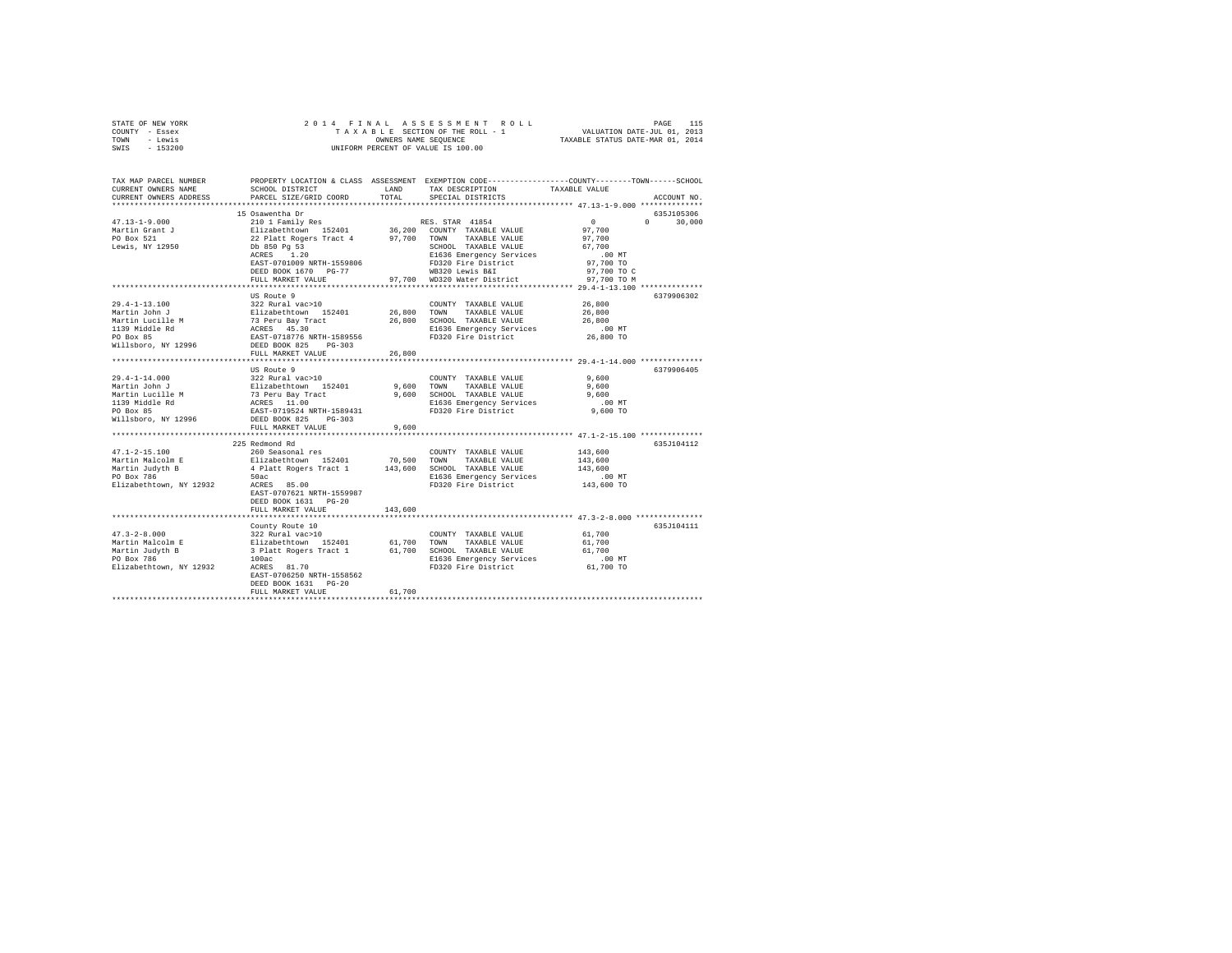| STATE OF NEW YORK                                                                                                     |                           |         |                                                                                                                                                                                                                                                  |                      |               |
|-----------------------------------------------------------------------------------------------------------------------|---------------------------|---------|--------------------------------------------------------------------------------------------------------------------------------------------------------------------------------------------------------------------------------------------------|----------------------|---------------|
| COUNTY - Essex                                                                                                        |                           |         |                                                                                                                                                                                                                                                  |                      |               |
| TOWN - Lewis                                                                                                          |                           |         |                                                                                                                                                                                                                                                  |                      |               |
| SWIS - 153200                                                                                                         |                           |         |                                                                                                                                                                                                                                                  |                      |               |
|                                                                                                                       |                           |         |                                                                                                                                                                                                                                                  |                      |               |
|                                                                                                                       |                           |         |                                                                                                                                                                                                                                                  |                      |               |
|                                                                                                                       |                           |         |                                                                                                                                                                                                                                                  |                      |               |
| TAX MAP PARCEL NUMBER PROPERTY LOCATION & CLASS ASSESSMENT EXEMPTION CODE----------------COUNTY-------TOWN-----SCHOOL |                           |         |                                                                                                                                                                                                                                                  |                      |               |
| CURRENT OWNERS NAME                                                                                                   | SCHOOL DISTRICT LAND      |         | TAX DESCRIPTION                                                                                                                                                                                                                                  | TAXABLE VALUE        |               |
| CURRENT OWNERS ADDRESS                                                                                                | PARCEL SIZE/GRID COORD    | TOTAL   | SPECIAL DISTRICTS                                                                                                                                                                                                                                |                      | ACCOUNT NO.   |
|                                                                                                                       |                           |         |                                                                                                                                                                                                                                                  |                      |               |
|                                                                                                                       | 15 Osawentha Dr           |         |                                                                                                                                                                                                                                                  |                      | 635J105306    |
|                                                                                                                       |                           |         |                                                                                                                                                                                                                                                  | $\sim$ 0 $\sim$      |               |
| $47.13 - 1 - 9.000$                                                                                                   |                           |         |                                                                                                                                                                                                                                                  |                      | $0 \t 30,000$ |
| Martin Grant J<br>PO Box 521<br>Lewis, NY 12950                                                                       |                           |         |                                                                                                                                                                                                                                                  | 97,700               |               |
|                                                                                                                       |                           |         |                                                                                                                                                                                                                                                  | 97,700               |               |
|                                                                                                                       |                           |         |                                                                                                                                                                                                                                                  | 67,700               |               |
|                                                                                                                       |                           |         |                                                                                                                                                                                                                                                  | $.00$ MT             |               |
|                                                                                                                       |                           |         |                                                                                                                                                                                                                                                  | 97,700 TO            |               |
|                                                                                                                       |                           |         |                                                                                                                                                                                                                                                  | 97,700 TO C          |               |
|                                                                                                                       |                           |         |                                                                                                                                                                                                                                                  | 97.700 TO M          |               |
|                                                                                                                       |                           |         |                                                                                                                                                                                                                                                  |                      |               |
|                                                                                                                       | US Route 9                |         |                                                                                                                                                                                                                                                  |                      | 6379906302    |
|                                                                                                                       |                           |         | $\begin{tabular}{lllllll} \textbf{COUNTY} & \textbf{TAXABLE} & \textbf{VALUE} & & \textbf{26,800} \end{tabular}$                                                                                                                                 |                      |               |
|                                                                                                                       |                           |         |                                                                                                                                                                                                                                                  | 26,800               |               |
|                                                                                                                       |                           |         |                                                                                                                                                                                                                                                  | 26,800               |               |
|                                                                                                                       |                           |         |                                                                                                                                                                                                                                                  |                      |               |
|                                                                                                                       |                           |         |                                                                                                                                                                                                                                                  | $.00$ MT             |               |
|                                                                                                                       |                           |         |                                                                                                                                                                                                                                                  | 26,800 TO            |               |
|                                                                                                                       |                           |         |                                                                                                                                                                                                                                                  |                      |               |
|                                                                                                                       | FULL MARKET VALUE         | 26,800  |                                                                                                                                                                                                                                                  |                      |               |
|                                                                                                                       |                           |         |                                                                                                                                                                                                                                                  |                      |               |
|                                                                                                                       | US Route 9                |         |                                                                                                                                                                                                                                                  |                      | 6379906405    |
| $29.4 - 1 - 14.000$                                                                                                   |                           |         |                                                                                                                                                                                                                                                  | 9,600                |               |
| Martin John J                                                                                                         |                           |         |                                                                                                                                                                                                                                                  | 9,600                |               |
| Martin Lucille M                                                                                                      |                           |         | 2021<br>22 Rural vac>10<br>23 Rural vac>10<br>23 Reru Bay Tract (2008)<br>23 Reru Bay Tract (2008)<br>24 Sextes 11.00<br>24 SAS Temperature (2008)<br>24 SAS EAST-0719524 NRTH-1589431<br>25320 Fire District (2018)<br>26 SAST-0719524 NRTH-158 | 9,600                |               |
| 1139 Middle Rd                                                                                                        |                           |         |                                                                                                                                                                                                                                                  | $.00$ MT             |               |
| PO Box 85                                                                                                             |                           |         | E1636 Emergency Services<br>FD320 Fire District                                                                                                                                                                                                  | $9,600$ TO           |               |
| Willsboro, NY 12996                                                                                                   | DEED BOOK 825 PG-303      |         |                                                                                                                                                                                                                                                  |                      |               |
|                                                                                                                       | FULL MARKET VALUE         | 9.600   |                                                                                                                                                                                                                                                  |                      |               |
|                                                                                                                       |                           |         |                                                                                                                                                                                                                                                  |                      |               |
|                                                                                                                       |                           |         |                                                                                                                                                                                                                                                  |                      |               |
|                                                                                                                       | 225 Redmond Rd            |         |                                                                                                                                                                                                                                                  |                      | 635J104112    |
| $47.1 - 2 - 15.100$                                                                                                   |                           |         | COUNTY TAXABLE VALUE 143,600                                                                                                                                                                                                                     |                      |               |
| Martin Malcolm E                                                                                                      |                           |         |                                                                                                                                                                                                                                                  | 143,600              |               |
| Martin Judyth B<br>PO Box 786                                                                                         |                           |         | 260 Seasonal res<br>Elizabethcovn 152401 70,500 TOWN TAXABLE VALUE<br>4 Platt Rogers Tract 1 143,600 SCHOOL TAXABLE VALUE<br>50ac 85.00 BL636 Bancy<br>2001 TAXABLE VALUE<br>2002 Fire District                                                  | 143,600              |               |
|                                                                                                                       |                           |         | E1636 Emergency Services<br>FD320 Fire District                                                                                                                                                                                                  | 00 MT.<br>143,600 TO |               |
| Elizabethtown, NY 12932                                                                                               |                           |         |                                                                                                                                                                                                                                                  |                      |               |
|                                                                                                                       | EAST-0707621 NRTH-1559987 |         |                                                                                                                                                                                                                                                  |                      |               |
|                                                                                                                       | DEED BOOK 1631 PG-20      |         |                                                                                                                                                                                                                                                  |                      |               |
|                                                                                                                       | FULL MARKET VALUE         | 143,600 |                                                                                                                                                                                                                                                  |                      |               |
|                                                                                                                       |                           |         |                                                                                                                                                                                                                                                  |                      |               |
|                                                                                                                       |                           |         |                                                                                                                                                                                                                                                  |                      | 635J104111    |
|                                                                                                                       |                           |         |                                                                                                                                                                                                                                                  | 61,700               |               |
|                                                                                                                       |                           |         |                                                                                                                                                                                                                                                  | 61,700               |               |
|                                                                                                                       |                           |         |                                                                                                                                                                                                                                                  | 61,700               |               |
|                                                                                                                       |                           |         |                                                                                                                                                                                                                                                  |                      |               |
|                                                                                                                       |                           |         |                                                                                                                                                                                                                                                  |                      |               |
|                                                                                                                       |                           |         |                                                                                                                                                                                                                                                  |                      |               |
|                                                                                                                       | EAST-0706250 NRTH-1558562 |         |                                                                                                                                                                                                                                                  |                      |               |
|                                                                                                                       | DEED BOOK 1631 PG-20      |         |                                                                                                                                                                                                                                                  |                      |               |
|                                                                                                                       | FULL MARKET VALUE         | 61,700  |                                                                                                                                                                                                                                                  |                      |               |
|                                                                                                                       |                           |         |                                                                                                                                                                                                                                                  |                      |               |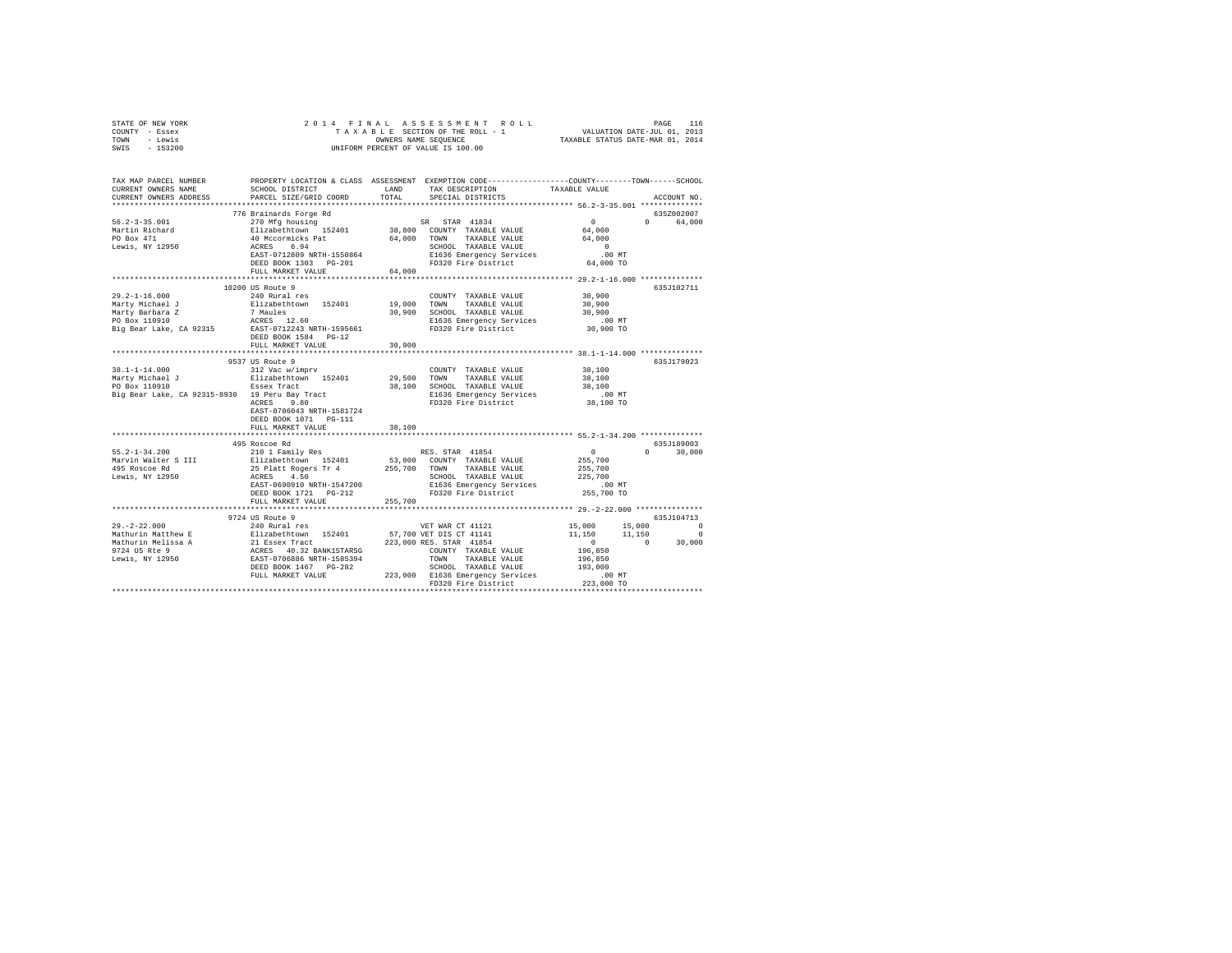| STATE OF NEW YORK<br>COUNTY - Essex<br>TOWN - Lewis<br>$-153200$<br>SWIS                                              | 2014 FINAL                                                                                                                                                 |         | OWNERS NAME SEQUENCE<br>UNIFORM PERCENT OF VALUE IS 100.00                                                                                                                                                                                   |                                                       |                                      |
|-----------------------------------------------------------------------------------------------------------------------|------------------------------------------------------------------------------------------------------------------------------------------------------------|---------|----------------------------------------------------------------------------------------------------------------------------------------------------------------------------------------------------------------------------------------------|-------------------------------------------------------|--------------------------------------|
| TAX MAP PARCEL NUMBER PROPERTY LOCATION & CLASS ASSESSMENT EXEMPTION CODE---------------COUNTY-------TOWN------SCHOOL |                                                                                                                                                            |         |                                                                                                                                                                                                                                              |                                                       |                                      |
| CURRENT OWNERS NAME<br>CURRENT OWNERS ADDRESS                                                                         | SCHOOL DISTRICT LAND<br>PARCEL SIZE/GRID COORD                                                                                                             | TOTAL   | TAX DESCRIPTION<br>SPECIAL DISTRICTS                                                                                                                                                                                                         | TAXABLE VALUE                                         | ACCOUNT NO.                          |
| **************************                                                                                            |                                                                                                                                                            |         |                                                                                                                                                                                                                                              |                                                       |                                      |
|                                                                                                                       | 776 Brainards Forge Rd                                                                                                                                     |         |                                                                                                                                                                                                                                              |                                                       | 635Z002007                           |
| $56.2 - 3 - 35.001$                                                                                                   |                                                                                                                                                            |         |                                                                                                                                                                                                                                              | $\sim$ 0                                              | $0 \qquad \qquad$<br>64,000          |
| Martin Richard                                                                                                        |                                                                                                                                                            |         |                                                                                                                                                                                                                                              | $64,000$<br>$64,000$                                  |                                      |
| PO Box 471                                                                                                            |                                                                                                                                                            |         |                                                                                                                                                                                                                                              |                                                       |                                      |
| Lewis, NY 12950                                                                                                       |                                                                                                                                                            |         | 270 Mfg housing<br>Elizabethcown 152401 38,800 COUNTY TAXABLE VALUE<br>140 Mccormicks Pat<br>140 Mccormicks Pat<br>164,000 TOWN TAXABLE VALUE<br>164,000 TOWN TAXABLE VALUE<br>164,000 TOWN TAXABLE VALUE<br>REST-0712809 NRTH-1550864 El636 | $\sim$ 0                                              |                                      |
|                                                                                                                       |                                                                                                                                                            |         |                                                                                                                                                                                                                                              | $.00$ MT<br>64,000 TO                                 |                                      |
|                                                                                                                       |                                                                                                                                                            |         |                                                                                                                                                                                                                                              |                                                       |                                      |
|                                                                                                                       |                                                                                                                                                            |         |                                                                                                                                                                                                                                              |                                                       |                                      |
|                                                                                                                       | 10200 US Route 9                                                                                                                                           |         |                                                                                                                                                                                                                                              |                                                       | 635J102711                           |
| $29.2 - 1 - 16.000$                                                                                                   | 240 Rural res                                                                                                                                              |         | COUNTY TAXABLE VALUE                                                                                                                                                                                                                         | 30,900                                                |                                      |
| Marty Michael J                                                                                                       | Elizabethtown 152401 19,000 TOWN TAXABLE VALUE                                                                                                             |         | 30,900 SCHOOL TAXABLE VALUE                                                                                                                                                                                                                  | 30,900                                                |                                      |
| Marty Barbara Z<br>PO Box 110910                                                                                      | 7 Maules<br>ACRES 12.60                                                                                                                                    |         | E1636 Emergency Services                                                                                                                                                                                                                     | 30,900                                                |                                      |
| Big Bear Lake, CA 92315                                                                                               | EAST-0712243 NRTH-1595661                                                                                                                                  |         | FD320 Fire District                                                                                                                                                                                                                          | 00 MT.<br>30,900 TO                                   |                                      |
|                                                                                                                       | DEED BOOK 1584 PG-12                                                                                                                                       |         |                                                                                                                                                                                                                                              |                                                       |                                      |
|                                                                                                                       | FULL MARKET VALUE                                                                                                                                          | 30,900  |                                                                                                                                                                                                                                              |                                                       |                                      |
|                                                                                                                       | ***********************                                                                                                                                    |         |                                                                                                                                                                                                                                              | *********************** 38.1-1-14.000 *************** |                                      |
| 38.1-1-14.000                                                                                                         | 9537 US Route 9<br>312 Vac w/imprv                                                                                                                         |         | COUNTY TAXABLE VALUE                                                                                                                                                                                                                         | 38,100                                                | 635J179023                           |
|                                                                                                                       |                                                                                                                                                            |         | 29,500 TOWN TAXABLE VALUE                                                                                                                                                                                                                    | 38,100                                                |                                      |
|                                                                                                                       |                                                                                                                                                            |         | 38,100 SCHOOL TAXABLE VALUE                                                                                                                                                                                                                  | 38,100                                                |                                      |
| Big Bear Lake, CA 92315-8930 19 Peru Bay Tract<br>ACRES 9.80                                                          |                                                                                                                                                            |         | E1636 Emergency Services                                                                                                                                                                                                                     | 00 MT.<br>38,100 TO                                   |                                      |
|                                                                                                                       | EAST-0706043 NRTH-1581724                                                                                                                                  |         | FD320 Fire District                                                                                                                                                                                                                          |                                                       |                                      |
|                                                                                                                       | DEED BOOK 1071    PG-111<br>FULL MARKET VALUE                                                                                                              | 38,100  |                                                                                                                                                                                                                                              |                                                       |                                      |
|                                                                                                                       |                                                                                                                                                            |         |                                                                                                                                                                                                                                              |                                                       |                                      |
|                                                                                                                       | 495 Roscoe Rd                                                                                                                                              |         |                                                                                                                                                                                                                                              |                                                       | 635.T189003                          |
| $55.2 - 1 - 34.200$                                                                                                   | 210 1 Family Res                                                                                                                                           |         | RES. STAR 41854                                                                                                                                                                                                                              | $\sim$ 0                                              | $\Omega$<br>30,000                   |
| Marvin Walter S III                                                                                                   |                                                                                                                                                            |         |                                                                                                                                                                                                                                              | 255,700                                               |                                      |
| 495 Roscoe Rd<br>Lewis, NY 12950                                                                                      | %10 1 Family Res RES. STAR 41854<br>Elizabethtwwn 152401 53,000 COUNTY TAXABLE VALUE<br>25 Platt Rogers Tr 4 255,700 TOWN TAXABLE VALUE<br>ACRES 4.50 1999 |         | 25 Platt Rogers Tr 4<br>ACRES 4.50 ACREPT 347200 E1636 Emergency Services<br>EAST-0690910 NRTH-1547200 E1636 Emergency Services<br>PD320 Fire District                                                                                       | 255,700<br>225,700                                    |                                      |
|                                                                                                                       |                                                                                                                                                            |         |                                                                                                                                                                                                                                              | .00MT                                                 |                                      |
|                                                                                                                       |                                                                                                                                                            |         |                                                                                                                                                                                                                                              | 255,700 TO                                            |                                      |
|                                                                                                                       | FULL MARKET VALUE                                                                                                                                          | 255,700 |                                                                                                                                                                                                                                              |                                                       |                                      |
|                                                                                                                       | **************************                                                                                                                                 |         |                                                                                                                                                                                                                                              |                                                       |                                      |
|                                                                                                                       | 9724 US Route 9                                                                                                                                            |         |                                                                                                                                                                                                                                              |                                                       | 635.7104713                          |
|                                                                                                                       |                                                                                                                                                            |         |                                                                                                                                                                                                                                              | 15,000                                                | 15,000 0<br>$\overline{\phantom{0}}$ |
|                                                                                                                       |                                                                                                                                                            |         |                                                                                                                                                                                                                                              | 11,150                                                | $11,150$<br>$0$<br>30,000            |
|                                                                                                                       |                                                                                                                                                            |         |                                                                                                                                                                                                                                              | 196,850                                               |                                      |
|                                                                                                                       |                                                                                                                                                            |         |                                                                                                                                                                                                                                              | 196,850                                               |                                      |
|                                                                                                                       |                                                                                                                                                            |         | SCHOOL TAXABLE VALUE                                                                                                                                                                                                                         | 193,000                                               |                                      |
|                                                                                                                       |                                                                                                                                                            |         | FD320 Fire District                                                                                                                                                                                                                          | .00 MT<br>223,000 TO                                  |                                      |
|                                                                                                                       |                                                                                                                                                            |         |                                                                                                                                                                                                                                              |                                                       |                                      |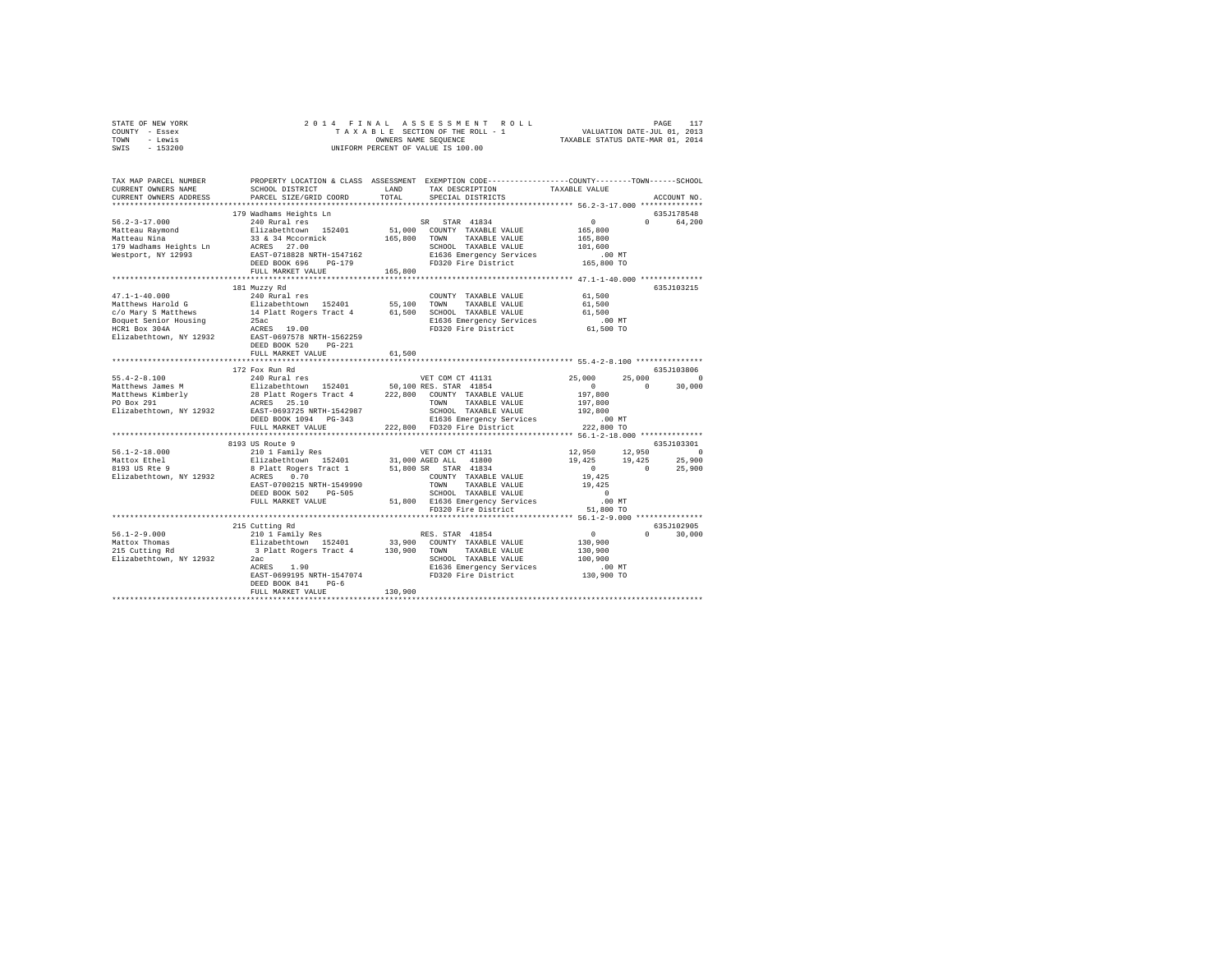| TOWN<br>- Lewis<br>$-153200$<br>SWIS                                                                                                                                                                                                             | OWNERS NAME SEQUENCE<br>UNIFORM PERCENT OF VALUE IS 100.00                              |         |                                | TAXABLE STATUS DATE-MAR 01, 2014                                                                                                                                            |                        |
|--------------------------------------------------------------------------------------------------------------------------------------------------------------------------------------------------------------------------------------------------|-----------------------------------------------------------------------------------------|---------|--------------------------------|-----------------------------------------------------------------------------------------------------------------------------------------------------------------------------|------------------------|
| TAX MAP PARCEL NUMBER PROPERTY LOCATION & CLASS ASSESSMENT EXEMPTION CODE--------------COUNTY-------TOWN------SCHOOL<br>CURRENT OWNERS NAME                                                                                                      | SCHOOL DISTRICT                                                                         | LAND    | TAX DESCRIPTION                | TAXABLE VALUE                                                                                                                                                               |                        |
| CURRENT OWNERS ADDRESS                                                                                                                                                                                                                           | PARCEL SIZE/GRID COORD                                                                  | TOTAL   | SPECIAL DISTRICTS              |                                                                                                                                                                             | ACCOUNT NO.            |
|                                                                                                                                                                                                                                                  |                                                                                         |         |                                |                                                                                                                                                                             |                        |
| $56.2 - 3 - 17.000$                                                                                                                                                                                                                              | 179 Wadhams Heights Ln                                                                  |         | SR STAR 41834                  | $\mathbf{0}$                                                                                                                                                                | 635J178548<br>0 64,200 |
|                                                                                                                                                                                                                                                  |                                                                                         |         | 51,000 COUNTY TAXABLE VALUE    | 165,800                                                                                                                                                                     |                        |
| Matteau Raymond<br>Matteau Nina                                                                                                                                                                                                                  |                                                                                         |         | TAXABLE VALUE                  | 165,800                                                                                                                                                                     |                        |
| 179 Wadhams Heights Ln                                                                                                                                                                                                                           |                                                                                         |         | SCHOOL TAXABLE VALUE           | 101,600                                                                                                                                                                     |                        |
| Westport, NY 12993                                                                                                                                                                                                                               | EAST-0718828 NRTH-1547162                                                               |         | E1636 Emergency Services       | $.00$ MT                                                                                                                                                                    |                        |
|                                                                                                                                                                                                                                                  | DEED BOOK 696 PG-179                                                                    |         | FD320 Fire District 165,800 TO |                                                                                                                                                                             |                        |
|                                                                                                                                                                                                                                                  | FULL MARKET VALUE                                                                       | 165,800 |                                |                                                                                                                                                                             |                        |
|                                                                                                                                                                                                                                                  | 181 Muzzy Rd                                                                            |         |                                |                                                                                                                                                                             | 635J103215             |
| $47.1 - 1 - 40.000$                                                                                                                                                                                                                              | 240 Rural res                                                                           |         | COUNTY TAXABLE VALUE 61,500    |                                                                                                                                                                             |                        |
| Matthews Harold G                                                                                                                                                                                                                                | Elizabethtown 152401                                                                    | 55,100  | TOWN TAXABLE VALUE             | 61,500                                                                                                                                                                      |                        |
| c/o Mary S Matthews                                                                                                                                                                                                                              | 14 Platt Rogers Tract 4 61,500<br>25ac                                                  |         | SCHOOL TAXABLE VALUE           | 61,500                                                                                                                                                                      |                        |
| Boquet Senior Housing                                                                                                                                                                                                                            |                                                                                         |         | E1636 Emergency Services       | 00 MT.<br>61,500 TO                                                                                                                                                         |                        |
| HCR1 Box 304A                                                                                                                                                                                                                                    | 25ac<br>ACRES 19.00                                                                     |         | FD320 Fire District            |                                                                                                                                                                             |                        |
| Elizabethtown, NY 12932 EAST-0697578 NRTH-1562259                                                                                                                                                                                                | DEED BOOK 520 PG-221                                                                    |         |                                |                                                                                                                                                                             |                        |
|                                                                                                                                                                                                                                                  | FULL MARKET VALUE                                                                       | 61,500  |                                |                                                                                                                                                                             |                        |
|                                                                                                                                                                                                                                                  |                                                                                         |         |                                |                                                                                                                                                                             | 635J103806             |
| $55.4 - 2 - 8.100$                                                                                                                                                                                                                               | 172 Fox Run Rd<br>240 Rural res                                                         |         | VET COM CT 41131               | 25,000                                                                                                                                                                      | 25,000 0               |
|                                                                                                                                                                                                                                                  |                                                                                         |         |                                |                                                                                                                                                                             | $0 \t 30,000$          |
|                                                                                                                                                                                                                                                  |                                                                                         |         |                                |                                                                                                                                                                             |                        |
|                                                                                                                                                                                                                                                  |                                                                                         |         |                                |                                                                                                                                                                             |                        |
|                                                                                                                                                                                                                                                  |                                                                                         |         |                                |                                                                                                                                                                             |                        |
|                                                                                                                                                                                                                                                  |                                                                                         |         |                                |                                                                                                                                                                             |                        |
| $\begin{tabular}{l c c c c c} \hline $56.4-26.100$ & $240$ & $40$ & $440$ & $440$ & $440$ \\ \hline \end{tabular} \hline $M$ at theMathetaws (simple) 2800190019100192011932194219531964197,800197019821992199219921992199219921992199219921992$ |                                                                                         |         |                                |                                                                                                                                                                             |                        |
|                                                                                                                                                                                                                                                  | 8193 US Route 9                                                                         |         |                                |                                                                                                                                                                             | 635J103301             |
| $56.1 - 2 - 18.000$                                                                                                                                                                                                                              | 210 1 Family Res<br>Elizabethtown 152401 31,000 AGED ALL 41800<br>21,000 AGED ALL 41800 |         |                                |                                                                                                                                                                             |                        |
|                                                                                                                                                                                                                                                  |                                                                                         |         |                                |                                                                                                                                                                             |                        |
| Mattox Ethel<br>8193 US Rte 9                                                                                                                                                                                                                    | 8 Platt Rogers Tract 1 51,800 SR STAR 41834                                             |         |                                | $\begin{array}{cccc} 12\, , 950 & \quad & 12\, , 950 & \quad & 0 \\ 19\, , 425 & \quad & 19\, , 425 & \quad & 25\, , 900 \\ 0 & \quad & 0 & \quad & 25\, , 900 \end{array}$ |                        |
| Elizabethtown, NY 12932 ACRES 0.70                                                                                                                                                                                                               |                                                                                         |         | COUNTY TAXABLE VALUE           | 19,425                                                                                                                                                                      |                        |
|                                                                                                                                                                                                                                                  | EAST-0700215 NRTH-1549990                                                               |         | TOWN TAXABLE VALUE             | 19,425                                                                                                                                                                      |                        |
|                                                                                                                                                                                                                                                  | DEED BOOK 502 PG-505                                                                    |         |                                |                                                                                                                                                                             |                        |
|                                                                                                                                                                                                                                                  | FULL MARKET VALUE                                                                       |         |                                |                                                                                                                                                                             |                        |
|                                                                                                                                                                                                                                                  |                                                                                         |         |                                |                                                                                                                                                                             |                        |
|                                                                                                                                                                                                                                                  | 215 Cutting Rd                                                                          |         |                                |                                                                                                                                                                             | 635J102905             |
|                                                                                                                                                                                                                                                  |                                                                                         |         |                                |                                                                                                                                                                             | $0 \t 30,000$          |
|                                                                                                                                                                                                                                                  |                                                                                         |         |                                | $\begin{array}{c}0\\130,900\end{array}$                                                                                                                                     |                        |
|                                                                                                                                                                                                                                                  |                                                                                         |         |                                | 130,900                                                                                                                                                                     |                        |
| Elizabethtown, NY 12932                                                                                                                                                                                                                          |                                                                                         |         |                                | 100,900                                                                                                                                                                     |                        |
|                                                                                                                                                                                                                                                  |                                                                                         |         |                                | .00 MT                                                                                                                                                                      |                        |
|                                                                                                                                                                                                                                                  | DEED BOOK 841 PG-6                                                                      |         |                                | 130,900 TO                                                                                                                                                                  |                        |
|                                                                                                                                                                                                                                                  | FULL MARKET VALUE                                                                       | 130,900 |                                |                                                                                                                                                                             |                        |
|                                                                                                                                                                                                                                                  |                                                                                         |         |                                |                                                                                                                                                                             |                        |

STATE OF NEW YORK 2 0 1 4 F I N A L A S S E S S M E N T R O L L PAGE 117 COUNTY - Essex T A X A B L E SECTION OF THE ROLL - 1 VALUATION DATE-JUL 01, 2013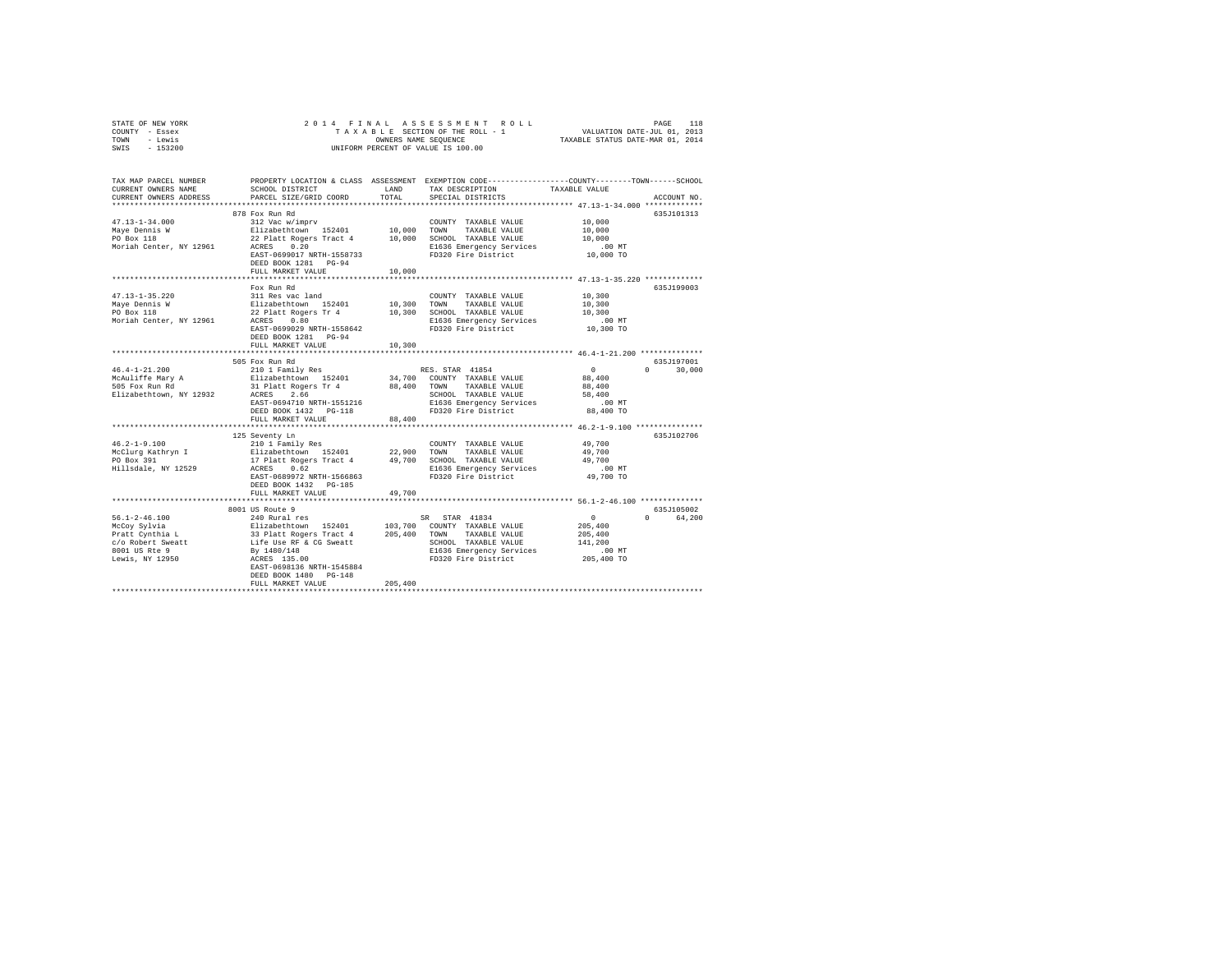| STATE OF NEW YORK | 2014 FINAL ASSESSMENT ROLL         | 118<br>PAGE                      |
|-------------------|------------------------------------|----------------------------------|
| COUNTY - Essex    | TAXABLE SECTION OF THE ROLL - 1    | VALUATION DATE-JUL 01, 2013      |
| TOWN<br>- Lewis   | OWNERS NAME SEOUENCE               | TAXABLE STATUS DATE-MAR 01, 2014 |
| $-153200$<br>SWIS | UNIFORM PERCENT OF VALUE IS 100.00 |                                  |

| TAX MAP PARCEL NUMBER<br>CURRENT OWNERS NAME<br>CURRENT OWNERS ADDRESS | SCHOOL DISTRICT<br>PARCEL SIZE/GRID COORD                                                                                                               | LAND<br>TOTAL | PROPERTY LOCATION & CLASS ASSESSMENT EXEMPTION CODE---------------COUNTY-------TOWN-----SCHOOL<br>TAX DESCRIPTION<br>SPECIAL DISTRICTS | TAXABLE VALUE      | ACCOUNT NO.        |
|------------------------------------------------------------------------|---------------------------------------------------------------------------------------------------------------------------------------------------------|---------------|----------------------------------------------------------------------------------------------------------------------------------------|--------------------|--------------------|
| *************************                                              |                                                                                                                                                         |               |                                                                                                                                        |                    |                    |
|                                                                        | 878 Fox Run Rd                                                                                                                                          |               |                                                                                                                                        |                    | 635J101313         |
| $47.13 - 1 - 34.000$                                                   | 312 Vac w/imprv                                                                                                                                         |               | COUNTY TAXABLE VALUE                                                                                                                   | 10,000             |                    |
| Maye Dennis W                                                          | Elizabethtown 152401                                                                                                                                    | 10,000 TOWN   | TAXABLE VALUE                                                                                                                          | 10,000             |                    |
| PO Box 118                                                             | 22 Platt Rogers Tract 4 10,000                                                                                                                          |               | SCHOOL TAXABLE VALUE                                                                                                                   | 10,000             |                    |
| Moriah Center, NY 12961                                                | ACRES 0.20                                                                                                                                              |               | E1636 Emergency Services                                                                                                               | $.00$ MT           |                    |
|                                                                        | EAST-0699017 NRTH-1558733                                                                                                                               |               | FD320 Fire District                                                                                                                    | 10,000 TO          |                    |
|                                                                        | DEED BOOK 1281 PG-94<br>FULL MARKET VALUE                                                                                                               | 10,000        |                                                                                                                                        |                    |                    |
|                                                                        |                                                                                                                                                         |               |                                                                                                                                        |                    |                    |
|                                                                        | Fox Run Rd                                                                                                                                              |               |                                                                                                                                        |                    | 635J199003         |
| $47.13 - 1 - 35.220$                                                   | 311 Res vac land                                                                                                                                        |               | COUNTY TAXABLE VALUE                                                                                                                   | 10,300             |                    |
| Maye Dennis W                                                          | Elizabethtown 152401                                                                                                                                    | 10,300 TOWN   | TAXABLE VALUE                                                                                                                          | 10,300             |                    |
| PO Box 118                                                             | 22 Platt Rogers Tr 4                                                                                                                                    | 10,300        | SCHOOL TAXABLE VALUE                                                                                                                   | 10,300             |                    |
| Moriah Center, NY 12961                                                | 0.80<br>ACRES                                                                                                                                           |               | E1636 Emergency Services<br>FD320 Fire District                                                                                        | .00 MT             |                    |
|                                                                        | EAST-0699029 NRTH-1558642                                                                                                                               |               |                                                                                                                                        | 10,300 TO          |                    |
|                                                                        | DEED BOOK 1281 PG-94                                                                                                                                    |               |                                                                                                                                        |                    |                    |
|                                                                        | FULL MARKET VALUE<br>***************************                                                                                                        | 10,300        |                                                                                                                                        |                    |                    |
|                                                                        | 505 Fox Run Rd                                                                                                                                          |               |                                                                                                                                        |                    | 635J197001         |
| $46.4 - 1 - 21.200$                                                    | 210 1 Family Res                                                                                                                                        |               | RES. STAR 41854                                                                                                                        | $\sim$ 0           | $\Omega$<br>30,000 |
| McAuliffe Mary A                                                       | Elizabethtown 152401                                                                                                                                    |               | 34,700 COUNTY TAXABLE VALUE                                                                                                            | 88,400             |                    |
| 505 Fox Run Rd                                                         | 31 Platt Rogers Tr 4                                                                                                                                    |               | 88,400 TOWN TAXABLE VALUE                                                                                                              | 88,400             |                    |
| Elizabethtown, NY 12932                                                | ACRES 2.66                                                                                                                                              |               | SCHOOL TAXABLE VALUE                                                                                                                   | 58,400             |                    |
|                                                                        | EAST-0694710 NRTH-1551216                                                                                                                               |               | E1636 Emergency Services                                                                                                               | $.00$ MT           |                    |
|                                                                        | DEED BOOK 1432   PG-118                                                                                                                                 |               | FD320 Fire District                                                                                                                    | 88,400 TO          |                    |
|                                                                        | FULL MARKET VALUE                                                                                                                                       | 88,400        |                                                                                                                                        |                    |                    |
|                                                                        |                                                                                                                                                         |               |                                                                                                                                        |                    |                    |
| $46.2 - 1 - 9.100$                                                     | 125 Seventy Ln<br>210 1 Family Res                                                                                                                      |               | COUNTY TAXABLE VALUE                                                                                                                   | 49,700             | 635J102706         |
| McClurg Kathryn I                                                      |                                                                                                                                                         | 22,900        | TOWN<br>TAXABLE VALUE                                                                                                                  | 49,700             |                    |
| PO Box 391                                                             | Elizabethtown 152401<br>17 Platt Rogers Tract 4                                                                                                         | 49,700        | SCHOOL TAXABLE VALUE                                                                                                                   | 49,700             |                    |
| Hillsdale, NY 12529                                                    | ACRES<br>0.62                                                                                                                                           |               | E1636 Emergency Services                                                                                                               | $.00$ MT           |                    |
|                                                                        | EAST-0689972 NRTH-1566863                                                                                                                               |               | FD320 Fire District                                                                                                                    | 49,700 TO          |                    |
|                                                                        | DEED BOOK 1432 PG-185                                                                                                                                   |               |                                                                                                                                        |                    |                    |
|                                                                        | FULL MARKET VALUE                                                                                                                                       | 49,700        |                                                                                                                                        |                    |                    |
|                                                                        |                                                                                                                                                         |               |                                                                                                                                        |                    |                    |
|                                                                        | 8001 US Route 9                                                                                                                                         |               |                                                                                                                                        |                    | 635J105002         |
| $56.1 - 2 - 46.100$                                                    | 240 Rural res                                                                                                                                           |               | SR STAR 41834                                                                                                                          | $\sim$ 0           | $\Omega$<br>64,200 |
| McCoy Sylvia                                                           |                                                                                                                                                         |               |                                                                                                                                        | 205,400            |                    |
| Pratt Cynthia L<br>c/o Robert Sweatt                                   | Elizabethrown 152401 103,700 COUNTY TAXABLE VALUE<br>33 Platt Rogers Tract 4 205,400 TOWN TAXABLE VALUE<br>Life Use RF & CG Sweatt 5CHOOL TAXABLE VALUE |               | SCHOOL TAXABLE VALUE                                                                                                                   | 205,400<br>141,200 |                    |
| 8001 US Rte 9                                                          | By 1480/148                                                                                                                                             |               | E1636 Emergency Services                                                                                                               | $.00$ MT           |                    |
| Lewis, NY 12950                                                        | ACRES 135.00                                                                                                                                            |               | FD320 Fire District                                                                                                                    | 205,400 TO         |                    |
|                                                                        | EAST-0698136 NRTH-1545884                                                                                                                               |               |                                                                                                                                        |                    |                    |
|                                                                        | DEED BOOK 1480 PG-148                                                                                                                                   |               |                                                                                                                                        |                    |                    |
|                                                                        | FULL MARKET VALUE                                                                                                                                       | 205,400       |                                                                                                                                        |                    |                    |
|                                                                        |                                                                                                                                                         |               |                                                                                                                                        |                    |                    |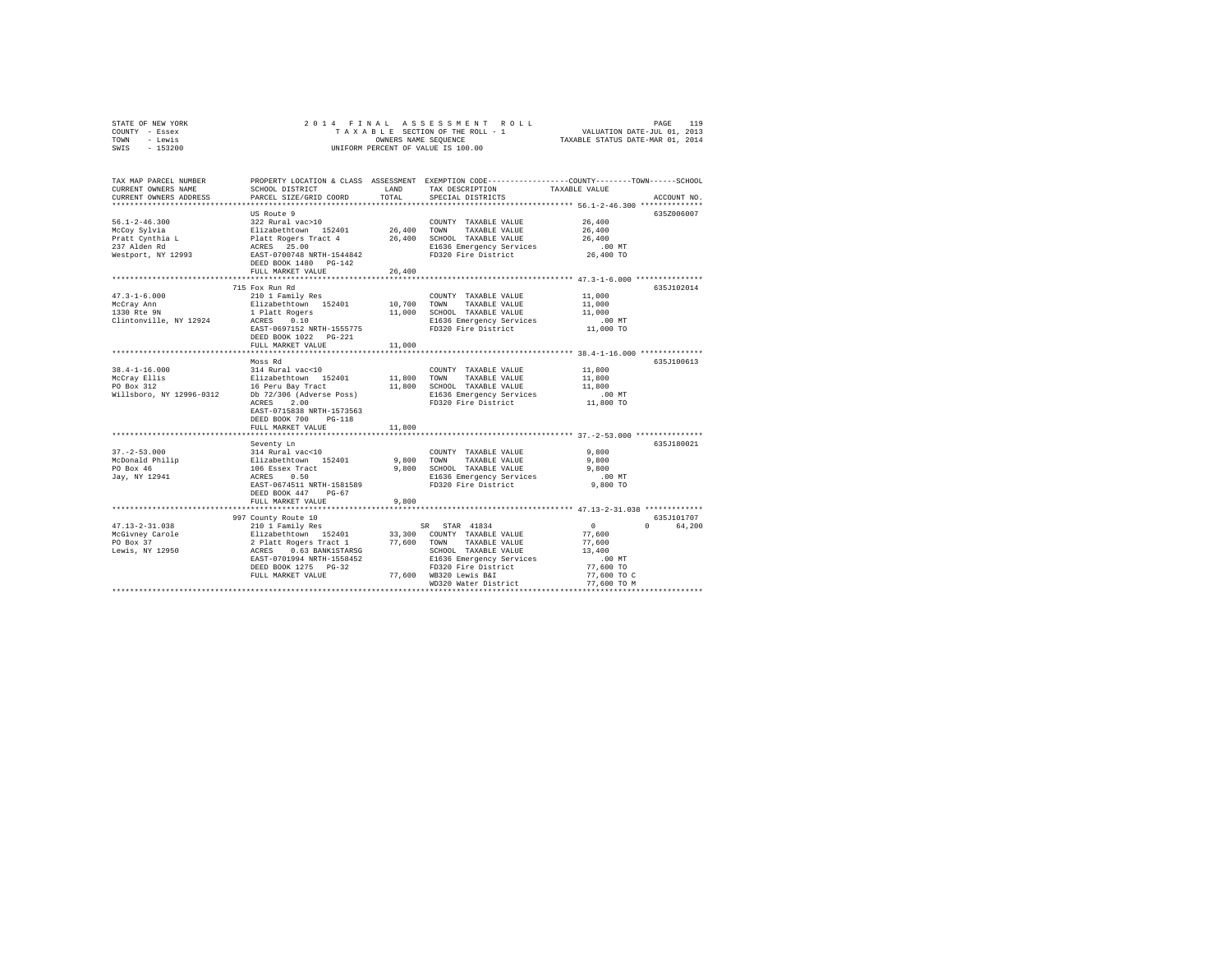|      | STATE OF NEW YORK |  |  |  | 2014 FINAL ASSESSMENT ROLL         |                                  | PAGE                        | 119 |  |
|------|-------------------|--|--|--|------------------------------------|----------------------------------|-----------------------------|-----|--|
|      | COUNTY - Essex    |  |  |  | TAXABLE SECTION OF THE ROLL - 1    |                                  | VALUATION DATE-JUL 01, 2013 |     |  |
| TOWN | - Lewis           |  |  |  | OWNERS NAME SEOUENCE               | TAXABLE STATUS DATE-MAR 01, 2014 |                             |     |  |
|      | SWIS - 153200     |  |  |  | UNIFORM PERCENT OF VALUE IS 100.00 |                                  |                             |     |  |

| TAX MAP PARCEL NUMBER<br>CURRENT OWNERS NAME<br>CURRENT OWNERS ADDRESS | SCHOOL DISTRICT<br>PARCEL SIZE/GRID COORD                                                | LAND<br>TOTAL | TAX DESCRIPTION<br>SPECIAL DISTRICTS                | PROPERTY LOCATION & CLASS ASSESSMENT EXEMPTION CODE-----------------COUNTY-------TOWN------SCHOOL<br>TAXABLE VALUE<br>ACCOUNT NO. |
|------------------------------------------------------------------------|------------------------------------------------------------------------------------------|---------------|-----------------------------------------------------|-----------------------------------------------------------------------------------------------------------------------------------|
|                                                                        |                                                                                          |               |                                                     |                                                                                                                                   |
|                                                                        | US Route 9                                                                               |               |                                                     | 6352006007                                                                                                                        |
| $56.1 - 2 - 46.300$                                                    | 322 Rural vac>10                                                                         |               | COUNTY TAXABLE VALUE                                | 26,400                                                                                                                            |
| McCoy Sylvia                                                           | Elizabethtown 152401                                                                     |               | 26,400 TOWN TAXABLE VALUE                           | 26,400                                                                                                                            |
| Pratt Cynthia L                                                        |                                                                                          |               |                                                     | 26,400                                                                                                                            |
| 237 Alden Rd                                                           | Platt Rogers Tract 4 26,400 SCHOOL TAXABLE VALUE<br>ACRES 25.00 E1636 Emergency Services |               | E1636 Emergency Services                            | .00 MT                                                                                                                            |
| Westport, NY 12993                                                     | EAST-0700748 NRTH-1544842                                                                |               | FD320 Fire District                                 | 26,400 TO                                                                                                                         |
|                                                                        | DEED BOOK 1480    PG-142                                                                 |               |                                                     |                                                                                                                                   |
|                                                                        | FULL MARKET VALUE                                                                        | 26,400        |                                                     |                                                                                                                                   |
|                                                                        |                                                                                          |               |                                                     |                                                                                                                                   |
|                                                                        | 715 Fox Run Rd                                                                           |               |                                                     | 635J102014                                                                                                                        |
| $47.3 - 1 - 6.000$                                                     | 210 1 Family Res                                                                         |               | COUNTY TAXABLE VALUE                                | 11,000                                                                                                                            |
| McCray Ann<br>1330 Rte 9N                                              | Elizabethtown 152401                                                                     | 10,700 TOWN   | TAXABLE VALUE                                       | 11,000                                                                                                                            |
|                                                                        | 1 Platt Rogers                                                                           | 11,000        | SCHOOL TAXABLE VALUE                                | 11,000                                                                                                                            |
| Clintonville, NY 12924                                                 | ACRES 0.10                                                                               |               | E1636 Emergency Services<br>FD320 Fire District     | $.00$ MT                                                                                                                          |
|                                                                        | EAST-0697152 NRTH-1555775<br>DEED BOOK 1022 PG-221                                       |               |                                                     | 11,000 TO                                                                                                                         |
|                                                                        | FULL MARKET VALUE                                                                        | 11,000        |                                                     |                                                                                                                                   |
|                                                                        | *********************                                                                    |               |                                                     | ************** 38.4-1-16.000 *************                                                                                        |
|                                                                        | Moss Rd                                                                                  |               |                                                     | 635J100613                                                                                                                        |
| $38.4 - 1 - 16.000$                                                    | 314 Rural vac<10                                                                         |               | COUNTY TAXABLE VALUE                                | 11,800                                                                                                                            |
| McCray Ellis                                                           |                                                                                          |               | 11,800 TOWN TAXABLE VALUE                           | 11,800                                                                                                                            |
| PO Box 312                                                             | Elizabethtown 152401<br>16 Peru Bay Tract                                                |               | 11,800 SCHOOL TAXABLE VALUE                         | 11,800                                                                                                                            |
| Willsboro, NY 12996-0312 Db 72/306 (Adverse Poss)                      |                                                                                          |               | E1636 Emergency Services                            | $.00$ MT                                                                                                                          |
|                                                                        | 2.00<br>ACRES                                                                            |               | FD320 Fire District                                 | 11,800 TO                                                                                                                         |
|                                                                        | EAST-0715838 NRTH-1573563                                                                |               |                                                     |                                                                                                                                   |
|                                                                        | DEED BOOK 700<br>$PG-118$                                                                |               |                                                     |                                                                                                                                   |
|                                                                        | FULL MARKET VALUE                                                                        | 11,800        |                                                     |                                                                                                                                   |
|                                                                        |                                                                                          |               |                                                     |                                                                                                                                   |
|                                                                        | Seventy Ln                                                                               |               |                                                     | 635J180021                                                                                                                        |
| $37. - 2 - 53.000$<br>McDonald Philip                                  |                                                                                          |               | COUNTY TAXABLE VALUE<br>9,800 TOWN<br>TAXABLE VALUE | 9,800<br>9,800                                                                                                                    |
| PO Box 46                                                              |                                                                                          |               | 9,800 SCHOOL TAXABLE VALUE                          | 9,800                                                                                                                             |
| Jay, NY 12941                                                          | 314 Rural vac<10<br>Elizabethtown 152401<br>106 Essex Tract<br>ACRES 0.50                |               |                                                     | .00 MT                                                                                                                            |
|                                                                        | EAST-0674511 NRTH-1581589                                                                |               | E1636 Emergency Services<br>FD320 Fire District     | 9,800 TO                                                                                                                          |
|                                                                        | DEED BOOK 447<br>$PG-67$                                                                 |               |                                                     |                                                                                                                                   |
|                                                                        | FULL MARKET VALUE                                                                        | 9,800         |                                                     |                                                                                                                                   |
|                                                                        | ***************************                                                              |               |                                                     | ******************** 47.13-2-31.038 *************                                                                                 |
|                                                                        | 997 County Route 10                                                                      |               |                                                     | 635J101707                                                                                                                        |
| $47.13 - 2 - 31.038$                                                   | 210 1 Family Res                                                                         |               | SR STAR 41834                                       | $\sim$ 0<br>$0 \qquad \qquad$<br>64,200                                                                                           |
| McGivney Carole                                                        |                                                                                          |               | 33,300 COUNTY TAXABLE VALUE                         | 77.600                                                                                                                            |
| PO Box 37                                                              | Elizabethtown 152401<br>2 Platt Rogers Tract 1<br>ACRES 0.63 BANK1STARSG                 |               | 77,600 TOWN<br>TAXABLE VALUE                        | 77,600                                                                                                                            |
| Lewis, NY 12950                                                        |                                                                                          |               | SCHOOL TAXABLE VALUE                                | 13,400                                                                                                                            |
|                                                                        | EAST-0701994 NRTH-1558452                                                                |               | E1636 Emergency Services                            | $.00$ MT                                                                                                                          |
|                                                                        | DEED BOOK 1275 PG-32                                                                     |               | FD320 Fire District                                 | 77,600 TO                                                                                                                         |
|                                                                        | FULL MARKET VALUE                                                                        |               | 77,600 WB320 Lewis B&I                              | 77,600 TO C                                                                                                                       |
|                                                                        | **********************************                                                       |               | WD320 Water District                                | 77.600 TO M                                                                                                                       |
|                                                                        |                                                                                          |               |                                                     |                                                                                                                                   |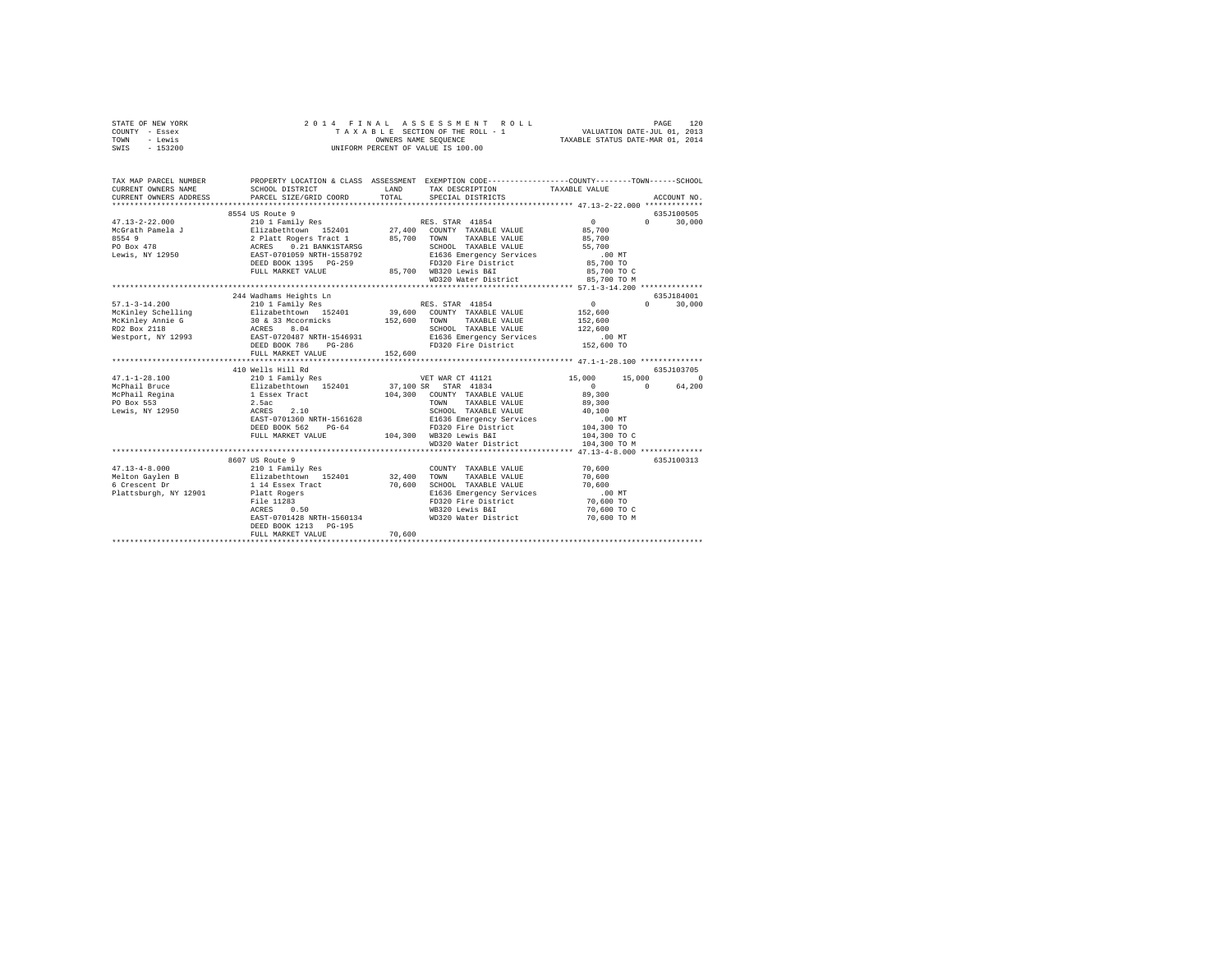|                                                                  |                                           |                                                           |                                                                                                                                                                           | PAGE<br>120                                                                                                                                                                                                                                                                                                                                                                                                                                                                                                                                                                                                                                                                                                                                                                                                                                                                                                                                                                                                                                                                                                                                                                                                                                                                                                                                                                                                                                                                                                                                                                                                                                                                                                                                                                                                                    |
|------------------------------------------------------------------|-------------------------------------------|-----------------------------------------------------------|---------------------------------------------------------------------------------------------------------------------------------------------------------------------------|--------------------------------------------------------------------------------------------------------------------------------------------------------------------------------------------------------------------------------------------------------------------------------------------------------------------------------------------------------------------------------------------------------------------------------------------------------------------------------------------------------------------------------------------------------------------------------------------------------------------------------------------------------------------------------------------------------------------------------------------------------------------------------------------------------------------------------------------------------------------------------------------------------------------------------------------------------------------------------------------------------------------------------------------------------------------------------------------------------------------------------------------------------------------------------------------------------------------------------------------------------------------------------------------------------------------------------------------------------------------------------------------------------------------------------------------------------------------------------------------------------------------------------------------------------------------------------------------------------------------------------------------------------------------------------------------------------------------------------------------------------------------------------------------------------------------------------|
|                                                                  |                                           | TAX DESCRIPTION                                           |                                                                                                                                                                           | ACCOUNT NO.                                                                                                                                                                                                                                                                                                                                                                                                                                                                                                                                                                                                                                                                                                                                                                                                                                                                                                                                                                                                                                                                                                                                                                                                                                                                                                                                                                                                                                                                                                                                                                                                                                                                                                                                                                                                                    |
|                                                                  |                                           |                                                           |                                                                                                                                                                           |                                                                                                                                                                                                                                                                                                                                                                                                                                                                                                                                                                                                                                                                                                                                                                                                                                                                                                                                                                                                                                                                                                                                                                                                                                                                                                                                                                                                                                                                                                                                                                                                                                                                                                                                                                                                                                |
| 8554 US Route 9                                                  |                                           |                                                           |                                                                                                                                                                           | 635J100505                                                                                                                                                                                                                                                                                                                                                                                                                                                                                                                                                                                                                                                                                                                                                                                                                                                                                                                                                                                                                                                                                                                                                                                                                                                                                                                                                                                                                                                                                                                                                                                                                                                                                                                                                                                                                     |
| FULL MARKET VALUE                                                |                                           |                                                           | $.00$ MT<br>85,700 TO<br>85,700 TO C                                                                                                                                      | $0 \t 30,000$                                                                                                                                                                                                                                                                                                                                                                                                                                                                                                                                                                                                                                                                                                                                                                                                                                                                                                                                                                                                                                                                                                                                                                                                                                                                                                                                                                                                                                                                                                                                                                                                                                                                                                                                                                                                                  |
|                                                                  |                                           |                                                           |                                                                                                                                                                           |                                                                                                                                                                                                                                                                                                                                                                                                                                                                                                                                                                                                                                                                                                                                                                                                                                                                                                                                                                                                                                                                                                                                                                                                                                                                                                                                                                                                                                                                                                                                                                                                                                                                                                                                                                                                                                |
| 244 Wadhams Heights Ln<br>FULL MARKET VALUE<br>410 Wells Hill Rd |                                           |                                                           | $\begin{array}{c}0\\152,600\end{array}$<br>152,600<br>122,600<br>$.00$ MT<br>152,600 TO<br>40,100<br>.00 MT<br>104,300 TO<br>104,300 TO C                                 | 635J184001<br>$0 \t 30.000$<br>635J103705<br>15,000 0<br>64,200                                                                                                                                                                                                                                                                                                                                                                                                                                                                                                                                                                                                                                                                                                                                                                                                                                                                                                                                                                                                                                                                                                                                                                                                                                                                                                                                                                                                                                                                                                                                                                                                                                                                                                                                                                |
|                                                                  |                                           | WD320 Water District                                      | 104,300 TO M                                                                                                                                                              |                                                                                                                                                                                                                                                                                                                                                                                                                                                                                                                                                                                                                                                                                                                                                                                                                                                                                                                                                                                                                                                                                                                                                                                                                                                                                                                                                                                                                                                                                                                                                                                                                                                                                                                                                                                                                                |
|                                                                  |                                           |                                                           |                                                                                                                                                                           | 635J100313                                                                                                                                                                                                                                                                                                                                                                                                                                                                                                                                                                                                                                                                                                                                                                                                                                                                                                                                                                                                                                                                                                                                                                                                                                                                                                                                                                                                                                                                                                                                                                                                                                                                                                                                                                                                                     |
| DEED BOOK 1213 PG-195<br>FULL MARKET VALUE                       | 70,600                                    | TAXABLE VALUE                                             | 70,600<br>70,600 TO<br>70,600 TO C<br>70,600 TO M                                                                                                                         |                                                                                                                                                                                                                                                                                                                                                                                                                                                                                                                                                                                                                                                                                                                                                                                                                                                                                                                                                                                                                                                                                                                                                                                                                                                                                                                                                                                                                                                                                                                                                                                                                                                                                                                                                                                                                                |
|                                                                  | CURRENT OWNERS ADDRESS<br>8607 US Route 9 | SCHOOL DISTRICT LAND<br>PARCEL SIZE/GRID COORD<br>152,600 | 2014 FINAL ASSESSMENT F<br>TAXABLE SECTION OF THE ROLL - 1<br>DWIERS NAME SEQUENCE<br>UNIFORM PERCENT OF VALUE IS 100.00<br>ASSESSMENT ROLL<br>TOTAL<br>SPECIAL DISTRICTS | TAXABLE SECTION OF THE ROLL - 1 VALUATION DATE-JUL 01, 2013<br>OWNERS NAME SEQUENCE TAXABLE STATUS DATE-MAR 01, 2014<br>TAX MAP PARCEL NUMBER PROPERTY LOCATION & CLASS ASSESSMENT EXEMPTION CODE--------------COUNTY-------TOWN-----SCHOOL<br>TAXABLE VALUE<br>$\begin{tabular}{l c c c c c} \multicolumn{3}{c c c} \multicolumn{3}{c c c} \multicolumn{3}{c c c} \multicolumn{3}{c c} \multicolumn{3}{c c} \multicolumn{3}{c c} \multicolumn{3}{c} \multicolumn{3}{c} \multicolumn{3}{c} \multicolumn{3}{c} \multicolumn{3}{c} \multicolumn{3}{c} \multicolumn{3}{c} \multicolumn{3}{c} \multicolumn{3}{c} \multicolumn{3}{c} \multicolumn{3}{c} \multicolumn{3}{c} \multicolumn{3}{c} \multicolumn{3}{c} \multicolumn$<br>G-259 FD320 Fire District<br>85,700 WB320 Lewis B&I<br>85,700 TO M<br>WD320 Water District<br>$\begin{tabular}{l c c c c c} \hline \multicolumn{3}{c}{\textbf{210 1 Faml1y Res}} & \multicolumn{3}{c}{\textbf{15,000}} & \multicolumn{3}{c}{\textbf{210 1 Faml1y Res}} & \multicolumn{3}{c}{\textbf{15,000}} & \multicolumn{3}{c}{\textbf{210 1 Faml1y Res}} & \multicolumn{3}{c}{\textbf{15,000}} & \multicolumn{3}{c}{\textbf{15,000}} & \multicolumn{3}{c}{\textbf{15,000}} & \multicolumn{3}{c}{\textbf{15,000$<br>$\sim$ 0<br>DEED BOOK 562 PG-64 PD320 Fire District<br>FULL MARKET VALUE 104,300 WB320 Lewis B&I<br>********************************** 47.13-4-8.000 **************<br>COUNTY TAXABLE VALUE 70,600<br>70,600 SCHOOL TAXABLE VALUE 70,600<br>E1636 Emergency Services .00 MT<br>6 Crescent Dr<br>Plattsburgh, NY 12901<br>Plattsburgh, NY 12901<br>Plattsburgh, NY 12901<br>Plattsburgh, NY 12901<br>Plattsburgh 2530 0.50<br>RAST-0701428 NRTH-1560134<br>RAST-0701428 NRTH-1560134<br>PLATT-1560134<br>PLATT-1560134<br>ND320 W<br>FD320 Fire District<br>WB320 Lewis B&I |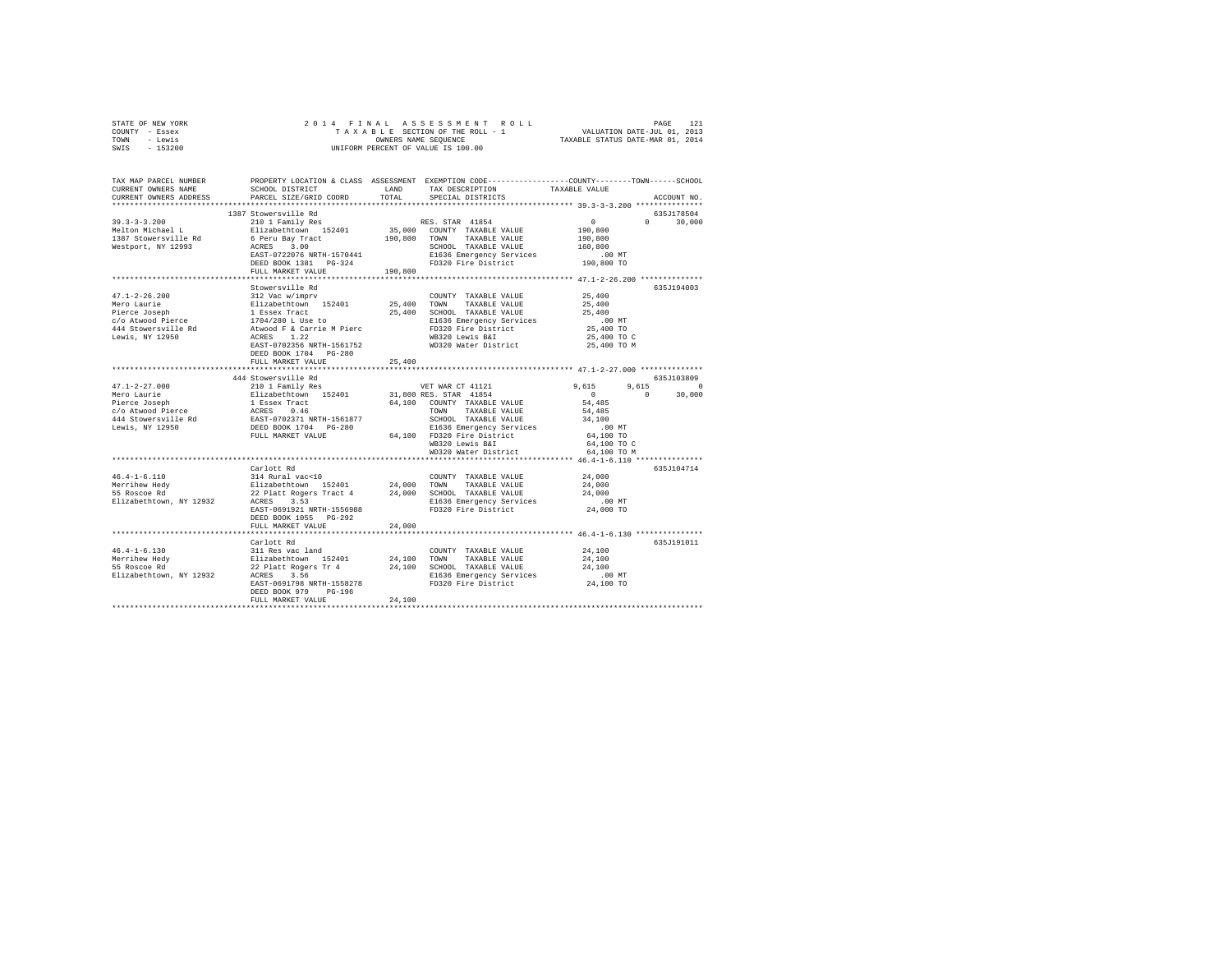| STATE OF NEW YORK<br>COUNTY - Essex               |                                                                                                                                                                                                                            |        |                                                                 |                                                      |               |
|---------------------------------------------------|----------------------------------------------------------------------------------------------------------------------------------------------------------------------------------------------------------------------------|--------|-----------------------------------------------------------------|------------------------------------------------------|---------------|
| TOWN - Lewis                                      |                                                                                                                                                                                                                            |        |                                                                 |                                                      |               |
| SWIS - 153200                                     |                                                                                                                                                                                                                            |        |                                                                 |                                                      |               |
|                                                   |                                                                                                                                                                                                                            |        |                                                                 |                                                      |               |
|                                                   |                                                                                                                                                                                                                            |        |                                                                 |                                                      |               |
| TAX MAP PARCEL NUMBER                             | PROPERTY LOCATION & CLASS ASSESSMENT EXEMPTION CODE----------------COUNTY--------TOWN-----SCHOOL                                                                                                                           |        |                                                                 |                                                      |               |
| CURRENT OWNERS NAME                               | SCHOOL DISTRICT<br>LAND TAX DESCRIPTION                                                                                                                                                                                    |        |                                                                 | TAXABLE VALUE                                        |               |
| CURRENT OWNERS ADDRESS                            | PARCEL SIZE/GRID COORD                                                                                                                                                                                                     | TOTAL  | SPECIAL DISTRICTS                                               |                                                      | ACCOUNT NO.   |
|                                                   | 1387 Stowersville Rd                                                                                                                                                                                                       |        |                                                                 |                                                      | 635J178504    |
|                                                   |                                                                                                                                                                                                                            |        |                                                                 | $\sim$ 0                                             | $0 \t 30,000$ |
|                                                   |                                                                                                                                                                                                                            |        |                                                                 | 190,800                                              |               |
|                                                   |                                                                                                                                                                                                                            |        |                                                                 | 190,800                                              |               |
|                                                   |                                                                                                                                                                                                                            |        |                                                                 | 160,800                                              |               |
|                                                   | 0 PEL BAY INNOVIDE SCHOOL TAXABLE VALUE<br>ACRES 3.00<br>EAST-0722076 NRTH-1570441 B1636 Emergency Services<br>PERS RONAL DG-324 PD320 Fire District                                                                       |        |                                                                 | .00MT                                                |               |
|                                                   |                                                                                                                                                                                                                            |        |                                                                 | 190,800 TO                                           |               |
|                                                   | FULL MARKET VALUE 190.800                                                                                                                                                                                                  |        |                                                                 |                                                      |               |
|                                                   |                                                                                                                                                                                                                            |        |                                                                 |                                                      |               |
|                                                   | Stowersville Rd                                                                                                                                                                                                            |        |                                                                 |                                                      | 635J194003    |
| $47.1 - 2 - 26.200$                               | 312 Vac w/imprv                                                                                                                                                                                                            |        | COUNTY TAXABLE VALUE                                            | 25,400<br>25,400                                     |               |
|                                                   |                                                                                                                                                                                                                            |        | 25,400 SCHOOL TAXABLE VALUE                                     | 25,400                                               |               |
|                                                   |                                                                                                                                                                                                                            |        |                                                                 | $.00$ MT                                             |               |
|                                                   |                                                                                                                                                                                                                            |        |                                                                 | 25,400 TO                                            |               |
|                                                   |                                                                                                                                                                                                                            |        |                                                                 | 25,400 TO C                                          |               |
|                                                   |                                                                                                                                                                                                                            |        |                                                                 | 25,400 TO M                                          |               |
|                                                   | DEED BOOK 1704 PG-280                                                                                                                                                                                                      |        |                                                                 |                                                      |               |
|                                                   | FULL MARKET VALUE                                                                                                                                                                                                          | 25,400 |                                                                 |                                                      |               |
|                                                   |                                                                                                                                                                                                                            |        | ********************************** 47.1-2-27.000 ************** |                                                      |               |
|                                                   | 444 Stowersville Rd                                                                                                                                                                                                        |        |                                                                 |                                                      | 635J103809    |
| $47.1 - 2 - 27.000$                               | 210 1 Family Res                                                                                                                                                                                                           |        | VET WAR CT 41121                                                | $9,615$ $9,615$ 0<br>0 0 30,000                      |               |
| Mero Laurie                                       |                                                                                                                                                                                                                            |        |                                                                 |                                                      |               |
| Mero Laurie<br>Pierce Joseph<br>c/o Atwood Pierce |                                                                                                                                                                                                                            |        |                                                                 | 54,485                                               |               |
|                                                   |                                                                                                                                                                                                                            |        |                                                                 | 54,485                                               |               |
| 444 Stowersville Rd<br>Lewis, NY 12950            |                                                                                                                                                                                                                            |        |                                                                 | 34,100                                               |               |
|                                                   |                                                                                                                                                                                                                            |        |                                                                 | $.00$ MT<br>64,100 TO                                |               |
|                                                   |                                                                                                                                                                                                                            |        |                                                                 | 64,100 TO C                                          |               |
|                                                   |                                                                                                                                                                                                                            |        |                                                                 | 64,100 TO M                                          |               |
|                                                   |                                                                                                                                                                                                                            |        |                                                                 |                                                      |               |
|                                                   | Carlott Rd                                                                                                                                                                                                                 |        |                                                                 |                                                      | 635J104714    |
|                                                   |                                                                                                                                                                                                                            |        | COUNTY TAXABLE VALUE 24,000                                     |                                                      |               |
|                                                   |                                                                                                                                                                                                                            |        |                                                                 | 24,000                                               |               |
|                                                   |                                                                                                                                                                                                                            |        |                                                                 | 24,000                                               |               |
|                                                   |                                                                                                                                                                                                                            |        |                                                                 | $.00$ MT                                             |               |
|                                                   | EAST-0691921 NRTH-1556988                                                                                                                                                                                                  |        | FD320 Fire District                                             | 24,000 TO                                            |               |
|                                                   | DEED BOOK 1055 PG-292                                                                                                                                                                                                      |        |                                                                 |                                                      |               |
|                                                   | FULL MARKET VALUE<br>**************************                                                                                                                                                                            | 24,000 |                                                                 |                                                      |               |
|                                                   | Carlott Rd                                                                                                                                                                                                                 |        |                                                                 | *********************** 46.4-1-6.130 *************** | 635J191011    |
| $46.4 - 1 - 6.130$                                | 311 Res vac land                                                                                                                                                                                                           |        | COUNTY TAXABLE VALUE                                            | 24,100                                               |               |
|                                                   |                                                                                                                                                                                                                            |        |                                                                 | 24,100                                               |               |
|                                                   |                                                                                                                                                                                                                            |        |                                                                 | 24,100                                               |               |
|                                                   | Merrihew Hedy Elizabethtown 152401 24,100 TOWN TAXABLE VALUE<br>51 Shostoc Rd 21 22 Platt Rogers Tr 4 24,100 SCHOOL TAXABLE VALUE<br>21 Shostock Rick 21,100 SCHOOL 2010 24,100 SCHOOL PLATE PLATE PLATE PLATE PLATE PLATE |        |                                                                 |                                                      |               |
|                                                   |                                                                                                                                                                                                                            |        |                                                                 |                                                      |               |
|                                                   | DEED BOOK 979 PG-196                                                                                                                                                                                                       |        |                                                                 |                                                      |               |
|                                                   | FULL MARKET VALUE                                                                                                                                                                                                          | 24,100 |                                                                 |                                                      |               |
|                                                   |                                                                                                                                                                                                                            |        |                                                                 |                                                      |               |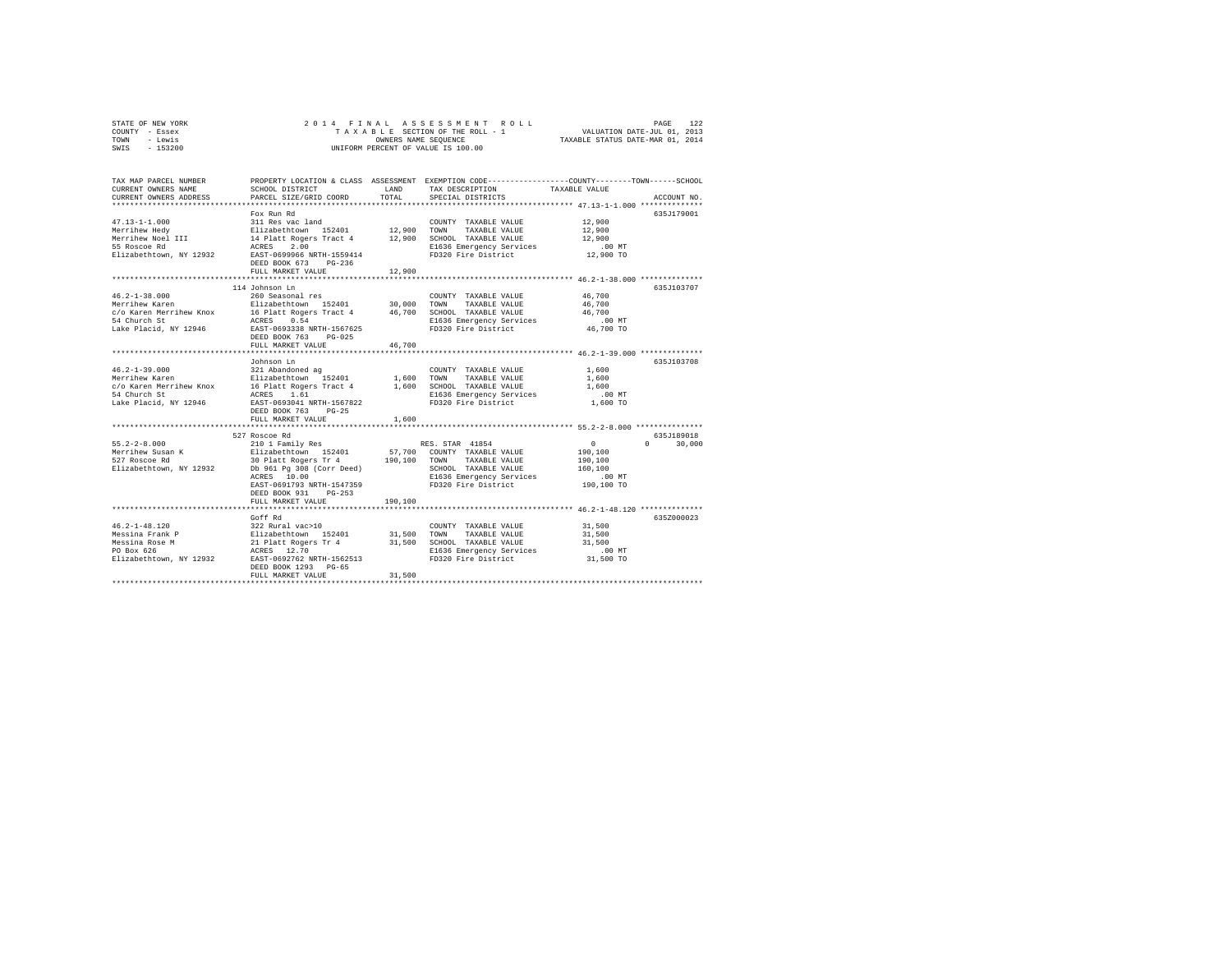| STATE OF NEW YORK | 2014 FINAL ASSESSMENT ROLL         | 122<br>PAGE                      |
|-------------------|------------------------------------|----------------------------------|
| COUNTY - Essex    | TAXABLE SECTION OF THE ROLL - 1    | VALUATION DATE-JUL 01, 2013      |
| TOWN<br>- Lewis   | OWNERS NAME SEOUENCE               | TAXABLE STATUS DATE-MAR 01, 2014 |
| $-153200$<br>SWIS | UNIFORM PERCENT OF VALUE IS 100.00 |                                  |

| TAX MAP PARCEL NUMBER<br>CURRENT OWNERS NAME<br>CURRENT OWNERS ADDRESS | SCHOOL DISTRICT<br>PARCEL SIZE/GRID COORD                                                                                                                                         | LAND<br>TOTAL | PROPERTY LOCATION & CLASS ASSESSMENT EXEMPTION CODE----------------COUNTY-------TOWN-----SCHOOL<br>TAX DESCRIPTION<br>SPECIAL DISTRICTS | TAXABLE VALUE | ACCOUNT NO.   |
|------------------------------------------------------------------------|-----------------------------------------------------------------------------------------------------------------------------------------------------------------------------------|---------------|-----------------------------------------------------------------------------------------------------------------------------------------|---------------|---------------|
|                                                                        |                                                                                                                                                                                   |               |                                                                                                                                         |               |               |
|                                                                        | Fox Run Rd                                                                                                                                                                        |               |                                                                                                                                         |               | 635J179001    |
| $47.13 - 1 - 1.000$                                                    |                                                                                                                                                                                   |               |                                                                                                                                         | 12,900        |               |
| Merrihew Hedy                                                          |                                                                                                                                                                                   |               |                                                                                                                                         | 12,900        |               |
| Merrihew Noel III<br>55 Roscoe Rd                                      |                                                                                                                                                                                   |               |                                                                                                                                         | 12,900        |               |
|                                                                        |                                                                                                                                                                                   |               | E1636 Emergency Services                                                                                                                | .00 MT        |               |
| Elizabethtown, NY 12932                                                | DEED BOOK 673<br>$PG-236$                                                                                                                                                         |               | FD320 Fire District                                                                                                                     | $12,900$ TO   |               |
|                                                                        | FULL MARKET VALUE                                                                                                                                                                 | 12,900        |                                                                                                                                         |               |               |
|                                                                        |                                                                                                                                                                                   |               |                                                                                                                                         |               |               |
|                                                                        | 114 Johnson Ln                                                                                                                                                                    |               |                                                                                                                                         |               | 635J103707    |
| $46.2 - 1 - 38.000$                                                    | 260 Seasonal res                                                                                                                                                                  |               | COUNTY TAXABLE VALUE                                                                                                                    | 46,700        |               |
| Merrihew Karen                                                         | zou seasonai res<br>Elizabethtown 152401 30,000 TOWN                                                                                                                              |               | TAXABLE VALUE                                                                                                                           | 46,700        |               |
|                                                                        |                                                                                                                                                                                   |               |                                                                                                                                         | 46,700        |               |
|                                                                        |                                                                                                                                                                                   |               |                                                                                                                                         | .00 MT        |               |
| Lake Placid, NY 12946                                                  | EAST-0693338 NRTH-1567625                                                                                                                                                         |               | FD320 Fire District                                                                                                                     | 46,700 TO     |               |
|                                                                        | DEED BOOK 763 PG-025                                                                                                                                                              |               |                                                                                                                                         |               |               |
|                                                                        | FULL MARKET VALUE                                                                                                                                                                 | 46,700        |                                                                                                                                         |               |               |
|                                                                        |                                                                                                                                                                                   |               |                                                                                                                                         |               |               |
|                                                                        | Johnson Ln                                                                                                                                                                        |               |                                                                                                                                         |               | 635J103708    |
| $46.2 - 1 - 39.000$                                                    | 321 Abandoned ag<br>Elizabethtown 152401                                                                                                                                          |               | COUNTY TAXABLE VALUE                                                                                                                    | 1,600         |               |
| Merrihew Karen                                                         |                                                                                                                                                                                   | 1,600 TOWN    | TAXABLE VALUE                                                                                                                           | 1,600         |               |
| c/o Karen Merrihew Knox                                                | 16 Platt Rogers Tract 4 1,600                                                                                                                                                     |               | SCHOOL TAXABLE VALUE                                                                                                                    | 1,600         |               |
| 54 Church St                                                           | ACRES 1.61                                                                                                                                                                        |               | E1636 Emergency Services<br>FD320 Fire District                                                                                         | $.00$ MT      |               |
| Lake Placid, NY 12946                                                  | EAST-0693041 NRTH-1567822                                                                                                                                                         |               |                                                                                                                                         | 1,600 TO      |               |
|                                                                        | DEED BOOK 763 PG-25                                                                                                                                                               |               |                                                                                                                                         |               |               |
|                                                                        | FULL MARKET VALUE                                                                                                                                                                 | 1,600         |                                                                                                                                         |               |               |
|                                                                        |                                                                                                                                                                                   |               |                                                                                                                                         |               |               |
|                                                                        | 527 Roscoe Rd                                                                                                                                                                     |               |                                                                                                                                         |               | 635J189018    |
| $55.2 - 2 - 8.000$                                                     | 210 1 Family Res                                                                                                                                                                  |               | RES. STAR 41854                                                                                                                         | $\sim$ 0      | $0 \t 30,000$ |
|                                                                        |                                                                                                                                                                                   |               |                                                                                                                                         | 190,100       |               |
|                                                                        |                                                                                                                                                                                   |               |                                                                                                                                         | 190,100       |               |
| Elizabethtown, NY 12932                                                | Db 961 Pg 308 (Corr Deed)                                                                                                                                                         |               | SCHOOL TAXABLE VALUE                                                                                                                    | 160,100       |               |
|                                                                        | ACRES 10.00<br>EAST-0691793 NRTH-1547359                                                                                                                                          |               | E1636 Emergency Services<br>FD320 Fire District                                                                                         | $.00$ MT      |               |
|                                                                        | DEED BOOK 931 PG-253                                                                                                                                                              |               |                                                                                                                                         | 190,100 TO    |               |
|                                                                        | FULL MARKET VALUE                                                                                                                                                                 | 190,100       |                                                                                                                                         |               |               |
|                                                                        |                                                                                                                                                                                   |               | ********************************* 46.2-1-48.120 *************                                                                           |               |               |
|                                                                        | Goff Rd                                                                                                                                                                           |               |                                                                                                                                         |               | 635Z000023    |
| $46.2 - 1 - 48.120$                                                    |                                                                                                                                                                                   |               | COUNTY TAXABLE VALUE                                                                                                                    | 31,500        |               |
| Messina Frank P                                                        |                                                                                                                                                                                   |               | TAXABLE VALUE                                                                                                                           | 31,500        |               |
| Messina Rose M                                                         |                                                                                                                                                                                   |               | 31,500 SCHOOL TAXABLE VALUE                                                                                                             | 31,500        |               |
| PO Box 626                                                             |                                                                                                                                                                                   |               | E1636 Emergency Services                                                                                                                | $.00$ MT      |               |
| Elizabethtown, NY 12932                                                | 1722 Rural vac>10<br>Elizabethcown 152401 15,500 TOWN<br>Elizabethcown 152401 31,500 SCHOC<br>21 Platt Rogers Tr 4 31,500 SCHOC<br>RARES 12.70<br>ERST-0692762 NRTH-1562513 FD320 |               | FD320 Fire District                                                                                                                     | 31,500 TO     |               |
|                                                                        | DEED BOOK 1293 PG-65                                                                                                                                                              |               |                                                                                                                                         |               |               |
|                                                                        | FULL MARKET VALUE                                                                                                                                                                 | 31,500        |                                                                                                                                         |               |               |
|                                                                        |                                                                                                                                                                                   |               |                                                                                                                                         |               |               |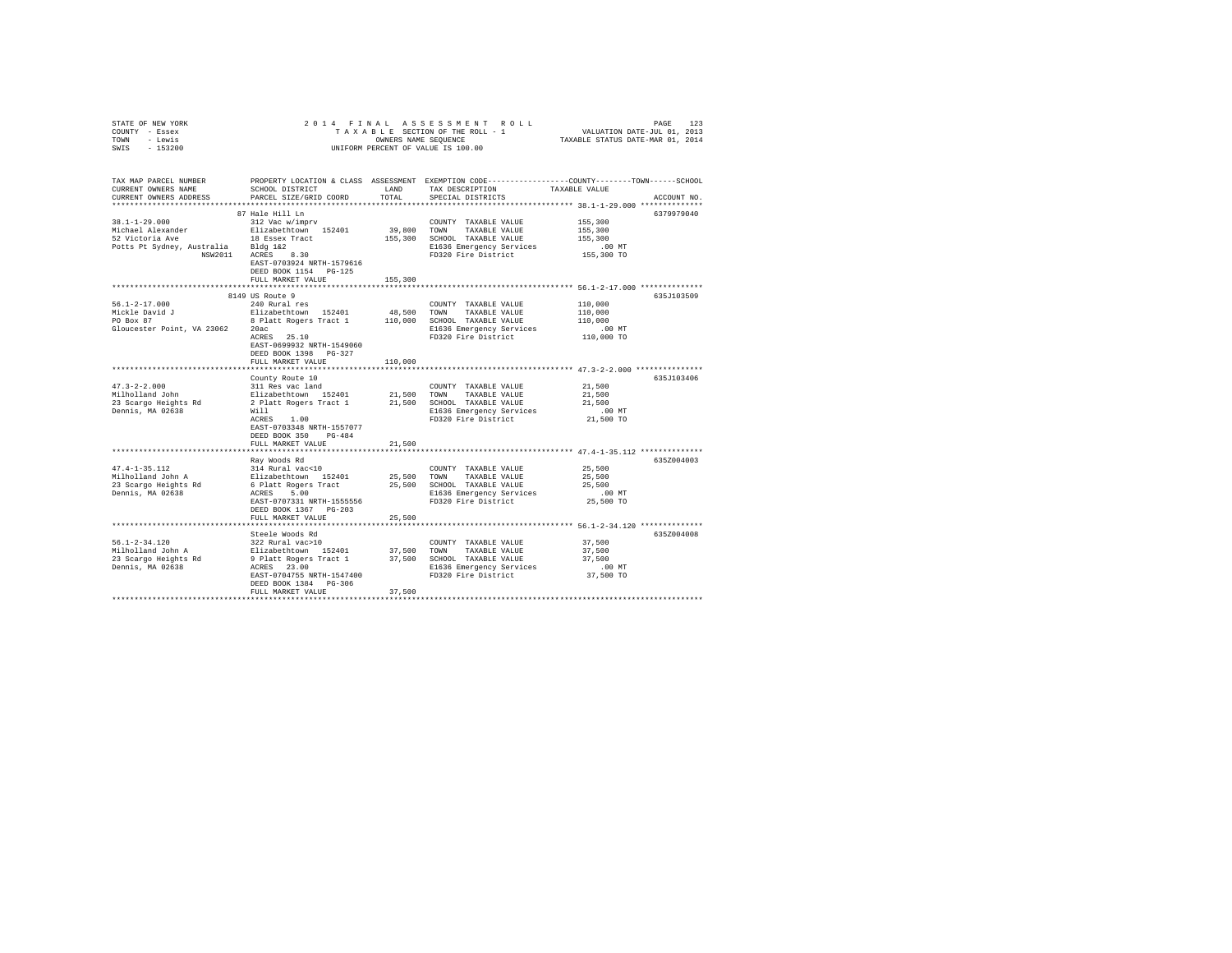| STATE OF NEW YORK                                         | 2014 FINAL                                         |               |                                                           |                                                                                                 |             |
|-----------------------------------------------------------|----------------------------------------------------|---------------|-----------------------------------------------------------|-------------------------------------------------------------------------------------------------|-------------|
| COUNTY - Essex                                            |                                                    |               |                                                           |                                                                                                 |             |
| TOWN - Lewis<br>$-153200$                                 |                                                    |               | OWNERS NAME SEQUENCE                                      |                                                                                                 |             |
| SWIS                                                      |                                                    |               | UNIFORM PERCENT OF VALUE IS 100.00                        |                                                                                                 |             |
|                                                           |                                                    |               |                                                           |                                                                                                 |             |
|                                                           |                                                    |               |                                                           |                                                                                                 |             |
| TAX MAP PARCEL NUMBER                                     |                                                    |               |                                                           | PROPERTY LOCATION & CLASS ASSESSMENT EXEMPTION CODE---------------COUNTY-------TOWN------SCHOOL |             |
| CURRENT OWNERS NAME                                       | SCHOOL DISTRICT                                    | LAND          | TAX DESCRIPTION                                           | TAXABLE VALUE                                                                                   |             |
| CURRENT OWNERS ADDRESS                                    | PARCEL SIZE/GRID COORD                             | TOTAL         | SPECIAL DISTRICTS                                         |                                                                                                 | ACCOUNT NO. |
|                                                           |                                                    |               |                                                           |                                                                                                 |             |
| $38.1 - 1 - 29.000$                                       | 87 Hale Hill Ln<br>312 Vac w/imprv                 |               |                                                           | 6379979040<br>155,300                                                                           |             |
| Michael Alexander                                         | Elizabethtown 152401                               |               | COUNTY TAXABLE VALUE<br>39,800 TOWN TAXABLE VALUE         | 155,300                                                                                         |             |
| 52 Victoria Ave                                           | 18 Essex Tract                                     |               | 155,300 SCHOOL TAXABLE VALUE                              | 155,300                                                                                         |             |
|                                                           |                                                    |               | E1636 Emergency Services                                  | $.00$ MT                                                                                        |             |
| Potts Pt Sydney, Australia Bldg 1&2<br>NSW2011 ACRES 8.30 |                                                    |               | FD320 Fire District                                       | 155,300 TO                                                                                      |             |
|                                                           | EAST-0703924 NRTH-1579616                          |               |                                                           |                                                                                                 |             |
|                                                           | DEED BOOK 1154 PG-125                              |               |                                                           |                                                                                                 |             |
|                                                           | FULL MARKET VALUE                                  | 155,300       |                                                           |                                                                                                 |             |
|                                                           |                                                    |               |                                                           |                                                                                                 |             |
|                                                           | 8149 US Route 9                                    |               |                                                           | 635J103509                                                                                      |             |
| $56.1 - 2 - 17.000$                                       | 240 Rural res                                      |               | COUNTY TAXABLE VALUE                                      | 110,000                                                                                         |             |
| Mickle David J<br>PO Box 87                               | Elizabethtown 152401<br>8 Platt Rogers Tract 1     |               | 48,500 TOWN TAXABLE VALUE<br>110,000 SCHOOL TAXABLE VALUE | 110,000<br>110,000                                                                              |             |
| Gloucester Point, VA 23062 20ac                           |                                                    |               | E1636 Emergency Services                                  | $.00$ MT                                                                                        |             |
|                                                           | ACRES 25.10                                        |               | FD320 Fire District                                       | 110,000 TO                                                                                      |             |
|                                                           | EAST-0699932 NRTH-1549060                          |               |                                                           |                                                                                                 |             |
|                                                           | DEED BOOK 1398 PG-327                              |               |                                                           |                                                                                                 |             |
|                                                           | FULL MARKET VALUE                                  | 110,000       |                                                           |                                                                                                 |             |
|                                                           |                                                    |               |                                                           |                                                                                                 |             |
|                                                           | County Route 10                                    |               |                                                           | 635J103406                                                                                      |             |
| $47.3 - 2 - 2.000$<br>Milholland John                     | 311 Res vac land                                   |               | COUNTY TAXABLE VALUE                                      | 21,500                                                                                          |             |
|                                                           | Elizabethtown 152401                               |               | 21,500 TOWN TAXABLE VALUE                                 | 21,500                                                                                          |             |
| 23 Scargo Heights Rd<br>Dennis, MA 02638                  | 2 Platt Rogers Tract 1<br>Will                     |               | 21,500 SCHOOL TAXABLE VALUE<br>E1636 Emergency Services   | 21,500<br>$.00$ MT                                                                              |             |
|                                                           | ACRES 1.00                                         |               | FD320 Fire District                                       | 21,500 TO                                                                                       |             |
|                                                           | EAST-0703348 NRTH-1557077                          |               |                                                           |                                                                                                 |             |
|                                                           | DEED BOOK 350 PG-484                               |               |                                                           |                                                                                                 |             |
|                                                           | FULL MARKET VALUE                                  | 21,500        |                                                           |                                                                                                 |             |
|                                                           |                                                    | ************* |                                                           | ******************************* 47.4-1-35.112 *************                                     |             |
|                                                           | Rav Woods Rd                                       |               |                                                           | 635Z004003                                                                                      |             |
| $47.4 - 1 - 35.112$                                       | 314 Rural vac<10                                   |               | COUNTY TAXABLE VALUE                                      | 25,500                                                                                          |             |
| Milholland John A                                         | Elizabethtown 152401<br>6 Platt Rogers Tract       | 25,500        | TOWN<br>TAXABLE VALUE                                     | 25,500                                                                                          |             |
| 23 Scargo Heights Rd                                      | ACRES 5.00                                         |               | 25,500 SCHOOL TAXABLE VALUE                               | 25,500                                                                                          |             |
| Dennis, MA 02638                                          | EAST-0707331 NRTH-1555556                          |               | E1636 Emergency Services<br>FD320 Fire District           | $.00$ MT<br>25,500 TO                                                                           |             |
|                                                           | DEED BOOK 1367 PG-203                              |               |                                                           |                                                                                                 |             |
|                                                           | FULL MARKET VALUE                                  | 25,500        |                                                           |                                                                                                 |             |
|                                                           |                                                    |               |                                                           |                                                                                                 |             |
|                                                           | Steele Woods Rd                                    |               |                                                           | 635Z004008                                                                                      |             |
| $56.1 - 2 - 34.120$                                       | 322 Rural vac>10                                   |               | COUNTY TAXABLE VALUE                                      | 37,500                                                                                          |             |
| Milholland John A                                         | Elizabethtown 152401                               |               | 37,500 TOWN TAXABLE VALUE                                 | 37,500                                                                                          |             |
| 23 Scargo Heights Rd<br>Dennis, MA 02638                  | 9 Platt Rogers Tract 1<br>ACRES 23.00              |               | 37,500 SCHOOL TAXABLE VALUE                               | 37,500                                                                                          |             |
|                                                           |                                                    |               | E1636 Emergency Services                                  | $.00$ MT                                                                                        |             |
|                                                           | EAST-0704755 NRTH-1547400<br>DEED BOOK 1384 PG-306 |               | FD320 Fire District                                       | 37,500 TO                                                                                       |             |
|                                                           | FULL MARKET VALUE                                  | 37,500        |                                                           |                                                                                                 |             |
|                                                           |                                                    |               |                                                           |                                                                                                 |             |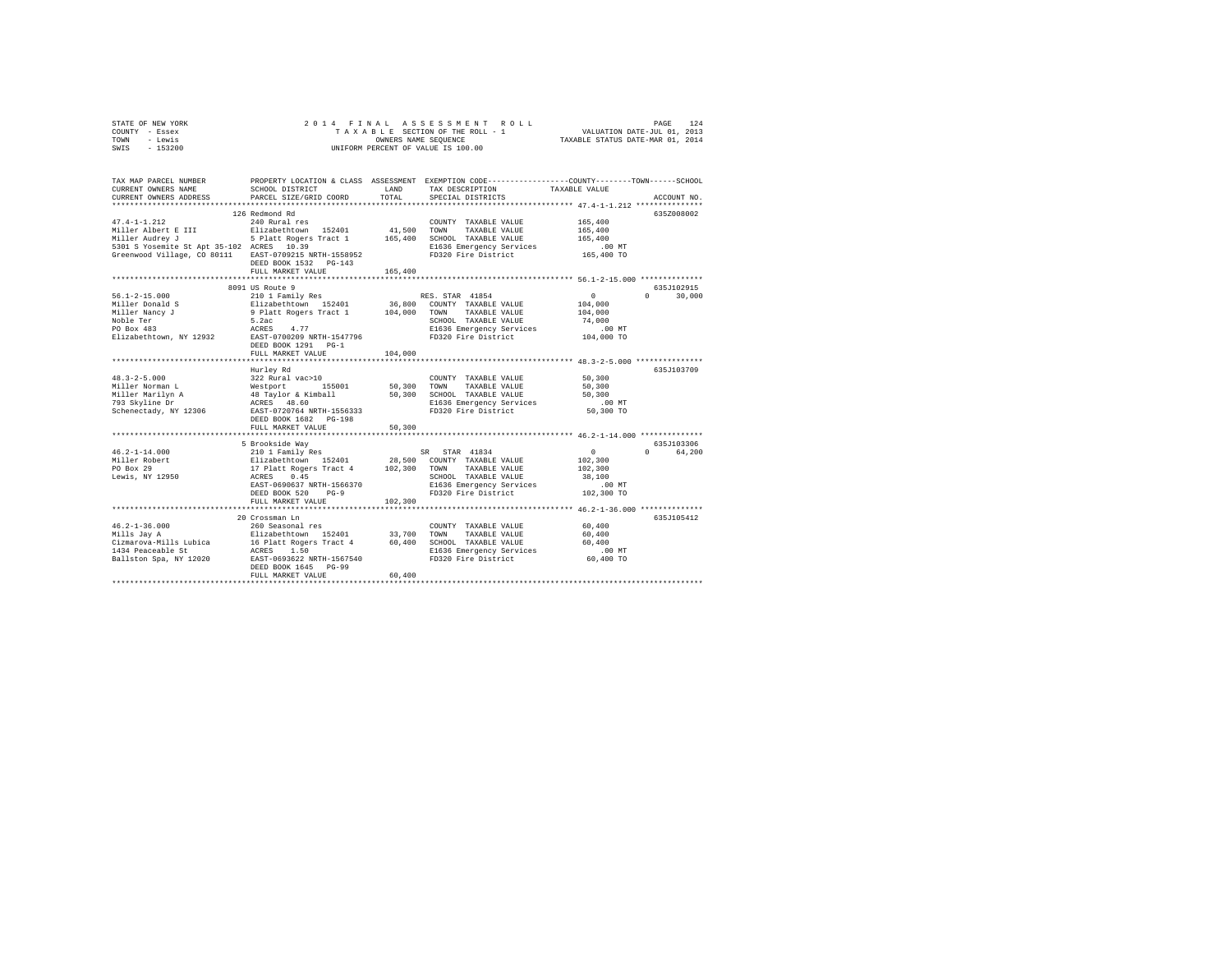|      | STATE OF NEW YORK |  |  | 2014 FINAL ASSESSMENT ROLL         | PAGE                             | 124 |
|------|-------------------|--|--|------------------------------------|----------------------------------|-----|
|      | COUNTY - Essex    |  |  | TAXABLE SECTION OF THE ROLL - 1    | VALUATION DATE-JUL 01, 2013      |     |
| TOWN | - Lewis           |  |  | OWNERS NAME SEOUENCE               | TAXABLE STATUS DATE-MAR 01, 2014 |     |
| SWIS | $-153200$         |  |  | UNIFORM PERCENT OF VALUE IS 100.00 |                                  |     |

| TAX MAP PARCEL NUMBER<br>CURRENT OWNERS NAME<br>CURRENT OWNERS ADDRESS                             | SCHOOL DISTRICT<br>PARCEL SIZE/GRID COORD                                                             | LAND<br>TOTAL | PROPERTY LOCATION & CLASS ASSESSMENT EXEMPTION CODE----------------COUNTY-------TOWN-----SCHOOL<br>TAX DESCRIPTION<br>SPECIAL DISTRICTS | TAXABLE VALUE          | ACCOUNT NO.        |
|----------------------------------------------------------------------------------------------------|-------------------------------------------------------------------------------------------------------|---------------|-----------------------------------------------------------------------------------------------------------------------------------------|------------------------|--------------------|
|                                                                                                    |                                                                                                       |               |                                                                                                                                         |                        |                    |
|                                                                                                    | 126 Redmond Rd                                                                                        |               |                                                                                                                                         |                        | 635Z008002         |
| $47.4 - 1 - 1.212$                                                                                 | 240 Rural res                                                                                         |               | COUNTY TAXABLE VALUE                                                                                                                    | 165,400                |                    |
|                                                                                                    |                                                                                                       | 41,500        | TOWN<br>TAXABLE VALUE                                                                                                                   | 165,400                |                    |
| Miller Audrey J                                                                                    | 5 Platt Rogers Tract 1                                                                                | 165,400       | SCHOOL TAXABLE VALUE                                                                                                                    | 165,400                |                    |
| 5301 S Yosemite St Apt 35-102 ACRES 10.39<br>Greenwood Village, CO 80111 EAST-0709215 NRTH-1558952 |                                                                                                       |               | E1636 Emergency Services<br>FD320 Fire District                                                                                         | $.00$ MT<br>165,400 TO |                    |
|                                                                                                    | DEED BOOK 1532 PG-143                                                                                 |               |                                                                                                                                         |                        |                    |
|                                                                                                    | FULL MARKET VALUE                                                                                     | 165,400       |                                                                                                                                         |                        |                    |
|                                                                                                    |                                                                                                       |               |                                                                                                                                         |                        |                    |
|                                                                                                    | 8091 US Route 9                                                                                       |               |                                                                                                                                         |                        | 635J102915         |
| $56.1 - 2 - 15.000$                                                                                | 210 1 Family Res                                                                                      |               | RES. STAR 41854                                                                                                                         | $\sim$ 0               | $\Omega$<br>30,000 |
| Miller Donald S                                                                                    |                                                                                                       |               |                                                                                                                                         | 104,000                |                    |
| Miller Nancy J                                                                                     |                                                                                                       |               |                                                                                                                                         | 104,000                |                    |
| Noble Ter                                                                                          |                                                                                                       |               |                                                                                                                                         | 74,000                 |                    |
| PO Box 483                                                                                         | ACRES<br>4.77                                                                                         |               | E1636 Emergency Services<br>FD320 Fire District                                                                                         | .00 MT                 |                    |
| Elizabethtown, NY 12932                                                                            | EAST-0700209 NRTH-1547796                                                                             |               |                                                                                                                                         | 104,000 TO             |                    |
|                                                                                                    | DEED BOOK 1291 PG-1                                                                                   |               |                                                                                                                                         |                        |                    |
|                                                                                                    | FULL MARKET VALUE                                                                                     | 104,000       |                                                                                                                                         |                        |                    |
|                                                                                                    | Hurley Rd                                                                                             |               |                                                                                                                                         |                        | 635J103709         |
| $48.3 - 2 - 5.000$                                                                                 | 322 Rural vac>10                                                                                      |               | COUNTY TAXABLE VALUE                                                                                                                    | 50,300                 |                    |
| Miller Norman L                                                                                    |                                                                                                       |               | TOWN<br>TAXABLE VALUE                                                                                                                   | 50,300                 |                    |
| Miller Marilyn A<br>200 Skyline Dr                                                                 | 912 Note 1001 155001 50,300<br>48 Taylor & Kimball 50,300<br>ACRES 48.60<br>EAST-0720764 NRTH-1556333 |               | SCHOOL TAXABLE VALUE                                                                                                                    | 50,300                 |                    |
|                                                                                                    |                                                                                                       |               | E1636 Emergency Services                                                                                                                | $.00$ MT               |                    |
| Schenectady, NY 12306                                                                              |                                                                                                       |               | FD320 Fire District                                                                                                                     | 50,300 TO              |                    |
|                                                                                                    | DEED BOOK 1682 PG-198                                                                                 |               |                                                                                                                                         |                        |                    |
|                                                                                                    | FULL MARKET VALUE                                                                                     | 50,300        |                                                                                                                                         |                        |                    |
|                                                                                                    |                                                                                                       |               |                                                                                                                                         |                        |                    |
|                                                                                                    | 5 Brookside Way                                                                                       |               |                                                                                                                                         |                        | 635J103306         |
| $46.2 - 1 - 14.000$                                                                                | 210 1 Family Res                                                                                      |               | SR STAR 41834                                                                                                                           | $\sim$ 0               | $\Omega$<br>64,200 |
| 46.4-1-1-1<br>Miller Robert<br>Channel 29                                                          |                                                                                                       |               | 28,500 COUNTY TAXABLE VALUE                                                                                                             | 102,300                |                    |
|                                                                                                    | Elizabethtown 152401 28,500 COUNT<br>17 Platt Rogers Tract 4 102,300 TOWN<br>ACRES 0.45 SCHOC         |               | TAXABLE VALUE                                                                                                                           | 102,300                |                    |
| Lewis, NY 12950                                                                                    | EAST-0690637 NRTH-1566370                                                                             |               | SCHOOL TAXABLE VALUE                                                                                                                    | 38,100<br>$.00$ MT     |                    |
|                                                                                                    | DEED BOOK 520<br>$PG-9$                                                                               |               | E1636 Emergency Services<br>FD320 Fire District                                                                                         | 102,300 TO             |                    |
|                                                                                                    | FULL MARKET VALUE                                                                                     | 102,300       |                                                                                                                                         |                        |                    |
|                                                                                                    |                                                                                                       |               |                                                                                                                                         |                        |                    |
|                                                                                                    | 20 Crossman Ln                                                                                        |               |                                                                                                                                         |                        | 635J105412         |
| $46.2 - 1 - 36.000$                                                                                | 260 Seasonal res                                                                                      |               | COUNTY TAXABLE VALUE                                                                                                                    | 60,400                 |                    |
| Mills Jay A                                                                                        |                                                                                                       | 33,700        | TOWN<br>TAXABLE VALUE                                                                                                                   | 60,400                 |                    |
| Cizmarova-Mills Lubica                                                                             |                                                                                                       |               | 60,400 SCHOOL TAXABLE VALUE                                                                                                             | 60,400                 |                    |
| 1434 Peaceable St                                                                                  |                                                                                                       |               | E1636 Emergency Services                                                                                                                | $.00$ MT               |                    |
| Ballston Spa, NY 12020                                                                             | Elizabethtown 152401<br>16 Platt Rogers Tract 4<br>ACRES 1.50<br>EAST-0693622 NRTH-1567540            |               | FD320 Fire District                                                                                                                     | 60,400 TO              |                    |
|                                                                                                    | DEED BOOK 1645 PG-99                                                                                  |               |                                                                                                                                         |                        |                    |
|                                                                                                    | FULL MARKET VALUE                                                                                     | 60,400        |                                                                                                                                         |                        |                    |
|                                                                                                    |                                                                                                       |               |                                                                                                                                         |                        |                    |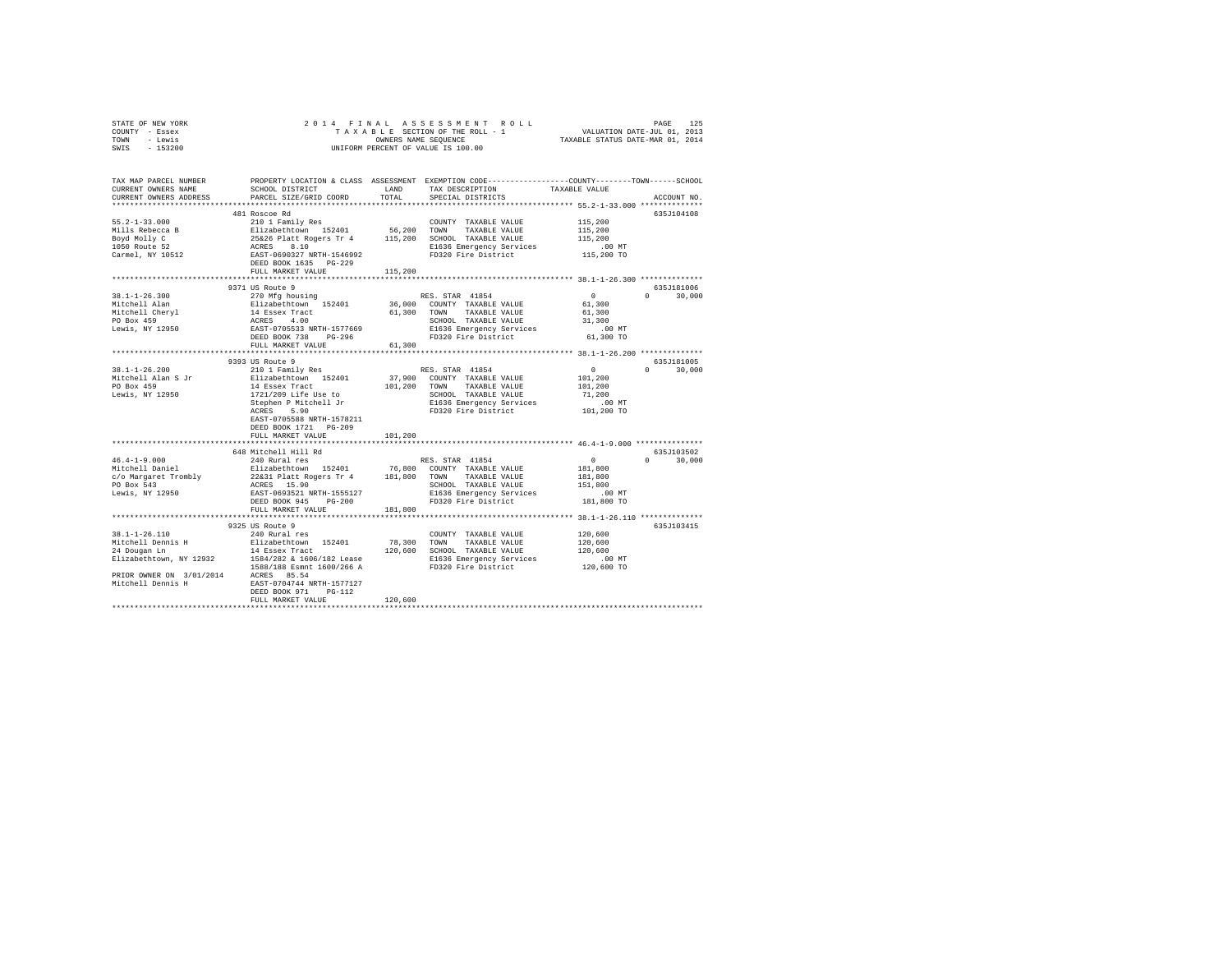|                | STATE OF NEW YORK | 2014 FINAL ASSESSMENT ROLL                                     | PAGE | 125 |
|----------------|-------------------|----------------------------------------------------------------|------|-----|
| COUNTY - Essex |                   | VALUATION DATE-JUL 01, 2013<br>TAXABLE SECTION OF THE ROLL - 1 |      |     |
| TOWN - Lewis   |                   | TAXABLE STATUS DATE-MAR 01, 2014<br>OWNERS NAME SEOUENCE       |      |     |
| SWIS           | - 153200          | UNIFORM PERCENT OF VALUE IS 100.00                             |      |     |
|                |                   |                                                                |      |     |
|                |                   |                                                                |      |     |

| TAX MAP PARCEL NUMBER<br>CURRENT OWNERS NAME<br>CURRENT OWNERS ADDRESS                                                                 | PARCEL SIZE/GRID COORD                                                                                 | TOTAL   | SCHOOL DISTRICT <b>EAND</b> TAX DESCRIPTION TAXABLE VALUE TRACKLER CONFIDENT TO THE THE TRACK OF THE TRACK THE TRACKLER TO THE TRACKLER TRACKLER TRACKLER TRACKLER TRACKLER TRACKLER TRACKLER TRACKLER TRACKLER TRACKLER TRACKLER<br>SPECIAL DISTRICTS | PROPERTY LOCATION & CLASS ASSESSMENT EXEMPTION CODE---------------COUNTY-------TOWN-----SCHOOL<br>ACCOUNT NO. |
|----------------------------------------------------------------------------------------------------------------------------------------|--------------------------------------------------------------------------------------------------------|---------|--------------------------------------------------------------------------------------------------------------------------------------------------------------------------------------------------------------------------------------------------------|---------------------------------------------------------------------------------------------------------------|
|                                                                                                                                        |                                                                                                        |         |                                                                                                                                                                                                                                                        |                                                                                                               |
|                                                                                                                                        | 481 Roscoe Rd                                                                                          |         |                                                                                                                                                                                                                                                        | 635J104108                                                                                                    |
|                                                                                                                                        |                                                                                                        |         |                                                                                                                                                                                                                                                        |                                                                                                               |
|                                                                                                                                        |                                                                                                        |         |                                                                                                                                                                                                                                                        |                                                                                                               |
|                                                                                                                                        |                                                                                                        |         |                                                                                                                                                                                                                                                        |                                                                                                               |
|                                                                                                                                        |                                                                                                        |         |                                                                                                                                                                                                                                                        |                                                                                                               |
|                                                                                                                                        |                                                                                                        |         |                                                                                                                                                                                                                                                        |                                                                                                               |
|                                                                                                                                        | DEED BOOK 1635 PG-229<br>FULL MARKET VALUE 115,200                                                     |         |                                                                                                                                                                                                                                                        |                                                                                                               |
|                                                                                                                                        |                                                                                                        |         |                                                                                                                                                                                                                                                        |                                                                                                               |
|                                                                                                                                        | 9371 US Route 9                                                                                        |         |                                                                                                                                                                                                                                                        | 635J181006                                                                                                    |
| $38.1 - 1 - 26.300$                                                                                                                    | 270 Mfg housing                                                                                        |         | RES. STAR 41854                                                                                                                                                                                                                                        | $0 \t 30.000$                                                                                                 |
| Mitchell Alan                                                                                                                          |                                                                                                        |         |                                                                                                                                                                                                                                                        | $\begin{array}{c}0\\61,300\end{array}$                                                                        |
| Mitchell Chery<br>PO Box 459<br>PO Box 459<br>Lewis, NY 12950<br>CHERES 4.00<br>EAST-0705533 NRTH-1577669<br>EAST-0705533 NRTH-1577669 |                                                                                                        |         | 61,300 TOWN TAXABLE VALUE                                                                                                                                                                                                                              | 61,300                                                                                                        |
|                                                                                                                                        |                                                                                                        |         | SCHOOL TAXABLE VALUE                                                                                                                                                                                                                                   | 31,300                                                                                                        |
|                                                                                                                                        |                                                                                                        |         |                                                                                                                                                                                                                                                        |                                                                                                               |
|                                                                                                                                        | DEED BOOK 738 PG-296                                                                                   |         | E1636 Emergency Services 61,300 MT<br>FD320 Fire District 61,300 TO                                                                                                                                                                                    |                                                                                                               |
|                                                                                                                                        | FULL MARKET VALUE                                                                                      | 61,300  |                                                                                                                                                                                                                                                        |                                                                                                               |
|                                                                                                                                        |                                                                                                        |         |                                                                                                                                                                                                                                                        |                                                                                                               |
|                                                                                                                                        | 9393 US Route 9                                                                                        |         |                                                                                                                                                                                                                                                        | 635J181005                                                                                                    |
|                                                                                                                                        |                                                                                                        |         |                                                                                                                                                                                                                                                        | $\sim$ 0<br>$0 \t 30,000$                                                                                     |
|                                                                                                                                        |                                                                                                        |         |                                                                                                                                                                                                                                                        | 101,200<br>101,200                                                                                            |
|                                                                                                                                        |                                                                                                        |         |                                                                                                                                                                                                                                                        | 71,200                                                                                                        |
|                                                                                                                                        |                                                                                                        |         |                                                                                                                                                                                                                                                        |                                                                                                               |
|                                                                                                                                        |                                                                                                        |         |                                                                                                                                                                                                                                                        | 00 MT.<br>101,200 TO                                                                                          |
|                                                                                                                                        | EAST-0705588 NRTH-1578211                                                                              |         |                                                                                                                                                                                                                                                        |                                                                                                               |
|                                                                                                                                        | DEED BOOK 1721 PG-209                                                                                  |         |                                                                                                                                                                                                                                                        |                                                                                                               |
|                                                                                                                                        | FULL MARKET VALUE                                                                                      | 101,200 |                                                                                                                                                                                                                                                        |                                                                                                               |
|                                                                                                                                        |                                                                                                        |         |                                                                                                                                                                                                                                                        |                                                                                                               |
|                                                                                                                                        | 648 Mitchell Hill Rd                                                                                   |         |                                                                                                                                                                                                                                                        | 635J103502                                                                                                    |
| $46.4 - 1 - 9.000$                                                                                                                     | 240 Rural res                                                                                          |         | RES. STAR 41854                                                                                                                                                                                                                                        | $\mathbf{0}$<br>$0 \t 30.000$                                                                                 |
| 46.4-1-9.000<br>Mitchell Daniel                                                                                                        |                                                                                                        |         |                                                                                                                                                                                                                                                        | 181,800                                                                                                       |
| c/o Margaret Trombly<br>PO Box 543                                                                                                     | Elizabethtown 152401 76,800 COUNTY TAXABLE VALUE<br>22&31 Platt Rogers Tr 4 181,800 TOWN TAXABLE VALUE |         |                                                                                                                                                                                                                                                        | 181,800                                                                                                       |
|                                                                                                                                        | ACRES 15.90                                                                                            |         | SCHOOL TAXABLE VALUE 151,800<br>E1636 Emergency Services .00 MT                                                                                                                                                                                        |                                                                                                               |
| Lewis, NY 12950                                                                                                                        | EAST-0693521 NRTH-1555127                                                                              |         | E1636 Emergency Services                                                                                                                                                                                                                               |                                                                                                               |
|                                                                                                                                        | DEED BOOK 945 PG-200<br>FULL MARKET VALUE                                                              |         | FD320 Fire District 181,800 TO                                                                                                                                                                                                                         |                                                                                                               |
|                                                                                                                                        |                                                                                                        | 181,800 |                                                                                                                                                                                                                                                        |                                                                                                               |
|                                                                                                                                        | 9325 US Route 9                                                                                        |         |                                                                                                                                                                                                                                                        | 635J103415                                                                                                    |
|                                                                                                                                        |                                                                                                        |         |                                                                                                                                                                                                                                                        |                                                                                                               |
|                                                                                                                                        |                                                                                                        |         |                                                                                                                                                                                                                                                        |                                                                                                               |
|                                                                                                                                        |                                                                                                        |         |                                                                                                                                                                                                                                                        |                                                                                                               |
|                                                                                                                                        |                                                                                                        |         |                                                                                                                                                                                                                                                        |                                                                                                               |
|                                                                                                                                        |                                                                                                        |         |                                                                                                                                                                                                                                                        |                                                                                                               |
| PRIOR OWNER ON 3/01/2014 ACRES 85.54                                                                                                   |                                                                                                        |         |                                                                                                                                                                                                                                                        |                                                                                                               |
| Mitchell Dennis H EAST-0704744 NRTH-1577127                                                                                            |                                                                                                        |         |                                                                                                                                                                                                                                                        |                                                                                                               |
|                                                                                                                                        | DEED BOOK 971 PG-112                                                                                   |         |                                                                                                                                                                                                                                                        |                                                                                                               |
|                                                                                                                                        | FULL MARKET VALUE                                                                                      | 120,600 |                                                                                                                                                                                                                                                        |                                                                                                               |
|                                                                                                                                        |                                                                                                        |         |                                                                                                                                                                                                                                                        |                                                                                                               |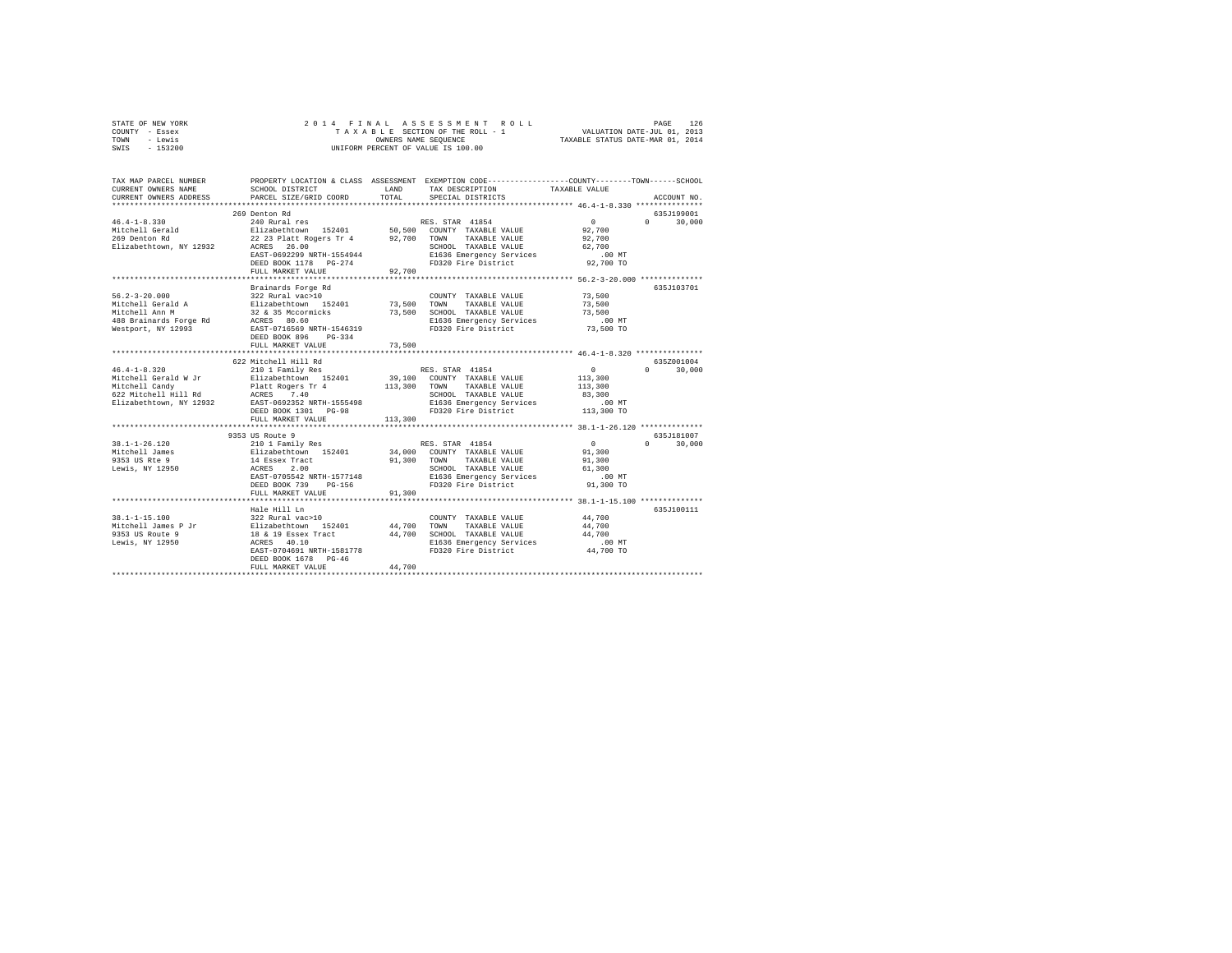| STATE OF NEW YORK | 2014 FINAL ASSESSMENT ROLL         | 126<br>PAGE                      |
|-------------------|------------------------------------|----------------------------------|
| COUNTY - Essex    | TAXABLE SECTION OF THE ROLL - 1    | VALUATION DATE-JUL 01, 2013      |
| TOWN<br>- Lewis   | OWNERS NAME SEOUENCE               | TAXABLE STATUS DATE-MAR 01, 2014 |
| $-153200$<br>SWIS | UNIFORM PERCENT OF VALUE IS 100.00 |                                  |

| TAX MAP PARCEL NUMBER<br>CURRENT OWNERS NAME<br>CURRENT OWNERS ADDRESS                                                                                                                                                                                 | SCHOOL DISTRICT<br><b>LAND</b><br>PARCEL SIZE/GRID COORD | TOTAL   | PROPERTY LOCATION & CLASS ASSESSMENT EXEMPTION CODE---------------COUNTY-------TOWN------SCHOOL<br>TAX DESCRIPTION<br>SPECIAL DISTRICTS | TAXABLE VALUE | ACCOUNT NO.                  |
|--------------------------------------------------------------------------------------------------------------------------------------------------------------------------------------------------------------------------------------------------------|----------------------------------------------------------|---------|-----------------------------------------------------------------------------------------------------------------------------------------|---------------|------------------------------|
|                                                                                                                                                                                                                                                        |                                                          |         |                                                                                                                                         |               |                              |
|                                                                                                                                                                                                                                                        | 269 Denton Rd                                            |         |                                                                                                                                         |               | 635.7199001<br>$0 \t 30,000$ |
| Elizabethtown, NY 12932 ACRES 26.00                                                                                                                                                                                                                    | EAST-0692299 NRTH-1554944<br>DEED BOOK 1178 PG-274       |         | SCHOOL TAXABLE VALUE 62,700<br>E1636 Emergency Services<br>FD320 Fire District 92,700 TO                                                | $.00$ MT      |                              |
|                                                                                                                                                                                                                                                        | FULL MARKET VALUE                                        | 92,700  |                                                                                                                                         |               |                              |
|                                                                                                                                                                                                                                                        |                                                          |         |                                                                                                                                         |               |                              |
|                                                                                                                                                                                                                                                        | Brainards Forge Rd                                       |         |                                                                                                                                         |               | 635J103701                   |
|                                                                                                                                                                                                                                                        |                                                          |         | COUNTY TAXABLE VALUE 73,500                                                                                                             |               |                              |
|                                                                                                                                                                                                                                                        |                                                          |         |                                                                                                                                         | 73,500        |                              |
|                                                                                                                                                                                                                                                        |                                                          |         | 73,500 SCHOOL TAXABLE VALUE                                                                                                             | 73,500        |                              |
|                                                                                                                                                                                                                                                        |                                                          |         |                                                                                                                                         |               |                              |
|                                                                                                                                                                                                                                                        | FULL MARKET VALUE                                        | 73,500  |                                                                                                                                         |               |                              |
|                                                                                                                                                                                                                                                        |                                                          |         |                                                                                                                                         |               |                              |
|                                                                                                                                                                                                                                                        | 622 Mitchell Hill Rd                                     |         |                                                                                                                                         |               | 635Z001004                   |
|                                                                                                                                                                                                                                                        |                                                          |         |                                                                                                                                         | $\sim$ 0      | 30,000<br>$\Omega$           |
|                                                                                                                                                                                                                                                        |                                                          |         |                                                                                                                                         | 113,300       |                              |
|                                                                                                                                                                                                                                                        |                                                          |         | TAXABLE VALUE 113,300                                                                                                                   |               |                              |
|                                                                                                                                                                                                                                                        |                                                          |         |                                                                                                                                         |               |                              |
|                                                                                                                                                                                                                                                        |                                                          |         |                                                                                                                                         |               |                              |
|                                                                                                                                                                                                                                                        | DEED BOOK 1301 PG-98                                     |         | SCHOOL TAXABLE VALUE 83,300<br>E1636 Emergency Services 1.00 MT<br>FD320 Fire District 113,300 TO                                       |               |                              |
|                                                                                                                                                                                                                                                        | FULL MARKET VALUE                                        | 113,300 |                                                                                                                                         |               |                              |
|                                                                                                                                                                                                                                                        |                                                          |         |                                                                                                                                         |               |                              |
| 19.1-1-26.120<br>19.1-1-26.120<br>2010 Family Res<br>2010 Family Res<br>2010 Falizabethrom 152401<br>2020 TOWN TAXABLE VALUE<br>2013 OS RES<br>2.00<br>2010 COUNTY TAXABLE VALUE<br>201,300<br>2010 COUNTY TAXABLE VALUE<br>201,300<br>2010 COUNTY TAX |                                                          |         |                                                                                                                                         |               | 635J181007                   |
|                                                                                                                                                                                                                                                        |                                                          |         |                                                                                                                                         |               | $0 \t 30.000$                |
|                                                                                                                                                                                                                                                        |                                                          |         |                                                                                                                                         |               |                              |
|                                                                                                                                                                                                                                                        |                                                          |         |                                                                                                                                         |               |                              |
|                                                                                                                                                                                                                                                        |                                                          |         |                                                                                                                                         |               |                              |
|                                                                                                                                                                                                                                                        |                                                          |         |                                                                                                                                         |               |                              |
|                                                                                                                                                                                                                                                        |                                                          |         |                                                                                                                                         |               |                              |
|                                                                                                                                                                                                                                                        | FULL MARKET VALUE                                        | 91,300  |                                                                                                                                         |               |                              |
|                                                                                                                                                                                                                                                        |                                                          |         |                                                                                                                                         |               |                              |
|                                                                                                                                                                                                                                                        | Hale Hill Ln                                             |         |                                                                                                                                         |               | 635J100111                   |
|                                                                                                                                                                                                                                                        |                                                          |         |                                                                                                                                         |               |                              |
|                                                                                                                                                                                                                                                        |                                                          |         |                                                                                                                                         |               |                              |
| 38.1-1-15.100 1202 1202 1202 1204 1204 1204 1304 1305 1306 1307 1308 1308 1308 147700 1308 1308 1308 1308 130<br>1953 US Route 9 18 11 18 19 Exerce 14.700 1204 14.700 1204 1204 1305 1308 1308 147700 1305 1308 14700 1308 13<br>19                   |                                                          |         |                                                                                                                                         |               |                              |
|                                                                                                                                                                                                                                                        |                                                          |         |                                                                                                                                         |               |                              |
|                                                                                                                                                                                                                                                        | DEED BOOK 1678 PG-46<br>FULL MARKET VALUE                | 44,700  |                                                                                                                                         |               |                              |
|                                                                                                                                                                                                                                                        |                                                          |         |                                                                                                                                         |               |                              |
|                                                                                                                                                                                                                                                        |                                                          |         |                                                                                                                                         |               |                              |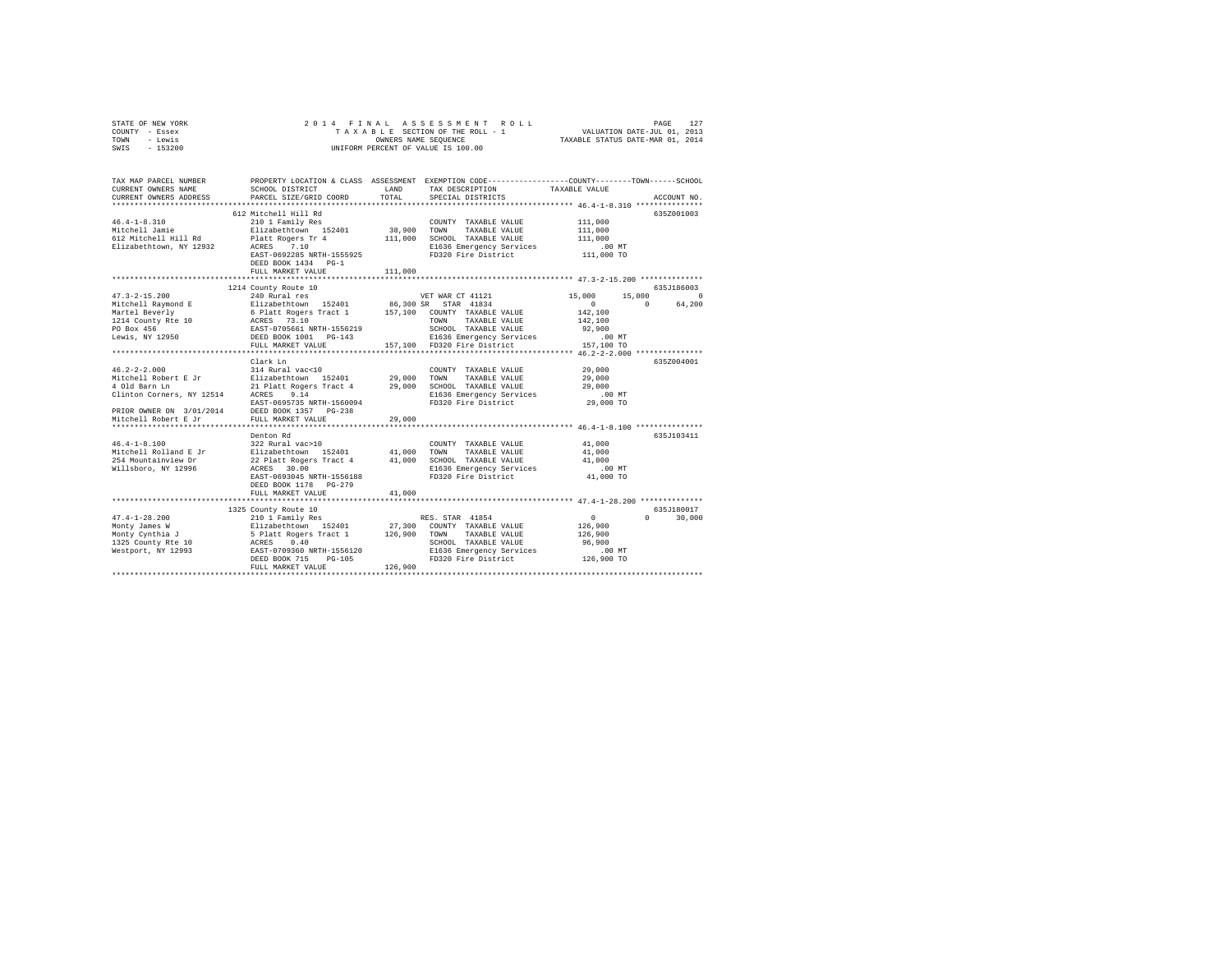| STATE OF NEW YORK | 2014 FINAL ASSESSMENT ROLL         | 127<br>PAGE                      |
|-------------------|------------------------------------|----------------------------------|
| COUNTY - Essex    | TAXABLE SECTION OF THE ROLL - 1    | VALUATION DATE-JUL 01, 2013      |
| TOWN<br>- Lewis   | OWNERS NAME SEOUENCE               | TAXABLE STATUS DATE-MAR 01, 2014 |
| $-153200$<br>SWIS | UNIFORM PERCENT OF VALUE IS 100.00 |                                  |

| TAX MAP PARCEL NUMBER<br>CURRENT OWNERS NAME<br>CURRENT OWNERS ADDRESS | SCHOOL DISTRICT<br>PARCEL SIZE/GRID COORD                                                             | LAND<br>TOTAL. | PROPERTY LOCATION & CLASS ASSESSMENT EXEMPTION CODE----------------COUNTY-------TOWN------SCHOOL<br>TAX DESCRIPTION<br>SPECIAL DISTRICTS | TAXABLE VALUE                      | ACCOUNT NO.                     |
|------------------------------------------------------------------------|-------------------------------------------------------------------------------------------------------|----------------|------------------------------------------------------------------------------------------------------------------------------------------|------------------------------------|---------------------------------|
|                                                                        |                                                                                                       |                |                                                                                                                                          |                                    |                                 |
|                                                                        | 612 Mitchell Hill Rd                                                                                  |                |                                                                                                                                          |                                    | 635Z001003                      |
| $46.4 - 1 - 8.310$                                                     | 210 1 Family Res                                                                                      |                | COUNTY TAXABLE VALUE                                                                                                                     | 111,000                            |                                 |
| Mitchell Jamie                                                         | Elizabethtown 152401                                                                                  | 38,900 TOWN    | TAXABLE VALUE                                                                                                                            | 111,000                            |                                 |
| 612 Mitchell Hill Rd                                                   | Platt Rogers Tr 4                                                                                     | 111,000        | SCHOOL TAXABLE VALUE                                                                                                                     | 111,000                            |                                 |
| Elizabethtown, NY 12932 ACRES 7.10                                     |                                                                                                       |                | E1636 Emergency Services                                                                                                                 | .00 MT                             |                                 |
|                                                                        | EAST-0692285 NRTH-1555925                                                                             |                | FD320 Fire District                                                                                                                      | 111,000 TO                         |                                 |
|                                                                        | DEED BOOK 1434 PG-1                                                                                   |                |                                                                                                                                          |                                    |                                 |
|                                                                        | FULL MARKET VALUE                                                                                     | 111,000        |                                                                                                                                          |                                    |                                 |
|                                                                        |                                                                                                       |                |                                                                                                                                          |                                    |                                 |
| $47.3 - 2 - 15.200$                                                    | 1214 County Route 10<br>240 Rural res                                                                 |                | VET WAR CT 41121                                                                                                                         | 15,000<br>15,000                   | 635.7186003<br>$\Omega$         |
|                                                                        |                                                                                                       |                |                                                                                                                                          | $\sim$                             | $\Omega$<br>64,200              |
|                                                                        |                                                                                                       |                |                                                                                                                                          | 142,100                            |                                 |
|                                                                        |                                                                                                       |                | TAXABLE VALUE<br>TOWN                                                                                                                    | 142,100                            |                                 |
| 1214 County Rte 10<br>PO Box 456<br>PO Box 456<br>PO Box 456           |                                                                                                       |                | SCHOOL TAXABLE VALUE                                                                                                                     | 92,900                             |                                 |
| Lewis, NY 12950                                                        | DEED BOOK 1001 PG-143                                                                                 |                |                                                                                                                                          | $.00$ MT                           |                                 |
|                                                                        | FULL MARKET VALUE                                                                                     |                | E1636 Emergency Services<br>FD320 Fire District<br>157.100 FD320 Fire District                                                           | 157,100 TO                         |                                 |
|                                                                        |                                                                                                       |                |                                                                                                                                          |                                    |                                 |
|                                                                        | Clark Ln                                                                                              |                |                                                                                                                                          |                                    | 635Z004001                      |
| $46.2 - 2 - 2.000$                                                     | 314 Rural vac<10                                                                                      |                | COUNTY TAXABLE VALUE                                                                                                                     | 29,000                             |                                 |
| Mitchell Robert E Jr                                                   | $314$ Rural vac<10 (COUNT<br>Elizabethtown 152401 29,000 TOWN                                         |                | TAXABLE VALUE                                                                                                                            | 29,000                             |                                 |
| 4 Old Barn Ln                                                          |                                                                                                       |                | 21 Platt Rogers Tract 4 29,000 SCHOOL TAXABLE VALUE                                                                                      |                                    |                                 |
| Clinton Corners, NY 12514 ACRES 9.14                                   |                                                                                                       |                | E1636 Emergency Services                                                                                                                 | 29,000<br>.00 MT                   |                                 |
|                                                                        | EAST-0695735 NRTH-1560094                                                                             |                | FD320 Fire District                                                                                                                      | 29,000 TO                          |                                 |
| PRIOR OWNER ON 3/01/2014 DEED BOOK 1357 PG-238                         |                                                                                                       |                |                                                                                                                                          |                                    |                                 |
| Mitchell Robert E Jr                                                   | FULL MARKET VALUE                                                                                     | 29,000         |                                                                                                                                          |                                    |                                 |
|                                                                        |                                                                                                       |                |                                                                                                                                          |                                    |                                 |
|                                                                        | Denton Rd                                                                                             |                |                                                                                                                                          |                                    | 635J103411                      |
| $46.4 - 1 - 8.100$                                                     | 322 Rural vac>10                                                                                      |                | COUNTY TAXABLE VALUE                                                                                                                     | 41,000                             |                                 |
| Mitchell Rolland E Jr Blizabethtown 152401 41,000                      |                                                                                                       |                | TOWN<br>TAXABLE VALUE                                                                                                                    | 41,000                             |                                 |
| 254 Mountainview Dr                                                    | 22 Platt Rogers Tract 4 41,000                                                                        |                | SCHOOL TAXABLE VALUE $41,000$<br>E1636 Emergency Services 00 MT                                                                          |                                    |                                 |
| Willsboro, NY 12996                                                    | ACRES 30.00                                                                                           |                |                                                                                                                                          |                                    |                                 |
|                                                                        | EAST-0693045 NRTH-1556188                                                                             |                | FD320 Fire District                                                                                                                      | 41,000 TO                          |                                 |
|                                                                        | DEED BOOK 1178 PG-279                                                                                 |                |                                                                                                                                          |                                    |                                 |
|                                                                        | FULL MARKET VALUE                                                                                     | 41,000         |                                                                                                                                          |                                    |                                 |
|                                                                        |                                                                                                       |                |                                                                                                                                          |                                    |                                 |
|                                                                        | 1325 County Route 10                                                                                  |                |                                                                                                                                          |                                    | 635J180017<br>$0 \qquad \qquad$ |
| $47.4 - 1 - 28.200$                                                    | 210 1 Family Res                                                                                      |                | RES. STAR 41854                                                                                                                          | $\circ$<br>126,900                 | 30,000                          |
| Monty James W                                                          | Elizabethtown 152401 27,300 COUNTY TAXABLE VALUE<br>5 Platt Rogers Tract 1 126,900 TOWN TAXABLE VALUE |                |                                                                                                                                          |                                    |                                 |
| Monty Cynthia J                                                        |                                                                                                       |                | SCHOOL TAXABLE VALUE                                                                                                                     | 126,900<br>96,900                  |                                 |
| 1325 County Rte 10<br>Westport, NY 12993<br>EAST-0709360 NRTH-1556120  |                                                                                                       |                | E1636 Emergency Services                                                                                                                 | .00 MT                             |                                 |
|                                                                        | $PG-105$<br>DEED BOOK 715                                                                             |                | FD320 Fire District 126,900 TO                                                                                                           |                                    |                                 |
|                                                                        | FULL MARKET VALUE                                                                                     | 126,900        |                                                                                                                                          |                                    |                                 |
|                                                                        |                                                                                                       |                |                                                                                                                                          | ********************************** |                                 |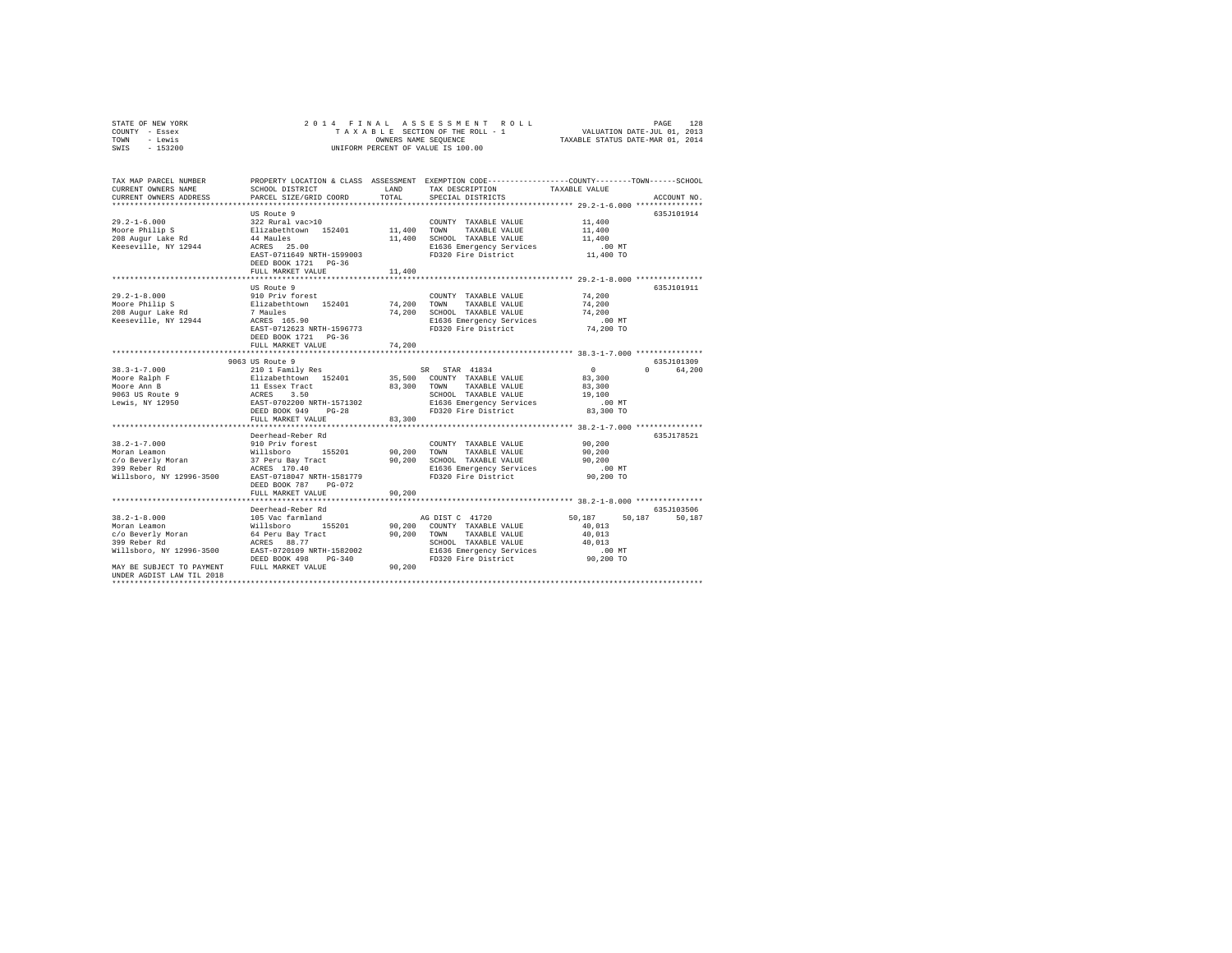| STATE OF NEW YORK<br>COUNTY<br>- Essex<br>- Lewis<br>TOWN<br>$-153200$<br>SWIS |                                                                        | OWNERS NAME SEOUENCE                | 2014 FINAL ASSESSMENT ROLL<br>TAXABLE SECTION OF THE ROLL - 1<br>UNIFORM PERCENT OF VALUE IS 100.00 | VALUATION DATE-JUL 01, 2013<br>TAXABLE STATUS DATE-MAR 01, 2014 | 128<br>PAGE |
|--------------------------------------------------------------------------------|------------------------------------------------------------------------|-------------------------------------|-----------------------------------------------------------------------------------------------------|-----------------------------------------------------------------|-------------|
| TAX MAP PARCEL NUMBER<br>CURRENT OWNERS NAME<br>CURRENT OWNERS ADDRESS         | PROPERTY LOCATION & CLASS<br>SCHOOL DISTRICT<br>PARCEL SIZE/GRID COORD | ASSESSMENT<br><b>T.AND</b><br>TOTAL | EXEMPTION CODE----------------COUNTY-------TOWN------SCHOOL<br>TAX DESCRIPTION<br>SPECIAL DISTRICTS | TAXARLE VALUE                                                   | ACCOUNT NO. |

|                                     | US Route 9                                                                                                                                                                                                                                     |             |                                                         |                  | 635J101914         |
|-------------------------------------|------------------------------------------------------------------------------------------------------------------------------------------------------------------------------------------------------------------------------------------------|-------------|---------------------------------------------------------|------------------|--------------------|
| $29.2 - 1 - 6.000$                  | 322 Rural vac>10                                                                                                                                                                                                                               |             | COUNTY TAXABLE VALUE                                    | 11,400           |                    |
| Moore Philip S                      | Elizabethtown 152401 11,400 TOWN                                                                                                                                                                                                               |             | TAXABLE VALUE                                           | 11,400           |                    |
| 208 Augur Lake Rd                   | 44 Maules                                                                                                                                                                                                                                      |             | 11,400 SCHOOL TAXABLE VALUE                             | 11,400           |                    |
| Keeseville, NY 12944                | ACRES 25.00                                                                                                                                                                                                                                    |             | E1636 Emergency Services<br>Thanh Fire District         | $.00$ MT         |                    |
|                                     | EAST-0711649 NRTH-1599003                                                                                                                                                                                                                      |             |                                                         | 11,400 TO        |                    |
|                                     | DEED BOOK 1721 PG-36                                                                                                                                                                                                                           |             |                                                         |                  |                    |
|                                     | FULL MARKET VALUE                                                                                                                                                                                                                              | 11,400      |                                                         |                  |                    |
|                                     | **************************                                                                                                                                                                                                                     |             |                                                         |                  |                    |
|                                     | US Route 9                                                                                                                                                                                                                                     |             |                                                         |                  | 635J101911         |
| $29.2 - 1 - 8.000$                  | 910 Priv forest                                                                                                                                                                                                                                |             | COUNTY TAXABLE VALUE                                    | 74,200           |                    |
| Moore Philip S                      |                                                                                                                                                                                                                                                |             | TAXABLE VALUE                                           | 74,200           |                    |
|                                     | Elizabethtown 152401 74,200 TOWN<br>7 Maules 74,200 SCHOC                                                                                                                                                                                      |             |                                                         |                  |                    |
| 208 Augur Lake Rd                   | <i>r</i> maules<br>ACRES 165.90                                                                                                                                                                                                                |             | 74,200 SCHOOL TAXABLE VALUE                             | 74,200           |                    |
| Keeseville, NY 12944                |                                                                                                                                                                                                                                                |             | E1636 Emergency Services .00 MT                         |                  |                    |
|                                     | EAST-0712623 NRTH-1596773                                                                                                                                                                                                                      |             | FD320 Fire District                                     | 74,200 TO        |                    |
|                                     | DEED BOOK 1721 PG-36                                                                                                                                                                                                                           |             |                                                         |                  |                    |
|                                     | FULL MARKET VALUE                                                                                                                                                                                                                              | 74,200      |                                                         |                  |                    |
|                                     |                                                                                                                                                                                                                                                |             |                                                         |                  |                    |
|                                     | 9063 US Route 9                                                                                                                                                                                                                                |             |                                                         |                  | 635J101309         |
| $38.3 - 1 - 7.000$                  | $\begin{tabular}{lcccc} 210 1 Family Res & & & SR & STR & 41834 \\ Elizabethdown & 152401 & & 35,500 & COUNTY & TAXABLE VALUE \\ 11 Ssexer Tract & & & 83,300 & TOMN & TAXABLE VALUE \\ ACRES & 3.50 & & 500 & TAXABLE VALUE \\ \end{tabular}$ |             |                                                         | $\sim$ 0         | 64,200<br>$\Omega$ |
| Moore Ralph F                       |                                                                                                                                                                                                                                                |             |                                                         | 83,300           |                    |
| Moore Ann B                         |                                                                                                                                                                                                                                                |             | TAXABLE VALUE                                           | 83,300           |                    |
| 9063 US Route 9                     |                                                                                                                                                                                                                                                |             |                                                         | 19,100           |                    |
| Lewis, NY 12950                     | EAST-0702200 NRTH-1571302                                                                                                                                                                                                                      |             |                                                         |                  |                    |
|                                     | DEED BOOK 949 PG-28                                                                                                                                                                                                                            |             | FD320 Fire District                                     | 83,300 TO        |                    |
|                                     | FULL MARKET VALUE                                                                                                                                                                                                                              | 83,300      |                                                         |                  |                    |
|                                     |                                                                                                                                                                                                                                                |             |                                                         |                  |                    |
|                                     | Deerhead-Reber Rd                                                                                                                                                                                                                              |             |                                                         |                  | 635J178521         |
| $38.2 - 1 - 7.000$                  | 910 Priv forest                                                                                                                                                                                                                                |             | COUNTY TAXABLE VALUE                                    | 90, 200          |                    |
| Moran Leamon                        | 155201                                                                                                                                                                                                                                         | 90,200 TOWN | TAXABLE VALUE                                           | 90,200           |                    |
|                                     | Willsboro 155201<br>37 Peru Bay Tract<br>ACRES 170.40                                                                                                                                                                                          |             |                                                         | 90.200           |                    |
| c/o Beverly Moran<br>200 Peher Rd   |                                                                                                                                                                                                                                                |             | 90,200 SCHOOL TAXABLE VALUE<br>E1636 Emergency Services |                  |                    |
|                                     |                                                                                                                                                                                                                                                |             |                                                         | $.00$ MT         |                    |
|                                     | Willsboro, NY 12996-3500 EAST-0718047 NRTH-1581779                                                                                                                                                                                             |             | FD320 Fire District                                     | 90,200 TO        |                    |
|                                     | DEED BOOK 787 PG-072                                                                                                                                                                                                                           |             |                                                         |                  |                    |
|                                     | FULL MARKET VALUE                                                                                                                                                                                                                              | 90,200      |                                                         |                  |                    |
|                                     |                                                                                                                                                                                                                                                |             |                                                         |                  |                    |
|                                     | Deerhead-Reber Rd                                                                                                                                                                                                                              |             |                                                         |                  | 635.T103506        |
| $38.2 - 1 - 8.000$                  | 105 Vac farmland                                                                                                                                                                                                                               |             | AG DIST C 41720                                         | 50.187 50.187    | 50,187             |
| Moran Leamon                        | Willsboro<br>155201                                                                                                                                                                                                                            |             | 90,200 COUNTY TAXABLE VALUE                             | 40.013           |                    |
| c/o Beverly Moran 64 Peru Bay Tract |                                                                                                                                                                                                                                                | 90,200 TOWN | TAXABLE VALUE                                           | 40,013           |                    |
| 399 Reber Rd                        | ACRES 88.77                                                                                                                                                                                                                                    |             | SCHOOL TAXABLE VALUE                                    |                  |                    |
|                                     | Willsboro, NY 12996-3500 EAST-0720109 NRTH-1582002                                                                                                                                                                                             |             |                                                         | 40,013<br>.00 MT |                    |
|                                     | DEED BOOK 498<br>$PG-340$                                                                                                                                                                                                                      |             |                                                         |                  |                    |
| MAY BE SUBJECT TO PAYMENT           | FULL MARKET VALUE                                                                                                                                                                                                                              | 90,200      |                                                         |                  |                    |
| UNDER AGDIST LAW TIL 2018           |                                                                                                                                                                                                                                                |             |                                                         |                  |                    |
|                                     |                                                                                                                                                                                                                                                |             |                                                         |                  |                    |
|                                     |                                                                                                                                                                                                                                                |             |                                                         |                  |                    |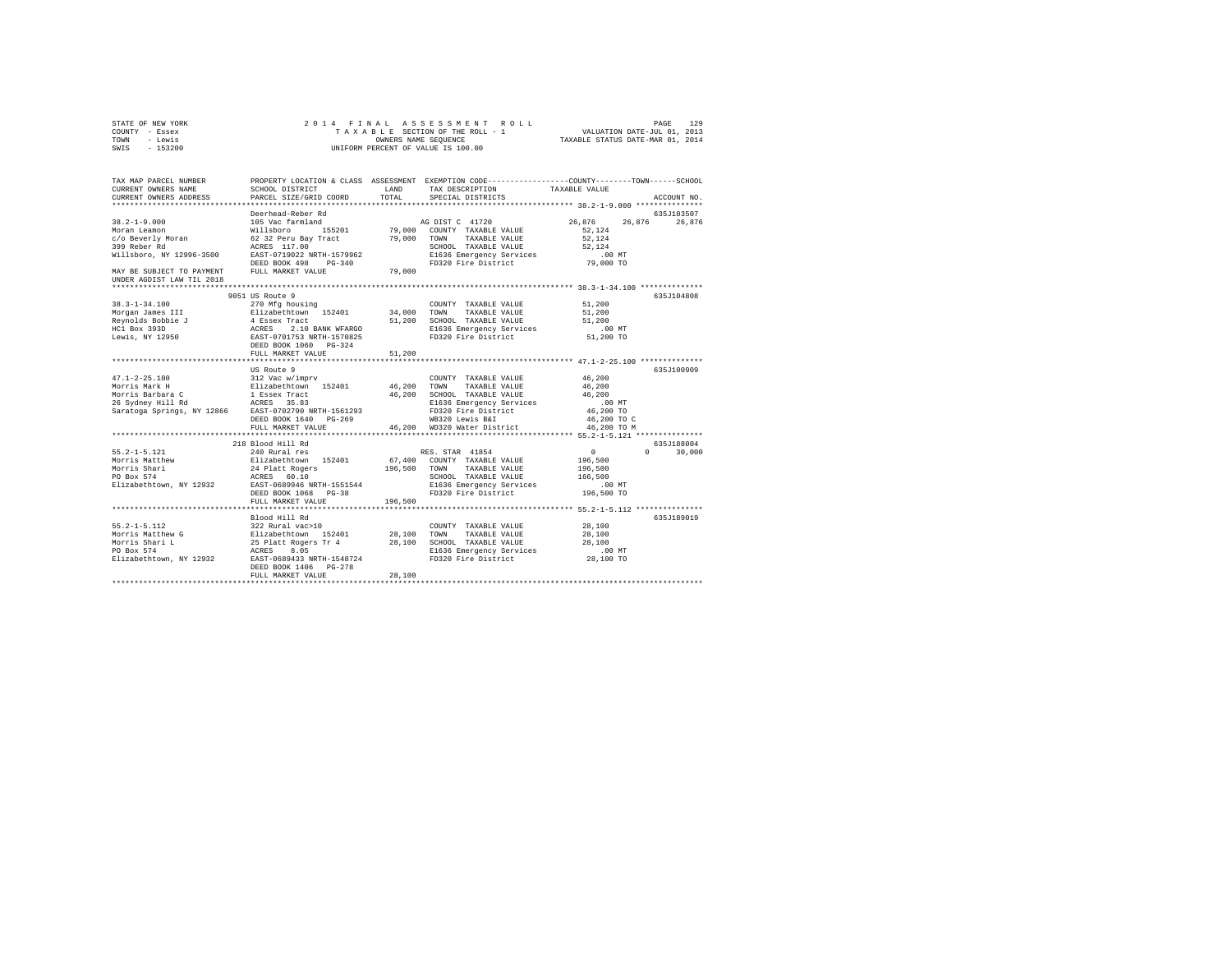| STATE OF NEW YORK<br>COUNTY - Essex<br>- Lewis<br>TOWN<br>SWIS<br>$-153200$                                                                    | 2014 FINAL<br>TAXABLE SECTION OF THE ROLL - 1<br>UNIFORM PERCENT OF VALUE IS 100.00 | 129<br>PAGE<br>VALUATION DATE-JUL 01, 2013<br>TAXABLE STATUS DATE-MAR 01, 2014 |                                                                                                                                        |               |                   |
|------------------------------------------------------------------------------------------------------------------------------------------------|-------------------------------------------------------------------------------------|--------------------------------------------------------------------------------|----------------------------------------------------------------------------------------------------------------------------------------|---------------|-------------------|
| TAX MAP PARCEL NUMBER<br>CURRENT OWNERS NAME<br>CURRENT OWNERS ADDRESS                                                                         | SCHOOL DISTRICT<br>PARCEL SIZE/GRID COORD                                           | LAND<br>TOTAL                                                                  | PROPERTY LOCATION & CLASS ASSESSMENT EXEMPTION CODE---------------COUNTY-------TOWN-----SCHOOL<br>TAX DESCRIPTION<br>SPECIAL DISTRICTS | TAXABLE VALUE | ACCOUNT NO.       |
|                                                                                                                                                | Deerhead-Reber Rd                                                                   |                                                                                |                                                                                                                                        |               | 635J103507        |
| $38.2 - 1 - 9.000$                                                                                                                             | 105 Vac farmland                                                                    |                                                                                | AG DIST C 41720                                                                                                                        | 26,876        | 26,876<br>26,876  |
| Moran Leamon                                                                                                                                   | Willsboro 155201                                                                    |                                                                                | 79,000 COUNTY TAXABLE VALUE                                                                                                            | 52.124        |                   |
| c/o Beverly Moran                                                                                                                              | 62 32 Peru Bay Tract<br>ACRES 117.00                                                | 79,000                                                                         | TOWN<br>TAXABLE VALUE                                                                                                                  | 52.124        |                   |
| 399 Reber Rd                                                                                                                                   | ACRES 117.00                                                                        |                                                                                | SCHOOL TAXABLE VALUE                                                                                                                   | 52,124        |                   |
| Willsboro, NY 12996-3500                                                                                                                       | EAST-0719022 NRTH-1579962                                                           |                                                                                | E1636 Emergency Services                                                                                                               | $.00$ MT      |                   |
|                                                                                                                                                | DEED BOOK 498 PG-340                                                                |                                                                                | FD320 Fire District                                                                                                                    | 79,000 TO     |                   |
| MAY BE SUBJECT TO PAYMENT<br>UNDER AGDIST LAW TIL 2018                                                                                         | FULL MARKET VALUE                                                                   | 79,000                                                                         |                                                                                                                                        |               |                   |
|                                                                                                                                                |                                                                                     |                                                                                |                                                                                                                                        |               |                   |
|                                                                                                                                                | 9051 US Route 9                                                                     |                                                                                |                                                                                                                                        |               | 635J104808        |
| $38.3 - 1 - 34.100$                                                                                                                            | 270 Mfg housing                                                                     |                                                                                | COUNTY TAXABLE VALUE                                                                                                                   | 51,200        |                   |
| Morgan James III                                                                                                                               | Elizabethtown 152401                                                                | 34,000                                                                         | TOWN<br>TAXABLE VALUE                                                                                                                  | 51,200        |                   |
| Reynolds Bobbie J                                                                                                                              | 4 ESSEX Tract<br>ACRES 2.10 BANK WFARGO<br>EAST-0701753 NRTH-1570825                | 51,200                                                                         | SCHOOL TAXABLE VALUE                                                                                                                   | 51,200        |                   |
| HC1 Box 393D                                                                                                                                   |                                                                                     |                                                                                | E1636 Emergency Services                                                                                                               | $.00$ MT      |                   |
| Lewis, NY 12950                                                                                                                                |                                                                                     |                                                                                | FD320 Fire District                                                                                                                    | 51,200 TO     |                   |
|                                                                                                                                                | DEED BOOK 1060 PG-324<br>FULL MARKET VALUE                                          | 51,200                                                                         |                                                                                                                                        |               |                   |
|                                                                                                                                                |                                                                                     |                                                                                |                                                                                                                                        |               |                   |
|                                                                                                                                                | US Route 9                                                                          |                                                                                |                                                                                                                                        |               | 635J100909        |
| $47.1 - 2 - 25.100$                                                                                                                            | 312 Vac w/imprv                                                                     |                                                                                | COUNTY TAXABLE VALUE                                                                                                                   | 46,200        |                   |
| Morris Mark H                                                                                                                                  | Elizabethtown 152401                                                                | 46,200                                                                         | TAXABLE VALUE<br>TOWN                                                                                                                  | 46,200        |                   |
|                                                                                                                                                |                                                                                     | 46,200                                                                         | SCHOOL TAXABLE VALUE                                                                                                                   | 46,200        |                   |
| Morris Barbara (1999)<br>26 Sydney Hill Rd (1998)<br>Saratoga Springs, NY 12866 (1987)<br>Saratoga Springs, NY 12866 EAST-0702790 NRTH-1561293 |                                                                                     |                                                                                | E1636 Emergency Services                                                                                                               | $.00$ MT      |                   |
|                                                                                                                                                |                                                                                     |                                                                                | FD320 Fire District                                                                                                                    | 46,200 TO     |                   |
|                                                                                                                                                | DEED BOOK 1640 PG-269                                                               |                                                                                | WB320 Lewis B&I                                                                                                                        | 46,200 TO C   |                   |
|                                                                                                                                                | FULL MARKET VALUE                                                                   |                                                                                | 46,200 WD320 Water District                                                                                                            | 46,200 TO M   |                   |
|                                                                                                                                                |                                                                                     |                                                                                |                                                                                                                                        |               |                   |
|                                                                                                                                                | 218 Blood Hill Rd                                                                   |                                                                                |                                                                                                                                        |               | 635J188004        |
| $55.2 - 1 - 5.121$                                                                                                                             | 240 Rural res                                                                       |                                                                                | RES. STAR 41854                                                                                                                        | 0             | $\circ$<br>30,000 |
| Morris Matthew                                                                                                                                 | Elizabethtown 152401                                                                |                                                                                | 67,400 COUNTY TAXABLE VALUE                                                                                                            | 196,500       |                   |
| Morris national<br>Morris Shari                                                                                                                | 24 Platt Rogers                                                                     | 196,500                                                                        | TOWN<br>TAXABLE VALUE                                                                                                                  | 196,500       |                   |
|                                                                                                                                                | ACRES 60.10                                                                         |                                                                                | SCHOOL TAXABLE VALUE                                                                                                                   | 166,500       |                   |
| Elizabethtown, NY 12932 EAST-0689946 NRTH-1551544                                                                                              |                                                                                     |                                                                                | E1636 Emergency Services                                                                                                               | $.00$ MT      |                   |
|                                                                                                                                                | DEED BOOK 1068 PG-38                                                                |                                                                                | FD320 Fire District                                                                                                                    | 196,500 TO    |                   |
|                                                                                                                                                | FULL MARKET VALUE                                                                   | 196,500                                                                        |                                                                                                                                        |               |                   |
|                                                                                                                                                |                                                                                     |                                                                                |                                                                                                                                        |               |                   |
| $55.2 - 1 - 5.112$                                                                                                                             | Blood Hill Rd                                                                       |                                                                                |                                                                                                                                        | 28,100        | 635J189019        |
|                                                                                                                                                | 322 Rural vac>10                                                                    | 28,100                                                                         | COUNTY TAXABLE VALUE<br>TOWN<br>TAXABLE VALUE                                                                                          | 28,100        |                   |
| Morris Matthew G<br>Morris Shari L                                                                                                             | 522 August 102-10<br>Elizabethtown 152401<br>25 Platt Rogers Tr 4<br>ACRES 8.05     | 28,100                                                                         | SCHOOL TAXABLE VALUE                                                                                                                   | 28,100        |                   |
| PO Box 574                                                                                                                                     |                                                                                     |                                                                                | E1636 Emergency Services                                                                                                               | $.00$ MT      |                   |
| Elizabethtown, NY 12932                                                                                                                        | EAST-0689433 NRTH-1548724                                                           |                                                                                | FD320 Fire District                                                                                                                    | 28,100 TO     |                   |
|                                                                                                                                                | DEED BOOK 1406 PG-278                                                               |                                                                                |                                                                                                                                        |               |                   |
|                                                                                                                                                | FULL MARKET VALUE                                                                   | 28,100                                                                         |                                                                                                                                        |               |                   |
|                                                                                                                                                |                                                                                     |                                                                                |                                                                                                                                        |               |                   |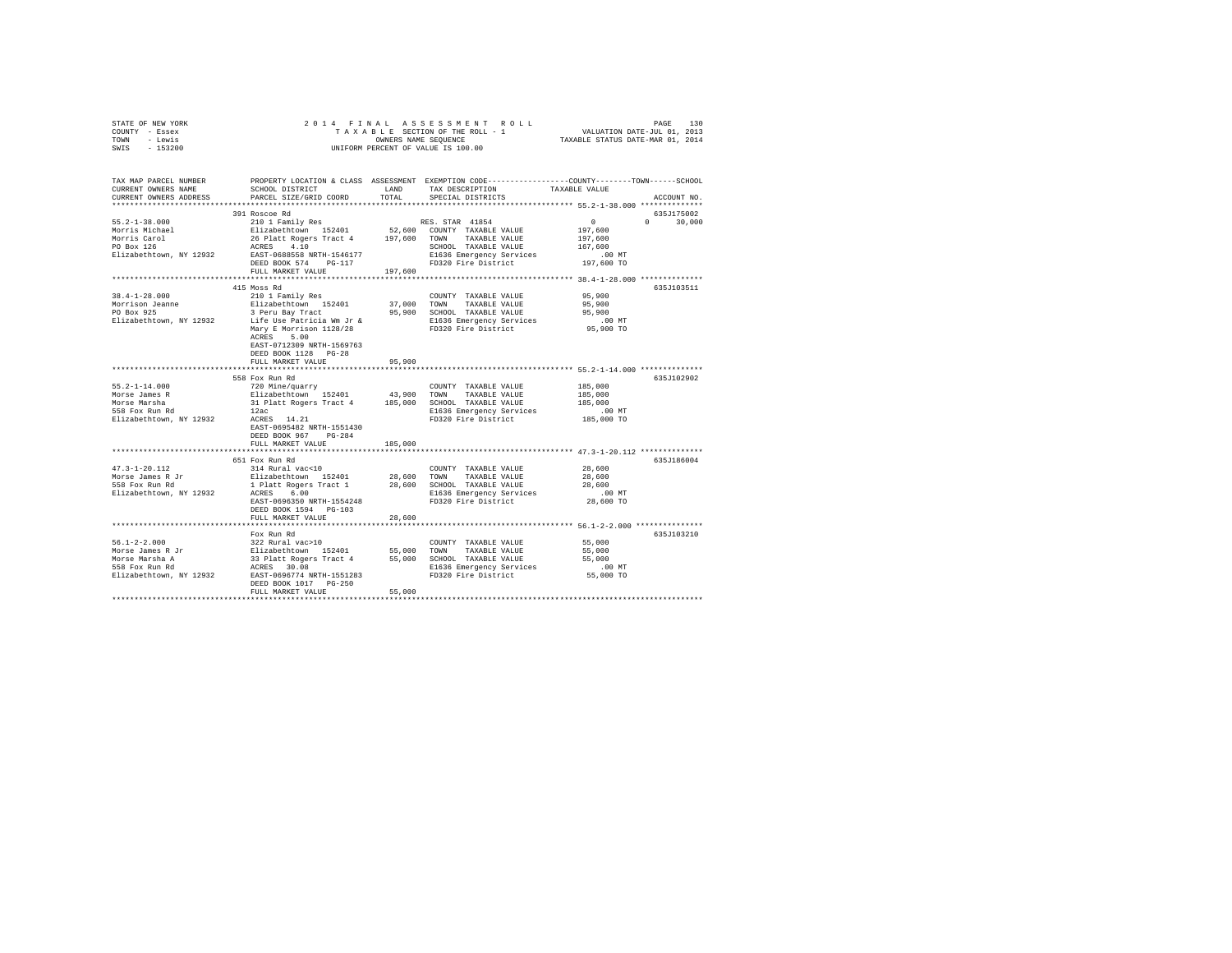|      | STATE OF NEW YORK |  | 2014 FINAL ASSESSMENT ROLL         | PAGE                             | 130 |
|------|-------------------|--|------------------------------------|----------------------------------|-----|
|      | COUNTY - Essex    |  | TAXABLE SECTION OF THE ROLL - 1    | VALUATION DATE-JUL 01, 2013      |     |
| TOWN | - Lewis           |  | OWNERS NAME SEOUENCE               | TAXABLE STATUS DATE-MAR 01, 2014 |     |
| SWIS | $-153200$         |  | UNIFORM PERCENT OF VALUE IS 100.00 |                                  |     |

| TAX MAP PARCEL NUMBER<br>CURRENT OWNERS NAME<br>CURRENT OWNERS ADDRESS | SCHOOL DISTRICT<br>PARCEL SIZE/GRID COORD | LAND<br>TOTAL | PROPERTY LOCATION & CLASS ASSESSMENT EXEMPTION CODE----------------COUNTY-------TOWN------SCHOOL<br>TAX DESCRIPTION<br>SPECIAL DISTRICTS | TAXABLE VALUE      | ACCOUNT NO.        |
|------------------------------------------------------------------------|-------------------------------------------|---------------|------------------------------------------------------------------------------------------------------------------------------------------|--------------------|--------------------|
| *************************                                              |                                           |               |                                                                                                                                          |                    |                    |
|                                                                        | 391 Roscoe Rd                             |               |                                                                                                                                          |                    | 635J175002         |
| $55.2 - 1 - 38.000$                                                    | 210 1 Family Res                          |               | RES. STAR 41854                                                                                                                          | 0                  | $\Omega$<br>30,000 |
| Morris Michael                                                         | Elizabethtown 152401                      |               | 52,600 COUNTY TAXABLE VALUE                                                                                                              | 197,600            |                    |
| Morris Carol                                                           | 26 Platt Rogers Tract 4 197,600 TOWN      |               | TAXABLE VALUE                                                                                                                            | 197,600            |                    |
| PO Box 126                                                             | ACRES 4.10                                |               | SCHOOL TAXABLE VALUE                                                                                                                     | 167,600            |                    |
| Elizabethtown, NY 12932                                                | EAST-0688558 NRTH-1546177                 |               | E1636 Emergency Services                                                                                                                 | .00 MT             |                    |
|                                                                        | DEED BOOK 574 PG-117                      |               | FD320 Fire District                                                                                                                      | 197,600 TO         |                    |
|                                                                        | FULL MARKET VALUE                         | 197,600       |                                                                                                                                          |                    |                    |
|                                                                        |                                           |               |                                                                                                                                          |                    |                    |
|                                                                        | 415 Moss Rd                               |               |                                                                                                                                          |                    | 635J103511         |
| $38.4 - 1 - 28.000$                                                    | 210 1 Family Res                          |               | COUNTY TAXABLE VALUE                                                                                                                     | 95,900             |                    |
| Morrison Jeanne                                                        | Elizabethtown 152401                      | 37,000 TOWN   | TAXABLE VALUE                                                                                                                            | 95,900             |                    |
| PO Box 925                                                             | 3 Peru Bay Tract                          |               | 95,900 SCHOOL TAXABLE VALUE                                                                                                              | 95,900             |                    |
| Elizabethtown, NY 12932                                                | Life Use Patricia Wm Jr &                 |               | E1636 Emergency Services                                                                                                                 | $.00$ MT           |                    |
|                                                                        | Mary E Morrison 1128/28                   |               | FD320 Fire District                                                                                                                      | 95,900 TO          |                    |
|                                                                        | ACRES<br>5.00                             |               |                                                                                                                                          |                    |                    |
|                                                                        | EAST-0712309 NRTH-1569763                 |               |                                                                                                                                          |                    |                    |
|                                                                        | DEED BOOK 1128 PG-28                      |               |                                                                                                                                          |                    |                    |
|                                                                        | FULL MARKET VALUE                         | 95,900        |                                                                                                                                          |                    |                    |
|                                                                        |                                           |               |                                                                                                                                          |                    |                    |
|                                                                        | 558 Fox Run Rd                            |               |                                                                                                                                          |                    | 635J102902         |
| $55.2 - 1 - 14.000$                                                    | 720 Mine/quarry                           |               | COUNTY TAXABLE VALUE                                                                                                                     | 185,000            |                    |
| Morse James R                                                          | Elizabethtown 152401                      | 43,900        | TOWN<br>TAXABLE VALUE                                                                                                                    | 185,000            |                    |
| Morse Marsha                                                           | 31 Platt Rogers Tract 4 185,000           |               | SCHOOL TAXABLE VALUE                                                                                                                     | 185,000            |                    |
| 558 Fox Run Rd                                                         | 12ac                                      |               | E1636 Emergency Services                                                                                                                 | $.00$ MT           |                    |
| Elizabethtown, NY 12932                                                | ACRES 14.21                               |               | FD320 Fire District                                                                                                                      | $185,000$ TO       |                    |
|                                                                        | EAST-0695482 NRTH-1551430                 |               |                                                                                                                                          |                    |                    |
|                                                                        | DEED BOOK 967 PG-284                      |               |                                                                                                                                          |                    |                    |
|                                                                        | FULL MARKET VALUE                         | 185,000       |                                                                                                                                          |                    |                    |
|                                                                        |                                           |               | ********************************* 47.3-1-20.112 **************                                                                           |                    |                    |
|                                                                        | 651 Fox Run Rd                            |               |                                                                                                                                          |                    | 635J186004         |
| $47.3 - 1 - 20.112$                                                    | 314 Rural vac<10                          |               | COUNTY TAXABLE VALUE                                                                                                                     | 28,600             |                    |
| Morse James R Jr<br>558 Fox Run Rd                                     | Elizabethtown 152401                      | 28,600 TOWN   | TAXABLE VALUE                                                                                                                            | 28,600             |                    |
|                                                                        | 1 Platt Rogers Tract 1<br>ACRES 6.00      | 28,600        | SCHOOL TAXABLE VALUE                                                                                                                     | 28,600<br>$.00$ MT |                    |
| Elizabethtown, NY 12932                                                | EAST-0696350 NRTH-1554248                 |               | E1636 Emergency Services<br>FD320 Fire District                                                                                          | 28,600 TO          |                    |
|                                                                        | DEED BOOK 1594 PG-103                     |               |                                                                                                                                          |                    |                    |
|                                                                        | FULL MARKET VALUE                         | 28,600        |                                                                                                                                          |                    |                    |
|                                                                        | *****************************             |               | ********************************** 56.1-2-2.000 ***************                                                                          |                    |                    |
|                                                                        | Fox Run Rd                                |               |                                                                                                                                          |                    | 635J103210         |
| $56.1 - 2 - 2.000$                                                     | 322 Rural vac>10                          |               | COUNTY TAXABLE VALUE                                                                                                                     | 55,000             |                    |
| Morse James R Jr                                                       | Elizabethtown 152401                      | 55,000        | TOWN<br>TAXABLE VALUE                                                                                                                    | 55,000             |                    |
| Morse Marsha A                                                         | 33 Platt Rogers Tract 4                   |               | 55,000 SCHOOL TAXABLE VALUE                                                                                                              | 55,000             |                    |
| 558 Fox Run Rd                                                         | ACRES 30.08                               |               | E1636 Emergency Services                                                                                                                 | $.00$ MT           |                    |
| Elizabethtown, NY 12932                                                | EAST-0696774 NRTH-1551283                 |               | FD320 Fire District                                                                                                                      | 55,000 TO          |                    |
|                                                                        | DEED BOOK 1017 PG-250                     |               |                                                                                                                                          |                    |                    |
|                                                                        | FULL MARKET VALUE                         | 55,000        |                                                                                                                                          |                    |                    |
|                                                                        |                                           |               |                                                                                                                                          |                    |                    |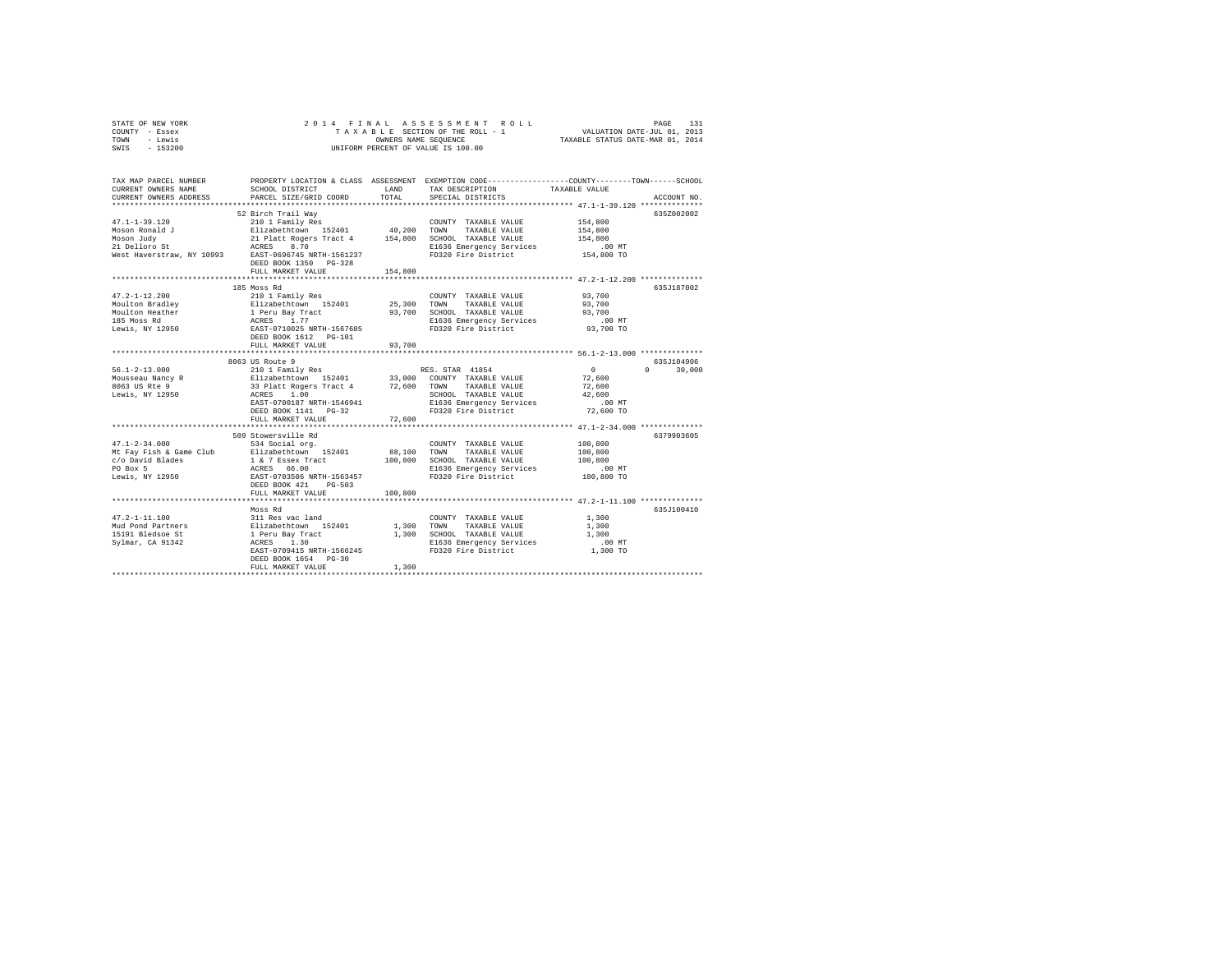| STATE OF NEW YORK | 2014 FINAL ASSESSMENT ROLL         | 131<br>PAGE                      |
|-------------------|------------------------------------|----------------------------------|
| COUNTY - Essex    | TAXABLE SECTION OF THE ROLL - 1    | VALUATION DATE-JUL 01, 2013      |
| TOWN<br>- Lewis   | OWNERS NAME SEOUENCE               | TAXABLE STATUS DATE-MAR 01, 2014 |
| $-153200$<br>SWIS | UNIFORM PERCENT OF VALUE IS 100.00 |                                  |

| TAX MAP PARCEL NUMBER<br>CURRENT OWNERS NAME<br>CURRENT OWNERS ADDRESS                            | PROPERTY LOCATION & CLASS ASSESSMENT<br>SCHOOL DISTRICT<br>PARCEL SIZE/GRID COORD                                                                                                                                                       | LAND<br>TOTAL                        | EXEMPTION CODE-----------------COUNTY-------TOWN------SCHOOL<br>TAX DESCRIPTION<br>SPECIAL DISTRICTS                                       | TAXABLE VALUE                                                                                                | ACCOUNT NO.      |
|---------------------------------------------------------------------------------------------------|-----------------------------------------------------------------------------------------------------------------------------------------------------------------------------------------------------------------------------------------|--------------------------------------|--------------------------------------------------------------------------------------------------------------------------------------------|--------------------------------------------------------------------------------------------------------------|------------------|
| $47.1 - 1 - 39.120$<br>Moson Ronald J<br>Moson Judy<br>21 Delloro St<br>West Haverstraw, NY 10993 | 52 Birch Trail Way<br>210 1 Family Res<br>Elizabethtown 152401 40,200 TOWN<br>21 Platt Rogers Tract 4 154,800<br>ACRES<br>8.70<br>EAST-0696745 NRTH-1561237<br>DEED BOOK 1350 PG-328<br>FULL MARKET VALUE<br>************************** | 154,800<br>************              | COUNTY TAXABLE VALUE<br>TAXABLE VALUE<br>SCHOOL TAXABLE VALUE<br>E1636 Emergency Services<br>FD320 Fire District                           | 154,800<br>154,800<br>154,800<br>$.00$ MT<br>154,800 TO<br>********************* 47.2-1-12.200 ************* | 635Z002002       |
| $47.2 - 1 - 12.200$<br>Moulton Bradley<br>Moulton Heather<br>185 Moss Rd<br>Lewis, NY 12950       | 185 Moss Rd<br>210 1 Family Res<br>Elizabethtown 152401<br>1 Peru Bay Tract<br>ACRES 1.77<br>EAST-0710025 NRTH-1567685<br>DEED BOOK 1612    PG-101<br>FULL MARKET VALUE                                                                 | 25,300 TOWN<br>93,700<br>93,700<br>. | COUNTY TAXABLE VALUE<br>TAXABLE VALUE<br>SCHOOL TAXABLE VALUE<br>E1636 Emergency Services<br>FD320 Fire District                           | 93,700<br>93,700<br>93,700<br>$.00$ MT<br>93,700 TO<br>************************ 56.1-2-13.000 ************** | 635J187002       |
|                                                                                                   | 8063 US Route 9                                                                                                                                                                                                                         |                                      |                                                                                                                                            |                                                                                                              | 635J104906       |
| $56.1 - 2 - 13.000$<br>Mousseau Nancy R<br>8063 US Rte 9<br>Lewis, NY 12950                       | 210 1 Family Res<br>Elizabethtown 152401 33,000 COUNT<br>33 Platt Rogers Tract 4 72,600 TOWN<br>ACRES 1.00<br>EAST-0700187 NRTH-1546941<br>DEED BOOK 1141 PG-32                                                                         |                                      | RES. STAR 41854<br>33,000 COUNTY TAXABLE VALUE<br>TAXABLE VALUE<br>SCHOOL TAXABLE VALUE<br>E1636 Emergency Services<br>FD320 Fire District | $\sim$ 0<br>72,600<br>72,600<br>42,600<br>$.00$ MT<br>72,600 TO                                              | $\cap$<br>30,000 |
|                                                                                                   | FULL MARKET VALUE                                                                                                                                                                                                                       | 72,600                               |                                                                                                                                            |                                                                                                              |                  |
| $47.1 - 2 - 34.000$<br>c/o David Blades<br>PO Box 5<br>Lewis, NY 12950                            | 509 Stowersville Rd<br>534 Social org.<br>Mt Fay Fish & Game Club Elizabethtown 152401<br>1 & 7 Essex Tract<br>ACRES 66.00<br>EAST-0703506 NRTH-1563457<br>DEED BOOK 421<br>PG-503                                                      | 88,100<br>100,800                    | COUNTY TAXABLE VALUE<br>TOWN<br>TAXABLE VALUE<br>SCHOOL TAXABLE VALUE<br>E1636 Emergency Services<br>FD320 Fire District                   | 100,800<br>100,800<br>100,800<br>$.00$ MT<br>100,800 TO                                                      | 6379903605       |
|                                                                                                   | FULL MARKET VALUE                                                                                                                                                                                                                       | 100,800                              |                                                                                                                                            |                                                                                                              |                  |
| $47.2 - 1 - 11.100$<br>Mud Pond Partners<br>15191 Bledsoe St<br>Sylmar, CA 91342                  | Moss Rd<br>311 Res vac land<br>Elizabethtown 152401<br>1 Peru Bay Tract<br>ACRES 1.30<br>EAST-0709415 NRTH-1566245<br>DEED BOOK 1654 PG-30<br>FULL MARKET VALUE                                                                         | 1,300<br>1,300<br>1,300              | COUNTY TAXABLE VALUE<br>TOWN<br>TAXABLE VALUE<br>SCHOOL TAXABLE VALUE<br>E1636 Emergency Services<br>FD320 Fire District                   | 1,300<br>1,300<br>1,300<br>$.00$ MT<br>1,300 TO                                                              | 635J100410       |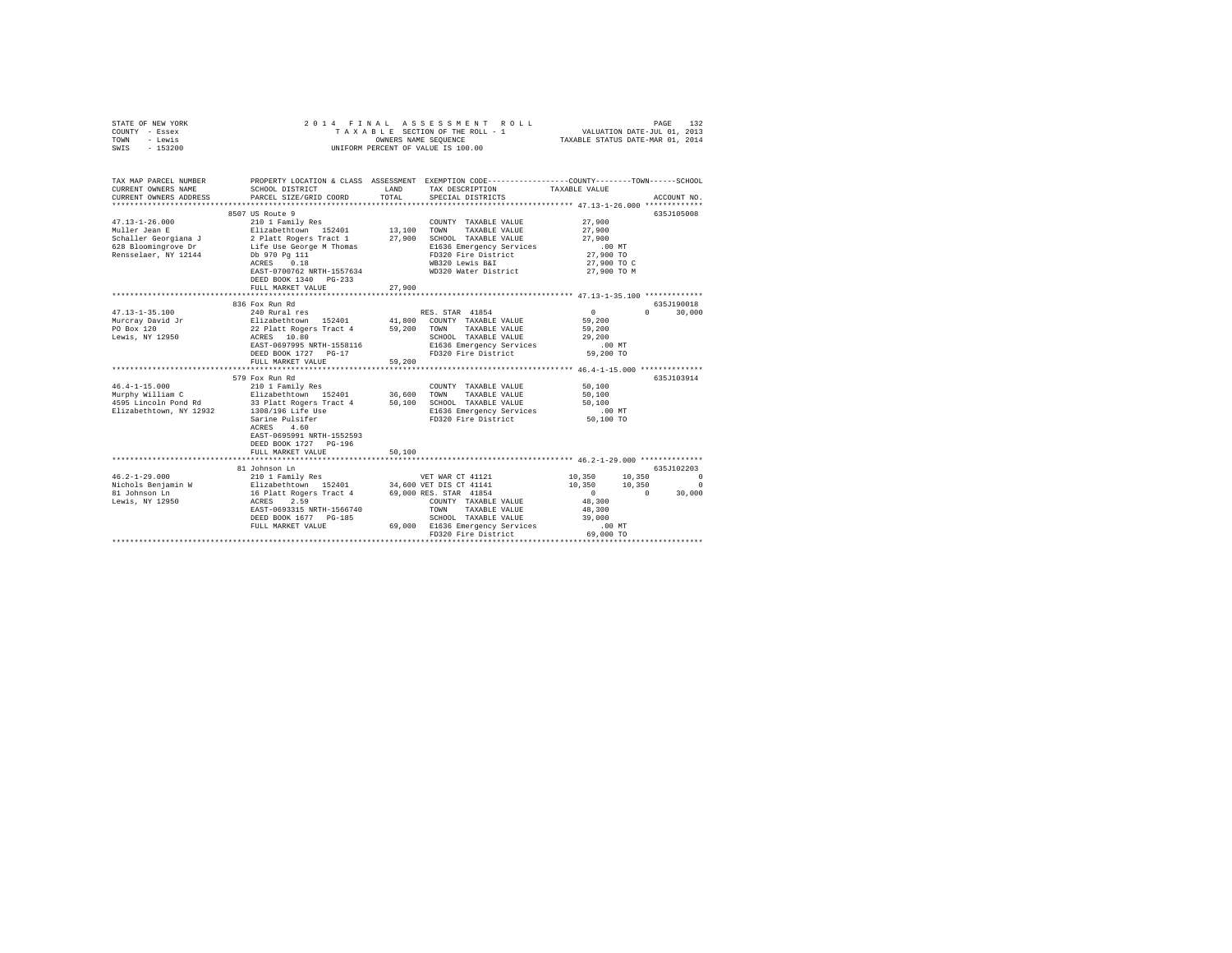| STATE OF NEW YORK<br>COUNTY - Essex<br>TOWN<br>- Lewis<br>SWIS - 153200 | 2014 FINAL                                      | OWNERS NAME SEOUENCE | ASSESSMENT<br>ROLL.<br>TAXABLE SECTION OF THE ROLL - 1<br>UNIFORM PERCENT OF VALUE IS 100.00                      | VALUATION DATE-JUL 01, 2013<br>TAXABLE STATUS DATE-MAR 01, 2014 | PAGE<br>132   |
|-------------------------------------------------------------------------|-------------------------------------------------|----------------------|-------------------------------------------------------------------------------------------------------------------|-----------------------------------------------------------------|---------------|
| TAX MAP PARCEL NUMBER<br>CURRENT OWNERS NAME                            | SCHOOL DISTRICT                                 | LAND                 | PROPERTY LOCATION & CLASS ASSESSMENT EXEMPTION CODE---------------COUNTY-------TOWN-----SCHOOL<br>TAX DESCRIPTION | TAXABLE VALUE                                                   |               |
| CURRENT OWNERS ADDRESS                                                  | PARCEL SIZE/GRID COORD                          | TOTAL                | SPECIAL DISTRICTS                                                                                                 |                                                                 | ACCOUNT NO.   |
|                                                                         | 8507 US Route 9                                 |                      |                                                                                                                   |                                                                 | 635J105008    |
| $47.13 - 1 - 26.000$                                                    | 210 1 Family Res                                |                      | COUNTY TAXABLE VALUE                                                                                              | 27,900                                                          |               |
| Muller Jean E                                                           | Elizabethtown 152401<br>2 Platt Rogers Tract 1  | 13,100 TOWN          | TAXABLE VALUE                                                                                                     | 27,900                                                          |               |
| Schaller Georgiana J                                                    |                                                 |                      | 27,900 SCHOOL TAXABLE VALUE                                                                                       | 27,900                                                          |               |
| 628 Bloomingrove Dr                                                     | Life Use George M Thomas<br>Db 970 Pg 111       |                      | E1636 Emergency Services                                                                                          | $.00$ MT                                                        |               |
| Rensselaer, NY 12144                                                    | ACRES 0.18                                      |                      | FD320 Fire District                                                                                               | 27,900 TO<br>27,900 TO C                                        |               |
|                                                                         | EAST-0700762 NRTH-1557634                       |                      | WB320 Lewis B&I<br>WD320 Water District                                                                           | 27,900 TO M                                                     |               |
|                                                                         | DEED BOOK 1340 PG-233                           |                      |                                                                                                                   |                                                                 |               |
|                                                                         | FULL MARKET VALUE                               | 27,900               |                                                                                                                   |                                                                 |               |
|                                                                         |                                                 |                      |                                                                                                                   |                                                                 |               |
|                                                                         | 836 Fox Run Rd                                  |                      |                                                                                                                   |                                                                 | 635J190018    |
| $47.13 - 1 - 35.100$                                                    | 240 Rural res                                   |                      | RES. STAR 41854                                                                                                   | $\mathbf{0}$                                                    | $0 \t 30,000$ |
| Murcray David Jr<br>PO Box 120                                          | Elizabethtown 152401<br>22 Platt Rogers Tract 4 |                      | 41,800 COUNTY TAXABLE VALUE                                                                                       | 59,200                                                          |               |
| Lewis, NY 12950                                                         | ACRES 10.80                                     |                      | 59,200 TOWN TAXABLE VALUE<br>SCHOOL TAXABLE VALUE                                                                 | 59,200<br>29,200                                                |               |
|                                                                         | EAST-0697995 NRTH-1558116                       |                      | E1636 Emergency Services                                                                                          | $.00$ MT                                                        |               |
|                                                                         | DEED BOOK 1727 PG-17                            |                      | FD320 Fire District                                                                                               | 59,200 TO                                                       |               |
|                                                                         | FULL MARKET VALUE                               | 59,200               |                                                                                                                   |                                                                 |               |
|                                                                         |                                                 |                      |                                                                                                                   |                                                                 |               |
|                                                                         | 579 Fox Run Rd                                  |                      |                                                                                                                   |                                                                 | 635J103914    |
| $46.4 - 1 - 15.000$                                                     | 210 1 Family Res                                |                      | COUNTY TAXABLE VALUE                                                                                              | 50,100                                                          |               |
| Murphy William C<br>4595 Lincoln Pond Rd                                | Elizabethtown 152401<br>33 Platt Rogers Tract 4 |                      | 36,600 TOWN TAXABLE VALUE<br>50,100 SCHOOL TAXABLE VALUE                                                          | 50,100<br>50,100                                                |               |
| Elizabethtown, NY 12932                                                 | 1308/196 Life Use                               |                      | E1636 Emergency Services                                                                                          | $.00$ MT                                                        |               |
|                                                                         | Sarine Pulsifer                                 |                      | FD320 Fire District                                                                                               | 50,100 TO                                                       |               |
|                                                                         | ACRES 4.60                                      |                      |                                                                                                                   |                                                                 |               |
|                                                                         | EAST-0695991 NRTH-1552593                       |                      |                                                                                                                   |                                                                 |               |
|                                                                         | DEED BOOK 1727 PG-196                           |                      |                                                                                                                   |                                                                 |               |
|                                                                         | FULL MARKET VALUE<br>*********************      | 50,100               |                                                                                                                   |                                                                 |               |
|                                                                         | 81 Johnson Ln                                   |                      |                                                                                                                   |                                                                 | 635J102203    |
| $46.2 - 1 - 29.000$                                                     | 210 1 Family Res                                |                      | VET WAR CT 41121                                                                                                  | 10,350 10,350 0                                                 |               |
| Nichols Benjamin W                                                      |                                                 |                      | 34,600 VET DIS CT 41141                                                                                           | $10,350$ $10,350$ 0                                             | $\sim$ 0      |
| 81 Johnson Ln                                                           | Elizabethtown 152401<br>16 Platt Rogers Tract 4 |                      | 69,000 RES. STAR 41854                                                                                            |                                                                 | 30,000        |
| Lewis, NY 12950                                                         | ACRES<br>2.59                                   |                      | COUNTY TAXABLE VALUE                                                                                              | 48,300                                                          |               |
|                                                                         | EAST-0693315 NRTH-1566740                       |                      | TOWN<br>TAXABLE VALUE                                                                                             | 48,300                                                          |               |
|                                                                         | DEED BOOK 1677 PG-185                           |                      | SCHOOL TAXABLE VALUE                                                                                              | 39,000<br>$.00$ MT                                              |               |
|                                                                         | FULL MARKET VALUE                               |                      | 69,000 E1636 Emergency Services<br>FD320 Fire District                                                            | 69,000 TO                                                       |               |
|                                                                         |                                                 |                      | *************************                                                                                         |                                                                 |               |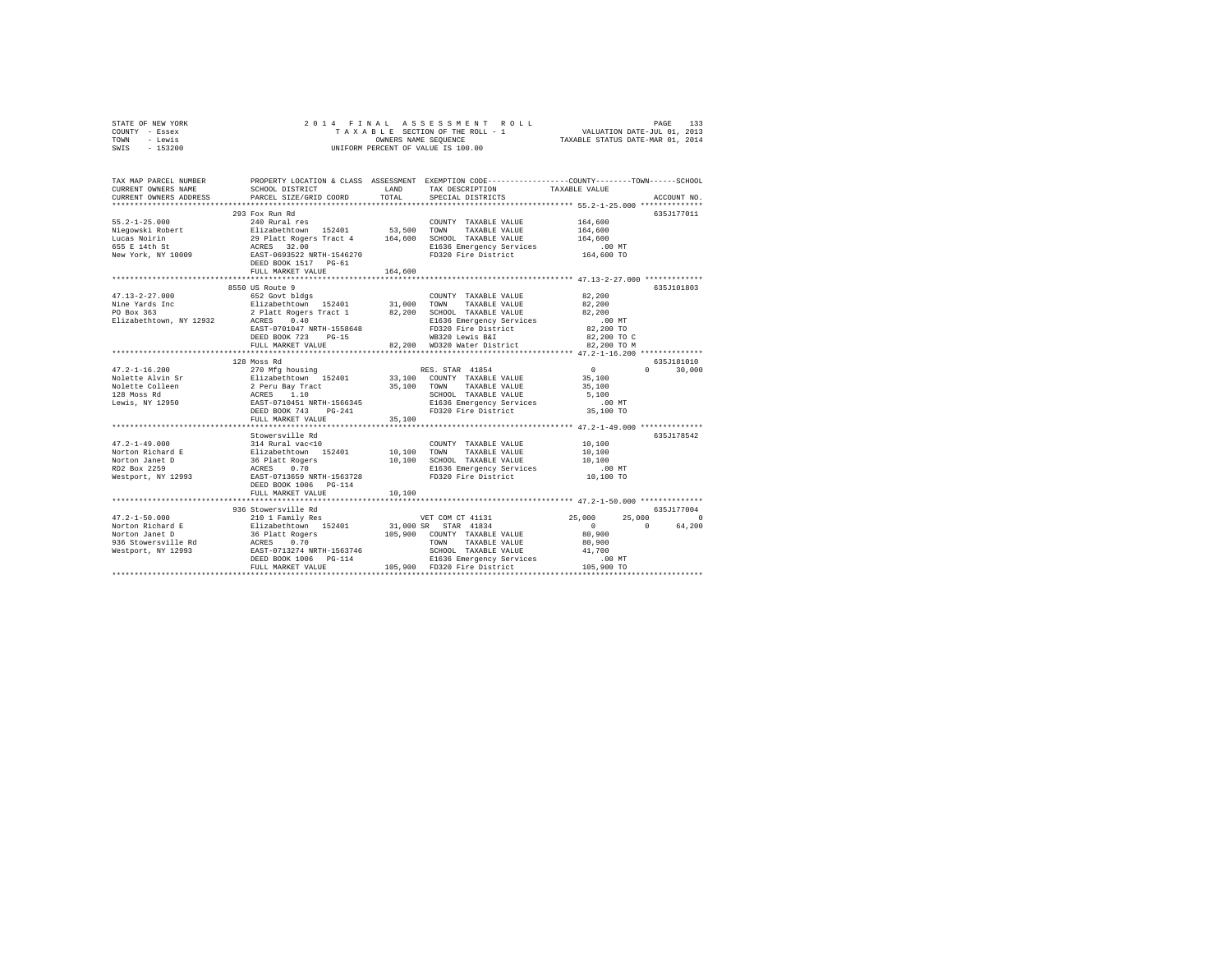| STATE OF NEW YORK | 2014 FINAL ASSESSMENT ROLL         | 133<br>PAGE                      |
|-------------------|------------------------------------|----------------------------------|
| COUNTY - Essex    | TAXABLE SECTION OF THE ROLL - 1    | VALUATION DATE-JUL 01, 2013      |
| TOWN<br>- Lewis   | OWNERS NAME SEOUENCE               | TAXABLE STATUS DATE-MAR 01, 2014 |
| $-153200$<br>SWIS | UNIFORM PERCENT OF VALUE IS 100.00 |                                  |

| TAX MAP PARCEL NUMBER<br>CURRENT OWNERS NAME<br>CURRENT OWNERS ADDRESS | SCHOOL DISTRICT<br>PARCEL SIZE/GRID COORD                                                                                                                                                                                                                                                                                                                                                        | LAND<br>TOTAL | PROPERTY LOCATION & CLASS ASSESSMENT EXEMPTION CODE----------------COUNTY-------TOWN-----SCHOOL<br>TAX DESCRIPTION<br>SPECIAL DISTRICTS                                    | TAXABLE VALUE                          | ACCOUNT NO.                                  |
|------------------------------------------------------------------------|--------------------------------------------------------------------------------------------------------------------------------------------------------------------------------------------------------------------------------------------------------------------------------------------------------------------------------------------------------------------------------------------------|---------------|----------------------------------------------------------------------------------------------------------------------------------------------------------------------------|----------------------------------------|----------------------------------------------|
| $55.2 - 1 - 25.000$                                                    | 293 Fox Run Rd<br>240 Rural res<br>-2-4-2-buver and the set with the state of the state of the state of the state of the state of the state of the state of the state of the state of the state of the state of the state of the state of the state of the state<br>FULL MARKET VALUE                                                                                                            | 164,600       | COUNTY TAXABLE VALUE<br>TAXABLE VALUE 164.600<br>SCHOOL TAXABLE VALUE $164,600$<br>E1636 Emergency Services 00 MT<br>FD320 Fire District 164,600 TO<br>FD320 Fire District | 164,600                                | 635.T177011                                  |
|                                                                        | EAST-0701047 NRTH-1558648<br>$PG-15$<br>DEED BOOK 723<br>FULL MARKET VALUE                                                                                                                                                                                                                                                                                                                       |               | COUNTY TAXABLE VALUE 82,200<br>E1636 Emergency Services 000 MT<br>FD320 Fire District 82,200 TO<br>WB320 Lewis B&I 82,200 TO C<br>82,200 WD320 Water District 82,200 TO M  | 82,200<br>82,200                       | 635J101803                                   |
|                                                                        | 128 Moss Rd                                                                                                                                                                                                                                                                                                                                                                                      |               |                                                                                                                                                                            |                                        | 635J181010                                   |
|                                                                        |                                                                                                                                                                                                                                                                                                                                                                                                  |               | SCHOOL TAXABLE VALUE 5,100<br>E1636 Emergency Services 00 MT<br>FD320 Fire District 35,100 TO                                                                              |                                        | $\Omega$<br>30,000                           |
|                                                                        | FULL MARKET VALUE                                                                                                                                                                                                                                                                                                                                                                                | 35,100        |                                                                                                                                                                            |                                        |                                              |
|                                                                        | Stowersville Rd<br>FULL MARKET VALUE                                                                                                                                                                                                                                                                                                                                                             | 10,100        |                                                                                                                                                                            |                                        | 635.7178542                                  |
|                                                                        |                                                                                                                                                                                                                                                                                                                                                                                                  |               |                                                                                                                                                                            |                                        | 635J177004                                   |
|                                                                        | $\begin{tabular}{l c c c c} \multicolumn{4}{c}{\text{\small 47.2--1-50.000}} & \multicolumn{4}{c}{\text{\small 53.62--1-50.000}} & \multicolumn{4}{c}{\text{\small 54.62--1-50.000}} & \multicolumn{4}{c}{\text{\small 55.62--1-50.000}} & \multicolumn{4}{c}{\text{\small 56.62--1-50.000}} & \multicolumn{4}{c}{\text{\small 57.62--1-50.000}} & \multicolumn{4}{c}{\text{\small 58.62--1-50.$ |               | VET COM CT 41131 25,000                                                                                                                                                    | $\sim$ 0<br>80.900<br>80,900<br>41,700 | 25,000<br>$\Omega$<br>$\mathbf{0}$<br>64,200 |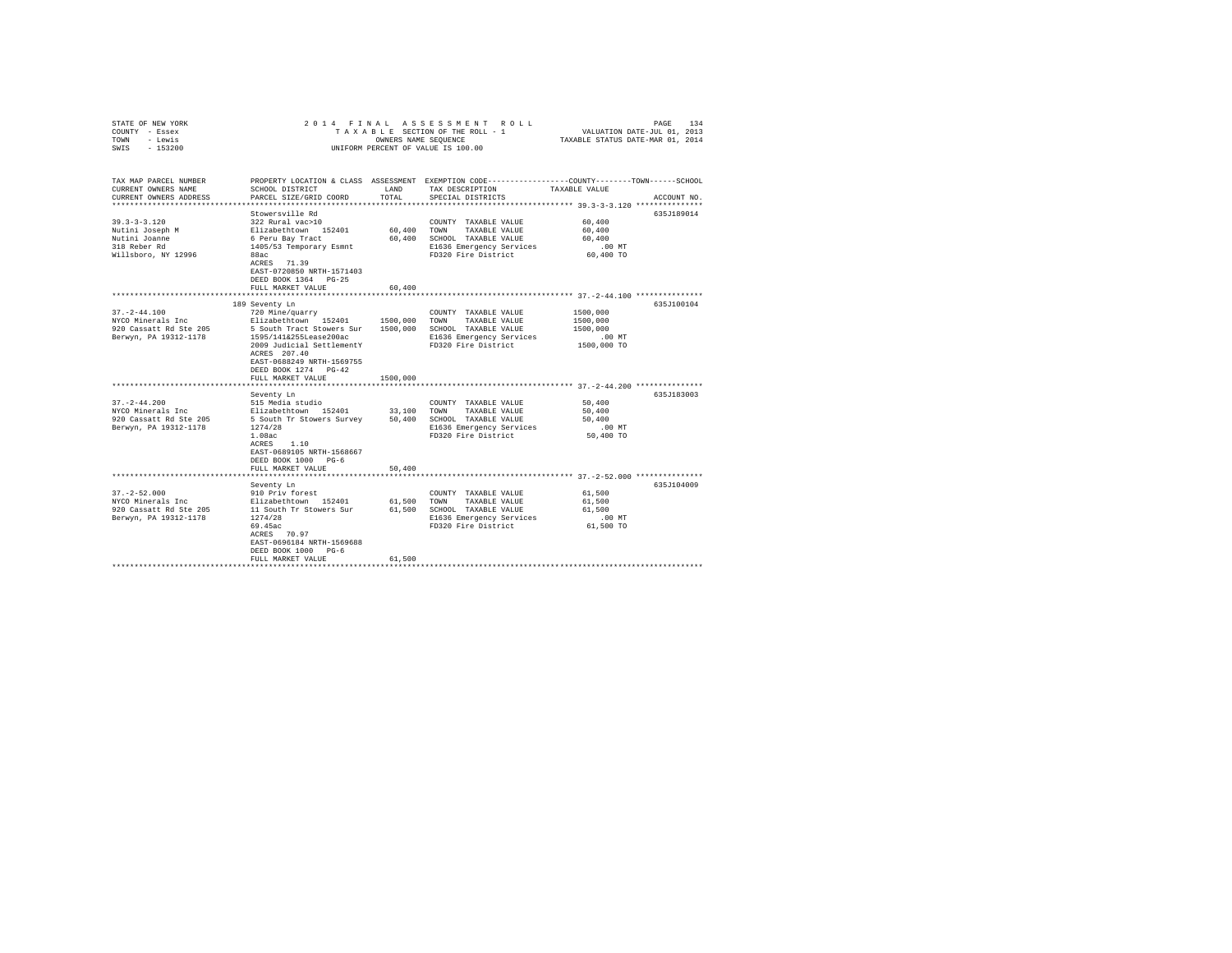| STATE OF NEW YORK<br>COUNTY - Essex<br>TOWN<br>- Lewis<br>SWIS - 153200                                                                                                                  |                                                                                                                                                                                                                                                                                                                                                                                                                       | OWNERS NAME SEOUENCE                                 | 2014 FINAL ASSESSMENT ROLL<br>TAXABLE SECTION OF THE ROLL - 1<br>UNIFORM PERCENT OF VALUE IS 100.00                                                                                                                                                  | VALUATION DATE-JUL 01, 2013<br>TAXABLE STATUS DATE-MAR 01, 2014                                                    | PAGE<br>134              |
|------------------------------------------------------------------------------------------------------------------------------------------------------------------------------------------|-----------------------------------------------------------------------------------------------------------------------------------------------------------------------------------------------------------------------------------------------------------------------------------------------------------------------------------------------------------------------------------------------------------------------|------------------------------------------------------|------------------------------------------------------------------------------------------------------------------------------------------------------------------------------------------------------------------------------------------------------|--------------------------------------------------------------------------------------------------------------------|--------------------------|
| TAX MAP PARCEL NUMBER<br>CURRENT OWNERS NAME<br>CURRENT OWNERS ADDRESS                                                                                                                   | SCHOOL DISTRICT<br>PARCEL SIZE/GRID COORD                                                                                                                                                                                                                                                                                                                                                                             | LAND<br>TOTAL                                        | PROPERTY LOCATION & CLASS ASSESSMENT EXEMPTION CODE----------------COUNTY-------TOWN------SCHOOL<br>TAX DESCRIPTION<br>SPECIAL DISTRICTS                                                                                                             | TAXABLE VALUE                                                                                                      | ACCOUNT NO.              |
| $39.3 - 3 - 3.120$<br>Nutini Joseph M<br>Nutini Joanne<br>318 Reber Rd<br>Willsboro, NY 12996                                                                                            | Stowersville Rd<br>322 Rural vac>10<br>Elizabethtown 152401<br>6 Peru Bay Tract<br>1405/53 Temporary Esmnt<br>88ac<br>ACRES 71.39<br>EAST-0720850 NRTH-1571403<br>DEED BOOK 1364 PG-25<br>FULL MARKET VALUE                                                                                                                                                                                                           | 60,400<br>60,400<br>60,400                           | COUNTY TAXABLE VALUE<br>TOWN<br>TAXABLE VALUE<br>SCHOOL TAXABLE VALUE<br>E1636 Emergency Services<br>FD320 Fire District                                                                                                                             | 60,400<br>60,400<br>60,400<br>.00MT<br>60,400 TO                                                                   | 635J189014               |
|                                                                                                                                                                                          |                                                                                                                                                                                                                                                                                                                                                                                                                       |                                                      | **************************** 37.-2-44.100 **************                                                                                                                                                                                             |                                                                                                                    |                          |
| $37. - 2 - 44.100$<br>NYCO Minerals Inc<br>920 Cassatt Rd Ste 205<br>Berwyn, PA 19312-1178<br>$37. - 2 - 44.200$<br>NYCO Minerals Inc<br>920 Cassatt Rd Ste 205<br>Berwyn, PA 19312-1178 | 189 Seventy Ln<br>720 Mine/quarry<br>Elizabethtown 152401<br>5 South Tract Stowers Sur<br>1595/141&255Lease200ac<br>2009 Judicial SettlementY<br>ACRES 207.40<br>EAST-0688249 NRTH-1569755<br>DEED BOOK 1274 PG-42<br>FULL MARKET VALUE<br>Seventy Ln<br>515 Media studio<br>Elizabethtown 152401<br>5 South Tr Stowers Survey<br>1274/28<br>1.08ac<br>ACRES 1.10<br>EAST-0689105 NRTH-1568667<br>DEED BOOK 1000 PG-6 | 1500,000<br>1500,000<br>1500,000<br>33,100<br>50,400 | COUNTY TAXABLE VALUE<br>TOWN<br>TAXABLE VALUE<br>SCHOOL TAXABLE VALUE<br>E1636 Emergency Services<br>FD320 Fire District<br>COUNTY TAXABLE VALUE<br>TAXABLE VALUE<br>TOWN<br>SCHOOL TAXABLE VALUE<br>E1636 Emergency Services<br>FD320 Fire District | 1500,000<br>1500,000<br>1500,000<br>$.00$ MT<br>1500,000 TO<br>50,400<br>50,400<br>50,400<br>$.00$ MT<br>50,400 TO | 635J100104<br>635J183003 |
|                                                                                                                                                                                          | FULL MARKET VALUE                                                                                                                                                                                                                                                                                                                                                                                                     | 50,400                                               |                                                                                                                                                                                                                                                      |                                                                                                                    |                          |
|                                                                                                                                                                                          | Seventy Ln                                                                                                                                                                                                                                                                                                                                                                                                            |                                                      |                                                                                                                                                                                                                                                      |                                                                                                                    | 635J104009               |
| $37. - 2 - 52.000$<br>NYCO Minerals Inc<br>920 Cassatt Rd Ste 205<br>Berwyn, PA 19312-1178                                                                                               | 910 Priv forest<br>Elizabethtown 152401<br>11 South Tr Stowers Sur<br>1274/28<br>69.45ac<br>ACRES 70.97<br>EAST-0696184 NRTH-1569688<br>DEED BOOK 1000 PG-6<br>FULL MARKET VALUE                                                                                                                                                                                                                                      | 61,500<br>61,500                                     | COUNTY TAXABLE VALUE<br>TOWN<br>TAXABLE VALUE<br>61,500 SCHOOL TAXABLE VALUE<br>E1636 Emergency Services<br>FD320 Fire District                                                                                                                      | 61,500<br>61,500<br>61,500<br>.00MT<br>61,500 TO                                                                   |                          |
|                                                                                                                                                                                          |                                                                                                                                                                                                                                                                                                                                                                                                                       |                                                      |                                                                                                                                                                                                                                                      |                                                                                                                    |                          |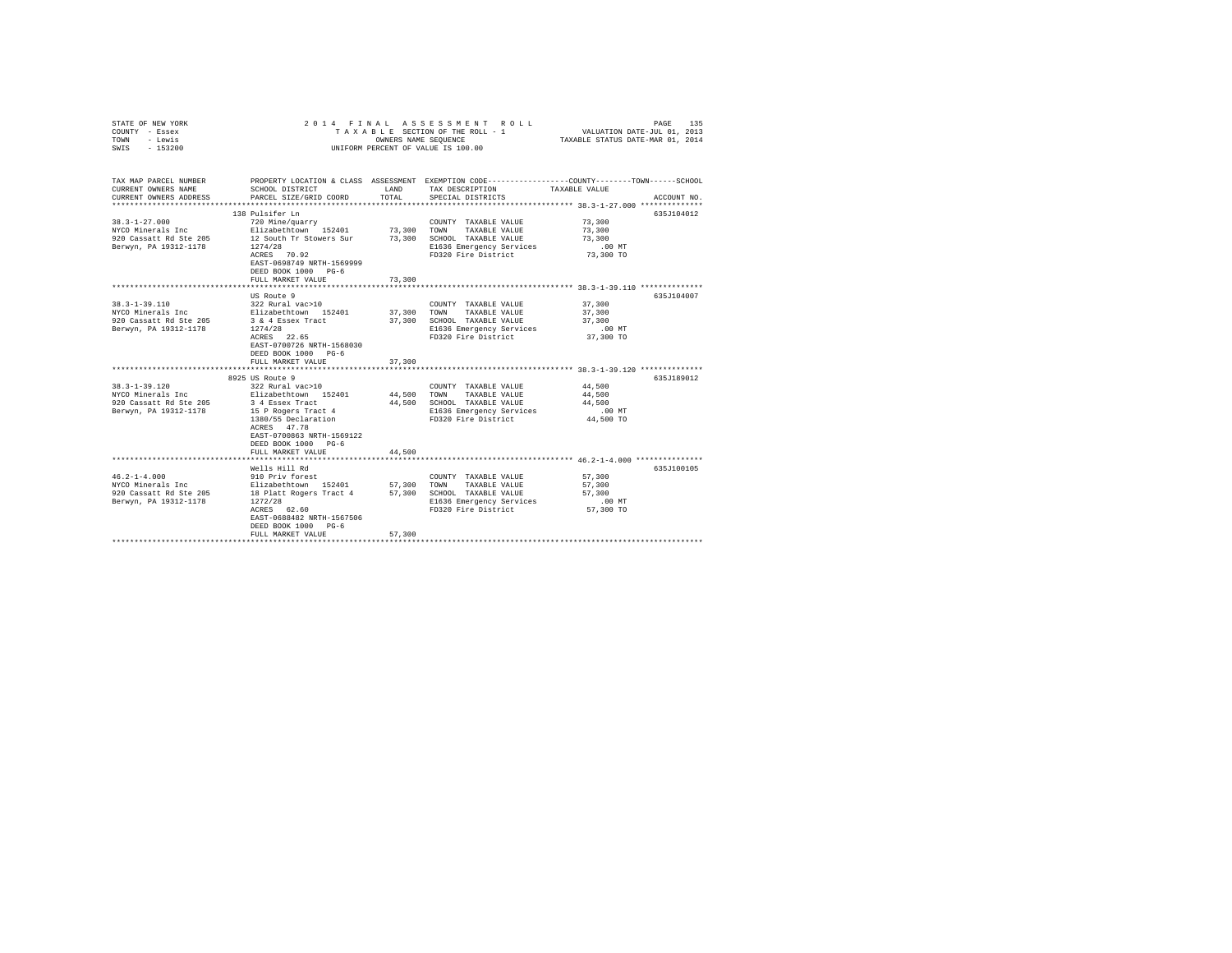| COUNTY - Essex<br>TOWN<br>- Lewis<br>SWIS<br>$-153200$                 |                                                                                                             | OWNERS NAME SEQUENCE | TAXABLE SECTION OF THE ROLL - 1<br>UNIFORM PERCENT OF VALUE IS 100.00 | VALUATION DATE-JUL 01, 2013<br>TAXABLE STATUS DATE-MAR 01, 2014                                                                |
|------------------------------------------------------------------------|-------------------------------------------------------------------------------------------------------------|----------------------|-----------------------------------------------------------------------|--------------------------------------------------------------------------------------------------------------------------------|
| TAX MAP PARCEL NUMBER<br>CURRENT OWNERS NAME<br>CURRENT OWNERS ADDRESS | SCHOOL DISTRICT<br>PARCEL SIZE/GRID COORD                                                                   | LAND<br>TOTAL        | TAX DESCRIPTION<br>SPECIAL DISTRICTS                                  | PROPERTY LOCATION & CLASS ASSESSMENT EXEMPTION CODE---------------COUNTY-------TOWN-----SCHOOL<br>TAXABLE VALUE<br>ACCOUNT NO. |
|                                                                        | 138 Pulsifer Ln                                                                                             |                      |                                                                       | 635J104012                                                                                                                     |
| $38.3 - 1 - 27.000$                                                    | 720 Mine/quarry                                                                                             |                      | COUNTY TAXABLE VALUE                                                  | 73,300                                                                                                                         |
| NYCO Minerals Inc                                                      | Elizabethtown 152401                                                                                        | 73,300               | TOWN<br>TAXABLE VALUE                                                 | 73,300                                                                                                                         |
| 920 Cassatt Rd Ste 205<br>Berwyn, PA 19312-1178                        | 12 South Tr Stowers Sur<br>1274/28                                                                          | 73,300               | SCHOOL TAXABLE VALUE<br>E1636 Emergency Services                      | 73,300<br>$.00$ MT                                                                                                             |
|                                                                        | ACRES 70.92<br>EAST-0698749 NRTH-1569999<br>DEED BOOK 1000 PG-6                                             |                      | FD320 Fire District                                                   | 73,300 TO                                                                                                                      |
|                                                                        | FULL MARKET VALUE<br>****************************                                                           | 73,300               |                                                                       |                                                                                                                                |
|                                                                        | US Route 9                                                                                                  |                      |                                                                       | 635J104007                                                                                                                     |
| $38.3 - 1 - 39.110$                                                    | 322 Rural vac>10                                                                                            |                      | COUNTY TAXABLE VALUE                                                  | 37,300                                                                                                                         |
| NYCO Minerals Inc                                                      | Elizabethtown 152401                                                                                        | 37,300               | TAXABLE VALUE<br>TOWN                                                 | 37,300                                                                                                                         |
| 920 Cassatt Rd Ste 205                                                 | 3 & 4 Essex Tract                                                                                           | 37,300               | SCHOOL TAXABLE VALUE                                                  | 37,300                                                                                                                         |
| Berwyn, PA 19312-1178                                                  | 1274/28                                                                                                     |                      | E1636 Emergency Services                                              | $.00$ MT                                                                                                                       |
|                                                                        | ACRES 22.65<br>EAST-0700726 NRTH-1568030<br>DEED BOOK 1000 PG-6<br>FULL MARKET VALUE                        | 37,300               | FD320 Fire District                                                   | 37,300 TO                                                                                                                      |
|                                                                        |                                                                                                             |                      |                                                                       | ************************ 38.3-1-39.120 **************                                                                          |
|                                                                        | 8925 US Route 9                                                                                             |                      |                                                                       | 635J189012                                                                                                                     |
| $38.3 - 1 - 39.120$                                                    | 322 Rural vac>10                                                                                            |                      | COUNTY TAXABLE VALUE                                                  | 44,500                                                                                                                         |
| NYCO Minerals Inc                                                      | Elizabethtown 152401                                                                                        | 44,500               | TOWN<br>TAXABLE VALUE                                                 | 44,500                                                                                                                         |
| 920 Cassatt Rd Ste 205                                                 | 3 4 Essex Tract                                                                                             | 44,500               | SCHOOL TAXABLE VALUE                                                  | 44,500                                                                                                                         |
| Berwyn, PA 19312-1178                                                  | 15 P Rogers Tract 4                                                                                         |                      | E1636 Emergency Services                                              | $.00$ MT                                                                                                                       |
|                                                                        | 1380/55 Declaration<br>ACRES 47.78<br>EAST-0700863 NRTH-1569122<br>DEED BOOK 1000 PG-6<br>FULL MARKET VALUE | 44,500               | FD320 Fire District                                                   | 44,500 TO                                                                                                                      |
|                                                                        | ****************************                                                                                |                      |                                                                       | ********************************** 46.2-1-4.000 ***************                                                                |
|                                                                        | Wells Hill Rd                                                                                               |                      |                                                                       | 635J100105                                                                                                                     |
| $46.2 - 1 - 4.000$                                                     | 910 Priv forest<br>Elizabethtown 152401                                                                     |                      | COUNTY TAXABLE VALUE                                                  | 57,300                                                                                                                         |
| NYCO Minerals Inc                                                      |                                                                                                             | 57,300               | TOWN<br>TAXABLE VALUE                                                 | 57,300                                                                                                                         |
| 920 Cassatt Rd Ste 205                                                 | 18 Platt Rogers Tract 4 57,300                                                                              |                      | SCHOOL TAXABLE VALUE                                                  | 57,300                                                                                                                         |
| Berwyn, PA 19312-1178                                                  | 1272/28                                                                                                     |                      | E1636 Emergency Services                                              | $.00$ MT                                                                                                                       |
|                                                                        | ACRES 62.60<br>EAST-0688482 NRTH-1567506<br>DEED BOOK 1000 PG-6                                             |                      | FD320 Fire District                                                   | 57,300 TO                                                                                                                      |
|                                                                        | FULL MARKET VALUE                                                                                           | 57,300               |                                                                       |                                                                                                                                |
|                                                                        |                                                                                                             |                      |                                                                       |                                                                                                                                |

STATE OF NEW YORK 2014 FINAL ASSESSMENT ROLL PAGE 135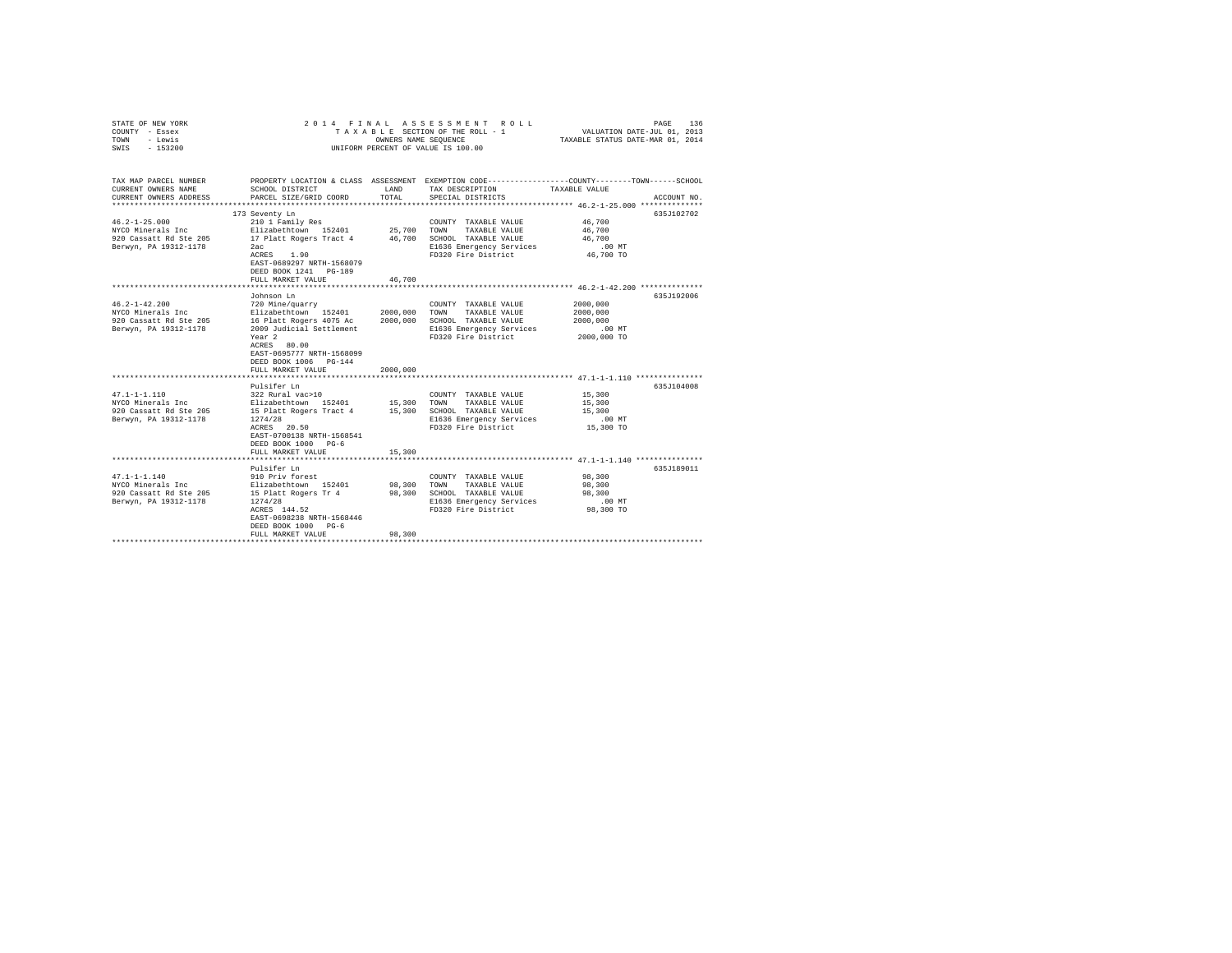| STATE OF NEW YORK<br>COUNTY - Essex<br>TOWN<br>- Lewis<br>SWIS - 153200                                                                  |                                                                                                                                                                                                                               |                                  | 2014 FINAL ASSESSMENT ROLL<br>UNIFORM PERCENT OF VALUE IS 100.00                                                                    | 136<br>PAGE                                                                                                                    |
|------------------------------------------------------------------------------------------------------------------------------------------|-------------------------------------------------------------------------------------------------------------------------------------------------------------------------------------------------------------------------------|----------------------------------|-------------------------------------------------------------------------------------------------------------------------------------|--------------------------------------------------------------------------------------------------------------------------------|
| TAX MAP PARCEL NUMBER<br>CURRENT OWNERS NAME<br>CURRENT OWNERS ADDRESS                                                                   | SCHOOL DISTRICT<br>PARCEL SIZE/GRID COORD                                                                                                                                                                                     | LAND<br>TOTAL                    | TAX DESCRIPTION<br>SPECIAL DISTRICTS                                                                                                | PROPERTY LOCATION & CLASS ASSESSMENT EXEMPTION CODE---------------COUNTY-------TOWN-----SCHOOL<br>TAXABLE VALUE<br>ACCOUNT NO. |
| $46.2 - 1 - 25.000$<br>NYCO Minerals Inc<br>920 Cassatt Rd Ste 205<br>Berwyn, PA 19312-1178                                              | 173 Seventy Ln<br>210 1 Family Res<br>Elizabethtown 152401 25.700 TOWN<br>17 Platt Rogers Tract 4 46,700 SCHOOL TAXABLE VALUE<br>2ac<br>ACRES 1.90<br>EAST-0689297 NRTH-1568079<br>DEED BOOK 1241 PG-189<br>FULL MARKET VALUE | 46,700                           | COUNTY TAXABLE VALUE<br>TAXABLE VALUE<br>E1636 Emergency Services<br>FD320 Fire District                                            | 635J102702<br>46,700<br>46,700<br>46,700<br>$.00$ MT<br>46,700 TO                                                              |
|                                                                                                                                          | Johnson Ln                                                                                                                                                                                                                    |                                  |                                                                                                                                     | 635J192006                                                                                                                     |
| $46.2 - 1 - 42.200$<br>NYCO Minerals Inc Blizabethtown 152401<br>920 Cassatt Rd Ste 205 16 Platt Rogers 4075 Ac<br>Berwyn, PA 19312-1178 | 720 Mine/quarry<br>2009 Judicial Settlement<br>Year <sub>2</sub><br>ACRES 80.00<br>EAST-0695777 NRTH-1568099<br>DEED BOOK 1006 PG-144<br>FULL MARKET VALUE                                                                    | 2000,000<br>2000.000<br>2000,000 | COUNTY TAXABLE VALUE<br>TOWN<br>TAXABLE VALUE<br>SCHOOL TAXABLE VALUE<br>E1636 Emergency Services<br>FD320 Fire District            | 2000.000<br>2000,000<br>2000,000<br>.00 MT<br>2000,000 TO                                                                      |
|                                                                                                                                          | Pulsifer Ln                                                                                                                                                                                                                   |                                  |                                                                                                                                     | 635J104008                                                                                                                     |
| $47.1 - 1 - 1.110$<br>NYCO Minerals Inc<br>920 Cassatt Rd Ste 205<br>Berwyn, PA 19312-1178                                               | 322 Rural vac>10<br>Elizabethtown 152401 15,300 TOWN TAXABLE VALUE<br>15 Platt Rogers Tract 4 15,300 SCHOOL TAXABLE VALUE<br>1274/28<br>$ACRES$ 20.50<br>EAST-0700138 NRTH-1568541<br>DEED BOOK 1000 PG-6                     |                                  | COUNTY TAXABLE VALUE<br>E1636 Emergency Services<br>FD320 Fire District                                                             | 15,300<br>15,300<br>15,300<br>$.00$ MT<br>15,300 TO                                                                            |
|                                                                                                                                          | FULL MARKET VALUE                                                                                                                                                                                                             | 15,300                           |                                                                                                                                     |                                                                                                                                |
| $47.1 - 1 - 1.140$<br>NYCO Minerals Inc Blizabethtown 152401<br>920 Cassatt Rd Ste 205 15 Platt Rogers Tr 4<br>Berwyn, PA 19312-1178     | Pulsifer Ln<br>910 Priv forest<br>1274/28<br>ACRES 144.52<br>EAST-0698238 NRTH-1568446<br>DEED BOOK 1000 PG-6<br>FULL MARKET VALUE                                                                                            | 98,300                           | COUNTY TAXABLE VALUE<br>98,300 TOWN TAXABLE VALUE<br>98,300 SCHOOL TAXABLE VALUE<br>E1636 Emergency Services<br>FD320 Fire District | 635J189011<br>98,300<br>98,300<br>98,300<br>$.00$ MT<br>98,300 TO                                                              |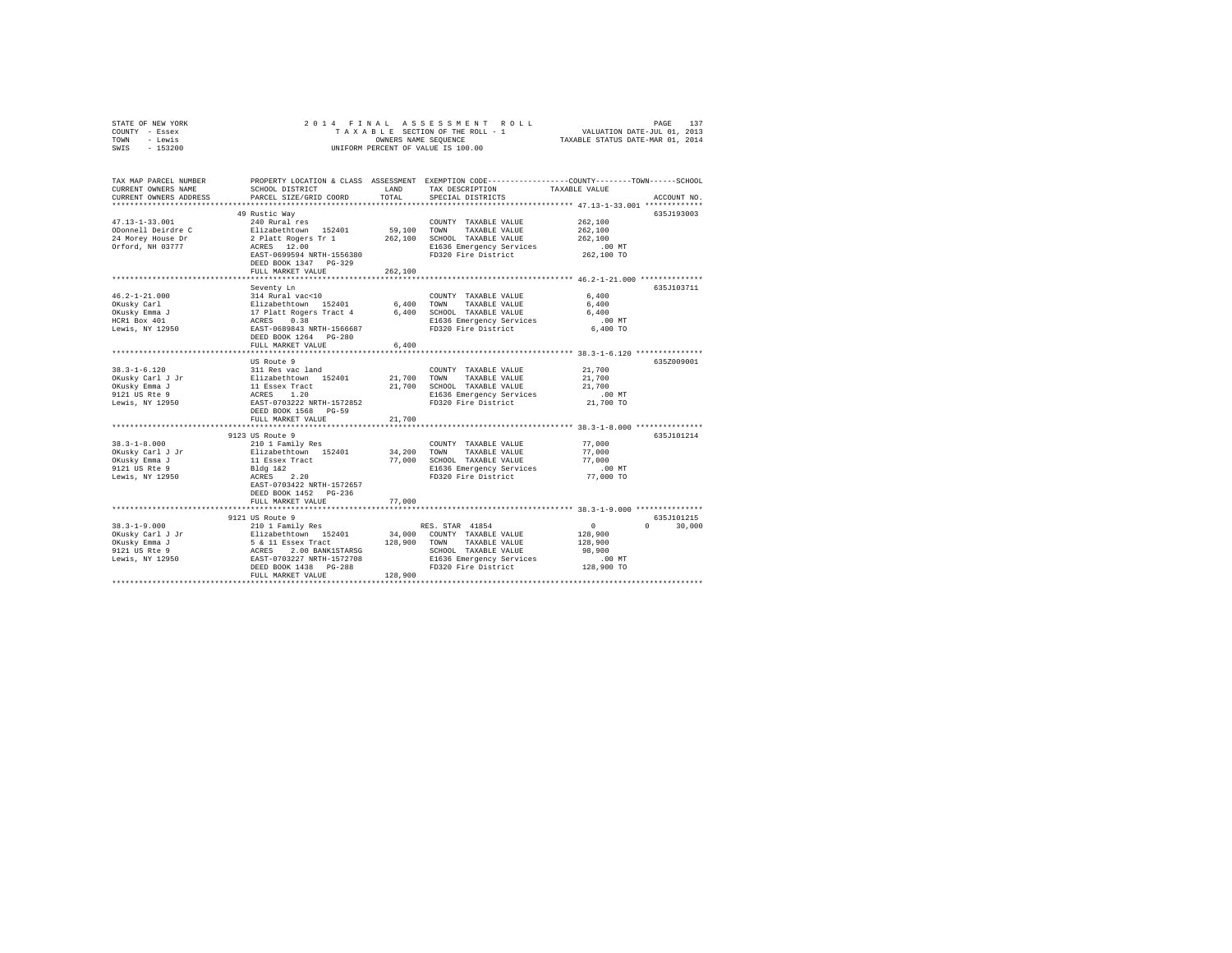| STATE OF NEW YORK<br>COUNTY - Essex<br>- Lewis<br>TOWN<br>SWIS<br>$-153200$ | 2014 FINAL                                                                                 | OWNERS NAME SEQUENCE | RAS SESSMENT ROLL PAGE 137<br>SECTION OF THE ROLL - 1 VALUATION DATE-JUL 01, 2013<br>S NAME SEQUENCE 1 TAXABLE STATUS DATE-MAR 01, 2014<br>TAXABLE SECTION OF THE ROLL - 1<br>UNIFORM PERCENT OF VALUE IS 100.00 |                                                      |                        |
|-----------------------------------------------------------------------------|--------------------------------------------------------------------------------------------|----------------------|------------------------------------------------------------------------------------------------------------------------------------------------------------------------------------------------------------------|------------------------------------------------------|------------------------|
| TAX MAP PARCEL NUMBER<br>CURRENT OWNERS NAME<br>CURRENT OWNERS ADDRESS      | SCHOOL DISTRICT<br>PARCEL SIZE/GRID COORD                                                  | LAND<br>TOTAL        | PROPERTY LOCATION & CLASS ASSESSMENT EXEMPTION CODE----------------COUNTY-------TOWN-----SCHOOL<br>TAX DESCRIPTION<br>SPECIAL DISTRICTS                                                                          | TAXABLE VALUE                                        | ACCOUNT NO.            |
|                                                                             | 49 Rustic Way                                                                              |                      |                                                                                                                                                                                                                  |                                                      | 635J193003             |
| 47.13-1-33.001                                                              | 240 Rural res                                                                              |                      | COUNTY TAXABLE VALUE                                                                                                                                                                                             | 262,100                                              |                        |
| ODonnell Deirdre C                                                          | Elizabethtown 152401                                                                       | 59,100 TOWN          | TAXABLE VALUE                                                                                                                                                                                                    | 262,100                                              |                        |
| 24 Morey House Dr                                                           | 2 Platt Rogers Tr 1<br>ACRES 12.00                                                         |                      | 262,100 SCHOOL TAXABLE VALUE                                                                                                                                                                                     | 262,100                                              |                        |
| Orford, NH 03777                                                            |                                                                                            |                      | E1636 Emergency Services                                                                                                                                                                                         | $.00$ MT                                             |                        |
|                                                                             | EAST-0699594 NRTH-1556380<br>DEED BOOK 1347 PG-329                                         |                      | FD320 Fire District                                                                                                                                                                                              | 262,100 TO                                           |                        |
|                                                                             | FULL MARKET VALUE                                                                          | 262,100              |                                                                                                                                                                                                                  |                                                      |                        |
|                                                                             | *******************                                                                        |                      |                                                                                                                                                                                                                  | *********************** 46.2-1-21.000 ************** |                        |
|                                                                             | Seventy Ln                                                                                 |                      |                                                                                                                                                                                                                  |                                                      | 635J103711             |
| $46.2 - 1 - 21.000$                                                         | 314 Rural vac<10                                                                           |                      | COUNTY TAXABLE VALUE                                                                                                                                                                                             | 6,400                                                |                        |
| OKusky Carl                                                                 |                                                                                            | 6.400 TOWN           | TAXABLE VALUE                                                                                                                                                                                                    | 6,400                                                |                        |
|                                                                             |                                                                                            |                      | 6,400 SCHOOL TAXABLE VALUE                                                                                                                                                                                       | 6,400                                                |                        |
| OKusky Emma J<br>HCR1 Box 401                                               |                                                                                            |                      | E1636 Emergency Services                                                                                                                                                                                         | $.00$ MT                                             |                        |
| Lewis, NY 12950                                                             | Elizabethtown 152401<br>17 Platt Rogers Tract 4<br>ACRES 0.38<br>EAST-0689843 NRTH-1566687 |                      | FD320 Fire District                                                                                                                                                                                              | 6,400 TO                                             |                        |
|                                                                             | DEED BOOK 1264 PG-280                                                                      |                      |                                                                                                                                                                                                                  |                                                      |                        |
|                                                                             | FULL MARKET VALUE                                                                          | 6.400                |                                                                                                                                                                                                                  |                                                      |                        |
|                                                                             |                                                                                            | ************         | *********************************** 38.3-1-6.120 ***************                                                                                                                                                 |                                                      |                        |
| $38.3 - 1 - 6.120$                                                          | US Route 9<br>311 Res vac land                                                             |                      | COUNTY TAXABLE VALUE                                                                                                                                                                                             | 21,700                                               | 635Z009001             |
|                                                                             |                                                                                            | 21,700               | TOWN<br>TAXABLE VALUE                                                                                                                                                                                            | 21,700                                               |                        |
| OKusky Carl J Jr<br>OKusky Emma J                                           |                                                                                            | 21,700               | SCHOOL TAXABLE VALUE                                                                                                                                                                                             | 21,700                                               |                        |
| 9121 US Rte 9                                                               |                                                                                            |                      | E1636 Emergency Services                                                                                                                                                                                         | $.00$ MT                                             |                        |
| Lewis, NY 12950                                                             | Elizabethown 152401<br>11 Essex Tract<br>ACRES 1.20<br>EAST-0703222 NRTH-1572852           |                      | FD320 Fire District                                                                                                                                                                                              | 21,700 TO                                            |                        |
|                                                                             | DEED BOOK 1568 PG-59                                                                       |                      |                                                                                                                                                                                                                  |                                                      |                        |
|                                                                             | FULL MARKET VALUE                                                                          | 21,700               |                                                                                                                                                                                                                  |                                                      |                        |
|                                                                             |                                                                                            | ********             |                                                                                                                                                                                                                  | ************* 38.3-1-8.000 ***************           |                        |
|                                                                             | 9123 US Route 9                                                                            |                      |                                                                                                                                                                                                                  |                                                      | 635J101214             |
| $38.3 - 1 - 8.000$                                                          | 210 1 Family Res                                                                           |                      | COUNTY TAXABLE VALUE                                                                                                                                                                                             | 77,000                                               |                        |
| OKusky Carl J Jr<br>OKusky Emma J                                           | Elizabethtown 152401                                                                       | 34,200<br>77,000     | TOWN<br>TAXABLE VALUE<br>SCHOOL TAXABLE VALUE                                                                                                                                                                    | 77,000<br>77,000                                     |                        |
| 9121 US Rte 9                                                               | 11 Essex Tract<br>Bldg 1&2                                                                 |                      | E1636 Emergency Services                                                                                                                                                                                         | $.00$ MT                                             |                        |
| Lewis, NY 12950                                                             | ACRES 2.20                                                                                 |                      | FD320 Fire District                                                                                                                                                                                              | 77,000 TO                                            |                        |
|                                                                             | EAST-0703422 NRTH-1572657                                                                  |                      |                                                                                                                                                                                                                  |                                                      |                        |
|                                                                             | DEED BOOK 1452 PG-236                                                                      |                      |                                                                                                                                                                                                                  |                                                      |                        |
|                                                                             | FULL MARKET VALUE                                                                          | 77,000               |                                                                                                                                                                                                                  |                                                      |                        |
|                                                                             |                                                                                            |                      |                                                                                                                                                                                                                  |                                                      |                        |
|                                                                             | 9121 US Route 9                                                                            |                      |                                                                                                                                                                                                                  |                                                      | 635J101215             |
| $38.3 - 1 - 9.000$                                                          | 210 1 Family Res                                                                           |                      | RES. STAR 41854                                                                                                                                                                                                  | 0                                                    | $\mathbf{0}$<br>30,000 |
| OKusky Carl J Jr                                                            | Elizabethtown 152401                                                                       | 34,000<br>128,900    | COUNTY TAXABLE VALUE<br>TOWN                                                                                                                                                                                     | 128,900                                              |                        |
| OKusky Emma J<br>9121 US Rte 9                                              |                                                                                            |                      | TAXABLE VALUE<br>SCHOOL TAXABLE VALUE                                                                                                                                                                            | 128,900<br>98,900                                    |                        |
| Lewis, NY 12950                                                             | 5 & 11 Essex Tract<br>ACRES 2.00 BANK1STARSG<br>EAST-0703227 NRTH-1572708                  |                      | E1636 Emergency Services                                                                                                                                                                                         | .00MT                                                |                        |
|                                                                             | DEED BOOK 1438    PG-288                                                                   |                      | FD320 Fire District                                                                                                                                                                                              | 128,900 TO                                           |                        |
|                                                                             | FULL MARKET VALUE                                                                          | 128,900              |                                                                                                                                                                                                                  |                                                      |                        |
|                                                                             |                                                                                            |                      |                                                                                                                                                                                                                  |                                                      |                        |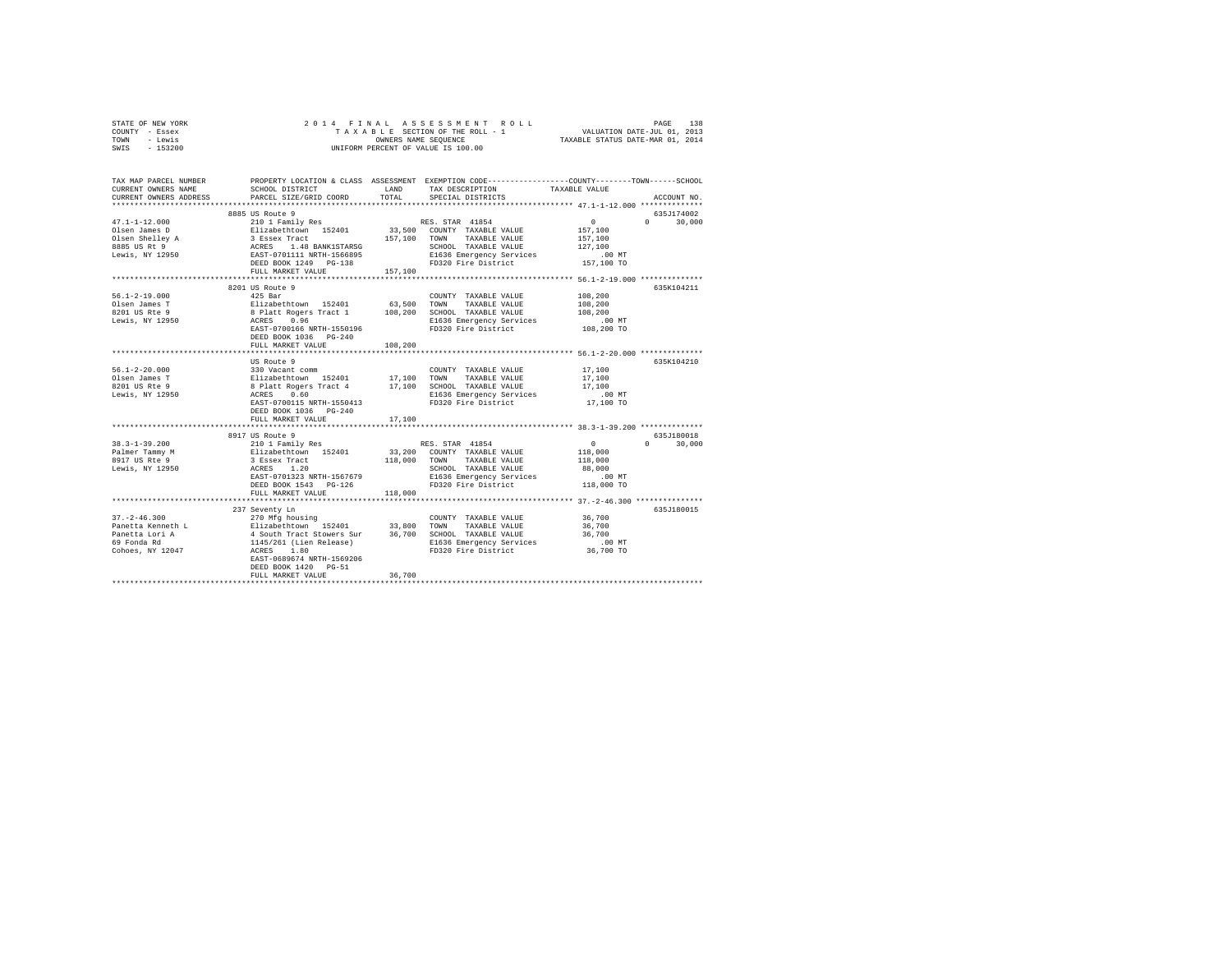| STATE OF NEW YORK |           |  |  | 2014 FINAL ASSESSMENT ROLL         |                                  | PAGE                        | 138 |
|-------------------|-----------|--|--|------------------------------------|----------------------------------|-----------------------------|-----|
| COUNTY - Essex    |           |  |  | TAXABLE SECTION OF THE ROLL - 1    |                                  | VALUATION DATE-JUL 01, 2013 |     |
| TOWN              | - Lewis   |  |  | OWNERS NAME SEOUENCE               | TAXABLE STATUS DATE-MAR 01, 2014 |                             |     |
| SWIS              | $-153200$ |  |  | UNIFORM PERCENT OF VALUE IS 100.00 |                                  |                             |     |

| TAX MAP PARCEL NUMBER<br>CURRENT OWNERS NAME<br>CURRENT OWNERS ADDRESS                                                                                                                                                                                                                                                                                                                                                                                        | SCHOOL DISTRICT<br>PARCEL SIZE/GRID COORD | LAND<br>TOTAL | PROPERTY LOCATION & CLASS ASSESSMENT EXEMPTION CODE---------------COUNTY-------TOWN-----SCHOOL<br>TAX DESCRIPTION<br>SPECIAL DISTRICTS | TAXABLE VALUE                              | ACCOUNT NO.                     |
|---------------------------------------------------------------------------------------------------------------------------------------------------------------------------------------------------------------------------------------------------------------------------------------------------------------------------------------------------------------------------------------------------------------------------------------------------------------|-------------------------------------------|---------------|----------------------------------------------------------------------------------------------------------------------------------------|--------------------------------------------|---------------------------------|
|                                                                                                                                                                                                                                                                                                                                                                                                                                                               |                                           |               |                                                                                                                                        |                                            |                                 |
|                                                                                                                                                                                                                                                                                                                                                                                                                                                               | 8885 US Route 9                           |               |                                                                                                                                        |                                            | 635J174002                      |
| $\begin{tabular}{l c c c c} \multicolumn{3}{c}{47.1-1-12.000} & \multicolumn{3}{c}{\multicolumn{3}{c}{\multicolumn{3}{c}{\multicolumn{3}{c}{\multicolumn{3}{c}{\multicolumn{3}{c}{\multicolumn{3}{c}{\multicolumn{3}{c}{\multicolumn{3}{c}{\multicolumn{3}{c}{\multicolumn{3}{c}{\multicolumn{3}{c}{\multicolumn{3}{c}{\multicolumn{3}{c}{\multicolumn{3}{c}{\multicolumn{3}{c}{\multicolumn{3}{c}{\multicolumn{3}{c}{\multicolumn{3}{c}{\multicolumn{3}{c}{$ |                                           |               |                                                                                                                                        | $\sim$ 0                                   | $\Omega$ and $\Omega$<br>30,000 |
|                                                                                                                                                                                                                                                                                                                                                                                                                                                               |                                           |               |                                                                                                                                        | 157,100<br>157,100                         |                                 |
|                                                                                                                                                                                                                                                                                                                                                                                                                                                               |                                           |               |                                                                                                                                        |                                            |                                 |
|                                                                                                                                                                                                                                                                                                                                                                                                                                                               |                                           |               |                                                                                                                                        | 127,100<br>.00 MT                          |                                 |
|                                                                                                                                                                                                                                                                                                                                                                                                                                                               |                                           |               |                                                                                                                                        |                                            |                                 |
|                                                                                                                                                                                                                                                                                                                                                                                                                                                               |                                           |               | FD320 Fire District 157,100 TO                                                                                                         |                                            |                                 |
|                                                                                                                                                                                                                                                                                                                                                                                                                                                               | FULL MARKET VALUE                         | 157,100       |                                                                                                                                        |                                            |                                 |
|                                                                                                                                                                                                                                                                                                                                                                                                                                                               |                                           |               |                                                                                                                                        |                                            |                                 |
| $56.1 - 2 - 19.000$                                                                                                                                                                                                                                                                                                                                                                                                                                           | 8201 US Route 9<br>425 Bar                |               | COUNTY TAXABLE VALUE                                                                                                                   | 108,200                                    | 635K104211                      |
|                                                                                                                                                                                                                                                                                                                                                                                                                                                               |                                           |               |                                                                                                                                        | 108,200                                    |                                 |
|                                                                                                                                                                                                                                                                                                                                                                                                                                                               |                                           |               |                                                                                                                                        |                                            |                                 |
|                                                                                                                                                                                                                                                                                                                                                                                                                                                               |                                           |               |                                                                                                                                        | 108,200<br>.00 MT                          |                                 |
|                                                                                                                                                                                                                                                                                                                                                                                                                                                               | ACRES 0.96<br>EAST-0700166 NRTH-1550196   |               | FD320 Fire District                                                                                                                    | 108,200 TO                                 |                                 |
|                                                                                                                                                                                                                                                                                                                                                                                                                                                               | DEED BOOK 1036 PG-240                     |               |                                                                                                                                        |                                            |                                 |
|                                                                                                                                                                                                                                                                                                                                                                                                                                                               | FULL MARKET VALUE                         | 108,200       |                                                                                                                                        |                                            |                                 |
|                                                                                                                                                                                                                                                                                                                                                                                                                                                               |                                           |               | ******************************* 56.1-2-20.000 ***************                                                                          |                                            |                                 |
|                                                                                                                                                                                                                                                                                                                                                                                                                                                               | US Route 9                                |               |                                                                                                                                        |                                            | 635K104210                      |
|                                                                                                                                                                                                                                                                                                                                                                                                                                                               |                                           |               | COUNTY TAXABLE VALUE                                                                                                                   | 17,100                                     |                                 |
|                                                                                                                                                                                                                                                                                                                                                                                                                                                               |                                           |               |                                                                                                                                        | 17,100                                     |                                 |
|                                                                                                                                                                                                                                                                                                                                                                                                                                                               |                                           |               |                                                                                                                                        | 17,100                                     |                                 |
|                                                                                                                                                                                                                                                                                                                                                                                                                                                               |                                           |               |                                                                                                                                        |                                            |                                 |
|                                                                                                                                                                                                                                                                                                                                                                                                                                                               |                                           |               |                                                                                                                                        |                                            |                                 |
|                                                                                                                                                                                                                                                                                                                                                                                                                                                               | DEED BOOK 1036 PG-240                     |               |                                                                                                                                        |                                            |                                 |
|                                                                                                                                                                                                                                                                                                                                                                                                                                                               | FULL MARKET VALUE                         | 17,100        |                                                                                                                                        |                                            |                                 |
|                                                                                                                                                                                                                                                                                                                                                                                                                                                               |                                           |               |                                                                                                                                        |                                            |                                 |
|                                                                                                                                                                                                                                                                                                                                                                                                                                                               | 8917 US Route 9                           |               |                                                                                                                                        |                                            | 635J180018                      |
| $38.3 - 1 - 39.200$                                                                                                                                                                                                                                                                                                                                                                                                                                           | 210 1 Family Res                          |               | RES. STAR 41854                                                                                                                        | $\sim$ 0                                   | $0 \qquad \qquad$<br>30,000     |
|                                                                                                                                                                                                                                                                                                                                                                                                                                                               |                                           |               |                                                                                                                                        | 118,000                                    |                                 |
| Palmer Tammy Mark 210 - Family Reserved and the season of the season of the season of the season of the season<br>B917 US Ree 9 3 Base Tract 118,000 COUNTY TAXABLE VALUE AND TAXABLE VALUE And the season of the season of the<br>L                                                                                                                                                                                                                          |                                           |               |                                                                                                                                        | 118,000                                    |                                 |
|                                                                                                                                                                                                                                                                                                                                                                                                                                                               |                                           |               | SCHOOL TAXABLE VALUE 88,000                                                                                                            |                                            |                                 |
|                                                                                                                                                                                                                                                                                                                                                                                                                                                               | EAST-0701323 NRTH-1567679                 |               | E1636 Emergency Services                                                                                                               |                                            |                                 |
|                                                                                                                                                                                                                                                                                                                                                                                                                                                               | DEED BOOK 1543    PG-126                  |               |                                                                                                                                        |                                            |                                 |
|                                                                                                                                                                                                                                                                                                                                                                                                                                                               | FULL MARKET VALUE                         | 118,000       |                                                                                                                                        | **************** 37.-2-46.300 ************ |                                 |
|                                                                                                                                                                                                                                                                                                                                                                                                                                                               |                                           |               |                                                                                                                                        |                                            | 635J180015                      |
|                                                                                                                                                                                                                                                                                                                                                                                                                                                               |                                           |               |                                                                                                                                        |                                            |                                 |
|                                                                                                                                                                                                                                                                                                                                                                                                                                                               |                                           |               |                                                                                                                                        |                                            |                                 |
|                                                                                                                                                                                                                                                                                                                                                                                                                                                               |                                           |               |                                                                                                                                        |                                            |                                 |
|                                                                                                                                                                                                                                                                                                                                                                                                                                                               |                                           |               |                                                                                                                                        |                                            |                                 |
|                                                                                                                                                                                                                                                                                                                                                                                                                                                               |                                           |               |                                                                                                                                        |                                            |                                 |
|                                                                                                                                                                                                                                                                                                                                                                                                                                                               | EAST-0689674 NRTH-1569206                 |               |                                                                                                                                        |                                            |                                 |
|                                                                                                                                                                                                                                                                                                                                                                                                                                                               | DEED BOOK 1420 PG-51                      |               |                                                                                                                                        |                                            |                                 |
|                                                                                                                                                                                                                                                                                                                                                                                                                                                               | FULL MARKET VALUE                         | 36,700        |                                                                                                                                        |                                            |                                 |
|                                                                                                                                                                                                                                                                                                                                                                                                                                                               |                                           |               |                                                                                                                                        |                                            |                                 |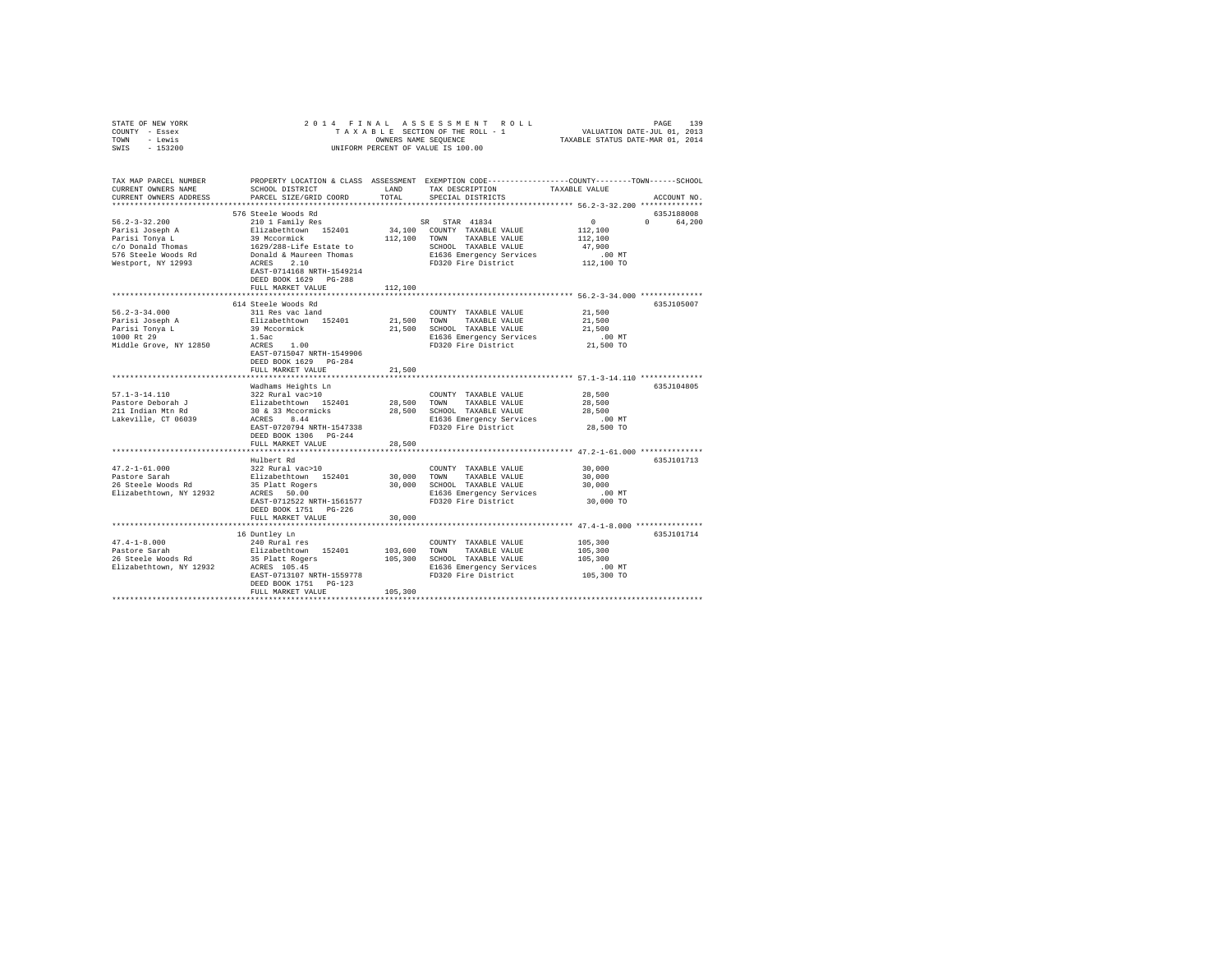| STATE OF NEW YORK<br>COUNTY - Essex<br>TOWN - Lewis<br>SWIS - 153200                                                                                                  | 2014 FINAL                                                                                                                                                                                                |                                  | UNIFORM PERCENT OF VALUE IS 100.00                                                                                                                    | PAGE 139 PAGE 139 PAGE 139 PAGE 139<br>TAXABLE SECTION OF THE ROLL - 1 VALUATION DATE-JUL 01, 2013<br>OWNERS NAME SEQUENCE TRXABLE STATUS DATE-MAR 01, 2014 |  |
|-----------------------------------------------------------------------------------------------------------------------------------------------------------------------|-----------------------------------------------------------------------------------------------------------------------------------------------------------------------------------------------------------|----------------------------------|-------------------------------------------------------------------------------------------------------------------------------------------------------|-------------------------------------------------------------------------------------------------------------------------------------------------------------|--|
| TAX MAP PARCEL NUMBER PROPERTY LOCATION & CLASS ASSESSMENT EXEMPTION CODE---------------COUNTY-------TOWN-----SCHOOL<br>CURRENT OWNERS NAME<br>CURRENT OWNERS ADDRESS | SCHOOL DISTRICT<br>PARCEL SIZE/GRID COORD                                                                                                                                                                 | LAND<br>TOTAL                    | TAX DESCRIPTION<br>SPECIAL DISTRICTS                                                                                                                  | TAXABLE VALUE<br>ACCOUNT NO.                                                                                                                                |  |
| $56.2 - 3 - 32.200$<br>Parisi Joseph A<br>Parisi Tonya L<br>c/o Donald Thomas<br>576 Steele Woods Rd<br>Westport, NY 12993                                            | 576 Steele Woods Rd<br>210 1 Family Res<br>Elizabethtown 152401<br>39 Mccormick<br>1629/288-Life Estate to<br>Donald & Maureen Thomas<br>ACRES 2.10<br>EAST-0714168 NRTH-1549214<br>DEED BOOK 1629 PG-288 |                                  | SR STAR 41834<br>34,100 COUNTY TAXABLE VALUE<br>112,100 TOWN TAXABLE VALUE<br>SCHOOL TAXABLE VALUE<br>E1636 Emergency Services<br>FD320 Fire District | 635J188008<br>$\sim$ 0<br>0 64,200<br>112,100<br>112,100<br>47,900<br>$.00$ MT<br>112,100 TO                                                                |  |
| $56.2 - 3 - 34.000$<br>Parisi Joseph A<br>Parisi Tonya L<br>1000 Rt 29<br>Middle Grove, NY 12850                                                                      | FULL MARKET VALUE<br>614 Steele Woods Rd<br>311 Res vac land<br>Elizabethtown 152401<br>39 Mccormick<br>1.5ac<br>ACRES 1.00<br>EAST-0715047 NRTH-1549906<br>DEED BOOK 1629 PG-284<br>FULL MARKET VALUE    | 112,100<br>21,500 TOWN<br>21,500 | COUNTY TAXABLE VALUE<br>TAXABLE VALUE<br>21,500 SCHOOL TAXABLE VALUE<br>E1636 Emergency Services<br>FD320 Fire District                               | 635J105007<br>21,500<br>21,500<br>21,500<br>$.00$ MT<br>21,500 TO                                                                                           |  |
| $57.1 - 3 - 14.110$<br>Pastore Deborah J<br>211 Indian Mtn Rd<br>Lakeville, CT 06039                                                                                  | Wadhams Heights Ln<br>322 Rural vac>10<br>Elizabethtown 152401<br>30 & 33 Mccormicks<br>ACRES 8.44<br>EAST-0720794 NRTH-1547338<br>DEED BOOK 1306 PG-244<br>FULL MARKET VALUE                             | 28,500                           | COUNTY TAXABLE VALUE<br>28,500 TOWN TAXABLE VALUE<br>28,500 SCHOOL TAXABLE VALUE<br>E1636 Emergency Services<br>FD320 Fire District                   | 635J104805<br>28,500<br>28,500<br>28,500<br>.00 MT<br>28,500 TO                                                                                             |  |
| $47.2 - 1 - 61.000$<br>Pastore Sarah<br>26 Steele Woods Rd<br>Elizabethtown, NY 12932                                                                                 | Hulbert Rd<br>322 Rural vac>10<br>Elizabethtown 152401<br>35 Platt Rogers<br>ACRES 50.00<br>EAST-0712522 NRTH-1561577<br>DEED BOOK 1751 PG-226<br>FULL MARKET VALUE                                       | 30,000<br>30,000                 | COUNTY TAXABLE VALUE<br>TOWN TAXABLE VALUE<br>30,000 SCHOOL TAXABLE VALUE<br>E1636 Emergency Services<br>FD320 Fire District                          | 635J101713<br>30,000<br>30,000<br>30,000<br>$.00$ MT<br>30,000 TO                                                                                           |  |
| 47.4-1-8.000<br>Pastore Sarah<br>26 Steele Woods Rd<br>Elizabethtown, NY 12932 ACRES 105.45                                                                           | 16 Duntley Ln<br>240 Rural res<br>Elizabethtown 152401<br>35 Platt Rogers<br>EAST-0713107 NRTH-1559778<br>DEED BOOK 1751 PG-123<br>FULL MARKET VALUE                                                      | 105,300                          | COUNTY TAXABLE VALUE<br>103,600 TOWN TAXABLE VALUE<br>105,300 SCHOOL TAXABLE VALUE<br>E1636 Emergency Services<br>FD320 Fire District                 | 635J101714<br>105,300<br>105,300<br>105,300<br>$.00$ MT<br>105,300 TO                                                                                       |  |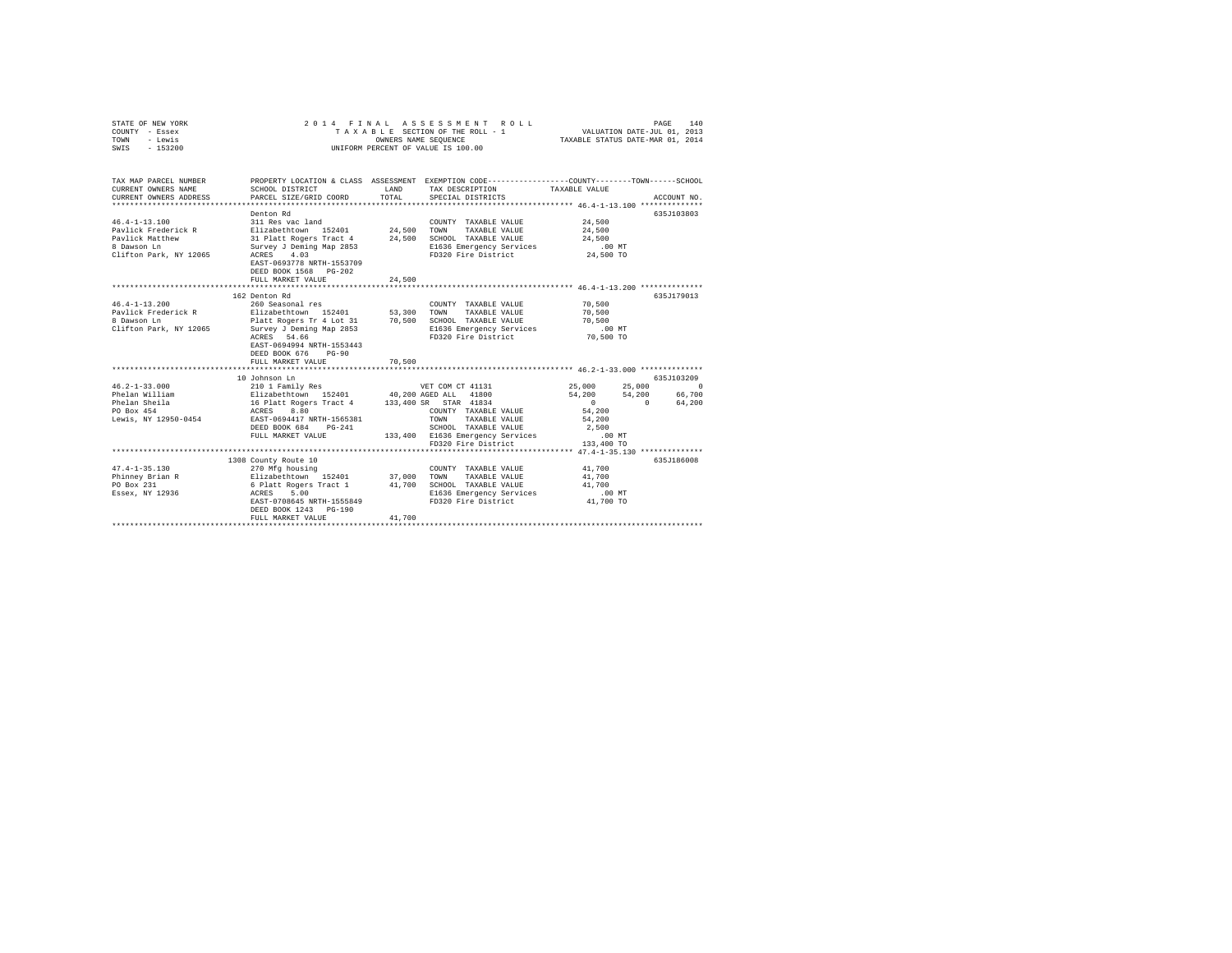| COUNTY - Essex<br>TOWN<br>- Lewis                                                                                                                                                                                                                                                                                                                                                                                                          |                                                                                                                                                                                                  |        |                                                                                                                                                            |          |                                                                                                |
|--------------------------------------------------------------------------------------------------------------------------------------------------------------------------------------------------------------------------------------------------------------------------------------------------------------------------------------------------------------------------------------------------------------------------------------------|--------------------------------------------------------------------------------------------------------------------------------------------------------------------------------------------------|--------|------------------------------------------------------------------------------------------------------------------------------------------------------------|----------|------------------------------------------------------------------------------------------------|
| $-153200$<br>SWTS                                                                                                                                                                                                                                                                                                                                                                                                                          |                                                                                                                                                                                                  |        | UNIFORM PERCENT OF VALUE IS 100.00                                                                                                                         |          |                                                                                                |
|                                                                                                                                                                                                                                                                                                                                                                                                                                            |                                                                                                                                                                                                  |        |                                                                                                                                                            |          |                                                                                                |
| TAX MAP PARCEL NUMBER<br>CURRENT OWNERS NAME                                                                                                                                                                                                                                                                                                                                                                                               | SCHOOL DISTRICT                                                                                                                                                                                  | LAND   | PROPERTY LOCATION & CLASS ASSESSMENT EXEMPTION CODE---------------COUNTY-------TOWN------SCHOOL<br>TAX DESCRIPTION TAXABLE VALUE                           |          |                                                                                                |
| CURRENT OWNERS ADDRESS                                                                                                                                                                                                                                                                                                                                                                                                                     | PARCEL SIZE/GRID COORD                                                                                                                                                                           | TOTAL  | SPECIAL DISTRICTS                                                                                                                                          |          | ACCOUNT NO.                                                                                    |
|                                                                                                                                                                                                                                                                                                                                                                                                                                            |                                                                                                                                                                                                  |        |                                                                                                                                                            |          |                                                                                                |
|                                                                                                                                                                                                                                                                                                                                                                                                                                            | Denton Rd                                                                                                                                                                                        |        |                                                                                                                                                            |          | 635J103803                                                                                     |
| $46.4 - 1 - 13.100$                                                                                                                                                                                                                                                                                                                                                                                                                        | 311 Res vac land                                                                                                                                                                                 |        | COUNTY TAXABLE VALUE 24,500                                                                                                                                |          |                                                                                                |
| Pavlick Frederick R                                                                                                                                                                                                                                                                                                                                                                                                                        |                                                                                                                                                                                                  |        |                                                                                                                                                            | 24,500   |                                                                                                |
| Pavlick Matthew                                                                                                                                                                                                                                                                                                                                                                                                                            |                                                                                                                                                                                                  |        |                                                                                                                                                            | 24,500   |                                                                                                |
| 8 Dawson Ln                                                                                                                                                                                                                                                                                                                                                                                                                                | 311 Res variants 152401 24,500 TOWN TAXABLE VALUE<br>31 Platt Rogers Tract 4 24,500 SCHOOL TAXABLE VALUE<br>Survey J Deminy Map 2853 21636 Emergency Services<br>2007 12 13636 EMERIC PRESS 2011 |        | E1636 Emergency Services .00 MT<br>FD320 Fire District 24,500 TO                                                                                           |          |                                                                                                |
| Clifton Park, NY 12065                                                                                                                                                                                                                                                                                                                                                                                                                     | ACRES 4.03                                                                                                                                                                                       |        |                                                                                                                                                            |          |                                                                                                |
|                                                                                                                                                                                                                                                                                                                                                                                                                                            | EAST-0693778 NRTH-1553709                                                                                                                                                                        |        |                                                                                                                                                            |          |                                                                                                |
|                                                                                                                                                                                                                                                                                                                                                                                                                                            | DEED BOOK 1568 PG-202                                                                                                                                                                            |        |                                                                                                                                                            |          |                                                                                                |
|                                                                                                                                                                                                                                                                                                                                                                                                                                            | FULL MARKET VALUE                                                                                                                                                                                | 24,500 |                                                                                                                                                            |          |                                                                                                |
|                                                                                                                                                                                                                                                                                                                                                                                                                                            | 162 Denton Rd                                                                                                                                                                                    |        |                                                                                                                                                            |          | 635J179013                                                                                     |
| $46.4 - 1 - 13.200$                                                                                                                                                                                                                                                                                                                                                                                                                        | 260 Seasonal res                                                                                                                                                                                 |        | COUNTY TAXABLE VALUE 70,500                                                                                                                                |          |                                                                                                |
|                                                                                                                                                                                                                                                                                                                                                                                                                                            |                                                                                                                                                                                                  |        | TAXABLE VALUE 70,500                                                                                                                                       |          |                                                                                                |
|                                                                                                                                                                                                                                                                                                                                                                                                                                            |                                                                                                                                                                                                  |        |                                                                                                                                                            | 70,500   |                                                                                                |
| Pavilck Frederick R – Dizabethtown 152401 – 53,300 TOWN TAXABLE VALUE<br>8 Dawson Ln – Platt Rogers Tr 4 Lot 31 – 70,500 SCHOOL TAXABLE VALUE<br>Clifton Park, NY 12065 – Survey J Deming Map 2853 – El636 Emergency Services                                                                                                                                                                                                              |                                                                                                                                                                                                  |        |                                                                                                                                                            |          |                                                                                                |
|                                                                                                                                                                                                                                                                                                                                                                                                                                            | ACRES 54.66                                                                                                                                                                                      |        |                                                                                                                                                            |          |                                                                                                |
|                                                                                                                                                                                                                                                                                                                                                                                                                                            | EAST-0694994 NRTH-1553443                                                                                                                                                                        |        |                                                                                                                                                            |          |                                                                                                |
|                                                                                                                                                                                                                                                                                                                                                                                                                                            | DEED BOOK 676 PG-90                                                                                                                                                                              |        |                                                                                                                                                            |          |                                                                                                |
|                                                                                                                                                                                                                                                                                                                                                                                                                                            | FULL MARKET VALUE                                                                                                                                                                                | 70,500 |                                                                                                                                                            |          |                                                                                                |
|                                                                                                                                                                                                                                                                                                                                                                                                                                            |                                                                                                                                                                                                  |        |                                                                                                                                                            |          |                                                                                                |
|                                                                                                                                                                                                                                                                                                                                                                                                                                            | 10 Johnson Ln                                                                                                                                                                                    |        |                                                                                                                                                            |          | 635J103209                                                                                     |
| $46.2 - 1 - 33.000$                                                                                                                                                                                                                                                                                                                                                                                                                        |                                                                                                                                                                                                  |        |                                                                                                                                                            |          | $\begin{array}{ccc} 25\,,000 && 25\,,000 && 0 \\ 54\,,200 && 54\,,200 && 66\,,700 \end{array}$ |
| Phelan William                                                                                                                                                                                                                                                                                                                                                                                                                             |                                                                                                                                                                                                  |        |                                                                                                                                                            |          |                                                                                                |
| Phelan Sheila<br>$PQ = 454$                                                                                                                                                                                                                                                                                                                                                                                                                |                                                                                                                                                                                                  |        |                                                                                                                                                            | $\sim$ 0 | 0 64,200                                                                                       |
|                                                                                                                                                                                                                                                                                                                                                                                                                                            |                                                                                                                                                                                                  |        | COUNTY TAXABLE VALUE                                                                                                                                       | 54,200   |                                                                                                |
| Lewis, NY 12950-0454 EAST-0694417 NRTH-1565381                                                                                                                                                                                                                                                                                                                                                                                             |                                                                                                                                                                                                  |        | TOWN TAXABLE VALUE                                                                                                                                         | 54,200   |                                                                                                |
|                                                                                                                                                                                                                                                                                                                                                                                                                                            |                                                                                                                                                                                                  |        |                                                                                                                                                            |          |                                                                                                |
|                                                                                                                                                                                                                                                                                                                                                                                                                                            |                                                                                                                                                                                                  |        | DEED BOOK 684 PG-241 SCHOOL TAXABLE VALUE 2,500<br>FULL MARKET VALUE 133,400 E1636 Emergency Services 10.0 MT<br>PD320 Fire District 133,400 TO 133,400 TO |          |                                                                                                |
|                                                                                                                                                                                                                                                                                                                                                                                                                                            |                                                                                                                                                                                                  |        | ********************************** 47.4-1-35.130 **************                                                                                            |          |                                                                                                |
|                                                                                                                                                                                                                                                                                                                                                                                                                                            | 1308 County Route 10                                                                                                                                                                             |        |                                                                                                                                                            |          | 635J186008                                                                                     |
|                                                                                                                                                                                                                                                                                                                                                                                                                                            |                                                                                                                                                                                                  |        |                                                                                                                                                            |          |                                                                                                |
| $\begin{array}{lcccc} \texttt{47.4-1-35.130} & \texttt{270 Mfg housing} & \texttt{COUNTY TAAABLE VALUE} & \texttt{41,700} \\ \texttt{Phinney Brian R} & \texttt{Eliabethttown} & \texttt{152401} & \texttt{37,000 TOMN} & \texttt{TAAABLE VALUE} & \texttt{41,700} \\ \texttt{PO Box 231} & \texttt{6 Platt Regers Tract 1} & \texttt{41,700} & \texttt{SCHOOL TAAABLE VALUE} & \texttt{41,700} \\ \texttt{Esex, NY 12936} & \texttt{6 Pl$ |                                                                                                                                                                                                  |        |                                                                                                                                                            |          |                                                                                                |
|                                                                                                                                                                                                                                                                                                                                                                                                                                            |                                                                                                                                                                                                  |        |                                                                                                                                                            |          |                                                                                                |
|                                                                                                                                                                                                                                                                                                                                                                                                                                            | ACRES 5.00<br>EAST-0708645 NRTH-1555849                                                                                                                                                          |        | E1636 Emergency Services .00 MT<br>FD320 Fire District 41,700 TO                                                                                           |          |                                                                                                |
|                                                                                                                                                                                                                                                                                                                                                                                                                                            |                                                                                                                                                                                                  |        |                                                                                                                                                            |          |                                                                                                |
|                                                                                                                                                                                                                                                                                                                                                                                                                                            | DEED BOOK 1243 PG-190                                                                                                                                                                            |        |                                                                                                                                                            |          |                                                                                                |
|                                                                                                                                                                                                                                                                                                                                                                                                                                            | FULL MARKET VALUE                                                                                                                                                                                | 41,700 |                                                                                                                                                            |          |                                                                                                |
|                                                                                                                                                                                                                                                                                                                                                                                                                                            |                                                                                                                                                                                                  |        |                                                                                                                                                            |          |                                                                                                |

STATE OF NEW YORK 2014 FINAL ASSESSMENT ROLL PAGE 140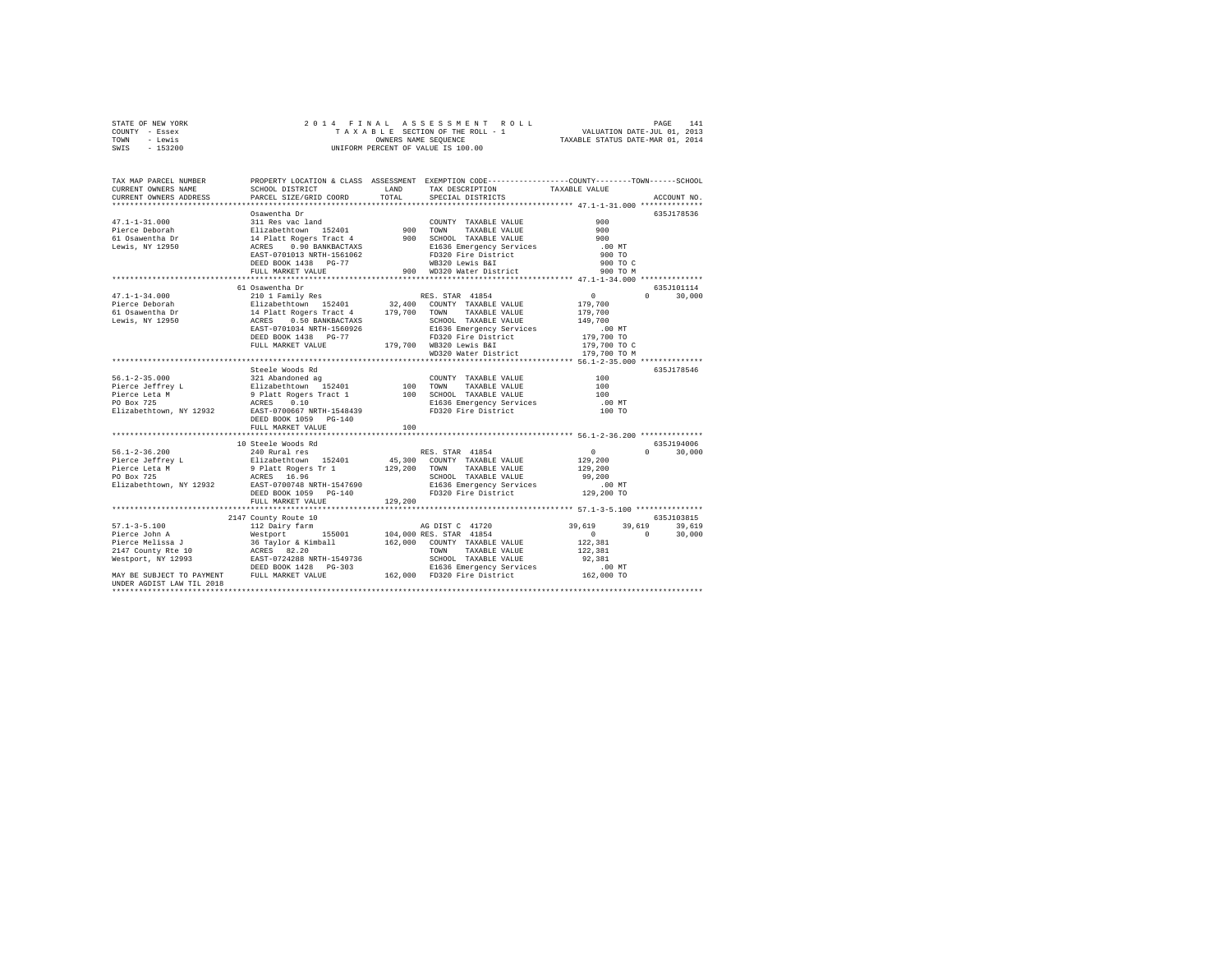| STATE OF NEW YORK | 2014 FINAL ASSESSMENT ROLL         | 141<br>PAGE                      |
|-------------------|------------------------------------|----------------------------------|
| COUNTY - Essex    | TAXABLE SECTION OF THE ROLL - 1    | VALUATION DATE-JUL 01, 2013      |
| TOWN<br>- Lewis   | OWNERS NAME SEOUENCE               | TAXABLE STATUS DATE-MAR 01, 2014 |
| $-153200$<br>SWIS | UNIFORM PERCENT OF VALUE IS 100.00 |                                  |

| TAX MAP PARCEL NUMBER                                                                                                                                                                                                                            |                                                                                                                                              |         | PROPERTY LOCATION & CLASS ASSESSMENT EXEMPTION CODE---------------COUNTY-------TOWN------SCHOOL |                            |                  |
|--------------------------------------------------------------------------------------------------------------------------------------------------------------------------------------------------------------------------------------------------|----------------------------------------------------------------------------------------------------------------------------------------------|---------|-------------------------------------------------------------------------------------------------|----------------------------|------------------|
| CURRENT OWNERS NAME                                                                                                                                                                                                                              | SCHOOL DISTRICT                                                                                                                              | LAND    | TAX DESCRIPTION                                                                                 | TAXABLE VALUE              |                  |
| CURRENT OWNERS ADDRESS                                                                                                                                                                                                                           | PARCEL SIZE/GRID COORD                                                                                                                       | TOTAL   | SPECIAL DISTRICTS                                                                               |                            | ACCOUNT NO.      |
|                                                                                                                                                                                                                                                  |                                                                                                                                              |         |                                                                                                 |                            |                  |
|                                                                                                                                                                                                                                                  | Osawentha Dr                                                                                                                                 |         |                                                                                                 |                            | 635J178536       |
| $47.1 - 1 - 31.000$                                                                                                                                                                                                                              | 311 Res vac land                                                                                                                             |         | COUNTY TAXABLE VALUE                                                                            | 900                        |                  |
|                                                                                                                                                                                                                                                  |                                                                                                                                              |         | 900 TOWN TAXABLE VALUE<br>900 SCHOOL TAXABLE VALUE                                              | 900                        |                  |
| Fierce Deborah and Elizabethtown 152401<br>61 Osawentha Dr 14 Platt Rogers Tract 4<br>Lewis, NY 12950 12858 0.90 BANKBACTAXS<br>EACRES 0.90 BANKBACTAXS                                                                                          |                                                                                                                                              |         |                                                                                                 | 900                        |                  |
|                                                                                                                                                                                                                                                  |                                                                                                                                              |         |                                                                                                 | .00MT                      |                  |
|                                                                                                                                                                                                                                                  |                                                                                                                                              |         | E1636 Emergency Services<br>FD320 Fire District<br>WB320 Lewis B&I<br>900 WD320 Water District  | 900 TO                     |                  |
|                                                                                                                                                                                                                                                  | DEED BOOK 1438 PG-77<br>FULL MARKET VALUE<br>FULL MARKET VALUE                                                                               |         |                                                                                                 | 900 TO C<br>900 TO M       |                  |
|                                                                                                                                                                                                                                                  |                                                                                                                                              |         |                                                                                                 |                            |                  |
|                                                                                                                                                                                                                                                  | 61 Osawentha Dr                                                                                                                              |         |                                                                                                 |                            | 635J101114       |
| $47.1 - 1 - 34.000$                                                                                                                                                                                                                              | 210 1 Family Res                                                                                                                             |         | RES. STAR 41854                                                                                 | $\sim$ 0                   | 30,000<br>$\cap$ |
| Pierce Deborah                                                                                                                                                                                                                                   |                                                                                                                                              |         | 32,400 COUNTY TAXABLE VALUE                                                                     | 179,700                    |                  |
| 61 Osawentha Dr                                                                                                                                                                                                                                  |                                                                                                                                              |         | 179,700 TOWN TAXABLE VALUE                                                                      | 179,700                    |                  |
| Lewis, NY 12950                                                                                                                                                                                                                                  |                                                                                                                                              |         | SCHOOL TAXABLE VALUE                                                                            | 149,700                    |                  |
|                                                                                                                                                                                                                                                  | Elizabethtown 152401<br>14 platt Rogers Tract 4<br>ACRES 0.50 BANKBACTRAS<br>EAST-0701034 NRTH-1560926<br>t Rogers India<br>0.50 BANKBACTAXS |         | E1636 Emergency Services                                                                        | $.00$ MT                   |                  |
|                                                                                                                                                                                                                                                  | DEED BOOK 1438 PG-77                                                                                                                         |         |                                                                                                 |                            |                  |
|                                                                                                                                                                                                                                                  | FULL MARKET VALUE                                                                                                                            |         | FD320 Fire District<br>179,700 WB320 Lewis B&I                                                  | 179,700 TO<br>179,700 TO C |                  |
|                                                                                                                                                                                                                                                  |                                                                                                                                              |         | WD320 Water District                                                                            | 179,700 TO M               |                  |
|                                                                                                                                                                                                                                                  |                                                                                                                                              |         | ************************************** 56.1-2-35.000 **************                             |                            |                  |
|                                                                                                                                                                                                                                                  | Steele Woods Rd                                                                                                                              |         |                                                                                                 |                            | 635.7178546      |
| $56.1 - 2 - 35.000$                                                                                                                                                                                                                              |                                                                                                                                              |         |                                                                                                 | 100                        |                  |
| Pierce Jeffrey L                                                                                                                                                                                                                                 |                                                                                                                                              |         | COUNTY TAXABLE VALUE<br>100 TOWN TAXABLE VALUE                                                  | 100                        |                  |
| Pierce Leta M                                                                                                                                                                                                                                    |                                                                                                                                              |         |                                                                                                 | 100                        |                  |
| PO Box 725                                                                                                                                                                                                                                       |                                                                                                                                              |         |                                                                                                 | $.00$ MT                   |                  |
| Elizabethtown, NY 12932 EAST-0700667 NRTH-1548439                                                                                                                                                                                                |                                                                                                                                              |         | FD320 Fire District                                                                             | 100 TO                     |                  |
|                                                                                                                                                                                                                                                  | DEED BOOK 1059 PG-140                                                                                                                        |         |                                                                                                 |                            |                  |
|                                                                                                                                                                                                                                                  | FULL MARKET VALUE                                                                                                                            | 100     |                                                                                                 |                            |                  |
|                                                                                                                                                                                                                                                  |                                                                                                                                              |         |                                                                                                 |                            |                  |
|                                                                                                                                                                                                                                                  | 10 Steele Woods Rd                                                                                                                           |         |                                                                                                 |                            | 635J194006       |
|                                                                                                                                                                                                                                                  |                                                                                                                                              |         |                                                                                                 | $\Omega$                   | 30,000           |
|                                                                                                                                                                                                                                                  |                                                                                                                                              |         |                                                                                                 | 129,200                    |                  |
|                                                                                                                                                                                                                                                  |                                                                                                                                              |         |                                                                                                 | 129,200                    |                  |
|                                                                                                                                                                                                                                                  |                                                                                                                                              |         |                                                                                                 | 99,200                     |                  |
| Elizabethtown, NY 12932 EAST-0700748 NRTH-1547690                                                                                                                                                                                                |                                                                                                                                              |         | E1636 Emergency Services                                                                        | 00 MT.<br>129,200 TO       |                  |
|                                                                                                                                                                                                                                                  | DEED BOOK 1059 PG-140                                                                                                                        |         | FD320 Fire District                                                                             |                            |                  |
|                                                                                                                                                                                                                                                  | FULL MARKET VALUE                                                                                                                            | 129,200 |                                                                                                 |                            |                  |
|                                                                                                                                                                                                                                                  |                                                                                                                                              |         |                                                                                                 |                            |                  |
|                                                                                                                                                                                                                                                  | 2147 County Route 10                                                                                                                         |         |                                                                                                 |                            | 635J103815       |
|                                                                                                                                                                                                                                                  |                                                                                                                                              |         | AG DIST C 41720                                                                                 | 39,619                     | 39,619<br>39,619 |
|                                                                                                                                                                                                                                                  |                                                                                                                                              |         | 104,000 RES. STAR 41854                                                                         | $\sim$ 0                   | $\sim$<br>30,000 |
| 57.1-3-5.100<br>Pierce John A and Mestport 155001<br>Pierce Melissa J 36 Taylor & Kimball<br>2147 County Rte 10<br>Mestport, NY 1293<br>1287 - 2228 NRTH-1549736<br>1288 NRTH-1549736<br>1288 NRTH-1549736<br>1288 NRTH-1549736<br>1288 NRTH-154 |                                                                                                                                              |         | 162,000 COUNTY TAXABLE VALUE                                                                    | 122,381                    |                  |
|                                                                                                                                                                                                                                                  |                                                                                                                                              |         | TOWN<br>TAXABLE VALUE                                                                           | 122,381                    |                  |
|                                                                                                                                                                                                                                                  |                                                                                                                                              |         | SCHOOL TAXABLE VALUE                                                                            | 92,381                     |                  |
| DEED BOOK 1428 PG-303 E1636 Emergency Services<br>MAY BE SUBJECT TO PAYMENT FULL MARKET VALUE 162,000 FD320 Fire District 162,000 TO                                                                                                             |                                                                                                                                              |         |                                                                                                 |                            |                  |
| UNDER AGDIST LAW TIL 2018                                                                                                                                                                                                                        |                                                                                                                                              |         |                                                                                                 |                            |                  |
|                                                                                                                                                                                                                                                  |                                                                                                                                              |         |                                                                                                 |                            |                  |
|                                                                                                                                                                                                                                                  |                                                                                                                                              |         |                                                                                                 |                            |                  |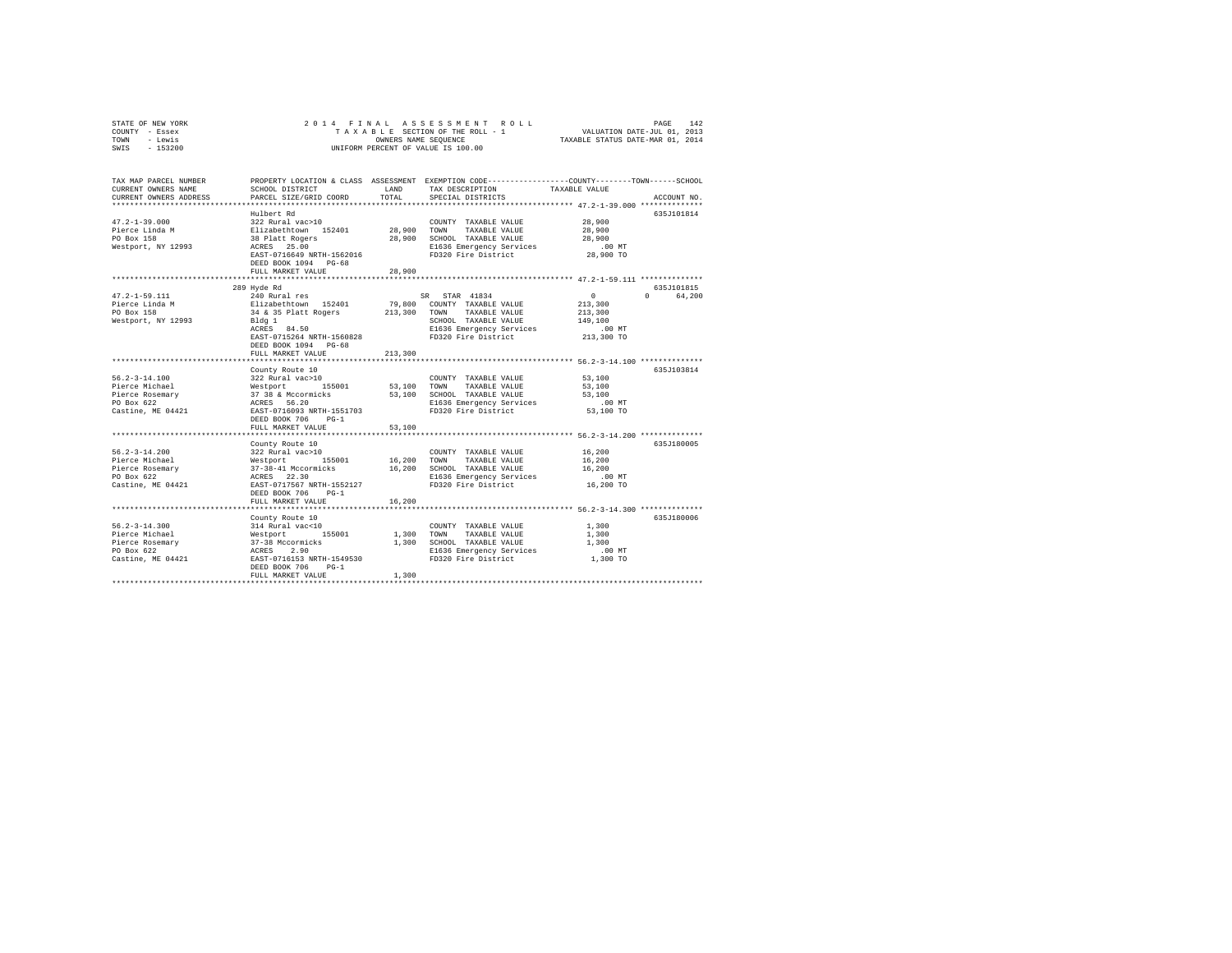| STATE OF NEW YORK            |                                                                                                                                                                                                                       |         | 2014 FINAL ASSESSMENT ROLL                                                                                                                        |                      |                                 |
|------------------------------|-----------------------------------------------------------------------------------------------------------------------------------------------------------------------------------------------------------------------|---------|---------------------------------------------------------------------------------------------------------------------------------------------------|----------------------|---------------------------------|
| COUNTY - Essex               |                                                                                                                                                                                                                       |         | PAGE 142 & SSESSMENT ROLL (PAGE 142 PAGE 142 PAGE 142 PAGE 142 PAGE 142 PAGE 142<br>TAXABLE SECTION OF THE ROLL - 1 (VALUATION DATE-VILL 01, 2013 |                      |                                 |
| TOWN - Lewis                 |                                                                                                                                                                                                                       |         |                                                                                                                                                   |                      |                                 |
| SWIS - 153200                |                                                                                                                                                                                                                       |         | UNIFORM PERCENT OF VALUE IS 100.00                                                                                                                |                      |                                 |
|                              |                                                                                                                                                                                                                       |         |                                                                                                                                                   |                      |                                 |
| TAX MAP PARCEL NUMBER        |                                                                                                                                                                                                                       |         | PROPERTY LOCATION & CLASS ASSESSMENT EXEMPTION CODE----------------COUNTY-------TOWN-----SCHOOL                                                   |                      |                                 |
| CURRENT OWNERS NAME          | SCHOOL DISTRICT                                                                                                                                                                                                       | LAND    | TAX DESCRIPTION TAXABLE VALUE                                                                                                                     |                      |                                 |
| CURRENT OWNERS ADDRESS       | PARCEL SIZE/GRID COORD TOTAL SPECIAL DISTRICTS                                                                                                                                                                        |         |                                                                                                                                                   |                      | ACCOUNT NO.                     |
|                              |                                                                                                                                                                                                                       |         |                                                                                                                                                   |                      |                                 |
|                              | Hulbert Rd                                                                                                                                                                                                            |         |                                                                                                                                                   |                      | 635J101814                      |
| $47.2 - 1 - 39.000$          | 322 Rural vac>10                                                                                                                                                                                                      |         | COUNTY TAXABLE VALUE 28,900                                                                                                                       |                      |                                 |
| Pierce Linda M<br>PO Box 158 |                                                                                                                                                                                                                       |         |                                                                                                                                                   |                      |                                 |
| PO Box 158                   | Elizabethtown 152401 28,900 TOWN TAXABLE VALUE 28,900<br>38 Platt Rogers 28,900 SCHOOL TAXABLE VALUE 28,900<br>ACRES 25.00 BL636 Emergency Services 28,900<br>EXST-0716649 NRTH-1562016 FD320 Fire District 28,900 TO |         |                                                                                                                                                   |                      |                                 |
| Westport, NY 12993           |                                                                                                                                                                                                                       |         |                                                                                                                                                   |                      |                                 |
|                              | DEED BOOK 1094 PG-68                                                                                                                                                                                                  |         |                                                                                                                                                   |                      |                                 |
|                              | FULL MARKET VALUE                                                                                                                                                                                                     | 28,900  |                                                                                                                                                   |                      |                                 |
|                              |                                                                                                                                                                                                                       |         |                                                                                                                                                   |                      |                                 |
|                              | 289 Hyde Rd                                                                                                                                                                                                           |         |                                                                                                                                                   |                      | 635.T101815                     |
| $47.2 - 1 - 59.111$          |                                                                                                                                                                                                                       |         |                                                                                                                                                   | $\sim$ 0             | $\Omega$ and $\Omega$<br>64,200 |
| Pierce Linda M<br>PO Box 158 |                                                                                                                                                                                                                       |         |                                                                                                                                                   | 213,300              |                                 |
|                              |                                                                                                                                                                                                                       |         |                                                                                                                                                   | 213,300              |                                 |
| Westport, NY 12993           | Bldg 1<br>ACRES 84.50                                                                                                                                                                                                 |         | SCHOOL TAXABLE VALUE                                                                                                                              | 149,100              |                                 |
|                              |                                                                                                                                                                                                                       |         |                                                                                                                                                   |                      |                                 |
|                              | DEED BOOK 1094 PG-68                                                                                                                                                                                                  |         |                                                                                                                                                   |                      |                                 |
|                              | FULL MARKET VALUE                                                                                                                                                                                                     | 213,300 |                                                                                                                                                   |                      |                                 |
|                              |                                                                                                                                                                                                                       |         |                                                                                                                                                   |                      |                                 |
|                              | County Route 10                                                                                                                                                                                                       |         |                                                                                                                                                   |                      | 635J103814                      |
| $56.2 - 3 - 14.100$          | 322 Rural vac>10                                                                                                                                                                                                      |         | COUNTY TAXABLE VALUE                                                                                                                              | $53,100$<br>$53,100$ |                                 |
| Pierce Michael               |                                                                                                                                                                                                                       |         | TAXABLE VALUE                                                                                                                                     |                      |                                 |
|                              |                                                                                                                                                                                                                       |         |                                                                                                                                                   |                      |                                 |
|                              |                                                                                                                                                                                                                       |         |                                                                                                                                                   |                      |                                 |
|                              | Castine, ME 04421 EAST-0716093 NRTH-1551703                                                                                                                                                                           |         |                                                                                                                                                   |                      |                                 |
|                              | DEED BOOK 706 PG-1                                                                                                                                                                                                    |         |                                                                                                                                                   |                      |                                 |
|                              | FULL MARKET VALUE                                                                                                                                                                                                     | 53,100  |                                                                                                                                                   |                      |                                 |
|                              |                                                                                                                                                                                                                       |         |                                                                                                                                                   |                      |                                 |
|                              | County Route 10                                                                                                                                                                                                       |         |                                                                                                                                                   |                      | 635J180005                      |
| $56.2 - 3 - 14.200$          | 322 Rural vac>10 COUNT<br>Westport 155001 16,200 TOWN                                                                                                                                                                 |         | COUNTY TAXABLE VALUE                                                                                                                              | $16\,,200$           |                                 |
| Pierce Michael               |                                                                                                                                                                                                                       |         | TAXABLE VALUE                                                                                                                                     | 16,200               |                                 |
|                              | Pierce Rosemary $37-38-41$ Mccormicks $16,200$<br>PO Box 622 $37-38-41$ Mccormicks $16,200$                                                                                                                           |         | SCHOOL TAXABLE VALUE                                                                                                                              | 16,200               |                                 |
|                              |                                                                                                                                                                                                                       |         |                                                                                                                                                   |                      |                                 |
|                              | DEED BOOK 706 PG-1                                                                                                                                                                                                    |         |                                                                                                                                                   |                      |                                 |
|                              | FULL MARKET VALUE                                                                                                                                                                                                     | 16,200  |                                                                                                                                                   |                      |                                 |

County Route 10 635J180006 56.2-3-14.300 314 Rural vac<10 COUNTY TAXABLE VALUE 1,300 Pierce Michael Westport 155001 1,300 TOWN TAXABLE VALUE 1,300 Pierce Rosemary 37-38 Mccormicks 1,300 SCHOOL TAXABLE VALUE 1,300 PO Box 622 ACRES 2.90 E1636 Emergency Services .00 MT Castine, ME 04421 EAST-0716153 NRTH-1549530 FD320 Fire District 1,300 TO DEED BOOK 706 PG-1 FULL MARKET VALUE 1,300 \*\*\*\*\*\*\*\*\*\*\*\*\*\*\*\*\*\*\*\*\*\*\*\*\*\*\*\*\*\*\*\*\*\*\*\*\*\*\*\*\*\*\*\*\*\*\*\*\*\*\*\*\*\*\*\*\*\*\*\*\*\*\*\*\*\*\*\*\*\*\*\*\*\*\*\*\*\*\*\*\*\*\*\*\*\*\*\*\*\*\*\*\*\*\*\*\*\*\*\*\*\*\*\*\*\*\*\*\*\*\*\*\*\*\*\*\*\*\*\*\*\*\*\*\*\*\*\*\*\*\*\*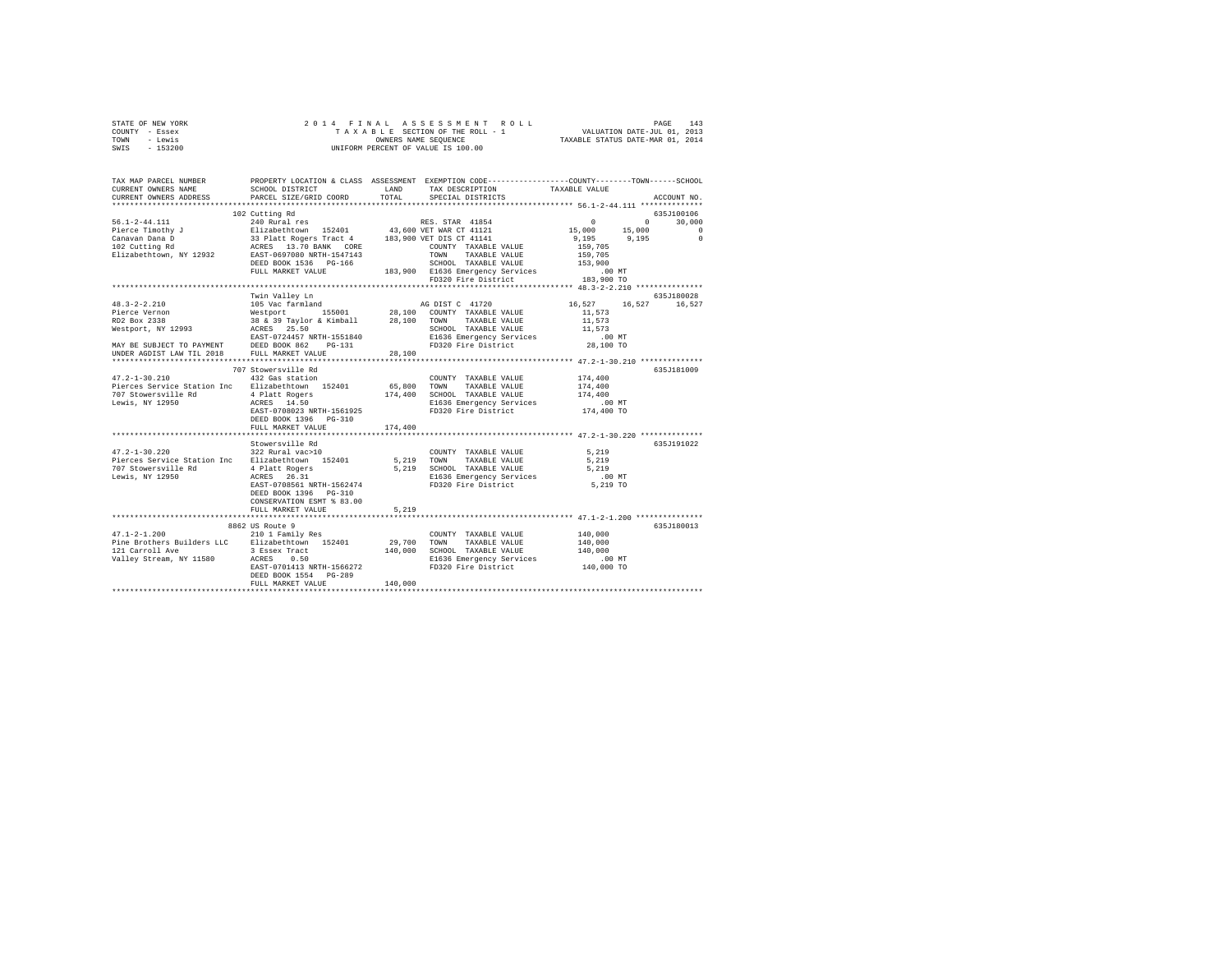| STATE OF NEW YORK | 2014 FINAL ASSESSMENT ROLL         | PAGE                             | 143 |
|-------------------|------------------------------------|----------------------------------|-----|
| COUNTY - Essex    | TAXABLE SECTION OF THE ROLL - 1    | VALUATION DATE-JUL 01, 2013      |     |
| TOWN<br>- Lewis   | OWNERS NAME SEOUENCE               | TAXABLE STATUS DATE-MAR 01, 2014 |     |
| - 153200<br>SWIS  | UNIFORM PERCENT OF VALUE IS 100.00 |                                  |     |
|                   |                                    |                                  |     |

| TAX MAP PARCEL NUMBER                                                                                                                                                                                                               |                           |         | PROPERTY LOCATION & CLASS ASSESSMENT EXEMPTION CODE----------------COUNTY-------TOWN-----SCHOOL                                      |                                                         |                           |
|-------------------------------------------------------------------------------------------------------------------------------------------------------------------------------------------------------------------------------------|---------------------------|---------|--------------------------------------------------------------------------------------------------------------------------------------|---------------------------------------------------------|---------------------------|
| CURRENT OWNERS NAME                                                                                                                                                                                                                 | SCHOOL DISTRICT           | LAND    | TAX DESCRIPTION                                                                                                                      | TAXABLE VALUE                                           |                           |
| CURRENT OWNERS ADDRESS PARCEL SIZE/GRID COORD TOTAL                                                                                                                                                                                 |                           |         | SPECIAL DISTRICTS                                                                                                                    |                                                         | ACCOUNT NO.               |
|                                                                                                                                                                                                                                     |                           |         |                                                                                                                                      |                                                         |                           |
|                                                                                                                                                                                                                                     | 102 Cutting Rd            |         |                                                                                                                                      |                                                         | 635J100106                |
|                                                                                                                                                                                                                                     |                           |         |                                                                                                                                      |                                                         | $\sim$ 0 $\sim$<br>30,000 |
|                                                                                                                                                                                                                                     |                           |         |                                                                                                                                      |                                                         | $\Omega$                  |
|                                                                                                                                                                                                                                     |                           |         |                                                                                                                                      |                                                         | $\sim$ 0                  |
|                                                                                                                                                                                                                                     |                           |         |                                                                                                                                      |                                                         |                           |
|                                                                                                                                                                                                                                     |                           |         |                                                                                                                                      |                                                         |                           |
|                                                                                                                                                                                                                                     | DEED BOOK 1536 PG-166     |         |                                                                                                                                      |                                                         |                           |
|                                                                                                                                                                                                                                     | FULL MARKET VALUE         |         |                                                                                                                                      |                                                         |                           |
|                                                                                                                                                                                                                                     |                           |         | CHOOL TAXABLE VALUE<br>183,900 ELG36 Emergency Services 153,900<br>200 FD320 Fire District 183,900 TO FD320 Fire District 183,900 TO |                                                         |                           |
|                                                                                                                                                                                                                                     |                           |         |                                                                                                                                      |                                                         |                           |
|                                                                                                                                                                                                                                     | Twin Valley Ln            |         |                                                                                                                                      |                                                         | 635J180028                |
| $48.3 - 2 - 2.210$                                                                                                                                                                                                                  |                           |         | 105 Vac farmland AG DIST C 41720                                                                                                     | 16,527 16,527 16,527                                    |                           |
|                                                                                                                                                                                                                                     |                           |         |                                                                                                                                      |                                                         |                           |
|                                                                                                                                                                                                                                     |                           |         |                                                                                                                                      |                                                         |                           |
|                                                                                                                                                                                                                                     |                           |         |                                                                                                                                      |                                                         |                           |
|                                                                                                                                                                                                                                     |                           |         |                                                                                                                                      |                                                         |                           |
|                                                                                                                                                                                                                                     |                           |         |                                                                                                                                      |                                                         |                           |
| 48.3-4-2.410 Variational Mestport 155001 28,100 COUNTY TAXABLE VALUE 16.323<br>Fig. 2338 Westport 155001 28,100 COUNTY TAXABLE VALUE 15.573<br>Re2 Box 2338 Ray Taylor & Kimball 28,100 TOWN TAXABLE VALUE 11,573<br>Resport, NY 12 |                           |         |                                                                                                                                      |                                                         |                           |
|                                                                                                                                                                                                                                     |                           |         |                                                                                                                                      |                                                         |                           |
|                                                                                                                                                                                                                                     | 707 Stowersville Rd       |         |                                                                                                                                      |                                                         | 635J181009                |
| 47.2-1-30.210 432 Gas station                                                                                                                                                                                                       |                           |         | COUNTY TAXABLE VALUE                                                                                                                 | 174,400                                                 |                           |
| Pierces Service Station Inc Elizabethtown 152401 65,800 TOWN TAXABLE VALUE 174,400                                                                                                                                                  |                           |         |                                                                                                                                      |                                                         |                           |
|                                                                                                                                                                                                                                     |                           |         |                                                                                                                                      | 174,400                                                 |                           |
|                                                                                                                                                                                                                                     |                           |         |                                                                                                                                      |                                                         |                           |
|                                                                                                                                                                                                                                     |                           |         |                                                                                                                                      |                                                         |                           |
|                                                                                                                                                                                                                                     | DEED BOOK 1396 PG-310     |         |                                                                                                                                      |                                                         |                           |
|                                                                                                                                                                                                                                     | FULL MARKET VALUE         | 174,400 |                                                                                                                                      |                                                         |                           |
|                                                                                                                                                                                                                                     |                           |         |                                                                                                                                      | *************************** 47.2-1-30.220 ************* |                           |
|                                                                                                                                                                                                                                     | Stowersville Rd           |         |                                                                                                                                      |                                                         | 635J191022                |
| $47.2 - 1 - 30.220$                                                                                                                                                                                                                 | 322 Rural vac>10          |         | COUNTY TAXABLE VALUE                                                                                                                 | 5,219                                                   |                           |
| Pierces Service Station Inc Elizabethtown 152401                                                                                                                                                                                    |                           |         | 5,219 TOWN TAXABLE VALUE                                                                                                             | 5,219                                                   |                           |
|                                                                                                                                                                                                                                     |                           |         |                                                                                                                                      |                                                         |                           |
| 707 Stowersville Rd                             4 Platt Rogers<br>Lewis, NY 12950                       ACRES       26.31                                                                                                           |                           |         |                                                                                                                                      |                                                         |                           |
|                                                                                                                                                                                                                                     | EAST-0708561 NRTH-1562474 |         |                                                                                                                                      |                                                         |                           |
|                                                                                                                                                                                                                                     | DEED BOOK 1396 PG-310     |         |                                                                                                                                      |                                                         |                           |
|                                                                                                                                                                                                                                     | CONSERVATION ESMT % 83.00 |         |                                                                                                                                      |                                                         |                           |
|                                                                                                                                                                                                                                     | FULL MARKET VALUE         | 5,219   |                                                                                                                                      |                                                         |                           |
|                                                                                                                                                                                                                                     |                           |         |                                                                                                                                      |                                                         |                           |
|                                                                                                                                                                                                                                     | 8862 US Route 9           |         |                                                                                                                                      |                                                         | 635J180013                |
| 47.1-2-1.200 210 1 Family Res                                                                                                                                                                                                       |                           |         | COUNTY TAXABLE VALUE                                                                                                                 | 140,000                                                 |                           |
| Pine Brothers Builders LLC Elizabethtown 152401 29,700 TOWN                                                                                                                                                                         |                           |         | TAXABLE VALUE 140.000                                                                                                                |                                                         |                           |
|                                                                                                                                                                                                                                     |                           |         |                                                                                                                                      |                                                         |                           |
|                                                                                                                                                                                                                                     |                           |         |                                                                                                                                      |                                                         |                           |
| 140,000 SCHOOL TAXABLE VALUE 140,000 SALEM 140,000 SCHOOL TAXABLE VALUE 140,000<br>121 Carroll Ave 1580 ACRES 0.500 140,000 E1636 Emergency Services 100 MT<br>200 EAST-0701413 NRTH-1566272 FD320 Fire District 140,000 TO         |                           |         |                                                                                                                                      |                                                         |                           |
|                                                                                                                                                                                                                                     | DEED BOOK 1554 PG-289     |         |                                                                                                                                      |                                                         |                           |
|                                                                                                                                                                                                                                     | FULL MARKET VALUE         | 140,000 |                                                                                                                                      |                                                         |                           |
|                                                                                                                                                                                                                                     |                           |         |                                                                                                                                      |                                                         |                           |
|                                                                                                                                                                                                                                     |                           |         |                                                                                                                                      |                                                         |                           |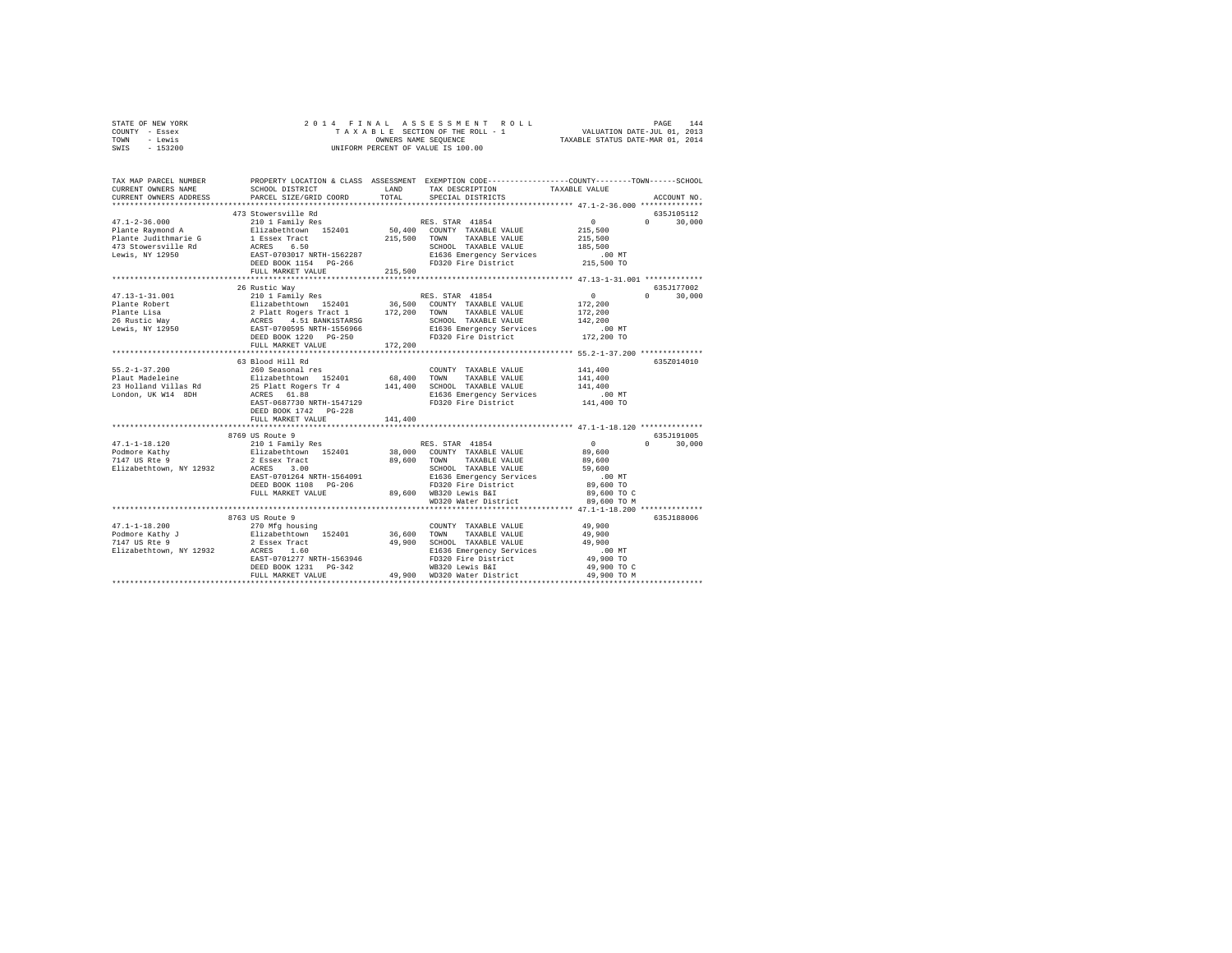|      | STATE OF NEW YORK |  |  |  | 2014 FINAL ASSESSMENT ROLL         |                                  | PAGE | 144 |
|------|-------------------|--|--|--|------------------------------------|----------------------------------|------|-----|
|      | COUNTY - Essex    |  |  |  | TAXABLE SECTION OF THE ROLL - 1    | VALUATION DATE-JUL 01, 2013      |      |     |
| TOWN | - Lewis           |  |  |  | OWNERS NAME SEOUENCE               | TAXABLE STATUS DATE-MAR 01, 2014 |      |     |
| SWIS | - 153200          |  |  |  | UNIFORM PERCENT OF VALUE IS 100.00 |                                  |      |     |

| TAX MAP PARCEL NUMBER<br>CURRENT OWNERS NAME<br>CURRENT OWNERS ADDRESS | SCHOOL DISTRICT<br>PARCEL SIZE/GRID COORD                                                                                                   | <b>LAND</b><br>TOTAL | PROPERTY LOCATION & CLASS ASSESSMENT EXEMPTION CODE---------------COUNTY-------TOWN-----SCHOOL<br>TAX DESCRIPTION<br>SPECIAL DISTRICTS                                                                                              | TAXABLE VALUE      | ACCOUNT NO.                               |
|------------------------------------------------------------------------|---------------------------------------------------------------------------------------------------------------------------------------------|----------------------|-------------------------------------------------------------------------------------------------------------------------------------------------------------------------------------------------------------------------------------|--------------------|-------------------------------------------|
|                                                                        |                                                                                                                                             |                      |                                                                                                                                                                                                                                     |                    |                                           |
|                                                                        |                                                                                                                                             |                      |                                                                                                                                                                                                                                     |                    | 635J105112<br>$0 \t 30,000$               |
|                                                                        |                                                                                                                                             | 215,500              | CHOOL TAXABLE VALUE 185,500<br>E1636 Emergency Services 00 MT<br>FD320 Fire District 215,500 TO                                                                                                                                     |                    |                                           |
|                                                                        | FULL MARKET VALUE                                                                                                                           |                      |                                                                                                                                                                                                                                     |                    |                                           |
| $47.13 - 1 - 31.001$                                                   | 26 Rustic Way<br>210 1 Family Res                                                                                                           |                      | RES. STAR 41854                                                                                                                                                                                                                     | $\sim$ 0           | 635J177002<br>$0 \qquad \qquad$<br>30,000 |
|                                                                        |                                                                                                                                             |                      |                                                                                                                                                                                                                                     |                    |                                           |
|                                                                        |                                                                                                                                             |                      |                                                                                                                                                                                                                                     |                    |                                           |
|                                                                        |                                                                                                                                             |                      |                                                                                                                                                                                                                                     |                    |                                           |
|                                                                        |                                                                                                                                             |                      |                                                                                                                                                                                                                                     |                    |                                           |
|                                                                        |                                                                                                                                             |                      |                                                                                                                                                                                                                                     |                    |                                           |
|                                                                        | FULL MARKET VALUE                                                                                                                           | 172,200              |                                                                                                                                                                                                                                     |                    |                                           |
|                                                                        |                                                                                                                                             |                      |                                                                                                                                                                                                                                     |                    |                                           |
|                                                                        | 63 Blood Hill Rd                                                                                                                            |                      |                                                                                                                                                                                                                                     |                    | 635Z014010                                |
|                                                                        |                                                                                                                                             |                      | COUNTY TAXABLE VALUE 141,400                                                                                                                                                                                                        |                    |                                           |
|                                                                        |                                                                                                                                             |                      |                                                                                                                                                                                                                                     | 141,400<br>141,400 |                                           |
|                                                                        |                                                                                                                                             |                      |                                                                                                                                                                                                                                     |                    |                                           |
|                                                                        |                                                                                                                                             |                      | E1636 Emergency Services .00 MT<br>FD320 Fire District  141,400 TO                                                                                                                                                                  |                    |                                           |
|                                                                        |                                                                                                                                             |                      |                                                                                                                                                                                                                                     |                    |                                           |
|                                                                        | FULL MARKET VALUE                                                                                                                           | 141,400              |                                                                                                                                                                                                                                     |                    |                                           |
|                                                                        |                                                                                                                                             |                      |                                                                                                                                                                                                                                     |                    |                                           |
|                                                                        | CONSIDERING THE STAR 41854 (2001)<br>2 Elizabethtown 152401 38,000 COUNTY TAXABLE VALUE (29,600 FOR 2 Essex Tract (29,600 FOR TAXABLE VALUE |                      |                                                                                                                                                                                                                                     |                    | 635J191005                                |
| $47.1 - 1 - 18.120$                                                    |                                                                                                                                             |                      |                                                                                                                                                                                                                                     |                    | $0 \t 30.000$                             |
| Podmore Kathy<br>7147 US Rte 9                                         |                                                                                                                                             |                      |                                                                                                                                                                                                                                     |                    |                                           |
| Elizabethtown, NY 12932                                                | ACRES 3.00                                                                                                                                  |                      | 89,600 TOWNA IMARBLE VALUE<br>89,600 TOWN TAXABLE VALUE                                                                                                                                                                             |                    |                                           |
|                                                                        |                                                                                                                                             |                      | TOWN TAXABLE VALUE<br>SCHOOL TAXABLE VALUE 59,600<br>10.00 Timergancy Services                                                                                                                                                      |                    |                                           |
|                                                                        |                                                                                                                                             |                      | EAST-0701264 NRTH-1564091 E1636 Emergency Services .00 MT<br>DEED BOOK 1108 PG-206 PD320 Fire District 89,600 TO C<br>PULL MARKET VALUE 89,600 MB320 Lewis Ball and 89,600 TO C<br>PULL MARKET VALUE 89,600 TO MD320 Water District |                    |                                           |
|                                                                        |                                                                                                                                             |                      |                                                                                                                                                                                                                                     |                    |                                           |
|                                                                        |                                                                                                                                             |                      |                                                                                                                                                                                                                                     |                    |                                           |
|                                                                        |                                                                                                                                             |                      |                                                                                                                                                                                                                                     |                    |                                           |
|                                                                        |                                                                                                                                             |                      |                                                                                                                                                                                                                                     |                    | 635J188006                                |
|                                                                        |                                                                                                                                             |                      |                                                                                                                                                                                                                                     |                    |                                           |
|                                                                        |                                                                                                                                             |                      |                                                                                                                                                                                                                                     |                    |                                           |
|                                                                        |                                                                                                                                             |                      |                                                                                                                                                                                                                                     |                    |                                           |
|                                                                        |                                                                                                                                             |                      |                                                                                                                                                                                                                                     |                    |                                           |
|                                                                        |                                                                                                                                             |                      |                                                                                                                                                                                                                                     |                    |                                           |
|                                                                        |                                                                                                                                             |                      |                                                                                                                                                                                                                                     |                    |                                           |
|                                                                        |                                                                                                                                             |                      |                                                                                                                                                                                                                                     |                    |                                           |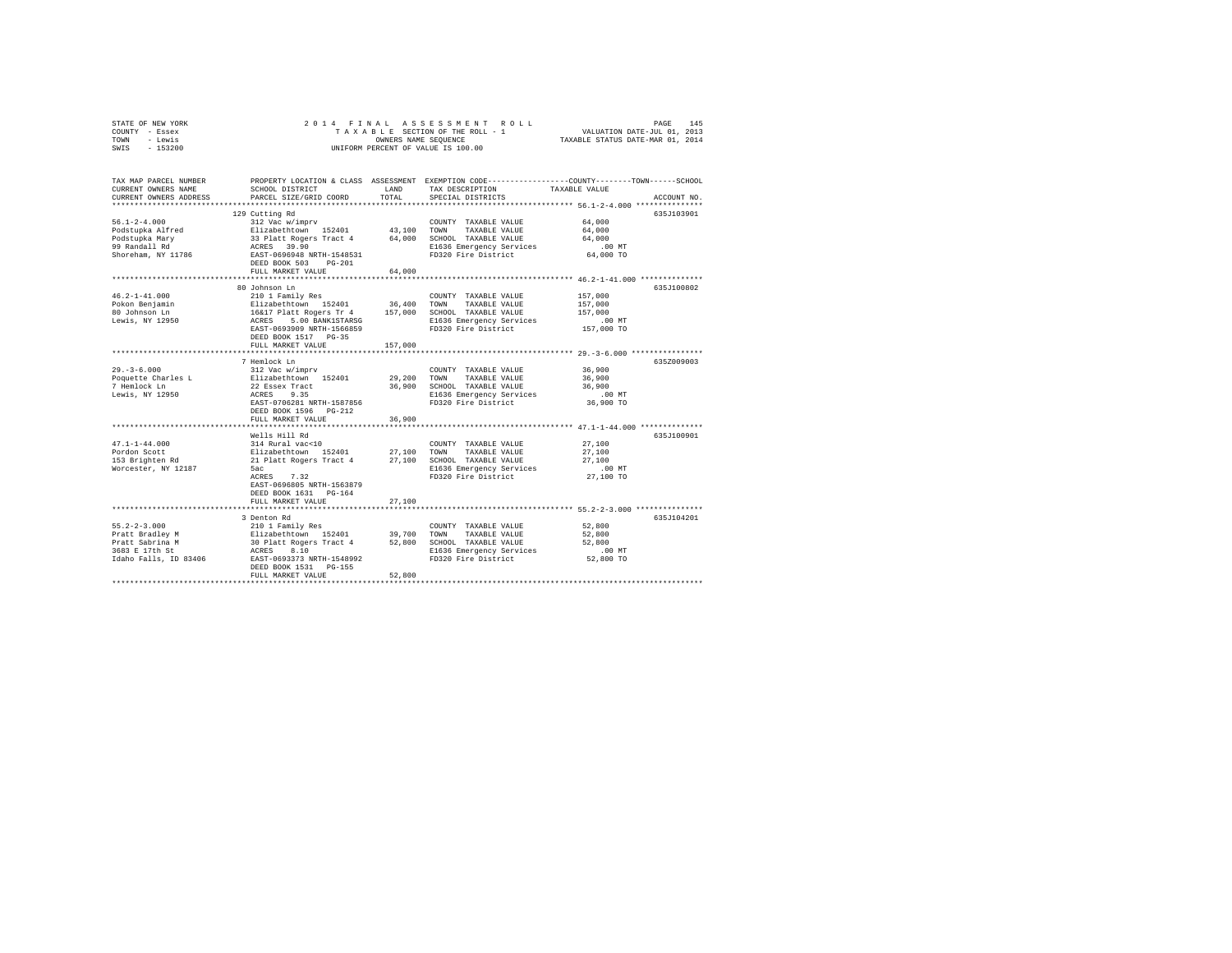|      | STATE OF NEW YORK |  |  | 2014 FINAL ASSESSMENT ROLL         |                                  | PAGE                        | 145 |
|------|-------------------|--|--|------------------------------------|----------------------------------|-----------------------------|-----|
|      | COUNTY - Essex    |  |  | TAXABLE SECTION OF THE ROLL - 1    |                                  | VALUATION DATE-JUL 01, 2013 |     |
| TOWN | - Lewis           |  |  | OWNERS NAME SEOUENCE               | TAXABLE STATUS DATE-MAR 01, 2014 |                             |     |
| SWIS | - 153200          |  |  | UNIFORM PERCENT OF VALUE IS 100.00 |                                  |                             |     |

| TAX MAP PARCEL NUMBER<br>CURRENT OWNERS NAME<br>CURRENT OWNERS ADDRESS | SCHOOL DISTRICT<br>PARCEL SIZE/GRID COORD                                 | LAND<br>TOTAL | PROPERTY LOCATION & CLASS ASSESSMENT EXEMPTION CODE----------------COUNTY-------TOWN------SCHOOL<br>TAX DESCRIPTION<br>SPECIAL DISTRICTS                  | TAXABLE VALUE | ACCOUNT NO. |
|------------------------------------------------------------------------|---------------------------------------------------------------------------|---------------|-----------------------------------------------------------------------------------------------------------------------------------------------------------|---------------|-------------|
| *************************                                              |                                                                           |               |                                                                                                                                                           |               |             |
|                                                                        | 129 Cutting Rd                                                            |               |                                                                                                                                                           |               | 635J103901  |
| $56.1 - 2 - 4.000$                                                     | 312 Vac w/imprv                                                           |               | COUNTY TAXABLE VALUE                                                                                                                                      | 64,000        |             |
| Podstupka Alfred                                                       | Elizabethtown 152401                                                      |               | 43.100 TOWN TAXABLE VALUE                                                                                                                                 | 64,000        |             |
| Podstupka Mary                                                         | 33 Platt Rogers Tract 4                                                   |               | 64,000 SCHOOL TAXABLE VALUE                                                                                                                               | 64,000        |             |
| 99 Randall Rd                                                          | ACRES 39.90                                                               |               | E1636 Emergency Services                                                                                                                                  | $.00$ MT      |             |
| Shoreham, NY 11786                                                     | EAST-0696948 NRTH-1548531                                                 |               | FD320 Fire District                                                                                                                                       | 64,000 TO     |             |
|                                                                        | DEED BOOK 503 PG-201                                                      |               |                                                                                                                                                           |               |             |
|                                                                        | FULL MARKET VALUE                                                         | 64,000        |                                                                                                                                                           |               |             |
|                                                                        |                                                                           |               |                                                                                                                                                           |               |             |
|                                                                        | 80 Johnson Ln                                                             |               |                                                                                                                                                           |               | 635J100802  |
| $46.2 - 1 - 41.000$                                                    | 210 1 Family Res                                                          |               | COUNTY TAXABLE VALUE                                                                                                                                      | 157,000       |             |
| Pokon Benjamin                                                         |                                                                           |               | Elizabethtown 152401 36,400 TOWN TAXABLE VALUE<br>16417 Platt Rogers Tr 4 157,000 SCHOOL TAXABLE VALUE<br>ACRES 5.00 BANK1STARSG E1636 Emergency Services | 157,000       |             |
| 80 Johnson Ln                                                          |                                                                           |               |                                                                                                                                                           | 157,000       |             |
| Lewis, NY 12950                                                        |                                                                           |               | E1636 Emergency Services                                                                                                                                  | $.00$ MT      |             |
|                                                                        | EAST-0693909 NRTH-1566859<br>DEED BOOK 1517 PG-35                         |               | FD320 Fire District                                                                                                                                       | 157,000 TO    |             |
|                                                                        | FULL MARKET VALUE                                                         |               |                                                                                                                                                           |               |             |
|                                                                        |                                                                           | 157,000       |                                                                                                                                                           |               |             |
|                                                                        | 7 Hemlock Ln                                                              |               |                                                                                                                                                           |               | 635Z009003  |
| $29. - 3 - 6.000$                                                      | 312 Vac w/imprv                                                           |               | COUNTY TAXABLE VALUE                                                                                                                                      | 36,900        |             |
| Poquette Charles L                                                     | Elizabethtown 152401                                                      | 29,200 TOWN   | TAXABLE VALUE                                                                                                                                             | 36,900        |             |
| 7 Hemlock Ln                                                           | 22 Essex Tract                                                            |               | 36,900 SCHOOL TAXABLE VALUE                                                                                                                               | 36,900        |             |
| Lewis, NY 12950                                                        | ACRES 9.35                                                                |               |                                                                                                                                                           | $.00$ MT      |             |
|                                                                        | EAST-0706281 NRTH-1587856                                                 |               | E1636 Emergency Services<br>FD320 Fire District                                                                                                           | 36,900 TO     |             |
|                                                                        | DEED BOOK 1596 PG-212                                                     |               |                                                                                                                                                           |               |             |
|                                                                        | FULL MARKET VALUE                                                         | 36,900        |                                                                                                                                                           |               |             |
|                                                                        |                                                                           |               |                                                                                                                                                           |               |             |
|                                                                        | Wells Hill Rd                                                             |               |                                                                                                                                                           |               | 635J100901  |
| $47.1 - 1 - 44.000$                                                    | 314 Rural vac<10                                                          |               | COUNTY TAXABLE VALUE                                                                                                                                      | 27,100        |             |
| Pordon Scott                                                           | Elizabethtown 152401 27,100 TOWN<br>21 Platt-Rogers-Tract-4 27,100 SCHOOI |               | TAXABLE VALUE                                                                                                                                             | 27,100        |             |
| 153 Brighten Rd                                                        | 21 Platt Rogers Tract 4                                                   |               | 27,100 SCHOOL TAXABLE VALUE                                                                                                                               | 27,100        |             |
| Worcester, NY 12187                                                    | 5ac                                                                       |               | E1636 Emergency Services                                                                                                                                  | .00 MT        |             |
|                                                                        | ACRES 7.32                                                                |               | FD320 Fire District                                                                                                                                       | 27,100 TO     |             |
|                                                                        | EAST-0696805 NRTH-1563879                                                 |               |                                                                                                                                                           |               |             |
|                                                                        | DEED BOOK 1631 PG-164                                                     |               |                                                                                                                                                           |               |             |
|                                                                        | FULL MARKET VALUE                                                         | 27,100        |                                                                                                                                                           |               |             |
|                                                                        |                                                                           |               | *********************************** 55.2-2-3.000 ****************                                                                                         |               |             |
|                                                                        | 3 Denton Rd                                                               |               |                                                                                                                                                           |               | 635J104201  |
| $55.2 - 2 - 3.000$                                                     | 210 1 Family Res                                                          |               | COUNTY TAXABLE VALUE                                                                                                                                      | 52,800        |             |
| Pratt Bradley M                                                        |                                                                           |               | TAXABLE VALUE                                                                                                                                             | 52,800        |             |
| Pratt Sabrina M                                                        |                                                                           |               | 52,800 SCHOOL TAXABLE VALUE                                                                                                                               | 52,800        |             |
| 3683 E 17th St                                                         |                                                                           |               | E1636 Emergency Services                                                                                                                                  | $.00$ MT      |             |
| Idaho Falls, ID 83406                                                  |                                                                           |               | FD320 Fire District                                                                                                                                       | 52,800 TO     |             |
|                                                                        | DEED BOOK 1531 PG-155                                                     |               |                                                                                                                                                           |               |             |
|                                                                        | FULL MARKET VALUE                                                         | 52,800        |                                                                                                                                                           |               |             |
|                                                                        |                                                                           |               |                                                                                                                                                           |               |             |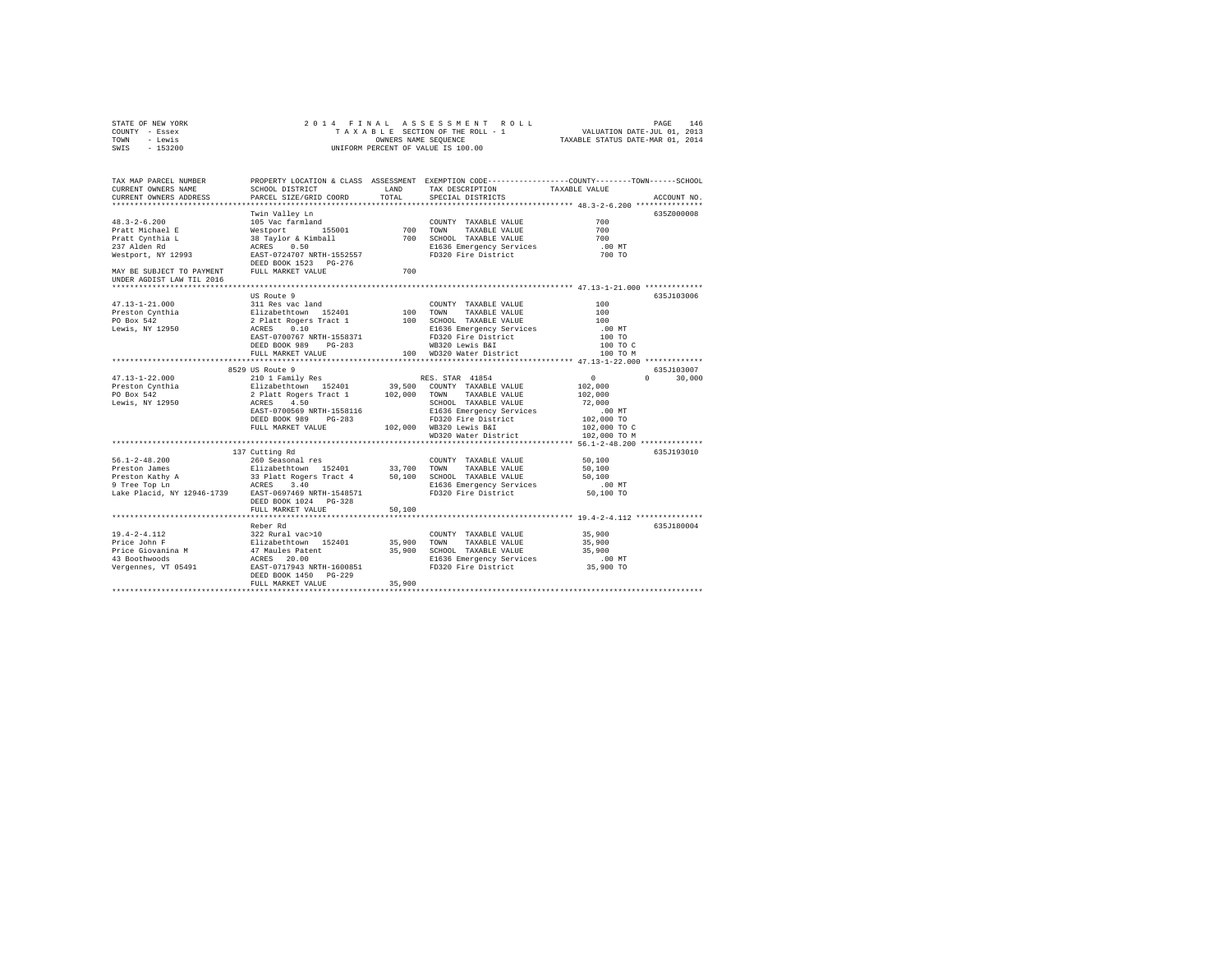| STATE OF NEW YORK<br>COUNTY - Essex<br>TOWN - Lewis<br>SWIS - 153200                                                                                                                                                                                                                                                                                                                                                                                 |                                                                                                                                                                                                                                                     |        | 2014 FINAL ASSESSMENT ROLL                                                                                |                            | PAGE<br>146   |
|------------------------------------------------------------------------------------------------------------------------------------------------------------------------------------------------------------------------------------------------------------------------------------------------------------------------------------------------------------------------------------------------------------------------------------------------------|-----------------------------------------------------------------------------------------------------------------------------------------------------------------------------------------------------------------------------------------------------|--------|-----------------------------------------------------------------------------------------------------------|----------------------------|---------------|
| TAX MAP PARCEL NUMBER     PROPERTY LOCATION & CLASS ASSESSMENT EXEMPTION CODE---------------COUNTY-------TOWN------SCHOOL<br>CURRENT OWNERS NAME     SCHOOL DISTRICT     LAND   TAX DESCRIPTION     TAXABLE VALUE<br>CURRENT OWNERS ADDRESS                                                                                                                                                                                                          | PARCEL SIZE/GRID COORD                                                                                                                                                                                                                              | TOTAL  | SCHOOL DISTRICT $\hfill\textsc{LAND}$ TAX DESCRIPTION $\hfill\textsc{TAXABLE}$ VALUE<br>SPECIAL DISTRICTS |                            | ACCOUNT NO.   |
|                                                                                                                                                                                                                                                                                                                                                                                                                                                      | Twin Valley Ln                                                                                                                                                                                                                                      |        |                                                                                                           |                            | 635Z000008    |
|                                                                                                                                                                                                                                                                                                                                                                                                                                                      |                                                                                                                                                                                                                                                     |        |                                                                                                           |                            |               |
|                                                                                                                                                                                                                                                                                                                                                                                                                                                      |                                                                                                                                                                                                                                                     |        |                                                                                                           | $700$<br>$700$             |               |
|                                                                                                                                                                                                                                                                                                                                                                                                                                                      |                                                                                                                                                                                                                                                     |        |                                                                                                           | 700                        |               |
|                                                                                                                                                                                                                                                                                                                                                                                                                                                      |                                                                                                                                                                                                                                                     |        |                                                                                                           | .00MT                      |               |
|                                                                                                                                                                                                                                                                                                                                                                                                                                                      |                                                                                                                                                                                                                                                     |        |                                                                                                           | 700 TO                     |               |
|                                                                                                                                                                                                                                                                                                                                                                                                                                                      | DEED BOOK 1523 PG-276                                                                                                                                                                                                                               |        |                                                                                                           |                            |               |
| MAY BE SUBJECT TO PAYMENT FULL MARKET VALUE<br>UNDER AGDIST LAW TIL 2016                                                                                                                                                                                                                                                                                                                                                                             |                                                                                                                                                                                                                                                     | 700    |                                                                                                           |                            |               |
|                                                                                                                                                                                                                                                                                                                                                                                                                                                      | US Route 9                                                                                                                                                                                                                                          |        |                                                                                                           |                            | 635.T103006   |
| 47.13-1-21.000                                                                                                                                                                                                                                                                                                                                                                                                                                       | US MOULE 9<br>2 Platt Rogers Trace 1<br>2 Platt Rogers Trace 1<br>2 Platt Rogers Trace 1<br>2 Platt Rogers Trace 1<br>2 Platt Rogers Trace 1<br>2 PLATT 1558371<br>2 PLED BOOK 989 PG-283<br>PEED POOT6 NRTH-1558371<br>PEED POOT6 NRTH-1558371<br> |        |                                                                                                           | 100                        |               |
|                                                                                                                                                                                                                                                                                                                                                                                                                                                      |                                                                                                                                                                                                                                                     |        |                                                                                                           | 100                        |               |
| Preston Cynthia<br>PO Box 542                                                                                                                                                                                                                                                                                                                                                                                                                        |                                                                                                                                                                                                                                                     |        |                                                                                                           | 100                        |               |
| Lewis, NY 12950                                                                                                                                                                                                                                                                                                                                                                                                                                      |                                                                                                                                                                                                                                                     |        |                                                                                                           | .00 MT                     |               |
|                                                                                                                                                                                                                                                                                                                                                                                                                                                      |                                                                                                                                                                                                                                                     |        |                                                                                                           | 100 TO                     |               |
|                                                                                                                                                                                                                                                                                                                                                                                                                                                      |                                                                                                                                                                                                                                                     |        |                                                                                                           | 100 TO C                   |               |
|                                                                                                                                                                                                                                                                                                                                                                                                                                                      |                                                                                                                                                                                                                                                     |        |                                                                                                           | 100 TO M                   |               |
|                                                                                                                                                                                                                                                                                                                                                                                                                                                      |                                                                                                                                                                                                                                                     |        |                                                                                                           |                            |               |
|                                                                                                                                                                                                                                                                                                                                                                                                                                                      |                                                                                                                                                                                                                                                     |        |                                                                                                           | $\overline{0}$             | 635J103007    |
|                                                                                                                                                                                                                                                                                                                                                                                                                                                      |                                                                                                                                                                                                                                                     |        |                                                                                                           |                            | $0 \t 30,000$ |
|                                                                                                                                                                                                                                                                                                                                                                                                                                                      |                                                                                                                                                                                                                                                     |        |                                                                                                           | 102,000<br>102,000         |               |
|                                                                                                                                                                                                                                                                                                                                                                                                                                                      |                                                                                                                                                                                                                                                     |        |                                                                                                           |                            |               |
|                                                                                                                                                                                                                                                                                                                                                                                                                                                      |                                                                                                                                                                                                                                                     |        |                                                                                                           | 72,000<br>.00 MT           |               |
|                                                                                                                                                                                                                                                                                                                                                                                                                                                      |                                                                                                                                                                                                                                                     |        |                                                                                                           |                            |               |
|                                                                                                                                                                                                                                                                                                                                                                                                                                                      |                                                                                                                                                                                                                                                     |        | 102,000 WB320 Lewis B&I                                                                                   | 102,000 TO<br>102,000 TO C |               |
|                                                                                                                                                                                                                                                                                                                                                                                                                                                      |                                                                                                                                                                                                                                                     |        | WD320 Water District                                                                                      | 102,000 TO M               |               |
|                                                                                                                                                                                                                                                                                                                                                                                                                                                      |                                                                                                                                                                                                                                                     |        |                                                                                                           |                            |               |
|                                                                                                                                                                                                                                                                                                                                                                                                                                                      | 137 Cutting Rd                                                                                                                                                                                                                                      |        |                                                                                                           |                            | 635J193010    |
| $56.1 - 2 - 48.200$                                                                                                                                                                                                                                                                                                                                                                                                                                  | 260 Seasonal res                                                                                                                                                                                                                                    |        | COUNTY TAXABLE VALUE                                                                                      | 50,100                     |               |
| $\begin{tabular}{l c c c c c} \hline \textbf{Preston James} & \textbf{Euler} & \textbf{S11} & \textbf{152} & \textbf{101} & \textbf{153} & \textbf{101} & \textbf{152} & \textbf{101} & \textbf{101} & \textbf{101} & \textbf{101} & \textbf{101} & \textbf{101} & \textbf{101} & \textbf{101} & \textbf{101} & \textbf{101} & \textbf{101} & \textbf{101} & \textbf{101} & \textbf{101} & \textbf$                                                  |                                                                                                                                                                                                                                                     |        |                                                                                                           | 50,100                     |               |
|                                                                                                                                                                                                                                                                                                                                                                                                                                                      |                                                                                                                                                                                                                                                     |        |                                                                                                           | 50,100                     |               |
|                                                                                                                                                                                                                                                                                                                                                                                                                                                      |                                                                                                                                                                                                                                                     |        | E1636 Emergency Services<br>FD320 Fire District                                                           | 00 MT.<br>50,100 TO        |               |
|                                                                                                                                                                                                                                                                                                                                                                                                                                                      |                                                                                                                                                                                                                                                     |        |                                                                                                           |                            |               |
|                                                                                                                                                                                                                                                                                                                                                                                                                                                      | DEED BOOK 1024 PG-328                                                                                                                                                                                                                               |        |                                                                                                           |                            |               |
|                                                                                                                                                                                                                                                                                                                                                                                                                                                      | FULL MARKET VALUE                                                                                                                                                                                                                                   | 50,100 |                                                                                                           |                            |               |
|                                                                                                                                                                                                                                                                                                                                                                                                                                                      |                                                                                                                                                                                                                                                     |        |                                                                                                           |                            |               |
| $\begin{tabular}{lllllllllllll} \texttt{19.4-2-4.112} & \texttt{0.0000000} & \texttt{COUNTY} & \texttt{TAXABLE VALUE} \\ \texttt{Price John F} & \texttt{Elizabethtown} & 152401 & 35,900 & \texttt{TOMN} & \texttt{TAXABLE VALUE} \\ \texttt{Price Giovanni} & 47 \texttt{Mules Pathent} & 35,900 & \texttt{SCRBID} & \texttt{SCRES} & \texttt{20.01} \\ \texttt{43 Bobckwoods} & \texttt{ACRES} & 20.00 & \texttt{SCIBO} & \texttt{SEIBO} & \text$ | Reber Rd                                                                                                                                                                                                                                            |        | COUNTY TAXABLE VALUE 35,900                                                                               |                            | 635J180004    |
|                                                                                                                                                                                                                                                                                                                                                                                                                                                      |                                                                                                                                                                                                                                                     |        |                                                                                                           | 35,900                     |               |
|                                                                                                                                                                                                                                                                                                                                                                                                                                                      |                                                                                                                                                                                                                                                     |        |                                                                                                           | 35,900                     |               |
|                                                                                                                                                                                                                                                                                                                                                                                                                                                      |                                                                                                                                                                                                                                                     |        |                                                                                                           |                            |               |
|                                                                                                                                                                                                                                                                                                                                                                                                                                                      |                                                                                                                                                                                                                                                     |        |                                                                                                           | 00 MT.<br>35,900 TO        |               |
|                                                                                                                                                                                                                                                                                                                                                                                                                                                      | DEED BOOK 1450 PG-229                                                                                                                                                                                                                               |        |                                                                                                           |                            |               |
|                                                                                                                                                                                                                                                                                                                                                                                                                                                      | FULL MARKET VALUE                                                                                                                                                                                                                                   | 35,900 |                                                                                                           |                            |               |
|                                                                                                                                                                                                                                                                                                                                                                                                                                                      |                                                                                                                                                                                                                                                     |        |                                                                                                           |                            |               |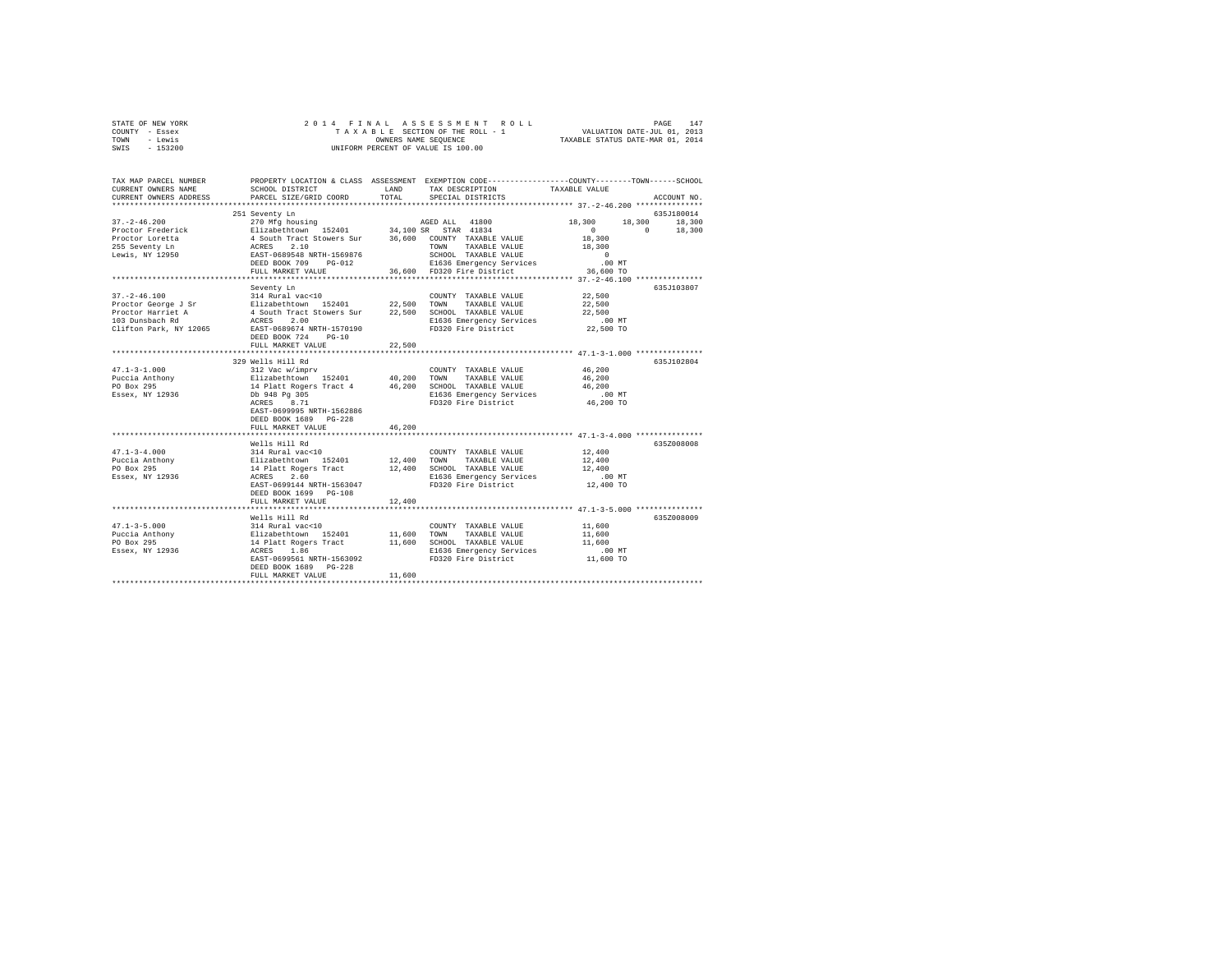| STATE OF NEW YORK<br>COUNTY - Essex<br>- Lewis<br>TOWN<br>SWIS<br>$-153200$ | 2014 FINAL                                                                                                                                  | OWNERS NAME SEQUENCE | ASSESSMENT<br>TAXABLE SECTION OF THE ROLL - 1<br>UNIFORM PERCENT OF VALUE IS 100.00 | $\begin{tabular}{ccccc} R & O & L & L \\ - & 1 & & \text{VALUATION DATE-JUL} & 01 \, , \ 2013 \\ - & & \text{TAXABLE STATUS DATE-MAR} & 01 \, , \ 2014 \\ \end{tabular}$ |                    |
|-----------------------------------------------------------------------------|---------------------------------------------------------------------------------------------------------------------------------------------|----------------------|-------------------------------------------------------------------------------------|--------------------------------------------------------------------------------------------------------------------------------------------------------------------------|--------------------|
| TAX MAP PARCEL NUMBER<br>CURRENT OWNERS NAME<br>CURRENT OWNERS ADDRESS      | PROPERTY LOCATION & CLASS ASSESSMENT EXEMPTION CODE---------------COUNTY-------TOWN-----SCHOOL<br>SCHOOL DISTRICT<br>PARCEL SIZE/GRID COORD | LAND<br>TOTAL        | TAX DESCRIPTION<br>SPECIAL DISTRICTS                                                | TAXABLE VALUE                                                                                                                                                            | ACCOUNT NO.        |
|                                                                             | 251 Seventy Ln                                                                                                                              |                      |                                                                                     |                                                                                                                                                                          | 635J180014         |
| $37. - 2 - 46.200$                                                          | 270 Mfg housing                                                                                                                             |                      | AGED ALL 41800                                                                      | 18,300                                                                                                                                                                   | 18,300<br>18,300   |
| Proctor Frederick                                                           | Elizabethtown 152401                                                                                                                        |                      | 34,100 SR STAR 41834                                                                | $\sim$ 0                                                                                                                                                                 | $\Omega$<br>18,300 |
| Proctor Loretta                                                             |                                                                                                                                             |                      | 36,600 COUNTY TAXABLE VALUE                                                         | 18,300                                                                                                                                                                   |                    |
| 255 Seventy Ln                                                              | 1 South Tract Stowers Sur<br>ACRES 2.10<br>EAST-0689548 NRTH-1569876                                                                        |                      | TOWN TAXABLE VALUE                                                                  | 18,300                                                                                                                                                                   |                    |
| Lewis, NY 12950                                                             |                                                                                                                                             |                      | SCHOOL TAXABLE VALUE                                                                | $\sim$ 0                                                                                                                                                                 |                    |
|                                                                             | DEED BOOK 709 PG-012                                                                                                                        |                      | E1636 Emergency Services                                                            | $.00$ MT                                                                                                                                                                 |                    |
|                                                                             | FULL MARKET VALUE<br>***********************                                                                                                |                      | 36,600 FD320 Fire District                                                          | 36,600 TO                                                                                                                                                                |                    |
|                                                                             | Seventy Ln                                                                                                                                  |                      |                                                                                     |                                                                                                                                                                          | 635J103807         |
| $37. - 2 - 46.100$                                                          | 314 Rural vac<10                                                                                                                            |                      | COUNTY TAXABLE VALUE                                                                | 22,500                                                                                                                                                                   |                    |
| Proctor George J Sr                                                         | Elizabethtown 152401                                                                                                                        | 22.500 TOWN          | TAXABLE VALUE                                                                       | 22,500                                                                                                                                                                   |                    |
| Proctor Harriet A                                                           | 4 South Tract Stowers Sur                                                                                                                   |                      | 22,500 SCHOOL TAXABLE VALUE                                                         | 22,500                                                                                                                                                                   |                    |
| 103 Dunsbach Rd                                                             | ACRES 2.00                                                                                                                                  |                      | E1636 Emergency Services                                                            | $.00$ MT                                                                                                                                                                 |                    |
| Clifton Park, NY 12065                                                      | EAST-0689674 NRTH-1570190                                                                                                                   |                      | FD320 Fire District                                                                 | 22,500 TO                                                                                                                                                                |                    |
|                                                                             | DEED BOOK 724<br>$PG-10$                                                                                                                    |                      |                                                                                     |                                                                                                                                                                          |                    |
|                                                                             | FULL MARKET VALUE                                                                                                                           | 22,500               |                                                                                     |                                                                                                                                                                          |                    |
|                                                                             | *****************************                                                                                                               | ***********          | ****************************** 47.1-3-1.000 ***************                         |                                                                                                                                                                          |                    |
|                                                                             | 329 Wells Hill Rd                                                                                                                           |                      |                                                                                     |                                                                                                                                                                          | 635J102804         |
| $47.1 - 3 - 1.000$                                                          | 312 Vac w/imprv                                                                                                                             |                      | COUNTY TAXABLE VALUE                                                                | 46,200                                                                                                                                                                   |                    |
| Puccia Anthony<br>PO Box 295                                                | Elizabethtown 152401<br>14 Platt Rogers Tract 4                                                                                             | 40,200<br>46,200     | TOWN<br>TAXABLE VALUE                                                               | 46,200<br>46,200                                                                                                                                                         |                    |
| Essex, NY 12936                                                             | Db 948 Pg 305                                                                                                                               |                      | SCHOOL TAXABLE VALUE<br>E1636 Emergency Services                                    | $.00$ MT                                                                                                                                                                 |                    |
|                                                                             | ACRES 8.71                                                                                                                                  |                      | FD320 Fire District                                                                 | 46,200 TO                                                                                                                                                                |                    |
|                                                                             | EAST-0699995 NRTH-1562886                                                                                                                   |                      |                                                                                     |                                                                                                                                                                          |                    |
|                                                                             | DEED BOOK 1689 PG-228                                                                                                                       |                      |                                                                                     |                                                                                                                                                                          |                    |
|                                                                             | FULL MARKET VALUE                                                                                                                           | 46.200               |                                                                                     |                                                                                                                                                                          |                    |
|                                                                             |                                                                                                                                             |                      |                                                                                     |                                                                                                                                                                          |                    |
|                                                                             | Wells Hill Rd                                                                                                                               |                      |                                                                                     |                                                                                                                                                                          | 635Z008008         |
| $47.1 - 3 - 4.000$                                                          | 314 Rural vac<10                                                                                                                            |                      | COUNTY TAXABLE VALUE                                                                | 12,400                                                                                                                                                                   |                    |
| Puccia Anthony                                                              | Elizabethtown 152401<br>14 Platt Rogers Tract                                                                                               | 12,400               | TOWN<br>TAXABLE VALUE                                                               | 12,400                                                                                                                                                                   |                    |
| PO Box 295                                                                  | ACRES 2.60                                                                                                                                  |                      | 12,400 SCHOOL TAXABLE VALUE                                                         | 12,400                                                                                                                                                                   |                    |
| Essex, NY 12936                                                             | EAST-0699144 NRTH-1563047                                                                                                                   |                      | E1636 Emergency Services<br>FD320 Fire District                                     | $.00$ MT<br>12,400 TO                                                                                                                                                    |                    |
|                                                                             | DEED BOOK 1699 PG-108                                                                                                                       |                      |                                                                                     |                                                                                                                                                                          |                    |
|                                                                             | FULL MARKET VALUE                                                                                                                           | 12,400               |                                                                                     |                                                                                                                                                                          |                    |
|                                                                             |                                                                                                                                             |                      |                                                                                     |                                                                                                                                                                          |                    |
|                                                                             | Wells Hill Rd                                                                                                                               |                      |                                                                                     |                                                                                                                                                                          | 635Z008009         |
| $47.1 - 3 - 5.000$                                                          | 314 Rural vac<10                                                                                                                            |                      | COUNTY TAXABLE VALUE                                                                | 11,600                                                                                                                                                                   |                    |
| Puccia Anthony                                                              | Elizabethtown 152401<br>14 Platt Rogers Tract<br>ACRES 1.86                                                                                 | 11,600               | TOWN<br>TAXABLE VALUE                                                               | 11,600                                                                                                                                                                   |                    |
| PO Box 295                                                                  |                                                                                                                                             |                      | 11,600 SCHOOL TAXABLE VALUE                                                         | 11,600                                                                                                                                                                   |                    |
| Essex, NY 12936                                                             |                                                                                                                                             |                      | E1636 Emergency Services                                                            | $.00$ MT                                                                                                                                                                 |                    |
|                                                                             | EAST-0699561 NRTH-1563092                                                                                                                   |                      | FD320 Fire District                                                                 | 11,600 TO                                                                                                                                                                |                    |
|                                                                             | DEED BOOK 1689 PG-228<br>FULL MARKET VALUE                                                                                                  | 11,600               |                                                                                     |                                                                                                                                                                          |                    |
|                                                                             |                                                                                                                                             |                      |                                                                                     |                                                                                                                                                                          |                    |
|                                                                             |                                                                                                                                             |                      |                                                                                     |                                                                                                                                                                          |                    |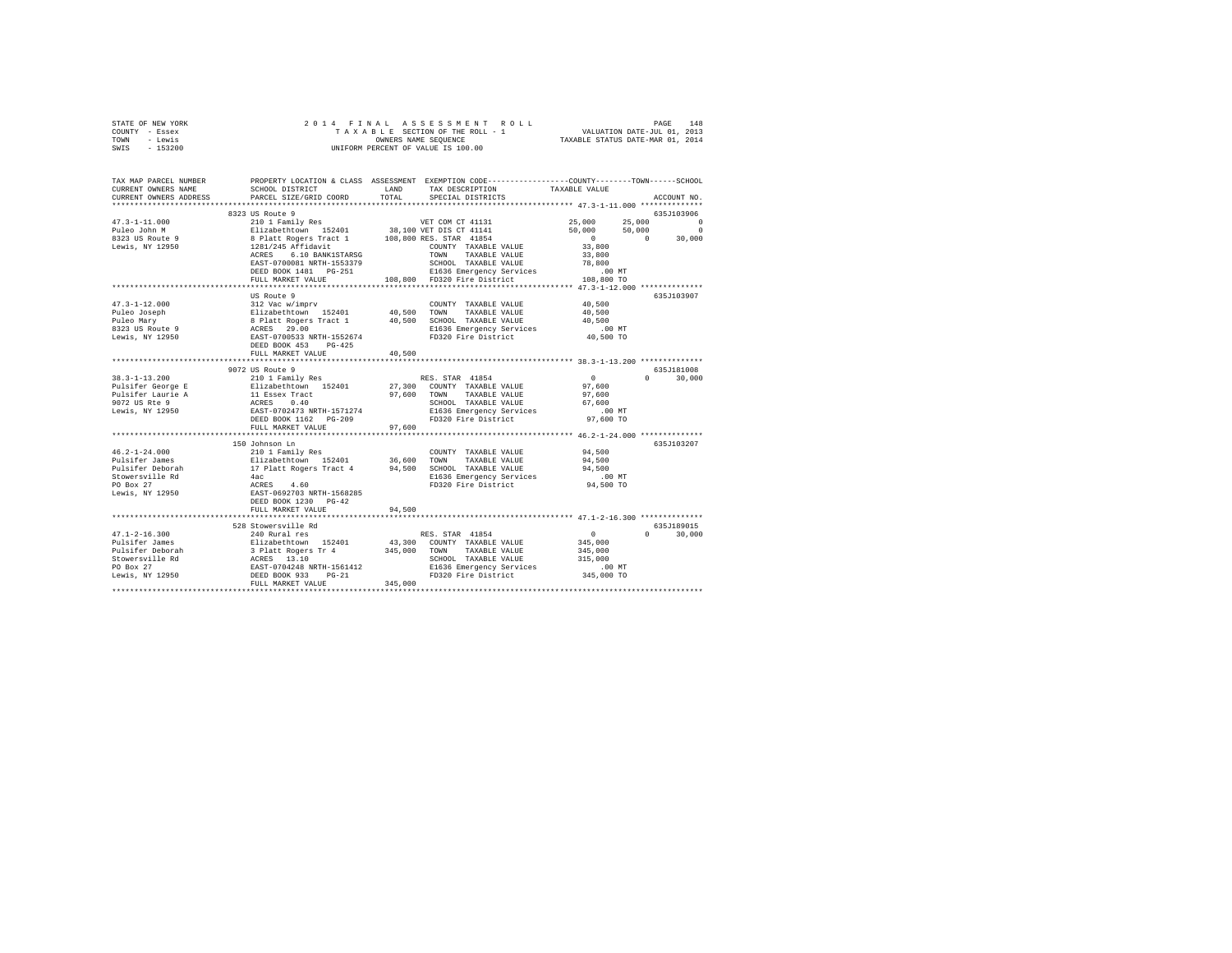| STATE OF NEW YORK                                                   | 2014 FINAL                                                                                                                                                                                                                                 |         | 4 FINAL ASSESSMENT ROLL INNERTHEIRE PAGE 148 1981<br>TAXABLE SECTION OF THE ROLL - 1 VALUATION DATE-JUL 01, 2013<br>OWNERS NAME SEQUENCE  TAXABLE STATUS DATE-MAR 01, 2014 |                           |                        |
|---------------------------------------------------------------------|--------------------------------------------------------------------------------------------------------------------------------------------------------------------------------------------------------------------------------------------|---------|----------------------------------------------------------------------------------------------------------------------------------------------------------------------------|---------------------------|------------------------|
| COUNTY - Essex                                                      |                                                                                                                                                                                                                                            |         |                                                                                                                                                                            |                           |                        |
| TOWN - Lewis                                                        |                                                                                                                                                                                                                                            |         |                                                                                                                                                                            |                           |                        |
| SWIS - 153200                                                       |                                                                                                                                                                                                                                            |         | UNIFORM PERCENT OF VALUE IS 100.00                                                                                                                                         |                           |                        |
|                                                                     |                                                                                                                                                                                                                                            |         |                                                                                                                                                                            |                           |                        |
|                                                                     |                                                                                                                                                                                                                                            |         |                                                                                                                                                                            |                           |                        |
| TAX MAP PARCEL NUMBER                                               | PROPERTY LOCATION & CLASS ASSESSMENT EXEMPTION CODE----------------COUNTY-------TOWN------SCHOOL                                                                                                                                           |         |                                                                                                                                                                            |                           |                        |
| CURRENT OWNERS NAME                                                 | SCHOOL DISTRICT LAND                                                                                                                                                                                                                       |         | TAX DESCRIPTION                                                                                                                                                            | TAXABLE VALUE             |                        |
| CURRENT OWNERS ADDRESS                                              | PARCEL SIZE/GRID COORD                                                                                                                                                                                                                     | TOTAL   | SPECIAL DISTRICTS                                                                                                                                                          |                           | ACCOUNT NO.            |
| ************************                                            |                                                                                                                                                                                                                                            |         |                                                                                                                                                                            |                           |                        |
|                                                                     | 8323 US Route 9                                                                                                                                                                                                                            |         |                                                                                                                                                                            |                           | 635J103906<br>$\sim$ 0 |
| $47.3 - 1 - 11.000$                                                 | 210 1 Family Res                                                                                                                                                                                                                           |         | VET COM CT 41131                                                                                                                                                           | 25,000                    | 25,000<br>$\sim$ 0     |
| Puleo John M<br>8323 US Route 9                                     |                                                                                                                                                                                                                                            |         |                                                                                                                                                                            | 50,000<br>$\sim$ 0 $\sim$ | 50,000<br>30,000       |
|                                                                     |                                                                                                                                                                                                                                            |         | COUNTY TAXABLE VALUE                                                                                                                                                       | 33,800                    | $\sim$ 0               |
| Lewis, NY 12950                                                     |                                                                                                                                                                                                                                            |         | TOWN TAXABLE VALUE                                                                                                                                                         | 33,800                    |                        |
|                                                                     |                                                                                                                                                                                                                                            |         | SCHOOL TAXABLE VALUE                                                                                                                                                       | 78,800                    |                        |
|                                                                     |                                                                                                                                                                                                                                            |         |                                                                                                                                                                            | $.00$ MT                  |                        |
|                                                                     |                                                                                                                                                                                                                                            |         | DEED BOOK 1481 PG-251 E1636 Emergency Services<br>FULL MARKET VALUE 108,800 FD320 Fire District                                                                            | 108,800 TO                |                        |
|                                                                     |                                                                                                                                                                                                                                            |         |                                                                                                                                                                            |                           |                        |
|                                                                     | US Route 9                                                                                                                                                                                                                                 |         |                                                                                                                                                                            |                           | 635J103907             |
| $47.3 - 1 - 12.000$                                                 | 312 Vac w/imprv                                                                                                                                                                                                                            |         |                                                                                                                                                                            | 40,500                    |                        |
|                                                                     |                                                                                                                                                                                                                                            |         |                                                                                                                                                                            | 40,500                    |                        |
|                                                                     |                                                                                                                                                                                                                                            |         |                                                                                                                                                                            | 40,500                    |                        |
|                                                                     |                                                                                                                                                                                                                                            |         | E1636 Emergency Services<br>FD320 Fire District                                                                                                                            | .00MT                     |                        |
|                                                                     |                                                                                                                                                                                                                                            |         |                                                                                                                                                                            | 40,500 TO                 |                        |
|                                                                     | DEED BOOK 453 PG-425                                                                                                                                                                                                                       |         |                                                                                                                                                                            |                           |                        |
|                                                                     | FULL MARKET VALUE                                                                                                                                                                                                                          | 40,500  |                                                                                                                                                                            |                           |                        |
|                                                                     |                                                                                                                                                                                                                                            |         |                                                                                                                                                                            |                           |                        |
|                                                                     | 9072 US Route 9                                                                                                                                                                                                                            |         |                                                                                                                                                                            |                           | 635J181008             |
| $38.3 - 1 - 13.200$                                                 | 210 1 Family Res                                                                                                                                                                                                                           |         | RES. STAR 41854                                                                                                                                                            | $\sim$ 0                  | $0 \t 30,000$          |
|                                                                     | Elizabethtown 152401                                                                                                                                                                                                                       |         | 27,300 COUNTY TAXABLE VALUE                                                                                                                                                | 97,600                    |                        |
|                                                                     |                                                                                                                                                                                                                                            |         | TAXABLE VALUE                                                                                                                                                              | 97,600                    |                        |
| Pulsifer George E<br>Pulsifer Laurie A<br>9072 US Rte 9             | 11 Essex Tract<br>11 Essex Tract<br>297,600 TOWN<br>ACRES 0.40 SCHOO<br>EAST-0702473 NRTH-1571274 E1636                                                                                                                                    |         | SCHOOL TAXABLE VALUE                                                                                                                                                       | 67,600                    |                        |
| Lewis, NY 12950                                                     |                                                                                                                                                                                                                                            |         | E1636 Emergency Services                                                                                                                                                   | $.00$ MT                  |                        |
|                                                                     |                                                                                                                                                                                                                                            |         | FD320 Fire District                                                                                                                                                        | 97.600 TO                 |                        |
|                                                                     | FULL MARKET VALUE                                                                                                                                                                                                                          | 97,600  |                                                                                                                                                                            |                           |                        |
|                                                                     | 150 Johnson Ln                                                                                                                                                                                                                             |         |                                                                                                                                                                            |                           | 635.T103207            |
| $46.2 - 1 - 24.000$                                                 | 210 1 Family Res                                                                                                                                                                                                                           |         | COUNTY TAXABLE VALUE                                                                                                                                                       | 94,500                    |                        |
| Pulsifer James                                                      |                                                                                                                                                                                                                                            |         |                                                                                                                                                                            | 94,500                    |                        |
|                                                                     |                                                                                                                                                                                                                                            |         |                                                                                                                                                                            | 94,500                    |                        |
| Pulsifer Deborah<br>Stowersville Rd<br>PO Box 27<br>Lewis, NY 12950 | ALV A FORMALLY NES COUNTY TAXABLE VALUE<br>Elizabethcoven 152401 36,600 TOWN TAXABLE VALUE<br>17 Platt Rogers Tract 4 94,500 SCHOOL TAXABLE VALUE<br>4ac<br>ACRES 4.60 ELE36 Emergency Services<br>ERST-0692703 NRTH-1568285<br>PD320 Fire |         | E1636 Emergency Services                                                                                                                                                   | $.00$ MT                  |                        |
|                                                                     |                                                                                                                                                                                                                                            |         | FD320 Fire District                                                                                                                                                        | 94,500 TO                 |                        |
|                                                                     |                                                                                                                                                                                                                                            |         |                                                                                                                                                                            |                           |                        |
|                                                                     | DEED BOOK 1230 PG-42                                                                                                                                                                                                                       |         |                                                                                                                                                                            |                           |                        |
|                                                                     | FULL MARKET VALUE                                                                                                                                                                                                                          | 94,500  |                                                                                                                                                                            |                           |                        |
|                                                                     |                                                                                                                                                                                                                                            |         |                                                                                                                                                                            |                           |                        |
|                                                                     | 528 Stowersville Rd                                                                                                                                                                                                                        |         |                                                                                                                                                                            |                           | 635J189015             |
| $47.1 - 2 - 16.300$                                                 | 240 Rural res                                                                                                                                                                                                                              |         | RES. STAR 41854                                                                                                                                                            | $\sim$ 0                  | $0 \t 30,000$          |
|                                                                     |                                                                                                                                                                                                                                            |         | 43,300 COUNTY TAXABLE VALUE                                                                                                                                                | 345,000                   |                        |
|                                                                     |                                                                                                                                                                                                                                            | 345,000 | TOWN TAXABLE VALUE                                                                                                                                                         | 345,000                   |                        |
|                                                                     |                                                                                                                                                                                                                                            |         | SCHOOL TAXABLE VALUE                                                                                                                                                       | 315,000                   |                        |
|                                                                     |                                                                                                                                                                                                                                            |         | E1636 Emergency Services                                                                                                                                                   | .00 MT                    |                        |
|                                                                     |                                                                                                                                                                                                                                            |         | FD320 Fire District                                                                                                                                                        | 345,000 TO                |                        |
|                                                                     |                                                                                                                                                                                                                                            | 345,000 |                                                                                                                                                                            |                           |                        |
|                                                                     |                                                                                                                                                                                                                                            |         |                                                                                                                                                                            |                           |                        |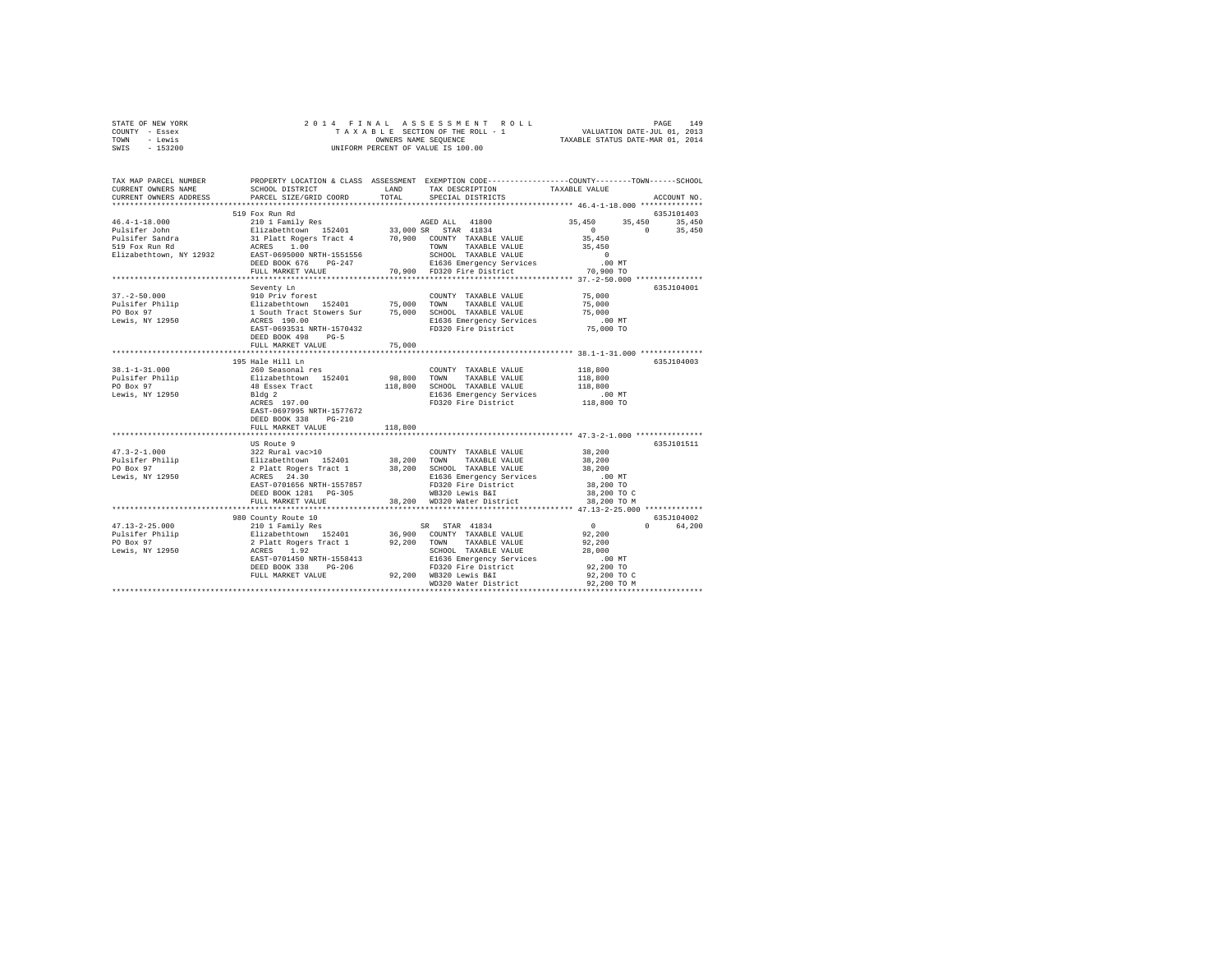| STATE OF NEW YORK |  |  |  | 2014 FINAL ASSESSMENT ROLL         |                                  | PAGE                        | 149 |
|-------------------|--|--|--|------------------------------------|----------------------------------|-----------------------------|-----|
| COUNTY - Essex    |  |  |  | TAXABLE SECTION OF THE ROLL - 1    |                                  | VALUATION DATE-JUL 01, 2013 |     |
| TOWN<br>- Lewis   |  |  |  | OWNERS NAME SEOUENCE               | TAXABLE STATUS DATE-MAR 01, 2014 |                             |     |
| - 153200<br>SWIS  |  |  |  | UNIFORM PERCENT OF VALUE IS 100.00 |                                  |                             |     |

| TAX MAP PARCEL NUMBER<br>CURRENT OWNERS NAME<br>CURRENT OWNERS ADDRESS                                                                                                                                                                                                                                            | SCHOOL DISTRICT<br>PARCEL SIZE/GRID COORD           | LAND<br>TOTAL | PROPERTY LOCATION & CLASS ASSESSMENT EXEMPTION CODE----------------COUNTY-------TOWN------SCHOOL<br>TAX DESCRIPTION<br>SPECIAL DISTRICTS                                                                                                           | TAXABLE VALUE                                                  | ACCOUNT NO.                                |
|-------------------------------------------------------------------------------------------------------------------------------------------------------------------------------------------------------------------------------------------------------------------------------------------------------------------|-----------------------------------------------------|---------------|----------------------------------------------------------------------------------------------------------------------------------------------------------------------------------------------------------------------------------------------------|----------------------------------------------------------------|--------------------------------------------|
|                                                                                                                                                                                                                                                                                                                   |                                                     |               |                                                                                                                                                                                                                                                    |                                                                |                                            |
|                                                                                                                                                                                                                                                                                                                   | 519 Fox Run Rd                                      |               |                                                                                                                                                                                                                                                    | 35,450<br>35,450<br>$\begin{array}{c} 0 \\ 35,450 \end{array}$ | 635J101403<br>35,450<br>$\sim$ 0<br>35,450 |
|                                                                                                                                                                                                                                                                                                                   |                                                     |               | 70,900 COUNTY TAXABLE VALUE<br>TOWN TAXABLE VALUE 35,450<br>551556 SCHOOL TAXABLE VALUE 20<br>-247 70,900 FD320 Fire Districts 70,900 TO<br>70,900 FD320 Fire District 70,900 TO                                                                   |                                                                |                                            |
|                                                                                                                                                                                                                                                                                                                   | DEED BOOK 676 PG-247<br>FULL MARKET VALUE           |               |                                                                                                                                                                                                                                                    |                                                                |                                            |
|                                                                                                                                                                                                                                                                                                                   |                                                     |               |                                                                                                                                                                                                                                                    |                                                                |                                            |
|                                                                                                                                                                                                                                                                                                                   | Seventy Ln                                          |               |                                                                                                                                                                                                                                                    |                                                                | 635J104001                                 |
|                                                                                                                                                                                                                                                                                                                   |                                                     |               |                                                                                                                                                                                                                                                    | 75,000                                                         |                                            |
|                                                                                                                                                                                                                                                                                                                   |                                                     |               | TAXABLE VALUE                                                                                                                                                                                                                                      | 75,000                                                         |                                            |
|                                                                                                                                                                                                                                                                                                                   |                                                     |               |                                                                                                                                                                                                                                                    | 75,000                                                         |                                            |
|                                                                                                                                                                                                                                                                                                                   |                                                     |               | E1636 Emergency Services .00 MT                                                                                                                                                                                                                    |                                                                |                                            |
|                                                                                                                                                                                                                                                                                                                   | EAST-0693531 NRTH-1570432                           |               | FD320 Fire District                                                                                                                                                                                                                                | 75,000 TO                                                      |                                            |
|                                                                                                                                                                                                                                                                                                                   | DEED BOOK 498<br>$PG-5$                             |               |                                                                                                                                                                                                                                                    |                                                                |                                            |
|                                                                                                                                                                                                                                                                                                                   | FULL MARKET VALUE                                   | 75,000        |                                                                                                                                                                                                                                                    |                                                                |                                            |
|                                                                                                                                                                                                                                                                                                                   | 195 Hale Hill Ln                                    |               |                                                                                                                                                                                                                                                    |                                                                | 635J104003                                 |
| $38.1 - 1 - 31.000$                                                                                                                                                                                                                                                                                               | 260 Seasonal res                                    |               | COUNTY TAXABLE VALUE                                                                                                                                                                                                                               |                                                                |                                            |
|                                                                                                                                                                                                                                                                                                                   |                                                     |               |                                                                                                                                                                                                                                                    | 118,800<br>118,800                                             |                                            |
| 18.1-1-11.0000<br>Pulsifer Philip and Elizabethtown 152401 98,800 TOWN TAXABLE VALUE<br>PO Box 97 48 Essex Tract 118,800 SCMN TAXABLE VALUE<br>PO Box 97 48 Elizabethtown 152401 98,800 TOWN TAXABLE VALUE<br>Lewis, NY 12950 Bldg 2<br>                                                                          |                                                     |               | 118,800 SCHOOL TAXABLE VALUE                                                                                                                                                                                                                       |                                                                |                                            |
|                                                                                                                                                                                                                                                                                                                   |                                                     |               | E1636 Emergency Services                                                                                                                                                                                                                           | 118,800                                                        |                                            |
|                                                                                                                                                                                                                                                                                                                   |                                                     |               | FD320 Fire District                                                                                                                                                                                                                                | 00 MT.<br>118,800 TO                                           |                                            |
|                                                                                                                                                                                                                                                                                                                   | EAST-0697995 NRTH-1577672                           |               |                                                                                                                                                                                                                                                    |                                                                |                                            |
|                                                                                                                                                                                                                                                                                                                   | DEED BOOK 338 PG-210                                |               |                                                                                                                                                                                                                                                    |                                                                |                                            |
|                                                                                                                                                                                                                                                                                                                   | FULL MARKET VALUE                                   | 118,800       |                                                                                                                                                                                                                                                    |                                                                |                                            |
|                                                                                                                                                                                                                                                                                                                   |                                                     |               |                                                                                                                                                                                                                                                    |                                                                |                                            |
|                                                                                                                                                                                                                                                                                                                   | US Route 9                                          |               |                                                                                                                                                                                                                                                    |                                                                | 635J101511                                 |
|                                                                                                                                                                                                                                                                                                                   |                                                     |               | COUNTY TAXABLE VALUE                                                                                                                                                                                                                               | 38,200                                                         |                                            |
|                                                                                                                                                                                                                                                                                                                   |                                                     |               | TAXABLE VALUE                                                                                                                                                                                                                                      | 38,200                                                         |                                            |
|                                                                                                                                                                                                                                                                                                                   |                                                     |               | 38,200 SCHOOL TAXABLE VALUE                                                                                                                                                                                                                        | 38,200                                                         |                                            |
| $\begin{tabular}{lllllllllllll} $47.3\text{--}2\text{--}1.000$ & 322 Rural vac>10$ & 100MT\\ \text{Pulisfer Philip} & 312 ableth Roger & 38,200 TOWN\\ \text{PO Box 97 & 2 Platt Roger & 38,200 SCHO\\ \text{Devis, NY 12950 & 2121 & 33.200 SCHO\\ \text{Levis, NY 12950 & 213.30 & 33.200 SCHO\\ \end{tabular}$ |                                                     |               | E1636 Emergency Services .00 MT<br>FD320 Fire District 38,200 TO                                                                                                                                                                                   |                                                                |                                            |
|                                                                                                                                                                                                                                                                                                                   | EAST-0701656 NRTH-1557857                           |               |                                                                                                                                                                                                                                                    |                                                                |                                            |
|                                                                                                                                                                                                                                                                                                                   | DEED BOOK 1281 PG-305                               |               | WB320 Lewis B&I<br>38,200 WD320 Water District                                                                                                                                                                                                     | 38,200 TO C                                                    |                                            |
|                                                                                                                                                                                                                                                                                                                   | FULL MARKET VALUE<br>****************************** |               |                                                                                                                                                                                                                                                    | 38,200 TO M                                                    |                                            |
|                                                                                                                                                                                                                                                                                                                   |                                                     |               |                                                                                                                                                                                                                                                    |                                                                | 635J104002                                 |
| $47.13 - 2 - 25.000$                                                                                                                                                                                                                                                                                              |                                                     |               |                                                                                                                                                                                                                                                    | $\overline{0}$                                                 | 0 64.200                                   |
| Pulsifer Philip                                                                                                                                                                                                                                                                                                   |                                                     |               |                                                                                                                                                                                                                                                    |                                                                |                                            |
| PO Box 97                                                                                                                                                                                                                                                                                                         |                                                     |               |                                                                                                                                                                                                                                                    |                                                                |                                            |
| Lewis, NY 12950                                                                                                                                                                                                                                                                                                   |                                                     |               | 980 County Route 10<br>210 1 Family Res<br>Elizabethtown 152401<br>2 Platt Rogers Tract 1<br>2 Platt Rogers Tract 1<br>2 Platt Rogers Tract 1<br>2 2,200 COUNTY TAXABLE VALUE<br>2 RACES<br>2 PLATE 1.92,200<br>2 PLATE 1.92,200<br>2 PLATE 1.92,2 |                                                                |                                            |
|                                                                                                                                                                                                                                                                                                                   | EAST-0701450 NRTH-1558413                           |               |                                                                                                                                                                                                                                                    | $.00$ MT                                                       |                                            |
|                                                                                                                                                                                                                                                                                                                   |                                                     |               |                                                                                                                                                                                                                                                    | 92,200 TO                                                      |                                            |
|                                                                                                                                                                                                                                                                                                                   |                                                     |               |                                                                                                                                                                                                                                                    | 92,200 TO C                                                    |                                            |
|                                                                                                                                                                                                                                                                                                                   |                                                     |               | EAST-0701450 NRTH-1558413 E1636 Emergency Services<br>DEED BOOK 338 PG-206 FDJ320 Fire District<br>FULL MARKET VALUE 92,200 MB320 Reater District<br>MD320 Water District                                                                          |                                                                |                                            |
|                                                                                                                                                                                                                                                                                                                   |                                                     |               |                                                                                                                                                                                                                                                    |                                                                |                                            |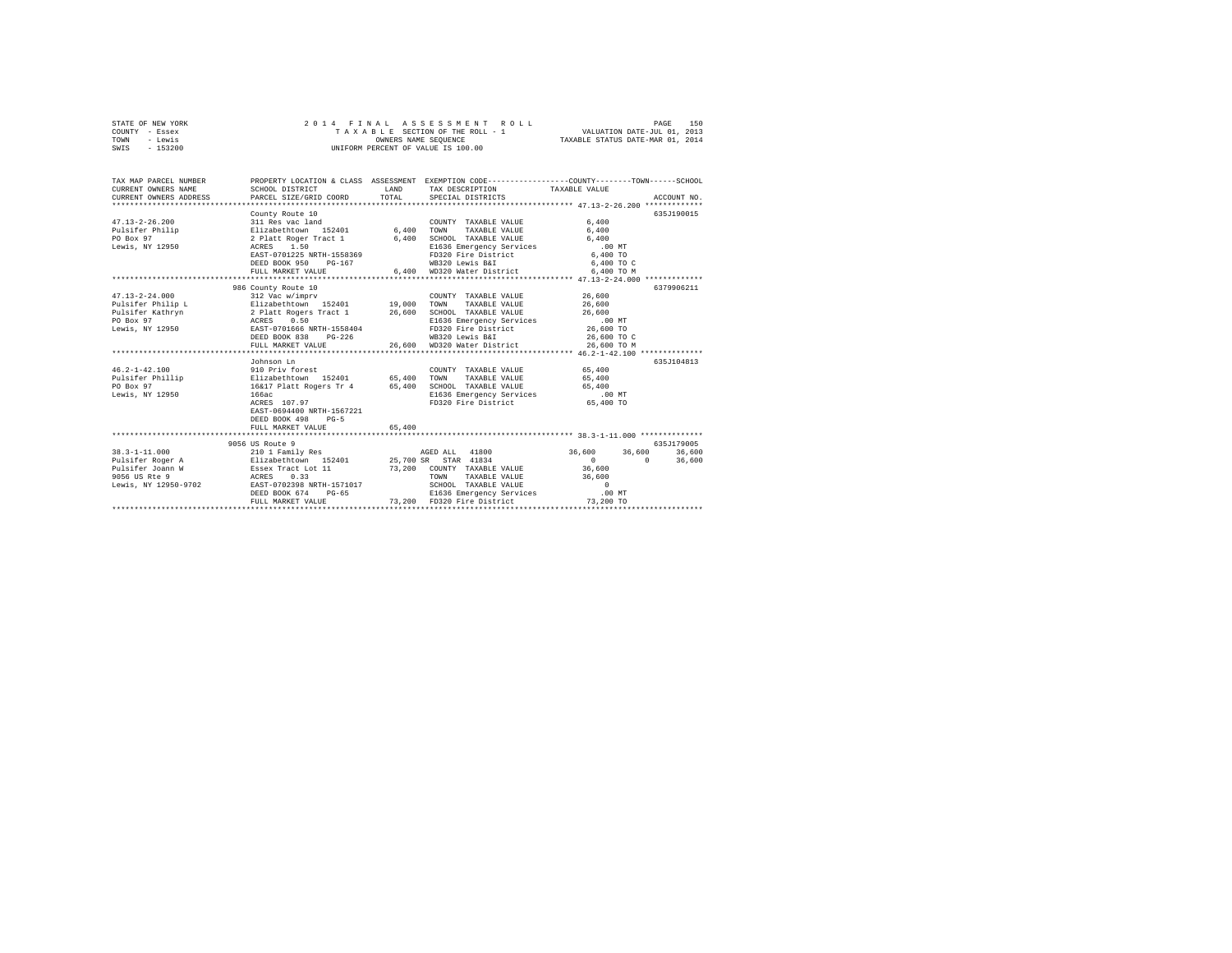| STATE OF NEW YORK | 2014 FINAL ASSESSMENT ROLL         | 150<br>PAGE                      |
|-------------------|------------------------------------|----------------------------------|
| COUNTY - Essex    | TAXABLE SECTION OF THE ROLL - 1    | VALUATION DATE-JUL 01, 2013      |
| TOWN<br>- Lewis   | OWNERS NAME SEOUENCE               | TAXABLE STATUS DATE-MAR 01, 2014 |
| $-153200$<br>SWIS | UNIFORM PERCENT OF VALUE IS 100.00 |                                  |

| TAX MAP PARCEL NUMBER<br>CURRENT OWNERS NAME<br>CURRENT OWNERS ADDRESS | SCHOOL DISTRICT<br>PARCEL SIZE/GRID COORD                                       | LAND<br>TOTAL | PROPERTY LOCATION & CLASS ASSESSMENT EXEMPTION CODE----------------COUNTY-------TOWN-----SCHOOL<br>TAX DESCRIPTION TAXABLE VALUE<br>SPECIAL DISTRICTS |                                                       | ACCOUNT NO.        |
|------------------------------------------------------------------------|---------------------------------------------------------------------------------|---------------|-------------------------------------------------------------------------------------------------------------------------------------------------------|-------------------------------------------------------|--------------------|
|                                                                        | County Route 10                                                                 |               |                                                                                                                                                       |                                                       | 635J190015         |
| $47.13 - 2 - 26.200$                                                   | 311 Res vac land                                                                |               | COUNTY TAXABLE VALUE                                                                                                                                  | 6,400                                                 |                    |
| Pulsifer Philip                                                        | Elizabethtown 152401 6,400 TOWN                                                 |               | TAXABLE VALUE                                                                                                                                         | 6,400                                                 |                    |
| PO Box 97                                                              | 2 Platt Roger Tract 1 6,400 SCHOOL TAXABLE VALUE                                |               |                                                                                                                                                       | 6.400                                                 |                    |
| Lewis, NY 12950                                                        | ACRES 1.50                                                                      |               |                                                                                                                                                       |                                                       |                    |
|                                                                        | EAST-0701225 NRTH-1558369                                                       |               | FD320 Fire District<br>WB320 Lewis B&I                                                                                                                |                                                       |                    |
|                                                                        | DEED BOOK 950 PG-167                                                            |               |                                                                                                                                                       | 6,400 TO C                                            |                    |
|                                                                        | FULL MARKET VALUE                                                               |               | 6.400 WD320 Water District 6.400 TO M                                                                                                                 |                                                       |                    |
|                                                                        |                                                                                 |               |                                                                                                                                                       | ************************** 47.13-2-24.000 *********** |                    |
|                                                                        | 986 County Route 10                                                             |               |                                                                                                                                                       |                                                       | 6379906211         |
| $47.13 - 2 - 24.000$                                                   | 312 Vac w/imprv                                                                 |               | COUNTY TAXABLE VALUE 26,600                                                                                                                           |                                                       |                    |
| Pulsifer Philip L and Elizabethtown 152401 19,000 TOWN TAXABLE VALUE   |                                                                                 |               |                                                                                                                                                       | 26,600                                                |                    |
|                                                                        |                                                                                 |               | SCHOOL TAXABLE VALUE                                                                                                                                  | 26,600                                                |                    |
|                                                                        |                                                                                 |               | E1636 Emergency Services .00 MT                                                                                                                       |                                                       |                    |
| Lewis, NY 12950 EAST-0701666 NRTH-1558404                              |                                                                                 |               | FD320 Fire District                                                                                                                                   | 26,600 TO                                             |                    |
|                                                                        | DEED BOOK 838 PG-226                                                            |               | WB320 Lewis B&I<br>26,600 WD320 Water District                                                                                                        | 26,600 TO C                                           |                    |
|                                                                        | FULL MARKET VALUE                                                               |               |                                                                                                                                                       | 26,600 TO M                                           |                    |
|                                                                        |                                                                                 |               |                                                                                                                                                       |                                                       |                    |
|                                                                        | Johnson Ln                                                                      |               |                                                                                                                                                       |                                                       | 635J104813         |
| $46.2 - 1 - 42.100$                                                    | 910 Priv forest                                                                 |               | COUNTY TAXABLE VALUE                                                                                                                                  | 65,400                                                |                    |
|                                                                        |                                                                                 |               |                                                                                                                                                       |                                                       |                    |
|                                                                        |                                                                                 |               |                                                                                                                                                       |                                                       |                    |
|                                                                        |                                                                                 |               |                                                                                                                                                       |                                                       |                    |
|                                                                        | ACRES 107.97                                                                    |               | FD320 Fire District 65,400 TO                                                                                                                         |                                                       |                    |
|                                                                        | EAST-0694400 NRTH-1567221                                                       |               |                                                                                                                                                       |                                                       |                    |
|                                                                        | DEED BOOK 498<br>$PG-5$                                                         |               |                                                                                                                                                       |                                                       |                    |
|                                                                        | FULL MARKET VALUE                                                               | 65,400        |                                                                                                                                                       |                                                       |                    |
|                                                                        | *****************************                                                   |               |                                                                                                                                                       |                                                       |                    |
|                                                                        | 9056 US Route 9                                                                 |               |                                                                                                                                                       |                                                       | 635J179005         |
| $38.3 - 1 - 11.000$                                                    | 210 1 Family Res                                                                |               | AGED ALL 41800                                                                                                                                        | 36,600 36,600                                         | 36,600             |
| Pulsifer Roger A Blizabethtown 152401 25,700 SR STAR 41834             |                                                                                 |               |                                                                                                                                                       | $\sim$ 0                                              | $\Omega$<br>36,600 |
| Pulsifer Joann W                                                       |                                                                                 |               |                                                                                                                                                       | 36,600                                                |                    |
| 9056 US Rte 9                                                          | Essex Tract Lot 11 73,200 COUNTY TAXABLE VALUE<br>ACRES 0.33 70WN TAXABLE VALUE |               |                                                                                                                                                       | 36,600                                                |                    |
| Lewis, NY 12950-9702 EAST-0702398 NRTH-1571017                         |                                                                                 |               | SCHOOL TAXABLE VALUE                                                                                                                                  | $\sim$ 0                                              |                    |
|                                                                        | DEED BOOK 674<br>$PG-65$                                                        |               | E1636 Emergency Services .00 MT                                                                                                                       |                                                       |                    |
|                                                                        | FULL MARKET VALUE                                                               |               | 73,200 FD320 Fire District                                                                                                                            | 73,200 TO                                             |                    |
|                                                                        |                                                                                 |               |                                                                                                                                                       |                                                       |                    |
|                                                                        |                                                                                 |               |                                                                                                                                                       |                                                       |                    |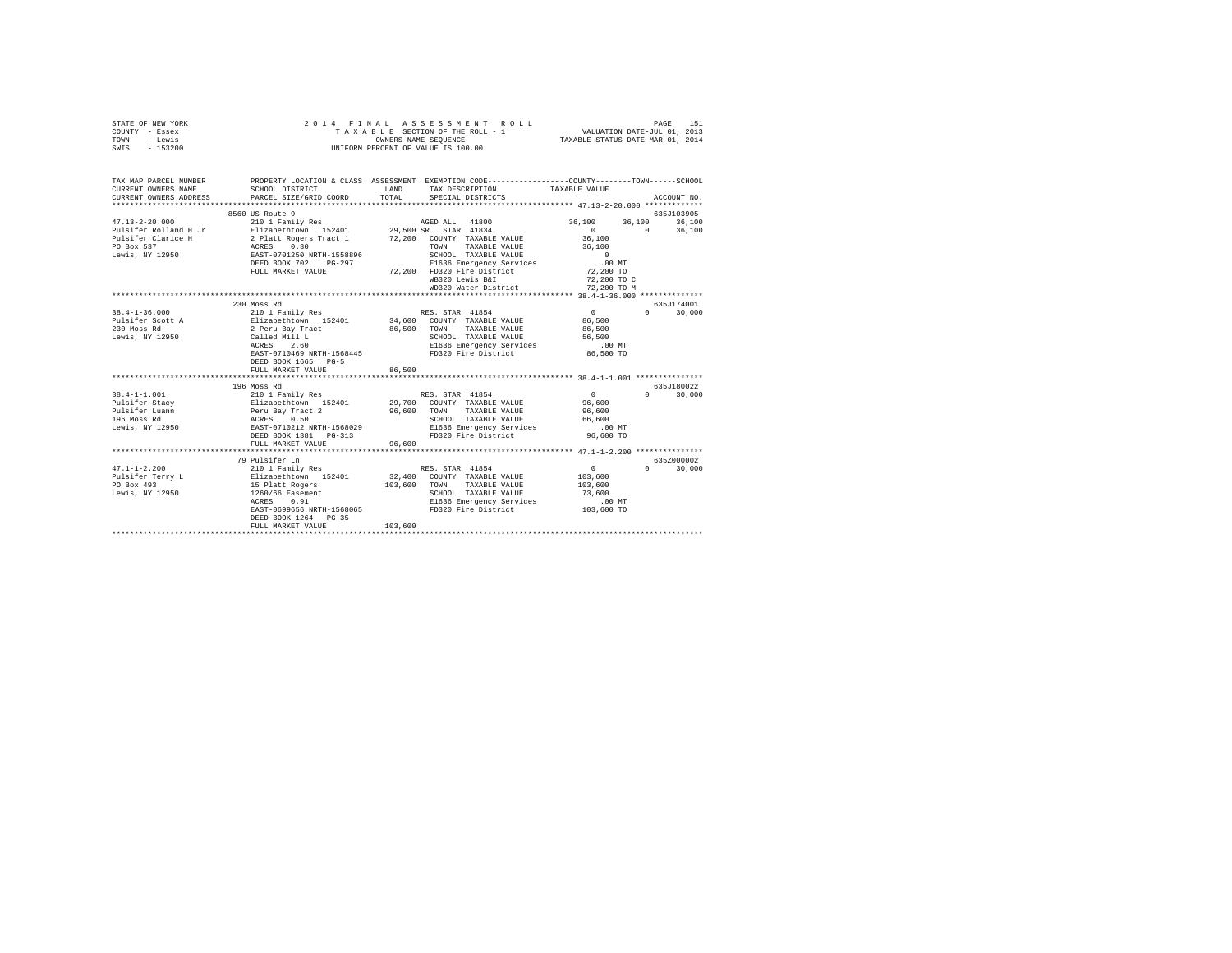| STATE OF NEW YORK | 2014 FINAL ASSESSMENT ROLL         | 151<br>PAGE                      |
|-------------------|------------------------------------|----------------------------------|
| COUNTY - Essex    | TAXABLE SECTION OF THE ROLL - 1    | VALUATION DATE-JUL 01, 2013      |
| TOWN<br>- Lewis   | OWNERS NAME SEOUENCE               | TAXABLE STATUS DATE-MAR 01, 2014 |
| $-153200$<br>SWIS | UNIFORM PERCENT OF VALUE IS 100.00 |                                  |

| TAX MAP PARCEL NUMBER         |                                                                        |                                                                                                                                                                                                                                        | PROPERTY LOCATION & CLASS ASSESSMENT EXEMPTION CODE----------------COUNTY-------TOWN-----SCHOOL |
|-------------------------------|------------------------------------------------------------------------|----------------------------------------------------------------------------------------------------------------------------------------------------------------------------------------------------------------------------------------|-------------------------------------------------------------------------------------------------|
| CURRENT OWNERS NAME           | SCHOOL DISTRICT<br>CURRENT OWNERS ADDRESS PARCEL SIZE/GRID COORD TOTAL | LAND TAX DESCRIPTION<br>SPECIAL DISTRICTS                                                                                                                                                                                              | TAXABLE VALUE<br>ACCOUNT NO.                                                                    |
|                               |                                                                        |                                                                                                                                                                                                                                        |                                                                                                 |
|                               | 8560 US Route 9                                                        |                                                                                                                                                                                                                                        | 635J103905                                                                                      |
| $47.13 - 2 - 20.000$          | 210 1 Family Res                                                       | AGED ALL 41800                                                                                                                                                                                                                         | 36,100 36,100 36,100                                                                            |
|                               |                                                                        |                                                                                                                                                                                                                                        | $0$ 0 36,100<br>36,100                                                                          |
|                               |                                                                        |                                                                                                                                                                                                                                        |                                                                                                 |
|                               |                                                                        | TOWN TAXABLE VALUE                                                                                                                                                                                                                     | 36,100                                                                                          |
|                               |                                                                        | 1558896 SCHOOL TAXABLE VALUE<br>G-297 E1636 Emergency Services<br>72,200 FD320 Fire District                                                                                                                                           | $\sim$ 0 $\,$                                                                                   |
|                               | DEED BOOK 702 PG-297                                                   |                                                                                                                                                                                                                                        | .00MT                                                                                           |
|                               | FULL MARKET VALUE                                                      |                                                                                                                                                                                                                                        | 72,200 TO                                                                                       |
|                               |                                                                        | WB320 Lewis B&I                                                                                                                                                                                                                        | 72,200 TO C                                                                                     |
|                               |                                                                        |                                                                                                                                                                                                                                        |                                                                                                 |
|                               | 230 Moss Rd                                                            |                                                                                                                                                                                                                                        | 635J174001                                                                                      |
| $38.4 - 1 - 36.000$           |                                                                        |                                                                                                                                                                                                                                        | $0 \t 30,000$                                                                                   |
| Pulsifer Scott A              |                                                                        |                                                                                                                                                                                                                                        | $\begin{array}{c} 0 \\ 86,500 \end{array}$                                                      |
| 230 Moss Rd                   |                                                                        | 86,500 TOWN TAXABLE VALUE 86,500                                                                                                                                                                                                       |                                                                                                 |
| Lewis, NY 12950 Called Mill L |                                                                        | SCHOOL TAXABLE VALUE 56,500                                                                                                                                                                                                            |                                                                                                 |
|                               | ACRES 2.60                                                             | Called Mill L<br>ACRES 2.60 SCHOOL TAXABLE VALUE<br>EAST-0710469 NRTH-1568445 FD320 Fire District                                                                                                                                      | .00MT                                                                                           |
|                               |                                                                        |                                                                                                                                                                                                                                        | 86,500 TO                                                                                       |
|                               | DEED BOOK 1665 PG-5                                                    |                                                                                                                                                                                                                                        |                                                                                                 |
|                               | FULL MARKET VALUE                                                      | 86,500                                                                                                                                                                                                                                 |                                                                                                 |
|                               |                                                                        |                                                                                                                                                                                                                                        |                                                                                                 |
|                               | 196 Moss Rd                                                            |                                                                                                                                                                                                                                        | 635.7180022                                                                                     |
|                               |                                                                        |                                                                                                                                                                                                                                        | $0 \t 30,000$                                                                                   |
|                               |                                                                        |                                                                                                                                                                                                                                        |                                                                                                 |
|                               |                                                                        |                                                                                                                                                                                                                                        |                                                                                                 |
|                               |                                                                        |                                                                                                                                                                                                                                        |                                                                                                 |
|                               |                                                                        |                                                                                                                                                                                                                                        |                                                                                                 |
|                               |                                                                        | 38.4-1-1.001 199 Moss Rd<br>Pulsifer Stacy 2010 I Family Res RES. STAR 41854 0<br>Pulsifer Stacy Pulsifer Dianobel Prince Barrier Stacy 29,700 COUNTY TAXABLE VALUE 95,600<br>Pulsifer Luann Peru Bay Tract 2<br>196 Moss Rd RCRES 0.5 |                                                                                                 |
|                               | FULL MARKET VALUE                                                      | 96.600                                                                                                                                                                                                                                 |                                                                                                 |
|                               |                                                                        |                                                                                                                                                                                                                                        |                                                                                                 |
|                               | 79 Pulsifer Ln                                                         |                                                                                                                                                                                                                                        | 635Z000002                                                                                      |
| $47.1 - 1 - 2.200$            |                                                                        |                                                                                                                                                                                                                                        | $\sim$ 0<br>30,000<br>$\Omega$ and $\Omega$                                                     |
| Pulsifer Terry L              | Elizabethtown 152401<br>15 Platt Rogers                                | 32,400 COUNTY TAXABLE VALUE                                                                                                                                                                                                            | 103,600                                                                                         |
| PO Box 493                    |                                                                        | 103,600 TOWN TAXABLE VALUE                                                                                                                                                                                                             | 103,600                                                                                         |
|                               | Lewis, NY 12950 1260/66 Easement                                       | SCHOOL TAXABLE VALUE 73,600                                                                                                                                                                                                            |                                                                                                 |
|                               | ACRES 0.91                                                             |                                                                                                                                                                                                                                        |                                                                                                 |
|                               | EAST-0699656 NRTH-1568065                                              |                                                                                                                                                                                                                                        |                                                                                                 |
|                               | DEED BOOK 1264 PG-35                                                   |                                                                                                                                                                                                                                        |                                                                                                 |
|                               | FULL MARKET VALUE                                                      | 103,600                                                                                                                                                                                                                                |                                                                                                 |
|                               |                                                                        |                                                                                                                                                                                                                                        |                                                                                                 |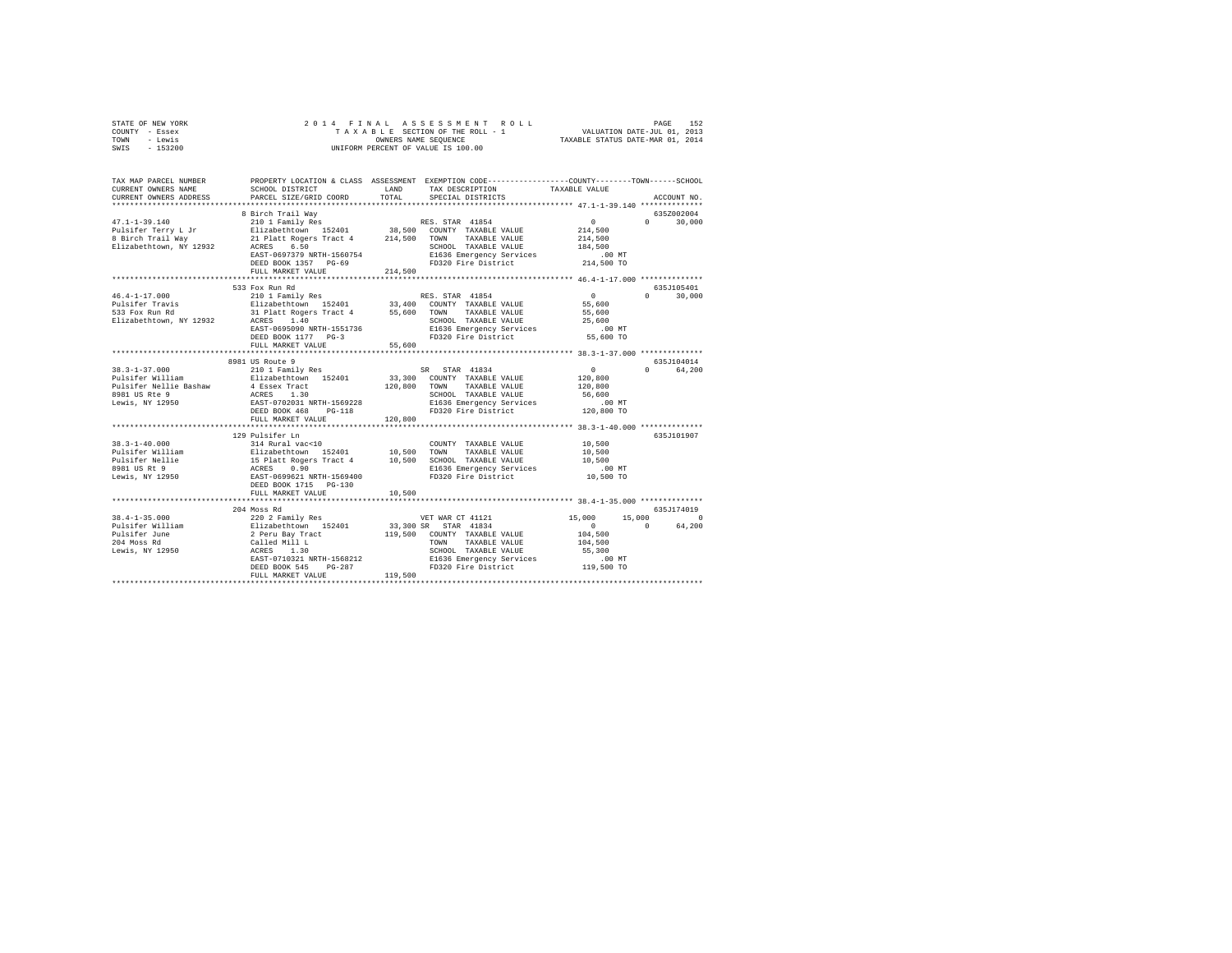| STATE OF NEW YORK<br>COUNTY - Essex      |                                                  | 2014 FINAL ASSESSMENT<br>ROLL<br>TAXABLE SECTION OF THE ROLL - 1 WALUATION DATE-JUL 01, 2013    | 152<br>PAGE               |
|------------------------------------------|--------------------------------------------------|-------------------------------------------------------------------------------------------------|---------------------------|
| - Lewis<br>TOWN<br>SWIS - 153200         |                                                  | OWNERS NAME SEQUENCE TAXABLE STATUS DATE-MAR 01, 2014<br>UNIFORM PERCENT OF VALUE IS 100.00     |                           |
|                                          |                                                  |                                                                                                 |                           |
| TAX MAP PARCEL NUMBER                    |                                                  | PROPERTY LOCATION & CLASS ASSESSMENT EXEMPTION CODE---------------COUNTY-------TOWN------SCHOOL |                           |
| CURRENT OWNERS NAME                      | SCHOOL DISTRICT                                  | T.AND<br>TAX DESCRIPTION<br>PARCEL SIZE/GRID COORD TOTAL SPECIAL DISTRICTS                      | TAXABLE VALUE             |
| CURRENT OWNERS ADDRESS                   |                                                  |                                                                                                 | ACCOUNT NO.               |
|                                          | 8 Birch Trail Wav                                |                                                                                                 | 635Z002004                |
| $47.1 - 1 - 39.140$                      |                                                  |                                                                                                 | $0 \t 30.000$<br>$\Omega$ |
|                                          |                                                  |                                                                                                 | 214,500                   |
| Pulsifer Terry L Jr<br>8 Birch Trail Way |                                                  | 21 Platt Rogers Tract 4 214,500 TOWN TAXABLE VALUE                                              | 214,500                   |
| Elizabethtown, NY 12932                  | ACRES 6.50                                       | SCHOOL TAXABLE VALUE                                                                            | 184,500                   |
|                                          | EAST-0697379 NRTH-1560754                        | E1636 Emergency Services                                                                        | .00MT                     |
|                                          | DEED BOOK 1357 PG-69                             | FD320 Fire District 214,500 TO                                                                  |                           |
|                                          | FULL MARKET VALUE                                | 214,500                                                                                         |                           |
|                                          |                                                  |                                                                                                 |                           |
|                                          | 533 Fox Run Rd                                   |                                                                                                 | 635J105401                |
| $46.4 - 1 - 17.000$                      |                                                  | 210 1 Family Res RES. STAR 41854                                                                | $\sim$ 0<br>$0 \t 30.000$ |
| Pulsifer Travis                          |                                                  | Elizabethtown 152401 33,400 COUNTY TAXABLE VALUE                                                | 55,600                    |
| 533 Fox Run Rd                           | 31 Platt Rogers Tract 4                          | 55,600 TOWN TAXABLE VALUE                                                                       | 55,600<br>25,600          |
| Elizabethtown, NY 12932                  | ACRES 1.40                                       | SCHOOL TAXABLE VALUE                                                                            |                           |
|                                          | EAST-0695090 NRTH-1551736<br>DEED BOOK 1177 PG-3 | E1636 Emergency Services                                                                        | .00MT                     |
|                                          | FULL MARKET VALUE                                | FD320 Fire District 55,600 TO<br>55,600                                                         |                           |
|                                          |                                                  |                                                                                                 |                           |
|                                          | 8981 US Route 9                                  |                                                                                                 | 635.7104014               |
|                                          | 38.3-1-37.000 210 1 Family Res                   | SR STAR 41834                                                                                   | 0 64.200<br>$\Omega$      |
| Pulsifer William                         | Elizabethtown 152401                             | 33,300 COUNTY TAXABLE VALUE                                                                     | 120,800                   |
| Pulsifer Nellie Bashaw                   | 4 Essex Tract                                    | 120,800 TOWN TAXABLE VALUE                                                                      | 120,800                   |
| 8981 US Rte 9                            | ACRES 1.30                                       | SCHOOL TAXABLE VALUE                                                                            | 56,600                    |
| Lewis. NY 12950                          | EAST-0702031 NRTH-1569228                        | E1636 Emergency Services                                                                        | .00MT                     |
|                                          | DEED BOOK 468 PG-118                             | FD320 Fire District 120,800 TO                                                                  |                           |
|                                          | FULL MARKET VALUE 120,800                        |                                                                                                 |                           |
|                                          |                                                  |                                                                                                 |                           |
|                                          | 129 Pulsifer Ln                                  |                                                                                                 | 635J101907                |
| $38.3 - 1 - 40.000$                      | 314 Rural vac<10                                 | COUNTY TAXABLE VALUE 10,500                                                                     |                           |
| Pulsifer William                         | Elizabethtown 152401 10,500                      | TOWN<br>TAXABLE VALUE                                                                           | 10,500                    |
| Pulsifer Nellie                          | 15 Platt Rogers Tract 4                          | 10,500<br>SCHOOL TAXABLE VALUE                                                                  | 10,500                    |

Lewis, NY 12950 EAST-0699621 NRTH-1569400 FD320 Fire District 10,500 TO DEED BOOK 1715 PG-130 FULL MARKET VALUE 10,500 \*\*\*\*\*\*\*\*\*\*\*\*\*\*\*\*\*\*\*\*\*\*\*\*\*\*\*\*\*\*\*\*\*\*\*\*\*\*\*\*\*\*\*\*\*\*\*\*\*\*\*\*\*\*\*\*\*\*\*\*\*\*\*\*\*\*\*\*\*\*\*\*\*\*\*\*\*\*\*\*\*\*\*\*\*\*\*\*\*\*\*\*\*\*\*\*\*\*\*\*\*\*\* 38.4-1-35.000 \*\*\*\*\*\*\*\*\*\*\*\*\*\* 204 Moss Rd<br>
204 Moss Rd<br>
202 2 Family Res<br>
Pulsifer William Blizabethtown 15,000 15,000 15,000 0<br>
202 2 Family Res<br>
202 Family Res<br>
2 Feru Bay Tract 1995,000 COUNTY TAXABLE VALUE 104,500 0 64,200<br>
Pulsifer Villem 2 Peru B 38.4-1-35.000 15,000 120027 20027 WET WAR CT 41121<br>Pulsifer William 202027 2012 2013,300 SR STAR 41834 15,000 15,000 0<br>Pulsifer June 2112 2 Peru Bay Tract 119,500 COUNTY TAXABLE VALUE 104,500<br>204 Moss Rd Called Mill L 119,

E1636 Emergency Sexion 1968121 NRTH-1568212<br>DEED BOOK 545 PG-287 POP PD320 Fire District<br>FD320 Fire District (119,500 TO 119,500 TO 119,500 TO 119,500 TO 110,500 TO 110,500 TO 110,500 TO 110,500 TO 1

e and the second term of the second term of the second term in the second term of the second of the second of terms of the second of the second of the second of the second of the second of the second of the second of the s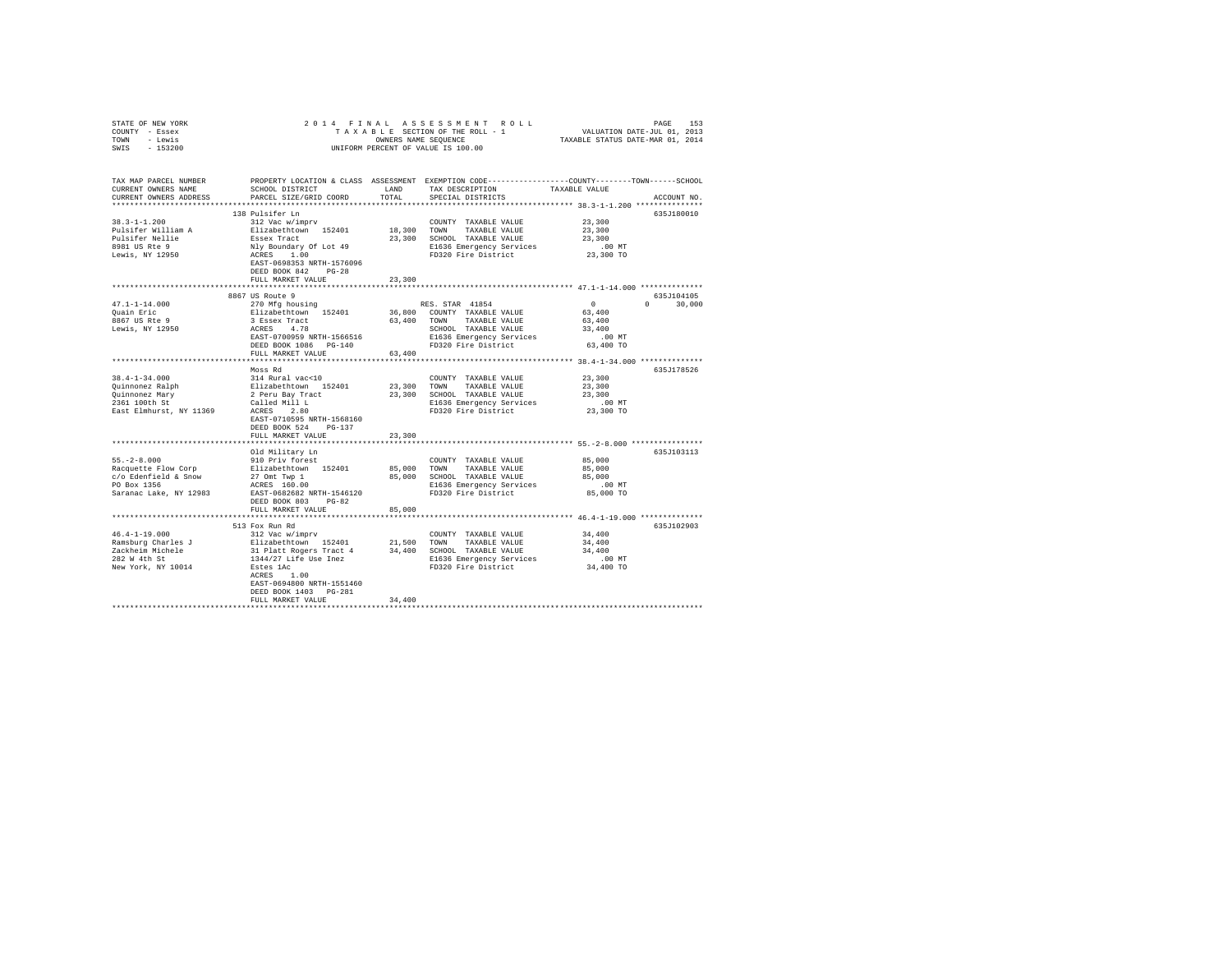| STATE OF NEW YORK                     |                                                                                                 |           |                                                                     |                                                         |               |
|---------------------------------------|-------------------------------------------------------------------------------------------------|-----------|---------------------------------------------------------------------|---------------------------------------------------------|---------------|
| COUNTY - Essex                        |                                                                                                 |           |                                                                     |                                                         |               |
| TOWN - Lewis                          |                                                                                                 |           |                                                                     |                                                         |               |
| SWIS - 153200                         |                                                                                                 |           |                                                                     |                                                         |               |
|                                       |                                                                                                 |           |                                                                     |                                                         |               |
| TAX MAP PARCEL NUMBER                 | PROPERTY LOCATION & CLASS ASSESSMENT EXEMPTION CODE---------------COUNTY-------TOWN------SCHOOL |           |                                                                     |                                                         |               |
| CURRENT OWNERS NAME                   | SCHOOL DISTRICT                                                                                 | LAND      | TAX DESCRIPTION                                                     | TAXABLE VALUE                                           |               |
| CURRENT OWNERS ADDRESS                | PARCEL SIZE/GRID COORD                                                                          | TOTAL     | SPECIAL DISTRICTS                                                   |                                                         | ACCOUNT NO.   |
|                                       |                                                                                                 |           |                                                                     |                                                         |               |
|                                       | 138 Pulsifer Ln                                                                                 |           |                                                                     |                                                         | 635J180010    |
| $38.3 - 1 - 1.200$                    | 312 Vac w/imprv                                                                                 |           | COUNTY TAXABLE VALUE                                                | 23,300                                                  |               |
|                                       | Elizabethtown 152401                                                                            |           | 18,300 TOWN TAXABLE VALUE                                           | 23,300                                                  |               |
| Pulsifer William A<br>Pulsifer Nellie |                                                                                                 |           | 23,300 SCHOOL TAXABLE VALUE                                         | 23,300                                                  |               |
|                                       |                                                                                                 |           | E1636 Emergency Services                                            | .00 MT                                                  |               |
| 8981 US Rte 9<br>Lewis, NY 12950      | Essex Tract<br>Nly Boundary Of Lot 49<br>ACRES 1.00                                             |           | FD320 Fire District                                                 | 23,300 TO                                               |               |
|                                       | EAST-0698353 NRTH-1576096                                                                       |           |                                                                     |                                                         |               |
|                                       | DEED BOOK 842 PG-28                                                                             |           |                                                                     |                                                         |               |
|                                       | FULL MARKET VALUE                                                                               | 23,300    |                                                                     |                                                         |               |
|                                       |                                                                                                 |           |                                                                     |                                                         |               |
|                                       | 8867 US Route 9                                                                                 |           |                                                                     |                                                         | 635J104105    |
| $47.1 - 1 - 14.000$                   | 270 Mfg housing                                                                                 |           | RES. STAR 41854                                                     | $\sim$ 0                                                | $0 \t 30.000$ |
| Quain Eric                            |                                                                                                 |           |                                                                     | 63,400                                                  |               |
| 8867 US Rte 9                         | Elizabethtown 152401<br>3 Essex Tract<br>ACRES 4.78<br>EAST-0700959 NRTH-1566516                |           | 36,800 COUNTY TAXABLE VALUE<br>63,400 TOWN TAXABLE VALUE            | 63,400                                                  |               |
| Lewis, NY 12950                       |                                                                                                 |           |                                                                     |                                                         |               |
|                                       |                                                                                                 |           | SCHOOL TAXABLE VALUE                                                | 33,400                                                  |               |
|                                       |                                                                                                 |           | E1636 Emergency Services                                            | $.00$ MT                                                |               |
|                                       | DEED BOOK 1086 PG-140                                                                           |           | FD320 Fire District                                                 | 63,400 TO                                               |               |
|                                       | FULL MARKET VALUE                                                                               | 63,400    |                                                                     |                                                         |               |
|                                       |                                                                                                 |           |                                                                     |                                                         |               |
|                                       | Moss Rd                                                                                         |           |                                                                     |                                                         | 635J178526    |
| $38.4 - 1 - 34.000$                   | 314 Rural vac<10                                                                                |           | COUNTY TAXABLE VALUE                                                | 23,300                                                  |               |
|                                       |                                                                                                 |           | 23,300 TOWN TAXABLE VALUE                                           | 23,300                                                  |               |
|                                       |                                                                                                 |           | 23,300 SCHOOL TAXABLE VALUE                                         | 23,300                                                  |               |
|                                       |                                                                                                 |           | E1636 Emergency Services 6.00 MT<br>FD320 Fire District 6.23,300 TO |                                                         |               |
|                                       |                                                                                                 |           |                                                                     |                                                         |               |
|                                       | EAST-0710595 NRTH-1568160                                                                       |           |                                                                     |                                                         |               |
|                                       | DEED BOOK 524 PG-137                                                                            |           |                                                                     |                                                         |               |
|                                       | FULL MARKET VALUE                                                                               | 23,300    |                                                                     |                                                         |               |
|                                       | ***********************                                                                         | ********* |                                                                     | ************************** 55.-2-8.000 **************** |               |
|                                       | Old Military Ln                                                                                 |           |                                                                     |                                                         | 635J103113    |
| $55. -2 - 8.000$                      | 910 Priv forest                                                                                 |           | COUNTY TAXABLE VALUE                                                | 85,000                                                  |               |
|                                       |                                                                                                 |           | 85,000 TOWN TAXABLE VALUE                                           | 85,000                                                  |               |
|                                       |                                                                                                 |           | 85,000 SCHOOL TAXABLE VALUE                                         | 85,000                                                  |               |
|                                       | Racquette Flow Corp Blizabethtown 152401<br>c/o Edenfield & Snow 27 Omt Twp 1<br>PO Box 1356    |           | E1636 Emergency Services                                            | 00 MT.<br>85,000 TO                                     |               |
| Saranac Lake, NY 12983                | EAST-0682682 NRTH-1546120                                                                       |           | FD320 Fire District                                                 |                                                         |               |
|                                       | DEED BOOK 803 PG-82                                                                             |           |                                                                     |                                                         |               |
|                                       | FULL MARKET VALUE                                                                               | 85,000    |                                                                     |                                                         |               |
|                                       |                                                                                                 |           |                                                                     |                                                         |               |
|                                       | 513 Fox Run Rd                                                                                  |           |                                                                     |                                                         | 635J102903    |
| $46.4 - 1 - 19.000$                   | 312 Vac w/imprv                                                                                 |           | COUNTY TAXABLE VALUE                                                | 34,400                                                  |               |
|                                       |                                                                                                 |           |                                                                     | 34,400                                                  |               |
|                                       |                                                                                                 |           |                                                                     | 34,400                                                  |               |
|                                       |                                                                                                 |           | E1636 Emergency Services 00 MT<br>FD320 Fire District 34,400 TO     |                                                         |               |
|                                       |                                                                                                 |           |                                                                     |                                                         |               |
|                                       | ACRES 1.00                                                                                      |           |                                                                     |                                                         |               |
|                                       | EAST-0694800 NRTH-1551460                                                                       |           |                                                                     |                                                         |               |
|                                       | DEED BOOK 1403    PG-281                                                                        |           |                                                                     |                                                         |               |
|                                       | FULL MARKET VALUE                                                                               | 34,400    |                                                                     |                                                         |               |
|                                       |                                                                                                 |           |                                                                     |                                                         |               |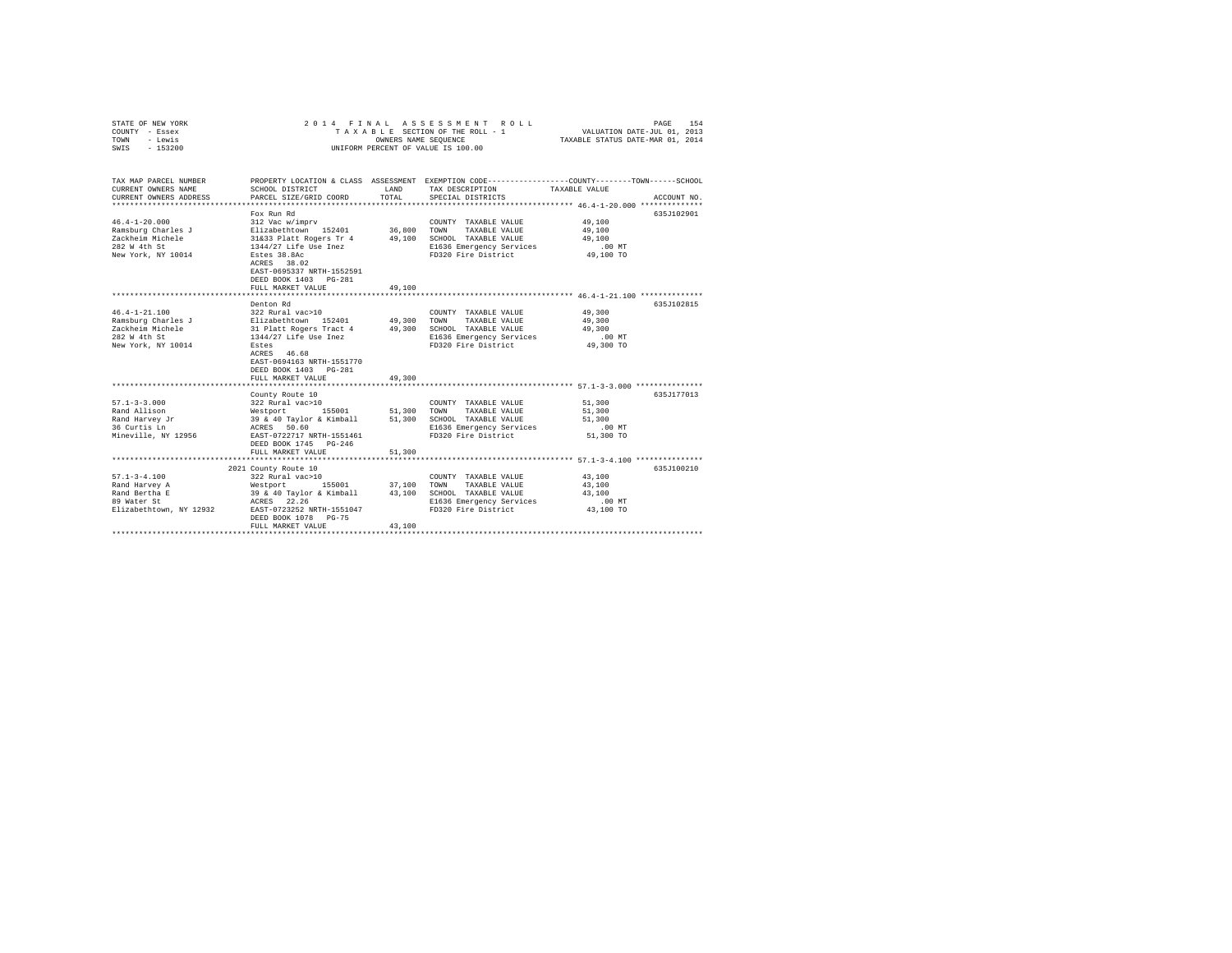| STATE OF NEW YORK<br>COUNTY - Essex<br>TOWN<br>- Lewis<br>SWIS - 153200                             | 2014 FINAL<br>TAXABLE SECTION OF THE ROLL - 1<br>UNIFORM PERCENT OF VALUE IS 100.00                                                                                                                                        | PAGE<br>154<br>VALUATION DATE-JUL 01, 2013<br>TAXABLE STATUS DATE-MAR 01, 2014 |                                                                                                                          |                                                                                                                                 |
|-----------------------------------------------------------------------------------------------------|----------------------------------------------------------------------------------------------------------------------------------------------------------------------------------------------------------------------------|--------------------------------------------------------------------------------|--------------------------------------------------------------------------------------------------------------------------|---------------------------------------------------------------------------------------------------------------------------------|
| TAX MAP PARCEL NUMBER<br>CURRENT OWNERS NAME<br>CURRENT OWNERS ADDRESS                              | SCHOOL DISTRICT<br>PARCEL SIZE/GRID COORD                                                                                                                                                                                  | LAND<br>TOTAL                                                                  | TAX DESCRIPTION<br>SPECIAL DISTRICTS                                                                                     | PROPERTY LOCATION & CLASS ASSESSMENT EXEMPTION CODE---------------COUNTY-------TOWN------SCHOOL<br>TAXABLE VALUE<br>ACCOUNT NO. |
| $46.4 - 1 - 20.000$<br>Ramsburg Charles J<br>Zackheim Michele<br>282 W 4th St<br>New York, NY 10014 | Fox Run Rd<br>312 Vac w/imprv<br>Elizabethtown 152401<br>31&33 Platt Rogers Tr 4 49,100<br>1344/27 Life Use Inez<br>Estes 38.8Ac<br>ACRES 38.02<br>EAST-0695337 NRTH-1552591<br>DEED BOOK 1403 PG-281<br>FULL MARKET VALUE | 36,800 TOWN<br>49,100                                                          | COUNTY TAXABLE VALUE<br>TAXABLE VALUE<br>SCHOOL TAXABLE VALUE<br>E1636 Emergency Services<br>FD320 Fire District         | 635J102901<br>49,100<br>49,100<br>49,100<br>$.00$ MT<br>49,100 TO                                                               |
|                                                                                                     |                                                                                                                                                                                                                            |                                                                                |                                                                                                                          |                                                                                                                                 |
| $46.4 - 1 - 21.100$<br>Ramsburg Charles J<br>Zackheim Michele<br>282 W 4th St<br>New York, NY 10014 | Denton Rd<br>322 Rural vac>10<br>Elizabethtown 152401<br>31 Platt Rogers Tract 4 49,300<br>1344/27 Life Use Inez<br>Estes<br>ACRES 46.68<br>EAST-0694163 NRTH-1551770<br>DEED BOOK 1403 PG-281<br>FULL MARKET VALUE        | 49,300<br>49,300                                                               | COUNTY TAXABLE VALUE<br>TOWN<br>TAXABLE VALUE<br>SCHOOL TAXABLE VALUE<br>E1636 Emergency Services<br>FD320 Fire District | 635J102815<br>49,300<br>49,300<br>49,300<br>$.00$ MT<br>49,300 TO                                                               |
|                                                                                                     |                                                                                                                                                                                                                            |                                                                                |                                                                                                                          |                                                                                                                                 |
| $57.1 - 3 - 3.000$<br>Rand Allison<br>Rand Harvey Jr<br>36 Curtis Ln<br>Mineville, NY 12956         | County Route 10<br>322 Rural vac>10<br>Westport 155001<br>39 & 40 Taylor & Kimball<br>ACRES 50.60<br>EAST-0722717 NRTH-1551461<br>DEED BOOK 1745 PG-246                                                                    | 51,300<br>51,300                                                               | COUNTY TAXABLE VALUE<br>TOWN TAXABLE VALUE<br>SCHOOL TAXABLE VALUE<br>E1636 Emergency Services<br>FD320 Fire District    | 635J177013<br>51,300<br>51,300<br>51,300<br>.00 MT<br>51,300 TO                                                                 |
|                                                                                                     | FULL MARKET VALUE                                                                                                                                                                                                          | 51,300                                                                         |                                                                                                                          |                                                                                                                                 |
| $57.1 - 3 - 4.100$<br>Rand Harvey A                                                                 | 2021 County Route 10<br>322 Rural vac>10                                                                                                                                                                                   | 37,100                                                                         | COUNTY TAXABLE VALUE<br>TOWN<br>TAXABLE VALUE                                                                            | 635J100210<br>43,100<br>43,100                                                                                                  |
| Rand Bertha E<br>89 Water St<br>Elizabethtown, NY 12932                                             | Westport 155001<br>39 & 40 Taylor & Kimball<br>ACRES 22.26<br>EAST-0723252 NRTH-1551047<br>DEED BOOK 1078 PG-75<br>FULL MARKET VALUE                                                                                       | 43,100<br>43,100                                                               | SCHOOL TAXABLE VALUE<br>E1636 Emergency Services<br>FD320 Fire District                                                  | 43,100<br>$.00$ MT<br>43,100 TO                                                                                                 |
|                                                                                                     |                                                                                                                                                                                                                            |                                                                                |                                                                                                                          |                                                                                                                                 |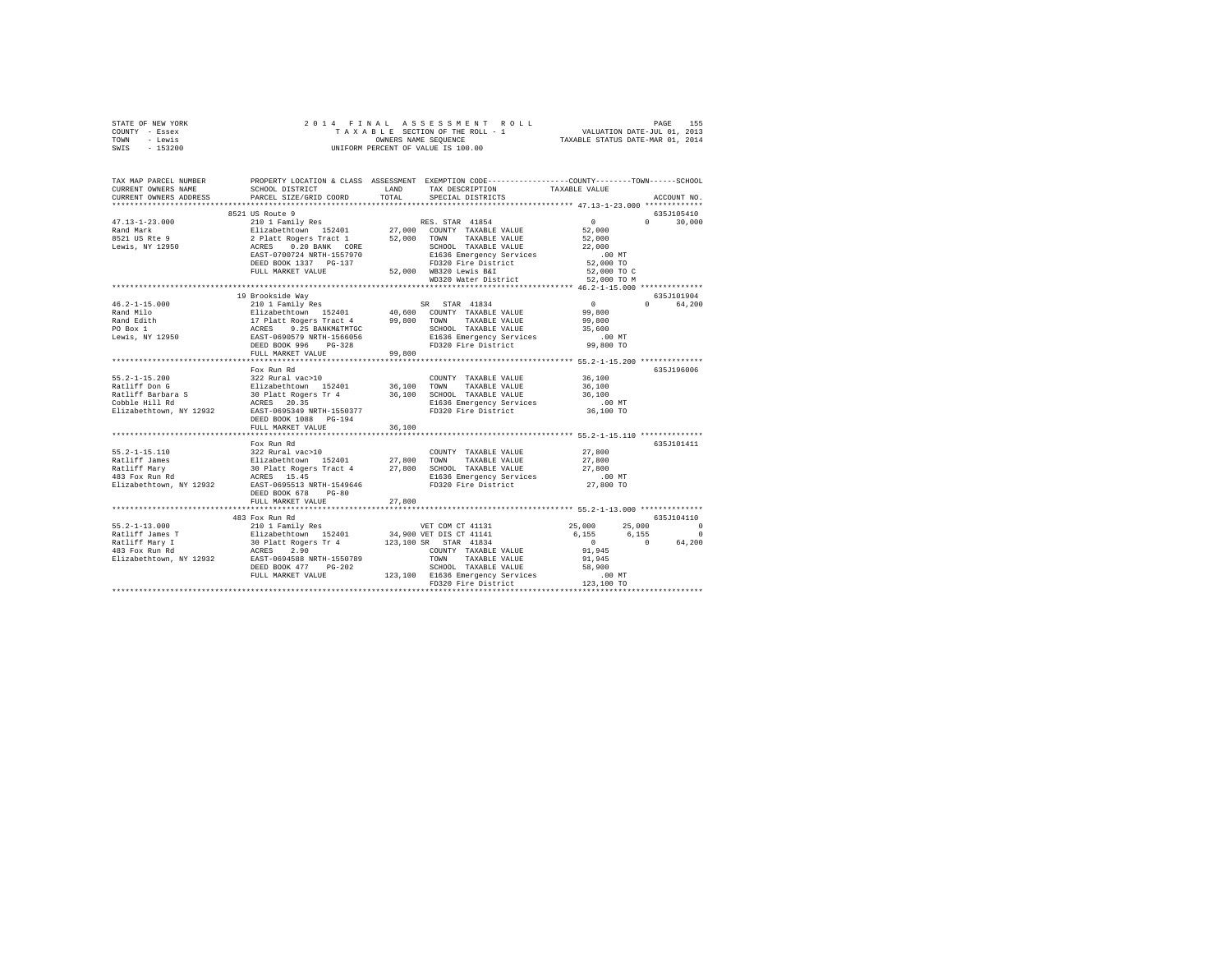| TOWN - Lewis<br>SWIS - 153200 | UNIFORM PERCENT OF VALUE IS 100.00         | TAXABLE STATUS DATE-MAR 01, 2014                                                                                                                                                                                                                                                                                                                                                                                                                                               |                                                                                                                       |
|-------------------------------|--------------------------------------------|--------------------------------------------------------------------------------------------------------------------------------------------------------------------------------------------------------------------------------------------------------------------------------------------------------------------------------------------------------------------------------------------------------------------------------------------------------------------------------|-----------------------------------------------------------------------------------------------------------------------|
|                               |                                            |                                                                                                                                                                                                                                                                                                                                                                                                                                                                                | TAX MAP PARCEL NUMBER PROPERTY LOCATION & CLASS ASSESSMENT EXEMPTION CODE---------------COUNTY-------TOWN------SCHOOL |
| CURRENT OWNERS NAME           |                                            | SCHOOL DISTRICT TAND TAX DESCRIPTION                                                                                                                                                                                                                                                                                                                                                                                                                                           | TAXABLE VALUE                                                                                                         |
| CURRENT OWNERS ADDRESS        | PARCEL SIZE/GRID COORD                     | TOTAL<br>SPECIAL DISTRICTS                                                                                                                                                                                                                                                                                                                                                                                                                                                     | ACCOUNT NO.                                                                                                           |
|                               |                                            |                                                                                                                                                                                                                                                                                                                                                                                                                                                                                |                                                                                                                       |
|                               | 8521 US Route 9                            |                                                                                                                                                                                                                                                                                                                                                                                                                                                                                | 635J105410                                                                                                            |
| $47.13 - 1 - 23.000$          |                                            |                                                                                                                                                                                                                                                                                                                                                                                                                                                                                | $0 \t 30,000$                                                                                                         |
| Rand Mark<br>8521 US Rte 9    |                                            |                                                                                                                                                                                                                                                                                                                                                                                                                                                                                |                                                                                                                       |
| Lewis, NY 12950               |                                            |                                                                                                                                                                                                                                                                                                                                                                                                                                                                                |                                                                                                                       |
|                               |                                            |                                                                                                                                                                                                                                                                                                                                                                                                                                                                                |                                                                                                                       |
|                               |                                            |                                                                                                                                                                                                                                                                                                                                                                                                                                                                                |                                                                                                                       |
|                               |                                            |                                                                                                                                                                                                                                                                                                                                                                                                                                                                                |                                                                                                                       |
|                               |                                            |                                                                                                                                                                                                                                                                                                                                                                                                                                                                                |                                                                                                                       |
|                               |                                            |                                                                                                                                                                                                                                                                                                                                                                                                                                                                                |                                                                                                                       |
|                               |                                            | 19 Brookside Way<br>19 Brookside Way<br>210 1 Pamily Res<br>21 Izabethtown 152401<br>21 Izabethtown 152401<br>29,800 TOWN TAXABLE VALUE 99,800<br>25 ADS BRANKATHTGE 2000 TOWN TAXABLE VALUE 99,800<br>25,600 EARES 9.25 BANKMATHTGE                                                                                                                                                                                                                                           | 635J101904                                                                                                            |
| $46.2 - 1 - 15.000$           |                                            |                                                                                                                                                                                                                                                                                                                                                                                                                                                                                | 0 64.200                                                                                                              |
|                               |                                            |                                                                                                                                                                                                                                                                                                                                                                                                                                                                                |                                                                                                                       |
|                               |                                            |                                                                                                                                                                                                                                                                                                                                                                                                                                                                                |                                                                                                                       |
|                               |                                            |                                                                                                                                                                                                                                                                                                                                                                                                                                                                                |                                                                                                                       |
|                               |                                            |                                                                                                                                                                                                                                                                                                                                                                                                                                                                                |                                                                                                                       |
|                               | FULL MARKET VALUE                          | 99.800                                                                                                                                                                                                                                                                                                                                                                                                                                                                         |                                                                                                                       |
|                               |                                            |                                                                                                                                                                                                                                                                                                                                                                                                                                                                                |                                                                                                                       |
|                               | Fox Run Rd                                 |                                                                                                                                                                                                                                                                                                                                                                                                                                                                                | 635J196006                                                                                                            |
|                               |                                            | $\begin{array}{lll} \texttt{COUNTY} & \texttt{TAXABLE} & \texttt{VALUE} & \texttt{36,100} \\ \texttt{max} & \texttt{maxair} & \texttt{varitIE} & \texttt{36,100} \\ \end{array}$                                                                                                                                                                                                                                                                                               |                                                                                                                       |
|                               |                                            |                                                                                                                                                                                                                                                                                                                                                                                                                                                                                |                                                                                                                       |
|                               |                                            |                                                                                                                                                                                                                                                                                                                                                                                                                                                                                | 36,100                                                                                                                |
|                               |                                            |                                                                                                                                                                                                                                                                                                                                                                                                                                                                                | .00 MT<br>00 MT.<br>36,100 TO                                                                                         |
|                               |                                            |                                                                                                                                                                                                                                                                                                                                                                                                                                                                                |                                                                                                                       |
|                               | DEED BOOK 1088 PG-194<br>FULL MARKET VALUE | 36,100                                                                                                                                                                                                                                                                                                                                                                                                                                                                         |                                                                                                                       |
|                               |                                            |                                                                                                                                                                                                                                                                                                                                                                                                                                                                                |                                                                                                                       |
|                               | Fox Run Rd                                 |                                                                                                                                                                                                                                                                                                                                                                                                                                                                                | 635J101411                                                                                                            |
| $55.2 - 1 - 15.110$           | 322 Rural vac>10                           |                                                                                                                                                                                                                                                                                                                                                                                                                                                                                |                                                                                                                       |
|                               |                                            | $\begin{array}{cccc}\n\text{COUNTY} & \text{TAXABLE VALUE} & & & \\ & - & \text{WATJIR} & & \\ & - & \text{WATJIR} & & \\ & & 27,800 & & \\ \end{array}$<br>2012–12:110 27,800 10000 10000 10000 10000 10000 10000 10000 10000 10000 10000 10000 10000 10000 10000 10000 1<br>188111ff Mary 30 10000 10000 10000 10000 100000 100000 10000 10000 10000 10000 10000 10000 10000 10000 1000 1<br>                                                                                |                                                                                                                       |
|                               |                                            |                                                                                                                                                                                                                                                                                                                                                                                                                                                                                |                                                                                                                       |
|                               |                                            |                                                                                                                                                                                                                                                                                                                                                                                                                                                                                | 27,800<br>.00 MT                                                                                                      |
| Elizabethtown, NY 12932       | EAST-0695513 NRTH-1549646                  | FD320 Fire District                                                                                                                                                                                                                                                                                                                                                                                                                                                            | 27,800 TO                                                                                                             |
|                               | DEED BOOK 678 PG-80                        |                                                                                                                                                                                                                                                                                                                                                                                                                                                                                |                                                                                                                       |
|                               | FULL MARKET VALUE                          | 27,800                                                                                                                                                                                                                                                                                                                                                                                                                                                                         |                                                                                                                       |
|                               | 483 Fox Run Rd                             |                                                                                                                                                                                                                                                                                                                                                                                                                                                                                | 635.7104110                                                                                                           |
|                               |                                            |                                                                                                                                                                                                                                                                                                                                                                                                                                                                                | 25,000 25,000 0                                                                                                       |
|                               |                                            |                                                                                                                                                                                                                                                                                                                                                                                                                                                                                |                                                                                                                       |
|                               |                                            |                                                                                                                                                                                                                                                                                                                                                                                                                                                                                | $\begin{bmatrix} 6 & 155 \\ 6 & 155 \\ 0 & 0 \\ 91 & 945 \\ 91 & 945 \end{bmatrix}$ 6,155 0<br>91,945                 |
|                               |                                            |                                                                                                                                                                                                                                                                                                                                                                                                                                                                                |                                                                                                                       |
|                               |                                            |                                                                                                                                                                                                                                                                                                                                                                                                                                                                                |                                                                                                                       |
|                               |                                            |                                                                                                                                                                                                                                                                                                                                                                                                                                                                                |                                                                                                                       |
|                               |                                            |                                                                                                                                                                                                                                                                                                                                                                                                                                                                                |                                                                                                                       |
|                               |                                            | ${\small \begin{tabular}{l c c c c c} \multicolumn{3}{c}{\textbf{AGRES}} & $\color{red}1$ & $\color{blue}2$ & $\color{blue}90$ & $\color{blue}70\text{$\sf NN$} & $\color{blue}71\text{$\sf XXABLE$} & $\color{blue}31$ & $\color{blue}21$ & $\color{blue}71$ & $\color{blue}71$ & $\color{blue}71$ & $\color{blue}71$ & $\color{blue}71$ & $\color{blue}71$ & $\color{blue}71$ & $\color{blue}71$ & $\color{blue}71$ & $\color{blue}71$ & $\color{blue}71$ & $\color{blue}71$ |                                                                                                                       |
|                               |                                            |                                                                                                                                                                                                                                                                                                                                                                                                                                                                                |                                                                                                                       |

STATE OF NEW YORK 2 0 1 4 F I N A L A S S E S S M E N T R O L L PAGE 155 COUNTY - Essex T A X A B L E SECTION OF THE ROLL - 1 VALUATION DATE-JUL 01, 2013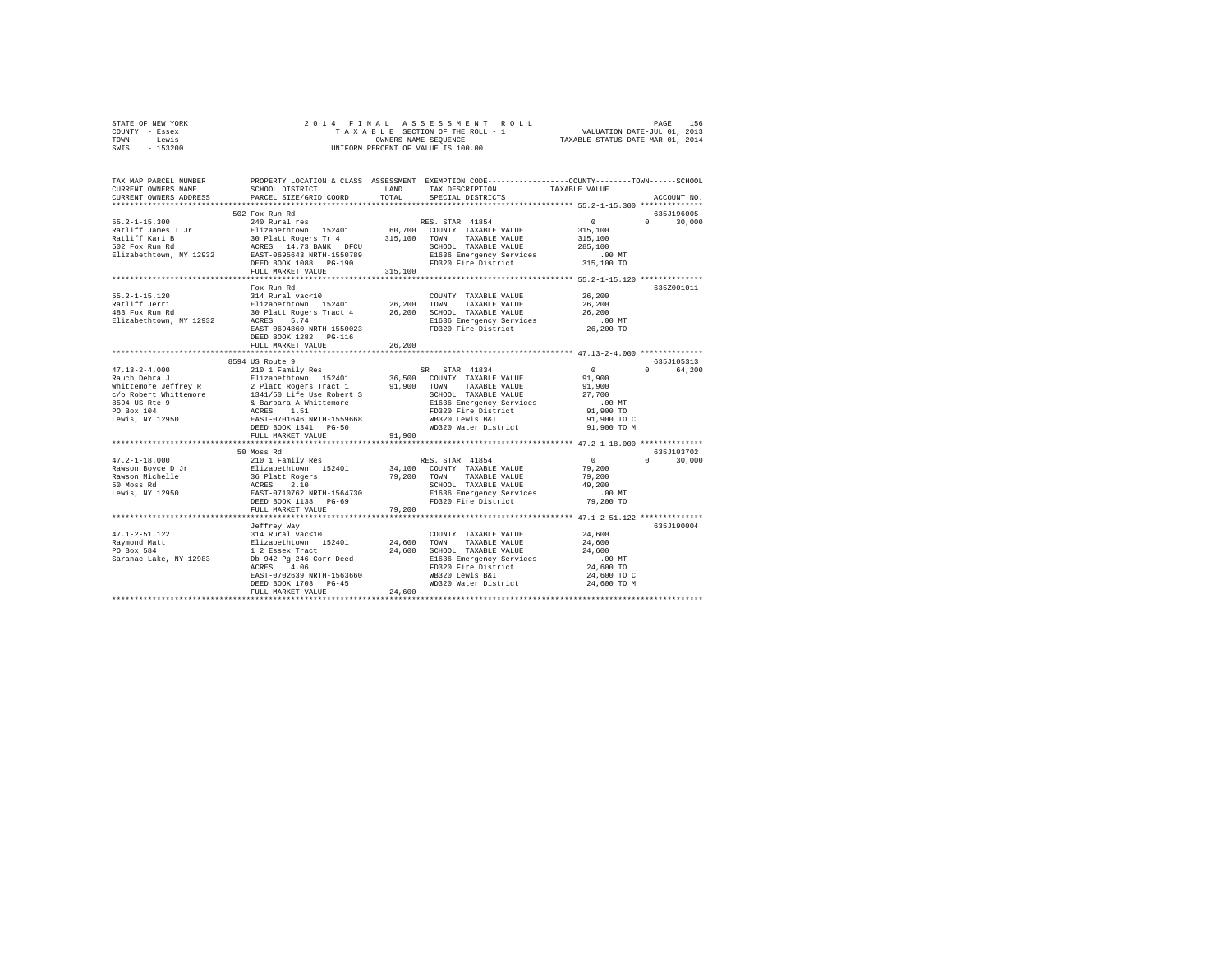| STATE OF NEW YORK | 2014 FINAL ASSESSMENT ROLL         | 156<br>PAGE                      |
|-------------------|------------------------------------|----------------------------------|
| COUNTY - Essex    | TAXABLE SECTION OF THE ROLL - 1    | VALUATION DATE-JUL 01, 2013      |
| TOWN<br>- Lewis   | OWNERS NAME SEOUENCE               | TAXABLE STATUS DATE-MAR 01, 2014 |
| $-153200$<br>SWIS | UNIFORM PERCENT OF VALUE IS 100.00 |                                  |

| TAX MAP PARCEL NUMBER<br>CURRENT OWNERS NAME<br>CURRENT OWNERS ADDRESS                                                                                                                                                                     | SCHOOL DISTRICT<br>PARCEL SIZE/GRID COORD | LAND<br>TOTAL       | PROPERTY LOCATION & CLASS ASSESSMENT EXEMPTION CODE----------------COUNTY-------TOWN------SCHOOL<br>TAX DESCRIPTION<br>SPECIAL DISTRICTS                                                                                                   | TAXABLE VALUE                                       | ACCOUNT NO.                 |
|--------------------------------------------------------------------------------------------------------------------------------------------------------------------------------------------------------------------------------------------|-------------------------------------------|---------------------|--------------------------------------------------------------------------------------------------------------------------------------------------------------------------------------------------------------------------------------------|-----------------------------------------------------|-----------------------------|
|                                                                                                                                                                                                                                            |                                           |                     |                                                                                                                                                                                                                                            |                                                     |                             |
|                                                                                                                                                                                                                                            | 502 Fox Run Rd                            |                     |                                                                                                                                                                                                                                            |                                                     | 635J196005                  |
| 55.2-1-15.300<br>RES. 57<br>Ratliff James T Jr = 240 Rural res<br>Ratliff Kari B = 30 Platt Rogers Tr 4 = 315,100 COUNT<br>502 Fox Run Rd = 30 Platt Rogers Tr 4 = 315,100 TOWN<br>Elizabethtown, NY 12932 = RAST-0655643 NRTH-1550789<br> |                                           |                     |                                                                                                                                                                                                                                            | $\sim$ 0                                            | $\Omega$<br>30,000          |
|                                                                                                                                                                                                                                            |                                           |                     | RES. STAR 41854<br>60,700 COUNTY TAXABLE VALUE                                                                                                                                                                                             | 315,100                                             |                             |
|                                                                                                                                                                                                                                            |                                           |                     | TAXABLE VALUE                                                                                                                                                                                                                              |                                                     |                             |
|                                                                                                                                                                                                                                            |                                           |                     | SCHOOL TAXABLE VALUE                                                                                                                                                                                                                       | 315,100<br>285,100                                  |                             |
|                                                                                                                                                                                                                                            |                                           |                     |                                                                                                                                                                                                                                            | $.00$ MT                                            |                             |
|                                                                                                                                                                                                                                            |                                           |                     | E1636 Emergency Services<br>FD320 Fire District                                                                                                                                                                                            | 315,100 TO                                          |                             |
|                                                                                                                                                                                                                                            | FULL MARKET VALUE                         | 315,100             |                                                                                                                                                                                                                                            |                                                     |                             |
|                                                                                                                                                                                                                                            | ************************                  |                     | ****************************** 55.2-1-15.120 **************                                                                                                                                                                                |                                                     |                             |
|                                                                                                                                                                                                                                            | Fox Run Rd                                |                     |                                                                                                                                                                                                                                            |                                                     | 635Z001011                  |
| $55.2 - 1 - 15.120$                                                                                                                                                                                                                        |                                           |                     |                                                                                                                                                                                                                                            | 26,200                                              |                             |
| Ratliff Jerri                                                                                                                                                                                                                              |                                           |                     |                                                                                                                                                                                                                                            | 26,200                                              |                             |
| 483 Fox Run Rd                                                                                                                                                                                                                             |                                           |                     |                                                                                                                                                                                                                                            | 26,200                                              |                             |
| Elizabethtown, NY 12932                                                                                                                                                                                                                    |                                           |                     |                                                                                                                                                                                                                                            | 00 MT.<br>26,200 TO                                 |                             |
|                                                                                                                                                                                                                                            |                                           |                     | FOX KULL AND COUNTY TAXABLE VALUE<br>314 Rural vac<10<br>Elizabethtown 152401 26,200 TOWN TAXABLE VALUE<br>30 Platt Rogers Tract 4 26,200 SCHOOL TAXABLE VALUE<br>ACRES 5.74<br>PRESS 5.74 E1636 Emergency Services<br>PRESS 5.74 E1636 Em |                                                     |                             |
|                                                                                                                                                                                                                                            | DEED BOOK 1282 PG-116                     |                     |                                                                                                                                                                                                                                            |                                                     |                             |
|                                                                                                                                                                                                                                            | FULL MARKET VALUE                         | 26,200              |                                                                                                                                                                                                                                            |                                                     |                             |
|                                                                                                                                                                                                                                            |                                           | ******************* |                                                                                                                                                                                                                                            | ********************** 47.13-2-4.000 ************** |                             |
|                                                                                                                                                                                                                                            | 8594 US Route 9                           |                     |                                                                                                                                                                                                                                            |                                                     | 635J105313                  |
|                                                                                                                                                                                                                                            |                                           |                     |                                                                                                                                                                                                                                            | $\sim$ 0                                            | $\mathbf{r}$<br>64,200      |
|                                                                                                                                                                                                                                            |                                           |                     |                                                                                                                                                                                                                                            | 91,900                                              |                             |
|                                                                                                                                                                                                                                            |                                           |                     |                                                                                                                                                                                                                                            | 91,900                                              |                             |
|                                                                                                                                                                                                                                            |                                           |                     | SCHOOL TAXABLE VALUE                                                                                                                                                                                                                       | 27,700                                              |                             |
|                                                                                                                                                                                                                                            |                                           |                     | E1636 Emergency Services<br>FD320 Fire District                                                                                                                                                                                            | .00 MT                                              |                             |
|                                                                                                                                                                                                                                            |                                           |                     |                                                                                                                                                                                                                                            | 91,900 TO<br>91,900 TO C                            |                             |
|                                                                                                                                                                                                                                            |                                           |                     |                                                                                                                                                                                                                                            |                                                     |                             |
|                                                                                                                                                                                                                                            |                                           |                     | WD320 Water District 91,900 TO M                                                                                                                                                                                                           |                                                     |                             |
|                                                                                                                                                                                                                                            | FULL MARKET VALUE                         | 91,900              |                                                                                                                                                                                                                                            |                                                     |                             |
|                                                                                                                                                                                                                                            |                                           |                     |                                                                                                                                                                                                                                            |                                                     |                             |
|                                                                                                                                                                                                                                            | 50 Moss Rd                                |                     |                                                                                                                                                                                                                                            | $\sim$ 0                                            | 635J103702<br>$0 \t 30.000$ |
|                                                                                                                                                                                                                                            |                                           |                     | RES. STAR 41854<br>34,100 COUNTY TAXABLE VALUE                                                                                                                                                                                             |                                                     |                             |
|                                                                                                                                                                                                                                            |                                           |                     |                                                                                                                                                                                                                                            | 79,200                                              |                             |
|                                                                                                                                                                                                                                            |                                           |                     | 79,200 TOWN TAXABLE VALUE                                                                                                                                                                                                                  | 79,200<br>49,200                                    |                             |
|                                                                                                                                                                                                                                            |                                           |                     |                                                                                                                                                                                                                                            | $.00$ MT                                            |                             |
|                                                                                                                                                                                                                                            |                                           |                     |                                                                                                                                                                                                                                            | 79,200 TO                                           |                             |
|                                                                                                                                                                                                                                            | FULL MARKET VALUE                         | 79,200              |                                                                                                                                                                                                                                            |                                                     |                             |
|                                                                                                                                                                                                                                            |                                           |                     |                                                                                                                                                                                                                                            |                                                     |                             |
|                                                                                                                                                                                                                                            |                                           |                     |                                                                                                                                                                                                                                            |                                                     | 635J190004                  |
|                                                                                                                                                                                                                                            |                                           |                     | COUNTY TAXABLE VALUE                                                                                                                                                                                                                       | 24,600                                              |                             |
|                                                                                                                                                                                                                                            |                                           |                     | 24,600 TOWN TAXABLE VALUE                                                                                                                                                                                                                  |                                                     |                             |
|                                                                                                                                                                                                                                            |                                           |                     | 24,600 SCHOOL TAXABLE VALUE                                                                                                                                                                                                                | 24,600<br>24,600                                    |                             |
|                                                                                                                                                                                                                                            |                                           |                     |                                                                                                                                                                                                                                            | $.00$ MT                                            |                             |
|                                                                                                                                                                                                                                            |                                           |                     | E1636 Emergency Services<br>FD320 Fire District                                                                                                                                                                                            | 00 MT.<br>24,600 TO                                 |                             |
|                                                                                                                                                                                                                                            | EAST-0702639 NRTH-1563660                 |                     | WB320 Lewis B&I                                                                                                                                                                                                                            | 24,600 TO C                                         |                             |
|                                                                                                                                                                                                                                            | DEED BOOK 1703 PG-45                      |                     | WD320 Water District 24,600 TO M                                                                                                                                                                                                           |                                                     |                             |
|                                                                                                                                                                                                                                            | FULL MARKET VALUE                         | 24,600              |                                                                                                                                                                                                                                            |                                                     |                             |
|                                                                                                                                                                                                                                            |                                           |                     |                                                                                                                                                                                                                                            |                                                     |                             |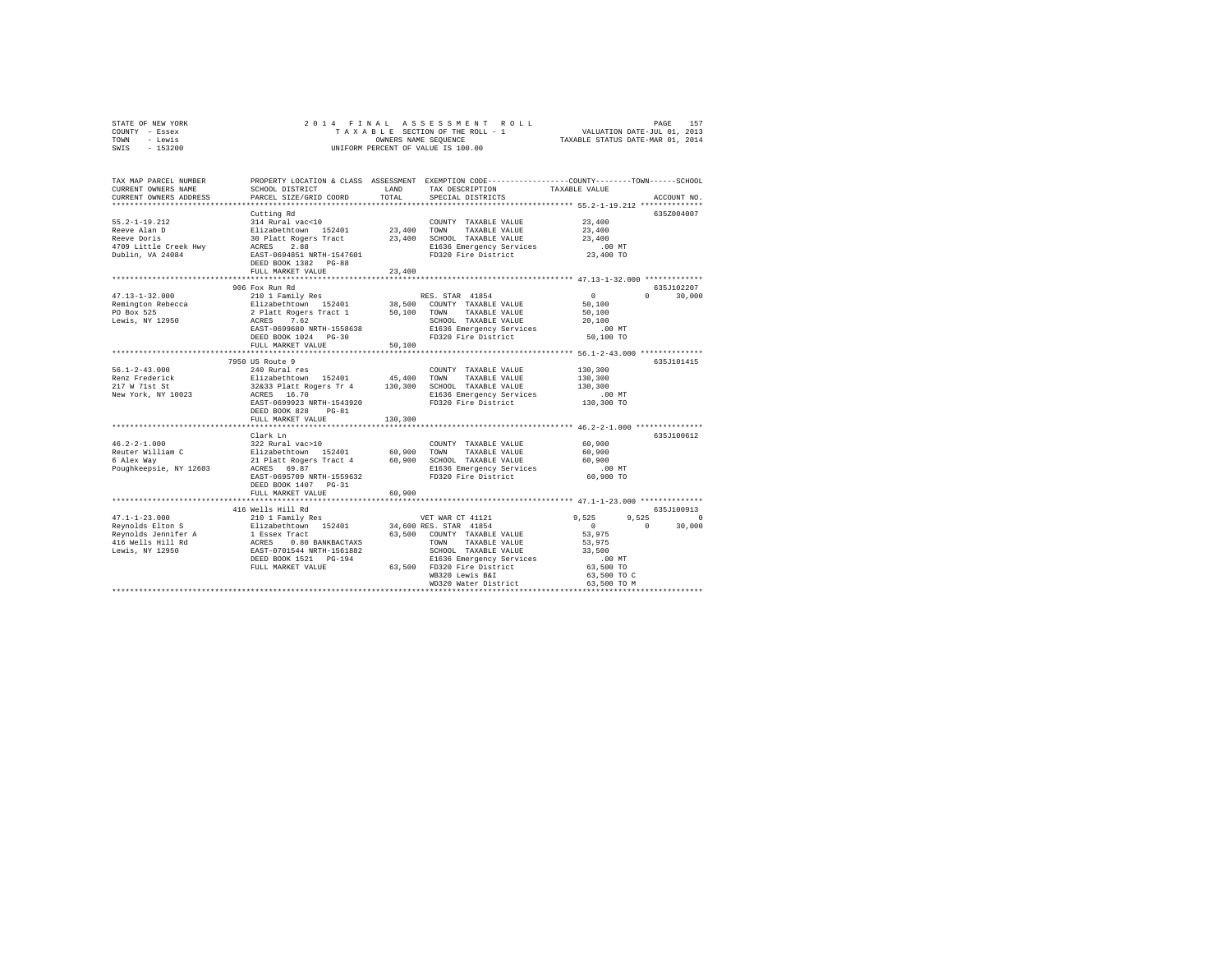| STATE OF NEW YORK | 2014 FINAL ASSESSMENT ROLL         | 157<br>PAGE                      |
|-------------------|------------------------------------|----------------------------------|
| COUNTY - Essex    | TAXABLE SECTION OF THE ROLL - 1    | VALUATION DATE-JUL 01, 2013      |
| TOWN<br>- Lewis   | OWNERS NAME SEOUENCE               | TAXABLE STATUS DATE-MAR 01, 2014 |
| $-153200$<br>SWIS | UNIFORM PERCENT OF VALUE IS 100.00 |                                  |

| TAX MAP PARCEL NUMBER                                                                                                                                                                                                                |                                                                                                                                                                                                  |         | PROPERTY LOCATION & CLASS ASSESSMENT EXEMPTION CODE----------------COUNTY-------TOWN------SCHOOL |                                                                             |                        |
|--------------------------------------------------------------------------------------------------------------------------------------------------------------------------------------------------------------------------------------|--------------------------------------------------------------------------------------------------------------------------------------------------------------------------------------------------|---------|--------------------------------------------------------------------------------------------------|-----------------------------------------------------------------------------|------------------------|
| CURRENT OWNERS NAME                                                                                                                                                                                                                  | SCHOOL DISTRICT                                                                                                                                                                                  | LAND    | TAX DESCRIPTION                                                                                  | TAXABLE VALUE                                                               |                        |
| CURRENT OWNERS ADDRESS                                                                                                                                                                                                               | PARCEL SIZE/GRID COORD                                                                                                                                                                           | TOTAL   | SPECIAL DISTRICTS                                                                                |                                                                             | ACCOUNT NO.            |
|                                                                                                                                                                                                                                      |                                                                                                                                                                                                  |         |                                                                                                  |                                                                             |                        |
|                                                                                                                                                                                                                                      | Cutting Rd                                                                                                                                                                                       |         |                                                                                                  |                                                                             | 635Z004007             |
| $55.2 - 1 - 19.212$                                                                                                                                                                                                                  | 314 Rural vac<10                                                                                                                                                                                 |         | COUNTY TAXABLE VALUE                                                                             | 23,400                                                                      |                        |
| Reeve Alan D                                                                                                                                                                                                                         |                                                                                                                                                                                                  |         |                                                                                                  | 23,400                                                                      |                        |
| Reeve Doris                                                                                                                                                                                                                          |                                                                                                                                                                                                  |         |                                                                                                  | 23,400                                                                      |                        |
| 4709 Little Creek Hwy                                                                                                                                                                                                                | Elizabethtown 152401 23,400 TOWN TAXABLE VALUE<br>30 Platt Rogers Tract 23,400 SCHOOL TAXABLE VALUE<br>ACRES 2.88 El36 Eli36 Emergency Services<br>EAST-0694851 NRTH-1547601 FD320 Fire District |         | E1636 Emergency Services<br>FD320 Fire District                                                  | $.00$ MT                                                                    |                        |
| Dublin, VA 24084                                                                                                                                                                                                                     |                                                                                                                                                                                                  |         |                                                                                                  | $23,400$ TO                                                                 |                        |
|                                                                                                                                                                                                                                      | DEED BOOK 1382 PG-88<br>FULL MARKET VALUE                                                                                                                                                        |         |                                                                                                  |                                                                             |                        |
|                                                                                                                                                                                                                                      |                                                                                                                                                                                                  | 23,400  |                                                                                                  |                                                                             |                        |
|                                                                                                                                                                                                                                      | 906 Fox Run Rd                                                                                                                                                                                   |         |                                                                                                  |                                                                             | 635J102207             |
| $47.13 - 1 - 32.000$                                                                                                                                                                                                                 | 210 1 Family Res                                                                                                                                                                                 |         | RES. STAR 41854                                                                                  | $\Omega$                                                                    | $\mathbf{r}$<br>30,000 |
|                                                                                                                                                                                                                                      |                                                                                                                                                                                                  |         |                                                                                                  | 50,100                                                                      |                        |
|                                                                                                                                                                                                                                      |                                                                                                                                                                                                  |         |                                                                                                  | 50,100                                                                      |                        |
|                                                                                                                                                                                                                                      |                                                                                                                                                                                                  |         | SCHOOL TAXABLE VALUE                                                                             | 20,100                                                                      |                        |
|                                                                                                                                                                                                                                      | EAST-0699680 NRTH-1558638                                                                                                                                                                        |         |                                                                                                  | $.00$ MT                                                                    |                        |
|                                                                                                                                                                                                                                      | DEED BOOK 1024 PG-30                                                                                                                                                                             |         | E1636 Emergency Services<br>FD320 Fire District                                                  | 50,100 TO                                                                   |                        |
|                                                                                                                                                                                                                                      | FULL MARKET VALUE                                                                                                                                                                                | 50,100  |                                                                                                  |                                                                             |                        |
|                                                                                                                                                                                                                                      |                                                                                                                                                                                                  |         |                                                                                                  |                                                                             |                        |
|                                                                                                                                                                                                                                      | 7950 US Route 9                                                                                                                                                                                  |         |                                                                                                  |                                                                             | 635J101415             |
| $56.1 - 2 - 43.000$                                                                                                                                                                                                                  | 240 Rural res                                                                                                                                                                                    |         | COUNTY TAXABLE VALUE                                                                             | 130,300                                                                     |                        |
| Renz Frederick                                                                                                                                                                                                                       |                                                                                                                                                                                                  |         |                                                                                                  | 130,300                                                                     |                        |
| 217 W 71st St                                                                                                                                                                                                                        | Elizabethtown 152401 45,400 TOWN TAXABLE-VALUE<br>32&33 Platt-Rogers Tr 4 130,300 SCHOOL TAXABLE-VALUE                                                                                           |         |                                                                                                  | 130,300                                                                     |                        |
| New York, NY 10023                                                                                                                                                                                                                   | ACRES 16.70                                                                                                                                                                                      |         | E1636 Emergency Services                                                                         | .00 MT                                                                      |                        |
|                                                                                                                                                                                                                                      | EAST-0699923 NRTH-1543920                                                                                                                                                                        |         | FD320 Fire District                                                                              | $\begin{array}{ccc} & \cdots & \cdots \\ 130,300 & \mathrm{TO} \end{array}$ |                        |
|                                                                                                                                                                                                                                      | DEED BOOK 828<br>$PG-81$                                                                                                                                                                         |         |                                                                                                  |                                                                             |                        |
|                                                                                                                                                                                                                                      | FULL MARKET VALUE                                                                                                                                                                                | 130,300 |                                                                                                  |                                                                             |                        |
|                                                                                                                                                                                                                                      |                                                                                                                                                                                                  |         |                                                                                                  |                                                                             |                        |
|                                                                                                                                                                                                                                      | Clark Ln                                                                                                                                                                                         |         |                                                                                                  |                                                                             | 635J100612             |
| $46.2 - 2 - 1.000$                                                                                                                                                                                                                   | 322 Rural vac>10                                                                                                                                                                                 |         | COUNTY TAXABLE VALUE                                                                             | 60,900                                                                      |                        |
| Reuter William C                                                                                                                                                                                                                     | COWL المرحم المستحدة المستحدة المستحدة<br>Elizabethtown 152401 60,900<br>21 Platt Rogers Tract 4 60,900 SCHOC                                                                                    |         | TAXABLE VALUE                                                                                    | 60,900                                                                      |                        |
| 6 Alex Way                                                                                                                                                                                                                           |                                                                                                                                                                                                  |         | 21 Platt Rogers Tract 4 60,900 SCHOOL TAXABLE VALUE                                              | 60,900                                                                      |                        |
| Poughkeepsie, NY 12603                                                                                                                                                                                                               | ACRES 69.87                                                                                                                                                                                      |         | E1636 Emergency Services                                                                         | .00 MT                                                                      |                        |
|                                                                                                                                                                                                                                      | EAST-0695709 NRTH-1559632                                                                                                                                                                        |         | FD320 Fire District                                                                              | 60,900 TO                                                                   |                        |
|                                                                                                                                                                                                                                      | DEED BOOK 1407 PG-31<br>FULL MARKET VALUE                                                                                                                                                        | 60,900  |                                                                                                  |                                                                             |                        |
|                                                                                                                                                                                                                                      |                                                                                                                                                                                                  |         |                                                                                                  |                                                                             |                        |
|                                                                                                                                                                                                                                      | 416 Wells Hill Rd                                                                                                                                                                                |         |                                                                                                  |                                                                             | 635J100913             |
| $47.1 - 1 - 23.000$                                                                                                                                                                                                                  | 210 1 Family Res                                                                                                                                                                                 |         | VET WAR CT 41121                                                                                 | 9.525<br>9.525                                                              | $\Omega$               |
| Reynolds Elton S                                                                                                                                                                                                                     | Elizabethtown 152401 34,600 RES. STAR 41854                                                                                                                                                      |         |                                                                                                  | $\sim$ 0                                                                    | $\Omega$<br>30,000     |
|                                                                                                                                                                                                                                      |                                                                                                                                                                                                  |         |                                                                                                  | 53,975                                                                      |                        |
|                                                                                                                                                                                                                                      |                                                                                                                                                                                                  |         |                                                                                                  | 53,975                                                                      |                        |
|                                                                                                                                                                                                                                      |                                                                                                                                                                                                  |         |                                                                                                  | 33,500                                                                      |                        |
| Neynolds Jennifer A 1 Essex Tract 1 1 1 2000 1000NTY TAXABLE VALUE<br>Reynolds Jennifer A 1 Essex Tract 1 63,500 COUNTY TAXABLE VALUE<br>146 Wells Hill Rd 1 ACRES 0.80 BANKBACTAXS 1000 1000NTY TAXABLE VALUE<br>Lewis, NY 12950 EA |                                                                                                                                                                                                  |         | SCHOOL TAXABLE VALUE<br>E1636 Emergency Services                                                 | $.00$ MT                                                                    |                        |
|                                                                                                                                                                                                                                      | FULL MARKET VALUE                                                                                                                                                                                |         | 63,500 FD320 Fire District                                                                       | 63,500 TO                                                                   |                        |
|                                                                                                                                                                                                                                      |                                                                                                                                                                                                  |         | WB320 Lewis B&I                                                                                  | 63,500 TO C                                                                 |                        |
|                                                                                                                                                                                                                                      |                                                                                                                                                                                                  |         | WD320 Water District                                                                             | 63,500 TO M                                                                 |                        |
|                                                                                                                                                                                                                                      |                                                                                                                                                                                                  |         |                                                                                                  |                                                                             |                        |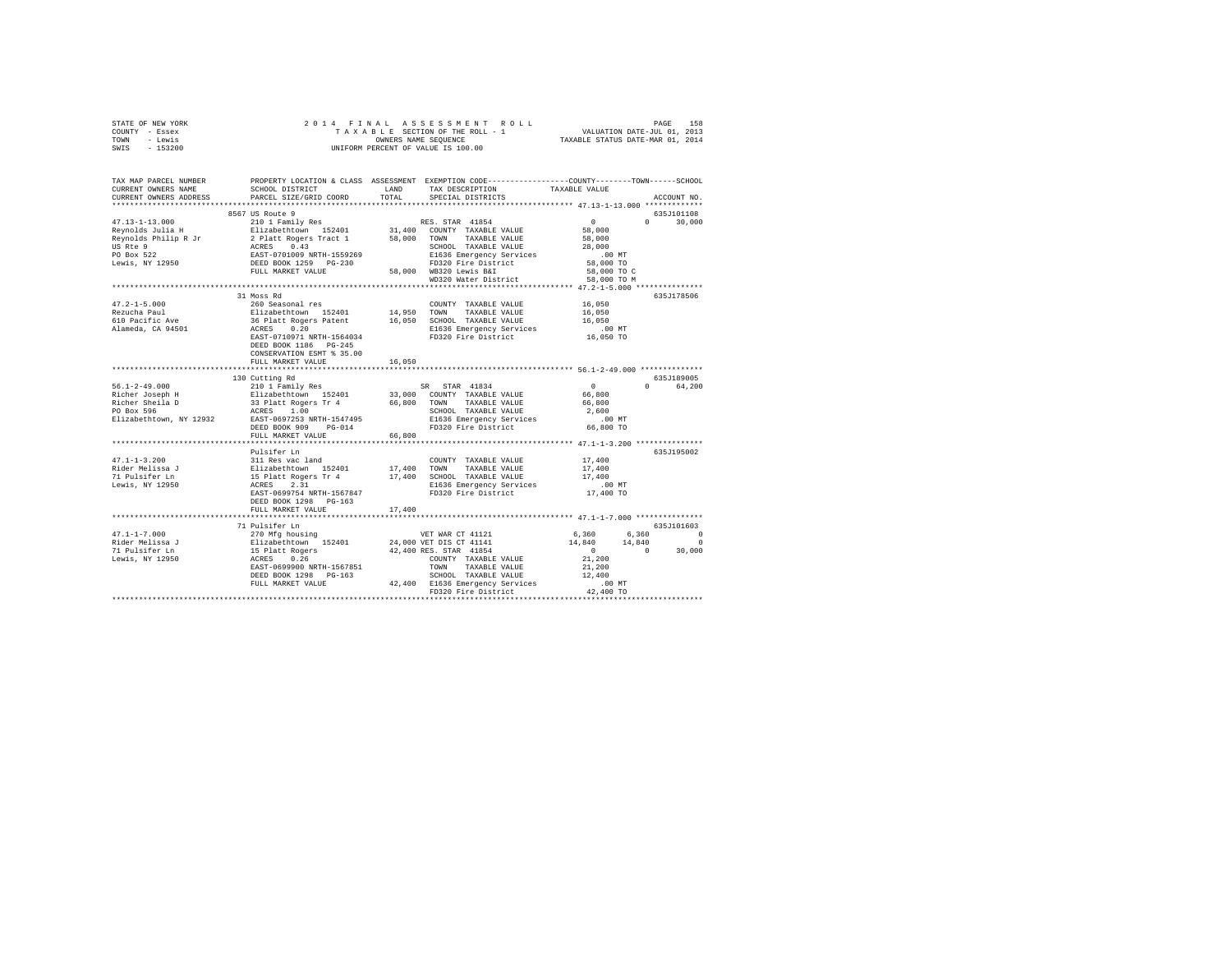| STATE OF NEW YORK                                                                                                                                                                                                   |                                                                                  |        |                               |                                                                                                                                                        |               |
|---------------------------------------------------------------------------------------------------------------------------------------------------------------------------------------------------------------------|----------------------------------------------------------------------------------|--------|-------------------------------|--------------------------------------------------------------------------------------------------------------------------------------------------------|---------------|
| COUNTY - Essex                                                                                                                                                                                                      |                                                                                  |        |                               |                                                                                                                                                        |               |
| TOWN - Lewis                                                                                                                                                                                                        |                                                                                  |        |                               |                                                                                                                                                        |               |
| SWIS - 153200                                                                                                                                                                                                       |                                                                                  |        |                               |                                                                                                                                                        |               |
|                                                                                                                                                                                                                     |                                                                                  |        |                               |                                                                                                                                                        |               |
|                                                                                                                                                                                                                     |                                                                                  |        |                               |                                                                                                                                                        |               |
|                                                                                                                                                                                                                     |                                                                                  |        |                               |                                                                                                                                                        |               |
|                                                                                                                                                                                                                     |                                                                                  |        |                               |                                                                                                                                                        |               |
| TAX MAP PARCEL NUMBER     PROPERTY LOCATION & CLASS ASSESSMENT EXEMPTION CODE---------------COUNTY-------TOWN------SCHOOL<br>CURRENT OWNERS NAME     SCHOOL DISTRICT     LAND   TAX DESCRIPTION     TAXABLE VALUE   |                                                                                  |        | TAX DESCRIPTION TAXABLE VALUE |                                                                                                                                                        |               |
| CURRENT OWNERS ADDRESS                                                                                                                                                                                              | PARCEL SIZE/GRID COORD                                                           | TOTAL  | SPECIAL DISTRICTS             |                                                                                                                                                        | ACCOUNT NO.   |
|                                                                                                                                                                                                                     |                                                                                  |        |                               |                                                                                                                                                        |               |
|                                                                                                                                                                                                                     |                                                                                  |        |                               |                                                                                                                                                        |               |
|                                                                                                                                                                                                                     |                                                                                  |        |                               |                                                                                                                                                        | 635J101108    |
|                                                                                                                                                                                                                     |                                                                                  |        |                               |                                                                                                                                                        | $0 \t 30,000$ |
|                                                                                                                                                                                                                     |                                                                                  |        |                               |                                                                                                                                                        |               |
|                                                                                                                                                                                                                     |                                                                                  |        |                               |                                                                                                                                                        |               |
|                                                                                                                                                                                                                     |                                                                                  |        |                               |                                                                                                                                                        |               |
|                                                                                                                                                                                                                     |                                                                                  |        |                               |                                                                                                                                                        |               |
|                                                                                                                                                                                                                     |                                                                                  |        |                               |                                                                                                                                                        |               |
|                                                                                                                                                                                                                     |                                                                                  |        |                               |                                                                                                                                                        |               |
|                                                                                                                                                                                                                     |                                                                                  |        |                               |                                                                                                                                                        |               |
|                                                                                                                                                                                                                     |                                                                                  |        |                               |                                                                                                                                                        |               |
|                                                                                                                                                                                                                     | 31 Moss Rd                                                                       |        |                               |                                                                                                                                                        | 635J178506    |
| 47.2-1-5.000<br>Rezucha Paul<br>610 Pacific Ave<br>Alameda, CA 94501                                                                                                                                                |                                                                                  |        |                               |                                                                                                                                                        |               |
|                                                                                                                                                                                                                     |                                                                                  |        |                               |                                                                                                                                                        |               |
|                                                                                                                                                                                                                     |                                                                                  |        |                               |                                                                                                                                                        |               |
|                                                                                                                                                                                                                     |                                                                                  |        |                               |                                                                                                                                                        |               |
|                                                                                                                                                                                                                     |                                                                                  |        |                               |                                                                                                                                                        |               |
|                                                                                                                                                                                                                     |                                                                                  |        |                               |                                                                                                                                                        |               |
|                                                                                                                                                                                                                     | DEED BOOK 1186 PG-245                                                            |        |                               |                                                                                                                                                        |               |
|                                                                                                                                                                                                                     | CONSERVATION ESMT % 35.00                                                        |        |                               |                                                                                                                                                        |               |
|                                                                                                                                                                                                                     |                                                                                  |        |                               |                                                                                                                                                        |               |
|                                                                                                                                                                                                                     |                                                                                  |        |                               |                                                                                                                                                        |               |
|                                                                                                                                                                                                                     | FULL MARKET VALUE                                                                | 16,050 |                               |                                                                                                                                                        |               |
|                                                                                                                                                                                                                     |                                                                                  |        |                               |                                                                                                                                                        |               |
|                                                                                                                                                                                                                     | 130 Cutting Rd                                                                   |        |                               |                                                                                                                                                        | 635J189005    |
| $56.1 - 2 - 49.000$                                                                                                                                                                                                 | 210 1 Family Res                                                                 |        | SR STAR 41834                 | $\sim$ 0                                                                                                                                               | 0 64.200      |
|                                                                                                                                                                                                                     |                                                                                  |        |                               |                                                                                                                                                        |               |
|                                                                                                                                                                                                                     |                                                                                  |        |                               |                                                                                                                                                        |               |
|                                                                                                                                                                                                                     |                                                                                  |        |                               |                                                                                                                                                        |               |
|                                                                                                                                                                                                                     |                                                                                  |        |                               |                                                                                                                                                        |               |
|                                                                                                                                                                                                                     |                                                                                  |        |                               |                                                                                                                                                        |               |
|                                                                                                                                                                                                                     | FULL MARKET VALUE                                                                |        |                               |                                                                                                                                                        |               |
|                                                                                                                                                                                                                     |                                                                                  | 66,800 |                               |                                                                                                                                                        |               |
|                                                                                                                                                                                                                     |                                                                                  |        |                               |                                                                                                                                                        |               |
|                                                                                                                                                                                                                     |                                                                                  |        |                               |                                                                                                                                                        | 635J195002    |
|                                                                                                                                                                                                                     |                                                                                  |        | COUNTY TAXABLE VALUE 17,400   |                                                                                                                                                        |               |
|                                                                                                                                                                                                                     |                                                                                  |        |                               | 17,400                                                                                                                                                 |               |
|                                                                                                                                                                                                                     |                                                                                  |        |                               | 17,400                                                                                                                                                 |               |
|                                                                                                                                                                                                                     |                                                                                  |        |                               | $.00$ MT                                                                                                                                               |               |
| 47.1-1-3.200<br>Rider Melissa J<br>201 Sill Res vac land<br>217.400 TOWNY TAXABLE VALUE TO FINALLY ENDINE TO ISLAME AND<br>USING THE STARBLE VALUE TO ISLAME TO ISLAME TO A CRESS 2.31 SEARCH AND TAXABLE VALUE<br> | EAST-0699754 NRTH-1567847                                                        |        | FD320 Fire District           | 17,400 TO                                                                                                                                              |               |
|                                                                                                                                                                                                                     | DEED BOOK 1298 PG-163                                                            |        |                               |                                                                                                                                                        |               |
|                                                                                                                                                                                                                     | FULL MARKET VALUE                                                                | 17,400 |                               |                                                                                                                                                        |               |
|                                                                                                                                                                                                                     |                                                                                  |        |                               |                                                                                                                                                        |               |
|                                                                                                                                                                                                                     | 71 Pulsifer Ln                                                                   |        |                               |                                                                                                                                                        | 635J101603    |
|                                                                                                                                                                                                                     |                                                                                  |        |                               |                                                                                                                                                        |               |
| $47.1 - 1 - 7.000$                                                                                                                                                                                                  |                                                                                  |        |                               |                                                                                                                                                        |               |
|                                                                                                                                                                                                                     |                                                                                  |        |                               |                                                                                                                                                        |               |
|                                                                                                                                                                                                                     |                                                                                  |        |                               | $\begin{array}{cccc} 6\,,360 & \quad & 6\,,360 & \quad & 0 \\ 14\,,840 & \quad & 14\,,840 & \quad & 0 \\ 0 & \quad & 0 & \quad & 30\,,000 \end{array}$ |               |
| riider Melissa<br>71 Pulsifer Ln<br>Lewis, NY 12950                                                                                                                                                                 |                                                                                  |        |                               | 21,200                                                                                                                                                 |               |
|                                                                                                                                                                                                                     |                                                                                  |        |                               |                                                                                                                                                        |               |
|                                                                                                                                                                                                                     |                                                                                  |        |                               |                                                                                                                                                        |               |
|                                                                                                                                                                                                                     |                                                                                  |        |                               |                                                                                                                                                        |               |
|                                                                                                                                                                                                                     | 00 MT EULL MARKET VALUE 42,400 E1636 Emergency Services (00 MT EULL MARKET VALUE |        |                               |                                                                                                                                                        |               |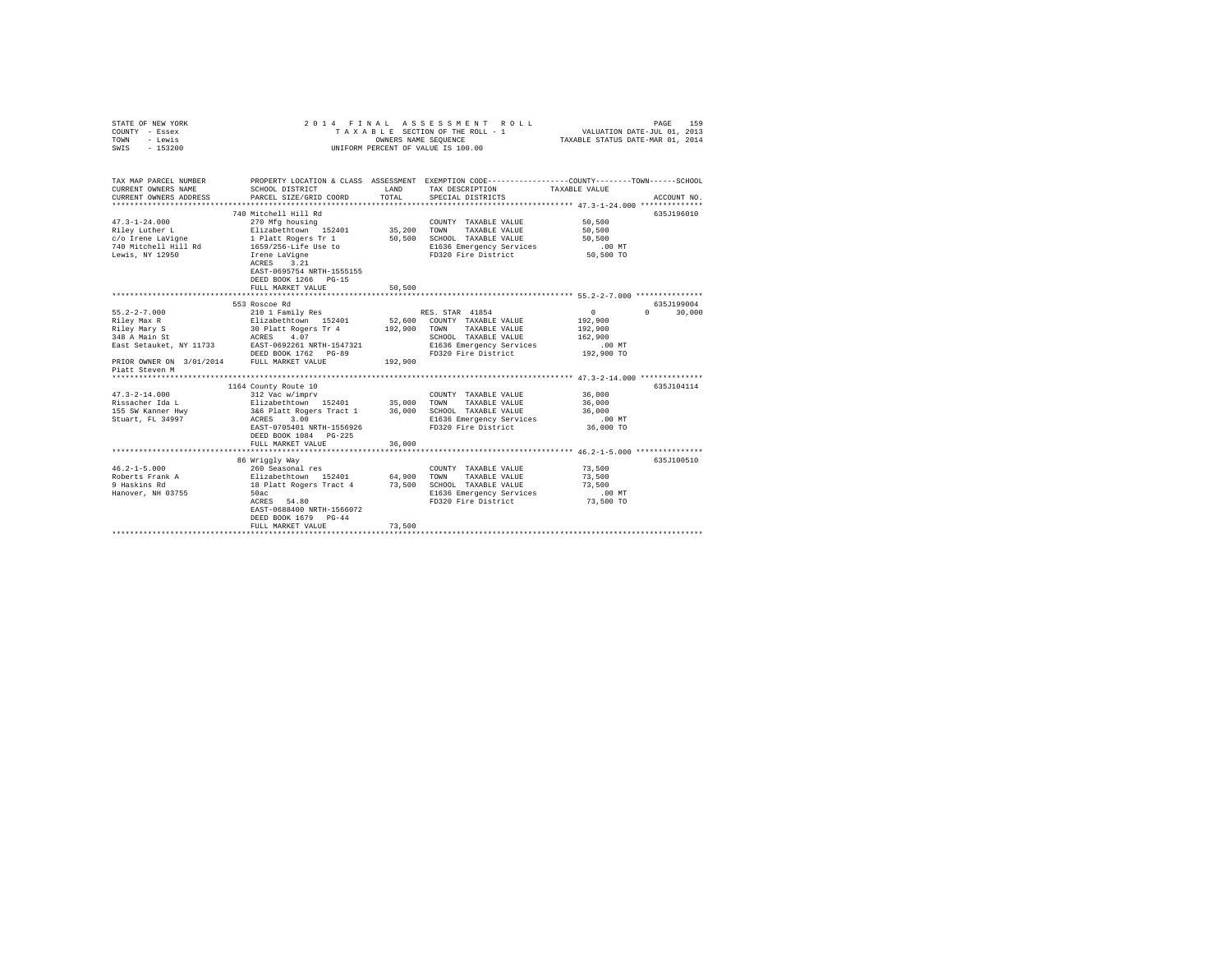| STATE OF NEW YORK<br>COUNTY - Essex<br>TOWN<br>- Lewis<br>$-153200$<br>SWIS | 2014 FINAL                         | OWNERS NAME SEQUENCE | ASSESSMENT ROLL<br>TAXABLE SECTION OF THE ROLL - 1<br>UNIFORM PERCENT OF VALUE IS 100.00         | VALUATION DATE-JUL 01, 2013<br>TAXABLE STATUS DATE-MAR 01, 2014 | 159<br>PAGE      |
|-----------------------------------------------------------------------------|------------------------------------|----------------------|--------------------------------------------------------------------------------------------------|-----------------------------------------------------------------|------------------|
|                                                                             |                                    |                      |                                                                                                  |                                                                 |                  |
| TAX MAP PARCEL NUMBER                                                       |                                    |                      | PROPERTY LOCATION & CLASS ASSESSMENT EXEMPTION CODE----------------COUNTY-------TOWN------SCHOOL |                                                                 |                  |
| CURRENT OWNERS NAME                                                         | SCHOOL DISTRICT                    | LAND                 | TAX DESCRIPTION                                                                                  | TAXABLE VALUE                                                   |                  |
| CURRENT OWNERS ADDRESS<br>*************************                         | PARCEL SIZE/GRID COORD             | TOTAL                | SPECIAL DISTRICTS                                                                                |                                                                 | ACCOUNT NO.      |
|                                                                             | 740 Mitchell Hill Rd               |                      |                                                                                                  |                                                                 | 635J196010       |
| $47.3 - 1 - 24.000$                                                         | 270 Mfg housing                    |                      | COUNTY TAXABLE VALUE                                                                             | 50,500                                                          |                  |
| Riley Luther L                                                              | Elizabethtown 152401               | 35,200               | TOWN<br>TAXABLE VALUE                                                                            | 50,500                                                          |                  |
| c/o Irene LaVigne                                                           | 1 Platt Rogers Tr 1                | 50,500               | SCHOOL TAXABLE VALUE                                                                             | 50,500                                                          |                  |
| 740 Mitchell Hill Rd                                                        | 1659/256-Life Use to               |                      | E1636 Emergency Services                                                                         | $.00$ MT                                                        |                  |
| Lewis, NY 12950                                                             | Irene LaVigne                      |                      | FD320 Fire District                                                                              | 50,500 TO                                                       |                  |
|                                                                             | ACRES 3.21                         |                      |                                                                                                  |                                                                 |                  |
|                                                                             | EAST-0695754 NRTH-1555155          |                      |                                                                                                  |                                                                 |                  |
|                                                                             | DEED BOOK 1266 PG-15               |                      |                                                                                                  |                                                                 |                  |
|                                                                             | FULL MARKET VALUE                  | 50,500               |                                                                                                  |                                                                 |                  |
|                                                                             | 553 Roscoe Rd                      |                      |                                                                                                  |                                                                 | 635J199004       |
| $55.2 - 2 - 7.000$                                                          | 210 1 Family Res                   |                      | RES. STAR 41854                                                                                  | $\circ$                                                         | $\cap$<br>30,000 |
| Riley Max R                                                                 | Elizabethtown 152401               | 52,600               | COUNTY TAXABLE VALUE                                                                             | 192,900                                                         |                  |
| Riley Mary S                                                                | 30 Platt Rogers Tr 4               | 192,900              | TAXABLE VALUE<br>TOWN                                                                            | 192,900                                                         |                  |
| 348 A Main St                                                               | ACRES 4.07                         |                      | SCHOOL TAXABLE VALUE                                                                             | 162,900                                                         |                  |
| East Setauket, NY 11733                                                     | EAST-0692261 NRTH-1547321          |                      | E1636 Emergency Services                                                                         | $.00$ MT                                                        |                  |
|                                                                             | DEED BOOK 1762 PG-89               |                      | FD320 Fire District                                                                              | 192,900 TO                                                      |                  |
| PRIOR OWNER ON 3/01/2014                                                    | FULL MARKET VALUE                  | 192,900              |                                                                                                  |                                                                 |                  |
| Piatt Steven M                                                              |                                    |                      |                                                                                                  |                                                                 |                  |
|                                                                             | 1164 County Route 10               |                      |                                                                                                  |                                                                 | 635J104114       |
| $47.3 - 2 - 14.000$                                                         | 312 Vac w/imprv                    |                      | COUNTY TAXABLE VALUE                                                                             | 36,000                                                          |                  |
| Rissacher Ida L                                                             | Elizabethtown 152401               | 35,000               | TAXABLE VALUE<br>TOWN                                                                            | 36,000                                                          |                  |
| 155 SW Kanner Hwy                                                           | 3&6 Platt Rogers Tract 1           | 36,000               | SCHOOL TAXABLE VALUE                                                                             | 36,000                                                          |                  |
| Stuart, FL 34997                                                            | 3.00<br>ACRES                      |                      | E1636 Emergency Services                                                                         | .00 MT                                                          |                  |
|                                                                             | EAST-0705401 NRTH-1556926          |                      | FD320 Fire District                                                                              | 36,000 TO                                                       |                  |
|                                                                             | DEED BOOK 1084 PG-225              |                      |                                                                                                  |                                                                 |                  |
|                                                                             | FULL MARKET VALUE                  | 36,000               |                                                                                                  |                                                                 |                  |
|                                                                             |                                    |                      |                                                                                                  |                                                                 |                  |
| $46.2 - 1 - 5.000$                                                          | 86 Wriggly Way<br>260 Seasonal res |                      | COUNTY TAXABLE VALUE                                                                             | 73,500                                                          | 635J100510       |
| Roberts Frank A                                                             | Elizabethtown 152401               | 64,900               | TOWN<br>TAXABLE VALUE                                                                            | 73,500                                                          |                  |
| 9 Haskins Rd                                                                | 18 Platt Rogers Tract 4            | 73,500               | SCHOOL TAXABLE VALUE                                                                             | 73,500                                                          |                  |
| Hanover, NH 03755                                                           | 50ac                               |                      | E1636 Emergency Services                                                                         | $.00$ MT                                                        |                  |
|                                                                             | ACRES 54.80                        |                      | FD320 Fire District                                                                              | 73,500 TO                                                       |                  |
|                                                                             | EAST-0688400 NRTH-1566072          |                      |                                                                                                  |                                                                 |                  |
|                                                                             | DEED BOOK 1679 PG-44               |                      |                                                                                                  |                                                                 |                  |
|                                                                             | FULL MARKET VALUE                  | 73,500               |                                                                                                  |                                                                 |                  |
|                                                                             | **********************             |                      |                                                                                                  |                                                                 |                  |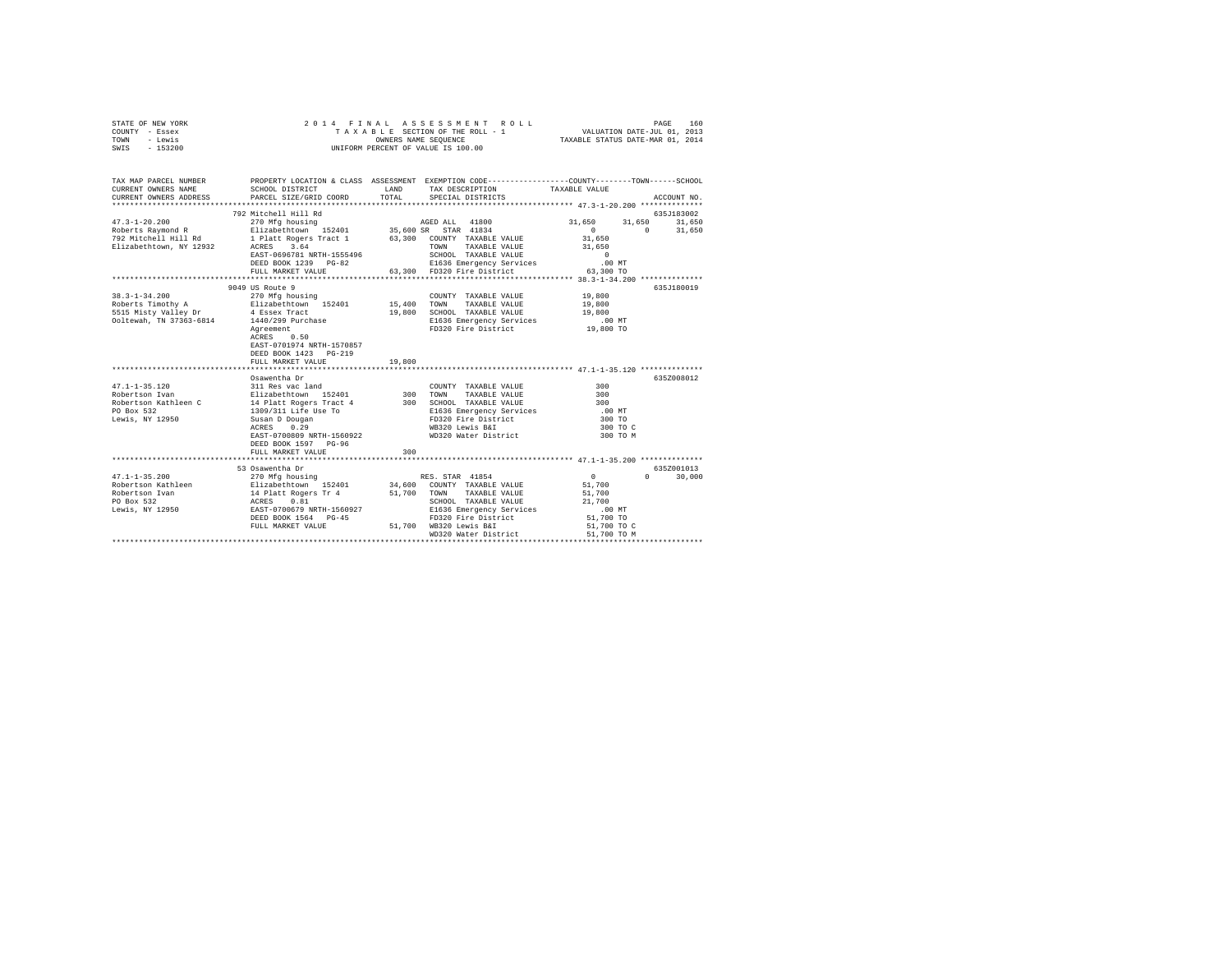| TAX MAP PARCEL NUMBER PROPERTY LOCATION & CLASS ASSESSMENT EXEMPTION CODE--------------COUNTY-------TOWN------SCHOOL<br>CURRENT OWNERS NAME<br>SCHOOL DISTRICT<br>LAND<br>TAX DESCRIPTION<br>TAXABLE VALUE<br>CURRENT OWNERS ADDRESS<br>PARCEL SIZE/GRID COORD<br>TOTAL<br>SPECIAL DISTRICTS<br>ACCOUNT NO. |
|-------------------------------------------------------------------------------------------------------------------------------------------------------------------------------------------------------------------------------------------------------------------------------------------------------------|
|                                                                                                                                                                                                                                                                                                             |
|                                                                                                                                                                                                                                                                                                             |
| 792 Mitchell Hill Rd<br>635J183002                                                                                                                                                                                                                                                                          |
| $47.3 - 1 - 20.200$<br>31,650<br>270 Mfg housing<br>AGED ALL 41800<br>31,650 31,650                                                                                                                                                                                                                         |
| $\sim$ 0<br>$\sim$ 0<br>31,650<br>Roberts Raymond R                                                                                                                                                                                                                                                         |
| Elizabethtown 152401 35,600 SR STAR 41834<br>1 Platt Rogers Tract 1 63,300 COUNTY TAXABLE VA<br>792 Mitchell Hill Rd<br>63,300 COUNTY TAXABLE VALUE<br>31,650                                                                                                                                               |
| Elizabethtown, NY 12932 ACRES 3.64<br>31,650<br>TOWN TAXABLE VALUE                                                                                                                                                                                                                                          |
| EAST-0696781 NRTH-1555496<br>SCHOOL TAXABLE VALUE<br>$\sim$ 0                                                                                                                                                                                                                                               |
| DEED BOOK 1239 PG-82<br>$.00$ MT<br>E1636 Emergency Services                                                                                                                                                                                                                                                |
| 63,300 FD320 Fire District<br>63,300 TO<br>FULL MARKET VALUE                                                                                                                                                                                                                                                |
|                                                                                                                                                                                                                                                                                                             |
| 9049 US Route 9<br>635J180019<br>19,800<br>270 Mfg housing<br>$38.3 - 1 - 34.200$<br>COUNTY TAXABLE VALUE                                                                                                                                                                                                   |
| 19,800                                                                                                                                                                                                                                                                                                      |
| 5515 Misty Valley Dr<br>19,800 SCHOOL TAXABLE VALUE<br>19,800<br>4 Essex Tract                                                                                                                                                                                                                              |
| Ooltewah, TN 37363-6814 1440/299 Purchase<br>E1636 Emergency Services                                                                                                                                                                                                                                       |
| 00 MT.<br>19,800 TO<br>FD320 Fire District<br>Agreement                                                                                                                                                                                                                                                     |
| ACRES 0.50<br>EAST-0701974 NRTH-1570857<br>DEED BOOK 1423 PG-219                                                                                                                                                                                                                                            |
| FULL MARKET VALUE<br>19,800                                                                                                                                                                                                                                                                                 |
|                                                                                                                                                                                                                                                                                                             |
| Osawentha Dr<br>635Z008012                                                                                                                                                                                                                                                                                  |
| 311 Res vac land<br>47.1-1-35.120<br>COUNTY TAXABLE VALUE<br>300                                                                                                                                                                                                                                            |
| Elizabethtown 152401<br>14 Platt Rogers Tract 4<br>300 TOWN TAXABLE VALUE<br>300 SCHOOL TAXABLE VALUE<br>300<br>Robertson Ivan<br>Robertson Kathleen C<br>300                                                                                                                                               |
| PO Box 532<br>$.00$ MT                                                                                                                                                                                                                                                                                      |
| 1309/311 Life Use To<br>E1636 Emergency Services<br>FD320 Fire District<br>Lewis, NY 12950<br>300 TO                                                                                                                                                                                                        |
| Susan D Dougan<br>ACRES 0.29<br>WB320 Lewis B&I<br>300 TO C                                                                                                                                                                                                                                                 |
| WD320 Water District<br>EAST-0700809 NRTH-1560922<br>300 TO M                                                                                                                                                                                                                                               |
| DEED BOOK 1597 PG-96                                                                                                                                                                                                                                                                                        |
| FULL MARKET VALUE<br>300                                                                                                                                                                                                                                                                                    |
|                                                                                                                                                                                                                                                                                                             |
| 53 Osawentha Dr<br>635Z001013                                                                                                                                                                                                                                                                               |
| 270 Mfg housing<br>RES. STAR 41854<br>$\sim$ 0<br>$0 \t 30.000$<br>$47.1 - 1 - 35.200$                                                                                                                                                                                                                      |
| 51,700                                                                                                                                                                                                                                                                                                      |
| 51,700                                                                                                                                                                                                                                                                                                      |
| 21,700                                                                                                                                                                                                                                                                                                      |
| E1636 Emergency Services<br>$.00$ MT                                                                                                                                                                                                                                                                        |
| DEED BOOK 1564 PG-45<br>FD320 Fire District<br>51,700 TO<br>FULL MARKET VALUE 51,700 WB320 Lewis B&I                                                                                                                                                                                                        |
| 51,700 TO C<br>WD320 Water District<br>51,700 TO M                                                                                                                                                                                                                                                          |
| ********************************                                                                                                                                                                                                                                                                            |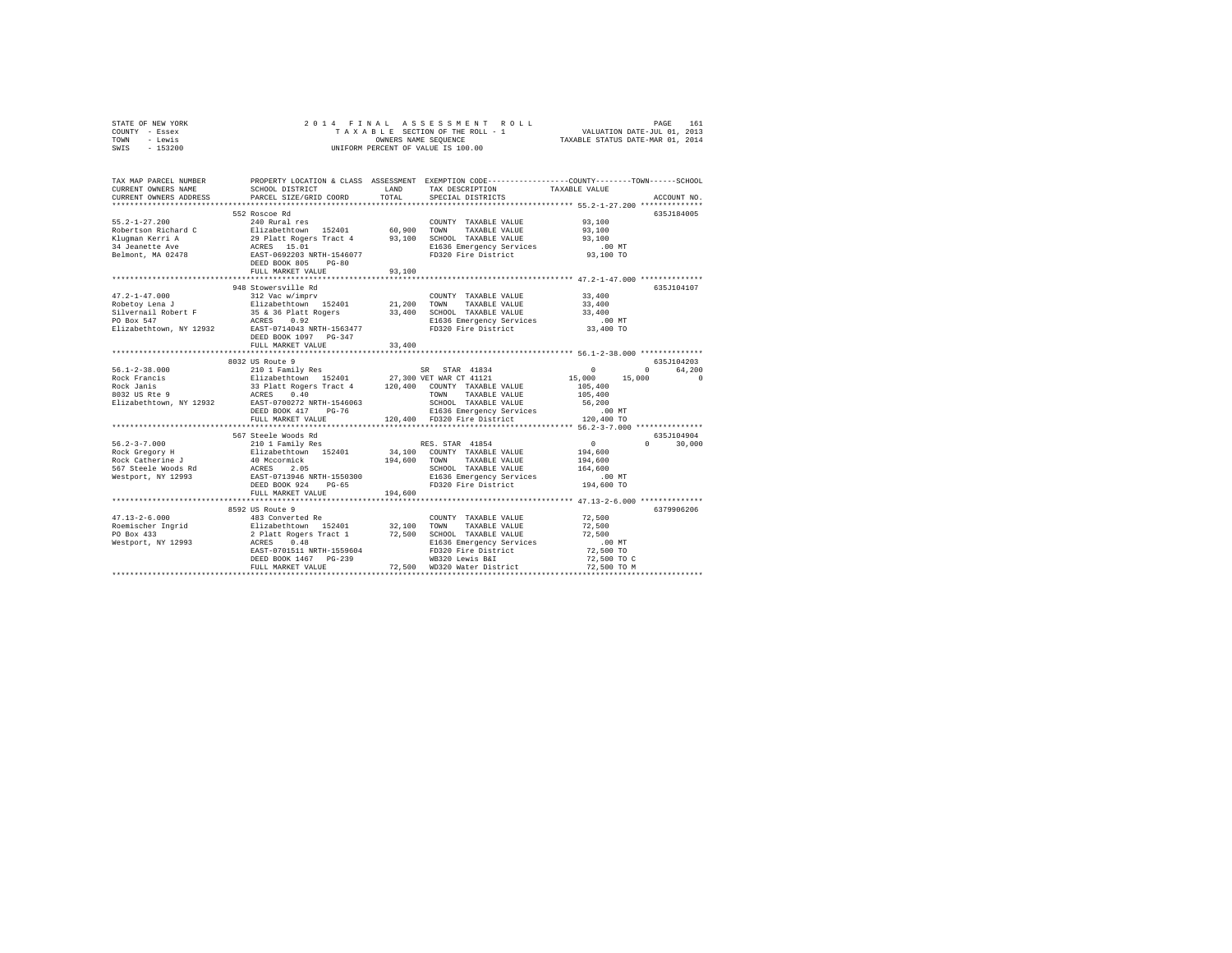| STATE OF NEW YORK |           |  |  | 2014 FINAL ASSESSMENT ROLL         |                                  | PAGE | 161 |
|-------------------|-----------|--|--|------------------------------------|----------------------------------|------|-----|
| COUNTY - Essex    |           |  |  | TAXABLE SECTION OF THE ROLL - 1    | VALUATION DATE-JUL 01, 2013      |      |     |
| TOWN<br>- Lewis   |           |  |  | OWNERS NAME SEOUENCE               | TAXABLE STATUS DATE-MAR 01, 2014 |      |     |
| SWIS              | $-153200$ |  |  | UNIFORM PERCENT OF VALUE IS 100.00 |                                  |      |     |

| TAX MAP PARCEL NUMBER<br>CURRENT OWNERS NAME | PROPERTY LOCATION & CLASS ASSESSMENT EXEMPTION CODE----------------COUNTY-------TOWN------SCHOOL<br>SCHOOL DISTRICT                                                                                                                        |         | LAND TAX DESCRIPTION TAXABLE VALUE<br>TOTAL SERCIAL DISTRICTS                                                                                                                                                                                                                                                                                                                    |                      |             |
|----------------------------------------------|--------------------------------------------------------------------------------------------------------------------------------------------------------------------------------------------------------------------------------------------|---------|----------------------------------------------------------------------------------------------------------------------------------------------------------------------------------------------------------------------------------------------------------------------------------------------------------------------------------------------------------------------------------|----------------------|-------------|
| CURRENT OWNERS ADDRESS                       | PARCEL SIZE/GRID COORD                                                                                                                                                                                                                     | TOTAL   | SPECIAL DISTRICTS                                                                                                                                                                                                                                                                                                                                                                |                      | ACCOUNT NO. |
|                                              |                                                                                                                                                                                                                                            |         |                                                                                                                                                                                                                                                                                                                                                                                  |                      |             |
|                                              | 552 Roscoe Rd                                                                                                                                                                                                                              |         |                                                                                                                                                                                                                                                                                                                                                                                  | 93,100               | 635J184005  |
| $55.2 - 1 - 27.200$                          | 240 Rural res                                                                                                                                                                                                                              |         | COUNTY TAXABLE VALUE                                                                                                                                                                                                                                                                                                                                                             |                      |             |
|                                              |                                                                                                                                                                                                                                            |         |                                                                                                                                                                                                                                                                                                                                                                                  | 93,100               |             |
|                                              |                                                                                                                                                                                                                                            |         |                                                                                                                                                                                                                                                                                                                                                                                  | 93,100               |             |
|                                              |                                                                                                                                                                                                                                            |         | E1636 Emergency Services<br>FD320 Fire District                                                                                                                                                                                                                                                                                                                                  | .00MT                |             |
|                                              | -b-1-2/1200<br>Robertson Richard C 240 kural res Tate 160,900 TOWN' TAXABLE VALUE<br>Riugman Kerri A 229 Platt Rogers Tract 4 93,100 SCWNY TAXABLE VALUE<br>34 Jeannette Ave 2012 RATE 15607<br>Belmont, MA 02478 ESST-0692203 RTH=1546077 |         |                                                                                                                                                                                                                                                                                                                                                                                  | 93,100 TO            |             |
|                                              |                                                                                                                                                                                                                                            |         |                                                                                                                                                                                                                                                                                                                                                                                  |                      |             |
|                                              | FULL MARKET VALUE                                                                                                                                                                                                                          | 93,100  |                                                                                                                                                                                                                                                                                                                                                                                  |                      |             |
|                                              |                                                                                                                                                                                                                                            |         |                                                                                                                                                                                                                                                                                                                                                                                  |                      |             |
|                                              | 948 Stowersville Rd                                                                                                                                                                                                                        |         |                                                                                                                                                                                                                                                                                                                                                                                  |                      | 635J104107  |
| $47.2 - 1 - 47.000$                          | 312 Vac w/imprv                                                                                                                                                                                                                            |         | COUNTY TAXABLE VALUE 33,400                                                                                                                                                                                                                                                                                                                                                      |                      |             |
|                                              |                                                                                                                                                                                                                                            |         |                                                                                                                                                                                                                                                                                                                                                                                  | 33,400               |             |
|                                              | Robetoy Lena J<br>Elizabethtown 152401 21,200 TOWN TAXABLE VALUE<br>Silvernail Robert F 35 & 36 Platt Rogers 33,400 SCHOOL TAXABLE VALUE<br>PO Box 547 ACRES 0.92 B1636 Emergency Services<br>Elizabethtown, NY 12932 EAST-0714043 NRT     |         |                                                                                                                                                                                                                                                                                                                                                                                  | 33,400               |             |
|                                              |                                                                                                                                                                                                                                            |         | E1636 Emergency Services .00 MT<br>FD320 Fire District 33,400 TO                                                                                                                                                                                                                                                                                                                 |                      |             |
|                                              |                                                                                                                                                                                                                                            |         |                                                                                                                                                                                                                                                                                                                                                                                  |                      |             |
|                                              | DEED BOOK 1097 PG-347                                                                                                                                                                                                                      |         |                                                                                                                                                                                                                                                                                                                                                                                  |                      |             |
|                                              | FULL MARKET VALUE                                                                                                                                                                                                                          | 33,400  |                                                                                                                                                                                                                                                                                                                                                                                  |                      |             |
|                                              |                                                                                                                                                                                                                                            |         |                                                                                                                                                                                                                                                                                                                                                                                  |                      |             |
|                                              | 8032 US Route 9                                                                                                                                                                                                                            |         |                                                                                                                                                                                                                                                                                                                                                                                  |                      | 635J104203  |
|                                              | 1999) 56.1-2-38.000 100 2101 Family Res 5R STAR 41834 1894<br>Rock Francis – Elizabethtown 152401 27,300 VET WAR CT 41121 15,000<br>Rock Janis – 33 Platt Rogers Tract 4 120,400 COUNTY TAXABLE VALUE 105,400<br>105,400 1000 1000 1000    |         |                                                                                                                                                                                                                                                                                                                                                                                  | $\mathbf{0}$         | 64,200      |
|                                              |                                                                                                                                                                                                                                            |         |                                                                                                                                                                                                                                                                                                                                                                                  | 15,000               | $\Omega$    |
|                                              |                                                                                                                                                                                                                                            |         |                                                                                                                                                                                                                                                                                                                                                                                  |                      |             |
|                                              |                                                                                                                                                                                                                                            |         |                                                                                                                                                                                                                                                                                                                                                                                  |                      |             |
|                                              | Elizabethtown, NY 12932 EAST-0700272 NRTH-1546063                                                                                                                                                                                          |         | SCHOOL TAXABLE VALUE                                                                                                                                                                                                                                                                                                                                                             | 56,200               |             |
|                                              | DEED BOOK 417 PG-76                                                                                                                                                                                                                        |         |                                                                                                                                                                                                                                                                                                                                                                                  |                      |             |
|                                              |                                                                                                                                                                                                                                            |         | DEED BOOK 417 PG-76 E1636 Emergency Services .00 MT<br>FULL MARKET VALUE 120,400 FD320 Fire District 120,400 TO                                                                                                                                                                                                                                                                  |                      |             |
|                                              |                                                                                                                                                                                                                                            |         |                                                                                                                                                                                                                                                                                                                                                                                  |                      |             |
|                                              | 567 Steele Woods Rd                                                                                                                                                                                                                        |         |                                                                                                                                                                                                                                                                                                                                                                                  |                      | 635J104904  |
|                                              | 1999)<br>RES. STAR 41854<br>ROCK Gregory H 2101 Family Res 112401 134,000 COUNTY TAXABLE VALUE<br>ROCK Catherine J 40 Mccormick 194,600 TOWN TAXABLE VALUE<br>S67 Steele Woods Rd ACRES 2.05<br>Mestport, NY 12993 BAST-0713946 NRTH-155   |         |                                                                                                                                                                                                                                                                                                                                                                                  | $\sim$ 0<br>$\cap$   | 30,000      |
|                                              |                                                                                                                                                                                                                                            |         |                                                                                                                                                                                                                                                                                                                                                                                  | 194,600              |             |
|                                              |                                                                                                                                                                                                                                            |         |                                                                                                                                                                                                                                                                                                                                                                                  | 194,600              |             |
|                                              |                                                                                                                                                                                                                                            |         | SCHOOL TAXABLE VALUE                                                                                                                                                                                                                                                                                                                                                             | 164,600              |             |
|                                              |                                                                                                                                                                                                                                            |         |                                                                                                                                                                                                                                                                                                                                                                                  |                      |             |
|                                              |                                                                                                                                                                                                                                            |         | E1636 Emergency Services<br>FD320 Fire District                                                                                                                                                                                                                                                                                                                                  | 00 MT.<br>194,600 TO |             |
|                                              | FULL MARKET VALUE                                                                                                                                                                                                                          | 194,600 |                                                                                                                                                                                                                                                                                                                                                                                  |                      |             |
|                                              |                                                                                                                                                                                                                                            |         |                                                                                                                                                                                                                                                                                                                                                                                  |                      |             |
|                                              | 8592 US Route 9                                                                                                                                                                                                                            |         |                                                                                                                                                                                                                                                                                                                                                                                  |                      | 6379906206  |
|                                              |                                                                                                                                                                                                                                            |         |                                                                                                                                                                                                                                                                                                                                                                                  |                      |             |
|                                              |                                                                                                                                                                                                                                            |         |                                                                                                                                                                                                                                                                                                                                                                                  | 72,500               |             |
|                                              |                                                                                                                                                                                                                                            |         |                                                                                                                                                                                                                                                                                                                                                                                  | 72,500               |             |
|                                              |                                                                                                                                                                                                                                            |         |                                                                                                                                                                                                                                                                                                                                                                                  | 72,500               |             |
|                                              | ACRES 0.48<br>EAST-0701511 NRTH-1559604                                                                                                                                                                                                    |         |                                                                                                                                                                                                                                                                                                                                                                                  |                      |             |
|                                              |                                                                                                                                                                                                                                            |         |                                                                                                                                                                                                                                                                                                                                                                                  |                      |             |
|                                              | DEED BOOK 1467 PG-239                                                                                                                                                                                                                      |         | $\begin{tabular}{lcccc} \hline & E1636 Emergency Services & .00 MT \\ \hline 59604 & F0320 Firewise Institute & 72,500 TO \\ 0320 & W8320 Leevis BEI & 72,500 TO C \\ 72,500 TO 320 Water District & 72,500 TO M & 72,500 TO M & 72,500 TO M & 72,500 TO M & 72,500 TO M & 72,500 TO M & 72,500 TO M & 72,500 TO M & 72,500 TO M & 72,500 TO M & 72,500 TO M & 72,500 TO M & 72$ |                      |             |
|                                              | FULL MARKET VALUE                                                                                                                                                                                                                          |         |                                                                                                                                                                                                                                                                                                                                                                                  |                      |             |
|                                              |                                                                                                                                                                                                                                            |         |                                                                                                                                                                                                                                                                                                                                                                                  |                      |             |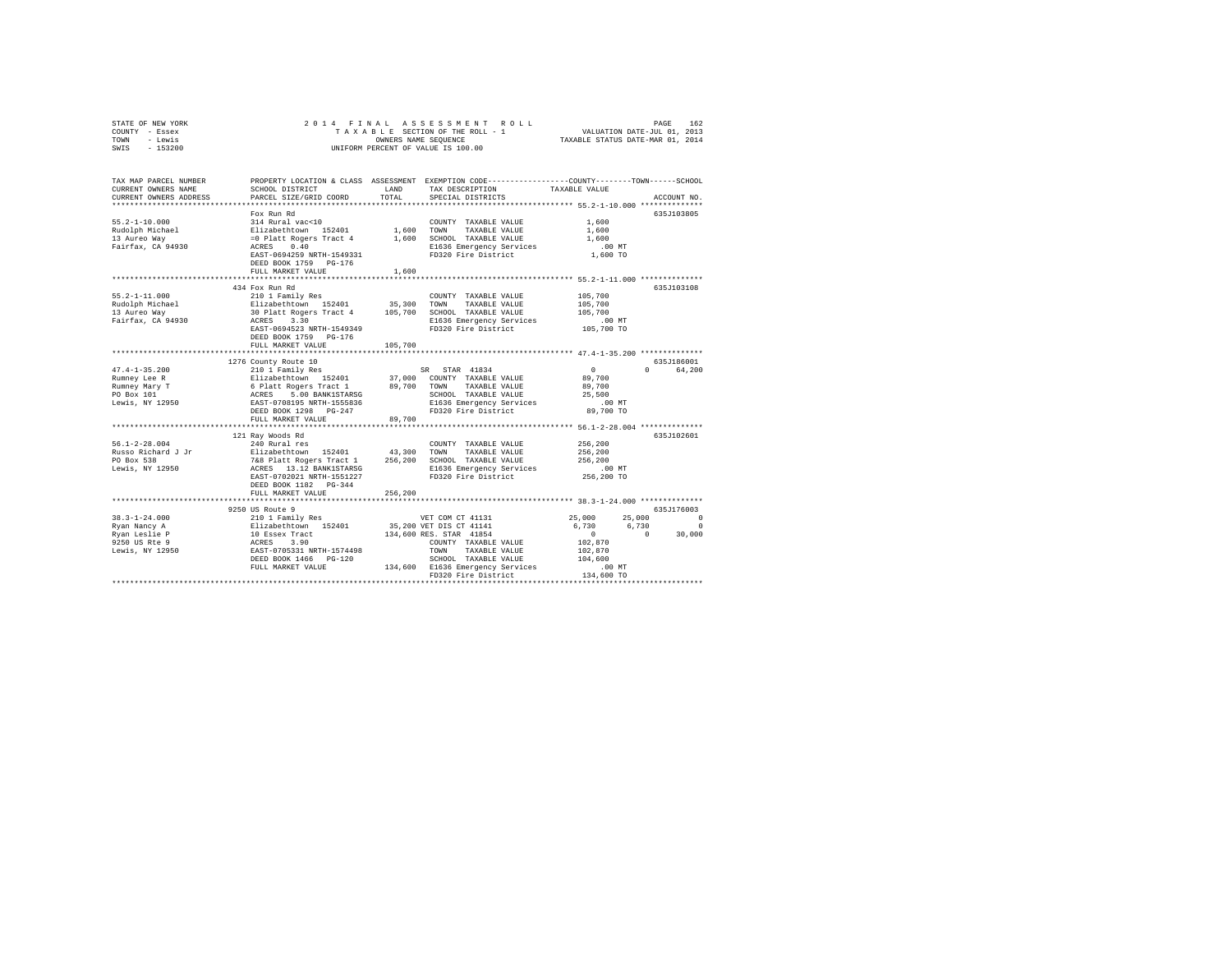|      | STATE OF NEW YORK |  |  | 2014 FINAL ASSESSMENT ROLL         | PAGE                             | 162 |
|------|-------------------|--|--|------------------------------------|----------------------------------|-----|
|      | COUNTY - Essex    |  |  | TAXABLE SECTION OF THE ROLL - 1    | VALUATION DATE-JUL 01, 2013      |     |
| TOWN | - Lewis           |  |  | OWNERS NAME SEOUENCE               | TAXABLE STATUS DATE-MAR 01, 2014 |     |
| SWIS | - 153200          |  |  | UNIFORM PERCENT OF VALUE IS 100.00 |                                  |     |

| TAX MAP PARCEL NUMBER<br>CURRENT OWNERS NAME<br>CURRENT OWNERS ADDRESS                                                                                                                                                                                                                                                                                                                                                          | SCHOOL DISTRICT<br>PARCEL SIZE/GRID COORD                                                                                                                                                                                           | LAND<br>TOTAL. | PROPERTY LOCATION & CLASS ASSESSMENT EXEMPTION CODE---------------COUNTY-------TOWN-----SCHOOL<br>TAX DESCRIPTION<br>SPECIAL DISTRICTS | TAXABLE VALUE                              | ACCOUNT NO.                     |
|---------------------------------------------------------------------------------------------------------------------------------------------------------------------------------------------------------------------------------------------------------------------------------------------------------------------------------------------------------------------------------------------------------------------------------|-------------------------------------------------------------------------------------------------------------------------------------------------------------------------------------------------------------------------------------|----------------|----------------------------------------------------------------------------------------------------------------------------------------|--------------------------------------------|---------------------------------|
|                                                                                                                                                                                                                                                                                                                                                                                                                                 |                                                                                                                                                                                                                                     |                |                                                                                                                                        |                                            |                                 |
|                                                                                                                                                                                                                                                                                                                                                                                                                                 | Fox Run Rd                                                                                                                                                                                                                          |                |                                                                                                                                        |                                            | 635J103805                      |
| $55.2 - 1 - 10.000$                                                                                                                                                                                                                                                                                                                                                                                                             | 314 Rural vac<10                                                                                                                                                                                                                    |                | COUNTY TAXABLE VALUE                                                                                                                   | 1,600                                      |                                 |
|                                                                                                                                                                                                                                                                                                                                                                                                                                 |                                                                                                                                                                                                                                     |                |                                                                                                                                        | 1,600                                      |                                 |
|                                                                                                                                                                                                                                                                                                                                                                                                                                 |                                                                                                                                                                                                                                     |                |                                                                                                                                        | 1,600                                      |                                 |
| Fairfax, CA 94930                                                                                                                                                                                                                                                                                                                                                                                                               | ACRES 0.40                                                                                                                                                                                                                          |                | E1636 Emergency Services<br>FD320 Fire District                                                                                        | $.00$ MT                                   |                                 |
|                                                                                                                                                                                                                                                                                                                                                                                                                                 | EAST-0694259 NRTH-1549331                                                                                                                                                                                                           |                |                                                                                                                                        | 1,600 TO                                   |                                 |
|                                                                                                                                                                                                                                                                                                                                                                                                                                 | DEED BOOK 1759 PG-176                                                                                                                                                                                                               |                |                                                                                                                                        |                                            |                                 |
|                                                                                                                                                                                                                                                                                                                                                                                                                                 | FULL MARKET VALUE                                                                                                                                                                                                                   | 1,600          |                                                                                                                                        |                                            |                                 |
|                                                                                                                                                                                                                                                                                                                                                                                                                                 |                                                                                                                                                                                                                                     |                |                                                                                                                                        |                                            |                                 |
|                                                                                                                                                                                                                                                                                                                                                                                                                                 | 434 Fox Run Rd                                                                                                                                                                                                                      |                |                                                                                                                                        |                                            | 635J103108                      |
| $55.2 - 1 - 11.000$                                                                                                                                                                                                                                                                                                                                                                                                             | 210 1 Family Res                                                                                                                                                                                                                    |                | COUNTY TAXABLE VALUE                                                                                                                   | 105,700                                    |                                 |
| Rudolph Michael                                                                                                                                                                                                                                                                                                                                                                                                                 |                                                                                                                                                                                                                                     |                |                                                                                                                                        | 105,700                                    |                                 |
| 13 Aureo Way<br>Fairfax, CA 94930                                                                                                                                                                                                                                                                                                                                                                                               | % = caully res = 0.00 = 0.000 = 0.000 = 0.000 = 0.000 = 0.000 = 0.000 = 0.000 = 0.000 = 0.000 = 0.000 = 0.000<br>30 Platt Rogers Tract 4 = 0.05,700 = 0.000 = TAXABLE VALUE<br>ACRES = 3.30 = 0.000 = 0.000 = 0.000 = 0.000 = 0.000 |                |                                                                                                                                        | 105,700<br>.00 MT                          |                                 |
|                                                                                                                                                                                                                                                                                                                                                                                                                                 |                                                                                                                                                                                                                                     |                |                                                                                                                                        |                                            |                                 |
|                                                                                                                                                                                                                                                                                                                                                                                                                                 | EAST-0694523 NRTH-1549349                                                                                                                                                                                                           |                | FD320 Fire District                                                                                                                    | 105,700 TO                                 |                                 |
|                                                                                                                                                                                                                                                                                                                                                                                                                                 | DEED BOOK 1759 PG-176                                                                                                                                                                                                               |                |                                                                                                                                        |                                            |                                 |
|                                                                                                                                                                                                                                                                                                                                                                                                                                 | FULL MARKET VALUE                                                                                                                                                                                                                   | 105,700        |                                                                                                                                        |                                            |                                 |
|                                                                                                                                                                                                                                                                                                                                                                                                                                 |                                                                                                                                                                                                                                     |                |                                                                                                                                        |                                            |                                 |
|                                                                                                                                                                                                                                                                                                                                                                                                                                 | 1276 County Route 10                                                                                                                                                                                                                |                |                                                                                                                                        |                                            | 635J186001                      |
|                                                                                                                                                                                                                                                                                                                                                                                                                                 |                                                                                                                                                                                                                                     |                |                                                                                                                                        | $\Omega$                                   | $\Omega$ and $\Omega$<br>64,200 |
|                                                                                                                                                                                                                                                                                                                                                                                                                                 |                                                                                                                                                                                                                                     |                |                                                                                                                                        | 89,700                                     |                                 |
| $\begin{tabular}{l c c c c c} \multicolumn{1}{c}{\textbf{47.4--1-35.200}} & $\hspace{0.1cm}$\multicolumn{1}{c}{\textbf{58.8.8}} & $\hspace{0.1cm}$ \multicolumn{1}{c}{\textbf{59.8}} & $\hspace{0.1cm}$ \multicolumn{1}{c}{\textbf{59.8}} & $\hspace{0.1cm}$ \multicolumn{1}{c}{\textbf{89.8}} & $\hspace{0.1cm}$ \multicolumn{1}{c}{\textbf{R} number} & $\hspace{0.1cm}$ \multicolumn{1}{c}{\textbf{R} number} & $\hspace{0.$ |                                                                                                                                                                                                                                     |                |                                                                                                                                        | 89,700                                     |                                 |
|                                                                                                                                                                                                                                                                                                                                                                                                                                 |                                                                                                                                                                                                                                     |                |                                                                                                                                        | 25,500                                     |                                 |
|                                                                                                                                                                                                                                                                                                                                                                                                                                 |                                                                                                                                                                                                                                     |                | E1636 Emergency Services<br>FD320 Fire District                                                                                        | $.00$ MT                                   |                                 |
|                                                                                                                                                                                                                                                                                                                                                                                                                                 | DEED BOOK 1298 PG-247                                                                                                                                                                                                               |                |                                                                                                                                        | 89,700 TO                                  |                                 |
|                                                                                                                                                                                                                                                                                                                                                                                                                                 | FULL MARKET VALUE                                                                                                                                                                                                                   | 89,700         |                                                                                                                                        |                                            |                                 |
|                                                                                                                                                                                                                                                                                                                                                                                                                                 |                                                                                                                                                                                                                                     |                |                                                                                                                                        |                                            |                                 |
|                                                                                                                                                                                                                                                                                                                                                                                                                                 | 121 Ray Woods Rd                                                                                                                                                                                                                    |                |                                                                                                                                        |                                            | 635J102601                      |
| $56.1 - 2 - 28.004$                                                                                                                                                                                                                                                                                                                                                                                                             | 240 Rural res                                                                                                                                                                                                                       |                | COUNTY TAXABLE VALUE                                                                                                                   | 256,200                                    |                                 |
|                                                                                                                                                                                                                                                                                                                                                                                                                                 |                                                                                                                                                                                                                                     |                |                                                                                                                                        | 256,200                                    |                                 |
|                                                                                                                                                                                                                                                                                                                                                                                                                                 |                                                                                                                                                                                                                                     |                |                                                                                                                                        | 256,200                                    |                                 |
| Nisso Richard J Jr (1992)<br>PO Box 538 Palazzo (1992) 768 Platt Rogers Tract 1 256,200 SCHOOL TAXABLE VALUE<br>Dewis, NY 12950 768 Platt Rogers Tract 1 256,200 SCHOOL TAXABLE VALUE                                                                                                                                                                                                                                           |                                                                                                                                                                                                                                     |                | E1636 Emergency Services                                                                                                               | 00 MT.<br>256,200 TO                       |                                 |
|                                                                                                                                                                                                                                                                                                                                                                                                                                 | EAST-0702021 NRTH-1551227                                                                                                                                                                                                           |                | FD320 Fire District                                                                                                                    |                                            |                                 |
|                                                                                                                                                                                                                                                                                                                                                                                                                                 | DEED BOOK 1182    PG-344                                                                                                                                                                                                            |                |                                                                                                                                        |                                            |                                 |
|                                                                                                                                                                                                                                                                                                                                                                                                                                 | FULL MARKET VALUE                                                                                                                                                                                                                   | 256,200        |                                                                                                                                        |                                            |                                 |
|                                                                                                                                                                                                                                                                                                                                                                                                                                 | ***********************                                                                                                                                                                                                             |                |                                                                                                                                        | ************ 38.3-1-24.000 *************** |                                 |
|                                                                                                                                                                                                                                                                                                                                                                                                                                 | 9250 US Route 9                                                                                                                                                                                                                     |                |                                                                                                                                        |                                            | 635J176003                      |
| $38.3 - 1 - 24.000$                                                                                                                                                                                                                                                                                                                                                                                                             |                                                                                                                                                                                                                                     |                | VET COM CT 41131                                                                                                                       | 25,000 25,000                              | $\Omega$                        |
| Ryan Nancy A                                                                                                                                                                                                                                                                                                                                                                                                                    |                                                                                                                                                                                                                                     |                | VET COM CL -<br>35,200 VET DIS CT 41141                                                                                                | 6,730 6,730                                | $\Omega$                        |
| Ryan Leslie P                                                                                                                                                                                                                                                                                                                                                                                                                   |                                                                                                                                                                                                                                     |                |                                                                                                                                        | $\sim$ 0                                   | $\sim$ 0<br>30,000              |
| 9250 US Rte 9                                                                                                                                                                                                                                                                                                                                                                                                                   |                                                                                                                                                                                                                                     |                | COUNTY TAXABLE VALUE                                                                                                                   | 102,870                                    |                                 |
| Lewis, NY 12950                                                                                                                                                                                                                                                                                                                                                                                                                 |                                                                                                                                                                                                                                     |                | TAXABLE VALUE                                                                                                                          | 102,870                                    |                                 |
|                                                                                                                                                                                                                                                                                                                                                                                                                                 | DEED BOOK 1466 PG-120                                                                                                                                                                                                               |                | SCHOOL TAXABLE VALUE                                                                                                                   | 104,600                                    |                                 |
|                                                                                                                                                                                                                                                                                                                                                                                                                                 | FULL MARKET VALUE                                                                                                                                                                                                                   |                | 134,600 E1636 Emergency Services                                                                                                       | .00MT                                      |                                 |
|                                                                                                                                                                                                                                                                                                                                                                                                                                 |                                                                                                                                                                                                                                     |                | FD320 Fire District                                                                                                                    | $134,600$ TO                               |                                 |
|                                                                                                                                                                                                                                                                                                                                                                                                                                 |                                                                                                                                                                                                                                     |                |                                                                                                                                        |                                            |                                 |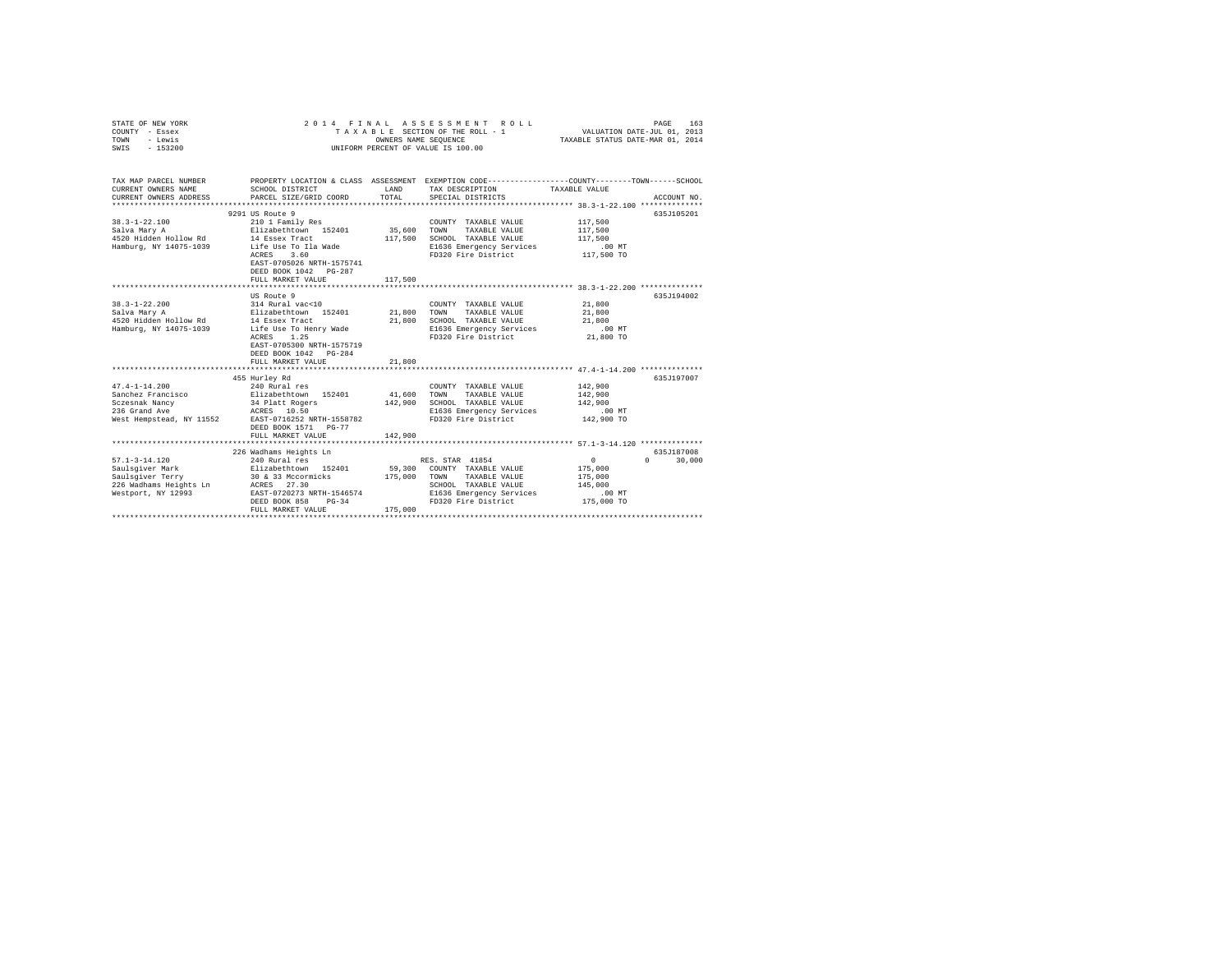| STATE OF NEW YORK<br>COUNTY - Essex<br>TOWN<br>- Lewis<br>$-153200$<br>SWIS | 2 0 1 4                                                                                                            |                   | FINAL ASSESSING THE ROLL - 1<br>TAXABLE SECTION OF THE ROLL - 1<br>UNIFORM PERCENT OF VALUE IS 100.00 | VALUATION DATE-JUL 01, 2013<br>TAXABLE STATUS DATE-MAR 01, 2014 | 163<br>PAGE          |
|-----------------------------------------------------------------------------|--------------------------------------------------------------------------------------------------------------------|-------------------|-------------------------------------------------------------------------------------------------------|-----------------------------------------------------------------|----------------------|
| TAX MAP PARCEL NUMBER<br>CURRENT OWNERS NAME                                | PROPERTY LOCATION & CLASS ASSESSMENT EXEMPTION CODE---------------COUNTY-------TOWN------SCHOOL<br>SCHOOL DISTRICT | LAND              | TAX DESCRIPTION                                                                                       | TAXABLE VALUE                                                   |                      |
| CURRENT OWNERS ADDRESS                                                      | PARCEL SIZE/GRID COORD                                                                                             | TOTAL             | SPECIAL DISTRICTS                                                                                     |                                                                 | ACCOUNT NO.          |
|                                                                             | 9291 US Route 9                                                                                                    |                   |                                                                                                       |                                                                 | 635J105201           |
| $38.3 - 1 - 22.100$                                                         | 210 1 Family Res                                                                                                   |                   | COUNTY TAXABLE VALUE                                                                                  | 117,500                                                         |                      |
| Salva Mary A                                                                | Elizabethtown 152401                                                                                               | 35,600            | TAXABLE VALUE<br>TOWN                                                                                 | 117,500                                                         |                      |
| 4520 Hidden Hollow Rd                                                       | 14 Essex Tract                                                                                                     | 117,500           | SCHOOL TAXABLE VALUE                                                                                  | 117,500                                                         |                      |
| Hamburg, NY 14075-1039                                                      | Life Use To Ila Wade                                                                                               |                   | E1636 Emergency Services                                                                              | $.00$ MT                                                        |                      |
|                                                                             | ACRES<br>3.60                                                                                                      |                   | FD320 Fire District                                                                                   | 117,500 TO                                                      |                      |
|                                                                             | EAST-0705026 NRTH-1575741<br>DEED BOOK 1042 PG-287                                                                 |                   |                                                                                                       |                                                                 |                      |
|                                                                             | FULL MARKET VALUE                                                                                                  | 117,500           |                                                                                                       |                                                                 |                      |
|                                                                             |                                                                                                                    |                   |                                                                                                       |                                                                 |                      |
|                                                                             | US Route 9                                                                                                         |                   |                                                                                                       |                                                                 | 635J194002           |
| $38.3 - 1 - 22.200$                                                         | 314 Rural vac<10                                                                                                   |                   | COUNTY TAXABLE VALUE                                                                                  | 21,800                                                          |                      |
| Salva Mary A                                                                | Elizabethtown 152401                                                                                               | 21,800            | TOWN<br>TAXABLE VALUE                                                                                 | 21,800                                                          |                      |
| 4520 Hidden Hollow Rd                                                       | 14 Essex Tract                                                                                                     | 21,800            | SCHOOL TAXABLE VALUE                                                                                  | 21,800                                                          |                      |
| Hamburg, NY 14075-1039                                                      | Life Use To Henry Wade<br>1.25<br>ACRES                                                                            |                   | E1636 Emergency Services<br>FD320 Fire District                                                       | $.00$ MT<br>21,800 TO                                           |                      |
|                                                                             | EAST-0705300 NRTH-1575719                                                                                          |                   |                                                                                                       |                                                                 |                      |
|                                                                             | DEED BOOK 1042 PG-284                                                                                              |                   |                                                                                                       |                                                                 |                      |
|                                                                             | FULL MARKET VALUE                                                                                                  | 21,800            |                                                                                                       |                                                                 |                      |
|                                                                             |                                                                                                                    |                   |                                                                                                       |                                                                 |                      |
|                                                                             | 455 Hurley Rd                                                                                                      |                   |                                                                                                       |                                                                 | 635J197007           |
| $47.4 - 1 - 14.200$                                                         | 240 Rural res                                                                                                      |                   | COUNTY TAXABLE VALUE                                                                                  | 142,900                                                         |                      |
| Sanchez Francisco<br>Sczesnak Nancy                                         | Elizabethtown 152401<br>34 Platt Rogers                                                                            | 41,600<br>142,900 | TOWN<br>TAXABLE VALUE<br>SCHOOL TAXABLE VALUE                                                         | 142,900<br>142,900                                              |                      |
| 236 Grand Ave                                                               |                                                                                                                    |                   | E1636 Emergency Services                                                                              | $.00$ MT                                                        |                      |
| West Hempstead, NY 11552                                                    | RCRES 10.50<br>RAST-0716252 NRTH-1558782<br>---- 1571 PG-77                                                        |                   | FD320 Fire District                                                                                   | 142,900 TO                                                      |                      |
|                                                                             |                                                                                                                    |                   |                                                                                                       |                                                                 |                      |
|                                                                             | FULL MARKET VALUE                                                                                                  | 142,900           |                                                                                                       |                                                                 |                      |
|                                                                             |                                                                                                                    |                   |                                                                                                       |                                                                 |                      |
|                                                                             | 226 Wadhams Heights Ln                                                                                             |                   |                                                                                                       | $\circ$                                                         | 635J187008<br>$\cap$ |
| $57.1 - 3 - 14.120$<br>Saulsgiver Mark                                      | 240 Rural res<br>Elizabethtown 152401                                                                              |                   | RES. STAR 41854<br>59,300 COUNTY TAXABLE VALUE                                                        | 175,000                                                         | 30,000               |
| Saulsgiver Mark<br>Saulsgiver Terry                                         | 30 & 33 Mccormicks                                                                                                 | 175,000           | TOWN<br>TAXABLE VALUE                                                                                 | 175,000                                                         |                      |
|                                                                             |                                                                                                                    |                   | SCHOOL TAXABLE VALUE                                                                                  | 145,000                                                         |                      |
| Westport, NY 12993                                                          | EAST-0720273 NRTH-1546574                                                                                          |                   | E1636 Emergency Services                                                                              | $.00$ MT                                                        |                      |
|                                                                             | DEED BOOK 858<br>$PG-34$                                                                                           |                   | FD320 Fire District                                                                                   | 175,000 TO                                                      |                      |
|                                                                             | FULL MARKET VALUE                                                                                                  | 175,000           |                                                                                                       |                                                                 |                      |
|                                                                             |                                                                                                                    |                   |                                                                                                       |                                                                 |                      |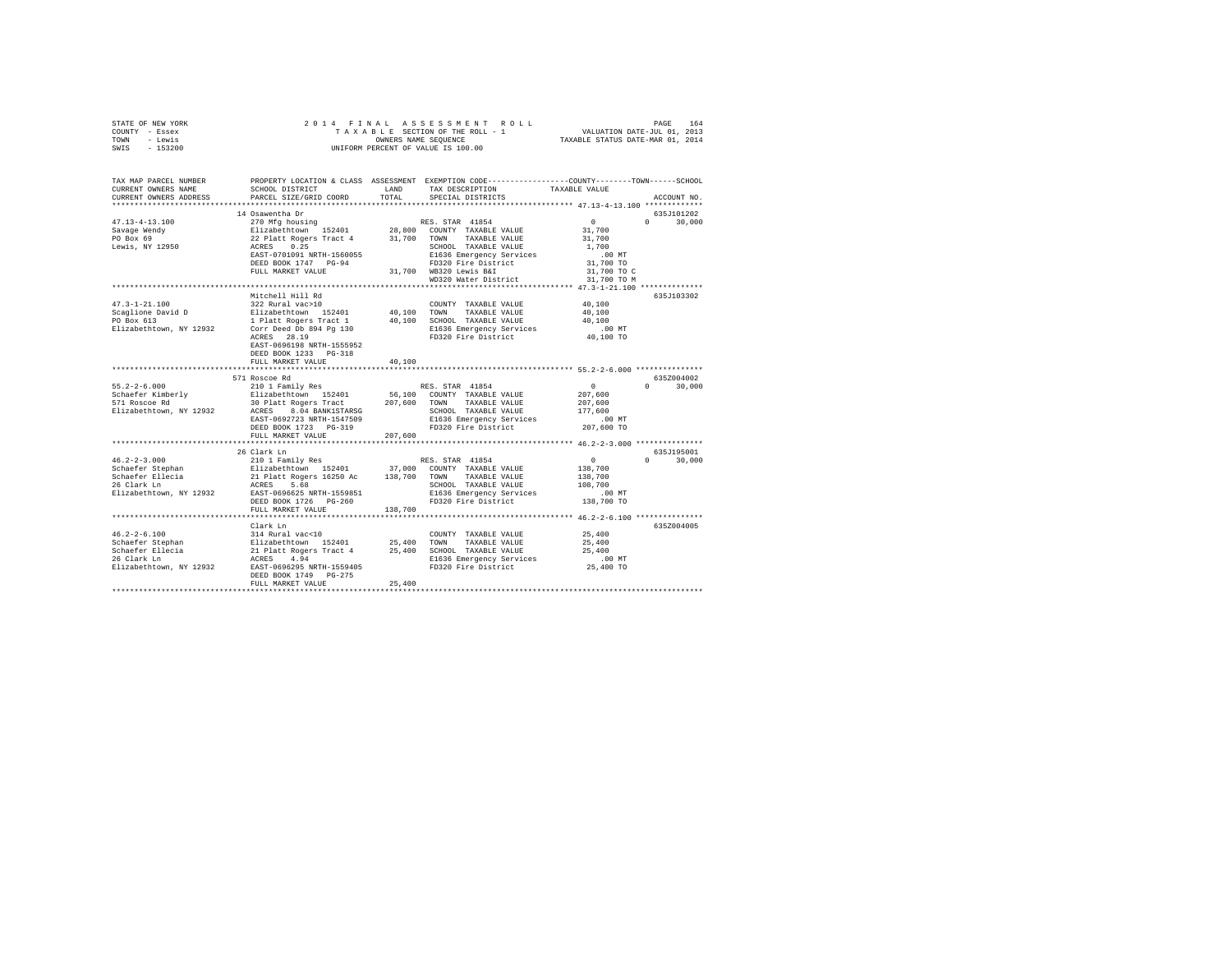| STATE OF NEW YORK<br>COUNTY - Essex<br>TOWN - Lewis<br>SWIS - 153200                                                                                                   | 2014 FINAL<br>OWNERS NAME SEQUENCE<br>UNIFORM PERCENT OF VALUE IS 100.00                                                                                                                                                                                          |             |                                                                                           |                                                                                              |                             |
|------------------------------------------------------------------------------------------------------------------------------------------------------------------------|-------------------------------------------------------------------------------------------------------------------------------------------------------------------------------------------------------------------------------------------------------------------|-------------|-------------------------------------------------------------------------------------------|----------------------------------------------------------------------------------------------|-----------------------------|
| TAX MAP PARCEL NUMBER PROPERTY LOCATION & CLASS ASSESSMENT EXEMPTION CODE---------------COUNTY-------TOWN------SCHOOL<br>CURRENT OWNERS NAME<br>CURRENT OWNERS ADDRESS | SCHOOL DISTRICT LAND<br>PARCEL SIZE/GRID COORD                                                                                                                                                                                                                    | TOTAL       | TAX DESCRIPTION<br>SPECIAL DISTRICTS                                                      | TAXABLE VALUE                                                                                | ACCOUNT NO.                 |
|                                                                                                                                                                        |                                                                                                                                                                                                                                                                   |             |                                                                                           |                                                                                              |                             |
| $47.13 - 4 - 13.100$<br>Savage Wendy<br>PO Box 69<br>Lewis, NY 12950                                                                                                   | 14 Osawentha Dr<br>FULL MARKET VALUE                                                                                                                                                                                                                              |             | 31,700 WB320 Lewis B&I<br>WD320 Water District                                            | $\sim$ 0<br>31,700<br>31,700<br>1,700<br>$.00$ MT<br>31,700 TO<br>31,700 TO C<br>31,700 TO M | 635J101202<br>$0 \t 30,000$ |
|                                                                                                                                                                        |                                                                                                                                                                                                                                                                   |             | ************************************* 47.3-1-21.100 **************                        |                                                                                              |                             |
| $47.3 - 1 - 21.100$<br>Scaglione David D<br>PO Box 613<br>Elizabethtown, NY 12932                                                                                      | Mitchell Hill Rd<br>322 Rural vac>10<br>Elizabethtown 152401 40,100 TOWN TAXABLE VALUE<br>1 Platt Rogers Tract 1 40,100 SCHOOL TAXABLE VALUE<br>Corr Deed Db 894 Pg 130<br>ACRES 28.19<br>EAST-0696198 NRTH-1555952<br>DEED BOOK 1233 PG-318<br>FULL MARKET VALUE | 40,100      | COUNTY TAXABLE VALUE<br>E1636 Emergency Services 6.00 MT<br>FD320 Fire District 40,100 TO | 40,100<br>40,100<br>40,100                                                                   | 635J103302                  |
|                                                                                                                                                                        |                                                                                                                                                                                                                                                                   | *********** | ******************************* 55.2-2-6.000 ***************                              |                                                                                              |                             |
| $55.2 - 2 - 6.000$<br>Schaefer Kimberly<br>571 Roscoe Rd<br>Elizabethtown, NY 12932                                                                                    | 571 Roscoe Rd<br>210 1 Family Res                                                                                                                                                                                                                                 |             | RES. STAR 41854                                                                           | $\overline{0}$<br>207,600<br>207,600<br>177,600<br>.00 MT<br>207,600 TO                      | 635Z004002<br>$0 \t 30,000$ |
|                                                                                                                                                                        | FULL MARKET VALUE                                                                                                                                                                                                                                                 | 207,600     |                                                                                           |                                                                                              |                             |
| Elizabethtown, NY 12932                                                                                                                                                | ACRES 5.68<br>EAST-0696625 NRTH-1559851<br>DEED BOOK 1726 PG-260<br>FULL MARKET VALUE                                                                                                                                                                             | 138,700     | SCHOOL TAXABLE VALUE<br>E1636 Emergency Services<br>FD320 Fire District                   | $\sim$ 0<br>138,700<br>138,700<br>108,700<br>.00 MT<br>138,700 TO                            | 635J195001<br>$0 \t 30,000$ |
|                                                                                                                                                                        |                                                                                                                                                                                                                                                                   |             |                                                                                           |                                                                                              |                             |
| 46.2-2-6.100<br>Schaefer Stephan<br>Schaefer Ellecia<br>26 Clark Ln                                                                                                    | Clark Ln<br>314 Rural vac<10<br>14 KW24 VALUE (1940)<br>25,400 TOWN TAXABLE VALUE (1941)<br>21 Platt Rogers Tract 4 25,400 SCHOOL TAXABLE VALUE<br>21636 Emergency Services<br>DEED BOOK 1749 PG-275<br>FULL MARKET VALUE                                         | 25,400      | COUNTY TAXABLE VALUE                                                                      | 25,400<br>25,400<br>25,400<br>$.00$ MT<br>25,400 TO                                          | 635Z004005                  |
|                                                                                                                                                                        |                                                                                                                                                                                                                                                                   |             |                                                                                           |                                                                                              |                             |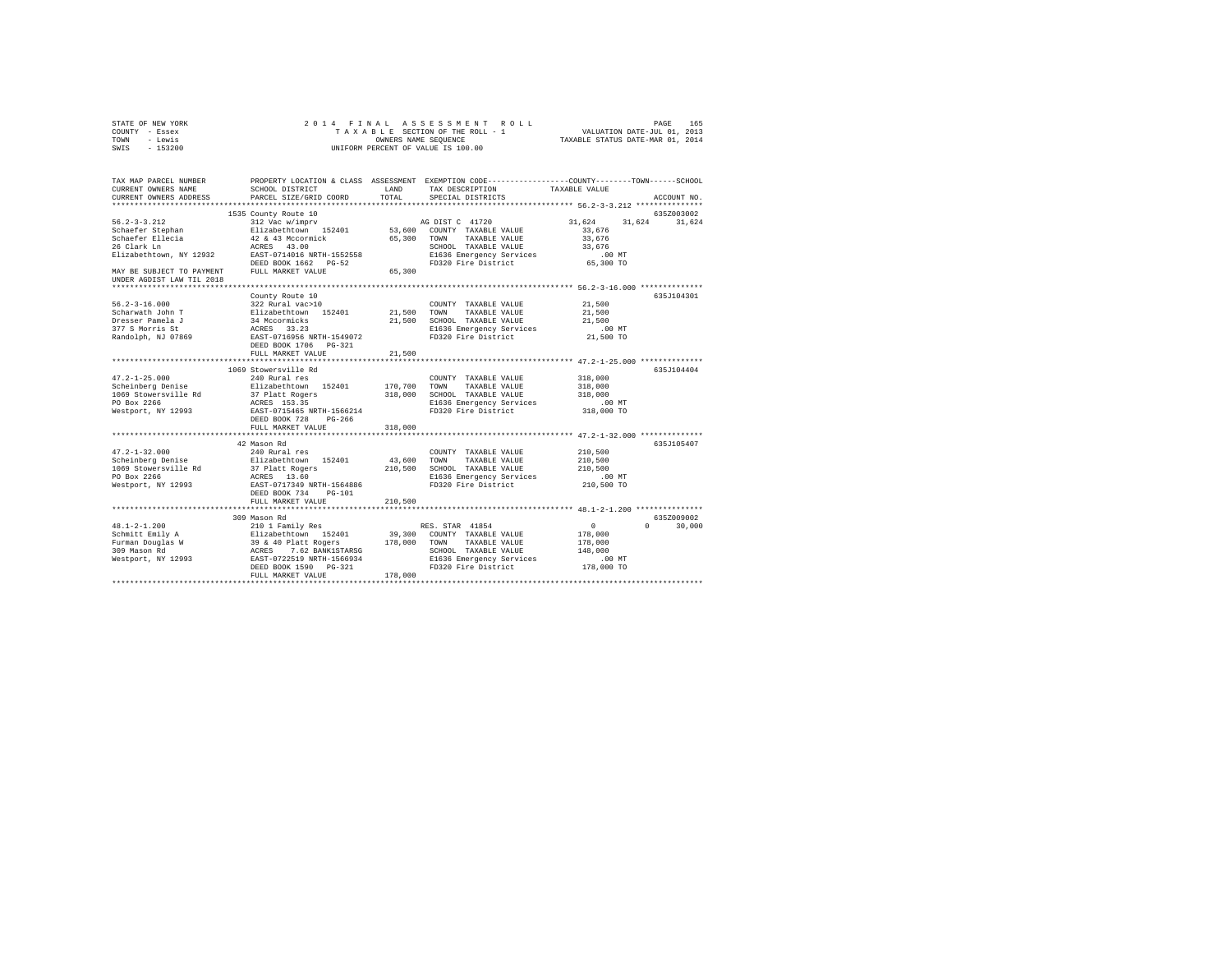| STATE OF NEW YORK<br>COUNTY - Essex                    | 2014 FINAL                                                             |         | ASSESSMENT ROLL<br>TAXABLE SECTION OF THE ROLL - 1                                             |               | PAGE<br>165<br>VALUATION DATE-JUL 01, 2013 |
|--------------------------------------------------------|------------------------------------------------------------------------|---------|------------------------------------------------------------------------------------------------|---------------|--------------------------------------------|
| - Lewis<br>TOWN                                        |                                                                        |         | TAXABLE STATUS DATE-MAR 01, 2014                                                               |               |                                            |
| SWIS<br>$-153200$                                      | UNIFORM PERCENT OF VALUE IS 100.00                                     |         |                                                                                                |               |                                            |
| TAX MAP PARCEL NUMBER                                  |                                                                        |         | PROPERTY LOCATION & CLASS ASSESSMENT EXEMPTION CODE---------------COUNTY-------TOWN-----SCHOOL |               |                                            |
| CURRENT OWNERS NAME                                    | SCHOOL DISTRICT                                                        | LAND    | TAX DESCRIPTION                                                                                | TAXABLE VALUE |                                            |
| CURRENT OWNERS ADDRESS                                 | PARCEL SIZE/GRID COORD                                                 | TOTAL   | SPECIAL DISTRICTS                                                                              |               | ACCOUNT NO.                                |
|                                                        |                                                                        |         |                                                                                                |               |                                            |
|                                                        | 1535 County Route 10                                                   |         |                                                                                                |               | 635Z003002                                 |
| $56.2 - 3 - 3.212$                                     | 312 Vac w/imprv                                                        |         | AG DIST C 41720                                                                                | 31,624        | 31.624<br>31,624                           |
| Schaefer Stephan                                       | Elizabethtown 152401                                                   |         | 53,600 COUNTY TAXABLE VALUE                                                                    | 33,676        |                                            |
| Schaefer Ellecia                                       |                                                                        | 65,300  | TOWN<br>TAXABLE VALUE                                                                          | 33,676        |                                            |
| 26 Clark Ln                                            | 42 & 43 Mccormick<br>ACRES 43.00                                       |         | SCHOOL TAXABLE VALUE                                                                           | 33,676        |                                            |
| Elizabethtown, NY 12932                                | EAST-0714016 NRTH-1552558                                              |         | E1636 Emergency Services                                                                       | $.00$ MT      |                                            |
|                                                        | DEED BOOK 1662 PG-52                                                   |         | FD320 Fire District                                                                            | 65,300 TO     |                                            |
| MAY BE SUBJECT TO PAYMENT<br>UNDER AGDIST LAW TIL 2018 | FULL MARKET VALUE                                                      | 65,300  |                                                                                                |               |                                            |
|                                                        |                                                                        |         |                                                                                                |               |                                            |
|                                                        | County Route 10                                                        |         |                                                                                                |               | 635J104301                                 |
| $56.2 - 3 - 16.000$                                    | 322 Rural vac>10                                                       |         | COUNTY TAXABLE VALUE                                                                           | 21,500        |                                            |
| Scharwath John T                                       | Elizabethtown 152401                                                   | 21,500  | TOWN<br>TAXABLE VALUE                                                                          | 21,500        |                                            |
| Dresser Pamela J                                       |                                                                        | 21,500  | SCHOOL TAXABLE VALUE                                                                           | 21,500        |                                            |
| 377 S Morris St                                        | 34 Mccormicks<br>ACRES 33.23<br>EAST-0716956 NRTH-1549072              |         | E1636 Emergency Services                                                                       | $.00$ MT      |                                            |
| Randolph, NJ 07869                                     |                                                                        |         | FD320 Fire District                                                                            | 21,500 TO     |                                            |
|                                                        | DEED BOOK 1706 PG-321<br>FULL MARKET VALUE                             |         |                                                                                                |               |                                            |
|                                                        |                                                                        | 21,500  |                                                                                                |               |                                            |
|                                                        | 1069 Stowersville Rd                                                   |         |                                                                                                |               | 635J104404                                 |
| $47.2 - 1 - 25.000$                                    | 240 Rural res                                                          |         | COUNTY TAXABLE VALUE                                                                           | 318,000       |                                            |
| Scheinberg Denise                                      | Elizabethtown 152401                                                   | 170,700 | TAXABLE VALUE<br>TOWN                                                                          | 318,000       |                                            |
| 1069 Stowersville Rd                                   | 37 Platt Rogers                                                        | 318,000 | SCHOOL TAXABLE VALUE                                                                           | 318,000       |                                            |
| PO Box 2266                                            | ACRES 153.35                                                           |         | E1636 Emergency Services                                                                       | $.00$ MT      |                                            |
| Westport, NY 12993                                     | EAST-0715465 NRTH-1566214                                              |         | FD320 Fire District                                                                            | 318,000 TO    |                                            |
|                                                        | DEED BOOK 728 PG-266                                                   |         |                                                                                                |               |                                            |
|                                                        | FULL MARKET VALUE                                                      | 318,000 |                                                                                                |               |                                            |
|                                                        |                                                                        |         |                                                                                                |               |                                            |
|                                                        | 42 Mason Rd                                                            |         |                                                                                                |               | 635J105407                                 |
| $47.2 - 1 - 32.000$                                    | 240 Rural res                                                          |         | COUNTY TAXABLE VALUE                                                                           | 210,500       |                                            |
| Scheinberg Denise                                      | Elizabethtown 152401                                                   | 43,600  | TOWN<br>TAXABLE VALUE                                                                          | 210,500       |                                            |
| 1069 Stowersville Rd                                   | 37 Platt Rogers                                                        | 210,500 | SCHOOL TAXABLE VALUE                                                                           | 210,500       |                                            |
| PO Box 2266                                            | ACRES 13.60                                                            |         | E1636 Emergency Services                                                                       | $.00$ MT      |                                            |
| Westport, NY 12993                                     | EAST-0717349 NRTH-1564886                                              |         | FD320 Fire District                                                                            | 210,500 TO    |                                            |
|                                                        | DEED BOOK 734 PG-101                                                   |         |                                                                                                |               |                                            |
|                                                        | FULL MARKET VALUE                                                      | 210,500 |                                                                                                |               |                                            |
|                                                        | 309 Mason Rd                                                           |         |                                                                                                |               | 635Z009002                                 |
| $48.1 - 2 - 1.200$                                     | 210 1 Family Res                                                       |         | RES. STAR 41854                                                                                | 0             | $\cap$<br>30,000                           |
| Schmitt Emily A                                        |                                                                        | 39,300  | COUNTY TAXABLE VALUE                                                                           | 178,000       |                                            |
|                                                        | Elizabethtown 152401<br>39 & 40 Platt Rogers<br>ACRES 7.62 BANK1STARSG | 178,000 | TOWN<br>TAXABLE VALUE                                                                          | 178,000       |                                            |
| Furman Douglas W<br>309 Mason Rd                       |                                                                        |         | SCHOOL TAXABLE VALUE                                                                           | 148,000       |                                            |
| Westport, NY 12993                                     | EAST-0722519 NRTH-1566934                                              |         | E1636 Emergency Services                                                                       | $.00$ MT      |                                            |
|                                                        | DEED BOOK 1590 PG-321                                                  |         | FD320 Fire District                                                                            | 178,000 TO    |                                            |
|                                                        | FULL MARKET VALUE                                                      | 178,000 |                                                                                                |               |                                            |
|                                                        |                                                                        |         |                                                                                                |               |                                            |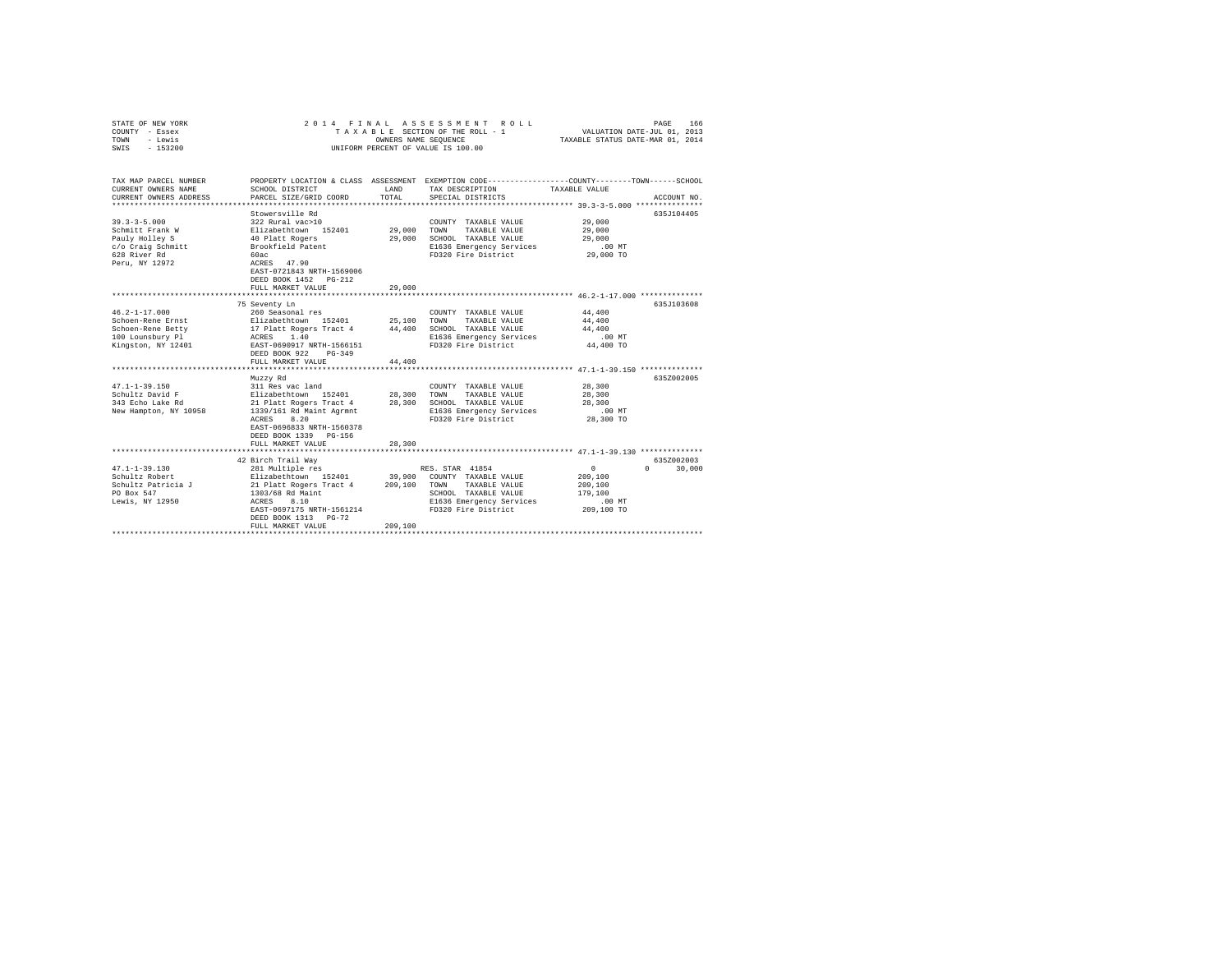| STATE OF NEW YORK<br>COUNTY - Essex<br>TOWN<br>- Lewis<br>$-153200$<br>SWIS | 2014 FINAL                                                        | OWNERS NAME SEQUENCE | ASSESSMENT ROLL<br>TAXABLE SECTION OF THE ROLL - 1<br>UNIFORM PERCENT OF VALUE IS 100.00                                                 | VALUATION DATE-JUL 01, 2013<br>TAXABLE STATUS DATE-MAR 01, 2014 | 166<br>PAGE |
|-----------------------------------------------------------------------------|-------------------------------------------------------------------|----------------------|------------------------------------------------------------------------------------------------------------------------------------------|-----------------------------------------------------------------|-------------|
| TAX MAP PARCEL NUMBER<br>CURRENT OWNERS NAME<br>CURRENT OWNERS ADDRESS      | SCHOOL DISTRICT<br>PARCEL SIZE/GRID COORD                         | LAND<br>TOTAL        | PROPERTY LOCATION & CLASS ASSESSMENT EXEMPTION CODE----------------COUNTY-------TOWN------SCHOOL<br>TAX DESCRIPTION<br>SPECIAL DISTRICTS | TAXABLE VALUE                                                   | ACCOUNT NO. |
| **************************                                                  |                                                                   |                      |                                                                                                                                          |                                                                 |             |
|                                                                             | Stowersville Rd                                                   |                      |                                                                                                                                          |                                                                 | 635J104405  |
| $39.3 - 3 - 5.000$                                                          | 322 Rural vac>10<br>Elizabethtown 152401                          |                      | COUNTY TAXABLE VALUE                                                                                                                     | 29,000                                                          |             |
| Schmitt Frank W<br>Pauly Holley S                                           | 40 Platt Rogers                                                   | 29,000<br>29,000     | TOWN<br>TAXABLE VALUE<br>SCHOOL TAXABLE VALUE                                                                                            | 29,000<br>29,000                                                |             |
| c/o Craig Schmitt                                                           | Brookfield Patent                                                 |                      | E1636 Emergency Services                                                                                                                 | $.00$ MT                                                        |             |
| 628 River Rd                                                                | 60ac                                                              |                      | FD320 Fire District                                                                                                                      | 29,000 TO                                                       |             |
| Peru, NY 12972                                                              | ACRES 47.90<br>EAST-0721843 NRTH-1569006<br>DEED BOOK 1452 PG-212 |                      |                                                                                                                                          |                                                                 |             |
|                                                                             | FULL MARKET VALUE                                                 | 29,000               |                                                                                                                                          |                                                                 |             |
|                                                                             |                                                                   | *************        |                                                                                                                                          |                                                                 |             |
|                                                                             | 75 Seventy Ln                                                     |                      |                                                                                                                                          |                                                                 | 635J103608  |
| $46.2 - 1 - 17.000$                                                         | 260 Seasonal res                                                  |                      | COUNTY TAXABLE VALUE                                                                                                                     | 44,400                                                          |             |
| Schoen-Rene Ernst                                                           | Elizabethtown 152401                                              | 25,100<br>44,400     | TOWN<br>TAXABLE VALUE<br>SCHOOL TAXABLE VALUE                                                                                            | 44,400<br>44,400                                                |             |
| Schoen-Rene Betty<br>100 Lounsbury Pl                                       | 17 Platt Rogers Tract 4<br>ACRES 1.40                             |                      | E1636 Emergency Services                                                                                                                 | $.00$ MT                                                        |             |
| Kingston, NY 12401                                                          | EAST-0690917 NRTH-1566151                                         |                      | FD320 Fire District                                                                                                                      | 44,400 TO                                                       |             |
|                                                                             | DEED BOOK 922 PG-349                                              |                      |                                                                                                                                          |                                                                 |             |
|                                                                             | FULL MARKET VALUE                                                 | 44,400               |                                                                                                                                          |                                                                 |             |
|                                                                             |                                                                   |                      |                                                                                                                                          |                                                                 |             |
|                                                                             | Muzzy Rd                                                          |                      |                                                                                                                                          |                                                                 | 635Z002005  |
| $47.1 - 1 - 39.150$                                                         | 311 Res vac land                                                  |                      | COUNTY TAXABLE VALUE                                                                                                                     | 28,300                                                          |             |
| Schultz David F                                                             | Elizabethtown 152401                                              | 28,300               | TOWN<br>TAXABLE VALUE                                                                                                                    | 28,300                                                          |             |
| 343 Echo Lake Rd                                                            | 21 Platt Rogers Tract 4                                           | 28,300               | SCHOOL TAXABLE VALUE                                                                                                                     | 28,300                                                          |             |
| New Hampton, NY 10958                                                       | 1339/161 Rd Maint Agrmnt                                          |                      | E1636 Emergency Services                                                                                                                 | .00 MT                                                          |             |
|                                                                             | 8.20<br>ACRES<br>EAST-0696833 NRTH-1560378                        |                      | FD320 Fire District                                                                                                                      | 28,300 TO                                                       |             |
|                                                                             | DEED BOOK 1339 PG-156                                             |                      |                                                                                                                                          |                                                                 |             |
|                                                                             | FULL MARKET VALUE                                                 | 28,300               |                                                                                                                                          |                                                                 |             |
|                                                                             | ******************************                                    |                      |                                                                                                                                          |                                                                 |             |
|                                                                             | 42 Birch Trail Wav                                                |                      |                                                                                                                                          |                                                                 | 635Z002003  |
| $47.1 - 1 - 39.130$                                                         | 281 Multiple res                                                  |                      | RES. STAR 41854                                                                                                                          | $\circ$<br>$\Omega$                                             | 30,000      |
| Schultz Robert                                                              | Elizabethtown 152401                                              | 39,900               | COUNTY TAXABLE VALUE                                                                                                                     | 209,100                                                         |             |
| Schultz Patricia J                                                          | 21 Platt Rogers Tract 4                                           | 209,100              | TAXABLE VALUE<br>TOWN                                                                                                                    | 209,100                                                         |             |
| PO Box 547                                                                  | 1303/68 Rd Maint                                                  |                      | SCHOOL TAXABLE VALUE                                                                                                                     | 179,100                                                         |             |
| Lewis, NY 12950                                                             | ACRES<br>8.10<br>EAST-0697175 NRTH-1561214                        |                      | E1636 Emergency Services<br>FD320 Fire District                                                                                          | .00MT<br>209,100 TO                                             |             |
|                                                                             | DEED BOOK 1313 PG-72                                              |                      |                                                                                                                                          |                                                                 |             |
|                                                                             | FULL MARKET VALUE                                                 | 209,100              |                                                                                                                                          |                                                                 |             |
|                                                                             |                                                                   |                      |                                                                                                                                          |                                                                 |             |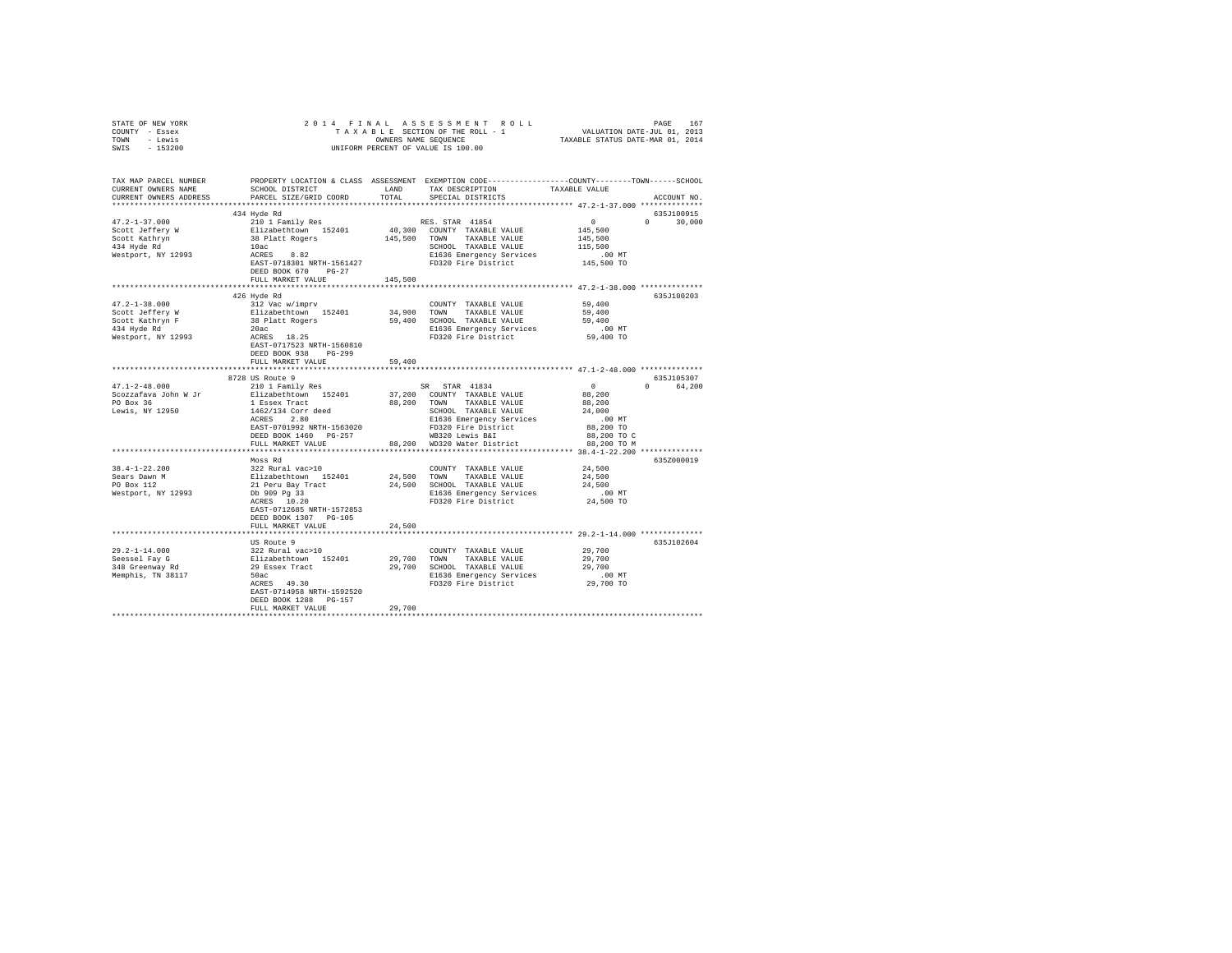| STATE OF NEW YORK                                                                                                                                                                                                                    |                           |         |                             |           |             |
|--------------------------------------------------------------------------------------------------------------------------------------------------------------------------------------------------------------------------------------|---------------------------|---------|-----------------------------|-----------|-------------|
| COUNTY - Essex                                                                                                                                                                                                                       |                           |         |                             |           |             |
| TOWN - Lewis                                                                                                                                                                                                                         |                           |         |                             |           |             |
| SWIS - 153200                                                                                                                                                                                                                        |                           |         |                             |           |             |
|                                                                                                                                                                                                                                      |                           |         |                             |           |             |
|                                                                                                                                                                                                                                      |                           |         |                             |           |             |
|                                                                                                                                                                                                                                      |                           |         |                             |           |             |
| TAX MAP PARCEL NUMBER     PROPERTY LOCATION & CLASS ASSESSMENT EXEMPTION CODE---------------COUNTY-------TOWN------SCHOOL DISTRICT     LAND   TAX DESCRIPTION     TAXABLE VALUE                                                      |                           |         |                             |           |             |
|                                                                                                                                                                                                                                      |                           |         |                             |           |             |
| CURRENT OWNERS ADDRESS PARCEL SIZE/GRID COORD TOTAL                                                                                                                                                                                  |                           |         | SPECIAL DISTRICTS           |           | ACCOUNT NO. |
|                                                                                                                                                                                                                                      |                           |         |                             |           |             |
|                                                                                                                                                                                                                                      | 434 Hyde Rd               |         |                             |           | 635J100915  |
|                                                                                                                                                                                                                                      |                           |         |                             |           |             |
|                                                                                                                                                                                                                                      |                           |         |                             |           |             |
|                                                                                                                                                                                                                                      |                           |         |                             |           |             |
|                                                                                                                                                                                                                                      |                           |         |                             |           |             |
|                                                                                                                                                                                                                                      |                           |         |                             |           |             |
|                                                                                                                                                                                                                                      |                           |         |                             |           |             |
|                                                                                                                                                                                                                                      |                           |         |                             |           |             |
|                                                                                                                                                                                                                                      | DEED BOOK 670 PG-27       |         |                             |           |             |
|                                                                                                                                                                                                                                      | FULL MARKET VALUE         | 145,500 |                             |           |             |
|                                                                                                                                                                                                                                      |                           |         |                             |           |             |
|                                                                                                                                                                                                                                      | 426 Hyde Rd               |         |                             |           | 635J100203  |
|                                                                                                                                                                                                                                      |                           |         | COUNTY TAXABLE VALUE 59,400 |           |             |
|                                                                                                                                                                                                                                      |                           |         |                             |           |             |
|                                                                                                                                                                                                                                      |                           |         |                             |           |             |
|                                                                                                                                                                                                                                      |                           |         |                             |           |             |
|                                                                                                                                                                                                                                      |                           |         |                             |           |             |
|                                                                                                                                                                                                                                      | EAST-0717523 NRTH-1560810 |         |                             |           |             |
|                                                                                                                                                                                                                                      | DEED BOOK 938 PG-299      |         |                             |           |             |
|                                                                                                                                                                                                                                      | FULL MARKET VALUE 59,400  |         |                             |           |             |
|                                                                                                                                                                                                                                      |                           |         |                             |           |             |
|                                                                                                                                                                                                                                      | 8728 US Route 9           |         |                             |           | 635J105307  |
|                                                                                                                                                                                                                                      |                           |         |                             |           | 0 64,200    |
|                                                                                                                                                                                                                                      |                           |         |                             |           |             |
|                                                                                                                                                                                                                                      |                           |         |                             |           |             |
|                                                                                                                                                                                                                                      |                           |         |                             |           |             |
|                                                                                                                                                                                                                                      |                           |         |                             |           |             |
|                                                                                                                                                                                                                                      |                           |         |                             |           |             |
|                                                                                                                                                                                                                                      |                           |         |                             |           |             |
|                                                                                                                                                                                                                                      |                           |         |                             |           |             |
|                                                                                                                                                                                                                                      |                           |         |                             |           |             |
|                                                                                                                                                                                                                                      |                           |         |                             |           |             |
|                                                                                                                                                                                                                                      |                           |         |                             |           | 635Z000019  |
| 38.4-1-22.200<br>38.4-1-22.200<br>39.47 Moss Rd Resears Dawn Bizabethtown 152401<br>24,500 TOWN TAXABLE VALUE 24,500<br>21 Peru Bay Tract 24,500 SCRIBE 24,500<br>21 Peru Bay Tract 24,500 SCRIBE 24,500 SCRIBE 24,500 SCRIBE 24,500 |                           |         |                             |           |             |
|                                                                                                                                                                                                                                      |                           |         |                             |           |             |
|                                                                                                                                                                                                                                      |                           |         |                             |           |             |
|                                                                                                                                                                                                                                      |                           |         |                             | .00MT     |             |
|                                                                                                                                                                                                                                      |                           |         |                             | 24,500 TO |             |
|                                                                                                                                                                                                                                      | EAST-0712685 NRTH-1572853 |         |                             |           |             |
|                                                                                                                                                                                                                                      | DEED BOOK 1307 PG-105     |         |                             |           |             |
|                                                                                                                                                                                                                                      | FULL MARKET VALUE         | 24,500  |                             |           |             |
|                                                                                                                                                                                                                                      |                           |         |                             |           |             |
|                                                                                                                                                                                                                                      | US Route 9                |         |                             |           | 635J102604  |
|                                                                                                                                                                                                                                      |                           |         |                             |           |             |
|                                                                                                                                                                                                                                      |                           |         |                             |           |             |
|                                                                                                                                                                                                                                      |                           |         |                             |           |             |
|                                                                                                                                                                                                                                      |                           |         |                             |           |             |
|                                                                                                                                                                                                                                      |                           |         |                             |           |             |
|                                                                                                                                                                                                                                      |                           |         |                             |           |             |
|                                                                                                                                                                                                                                      | EAST-0714958 NRTH-1592520 |         |                             |           |             |
|                                                                                                                                                                                                                                      | DEED BOOK 1288 PG-157     |         |                             |           |             |
|                                                                                                                                                                                                                                      | FULL MARKET VALUE         | 29,700  |                             |           |             |
|                                                                                                                                                                                                                                      |                           |         |                             |           |             |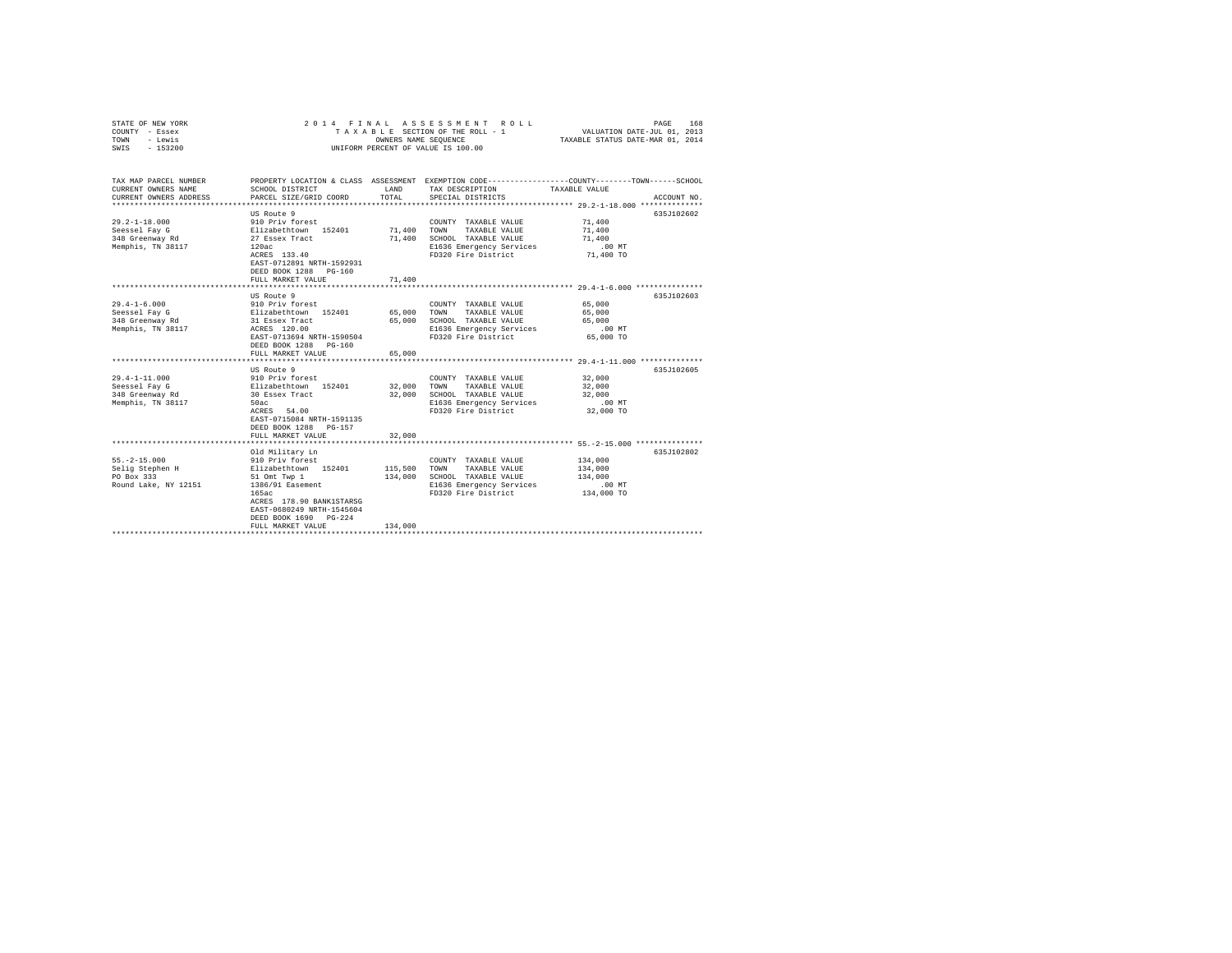| STATE OF NEW YORK<br>COUNTY - Essex<br>TOWN<br>- Lewis<br>$-153200$<br>SWIS                          | 2014 FINAL                                                                                                                                                                                                                                 | OWNERS NAME SEQUENCE                    | ASSESSMENT ROLL<br>TAXABLE SECTION OF THE ROLL - 1<br>UNIFORM PERCENT OF VALUE IS 100.00                                 | 168<br>PAGE<br>VALUATION DATE-JUL 01, 2013<br>TAXABLE STATUS DATE-MAR 01, 2014                                                   |
|------------------------------------------------------------------------------------------------------|--------------------------------------------------------------------------------------------------------------------------------------------------------------------------------------------------------------------------------------------|-----------------------------------------|--------------------------------------------------------------------------------------------------------------------------|----------------------------------------------------------------------------------------------------------------------------------|
| TAX MAP PARCEL NUMBER<br>CURRENT OWNERS NAME<br>CURRENT OWNERS ADDRESS<br>************************** | SCHOOL DISTRICT<br>PARCEL SIZE/GRID COORD                                                                                                                                                                                                  | LAND<br>TOTAL                           | TAX DESCRIPTION<br>SPECIAL DISTRICTS                                                                                     | PROPERTY LOCATION & CLASS ASSESSMENT EXEMPTION CODE----------------COUNTY-------TOWN------SCHOOL<br>TAXABLE VALUE<br>ACCOUNT NO. |
| $29.2 - 1 - 18.000$<br>Seessel Fay G<br>348 Greenway Rd<br>Memphis, TN 38117                         | US Route 9<br>910 Priv forest<br>Elizabethtown 152401<br>27 Essex Tract<br>120ac<br>ACRES 133.40<br>EAST-0712891 NRTH-1592931<br>DEED BOOK 1288 PG-160<br>FULL MARKET VALUE                                                                | 71,400<br>71,400<br>71,400              | COUNTY TAXABLE VALUE<br>TOWN<br>TAXABLE VALUE<br>SCHOOL TAXABLE VALUE<br>E1636 Emergency Services<br>FD320 Fire District | 635J102602<br>71,400<br>71,400<br>71,400<br>$.00$ MT<br>71,400 TO                                                                |
| $29.4 - 1 - 6.000$<br>Seessel Fay G<br>348 Greenway Rd<br>Memphis, TN 38117                          | US Route 9<br>910 Priv forest<br>Elizabethtown 152401<br>31 Essex Tract<br>ACRES 120.00<br>EAST-0713694 NRTH-1590504<br>DEED BOOK 1288 PG-160<br>FULL MARKET VALUE                                                                         | 65,000<br>65,000<br>65,000<br>********* | COUNTY TAXABLE VALUE<br>TOWN<br>TAXABLE VALUE<br>SCHOOL TAXABLE VALUE<br>E1636 Emergency Services<br>FD320 Fire District | 635J102603<br>65,000<br>65,000<br>65,000<br>.00MT<br>65,000 TO<br>********************* 29.4-1-11.000 **************             |
| $29.4 - 1 - 11.000$<br>Seessel Fay G<br>348 Greenway Rd<br>Memphis, TN 38117                         | US Route 9<br>910 Priv forest<br>Elizabethtown 152401<br>30 Essex Tract<br>50ac<br>ACRES 54.00<br>EAST-0715084 NRTH-1591135<br>DEED BOOK 1288 PG-157<br>FULL MARKET VALUE                                                                  | 32,000<br>32,000<br>32,000              | COUNTY TAXABLE VALUE<br>TOWN<br>TAXABLE VALUE<br>SCHOOL TAXABLE VALUE<br>E1636 Emergency Services<br>FD320 Fire District | 635J102605<br>32,000<br>32,000<br>32,000<br>$.00$ MT<br>32,000 TO                                                                |
| $55. -2 - 15.000$<br>Selig Stephen H<br>PO Box 333<br>Round Lake, NY 12151                           | Old Military Ln<br>910 Priv forest<br>Elizabethtown 152401<br>51 Omt Twp 1<br>1386/91 Easement<br>165ac<br>ACRES 178.90 BANK1STARSG<br>EAST-0680249 NRTH-1545604<br>DEED BOOK 1690 PG-224<br>FULL MARKET VALUE<br>************************ | 115,500<br>134,000<br>134,000           | COUNTY TAXABLE VALUE<br>TOWN<br>TAXABLE VALUE<br>SCHOOL TAXABLE VALUE<br>E1636 Emergency Services<br>FD320 Fire District | 635J102802<br>134,000<br>134,000<br>134,000<br>$.00$ MT<br>134,000 TO                                                            |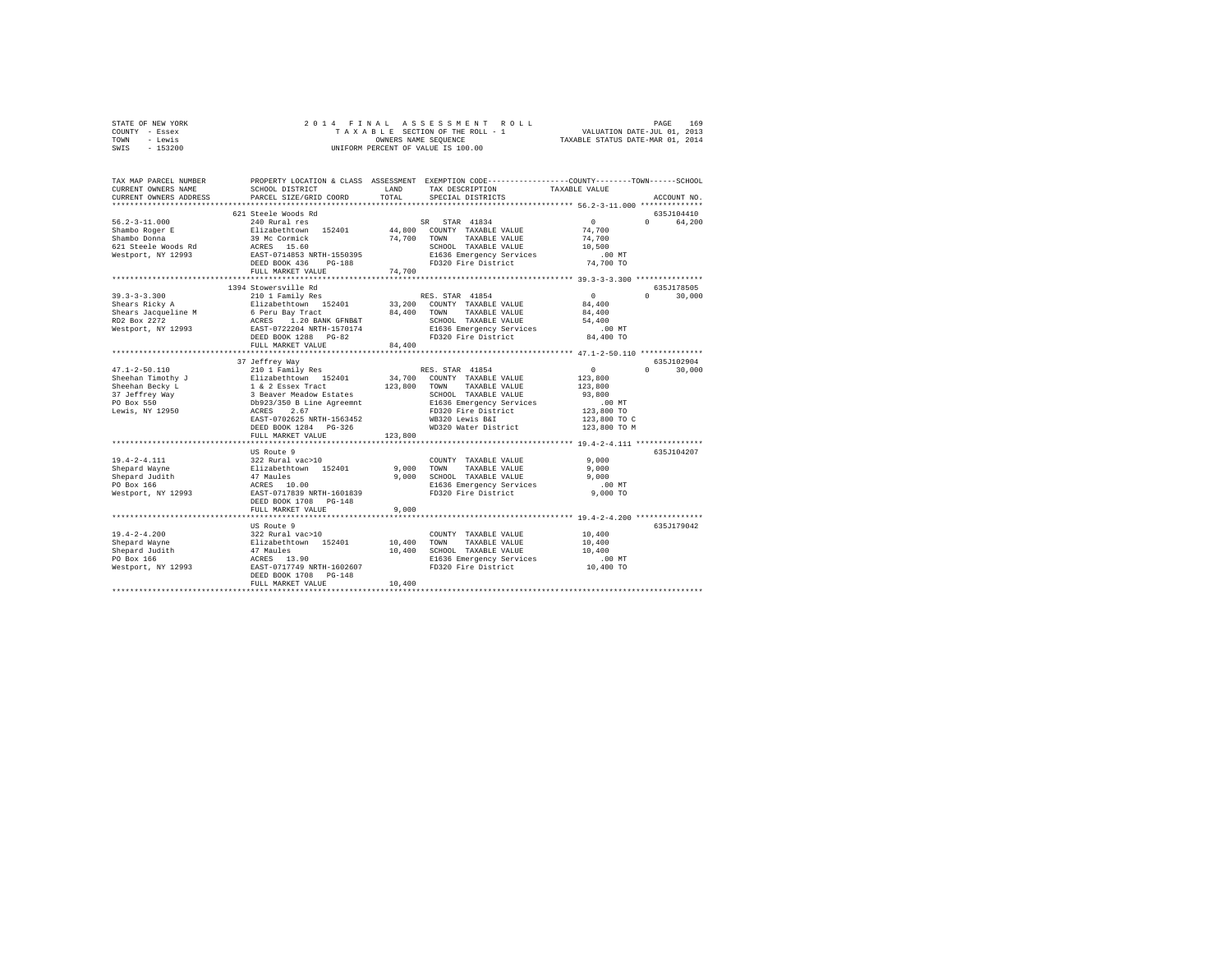| STATE OF NEW YORK | 2014 FINAL ASSESSMENT ROLL         | 169<br>PAGE                      |
|-------------------|------------------------------------|----------------------------------|
| COUNTY - Essex    | TAXABLE SECTION OF THE ROLL - 1    | VALUATION DATE-JUL 01, 2013      |
| TOWN<br>- Lewis   | OWNERS NAME SEOUENCE               | TAXABLE STATUS DATE-MAR 01, 2014 |
| $-153200$<br>SWIS | UNIFORM PERCENT OF VALUE IS 100.00 |                                  |

| TAX MAP PARCEL NUMBER<br>CURRENT OWNERS NAME                                                                                                                                                                                                                  | SCHOOL DISTRICT                                                                                                                                                                                | LAND<br>TOTAL         | PROPERTY LOCATION & CLASS ASSESSMENT EXEMPTION CODE----------------COUNTY-------TOWN-----SCHOOL<br>TAX DESCRIPTION                                     | TAXABLE VALUE                                                                                    |                                      |
|---------------------------------------------------------------------------------------------------------------------------------------------------------------------------------------------------------------------------------------------------------------|------------------------------------------------------------------------------------------------------------------------------------------------------------------------------------------------|-----------------------|--------------------------------------------------------------------------------------------------------------------------------------------------------|--------------------------------------------------------------------------------------------------|--------------------------------------|
| CURRENT OWNERS ADDRESS                                                                                                                                                                                                                                        | PARCEL SIZE/GRID COORD                                                                                                                                                                         |                       | SPECIAL DISTRICTS                                                                                                                                      |                                                                                                  | ACCOUNT NO.                          |
|                                                                                                                                                                                                                                                               | 621 Steele Woods Rd                                                                                                                                                                            |                       |                                                                                                                                                        |                                                                                                  | 635J104410                           |
| $56.2 - 3 - 11.000$<br>Shambo Roger E<br>Shambo Donna                                                                                                                                                                                                         | ta sa sala<br>240 Rural res<br>Elizabethtown 152401<br>39 Mc Cormick<br>DEED BOOK 436 PG-188<br>FULL MARKET VALUE                                                                              | 74,700 TOWN<br>74,700 | SR STAR 41834<br>44,800 COUNTY TAXABLE VALUE<br>TAXABLE VALUE<br>SCHOOL TAXABLE VALUE<br>E1636 Emergency Services<br>FD320 Fire District               | $\sim$ 0<br>74,700<br>74,700<br>10,500<br>$.00$ MT<br>74,700 TO                                  | $\Omega$<br>64,200                   |
|                                                                                                                                                                                                                                                               |                                                                                                                                                                                                |                       |                                                                                                                                                        |                                                                                                  |                                      |
| $39.3 - 3 - 3.300$<br>Shears Ricky A<br>Shears Jacqueline M<br>RD2 Box 2272<br>Westport, NY 12993                                                                                                                                                             | 1394 Stowersville Rd<br>210 1 Family Res<br>Elizabethtown 152401 33<br>6 Peru Bay Tract 84<br>ACRES 1.20 BANK GFNB&T<br>EAST-0722204 NRTH-1570174<br>DEED BOOK 1288 PG-82<br>FULL MARKET VALUE | 84,400                | RES. STAR 41854<br>33,200 COUNTY TAXABLE VALUE<br>84,400 TOWN TAXABLE VALUE<br>SCHOOL TAXABLE VALUE<br>E1636 Emergency Services<br>FD320 Fire District | $\circ$<br>84,400<br>84,400<br>54,400<br>.00 MT<br>84,400 TO                                     | 635J178505<br>$\mathsf{n}$<br>30,000 |
|                                                                                                                                                                                                                                                               |                                                                                                                                                                                                |                       |                                                                                                                                                        |                                                                                                  |                                      |
| $47.1 - 2 - 50.110$<br>Chenan Pinochy January 1924-1 - 1922<br>Sheehan Pinochy January 1924-1 - 14 2 Essex Track 123,800 TOWNT TAXABLE VALUE<br>Sheehan Becky Law January 2 3 Beaver Neadow Extates<br>27 Jeffrey Way 3 Beaver Neadow Extates<br>26 Depart 20 | 37 Jeffrey Way<br>210 1 Family Res<br>EAST-0702625 NRTH-1563452<br>DEED BOOK 1284 PG-326<br>FULL MARKET VALUE                                                                                  | 123,800               | RES. STAR 41854<br>WB320 Lewis B&I<br>WD320 Water District                                                                                             | $\sim$ 0<br>123,800<br>123,800<br>93,800<br>.00 MT<br>123,800 TO<br>123,800 TO C<br>123,800 TO M | 635J102904<br>$0 \t 30,000$          |
|                                                                                                                                                                                                                                                               |                                                                                                                                                                                                |                       |                                                                                                                                                        |                                                                                                  |                                      |
| $19.4 - 2 - 4.111$<br>Shepard Wayne<br>Shepard Judith<br>PO Box 166<br>Westport, NY 12993                                                                                                                                                                     | US Route 9<br>322 Rural vac>10<br>Elizabethtown 152401<br>47 Maules<br>ACRES 10.00<br>EAST-0717839 NRTH-1601839<br>DEED BOOK 1708 PG-148                                                       | 9,000<br>9.000        | COUNTY TAXABLE VALUE<br>TOWN<br>TAXABLE VALUE<br>SCHOOL TAXABLE VALUE<br>E1636 Emergency Services<br>FD320 Fire District                               | 9.000<br>9,000<br>9.000<br>.00 MT<br>$9,000$ TO                                                  | 635J104207                           |
|                                                                                                                                                                                                                                                               | FULL MARKET VALUE                                                                                                                                                                              | 9,000                 |                                                                                                                                                        |                                                                                                  |                                      |
| $19.4 - 2 - 4.200$<br>Shepard Wayne<br>Shepard Judith<br>PO Box 166<br>Westport, NY 12993                                                                                                                                                                     | US Route 9<br>222 Rural vac>10<br>Elizabethtown 152401<br>47 Maules<br>ACRES 13.90<br>EAST-0717749 NRTH-1602607<br>DEED BOOK 1708 PG-148                                                       | 10,400 TOWN<br>10,400 | COUNTY TAXABLE VALUE<br>TAXABLE VALUE<br>SCHOOL TAXABLE VALUE<br>E1636 Emergency Services<br>FD320 Fire District                                       | 10,400<br>10,400<br>10,400<br>$.00$ MT<br>10,400 TO                                              | 635J179042                           |
|                                                                                                                                                                                                                                                               | FULL MARKET VALUE                                                                                                                                                                              | 10,400                |                                                                                                                                                        |                                                                                                  |                                      |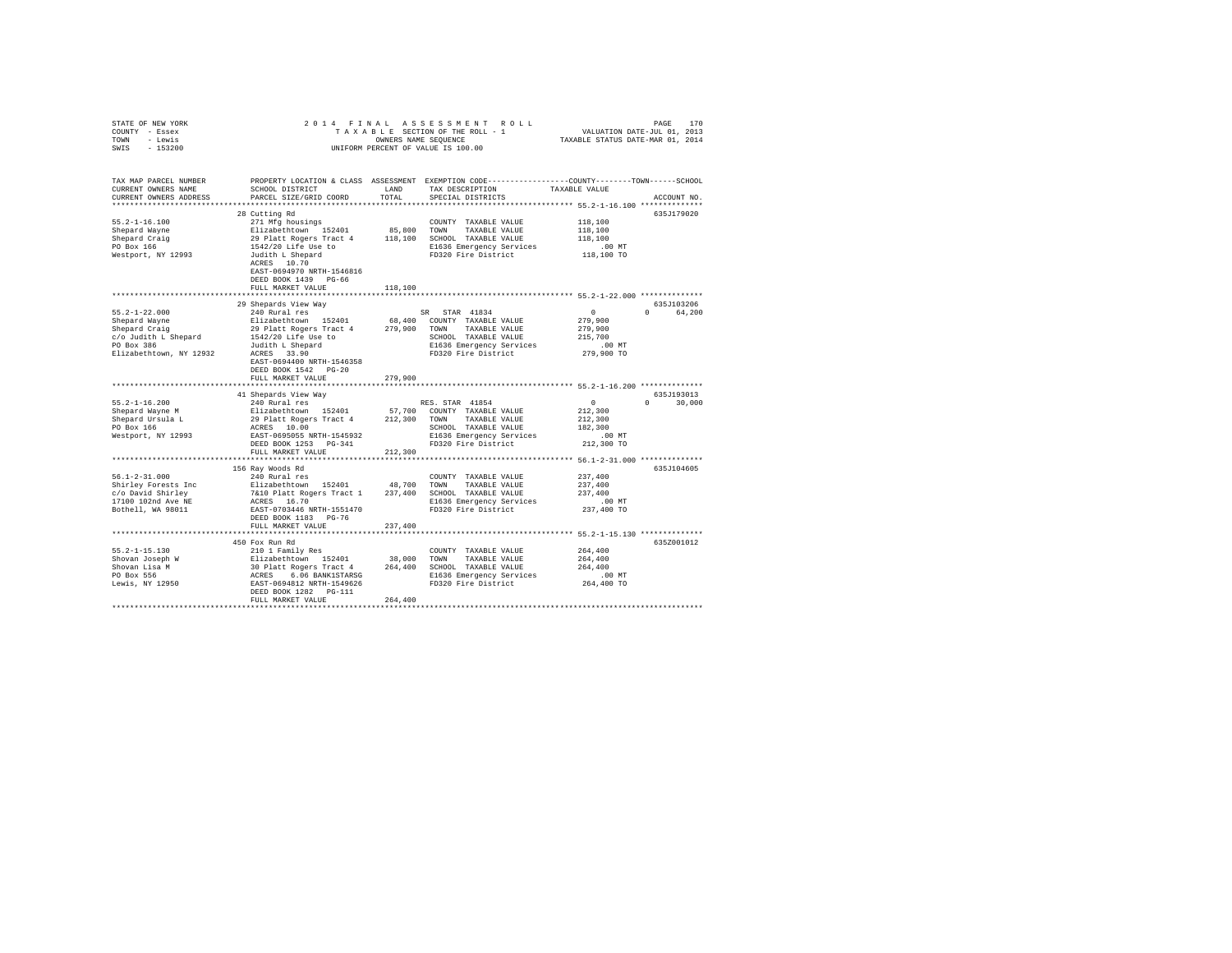| STATE OF NEW YORK                                                                                                                                                                                                                              |                                                                                                                                                                                                                                                    |         |                                                                                                 |                   |               |
|------------------------------------------------------------------------------------------------------------------------------------------------------------------------------------------------------------------------------------------------|----------------------------------------------------------------------------------------------------------------------------------------------------------------------------------------------------------------------------------------------------|---------|-------------------------------------------------------------------------------------------------|-------------------|---------------|
| COUNTY - Essex                                                                                                                                                                                                                                 |                                                                                                                                                                                                                                                    |         |                                                                                                 |                   |               |
| TOWN - Lewis                                                                                                                                                                                                                                   |                                                                                                                                                                                                                                                    |         |                                                                                                 |                   |               |
| SWIS - 153200                                                                                                                                                                                                                                  |                                                                                                                                                                                                                                                    |         | UNIFORM PERCENT OF VALUE IS 100.00                                                              |                   |               |
|                                                                                                                                                                                                                                                |                                                                                                                                                                                                                                                    |         |                                                                                                 |                   |               |
| TAX MAP PARCEL NUMBER                                                                                                                                                                                                                          |                                                                                                                                                                                                                                                    |         | PROPERTY LOCATION & CLASS ASSESSMENT EXEMPTION CODE---------------COUNTY-------TOWN------SCHOOL |                   |               |
| CURRENT OWNERS NAME                                                                                                                                                                                                                            | SCHOOL DISTRICT                                                                                                                                                                                                                                    | LAND    | TAX DESCRIPTION                                                                                 | TAXABLE VALUE     |               |
| CURRENT OWNERS ADDRESS                                                                                                                                                                                                                         | PARCEL SIZE/GRID COORD                                                                                                                                                                                                                             | TOTAL   | SPECIAL DISTRICTS                                                                               |                   | ACCOUNT NO.   |
|                                                                                                                                                                                                                                                |                                                                                                                                                                                                                                                    |         |                                                                                                 |                   |               |
|                                                                                                                                                                                                                                                | 28 Cutting Rd                                                                                                                                                                                                                                      |         |                                                                                                 |                   | 635J179020    |
| $55.2 - 1 - 16.100$                                                                                                                                                                                                                            |                                                                                                                                                                                                                                                    |         |                                                                                                 |                   |               |
|                                                                                                                                                                                                                                                |                                                                                                                                                                                                                                                    |         |                                                                                                 | 118,100           |               |
|                                                                                                                                                                                                                                                |                                                                                                                                                                                                                                                    |         |                                                                                                 | 118,100           |               |
|                                                                                                                                                                                                                                                |                                                                                                                                                                                                                                                    |         |                                                                                                 | 118,100           |               |
|                                                                                                                                                                                                                                                |                                                                                                                                                                                                                                                    |         | E1636 Emergency Services                                                                        | .00 MT            |               |
| Shepard Wayne<br>Shepard Craig<br>PO Box 166<br>Westport, NY 12993                                                                                                                                                                             | 271 Mfg housings<br>271 Mfg housings<br>271 Mfg housings<br>29 Platt Rogers Tract 4<br>29 Platt Rogers Tract 4<br>118,100 SCHOOL TAXABLE VALUE<br>1542/20 Life Use to<br>31636 Emergency Services<br>29 Platt Rogerd<br>320 Platt Rogers<br>20 Pla |         | FD320 Fire District                                                                             | 118,100 TO        |               |
|                                                                                                                                                                                                                                                | ACRES 10.70                                                                                                                                                                                                                                        |         |                                                                                                 |                   |               |
|                                                                                                                                                                                                                                                | EAST-0694970 NRTH-1546816                                                                                                                                                                                                                          |         |                                                                                                 |                   |               |
|                                                                                                                                                                                                                                                | DEED BOOK 1439 PG-66                                                                                                                                                                                                                               |         |                                                                                                 |                   |               |
|                                                                                                                                                                                                                                                | FULL MARKET VALUE                                                                                                                                                                                                                                  | 118,100 |                                                                                                 |                   |               |
|                                                                                                                                                                                                                                                |                                                                                                                                                                                                                                                    |         | *********************************** 55.2-1-22.000 **************                                |                   |               |
|                                                                                                                                                                                                                                                | 29 Shepards View Way                                                                                                                                                                                                                               |         |                                                                                                 |                   | 635J103206    |
| $55.2 - 1 - 22.000$                                                                                                                                                                                                                            | 240 Rural res                                                                                                                                                                                                                                      |         | SR STAR 41834                                                                                   | $0 \qquad \qquad$ | 0 64,200      |
|                                                                                                                                                                                                                                                |                                                                                                                                                                                                                                                    |         |                                                                                                 | 279,900           |               |
|                                                                                                                                                                                                                                                |                                                                                                                                                                                                                                                    |         |                                                                                                 | 279,900           |               |
| Shepard Wayne<br>Shepard Taylor 2014<br>Shepard Taylor 2014<br>21 29,900 TOUNTY TAXABLE VALUE Shepard Craig 29 Platt Rogers Tract 4<br>279,900 TOUNTY TAXABLE VALUE<br>FO Box 386<br>2016 The Shepard Taylor 2014<br>21540 Taylor 2014<br>2163 |                                                                                                                                                                                                                                                    |         |                                                                                                 | 215,700           |               |
|                                                                                                                                                                                                                                                |                                                                                                                                                                                                                                                    |         |                                                                                                 | .00 MT            |               |
|                                                                                                                                                                                                                                                |                                                                                                                                                                                                                                                    |         |                                                                                                 | 279,900 TO        |               |
|                                                                                                                                                                                                                                                | EAST-0694400 NRTH-1546358                                                                                                                                                                                                                          |         |                                                                                                 |                   |               |
|                                                                                                                                                                                                                                                |                                                                                                                                                                                                                                                    |         |                                                                                                 |                   |               |
|                                                                                                                                                                                                                                                | DEED BOOK 1542 PG-20                                                                                                                                                                                                                               |         |                                                                                                 |                   |               |
|                                                                                                                                                                                                                                                | FULL MARKET VALUE                                                                                                                                                                                                                                  | 279,900 |                                                                                                 |                   |               |
|                                                                                                                                                                                                                                                |                                                                                                                                                                                                                                                    |         |                                                                                                 |                   |               |
|                                                                                                                                                                                                                                                | 41 Shepards View Way                                                                                                                                                                                                                               |         |                                                                                                 |                   | 635J193013    |
| $55.2 - 1 - 16.200$                                                                                                                                                                                                                            | 240 Rural res                                                                                                                                                                                                                                      |         | RES. STAR 41854                                                                                 | $\sim$ 0 $\sim$   | $0 \t 30.000$ |
| Shepard Wayne M<br>Shepard Ursula L                                                                                                                                                                                                            | 240 Ausal 1es 152401 57,700 COUNTY TAXABLE VALUE 29 Platt Rogers Tract 4 212,300 TOWN TAXABLE VALUE 29 Platt Rogers Tract 4 212,300 TOWN TAXABLE VALUE RATE.<br>ACRES 10.00 COUNTY TAXABLE VALUE RATE-1545932 BIE56 RETH-1545932                   |         |                                                                                                 | 212,300           |               |
|                                                                                                                                                                                                                                                |                                                                                                                                                                                                                                                    |         |                                                                                                 | 212,300           |               |
| PO Box 166                                                                                                                                                                                                                                     |                                                                                                                                                                                                                                                    |         |                                                                                                 | 182,300           |               |
| Westport, NY 12993                                                                                                                                                                                                                             |                                                                                                                                                                                                                                                    |         |                                                                                                 | $.00$ MT          |               |
|                                                                                                                                                                                                                                                |                                                                                                                                                                                                                                                    |         |                                                                                                 | 212,300 TO        |               |
|                                                                                                                                                                                                                                                | FULL MARKET VALUE                                                                                                                                                                                                                                  | 212,300 |                                                                                                 |                   |               |
|                                                                                                                                                                                                                                                |                                                                                                                                                                                                                                                    |         | ********************************* 56.1-2-31.000 **************                                  |                   |               |
|                                                                                                                                                                                                                                                | 156 Ray Woods Rd                                                                                                                                                                                                                                   |         |                                                                                                 |                   | 635J104605    |
| $56.1 - 2 - 31.000$                                                                                                                                                                                                                            | 240 Rural res                                                                                                                                                                                                                                      |         | COUNTY TAXABLE VALUE                                                                            | 237,400           |               |
|                                                                                                                                                                                                                                                |                                                                                                                                                                                                                                                    |         |                                                                                                 | 237,400           |               |
|                                                                                                                                                                                                                                                |                                                                                                                                                                                                                                                    |         |                                                                                                 | 237,400           |               |
|                                                                                                                                                                                                                                                |                                                                                                                                                                                                                                                    |         | SCHOOL TAXABLE VALUE<br>E1636 Emergency Services<br>FD320 Fire District                         | $.00$ MT          |               |
|                                                                                                                                                                                                                                                |                                                                                                                                                                                                                                                    |         |                                                                                                 | 237,400 TO        |               |
|                                                                                                                                                                                                                                                |                                                                                                                                                                                                                                                    |         |                                                                                                 |                   |               |
|                                                                                                                                                                                                                                                | DEED BOOK 1183 PG-76                                                                                                                                                                                                                               |         |                                                                                                 |                   |               |
|                                                                                                                                                                                                                                                | FULL MARKET VALUE                                                                                                                                                                                                                                  | 237,400 |                                                                                                 |                   |               |
|                                                                                                                                                                                                                                                |                                                                                                                                                                                                                                                    |         |                                                                                                 |                   |               |
|                                                                                                                                                                                                                                                | 450 Fox Run Rd                                                                                                                                                                                                                                     |         |                                                                                                 |                   | 635Z001012    |
|                                                                                                                                                                                                                                                |                                                                                                                                                                                                                                                    |         |                                                                                                 | 264,400           |               |
|                                                                                                                                                                                                                                                |                                                                                                                                                                                                                                                    |         |                                                                                                 | 264,400           |               |
|                                                                                                                                                                                                                                                |                                                                                                                                                                                                                                                    |         |                                                                                                 | 264,400           |               |
|                                                                                                                                                                                                                                                |                                                                                                                                                                                                                                                    |         |                                                                                                 | .00 MT            |               |
|                                                                                                                                                                                                                                                |                                                                                                                                                                                                                                                    |         |                                                                                                 | 264,400 TO        |               |
|                                                                                                                                                                                                                                                | DEED BOOK 1282 PG-111                                                                                                                                                                                                                              |         |                                                                                                 |                   |               |
|                                                                                                                                                                                                                                                | FULL MARKET VALUE                                                                                                                                                                                                                                  | 264,400 |                                                                                                 |                   |               |
|                                                                                                                                                                                                                                                |                                                                                                                                                                                                                                                    |         |                                                                                                 |                   |               |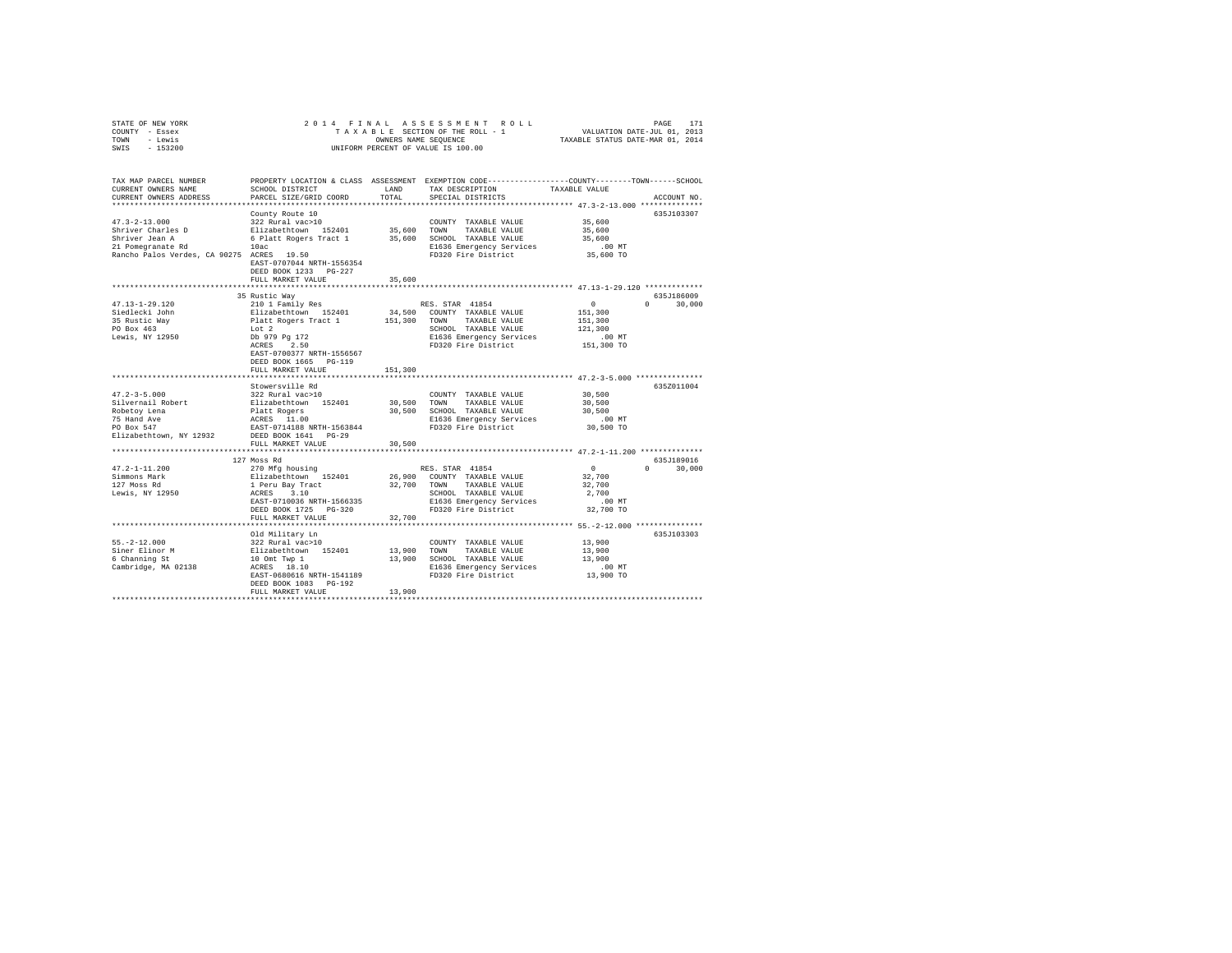| STATE OF NEW YORK                         | 2014 FINAL                                                                           |              |                                                                                                 |               |               |  |
|-------------------------------------------|--------------------------------------------------------------------------------------|--------------|-------------------------------------------------------------------------------------------------|---------------|---------------|--|
| COUNTY - Essex                            |                                                                                      |              |                                                                                                 |               |               |  |
| TOWN<br>- Lewis                           |                                                                                      |              |                                                                                                 |               |               |  |
| $-153200$<br>SWIS                         |                                                                                      |              | UNIFORM PERCENT OF VALUE IS 100.00                                                              |               |               |  |
|                                           |                                                                                      |              |                                                                                                 |               |               |  |
|                                           |                                                                                      |              |                                                                                                 |               |               |  |
|                                           |                                                                                      |              |                                                                                                 |               |               |  |
| TAX MAP PARCEL NUMBER                     |                                                                                      |              | PROPERTY LOCATION & CLASS ASSESSMENT EXEMPTION CODE---------------COUNTY-------TOWN------SCHOOL |               |               |  |
| CURRENT OWNERS NAME                       | SCHOOL DISTRICT                                                                      | LAND         | TAX DESCRIPTION                                                                                 | TAXABLE VALUE |               |  |
| CURRENT OWNERS ADDRESS                    | PARCEL SIZE/GRID COORD                                                               | TOTAL        | SPECIAL DISTRICTS                                                                               |               | ACCOUNT NO.   |  |
|                                           |                                                                                      |              |                                                                                                 |               |               |  |
|                                           | County Route 10                                                                      |              |                                                                                                 |               | 635J103307    |  |
| $47.3 - 2 - 13.000$                       | 322 Rural vac>10                                                                     |              | COUNTY TAXABLE VALUE                                                                            | 35,600        |               |  |
| Shriver Charles D                         | Elizabethtown 152401                                                                 | 35,600 TOWN  | TAXABLE VALUE                                                                                   | 35,600        |               |  |
| Shriver Jean A                            | 6 Platt Rogers Tract 1 35,600 SCHOOL TAXABLE VALUE                                   |              |                                                                                                 | 35,600        |               |  |
| 21 Pomegranate Rd                         | 10ac                                                                                 |              | E1636 Emergency Services                                                                        | $.00$ MT      |               |  |
| Rancho Palos Verdes, CA 90275 ACRES 19.50 |                                                                                      |              | FD320 Fire District                                                                             | 35,600 TO     |               |  |
|                                           | EAST-0707044 NRTH-1556354                                                            |              |                                                                                                 |               |               |  |
|                                           | DEED BOOK 1233 PG-227                                                                |              |                                                                                                 |               |               |  |
|                                           | FULL MARKET VALUE                                                                    | 35,600       |                                                                                                 |               |               |  |
|                                           |                                                                                      |              |                                                                                                 |               |               |  |
|                                           | 35 Rustic Way                                                                        |              |                                                                                                 |               | 635J186009    |  |
| $47.13 - 1 - 29.120$                      | 210 1 Family Res                                                                     |              | RES. STAR 41854                                                                                 | $\sim$ 0      | $0 \t 30.000$ |  |
| Siedlecki John                            |                                                                                      |              | 34,500 COUNTY TAXABLE VALUE                                                                     | 151,300       |               |  |
| 35 Rustic Wav                             |                                                                                      | 151,300 TOWN | TAXABLE VALUE                                                                                   | 151,300       |               |  |
| PO Box 463                                |                                                                                      |              | SCHOOL TAXABLE VALUE                                                                            | 121,300       |               |  |
| Lewis, NY 12950                           | Elizabethtown 152401<br>Platt Rogers Tract 1<br>Lot 2<br>Db 979 Pg 172<br>ACRES 2.50 |              | E1636 Emergency Services                                                                        | $.00$ MT      |               |  |
|                                           |                                                                                      |              | FD320 Fire District                                                                             | 151,300 TO    |               |  |
|                                           | EAST-0700377 NRTH-1556567                                                            |              |                                                                                                 |               |               |  |
|                                           | DEED BOOK 1665 PG-119                                                                |              |                                                                                                 |               |               |  |
|                                           | FULL MARKET VALUE                                                                    | 151,300      |                                                                                                 |               |               |  |
|                                           |                                                                                      |              |                                                                                                 |               |               |  |
|                                           | Stowersville Rd                                                                      |              |                                                                                                 |               | 635Z011004    |  |
| $47.2 - 3 - 5.000$                        | 322 Rural vac>10                                                                     |              |                                                                                                 |               |               |  |
|                                           |                                                                                      |              | COUNTY TAXABLE VALUE                                                                            | 30,500        |               |  |
| Silvernail Robert                         | Elizabethtown 152401<br>Platt Rogers<br>ACRES 11.00<br>EAST-0714188 NRTH-1563844     | 30,500 TOWN  | TAXABLE VALUE                                                                                   | 30,500        |               |  |
| Robetoy Lena                              |                                                                                      |              | 30,500 SCHOOL TAXABLE VALUE                                                                     | 30,500        |               |  |
| 75 Hand Ave                               |                                                                                      |              | E1636 Emergency Services                                                                        | .00MT         |               |  |
| PO Box 547                                |                                                                                      |              | FD320 Fire District                                                                             | 30,500 TO     |               |  |
| Elizabethtown, NY 12932                   | DEED BOOK 1641 PG-29                                                                 |              |                                                                                                 |               |               |  |
|                                           | FULL MARKET VALUE                                                                    | 30,500       |                                                                                                 |               |               |  |
|                                           |                                                                                      |              |                                                                                                 |               |               |  |
|                                           | 127 Moss Rd                                                                          |              |                                                                                                 |               | 635J189016    |  |
| $47.2 - 1 - 11.200$                       | 270 Mfg housing                                                                      |              | RES. STAR 41854                                                                                 | $\sim$ 0      | $0 \t 30.000$ |  |
| Simmons Mark<br>127 Moss Rd               |                                                                                      |              | 26,900 COUNTY TAXABLE VALUE                                                                     | 32,700        |               |  |
|                                           | Elizabethtown 152401<br>1 Peru Bay Tract<br>ACRES 3.10                               |              | 32,700 TOWN TAXABLE VALUE                                                                       | 32,700        |               |  |
| Lewis, NY 12950                           |                                                                                      |              | SCHOOL TAXABLE VALUE                                                                            | 2,700         |               |  |
|                                           | EAST-0710036 NRTH-1566335                                                            |              | E1636 Emergency Services                                                                        | $.00$ MT      |               |  |
|                                           | DEED BOOK 1725 PG-320                                                                |              | FD320 Fire District                                                                             | 32,700 TO     |               |  |
|                                           | FULL MARKET VALUE                                                                    | 32,700       |                                                                                                 |               |               |  |
|                                           |                                                                                      |              |                                                                                                 |               |               |  |
|                                           | Old Military Ln                                                                      |              |                                                                                                 |               | 635J103303    |  |
| $55. -2 - 12.000$                         | 322 Rural vac>10                                                                     |              | COUNTY TAXABLE VALUE                                                                            | 13,900        |               |  |
|                                           |                                                                                      | 13,900 TOWN  | TAXABLE VALUE                                                                                   | 13,900        |               |  |
| Siner Elinor M<br>6 Channing St           | Elizabethtown 152401<br>10 Omt Twp 1                                                 |              | 13,900 SCHOOL TAXABLE VALUE                                                                     | 13,900        |               |  |
| Cambridge, MA 02138                       | ACRES 18.10                                                                          |              | E1636 Emergency Services                                                                        | .00 MT        |               |  |
|                                           | EAST-0680616 NRTH-1541189                                                            |              | FD320 Fire District                                                                             | 13,900 TO     |               |  |
|                                           | DEED BOOK 1083 PG-192                                                                |              |                                                                                                 |               |               |  |
|                                           | FULL MARKET VALUE                                                                    | 13,900       |                                                                                                 |               |               |  |
|                                           |                                                                                      |              |                                                                                                 |               |               |  |
|                                           |                                                                                      |              |                                                                                                 |               |               |  |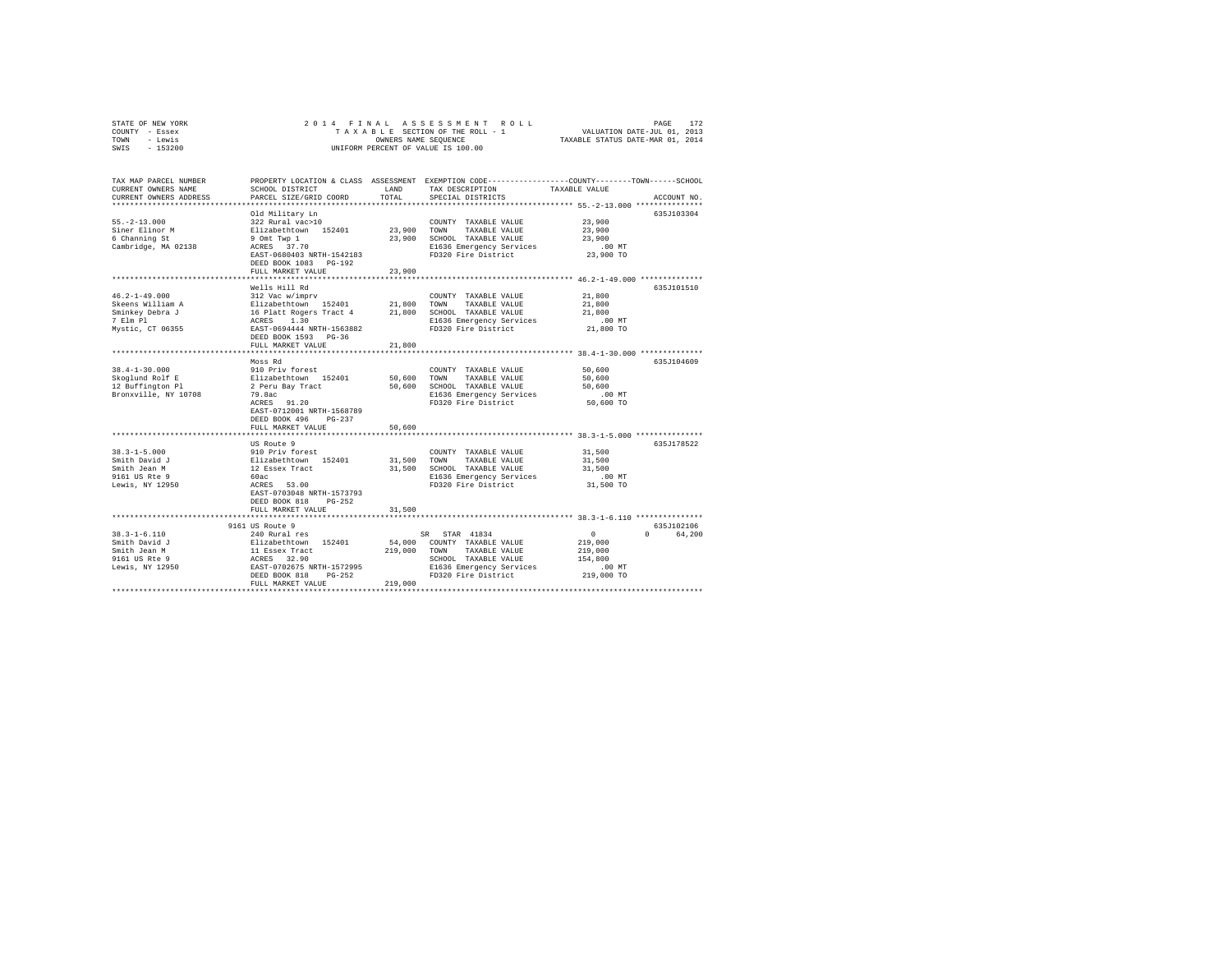| STATE OF NEW YORK<br>COUNTY - Essex<br>TOWN - Lewis<br>SWIS - 153200                                    | 2014 FINAL                                                                                                                                                                                              |                         | PAGE 172 PAGE 172<br>TAXABLE SECTION OF THE ROLL - 1<br>ONNERS NAME SEQUENCE 1 TAXABLE STATUS DATE-JUL 1, 2013<br>DAYABLE STATUS DATE-MAR 01, 2014<br>UNIFORM PERCENT OF VALUE IS 100.00 |                                                                     |                        |
|---------------------------------------------------------------------------------------------------------|---------------------------------------------------------------------------------------------------------------------------------------------------------------------------------------------------------|-------------------------|------------------------------------------------------------------------------------------------------------------------------------------------------------------------------------------|---------------------------------------------------------------------|------------------------|
| TAX MAP PARCEL NUMBER<br>CURRENT OWNERS NAME<br>CURRENT OWNERS ADDRESS<br>*************************     | SCHOOL DISTRICT<br>PARCEL SIZE/GRID COORD                                                                                                                                                               | LAND<br>TOTAL           | PROPERTY LOCATION & CLASS ASSESSMENT EXEMPTION CODE---------------COUNTY-------TOWN------SCHOOL<br>TAX DESCRIPTION<br>SPECIAL DISTRICTS                                                  | TAXABLE VALUE                                                       | ACCOUNT NO.            |
| $55. -2 - 13.000$<br>Siner Elinor M<br>6 Channing St<br>Cambridge, MA 02138                             | Old Military Ln<br>322 Rural vac>10<br>Elizabethtown 152401<br>9 Omt Twp 1<br>ACRES 37.70<br>EAST-0680403 NRTH-1542183<br>DEED BOOK 1083 PG-192<br>FULL MARKET VALUE                                    | 23,900<br>23,900        | COUNTY TAXABLE VALUE<br>TOWN<br>TAXABLE VALUE<br>23,900 SCHOOL TAXABLE VALUE<br>E1636 Emergency Services<br>FD320 Fire District                                                          | 23,900<br>23,900<br>23,900<br>$.00$ MT<br>23,900 TO                 | 635J103304             |
|                                                                                                         |                                                                                                                                                                                                         |                         |                                                                                                                                                                                          |                                                                     |                        |
| $46.2 - 1 - 49.000$                                                                                     | Wells Hill Rd<br>312 Vac w/imprv<br>DEED BOOK 1593 PG-36                                                                                                                                                |                         | COUNTY TAXABLE VALUE<br>FD320 Fire District                                                                                                                                              | 21,800<br>21,800<br>21,800<br>$.00$ MT<br>21,800 TO                 | 635J101510             |
|                                                                                                         | FULL MARKET VALUE                                                                                                                                                                                       | 21,800                  |                                                                                                                                                                                          |                                                                     |                        |
|                                                                                                         |                                                                                                                                                                                                         |                         |                                                                                                                                                                                          | ************************ 38.4-1-30.000 **************               |                        |
| $38.4 - 1 - 30.000$<br>Skoglund Rolf E<br>12 Buffington Pl<br>Bronxville, NY 10708                      | Moss Rd<br>910 Priv forest<br>Elizabethtown 152401<br>2 Peru Bay Tract<br>79.8ac<br>ACRES 91.20<br>EAST-0712001 NRTH-1568789<br>DEED BOOK 496 PG-237                                                    | 50,600 TOWN             | COUNTY TAXABLE VALUE<br>TAXABLE VALUE<br>50,600 SCHOOL TAXABLE VALUE<br>E1636 Emergency Services<br>FD320 Fire District                                                                  | 50,600<br>50,600<br>50,600<br>$.00$ MT<br>50,600 TO                 | 635J104609             |
|                                                                                                         | FULL MARKET VALUE                                                                                                                                                                                       | 50,600                  |                                                                                                                                                                                          |                                                                     |                        |
| $38.3 - 1 - 5.000$<br>Smith David J<br>Smith Jean M<br>9161 US Rte 9<br>Lewis, NY 12950                 | US Route 9<br>910 Priv forest<br>Elizabethtown 152401<br>12 Essex Tract<br>60ac<br>ACRES 53.00<br>EAST-0703048 NRTH-1573793<br>DEED BOOK 818 PG-252                                                     | 31,500 TOWN             | ***************************** 38.3-1-5.000 ***************<br>COUNTY TAXABLE VALUE<br>TAXABLE VALUE<br>31,500 SCHOOL TAXABLE VALUE<br>E1636 Emergency Services<br>FD320 Fire District    | 31,500<br>31,500<br>31,500<br>$.00$ MT<br>31,500 TO                 | 635J178522             |
|                                                                                                         | FULL MARKET VALUE                                                                                                                                                                                       | 31,500                  |                                                                                                                                                                                          |                                                                     |                        |
|                                                                                                         |                                                                                                                                                                                                         |                         |                                                                                                                                                                                          |                                                                     |                        |
| $38.3 - 1 - 6.110$<br>Smith David J<br>Smith Jean M<br>9161 US Rte 9<br>101 US RLE 9<br>Lewis, NY 12950 | 9161 US Route 9<br>240 Rural res<br>240 kura 1 = 10<br>Elizabeth town 152401 54,000<br>11 Essex Tract 219,000<br>ACRES 32.90<br>EAST-0702675 RRTH-1572995<br>The Theory 218 PG-252<br>FULL MARKET VALUE | 219,000 TOWN<br>219,000 | SR STAR 41834<br>54,000 COUNTY TAXABLE VALUE<br>TAXABLE VALUE<br>SCHOOL TAXABLE VALUE<br>E1636 Emergency Services<br>FD320 Fire District                                                 | $\sim$ 0<br>219,000<br>219,000<br>154,800<br>$.00$ MT<br>219,000 TO | 635J102106<br>0 64,200 |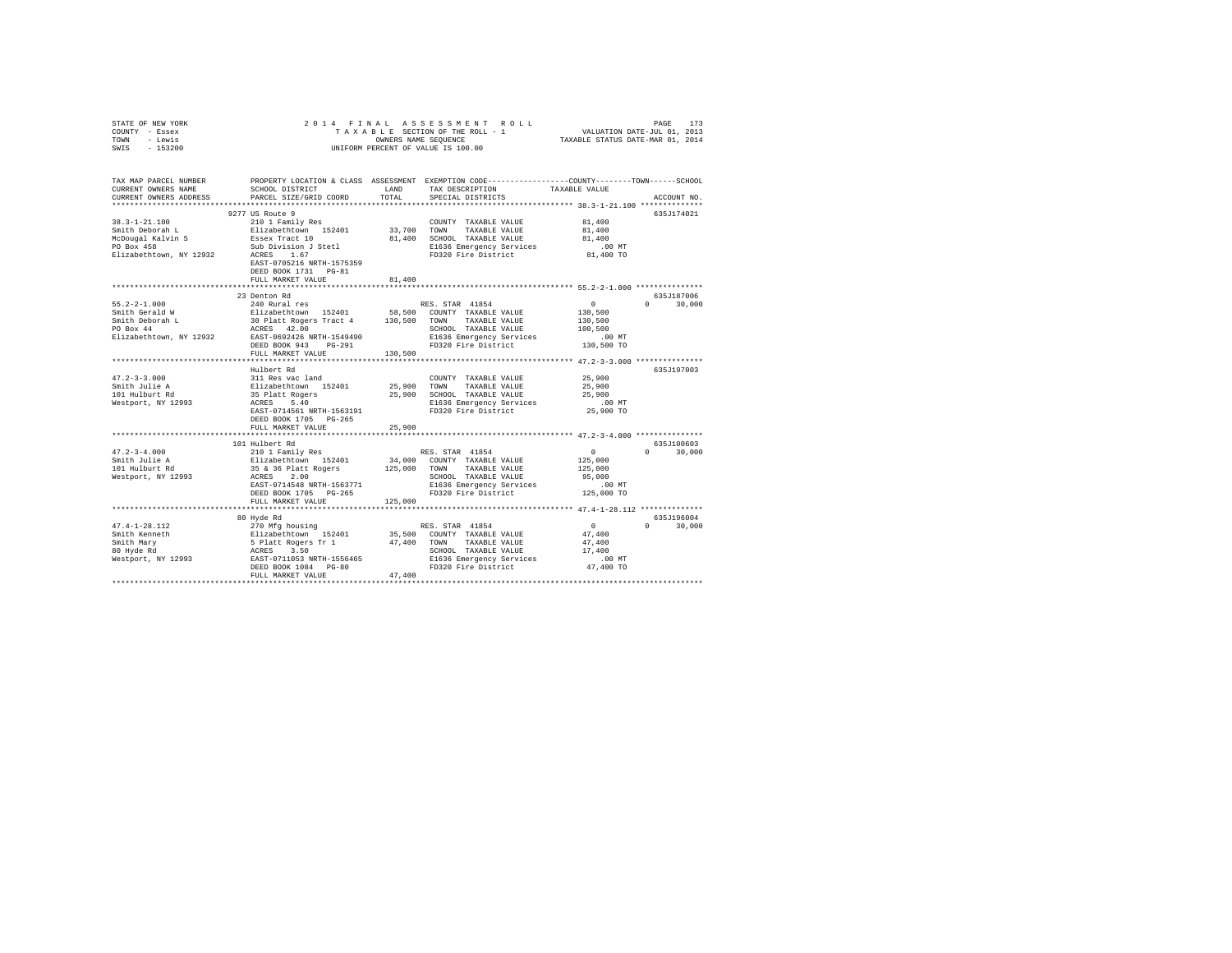| STATE OF NEW YORK                                                                                                                                                  | 2014 FINAL                                                                                                                                                                                                                     |              |                                                                                                  |               |               |
|--------------------------------------------------------------------------------------------------------------------------------------------------------------------|--------------------------------------------------------------------------------------------------------------------------------------------------------------------------------------------------------------------------------|--------------|--------------------------------------------------------------------------------------------------|---------------|---------------|
| COUNTY - Essex                                                                                                                                                     | PAGE 173 PAGE 173 PAGE 173 PAGE 173 PAGE 173 PAGE 173 PAGE 173 PAGE 173 PAGE 173 PAGE 173 PAGE 173 PAGE 173 PAGE 174 PAGE 174 PAGE 174 PAGE 174 PAGE 174 PAGE 174 PAGE 174 PAGE 174 PAGE 174 PAGE 174 PAGE 174 PAGE 174 PAGE 1 |              |                                                                                                  |               |               |
| TOWN - Lewis                                                                                                                                                       | OWNERS NAME SEQUENCE<br>UNIFORM PERCENT OF VALUE IS 100.00                                                                                                                                                                     |              |                                                                                                  |               |               |
| SWIS - 153200                                                                                                                                                      |                                                                                                                                                                                                                                |              |                                                                                                  |               |               |
|                                                                                                                                                                    |                                                                                                                                                                                                                                |              |                                                                                                  |               |               |
|                                                                                                                                                                    |                                                                                                                                                                                                                                |              |                                                                                                  |               |               |
|                                                                                                                                                                    |                                                                                                                                                                                                                                |              |                                                                                                  |               |               |
| TAX MAP PARCEL NUMBER                                                                                                                                              |                                                                                                                                                                                                                                |              | PROPERTY LOCATION & CLASS ASSESSMENT EXEMPTION CODE----------------COUNTY--------TOWN-----SCHOOL |               |               |
| CURRENT OWNERS NAME                                                                                                                                                | SCHOOL DISTRICT                                                                                                                                                                                                                | LAND         | TAX DESCRIPTION                                                                                  | TAXABLE VALUE |               |
| CURRENT OWNERS ADDRESS                                                                                                                                             | PARCEL SIZE/GRID COORD                                                                                                                                                                                                         | TOTAL        | SPECIAL DISTRICTS                                                                                |               | ACCOUNT NO.   |
|                                                                                                                                                                    |                                                                                                                                                                                                                                |              |                                                                                                  |               |               |
|                                                                                                                                                                    | 9277 US Route 9                                                                                                                                                                                                                |              |                                                                                                  |               | 635J174021    |
| $38.3 - 1 - 21.100$                                                                                                                                                | 210 1 Family Res                                                                                                                                                                                                               |              | COUNTY TAXABLE VALUE                                                                             | 81,400        |               |
| Smith Deborah L                                                                                                                                                    | Elizabethtown 152401                                                                                                                                                                                                           | 33,700 TOWN  | TAXABLE VALUE                                                                                    | 81,400        |               |
|                                                                                                                                                                    | Essex Tract 10                                                                                                                                                                                                                 |              | 81,400 SCHOOL TAXABLE VALUE                                                                      | 81,400        |               |
| McDougal Kalvin S<br>PO Box 458                                                                                                                                    |                                                                                                                                                                                                                                |              | E1636 Emergency Services                                                                         | $.00$ MT      |               |
| Elizabethtown, NY 12932                                                                                                                                            | Sub Division J Stetl<br>ACRES 1.67                                                                                                                                                                                             |              | FD320 Fire District                                                                              | 81,400 TO     |               |
|                                                                                                                                                                    | EAST-0705216 NRTH-1575359                                                                                                                                                                                                      |              |                                                                                                  |               |               |
|                                                                                                                                                                    | DEED BOOK 1731    PG-81                                                                                                                                                                                                        |              |                                                                                                  |               |               |
|                                                                                                                                                                    |                                                                                                                                                                                                                                |              |                                                                                                  |               |               |
|                                                                                                                                                                    | FULL MARKET VALUE                                                                                                                                                                                                              | 81,400       |                                                                                                  |               |               |
|                                                                                                                                                                    |                                                                                                                                                                                                                                |              |                                                                                                  |               |               |
|                                                                                                                                                                    | 23 Denton Rd                                                                                                                                                                                                                   |              |                                                                                                  |               | 635J187006    |
| $55.2 - 2 - 1.000$                                                                                                                                                 | 240 Rural res                                                                                                                                                                                                                  |              | RES. STAR 41854                                                                                  | $\mathbf{0}$  | $0 \t 30.000$ |
| Smith Gerald W                                                                                                                                                     | Elizabethtown 152401                                                                                                                                                                                                           |              | 58,500 COUNTY TAXABLE VALUE                                                                      | 130,500       |               |
| Smith Deborah L<br>PO Box 44                                                                                                                                       | 30 Platt Rogers Tract 4 130,500 TOWN                                                                                                                                                                                           |              | TAXABLE VALUE                                                                                    | 130,500       |               |
|                                                                                                                                                                    | ACRES 42.00<br>EAST-0692426 NRTH-1549490                                                                                                                                                                                       |              | SCHOOL TAXABLE VALUE                                                                             | 100,500       |               |
| Elizabethtown, NY 12932                                                                                                                                            |                                                                                                                                                                                                                                |              | E1636 Emergency Services                                                                         | $.00$ MT      |               |
|                                                                                                                                                                    | DEED BOOK 943 PG-291                                                                                                                                                                                                           |              | FD320 Fire District                                                                              | 130,500 TO    |               |
|                                                                                                                                                                    | FULL MARKET VALUE                                                                                                                                                                                                              | 130,500      |                                                                                                  |               |               |
|                                                                                                                                                                    |                                                                                                                                                                                                                                |              |                                                                                                  |               |               |
|                                                                                                                                                                    | Hulbert Rd                                                                                                                                                                                                                     |              |                                                                                                  |               | 635J197003    |
|                                                                                                                                                                    | 311 Res vac land                                                                                                                                                                                                               |              | COUNTY TAXABLE VALUE                                                                             | 25,900        |               |
|                                                                                                                                                                    |                                                                                                                                                                                                                                | 25,900       | TOWN TAXABLE VALUE                                                                               | 25,900        |               |
| 47.2-3-3.000<br>Smith Julie A<br>101 Hulburt Rd                                                                                                                    | Elizabethtown 152401<br>Blizabethtown 152401<br>35 Platt Rogers                                                                                                                                                                |              |                                                                                                  |               |               |
|                                                                                                                                                                    |                                                                                                                                                                                                                                | 25,900       | SCHOOL TAXABLE VALUE                                                                             | 25,900        |               |
| Westport, NY 12993                                                                                                                                                 | ACRES 5.40                                                                                                                                                                                                                     |              | E1636 Emergency Services                                                                         | $.00$ MT      |               |
|                                                                                                                                                                    | EAST-0714561 NRTH-1563191                                                                                                                                                                                                      |              | FD320 Fire District                                                                              | 25,900 TO     |               |
|                                                                                                                                                                    | DEED BOOK 1705 PG-265                                                                                                                                                                                                          |              |                                                                                                  |               |               |
|                                                                                                                                                                    | FULL MARKET VALUE                                                                                                                                                                                                              | 25,900       |                                                                                                  |               |               |
|                                                                                                                                                                    |                                                                                                                                                                                                                                |              |                                                                                                  |               |               |
|                                                                                                                                                                    | 101 Hulbert Rd                                                                                                                                                                                                                 |              |                                                                                                  |               | 635J100603    |
|                                                                                                                                                                    | 210 1 Family Res                                                                                                                                                                                                               |              | RES. STAR 41854                                                                                  | $\mathbf{0}$  | $0 \t 30,000$ |
|                                                                                                                                                                    | Elizabethtown 152401                                                                                                                                                                                                           |              | 34,000 COUNTY TAXABLE VALUE                                                                      | 125,000       |               |
| 47.2-3-4.000<br>Smith Julie A<br>101 Hulburt Rd                                                                                                                    | 35 & 36 Platt Rogers                                                                                                                                                                                                           | 125,000 TOWN | TAXABLE VALUE                                                                                    | 125,000       |               |
| Westport, NY 12993                                                                                                                                                 | ACRES 2.00                                                                                                                                                                                                                     |              | SCHOOL TAXABLE VALUE                                                                             | 95,000        |               |
|                                                                                                                                                                    | EAST-0714548 NRTH-1563771                                                                                                                                                                                                      |              | E1636 Emergency Services                                                                         | .00MT         |               |
|                                                                                                                                                                    | DEED BOOK 1705 PG-265                                                                                                                                                                                                          |              | FD320 Fire District                                                                              | 125,000 TO    |               |
|                                                                                                                                                                    | FULL MARKET VALUE                                                                                                                                                                                                              | 125,000      |                                                                                                  |               |               |
|                                                                                                                                                                    |                                                                                                                                                                                                                                |              |                                                                                                  |               |               |
|                                                                                                                                                                    |                                                                                                                                                                                                                                |              |                                                                                                  |               | 635J196004    |
|                                                                                                                                                                    | 80 Hyde Rd                                                                                                                                                                                                                     |              |                                                                                                  |               |               |
| $47.4 - 1 - 28.112$                                                                                                                                                | 270 Mfg housing                                                                                                                                                                                                                |              | RES. STAR 41854                                                                                  | $\sim$ 0      | $0 \t 30,000$ |
| Smith Kenneth                                                                                                                                                      | Elizabethrown 152401 35,500 COUNTY TAXABLE VALUE 5 Platt Rogers Tr 1 47,400 TOUNTY TAXABLE VALUE 6 ACCESS 3.50                                                                                                                 |              |                                                                                                  | 47,400        |               |
|                                                                                                                                                                    |                                                                                                                                                                                                                                |              |                                                                                                  | 47.400        |               |
|                                                                                                                                                                    |                                                                                                                                                                                                                                |              | SCHOOL TAXABLE VALUE                                                                             | 17,400        |               |
| Smith Mary 5 Platt Rogers Tr 1 47,490<br>80 Hyde Rd 200 ACRES 3.50<br>Nestport, NY 12993 EAST-0711053 NRTH-1556465<br>Nestport, NY 12993 EAST-0711053 NRTH-1556465 |                                                                                                                                                                                                                                |              | E1636 Emergency Services                                                                         | $.00$ MT      |               |
|                                                                                                                                                                    | DEED BOOK 1084 PG-80                                                                                                                                                                                                           |              | FD320 Fire District                                                                              | 47,400 TO     |               |
|                                                                                                                                                                    | FULL MARKET VALUE                                                                                                                                                                                                              | 47,400       |                                                                                                  |               |               |
|                                                                                                                                                                    |                                                                                                                                                                                                                                |              |                                                                                                  |               |               |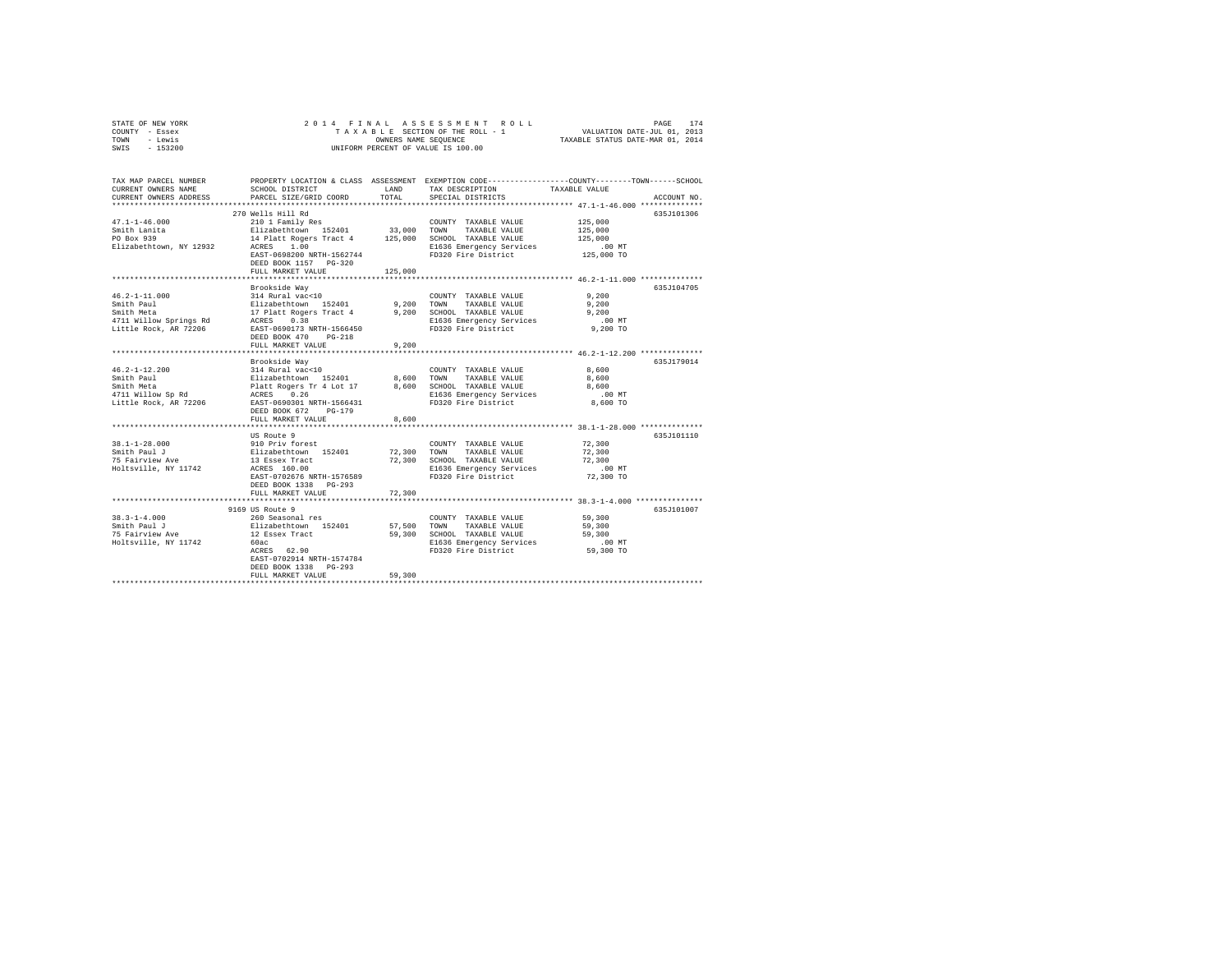| STATE OF NEW YORK | 2014 FINAL ASSESSMENT ROLL         | 174<br>PAGE                      |
|-------------------|------------------------------------|----------------------------------|
| COUNTY - Essex    | TAXABLE SECTION OF THE ROLL - 1    | VALUATION DATE-JUL 01, 2013      |
| TOWN<br>- Lewis   | OWNERS NAME SEOUENCE               | TAXABLE STATUS DATE-MAR 01, 2014 |
| $-153200$<br>SWIS | UNIFORM PERCENT OF VALUE IS 100.00 |                                  |

| TAX MAP PARCEL NUMBER<br>CURRENT OWNERS NAME<br>CURRENT OWNERS ADDRESS | SCHOOL DISTRICT<br>PARCEL SIZE/GRID COORD                                                                                                       | LAND<br>TOTAL. | PROPERTY LOCATION & CLASS ASSESSMENT EXEMPTION CODE----------------COUNTY-------TOWN-----SCHOOL<br>TAX DESCRIPTION<br>SPECIAL DISTRICTS | TAXABLE VALUE                             | ACCOUNT NO. |
|------------------------------------------------------------------------|-------------------------------------------------------------------------------------------------------------------------------------------------|----------------|-----------------------------------------------------------------------------------------------------------------------------------------|-------------------------------------------|-------------|
|                                                                        |                                                                                                                                                 |                |                                                                                                                                         |                                           |             |
| $47.1 - 1 - 46.000$<br>Smith Lanita                                    | 270 Wells Hill Rd<br>210 1 Family Res<br>Elizabethtown 152401 33,000 TOWN TAXABLE VALUE<br>14 Platt Rogers Tract 4 125,000 SCHOOL TAXABLE VALUE |                | COUNTY TAXABLE VALUE                                                                                                                    | 125,000<br>125,000                        | 635J101306  |
| PO Box 939<br>Elizabethtown, NY 12932 ACRES 1.00                       | EAST-0698200 NRTH-1562744<br>DEED BOOK 1157 PG-320                                                                                              |                | 125,000 SCHOOL TAXABLE VALUE<br>E1636 Emergency Services<br>FD320 Fire District                                                         | 125,000<br>.00 MT<br>00 MT.<br>125,000 TO |             |
|                                                                        | FULL MARKET VALUE                                                                                                                               | 125,000        |                                                                                                                                         |                                           |             |
|                                                                        | Brookside Wav                                                                                                                                   |                |                                                                                                                                         |                                           | 635J104705  |
| $46.2 - 1 - 11.000$                                                    |                                                                                                                                                 |                |                                                                                                                                         | 9.200                                     |             |
| Smith Paul                                                             |                                                                                                                                                 |                |                                                                                                                                         | 9,200                                     |             |
| Smith Meta                                                             |                                                                                                                                                 |                |                                                                                                                                         | 9.200                                     |             |
| 4711 Willow Springs Rd                                                 |                                                                                                                                                 |                |                                                                                                                                         | $.00$ MT                                  |             |
| Little Rock, AR 72206                                                  | EAST-0690173 NRTH-1566450<br>DEED BOOK 470<br>$PG-218$<br>FULL MARKET VALUE                                                                     | 9.200          | FD320 Fire District                                                                                                                     | 9,200 TO                                  |             |
|                                                                        |                                                                                                                                                 |                | ********************************* 46.2-1-12.200 ***************                                                                         |                                           |             |
|                                                                        | Brookside Way                                                                                                                                   |                |                                                                                                                                         |                                           | 635J179014  |
| $46.2 - 1 - 12.200$<br>Smith Paul                                      |                                                                                                                                                 | 8,600 TOWN     | COUNTY TAXABLE VALUE<br>TAXABLE VALUE                                                                                                   | 8,600<br>8,600                            |             |
| Smith Meta                                                             | 314 Rural vac<10<br>Elizabethtown 152401<br>Platt Rogers Tr 4 Lot 17<br>ACRES 0.26                                                              |                | 8,600 SCHOOL TAXABLE VALUE                                                                                                              | 8,600                                     |             |
| 4711 Willow Sp Rd                                                      |                                                                                                                                                 |                |                                                                                                                                         | .00MT                                     |             |
| Little Rock, AR 72206                                                  | EAST-0690301 NRTH-1566431<br>DEED BOOK 672 PG-179                                                                                               |                | E1636 Emergency Services<br>FD320 Fire District                                                                                         | 8,600 TO                                  |             |
|                                                                        | FULL MARKET VALUE                                                                                                                               | 8,600          |                                                                                                                                         |                                           |             |
|                                                                        |                                                                                                                                                 |                |                                                                                                                                         |                                           |             |
|                                                                        | US Route 9                                                                                                                                      |                |                                                                                                                                         |                                           | 635J101110  |
| $38.1 - 1 - 28.000$                                                    | 910 Priv forest<br>Elizabethtown 152401<br>13 Essex Tract                                                                                       |                | COUNTY TAXABLE VALUE                                                                                                                    | 72,300                                    |             |
| Smith Paul J                                                           |                                                                                                                                                 |                | 72,300 TOWN TAXABLE VALUE                                                                                                               | 72,300                                    |             |
| 75 Fairview Ave                                                        |                                                                                                                                                 |                | 72,300 SCHOOL TAXABLE VALUE                                                                                                             | 72,300                                    |             |
| Holtsville, NY 11742                                                   | ACRES 160.00                                                                                                                                    |                | E1636 Emergency Services                                                                                                                | $.00$ MT                                  |             |
|                                                                        | EAST-0702676 NRTH-1576589<br>DEED BOOK 1338 PG-293                                                                                              |                | FD320 Fire District                                                                                                                     | 72,300 TO                                 |             |
|                                                                        | FULL MARKET VALUE                                                                                                                               | 72,300         |                                                                                                                                         |                                           |             |
|                                                                        |                                                                                                                                                 |                |                                                                                                                                         | ************* 38.3-1-4.000 ************   |             |
|                                                                        | 9169 US Route 9                                                                                                                                 |                |                                                                                                                                         |                                           | 635J101007  |
| $38.3 - 1 - 4.000$                                                     | 260 Seasonal res<br>Elizabethtown 152401<br>12 Essex Tract                                                                                      |                | COUNTY TAXABLE VALUE                                                                                                                    | 59,300                                    |             |
| Smith Paul J                                                           |                                                                                                                                                 | 57,500 TOWN    | TAXABLE VALUE                                                                                                                           | 59,300                                    |             |
| 75 Fairview Ave                                                        |                                                                                                                                                 |                | 59,300 SCHOOL TAXABLE VALUE                                                                                                             | 59,300                                    |             |
| Holtsville, NY 11742                                                   | 60ac                                                                                                                                            |                | E1636 Emergency Services                                                                                                                | .00 MT                                    |             |
|                                                                        | ACRES 62.90<br>EAST-0702914 NRTH-1574784<br>DEED BOOK 1338 PG-293                                                                               |                | FD320 Fire District                                                                                                                     | 59,300 TO                                 |             |
|                                                                        | FULL MARKET VALUE                                                                                                                               | 59,300         |                                                                                                                                         |                                           |             |
|                                                                        |                                                                                                                                                 |                |                                                                                                                                         |                                           |             |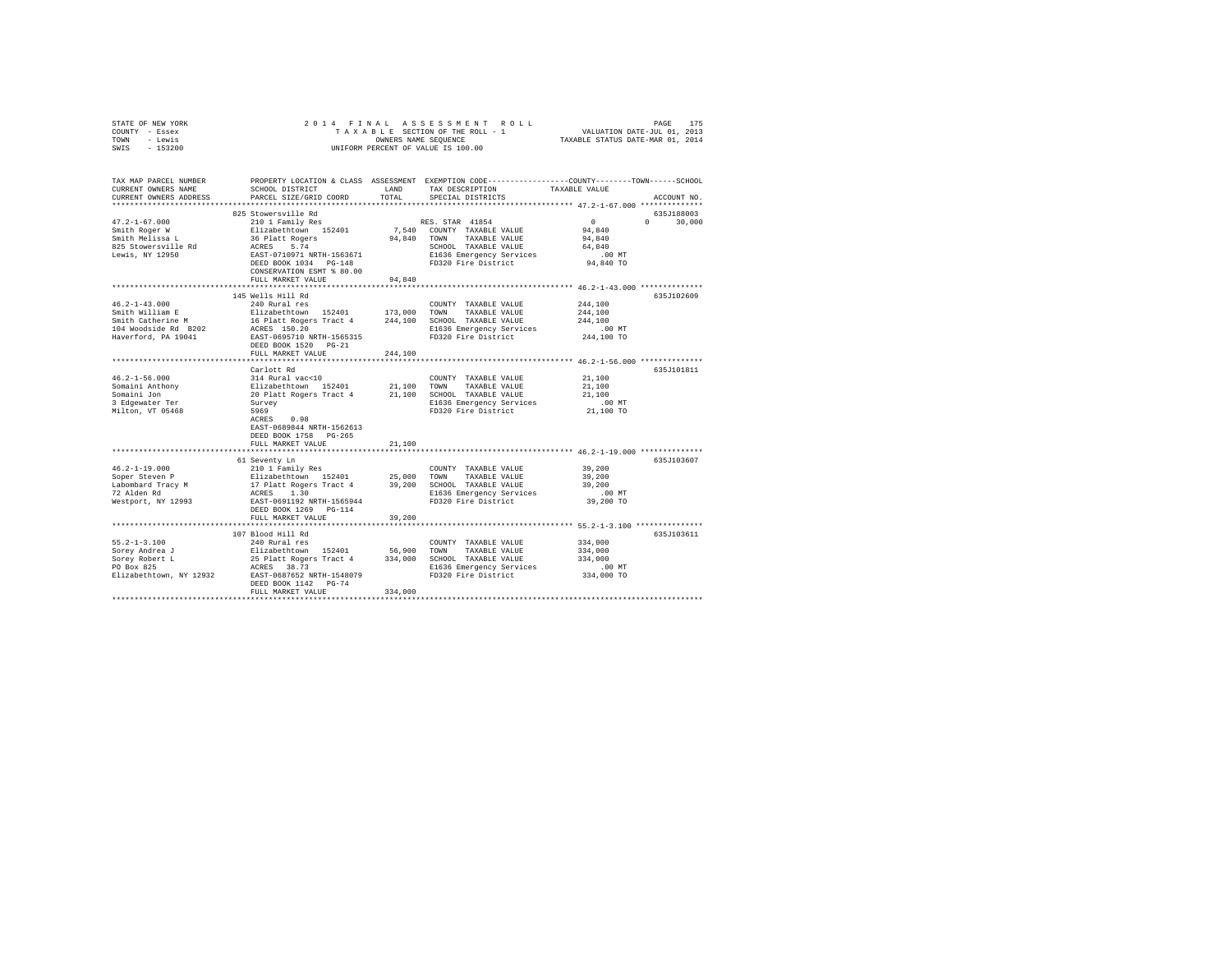| STATE OF NEW YORK<br>COUNTY - Essex<br>TOWN - Lewis<br>SWIS - 153200                                                                                                                                                                        |                                                                                    |         | OWNERS NAME SEQUENCE<br>UNIFORM PERCENT OF VALUE IS 100.00                                                                                                                                                                                                                                       |                      |               |
|---------------------------------------------------------------------------------------------------------------------------------------------------------------------------------------------------------------------------------------------|------------------------------------------------------------------------------------|---------|--------------------------------------------------------------------------------------------------------------------------------------------------------------------------------------------------------------------------------------------------------------------------------------------------|----------------------|---------------|
| TAX MAP PARCEL NUMBER                                                                                                                                                                                                                       |                                                                                    |         | PROPERTY LOCATION & CLASS ASSESSMENT EXEMPTION CODE---------------COUNTY-------TOWN-----SCHOOL                                                                                                                                                                                                   |                      |               |
| CURRENT OWNERS NAME                                                                                                                                                                                                                         | SCHOOL DISTRICT                                                                    | LAND    | TAX DESCRIPTION                                                                                                                                                                                                                                                                                  | TAXABLE VALUE        |               |
| CURRENT OWNERS ADDRESS                                                                                                                                                                                                                      | PARCEL SIZE/GRID COORD                                                             | TOTAL   | SPECIAL DISTRICTS                                                                                                                                                                                                                                                                                |                      | ACCOUNT NO.   |
|                                                                                                                                                                                                                                             | 825 Stowersville Rd                                                                |         |                                                                                                                                                                                                                                                                                                  |                      | 635J188003    |
| $47.2 - 1 - 67.000$                                                                                                                                                                                                                         | 210 1 Family Res                                                                   |         | RES. STAR 41854                                                                                                                                                                                                                                                                                  | $\mathbf{0}$         | $0 \t 30,000$ |
| Smith Roger W                                                                                                                                                                                                                               |                                                                                    |         | 7,540 COUNTY TAXABLE VALUE                                                                                                                                                                                                                                                                       | 94,840               |               |
|                                                                                                                                                                                                                                             |                                                                                    |         | 94,840 TOWN TAXABLE VALUE                                                                                                                                                                                                                                                                        | 94,840               |               |
| Smith Royer w<br>Smith Melissa L<br>825 Stowersville Rd                                                                                                                                                                                     |                                                                                    |         | SCHOOL TAXABLE VALUE                                                                                                                                                                                                                                                                             | 64,840               |               |
| Lewis, NY 12950                                                                                                                                                                                                                             | Elizabethtown 152401<br>36 Platt Rogers<br>ACRES 5.74<br>EAST-0710971 NRTH-1563671 |         | E1636 Emergency Services                                                                                                                                                                                                                                                                         | $.00$ MT             |               |
|                                                                                                                                                                                                                                             | DEED BOOK 1034 PG-148                                                              |         | FD320 Fire District                                                                                                                                                                                                                                                                              | 94,840 TO            |               |
|                                                                                                                                                                                                                                             | CONSERVATION ESMT % 80.00                                                          |         |                                                                                                                                                                                                                                                                                                  |                      |               |
|                                                                                                                                                                                                                                             | FULL MARKET VALUE                                                                  | 94.840  |                                                                                                                                                                                                                                                                                                  |                      |               |
|                                                                                                                                                                                                                                             | 145 Wells Hill Rd                                                                  |         |                                                                                                                                                                                                                                                                                                  |                      | 635J102609    |
| $46.2 - 1 - 43.000$                                                                                                                                                                                                                         | 145 Wells Hill KG<br>240 Rural res                                                 |         | COUNTY TAXABLE VALUE 244,100                                                                                                                                                                                                                                                                     |                      |               |
|                                                                                                                                                                                                                                             |                                                                                    |         |                                                                                                                                                                                                                                                                                                  | 244,100              |               |
|                                                                                                                                                                                                                                             |                                                                                    |         |                                                                                                                                                                                                                                                                                                  | 244,100              |               |
| Smith William E<br>Smith Catherine M<br>Smith Catherine M<br>16 Platt Rogers Tract 4<br>16 Platt Rogers Tract 4<br>244,100 SCHOOL TAXABLE VALUE<br>104 Moodside R1 10041<br>Read Prime Contract Contract Contract Catherine R1636 Emergency |                                                                                    |         | E1636 Emergency Services                                                                                                                                                                                                                                                                         | $.00$ MT             |               |
| Haverford, PA 19041                                                                                                                                                                                                                         | EAST-0695710 NRTH-1565315                                                          |         | FD320 Fire District                                                                                                                                                                                                                                                                              | 244,100 TO           |               |
|                                                                                                                                                                                                                                             | DEED BOOK 1520 PG-21                                                               |         |                                                                                                                                                                                                                                                                                                  |                      |               |
|                                                                                                                                                                                                                                             | FULL MARKET VALUE                                                                  | 244,100 |                                                                                                                                                                                                                                                                                                  |                      |               |
|                                                                                                                                                                                                                                             | Carlott Rd                                                                         |         |                                                                                                                                                                                                                                                                                                  |                      | 635J101811    |
| $46.2 - 1 - 56.000$                                                                                                                                                                                                                         | 314 Rural vac<10                                                                   |         | COUNTY TAXABLE VALUE                                                                                                                                                                                                                                                                             | 21,100               |               |
|                                                                                                                                                                                                                                             |                                                                                    |         |                                                                                                                                                                                                                                                                                                  | 21,100               |               |
| Somaini Anthony<br>Somaini Jon                                                                                                                                                                                                              |                                                                                    |         |                                                                                                                                                                                                                                                                                                  | 21,100               |               |
| 3 Edgewater Ter                                                                                                                                                                                                                             |                                                                                    |         | Elizabethtown 152401 21,100 TOWN TAXABLE VALUE<br>20 Platt Rogers Tract 4 21,100 SCHOOL TAXABLE VALUE<br>Survey B1636 Emergency Services<br>5969 E1636 Energency Services<br>E1636 Emergency Services<br>FD320 Fire District                                                                     | $.00$ MT             |               |
| Milton, VT 05468                                                                                                                                                                                                                            | 5969                                                                               |         |                                                                                                                                                                                                                                                                                                  | 21,100 TO            |               |
|                                                                                                                                                                                                                                             | ACRES 0.98<br>EAST-0689844 NRTH-1562613                                            |         |                                                                                                                                                                                                                                                                                                  |                      |               |
|                                                                                                                                                                                                                                             | DEED BOOK 1758 PG-265                                                              |         |                                                                                                                                                                                                                                                                                                  |                      |               |
|                                                                                                                                                                                                                                             | FULL MARKET VALUE                                                                  | 21,100  |                                                                                                                                                                                                                                                                                                  |                      |               |
|                                                                                                                                                                                                                                             |                                                                                    |         |                                                                                                                                                                                                                                                                                                  |                      |               |
|                                                                                                                                                                                                                                             | 61 Seventy Ln                                                                      |         |                                                                                                                                                                                                                                                                                                  |                      | 635J103607    |
| $46.2 - 1 - 19.000$                                                                                                                                                                                                                         | 210 1 Family Res                                                                   |         | COUNTY TAXABLE VALUE                                                                                                                                                                                                                                                                             | 39,200               |               |
| Soper Steven P<br>Labombard Tracy M<br>72 Alden Rd                                                                                                                                                                                          |                                                                                    |         |                                                                                                                                                                                                                                                                                                  | 39,200<br>39,200     |               |
|                                                                                                                                                                                                                                             |                                                                                    |         |                                                                                                                                                                                                                                                                                                  | .00MT                |               |
| Westport, NY 12993                                                                                                                                                                                                                          |                                                                                    |         | Elizabethtown 152401 25,000 TOWN TAXABLE VALUE<br>17 Platt Rogers Tract 4 39,200 SCHOOL TAXABLE VALUE<br>17 Platt Rogers Tract 4 39,200 SCHOOL TAXABLE VALUE<br>1636 Emergency Services<br>1635 Emergency Services<br>1658 Emergency Services<br>E1636 Emergency Services<br>FD320 Fire District | 39,200 TO            |               |
|                                                                                                                                                                                                                                             | DEED BOOK 1269 PG-114                                                              |         |                                                                                                                                                                                                                                                                                                  |                      |               |
|                                                                                                                                                                                                                                             | FULL MARKET VALUE                                                                  | 39,200  |                                                                                                                                                                                                                                                                                                  |                      |               |
|                                                                                                                                                                                                                                             |                                                                                    |         |                                                                                                                                                                                                                                                                                                  |                      |               |
|                                                                                                                                                                                                                                             | 107 Blood Hill Rd                                                                  |         |                                                                                                                                                                                                                                                                                                  |                      | 635J103611    |
| $55.2 - 1 - 3.100$                                                                                                                                                                                                                          | 240 Rural res                                                                      |         | COUNTY TAXABLE VALUE 334,000                                                                                                                                                                                                                                                                     |                      |               |
|                                                                                                                                                                                                                                             |                                                                                    |         |                                                                                                                                                                                                                                                                                                  | 334,000              |               |
|                                                                                                                                                                                                                                             |                                                                                    |         |                                                                                                                                                                                                                                                                                                  | 334,000              |               |
| 91.2-1-3.100<br>Sorey Robert L. 25 Platt Rogers Tract 4 334,000 SCHOOL TAXABLE VALUE<br>Sorey Robert L. 25 Platt Rogers Tract 4 334,000 SCHOOL TAXABLE VALUE<br>PD Box 825 PLATES 38.73 BAST-0687652 NRTH-1548079 B1363 Emergency Se        |                                                                                    |         |                                                                                                                                                                                                                                                                                                  | 00 MT.<br>334,000 TO |               |
|                                                                                                                                                                                                                                             | DEED BOOK 1142 PG-74                                                               |         |                                                                                                                                                                                                                                                                                                  |                      |               |
|                                                                                                                                                                                                                                             | FULL MARKET VALUE                                                                  | 334,000 |                                                                                                                                                                                                                                                                                                  |                      |               |
|                                                                                                                                                                                                                                             |                                                                                    |         |                                                                                                                                                                                                                                                                                                  |                      |               |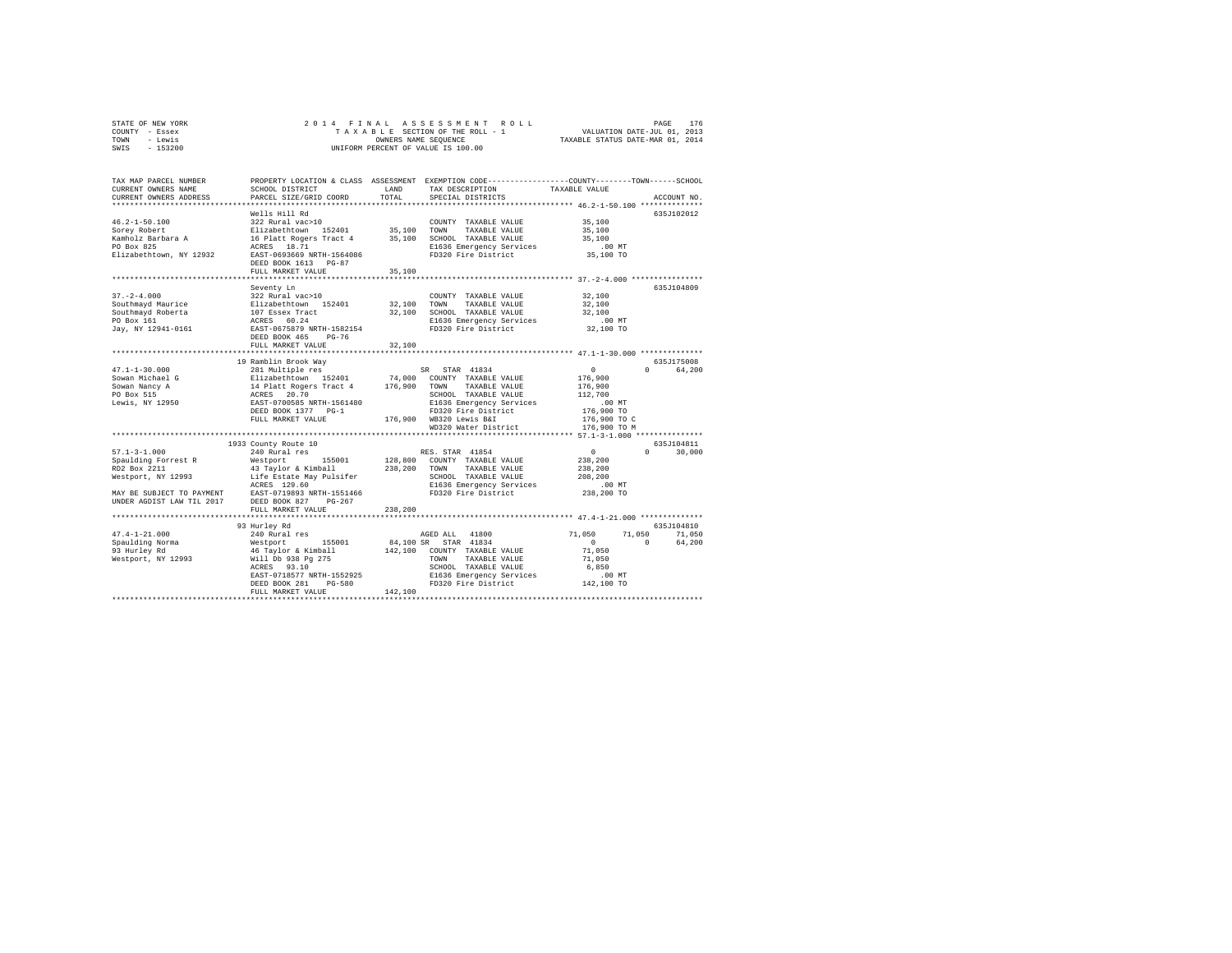| STATE OF NEW YORK | 2014 FINAL ASSESSMENT ROLL         | 176<br>PAGE                      |
|-------------------|------------------------------------|----------------------------------|
| COUNTY - Essex    | TAXABLE SECTION OF THE ROLL - 1    | VALUATION DATE-JUL 01, 2013      |
| TOWN<br>- Lewis   | OWNERS NAME SEOUENCE               | TAXABLE STATUS DATE-MAR 01, 2014 |
| $-153200$<br>SWIS | UNIFORM PERCENT OF VALUE IS 100.00 |                                  |

| TAX MAP PARCEL NUMBER<br>CURRENT OWNERS NAME<br>CURRENT OWNERS ADDRESS                                                                                                                                                                | SCHOOL DISTRICT<br>PARCEL SIZE/GRID COORD                                                                                                                                                                                                                                                                                                                                                                                                 | LAND<br>TOTAL                           | TAX DESCRIPTION<br>SPECIAL DISTRICTS                                                                                                                                                                                                                                                                                                                | PROPERTY LOCATION & CLASS ASSESSMENT EXEMPTION CODE---------------COUNTY-------TOWN-----SCHOOL<br>TAXABLE VALUE<br>ACCOUNT NO.                                                                                                                                                                                      |
|---------------------------------------------------------------------------------------------------------------------------------------------------------------------------------------------------------------------------------------|-------------------------------------------------------------------------------------------------------------------------------------------------------------------------------------------------------------------------------------------------------------------------------------------------------------------------------------------------------------------------------------------------------------------------------------------|-----------------------------------------|-----------------------------------------------------------------------------------------------------------------------------------------------------------------------------------------------------------------------------------------------------------------------------------------------------------------------------------------------------|---------------------------------------------------------------------------------------------------------------------------------------------------------------------------------------------------------------------------------------------------------------------------------------------------------------------|
| $46.2 - 1 - 50.100$<br>Sorey Robert<br>Kamholz Barbara A<br>PO Box 825<br>Elizabethtown, NY 12932                                                                                                                                     | Wells Hill Rd<br>322 Rural vac>10<br>Elizabethtown 152401<br>16 Platt Rogers Tract 4<br>ACRES 18.71<br>EAST-0693669 NRTH-1564086<br>DEED BOOK 1613 PG-87<br>FULL MARKET VALUE                                                                                                                                                                                                                                                             | 35,100<br>35,100<br>35,100              | COUNTY TAXABLE VALUE<br>TOWN<br>TAXABLE VALUE<br>SCHOOL TAXABLE VALUE<br>E1636 Emergency Services<br>FD320 Fire District                                                                                                                                                                                                                            | 635J102012<br>35,100<br>35,100<br>35,100<br>.00 MT<br>35,100 TO                                                                                                                                                                                                                                                     |
|                                                                                                                                                                                                                                       |                                                                                                                                                                                                                                                                                                                                                                                                                                           |                                         |                                                                                                                                                                                                                                                                                                                                                     |                                                                                                                                                                                                                                                                                                                     |
| $37. - 2 - 4.000$<br>Southmayd Maurice<br>Southmayd Roberta<br>PO Box 161<br>Jay, NY 12941-0161                                                                                                                                       | Seventy Ln<br>322 Rural vac>10<br>Elizabethtown 152401<br>107 Essex Tract<br>ACRES 60.24<br>EAST-0675879 NRTH-1582154<br>DEED BOOK 465<br>$PG-76$                                                                                                                                                                                                                                                                                         | 32,100<br>32,100                        | COUNTY TAXABLE VALUE<br>TOWN<br>TAXABLE VALUE<br>SCHOOL TAXABLE VALUE<br>E1636 Emergency Services<br>FD320 Fire District                                                                                                                                                                                                                            | 635J104809<br>32,100<br>32,100<br>32,100<br>.00 MT<br>32,100 TO                                                                                                                                                                                                                                                     |
|                                                                                                                                                                                                                                       | FULL MARKET VALUE                                                                                                                                                                                                                                                                                                                                                                                                                         | 32,100                                  |                                                                                                                                                                                                                                                                                                                                                     |                                                                                                                                                                                                                                                                                                                     |
|                                                                                                                                                                                                                                       | ****************************                                                                                                                                                                                                                                                                                                                                                                                                              | ***********                             |                                                                                                                                                                                                                                                                                                                                                     | ************************************ 47.1-1-30.000 ***************                                                                                                                                                                                                                                                  |
| $47.1 - 1 - 30.000$<br>Sowan Michael G<br>Sowan Nancy A<br>PO Box 515<br>Lewis, NY 12950<br>$57.1 - 3 - 1.000$<br>Spaulding Forrest R<br>RD2 Box 2211<br>Westport, NY 12993<br>MAY BE SUBJECT TO PAYMENT<br>UNDER AGDIST LAW TIL 2017 | 19 Ramblin Brook Way<br>281 Multiple res<br>Elizabethtown 152401<br>14 Platt Rogers Tract 4<br>ACRES 20.70<br>EAST-0700585 NRTH-1561480<br>DEED BOOK 1377 PG-1<br>FULL MARKET VALUE<br>*****************************<br>1933 County Route 10<br>240 Rural res<br>Westport<br>155001<br>43 Taylor & Kimball<br>Life Estate May Pulsifer<br>ACRES 129.60<br>EAST-0719893 NRTH-1551466<br>DEED BOOK 827<br>$PG-267$<br>FULL MARKET VALUE<br> | 74,000<br>176,900<br>238,200<br>238,200 | SR STAR 41834<br>COUNTY TAXABLE VALUE<br>TAXABLE VALUE<br>TOWN<br>SCHOOL TAXABLE VALUE<br>E1636 Emergency Services<br>FD320 Fire District<br>176,900 WB320 Lewis B&I<br>WD320 Water District<br>RES. STAR 41854<br>128,800 COUNTY TAXABLE VALUE<br>TOWN<br>TAXABLE VALUE<br>SCHOOL TAXABLE VALUE<br>E1636 Emergency Services<br>FD320 Fire District | 635J175008<br>$\circ$<br>64,200<br>$\Omega$<br>176,900<br>176,900<br>112,700<br>$.00$ MT<br>176,900 TO<br>176,900 TO C<br>176,900 TO M<br>********************************** 57.1-3-1.000 ***************<br>635J104811<br>$\circ$<br>$\Omega$<br>30,000<br>238,200<br>238,200<br>208,200<br>$.00$ MT<br>238,200 TO |
| $47.4 - 1 - 21.000$<br>Spaulding Norma<br>93 Hurley Rd<br>Westport, NY 12993                                                                                                                                                          | 93 Hurley Rd<br>240 Rural res<br>Westport<br>155001<br>46 Taylor & Kimball<br>Will Db 938 Pg 275<br>93.10<br>ACRES<br>EAST-0718577 NRTH-1552925<br>DEED BOOK 281<br>PG-580<br>FULL MARKET VALUE                                                                                                                                                                                                                                           | 84,100 SR<br>142,100<br>142,100         | AGED ALL 41800<br>STAR 41834<br>COUNTY TAXABLE VALUE<br>TAXABLE VALUE<br>TOWN<br>SCHOOL TAXABLE VALUE<br>E1636 Emergency Services<br>FD320 Fire District                                                                                                                                                                                            | 635J104810<br>71,050<br>71,050<br>71,050<br>64,200<br>$\circ$<br>$\Omega$<br>71,050<br>71,050<br>6,850<br>.00MT<br>142,100 TO                                                                                                                                                                                       |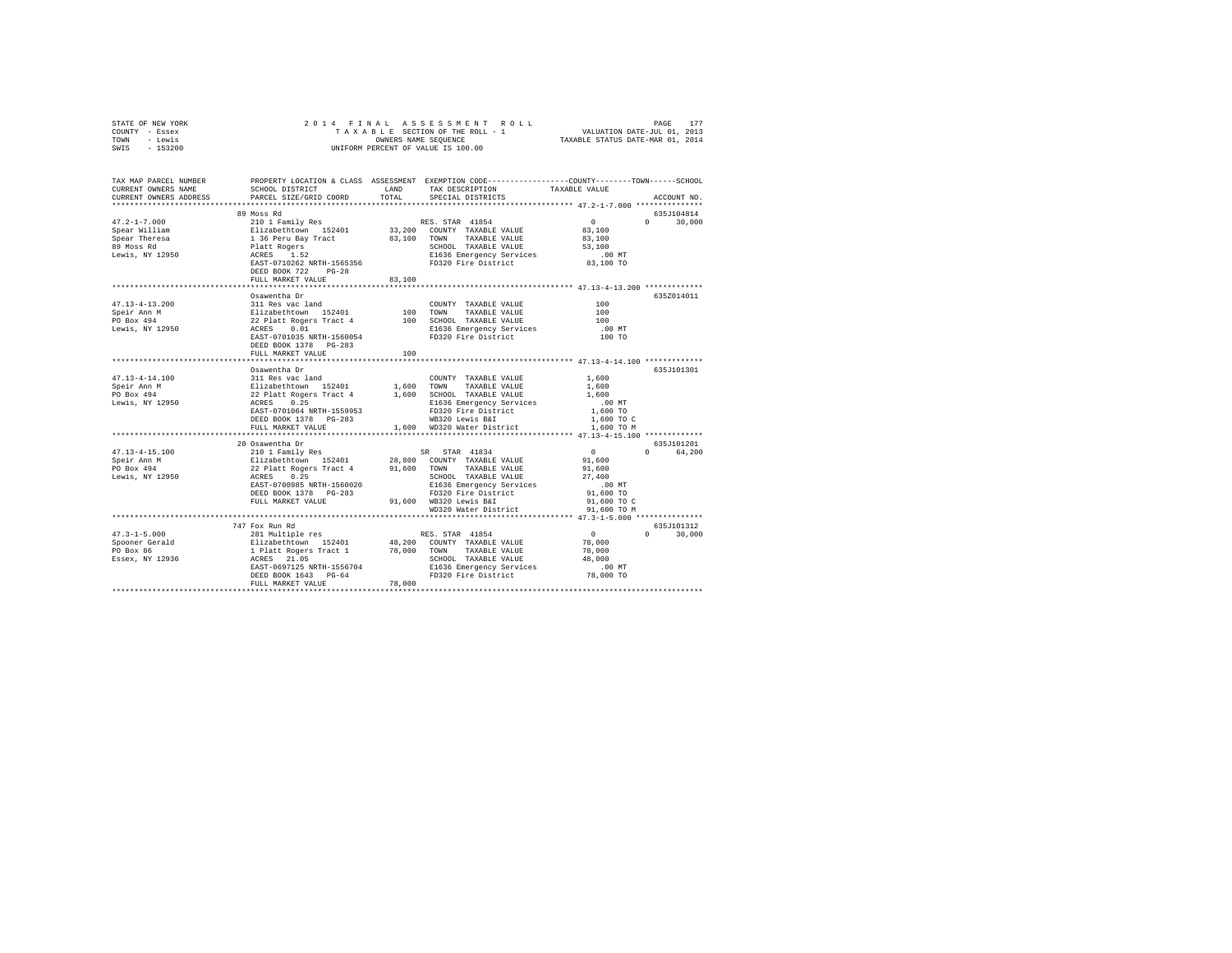| STATE OF NEW YORK<br>COUNTY - Essex<br>TOWN - Lewis<br>SWIS - 153200                                                                                                                                                                            | 2014 FINAL                                                                                                                                                                                  |        | PAGE 177 ROLL PAGE 177<br>TAXABLE SECTION OF THEROLL - 1 VALUATION DATE-JUL 01, 2013<br>OWNERS NAME SEQUENCE TRAXABLE STATUS DATE-MAR 01, 2014<br>OWNERS NAME SEQUENCE<br>UNIFORM PERCENT OF VALUE IS 100.00                                 |                     |                             |
|-------------------------------------------------------------------------------------------------------------------------------------------------------------------------------------------------------------------------------------------------|---------------------------------------------------------------------------------------------------------------------------------------------------------------------------------------------|--------|----------------------------------------------------------------------------------------------------------------------------------------------------------------------------------------------------------------------------------------------|---------------------|-----------------------------|
|                                                                                                                                                                                                                                                 |                                                                                                                                                                                             |        |                                                                                                                                                                                                                                              |                     |                             |
| TAX MAP PARCEL NUMBER PROPERTY LOCATION & CLASS ASSESSMENT EXEMPTION CODE---------------COUNTY-------TOWN------SCHOOL                                                                                                                           |                                                                                                                                                                                             |        |                                                                                                                                                                                                                                              |                     |                             |
| CURRENT OWNERS NAME                                                                                                                                                                                                                             | SCHOOL DISTRICT LAND                                                                                                                                                                        |        | TAX DESCRIPTION                                                                                                                                                                                                                              | TAXABLE VALUE       |                             |
| CURRENT OWNERS ADDRESS<br>**************************                                                                                                                                                                                            | PARCEL SIZE/GRID COORD                                                                                                                                                                      | TOTAL  | SPECIAL DISTRICTS                                                                                                                                                                                                                            |                     | ACCOUNT NO.                 |
|                                                                                                                                                                                                                                                 |                                                                                                                                                                                             |        |                                                                                                                                                                                                                                              |                     |                             |
| $47.2 - 1 - 7.000$                                                                                                                                                                                                                              | 89 Moss Rd                                                                                                                                                                                  |        |                                                                                                                                                                                                                                              | $\sim$ 0            | 635J104814<br>$0 \t 30,000$ |
| Spear William                                                                                                                                                                                                                                   |                                                                                                                                                                                             |        |                                                                                                                                                                                                                                              | 83,100              |                             |
| Spear Theresa                                                                                                                                                                                                                                   |                                                                                                                                                                                             |        |                                                                                                                                                                                                                                              | 83,100              |                             |
| 89 Moss Rd                                                                                                                                                                                                                                      |                                                                                                                                                                                             |        |                                                                                                                                                                                                                                              | 53,100              |                             |
| Lewis, NY 12950                                                                                                                                                                                                                                 |                                                                                                                                                                                             |        | % Absolute The RES. STAR 41854<br>Elizabeth<br>210 1 Family Res RES. STAR 41854<br>136 Peru Bay Tract 83,100 COWN TAXABLE VALUE<br>136 Peru Bay Tract 83,100 TOWN TAXABLE VALUE<br>Patt Rogers BLS6 Energency Services<br>RES. 52<br>RES. SC | $.00$ MT            |                             |
|                                                                                                                                                                                                                                                 |                                                                                                                                                                                             |        |                                                                                                                                                                                                                                              | 83,100 TO           |                             |
|                                                                                                                                                                                                                                                 | DEED BOOK 722 PG-28                                                                                                                                                                         |        |                                                                                                                                                                                                                                              |                     |                             |
|                                                                                                                                                                                                                                                 | FULL MARKET VALUE                                                                                                                                                                           | 83,100 |                                                                                                                                                                                                                                              |                     |                             |
|                                                                                                                                                                                                                                                 |                                                                                                                                                                                             |        |                                                                                                                                                                                                                                              |                     |                             |
|                                                                                                                                                                                                                                                 | Osawentha Dr                                                                                                                                                                                |        |                                                                                                                                                                                                                                              |                     | 635Z014011                  |
| $47.13 - 4 - 13.200$                                                                                                                                                                                                                            | 311 Res vac land                                                                                                                                                                            |        | COUNTY TAXABLE VALUE                                                                                                                                                                                                                         | 100                 |                             |
|                                                                                                                                                                                                                                                 |                                                                                                                                                                                             |        |                                                                                                                                                                                                                                              | 100                 |                             |
|                                                                                                                                                                                                                                                 |                                                                                                                                                                                             |        |                                                                                                                                                                                                                                              | 100                 |                             |
|                                                                                                                                                                                                                                                 |                                                                                                                                                                                             |        |                                                                                                                                                                                                                                              | $.00$ MT            |                             |
| 47.13-4-13.200<br>Speir Ann M<br>Speir Ann M<br>22 Platt Rogers Tract 4<br>22 Platt Rogers Tract 4<br>Lewis, NY 12950<br>22 Platt Rogers 71 1560054<br>22 Platt 100 SCROS 2016<br>ELG36 Emergency Services<br>ELG36 Emergency Services<br>ELG36 |                                                                                                                                                                                             |        |                                                                                                                                                                                                                                              | 100 TO              |                             |
|                                                                                                                                                                                                                                                 | DEED BOOK 1378 PG-283                                                                                                                                                                       |        |                                                                                                                                                                                                                                              |                     |                             |
|                                                                                                                                                                                                                                                 | FULL MARKET VALUE                                                                                                                                                                           | 100    |                                                                                                                                                                                                                                              |                     |                             |
|                                                                                                                                                                                                                                                 | Osawentha Dr                                                                                                                                                                                |        |                                                                                                                                                                                                                                              |                     | 635J101301                  |
| $47.13 - 4 - 14.100$                                                                                                                                                                                                                            | 311 Res vac land                                                                                                                                                                            |        | COUNTY TAXABLE VALUE                                                                                                                                                                                                                         | 1,600               |                             |
| Speir Ann M                                                                                                                                                                                                                                     |                                                                                                                                                                                             |        |                                                                                                                                                                                                                                              | 1,600               |                             |
| PO Box 494                                                                                                                                                                                                                                      |                                                                                                                                                                                             |        |                                                                                                                                                                                                                                              | 1,600               |                             |
| Lewis, NY 12950                                                                                                                                                                                                                                 |                                                                                                                                                                                             |        | 311 Res Vac 1 and 2010<br>Elizabethtown 152401 1,600 TOWN TAXABLE VALUE<br>22 Platt Rogers Tract 4 1,600 SCHODL TAXABLE VALUE<br>22 RCRES 0.25 25636 Emergency Services                                                                      | .00MT               |                             |
|                                                                                                                                                                                                                                                 | EAST-0701064 NRTH-1559953                                                                                                                                                                   |        | FD320 Fire District                                                                                                                                                                                                                          | 1,600 TO            |                             |
|                                                                                                                                                                                                                                                 | DEED BOOK 1378 PG-283                                                                                                                                                                       |        | WB320 Lewis B&I                                                                                                                                                                                                                              | 1,600 TO C          |                             |
|                                                                                                                                                                                                                                                 | FULL MARKET VALUE                                                                                                                                                                           |        | 1,600 WD320 Water District 1,600 TO M                                                                                                                                                                                                        |                     |                             |
|                                                                                                                                                                                                                                                 |                                                                                                                                                                                             |        |                                                                                                                                                                                                                                              |                     |                             |
|                                                                                                                                                                                                                                                 | 20 Osawentha Dr                                                                                                                                                                             |        |                                                                                                                                                                                                                                              |                     | 635J101201                  |
| $47.13 - 4 - 15.100$                                                                                                                                                                                                                            |                                                                                                                                                                                             |        |                                                                                                                                                                                                                                              | $\sim$ 0<br>91,600  | 64,200<br>$\Omega$          |
| Speir Ann M                                                                                                                                                                                                                                     |                                                                                                                                                                                             |        |                                                                                                                                                                                                                                              |                     |                             |
| PO Box 494<br>Lewis, NY 12950                                                                                                                                                                                                                   | Notional Marine Maria (1834 1934)<br>210 1 Family Res (18401 1980)<br>22 Platt Rogers Tract 4 191,600 TOWN TAXABLE VALUE<br>22 Platt Rogers Tract 4 191,600 TOWN TAXABLE VALUE<br>2018 2018 |        |                                                                                                                                                                                                                                              | 91,600<br>27,400    |                             |
|                                                                                                                                                                                                                                                 | EAST-0700985 NRTH-1560020                                                                                                                                                                   |        | SCHOOL TAXABLE VALUE<br>E1636 Emergency Services<br>FD320 Fire District<br>Annual Later                                                                                                                                                      | $.00$ MT            |                             |
|                                                                                                                                                                                                                                                 | DEED BOOK 1378 PG-283                                                                                                                                                                       |        |                                                                                                                                                                                                                                              | 91,600 TO           |                             |
|                                                                                                                                                                                                                                                 | FULL MARKET VALUE                                                                                                                                                                           |        | 91,600 WB320 Lewis B&I                                                                                                                                                                                                                       | 91,600 TO C         |                             |
|                                                                                                                                                                                                                                                 |                                                                                                                                                                                             |        | WD320 Water District                                                                                                                                                                                                                         | 91,600 TO M         |                             |
|                                                                                                                                                                                                                                                 |                                                                                                                                                                                             |        |                                                                                                                                                                                                                                              |                     |                             |
|                                                                                                                                                                                                                                                 | 747 Fox Run Rd                                                                                                                                                                              |        |                                                                                                                                                                                                                                              |                     | 635J101312                  |
| $47.3 - 1 - 5.000$                                                                                                                                                                                                                              | 281 Multiple res                                                                                                                                                                            |        |                                                                                                                                                                                                                                              | $\sim$ 0 $\sim$ 0   | $0 \t 30,000$               |
| Spooner Gerald                                                                                                                                                                                                                                  |                                                                                                                                                                                             |        |                                                                                                                                                                                                                                              | 78,000              |                             |
| PO Box 86                                                                                                                                                                                                                                       |                                                                                                                                                                                             |        |                                                                                                                                                                                                                                              | 78,000              |                             |
| Essex, NY 12936                                                                                                                                                                                                                                 |                                                                                                                                                                                             |        |                                                                                                                                                                                                                                              | 48,000              |                             |
|                                                                                                                                                                                                                                                 |                                                                                                                                                                                             |        |                                                                                                                                                                                                                                              | 00 MT.<br>78,000 TO |                             |
|                                                                                                                                                                                                                                                 |                                                                                                                                                                                             |        | 281 Multiple res = Example RES. STAK 4100<br>Elizabethrown 152401 = 48,200 COUNTY TAXABLE VALUE<br>1 Platt Rogers Tract 1 = 78,000 TOWN TAXABLE VALUE<br>RCRES 21.05<br>EXST-0697125 NRTH-1556704 = ED320 Fire District<br>PER ROR 1643      |                     |                             |
|                                                                                                                                                                                                                                                 | FULL MARKET VALUE                                                                                                                                                                           | 78,000 |                                                                                                                                                                                                                                              |                     |                             |
|                                                                                                                                                                                                                                                 |                                                                                                                                                                                             |        |                                                                                                                                                                                                                                              |                     |                             |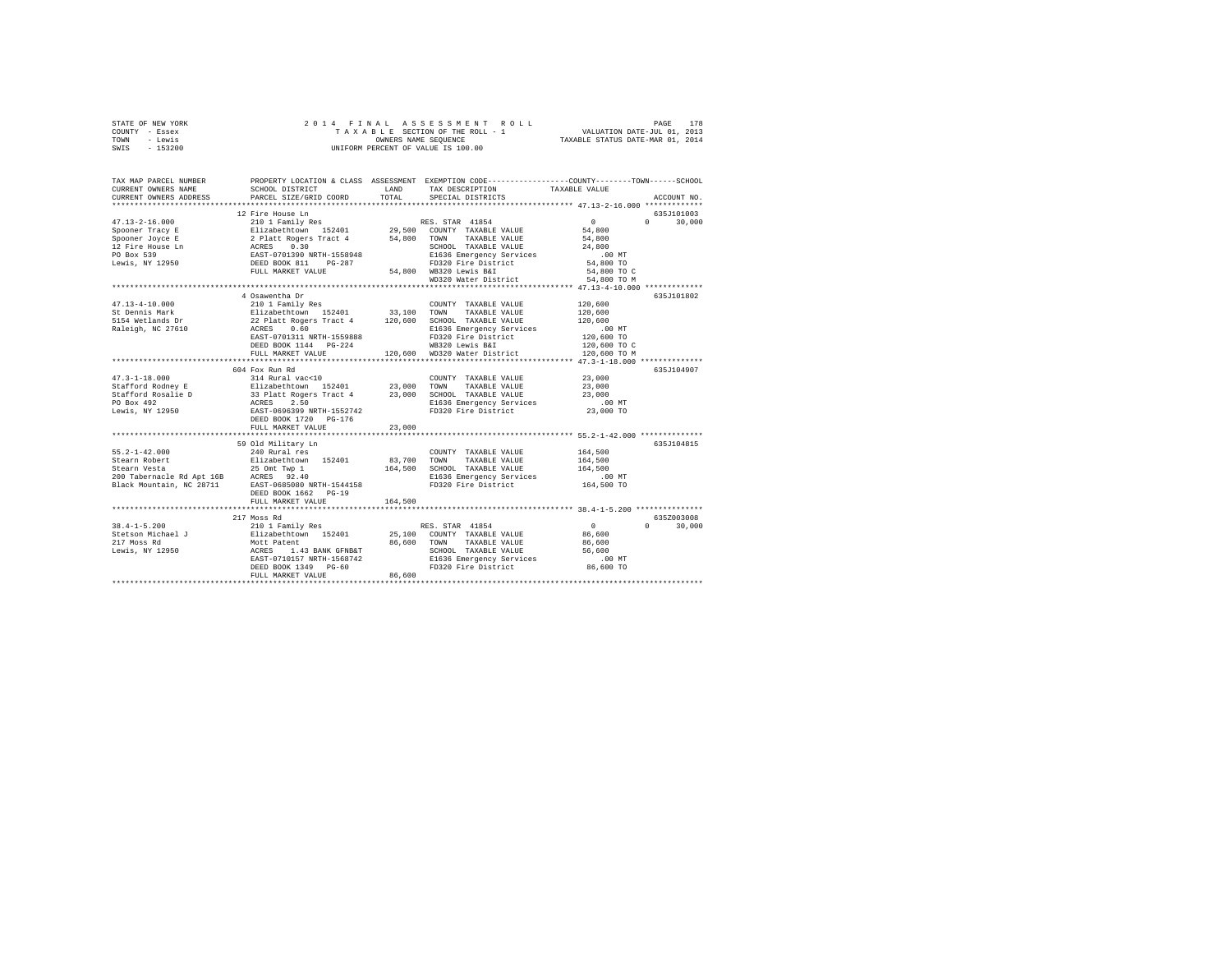| STATE OF NEW YORK<br>COUNTY - Essex<br>- Lewis<br>TOWN<br>SWIS<br>$-153200$                                                                                                                                                                                                                                                                                                                                               | 2014 FINAL                                                                                                                                                                                            |         | PAGE 178 A S S E S S M E N T R O L L P PAGE 178 PAGE 178 A B L E SECTION OF THE ROLL T A X A B L COLL T<br>T A X A B L E SECTION OF THE ROLL - 1 VALUATION DATE--VUL 01, 2014<br>OWNERS NAME SEQUENCE TAXABLE STATUS DATE--VAR 01, 2<br>OWNERS NAME SEQUENCE<br>UNIFORM PERCENT OF VALUE IS 100.00 |               |                    |
|---------------------------------------------------------------------------------------------------------------------------------------------------------------------------------------------------------------------------------------------------------------------------------------------------------------------------------------------------------------------------------------------------------------------------|-------------------------------------------------------------------------------------------------------------------------------------------------------------------------------------------------------|---------|----------------------------------------------------------------------------------------------------------------------------------------------------------------------------------------------------------------------------------------------------------------------------------------------------|---------------|--------------------|
|                                                                                                                                                                                                                                                                                                                                                                                                                           |                                                                                                                                                                                                       |         |                                                                                                                                                                                                                                                                                                    |               |                    |
| TAX MAP PARCEL NUMBER                                                                                                                                                                                                                                                                                                                                                                                                     |                                                                                                                                                                                                       |         | PROPERTY LOCATION & CLASS ASSESSMENT EXEMPTION CODE----------------COUNTY-------TOWN------SCHOOL                                                                                                                                                                                                   |               |                    |
| CURRENT OWNERS NAME                                                                                                                                                                                                                                                                                                                                                                                                       | SCHOOL DISTRICT                                                                                                                                                                                       | LAND    | TAX DESCRIPTION                                                                                                                                                                                                                                                                                    | TAXABLE VALUE |                    |
| CURRENT OWNERS ADDRESS                                                                                                                                                                                                                                                                                                                                                                                                    | PARCEL SIZE/GRID COORD                                                                                                                                                                                | TOTAL   | SPECIAL DISTRICTS                                                                                                                                                                                                                                                                                  |               | ACCOUNT NO.        |
|                                                                                                                                                                                                                                                                                                                                                                                                                           | 12 Fire House Ln                                                                                                                                                                                      |         |                                                                                                                                                                                                                                                                                                    |               | 635J101003         |
| $\begin{tabular}{l c c c c c} \multicolumn{3}{c}{\textbf{3D}}{\textbf{5D}}{\textbf{5D}}{\textbf{5D}}{\textbf{5D}}{\textbf{5D}}{\textbf{5D}}{\textbf{5D}}{\textbf{5D}}{\textbf{5D}}{\textbf{5D}}{\textbf{5D}}{\textbf{5D}}{\textbf{5D}}{\textbf{5D}}{\textbf{5D}}{\textbf{5D}}{\textbf{5D}}{\textbf{5D}}{\textbf{5D}}{\textbf{5D}}{\textbf{5D}}{\textbf{5D}}{\textbf{5D}}{\textbf{5D}}{\textbf{5D}}{\textbf{5D}}{\textbf{$ |                                                                                                                                                                                                       |         |                                                                                                                                                                                                                                                                                                    | $\sim$ 0      | $\Omega$<br>30,000 |
|                                                                                                                                                                                                                                                                                                                                                                                                                           |                                                                                                                                                                                                       |         |                                                                                                                                                                                                                                                                                                    | 54,800        |                    |
|                                                                                                                                                                                                                                                                                                                                                                                                                           |                                                                                                                                                                                                       |         |                                                                                                                                                                                                                                                                                                    | 54,800        |                    |
|                                                                                                                                                                                                                                                                                                                                                                                                                           |                                                                                                                                                                                                       |         | SCHOOL TAXABLE VALUE                                                                                                                                                                                                                                                                               | 24,800        |                    |
|                                                                                                                                                                                                                                                                                                                                                                                                                           |                                                                                                                                                                                                       |         | E1636 Emergency Services                                                                                                                                                                                                                                                                           | .00MT         |                    |
|                                                                                                                                                                                                                                                                                                                                                                                                                           |                                                                                                                                                                                                       |         | FD320 Fire District                                                                                                                                                                                                                                                                                | 54,800 TO     |                    |
|                                                                                                                                                                                                                                                                                                                                                                                                                           |                                                                                                                                                                                                       |         |                                                                                                                                                                                                                                                                                                    | 54,800 TO C   |                    |
|                                                                                                                                                                                                                                                                                                                                                                                                                           |                                                                                                                                                                                                       |         | WD320 Water District                                                                                                                                                                                                                                                                               | 54,800 TO M   |                    |
|                                                                                                                                                                                                                                                                                                                                                                                                                           |                                                                                                                                                                                                       |         |                                                                                                                                                                                                                                                                                                    |               |                    |
|                                                                                                                                                                                                                                                                                                                                                                                                                           | 4 Osawentha Dr                                                                                                                                                                                        |         |                                                                                                                                                                                                                                                                                                    |               | 635J101802         |
| 47.13-4-10.000                                                                                                                                                                                                                                                                                                                                                                                                            | 210 1 Family Res                                                                                                                                                                                      |         | COUNTY TAXABLE VALUE                                                                                                                                                                                                                                                                               | 120,600       |                    |
| St Dennis Mark                                                                                                                                                                                                                                                                                                                                                                                                            |                                                                                                                                                                                                       |         |                                                                                                                                                                                                                                                                                                    | 120,600       |                    |
| 5154 Wetlands Dr<br>Raleigh, NC 27610                                                                                                                                                                                                                                                                                                                                                                                     |                                                                                                                                                                                                       |         |                                                                                                                                                                                                                                                                                                    | 120,600       |                    |
|                                                                                                                                                                                                                                                                                                                                                                                                                           |                                                                                                                                                                                                       |         |                                                                                                                                                                                                                                                                                                    | .00MT         |                    |
|                                                                                                                                                                                                                                                                                                                                                                                                                           | EAST-0701311 NRTH-1559888                                                                                                                                                                             |         | FD320 Fire District                                                                                                                                                                                                                                                                                | 120,600 TO    |                    |
|                                                                                                                                                                                                                                                                                                                                                                                                                           |                                                                                                                                                                                                       |         | WB320 Lewis B&I                                                                                                                                                                                                                                                                                    | 120,600 TO C  |                    |
|                                                                                                                                                                                                                                                                                                                                                                                                                           | FULL MARKET VALUE                                                                                                                                                                                     |         | 120,600 WD320 Water District                                                                                                                                                                                                                                                                       | 120,600 TO M  |                    |
|                                                                                                                                                                                                                                                                                                                                                                                                                           | 604 Fox Run Rd                                                                                                                                                                                        |         |                                                                                                                                                                                                                                                                                                    |               | 635J104907         |
| $47.3 - 1 - 18.000$                                                                                                                                                                                                                                                                                                                                                                                                       | 314 Rural vac<10                                                                                                                                                                                      |         | COUNTY TAXABLE VALUE                                                                                                                                                                                                                                                                               | 23,000        |                    |
|                                                                                                                                                                                                                                                                                                                                                                                                                           |                                                                                                                                                                                                       |         |                                                                                                                                                                                                                                                                                                    | 23,000        |                    |
|                                                                                                                                                                                                                                                                                                                                                                                                                           | Elizabeth<br>town 152401 23,000 TOWN TAXABLE VALUE 33 Platt Rogers Tract 4 23,000 SCHOOL TAXABLE VALUE ACRES<br>ACRES 2.50 E1536 Remergency Services<br>EAST-0696399 NRTH-1552742 ED320 Fire District |         |                                                                                                                                                                                                                                                                                                    | 23,000        |                    |
|                                                                                                                                                                                                                                                                                                                                                                                                                           |                                                                                                                                                                                                       |         | E1636 Emergency Services                                                                                                                                                                                                                                                                           | $.00$ MT      |                    |
|                                                                                                                                                                                                                                                                                                                                                                                                                           |                                                                                                                                                                                                       |         | FD320 Fire District                                                                                                                                                                                                                                                                                | 23,000 TO     |                    |
|                                                                                                                                                                                                                                                                                                                                                                                                                           | DEED BOOK 1720 PG-176                                                                                                                                                                                 |         |                                                                                                                                                                                                                                                                                                    |               |                    |
|                                                                                                                                                                                                                                                                                                                                                                                                                           | FULL MARKET VALUE                                                                                                                                                                                     | 23,000  |                                                                                                                                                                                                                                                                                                    |               |                    |
|                                                                                                                                                                                                                                                                                                                                                                                                                           |                                                                                                                                                                                                       |         |                                                                                                                                                                                                                                                                                                    |               |                    |
|                                                                                                                                                                                                                                                                                                                                                                                                                           | 59 Old Military Ln                                                                                                                                                                                    |         |                                                                                                                                                                                                                                                                                                    |               | 635J104815         |
| $55.2 - 1 - 42.000$                                                                                                                                                                                                                                                                                                                                                                                                       | 240 Rural res                                                                                                                                                                                         |         | COUNTY TAXABLE VALUE                                                                                                                                                                                                                                                                               | 164,500       |                    |
|                                                                                                                                                                                                                                                                                                                                                                                                                           |                                                                                                                                                                                                       |         | 83,700 TOWN TAXABLE VALUE                                                                                                                                                                                                                                                                          | 164,500       |                    |
|                                                                                                                                                                                                                                                                                                                                                                                                                           |                                                                                                                                                                                                       |         | 164,500 SCHOOL TAXABLE VALUE                                                                                                                                                                                                                                                                       | 164,500       |                    |
|                                                                                                                                                                                                                                                                                                                                                                                                                           |                                                                                                                                                                                                       |         | E1636 Emergency Services<br>FD320 Fire District                                                                                                                                                                                                                                                    | $.00$ MT      |                    |
| Stearn Robert<br>2011 - Elizabethiown 152401<br>200 Tabernacle Rd Apt 16B<br>200 Tabernacle Rd Apt 16B<br>202 Black Mountain, NC 28711<br>2021 - 2021 EAST-0685080 NRTH-1544158                                                                                                                                                                                                                                           |                                                                                                                                                                                                       |         |                                                                                                                                                                                                                                                                                                    | 164,500 TO    |                    |
|                                                                                                                                                                                                                                                                                                                                                                                                                           | DEED BOOK 1662 PG-19                                                                                                                                                                                  |         |                                                                                                                                                                                                                                                                                                    |               |                    |
|                                                                                                                                                                                                                                                                                                                                                                                                                           | FULL MARKET VALUE                                                                                                                                                                                     | 164,500 |                                                                                                                                                                                                                                                                                                    |               |                    |
|                                                                                                                                                                                                                                                                                                                                                                                                                           | 217 Moss Rd                                                                                                                                                                                           |         |                                                                                                                                                                                                                                                                                                    |               | 635Z003008         |
| $38.4 - 1 - 5.200$                                                                                                                                                                                                                                                                                                                                                                                                        | 210 1 Family Res                                                                                                                                                                                      |         | RES. STAR 41854                                                                                                                                                                                                                                                                                    | $\sim$ 0      | $0 \t 30,000$      |
|                                                                                                                                                                                                                                                                                                                                                                                                                           |                                                                                                                                                                                                       |         |                                                                                                                                                                                                                                                                                                    | 86,600        |                    |
|                                                                                                                                                                                                                                                                                                                                                                                                                           |                                                                                                                                                                                                       |         |                                                                                                                                                                                                                                                                                                    | 86,600        |                    |
|                                                                                                                                                                                                                                                                                                                                                                                                                           |                                                                                                                                                                                                       |         |                                                                                                                                                                                                                                                                                                    | 56,600        |                    |
|                                                                                                                                                                                                                                                                                                                                                                                                                           |                                                                                                                                                                                                       |         |                                                                                                                                                                                                                                                                                                    | $.00$ MT      |                    |
|                                                                                                                                                                                                                                                                                                                                                                                                                           |                                                                                                                                                                                                       |         |                                                                                                                                                                                                                                                                                                    | 86,600 TO     |                    |
|                                                                                                                                                                                                                                                                                                                                                                                                                           | FULL MARKET VALUE                                                                                                                                                                                     | 86,600  |                                                                                                                                                                                                                                                                                                    |               |                    |
|                                                                                                                                                                                                                                                                                                                                                                                                                           |                                                                                                                                                                                                       |         |                                                                                                                                                                                                                                                                                                    |               |                    |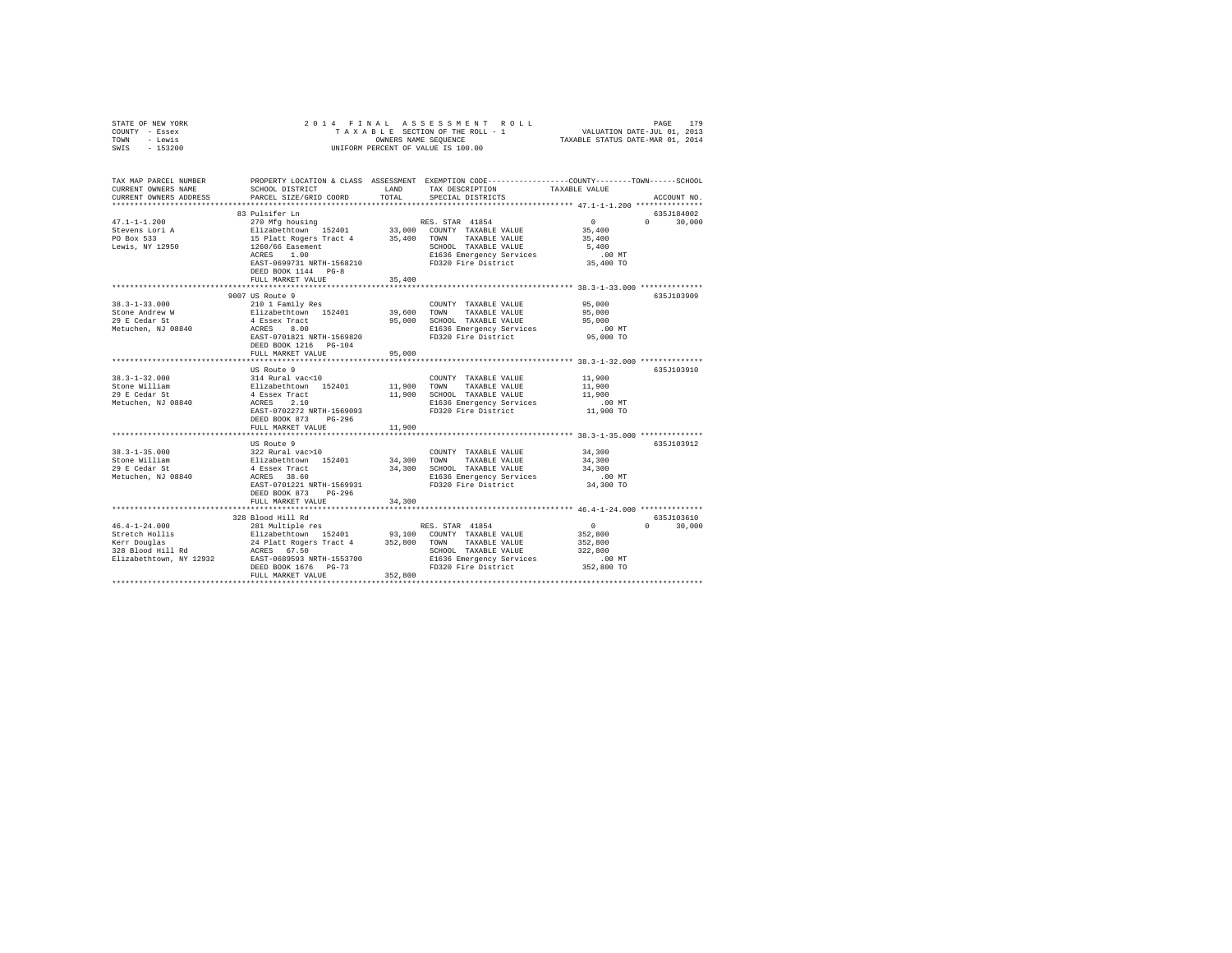| STATE OF NEW YORK<br>COUNTY - Essex<br>TOWN - Lewis<br>SWIS<br>$-153200$ | 2014 FINAL                                                                                     | OWNERS NAME SEOUENCE | PAGE 179 RAGE 179<br>SECTION OF THE ROLL - 1 VALUATION DATE-JUL 01, 2013<br>SI NAME SEQUENCE 1 TAXABLE STATUS DATE-MAR 01, 2014<br>TAXABLE SECTION OF THE ROLL - 1<br>UNIFORM PERCENT OF VALUE IS 100.00 |                    |                    |
|--------------------------------------------------------------------------|------------------------------------------------------------------------------------------------|----------------------|----------------------------------------------------------------------------------------------------------------------------------------------------------------------------------------------------------|--------------------|--------------------|
| TAX MAP PARCEL NUMBER<br>CURRENT OWNERS NAME<br>CURRENT OWNERS ADDRESS   | SCHOOL DISTRICT<br>PARCEL SIZE/GRID COORD                                                      | LAND<br>TOTAL        | PROPERTY LOCATION & CLASS ASSESSMENT EXEMPTION CODE---------------COUNTY-------TOWN-----SCHOOL<br>TAX DESCRIPTION<br>SPECIAL DISTRICTS                                                                   | TAXABLE VALUE      | ACCOUNT NO.        |
|                                                                          | 83 Pulsifer Ln                                                                                 |                      |                                                                                                                                                                                                          |                    | 635J184002         |
| $47.1 - 1 - 1.200$                                                       | 270 Mfg housing                                                                                |                      | RES. STAR 41854                                                                                                                                                                                          | $\sim$ 0           | $\Omega$<br>30,000 |
| Stevens Lori A                                                           | Elizabethtown 152401<br>15 Platt Rogers Tract 4<br>1260/66 Easement<br>ACRES 1.00<br>ARES 1.00 |                      | 33,000 COUNTY TAXABLE VALUE                                                                                                                                                                              | 35,400             |                    |
| PO Box 533                                                               |                                                                                                | 35,400 TOWN          | TAXABLE VALUE                                                                                                                                                                                            | 35,400             |                    |
| Lewis, NY 12950                                                          |                                                                                                |                      | SCHOOL TAXABLE VALUE                                                                                                                                                                                     | 5,400              |                    |
|                                                                          |                                                                                                |                      | E1636 Emergency Services                                                                                                                                                                                 | $.00$ MT           |                    |
|                                                                          | EAST-0699731 NRTH-1568210<br>DEED BOOK 1144 PG-8                                               |                      | FD320 Fire District                                                                                                                                                                                      | 35,400 TO          |                    |
|                                                                          | FULL MARKET VALUE<br>************************                                                  | 35,400               |                                                                                                                                                                                                          |                    |                    |
|                                                                          | 9007 US Route 9                                                                                |                      |                                                                                                                                                                                                          |                    | 635J103909         |
| $38.3 - 1 - 33.000$                                                      | 210 1 Family Res                                                                               |                      | COUNTY TAXABLE VALUE                                                                                                                                                                                     | 95,000             |                    |
| Stone Andrew W                                                           | Elizabethtown 152401                                                                           |                      | 39,600 TOWN TAXABLE VALUE                                                                                                                                                                                | 95,000             |                    |
| 29 E Cedar St                                                            | 4 Essex Tract                                                                                  | 95,000               | SCHOOL TAXABLE VALUE                                                                                                                                                                                     | 95,000             |                    |
| Metuchen, NJ 08840                                                       | ACRES 8.00                                                                                     |                      | E1636 Emergency Services                                                                                                                                                                                 | $.00$ MT           |                    |
|                                                                          | EAST-0701821 NRTH-1569820                                                                      |                      | FD320 Fire District                                                                                                                                                                                      | 95,000 TO          |                    |
|                                                                          | DEED BOOK 1216    PG-104                                                                       |                      |                                                                                                                                                                                                          |                    |                    |
|                                                                          | FULL MARKET VALUE                                                                              | 95,000               |                                                                                                                                                                                                          |                    |                    |
|                                                                          |                                                                                                |                      |                                                                                                                                                                                                          |                    |                    |
| $38.3 - 1 - 32.000$                                                      | US Route 9<br>314 Rural vac<10                                                                 |                      |                                                                                                                                                                                                          | 11,900             | 635J103910         |
| Stone William                                                            |                                                                                                |                      | COUNTY TAXABLE VALUE<br>11,900 TOWN TAXABLE VALUE                                                                                                                                                        | 11,900             |                    |
| 29 E Cedar St                                                            | Elizabethtown 152401<br>4 Essex Tract                                                          |                      | 11,900 SCHOOL TAXABLE VALUE                                                                                                                                                                              | 11.900             |                    |
| Metuchen, NJ 08840                                                       | ACRES 2.10                                                                                     |                      | E1636 Emergency Services                                                                                                                                                                                 | $.00$ MT           |                    |
|                                                                          | EAST-0702272 NRTH-1569093                                                                      |                      | FD320 Fire District                                                                                                                                                                                      | 11,900 TO          |                    |
|                                                                          | DEED BOOK 873 PG-296                                                                           |                      |                                                                                                                                                                                                          |                    |                    |
|                                                                          | FULL MARKET VALUE                                                                              | 11,900               |                                                                                                                                                                                                          |                    |                    |
|                                                                          |                                                                                                |                      |                                                                                                                                                                                                          |                    |                    |
|                                                                          | US Route 9                                                                                     |                      |                                                                                                                                                                                                          |                    | 635J103912         |
| $38.3 - 1 - 35.000$                                                      | 322 Rural vac>10                                                                               |                      | COUNTY TAXABLE VALUE                                                                                                                                                                                     | 34,300             |                    |
| Stone William                                                            | 322 Kurai Vac210<br>Elizabethtown 152401<br>4 Essex Tract                                      |                      | 34,300 TOWN TAXABLE VALUE                                                                                                                                                                                | 34,300<br>34,300   |                    |
| 29 E Cedar St<br>Metuchen, NJ 08840                                      | ACRES 38.60                                                                                    |                      | 34,300 SCHOOL TAXABLE VALUE<br>E1636 Emergency Services                                                                                                                                                  | $.00$ MT           |                    |
|                                                                          | EAST-0701221 NRTH-1569931                                                                      |                      | FD320 Fire District                                                                                                                                                                                      | 34,300 TO          |                    |
|                                                                          | DEED BOOK 873 PG-296                                                                           |                      |                                                                                                                                                                                                          |                    |                    |
|                                                                          | FULL MARKET VALUE                                                                              | 34,300               |                                                                                                                                                                                                          |                    |                    |
|                                                                          |                                                                                                |                      |                                                                                                                                                                                                          |                    |                    |
|                                                                          | 328 Blood Hill Rd                                                                              |                      |                                                                                                                                                                                                          |                    | 635J103610         |
| $46.4 - 1 - 24.000$                                                      | 281 Multiple res                                                                               |                      | RES. STAR 41854                                                                                                                                                                                          | $\sim$ 0           | $0 \t 30.000$      |
| stretch Hollis<br>Kerr Douglas<br>328 Blood Hill Rd                      | Elizabethtown 152401 93,100 COUNTY TAXABLE VALUE                                               |                      |                                                                                                                                                                                                          | 352,800            |                    |
|                                                                          | 24 Platt Rogers Tract 4                                                                        |                      | 352,800 TOWN TAXABLE VALUE<br>SCHOOL TAXABLE VALUE                                                                                                                                                       | 352,800<br>322,800 |                    |
|                                                                          |                                                                                                |                      | E1636 Emergency Services                                                                                                                                                                                 | $.00$ MT           |                    |
|                                                                          | DEED BOOK 1676 PG-73                                                                           |                      | FD320 Fire District                                                                                                                                                                                      | 352,800 TO         |                    |
|                                                                          | FULL MARKET VALUE                                                                              | 352,800              |                                                                                                                                                                                                          |                    |                    |
|                                                                          |                                                                                                |                      |                                                                                                                                                                                                          |                    |                    |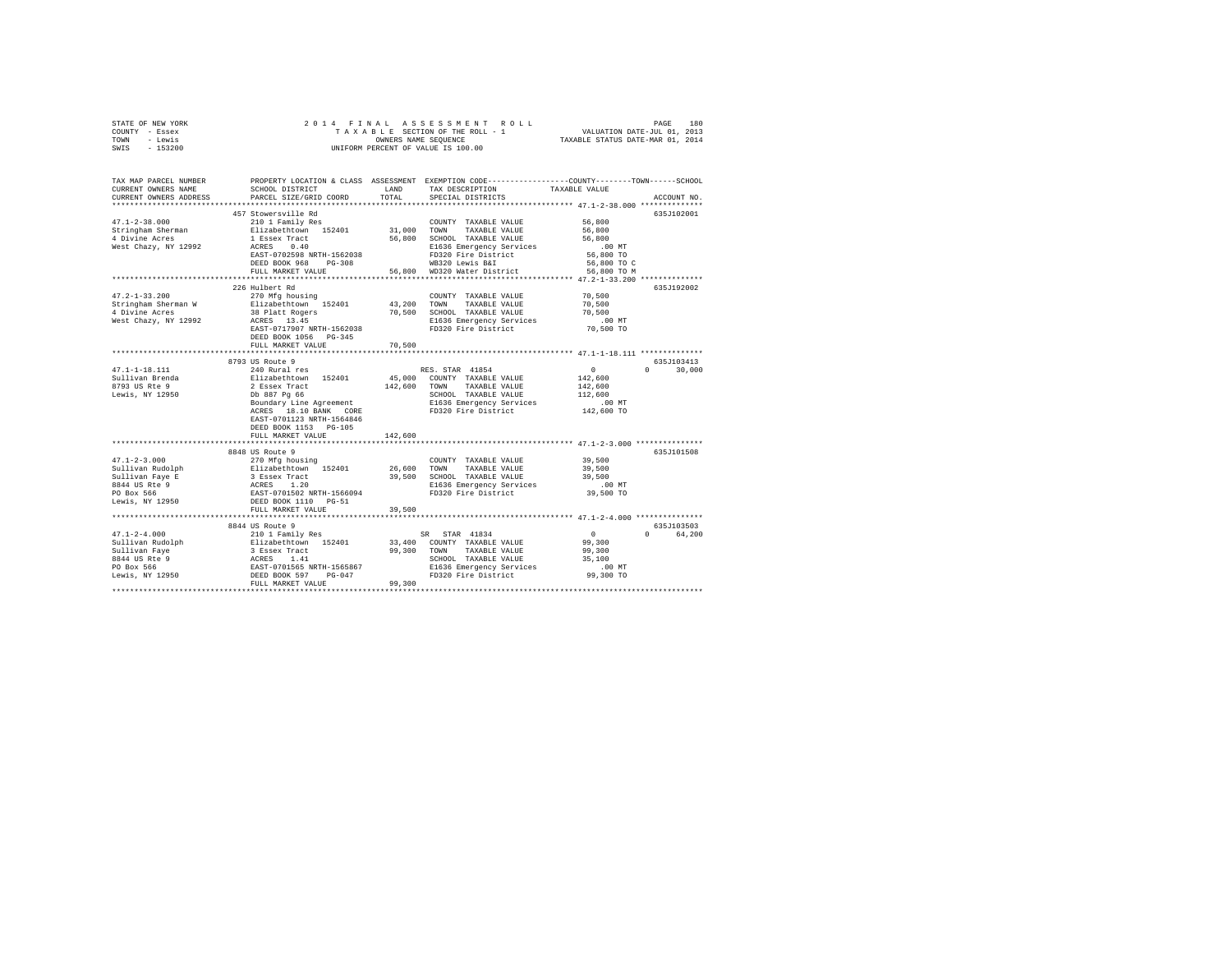| STATE OF NEW YORK                                                                                                                                                                                                                                                                                                                                                                                                                                                                  |                                                                                                                                                                                                                      |         |                                              |                                                   |               |
|------------------------------------------------------------------------------------------------------------------------------------------------------------------------------------------------------------------------------------------------------------------------------------------------------------------------------------------------------------------------------------------------------------------------------------------------------------------------------------|----------------------------------------------------------------------------------------------------------------------------------------------------------------------------------------------------------------------|---------|----------------------------------------------|---------------------------------------------------|---------------|
| COUNTY - Essex                                                                                                                                                                                                                                                                                                                                                                                                                                                                     |                                                                                                                                                                                                                      |         |                                              |                                                   |               |
| TOWN - Lewis                                                                                                                                                                                                                                                                                                                                                                                                                                                                       |                                                                                                                                                                                                                      |         |                                              |                                                   |               |
| SWIS - 153200                                                                                                                                                                                                                                                                                                                                                                                                                                                                      |                                                                                                                                                                                                                      |         |                                              |                                                   |               |
|                                                                                                                                                                                                                                                                                                                                                                                                                                                                                    |                                                                                                                                                                                                                      |         |                                              |                                                   |               |
|                                                                                                                                                                                                                                                                                                                                                                                                                                                                                    |                                                                                                                                                                                                                      |         |                                              |                                                   |               |
| TAX MAP PARCEL NUMBER PROPERTY LOCATION & CLASS ASSESSMENT EXEMPTION CODE---------------COUNTY-------TOWN------SCHOOL                                                                                                                                                                                                                                                                                                                                                              |                                                                                                                                                                                                                      |         |                                              |                                                   |               |
| CURRENT OWNERS NAME<br>CURRENT OWNERS ADDRESS                                                                                                                                                                                                                                                                                                                                                                                                                                      | SCHOOL DISTRICT                        LAND         TAX DESCRIPTION                   TAXABLE VALUE<br>PARCEL SIZE/GRID COORD TOTAL                                                                                  |         | SPECIAL DISTRICTS                            |                                                   | ACCOUNT NO.   |
|                                                                                                                                                                                                                                                                                                                                                                                                                                                                                    |                                                                                                                                                                                                                      |         |                                              |                                                   |               |
|                                                                                                                                                                                                                                                                                                                                                                                                                                                                                    | 457 Stowersville Rd                                                                                                                                                                                                  |         |                                              |                                                   | 635J102001    |
|                                                                                                                                                                                                                                                                                                                                                                                                                                                                                    |                                                                                                                                                                                                                      |         |                                              | 56,800                                            |               |
|                                                                                                                                                                                                                                                                                                                                                                                                                                                                                    |                                                                                                                                                                                                                      |         |                                              |                                                   |               |
|                                                                                                                                                                                                                                                                                                                                                                                                                                                                                    |                                                                                                                                                                                                                      |         | TAXABLE VALUE 56,800<br>TAXABLE VALUE 56,800 |                                                   |               |
| $\begin{tabular}{l c c c c} \multicolumn{3}{c}{\textbf{4:1-2-38.000}} & \multicolumn{3}{c}{\textbf{4:2-38.000}} & \multicolumn{3}{c}{\textbf{4:2-38.000}} & \multicolumn{3}{c}{\textbf{5:2-38.000}} & \multicolumn{3}{c}{\textbf{5:2-38.000}} & \multicolumn{3}{c}{\textbf{5:200}} & \multicolumn{3}{c}{\textbf{5:200}} & \multicolumn{3}{c}{\textbf{5:200}} & \multicolumn{3}{c}{\textbf{5:20$                                                                                    |                                                                                                                                                                                                                      |         |                                              | $.00$ MT                                          |               |
|                                                                                                                                                                                                                                                                                                                                                                                                                                                                                    |                                                                                                                                                                                                                      |         |                                              | 56,800 TO                                         |               |
|                                                                                                                                                                                                                                                                                                                                                                                                                                                                                    |                                                                                                                                                                                                                      |         |                                              | 56,800 TO C                                       |               |
|                                                                                                                                                                                                                                                                                                                                                                                                                                                                                    |                                                                                                                                                                                                                      |         |                                              | 56,800 TO M                                       |               |
|                                                                                                                                                                                                                                                                                                                                                                                                                                                                                    |                                                                                                                                                                                                                      |         |                                              |                                                   |               |
|                                                                                                                                                                                                                                                                                                                                                                                                                                                                                    | 226 Hulbert Rd                                                                                                                                                                                                       |         |                                              |                                                   | 635J192002    |
| $47.2 - 1 - 33.200$                                                                                                                                                                                                                                                                                                                                                                                                                                                                | 270 Mfg housing                                                                                                                                                                                                      |         | COUNTY TAXABLE VALUE 70,500                  |                                                   |               |
| Stringham Sherman W<br>4 Divine Acres<br>West Chazy, NY 12992                                                                                                                                                                                                                                                                                                                                                                                                                      | 210 May invising 152401 132,200 TOWN TAXABLE VALUE<br>38 Platt Rogers 70,500 SCHOOL TAXABLE VALUE<br>ACRES 13.45 70,500 SCHOOL TAXABLE VALUE<br>RATE-0717907 NETH-1562038 FD320 Fire District<br>FD320 Fire District |         |                                              | 70,500                                            |               |
|                                                                                                                                                                                                                                                                                                                                                                                                                                                                                    |                                                                                                                                                                                                                      |         |                                              | 70,500                                            |               |
|                                                                                                                                                                                                                                                                                                                                                                                                                                                                                    |                                                                                                                                                                                                                      |         |                                              | 00 MT.<br>70,500 TO                               |               |
|                                                                                                                                                                                                                                                                                                                                                                                                                                                                                    |                                                                                                                                                                                                                      |         |                                              |                                                   |               |
|                                                                                                                                                                                                                                                                                                                                                                                                                                                                                    | DEED BOOK 1056 PG-345                                                                                                                                                                                                |         |                                              |                                                   |               |
|                                                                                                                                                                                                                                                                                                                                                                                                                                                                                    | FULL MARKET VALUE                                                                                                                                                                                                    | 70,500  |                                              |                                                   |               |
|                                                                                                                                                                                                                                                                                                                                                                                                                                                                                    |                                                                                                                                                                                                                      |         |                                              |                                                   |               |
|                                                                                                                                                                                                                                                                                                                                                                                                                                                                                    | 8793 US Route 9                                                                                                                                                                                                      |         |                                              |                                                   | 635J103413    |
|                                                                                                                                                                                                                                                                                                                                                                                                                                                                                    |                                                                                                                                                                                                                      |         |                                              | $\begin{smallmatrix}&&0\142,600\end{smallmatrix}$ | $0 \t 30,000$ |
|                                                                                                                                                                                                                                                                                                                                                                                                                                                                                    |                                                                                                                                                                                                                      |         |                                              |                                                   |               |
|                                                                                                                                                                                                                                                                                                                                                                                                                                                                                    |                                                                                                                                                                                                                      |         |                                              |                                                   |               |
|                                                                                                                                                                                                                                                                                                                                                                                                                                                                                    |                                                                                                                                                                                                                      |         |                                              |                                                   |               |
|                                                                                                                                                                                                                                                                                                                                                                                                                                                                                    |                                                                                                                                                                                                                      |         |                                              |                                                   |               |
|                                                                                                                                                                                                                                                                                                                                                                                                                                                                                    |                                                                                                                                                                                                                      |         |                                              |                                                   |               |
|                                                                                                                                                                                                                                                                                                                                                                                                                                                                                    | EAST-0701123 NRTH-1564846<br>DEED BOOK 1153 PG-105                                                                                                                                                                   |         |                                              |                                                   |               |
|                                                                                                                                                                                                                                                                                                                                                                                                                                                                                    | FULL MARKET VALUE                                                                                                                                                                                                    | 142,600 |                                              |                                                   |               |
|                                                                                                                                                                                                                                                                                                                                                                                                                                                                                    |                                                                                                                                                                                                                      |         |                                              |                                                   |               |
|                                                                                                                                                                                                                                                                                                                                                                                                                                                                                    | 8848 US Route 9                                                                                                                                                                                                      |         |                                              |                                                   | 635J101508    |
|                                                                                                                                                                                                                                                                                                                                                                                                                                                                                    |                                                                                                                                                                                                                      |         |                                              |                                                   |               |
|                                                                                                                                                                                                                                                                                                                                                                                                                                                                                    |                                                                                                                                                                                                                      |         |                                              |                                                   |               |
|                                                                                                                                                                                                                                                                                                                                                                                                                                                                                    |                                                                                                                                                                                                                      |         |                                              |                                                   |               |
|                                                                                                                                                                                                                                                                                                                                                                                                                                                                                    |                                                                                                                                                                                                                      |         |                                              |                                                   |               |
|                                                                                                                                                                                                                                                                                                                                                                                                                                                                                    |                                                                                                                                                                                                                      |         |                                              |                                                   |               |
|                                                                                                                                                                                                                                                                                                                                                                                                                                                                                    |                                                                                                                                                                                                                      |         |                                              |                                                   |               |
| $\begin{tabular}{lcccc} 47.1-2-3.000 & \text{   } & \text{   } & \text{   } & \text{   } & \text{   } & \text{   } & \text{   } & \text{   } & \text{   } & \text{   } & \text{   } & \text{   } & \text{   } & \text{   } & \text{   } & \text{   } & \text{   } & \text{   } & \text{   } & \text{   } & \text{   } & \text{   } & \text{   } & \text{   } & \text{   } & \text{   } & \text{   } & \text{   } & \text{   } & \text{   } & \text{   } & \text{   } & \text{   }$ |                                                                                                                                                                                                                      |         |                                              |                                                   |               |
|                                                                                                                                                                                                                                                                                                                                                                                                                                                                                    |                                                                                                                                                                                                                      |         |                                              |                                                   |               |
|                                                                                                                                                                                                                                                                                                                                                                                                                                                                                    | 8844 US Route 9                                                                                                                                                                                                      |         |                                              |                                                   | 635J103503    |
|                                                                                                                                                                                                                                                                                                                                                                                                                                                                                    |                                                                                                                                                                                                                      |         |                                              |                                                   |               |
|                                                                                                                                                                                                                                                                                                                                                                                                                                                                                    |                                                                                                                                                                                                                      |         |                                              |                                                   |               |
|                                                                                                                                                                                                                                                                                                                                                                                                                                                                                    |                                                                                                                                                                                                                      |         |                                              |                                                   |               |
|                                                                                                                                                                                                                                                                                                                                                                                                                                                                                    |                                                                                                                                                                                                                      |         |                                              |                                                   |               |
|                                                                                                                                                                                                                                                                                                                                                                                                                                                                                    |                                                                                                                                                                                                                      |         |                                              |                                                   |               |
|                                                                                                                                                                                                                                                                                                                                                                                                                                                                                    |                                                                                                                                                                                                                      |         |                                              |                                                   |               |
|                                                                                                                                                                                                                                                                                                                                                                                                                                                                                    |                                                                                                                                                                                                                      |         |                                              |                                                   |               |
|                                                                                                                                                                                                                                                                                                                                                                                                                                                                                    |                                                                                                                                                                                                                      |         |                                              |                                                   |               |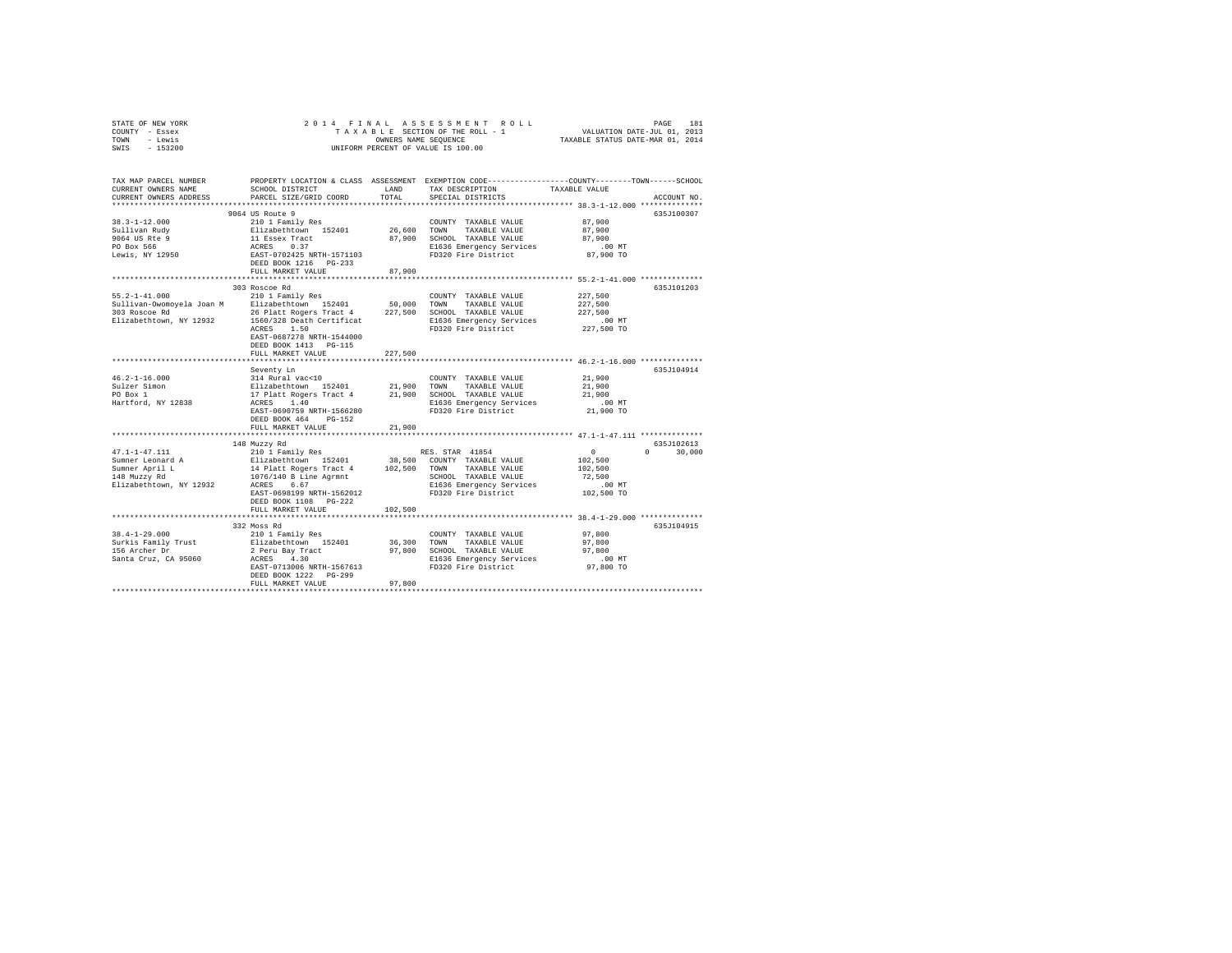| STATE OF NEW YORK      |                                                                          |         | 2014 FINAL ASSESSMENT ROLL                      | PAGE                                                                                            | 181         |
|------------------------|--------------------------------------------------------------------------|---------|-------------------------------------------------|-------------------------------------------------------------------------------------------------|-------------|
| COUNTY - Essex         |                                                                          |         |                                                 | TAXABLE SECTION OF THE ROLL - 1 VALUATION DATE-JUL 01, 2013                                     |             |
| TOWN<br>- Lewis        |                                                                          |         |                                                 | OWNERS NAME SEQUENCE TAXABLE STATUS DATE-MAR 01, 2014                                           |             |
| SWIS - 153200          |                                                                          |         | UNIFORM PERCENT OF VALUE IS 100.00              |                                                                                                 |             |
|                        |                                                                          |         |                                                 |                                                                                                 |             |
|                        |                                                                          |         |                                                 |                                                                                                 |             |
|                        |                                                                          |         |                                                 |                                                                                                 |             |
| TAX MAP PARCEL NUMBER  |                                                                          |         |                                                 | PROPERTY LOCATION & CLASS ASSESSMENT EXEMPTION CODE----------------COUNTY-------TOWN-----SCHOOL |             |
| CURRENT OWNERS NAME    | SCHOOL DISTRICT                                                          |         | LAND TAX DESCRIPTION TAXABLE VALUE              |                                                                                                 |             |
| CURRENT OWNERS ADDRESS | PARCEL SIZE/GRID COORD TOTAL SPECIAL DISTRICTS                           |         |                                                 |                                                                                                 | ACCOUNT NO. |
|                        |                                                                          |         |                                                 |                                                                                                 |             |
|                        | 9064 US Route 9                                                          |         |                                                 |                                                                                                 | 635J100307  |
| $38.3 - 1 - 12.000$    | 210 1 Family Res                                                         |         | COUNTY TAXABLE VALUE 87,900                     |                                                                                                 |             |
| Sullivan Rudy          | Elizabethtown 152401 26,600 TOWN                                         |         | TAXABLE VALUE 87,900                            |                                                                                                 |             |
| 9064 US Rte 9          | 11 Essex Tract                                                           |         | 87,900 SCHOOL TAXABLE VALUE                     | 87,900                                                                                          |             |
| PO Box 566             | ACRES 0.37                                                               |         |                                                 | .00 MT                                                                                          |             |
|                        | EAST-0702425 NRTH-1571103                                                |         | E1636 Emergency Services<br>FD320 Fire District | 87,900 TO                                                                                       |             |
| Lewis, NY 12950        |                                                                          |         |                                                 |                                                                                                 |             |
|                        | DEED BOOK 1216 PG-233                                                    |         |                                                 |                                                                                                 |             |
|                        | FULL MARKET VALUE                                                        | 87.900  |                                                 |                                                                                                 |             |
|                        |                                                                          |         |                                                 |                                                                                                 | 635.T101203 |
|                        | 303 Roscoe Rd                                                            |         |                                                 |                                                                                                 |             |
|                        | 55.2-1-41.000 210 1 Family Res                                           |         | COUNTY TAXABLE VALUE                            | 227,500                                                                                         |             |
|                        | Sullivan-Owomoyela Joan M Elizabethtown 152401 50,000 TOWN TAXABLE VALUE |         |                                                 | 227,500                                                                                         |             |
|                        |                                                                          |         |                                                 | 227,500                                                                                         |             |
|                        |                                                                          |         | E1636 Emergency Services<br>FD320 Fire District | $.00$ MT                                                                                        |             |
|                        | ACRES 1.50                                                               |         |                                                 | 227,500 TO                                                                                      |             |
|                        | EAST-0687278 NRTH-1544000                                                |         |                                                 |                                                                                                 |             |
|                        | DEED BOOK 1413 PG-115                                                    |         |                                                 |                                                                                                 |             |
|                        | FULL MARKET VALUE                                                        | 227,500 |                                                 |                                                                                                 |             |
|                        |                                                                          |         |                                                 |                                                                                                 |             |
|                        | Seventy Ln                                                               |         |                                                 |                                                                                                 | 635.T104914 |
| $46.2 - 1 - 16.000$    | 314 Rural vac<10                                                         |         | COUNTY TAXABLE VALUE                            | 21,900                                                                                          |             |
| Sulzer Simon           | Elizabethtown 152401 21,900 TOWN TAXABLE VALUE                           |         |                                                 | 21,900                                                                                          |             |
| PO Box 1               | 17 Platt Rogers Tract 4 21,900                                           |         | SCHOOL TAXABLE VALUE                            | 21,900                                                                                          |             |
| Hartford, NY 12838     | ACRES 1.40                                                               |         | E1636 Emergency Services .00 MT                 |                                                                                                 |             |
|                        | EAST-0690759 NRTH-1566280                                                |         | FD320 Fire District 21,900 TO                   |                                                                                                 |             |
|                        | DEED BOOK 464 PG-152                                                     |         |                                                 |                                                                                                 |             |
|                        | FULL MARKET VALUE                                                        | 21,900  |                                                 |                                                                                                 |             |
|                        |                                                                          |         |                                                 |                                                                                                 |             |
|                        | 148 Muzzy Rd                                                             |         |                                                 |                                                                                                 | 635J102613  |
|                        |                                                                          |         |                                                 |                                                                                                 |             |

47.1-1-47.111 210 1 Family Res RES. STAR 41854 0 0 30,000 Sumner Leonard A Elizabethtown 152401 38,500 COUNTY TAXABLE VALUE 102,500 Sumner April L 14 Platt Rogers Tract 4 102,500 TOWN TAXABLE VALUE 102,500

148 Muzzy Rd 1076/140 B Line Agrmnt SCHOOL TAXABLE VALUE 72,500 Elizabethtown, NY 12932 ACRES 6.67 E1636 Emergency Services .00 MT EAST-0698199 NRTH-1562012 FD320 Fire District 102,500 TO DEED BOOK 1108 PG-222 FULL MARKET VALUE 102,500 \*\*\*\*\*\*\*\*\*\*\*\*\*\*\*\*\*\*\*\*\*\*\*\*\*\*\*\*\*\*\*\*\*\*\*\*\*\*\*\*\*\*\*\*\*\*\*\*\*\*\*\*\*\*\*\*\*\*\*\*\*\*\*\*\*\*\*\*\*\*\*\*\*\*\*\*\*\*\*\*\*\*\*\*\*\*\*\*\*\*\*\*\*\*\*\*\*\*\*\*\*\*\* 38.4-1-29.000 \*\*\*\*\*\*\*\*\*\*\*\*\*\* 332 Moss Rd 635J104915

FULL MARKET VALUE 97,800 \*\*\*\*\*\*\*\*\*\*\*\*\*\*\*\*\*\*\*\*\*\*\*\*\*\*\*\*\*\*\*\*\*\*\*\*\*\*\*\*\*\*\*\*\*\*\*\*\*\*\*\*\*\*\*\*\*\*\*\*\*\*\*\*\*\*\*\*\*\*\*\*\*\*\*\*\*\*\*\*\*\*\*\*\*\*\*\*\*\*\*\*\*\*\*\*\*\*\*\*\*\*\*\*\*\*\*\*\*\*\*\*\*\*\*\*\*\*\*\*\*\*\*\*\*\*\*\*\*\*\*\*

38.4-1-29.000 210 1 Family Res COUNTY TAXABLE VALUE 97,800 Surkis Family Trust Elizabethtown 152401 36,300 TOWN TAXABLE VALUE 97,800 156 Archer Dr 2 Peru Bay Tract 97,800 SCHOOL TAXABLE VALUE 97,800 Santa Cruz, CA 95060 ACRES 4.30 E1636 Emergency Services .00 MT EAST-0713006 NRTH-1567613 FD320 Fire District 97,800 TO DEED BOOK 1222 PG-299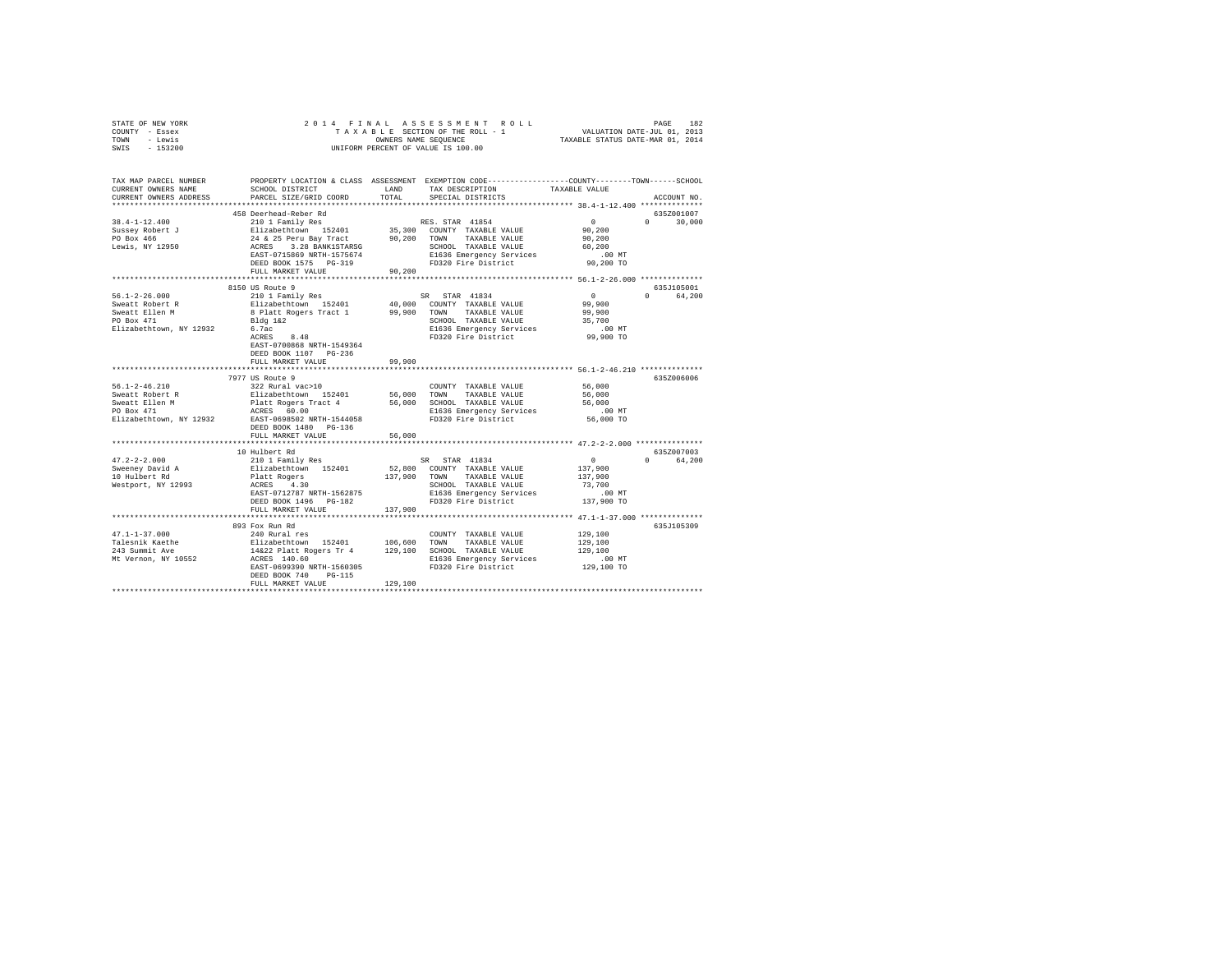| STATE OF NEW YORK<br>COUNTY - Essex<br>TOWN - Lewis<br>SWIS - 153200                                                                                                   | OWNERS NAME SEQUENCE<br>UNIFORM PERCENT OF VALUE IS 100.00                                                                                                                                                                                                                                                                                                                                                                                           |             |                                                                                                               |                                                                                      |                        |
|------------------------------------------------------------------------------------------------------------------------------------------------------------------------|------------------------------------------------------------------------------------------------------------------------------------------------------------------------------------------------------------------------------------------------------------------------------------------------------------------------------------------------------------------------------------------------------------------------------------------------------|-------------|---------------------------------------------------------------------------------------------------------------|--------------------------------------------------------------------------------------|------------------------|
| TAX MAP PARCEL NUMBER PROPERTY LOCATION & CLASS ASSESSMENT EXEMPTION CODE---------------COUNTY-------TOWN------SCHOOL<br>CURRENT OWNERS NAME<br>CURRENT OWNERS ADDRESS | SCHOOL DISTRICT LAND<br>PARCEL SIZE/GRID COORD                                                                                                                                                                                                                                                                                                                                                                                                       | TOTAL       | TAX DESCRIPTION<br>SPECIAL DISTRICTS                                                                          | TAXABLE VALUE                                                                        | ACCOUNT NO.            |
|                                                                                                                                                                        | 458 Deerhead-Reber Rd                                                                                                                                                                                                                                                                                                                                                                                                                                |             |                                                                                                               |                                                                                      | 635Z001007             |
| $38.4 - 1 - 12.400$<br>Sussey Robert J<br>PO Box 466<br>Lewis, NY 12950                                                                                                | 458 Decread-Reber KG RES. STAR 41854<br>Elizabethcoven 152401 85,300 COUNTY TAXABLE VALUE<br>24 & 25 Peru Bay Tract 90,200 COWNT TAXABLE VALUE<br>24 & 25 Peru Bay Tract 90,200 TOWN TAXABLE VALUE<br>RESE 3.28 BANKISTRASG SCHOOL TAX<br>FULL MARKET VALUE                                                                                                                                                                                          | 90,200      |                                                                                                               | $\sim$ 0<br>90, 200<br>90,200<br>60,200<br>$.00$ MT<br>90,200 TO                     | $0 \t 30,000$          |
|                                                                                                                                                                        |                                                                                                                                                                                                                                                                                                                                                                                                                                                      |             |                                                                                                               |                                                                                      |                        |
|                                                                                                                                                                        | 8150 US Route 9                                                                                                                                                                                                                                                                                                                                                                                                                                      |             |                                                                                                               |                                                                                      | 635J105001             |
| $56.1 - 2 - 26.000$<br>Sweatt Robert R<br>Sweatt Ellen M<br>PO Box 471<br>Elizabethtown, NY 12932                                                                      | 210 1 Family Res<br>Elizabethtown 152401 40,000 COUNTY TAXABLE VALUE<br>8 Platt Rogers Tract 1 99,900 TOWN TAXABLE VALUE<br>Bldg 1&2<br>6.7ac<br>ACRES 8.48<br>6.7ac<br>EAST-0700868 NRTH-1549364<br>DEED BOOK 1107 PG-236<br>FULL MARKET VALUE                                                                                                                                                                                                      | 99,900      | SR STAR 41834<br>SCHOOL TAXABLE VALUE<br>E1636 Emergency Services 6.00 MT<br>FD320 Fire District 6.099,900 TO | $\sim$ 0<br>99,900<br>99,900<br>35,700                                               | 0 64,200               |
|                                                                                                                                                                        | *****************************                                                                                                                                                                                                                                                                                                                                                                                                                        | *********** | ***************************** 56.1-2-46.210 *************                                                     |                                                                                      |                        |
| $56.1 - 2 - 46.210$<br>Sweatt Robert R<br>Sweatt Ellen M<br>PO Box 471<br>Elizabethtown, NY 12932 EAST-0698502 NRTH-1544058                                            | 7977 US Route 9<br>322 Rural vac>10<br>Elizabethtown 152401 56,000 TOWN TAXABLE-VALUE<br>Platt Rogers Tract 4 56,000 SCHOOL TAXABLE-VALUE<br>ACRES 60.00 SL636 Emergency Services<br>DEED BOOK 1480 PG-136                                                                                                                                                                                                                                           |             | COUNTY TAXABLE VALUE                                                                                          | 56,000<br>56,000<br>56,000                                                           | 635Z006006             |
|                                                                                                                                                                        | FULL MARKET VALUE                                                                                                                                                                                                                                                                                                                                                                                                                                    | 56,000      |                                                                                                               |                                                                                      |                        |
| $47.2 - 2 - 2.000$<br>Sweeney David A<br>10 Hulbert Rd<br>Westport, NY 12993                                                                                           | 10 Hulbert Rd<br>$\begin{tabular}{lllllllll} & & & & \text{SR} & \text{STAR} & 41834 \\ \text{Platt Rogers} & 152401 & 52,800 & \text{COMNT TXABLE VALUE} \\ \text{RRES} & 4,30 & 137,900 & \text{TOMNT TAXABLE VALUE} \\ \text{RRES} & 4,30 & \text{SCHOOL TAXABLE VALUE} \\ \text{LRES} & 912787 \text{ NRTH}-1562875 & \text{RISC} & \text{RISC} & \text{RACE VALUE} \\ \text{DEED BOKI 1496} & \text{D} & 147.74 & \text{R$<br>FULL MARKET VALUE | 137,900     | SCHOOL TAXABLE VALUE<br>E1636 Emergency Services<br>FD320 Fire District                                       | $\begin{array}{c}0\\137,900\end{array}$<br>137,900<br>73,700<br>.00 MT<br>137,900 TO | 635Z007003<br>0 64,200 |
|                                                                                                                                                                        |                                                                                                                                                                                                                                                                                                                                                                                                                                                      |             |                                                                                                               |                                                                                      |                        |
| $47.1 - 1 - 37.000$<br>Talesnik Kaethe<br>243 Summit Ave<br>Mt Vernon, NY 10552                                                                                        | 893 Fox Run Rd<br>240 Rural res<br>rive area and 152401 106,600 TOWN TAXABLE VALUE<br>14222 Platt Rogers Tr 4 129,100 SCHOOL TAXABLE VALUE<br>1422 Platt Rogers Tr 4 129,100 SCHOOL TAXABLE VALUE<br>ACRES 140.60<br>ACRES 140.60<br>EAST-0699390 NRTH-1560305<br>DEED BOOK 740 PG-115<br>FULL MARKET VALUE                                                                                                                                          | 129,100     | COUNTY TAXABLE VALUE<br>E1636 Emergency Services<br>FD320 Fire District                                       | 129,100<br>129,100<br>129,100<br>$.00$ MT<br>129,100 TO                              | 635J105309             |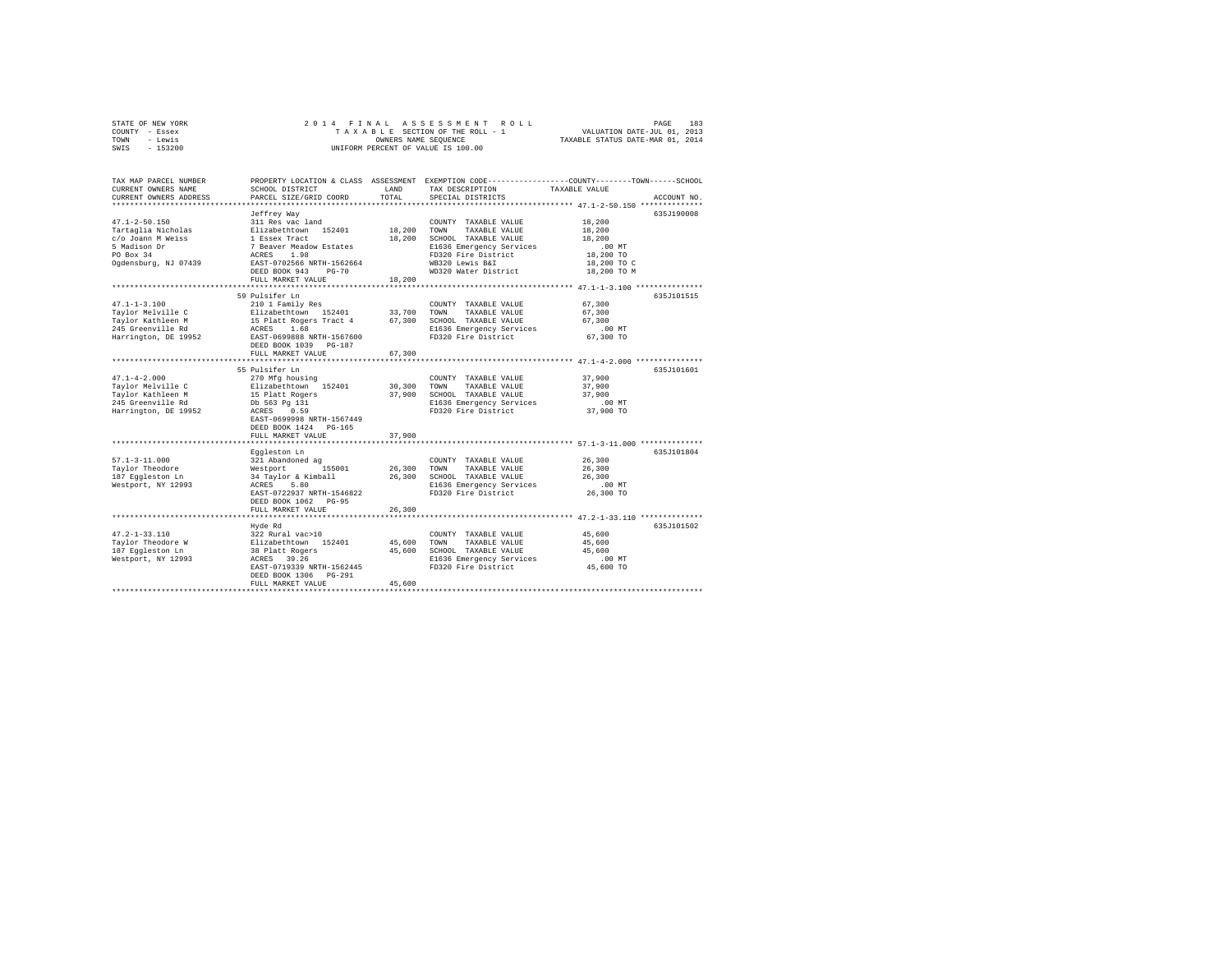| STATE OF NEW YORK |           |  |  |  | 2014 FINAL ASSESSMENT ROLL         | PAGE                             | 183 |
|-------------------|-----------|--|--|--|------------------------------------|----------------------------------|-----|
| COUNTY - Essex    |           |  |  |  | TAXABLE SECTION OF THE ROLL - 1    | VALUATION DATE-JUL 01, 2013      |     |
| TOWN              | - Lewis   |  |  |  | OWNERS NAME SEOUENCE               | TAXABLE STATUS DATE-MAR 01, 2014 |     |
| SWIS              | $-153200$ |  |  |  | UNIFORM PERCENT OF VALUE IS 100.00 |                                  |     |

| TAX MAP PARCEL NUMBER<br>CURRENT OWNERS NAME<br>CURRENT OWNERS ADDRESS | SCHOOL DISTRICT<br>PARCEL SIZE/GRID COORD       | LAND<br>TOTAL | TAX DESCRIPTION<br>SPECIAL DISTRICTS | PROPERTY LOCATION & CLASS ASSESSMENT EXEMPTION CODE----------------COUNTY-------TOWN------SCHOOL<br>TAXABLE VALUE<br>ACCOUNT NO |
|------------------------------------------------------------------------|-------------------------------------------------|---------------|--------------------------------------|---------------------------------------------------------------------------------------------------------------------------------|
| *********************                                                  | *********************                           |               |                                      |                                                                                                                                 |
|                                                                        | Jeffrey Way                                     |               |                                      | 635J190008                                                                                                                      |
| $47.1 - 2 - 50.150$                                                    | 311 Res vac land                                |               | COUNTY TAXABLE VALUE                 | 18,200                                                                                                                          |
| Tartaglia Nicholas                                                     | Elizabethtown 152401                            | 18,200        | TOWN<br>TAXABLE VALUE                | 18,200                                                                                                                          |
| c/o Joann M Weiss                                                      | 1 Essex Tract                                   | 18,200        | SCHOOL TAXABLE VALUE                 | 18,200                                                                                                                          |
| 5 Madison Dr                                                           | 7 Beaver Meadow Estates                         |               | E1636 Emergency Services             | .00MT                                                                                                                           |
| PO Box 34                                                              | 1.98<br>ACRES                                   |               | FD320 Fire District                  | 18,200 TO                                                                                                                       |
| Ogdensburg, NJ 07439                                                   | EAST-0702566 NRTH-1562664                       |               | WB320 Lewis B&I                      | 18,200 TO C                                                                                                                     |
|                                                                        | DEED BOOK 943<br>$PG-70$                        |               | WD320 Water District                 | 18,200 TO M                                                                                                                     |
|                                                                        | FULL MARKET VALUE                               | 18,200        |                                      |                                                                                                                                 |
|                                                                        | 59 Pulsifer Ln                                  |               |                                      | 635J101515                                                                                                                      |
| $47.1 - 1 - 3.100$                                                     | 210 1 Family Res                                |               | COUNTY TAXABLE VALUE                 | 67,300                                                                                                                          |
| Taylor Melville C                                                      | Elizabethtown 152401                            | 33,700        | TOWN<br>TAXABLE VALUE                | 67,300                                                                                                                          |
| Taylor Kathleen M                                                      | 15 Platt Rogers Tract 4                         | 67,300        | SCHOOL TAXABLE VALUE                 | 67,300                                                                                                                          |
| 245 Greenville Rd                                                      | 1.68<br>ACRES                                   |               | E1636 Emergency Services             | .00 MT                                                                                                                          |
| Harrington, DE 19952                                                   | EAST-0699888 NRTH-1567600                       |               | FD320 Fire District                  | 67.300 TO                                                                                                                       |
|                                                                        | DEED BOOK 1039 PG-187                           |               |                                      |                                                                                                                                 |
|                                                                        | FULL MARKET VALUE                               | 67,300        |                                      |                                                                                                                                 |
|                                                                        | **********************                          |               |                                      | ********** 47.1-4-2.000 **************                                                                                          |
|                                                                        | 55 Pulsifer Ln                                  |               |                                      | 635J101601                                                                                                                      |
| $47.1 - 4 - 2.000$                                                     | 270 Mfg housing                                 |               | COUNTY TAXABLE VALUE                 | 37,900                                                                                                                          |
| Taylor Melville C                                                      | Elizabethtown 152401                            | 30,300        | TOWN<br>TAXABLE VALUE                | 37,900                                                                                                                          |
| Taylor Kathleen M                                                      | 15 Platt Rogers                                 | 37,900        | SCHOOL TAXABLE VALUE                 | 37,900                                                                                                                          |
| 245 Greenville Rd                                                      | Db 563 Pg 131                                   |               | E1636 Emergency Services             | .00 MT                                                                                                                          |
| Harrington, DE 19952                                                   | 0.59<br>ACRES                                   |               | FD320 Fire District                  | 37,900 TO                                                                                                                       |
|                                                                        | EAST-0699998 NRTH-1567449                       |               |                                      |                                                                                                                                 |
|                                                                        | DEED BOOK 1424 PG-165                           |               |                                      |                                                                                                                                 |
|                                                                        | FULL MARKET VALUE<br>************************** | 37,900        |                                      |                                                                                                                                 |
|                                                                        | Eqqleston Ln                                    |               |                                      | 635J101804                                                                                                                      |
| $57.1 - 3 - 11.000$                                                    | 321 Abandoned ag                                |               | COUNTY TAXABLE VALUE                 | 26,300                                                                                                                          |
| Taylor Theodore                                                        | Westport<br>155001                              | 26,300        | TOWN<br>TAXABLE VALUE                | 26,300                                                                                                                          |
| 187 Eqqleston Ln                                                       | 34 Taylor & Kimball                             | 26,300        | SCHOOL TAXABLE VALUE                 | 26,300                                                                                                                          |
| Westport, NY 12993                                                     | ACRES<br>5.80                                   |               | E1636 Emergency Services             | $.00$ MT                                                                                                                        |
|                                                                        | EAST-0722937 NRTH-1546822                       |               | FD320 Fire District                  | 26,300 TO                                                                                                                       |
|                                                                        | DEED BOOK 1062 PG-95                            |               |                                      |                                                                                                                                 |
|                                                                        | FULL MARKET VALUE                               | 26,300        |                                      |                                                                                                                                 |
|                                                                        |                                                 |               |                                      |                                                                                                                                 |
|                                                                        | Hyde Rd                                         |               |                                      | 635J101502                                                                                                                      |
| $47.2 - 1 - 33.110$                                                    | 322 Rural vac>10                                |               | COUNTY TAXABLE VALUE                 | 45,600                                                                                                                          |
| Taylor Theodore W                                                      | Elizabethtown 152401                            | 45,600        | TOWN<br>TAXABLE VALUE                | 45,600                                                                                                                          |
| 187 Eqqleston Ln                                                       | 38 Platt Rogers                                 | 45,600        | SCHOOL TAXABLE VALUE                 | 45,600                                                                                                                          |
| Westport, NY 12993                                                     | ACRES 39.26                                     |               | E1636 Emergency Services             | $.00$ MT                                                                                                                        |
|                                                                        | EAST-0719339 NRTH-1562445                       |               | FD320 Fire District                  | 45,600 TO                                                                                                                       |
|                                                                        | DEED BOOK 1306 PG-291<br>FULL MARKET VALUE      | 45,600        |                                      |                                                                                                                                 |
|                                                                        |                                                 |               |                                      |                                                                                                                                 |
|                                                                        |                                                 |               |                                      |                                                                                                                                 |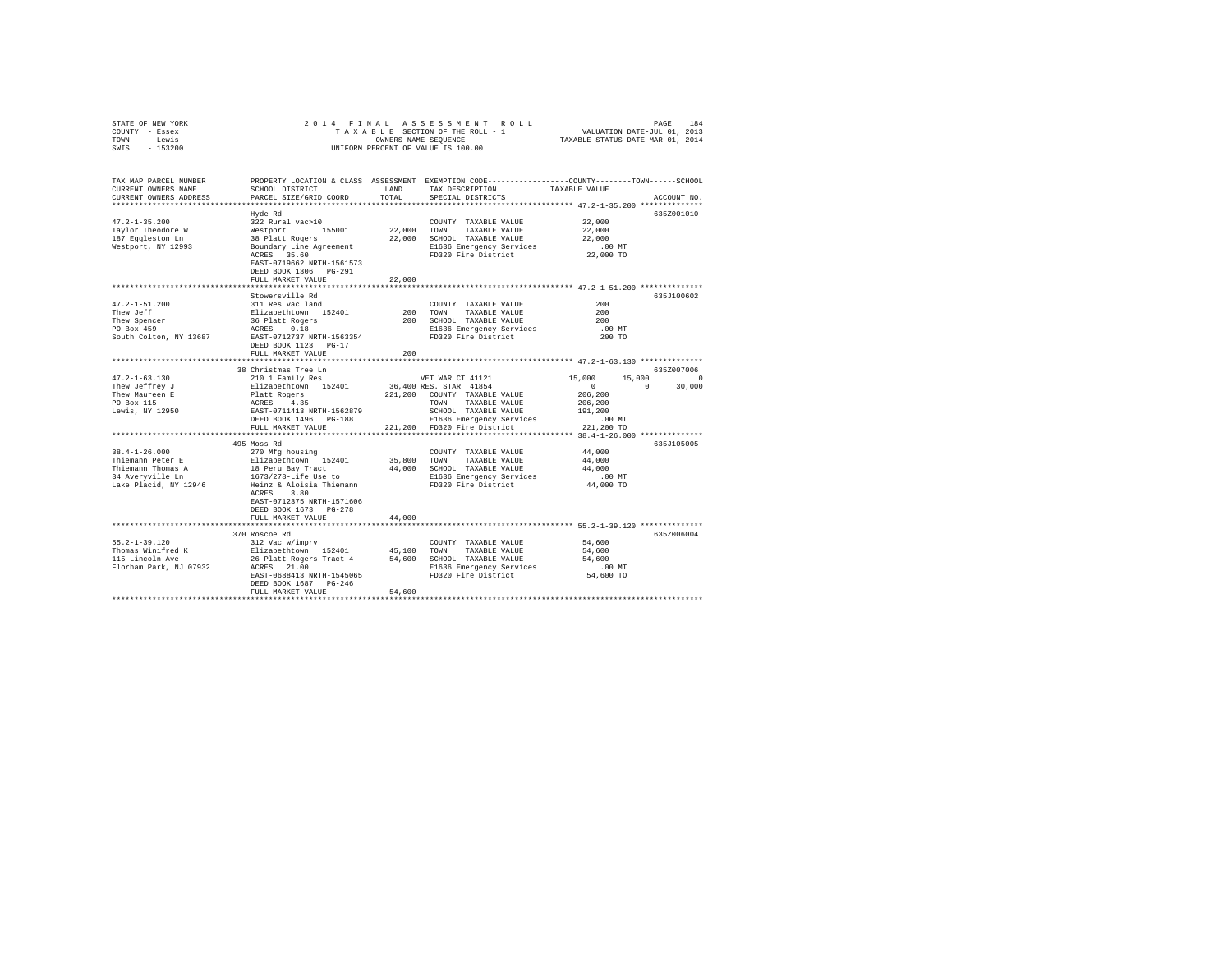| STATE OF NEW YORK                                                 |                                                                                                                                                                                 |        |                                                                                                |                     |             |
|-------------------------------------------------------------------|---------------------------------------------------------------------------------------------------------------------------------------------------------------------------------|--------|------------------------------------------------------------------------------------------------|---------------------|-------------|
| COUNTY - Essex                                                    |                                                                                                                                                                                 |        |                                                                                                |                     |             |
| TOWN - Lewis                                                      |                                                                                                                                                                                 |        |                                                                                                |                     |             |
| SWIS - 153200                                                     |                                                                                                                                                                                 |        | UNIFORM PERCENT OF VALUE IS 100.00                                                             |                     |             |
|                                                                   |                                                                                                                                                                                 |        |                                                                                                |                     |             |
| TAX MAP PARCEL NUMBER                                             |                                                                                                                                                                                 |        | PROPERTY LOCATION & CLASS ASSESSMENT EXEMPTION CODE---------------COUNTY-------TOWN-----SCHOOL |                     |             |
| CURRENT OWNERS NAME                                               | SCHOOL DISTRICT LAND                                                                                                                                                            |        | TAX DESCRIPTION                                                                                | TAXABLE VALUE       |             |
| CURRENT OWNERS ADDRESS                                            | PARCEL SIZE/GRID COORD                                                                                                                                                          | TOTAL  | SPECIAL DISTRICTS                                                                              |                     | ACCOUNT NO. |
|                                                                   |                                                                                                                                                                                 |        |                                                                                                |                     |             |
|                                                                   | Hyde Rd                                                                                                                                                                         |        |                                                                                                |                     | 635Z001010  |
| $47.2 - 1 - 35.200$                                               |                                                                                                                                                                                 |        |                                                                                                | 22,000              |             |
|                                                                   |                                                                                                                                                                                 |        |                                                                                                | 22,000              |             |
| Taylor Theodore W<br>187 Eggleston Ln                             |                                                                                                                                                                                 |        |                                                                                                | 22,000              |             |
| Westport, NY 12993                                                |                                                                                                                                                                                 |        |                                                                                                | .00MT               |             |
|                                                                   | ACRES 35.60                                                                                                                                                                     |        | FD320 Fire District                                                                            | 22,000 TO           |             |
|                                                                   | EAST-0719662 NRTH-1561573                                                                                                                                                       |        |                                                                                                |                     |             |
|                                                                   | DEED BOOK 1306 PG-291                                                                                                                                                           |        |                                                                                                |                     |             |
|                                                                   | FULL MARKET VALUE                                                                                                                                                               | 22,000 |                                                                                                |                     |             |
|                                                                   |                                                                                                                                                                                 |        |                                                                                                |                     |             |
|                                                                   | Stowersville Rd                                                                                                                                                                 |        |                                                                                                |                     | 635J100602  |
| $47.2 - 1 - 51.200$                                               | 311 Res vac land                                                                                                                                                                |        | COUNTY TAXABLE VALUE                                                                           | 200                 |             |
| Thew Jeff                                                         | Elizabethtown 152401<br>36 Platt Rogers<br>ACRES 0.18<br>EAST-0712737 NRTH-1563354                                                                                              |        | 200 TOWN TAXABLE VALUE                                                                         | 200                 |             |
| Thew Spencer<br>PO Box 459                                        |                                                                                                                                                                                 |        | 200 SCHOOL TAXABLE VALUE                                                                       | 200                 |             |
|                                                                   |                                                                                                                                                                                 |        | E1636 Emergency Services<br>FD320 Fire District                                                | $.00$ MT            |             |
| South Colton, NY 13687                                            |                                                                                                                                                                                 |        |                                                                                                | 200 TO              |             |
|                                                                   | DEED BOOK 1123 PG-17                                                                                                                                                            |        |                                                                                                |                     |             |
|                                                                   | FULL MARKET VALUE                                                                                                                                                               | 200    |                                                                                                |                     |             |
|                                                                   |                                                                                                                                                                                 |        |                                                                                                |                     | 635Z007006  |
| $47.2 - 1 - 63.130$                                               | 38 Christmas Tree Ln<br>210 1 Family Res                                                                                                                                        |        | VET WAR CT 41121                                                                               | 15,000 15,000 0     |             |
|                                                                   |                                                                                                                                                                                 |        |                                                                                                | $0 \t 0 \t 30,000$  |             |
|                                                                   |                                                                                                                                                                                 |        |                                                                                                | 206,200             |             |
|                                                                   |                                                                                                                                                                                 |        |                                                                                                | 206,200             |             |
| Thew Jeffrey J<br>Thew Maureen E<br>PO Box 115<br>Lewis, NY 12950 | 210 1 Family Res 4800 RES STAR 41124<br>Flizabethtown 152401 36,400 RES STAR 41854<br>Platt Rogers 221,200 COUNTY TAXABLE VALUE<br>REST-0711413 NRTH-1562879 TOWN TAXABLE VALUE |        | SCHOOL TAXABLE VALUE                                                                           | 191,200             |             |
|                                                                   | DEED BOOK 1496 PG-188                                                                                                                                                           |        | SCHOOL TAXABLE VALUE<br>E1636 Emergency Services                                               | .00 MT              |             |
|                                                                   | FULL MARKET VALUE                                                                                                                                                               |        | 221.200 FD320 Fire District                                                                    | 221,200 TO          |             |
|                                                                   |                                                                                                                                                                                 |        |                                                                                                |                     |             |
|                                                                   | 495 Moss Rd                                                                                                                                                                     |        |                                                                                                |                     | 635J105005  |
| $38.4 - 1 - 26.000$                                               | 270 Mfg housing                                                                                                                                                                 |        | COUNTY TAXABLE VALUE 44,000                                                                    |                     |             |
| Thiemann Peter E                                                  | Elizabethtown 152401                                                                                                                                                            |        | 35,800 TOWN TAXABLE VALUE                                                                      | 44,000              |             |
|                                                                   | 18 Peru Bay Tract                                                                                                                                                               |        | 44,000 SCHOOL TAXABLE VALUE                                                                    | 44,000              |             |
| Thiemann Thomas A<br>34 Averyville Ln                             | 1673/278-Life Use to                                                                                                                                                            |        | E1636 Emergency Services<br>FD320 Fire District                                                |                     |             |
| Lake Placid, NY 12946                                             | Heinz & Aloisia Thiemann                                                                                                                                                        |        | FD320 Fire District                                                                            | 00 MT.<br>44,000 TO |             |
|                                                                   | ACRES 3.80                                                                                                                                                                      |        |                                                                                                |                     |             |
|                                                                   | EAST-0712375 NRTH-1571606                                                                                                                                                       |        |                                                                                                |                     |             |
|                                                                   | DEED BOOK 1673 PG-278                                                                                                                                                           |        |                                                                                                |                     |             |
|                                                                   | FULL MARKET VALUE                                                                                                                                                               | 44,000 |                                                                                                |                     |             |
|                                                                   |                                                                                                                                                                                 |        |                                                                                                |                     |             |
|                                                                   | 370 Roscoe Rd                                                                                                                                                                   |        |                                                                                                |                     | 635Z006004  |
| $55.2 - 1 - 39.120$                                               | 312 Vac w/imprv                                                                                                                                                                 |        | COUNTY TAXABLE VALUE 54,600                                                                    |                     |             |
|                                                                   | Elizabethtown 152401 45,100 TOWN TAXABLE VALUE                                                                                                                                  |        |                                                                                                | 54,600              |             |
| Thomas Winifred K<br>115 Lincoln Ave                              |                                                                                                                                                                                 |        |                                                                                                | 54,600              |             |
| Florham Park, NJ 07932                                            | ook (26 Platt Rogers Tract 4 – 54,600 SCHOOL TAXABLE VALUE<br>26 Platt Rogers Tract 4 – 54,600 SCHOOL TAXABLE VALUE                                                             |        |                                                                                                | 00 MT.<br>54,600 TO |             |
|                                                                   |                                                                                                                                                                                 |        | ACRES 21.00 E1636 Emergency Services<br>EAST-0688413 NRTH-1545065 FD320 Fire District          |                     |             |
|                                                                   | DEED BOOK 1687 PG-246                                                                                                                                                           |        |                                                                                                |                     |             |
|                                                                   | FULL MARKET VALUE                                                                                                                                                               | 54,600 |                                                                                                |                     |             |
|                                                                   |                                                                                                                                                                                 |        |                                                                                                |                     |             |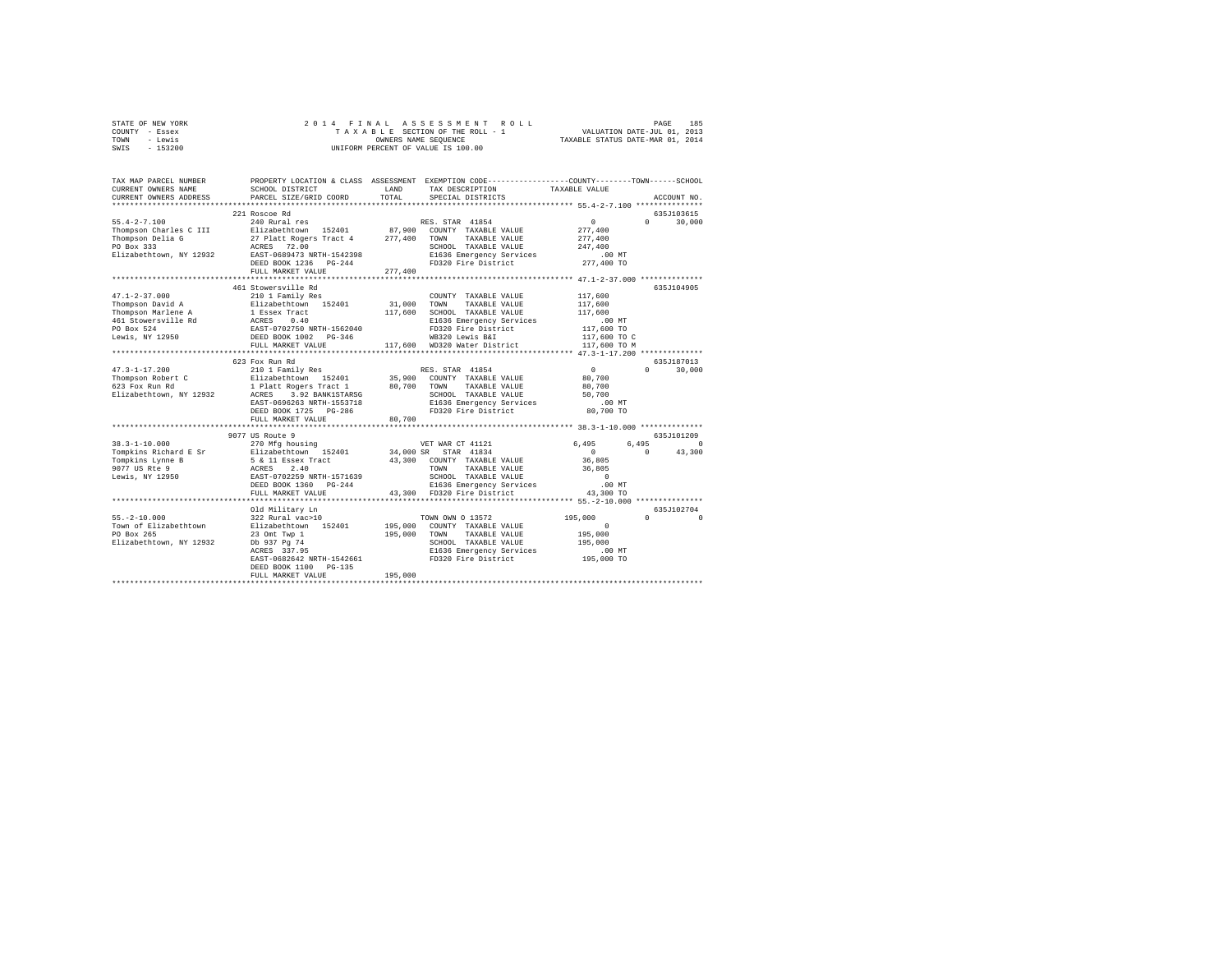| STATE OF NEW YORK | 2014 FINAL ASSESSMENT ROLL         | 185<br>PAGE                      |
|-------------------|------------------------------------|----------------------------------|
| COUNTY - Essex    | TAXABLE SECTION OF THE ROLL - 1    | VALUATION DATE-JUL 01, 2013      |
| TOWN<br>- Lewis   | OWNERS NAME SEOUENCE               | TAXABLE STATUS DATE-MAR 01, 2014 |
| $-153200$<br>SWIS | UNIFORM PERCENT OF VALUE IS 100.00 |                                  |

| TAX MAP PARCEL NUMBER<br>CURRENT OWNERS NAME<br>CURRENT OWNERS ADDRESS                                                                                                                                        | SCHOOL DISTRICT<br>PARCEL SIZE/GRID COORD                                                                                                                                                                                         | LAND<br>TOTAL.          | PROPERTY LOCATION & CLASS ASSESSMENT EXEMPTION CODE----------------COUNTY-------TOWN-----SCHOOL<br>TAX DESCRIPTION<br>SPECIAL DISTRICTS                                     | TAXABLE VALUE                                                                         | ACCOUNT NO.                               |
|---------------------------------------------------------------------------------------------------------------------------------------------------------------------------------------------------------------|-----------------------------------------------------------------------------------------------------------------------------------------------------------------------------------------------------------------------------------|-------------------------|-----------------------------------------------------------------------------------------------------------------------------------------------------------------------------|---------------------------------------------------------------------------------------|-------------------------------------------|
|                                                                                                                                                                                                               |                                                                                                                                                                                                                                   |                         |                                                                                                                                                                             |                                                                                       |                                           |
| $55.4 - 2 - 7.100$<br>Thompson Charles C III Blizabethtown 152401 87,900 COUNTY TAXABLE VALUE<br>Thompson Delia G 27 Platt Rogers Tract 4 277,400 TOWN TAXABLE VALUE<br>PO Box 333<br>Elizabethtown, NY 12932 | 221 Roscoe Rd<br>240 Rural res<br>27 Platt Rogers Tract 4<br>ACRES 72.00<br>EAST-0689473 NRTH-1542398<br>DEED BOOK 1236 PG-244<br>FULL MARKET VALUE                                                                               | 277,400                 | RES. STAR 41854<br>SCHOOL TAXABLE VALUE<br>E1636 Emergency Services<br>FD320 Fire District 277,400 TO                                                                       | $\sim$ 0<br>277,400<br>277,400<br>247.400<br>$2477 - 00 \text{ MT}$<br>00 MT          | 635J103615<br>30,000<br>$\Omega$          |
| $47.1 - 2 - 37.000$<br>Thompson David A<br>Thompson Marlene A<br>461 Stowersville Rd<br>PO Box 524<br>PO Box 524<br>Lewis, NY 12950                                                                           | 461 Stowersville Rd<br>210 1 Family Res<br>Elizabethtown 152401 31,000 TOWN<br>1 Essex Tract 117,600<br>ACRES 0.40<br>EAST-0702750 NRTH-1562040<br>DEED BOOK 1002 PG-346<br>FULL MARKET VALUE<br>*************************        |                         | COUNTY TAXABLE VALUE<br>TAXABLE VALUE<br>117,600 SCHOOL TAXABLE VALUE<br>E1636 Emergency Services<br>FD320 Fire District<br>WB320 Lewis B&I<br>117,600 WD320 Water District | 117,600<br>117,600<br>117,600<br>00 MT.<br>117,600 TO<br>117,600 TO C<br>117,600 TO M | 635J104905                                |
| $47.3 - 1 - 17.200$<br>Thompson Robert C<br>623 Fox Run Rd<br>623 Fox Run Rd<br>Elizabethtown, NY 12932                                                                                                       | 623 Fox Run Rd<br>210 1 Family Res<br>EAST-0696263 NRTH-1553718<br>DEED BOOK 1725 PG-286<br>FULL MARKET VALUE                                                                                                                     | 80,700                  | RES. STAR 41854<br>TAXABLE VALUE<br>SCHOOL TAXABLE VALUE<br>E1636 Emergency Services<br>FD320 Fire District                                                                 | $\sim$ 0<br>80,700<br>80,700<br>50,700<br>$.00$ MT<br>80,700 TO                       | 635J187013<br>$0 \qquad \qquad$<br>30,000 |
|                                                                                                                                                                                                               | 9077 US Route 9                                                                                                                                                                                                                   |                         |                                                                                                                                                                             |                                                                                       | 635J101209                                |
| $38.3 - 1 - 10.000$<br>Tompkins Richard E Sr Blizabethtown 152401 34,000 SR STAR 41834<br>Tompkins Lynne B<br>9077 US Rte 9<br>Lewis, NY 12950                                                                | 270 Mfg housing<br>5 & 11 Essex Tract<br>ACRES 2.40<br>EAST-0702259 NRTH-1571639<br>EAST-0702259 NRTH-1571639<br>DEED BOOK 1360 PG-244<br>FULL MARKET VALUE                                                                       |                         | VET WAR CT 41121<br>43,300 COUNTY TAXABLE VALUE<br>TAXABLE VALUE 36,805<br>TOWN<br>SCHOOL TAXABLE VALUE<br>E1636 Emergency Services<br>43,300 FD320 Fire District           | 6,495<br>$\sim$ 0<br>36,805<br>$\sim$ 0<br>.00 MT<br>43,300 TO                        | 6,495<br>$\Omega$<br>43,300<br>$\Omega$   |
|                                                                                                                                                                                                               |                                                                                                                                                                                                                                   |                         |                                                                                                                                                                             | *** 55. -2-10.000 ***************                                                     |                                           |
| $55. -2 - 10.000$<br>Town of Elizabethtown<br>PO Box 265<br>Elizabethtown, NY 12932                                                                                                                           | Old Military Ln<br>322 Rural vac>10<br>Elizabethtown 152401<br>23 Omt Twp 1<br>Db 937 Pg 74<br>$\mathcal{L}^{\text{max}}_{\text{max}}$<br>ACRES 337.95<br>EAST-0682642 NRTH-1542661<br>DEED BOOK 1100 PG-135<br>FULL MARKET VALUE | 195,000 TOWN<br>195,000 | TOWN OWN 0 13572<br>195,000 COUNTY TAXABLE VALUE<br>TAXABLE VALUE<br>SCHOOL TAXABLE VALUE<br>FD320 Fire District                                                            | 195,000<br>$\Omega$<br>195,000<br>195,000                                             | 635J102704<br>$\Omega$<br>$\Omega$        |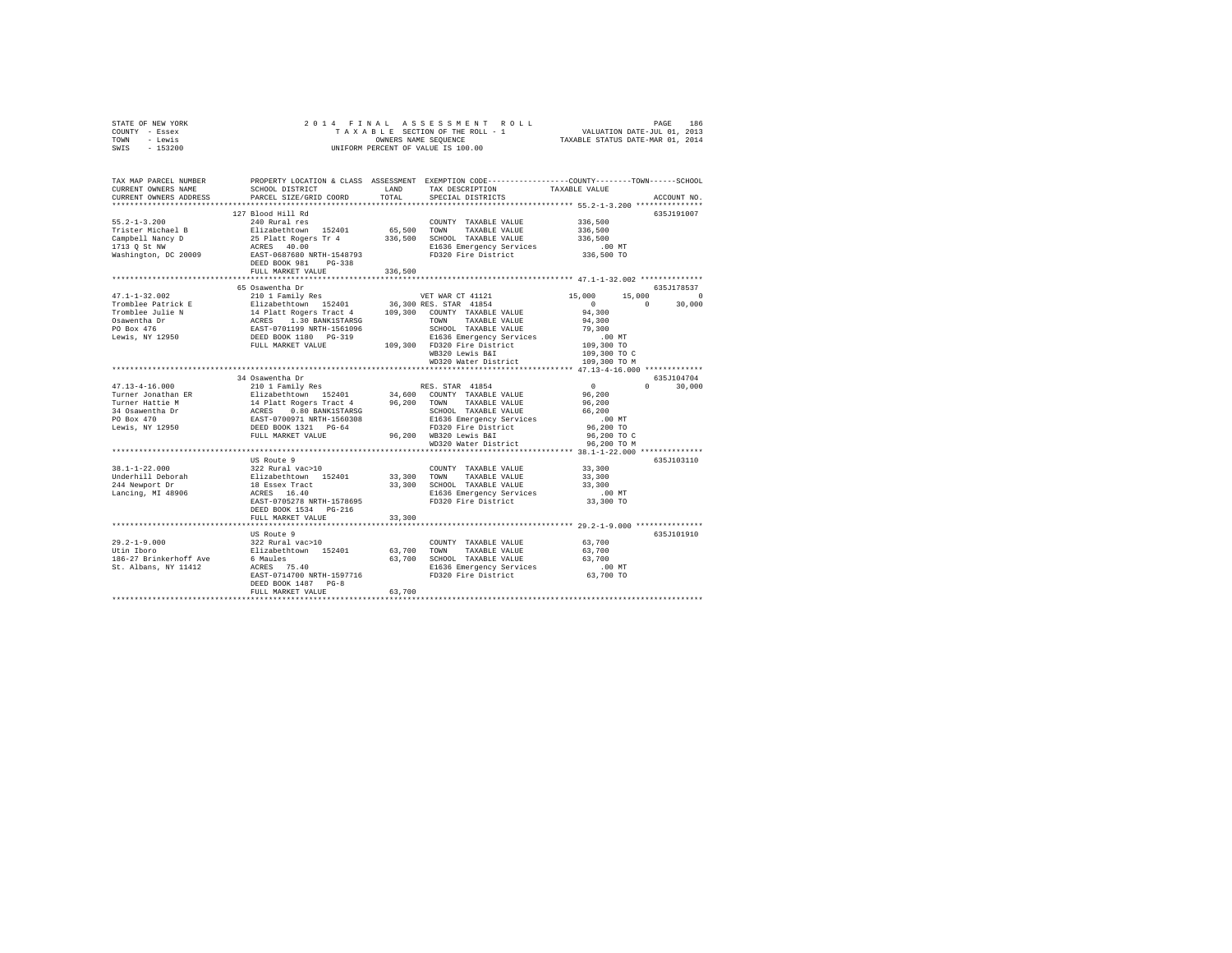| STATE OF NEW YORK<br>COUNTY - Essex<br>TOWN - Lewis<br>SWIS - 153200                                                                                                                                                                                                                                                                                                                                                                                        | $\begin{tabular}{ccccc} 2 & 0 & 1 & 4 & F & I & M & A & S & S & S & S & S & M & E & T & F \\ T & A & X & A & L & S & S & C & T & D & S & D & T & V & V & V & S & T & F & J & U & 0 & 1 & 0 & 1 & 0 & 1 & 0 & 1 & 0 & 1 & 0 & 1 & 0 & 1 & 0 & 1 & 0 & 1 & 0 & 1 & 0 & 1 & 0 & 1 & 0 & 1 & 0 & 1 & 0 & 1 & 0 & 1 & 0 & 1 & 0 & 1 & 0 & 1 & 0 & 1 & 0 & 1 & 0 & 1$<br>OWNERS NAME SEQUENCE<br>UNIFORM PERCENT OF VALUE IS 100.00 |               |                                                                                                                                                      |                                                                              |                                  |  |  |  |
|-------------------------------------------------------------------------------------------------------------------------------------------------------------------------------------------------------------------------------------------------------------------------------------------------------------------------------------------------------------------------------------------------------------------------------------------------------------|-------------------------------------------------------------------------------------------------------------------------------------------------------------------------------------------------------------------------------------------------------------------------------------------------------------------------------------------------------------------------------------------------------------------------------|---------------|------------------------------------------------------------------------------------------------------------------------------------------------------|------------------------------------------------------------------------------|----------------------------------|--|--|--|
| TAX MAP PARCEL NUMBER PROPERTY LOCATION & CLASS ASSESSMENT EXEMPTION CODE---------------COUNTY-------TOWN-----SCHOOL<br>CURRENT OWNERS NAME<br>CURRENT OWNERS ADDRESS                                                                                                                                                                                                                                                                                       | SCHOOL DISTRICT<br>PARCEL SIZE/GRID COORD                                                                                                                                                                                                                                                                                                                                                                                     | LAND<br>TOTAL | TAX DESCRIPTION<br>SPECIAL DISTRICTS                                                                                                                 | TAXABLE VALUE                                                                | ACCOUNT NO.                      |  |  |  |
| $55.2 - 1 - 3.200$                                                                                                                                                                                                                                                                                                                                                                                                                                          | 127 Blood Hill Rd<br>240 Rural res<br>DEED BOOK 981 PG-338<br>FULL MARKET VALUE                                                                                                                                                                                                                                                                                                                                               | 336,500       | COUNTY TAXABLE VALUE<br>FD320 Fire District                                                                                                          | 336,500<br>336,500<br>336,500<br>00 MT.<br>336,500 TO                        | 635J191007                       |  |  |  |
|                                                                                                                                                                                                                                                                                                                                                                                                                                                             |                                                                                                                                                                                                                                                                                                                                                                                                                               |               |                                                                                                                                                      |                                                                              |                                  |  |  |  |
| $47.1 - 1 - 32.002$<br>Tromblee Patrick E<br>Tromblee Julie N<br>Osawentha Dr<br>PO Box 476<br>Lewis, NY 12950                                                                                                                                                                                                                                                                                                                                              | 65 Osawentha Dr<br>% Osawentha Dr Namely Response to the Magnetheory 152401<br>210 1 Family Res 1.30 185,300 RES STAR 41854<br>14 Platt Rogers Tract 4 109,300 COUNTY TAXABLE VALUE<br>21 APLATT NO BANKISTRANSG 1000 TOWN TAXABLE VALUE<br>RAST-0701199                                                                                                                                                                      |               | SCHOOL TAXABLE VALUE<br>WD320 Water District 109,300 TO M                                                                                            | 15,000<br>94,300<br>94,300<br>79,300<br>,<br>109,300 TO<br>109,300 TO C      | 635J178537<br>15,000 0<br>30,000 |  |  |  |
|                                                                                                                                                                                                                                                                                                                                                                                                                                                             |                                                                                                                                                                                                                                                                                                                                                                                                                               |               |                                                                                                                                                      |                                                                              |                                  |  |  |  |
| $\begin{tabular}{l c c c c c} \multicolumn{3}{c}{47.13-4-16.000} & \multicolumn{3}{c}{\multicolumn{3}{c}{\multicolumn{3}{c}{\multicolumn{3}{c}{\multicolumn{3}{c}{\multicolumn{3}{c}{\multicolumn{3}{c}{\multicolumn{3}{c}{\multicolumn{3}{c}{\multicolumn{3}{c}{\multicolumn{3}{c}{\multicolumn{3}{c}{\multicolumn{3}{c}{\multicolumn{3}{c}{\multicolumn{3}{c}{\multicolumn{3}{c}{\multicolumn{3}{c}{\multicolumn{3}{c}{\multicolumn{3}{c}{\multicolumn{3$ | 34 Osawentha Dr                                                                                                                                                                                                                                                                                                                                                                                                               |               |                                                                                                                                                      | $\sim$ 0<br>96,200<br>96,200<br>66,200<br>.00 MT<br>96,200 TO<br>96,200 TO C | 635J104704<br>$0 \t 30.000$      |  |  |  |
|                                                                                                                                                                                                                                                                                                                                                                                                                                                             |                                                                                                                                                                                                                                                                                                                                                                                                                               |               | WD320 Water District                                                                                                                                 | 96,200 TO M                                                                  |                                  |  |  |  |
| $38.1 - 1 - 22.000$<br>Underhill Deborah<br>244 Newport Dr<br>Lancing, MI 48906                                                                                                                                                                                                                                                                                                                                                                             | US Route 9<br>322 Rural vac>10<br>Elizabethtown 152401<br>18 Essex Tract<br>ACRES 16.40<br>EAST-0705278 NRTH-1578695<br>DEED BOOK 1534 PG-216                                                                                                                                                                                                                                                                                 |               | COUNTY TAXABLE VALUE<br>33,300 TOWN TAXABLE VALUE<br>33,300 SCHOOL TAXABLE VALUE<br>E1636 Emergency Services .00 MT<br>FD320 Fire District 33,300 TO | 33,300<br>33,300<br>33,300                                                   | 635J103110                       |  |  |  |
|                                                                                                                                                                                                                                                                                                                                                                                                                                                             | FULL MARKET VALUE                                                                                                                                                                                                                                                                                                                                                                                                             | 33,300        |                                                                                                                                                      |                                                                              |                                  |  |  |  |
| 29.2-1-9.000<br>Utin Iboro<br>186-27 Brinkerhoff Ave 6 Maules<br>St. Albans, NY 11412 ACRES 75.40                                                                                                                                                                                                                                                                                                                                                           | US Route 9<br>322 Rural vac>10<br>Elizabethtown 152401                                                                                                                                                                                                                                                                                                                                                                        |               | COUNTY TAXABLE VALUE<br>63,700 TOWN TAXABLE VALUE<br>63,700 SCHOOL TAXABLE VALUE                                                                     | 63,700<br>63,700<br>63,700<br>00 MT.<br>63,700 TO                            | 635J101910                       |  |  |  |
|                                                                                                                                                                                                                                                                                                                                                                                                                                                             | DEED BOOK 1487 PG-8<br>FULL MARKET VALUE                                                                                                                                                                                                                                                                                                                                                                                      | 63,700        |                                                                                                                                                      |                                                                              |                                  |  |  |  |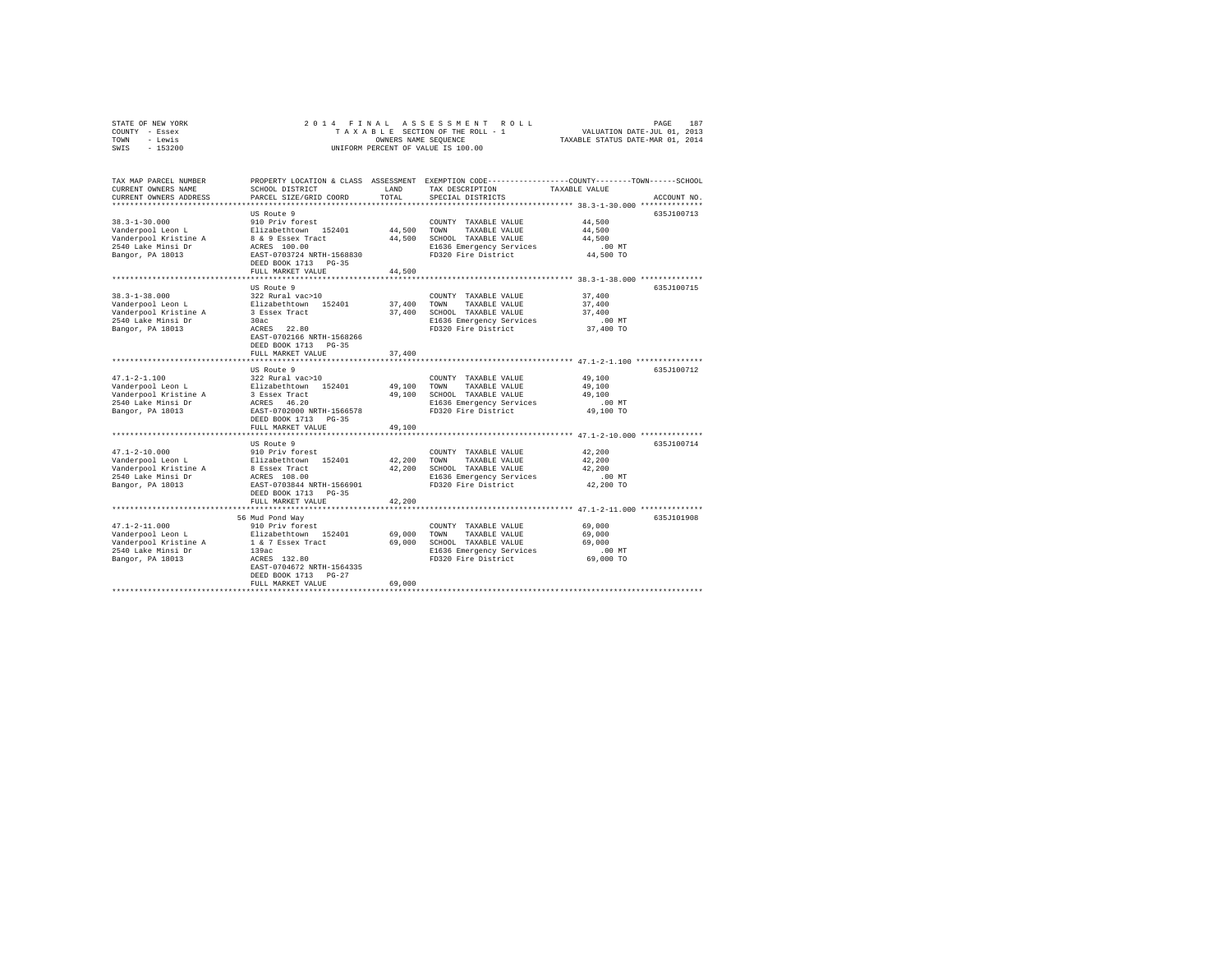| STATE OF NEW YORK<br>COUNTY - Essex | 2014 FINAL                                |                                  | ASSESSMENT ROLL<br>TAXABLE SECTION OF THE ROLL - 1                                              | VALUATION DATE-JUL 01, 2013                                 | PAGE<br>187 |
|-------------------------------------|-------------------------------------------|----------------------------------|-------------------------------------------------------------------------------------------------|-------------------------------------------------------------|-------------|
| TOWN<br>- Lewis                     |                                           | TAXABLE STATUS DATE-MAR 01, 2014 |                                                                                                 |                                                             |             |
| SWIS<br>$-153200$                   |                                           |                                  | OWNERS NAME SEQUENCE<br>UNIFORM PERCENT OF VALUE IS 100.00                                      |                                                             |             |
|                                     |                                           |                                  |                                                                                                 |                                                             |             |
| TAX MAP PARCEL NUMBER               |                                           |                                  | PROPERTY LOCATION & CLASS ASSESSMENT EXEMPTION CODE---------------COUNTY-------TOWN------SCHOOL |                                                             |             |
| CURRENT OWNERS NAME                 | SCHOOL DISTRICT                           | LAND                             | TAX DESCRIPTION                                                                                 | TAXABLE VALUE                                               |             |
| CURRENT OWNERS ADDRESS              | PARCEL SIZE/GRID COORD                    | TOTAL                            | SPECIAL DISTRICTS                                                                               |                                                             | ACCOUNT NO. |
|                                     |                                           |                                  |                                                                                                 |                                                             |             |
|                                     | US Route 9                                |                                  |                                                                                                 |                                                             | 635J100713  |
| $38.3 - 1 - 30.000$                 | 910 Priv forest                           |                                  | COUNTY TAXABLE VALUE                                                                            | 44.500                                                      |             |
| Vanderpool Leon L                   | Elizabethtown 152401                      | 44,500                           | TOWN<br>TAXABLE VALUE                                                                           | 44,500                                                      |             |
| Vanderpool Kristine A               | 8 & 9 Essex Tract                         | 44,500                           | SCHOOL TAXABLE VALUE                                                                            | 44,500                                                      |             |
| 2540 Lake Minsi Dr                  | ACRES 100.00                              |                                  | E1636 Emergency Services                                                                        | $.00$ MT                                                    |             |
| Bangor, PA 18013                    | EAST-0703724 NRTH-1568830                 |                                  | FD320 Fire District                                                                             | 44,500 TO                                                   |             |
|                                     | DEED BOOK 1713 PG-35                      |                                  |                                                                                                 |                                                             |             |
|                                     | FULL MARKET VALUE                         | 44,500                           |                                                                                                 |                                                             |             |
|                                     |                                           |                                  |                                                                                                 |                                                             |             |
|                                     | US Route 9                                |                                  |                                                                                                 |                                                             | 635J100715  |
| $38.3 - 1 - 38.000$                 | 322 Rural vac>10                          |                                  | COUNTY TAXABLE VALUE                                                                            | 37,400                                                      |             |
| Vanderpool Leon L                   | Elizabethtown 152401                      | 37,400                           | TOWN<br>TAXABLE VALUE                                                                           | 37,400                                                      |             |
| Vanderpool Kristine A               | 3 Essex Tract                             | 37,400                           | SCHOOL TAXABLE VALUE                                                                            | 37,400                                                      |             |
| 2540 Lake Minsi Dr                  | 30ac                                      |                                  | E1636 Emergency Services                                                                        | $.00$ MT                                                    |             |
| Bangor, PA 18013                    | ACRES 22.80                               |                                  | FD320 Fire District                                                                             | 37,400 TO                                                   |             |
|                                     | EAST-0702166 NRTH-1568266                 |                                  |                                                                                                 |                                                             |             |
|                                     | DEED BOOK 1713 PG-35                      |                                  |                                                                                                 |                                                             |             |
|                                     | FULL MARKET VALUE                         | 37,400                           |                                                                                                 |                                                             |             |
|                                     | US Route 9                                |                                  |                                                                                                 |                                                             | 635J100712  |
| $47.1 - 2 - 1.100$                  | 322 Rural vac>10                          |                                  | COUNTY TAXABLE VALUE                                                                            | 49,100                                                      |             |
| Vanderpool Leon L                   | Elizabethtown 152401                      | 49,100                           | TOWN<br>TAXABLE VALUE                                                                           | 49,100                                                      |             |
| Vanderpool Kristine A               | 3 Essex Tract                             | 49,100                           | SCHOOL TAXABLE VALUE                                                                            | 49,100                                                      |             |
| 2540 Lake Minsi Dr                  | ACRES 46.20                               |                                  | E1636 Emergency Services                                                                        | $.00$ MT                                                    |             |
| Bangor, PA 18013                    | EAST-0702000 NRTH-1566578                 |                                  | FD320 Fire District                                                                             | 49,100 TO                                                   |             |
|                                     | DEED BOOK 1713 PG-35                      |                                  |                                                                                                 |                                                             |             |
|                                     | FULL MARKET VALUE                         | 49,100                           |                                                                                                 |                                                             |             |
|                                     |                                           |                                  |                                                                                                 | **************************** 47.1-2-10.000 **************   |             |
|                                     | US Route 9                                |                                  |                                                                                                 |                                                             | 635.T100714 |
| $47.1 - 2 - 10.000$                 | 910 Priv forest                           |                                  | COUNTY TAXABLE VALUE                                                                            | 42,200                                                      |             |
|                                     |                                           |                                  |                                                                                                 |                                                             |             |
| Vanderpool Leon L                   | Elizabethtown 152401                      | 42,200                           | TOWN<br>TAXABLE VALUE                                                                           | 42.200                                                      |             |
| Vanderpool Kristine A               | 8 Essex Tract                             | 42,200                           | SCHOOL TAXABLE VALUE                                                                            | 42,200                                                      |             |
| 2540 Lake Minsi Dr                  | ACRES 108.00                              |                                  | E1636 Emergency Services                                                                        | $.00$ MT                                                    |             |
| Bangor, PA 18013                    | EAST-0703844 NRTH-1566901                 |                                  | FD320 Fire District                                                                             | 42,200 TO                                                   |             |
|                                     | DEED BOOK 1713 PG-35                      |                                  |                                                                                                 |                                                             |             |
|                                     | FULL MARKET VALUE                         | 42,200                           |                                                                                                 |                                                             |             |
|                                     | *************************                 |                                  |                                                                                                 | ****************************** 47.1-2-11.000 ************** |             |
|                                     | 56 Mud Pond Way                           |                                  |                                                                                                 |                                                             | 635.T101908 |
| $47.1 - 2 - 11.000$                 | 910 Priv forest                           |                                  | COUNTY TAXABLE VALUE                                                                            | 69,000                                                      |             |
| Vanderpool Leon L                   | Elizabethtown 152401                      | 69,000                           | TOWN<br>TAXABLE VALUE                                                                           | 69,000                                                      |             |
| Vanderpool Kristine A               | 1 & 7 Essex Tract                         | 69,000                           | SCHOOL TAXABLE VALUE                                                                            | 69,000                                                      |             |
| 2540 Lake Minsi Dr                  | 139ac                                     |                                  | E1636 Emergency Services                                                                        | .00MT                                                       |             |
| Bangor, PA 18013                    | ACRES 132.80                              |                                  | FD320 Fire District                                                                             | 69,000 TO                                                   |             |
|                                     | EAST-0704672 NRTH-1564335                 |                                  |                                                                                                 |                                                             |             |
|                                     | DEED BOOK 1713 PG-27<br>FULL MARKET VALUE | 69,000                           |                                                                                                 |                                                             |             |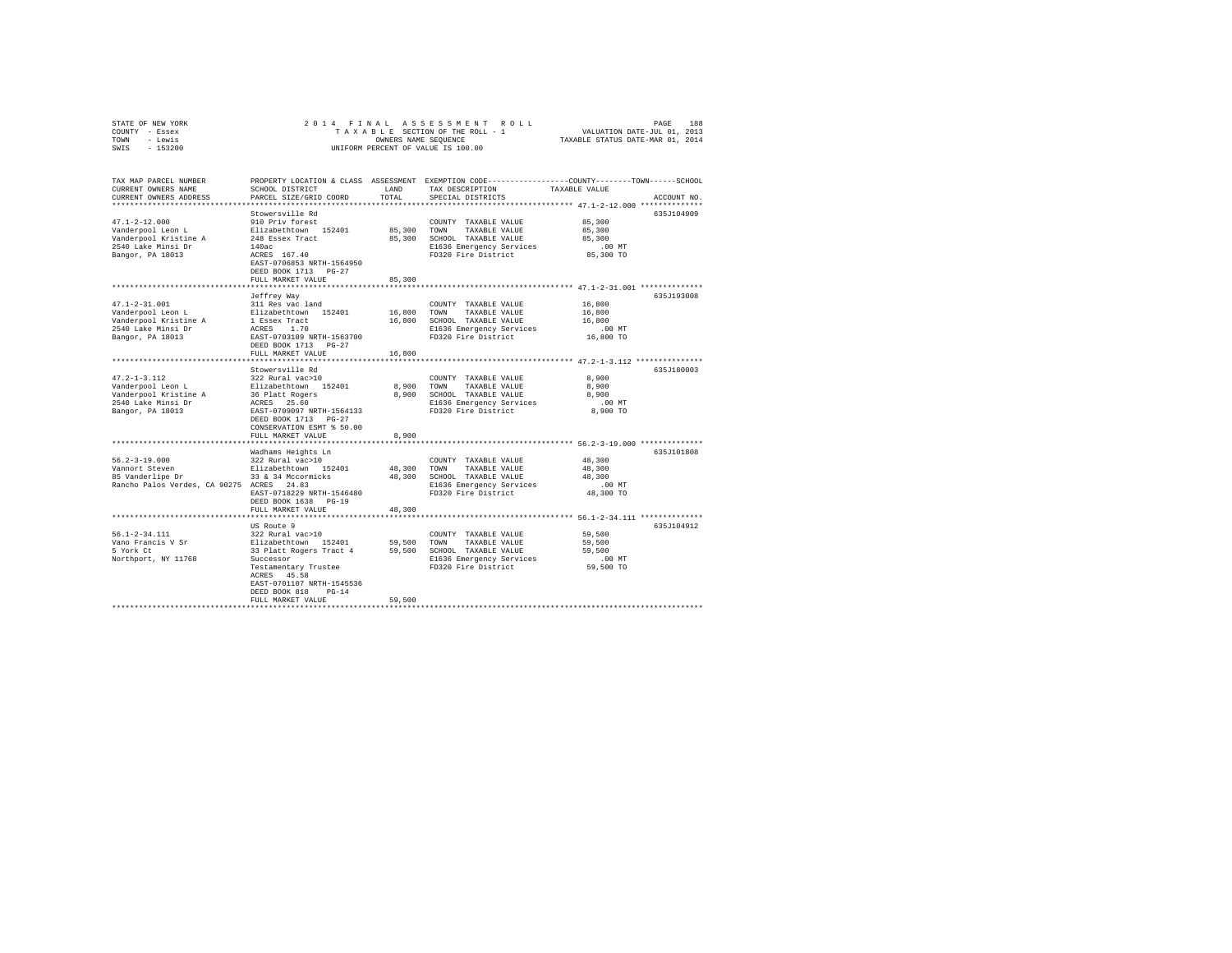| STATE OF NEW YORK                         | 2014 FINAL                                     |               |                                                                                                                                                                          |                                                         |             |
|-------------------------------------------|------------------------------------------------|---------------|--------------------------------------------------------------------------------------------------------------------------------------------------------------------------|---------------------------------------------------------|-------------|
| COUNTY - Essex                            |                                                |               | RAS SESSMENT ROLL PAGE 188<br>SECTION OF THE ROLL - 1 VALUATION DATE-JUL 01, 2013<br>S NAME SEQUENCE TRIABLE STATUS DATE-MAR 01, 2014<br>TAXABLE SECTION OF THE ROLL - 1 |                                                         |             |
| TOWN - Lewis                              |                                                |               | OWNERS NAME SEQUENCE                                                                                                                                                     |                                                         |             |
| $-153200$<br>SWIS                         |                                                |               | UNIFORM PERCENT OF VALUE IS 100.00                                                                                                                                       |                                                         |             |
|                                           |                                                |               |                                                                                                                                                                          |                                                         |             |
|                                           |                                                |               |                                                                                                                                                                          |                                                         |             |
| TAX MAP PARCEL NUMBER                     |                                                |               | PROPERTY LOCATION & CLASS ASSESSMENT EXEMPTION CODE---------------COUNTY-------TOWN------SCHOOL                                                                          |                                                         |             |
| CURRENT OWNERS NAME                       | SCHOOL DISTRICT                                | LAND          | TAX DESCRIPTION                                                                                                                                                          | TAXABLE VALUE                                           |             |
| CURRENT OWNERS ADDRESS                    | PARCEL SIZE/GRID COORD                         | TOTAL         | SPECIAL DISTRICTS                                                                                                                                                        |                                                         | ACCOUNT NO. |
|                                           |                                                |               |                                                                                                                                                                          |                                                         |             |
|                                           | Stowersville Rd                                |               |                                                                                                                                                                          |                                                         | 635J104909  |
| $47.1 - 2 - 12.000$                       | 910 Priv forest                                |               | COUNTY TAXABLE VALUE                                                                                                                                                     | 85,300                                                  |             |
| Vanderpool Leon L                         | Elizabethtown 152401                           |               | 85,300 TOWN TAXABLE VALUE                                                                                                                                                | 85,300                                                  |             |
| Vanderpool Kristine A                     | 248 Essex Tract                                |               | 85,300 SCHOOL TAXABLE VALUE                                                                                                                                              | 85,300                                                  |             |
| 2540 Lake Minsi Dr                        | 140ac                                          |               | E1636 Emergency Services                                                                                                                                                 | $.00$ MT                                                |             |
| Bangor, PA 18013                          | ACRES 167.40                                   |               | FD320 Fire District                                                                                                                                                      | 85,300 TO                                               |             |
|                                           | EAST-0706853 NRTH-1564950                      |               |                                                                                                                                                                          |                                                         |             |
|                                           | DEED BOOK 1713 PG-27                           |               |                                                                                                                                                                          |                                                         |             |
|                                           | FULL MARKET VALUE                              | 85,300        |                                                                                                                                                                          |                                                         |             |
|                                           | *************************                      | ************* | **************************** 47.1-2-31.001 *************                                                                                                                 |                                                         |             |
|                                           | Jeffrey Way                                    |               |                                                                                                                                                                          |                                                         | 635J193008  |
| $47.1 - 2 - 31.001$                       | 311 Res vac land                               |               | COUNTY TAXABLE VALUE                                                                                                                                                     | 16,800                                                  |             |
| Vanderpool Leon L                         | Elizabethtown 152401                           | 16,800        | TOWN<br>TAXABLE VALUE                                                                                                                                                    | 16,800                                                  |             |
| Vanderpool Kristine A                     | 1 Essex Tract<br>ACRES 1 70                    |               | 16,800 SCHOOL TAXABLE VALUE                                                                                                                                              | 16,800                                                  |             |
| 2540 Lake Minsi Dr                        | ACRES 1.70                                     |               | E1636 Emergency Services                                                                                                                                                 | $.00$ MT                                                |             |
| Bangor, PA 18013                          | EAST-0703109 NRTH-1563700                      |               | FD320 Fire District                                                                                                                                                      | 16,800 TO                                               |             |
|                                           | DEED BOOK 1713 PG-27                           |               |                                                                                                                                                                          |                                                         |             |
|                                           | FULL MARKET VALUE                              | 16,800        | .******************************** 47.2-1-3.112 ***************                                                                                                           |                                                         |             |
|                                           |                                                |               |                                                                                                                                                                          |                                                         |             |
|                                           | Stowersville Rd                                |               |                                                                                                                                                                          |                                                         | 635J180003  |
| $47.2 - 1 - 3.112$<br>Vanderpool Leon L   | 322 Rural vac>10                               |               | COUNTY TAXABLE VALUE                                                                                                                                                     | 8,900                                                   |             |
|                                           | Elizabethtown 152401                           |               | 8,900 TOWN TAXABLE VALUE                                                                                                                                                 | 8,900<br>8,900                                          |             |
| Vanderpool Kristine A                     | 36 Platt Rogers                                |               | 8,900 SCHOOL TAXABLE VALUE                                                                                                                                               |                                                         |             |
| 2540 Lake Minsi Dr<br>Bangor, PA 18013    | ACRES 25.60<br>EAST-0709097 NRTH-1564133       |               | E1636 Emergency Services<br>FD320 Fire District                                                                                                                          | $.00$ MT<br>8,900 TO                                    |             |
|                                           | DEED BOOK 1713 PG-27                           |               |                                                                                                                                                                          |                                                         |             |
|                                           |                                                |               |                                                                                                                                                                          |                                                         |             |
|                                           | CONSERVATION ESMT % 50.00<br>FULL MARKET VALUE | 8,900         |                                                                                                                                                                          |                                                         |             |
|                                           |                                                | *******       |                                                                                                                                                                          | ************************** 56.2-3-19.000 ************** |             |
|                                           | Wadhams Heights Ln                             |               |                                                                                                                                                                          |                                                         | 635J101808  |
| $56.2 - 3 - 19.000$                       | 322 Rural vac>10                               |               | COUNTY TAXABLE VALUE                                                                                                                                                     | 48,300                                                  |             |
| Vannort Steven                            | Elizabethtown 152401                           | 48,300        | TOWN<br>TAXABLE VALUE                                                                                                                                                    | 48,300                                                  |             |
| 85 Vanderlipe Dr                          |                                                |               | 48,300 SCHOOL TAXABLE VALUE                                                                                                                                              | 48,300                                                  |             |
| Rancho Palos Verdes, CA 90275 ACRES 24.83 | 33 & 34 Mccormicks                             |               | E1636 Emergency Services                                                                                                                                                 | $.00$ MT                                                |             |
|                                           | EAST-0718229 NRTH-1546480                      |               | FD320 Fire District                                                                                                                                                      | 48,300 TO                                               |             |
|                                           | DEED BOOK 1638 PG-19                           |               |                                                                                                                                                                          |                                                         |             |
|                                           | FULL MARKET VALUE                              | 48,300        |                                                                                                                                                                          |                                                         |             |
|                                           |                                                |               |                                                                                                                                                                          |                                                         |             |
|                                           | US Route 9                                     |               |                                                                                                                                                                          |                                                         | 635J104912  |
| 56.1-2-34.111                             | 322 Rural vac>10                               |               | COUNTY TAXABLE VALUE                                                                                                                                                     | 59,500                                                  |             |
| Vano Francis V Sr                         | Elizabethtown 152401                           | 59,500        | TOWN<br>TAXABLE VALUE                                                                                                                                                    | 59,500                                                  |             |
| 5 York Ct                                 | 33 Platt Rogers Tract 4                        |               | 59,500 SCHOOL TAXABLE VALUE                                                                                                                                              | 59,500                                                  |             |
| Northport, NY 11768                       | Successor                                      |               | E1636 Emergency Services                                                                                                                                                 | $.00$ MT                                                |             |
|                                           | Testamentary Trustee                           |               | FD320 Fire District                                                                                                                                                      | 59,500 TO                                               |             |
|                                           | ACRES 45.58                                    |               |                                                                                                                                                                          |                                                         |             |
|                                           | EAST-0701107 NRTH-1545536                      |               |                                                                                                                                                                          |                                                         |             |
|                                           | DEED BOOK 818 PG-14                            |               |                                                                                                                                                                          |                                                         |             |
|                                           | FULL MARKET VALUE                              | 59,500        |                                                                                                                                                                          |                                                         |             |
|                                           |                                                |               |                                                                                                                                                                          |                                                         |             |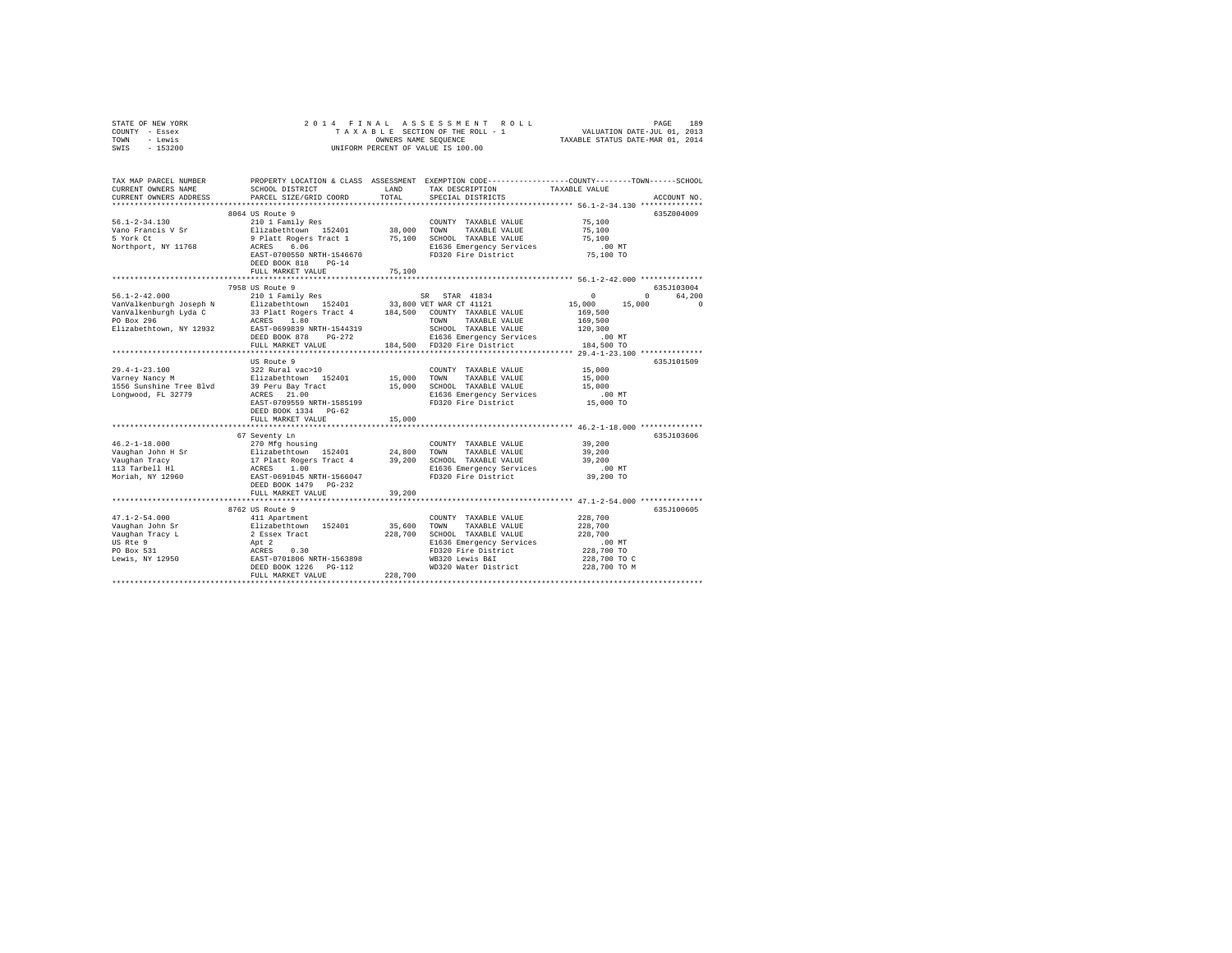| STATE OF NEW YORK       | 2014 FINAL                                       |                                                                 | ASSESSMENT<br>ROLL                                                                             | PAGE                                                | 189                |
|-------------------------|--------------------------------------------------|-----------------------------------------------------------------|------------------------------------------------------------------------------------------------|-----------------------------------------------------|--------------------|
| COUNTY - Essex          |                                                  |                                                                 | TAXABLE SECTION OF THE ROLL - 1                                                                |                                                     |                    |
| - Lewis<br>TOWN         |                                                  | VALUATION DATE-JUL 01, 2013<br>TAXABLE STATUS DATE-MAR 01, 2014 |                                                                                                |                                                     |                    |
| SWIS<br>$-153200$       |                                                  |                                                                 | UNIFORM PERCENT OF VALUE IS 100.00                                                             |                                                     |                    |
|                         |                                                  |                                                                 |                                                                                                |                                                     |                    |
| TAX MAP PARCEL NUMBER   |                                                  |                                                                 | PROPERTY LOCATION & CLASS ASSESSMENT EXEMPTION CODE---------------COUNTY-------TOWN-----SCHOOL |                                                     |                    |
| CURRENT OWNERS NAME     | SCHOOL DISTRICT                                  | LAND                                                            | TAX DESCRIPTION                                                                                | TAXABLE VALUE                                       |                    |
| CURRENT OWNERS ADDRESS  | PARCEL SIZE/GRID COORD                           | TOTAL                                                           | SPECIAL DISTRICTS                                                                              |                                                     | ACCOUNT NO.        |
|                         |                                                  |                                                                 |                                                                                                |                                                     |                    |
|                         | 8064 US Route 9                                  |                                                                 |                                                                                                |                                                     | 635Z004009         |
| $56.1 - 2 - 34.130$     | 210 1 Family Res                                 |                                                                 | COUNTY TAXABLE VALUE                                                                           | 75,100                                              |                    |
| Vano Francis V Sr       | Elizabethtown 152401                             | 38,000 TOWN                                                     | TAXABLE VALUE                                                                                  | 75,100                                              |                    |
| 5 York Ct               | 9 Platt Rogers Tract 1                           |                                                                 | 75,100 SCHOOL TAXABLE VALUE                                                                    | 75,100                                              |                    |
| Northport, NY 11768     | ACRES<br>6.06                                    |                                                                 | E1636 Emergency Services                                                                       | .00MT                                               |                    |
|                         | EAST-0700550 NRTH-1546670                        |                                                                 | FD320 Fire District                                                                            | 75,100 TO                                           |                    |
|                         | DEED BOOK 818 PG-14                              |                                                                 |                                                                                                |                                                     |                    |
|                         | FULL MARKET VALUE                                | 75,100                                                          |                                                                                                |                                                     |                    |
|                         | **************************                       | **********                                                      |                                                                                                | ********************** 56.1-2-42.000 ************** |                    |
|                         |                                                  |                                                                 |                                                                                                |                                                     |                    |
|                         | 7958 US Route 9                                  |                                                                 |                                                                                                |                                                     | 635J103004         |
| $56.1 - 2 - 42.000$     | 210 1 Family Res                                 |                                                                 | STAR 41834<br>SR                                                                               | $\circ$<br>$^{\circ}$                               | 64.200<br>$\Omega$ |
| VanValkenburgh Joseph N | Elizabethtown 152401                             |                                                                 | 33,800 VET WAR CT 41121                                                                        | 15,000<br>15,000                                    |                    |
| VanValkenburgh Lyda C   | 33 Platt Rogers Tract 4                          |                                                                 | 184,500 COUNTY TAXABLE VALUE                                                                   | 169,500                                             |                    |
| PO Box 296              | ACRES 1.80                                       |                                                                 | TOWN<br>TAXABLE VALUE                                                                          | 169,500                                             |                    |
| Elizabethtown, NY 12932 | EAST-0699839 NRTH-1544319                        |                                                                 | SCHOOL TAXABLE VALUE                                                                           | 120,300                                             |                    |
|                         | DEED BOOK 878 PG-272                             |                                                                 | E1636 Emergency Services                                                                       | .00MT                                               |                    |
|                         | FULL MARKET VALUE                                | 184,500                                                         | FD320 Fire District                                                                            | 184,500 TO                                          |                    |
|                         |                                                  |                                                                 |                                                                                                |                                                     |                    |
|                         | US Route 9                                       |                                                                 |                                                                                                |                                                     | 635J101509         |
| $29.4 - 1 - 23.100$     | 322 Rural vac>10                                 |                                                                 | COUNTY TAXABLE VALUE                                                                           | 15,000                                              |                    |
| Varney Nancy M          | Elizabethtown 152401                             | 15,000                                                          | TOWN<br>TAXABLE VALUE                                                                          | 15,000                                              |                    |
| 1556 Sunshine Tree Blvd | 39 Peru Bay Tract<br>ACRES 21.00                 |                                                                 | 15,000 SCHOOL TAXABLE VALUE                                                                    | 15,000                                              |                    |
| Longwood, FL 32779      |                                                  |                                                                 | E1636 Emergency Services                                                                       | $.00$ MT                                            |                    |
|                         | EAST-0709559 NRTH-1585199                        |                                                                 | FD320 Fire District                                                                            | 15,000 TO                                           |                    |
|                         | DEED BOOK 1334 PG-62                             |                                                                 |                                                                                                |                                                     |                    |
|                         | FULL MARKET VALUE                                | 15,000                                                          |                                                                                                |                                                     |                    |
|                         |                                                  |                                                                 |                                                                                                | *********** 46.2-1-18.000 *************             |                    |
|                         | 67 Seventy Ln                                    |                                                                 |                                                                                                |                                                     | 635J103606         |
| $46.2 - 1 - 18.000$     | 270 Mfg housing                                  |                                                                 | COUNTY TAXABLE VALUE                                                                           | 39,200                                              |                    |
| Vaughan John H Sr       |                                                  | 24,800                                                          | TOWN<br>TAXABLE VALUE                                                                          | 39,200                                              |                    |
| Vaughan Tracy           | Elizabethtown 152401<br>17 Platt Rogers Tract 4  |                                                                 | 39,200 SCHOOL TAXABLE VALUE                                                                    | 39,200                                              |                    |
| 113 Tarbell Hl          | ACRES 1.00                                       |                                                                 |                                                                                                | $.00$ MT                                            |                    |
| Moriah, NY 12960        | EAST-0691045 NRTH-1566047                        |                                                                 | E1636 Emergency Services<br>FD320 Fire District                                                | 39,200 TO                                           |                    |
|                         | DEED BOOK 1479    PG-232                         |                                                                 |                                                                                                |                                                     |                    |
|                         | FULL MARKET VALUE                                | 39,200                                                          |                                                                                                |                                                     |                    |
|                         |                                                  |                                                                 |                                                                                                |                                                     |                    |
|                         | 8762 US Route 9                                  |                                                                 |                                                                                                |                                                     | 635J100605         |
| $47.1 - 2 - 54.000$     | 411 Apartment                                    |                                                                 | COUNTY TAXABLE VALUE                                                                           | 228,700                                             |                    |
| Vaughan John Sr         | Elizabethtown 152401                             | 35,600                                                          | TOWN<br>TAXABLE VALUE                                                                          | 228,700                                             |                    |
| Vaughan Tracy L         | 2 Essex Tract                                    | 228,700                                                         | SCHOOL TAXABLE VALUE                                                                           | 228,700                                             |                    |
| US Rte 9                |                                                  |                                                                 | E1636 Emergency Services                                                                       | $.00$ MT                                            |                    |
| PO Box 531              | Apt 2<br>ACRES 0.30<br>EAST-0701806 NRTH-1563898 |                                                                 | FD320 Fire District                                                                            | 228,700 TO                                          |                    |
| Lewis, NY 12950         |                                                  |                                                                 | WB320 Lewis B&I                                                                                | 228,700 TO C                                        |                    |
|                         | DEED BOOK 1226    PG-112                         |                                                                 | WD320 Water District                                                                           | 228,700 TO M                                        |                    |
|                         | FULL MARKET VALUE                                | 228,700                                                         |                                                                                                |                                                     |                    |
|                         |                                                  |                                                                 |                                                                                                |                                                     |                    |
|                         |                                                  |                                                                 |                                                                                                |                                                     |                    |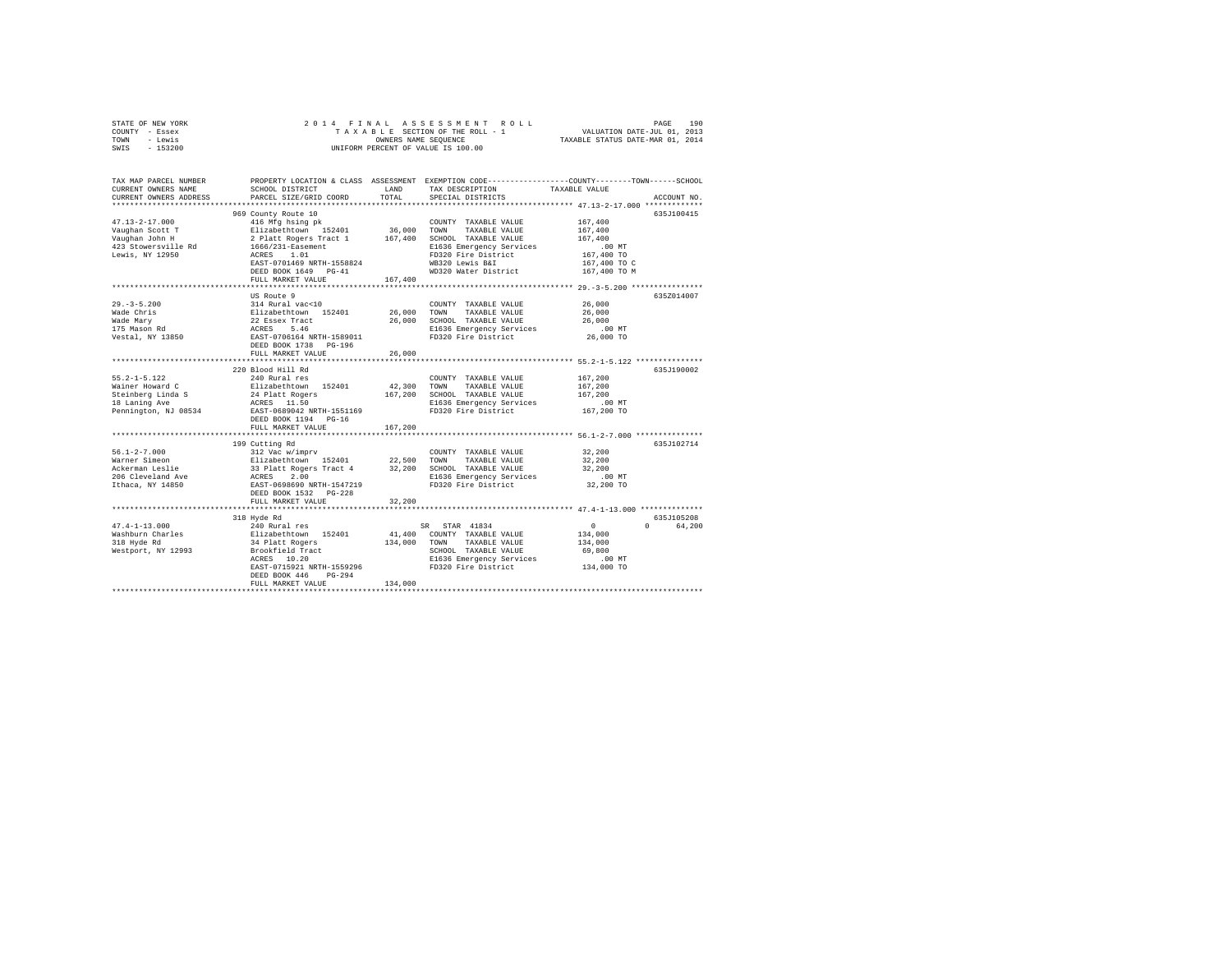| STATE OF NEW YORK                                 | 2014 FINAL                                                                                                  |         |                                                                                                |                                                      |             |  |  |
|---------------------------------------------------|-------------------------------------------------------------------------------------------------------------|---------|------------------------------------------------------------------------------------------------|------------------------------------------------------|-------------|--|--|
| COUNTY - Essex                                    |                                                                                                             |         |                                                                                                |                                                      |             |  |  |
| - Lewis<br>TOWN<br>$-153200$<br>SWIS              | UNIFORM PERCENT OF VALUE IS 100.00                                                                          |         |                                                                                                |                                                      |             |  |  |
|                                                   |                                                                                                             |         |                                                                                                |                                                      |             |  |  |
|                                                   |                                                                                                             |         |                                                                                                |                                                      |             |  |  |
| TAX MAP PARCEL NUMBER                             |                                                                                                             |         | PROPERTY LOCATION & CLASS ASSESSMENT EXEMPTION CODE---------------COUNTY-------TOWN-----SCHOOL |                                                      |             |  |  |
| CURRENT OWNERS NAME                               | SCHOOL DISTRICT                                                                                             | LAND    | TAX DESCRIPTION                                                                                | TAXABLE VALUE                                        |             |  |  |
| CURRENT OWNERS ADDRESS<br>*********************** | PARCEL SIZE/GRID COORD                                                                                      | TOTAL   | SPECIAL DISTRICTS                                                                              |                                                      | ACCOUNT NO. |  |  |
|                                                   |                                                                                                             |         |                                                                                                |                                                      | 635J100415  |  |  |
| $47.13 - 2 - 17.000$                              | 969 County Route 10<br>416 Mfg hsing pk                                                                     |         | COUNTY TAXABLE VALUE                                                                           | 167,400                                              |             |  |  |
|                                                   |                                                                                                             | 36,000  | TOWN<br>TAXABLE VALUE                                                                          | 167,400                                              |             |  |  |
| ------------ scott T<br>Vaughan John H<br>422 Ct  |                                                                                                             | 167,400 | SCHOOL TAXABLE VALUE                                                                           | 167,400                                              |             |  |  |
| 423 Stowersville Rd                               | Elizabethtown 152401<br>2 Platt Rogers Tract 1<br>1666/231-Easement                                         |         | E1636 Emergency Services                                                                       | .00 MT                                               |             |  |  |
| Lewis, NY 12950                                   | ACRES 1.01                                                                                                  |         | FD320 Fire District                                                                            | 167,400 TO                                           |             |  |  |
|                                                   | EAST-0701469 NRTH-1558824                                                                                   |         | WB320 Lewis B&I                                                                                | 167,400 TO C                                         |             |  |  |
|                                                   | DEED BOOK 1649 PG-41                                                                                        |         | WD320 Water District                                                                           | 167,400 TO M                                         |             |  |  |
|                                                   | FULL MARKET VALUE                                                                                           | 167,400 |                                                                                                |                                                      |             |  |  |
|                                                   | US Route 9                                                                                                  |         |                                                                                                |                                                      | 635Z014007  |  |  |
| $29. - 3 - 5.200$                                 | 314 Rural vac<10                                                                                            |         | COUNTY TAXABLE VALUE                                                                           | 26,000                                               |             |  |  |
|                                                   |                                                                                                             | 26,000  | TOWN<br>TAXABLE VALUE                                                                          | 26,000                                               |             |  |  |
| Wade Chris<br>Wade Mary<br>175 Mason Rd           |                                                                                                             | 26,000  | SCHOOL TAXABLE VALUE                                                                           | 26,000                                               |             |  |  |
|                                                   | Elizabethtown 152401<br>22 Essex Tract<br>ACRES 5.46                                                        |         | E1636 Emergency Services                                                                       | $.00$ MT                                             |             |  |  |
| Vestal, NY 13850                                  | EAST-0706164 NRTH-1589011                                                                                   |         | FD320 Fire District                                                                            | 26,000 TO                                            |             |  |  |
|                                                   | DEED BOOK 1738 PG-196                                                                                       |         |                                                                                                |                                                      |             |  |  |
|                                                   | FULL MARKET VALUE                                                                                           | 26,000  |                                                                                                |                                                      |             |  |  |
|                                                   | 220 Blood Hill Rd                                                                                           |         |                                                                                                |                                                      | 635J190002  |  |  |
| $55.2 - 1 - 5.122$                                | 240 Rural res                                                                                               |         | COUNTY TAXABLE VALUE                                                                           | 167,200                                              |             |  |  |
| Wainer Howard C                                   | Elizabethtown 152401                                                                                        | 42,300  | TOWN<br>TAXABLE VALUE                                                                          | 167,200                                              |             |  |  |
|                                                   |                                                                                                             |         | 167,200 SCHOOL TAXABLE VALUE                                                                   | 167,200                                              |             |  |  |
| Steinberg Linda S<br>18 Laning Ave                | 24 Platt Rogers<br>ACRES 11.50<br>EAST-0689042 NRTH-1551169                                                 |         | E1636 Emergency Services                                                                       | $.00$ MT                                             |             |  |  |
| Pennington, NJ 08534                              |                                                                                                             |         | FD320 Fire District                                                                            | 167,200 TO                                           |             |  |  |
|                                                   | DEED BOOK 1194 PG-16                                                                                        |         |                                                                                                |                                                      |             |  |  |
|                                                   | FULL MARKET VALUE                                                                                           | 167,200 |                                                                                                | *********************** 56.1-2-7.000 *************** |             |  |  |
|                                                   | 199 Cutting Rd                                                                                              |         |                                                                                                |                                                      | 635J102714  |  |  |
| $56.1 - 2 - 7.000$                                | 312 Vac w/imprv                                                                                             |         | COUNTY TAXABLE VALUE                                                                           | 32,200                                               |             |  |  |
| Warner Simeon                                     |                                                                                                             |         | TOWN<br>TAXABLE VALUE                                                                          | 32,200                                               |             |  |  |
| Ackerman Leslie                                   |                                                                                                             |         | SCHOOL TAXABLE VALUE                                                                           | 32,200                                               |             |  |  |
| 206 Cleveland Ave                                 | Elizabethtown 152401 22,500<br>33 Platt Rogers Tract 4 32,200<br>ACRES 2.00<br>ACRES 2.00<br>EAST-0698690 M |         | E1636 Emergency Services                                                                       | .00MT                                                |             |  |  |
| Ithaca, NY 14850                                  | EAST-0698690 NRTH-1547219                                                                                   |         | FD320 Fire District                                                                            | 32,200 TO                                            |             |  |  |
|                                                   | DEED BOOK 1532    PG-228                                                                                    |         |                                                                                                |                                                      |             |  |  |
|                                                   | FULL MARKET VALUE<br>**********************                                                                 | 32,200  |                                                                                                | ******************* 47.4-1-13.000 **************     |             |  |  |
|                                                   | 318 Hyde Rd                                                                                                 |         |                                                                                                |                                                      | 635J105208  |  |  |
| $47.4 - 1 - 13.000$                               | 240 Rural res                                                                                               |         | SR STAR 41834                                                                                  | $\sim$ 0                                             | 0 64.200    |  |  |
| Washburn Charles                                  |                                                                                                             | 41,400  | COUNTY TAXABLE VALUE                                                                           | 134,000                                              |             |  |  |
| 318 Hyde Rd                                       | Elizabethtown 152401<br>34 Platt Rogers                                                                     | 134,000 | TOWN TAXABLE VALUE                                                                             | 134,000                                              |             |  |  |
| Westport, NY 12993                                | Brookfield Tract                                                                                            |         | SCHOOL TAXABLE VALUE                                                                           | 69,800                                               |             |  |  |
|                                                   | ACRES 10.20                                                                                                 |         | E1636 Emergency Services                                                                       | .00 MT                                               |             |  |  |
|                                                   |                                                                                                             |         | EAST-0715921 NRTH-1559296 FD320 Fire District                                                  | 134,000 TO                                           |             |  |  |
|                                                   | DEED BOOK 446 PG-294<br>FULL MARKET VALUE                                                                   | 134,000 |                                                                                                |                                                      |             |  |  |
|                                                   |                                                                                                             |         |                                                                                                |                                                      |             |  |  |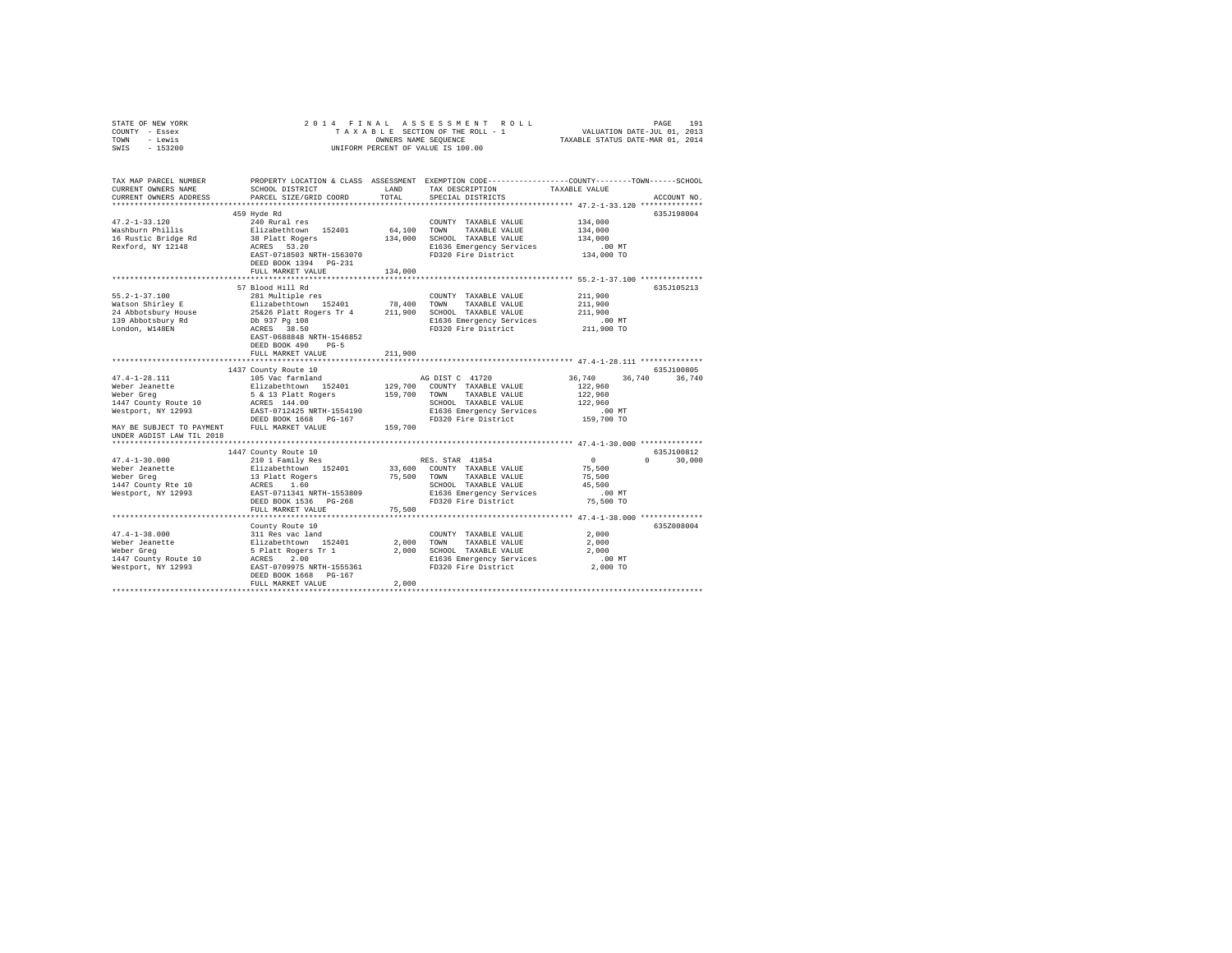| STATE OF NEW YORK                                          | 2014 FINAL                                                                                                                                                             |         |                                                 |                                                                                                |        |  |  |
|------------------------------------------------------------|------------------------------------------------------------------------------------------------------------------------------------------------------------------------|---------|-------------------------------------------------|------------------------------------------------------------------------------------------------|--------|--|--|
| COUNTY - Essex                                             | 4 FINAL ASSESSMENT ROLL INNERTHEIRE PAGE 1913<br>TAXABLE SECTION OF THE ROLL - 1 VALUATION DATE-JUL 01, 2013<br>OWNERS NAME SEQUENCE  TAXABLE STATUS DATE-MAR 01, 2014 |         |                                                 |                                                                                                |        |  |  |
| - Lewis<br>TOWN                                            |                                                                                                                                                                        |         |                                                 |                                                                                                |        |  |  |
| $-153200$<br>SWIS                                          | UNIFORM PERCENT OF VALUE IS 100.00                                                                                                                                     |         |                                                 |                                                                                                |        |  |  |
|                                                            |                                                                                                                                                                        |         |                                                 |                                                                                                |        |  |  |
| TAX MAP PARCEL NUMBER                                      |                                                                                                                                                                        |         |                                                 | PROPERTY LOCATION & CLASS ASSESSMENT EXEMPTION CODE---------------COUNTY-------TOWN-----SCHOOL |        |  |  |
| CURRENT OWNERS NAME                                        | SCHOOL DISTRICT                                                                                                                                                        | LAND    | TAX DESCRIPTION                                 | TAXABLE VALUE                                                                                  |        |  |  |
| CURRENT OWNERS ADDRESS                                     | PARCEL SIZE/GRID COORD                                                                                                                                                 | TOTAL   | SPECIAL DISTRICTS                               | ACCOUNT NO.                                                                                    |        |  |  |
|                                                            |                                                                                                                                                                        |         |                                                 |                                                                                                |        |  |  |
|                                                            | 459 Hyde Rd                                                                                                                                                            |         |                                                 | 635J198004                                                                                     |        |  |  |
| $47.2 - 1 - 33.120$                                        | 240 Rural res                                                                                                                                                          |         | COUNTY TAXABLE VALUE                            | 134,000                                                                                        |        |  |  |
| Washburn Phillis                                           |                                                                                                                                                                        | 64,100  | TOWN<br>TAXABLE VALUE                           | 134,000                                                                                        |        |  |  |
|                                                            |                                                                                                                                                                        |         | 134,000 SCHOOL TAXABLE VALUE                    | 134,000                                                                                        |        |  |  |
| 16 Rustic Bridge Rd                                        | Elizabethtown 152401<br>38 Platt Rogers<br>ACRES 53.20                                                                                                                 |         |                                                 |                                                                                                |        |  |  |
| Rexford, NY 12148                                          |                                                                                                                                                                        |         | E1636 Emergency Services<br>FD320 Fire District | $.00$ MT                                                                                       |        |  |  |
|                                                            | EAST-0718503 NRTH-1563070                                                                                                                                              |         |                                                 | 134,000 TO                                                                                     |        |  |  |
|                                                            | DEED BOOK 1394 PG-231                                                                                                                                                  |         |                                                 |                                                                                                |        |  |  |
|                                                            | FULL MARKET VALUE                                                                                                                                                      | 134,000 |                                                 |                                                                                                |        |  |  |
|                                                            |                                                                                                                                                                        |         |                                                 |                                                                                                |        |  |  |
|                                                            | 57 Blood Hill Rd                                                                                                                                                       |         |                                                 | 635J105213                                                                                     |        |  |  |
| $55.2 - 1 - 37.100$                                        | 281 Multiple res                                                                                                                                                       |         | COUNTY TAXABLE VALUE                            | 211,900                                                                                        |        |  |  |
| Watson Shirley E                                           | Elizabethtown 152401                                                                                                                                                   | 78,400  | TOWN<br>TAXABLE VALUE                           | 211,900                                                                                        |        |  |  |
| 24 Abbotsbury House<br>139 Abbotsbury Rd<br>London, W148EN | 25&26 Platt Rogers Tr 4 211,900<br>Db 937 Pg 108<br>ACRES 38.50                                                                                                        |         | SCHOOL TAXABLE VALUE                            | 211,900                                                                                        |        |  |  |
|                                                            |                                                                                                                                                                        |         | E1636 Emergency Services                        | $.00$ MT                                                                                       |        |  |  |
|                                                            |                                                                                                                                                                        |         | FD320 Fire District                             | 211,900 TO                                                                                     |        |  |  |
|                                                            | EAST-0688848 NRTH-1546852                                                                                                                                              |         |                                                 |                                                                                                |        |  |  |
|                                                            | DEED BOOK 490 PG-5                                                                                                                                                     |         |                                                 |                                                                                                |        |  |  |
|                                                            | FULL MARKET VALUE                                                                                                                                                      | 211,900 |                                                 |                                                                                                |        |  |  |
|                                                            |                                                                                                                                                                        |         |                                                 |                                                                                                |        |  |  |
|                                                            | 1437 County Route 10                                                                                                                                                   |         |                                                 | 635J100805                                                                                     |        |  |  |
| $47.4 - 1 - 28.111$                                        |                                                                                                                                                                        |         | AG DIST C 41720                                 | 36,740<br>36,740                                                                               | 36.740 |  |  |
| Weber Jeanette<br>Weber Greg                               |                                                                                                                                                                        |         | 129,700 COUNTY TAXABLE VALUE                    | 122,960                                                                                        |        |  |  |
|                                                            |                                                                                                                                                                        |         | TAXABLE VALUE                                   | 122,960                                                                                        |        |  |  |
| 1447 County Route 10                                       |                                                                                                                                                                        |         | SCHOOL TAXABLE VALUE                            | 122,960                                                                                        |        |  |  |
| Westport, NY 12993                                         |                                                                                                                                                                        |         | E1636 Emergency Services                        | $.00$ MT                                                                                       |        |  |  |
|                                                            | DEED BOOK 1668 PG-167                                                                                                                                                  |         | FD320 Fire District                             | 159,700 TO                                                                                     |        |  |  |
| MAY BE SUBJECT TO PAYMENT FULL MARKET VALUE                |                                                                                                                                                                        | 159,700 |                                                 |                                                                                                |        |  |  |
| UNDER AGDIST LAW TIL 2018                                  |                                                                                                                                                                        |         |                                                 |                                                                                                |        |  |  |
|                                                            |                                                                                                                                                                        |         |                                                 |                                                                                                |        |  |  |
|                                                            | 1447 County Route 10                                                                                                                                                   |         |                                                 | 635J100812                                                                                     |        |  |  |
| $47.4 - 1 - 30.000$                                        | 210 1 Family Res                                                                                                                                                       |         | RES. STAR 41854                                 | $\sim$ 0<br>$0 \t 30,000$                                                                      |        |  |  |
| Weber Jeanette                                             |                                                                                                                                                                        |         |                                                 | 75,500                                                                                         |        |  |  |
| Weber Greg                                                 |                                                                                                                                                                        |         |                                                 | 75,500                                                                                         |        |  |  |
| 1447 County Rte 10                                         | Elizabethtown 152401 33,600 COUNTY TAXABLE VALUE<br>13 Platt Rogers 75,500 TOWN TAXABLE VALUE<br>ACRES 1.60     75,500 SCHOOL TAXABLE VALUE                            |         | SCHOOL TAXABLE VALUE                            | 45,500                                                                                         |        |  |  |
| Westport, NY 12993                                         | EAST-0711341 NRTH-1553809                                                                                                                                              |         | E1636 Emergency Services                        | $.00$ MT                                                                                       |        |  |  |
|                                                            | DEED BOOK 1536 PG-268                                                                                                                                                  |         | FD320 Fire District                             | 75,500 TO                                                                                      |        |  |  |
|                                                            | FULL MARKET VALUE                                                                                                                                                      | 75,500  |                                                 |                                                                                                |        |  |  |
|                                                            |                                                                                                                                                                        |         |                                                 |                                                                                                |        |  |  |
|                                                            | County Route 10                                                                                                                                                        |         |                                                 | 635Z008004                                                                                     |        |  |  |
|                                                            |                                                                                                                                                                        |         | COUNTY TAXABLE VALUE                            | 2,000                                                                                          |        |  |  |
|                                                            |                                                                                                                                                                        |         | 2.000 TOWN<br>TAXABLE VALUE                     | 2,000                                                                                          |        |  |  |
|                                                            |                                                                                                                                                                        |         | 2,000 SCHOOL TAXABLE VALUE                      | 2,000                                                                                          |        |  |  |
|                                                            |                                                                                                                                                                        |         | E1636 Emergency Services                        | $.00$ MT                                                                                       |        |  |  |
|                                                            |                                                                                                                                                                        |         | FD320 Fire District                             | 2,000 TO                                                                                       |        |  |  |
|                                                            | DEED BOOK 1668 PG-167                                                                                                                                                  |         |                                                 |                                                                                                |        |  |  |
|                                                            | FULL MARKET VALUE                                                                                                                                                      | 2,000   |                                                 |                                                                                                |        |  |  |
|                                                            |                                                                                                                                                                        |         |                                                 |                                                                                                |        |  |  |
|                                                            |                                                                                                                                                                        |         |                                                 |                                                                                                |        |  |  |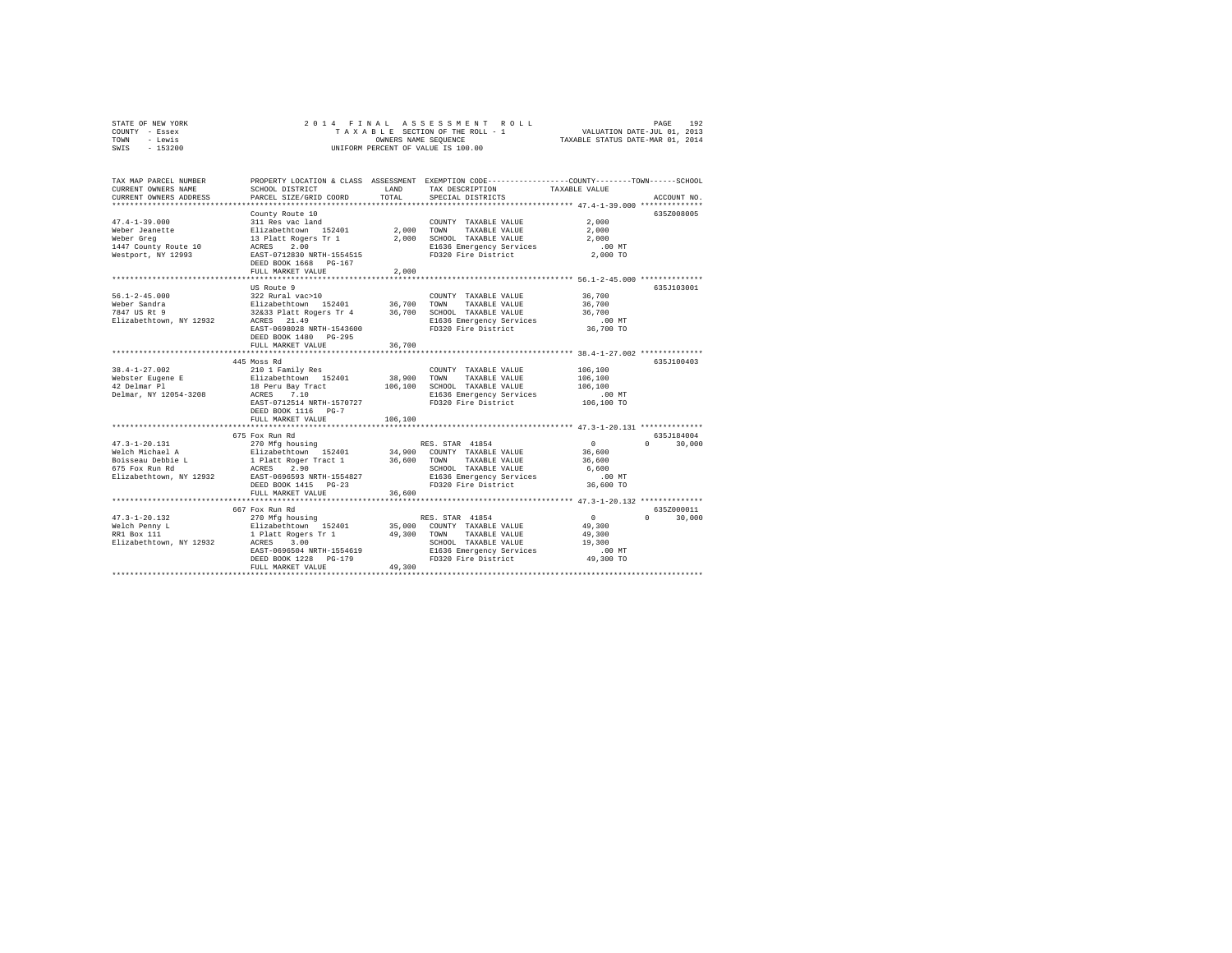| STATE OF NEW YORK | 2014 FINAL ASSESSMENT ROLL         | 192<br>PAGE                      |
|-------------------|------------------------------------|----------------------------------|
| COUNTY - Essex    | TAXABLE SECTION OF THE ROLL - 1    | VALUATION DATE-JUL 01, 2013      |
| TOWN<br>- Lewis   | OWNERS NAME SEOUENCE               | TAXABLE STATUS DATE-MAR 01, 2014 |
| $-153200$<br>SWIS | UNIFORM PERCENT OF VALUE IS 100.00 |                                  |

| TAX MAP PARCEL NUMBER<br>CURRENT OWNERS NAME<br>CURRENT OWNERS ADDRESS                                   | SCHOOL DISTRICT<br>PARCEL SIZE/GRID COORD                                                                                                                                                                 | LAND<br>TOTAL.             | PROPERTY LOCATION & CLASS ASSESSMENT EXEMPTION CODE----------------COUNTY-------TOWN------SCHOOL<br>TAX DESCRIPTION TAXABLE VALUE<br>SPECIAL DISTRICTS |                                                                                            | ACCOUNT NO.                          |
|----------------------------------------------------------------------------------------------------------|-----------------------------------------------------------------------------------------------------------------------------------------------------------------------------------------------------------|----------------------------|--------------------------------------------------------------------------------------------------------------------------------------------------------|--------------------------------------------------------------------------------------------|--------------------------------------|
| $47.4 - 1 - 39.000$<br>Weber Jeanette<br>Weber Greg<br>1447 County Route 10<br>Westport, NY 12993        | County Route 10<br>311 Res vac land<br>Elizabethtown 152401<br>13 Platt Rogers Tr 1<br>ACRES<br>2.00<br>EAST-0712830 NRTH-1554515<br>DEED BOOK 1668 PG-167<br>FULL MARKET VALUE                           | 2,000<br>2,000<br>2,000    | COUNTY TAXABLE VALUE<br>TOWN<br>TAXABLE VALUE<br>SCHOOL TAXABLE VALUE<br>E1636 Emergency Services<br>FD320 Fire District                               | 2,000<br>2,000<br>2,000<br>$.00$ MT<br>2,000 TO                                            | 635Z008005                           |
| $56.1 - 2 - 45.000$<br>Weber Sandra<br>7847 US Rt 9<br>Elizabethtown, NY 12932                           | US Route 9<br>322 Rural vac>10<br>Elizabethtown 152401<br>32&33 Platt Rogers Tr 4<br>ACRES 21.49<br>EAST-0698028 NRTH-1543600<br>DEED BOOK 1480 PG-295<br>FULL MARKET VALUE                               | 36,700<br>36,700<br>36,700 | COUNTY TAXABLE VALUE<br>TOWN<br>TAXABLE VALUE<br>SCHOOL TAXABLE VALUE<br>E1636 Emergency Services<br>FD320 Fire District                               | 36,700<br>36,700<br>36,700<br>$.00$ MT<br>36,700 TO<br>********* 38.4-1-27.002 *********** | 635.T103001                          |
| $38.4 - 1 - 27.002$<br>Webster Eugene E<br>42 Delmar Pl<br>Delmar, NY 12054-3208                         | 445 Moss Rd<br>210 1 Family Res<br>Elizabethtown 152401<br>18 Peru Bay Tract<br>ACRES 7.10<br>EAST-0712514 NRTH-1570727<br>DEED BOOK 1116 PG-7                                                            | 38,900<br>106,100          | COUNTY TAXABLE VALUE<br>TOWN<br>TAXABLE VALUE<br>SCHOOL TAXABLE VALUE<br>E1636 Emergency Services<br>FD320 Fire District                               | 106,100<br>106,100<br>106,100<br>$.00$ MT<br>106,100 TO                                    | 635J100403                           |
|                                                                                                          | FULL MARKET VALUE                                                                                                                                                                                         | 106,100                    |                                                                                                                                                        |                                                                                            |                                      |
| $47.3 - 1 - 20.131$<br>Welch Michael A<br>Boisseau Debbie L<br>675 Fox Run Rd<br>Elizabethtown, NY 12932 | 675 Fox Run Rd<br>270 Mfg housing<br>Elizabethtown 152401 34.900 COUNTY TAXABLE VALUE<br>1 Platt Roger Tract 1<br>ACRES<br>2.90<br>EAST-0696593 NRTH-1554827<br>DEED BOOK 1415 PG-23<br>FULL MARKET VALUE | 36,600 TOWN<br>36,600      | RES. STAR 41854<br>TAXABLE VALUE<br>SCHOOL TAXABLE VALUE<br>E1636 Emergency Services<br>FD320 Fire District                                            | $\Omega$<br>36,600<br>36,600<br>6,600<br>$.00$ MT<br>36,600 TO                             | 635J184004<br>$\Omega$<br>30,000     |
|                                                                                                          | ****************************                                                                                                                                                                              |                            |                                                                                                                                                        |                                                                                            |                                      |
| $47.3 - 1 - 20.132$<br>Welch Penny L<br>RR1 Box 111<br>Elizabethtown, NY 12932                           | 667 Fox Run Rd<br>270 Mfg housing<br>Elizabethtown 152401<br>1 Platt Rogers Tr 1<br>ACRES 3.00<br>ACRES 3.00<br>EAST-0696504 NRTH-1554619<br>DEED BOOK 1228 PG-179<br>FULL MARKET VALUE                   | 49,300 TOWN<br>49,300      | RES. STAR 41854<br>35,000 COUNTY TAXABLE VALUE<br>TAXABLE VALUE<br>SCHOOL TAXABLE VALUE<br>E1636 Emergency Services<br>FD320 Fire District             | $\Omega$<br>49,300<br>49,300<br>19,300<br>$.00$ MT<br>49,300 TO                            | 635Z000011<br>$\mathbf{a}$<br>30,000 |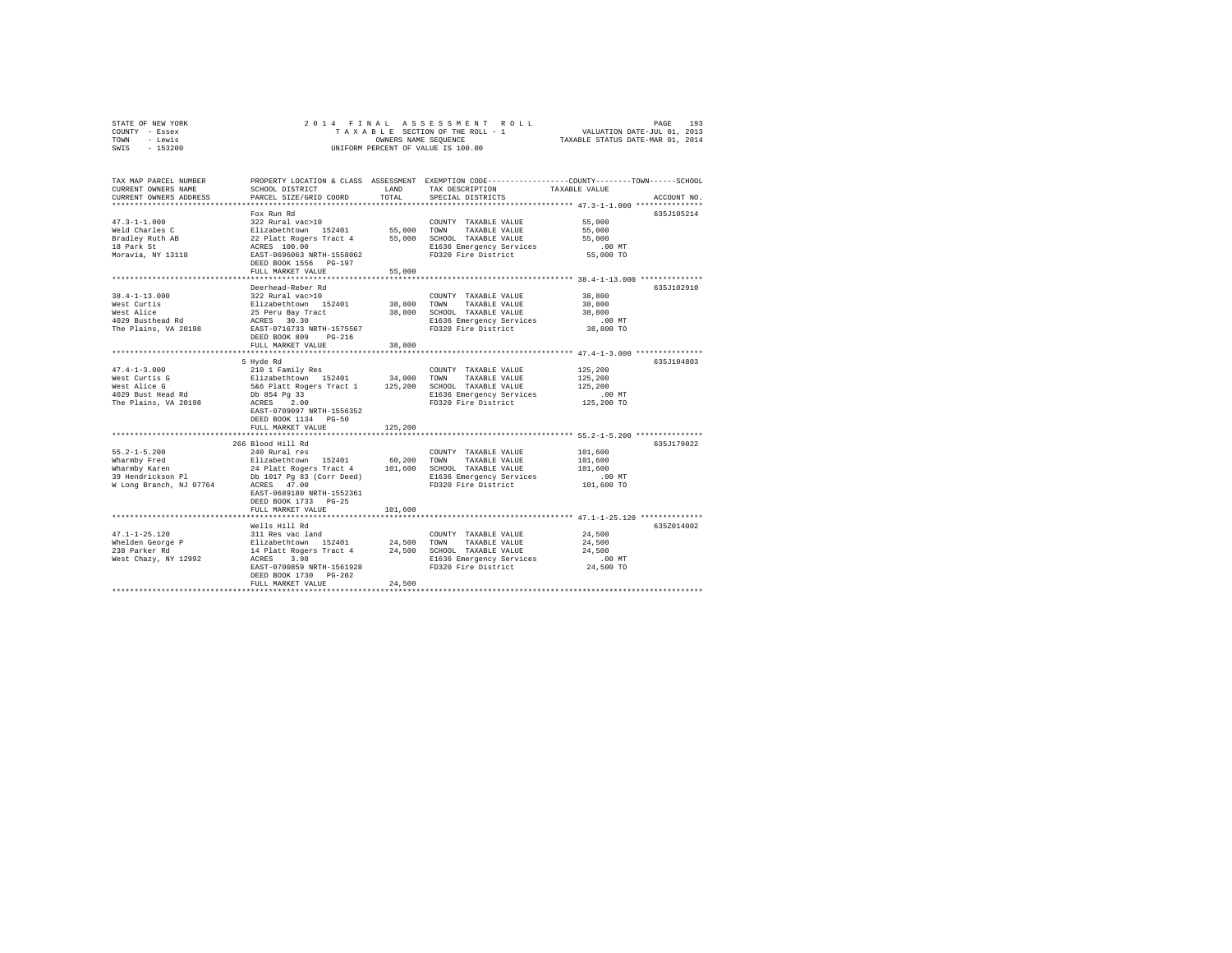| STATE OF NEW YORK | 2014 FINAL ASSESSMENT ROLL         | 193<br>PAGE                      |
|-------------------|------------------------------------|----------------------------------|
| COUNTY - Essex    | TAXABLE SECTION OF THE ROLL - 1    | VALUATION DATE-JUL 01, 2013      |
| TOWN<br>- Lewis   | OWNERS NAME SEOUENCE               | TAXABLE STATUS DATE-MAR 01, 2014 |
| $-153200$<br>SWIS | UNIFORM PERCENT OF VALUE IS 100.00 |                                  |

| TAX MAP PARCEL NUMBER<br>CURRENT OWNERS NAME<br>CURRENT OWNERS ADDRESS                              | PROPERTY LOCATION & CLASS ASSESSMENT EXEMPTION CODE----------------COUNTY-------TOWN-----SCHOOL<br>SCHOOL DISTRICT<br>PARCEL SIZE/GRID COORD                                                                                        | LAND<br>TOTAL.   | TAX DESCRIPTION<br>SPECIAL DISTRICTS                                                                                                | TAXABLE VALUE                                           | ACCOUNT NO. |
|-----------------------------------------------------------------------------------------------------|-------------------------------------------------------------------------------------------------------------------------------------------------------------------------------------------------------------------------------------|------------------|-------------------------------------------------------------------------------------------------------------------------------------|---------------------------------------------------------|-------------|
|                                                                                                     |                                                                                                                                                                                                                                     |                  |                                                                                                                                     |                                                         |             |
| $47.3 - 1 - 1.000$<br>Weld Charles C<br>Bradley Ruth AB<br>18 Park St<br>Moravia, NY 13118          | Fox Run Rd<br>322 Rural vac>10<br>Elizabethtown 152401<br>22 Platt Rogers Tract 4<br>ACRES 100.00<br>EAST-0696063 NRTH-1558062                                                                                                      |                  | COUNTY TAXABLE VALUE<br>55,000 TOWN TAXABLE VALUE<br>55,000 SCHOOL TAXABLE VALUE<br>E1636 Emergency Services<br>FD320 Fire District | 55,000<br>55,000<br>55,000<br>$.00$ MT<br>55,000 TO     | 635J105214  |
|                                                                                                     | DEED BOOK 1556 PG-197<br>FULL MARKET VALUE                                                                                                                                                                                          | 55,000           |                                                                                                                                     |                                                         |             |
|                                                                                                     |                                                                                                                                                                                                                                     |                  | ********************************* 38.4-1-13.000 ***************                                                                     |                                                         |             |
| $38.4 - 1 - 13.000$<br>West Curtis<br>West Alice<br>4029 Busthead Rd<br>The Plains, VA 20198        | Deerhead-Reber Rd<br>322 Rural vac>10<br>Elizabethtown 152401<br>25 Peru Bay Tract<br>ACRES 30.30<br>EAST-0716733 NRTH-1575567                                                                                                      | 38,800<br>38,800 | COUNTY TAXABLE VALUE<br>TOWN<br>TAXABLE VALUE<br>SCHOOL TAXABLE VALUE<br>E1636 Emergency Services<br>FD320 Fire District            | 38,800<br>38,800<br>38,800<br>.00 MT<br>38,800 TO       | 635J102910  |
|                                                                                                     | DEED BOOK 809<br>$PG-216$<br>FULL MARKET VALUE                                                                                                                                                                                      | 38,800           |                                                                                                                                     |                                                         |             |
|                                                                                                     |                                                                                                                                                                                                                                     |                  |                                                                                                                                     |                                                         |             |
| $47.4 - 1 - 3.000$<br>West Curtis G<br>West Alice G<br>4029 Bust Head Rd<br>The Plains, VA 20198    | 5 Hyde Rd<br>210 1 Family Res<br>Db 854 Pg 33<br>ACRES 2.00<br>EAST-0709097 NRTH-1556352<br>DEED BOOK 1134 PG-50<br>FULL MARKET VALUE                                                                                               | 125,200          | COUNTY TAXABLE VALUE<br>E1636 Emergency Services<br>FD320 Fire District                                                             | 125,200<br>125,200<br>125,200<br>.00 MT<br>125,200 TO   | 635J104803  |
|                                                                                                     | 266 Blood Hill Rd                                                                                                                                                                                                                   |                  |                                                                                                                                     |                                                         | 635J179022  |
| $55.2 - 1 - 5.200$<br>Wharmby Fred<br>Wharmby Karen<br>39 Hendrickson Pl<br>W Long Branch, NJ 07764 | 240 Rural res<br>Elizabethtown 152401<br>24 Platt Rogers Tract 4 101,600 SCHOOL TAXABLE VALUE<br>Db 1017 Pg 83 (Corr Deed) B1636 Emergency Services<br>ACRES 47.00<br>EAST-0689180 NRTH-1552361<br>DEED BOOK 1733 PG-25             | 60,200 TOWN      | COUNTY TAXABLE VALUE<br>TAXABLE VALUE<br>E1636 Emergency Services<br>FD320 Fire District                                            | 101,600<br>101,600<br>101,600<br>$.00$ MT<br>101,600 TO |             |
|                                                                                                     | FULL MARKET VALUE                                                                                                                                                                                                                   | 101,600          |                                                                                                                                     |                                                         |             |
|                                                                                                     |                                                                                                                                                                                                                                     |                  |                                                                                                                                     |                                                         |             |
| $47.1 - 1 - 25.120$<br>Whelden George P<br>238 Parker Rd<br>West Chazy, NY 12992                    | Wells Hill Rd<br>311 Res vac land<br>$\verb Elizabethtown  152401  24,500 TOWN $<br>14 Platt Rogers Tract 4 24,500 SCHOOL TAXABLE VALUE<br>3.98<br>ACRES<br>EAST-0700859 NRTH-1561928<br>DEED BOOK 1730 PG-202<br>FULL MARKET VALUE | 24,500           | COUNTY TAXABLE VALUE<br>TAXABLE VALUE<br>E1636 Emergency Services<br>FD320 Fire District                                            | 24,500<br>24,500<br>24,500<br>$.00$ MT<br>24,500 TO     | 635Z014002  |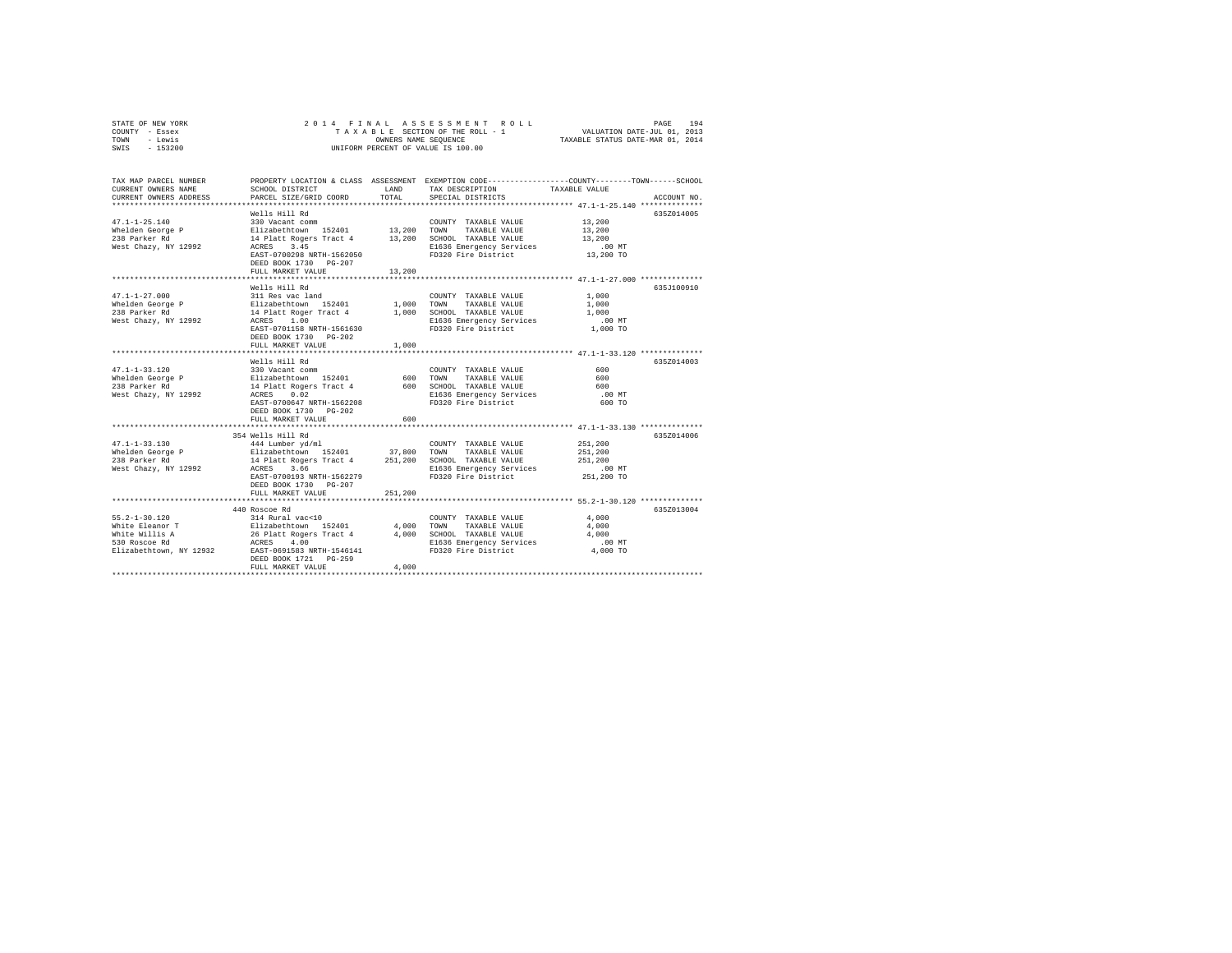| STATE OF NEW YORK | 2014 FINAL ASSESSMENT ROLL         | 194<br>PAGE                      |
|-------------------|------------------------------------|----------------------------------|
| COUNTY - Essex    | TAXABLE SECTION OF THE ROLL - 1    | VALUATION DATE-JUL 01, 2013      |
| TOWN<br>- Lewis   | OWNERS NAME SEOUENCE               | TAXABLE STATUS DATE-MAR 01, 2014 |
| $-153200$<br>SWIS | UNIFORM PERCENT OF VALUE IS 100.00 |                                  |

| TAX MAP PARCEL NUMBER<br>CURRENT OWNERS NAME<br>CURRENT OWNERS ADDRESS                               | SCHOOL DISTRICT<br>PARCEL SIZE/GRID COORD                                                                                                                                                                                                    | LAND<br>TOTAL               | PROPERTY LOCATION & CLASS ASSESSMENT EXEMPTION CODE---------------COUNTY-------TOWN-----SCHOOL<br>TAX DESCRIPTION<br>SPECIAL DISTRICTS | TAXABLE VALUE                                                                            | ACCOUNT NO. |
|------------------------------------------------------------------------------------------------------|----------------------------------------------------------------------------------------------------------------------------------------------------------------------------------------------------------------------------------------------|-----------------------------|----------------------------------------------------------------------------------------------------------------------------------------|------------------------------------------------------------------------------------------|-------------|
| $47.1 - 1 - 25.140$<br>Whelden George P<br>238 Parker Rd<br>West Chazy, NY 12992                     | Wells Hill Rd<br>330 Vacant comm<br>Elizabethtown 152401 13,200 TOWN<br>14 Platt Rogers Tract 4 13,200 SCHOOL TAXABLE VALUE<br>3.45<br>ACRES<br>EAST-0700298 NRTH-1562050<br>DEED BOOK 1730 PG-207<br>FULL MARKET VALUE                      | 13,200                      | COUNTY TAXABLE VALUE<br>TAXABLE VALUE<br>E1636 Emergency Services<br>FD320 Fire District 13,200 TO                                     | 13,200<br>13,200<br>13,200<br>$.00$ MT                                                   | 635Z014005  |
| $47.1 - 1 - 27.000$<br>West Chazy, NY 12992                                                          | Wells Hill Rd<br>311 Res vac land<br>Whelden George P Elizabethtown 152401<br>238 Parker Rd 14 Platt Roger Tract 4<br>ACRES<br>1.00<br>EAST-0701158 NRTH-1561630<br>DEED BOOK 1730 PG-202<br>FULL MARKET VALUE<br>.                          | 1,000                       | COUNTY TAXABLE VALUE<br>1,000 TOWN TAXABLE VALUE<br>1,000 SCHOOL TAXABLE VALUE<br>E1636 Emergency Services<br>FD320 Fire District      | 1,000<br>1,000<br>1,000<br>$.00$ MT<br>1,000 TO<br>************ 47.1-1-33.120 ********** | 635.7100910 |
| $47.1 - 1 - 33.120$<br>Whelden George P<br>238 Parker Rd<br>West Chazy, NY 12992                     | Wells Hill Rd<br>330 Vacant comm<br>Elizabethtown 152401<br>14 Platt Rogers Tract 4 600 SCHOOL TAXABLE VALUE<br>ACRES 0.02 B1636 Emergency Services<br>ACRES 0.02<br>EAST-0700647 NRTH-1562208<br>DEED BOOK 1730 PG-202<br>FULL MARKET VALUE | 600                         | COUNTY TAXABLE VALUE<br>600 TOWN<br>TAXABLE VALUE<br>E1636 Emergency Services<br>FD320 Fire District                                   | 600<br>600<br>600<br>$.00$ MT<br>600 TO                                                  | 635Z014003  |
|                                                                                                      | 354 Wells Hill Rd<br>EAST-0700193 NRTH-1562279<br>DEED BOOK 1730 PG-207<br>FULL MARKET VALUE                                                                                                                                                 | 251,200                     | FD320 Fire District                                                                                                                    | 251,200<br>251,200<br>251,200<br>.00 MT<br>251,200 TO                                    | 635Z014006  |
| $55.2 - 1 - 30.120$<br>White Eleanor T<br>White Willis A<br>530 Roscoe Rd<br>Elizabethtown, NY 12932 | 440 Roscoe Rd<br>314 Rural vac<10<br>Elizabethtown 152401<br>26 Platt Rogers Tract 4<br>ACRES 4.00<br>EAST-0691583 NRTH-1546141<br>DEED BOOK 1721 PG-259<br>FULL MARKET VALUE                                                                | $4,000$<br>$4.000$<br>4,000 | COUNTY TAXABLE VALUE<br>TOWN<br>TAXABLE VALUE<br>SCHOOL TAXABLE VALUE<br>E1636 Emergency Services<br>FD320 Fire District               | 4,000<br>4,000<br>4,000<br>.00 MT<br>4,000 TO                                            | 635Z013004  |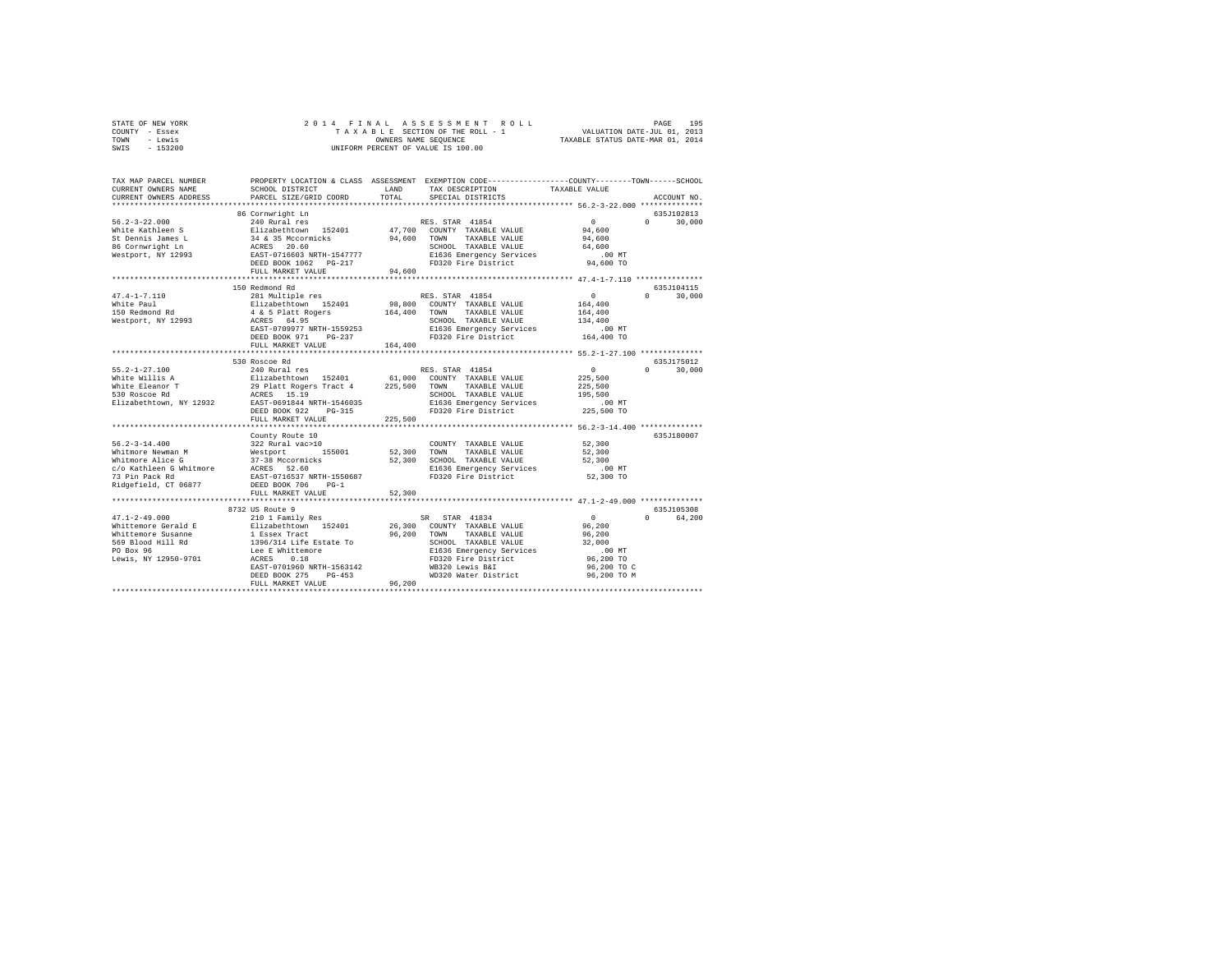| STATE OF NEW YORK | 2014 FINAL ASSESSMENT ROLL         | 195<br>PAGE                      |
|-------------------|------------------------------------|----------------------------------|
| COUNTY - Essex    | TAXABLE SECTION OF THE ROLL - 1    | VALUATION DATE-JUL 01, 2013      |
| TOWN<br>- Lewis   | OWNERS NAME SEOUENCE               | TAXABLE STATUS DATE-MAR 01, 2014 |
| $-153200$<br>SWIS | UNIFORM PERCENT OF VALUE IS 100.00 |                                  |

| TAX MAP PARCEL NUMBER<br>CURRENT OWNERS NAME                                                                                                                                                                                                                 | SCHOOL DISTRICT                                                                                                                                                                                                                                             | LAND                  | PROPERTY LOCATION & CLASS ASSESSMENT EXEMPTION CODE----------------COUNTY-------TOWN-----SCHOOL<br>TAX DESCRIPTION                                                                              | TAXABLE VALUE                                                                                   |                                               |
|--------------------------------------------------------------------------------------------------------------------------------------------------------------------------------------------------------------------------------------------------------------|-------------------------------------------------------------------------------------------------------------------------------------------------------------------------------------------------------------------------------------------------------------|-----------------------|-------------------------------------------------------------------------------------------------------------------------------------------------------------------------------------------------|-------------------------------------------------------------------------------------------------|-----------------------------------------------|
| CURRENT OWNERS ADDRESS                                                                                                                                                                                                                                       | PARCEL SIZE/GRID COORD                                                                                                                                                                                                                                      | TOTAL                 | SPECIAL DISTRICTS                                                                                                                                                                               |                                                                                                 | ACCOUNT NO.                                   |
|                                                                                                                                                                                                                                                              | 86 Cornwright Ln                                                                                                                                                                                                                                            |                       |                                                                                                                                                                                                 |                                                                                                 | 635J102813                                    |
| $56.2 - 3 - 22.000$<br>White Kathleen S<br>Silzabethtown 152401<br>St Dennis James L<br>36 Cornwright Ln<br>Nestport, NY 12993<br>Nestport, NY 12993<br>Nestport, NY 12993<br>PRAST-0716603 NRTH-1547777<br>Nestport, NY 12993<br>PRAST-0716603 NRTH-1547777 | 240 Rural res                                                                                                                                                                                                                                               |                       | RES. STAR 41854<br>47,700 COUNTY TAXABLE VALUE<br>94,600 TOWN TAXABLE VALUE<br>SCHOOL TAXABLE VALUE<br>SCHOOL TAXABLE VALUE<br>E1636 Emergency Services                                         | $\sim$ 0<br>94,600<br>94,600<br>64,600<br>$.00$ MT                                              | $\Omega$ and $\Omega$<br>30,000               |
|                                                                                                                                                                                                                                                              |                                                                                                                                                                                                                                                             | 94,600                | FD320 Fire District                                                                                                                                                                             | 94,600 TO                                                                                       |                                               |
|                                                                                                                                                                                                                                                              | FULL MARKET VALUE<br>****************************                                                                                                                                                                                                           |                       |                                                                                                                                                                                                 | ********************** 47.4-1-7.110 ***************                                             |                                               |
| $47.4 - 1 - 7.110$                                                                                                                                                                                                                                           | 150 Redmond Rd<br>281 Multiple res                                                                                                                                                                                                                          |                       | RES. STAR 41854<br>98,800 COUNTY TAXABLE VALUE                                                                                                                                                  | $\sim$ 0<br>164,400                                                                             | 635J104115<br>$\mathbf{0}$<br>30,000          |
|                                                                                                                                                                                                                                                              | EAST-0709977 NRTH-1559253<br>DEED BOOK 971<br>$PG-237$                                                                                                                                                                                                      |                       | 164,400 TOWN TAXABLE VALUE<br>SCHOOL TAXABLE VALUE<br>E1636 Emergency Services<br>FD320 Fire District                                                                                           | 164,400<br>134,400<br>.00 MT<br>164,400 TO                                                      |                                               |
|                                                                                                                                                                                                                                                              | FULL MARKET VALUE                                                                                                                                                                                                                                           | 164,400               |                                                                                                                                                                                                 |                                                                                                 |                                               |
| $55.2 - 1 - 27.100$<br>White Willis A Elizabethtown 152401 61,000 COUNTY TAXABLE VALUE<br>Nite Eleanor T 29 Platt Rogers Tract 4 225,500 TOWN TAXABLE VALUE<br>SIO Roscoe Rd 15.19 15.19 15.19 SCHOOL TAXABLE VALUE<br>Elizabethtown, NY 12932 EAST-0691844  | 530 Roscoe Rd<br>240 Rural res<br>DEED BOOK 922<br>PG-315<br>FULL MARKET VALUE                                                                                                                                                                              | 225,500               | RES. STAR 41854<br>SCHOOL TAXABLE VALUE<br>E1636 Emergency Services<br>FD320 Fire District                                                                                                      | $\sim$ 0<br>225,500<br>225,500<br>195,500<br>.00 MT<br>225,500 TO                               | 635J175012<br>$0 \t 30,000$                   |
|                                                                                                                                                                                                                                                              | County Route 10                                                                                                                                                                                                                                             |                       |                                                                                                                                                                                                 |                                                                                                 | 635J180007                                    |
| $56.2 - 3 - 14.400$<br>90.4-3-14.300<br>Whitmore Newman M<br>Whitmore Alice G<br>27-38 Mccormicks<br>27 Pin Pack Rd ARES 52.60<br>27 Pin Pack Rd BAST-0716537 NRTH-1550687<br>Ridgefield, CT 06877                                                           | 322 Rural vac>10<br>DEED BOOK 706<br>$PG-1$<br>FULL MARKET VALUE                                                                                                                                                                                            | 52,300 TOWN<br>52,300 | COUNTY TAXABLE VALUE<br>TAXABLE VALUE<br>52,300 SCHOOL TAXABLE VALUE<br>E1636 Emergency Services<br>FD320 Fire District                                                                         | 52,300<br>52,300<br>52,300<br>$.00$ MT<br>52,300 TO                                             |                                               |
|                                                                                                                                                                                                                                                              |                                                                                                                                                                                                                                                             |                       |                                                                                                                                                                                                 |                                                                                                 |                                               |
| $47.1 - 2 - 49.000$<br>Whittemore Gerald E<br>Whittemore Susanne<br>569 Blood Hill Rd<br>PO Box 96<br>ACRES<br>Lewis, NY 12950-9701                                                                                                                          | 8732 US Route 9<br>210 1 Family Res<br>210 1 Family Res<br>Elizabethown 152401<br>1 Essex Tract<br>1396/314 Life Estate To<br>Lee E Whittemore<br>2000<br>$\mathbf{e}$<br>0.18<br>EAST-0701960 NRTH-1563142<br>DEED BOOK 275<br>PG-453<br>FULL MARKET VALUE | 96,200                | SR STAR 41834<br>26,300 COUNTY TAXABLE VALUE<br>96.200 TOWN TAXABLE VALUE<br>SCHOOL TAXABLE VALUE<br>E1636 Emergency Services<br>FD320 Fire District<br>WB320 Lewis B&I<br>WD320 Water District | $\mathbf{0}$<br>96,200<br>96,200<br>32,000<br>.00 MT<br>96,200 TO<br>96,200 TO C<br>96,200 TO M | 635J105308<br>$\Omega$ and $\Omega$<br>64,200 |
|                                                                                                                                                                                                                                                              |                                                                                                                                                                                                                                                             |                       |                                                                                                                                                                                                 |                                                                                                 |                                               |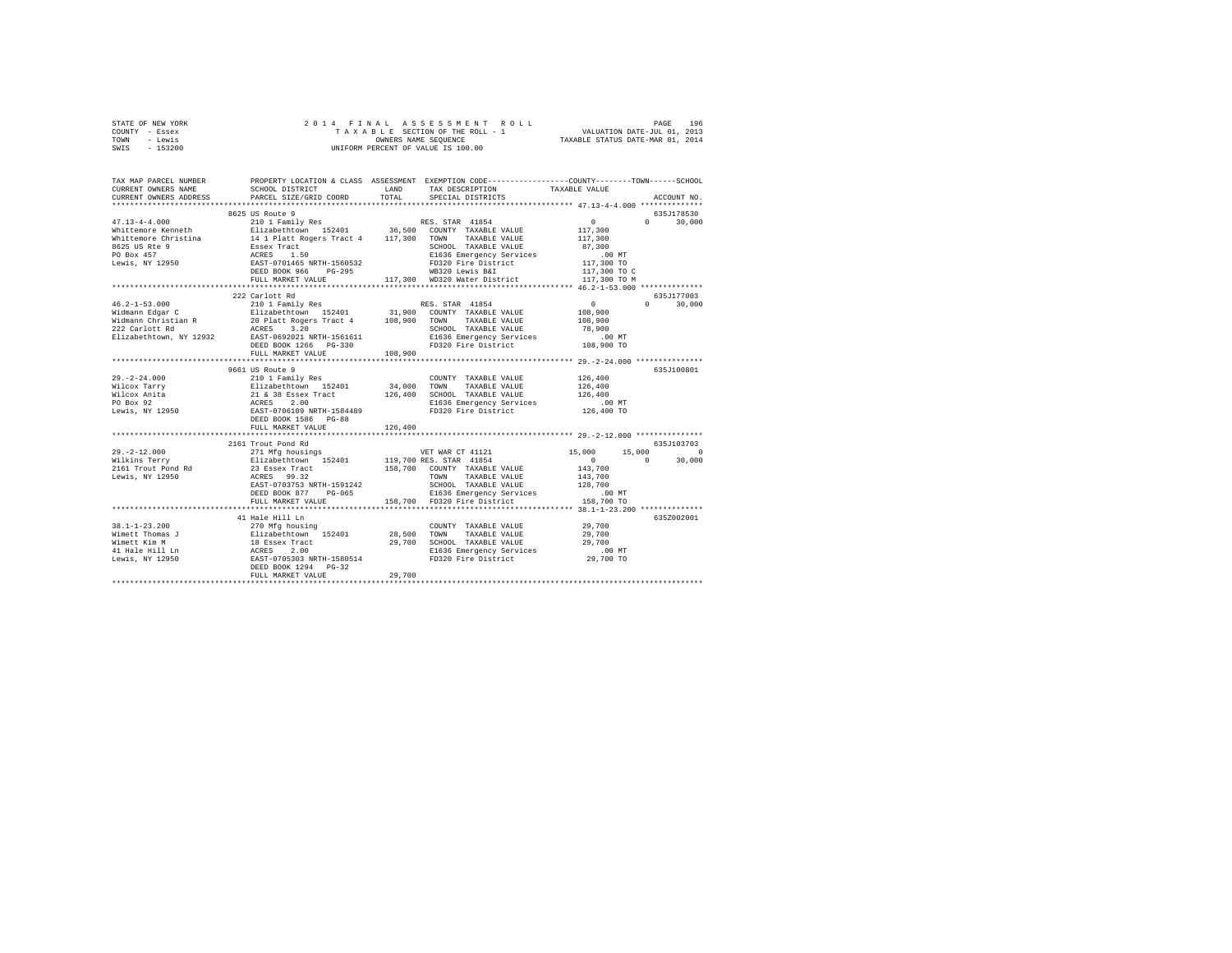| STATE OF NEW YORK<br>COUNTY - Essex<br>TOWN - Lewis<br>SWIS - 153200                                                                                                                                                                                                                                                                                                                                                       | 2014 FINAL                                     |         |                                                                                                                    |                      |                    |  |  |
|----------------------------------------------------------------------------------------------------------------------------------------------------------------------------------------------------------------------------------------------------------------------------------------------------------------------------------------------------------------------------------------------------------------------------|------------------------------------------------|---------|--------------------------------------------------------------------------------------------------------------------|----------------------|--------------------|--|--|
|                                                                                                                                                                                                                                                                                                                                                                                                                            |                                                |         |                                                                                                                    |                      |                    |  |  |
| TAX MAP PARCEL NUMBER<br>CURRENT OWNERS NAME                                                                                                                                                                                                                                                                                                                                                                               | SCHOOL DISTRICT LAND                           |         | PROPERTY LOCATION & CLASS ASSESSMENT EXEMPTION CODE----------------COUNTY-------TOWN-----SCHOOL<br>TAX DESCRIPTION |                      |                    |  |  |
| CURRENT OWNERS ADDRESS                                                                                                                                                                                                                                                                                                                                                                                                     | PARCEL SIZE/GRID COORD TOTAL                   |         |                                                                                                                    |                      | ACCOUNT NO.        |  |  |
|                                                                                                                                                                                                                                                                                                                                                                                                                            |                                                |         |                                                                                                                    |                      |                    |  |  |
|                                                                                                                                                                                                                                                                                                                                                                                                                            | 8625 US Route 9                                |         |                                                                                                                    |                      | 635J178530         |  |  |
| $\begin{tabular}{l c c c c} \multicolumn{3}{c}{\textbf{47.13--4--4.000}} & \multicolumn{3}{c}{\textbf{00.01}} & \multicolumn{3}{c}{\textbf{0.02}} & \multicolumn{3}{c}{\textbf{0.03}} & \multicolumn{3}{c}{\textbf{0.04}} & \multicolumn{3}{c}{\textbf{0.05}} & \multicolumn{3}{c}{\textbf{RES. STRA 41854}} & \multicolumn{3}{c}{\textbf{RES. STRA 41854}} & \multicolumn{3}{c}{\textbf{M}} & \multicolumn{3}{c}{\textbf$ |                                                |         |                                                                                                                    | $\sim$ 0<br>117,300  | $\Omega$<br>30,000 |  |  |
|                                                                                                                                                                                                                                                                                                                                                                                                                            |                                                |         |                                                                                                                    |                      |                    |  |  |
|                                                                                                                                                                                                                                                                                                                                                                                                                            |                                                |         |                                                                                                                    | 117,300              |                    |  |  |
|                                                                                                                                                                                                                                                                                                                                                                                                                            |                                                |         | SCHOOL TAXABLE VALUE                                                                                               | 87,300               |                    |  |  |
|                                                                                                                                                                                                                                                                                                                                                                                                                            |                                                |         | E1636 Emergency Services<br>FD320 Fire District<br>WB320 Lewis B&I                                                 | .00 MT<br>117,300 TO |                    |  |  |
|                                                                                                                                                                                                                                                                                                                                                                                                                            |                                                |         |                                                                                                                    | 117,300 TO C         |                    |  |  |
|                                                                                                                                                                                                                                                                                                                                                                                                                            | FULL MARKET VALUE 417,300 WD320 Water District |         |                                                                                                                    | 117,300 TO M         |                    |  |  |
|                                                                                                                                                                                                                                                                                                                                                                                                                            |                                                |         |                                                                                                                    |                      |                    |  |  |
|                                                                                                                                                                                                                                                                                                                                                                                                                            | 222 Carlott Rd                                 |         |                                                                                                                    |                      | 635J177003         |  |  |
|                                                                                                                                                                                                                                                                                                                                                                                                                            |                                                |         |                                                                                                                    | $\sim$ 0             | $0 \t 30.000$      |  |  |
|                                                                                                                                                                                                                                                                                                                                                                                                                            |                                                |         |                                                                                                                    | 108,900              |                    |  |  |
|                                                                                                                                                                                                                                                                                                                                                                                                                            |                                                |         |                                                                                                                    | 108,900              |                    |  |  |
|                                                                                                                                                                                                                                                                                                                                                                                                                            |                                                |         | SCHOOL TAXABLE VALUE                                                                                               | 78,900               |                    |  |  |
|                                                                                                                                                                                                                                                                                                                                                                                                                            |                                                |         | E1636 Emergency Services                                                                                           | $.00$ MT             |                    |  |  |
|                                                                                                                                                                                                                                                                                                                                                                                                                            |                                                |         | FD320 Fire District 108,900 TO                                                                                     |                      |                    |  |  |
|                                                                                                                                                                                                                                                                                                                                                                                                                            | FULL MARKET VALUE 108.900                      |         |                                                                                                                    |                      |                    |  |  |
|                                                                                                                                                                                                                                                                                                                                                                                                                            |                                                |         |                                                                                                                    |                      | 635J100801         |  |  |
|                                                                                                                                                                                                                                                                                                                                                                                                                            | 9661 US Route 9                                |         | COUNTY TAXABLE VALUE 126,400                                                                                       |                      |                    |  |  |
|                                                                                                                                                                                                                                                                                                                                                                                                                            |                                                |         |                                                                                                                    | 126,400              |                    |  |  |
|                                                                                                                                                                                                                                                                                                                                                                                                                            |                                                |         |                                                                                                                    | 126.400              |                    |  |  |
|                                                                                                                                                                                                                                                                                                                                                                                                                            |                                                |         | E1636 Emergency Services                                                                                           | .00 MT               |                    |  |  |
|                                                                                                                                                                                                                                                                                                                                                                                                                            |                                                |         | FD320 Fire District                                                                                                | 126,400 TO           |                    |  |  |
|                                                                                                                                                                                                                                                                                                                                                                                                                            |                                                |         |                                                                                                                    |                      |                    |  |  |
|                                                                                                                                                                                                                                                                                                                                                                                                                            | FULL MARKET VALUE                              | 126,400 |                                                                                                                    |                      |                    |  |  |
|                                                                                                                                                                                                                                                                                                                                                                                                                            |                                                |         |                                                                                                                    |                      |                    |  |  |
|                                                                                                                                                                                                                                                                                                                                                                                                                            | 2161 Trout Pond Rd                             |         |                                                                                                                    |                      | 635J103703         |  |  |
| 29.-2-12.000<br>Wilkins Terry                                                                                                                                                                                                                                                                                                                                                                                              |                                                |         |                                                                                                                    |                      | 15,000 0           |  |  |
|                                                                                                                                                                                                                                                                                                                                                                                                                            |                                                |         |                                                                                                                    | $\sim$ 0             | 30,000             |  |  |
| 2161 Trout Pond Rd<br>Lewis, NY 12950                                                                                                                                                                                                                                                                                                                                                                                      |                                                |         |                                                                                                                    |                      |                    |  |  |
|                                                                                                                                                                                                                                                                                                                                                                                                                            |                                                |         |                                                                                                                    |                      |                    |  |  |
|                                                                                                                                                                                                                                                                                                                                                                                                                            |                                                |         |                                                                                                                    |                      |                    |  |  |
|                                                                                                                                                                                                                                                                                                                                                                                                                            |                                                |         |                                                                                                                    |                      |                    |  |  |
|                                                                                                                                                                                                                                                                                                                                                                                                                            |                                                |         |                                                                                                                    |                      |                    |  |  |
|                                                                                                                                                                                                                                                                                                                                                                                                                            | 41 Hale Hill Ln                                |         |                                                                                                                    |                      | 635Z002001         |  |  |
| $38.1 - 1 - 23.200$                                                                                                                                                                                                                                                                                                                                                                                                        | 270 Mfa housina                                |         | COUNTY TAXABLE VALUE                                                                                               | 29,700               |                    |  |  |
|                                                                                                                                                                                                                                                                                                                                                                                                                            |                                                |         |                                                                                                                    |                      |                    |  |  |
|                                                                                                                                                                                                                                                                                                                                                                                                                            |                                                |         |                                                                                                                    |                      |                    |  |  |
|                                                                                                                                                                                                                                                                                                                                                                                                                            |                                                |         |                                                                                                                    |                      |                    |  |  |
|                                                                                                                                                                                                                                                                                                                                                                                                                            |                                                |         |                                                                                                                    |                      |                    |  |  |
|                                                                                                                                                                                                                                                                                                                                                                                                                            |                                                |         |                                                                                                                    |                      |                    |  |  |
|                                                                                                                                                                                                                                                                                                                                                                                                                            | FULL MARKET VALUE                              | 29,700  |                                                                                                                    |                      |                    |  |  |
|                                                                                                                                                                                                                                                                                                                                                                                                                            |                                                |         |                                                                                                                    |                      |                    |  |  |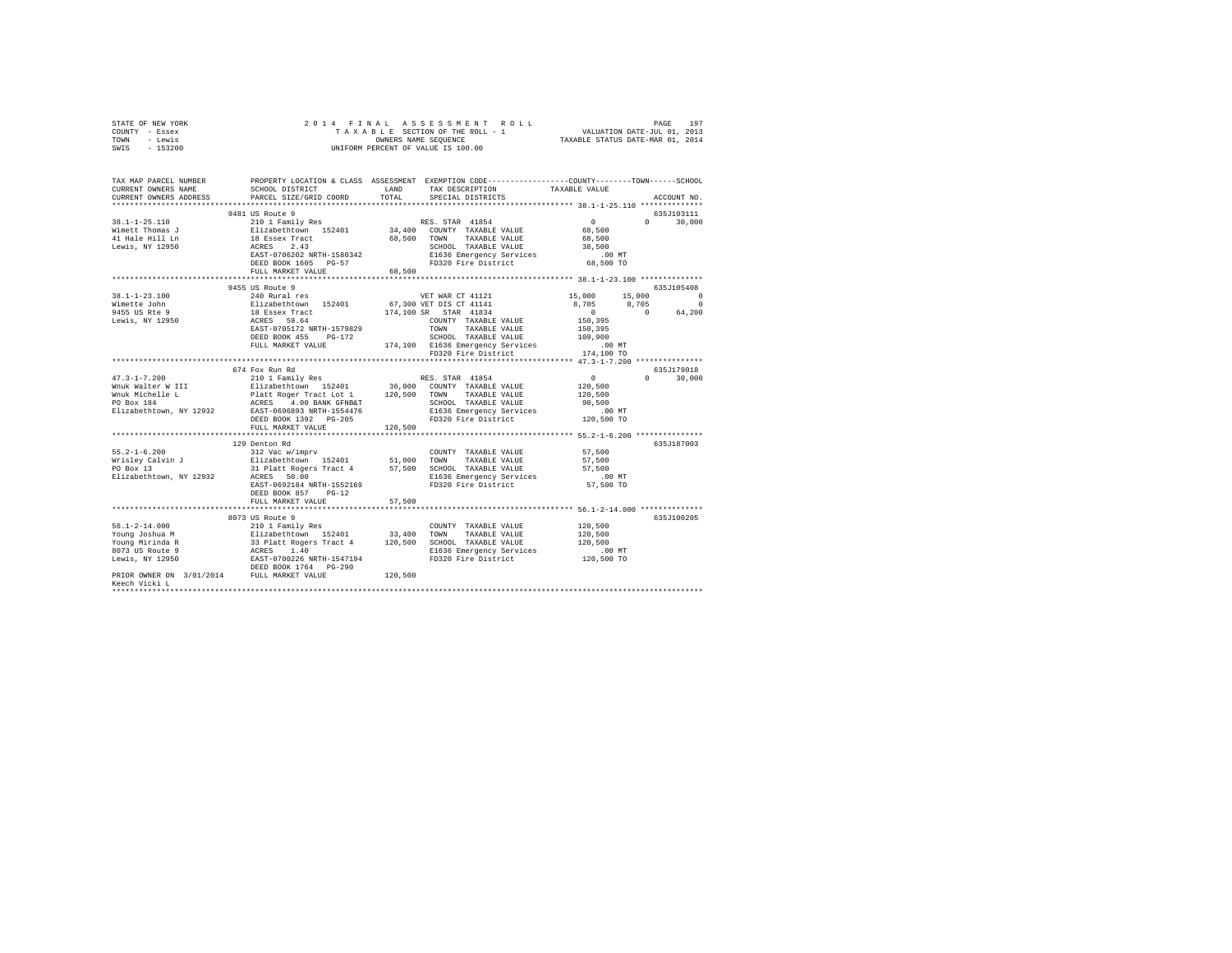|      | STATE OF NEW YORK |  |  | 2014 FINAL ASSESSMENT ROLL         |                                  | PAGE                        | 197 |
|------|-------------------|--|--|------------------------------------|----------------------------------|-----------------------------|-----|
|      | COUNTY - Essex    |  |  | TAXABLE SECTION OF THE ROLL - 1    |                                  | VALUATION DATE-JUL 01, 2013 |     |
| TOWN | - Lewis           |  |  | OWNERS NAME SEOUENCE               | TAXABLE STATUS DATE-MAR 01, 2014 |                             |     |
| SWIS | - 153200          |  |  | UNIFORM PERCENT OF VALUE IS 100.00 |                                  |                             |     |

| TAX MAP PARCEL NUMBER<br>CURRENT OWNERS NAME                                                                                                                                                                                                                                           | SCHOOL DISTRICT                                                                                                               | LAND        | PROPERTY LOCATION & CLASS ASSESSMENT EXEMPTION CODE----------------COUNTY-------TOWN------SCHOOL<br>TAX DESCRIPTION | TAXABLE VALUE        |                    |
|----------------------------------------------------------------------------------------------------------------------------------------------------------------------------------------------------------------------------------------------------------------------------------------|-------------------------------------------------------------------------------------------------------------------------------|-------------|---------------------------------------------------------------------------------------------------------------------|----------------------|--------------------|
| CURRENT OWNERS ADDRESS                                                                                                                                                                                                                                                                 | PARCEL SIZE/GRID COORD                                                                                                        | TOTAL.      | SPECIAL DISTRICTS                                                                                                   |                      | ACCOUNT NO.        |
|                                                                                                                                                                                                                                                                                        | 9481 US Route 9                                                                                                               |             |                                                                                                                     |                      | 635J103111         |
| 38.1-1-25.110                                                                                                                                                                                                                                                                          | 210 1 Family Res                                                                                                              |             | RES. STAR 41854                                                                                                     | $\sim$ 0             | $0 \t 30.000$      |
| Wimett Thomas J                                                                                                                                                                                                                                                                        |                                                                                                                               |             | 34,400 COUNTY TAXABLE VALUE                                                                                         | 68,500               |                    |
| 41 Hale Hill Ln                                                                                                                                                                                                                                                                        | Elizabethtown 152401<br>18 Essex Tract                                                                                        | 68,500 TOWN | TAXABLE VALUE                                                                                                       | 68,500               |                    |
| Lewis, NY 12950                                                                                                                                                                                                                                                                        | ACRES 2.43                                                                                                                    |             |                                                                                                                     | 38,500               |                    |
|                                                                                                                                                                                                                                                                                        | EAST-0706202 NRTH-1580342                                                                                                     |             | SCHOOL TAXABLE VALUE<br>E1636 Emergency Services                                                                    | $.00$ MT             |                    |
|                                                                                                                                                                                                                                                                                        | DEED BOOK 1605 PG-57                                                                                                          |             | FD320 Fire District                                                                                                 | 68,500 TO            |                    |
|                                                                                                                                                                                                                                                                                        | FULL MARKET VALUE                                                                                                             | 68,500      |                                                                                                                     |                      |                    |
|                                                                                                                                                                                                                                                                                        |                                                                                                                               |             |                                                                                                                     |                      |                    |
|                                                                                                                                                                                                                                                                                        | 9455 US Route 9                                                                                                               |             |                                                                                                                     |                      | 635J105408         |
| $38.1 - 1 - 23.100$                                                                                                                                                                                                                                                                    | 240 Rural res                                                                                                                 |             | VET WAR CT 41121                                                                                                    | 15,000<br>15,000     | $\sim$ 0           |
| Wimette John                                                                                                                                                                                                                                                                           |                                                                                                                               |             | 67,300 VET DIS CT 41141                                                                                             | 8,705<br>8,705       | $\sim$ 0           |
| 9455 US Rte 9                                                                                                                                                                                                                                                                          | Elizabethtown 152401<br>18 Essex Tract<br>ACRES 59.64                                                                         |             | 174,100 SR STAR 41834                                                                                               | $\sim$ 0             | $\sim$ 0<br>64,200 |
| Lewis, NY 12950                                                                                                                                                                                                                                                                        |                                                                                                                               |             | COUNTY TAXABLE VALUE                                                                                                | 150,395              |                    |
|                                                                                                                                                                                                                                                                                        | EAST-0705172 NRTH-1579829                                                                                                     |             | TOWN<br>TAXABLE VALUE                                                                                               | 150,395              |                    |
|                                                                                                                                                                                                                                                                                        | DEED BOOK 455<br>$PG-172$                                                                                                     |             | SCHOOL TAXABLE VALUE                                                                                                | 109,900              |                    |
|                                                                                                                                                                                                                                                                                        | FULL MARKET VALUE                                                                                                             |             | $174,100$ $E1636$ Emergency Services                                                                                | .00 MT               |                    |
|                                                                                                                                                                                                                                                                                        |                                                                                                                               |             | FD320 Fire District                                                                                                 | 174,100 TO           |                    |
|                                                                                                                                                                                                                                                                                        |                                                                                                                               |             |                                                                                                                     |                      |                    |
|                                                                                                                                                                                                                                                                                        | 674 Fox Run Rd                                                                                                                |             |                                                                                                                     |                      | 635.T179018        |
| $47.3 - 1 - 7.200$                                                                                                                                                                                                                                                                     |                                                                                                                               |             |                                                                                                                     | $\sim$ 0             | $\Omega$<br>30,000 |
|                                                                                                                                                                                                                                                                                        |                                                                                                                               |             | 36,000 COUNTY TAXABLE VALUE                                                                                         | 120,500              |                    |
|                                                                                                                                                                                                                                                                                        |                                                                                                                               |             | TAXABLE VALUE                                                                                                       | 120,500              |                    |
|                                                                                                                                                                                                                                                                                        |                                                                                                                               |             | SCHOOL TAXABLE VALUE                                                                                                | 90,500               |                    |
| While Walter William Munk Walter Windows 2019<br>20,500 TOWN Which Platt Roger Tract Lot 1 120,500 TOWN<br>20 Box 184 200 2000 2000 2000 2000 2000 2000 2010 2010 2010 2010 2010 2010 2010 2010 2010 2010 2010 2010 201<br>201636<br>Elizabethtown, NY 12932 EAST-0696893 NRTH-1554476 |                                                                                                                               |             | E1636 Emergency Services                                                                                            | $.00$ MT             |                    |
|                                                                                                                                                                                                                                                                                        | DEED BOOK 1392    PG-205                                                                                                      |             | FD320 Fire District                                                                                                 | 120,500 TO           |                    |
|                                                                                                                                                                                                                                                                                        | FULL MARKET VALUE                                                                                                             | 120,500     |                                                                                                                     |                      |                    |
|                                                                                                                                                                                                                                                                                        |                                                                                                                               |             |                                                                                                                     |                      |                    |
|                                                                                                                                                                                                                                                                                        | 129 Denton Rd                                                                                                                 |             |                                                                                                                     |                      | 635.T187003        |
|                                                                                                                                                                                                                                                                                        |                                                                                                                               |             | COUNTY TAXABLE VALUE                                                                                                | 57,500               |                    |
|                                                                                                                                                                                                                                                                                        |                                                                                                                               | 51,000      | TOWN<br>TAXABLE VALUE                                                                                               | 57,500               |                    |
|                                                                                                                                                                                                                                                                                        |                                                                                                                               | 57,500      | SCHOOL TAXABLE VALUE                                                                                                | 57,500               |                    |
| Elizabethtown, NY 12932                                                                                                                                                                                                                                                                | ACRES 50.00                                                                                                                   |             | E1636 Emergency Services                                                                                            | $.00$ MT             |                    |
|                                                                                                                                                                                                                                                                                        | EAST-0692184 NRTH-1552169                                                                                                     |             | FD320 Fire District                                                                                                 | 57,500 TO            |                    |
|                                                                                                                                                                                                                                                                                        | DEED BOOK 857<br>$PG-12$                                                                                                      |             |                                                                                                                     |                      |                    |
|                                                                                                                                                                                                                                                                                        | FULL MARKET VALUE                                                                                                             | 57,500      |                                                                                                                     |                      |                    |
|                                                                                                                                                                                                                                                                                        | *************************                                                                                                     |             |                                                                                                                     |                      |                    |
|                                                                                                                                                                                                                                                                                        | 8073 US Route 9                                                                                                               |             |                                                                                                                     |                      | 635J100205         |
| $56.1 - 2 - 14.000$                                                                                                                                                                                                                                                                    | 210 1 Family Res                                                                                                              |             | COUNTY TAXABLE VALUE                                                                                                | 120,500              |                    |
| Young Joshua M                                                                                                                                                                                                                                                                         |                                                                                                                               |             | TOWN<br>TAXABLE VALUE                                                                                               | 120,500              |                    |
| Young Mirinda R                                                                                                                                                                                                                                                                        |                                                                                                                               |             | SCHOOL TAXABLE VALUE                                                                                                | 120,500              |                    |
| 8073 US Route 9                                                                                                                                                                                                                                                                        |                                                                                                                               |             | E1636 Emergency Services                                                                                            | 00 MT.<br>120,500 TO |                    |
| Lewis, NY 12950                                                                                                                                                                                                                                                                        | 210 1 Fauluy Res<br>Elizabethtown 152401 33,400<br>33 Platt Rogers Tract 4 120,500<br>ACRES 1.40<br>EAST-0700226 NRTH-1547194 |             | FD320 Fire District                                                                                                 |                      |                    |
|                                                                                                                                                                                                                                                                                        |                                                                                                                               |             |                                                                                                                     |                      |                    |
| ${\tt DEED\ BOOK\ 1764}\qquad {\tt PG-290} \label{thm:DEED\ BOOK\ 1764}$ PRIOR OWNER ON $\ 3/01/2014\qquad \qquad {\tt FULL\ MARKET\ VALUE}$                                                                                                                                           |                                                                                                                               | 120,500     |                                                                                                                     |                      |                    |
| Keech Vicki L                                                                                                                                                                                                                                                                          |                                                                                                                               |             |                                                                                                                     |                      |                    |
|                                                                                                                                                                                                                                                                                        |                                                                                                                               |             |                                                                                                                     |                      |                    |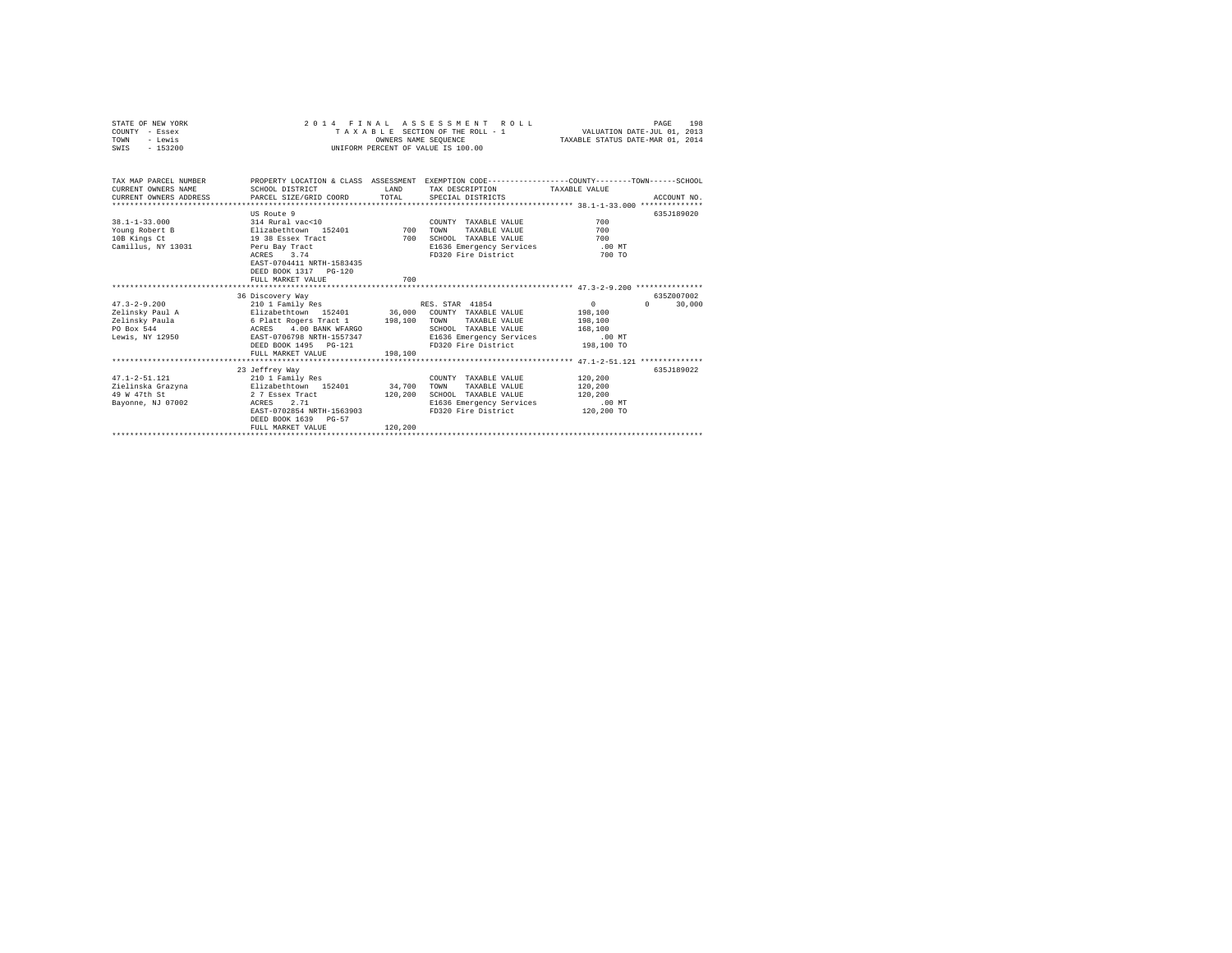| STATE OF NEW YORK<br>COUNTY - Essex<br>- Lewis<br>TOWN<br>SWIS - 153200                    |                                                                                                                                                                                                                                          | OWNERS NAME SEOUENCE | 2014 FINAL ASSESSMENT ROLL<br>TAXABLE SECTION OF THE ROLL - 1<br>UNIFORM PERCENT OF VALUE IS 100.00                             | PAGE<br>VALUATION DATE-JUL 01, 2013<br>TAXABLE STATUS DATE-MAR 01, 2014                                        | 198 |
|--------------------------------------------------------------------------------------------|------------------------------------------------------------------------------------------------------------------------------------------------------------------------------------------------------------------------------------------|----------------------|---------------------------------------------------------------------------------------------------------------------------------|----------------------------------------------------------------------------------------------------------------|-----|
| TAX MAP PARCEL NUMBER<br>CURRENT OWNERS NAME<br>CURRENT OWNERS ADDRESS                     | SCHOOL DISTRICT<br>PARCEL SIZE/GRID COORD                                                                                                                                                                                                | LAND<br>TOTAL        | TAX DESCRIPTION TAXABLE VALUE<br>SPECIAL DISTRICTS                                                                              | PROPERTY LOCATION & CLASS ASSESSMENT EXEMPTION CODE---------------COUNTY-------TOWN------SCHOOL<br>ACCOUNT NO. |     |
| $38.1 - 1 - 33.000$<br>Young Robert B<br>10B Kings Ct<br>Camillus, NY 13031 Peru Bay Tract | US Route 9<br>314 Rural vac<10<br>Elizabethtown 152401 700<br>19 38 Essex Tract<br>3.74<br>ACRES<br>EAST-0704411 NRTH-1583435<br>DEED BOOK 1317 PG-120<br>FULL MARKET VALUE                                                              | 700<br>700           | COUNTY TAXABLE VALUE<br>TOWN<br>TAXABLE VALUE<br>SCHOOL TAXABLE VALUE<br>E1636 Emergency Services .00 MT<br>FD320 Fire District | 635J189020<br>700<br>700<br>700<br>700 TO                                                                      |     |
| $47.3 - 2 - 9.200$<br>Zelinsky Paul A<br><b>ACRES</b><br>PO Box 544<br>Lewis, NY 12950     | 36 Discovery Way<br>210 1 Family Res<br>Elizabethtown 152401 36,000 COUNTY TAXABLE VALUE<br>Zelinsky Paula 6 Platt Rogers Tract 1 198,100<br>4.00 BANK WFARGO<br>EAST-0706798 NRTH-1557347<br>DEED BOOK 1495 PG-121<br>FULL MARKET VALUE | 198,100              | RES. STAR 41854<br>TAXABLE VALUE<br>TOWN<br>SCHOOL TAXABLE VALUE<br>E1636 Emergency Services<br>FD320 Fire District 198,100 TO  | 6357007002<br>$\Omega$<br>$\Omega$ and $\Omega$<br>30,000<br>198,100<br>198,100<br>168,100<br>$.00$ MT         |     |
| $47.1 - 2 - 51.121$<br>49 W 47th St<br>Bayonne, NJ 07002                                   | 23 Jeffrey Way<br>210 1 Family Res<br>Zielinska Grazyna (Elizabethtown 152401 (34,700)<br>2 7 Essex Tract<br>2.71<br>ACRES<br>EAST-0702854 NRTH-1563903<br>DEED BOOK 1639 PG-57<br>FULL MARKET VALUE                                     | 120,200<br>120,200   | COUNTY TAXABLE VALUE<br>TAXABLE VALUE<br>TOWN<br>SCHOOL TAXABLE VALUE<br>E1636 Emergency Services<br>FD320 Fire District        | 635.T189022<br>120,200<br>120,200<br>120,200<br>.00 MT<br>120,200 TO                                           |     |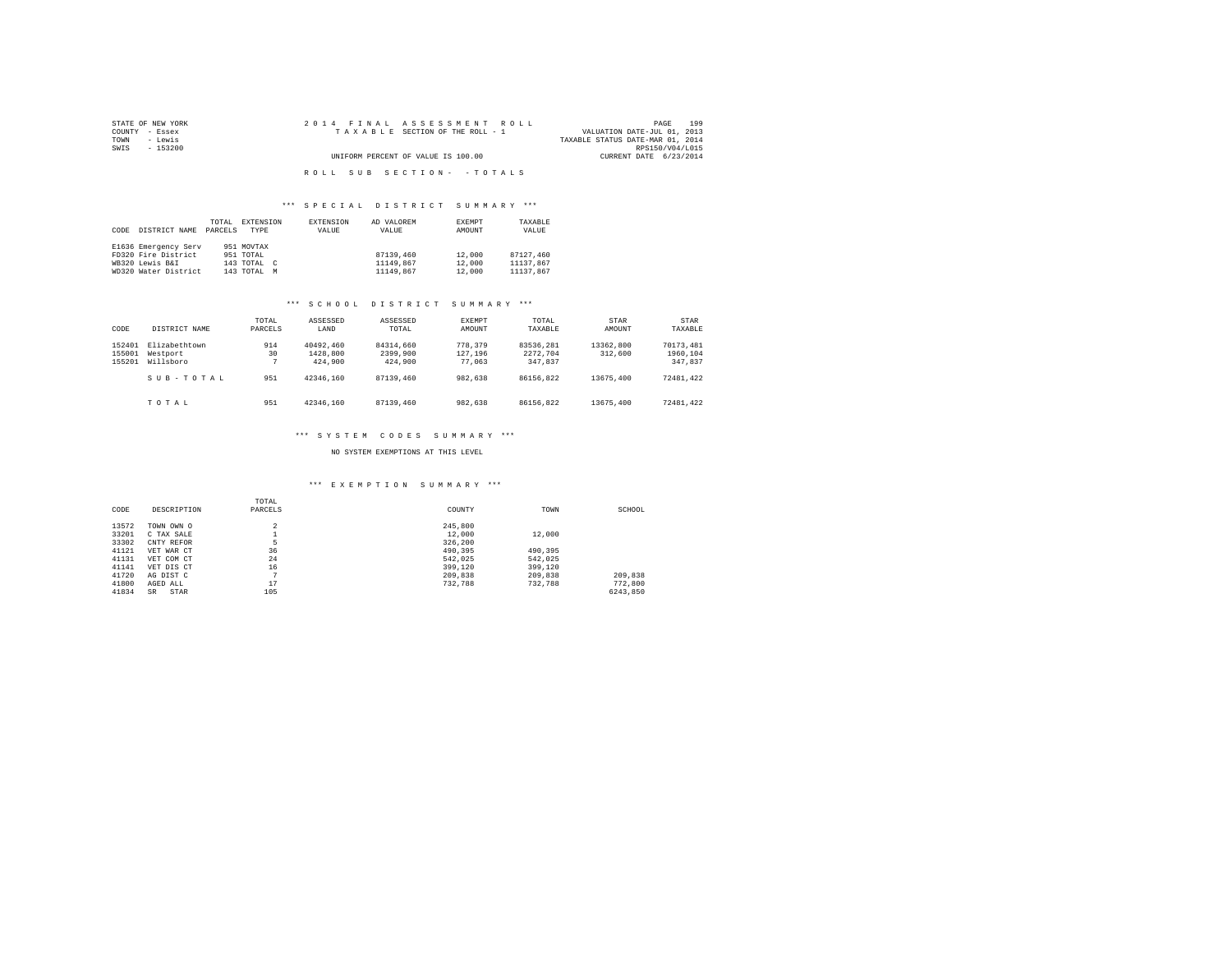| STATE OF NEW YORK | 2014 FINAL ASSESSMENT ROLL         | 199<br>PAGE                      |
|-------------------|------------------------------------|----------------------------------|
| COUNTY - Essex    | TAXABLE SECTION OF THE ROLL - 1    | VALUATION DATE-JUL 01, 2013      |
| TOWN<br>- Lewis   |                                    | TAXABLE STATUS DATE-MAR 01, 2014 |
| SWIS<br>- 153200  |                                    | RPS150/V04/L015                  |
|                   | UNIFORM PERCENT OF VALUE IS 100.00 | CURRENT DATE 6/23/2014           |
|                   |                                    |                                  |
|                   | ROLL SUB SECTION- - TOTALS         |                                  |

#### \*\*\* S P E C I A L D I S T R I C T S U M M A R Y \*\*\*

| DISTRICT NAME<br>CODE                                                                  | TOTAL<br>EXTENSION<br>PARCELS<br>TYPR                                | EXTENSION<br>VALUE | AD VALOREM<br>VALUE                 | EXEMPT<br>AMOUNT           | TAXABLE<br>VALUE                    |
|----------------------------------------------------------------------------------------|----------------------------------------------------------------------|--------------------|-------------------------------------|----------------------------|-------------------------------------|
| E1636 Emergency Serv<br>FD320 Fire District<br>WB320 Lewis B&I<br>WD320 Water District | 951 MOVTAX<br>951 TOTAL<br>143 TOTAL<br>$\epsilon$<br>143 TOTAL<br>M |                    | 87139,460<br>11149,867<br>11149,867 | 12,000<br>12,000<br>12,000 | 87127.460<br>11137.867<br>11137.867 |

#### \*\*\* S C H O O L D I S T R I C T S U M M A R Y \*\*\*

| CODE                       | DISTRICT NAME                          | TOTAL<br>PARCELS | ASSESSED<br>LAND                 | ASSESSED<br>TOTAL.               | EXEMPT<br>AMOUNT             | TOTAL<br>TAXABLE                 | STAR<br>AMOUNT       | STAR<br>TAXABLE                  |
|----------------------------|----------------------------------------|------------------|----------------------------------|----------------------------------|------------------------------|----------------------------------|----------------------|----------------------------------|
| 152401<br>155001<br>155201 | Elizabethtown<br>Westport<br>Willsboro | 914<br>30        | 40492.460<br>1428,800<br>424,900 | 84314,660<br>2399,900<br>424,900 | 778,379<br>127.196<br>77.063 | 83536.281<br>2272.704<br>347.837 | 13362,800<br>312,600 | 70173.481<br>1960,104<br>347.837 |
|                            | SUB-TOTAL                              | 951              | 42346.160                        | 87139,460                        | 982.638                      | 86156.822                        | 13675.400            | 72481.422                        |
|                            | TOTAL                                  | 951              | 42346.160                        | 87139,460                        | 982.638                      | 86156.822                        | 13675.400            | 72481.422                        |

#### \*\*\* S Y S T E M C O D E S S U M M A R Y \*\*\*

NO SYSTEM EXEMPTIONS AT THIS LEVEL

#### \*\*\* E X E M P T I O N S U M M A R Y \*\*\*

| CODE  | DESCRIPTION       | TOTAL<br>PARCELS | COUNTY  | TOWN    | SCHOOL   |
|-------|-------------------|------------------|---------|---------|----------|
| 13572 | TOWN OWN O        | $\overline{a}$   | 245,800 |         |          |
| 33201 | C TAX SALE        |                  | 12,000  | 12,000  |          |
| 33302 | CNTY REFOR        | 5                | 326,200 |         |          |
| 41121 | VET WAR CT        | 36               | 490,395 | 490.395 |          |
| 41131 | VET COM CT        | 24               | 542.025 | 542.025 |          |
| 41141 | VET DIS CT        | 16               | 399,120 | 399,120 |          |
| 41720 | AG DIST C         | $\sim$           | 209,838 | 209,838 | 209,838  |
| 41800 | AGED ALL          | 17               | 732.788 | 732.788 | 772,800  |
| 41834 | STAR<br><b>SR</b> | 105              |         |         | 6243.850 |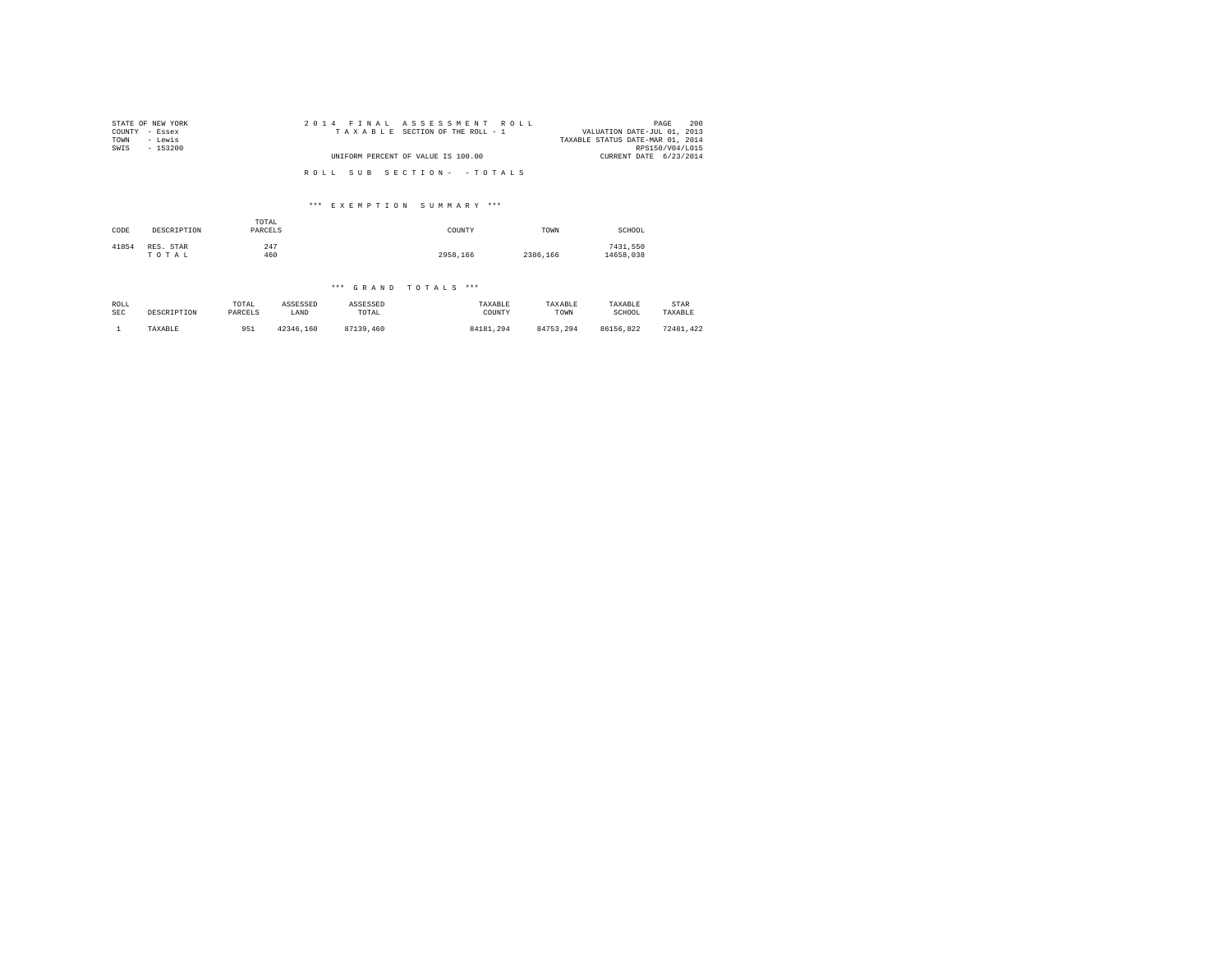| STATE OF NEW YORK | 2014 FINAL ASSESSMENT ROLL         | 200<br>PAGE                      |
|-------------------|------------------------------------|----------------------------------|
| COUNTY - Essex    | TAXABLE SECTION OF THE ROLL - 1    | VALUATION DATE-JUL 01, 2013      |
| TOWN<br>- Lewis   |                                    | TAXABLE STATUS DATE-MAR 01, 2014 |
| SWIS<br>- 153200  |                                    | RPS150/V04/L015                  |
|                   | UNIFORM PERCENT OF VALUE IS 100.00 | CURRENT DATE 6/23/2014           |
|                   |                                    |                                  |
|                   | ROLL SUB SECTION- - TOTALS         |                                  |

### \*\*\* E X E M P T I O N S U M M A R Y \*\*\*

| CODE  | DESCRIPTION        | TOTAL<br>PARCELS | COUNTY   | TOWN     | SCHOOL                |
|-------|--------------------|------------------|----------|----------|-----------------------|
| 41854 | RES. STAR<br>TOTAL | 247<br>460       | 2958.166 | 2386,166 | 7431.550<br>14658.038 |

#### \*\*\* G R A N D T O T A L S \*\*\*

| ROLL       | DESCRIPTION | TOTAL   | ASSESSED  | ASSESSED  | TAXABLE   | TAXABLE   | TAXABLE   | STAR      |
|------------|-------------|---------|-----------|-----------|-----------|-----------|-----------|-----------|
| <b>SEC</b> |             | PARCELS | LAND      | TOTAL     | COUNTY    | TOWN      | SCHOOL    | TAXABLE   |
|            | TAXABLE     | 951     | 42346.160 | 87139,460 | 84181.294 | 84753.294 | 86156.822 | 72481.422 |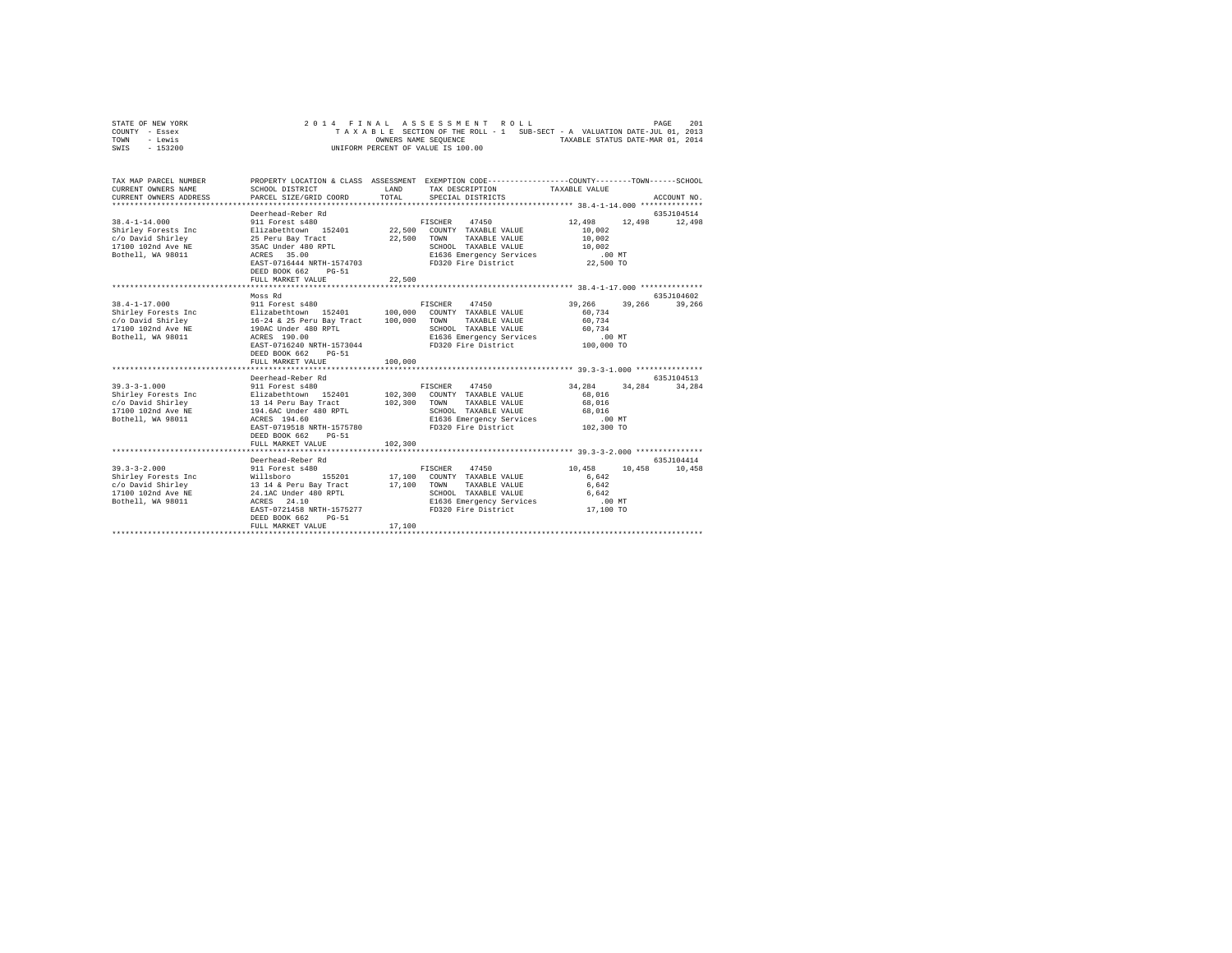| STATE OF NEW YORK | 2014 FINAL ASSESSMENT ROLL                                               | PAGE | 201 |
|-------------------|--------------------------------------------------------------------------|------|-----|
| COUNTY - Essex    | TAXABLE SECTION OF THE ROLL - 1 SUB-SECT - A VALUATION DATE-JUL 01, 2013 |      |     |
| TOWN<br>- Lewis   | TAXABLE STATUS DATE-MAR 01, 2014<br>OWNERS NAME SEOUENCE                 |      |     |
| - 153200<br>SWIS  | UNIFORM PERCENT OF VALUE IS 100.00                                       |      |     |

| TAX MAP PARCEL NUMBER<br>CURRENT OWNERS NAME<br>CURRENT OWNERS ADDRESS                                                                                                               | SCHOOL DISTRICT<br>PARCEL SIZE/GRID COORD                                                                                                                                                                                         | <b>T.AND</b><br>TOTAL.        | PROPERTY LOCATION & CLASS ASSESSMENT EXEMPTION CODE----------------COUNTY-------TOWN-----SCHOOL<br>TAX DESCRIPTION TAXABLE VALUE<br>SPECIAL DISTRICTS |                                                                      | ACCOUNT NO.           |
|--------------------------------------------------------------------------------------------------------------------------------------------------------------------------------------|-----------------------------------------------------------------------------------------------------------------------------------------------------------------------------------------------------------------------------------|-------------------------------|-------------------------------------------------------------------------------------------------------------------------------------------------------|----------------------------------------------------------------------|-----------------------|
| $38.4 - 1 - 14.000$<br>Shirley Forests Inc<br>c/o David Shirley<br>17100 102nd Ave NE<br>Bothell, WA 98011                                                                           | Deerhead-Reber Rd<br>911 Forest s480<br>Elizabethtown 152401 22,500 COUNTY TAXABLE VALUE<br>25 Peru Bay Tract<br>35AC Under 480 RPTL<br>ACRES 35.00<br>EAST-0716444 NRTH-1574703<br>DEED BOOK 662<br>$PG-51$<br>FULL MARKET VALUE | 22,500<br>22,500              | FISCHER 47450<br>TOWN<br>TAXABLE VALUE<br>SCHOOL TAXABLE VALUE<br>E1636 Emergency Services<br>FD320 Fire District 22,500 TO                           | 12,498<br>12,498<br>10,002<br>10,002<br>10,002<br>$100 \, \text{MT}$ | 635J104514<br>12,498  |
|                                                                                                                                                                                      |                                                                                                                                                                                                                                   |                               |                                                                                                                                                       |                                                                      |                       |
| $38.4 - 1 - 17.000$<br>Shirley Forests Inc Blizabethtown 152401<br>c/o David Shirley<br>16-24 & 25 Peru Bay Tract<br>17100 102nd Ave NE<br>190AC Under 480 RPTL<br>Bothell, WA 98011 | Moss Rd<br>911 Forest s480<br>ACRES 190.00<br>EAST-0716240 NRTH-1573044<br>DEED BOOK 662<br>$PG - 51$<br>FULL MARKET VALUE                                                                                                        | 100,000<br>100,000<br>100,000 | FISCHER 47450<br>COUNTY TAXABLE VALUE<br>TOWN<br>TAXABLE VALUE<br>SCHOOL TAXABLE VALUE<br>E1636 Emergency Services<br>FD320 Fire District 100,000 TO  | 39,266<br>39,266<br>60.734<br>60.734<br>60.734<br>$.00$ MT           | 635.7104602<br>39,266 |
| $39.3 - 3 - 1.000$<br>Shirley Forests Inc 51izabethtown 152401 102,300                                                                                                               | Deerhead-Reber Rd<br>911 Forest s480<br>EAST-0719518 NRTH-1575780<br>DEED BOOK 662 PG-51<br>FULL MARKET VALUE                                                                                                                     | 102,300 TOWN<br>102,300       | FISCHER 47450<br>COUNTY TAXABLE VALUE<br>TAXABLE VALUE<br>SCHOOL TAXABLE VALUE<br>E1636 Emergency Services<br>FD320 Fire District 102,300 TO          | 34,284<br>34,284<br>68,016<br>68,016<br>68,016<br>.00MT              | 635J104513<br>34.284  |
| $39.3 - 3 - 2.000$<br>Bothell, WA 98011                                                                                                                                              | Deerhead-Reber Rd<br>911 Forest s480<br>ACRES 24.10<br>EAST-0721458 NRTH-1575277<br>DEED BOOK 662<br>$PG-51$<br>FULL MARKET VALUE                                                                                                 | 17,100 TOWN<br>17,100         | FISCHER 47450<br>155201 17,100 COUNTY TAXABLE VALUE<br>TAXABLE VALUE<br>SCHOOL TAXABLE VALUE<br>E1636 Emergency Services<br>FD320 Fire District       | 10,458<br>10,458<br>6,642<br>6.642<br>6,642<br>$.00$ MT<br>17,100 TO | 635J104414<br>10,458  |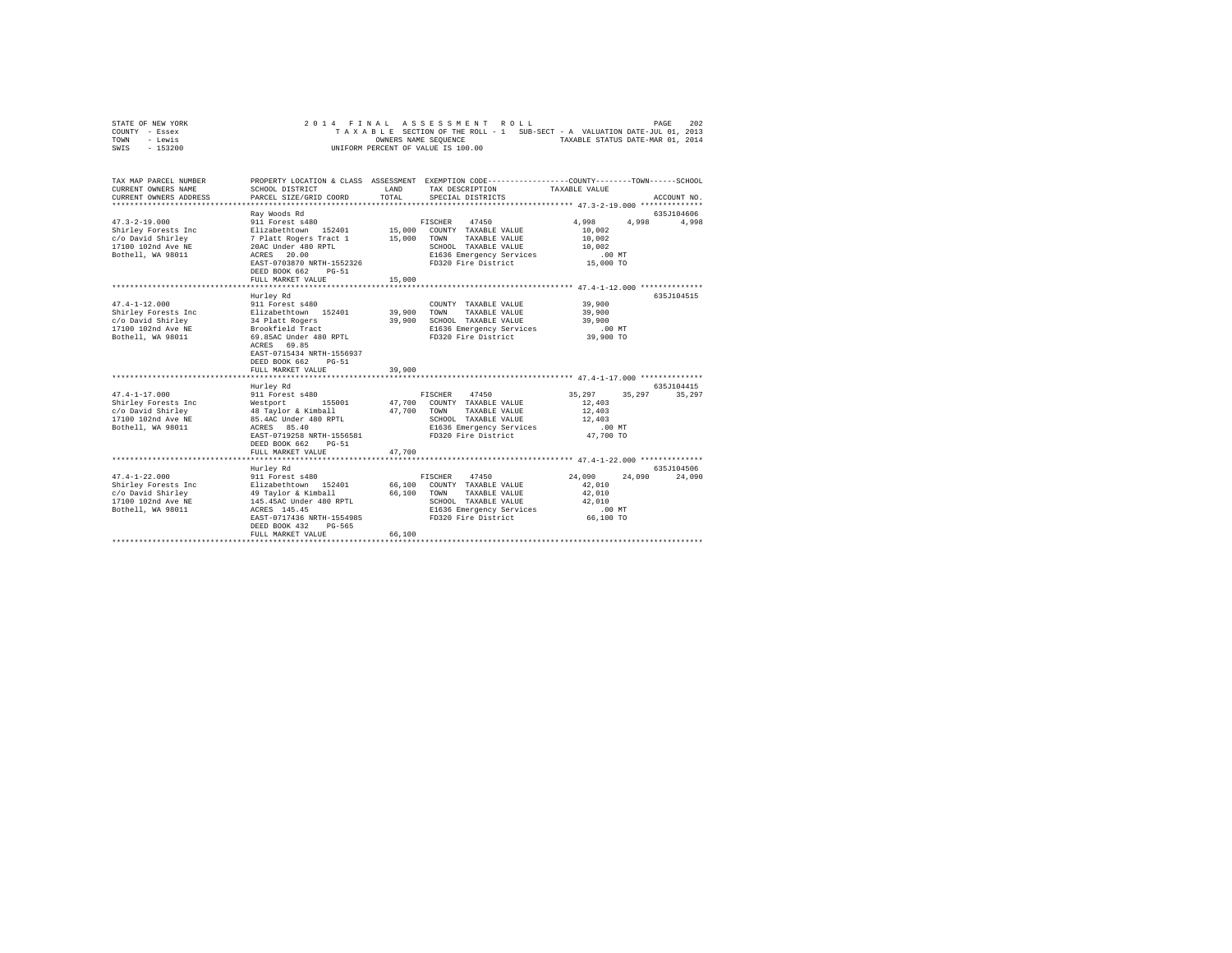| STATE OF NEW YORK<br>COUNTY<br>- Essex<br>- Lewis<br>TOWN<br>$-153200$<br>SWIS |                                                                              |                    | 2014 FINAL ASSESSMENT ROLL<br>TAXABLE SECTION OF THE ROLL - 1 SUB-SECT - A VALUATION DATE-JUL 01, 2013<br>OWNERS NAME SEOUENCE<br>UNIFORM PERCENT OF VALUE IS 100.00 | TAXABLE STATUS DATE-MAR 01, 2014 | PAGE       | 202         |
|--------------------------------------------------------------------------------|------------------------------------------------------------------------------|--------------------|----------------------------------------------------------------------------------------------------------------------------------------------------------------------|----------------------------------|------------|-------------|
| TAX MAP PARCEL NUMBER<br>CURRENT OWNERS NAME<br>CURRENT OWNERS ADDRESS         | PROPERTY LOCATION & CLASS<br>SCHOOL DISTRICT<br>PARCEL SIZE/GRID COORD TOTAL | ASSESSMENT<br>LAND | EXEMPTION CODE-----------------COUNTY-------TOWN------SCHOOL<br>TAX DESCRIPTION<br>SPECIAL DISTRICTS                                                                 | TAXABLE VALUE                    |            | ACCOUNT NO. |
|                                                                                |                                                                              |                    |                                                                                                                                                                      |                                  |            |             |
|                                                                                | Ray Woods Rd                                                                 |                    |                                                                                                                                                                      |                                  | 635J104606 |             |
| $47.3 - 2 - 19.000$                                                            | 911 Forest s480                                                              |                    | 47450<br>FISCHER                                                                                                                                                     | 4,998                            | 4,998      | 4,998       |
| Shirley Forests Inc                                                            | Elizabethtown 152401                                                         | 15,000             | COUNTY<br>TAXABLE VALUE                                                                                                                                              | 10,002                           |            |             |
| c/o David Shirley                                                              | 7 Platt Rogers Tract 1                                                       | 15,000             | TOWN<br>TAXABLE VALUE                                                                                                                                                | 10,002                           |            |             |
| 17100 102nd Ave NE                                                             | 20AC Under 480 RPTL                                                          |                    | SCHOOL<br>TAXABLE VALUE                                                                                                                                              | 10,002                           |            |             |
| Bothell, WA 98011                                                              | ACRES 20.00                                                                  |                    | E1636 Emergency Services                                                                                                                                             | .00MT                            |            |             |

|                     | EAST-0703870 NRTH-1552326<br>DEED BOOK 662<br>$PG-51$ |             | FD320 Fire District                                 | 15,000 TO             |        |             |
|---------------------|-------------------------------------------------------|-------------|-----------------------------------------------------|-----------------------|--------|-------------|
|                     | FULL MARKET VALUE                                     | 15,000      |                                                     |                       |        |             |
|                     |                                                       |             |                                                     |                       |        |             |
|                     | Hurley Rd                                             |             |                                                     |                       |        | 635.7104515 |
| $47.4 - 1 - 12.000$ | 911 Forest s480                                       |             | COUNTY TAXABLE VALUE                                | 39,900                |        |             |
| Shirley Forests Inc | Elizabethtown 152401                                  | 39,900 TOWN | TAXABLE VALUE                                       | 39,900                |        |             |
| c/o David Shirley   | 34 Platt Rogers                                       |             | 39,900 SCHOOL TAXABLE VALUE                         | 39,900                |        |             |
| 17100 102nd Ave NE  | Brookfield Tract                                      |             | E1636 Emergency Services                            | $.00$ MT              |        |             |
| Bothell, WA 98011   | 69.85AC Under 480 RPTL                                |             | FD320 Fire District                                 | 39,900 TO             |        |             |
|                     | ACRES 69.85                                           |             |                                                     |                       |        |             |
|                     | EAST-0715434 NRTH-1556937                             |             |                                                     |                       |        |             |
|                     | DEED BOOK 662<br>$PG-51$                              |             |                                                     |                       |        |             |
|                     | FULL MARKET VALUE                                     | 39,900      |                                                     |                       |        |             |
|                     |                                                       |             |                                                     |                       |        |             |
|                     | Hurley Rd                                             |             |                                                     |                       |        | 635.T104415 |
| $47.4 - 1 - 17.000$ | 911 Forest s480                                       |             | FISCHER<br>47450                                    | 35,297                | 35,297 | 35,297      |
| Shirley Forests Inc | Westport                                              | 47.700 TOWN | 155001 47.700 COUNTY TAXABLE VALUE<br>TAXABLE VALUE | 12,403                |        |             |
| c/o David Shirley   | 48 Taylor & Kimball                                   |             |                                                     | 12,403                |        |             |
| 17100 102nd Ave NE  | 85.4AC Under 480 RPTL                                 |             | SCHOOL TAXABLE VALUE                                | 12,403                |        |             |
| Bothell, WA 98011   | ACRES 85.40<br>EAST-0719258 NRTH-1556581              |             | E1636 Emergency Services<br>FD320 Fire District     | $.00$ MT<br>47,700 TO |        |             |
|                     | DEED BOOK 662                                         |             |                                                     |                       |        |             |
|                     | $PG-51$<br>FULL MARKET VALUE                          | 47.700      |                                                     |                       |        |             |
|                     |                                                       |             |                                                     |                       |        |             |
|                     | Hurley Rd                                             |             |                                                     |                       |        | 635J104506  |
| $47.4 - 1 - 22.000$ | 911 Forest s480                                       |             | FISCHER<br>47450                                    | 24,090                | 24,090 | 24,090      |
| Shirley Forests Inc | Elizabethtown 152401                                  |             | 66,100 COUNTY TAXABLE VALUE                         | 42.010                |        |             |
| c/o David Shirley   | 49 Taylor & Kimball                                   | 66,100 TOWN | TAXABLE VALUE                                       | 42,010                |        |             |
| 17100 102nd Ave NE  | 145.45AC Under 480 RPTL                               |             | SCHOOL TAXABLE VALUE                                | 42.010                |        |             |
| Bothell, WA 98011   | ACRES 145.45                                          |             | E1636 Emergency Services                            | $.00$ MT              |        |             |
|                     | EAST-0717436 NRTH-1554985                             |             | FD320 Fire District                                 | 66,100 TO             |        |             |
|                     | DEED BOOK 432<br>PG-565                               |             |                                                     |                       |        |             |
|                     |                                                       |             |                                                     |                       |        |             |
|                     | FULL MARKET VALUE                                     | 66,100      |                                                     |                       |        |             |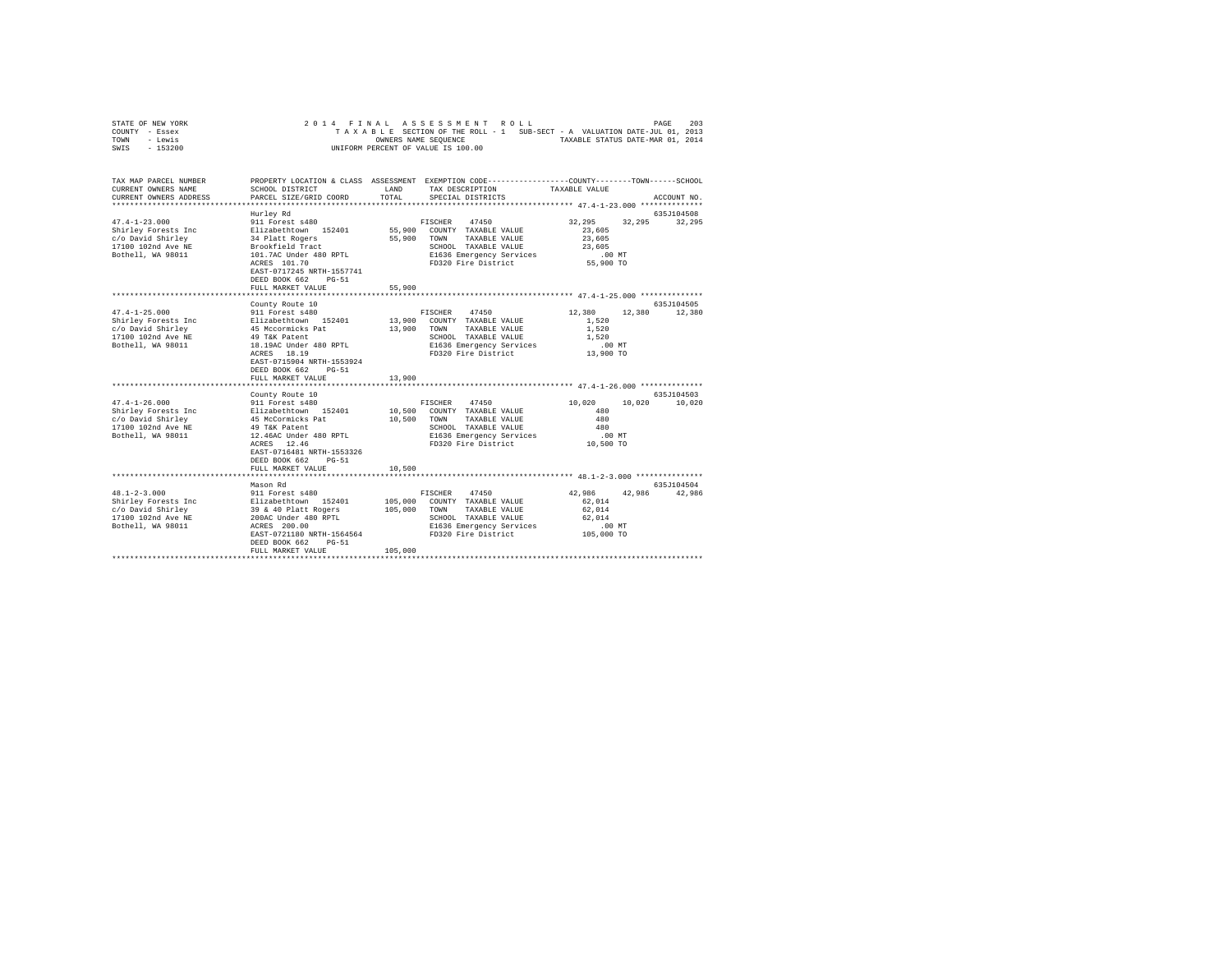| STATE OF NEW YORK |           |  |  |  | 2014 FINAL ASSESSMENT ROLL         |  |  |  |                                                                          | PAGE | 203 |
|-------------------|-----------|--|--|--|------------------------------------|--|--|--|--------------------------------------------------------------------------|------|-----|
| COUNTY - Essex    |           |  |  |  |                                    |  |  |  | TAXABLE SECTION OF THE ROLL - 1 SUB-SECT - A VALUATION DATE-JUL 01, 2013 |      |     |
| TOWN              | - Lewis   |  |  |  | OWNERS NAME SEOUENCE               |  |  |  | TAXABLE STATUS DATE-MAR 01, 2014                                         |      |     |
| SWIS              | $-153200$ |  |  |  | UNIFORM PERCENT OF VALUE IS 100.00 |  |  |  |                                                                          |      |     |

| TAX MAP PARCEL NUMBER<br>CURRENT OWNERS NAME                                                                                                                                                                                                                                                                                 | SCHOOL DISTRICT                                                                                         |                       | PROPERTY LOCATION & CLASS ASSESSMENT EXEMPTION CODE----------------COUNTY-------TOWN------SCHOOL<br>LAND TAX DESCRIPTION                                       | TAXABLE VALUE                                                             |                             |
|------------------------------------------------------------------------------------------------------------------------------------------------------------------------------------------------------------------------------------------------------------------------------------------------------------------------------|---------------------------------------------------------------------------------------------------------|-----------------------|----------------------------------------------------------------------------------------------------------------------------------------------------------------|---------------------------------------------------------------------------|-----------------------------|
| CURRENT OWNERS ADDRESS                                                                                                                                                                                                                                                                                                       | PARCEL SIZE/GRID COORD                                                                                  | TOTAL                 | SPECIAL DISTRICTS                                                                                                                                              |                                                                           | ACCOUNT NO.                 |
|                                                                                                                                                                                                                                                                                                                              |                                                                                                         |                       |                                                                                                                                                                |                                                                           |                             |
|                                                                                                                                                                                                                                                                                                                              | Hurley Rd<br>ACRES 101.70<br>EAST-0717245 NRTH-1557741<br>DEED BOOK 662 PG-51<br>FULL MARKET VALUE      | 55,900                | E1636 Emergency Services<br>FD320 Fire District                                                                                                                | 32,295 32,295 32,295<br>23,605<br>23,605<br>23,605<br>MT 00.<br>55,900 TO | 635J104508                  |
|                                                                                                                                                                                                                                                                                                                              |                                                                                                         |                       |                                                                                                                                                                |                                                                           |                             |
| $47.4 - 1 - 25.000$<br>%7.4-1-23.000<br>Shirley Forests Inc = Filizabethrown 152401<br>17100 102nd Ave NE = 45 Mccormicks Pat<br>17100 102nd Ave NE = 18.19<br>18.19AC 18.19<br>ACRES 18.19                                                                                                                                  | County Route 10<br>911 Forest s480<br>EAST-0715904 NRTH-1553924<br>DEED BOOK 662 PG-51                  |                       | FISCHER 47450<br>13,900 COUNTY TAXABLE VALUE<br>13,900 TOWN TAXABLE VALUE<br>SCHOOL TAXABLE VALUE<br>E1636 Emergency Services<br>FD320 Fire District 13.900 TO | 12,380 12,380<br>1,520<br>1,520<br>1,520<br>.00 MT                        | 635J104505<br>12,380        |
|                                                                                                                                                                                                                                                                                                                              | FULL MARKET VALUE                                                                                       | 13,900                |                                                                                                                                                                |                                                                           |                             |
|                                                                                                                                                                                                                                                                                                                              |                                                                                                         |                       |                                                                                                                                                                |                                                                           |                             |
| 47.4-1-26.000         911 Forest s480              FISCHER   47450<br>Shirley Forests Inc       Elizabethtown  152401      10,500  COUNTY TAXABLE VALUE<br>c/o David Shirley                          45 McCormicks Pat<br>17100 102nd Ave NE                      49 T&K Patent<br>Bothell, WA 98011 12.46AC Under 480 RPTL | County Route 10<br>ACRES 12.46<br>EAST-0716481 NRTH-1553326<br>DEED BOOK 662 PG-51<br>FULL MARKET VALUE | 10,500 TOWN<br>10,500 | TAXABLE VALUE<br>SCHOOL TAXABLE VALUE<br>E1636 Emergency Services<br>FD320 Fire District                                                                       | 10,020<br>480<br>480<br>480<br>$.00$ MT<br>10,500 TO                      | 635J104503<br>10.020 10.020 |
|                                                                                                                                                                                                                                                                                                                              | Mason Rd                                                                                                |                       |                                                                                                                                                                |                                                                           | 635J104504                  |
| 48.1-2-3.000 MB 911 Forest s480 FISCHER 47450<br>Shirley Forests Inc = Elizabethtown 152401 105,000 COUNTY TAXABLE VALUE<br>c/o David Shirley = 39 & 40 Platt Rogers = 105,000 TOWN TAXABLE VALUE                                                                                                                            | EAST-0721180 NRTH-1564564<br>DEED BOOK 662 PG-51<br>FULL MARKET VALUE                                   | 105,000               | SCHOOL TAXABLE VALUE 62,014<br>E1636 Emergency Services<br>FD320 Fire District 105,000 TO                                                                      | 42,986 42,986 42,986<br>62,014<br>62,014<br>$.00$ MT                      |                             |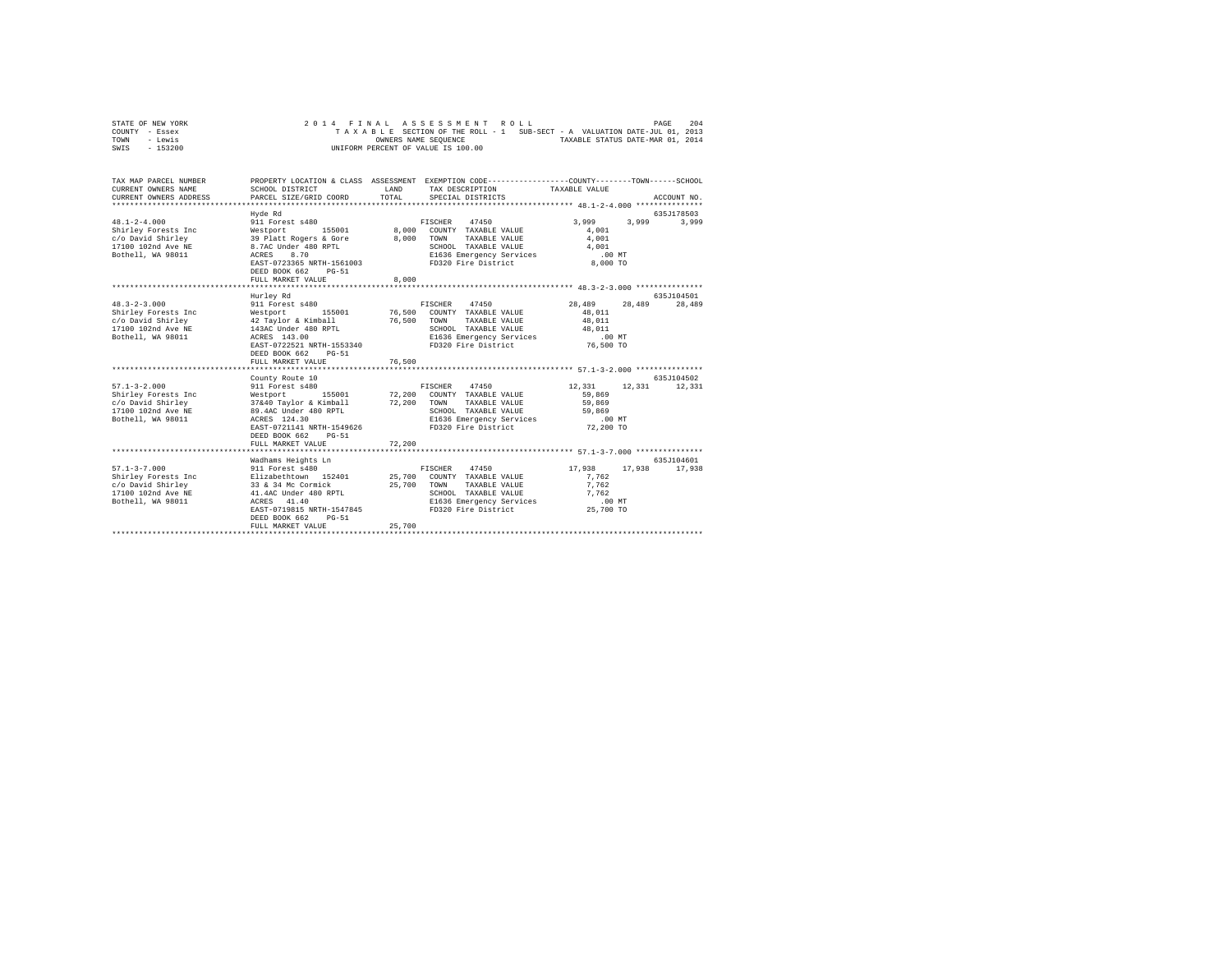| STATE OF NEW YORK | 2014 FINAL ASSESSMENT ROLL                                               | 204<br>PAGE                      |
|-------------------|--------------------------------------------------------------------------|----------------------------------|
| COUNTY - Essex    | TAXABLE SECTION OF THE ROLL - 1 SUB-SECT - A VALUATION DATE-JUL 01, 2013 |                                  |
| TOWN<br>- Lewis   | OWNERS NAME SEOUENCE                                                     | TAXABLE STATUS DATE-MAR 01, 2014 |
| - 153200<br>SWIS  | UNIFORM PERCENT OF VALUE IS 100.00                                       |                                  |

| TAX MAP PARCEL NUMBER<br>CURRENT OWNERS NAME<br>CURRENT OWNERS ADDRESS                                    | SCHOOL DISTRICT<br>PARCEL SIZE/GRID COORD                                                                                                                                                                                                           | LAND<br>TOTAL              | PROPERTY LOCATION & CLASS ASSESSMENT EXEMPTION CODE----------------COUNTY-------TOWN------SCHOOL<br>TAX DESCRIPTION TAXABLE VALUE<br>SPECIAL DISTRICTS |                                                                         | ACCOUNT NO.           |
|-----------------------------------------------------------------------------------------------------------|-----------------------------------------------------------------------------------------------------------------------------------------------------------------------------------------------------------------------------------------------------|----------------------------|--------------------------------------------------------------------------------------------------------------------------------------------------------|-------------------------------------------------------------------------|-----------------------|
| $48.1 - 2 - 4.000$<br>Shirley Forests Inc<br>c/o David Shirley<br>17100 102nd Ave NE<br>Bothell, WA 98011 | Hyde Rd<br>911 Forest s480<br>155001<br>Westport<br>39 Platt Rogers & Gore<br>8.7AC Under 480 RPTL<br>8.70<br>ACRES<br>EAST-0723365 NRTH-1561003<br>DEED BOOK 662<br>$PG-51$<br>FULL MARKET VALUE                                                   | 8,000<br>8,000<br>8,000    | 47450<br>FISCHER<br>COUNTY TAXABLE VALUE<br>TOWN<br>TAXABLE VALUE<br>SCHOOL TAXABLE VALUE<br>E1636 Emergency Services<br>FD320 Fire District           | 3,999<br>3,999<br>4,001<br>4,001<br>4,001<br>$.00$ MT<br>8,000 TO       | 635J178503<br>3,999   |
|                                                                                                           |                                                                                                                                                                                                                                                     |                            |                                                                                                                                                        |                                                                         |                       |
| $48.3 - 2 - 3.000$<br>Shirley Forests Inc<br>c/o David Shirley<br>17100 102nd Ave NE<br>Bothell, WA 98011 | Hurley Rd<br>911 Forest s480<br>155001<br>Westport<br>42 Tavlor & Kimball<br>143AC Under 480 RPTL<br>ACRES 143.00<br>EAST-0722521 NRTH-1553340<br>DEED BOOK 662<br>$PG-51$<br>FULL MARKET VALUE                                                     | 76,500<br>76,500<br>76,500 | FISCHER 47450<br>COUNTY TAXABLE VALUE<br>TOWN<br>TAXABLE VALUE<br>SCHOOL TAXABLE VALUE<br>E1636 Emergency Services<br>FD320 Fire District              | 28,489<br>28,489<br>48,011<br>48,011<br>48,011<br>$.00$ MT<br>76,500 TO | 635J104501<br>28,489  |
| $57.1 - 3 - 2.000$<br>Shirley Forests Inc<br>c/o David Shirley<br>17100 102nd Ave NE<br>Bothell, WA 98011 | County Route 10<br>911 Forest s480<br>155001 72,200<br>Westport<br>37&40 Taylor & Kimball<br>89.4AC Under 480 RPTL<br>ACRES 124.30<br>EAST-0721141 NRTH-1549626<br>DEED BOOK 662<br>$PG-51$<br>FULL MARKET VALUE<br>******************************* | 72,200<br>72.200           | 47450<br>FISCHER<br>COUNTY TAXABLE VALUE<br>TOWN<br>TAXABLE VALUE<br>SCHOOL TAXABLE VALUE<br>E1636 Emergency Services<br>FD320 Fire District           | 12,331<br>12,331<br>59,869<br>59,869<br>59,869<br>.00MT<br>72,200 TO    | 635J104502<br>12,331  |
| $57.1 - 3 - 7.000$<br>Shirley Forests Inc<br>c/o David Shirley<br>17100 102nd Ave NE<br>Bothell, WA 98011 | Wadhams Heights Ln<br>911 Forest s480<br>Elizabethtown 152401<br>33 & 34 Mc Cormick<br>41.4AC Under 480 RPTL<br>ACRES<br>41.40<br>EAST-0719815 NRTH-1547845<br>DEED BOOK 662<br>$PG-51$<br>FULL MARKET VALUE                                        | 25,700<br>25,700           | 47450<br>FISCHER<br>COUNTY TAXABLE VALUE<br>25,700 TOWN<br>TAXABLE VALUE<br>SCHOOL TAXABLE VALUE<br>E1636 Emergency Services<br>FD320 Fire District    | 17,938<br>17,938<br>7.762<br>7.762<br>7.762<br>.00 MT<br>25,700 TO      | 635.7104601<br>17,938 |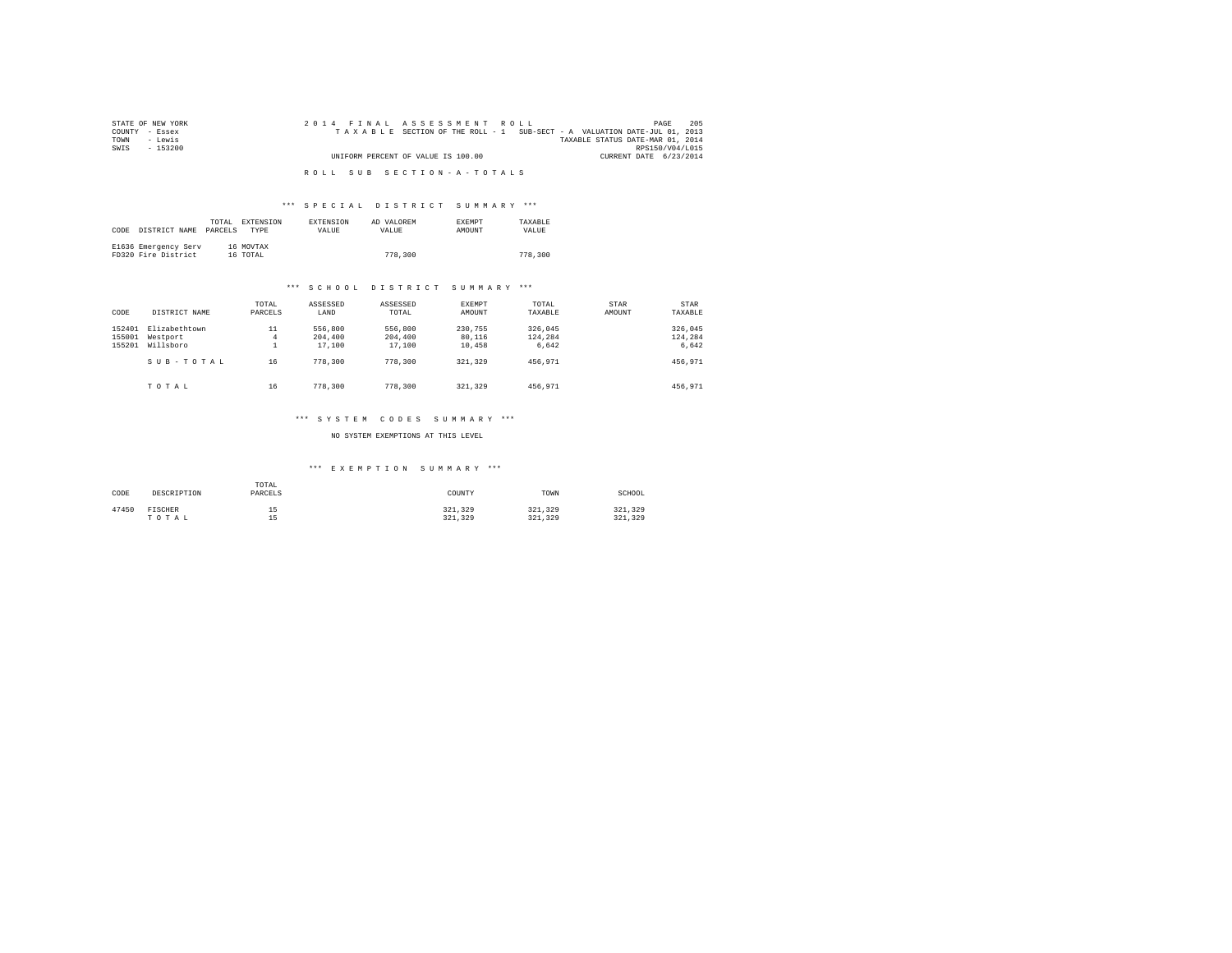| STATE OF NEW YORK | 2014 FINAL ASSESSMENT ROLL<br>PAGE                                       | 205             |
|-------------------|--------------------------------------------------------------------------|-----------------|
| COUNTY - Essex    | TAXABLE SECTION OF THE ROLL - 1 SUB-SECT - A VALUATION DATE-JUL 01, 2013 |                 |
| TOWN<br>siwe.T    | TAXABLE STATUS DATE-MAR 01, 2014                                         |                 |
| SWIS<br>$-153200$ |                                                                          | RPS150/V04/L015 |
|                   | UNIFORM PERCENT OF VALUE IS 100.00<br>CURRENT DATE 6/23/2014             |                 |
|                   |                                                                          |                 |
|                   | ROLL SUB SECTION-A-TOTALS                                                |                 |

#### \*\*\* S P E C I A L D I S T R I C T S U M M A R Y \*\*\*

|      |                      | TOTAL.  | EXTENSION   | <b>EXTENSION</b> | AD VALOREM | EXEMPT | TAXARLE |
|------|----------------------|---------|-------------|------------------|------------|--------|---------|
| CODE | DISTRICT NAME        | PARCELS | <b>TYPE</b> | <b>VALUE</b>     | VALUE.     | AMOUNT | VALUE.  |
|      |                      |         |             |                  |            |        |         |
|      | E1636 Emergency Serv |         | 16 MOVTAX   |                  |            |        |         |
|      | FD320 Fire District  |         | 16 TOTAL    |                  | 778,300    |        | 778,300 |

#### \*\*\* S C H O O L D I S T R I C T S U M M A R Y \*\*\*

| CODE                       | DISTRICT NAME                          | TOTAL<br>PARCELS | ASSESSED<br>LAND             | ASSESSED<br>TOTAL            | EXEMPT<br>AMOUNT            | TOTAL<br>TAXABLE            | STAR<br>AMOUNT | STAR<br>TAXABLE             |
|----------------------------|----------------------------------------|------------------|------------------------------|------------------------------|-----------------------------|-----------------------------|----------------|-----------------------------|
| 152401<br>155001<br>155201 | Elizabethtown<br>Westport<br>Willsboro | 11<br>4<br>ᆂ     | 556,800<br>204,400<br>17,100 | 556,800<br>204,400<br>17,100 | 230.755<br>80.116<br>10,458 | 326,045<br>124.284<br>6.642 |                | 326,045<br>124,284<br>6,642 |
|                            | SUB-TOTAL                              | 16               | 778,300                      | 778,300                      | 321.329                     | 456.971                     |                | 456.971                     |
|                            | TOTAL                                  | 16               | 778,300                      | 778,300                      | 321.329                     | 456.971                     |                | 456.971                     |

# \*\*\* S Y S T E M C O D E S S U M M A R Y \*\*\*

#### NO SYSTEM EXEMPTIONS AT THIS LEVEL

## \*\*\* E X E M P T I O N S U M M A R Y \*\*\*

| CODE  | DESCRIPTION      | TOTAL<br>PARCELS      | COUNTY             | TOWN               | SCHOOL             |
|-------|------------------|-----------------------|--------------------|--------------------|--------------------|
| 47450 | FISCHER<br>TOTAL | 1 E<br>--<br>15<br>-- | 321,329<br>321,329 | 321,329<br>321.329 | 321.329<br>321,329 |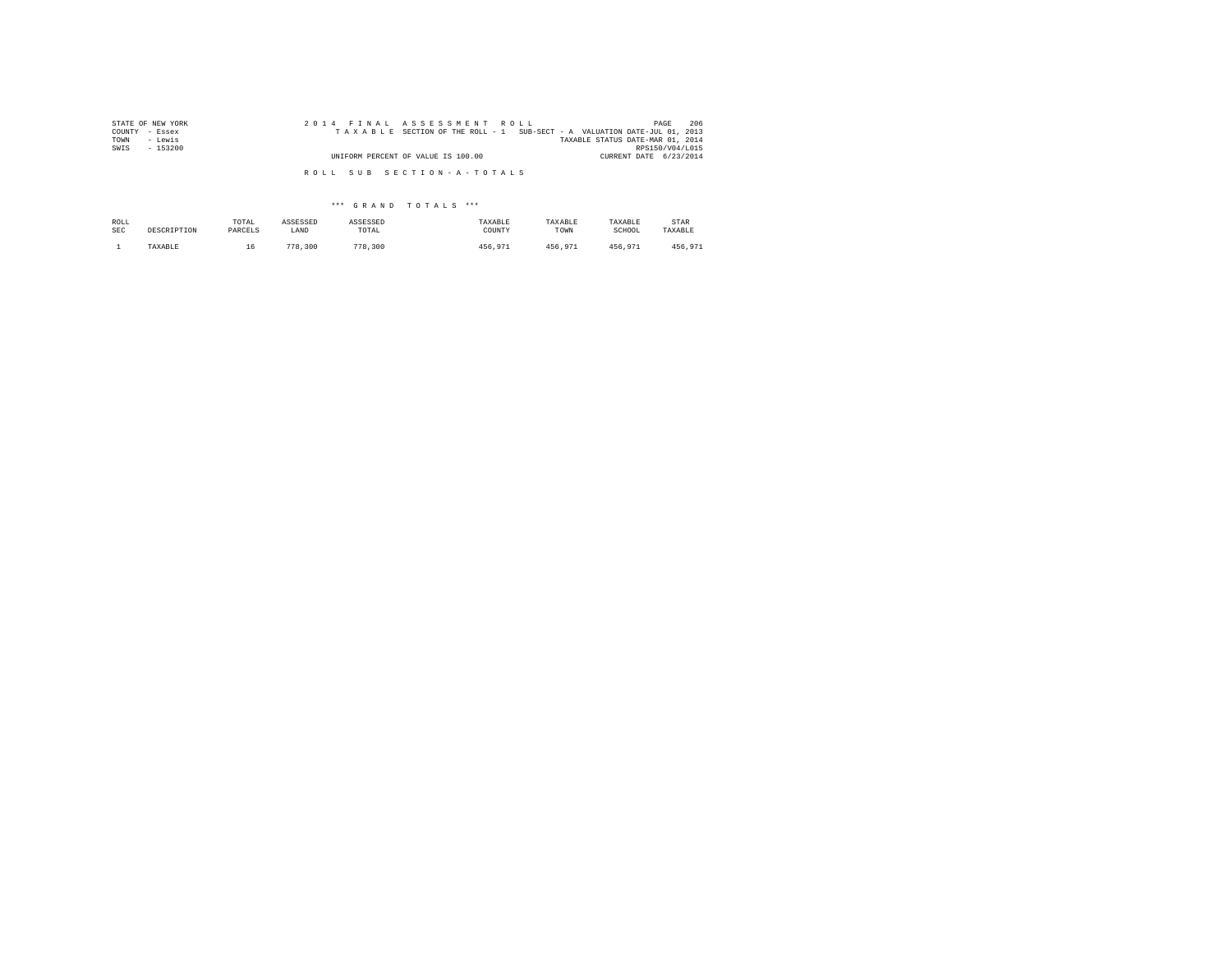| STATE OF NEW YORK | 2014 FINAL ASSESSMENT ROLL                                               | 206<br>PAGE                      |
|-------------------|--------------------------------------------------------------------------|----------------------------------|
| COUNTY - Essex    | TAXABLE SECTION OF THE ROLL - 1 SUB-SECT - A VALUATION DATE-JUL 01, 2013 |                                  |
| - Lewis<br>TOWN   |                                                                          | TAXABLE STATUS DATE-MAR 01, 2014 |
| SWIS<br>$-153200$ |                                                                          | RPS150/V04/L015                  |
|                   | UNIFORM PERCENT OF VALUE IS 100.00                                       | CURRENT DATE 6/23/2014           |
|                   | ROLL SUB SECTION-A-TOTALS                                                |                                  |

\*\*\* G R A N D T O T A L S \*\*\*

| ROLL       | DESCRIPTION | TOTAL   | ASSESSED | ASSESSED | TAXABLE | TAXABLE | TAXABLE | STAR    |
|------------|-------------|---------|----------|----------|---------|---------|---------|---------|
| <b>SEC</b> |             | PARCELS | LAND     | TOTAL    | COUNTY  | TOWN    | SCHOOL  | TAXABLE |
|            | TAXABLE     | 16.     | 778,300  | 778,300  | 456.971 | 456.971 | 456.971 | 456.971 |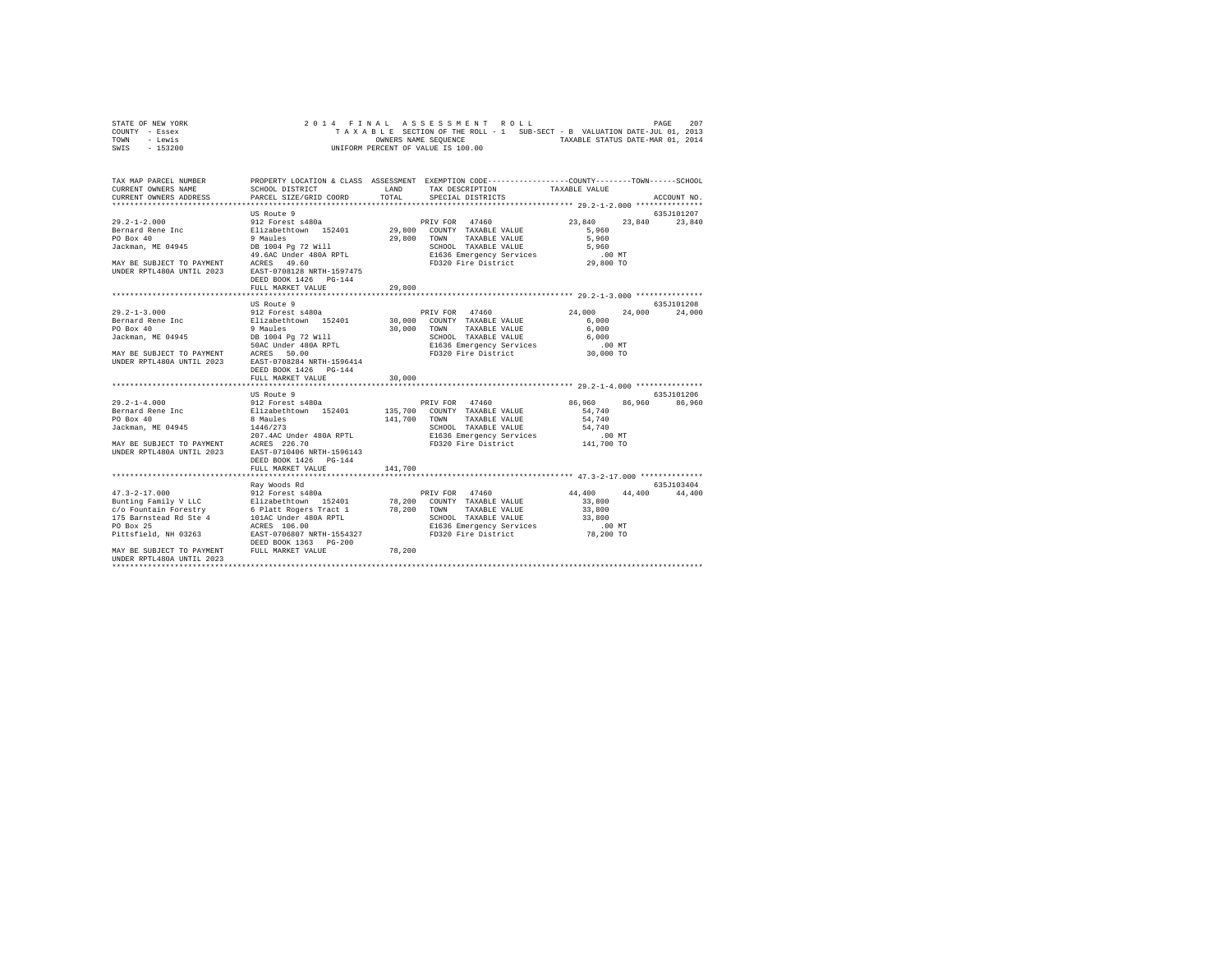| STATE OF NEW YORK |  |  |  | 2014 FINAL ASSESSMENT ROLL         |  |  |  |                                                                          | PAGE | 207 |
|-------------------|--|--|--|------------------------------------|--|--|--|--------------------------------------------------------------------------|------|-----|
| COUNTY - Essex    |  |  |  |                                    |  |  |  | TAXABLE SECTION OF THE ROLL - 1 SUB-SECT - B VALUATION DATE-JUL 01, 2013 |      |     |
| TOWN<br>- Lewis   |  |  |  | OWNERS NAME SEOUENCE               |  |  |  | TAXABLE STATUS DATE-MAR 01, 2014                                         |      |     |
| - 153200<br>SWIS  |  |  |  | UNIFORM PERCENT OF VALUE IS 100.00 |  |  |  |                                                                          |      |     |

| TAX MAP PARCEL NUMBER<br>CURRENT OWNERS NAME<br>CURRENT OWNERS ADDRESS PARCEL SIZE/GRID COORD                                                                                               | SCHOOL DISTRICT                                                                                                                                                                                                    | TOTAL   | PROPERTY LOCATION & CLASS ASSESSMENT EXEMPTION CODE---------------COUNTY-------TOWN-----SCHOOL<br>LAND TAX DESCRIPTION<br>SPECIAL DISTRICTS | TAXABLE VALUE                                                                          | ACCOUNT NO.          |
|---------------------------------------------------------------------------------------------------------------------------------------------------------------------------------------------|--------------------------------------------------------------------------------------------------------------------------------------------------------------------------------------------------------------------|---------|---------------------------------------------------------------------------------------------------------------------------------------------|----------------------------------------------------------------------------------------|----------------------|
| UNDER RPTL480A UNTIL 2023 EAST-0708128 NRTH-1597475                                                                                                                                         | US Route 9<br>DEED BOOK 1426 PG-144<br>FULL MARKET VALUE                                                                                                                                                           | 29,800  | 29,800 TOWN TAXABLE VALUE<br>SCHOOL TAAADLE vALULE<br>E1636 Emergency Services .00 MT<br>FD320 Fire District  29,800 TO                     | 23,840 23,840 23,840<br>5,960<br>5,960                                                 | 635J101207           |
|                                                                                                                                                                                             | US Route 9<br>DEED BOOK 1426 PG-144<br>FULL MARKET VALUE                                                                                                                                                           | 30,000  |                                                                                                                                             | 24,000                                                                                 | 635J101208<br>24,000 |
| $29.2 - 1 - 4.000$<br>Bernard Rene Inc<br>PO Box 40<br>Jackman, ME 04945<br>207.4AC Under 480A RPTL<br>207.4AC Under 480A RPTL<br>307.4AC Under 480A RPTL<br>3023 EAST-0710406 NRTH-1596143 | US Route 9<br>912 Forest s480a<br>Elizabethtown 152401 135,700 COUNTY TAXABLE VALUE 8<br>8 Maules 152401 141,700 TONN TAXABLE VALUE<br>1446/273 2CHOOL TAXABLE VALUE<br>DEED BOOK 1426 PG-144<br>FULL MARKET VALUE | 141,700 | 141,700 TOWN TAXABLE VALUE<br>E1636 Emergency Services<br>FD320 Fire District                                                               | 86,960 86,960 86,960<br>54,740<br>54,740<br>54,740<br>$.00$ MT<br>UU MT.<br>141,700 TO | 635J101206           |
| MAY BE SUBJECT TO PAYMENT FULL MARKET VALUE<br>IINDER RPTI480A IINTIL 2023                                                                                                                  | Rav Woods Rd                                                                                                                                                                                                       | 78,200  |                                                                                                                                             | 44,400 44,400 44,400<br>33,800<br>33,800<br>78,200 TO                                  | 635.T103404          |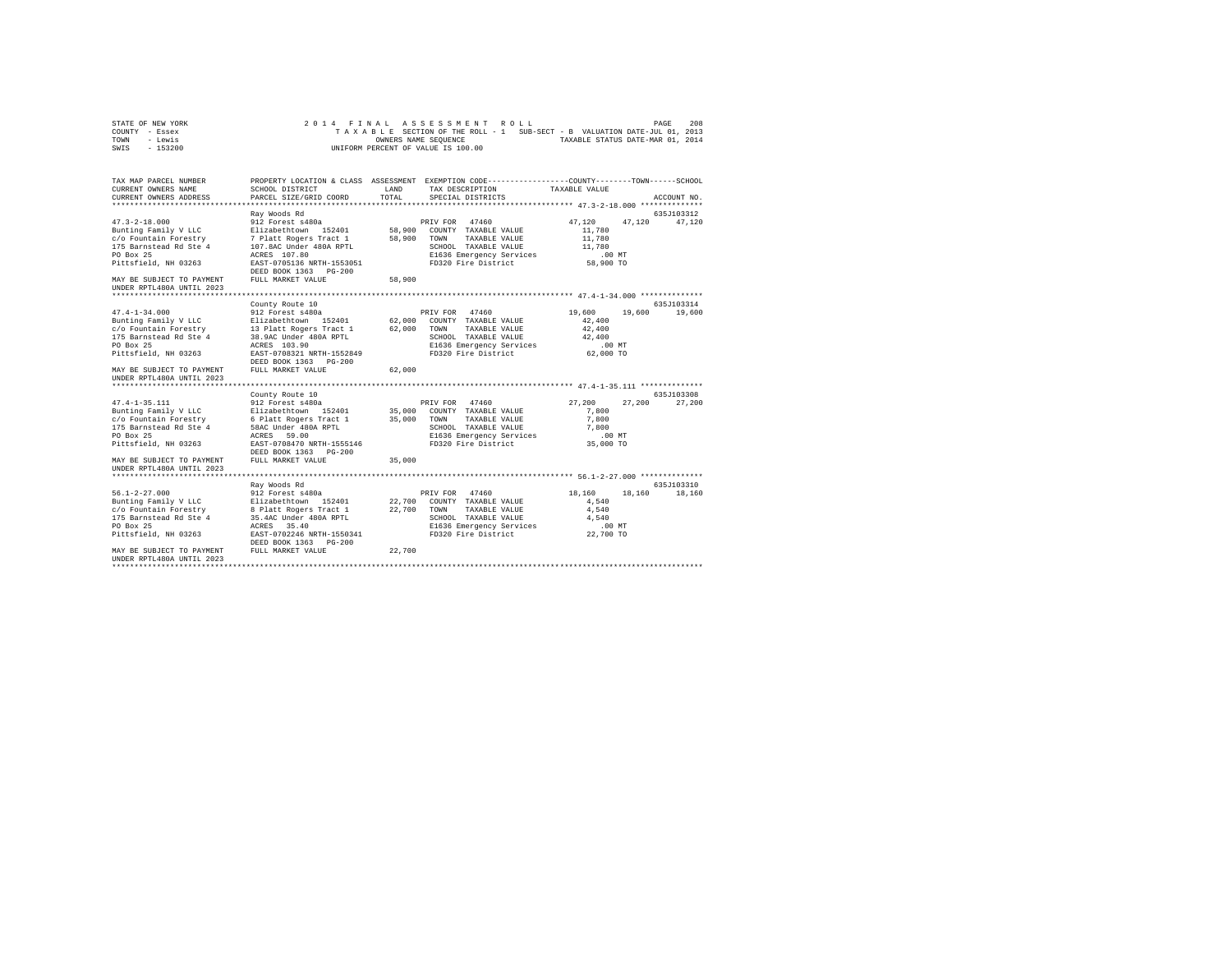| STATE OF NEW YORK | 2014 FINAL ASSESSMENT ROLL                                               | 208<br>PAGE                      |
|-------------------|--------------------------------------------------------------------------|----------------------------------|
| COUNTY - Essex    | TAXABLE SECTION OF THE ROLL - 1 SUB-SECT - B VALUATION DATE-JUL 01, 2013 |                                  |
| TOWN<br>- Lewis   | OWNERS NAME SEOUENCE                                                     | TAXABLE STATUS DATE-MAR 01, 2014 |
| - 153200<br>SWIS  | UNIFORM PERCENT OF VALUE IS 100.00                                       |                                  |

| TAX MAP PARCEL NUMBER<br>CURRENT OWNERS NAME<br>CURRENT OWNERS ADDRESS                                                                                                                          | SCHOOL DISTRICT<br>PARCEL SIZE/GRID COORD                                                                                                                                                                   | LAND<br>TOTAL              | PROPERTY LOCATION & CLASS ASSESSMENT EXEMPTION CODE---------------COUNTY-------TOWN------SCHOOL<br>TAX DESCRIPTION<br>SPECIAL DISTRICTS    | TAXABLE VALUE                                                           | ACCOUNT NO.           |
|-------------------------------------------------------------------------------------------------------------------------------------------------------------------------------------------------|-------------------------------------------------------------------------------------------------------------------------------------------------------------------------------------------------------------|----------------------------|--------------------------------------------------------------------------------------------------------------------------------------------|-------------------------------------------------------------------------|-----------------------|
| $47.3 - 2 - 18.000$<br>Bunting Family V LLC<br>c/o Fountain Forestry<br>175 Barnstead Rd Ste 4<br>PO Box 25<br>Pittsfield, NH 03263<br>MAY BE SUBJECT TO PAYMENT<br>UNDER RPTL480A UNTIL 2023   | Rav Woods Rd<br>912 Forest s480a<br>Elizabethtown 152401<br>7 Platt Rogers Tract 1<br>107.8AC Under 480A RPTL<br>ACRES 107.80<br>EAST-0705136 NRTH-1553051<br>DEED BOOK 1363 PG-200<br>FULL MARKET VALUE    | 58,900<br>58,900<br>58,900 | PRIV FOR 47460<br>COUNTY TAXABLE VALUE<br>TOWN<br>TAXABLE VALUE<br>SCHOOL TAXABLE VALUE<br>E1636 Emergency Services<br>FD320 Fire District | 47.120<br>47.120<br>11,780<br>11,780<br>11,780<br>$.00$ MT<br>58,900 TO | 635J103312<br>47,120  |
| $47.4 - 1 - 34.000$<br>Bunting Family V LLC<br>c/o Fountain Forestry<br>175 Barnstead Rd Ste 4<br>PO Box 25<br>Pittsfield, NH 03263<br>MAY BE SUBJECT TO PAYMENT<br>UNDER RPTL480A UNTIL 2023   | County Route 10<br>912 Forest s480a<br>Elizabethtown 152401<br>13 Platt Rogers Tract 1<br>38.9AC Under 480A RPTL<br>ACRES 103.90<br>EAST-0708321 NRTH-1552849<br>DEED BOOK 1363 PG-200<br>FULL MARKET VALUE | 62,000<br>62,000<br>62,000 | PRIV FOR 47460<br>COUNTY TAXABLE VALUE<br>TOWN<br>TAXABLE VALUE<br>SCHOOL TAXABLE VALUE<br>E1636 Emergency Services<br>FD320 Fire District | 19,600<br>19,600<br>42,400<br>42,400<br>42,400<br>.00MT<br>62,000 TO    | 635J103314<br>19,600  |
| $47.4 - 1 - 35.111$<br>Bunting Family V LLC<br>c/o Fountain Forestry<br>175 Barnstead Rd Ste 4<br>PO Box 25<br>Pittsfield, NH 03263<br>MAY BE SUBJECT TO PAYMENT<br>UNDER RPTL480A UNTIL 2023   | County Route 10<br>912 Forest s480a<br>Elizabethtown 152401<br>6 Platt Rogers Tract 1<br>58AC Under 480A RPTL<br>59.00<br>ACRES<br>EAST-0708470 NRTH-1555146<br>DEED BOOK 1363 PG-200<br>FULL MARKET VALUE  | 35,000<br>35,000<br>35,000 | PRIV FOR 47460<br>COUNTY TAXABLE VALUE<br>TAXABLE VALUE<br>TOWN<br>SCHOOL TAXABLE VALUE<br>E1636 Emergency Services<br>FD320 Fire District | 27,200<br>27,200<br>7,800<br>7,800<br>7,800<br>$.00$ MT<br>35,000 TO    | 635J103308<br>27,200  |
| $56.1 - 2 - 27.000$<br>Bunting Family V LLC<br>c/o Fountain Forestry<br>175 Barnstead Rd Ste 4<br>PO Box 25<br>Pittsfield, NH 03263<br>MAY BE SUBJECT TO PAYMENT<br>IINDER RPTL480A IINTIL 2023 | Rav Woods Rd<br>912 Forest s480a<br>Elizabethtown 152401<br>8 Platt Rogers Tract 1<br>35.4AC Under 480A RPTL<br>35.40<br>ACRES<br>EAST-0702246 NRTH-1550341<br>DEED BOOK 1363 PG-200<br>FULL MARKET VALUE   | 22,700<br>22,700<br>22,700 | PRIV FOR 47460<br>COUNTY TAXABLE VALUE<br>TAXABLE VALUE<br>TOWN<br>SCHOOL TAXABLE VALUE<br>E1636 Emergency Services<br>FD320 Fire District | 18,160<br>18,160<br>4.540<br>4.540<br>4.540<br>$.00$ MT<br>22,700 TO    | 635.7103310<br>18,160 |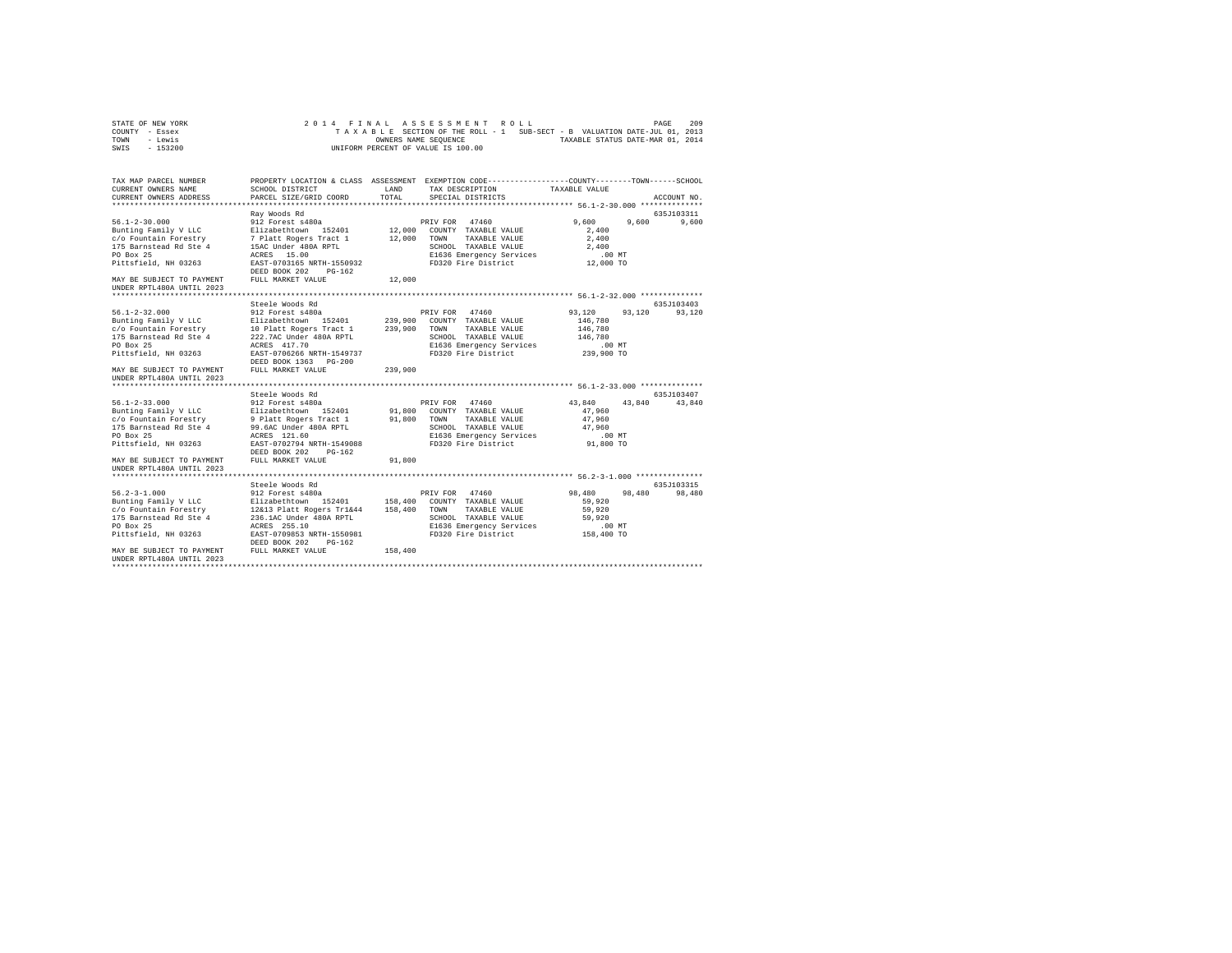| STATE OF NEW YORK | 2014 FINAL ASSESSMENT ROLL                                               | 209<br>PAGE                      |
|-------------------|--------------------------------------------------------------------------|----------------------------------|
| COUNTY - Essex    | TAXABLE SECTION OF THE ROLL - 1 SUB-SECT - B VALUATION DATE-JUL 01, 2013 |                                  |
| TOWN<br>- Lewis   | OWNERS NAME SEOUENCE                                                     | TAXABLE STATUS DATE-MAR 01, 2014 |
| - 153200<br>SWIS  | UNIFORM PERCENT OF VALUE IS 100.00                                       |                                  |

| TAX MAP PARCEL NUMBER<br>CURRENT OWNERS NAME                                                                                                                                                                                                                                                                                   | SCHOOL DISTRICT                                                                      | LAND    | PROPERTY LOCATION & CLASS ASSESSMENT EXEMPTION CODE---------------COUNTY-------TOWN-----SCHOOL<br>TAX DESCRIPTION TAXABLE VALUE            |                                                                           |                      |
|--------------------------------------------------------------------------------------------------------------------------------------------------------------------------------------------------------------------------------------------------------------------------------------------------------------------------------|--------------------------------------------------------------------------------------|---------|--------------------------------------------------------------------------------------------------------------------------------------------|---------------------------------------------------------------------------|----------------------|
| CURRENT OWNERS ADDRESS                                                                                                                                                                                                                                                                                                         | PARCEL SIZE/GRID COORD                                                               | TOTAL   | SPECIAL DISTRICTS                                                                                                                          |                                                                           | ACCOUNT NO.          |
|                                                                                                                                                                                                                                                                                                                                | Ray Woods Rd                                                                         |         |                                                                                                                                            |                                                                           | 635J103311           |
| Pittsfield, NH 03263                                                                                                                                                                                                                                                                                                           | EAST-0703165 NRTH-1550932                                                            |         | E1636 Emergency Services<br>FD320 Fire District                                                                                            | 9,600<br>2,400<br>2,400<br>2,400<br>$.00$ MT<br>00 MT.<br>12,000 TO       | 9,600<br>9,600       |
| MAY BE SUBJECT TO PAYMENT<br>UNDER RPTL480A UNTIL 2023                                                                                                                                                                                                                                                                         | DEED BOOK 202<br>$PG-162$<br>FULL MARKET VALUE                                       | 12,000  |                                                                                                                                            |                                                                           |                      |
|                                                                                                                                                                                                                                                                                                                                |                                                                                      |         |                                                                                                                                            |                                                                           |                      |
| 1991 12 Forest 480a<br>Bunting Family V LC (1992)<br>Eurahian Forestry 10 Platabethrom 152401 239,900 COMPT<br>17 Family V LC 10 Platt Rogers Tract 1 239,900 COMPT<br>17 Barnstead Rd Ste 4 222.7AC Under 480a RPTL<br>PD Box 25 22.7AC                                                                                       | Steele Woods Rd<br>DEED BOOK 1363 PG-200                                             |         | PRIV FOR 47460<br>239,900 COUNTY TAXABLE VALUE<br>TAXABLE VALUE<br>SCHOOL TAXABLE VALUE<br>E1636 Emergency Services<br>FD320 Fire District | 93,120<br>93.120<br>146,780<br>146,780<br>146,780<br>00 MT.<br>239,900 TO | 635J103403<br>93,120 |
| MAY BE SUBJECT TO PAYMENT<br>UNDER RPTL480A UNTIL 2023                                                                                                                                                                                                                                                                         | FULL MARKET VALUE                                                                    | 239,900 |                                                                                                                                            |                                                                           |                      |
|                                                                                                                                                                                                                                                                                                                                |                                                                                      |         |                                                                                                                                            |                                                                           |                      |
|                                                                                                                                                                                                                                                                                                                                |                                                                                      |         |                                                                                                                                            |                                                                           | 635J103407           |
| MAY BE SUBJECT TO PAYMENT<br>UNDER RPTL480A UNTIL 2023                                                                                                                                                                                                                                                                         | DEED BOOK 202 PG-162<br>FULL MARKET VALUE                                            | 91,800  | E1636 Emergency Services<br>FD320 Fire District                                                                                            | 43,840 43,840 43,840<br>47,960<br>47.960<br>47,960<br>.00MT<br>91,800 TO  |                      |
|                                                                                                                                                                                                                                                                                                                                |                                                                                      |         |                                                                                                                                            |                                                                           |                      |
| 56.2-3-1.000<br>Bunting Family V LLC = Filiabethcown 152401 = 158,400 COUNTY TAXABLE VALUE<br>C/O Fountain Forestry = 12&13 Platt Rogers Tr1&44 = 158,400 COWNT TAXABLE VALUE<br>175 Barnstead Rd Ste 4 = 236.1AC Under 480A RPTL<br>PO Bo<br>PO Box 25<br>Pittsfield, NH 03263<br>MAY BE SUBJECT TO PAYMENT FULL MARKET VALUE | Steele Woods Rd<br>ACRES 255.10<br>EAST-0709853 NRTH-1550981<br>DEED BOOK 202 PG-162 | 158,400 | SCHOOL TAXABLE VALUE<br>E1636 Emergency Services<br>FD320 Fire District                                                                    | 98,480 98,480<br>59,920<br>59,920<br>59,920<br>$.00$ MT<br>158,400 TO     | 635J103315<br>98,480 |
| INDER RPTL480A INTIL 2023                                                                                                                                                                                                                                                                                                      |                                                                                      |         |                                                                                                                                            |                                                                           |                      |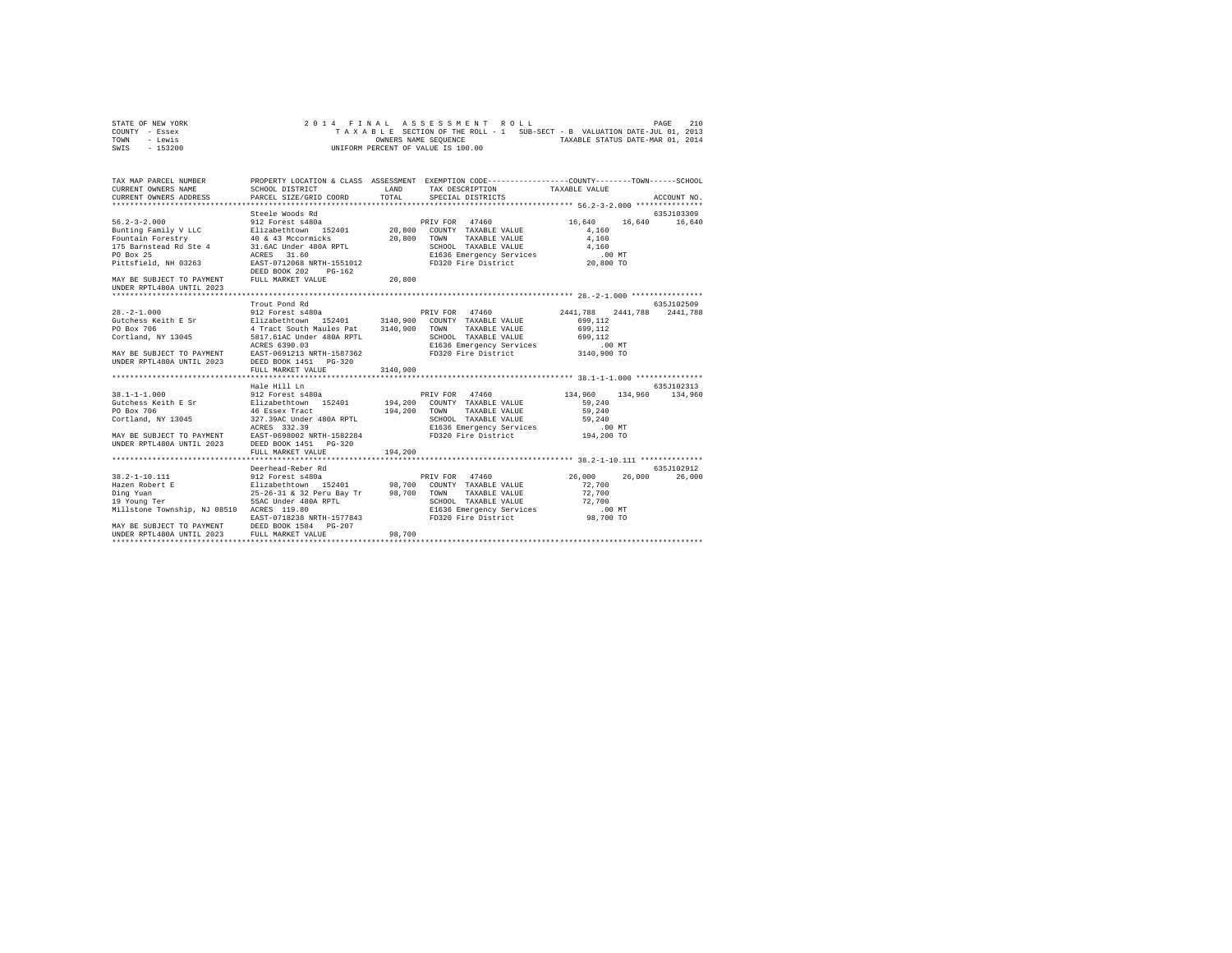| STATE OF NEW YORK | 2014 FINAL ASSESSMENT ROLL                                               | PAGE | 210 |
|-------------------|--------------------------------------------------------------------------|------|-----|
| COUNTY - Essex    | TAXABLE SECTION OF THE ROLL - 1 SUB-SECT - B VALUATION DATE-JUL 01, 2013 |      |     |
| TOWN<br>- Lewis   | TAXABLE STATUS DATE-MAR 01, 2014<br>OWNERS NAME SEOUENCE                 |      |     |
| $-153200$<br>SWIS | UNIFORM PERCENT OF VALUE IS 100.00                                       |      |     |

| TAX MAP PARCEL NUMBER                                                                                                                                                                                                                                                                        |               |        | PROPERTY LOCATION & CLASS ASSESSMENT EXEMPTION CODE----------------COUNTY-------TOWN------SCHOOL |            |
|----------------------------------------------------------------------------------------------------------------------------------------------------------------------------------------------------------------------------------------------------------------------------------------------|---------------|--------|--------------------------------------------------------------------------------------------------|------------|
|                                                                                                                                                                                                                                                                                              |               |        |                                                                                                  |            |
|                                                                                                                                                                                                                                                                                              |               |        |                                                                                                  |            |
|                                                                                                                                                                                                                                                                                              |               |        |                                                                                                  |            |
|                                                                                                                                                                                                                                                                                              |               |        |                                                                                                  |            |
|                                                                                                                                                                                                                                                                                              |               |        |                                                                                                  |            |
|                                                                                                                                                                                                                                                                                              |               |        |                                                                                                  |            |
|                                                                                                                                                                                                                                                                                              |               |        |                                                                                                  |            |
| 56.2-3-2.000<br>Steele Woods Rd – PRIV FOR 47460 – 912 Forest 480a – 912 Forest 480a – 912 Forest 480a – 912 Forest 490a – 912<br>Fountain Forestry – 40 & 43 McCormicks – 20,800 COUNTY TAXABLE VALUE – 4,160 – 16,640 – 16,640<br>                                                         |               |        |                                                                                                  |            |
| MAY BE SUBJECT TO PAYMENT FULL MARKET VALUE $20,800$<br>UNDER RPTL480A UNTIL 2023                                                                                                                                                                                                            |               |        |                                                                                                  |            |
|                                                                                                                                                                                                                                                                                              |               |        |                                                                                                  |            |
|                                                                                                                                                                                                                                                                                              | Trout Pond Rd |        |                                                                                                  | 635J102509 |
|                                                                                                                                                                                                                                                                                              |               |        |                                                                                                  |            |
|                                                                                                                                                                                                                                                                                              |               |        |                                                                                                  |            |
|                                                                                                                                                                                                                                                                                              |               |        |                                                                                                  |            |
|                                                                                                                                                                                                                                                                                              |               |        |                                                                                                  |            |
|                                                                                                                                                                                                                                                                                              |               |        |                                                                                                  |            |
|                                                                                                                                                                                                                                                                                              |               |        |                                                                                                  |            |
|                                                                                                                                                                                                                                                                                              |               |        |                                                                                                  |            |
|                                                                                                                                                                                                                                                                                              |               |        |                                                                                                  |            |
|                                                                                                                                                                                                                                                                                              | Hale Hill Ln  |        |                                                                                                  | 635J102313 |
| 38.1-1-1.000<br>38.1-1-1.000<br>912 Forest 8480a<br>PRIV FOR 47460 134,960 134,960 134,960 134,960 134,960 134,960 134,960 PD<br>PD Box 706 46 Essex Tract 194,200 TOWN TAXABLE VALUE 59,240<br>PD Box 706 46 Essex Tract 1994,200 TO                                                        |               |        |                                                                                                  |            |
|                                                                                                                                                                                                                                                                                              |               |        |                                                                                                  |            |
|                                                                                                                                                                                                                                                                                              |               |        |                                                                                                  |            |
|                                                                                                                                                                                                                                                                                              |               |        |                                                                                                  |            |
|                                                                                                                                                                                                                                                                                              |               |        |                                                                                                  |            |
|                                                                                                                                                                                                                                                                                              |               |        |                                                                                                  |            |
|                                                                                                                                                                                                                                                                                              |               |        |                                                                                                  |            |
|                                                                                                                                                                                                                                                                                              |               |        |                                                                                                  |            |
|                                                                                                                                                                                                                                                                                              |               |        |                                                                                                  |            |
|                                                                                                                                                                                                                                                                                              |               |        |                                                                                                  |            |
|                                                                                                                                                                                                                                                                                              |               |        |                                                                                                  |            |
|                                                                                                                                                                                                                                                                                              |               |        |                                                                                                  |            |
|                                                                                                                                                                                                                                                                                              |               |        |                                                                                                  |            |
|                                                                                                                                                                                                                                                                                              |               |        |                                                                                                  |            |
|                                                                                                                                                                                                                                                                                              |               |        |                                                                                                  |            |
|                                                                                                                                                                                                                                                                                              |               |        |                                                                                                  |            |
| 38.2-1-10.111<br><b>Example 2012 Forest association</b><br>Hazen Robert E<br>Filizabeth<br>Hazen Robert E<br>Pilizabeth<br>26.000 26,000 26,000 26,000 26,000 26,000 26,000 26,000 26,000 26,000 26,000 26,000 26,000 26,000 26,000 26,000 26<br>UNDER RPTL480A UNTIL 2023 FULL MARKET VALUE |               | 98,700 |                                                                                                  |            |
|                                                                                                                                                                                                                                                                                              |               |        |                                                                                                  |            |
|                                                                                                                                                                                                                                                                                              |               |        |                                                                                                  |            |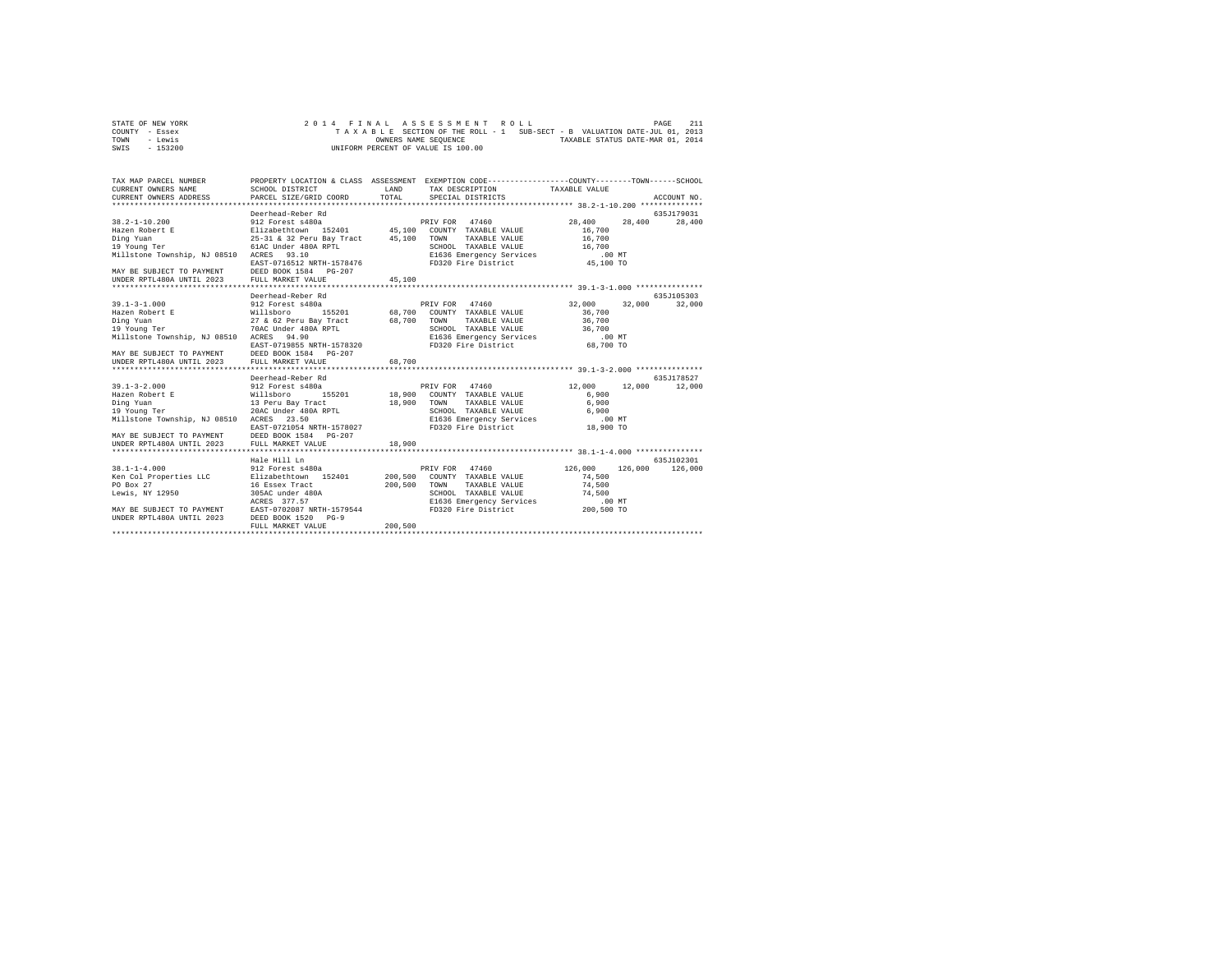| STATE OF NEW YORK | 2014 FINAL ASSESSMENT ROLL                                               | 211<br>PAGE                      |
|-------------------|--------------------------------------------------------------------------|----------------------------------|
| COUNTY - Essex    | TAXABLE SECTION OF THE ROLL - 1 SUB-SECT - B VALUATION DATE-JUL 01, 2013 |                                  |
| TOWN<br>- Lewis   | OWNERS NAME SEOUENCE                                                     | TAXABLE STATUS DATE-MAR 01, 2014 |
| - 153200<br>SWIS  | UNIFORM PERCENT OF VALUE IS 100.00                                       |                                  |

| TAX MAP PARCEL NUMBER<br>CURRENT OWNERS NAME<br>CURRENT OWNERS ADDRESS                               | SCHOOL DISTRICT<br>PARCEL SIZE/GRID COORD        | LAND<br>TOTAL | PROPERTY LOCATION & CLASS ASSESSMENT EXEMPTION CODE----------------COUNTY-------TOWN------SCHOOL<br>TAX DESCRIPTION TAXABLE VALUE<br>SPECIAL DISTRICTS |            | ACCOUNT NO.        |
|------------------------------------------------------------------------------------------------------|--------------------------------------------------|---------------|--------------------------------------------------------------------------------------------------------------------------------------------------------|------------|--------------------|
|                                                                                                      |                                                  |               |                                                                                                                                                        |            |                    |
|                                                                                                      | Deerhead-Reber Rd                                |               |                                                                                                                                                        |            | 635J179031         |
| $38.2 - 1 - 10.200$                                                                                  | 912 Forest s480a                                 |               | PRIV FOR 47460                                                                                                                                         | 28,400     | 28,400<br>28,400   |
| Hazen Robert E                                                                                       | Elizabethtown 152401 45.100 COUNTY TAXABLE VALUE |               |                                                                                                                                                        | 16,700     |                    |
| Ding Yuan                                                                                            | 25-31 & 32 Peru Bay Tract 45,100                 |               | TAXABLE VALUE<br>TOWN                                                                                                                                  | 16,700     |                    |
| 19 Young Ter                                                                                         | 61AC Under 480A RPTL                             |               | SCHOOL TAXABLE VALUE                                                                                                                                   | 16,700     |                    |
| Millstone Township, NJ 08510 ACRES 93.10                                                             |                                                  |               | E1636 Emergency Services .00 MT<br>FD320 Fire District  45,100 TO                                                                                      |            |                    |
|                                                                                                      | EAST-0716512 NRTH-1578476                        |               |                                                                                                                                                        |            |                    |
| MAY BE SUBJECT TO PAYMENT DEED BOOK 1584                                                             | PG-207                                           |               |                                                                                                                                                        |            |                    |
| UNDER RPTL480A UNTIL 2023                                                                            | FULL MARKET VALUE                                | 45,100        |                                                                                                                                                        |            |                    |
|                                                                                                      |                                                  |               |                                                                                                                                                        |            |                    |
|                                                                                                      | Deerhead-Reber Rd                                |               |                                                                                                                                                        |            | 635J105303         |
| $39.1 - 3 - 1.000$                                                                                   | 912 Forest s480a                                 |               | PRIV FOR 47460                                                                                                                                         | 32,000     | 32,000<br>32,000   |
| Hazen Robert E                                                                                       | Willsboro                                        |               | 155201 68,700 COUNTY TAXABLE VALUE                                                                                                                     | 36,700     |                    |
| Ding Yuan                                                                                            | 27 & 62 Peru Bay Tract 68,700                    |               | TOWN<br>TAXABLE VALUE                                                                                                                                  | 36,700     |                    |
| 19 Young Ter                                                                                         | 70AC Under 480A RPTL                             |               |                                                                                                                                                        | 36,700     |                    |
| Millstone Township, NJ 08510 ACRES 94.90                                                             |                                                  |               | SCHOOL TAXABLE VALUE 3<br>E1636 Emergency Services<br>FD320 Fire District                                                                              | $.00$ MT   |                    |
|                                                                                                      | EAST-0719855 NRTH-1578320                        |               |                                                                                                                                                        | 68,700 TO  |                    |
|                                                                                                      |                                                  |               |                                                                                                                                                        |            |                    |
|                                                                                                      |                                                  |               |                                                                                                                                                        |            |                    |
|                                                                                                      |                                                  |               |                                                                                                                                                        |            |                    |
|                                                                                                      | Deerhead-Reber Rd                                |               |                                                                                                                                                        |            | 635.7178527        |
| $39.1 - 3 - 2.000$                                                                                   | 912 Forest s480a                                 |               | PRIV FOR 47460                                                                                                                                         | 12,000     | 12,000<br>12,000   |
| Hazen Robert E Millsboro                                                                             |                                                  |               | 155201 18,900 COUNTY TAXABLE VALUE                                                                                                                     | 6,900      |                    |
| Ding Yuan                                                                                            | 13 Peru Bay Tract                                | 18,900        | TOWN<br>TAXABLE VALUE                                                                                                                                  | 6,900      |                    |
| 19 Young Ter                                                                                         | 20AC Under 480A RPTL                             |               | SCHOOL TAXABLE VALUE                                                                                                                                   | 6,900      |                    |
| Millstone Township, NJ 08510 ACRES                                                                   | 23.50                                            |               | E1636 Emergency Services                                                                                                                               | $.00$ MT   |                    |
|                                                                                                      | EAST-0721054 NRTH-1578027                        |               | FD320 Fire District                                                                                                                                    | 18,900 TO  |                    |
| MAY BE SUBJECT TO PAYMENT                                                                            | DEED BOOK 1584 PG-207                            |               |                                                                                                                                                        |            |                    |
| UNDER RPTL480A UNTIL 2023                                                                            | FULL MARKET VALUE                                | 18,900        |                                                                                                                                                        |            |                    |
|                                                                                                      | ************************                         |               |                                                                                                                                                        |            |                    |
|                                                                                                      | Hale Hill Ln                                     |               |                                                                                                                                                        |            | 635J102301         |
| $38.1 - 1 - 4.000$                                                                                   | 912 Forest s480a                                 |               | 47460<br>PRIV FOR                                                                                                                                      | 126,000    | 126,000<br>126,000 |
| Ken Col Properties LLC Blizabethtown 152401                                                          |                                                  | 200,500       | COUNTY TAXABLE VALUE                                                                                                                                   | 74,500     |                    |
| PO Box 27                                                                                            | 16 Essex Tract                                   | 200,500       | TOWN<br>TAXABLE VALUE                                                                                                                                  | 74.500     |                    |
| Lewis, NY 12950                                                                                      | 305AC under 480A                                 |               | SCHOOL TAXABLE VALUE                                                                                                                                   | 74.500     |                    |
|                                                                                                      | ACRES 377.57                                     |               | E1636 Emergency Services                                                                                                                               | $.00$ MT   |                    |
|                                                                                                      |                                                  |               | FD320 Fire District                                                                                                                                    | 200,500 TO |                    |
| MAY BE SUBJECT TO PAYMENT EAST-0702087 NRTH-1579544<br>UNDER RPTL480A UNTIL 2023 DEED BOOK 1520 PG-9 |                                                  |               |                                                                                                                                                        |            |                    |
|                                                                                                      | FULL MARKET VALUE                                | 200,500       |                                                                                                                                                        |            |                    |
|                                                                                                      |                                                  |               |                                                                                                                                                        |            |                    |
|                                                                                                      |                                                  |               |                                                                                                                                                        |            |                    |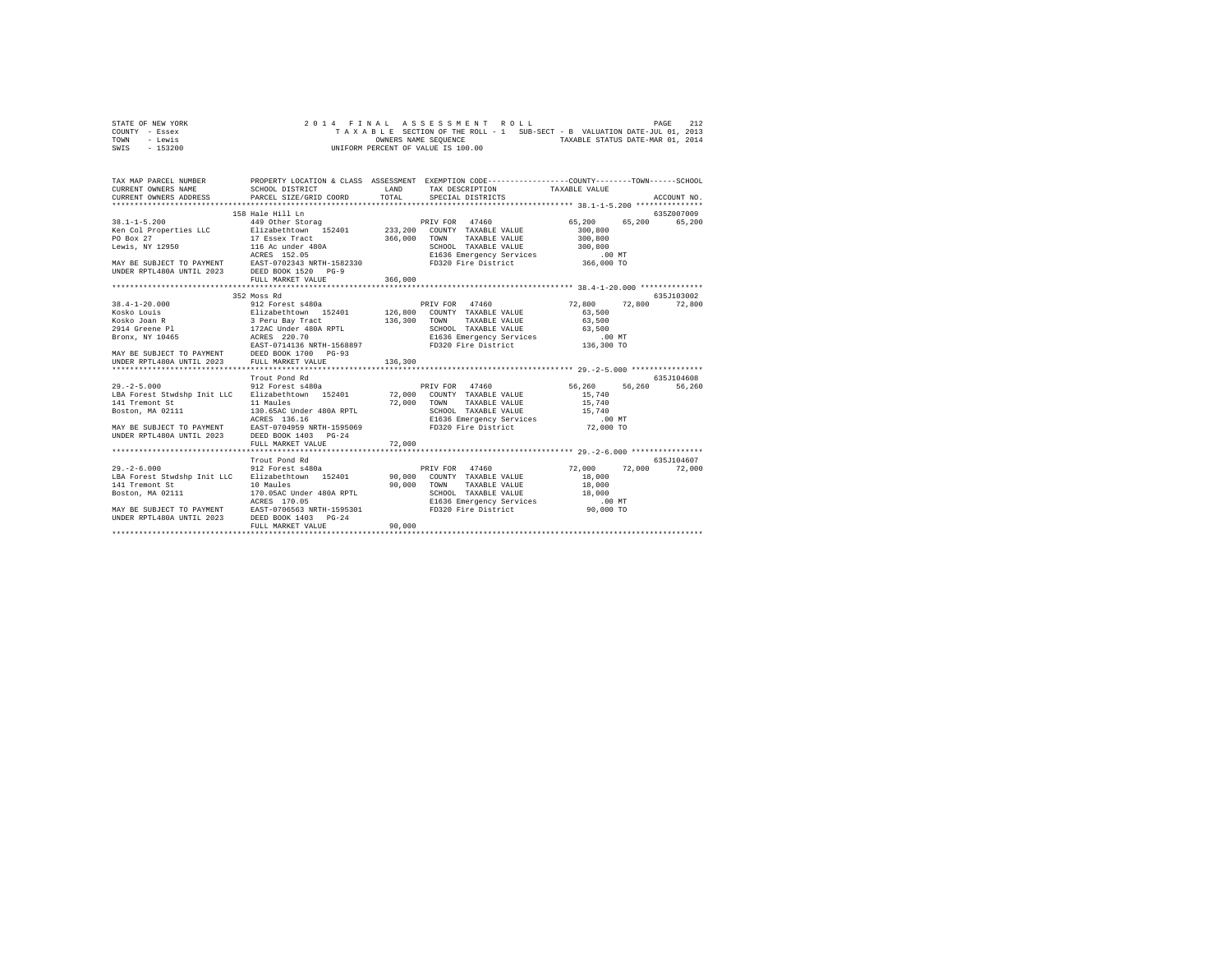|      | STATE OF NEW YORK |  |  |  | 2014 FINAL ASSESSMENT ROLL         |  |  |                                                                          |                                  | PAGE | 212 |
|------|-------------------|--|--|--|------------------------------------|--|--|--------------------------------------------------------------------------|----------------------------------|------|-----|
|      | COUNTY - Essex    |  |  |  |                                    |  |  | TAXABLE SECTION OF THE ROLL - 1 SUB-SECT - B VALUATION DATE-JUL 01, 2013 |                                  |      |     |
| TOWN | - Lewis           |  |  |  | OWNERS NAME SEOUENCE               |  |  |                                                                          | TAXABLE STATUS DATE-MAR 01, 2014 |      |     |
| SWIS | - 153200          |  |  |  | UNIFORM PERCENT OF VALUE IS 100.00 |  |  |                                                                          |                                  |      |     |

| TAX MAP PARCEL NUMBER                                                                                                                                                                                                                    | PROPERTY LOCATION & CLASS ASSESSMENT EXEMPTION CODE----------------COUNTY-------TOWN------SCHOOL |        | TAX DESCRIPTION TAXABLE VALUE                                     |           |               |
|------------------------------------------------------------------------------------------------------------------------------------------------------------------------------------------------------------------------------------------|--------------------------------------------------------------------------------------------------|--------|-------------------------------------------------------------------|-----------|---------------|
|                                                                                                                                                                                                                                          |                                                                                                  |        |                                                                   |           | ACCOUNT NO.   |
|                                                                                                                                                                                                                                          | 158 Hale Hill Ln                                                                                 |        |                                                                   |           | 635Z007009    |
|                                                                                                                                                                                                                                          |                                                                                                  |        |                                                                   | 65,200    | 65,200 65,200 |
|                                                                                                                                                                                                                                          |                                                                                                  |        |                                                                   | 300,800   |               |
| PO Box 27<br>Lewis, NY 12950                                                                                                                                                                                                             |                                                                                                  |        |                                                                   |           |               |
|                                                                                                                                                                                                                                          |                                                                                                  |        |                                                                   |           |               |
|                                                                                                                                                                                                                                          |                                                                                                  |        |                                                                   |           |               |
|                                                                                                                                                                                                                                          |                                                                                                  |        |                                                                   |           |               |
|                                                                                                                                                                                                                                          |                                                                                                  |        |                                                                   |           |               |
| NO 27 17 ESSEX TRACK 1999<br>PO BOX 27 17 ESSEX TRACK 1990A<br>LEWIS ACRES 152.05 200,000 TOWN TAXABLE VALUE 300,000<br>MAY BE SUBJECT TO PAYMENT EAST-0702343 NRTH-1582330<br>MAY BE SUBJECT TO PAYMENT EAST-0702343 NRTH-1582330<br>UN |                                                                                                  |        |                                                                   |           |               |
|                                                                                                                                                                                                                                          |                                                                                                  |        |                                                                   |           |               |
|                                                                                                                                                                                                                                          | 352 Moss Rd                                                                                      |        |                                                                   |           | 635J103002    |
| $38.4 - 1 - 20.000$                                                                                                                                                                                                                      | 912 Forest s480a <b>12,800</b> PRIV FOR 47460 12,800 72,800 12,800 72,800                        |        |                                                                   |           |               |
|                                                                                                                                                                                                                                          |                                                                                                  |        |                                                                   |           |               |
|                                                                                                                                                                                                                                          |                                                                                                  |        |                                                                   |           |               |
|                                                                                                                                                                                                                                          |                                                                                                  |        |                                                                   |           |               |
|                                                                                                                                                                                                                                          |                                                                                                  |        |                                                                   |           |               |
|                                                                                                                                                                                                                                          |                                                                                                  |        |                                                                   |           |               |
|                                                                                                                                                                                                                                          |                                                                                                  |        |                                                                   |           |               |
|                                                                                                                                                                                                                                          |                                                                                                  |        |                                                                   |           |               |
|                                                                                                                                                                                                                                          |                                                                                                  |        |                                                                   |           | 635J104608    |
| $29. - 2 - 5.000$                                                                                                                                                                                                                        | Trout Pond Rd<br>912 Forest s480a external property FOR 47460                                    |        |                                                                   | 56.260    | 56,260 56,260 |
|                                                                                                                                                                                                                                          |                                                                                                  |        |                                                                   |           |               |
|                                                                                                                                                                                                                                          |                                                                                                  |        |                                                                   |           |               |
| سماء Poster University Property of Changes (1994) 2,000 TOWN TAXABLE VALUE 15,740<br>141 Tremont St 11 (1995) 2016 180A RPTL 2000 TOWNBLE VALUE 15,740<br>1.00 MT ACRES 136.16 Exercises (1998) 2017                                     |                                                                                                  |        |                                                                   |           |               |
|                                                                                                                                                                                                                                          |                                                                                                  |        |                                                                   |           |               |
|                                                                                                                                                                                                                                          |                                                                                                  |        |                                                                   | 72,000 TO |               |
| MAY BE SUBJECT TO PAYMENT EAST-0704959 NRTH-1595069 FOR PD320 Fire District<br>UNDER RPTL480A UNTIL 2023 DEED BOOK 1403 PG-24                                                                                                            |                                                                                                  |        |                                                                   |           |               |
|                                                                                                                                                                                                                                          | FULL MARKET VALUE                                                                                | 72,000 |                                                                   |           |               |
|                                                                                                                                                                                                                                          |                                                                                                  |        |                                                                   |           |               |
|                                                                                                                                                                                                                                          | Trout Pond Rd                                                                                    |        |                                                                   |           | 635J104607    |
| $29. - 2 - 6.000$                                                                                                                                                                                                                        |                                                                                                  |        |                                                                   |           | 72,000 72,000 |
| LBA Forest Stwdshp Init LLC Blizabethtown 152401 90,000 COUNTY TAXABLE VALUE 18,000                                                                                                                                                      |                                                                                                  |        |                                                                   |           |               |
|                                                                                                                                                                                                                                          |                                                                                                  |        |                                                                   | 18,000    |               |
|                                                                                                                                                                                                                                          |                                                                                                  |        | SCHOOL TAXABLE VALUE 18,000                                       |           |               |
|                                                                                                                                                                                                                                          |                                                                                                  |        | E1636 Emergency Services 6.00 MT<br>FD320 Fire District 90,000 TO |           |               |
| ACRES 170.05<br>MAY BE SUBJECT TO PAYMENT BAST-0706563 NRTH-1595301<br>UNDER RPTL480A UNTIL 2023 DEED BOOK 1403 PG-24                                                                                                                    |                                                                                                  |        |                                                                   |           |               |
|                                                                                                                                                                                                                                          |                                                                                                  |        |                                                                   |           |               |
|                                                                                                                                                                                                                                          | FULL MARKET VALUE                                                                                | 90,000 |                                                                   |           |               |
|                                                                                                                                                                                                                                          |                                                                                                  |        |                                                                   |           |               |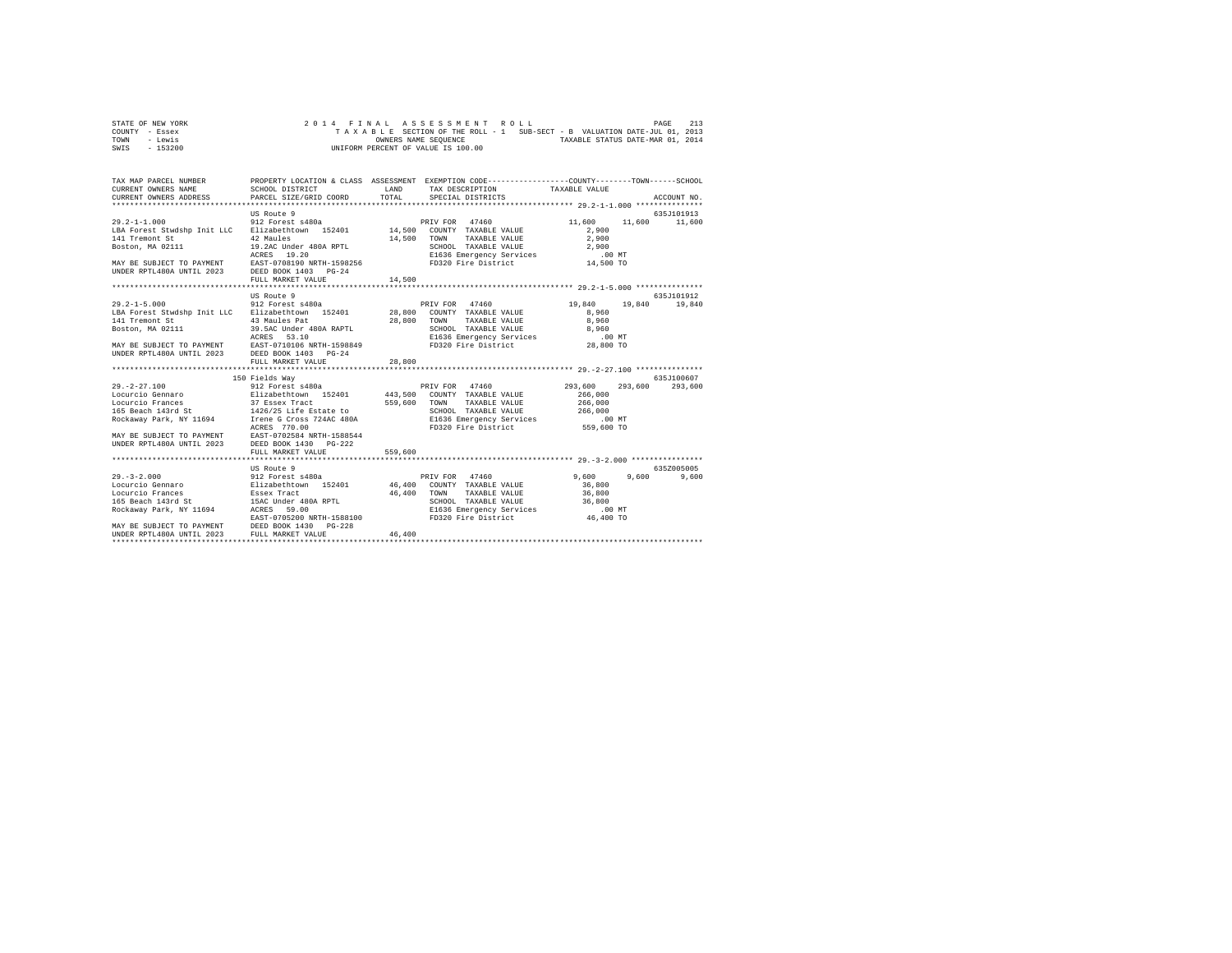| STATE OF NEW YORK | 2014 FINAL ASSESSMENT ROLL                                               | 213<br>PAGE                      |
|-------------------|--------------------------------------------------------------------------|----------------------------------|
| COUNTY - Essex    | TAXABLE SECTION OF THE ROLL - 1 SUB-SECT - B VALUATION DATE-JUL 01, 2013 |                                  |
| TOWN<br>- Lewis   | OWNERS NAME SEOUENCE                                                     | TAXABLE STATUS DATE-MAR 01, 2014 |
| - 153200<br>SWIS  | UNIFORM PERCENT OF VALUE IS 100.00                                       |                                  |

| TAX MAP PARCEL NUMBER<br>CURRENT OWNERS NAME<br>CURRENT OWNERS ADDRESS PARCEL SIZE/GRID COORD                                                                                                                                              |                                                                                                | LAND<br>TOTAL | PROPERTY LOCATION & CLASS ASSESSMENT EXEMPTION CODE-----------------COUNTY-------TOWN-----SCHOOL<br>TAX DESCRIPTION TAXABLE VALUE<br>SPECIAL DISTRICTS |                                                           | ACCOUNT NO.   |
|--------------------------------------------------------------------------------------------------------------------------------------------------------------------------------------------------------------------------------------------|------------------------------------------------------------------------------------------------|---------------|--------------------------------------------------------------------------------------------------------------------------------------------------------|-----------------------------------------------------------|---------------|
|                                                                                                                                                                                                                                            | US Route 9                                                                                     |               |                                                                                                                                                        |                                                           | 635.T101913   |
| $29.2 - 1 - 1.000$<br>141 Tremont St                                                                                                                                                                                                       | 912 Forest s480a<br>------------- 152401<br>42 Maules<br>19.2AC Under 480A RPTL<br>ACRES 19.20 | 14,500        | PRIV FOR 47460<br>TOWN<br>TAXABLE VALUE                                                                                                                | 11,600<br>2,900<br>2,900                                  | 11,600 11,600 |
|                                                                                                                                                                                                                                            | FULL MARKET VALUE                                                                              | 14,500        |                                                                                                                                                        |                                                           |               |
|                                                                                                                                                                                                                                            |                                                                                                |               |                                                                                                                                                        |                                                           |               |
|                                                                                                                                                                                                                                            | US Route 9                                                                                     |               |                                                                                                                                                        |                                                           | 635J101912    |
| $29.2 - 1 - 5.000$                                                                                                                                                                                                                         | 912 Forest s480a                                                                               |               | PRIV FOR 47460 19,840 19,840 19,840<br>SCHOOL TAXABLE VALUE 6,960<br>E1636 Emergency Services 6,960<br>FD320 Fire District 28,800 TO                   | 8,960<br>8,960                                            |               |
| ACRES 53.10<br>MAY BE SUBJECT TO PAYMENT EAST-0710106 NRTH-1598849<br>UNDER RPTL480A UNTIL 2023 DEED BOOK 1403 PG-24                                                                                                                       | FULL MARKET VALUE                                                                              | 28,800        |                                                                                                                                                        |                                                           |               |
|                                                                                                                                                                                                                                            |                                                                                                |               |                                                                                                                                                        |                                                           |               |
|                                                                                                                                                                                                                                            | 150 Fields Wav                                                                                 |               |                                                                                                                                                        |                                                           | 635.T100607   |
| $29. -2 - 27.100$                                                                                                                                                                                                                          | 912 Forest s480a                                                                               |               | PRIV FOR 47460                                                                                                                                         | 293,600 293,600                                           | 293,600       |
| 23.-242.1.000 Marshall Data States States (States Marty 1974)<br>Locurcio Grances (Sassex Tract 152401 Marshall Marshall Value<br>165 Beach 143rd States (Sassex Tract 1426/25 Life Estate to SCHOOL TAXABLE VALUE                         |                                                                                                |               |                                                                                                                                                        | 266,000                                                   |               |
|                                                                                                                                                                                                                                            |                                                                                                |               |                                                                                                                                                        | 266,000                                                   |               |
|                                                                                                                                                                                                                                            |                                                                                                |               | SCHOOL TAXABLE VALUE                                                                                                                                   | 266,000                                                   |               |
| Rockaway Park, NY 11694 1 1 Trene G Cross 724AC 480A 21636 Emergency Services .00 MT                                                                                                                                                       |                                                                                                |               |                                                                                                                                                        |                                                           |               |
| ACRES 770.00<br>MAY BE SUBJECT TO PAYMENT EAST-0702584 NRTH-1588544<br>UNDER RPTL480A UNTIL 2023 DEED BOOK 1430                                                                                                                            | $PG-2.2.2$                                                                                     |               | FD320 Fire District 559,600 TO                                                                                                                         |                                                           |               |
|                                                                                                                                                                                                                                            | FULL MARKET VALUE                                                                              | 559,600       |                                                                                                                                                        |                                                           |               |
|                                                                                                                                                                                                                                            |                                                                                                |               |                                                                                                                                                        |                                                           |               |
|                                                                                                                                                                                                                                            | US Route 9                                                                                     |               |                                                                                                                                                        |                                                           | 6357005005    |
| 19. 1-2.000<br>19. 1000 108 ROLE 912 Forest s480a<br>19. 1000 112 Forest s480a<br>16.400 COUNTY TAXABLE VALUE<br>165 Beach 143rd St 15AC Under 480A RPTL<br>165 Beach 143rd St 15AC Under 480A RPTL<br>166 Seach 143rd SCHOOL TAXABLE VALU |                                                                                                |               | TAXABLE VALUE<br>E1636 Emergency Services                                                                                                              | $9,600$ $9,600$<br>36,800<br>36,800<br>36,800<br>$.00$ MT | 9,600         |
|                                                                                                                                                                                                                                            |                                                                                                |               |                                                                                                                                                        |                                                           |               |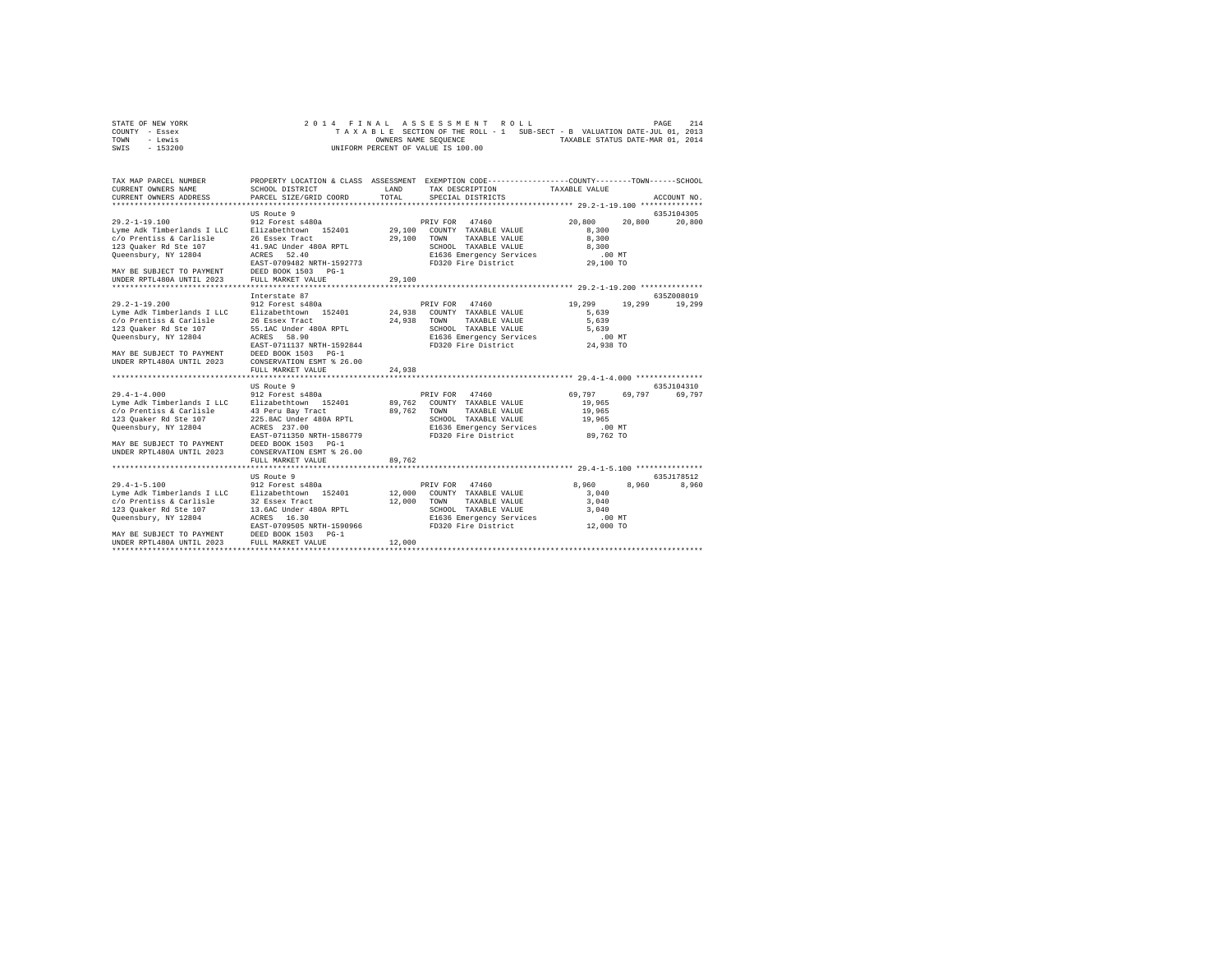| STATE OF NEW YORK | 2014 FINAL ASSESSMENT ROLL                                               | 214<br>PAGE                      |
|-------------------|--------------------------------------------------------------------------|----------------------------------|
| COUNTY - Essex    | TAXABLE SECTION OF THE ROLL - 1 SUB-SECT - B VALUATION DATE-JUL 01, 2013 |                                  |
| TOWN<br>- Lewis   | OWNERS NAME SEOUENCE                                                     | TAXABLE STATUS DATE-MAR 01, 2014 |
| - 153200<br>SWIS  | UNIFORM PERCENT OF VALUE IS 100.00                                       |                                  |

| TAX MAP PARCEL NUMBER<br>CURRENT OWNERS NAME<br>CURRENT OWNERS ADDRESS                                                                                                                  | PROPERTY LOCATION & CLASS ASSESSMENT EXEMPTION CODE----------------COUNTY-------TOWN------SCHOOL<br>SCHOOL DISTRICT<br>PARCEL SIZE/GRID COORD                                                                                       | LAND<br>TOTAL              | TAX DESCRIPTION<br>SPECIAL DISTRICTS                                                                                                          | TAXABLE VALUE                                                        | ACCOUNT NO.          |
|-----------------------------------------------------------------------------------------------------------------------------------------------------------------------------------------|-------------------------------------------------------------------------------------------------------------------------------------------------------------------------------------------------------------------------------------|----------------------------|-----------------------------------------------------------------------------------------------------------------------------------------------|----------------------------------------------------------------------|----------------------|
|                                                                                                                                                                                         |                                                                                                                                                                                                                                     |                            |                                                                                                                                               |                                                                      |                      |
|                                                                                                                                                                                         | US Route 9                                                                                                                                                                                                                          |                            |                                                                                                                                               |                                                                      | 635J104305           |
| $29.2 - 1 - 19.100$<br>Lyme Adk Timberlands I LLC<br>c/o Prentiss & Carlisle<br>123 Quaker Rd Ste 107<br>Queensbury, NY 12804<br>MAY BE SUBJECT TO PAYMENT<br>UNDER RPTL480A UNTIL 2023 | 912 Forest s480a<br>Elizabethtown 152401<br>26 Essex Tract<br>41.9AC Under 480A RPTL<br>ACRES<br>52.40<br>EAST-0709482 NRTH-1592773<br>DEED BOOK 1503 PG-1<br>FULL MARKET VALUE                                                     | 29,100<br>29,100<br>29,100 | 47460<br>PRIV FOR<br>COUNTY TAXABLE VALUE<br>TOWN<br>TAXABLE VALUE<br>SCHOOL TAXABLE VALUE<br>E1636 Emergency Services<br>FD320 Fire District | 20,800<br>20,800<br>8,300<br>8,300<br>8,300<br>$.00$ MT<br>29,100 TO | 20,800               |
|                                                                                                                                                                                         |                                                                                                                                                                                                                                     |                            |                                                                                                                                               |                                                                      |                      |
|                                                                                                                                                                                         | Interstate 87                                                                                                                                                                                                                       |                            |                                                                                                                                               |                                                                      | 635Z008019           |
| $29.2 - 1 - 19.200$<br>Lyme Adk Timberlands I LLC<br>c/o Prentiss & Carlisle<br>123 Ouaker Rd Ste 107<br>Queensbury, NY 12804<br>MAY BE SUBJECT TO PAYMENT<br>UNDER RPTL480A UNTIL 2023 | 912 Forest s480a<br>Elizabethtown 152401<br>26 Essex Tract<br>55.1AC Under 480A RPTL<br>ACRES<br>58.90<br>EAST-0711137 NRTH-1592844<br>DEED BOOK 1503<br>$PG-1$<br>CONSERVATION ESMT % 26.00<br>FULL MARKET VALUE<br><br>US Route 9 | 24,938<br>24,938<br>24,938 | PRIV FOR 47460<br>COUNTY TAXABLE VALUE<br>TOWN<br>TAXABLE VALUE<br>SCHOOL TAXABLE VALUE<br>E1636 Emergency Services<br>FD320 Fire District    | 19,299<br>19,299<br>5.639<br>5.639<br>5.639<br>.00MT<br>24,938 TO    | 19,299<br>635J104310 |
| $29.4 - 1 - 4.000$                                                                                                                                                                      | 912 Forest s480a                                                                                                                                                                                                                    |                            | PRIV FOR<br>47460                                                                                                                             | 69.797<br>69,797                                                     | 69,797               |
| Lyme Adk Timberlands I LLC<br>c/o Prentiss & Carlisle<br>123 Ouaker Rd Ste 107<br>Queensbury, NY 12804<br>MAY BE SUBJECT TO PAYMENT<br>UNDER RPTL480A UNTIL 2023                        | Elizabethtown 152401<br>43 Peru Bay Tract<br>225.8AC Under 480A RPTL<br>ACRES 237.00<br>EAST-0711350 NRTH-1586779<br>DEED BOOK 1503<br>$PG-1$<br>CONSERVATION ESMT % 26.00                                                          | 89,762<br>89,762           | COUNTY TAXABLE VALUE<br>TOWN<br>TAXABLE VALUE<br>SCHOOL TAXABLE VALUE<br>E1636 Emergency Services<br>FD320 Fire District                      | 19,965<br>19,965<br>19,965<br>.00 MT<br>89,762 TO                    |                      |
|                                                                                                                                                                                         | FULL MARKET VALUE                                                                                                                                                                                                                   | 89.762                     |                                                                                                                                               |                                                                      |                      |
|                                                                                                                                                                                         |                                                                                                                                                                                                                                     |                            |                                                                                                                                               |                                                                      |                      |
|                                                                                                                                                                                         | US Route 9                                                                                                                                                                                                                          |                            |                                                                                                                                               |                                                                      | 635J178512           |
| $29.4 - 1 - 5.100$<br>Lyme Adk Timberlands I LLC<br>c/o Prentiss & Carlisle<br>123 Quaker Rd Ste 107<br>Oueensbury, NY 12804<br>MAY BE SUBJECT TO PAYMENT<br>UNDER RPTL480A UNTIL 2023  | 912 Forest s480a<br>Elizabethtown 152401<br>32 Essex Tract<br>13.6AC Under 480A RPTL<br>16.30<br>ACRES<br>EAST-0709505 NRTH-1590966<br>DEED BOOK 1503<br>$PG-1$<br>FULL MARKET VALUE                                                | 12,000<br>12,000<br>12,000 | 47460<br>PRIV FOR<br>COUNTY TAXABLE VALUE<br>TOWN<br>TAXABLE VALUE<br>SCHOOL TAXABLE VALUE<br>E1636 Emergency Services<br>FD320 Fire District | 8,960<br>8,960<br>3,040<br>3,040<br>3,040<br>.00MT<br>12,000 TO      | 8,960                |
|                                                                                                                                                                                         |                                                                                                                                                                                                                                     |                            |                                                                                                                                               |                                                                      |                      |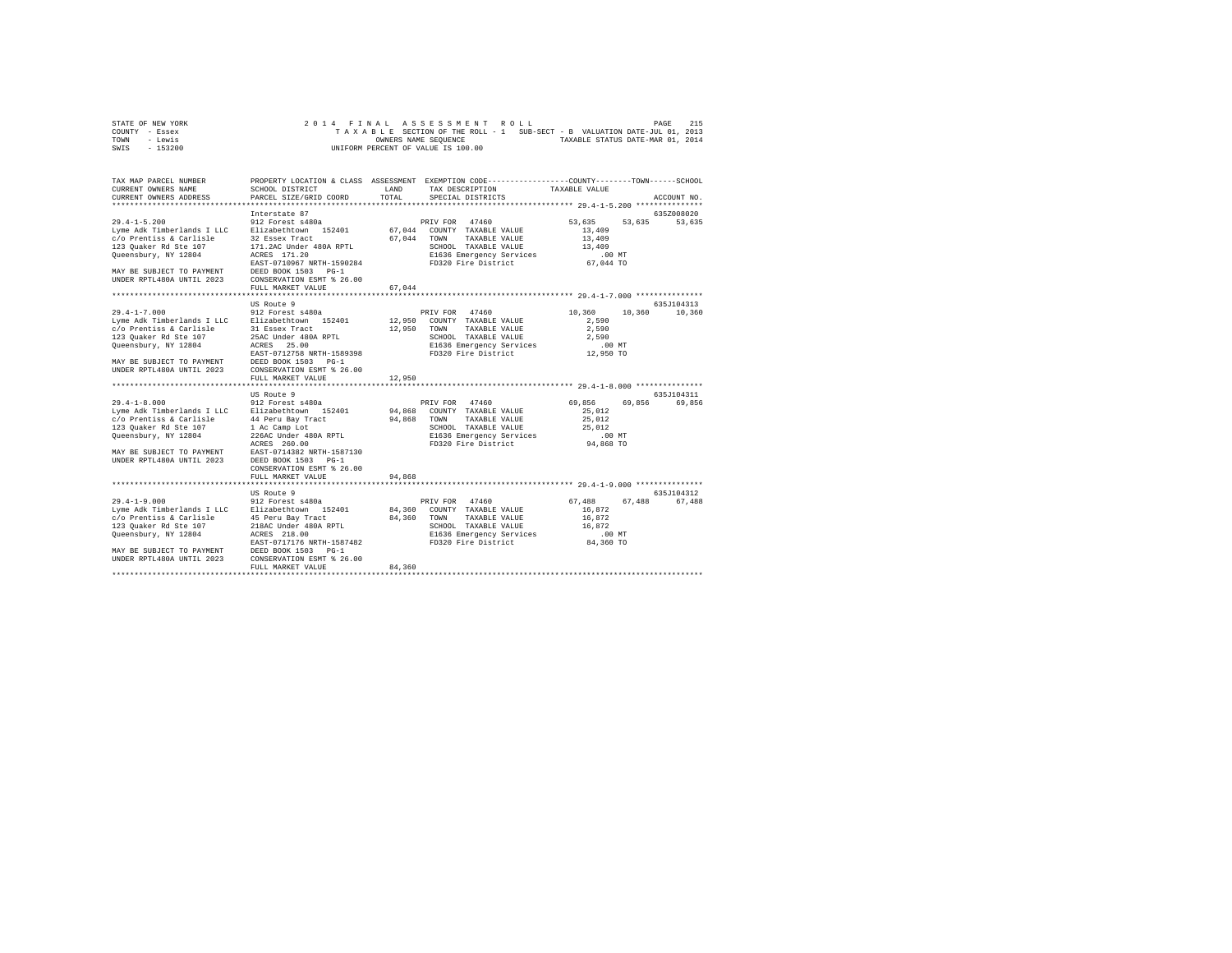| STATE OF NEW YORK | 2014 FINAL ASSESSMENT ROLL                                               | 215<br>PAGE                      |
|-------------------|--------------------------------------------------------------------------|----------------------------------|
| COUNTY - Essex    | TAXABLE SECTION OF THE ROLL - 1 SUB-SECT - B VALUATION DATE-JUL 01, 2013 |                                  |
| TOWN<br>- Lewis   | OWNERS NAME SEOUENCE                                                     | TAXABLE STATUS DATE-MAR 01, 2014 |
| $-153200$<br>SWIS | UNIFORM PERCENT OF VALUE IS 100.00                                       |                                  |

| TAX MAP PARCEL NUMBER<br>CURRENT OWNERS NAME<br>CURRENT OWNERS ADDRESS                                                                                                                                                                                                                  | SCHOOL DISTRICT<br>PARCEL SIZE/GRID COORD                                                                                                                                 | LAND<br>TOTAL | PROPERTY LOCATION & CLASS ASSESSMENT EXEMPTION CODE---------------COUNTY-------TOWN------SCHOOL<br>TAX DESCRIPTION<br>SPECIAL DISTRICTS                                | TAXABLE VALUE                                                        | ACCOUNT NO.                 |
|-----------------------------------------------------------------------------------------------------------------------------------------------------------------------------------------------------------------------------------------------------------------------------------------|---------------------------------------------------------------------------------------------------------------------------------------------------------------------------|---------------|------------------------------------------------------------------------------------------------------------------------------------------------------------------------|----------------------------------------------------------------------|-----------------------------|
| $29.4 - 1 - 5.200$<br>Lyme Adk Timberlands I LLC Elizabethtown 152401<br>c/o Prentiss & Carlisle<br>123 Ouaker Rd Ste 107<br>Queensbury, NY 12804<br>EAST-0710967 NRTH-1590284<br>MAY BE SUBJECT TO PAYMENT DEDED BOOK 1503 PG-1<br>UNDER RPTL480A UNTIL 2023 CONSERVATION ESMT % 26.00 | Interstate 87<br>912 Forest s480a<br>32 Essex Tract<br>171.2AC Under 480A RPTL<br>ACRES 171.20<br>FULL MARKET VALUE                                                       | 67.044        | PRIV FOR 47460<br>67.044 COUNTY TAXABLE VALUE<br>67,044 TOWN TAXABLE VALUE<br>SCHOOL TAXABLE VALUE<br>E1636 Emergency Services .00 MT<br>FD320 Fire District 67,044 TO | 53,635 53,635 53,635<br>13,409<br>13,409<br>13,409                   | 635Z008020                  |
| $29.4 - 1 - 7.000$<br>123 Ouaker Rd Ste 107<br>Queensbury, NY 12804<br>MAY BE SUBJECT TO PAYMENT DEED BOOK 1503 PG-1<br>UNDER RPTL480A UNTIL 2023                                                                                                                                       | US Route 9<br>912 Forest s480a<br>25AC Under 480A RPTL<br>ACRES 25.00<br>EAST-0712758 NRTH-1589398<br>CONSERVATION ESMT % 26.00<br>FULL MARKET VALUE                      | 12,950        | PRIV FOR 47460<br>12,950 COUNTY TAXABLE VALUE<br>12,950 TOWN TAXABLE VALUE<br>SCHOOL TAXABLE VALUE                                                                     | 10,360<br>2,590<br>2,590<br>2,590                                    | 635J104313<br>10,360 10,360 |
| 29.4-1-8.000 912 Forest s480a<br>Lyme Adk Timberlands I LLC Elizabethtown 152401<br>c/o Prentiss & Carlisle $44$ Peru Bay Tract 94,868 TOWN<br>123 Quaker Rd Ste 107<br>Queensbury, NY 12804<br>MAY BE SUBJECT TO PAYMENT EAST-0714382 NRTH-1587130<br>UNDER RPTL480A UNTIL 2023        | ************************<br>US Route 9<br>1 Ac Camp Lot<br>226AC Under 480A RPTL<br>ACRES 260.00<br>DEED BOOK 1503 PG-1<br>CONSERVATION ESMT % 26.00<br>FULL MARKET VALUE | 94,868        | PRIV FOR 47460<br>94,868 COUNTY TAXABLE VALUE<br>TAXABLE VALUE<br>SCHOOL TAXABLE VALUE<br>E1636 Emergency Services<br>FD320 Fire District                              | 69,856 69,856<br>25,012<br>25,012<br>25,012<br>$.00$ MT<br>94,868 TO | 635J104311<br>69,856        |
| $29.4 - 1 - 9.000$<br>Lyme Adk Timberlands I LLC Blizabethtown 152401<br>c/o Prentiss & Carlisle 45 Peru Bay Tract<br>123 Quaker Rd Ste 107<br>Queensbury, NY 12804<br>-<br>MAY BE SUBJECT TO PAYMENT DEED BOOK 1503 PG-1<br>UNDER RPTL480A UNTIL 2023 CONSERVATION ESMT % 26.00        | US Route 9<br>912 Forest s480a<br>218AC Under 480A RPTL<br>ACRES 218.00<br>FULL MARKET VALUE                                                                              | 84,360        | PRIV FOR 47460<br>84,360 COUNTY TAXABLE VALUE<br>84.360 TOWN TAXABLE VALUE<br>SCHOOL TAXABLE VALUE<br>E1636 Emergency Services<br>FD320 Fire District 84,360 TO        | 67.488 67.488<br>16,872<br>16,872<br>16,872<br>$.00$ MT              | 635J104312<br>67.488        |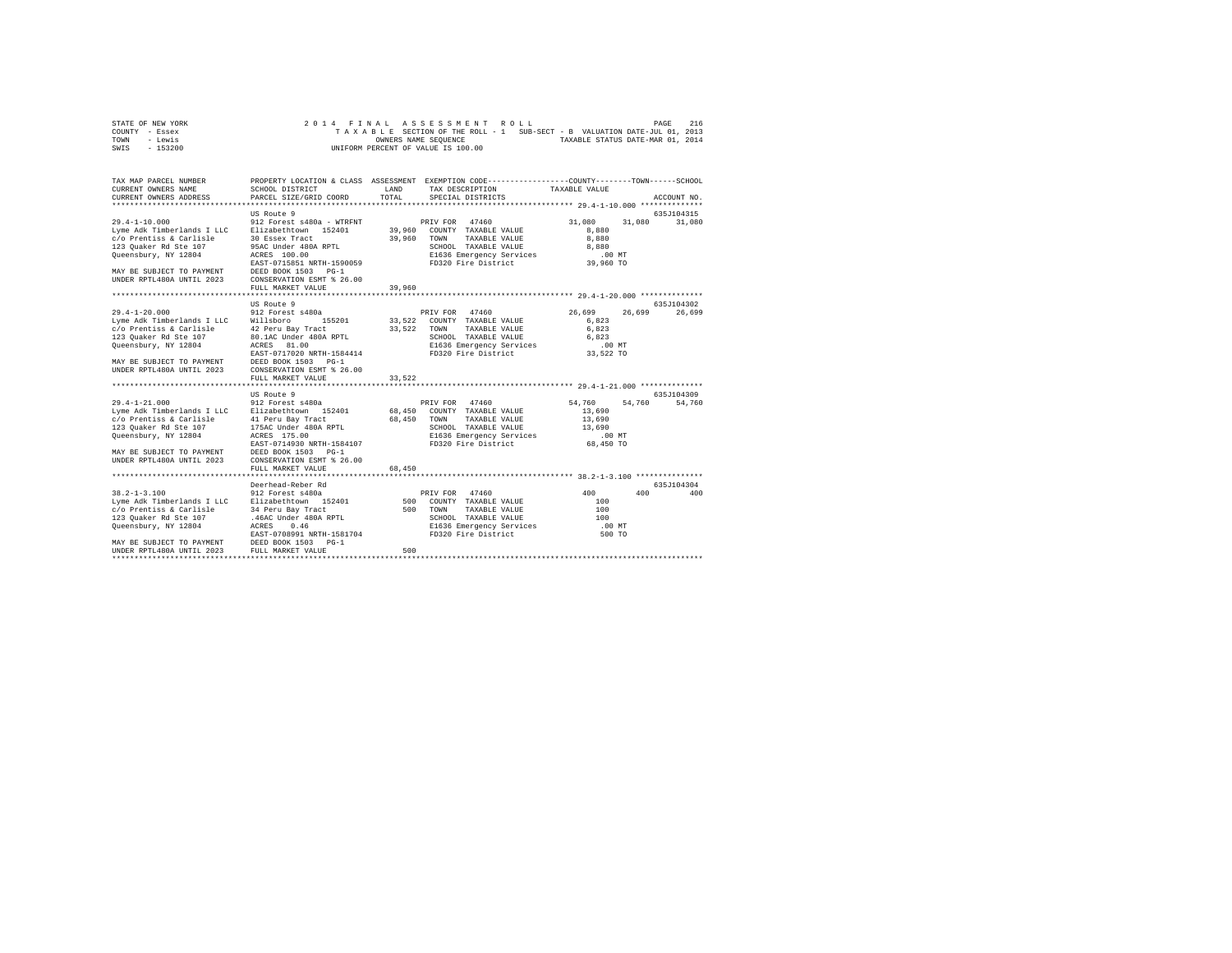| STATE OF NEW YORK | 2014 FINAL ASSESSMENT ROLL                                               | 216<br>PAGE                      |
|-------------------|--------------------------------------------------------------------------|----------------------------------|
| COUNTY - Essex    | TAXABLE SECTION OF THE ROLL - 1 SUB-SECT - B VALUATION DATE-JUL 01, 2013 |                                  |
| TOWN<br>- Lewis   | OWNERS NAME SEOUENCE                                                     | TAXABLE STATUS DATE-MAR 01, 2014 |
| $-153200$<br>SWIS | UNIFORM PERCENT OF VALUE IS 100.00                                       |                                  |

| TAX MAP PARCEL NUMBER<br>CURRENT OWNERS NAME                                                         | SCHOOL DISTRICT                       | LAND   | PROPERTY LOCATION & CLASS ASSESSMENT EXEMPTION CODE----------------COUNTY-------TOWN------SCHOOL<br>TAX DESCRIPTION TAXABLE VALUE |                  |             |
|------------------------------------------------------------------------------------------------------|---------------------------------------|--------|-----------------------------------------------------------------------------------------------------------------------------------|------------------|-------------|
| CURRENT OWNERS ADDRESS PARCEL SIZE/GRID COORD                                                        |                                       | TOTAL  | SPECIAL DISTRICTS                                                                                                                 |                  | ACCOUNT NO. |
|                                                                                                      |                                       |        |                                                                                                                                   |                  |             |
|                                                                                                      | US Route 9                            |        |                                                                                                                                   |                  | 635J104315  |
| $29.4 - 1 - 10.000$                                                                                  | 912 Forest s480a - WTRFNT             |        | 47460<br>PRIV FOR                                                                                                                 | 31,080<br>31,080 | 31,080      |
| Lyme Adk Timberlands I LLC                                                                           | Elizabethtown 152401                  |        | 39,960 COUNTY TAXABLE VALUE                                                                                                       | 8,880            |             |
| c/o Prentiss & Carlisle                                                                              | 30 Essex Tract                        | 39,960 | TAXABLE VALUE                                                                                                                     | 8,880            |             |
| 123 Ouaker Rd Ste 107                                                                                | 95AC Under 480A RPTL                  |        | TOWN                                                                                                                              | 8,880            |             |
|                                                                                                      |                                       |        | SCHOOL TAXABLE VALUE                                                                                                              |                  |             |
| Queensbury, NY 12804                                                                                 | ACRES 100.00                          |        | E1636 Emergency Services 6.00 MT<br>FD320 Fire District 39,960 TO                                                                 |                  |             |
|                                                                                                      | EAST-0715851 NRTH-1590059             |        |                                                                                                                                   |                  |             |
| MAY BE SUBJECT TO PAYMENT                                                                            | DEED BOOK 1503 PG-1                   |        |                                                                                                                                   |                  |             |
| UNDER RPTL480A UNTIL 2023                                                                            | CONSERVATION ESMT % 26.00             |        |                                                                                                                                   |                  |             |
|                                                                                                      | FULL MARKET VALUE                     | 39,960 |                                                                                                                                   |                  |             |
|                                                                                                      |                                       |        |                                                                                                                                   |                  |             |
|                                                                                                      | US Route 9                            |        |                                                                                                                                   |                  | 635J104302  |
| $29.4 - 1 - 20.000$                                                                                  | 912 Forest s480a                      |        | PRIV FOR 47460                                                                                                                    | 26,699<br>26,699 | 26,699      |
| Lyme Adk Timberlands I LLC Willsboro                                                                 | 155201                                |        | 33,522 COUNTY TAXABLE VALUE                                                                                                       | 6.823            |             |
| c/o Prentiss & Carlisle                                                                              | 42 Peru Bay Tract                     |        | 33,522 TOWN<br>TAXABLE VALUE                                                                                                      | 6,823            |             |
| 123 Quaker Rd Ste 107                                                                                | 80.1AC Under 480A RPTL                |        | SCHOOL TAXABLE VALUE                                                                                                              | 6,823            |             |
| Queensbury, NY 12804                                                                                 | ACRES 81.00                           |        | E1636 Emergency Services<br>FD320 Fire District                                                                                   | .00 MT           |             |
|                                                                                                      | EAST-0717020 NRTH-1584414             |        | FD320 Fire District                                                                                                               | 33,522 TO        |             |
| MAY BE SUBJECT TO PAYMENT DEED BOOK 1503 PG-1<br>UNDER RPTL480A UNTIL 2023 CONSERVATION ESMT % 26.00 |                                       |        |                                                                                                                                   |                  |             |
|                                                                                                      |                                       |        |                                                                                                                                   |                  |             |
|                                                                                                      | FULL MARKET VALUE                     | 33,522 |                                                                                                                                   |                  |             |
|                                                                                                      |                                       |        |                                                                                                                                   |                  |             |
|                                                                                                      | US Route 9                            |        |                                                                                                                                   |                  | 635J104309  |
| $29.4 - 1 - 21.000$                                                                                  | 912 Forest s480a                      |        | PRIV FOR 47460                                                                                                                    | 54,760<br>54,760 | 54,760      |
| Lyme Adk Timberlands I LLC Blizabethtown 152401                                                      |                                       |        | 68,450 COUNTY TAXABLE VALUE                                                                                                       | 13,690           |             |
| c/o Prentiss & Carlisle                                                                              | 41 Peru Bay Tract                     | 68,450 | TAXABLE VALUE<br>TOWN                                                                                                             | 13,690           |             |
| 123 Ouaker Rd Ste 107                                                                                | 175AC Under 480A RPTL<br>ACRES 175.00 |        | SCHOOL TAXABLE VALUE                                                                                                              | 13,690           |             |
| Queensbury, NY 12804                                                                                 | ACRES 175.00                          |        | E1636 Emergency Services                                                                                                          | .00 MT           |             |
|                                                                                                      | EAST-0714930 NRTH-1584107             |        | FD320 Fire District                                                                                                               | 68,450 TO        |             |
| MAY BE SUBJECT TO PAYMENT                                                                            | DEED BOOK 1503 PG-1                   |        |                                                                                                                                   |                  |             |
| UNDER RPTL480A UNTIL 2023                                                                            | CONSERVATION ESMT % 26.00             |        |                                                                                                                                   |                  |             |
|                                                                                                      | FULL MARKET VALUE                     | 68,450 |                                                                                                                                   |                  |             |
|                                                                                                      | ********************************      |        | ********************************** 38.2-1-3.100 ****************                                                                  |                  |             |
|                                                                                                      | Deerhead-Reber Rd                     |        |                                                                                                                                   |                  | 635.7104304 |
| $38.2 - 1 - 3.100$                                                                                   | 912 Forest s480a                      |        | 47460<br>PRIV FOR                                                                                                                 | 400<br>400       | 400         |
| Lyme Adk Timberlands I LLC Elizabethtown 152401                                                      |                                       |        | 500 COUNTY TAXABLE VALUE                                                                                                          | 100              |             |
| c/o Prentiss & Carlisle                                                                              | 34 Peru Bay Tract                     |        | 500 TOWN<br>TAXABLE VALUE                                                                                                         | 100              |             |
| 123 Ouaker Rd Ste 107                                                                                | .46AC Under 480A RPTL                 |        | SCHOOL TAXABLE VALUE                                                                                                              | 100              |             |
| Queensbury, NY 12804                                                                                 | ACRES<br>0.46                         |        |                                                                                                                                   | $.00$ MT         |             |
|                                                                                                      | EAST-0708991 NRTH-1581704             |        | E1636 Emergency Services<br>FD320 Fire District<br>FD320 Fire District                                                            | 500 TO           |             |
|                                                                                                      |                                       |        |                                                                                                                                   |                  |             |
| MAY BE SUBJECT TO PAYMENT DEED BOOK 1503 PG-1<br>UNDER RPTL480A UNTIL 2023 FULL MARKET VALUE         |                                       | 500    |                                                                                                                                   |                  |             |
|                                                                                                      |                                       |        |                                                                                                                                   |                  |             |
|                                                                                                      |                                       |        |                                                                                                                                   |                  |             |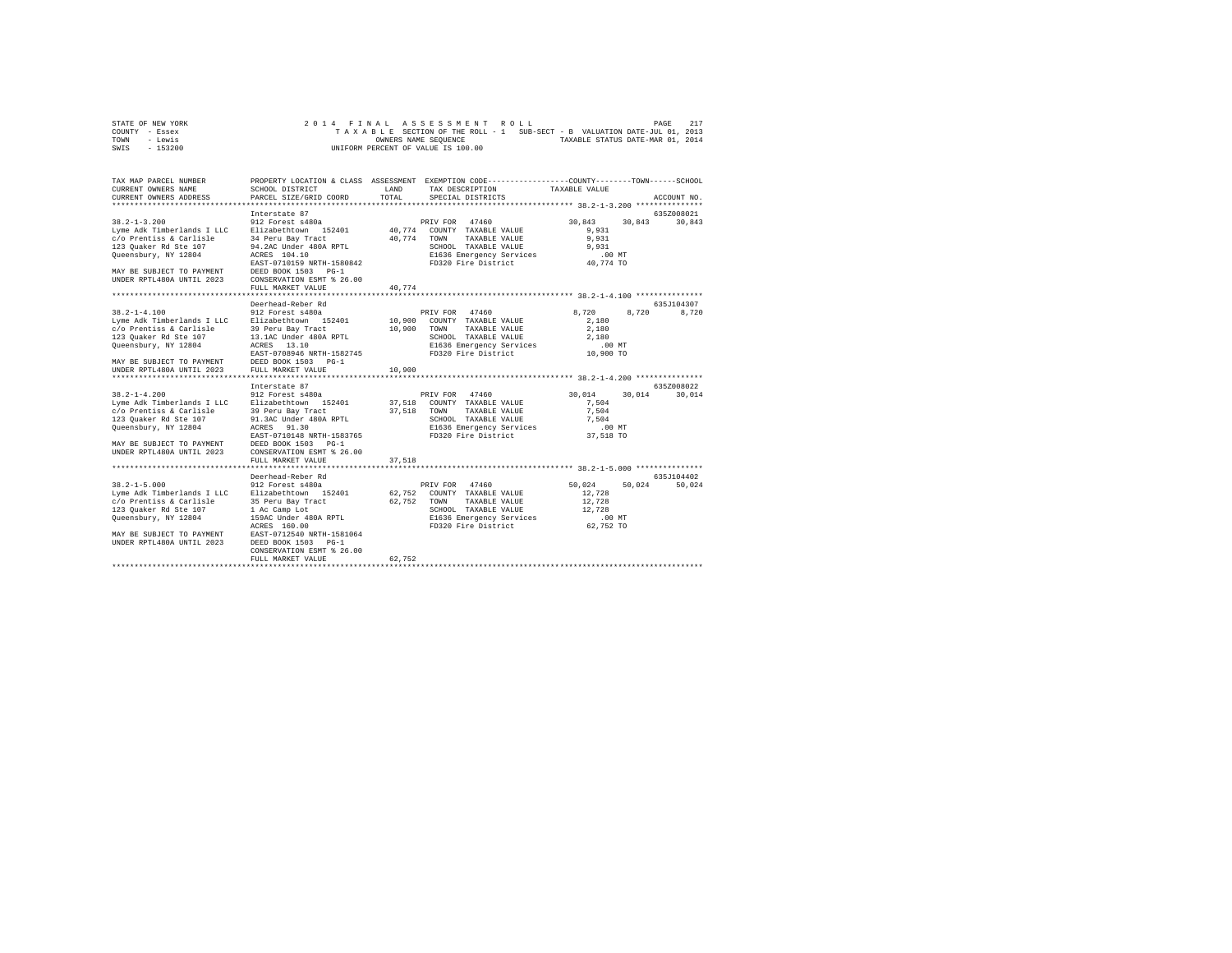| STATE OF NEW YORK | 2014 FINAL ASSESSMENT ROLL                                               | 217<br>PAGE |
|-------------------|--------------------------------------------------------------------------|-------------|
| COUNTY - Essex    | TAXABLE SECTION OF THE ROLL - 1 SUB-SECT - B VALUATION DATE-JUL 01, 2013 |             |
| TOWN<br>- Lewis   | TAXABLE STATUS DATE-MAR 01, 2014<br>OWNERS NAME SEOUENCE                 |             |
| $-153200$<br>SWIS | UNIFORM PERCENT OF VALUE IS 100.00                                       |             |

| TAX MAP PARCEL NUMBER<br>CURRENT OWNERS NAME                                                                                                                                                                                                                                                                                                       | SCHOOL DISTRICT                                                                                                                                              | LAND   | PROPERTY LOCATION & CLASS ASSESSMENT EXEMPTION CODE---------------COUNTY-------TOWN------SCHOOL<br>TAX DESCRIPTION TAXABLE VALUE                                            |                                                               |        |               |
|----------------------------------------------------------------------------------------------------------------------------------------------------------------------------------------------------------------------------------------------------------------------------------------------------------------------------------------------------|--------------------------------------------------------------------------------------------------------------------------------------------------------------|--------|-----------------------------------------------------------------------------------------------------------------------------------------------------------------------------|---------------------------------------------------------------|--------|---------------|
| CURRENT OWNERS ADDRESS                                                                                                                                                                                                                                                                                                                             | PARCEL SIZE/GRID COORD                                                                                                                                       | TOTAL  | SPECIAL DISTRICTS                                                                                                                                                           |                                                               |        | ACCOUNT NO.   |
|                                                                                                                                                                                                                                                                                                                                                    | Interstate 87                                                                                                                                                |        |                                                                                                                                                                             | 30,843 30,843 30,843                                          |        | 635Z008021    |
| Queensbury, NY 12804 ACRES 104.10                                                                                                                                                                                                                                                                                                                  | EAST-0710159 NRTH-1580842                                                                                                                                    |        | 40,774 TOWN TAXABLE VALUE<br>E1636 Emergency Services<br>FD320 Fire District                                                                                                | 9,931<br>9,931<br>9,931<br>$.00$ MT<br>40,774 TO              |        |               |
| MAY BE SUBJECT TO PAYMENT DEED BOOK 1503 PG-1<br>UNDER RPTL480A UNTIL 2023                                                                                                                                                                                                                                                                         | CONSERVATION ESMT % 26.00<br>FULL MARKET VALUE                                                                                                               | 40,774 |                                                                                                                                                                             |                                                               |        |               |
|                                                                                                                                                                                                                                                                                                                                                    | Deerhead-Reber Rd                                                                                                                                            |        |                                                                                                                                                                             |                                                               |        | 635J104307    |
| 38.2-1-4.100 912 Forest s480a<br>Lyme Adk Timberlands I LLC Elizabethtown 152401                                                                                                                                                                                                                                                                   | ACRES 13.10<br>EAST-0708946 NRTH-1582745                                                                                                                     | 10,900 | PRIV FOR 47460<br>$10,900$ COUNTY TAXABLE VALUE<br>TAXABLE VALUE<br>TOWN<br>SCHOOL TAXABLE VALUE<br>SCHOOL TAXABLE VALUE<br>E1636 Emergency Services<br>FD320 Fire District | 8,720 8,720<br>2,180<br>2,180<br>2,180<br>.00 MT<br>10,900 TO |        | 8,720         |
| MAY BE SUBJECT TO PAYMENT DEED BOOK 1503 PG-1<br>UNDER RPTL480A UNTIL 2023 FULL MARKET VALUE                                                                                                                                                                                                                                                       |                                                                                                                                                              | 10,900 |                                                                                                                                                                             |                                                               |        |               |
|                                                                                                                                                                                                                                                                                                                                                    | Interstate 87                                                                                                                                                |        |                                                                                                                                                                             |                                                               |        | 635Z008022    |
| $38.2 - 1 - 4.200$<br>Joine - I. De Line - International Communist School of The ARABLE VALUE<br>Lyme Adk Timberlands I LLC Blizabethtown 152401 - 37,518 TOWN TAXABLE VALUE<br>123 Quaker Rd Ste 107 91.3AC Under 480A RPTL<br>Queensbury, NY 12804<br>MAY BE SUBJECT TO PAYMENT<br>UNDER RPTL480A UNTIL 2023                                     | 912 Forest s480a<br>ACRES 91.30<br>DEED BOOK 1503 PG-1<br>CONSERVATION ESMT % 26.00                                                                          | 37,518 | PRIV FOR 47460                                                                                                                                                              | 30.014<br>7.504<br>7,504<br>7.504<br>$.00$ MT<br>37,518 TO    |        | 30,014 30,014 |
|                                                                                                                                                                                                                                                                                                                                                    | FULL MARKET VALUE                                                                                                                                            |        |                                                                                                                                                                             |                                                               |        |               |
|                                                                                                                                                                                                                                                                                                                                                    | Deerhead-Reber Rd                                                                                                                                            |        |                                                                                                                                                                             |                                                               |        | 635J104402    |
| $38.2 - 1 - 5.000$<br>Lyme Adk Timberlands I LLC      Elizabethtown    152401             62,752   COUNTY  TAXABLE VALUE<br>c/o Prentiss & Carlisle           35 Peru Bay Tract                        62,752    TOWN     TAXABLE VALUE<br>123 Quaker Rd Ste 107<br>Oueensbury, NY 12804<br>MAY BE SUBJECT TO PAYMENT<br>UNDER RPTL480A UNTIL 2023 | 1 Ac Camp Lot<br>159AC Under 480A RPTL<br>ACRES 160.00<br>EAST-0712540 NRTH-1581064<br>DEED BOOK 1503 PG-1<br>CONSERVATION ESMT % 26.00<br>FULL MARKET VALUE |        | SCHOOL TAXABLE VALUE<br>E1636 Emergency Services 62,752 TO<br>FD320 Fire District 62,752 TO                                                                                 | 50.024<br>12,728<br>12,728<br>12,728                          | 50,024 | 50,024        |
|                                                                                                                                                                                                                                                                                                                                                    |                                                                                                                                                              | 62,752 |                                                                                                                                                                             |                                                               |        |               |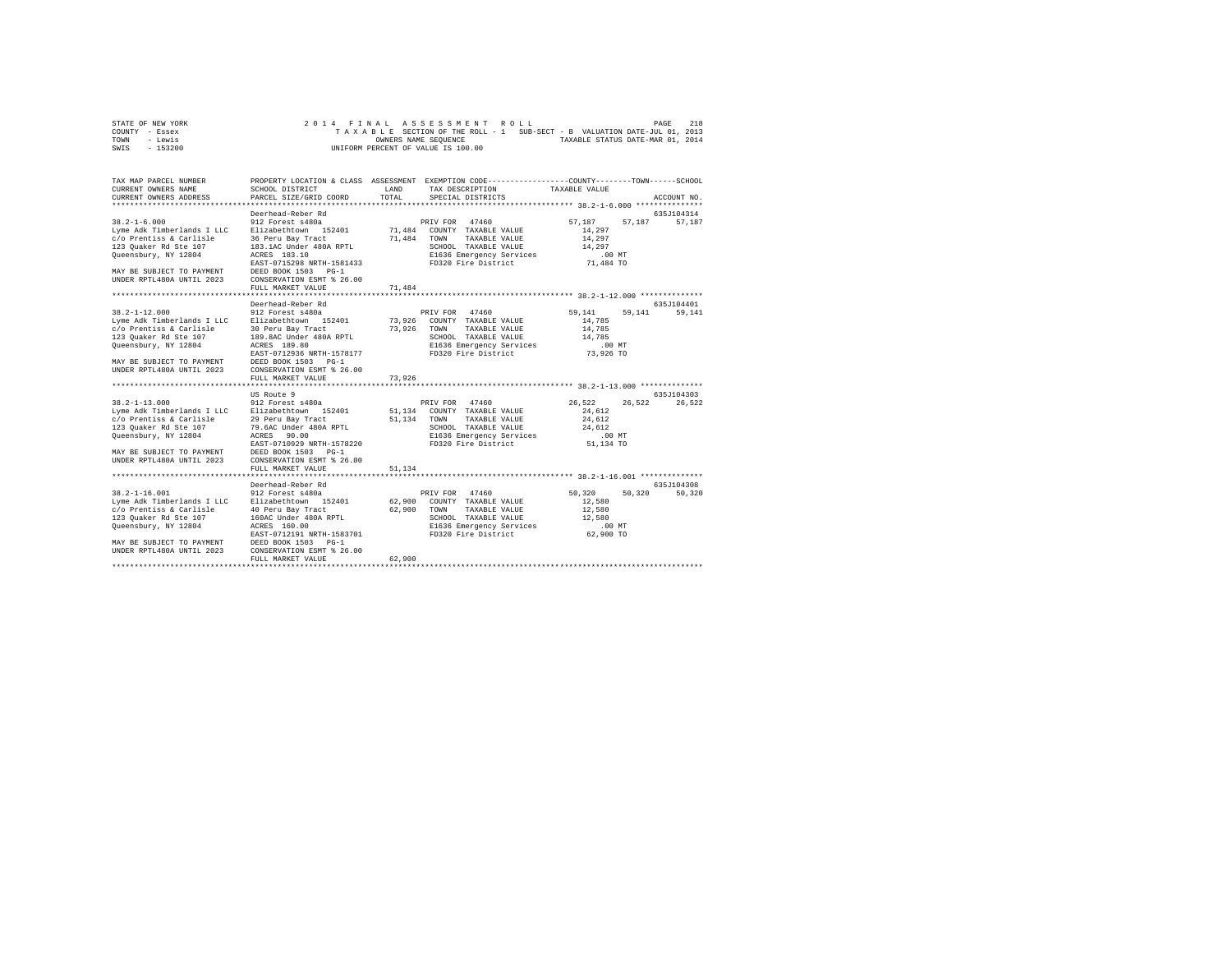| STATE OF NEW YORK | 2014 FINAL ASSESSMENT ROLL                                               | 218<br>PAGE                      |
|-------------------|--------------------------------------------------------------------------|----------------------------------|
| COUNTY - Essex    | TAXABLE SECTION OF THE ROLL - 1 SUB-SECT - B VALUATION DATE-JUL 01, 2013 |                                  |
| TOWN<br>- Lewis   | OWNERS NAME SEOUENCE                                                     | TAXABLE STATUS DATE-MAR 01, 2014 |
| $-153200$<br>SWIS | UNIFORM PERCENT OF VALUE IS 100.00                                       |                                  |

| TAX MAP PARCEL NUMBER<br>CURRENT OWNERS NAME<br>CURRENT OWNERS ADDRESS PARCEL SIZE/GRID COORD                                                                                                                                                                                     | SCHOOL DISTRICT                                                                                                                                   | TOTAL  | PROPERTY LOCATION & CLASS ASSESSMENT EXEMPTION CODE---------------COUNTY-------TOWN------SCHOOL<br>LAND TAX DESCRIPTION TAXABLE VALUE<br>SPECIAL DISTRICTS                                                                                                                              |                                                                             | ACCOUNT NO.                    |
|-----------------------------------------------------------------------------------------------------------------------------------------------------------------------------------------------------------------------------------------------------------------------------------|---------------------------------------------------------------------------------------------------------------------------------------------------|--------|-----------------------------------------------------------------------------------------------------------------------------------------------------------------------------------------------------------------------------------------------------------------------------------------|-----------------------------------------------------------------------------|--------------------------------|
| $123$ Quaker Rd Ste $107$ $183.1 \text{AC}$ Under $480 \text{A}$ RPTL<br>Queensbury, NY 12804 $\overline{AC}$ DREES $183.10$<br>$\overline{AC}$ Under $480 \text{A}$ RPTL<br>MAY BE SUBJECT TO PAYMENT DEED BOOK 1503 PG-1<br>UNDER RPTL480A UNTIL 2023 CONSERVATION ESMT % 26.00 | Deerhead-Reber Rd<br>EAST-0715298 NRTH-1581433<br>FULL MARKET VALUE                                                                               | 71,484 | SCHOOL TAXABLE VALUE<br>E1636 Emergency Services<br>FD320 Fire District                                                                                                                                                                                                                 | 57,187 57,187 57,187<br>14,297<br>14,297<br>14,297<br>.00 MT<br>71,484 TO   | 635J104314                     |
| 38.2-1-12.000 912 Forest s480a<br>Lyme Adk Timberlands I LLC Elizabethtown 152401<br>c/o Prentiss & Carlisle<br>123 Ouaker Rd Ste 107<br>Queensbury, NY 12804<br>MAY BE SUBJECT TO PAYMENT<br>UNDER RPTL480A UNTIL 2023                                                           | Deerhead-Reber Rd<br>EAST-0712936 NRTH-1578177<br>DEED BOOK 1503 PG-1<br>CONSERVATION ESMT % 26.00<br>FULL MARKET VALUE                           | 73,926 | PRIV FOR 47460<br>PRIV FOR 47460<br>73,926 COUNTY TAXABLE VALUE<br>30 Peru Bay Tract 73,926 TOWN TAXABLE VALUE 189 Tract 73,926 TOWN TAXABLE VALUE 189.8AC UNDEr 480A RPTL SCREED TO SCREED ACCESS<br>SCHOOL TAXABLE VALUE<br>E1636 Emergency Services<br>FD320 Fire District 73,926 TO | 59,141 59,141 59,141<br>14,785<br>14,785<br>14,785                          | 635J104401                     |
| c/o Prentiss & Carlisle 29 Peru Bay Tract 51,134 TOWN TAXABLE VALUE<br>123 Quaker Rd Ste 107<br>123 yuanei Ni Dice 107<br>Queensbury, NY 12804<br>EAST-0710929 NRTH-1578220<br>MAY BE SUBJECT TO PAYMENT DEED BOOK 1503 PG-1<br>UNDER RPTL480A UNTIL 2023                         | US Route 9<br>79.6AC Under 480A RPTL<br>ACRES 90.00<br>CONSERVATION ESMT % 26.00<br>FULL MARKET VALUE                                             | 51,134 | SCHOOL TAXABLE VALUE<br>E1636 Emergency Services<br>FD320 Fire District                                                                                                                                                                                                                 | 26,522 26,522 26,522<br>24,612<br>24,612<br>24,612<br>$.00$ MT<br>51,134 TO | 635J104303                     |
| c/o Prentiss & Carlisle<br>123 Quaker Rd Ste 107<br>Queensbury, NY 12804<br>MAY BE SUBJECT TO PAYMENT DEED BOOK 1503 PG-1<br>UNDER RPTL480A UNTIL 2023 CONSERVATION ESMT % 26.00                                                                                                  | Deerhead-Reber Rd<br>40 Peru Bay Tract<br>160AC Under 480A RPTL<br>ACRES 160.00<br>ACRES 160.00<br>EAST-0712191 NRTH-1583701<br>FULL MARKET VALUE | 62,900 | PRIV FOR 47460<br>62,900 COUNTY TAXABLE VALUE<br>62,900 TOWN TAXABLE VALUE<br>SCHOOL TAXABLE VALUE<br>E1636 Emergency Services<br>FD320 Fire District                                                                                                                                   | 50,320<br>12,580<br>12,580<br>12,580<br>$.00$ MT<br>62,900 TO               | 635J104308<br>50,320<br>50,320 |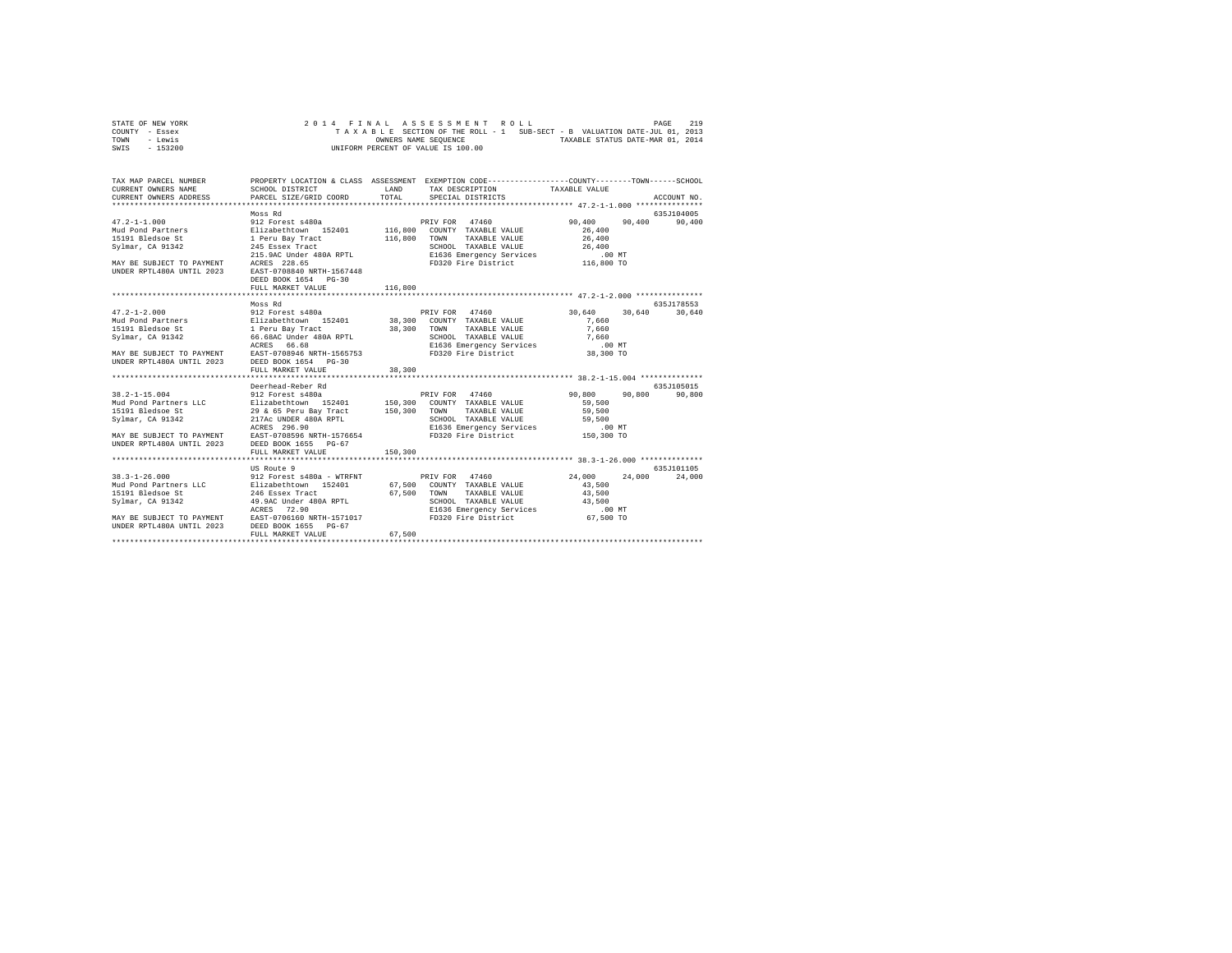| STATE OF NEW YORK | 2014 FINAL ASSESSMENT ROLL                                               | 219<br>PAGE                      |
|-------------------|--------------------------------------------------------------------------|----------------------------------|
| COUNTY - Essex    | TAXABLE SECTION OF THE ROLL - 1 SUB-SECT - B VALUATION DATE-JUL 01, 2013 |                                  |
| TOWN<br>- Lewis   | OWNERS NAME SEOUENCE                                                     | TAXABLE STATUS DATE-MAR 01, 2014 |
| $-153200$<br>SWIS | UNIFORM PERCENT OF VALUE IS 100.00                                       |                                  |

| TAX MAP PARCEL NUMBER | PROPERTY LOCATION & CLASS ASSESSMENT EXEMPTION CODE----------------COUNTY-------TOWN------SCHOOL                                                                                                                                                                    |         |  |             |
|-----------------------|---------------------------------------------------------------------------------------------------------------------------------------------------------------------------------------------------------------------------------------------------------------------|---------|--|-------------|
|                       |                                                                                                                                                                                                                                                                     |         |  |             |
|                       | Moss Rd                                                                                                                                                                                                                                                             |         |  | 635J104005  |
|                       |                                                                                                                                                                                                                                                                     |         |  |             |
|                       |                                                                                                                                                                                                                                                                     |         |  |             |
|                       | Moss Rd                                                                                                                                                                                                                                                             |         |  | 635J178553  |
|                       |                                                                                                                                                                                                                                                                     |         |  |             |
|                       |                                                                                                                                                                                                                                                                     |         |  |             |
|                       | Deerhead-Reber Rd                                                                                                                                                                                                                                                   |         |  | 635.7105015 |
|                       | 38.2-1-15.004<br>90,800<br>90,800<br>90,800<br>90,800<br>90,800<br>1912 Forest a480a<br>1912 Forest a480a<br>1912 Forest and 152401 150,300 CONNY TAXABLE VALUE 59,500<br>190,800<br>190,800<br>190,800<br>190,800<br>190,800<br>190,800<br>19<br>FULL MARKET VALUE | 150,300 |  |             |
|                       |                                                                                                                                                                                                                                                                     |         |  |             |
|                       | 13.3-1-26.000 US Route 9<br>38.3-1-26.000 US Route 9<br>39.3-1-26.000 COUNTH-1510105<br>24.000 24,000 24,000 24,000 24,000 24,000 24,000 24,000 24,000 24,000 24,000 24,000 24,000 24,000 24,000 24,000 24,000 24,000 24,000 24,000                                 |         |  |             |
|                       |                                                                                                                                                                                                                                                                     |         |  |             |
|                       |                                                                                                                                                                                                                                                                     |         |  |             |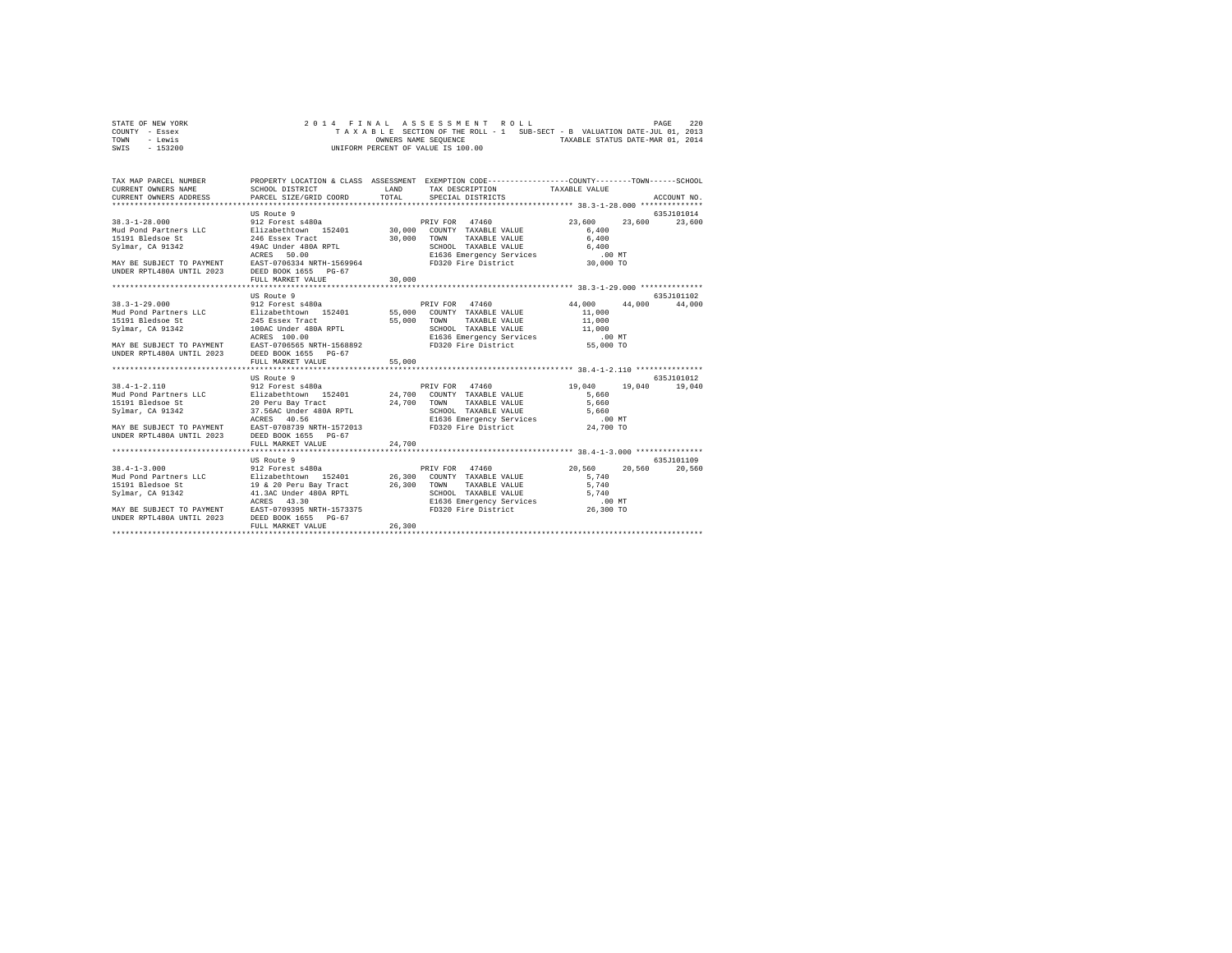| STATE OF NEW YORK |  |  |  | 2014 FINAL ASSESSMENT ROLL         |  |  |                                                                          |                                  | PAGE | 220 |
|-------------------|--|--|--|------------------------------------|--|--|--------------------------------------------------------------------------|----------------------------------|------|-----|
| COUNTY - Essex    |  |  |  |                                    |  |  | TAXABLE SECTION OF THE ROLL - 1 SUB-SECT - B VALUATION DATE-JUL 01, 2013 |                                  |      |     |
| TOWN<br>- Lewis   |  |  |  | OWNERS NAME SEOUENCE               |  |  |                                                                          | TAXABLE STATUS DATE-MAR 01, 2014 |      |     |
| - 153200<br>SWIS  |  |  |  | UNIFORM PERCENT OF VALUE IS 100.00 |  |  |                                                                          |                                  |      |     |

| TAX MAP PARCEL NUMBER<br>CURRENT OWNERS NAME<br>CURRENT OWNERS ADDRESS PARCEL SIZE/GRID COORD                                                                                                                                                                                                                     | SCHOOL DISTRICT                                                                                                                                                                                          | LAND<br>TOTAL    | PROPERTY LOCATION & CLASS ASSESSMENT EXEMPTION CODE----------------COUNTY-------TOWN------SCHOOL<br>TAX DESCRIPTION TAXABLE VALUE<br>SPECIAL DISTRICTS          |                                                                    | ACCOUNT NO.                           |
|-------------------------------------------------------------------------------------------------------------------------------------------------------------------------------------------------------------------------------------------------------------------------------------------------------------------|----------------------------------------------------------------------------------------------------------------------------------------------------------------------------------------------------------|------------------|-----------------------------------------------------------------------------------------------------------------------------------------------------------------|--------------------------------------------------------------------|---------------------------------------|
| $38.3 - 1 - 28.000$<br>Svlmar, CA 91342<br>MAY BE SUBJECT TO PAYMENT EAST-0706334 NRTH-1569964 FD320 Fire District<br>UNDER RPTL480A UNTIL 2023 DEED BOOK 1655 PG-67                                                                                                                                              | US Route 9<br>912 Forest s480a<br>49AC Under 480A RPTL<br>ACRES<br>50.00<br>FULL MARKET VALUE                                                                                                            | 30,000           | PRIV FOR 47460<br>TAXABLE VALUE 6,400<br>CHOOL TAXABLE VALUE<br>E1636 Emergency Services 6,400<br>FD320 Fire District 30,000 TO                                 | 23,600<br>6,400                                                    | 635J101014<br>23,600<br>23,600        |
|                                                                                                                                                                                                                                                                                                                   |                                                                                                                                                                                                          |                  |                                                                                                                                                                 |                                                                    |                                       |
|                                                                                                                                                                                                                                                                                                                   | US Route 9                                                                                                                                                                                               |                  |                                                                                                                                                                 |                                                                    | 635.7101102                           |
| $38.3 - 1 - 29.000$<br>Mud Pond Partners LLC and Elizabethtown 152401 55,000 COUNTY TAXABLE VALUE<br>15191 Bledsoe St<br>Svlmar, CA 91342<br>MAY BE SUBJECT TO PAYMENT<br>UNDER RPTL480A UNTIL 2023<br>$38.4 - 1 - 2.110$                                                                                         | 912 Forest s480a<br>245 Essex Tract<br>100AC Under 480A RPTL<br>ACRES 100.00<br>ACRES 100.00<br>EAST-0706565 NRTH-1568892<br>DEED BOOK 1655 PG-67<br>FULL MARKET VALUE<br>US Route 9<br>912 Forest s480a | 55,000<br>55,000 | PRIV FOR 47460<br>TOWN<br>TAXABLE VALUE<br>SCHOOL TAXABLE VALUE 11,000<br>E1636 Emergency Services 10,000 MT<br>FD320 Fire District 55,000 TO<br>PRIV FOR 47460 | 44,000 44,000<br>11,000<br>11,000<br>19,040<br>5,660               | 44,000<br>635J101012<br>19,040 19,040 |
| Not be a set to the set of the set of the set of the set of the set of the set of the set of the set of the set of the set of the set of the set of the set of the set of the set of the set of the set of the set of the set<br>MAY BE SUBJECT TO PAYMENT EAST-0708739 NRTH-1572013<br>UNDER RPTL480A UNTIL 2023 | DEED BOOK 1655 PG-67<br>FULL MARKET VALUE<br>***************************                                                                                                                                 | 24,700           | FD320 Fire District 24,700 TO                                                                                                                                   | 5,660<br>5,660                                                     |                                       |
| $38.4 - 1 - 3.000$<br>MAY BE SUBJECT TO PAYMENT EAST-0709395 NRTH-1573375<br>UNDER RPTL480A UNTIL 2023 DEED BOOK 1655 PG-67                                                                                                                                                                                       | US Route 9<br>912 Forest s480a<br>ACRES<br>43.30<br>FULL MARKET VALUE                                                                                                                                    | 26,300           | PRIV FOR 47460<br>SCHOOL TAXABLE VALUE<br>E1636 Emergency Services<br>FD320 Fire District                                                                       | 20,560<br>20.560<br>5,740<br>5,740<br>5,740<br>.00 MT<br>26,300 TO | 635.7101109<br>20,560                 |
|                                                                                                                                                                                                                                                                                                                   |                                                                                                                                                                                                          |                  |                                                                                                                                                                 |                                                                    |                                       |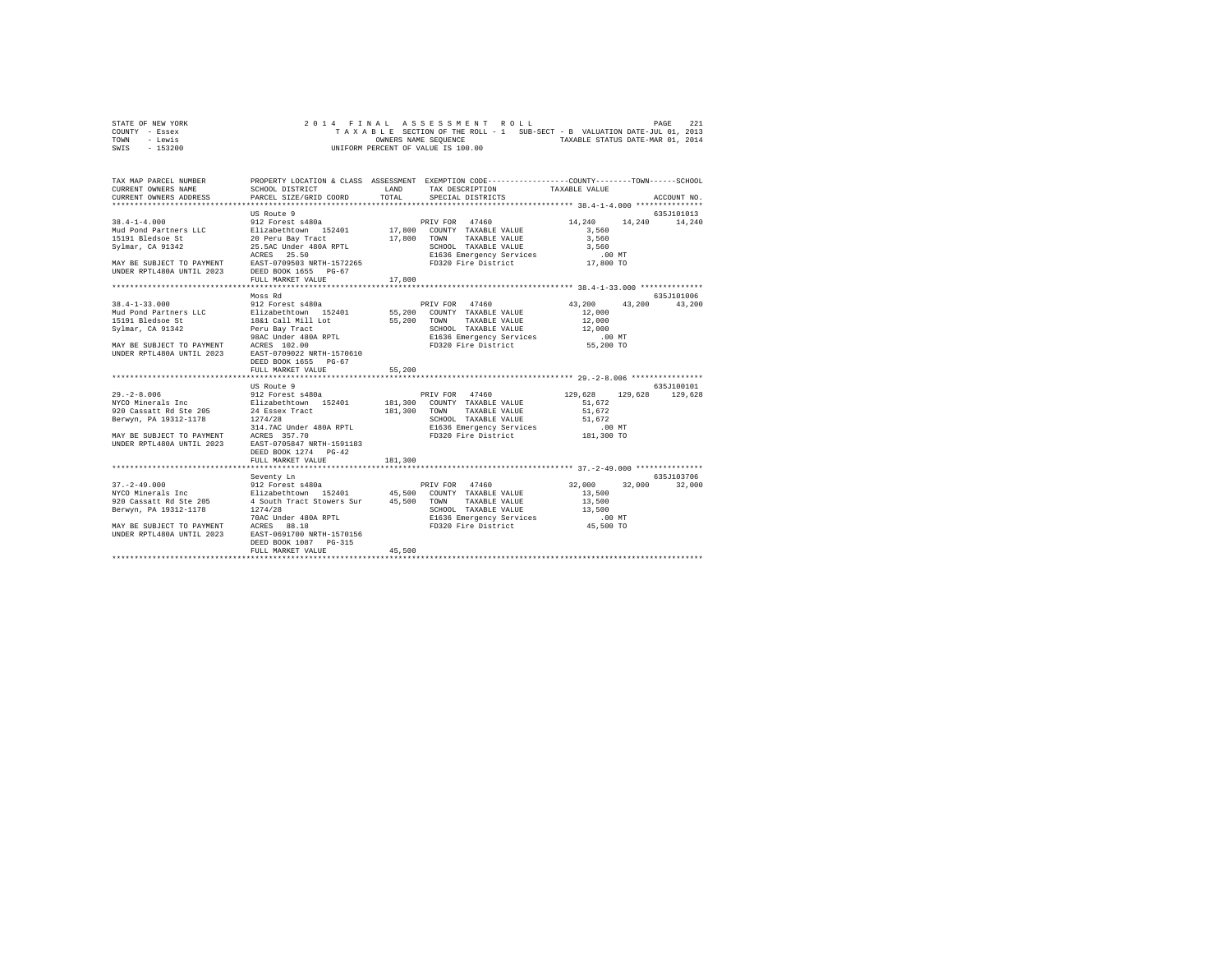| STATE OF NEW YORK |  |  | 2014 FINAL ASSESSMENT ROLL         |  |  |  |                                                                          | PAGE | 221 |
|-------------------|--|--|------------------------------------|--|--|--|--------------------------------------------------------------------------|------|-----|
| COUNTY - Essex    |  |  |                                    |  |  |  | TAXABLE SECTION OF THE ROLL - 1 SUB-SECT - B VALUATION DATE-JUL 01, 2013 |      |     |
| TOWN<br>- Lewis   |  |  | OWNERS NAME SEOUENCE               |  |  |  | TAXABLE STATUS DATE-MAR 01, 2014                                         |      |     |
| - 153200<br>SWIS  |  |  | UNIFORM PERCENT OF VALUE IS 100.00 |  |  |  |                                                                          |      |     |

| TAX MAP PARCEL NUMBER<br>CURRENT OWNERS NAME                                                                                                                                                                                                                                                                                                                                                                                                                | SCHOOL DISTRICT                                        | <b>T.AND</b> | PROPERTY LOCATION & CLASS ASSESSMENT EXEMPTION CODE---------------COUNTY-------TOWN------SCHOOL<br>TAX DESCRIPTION TAXABLE VALUE |                      |               |
|-------------------------------------------------------------------------------------------------------------------------------------------------------------------------------------------------------------------------------------------------------------------------------------------------------------------------------------------------------------------------------------------------------------------------------------------------------------|--------------------------------------------------------|--------------|----------------------------------------------------------------------------------------------------------------------------------|----------------------|---------------|
| CURRENT OWNERS ADDRESS                                                                                                                                                                                                                                                                                                                                                                                                                                      | PARCEL SIZE/GRID COORD                                 | TOTAL        | SPECIAL DISTRICTS                                                                                                                |                      | ACCOUNT NO.   |
|                                                                                                                                                                                                                                                                                                                                                                                                                                                             |                                                        |              |                                                                                                                                  |                      |               |
|                                                                                                                                                                                                                                                                                                                                                                                                                                                             | US Route 9                                             |              |                                                                                                                                  |                      | 635J101013    |
| $38.4 - 1 - 4.000$                                                                                                                                                                                                                                                                                                                                                                                                                                          | 912 Forest s480a                                       |              | PRIV FOR 47460                                                                                                                   | 14,240               | 14,240 14,240 |
| -so-under a state of the state of the state of the control of the state of the state of the state of the state of the state of the state of the state of the state of the state of the state of the state of the state of the                                                                                                                                                                                                                               |                                                        |              |                                                                                                                                  | 3,560                |               |
|                                                                                                                                                                                                                                                                                                                                                                                                                                                             |                                                        |              |                                                                                                                                  | 3,560                |               |
|                                                                                                                                                                                                                                                                                                                                                                                                                                                             |                                                        |              |                                                                                                                                  |                      |               |
|                                                                                                                                                                                                                                                                                                                                                                                                                                                             |                                                        |              |                                                                                                                                  |                      |               |
|                                                                                                                                                                                                                                                                                                                                                                                                                                                             |                                                        |              |                                                                                                                                  |                      |               |
| $\begin{tabular}{lllllllllllll} & $\,\,\cdots\,\, \cdots\,\, \cdots\,\, & $\,\,\,\cdots\,\, & $\,\,\,\cdots\,\, & $\,\,\,\cdots\,\, & $\,\,\,\cdots\,\, & $\,\,\,\cdots\,\, & $\,\,\,\cdots\,\, & $\,\,\,\cdots\,\, & $\,\,\,\cdots\,\, & $\,\,\,\cdots\,\, & $\,\,\,\cdots\,\, & $\,\,\,\cdots\,\, & $\,\,\,\cdots\,\, & $\,\,\,\cdots\,\, & $\,\,\,\cdots\,\, & $\,\,\,\cdots\,\, & $\,\,\,\cdots\,\, & $\,\,\,\cdots\,\, & $\,\,\,\cdots\,\, & $\,\,\,\$ |                                                        |              |                                                                                                                                  |                      |               |
|                                                                                                                                                                                                                                                                                                                                                                                                                                                             |                                                        |              |                                                                                                                                  |                      |               |
|                                                                                                                                                                                                                                                                                                                                                                                                                                                             | Moss Rd                                                |              |                                                                                                                                  |                      | 635J101006    |
| 38.4-1-33.000 MOS RIV FOR 47460 MOS RIV POR 47460 MAID PATH POR ATTURE IS A SAMPLE POR SALEM MAID PART OF THE SALEM STRUCK AND PART OF THE SALEM STRUCK OF THE SALEM STRUCK AND TRISPER SALEM STRUCK AND TRISPER SALEM STRUCK                                                                                                                                                                                                                               |                                                        |              |                                                                                                                                  | 43,200 43,200 43,200 |               |
|                                                                                                                                                                                                                                                                                                                                                                                                                                                             |                                                        |              |                                                                                                                                  |                      |               |
|                                                                                                                                                                                                                                                                                                                                                                                                                                                             |                                                        |              |                                                                                                                                  |                      |               |
|                                                                                                                                                                                                                                                                                                                                                                                                                                                             |                                                        |              |                                                                                                                                  |                      |               |
|                                                                                                                                                                                                                                                                                                                                                                                                                                                             |                                                        |              |                                                                                                                                  |                      |               |
| MAY BE SUBJECT TO PAYMENT ACRES 102.00<br>UNDER RPTL480A UNTIL 2023 EAST-0709022 NRTH-1570610                                                                                                                                                                                                                                                                                                                                                               |                                                        |              |                                                                                                                                  |                      |               |
|                                                                                                                                                                                                                                                                                                                                                                                                                                                             |                                                        |              |                                                                                                                                  |                      |               |
|                                                                                                                                                                                                                                                                                                                                                                                                                                                             | DEED BOOK 1655 PG-67<br>FULL MARKET VALUE              | 55,200       |                                                                                                                                  |                      |               |
|                                                                                                                                                                                                                                                                                                                                                                                                                                                             |                                                        |              |                                                                                                                                  |                      |               |
|                                                                                                                                                                                                                                                                                                                                                                                                                                                             | US Route 9                                             |              |                                                                                                                                  |                      | 635J100101    |
|                                                                                                                                                                                                                                                                                                                                                                                                                                                             |                                                        |              | PRIV FOR 47460 129,628 129,628                                                                                                   |                      | 129,628       |
|                                                                                                                                                                                                                                                                                                                                                                                                                                                             |                                                        |              |                                                                                                                                  |                      |               |
|                                                                                                                                                                                                                                                                                                                                                                                                                                                             |                                                        |              |                                                                                                                                  |                      |               |
|                                                                                                                                                                                                                                                                                                                                                                                                                                                             |                                                        |              | SCHOOL TAXABLE VALUE<br>E1636 Emergency Services 51,672<br>FD320 Fire District 181,300 TO                                        |                      |               |
|                                                                                                                                                                                                                                                                                                                                                                                                                                                             |                                                        |              |                                                                                                                                  |                      |               |
| MAY BE SUBJECT TO PAYMENT ACRES 357.70                                                                                                                                                                                                                                                                                                                                                                                                                      |                                                        |              |                                                                                                                                  |                      |               |
| UNDER RPTL480A UNTIL 2023 EAST-0705847 NRTH-1591183                                                                                                                                                                                                                                                                                                                                                                                                         |                                                        |              |                                                                                                                                  |                      |               |
|                                                                                                                                                                                                                                                                                                                                                                                                                                                             | DEED BOOK 1274 PG-42                                   |              |                                                                                                                                  |                      |               |
|                                                                                                                                                                                                                                                                                                                                                                                                                                                             | FULL MARKET VALUE                                      | 181,300      |                                                                                                                                  |                      |               |
|                                                                                                                                                                                                                                                                                                                                                                                                                                                             |                                                        |              |                                                                                                                                  |                      | 635.7103706   |
|                                                                                                                                                                                                                                                                                                                                                                                                                                                             | Seventy Ln                                             |              |                                                                                                                                  | 32,000               | 32,000 32,000 |
|                                                                                                                                                                                                                                                                                                                                                                                                                                                             |                                                        |              |                                                                                                                                  | 13,500               |               |
| 920 Cassatt Rd Ste 205                                                                                                                                                                                                                                                                                                                                                                                                                                      |                                                        |              | TAXABLE VALUE                                                                                                                    | 13,500               |               |
|                                                                                                                                                                                                                                                                                                                                                                                                                                                             | 4 South Tract Stowers Sur 45,500 TOWN<br>1274/28 SCHOO |              |                                                                                                                                  |                      |               |
| ------, (2014-11/0 1274/28 ----- 1.000 1274/28 ----- 1.000 13,500 13,500 1274/28 5CHOOL TAXABLE VALUE 15,500 1<br>200 1000 1000 1000 1000 1000 125 8080 1280 13,500 13,500 13,500 13,500 13,500 13,500 13,500 13,500 13,500 13,50                                                                                                                                                                                                                           |                                                        |              |                                                                                                                                  |                      |               |
|                                                                                                                                                                                                                                                                                                                                                                                                                                                             |                                                        |              |                                                                                                                                  |                      |               |
|                                                                                                                                                                                                                                                                                                                                                                                                                                                             |                                                        |              |                                                                                                                                  |                      |               |
|                                                                                                                                                                                                                                                                                                                                                                                                                                                             | DEED BOOK 1087 PG-315                                  |              |                                                                                                                                  |                      |               |
|                                                                                                                                                                                                                                                                                                                                                                                                                                                             | FULL MARKET VALUE                                      | 45,500       |                                                                                                                                  |                      |               |
|                                                                                                                                                                                                                                                                                                                                                                                                                                                             |                                                        |              |                                                                                                                                  |                      |               |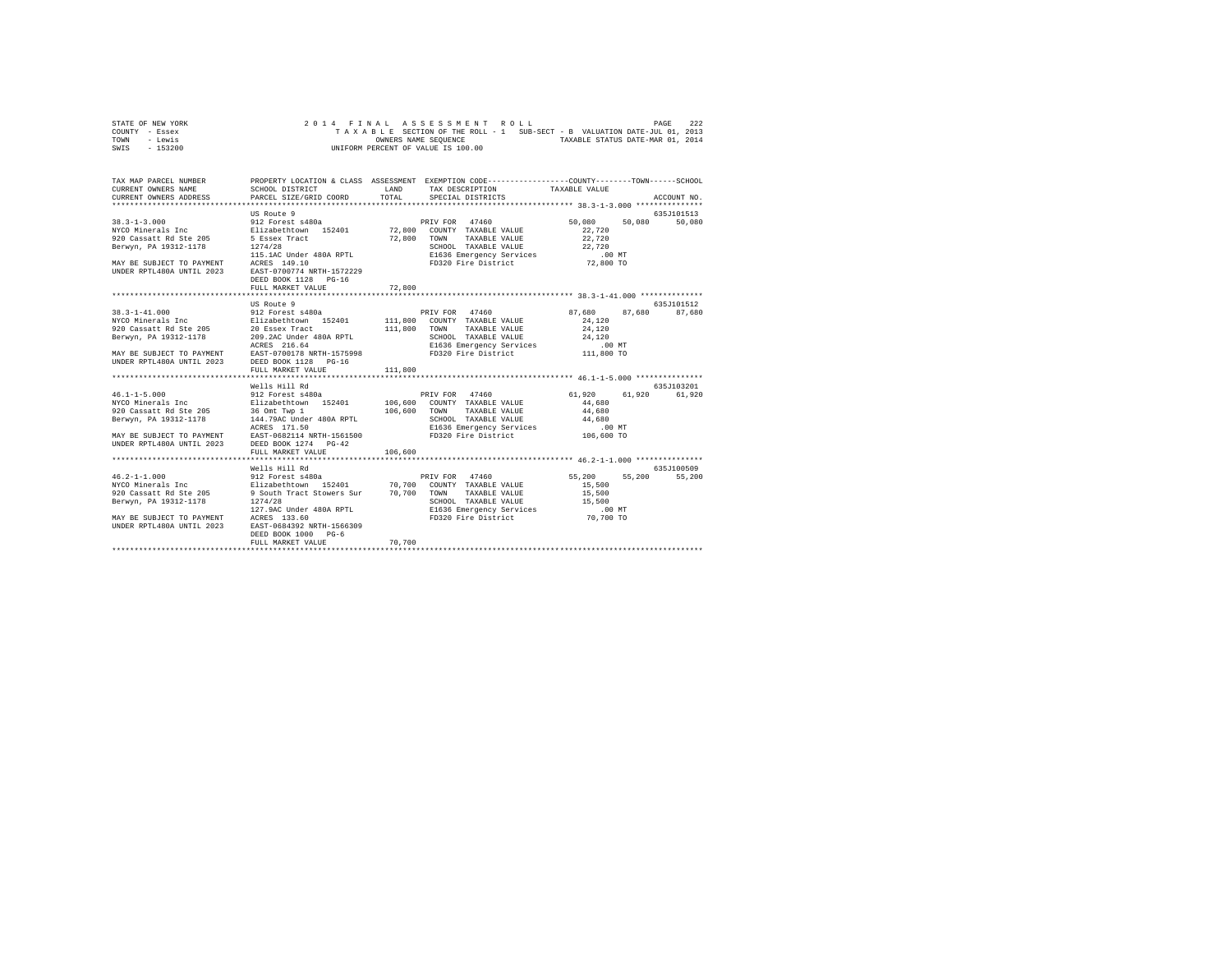| STATE OF NEW YORK | 2014 FINAL ASSESSMENT ROLL                                               | 222<br>PAGE                      |
|-------------------|--------------------------------------------------------------------------|----------------------------------|
| COUNTY - Essex    | TAXABLE SECTION OF THE ROLL - 1 SUB-SECT - B VALUATION DATE-JUL 01, 2013 |                                  |
| TOWN<br>- Lewis   | OWNERS NAME SEOUENCE                                                     | TAXABLE STATUS DATE-MAR 01, 2014 |
| - 153200<br>SWIS  | UNIFORM PERCENT OF VALUE IS 100.00                                       |                                  |

| TAX MAP PARCEL NUMBER<br>CURRENT OWNERS NAME<br>CURRENT OWNERS ADDRESS PARCEL SIZE/GRID COORD                                                                                                        | SCHOOL DISTRICT                                                                                                                                                                                         | LAND<br>TOTAL      | PROPERTY LOCATION & CLASS ASSESSMENT EXEMPTION CODE---------------COUNTY-------TOWN------SCHOOL<br>TAX DESCRIPTION TAXABLE VALUE<br>SPECIAL DISTRICTS                       |                                                | ACCOUNT NO.           |
|------------------------------------------------------------------------------------------------------------------------------------------------------------------------------------------------------|---------------------------------------------------------------------------------------------------------------------------------------------------------------------------------------------------------|--------------------|-----------------------------------------------------------------------------------------------------------------------------------------------------------------------------|------------------------------------------------|-----------------------|
| $38.3 - 1 - 3.000$<br>NYCO Minerals Inc<br>920 Cassatt Rd Ste 205<br>Berwyn, PA 19312-1178<br>MAY BE SUBJECT TO PAYMENT ACRES 149.10<br>UNDER RPTL480A UNTIL 2023 EAST-0700774 NRTH-1572229          | US Route 9<br>912 Forest s480a<br>Elizabethtown 152401 72,800<br>5 Essex Tract 72,800<br>1274/28<br>115.1AC Under 480A RPTL<br>DEED BOOK 1128 PG-16<br>FULL MARKET VALUE                                | 72,800             | PRIV FOR<br>47460<br>COUNTY TAXABLE VALUE<br>TOWN<br>TAXABLE VALUE<br>SCHOOL TAXABLE VALUE                                                                                  | 50,080<br>50,080<br>22,720<br>22,720<br>22,720 | 635.7101513<br>50,080 |
|                                                                                                                                                                                                      | US Route 9                                                                                                                                                                                              |                    |                                                                                                                                                                             |                                                | 635J101512            |
| $38.3 - 1 - 41.000$<br>NYCO Minerals Inc<br>920 Cassatt Rd Ste 205<br>Berwyn, PA 19312-1178<br>MAY BE SUBJECT TO PAYMENT EAST-0700178 NRTH-1575998<br>UNDER RPTL480A UNTIL 2023 DEED BOOK 1128 PG-16 | 912 Forest s480a<br>Elizabethtown 152401<br>20 Essex Tract<br>209.2AC Under 480A RPTL<br>ACRES 216.64<br>FULL MARKET VALUE                                                                              | 111,800<br>111,800 | PRIV FOR 47460<br>111,800 COUNTY TAXABLE VALUE<br>TOWN<br>TAXABLE VALUE<br>SCHOOL TAXABLE VALUE 24,120<br>E1636 Emergency Services .00 MT<br>FD320 Fire District 111,800 TO | 87,680<br>87.680<br>24,120<br>24,120           | 87,680                |
|                                                                                                                                                                                                      |                                                                                                                                                                                                         |                    |                                                                                                                                                                             |                                                |                       |
| $46.1 - 1 - 5.000$<br>NYCO Minerals Inc<br>920 Cassatt Rd Ste 205<br>Berwyn, PA 19312-1178<br>MAY BE SUBJECT TO PAYMENT EAST-0682114 NRTH-1561500 FD320 Fire District<br>UNDER RPTL480A UNTIL 2023   | Wells Hill Rd<br>36 Omt Twp 1<br>144.79AC Under 480A RPTL<br>ACRES 171.50<br>DEED BOOK 1274 PG-42                                                                                                       | 106,600            | TOWN<br>TAXABLE VALUE<br>SCHOOL TAXABLE VALUE 44,680<br>Sundom induced in the SI636 Emergency Services<br>E1636 Emergency Services 106,600 TO                               | 61,920<br>61,920<br>44,680<br>44,680           | 635J103201<br>61,920  |
|                                                                                                                                                                                                      | FULL MARKET VALUE                                                                                                                                                                                       | 106,600            |                                                                                                                                                                             |                                                |                       |
|                                                                                                                                                                                                      | Wells Hill Rd                                                                                                                                                                                           |                    |                                                                                                                                                                             |                                                | 635J100509            |
| $46.2 - 1 - 1.000$<br>NYCO Minerals Inc<br>920 Cassatt Rd Ste 205<br>Berwyn, PA 19312-1178<br>MAY BE SUBJECT TO PAYMENT ACRES 133.60<br>UNDER RPTL480A UNTIL 2023                                    | 912 Forest s480a<br>Elizabethtown 152401 70,700<br>9 South Tract Stowers Sur 70,700<br>1274/28<br>127.9AC Under 480A RPTL<br>EAST-0684392 NRTH-1566309<br>DEED BOOK 1000<br>$PG-6$<br>FULL MARKET VALUE | 70,700             | PRIV FOR<br>47460<br>COUNTY TAXABLE VALUE<br>TOWN<br>TAXABLE VALUE<br>SCHOOL TAXABLE VALUE 15,500<br>E1636 Emergency Services 100 MT<br>FD320 Fire District 70,700 TO       | 55,200<br>55,200<br>15,500<br>15,500           | 55,200                |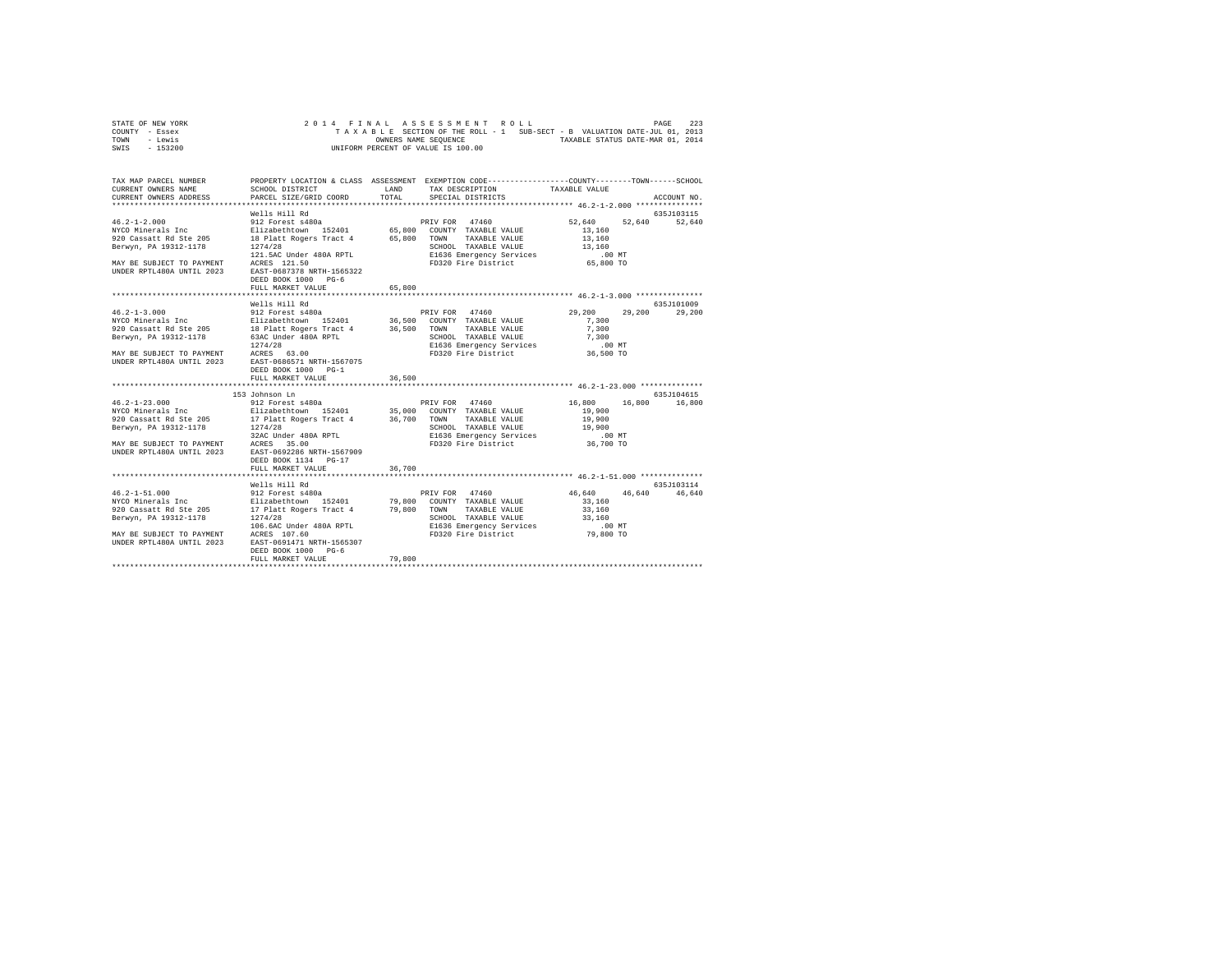| STATE OF NEW YORK |  |  |  | 2014 FINAL ASSESSMENT ROLL         |  |  |  |                                                                          | PAGE | 223 |
|-------------------|--|--|--|------------------------------------|--|--|--|--------------------------------------------------------------------------|------|-----|
| COUNTY - Essex    |  |  |  |                                    |  |  |  | TAXABLE SECTION OF THE ROLL - 1 SUB-SECT - B VALUATION DATE-JUL 01, 2013 |      |     |
| TOWN<br>- Lewis   |  |  |  | OWNERS NAME SEOUENCE               |  |  |  | TAXABLE STATUS DATE-MAR 01, 2014                                         |      |     |
| $-153200$<br>SWIS |  |  |  | UNIFORM PERCENT OF VALUE IS 100.00 |  |  |  |                                                                          |      |     |

| TAX MAP PARCEL NUMBER<br>CURRENT OWNERS NAME<br>CURRENT OWNERS ADDRESS | SCHOOL DISTRICT<br>PARCEL SIZE/GRID COORD                                                                                                                                                                                                                                                                                                                             | <b>T.AND</b><br>TOTAL | PROPERTY LOCATION & CLASS ASSESSMENT EXEMPTION CODE----------------COUNTY-------TOWN------SCHOOL<br>TAX DESCRIPTION<br>SPECIAL DISTRICTS | TAXABLE VALUE                                                                         | ACCOUNT NO.                 |
|------------------------------------------------------------------------|-----------------------------------------------------------------------------------------------------------------------------------------------------------------------------------------------------------------------------------------------------------------------------------------------------------------------------------------------------------------------|-----------------------|------------------------------------------------------------------------------------------------------------------------------------------|---------------------------------------------------------------------------------------|-----------------------------|
| UNDER RPTL480A UNTIL 2023 EAST-0687378 NRTH-1565322                    | 46.2-1-2.000<br>Wells Hill Rd<br>212 Porest s480a<br>22 Porest s480a<br>22 Porest s480a<br>220 Cassatt Rd Ste 205<br>220 Cassatt Rd Ste 205<br>22 Party Party Property Company TAXABLE VALUE<br>221 Cassatt Rd Ste 205<br>2214/28<br>2214/28<br>2214<br>121.5AC Under 480A RPTL<br>MAY BE SUBJECT TO PAYMENT ACRES 121.50<br>DEED BOOK 1000 PG-6<br>FULL MARKET VALUE | 65,800                | SCHOOL TAXABLE VALUE<br>E1636 Emergency Services<br>FD320 Fire District                                                                  | 52,640 52,640 52,640<br>13,160<br>13,160<br>13,160<br>$.00$ MT<br>⊥س ∪ں.<br>65,800 TO | 635J103115                  |
|                                                                        | Wells Hill Rd<br>DEED BOOK 1000 PG-1<br>FULL MARKET VALUE                                                                                                                                                                                                                                                                                                             | 36,500                | SCHOOL TAXABLE VALUE 7,300<br>E1636 Emergency Services 6.00 MT<br>FD320 Fire District 36,500 TO                                          | 29,200<br>7,300<br>7,300                                                              | 635J101009<br>29,200 29,200 |
|                                                                        | 153 Johnson Ln<br>ACCORDINATE AND THE SERVICE IN THE SERVICE OF THE SUITE OF THE SUITE SERVICE SERVICE SERVICE SERVICE SERVICE SERVICE SERVICE SERVICE SERVICE SERVICE SERVICE SERVICE SERVICE SERVICE SERVICE SERVICE SERVICE SERVICE SERVICE S<br>DEED BOOK 1134 PG-17<br>FULL MARKET VALUE                                                                         | 36,700                | E1636 Emergency Services<br>FD320 Fire District 36,700 TO                                                                                | 16,800 16,800 16,800<br>19,900<br>19,900<br>19,900                                    | 635J104615                  |
| 46.2-1-51.000<br>NYCO Minerals Inc                                     | Wells Hill Rd<br>ANO MINERAL AIR SERVICES AND A SUITABLE IN THE SERVICE SERVICE SERVICE SERVICE SERVICE SERVICE SERVICE SERVICE<br>BETWYN, PA 19312-1178 (1966) 200 DE SERVICE SERVICE SERVICE SERVICE SERVICE SERVICE SERVICE SERVICE SERVICES<br><br>DEED BOOK 1000 PG-6                                                                                            | 79,800                |                                                                                                                                          | 46,640 46,640 46,640<br>33,160<br>33,160<br>33,160<br>.00MT<br>79,800 TO              | 635J103114                  |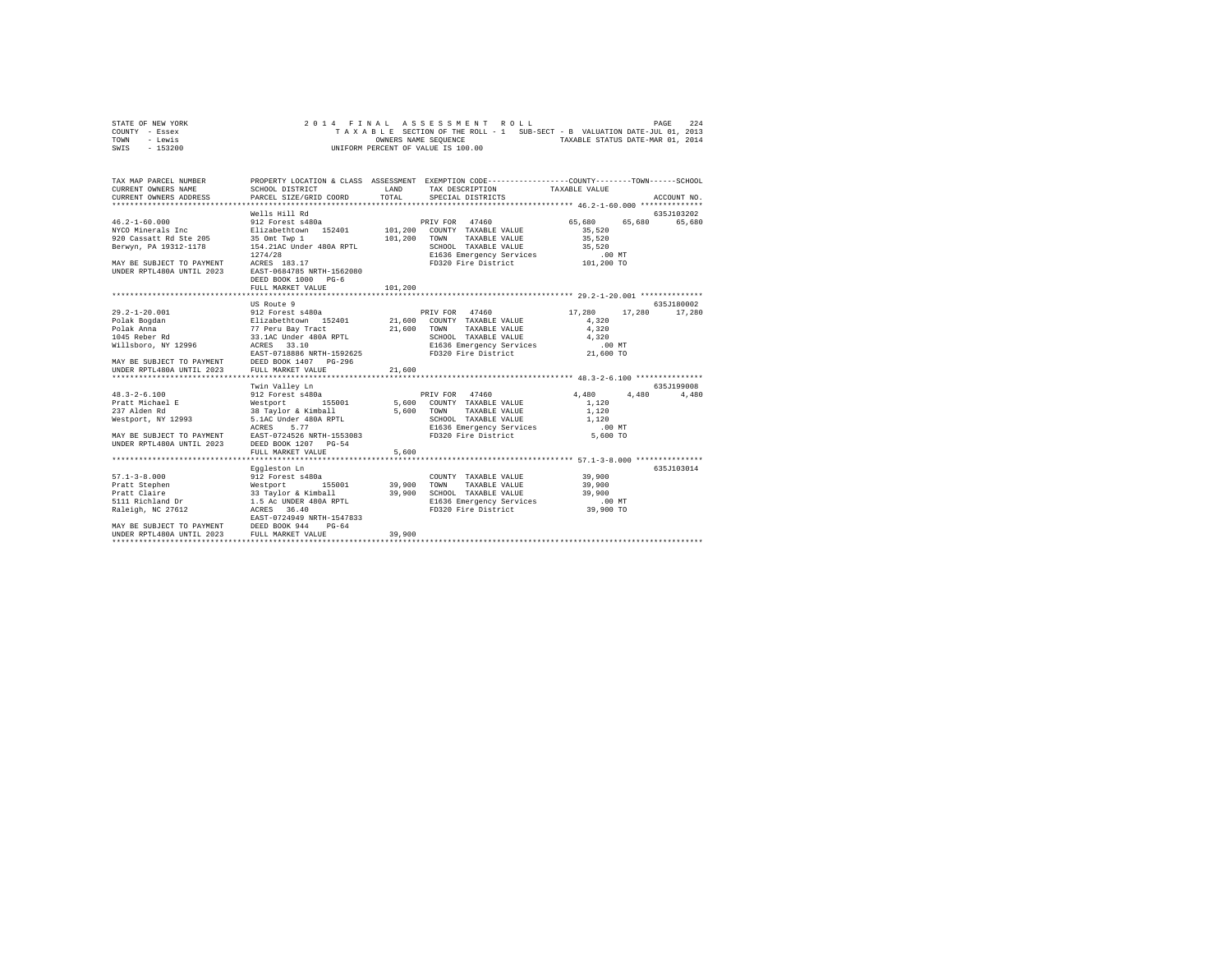| STATE OF NEW YORK |  |  |  |  | 2014 FINAL ASSESSMENT ROLL         |  |  |  |  |                                                                          | PAGE | 224 |
|-------------------|--|--|--|--|------------------------------------|--|--|--|--|--------------------------------------------------------------------------|------|-----|
| COUNTY - Essex    |  |  |  |  |                                    |  |  |  |  | TAXABLE SECTION OF THE ROLL - 1 SUB-SECT - B VALUATION DATE-JUL 01, 2013 |      |     |
| TOWN<br>- Lewis   |  |  |  |  | OWNERS NAME SEOUENCE               |  |  |  |  | TAXABLE STATUS DATE-MAR 01, 2014                                         |      |     |
| $-153200$<br>SWIS |  |  |  |  | UNIFORM PERCENT OF VALUE IS 100.00 |  |  |  |  |                                                                          |      |     |

| TAX MAP PARCEL NUMBER                                                                                                                                                                                                                                                                                                                                                                                                                                                                                                                                                                                                                                                                                     |                                         |              | PROPERTY LOCATION & CLASS ASSESSMENT EXEMPTION CODE---------------COUNTY-------TOWN------SCHOOL                                                                |                                                     |               |
|-----------------------------------------------------------------------------------------------------------------------------------------------------------------------------------------------------------------------------------------------------------------------------------------------------------------------------------------------------------------------------------------------------------------------------------------------------------------------------------------------------------------------------------------------------------------------------------------------------------------------------------------------------------------------------------------------------------|-----------------------------------------|--------------|----------------------------------------------------------------------------------------------------------------------------------------------------------------|-----------------------------------------------------|---------------|
|                                                                                                                                                                                                                                                                                                                                                                                                                                                                                                                                                                                                                                                                                                           |                                         |              |                                                                                                                                                                |                                                     |               |
|                                                                                                                                                                                                                                                                                                                                                                                                                                                                                                                                                                                                                                                                                                           | Wells Hill Rd                           |              |                                                                                                                                                                |                                                     | 635J103202    |
| $46.2 - 1 - 60.000$<br>NYCO Minerals Inc 511zabethtown 152401 101,200 COUNTY TAXABLE VALUE<br>920 Cassatt Rd Ste 205 35 Omt Twp 1<br>Berwyn, PA 19312-1178 154.21AC Under 480A RPTL                                                                                                                                                                                                                                                                                                                                                                                                                                                                                                                       | 912 Forest s480a<br>DEED BOOK 1000 PG-6 | 101,200 TOWN | PRIV FOR 47460<br>TAXABLE VALUE                                                                                                                                | 65,680<br>35,520<br>35,520                          | 65,680 65,680 |
|                                                                                                                                                                                                                                                                                                                                                                                                                                                                                                                                                                                                                                                                                                           | FULL MARKET VALUE                       | 101,200      |                                                                                                                                                                |                                                     |               |
|                                                                                                                                                                                                                                                                                                                                                                                                                                                                                                                                                                                                                                                                                                           |                                         |              |                                                                                                                                                                |                                                     |               |
|                                                                                                                                                                                                                                                                                                                                                                                                                                                                                                                                                                                                                                                                                                           |                                         |              |                                                                                                                                                                |                                                     | 635J180002    |
| $[201a, 12000] \begin{minipage}{0.5cm} \begin{minipage}{0.5cm} \begin{minipage}{0.5cm} \begin{minipage}{0.5cm} \begin{minipage}{0.5cm} \begin{minipage}{0.5cm} \begin{minipage}{0.5cm} \begin{minipage}{0.5cm} \begin{minipage}{0.5cm} \begin{minipage}{0.5cm} \begin{minipage}{0.5cm} \begin{minipage}{0.5cm} \begin{minipage}{0.5cm} \begin{minipage}{0.5cm} \begin{minipage}{0.5cm} \begin{minipage}{0.5cm} \begin{minipage}{0.5cm} \begin{$<br>Polak Anna 1994<br>Polak Anna 1994<br>1045 Reber Rd 1996<br>1994 Reber Rd 1996<br>1994 RGES 33.10<br>1045 Reber Rd 1996<br>1995 RGES 33.10<br>1996 RGES 33.10<br>1999 RGES 33.10<br>1999 RGES 33.10<br>2996 RGES 33.10<br>2996 RGES 33.10<br>2996 RGES |                                         |              | TAXABLE VALUE<br>SCHOOL TAXABLE VALUE 4,320<br>E1636 Emergency Services .00 MT<br>FD320 Fire District 21,600 TO                                                | 17,280<br>4.320<br>4,320                            | 17,280 17,280 |
| UNDER RPTL480A UNTIL 2023                                                                                                                                                                                                                                                                                                                                                                                                                                                                                                                                                                                                                                                                                 | FULL MARKET VALUE                       | 21,600       |                                                                                                                                                                |                                                     |               |
|                                                                                                                                                                                                                                                                                                                                                                                                                                                                                                                                                                                                                                                                                                           |                                         |              |                                                                                                                                                                |                                                     |               |
|                                                                                                                                                                                                                                                                                                                                                                                                                                                                                                                                                                                                                                                                                                           | Twin Valley Ln                          |              |                                                                                                                                                                |                                                     | 635J199008    |
| $48.3 - 2 - 6.100$<br>48.3-2-0.111<br>Pratt Michael E<br>Westport, NY 12993 5.1AC Under 480A RPTL<br>ACRES 5.77<br>MAY BE SUBJECT TO PAYMENT EAST-0724526 NRTH-1553083<br>UNDER RPTL480A UNTIL 2023 DEED BOOK 1207 PG-54                                                                                                                                                                                                                                                                                                                                                                                                                                                                                  | FULL MARKET VALUE                       | 5,600        | PRIV FOR 47460<br>TAXABLE VALUE<br>SCHOOL TAXABLE VALUE 1,120<br>E1636 Emergency Services<br>FD320 Fire District                                               | 4,480 4,480<br>1,120<br>1,120<br>.00 MT<br>5,600 TO | 4,480         |
|                                                                                                                                                                                                                                                                                                                                                                                                                                                                                                                                                                                                                                                                                                           |                                         |              |                                                                                                                                                                |                                                     |               |
| $57.1 - 3 - 8.000$<br>Pratt Stephen Mestport 155001 39,900<br>Pratt Claire 33 Taylor & Kimball 39,900<br>Sill Richland Dr 1 1.5 Ac UNDER 480A RPTL<br>Raleigh, NC 27612 ACRES 36.40<br>EAST-0724949 NRTH-1547833<br>MAY BE SUBJECT TO PAYMENT DEED BOOK 944 PG-64                                                                                                                                                                                                                                                                                                                                                                                                                                         | Eggleston Ln<br>912 Forest s480a        |              | COUNTY TAXABLE VALUE 39,900<br>TAXABLE VALUE 39,900<br>TOWN<br>SCHOOL TAXABLE VALUE 39,900<br>E1636 Emergency Services .00 MT<br>FD320 Fire District 39,900 TO |                                                     | 635J103014    |
| UNDER RPTL480A UNTIL 2023 FULL MARKET VALUE                                                                                                                                                                                                                                                                                                                                                                                                                                                                                                                                                                                                                                                               |                                         | 39,900       |                                                                                                                                                                |                                                     |               |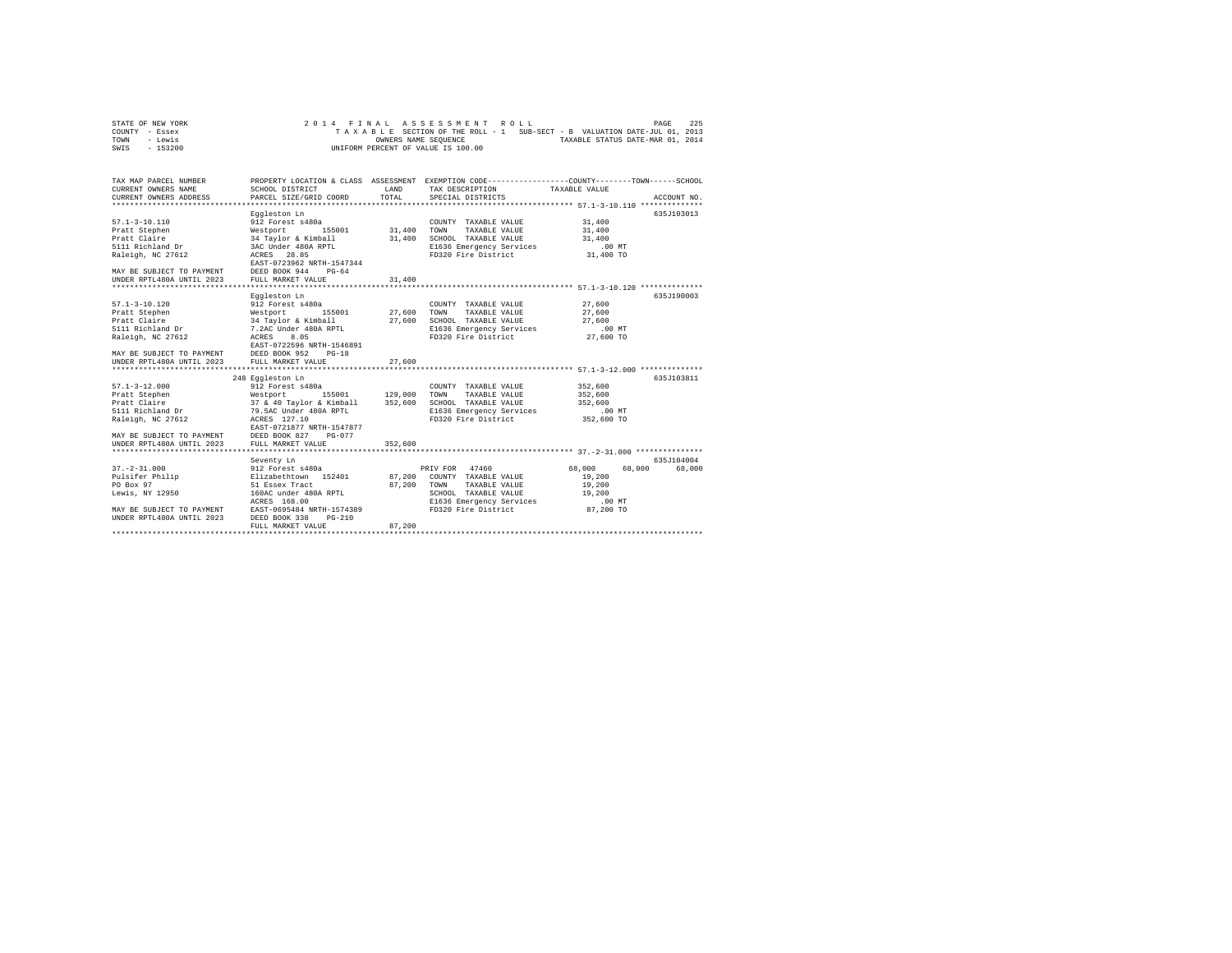| STATE OF NEW YORK |  |  |  | 2014 FINAL ASSESSMENT ROLL                                               |  |  |                                  | PAGE | 225 |
|-------------------|--|--|--|--------------------------------------------------------------------------|--|--|----------------------------------|------|-----|
| COUNTY - Essex    |  |  |  | TAXABLE SECTION OF THE ROLL - 1 SUB-SECT - B VALUATION DATE-JUL 01, 2013 |  |  |                                  |      |     |
| TOWN<br>- Lewis   |  |  |  | OWNERS NAME SEOUENCE                                                     |  |  | TAXABLE STATUS DATE-MAR 01, 2014 |      |     |
| - 153200<br>SWIS  |  |  |  | UNIFORM PERCENT OF VALUE IS 100.00                                       |  |  |                                  |      |     |

| TAX MAP PARCEL NUMBER<br>CURRENT OWNERS NAME                                                                     | SCHOOL DISTRICT                                                                                                                                                                                                                                                     | LAND                    | TAX DESCRIPTION TAXABLE VALUE                                                                                                                    | PROPERTY LOCATION & CLASS ASSESSMENT EXEMPTION CODE---------------COUNTY-------TOWN------SCHOOL |        |
|------------------------------------------------------------------------------------------------------------------|---------------------------------------------------------------------------------------------------------------------------------------------------------------------------------------------------------------------------------------------------------------------|-------------------------|--------------------------------------------------------------------------------------------------------------------------------------------------|-------------------------------------------------------------------------------------------------|--------|
| CURRENT OWNERS ADDRESS                                                                                           | PARCEL SIZE/GRID COORD                                                                                                                                                                                                                                              | TOTAL                   | SPECIAL DISTRICTS                                                                                                                                | ACCOUNT NO.                                                                                     |        |
| $57.1 - 3 - 10.110$<br>Pratt Stephen<br>Pratt Claire<br>5111 Richland Dr<br>Raleigh, NC 27612                    | Eggleston Ln<br>912 Forest s480a<br>155001 31,400<br>Westport<br>34 Taylor & Kimball 31,400<br>3AC Under 480A RPTL 3AC MCRS 28.85<br>EAST-0723962 NRTH-1547344                                                                                                      |                         | COUNTY TAXABLE VALUE<br>TAXABLE VALUE<br>TOWN<br>SCHOOL TAXABLE VALUE 31,400<br>E1636 Emergency Services<br>FD320 Fire District                  | 635J103013<br>31,400<br>31,400<br>.00 MT<br>31,400 TO                                           |        |
| MAY BE SUBJECT TO PAYMENT DEED BOOK 944 PG-64<br>UNDER RPTL480A UNTIL 2023 FULL MARKET VALUE                     |                                                                                                                                                                                                                                                                     | 31,400<br>************* |                                                                                                                                                  | ******************************** 57.1-3-10.120 ***************                                  |        |
| $57.1 - 3 - 10.120$<br>Pratt Stephen<br>Pratt Claire<br>5111 Richland Dr<br>Raleigh, NC 27612 ACRES              | Eggleston Ln<br>912 Forest s480a<br>Westport 155001 27,600<br>34 Taylor & Kimball 27,600<br>7.2AC Under 480A RPTL 27,600<br>ACRES 8.05<br>EAST-0722596 NRTH-1546891<br>MAY BE SUBJECT TO PAYMENT DEED BOOK 952 PG-18<br>UNDER RPTL480A UNTIL 2023 FULL MARKET VALUE | 27,600                  | COUNTY TAXABLE VALUE<br>TOWN<br>TAXABLE VALUE<br>SCHOOL TAXABLE VALUE<br>E1636 Emergency Services .00 MT<br>FD320 Fire District 27,600 TO        | 635J190003<br>27,600<br>27,600<br>27,600                                                        |        |
|                                                                                                                  |                                                                                                                                                                                                                                                                     |                         |                                                                                                                                                  |                                                                                                 |        |
| $57.1 - 3 - 12.000$<br>Raleigh, NC 27612 ACRES 127.10                                                            | 248 Eqqleston Ln<br>912 Forest s480a<br>EAST-0721877 NRTH-1547877<br>MAY BE SUBJECT TO PAYMENT DEED BOOK 827 PG-077                                                                                                                                                 |                         | COUNTY TAXABLE VALUE<br>TOWN<br>TAXABLE VALUE<br>SCHOOL TAXABLE VALUE<br>SCHOOL TAXABLE VALUE<br>E1636 Emergency Services<br>FD320 Fire District | 635J103811<br>352,600<br>352,600<br>352,600<br>$.00$ MT<br>352,600 TO                           |        |
| UNDER RPTL480A UNTIL 2023                                                                                        | FULL MARKET VALUE                                                                                                                                                                                                                                                   | 352,600                 |                                                                                                                                                  |                                                                                                 |        |
| $37. - 2 - 31.000$<br>Pulsifer Philip<br>PO Box 97<br>Lewis, NY 12950<br>UNDER RPTL480A UNTIL 2023 DEED BOOK 338 | Seventy Ln<br>912 Forest s480a<br>Elizabethtown 152401 87,200 COUNTY TAXABLE VALUE<br>51 Essex Tract<br>160AC under 480A RPTL<br>ACRES 168.00<br>MAY BE SUBJECT TO PAYMENT EAST-0695484 NRTH-1574389<br>$PG-210$                                                    | 87.200                  | PRIV FOR 47460<br>87,200 TOWN TAXABLE VALUE<br>SCHOOL TAXABLE VALUE<br>E1636 Emergency Services<br>FD320 Fire District                           | 635.7104004<br>68,000<br>68,000<br>19,200<br>19,200<br>19,200<br>.00 MT<br>87,200 TO            | 68,000 |
|                                                                                                                  | FULL MARKET VALUE                                                                                                                                                                                                                                                   |                         |                                                                                                                                                  |                                                                                                 |        |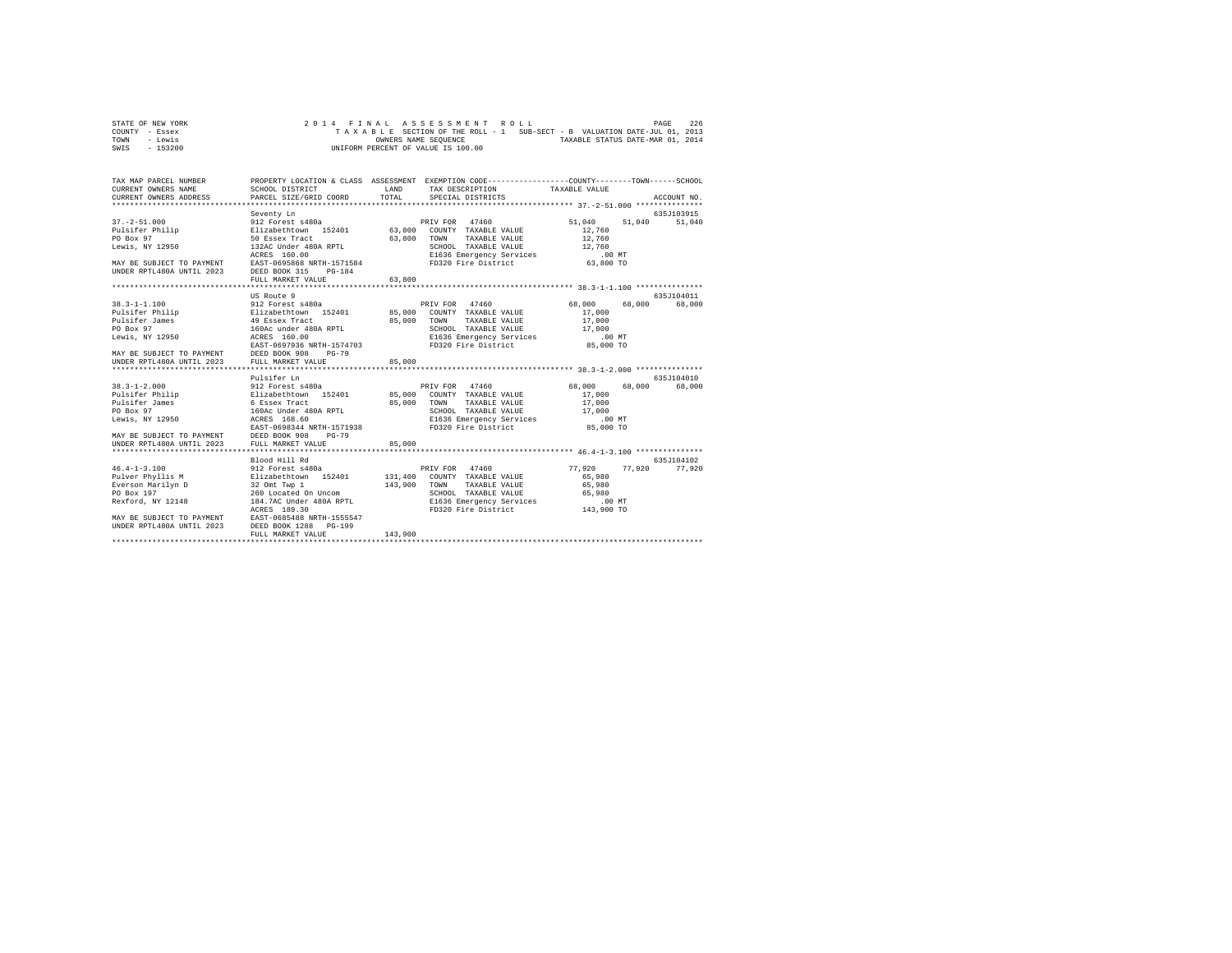| STATE OF NEW YORK |  |  |  |  | 2014 FINAL ASSESSMENT ROLL         |  |  |  |  |                                                                          | PAGE | 226 |
|-------------------|--|--|--|--|------------------------------------|--|--|--|--|--------------------------------------------------------------------------|------|-----|
| COUNTY - Essex    |  |  |  |  |                                    |  |  |  |  | TAXABLE SECTION OF THE ROLL - 1 SUB-SECT - B VALUATION DATE-JUL 01, 2013 |      |     |
| TOWN<br>- Lewis   |  |  |  |  | OWNERS NAME SEOUENCE               |  |  |  |  | TAXABLE STATUS DATE-MAR 01, 2014                                         |      |     |
| $-153200$<br>SWIS |  |  |  |  | UNIFORM PERCENT OF VALUE IS 100.00 |  |  |  |  |                                                                          |      |     |

| TAX MAP PARCEL NUMBER<br>CURRENT OWNERS NAME<br>CURRENT OWNERS ADDRESS                                                                                                                                               | SCHOOL DISTRICT<br>PARCEL SIZE/GRID COORD                                                                                                                                                       | LAND<br>TOTAL.   | PROPERTY LOCATION & CLASS ASSESSMENT EXEMPTION CODE---------------COUNTY-------TOWN-----SCHOOL<br>TAX DESCRIPTION TAXABLE VALUE<br>SPECIAL DISTRICTS                                                          |                                                                         | ACCOUNT NO.           |
|----------------------------------------------------------------------------------------------------------------------------------------------------------------------------------------------------------------------|-------------------------------------------------------------------------------------------------------------------------------------------------------------------------------------------------|------------------|---------------------------------------------------------------------------------------------------------------------------------------------------------------------------------------------------------------|-------------------------------------------------------------------------|-----------------------|
|                                                                                                                                                                                                                      | Seventy Ln                                                                                                                                                                                      |                  |                                                                                                                                                                                                               |                                                                         | 635J103915            |
| $37. - 2 - 51.000$<br>Pulsifer Philip <b>Elizabethtown</b> 152401 63,800<br>PO Box 97<br>Lewis, NY 12950                                                                                                             | 912 Forest s480a<br>50 Essex Tract<br>132AC Under 480A RPTL<br>ACRES 160.00                                                                                                                     | 63,800           | PRIV FOR 47460<br>COUNTY TAXABLE VALUE<br>TAXABLE VALUE<br>TOWN<br>SCHOOL TAXABLE VALUE<br>E1636 Emergency Services                                                                                           | 51,040<br>51,040<br>12,760<br>12,760<br>12,760<br>$.00$ MT              | 51,040                |
| MAY BE SUBJECT TO PAYMENT EAST-0695868 NRTH-1571584<br>UNDER RPTL480A UNTIL 2023 DEED BOOK 315 PG-184                                                                                                                | FULL MARKET VALUE                                                                                                                                                                               | 63,800           | FD320 Fire District                                                                                                                                                                                           | 63,800 TO                                                               |                       |
|                                                                                                                                                                                                                      |                                                                                                                                                                                                 |                  |                                                                                                                                                                                                               |                                                                         |                       |
| $38.3 - 1 - 1.100$<br>Pulsifer Philip<br>Pulsifer James<br>PO Box 97<br>Lewis, NY 12950                                                                                                                              | US Route 9<br>912 Forest s480a<br>Elizabethtown 152401<br>49 Essex Tract<br>160Ac under 480A RPTL<br>ACRES 160.00<br>EAST-0697936 NRTH-1574703<br>$PG-79$                                       | 85,000           | PRIV FOR 47460<br>85,000 COUNTY TAXABLE VALUE<br>TAXABLE VALUE<br>TOWN<br>SCHOOL TAXABLE VALUE<br>E1636 Emergency Services .00 MT<br>FD320 Fire District 85,000 TO<br>FD320 Fire District                     | 68,000<br>68,000<br>17,000<br>17,000<br>17,000                          | 635.T104011<br>68,000 |
| MAY BE SUBJECT TO PAYMENT DEED BOOK 908<br>UNDER RPTL480A UNTIL 2023 FULL MARKET VI                                                                                                                                  | FULL MARKET VALUE                                                                                                                                                                               | 85,000           |                                                                                                                                                                                                               |                                                                         |                       |
|                                                                                                                                                                                                                      |                                                                                                                                                                                                 |                  |                                                                                                                                                                                                               |                                                                         |                       |
|                                                                                                                                                                                                                      | Pulsifer Ln                                                                                                                                                                                     |                  |                                                                                                                                                                                                               |                                                                         | 635.T104010           |
| $38.3 - 1 - 2.000$<br>Pulsifer Philip <b>Elizabethtown</b> 152401 85,000<br>Pulsifer James<br>PO Box 97<br>Lewis, NY 12950<br>MAY BE SUBJECT TO PAYMENT DEED BOOK 908<br>UNDER RPTL480A UNTIL 2023 FULL MARKET VALUE | 912 Forest s480a<br>6 Essex Tract<br>160Ac Under 480A RPTL<br>ACRES 168.60<br>EAST-0698344 NRTH-1571938<br>$PG-79$                                                                              | 85,000<br>85,000 | PRIV FOR 47460<br>COUNTY TAXABLE VALUE<br>TOWN<br>TAXABLE VALUE<br>SCHOOL TAXABLE VALUE<br>E1636 Emergency Services<br>FD320 Fire District                                                                    | 68,000<br>68,000<br>17,000<br>17,000<br>17,000<br>$.00$ MT<br>85,000 TO | 68,000                |
|                                                                                                                                                                                                                      |                                                                                                                                                                                                 |                  |                                                                                                                                                                                                               |                                                                         |                       |
| $46.4 - 1 - 3.100$<br>Pulver Phyllis M<br>Everson Marilyn D<br>PO Box 197<br>Rexford, NY 12148<br>MAY BE SUBJECT TO PAYMENT<br>UNDER RPTL480A UNTIL 2023                                                             | Blood Hill Rd<br>2220 and 11 and 22<br>212 Forest s480a<br>22 Omt Twp 1<br>26 Located On Uncom<br>184.7AC Under 480A RPTL<br>ACRES 189.30<br>EAST-0685488 NRTH-1555547<br>DEED BOOK 1288 PG-199 | 143,900          | 47460<br>PRIV FOR<br>131,400 COUNTY TAXABLE VALUE<br><b>TOWN</b><br>TAXABLE VALUE<br>SCHOOL TAXABLE VALUE<br>SCHOOL TAXABLE VADOL<br>E1636 Emergency Services (1932) 70 PD<br>FD320 Fire District (143,900 TO | 77.920<br>77.920<br>65,980<br>65,980                                    | 635.7104102<br>77,920 |
|                                                                                                                                                                                                                      | FULL MARKET VALUE                                                                                                                                                                               | 143,900          |                                                                                                                                                                                                               |                                                                         |                       |
|                                                                                                                                                                                                                      |                                                                                                                                                                                                 |                  |                                                                                                                                                                                                               |                                                                         |                       |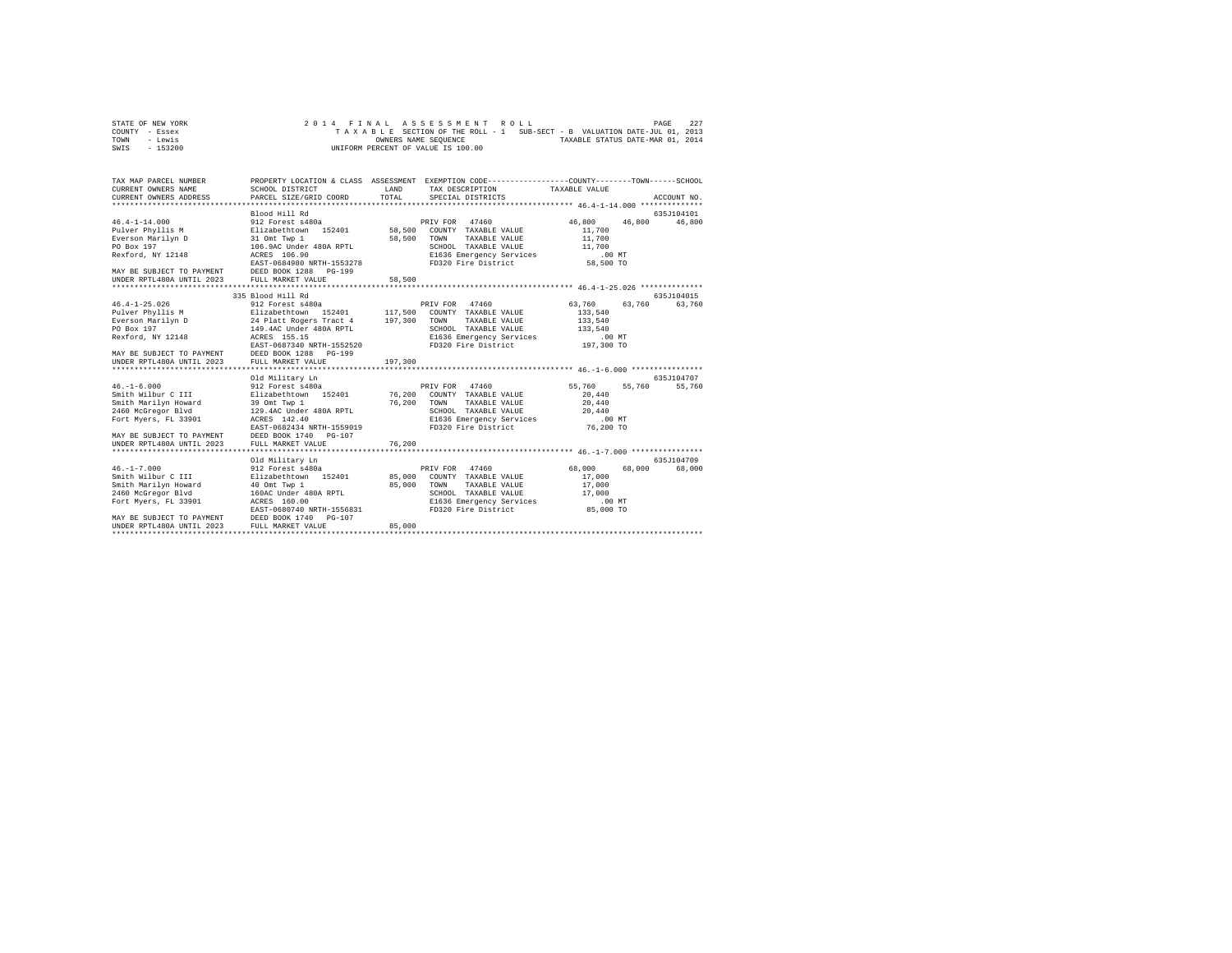| STATE OF NEW YORK | 2014 FINAL ASSESSMENT ROLL                                               | 227<br>PAGE                      |
|-------------------|--------------------------------------------------------------------------|----------------------------------|
| COUNTY - Essex    | TAXABLE SECTION OF THE ROLL - 1 SUB-SECT - B VALUATION DATE-JUL 01, 2013 |                                  |
| TOWN<br>- Lewis   | OWNERS NAME SEOUENCE                                                     | TAXABLE STATUS DATE-MAR 01, 2014 |
| - 153200<br>SWIS  | UNIFORM PERCENT OF VALUE IS 100.00                                       |                                  |

| TAX MAP PARCEL NUMBER<br>CURRENT OWNERS NAME<br>CURRENT OWNERS ADDRESS                                                                                                                                                                                                    | SCHOOL DISTRICT<br>PARCEL SIZE/GRID COORD                                                                                                                                                                                                                                                                                                        | LAND<br>TOTAL                                     | PROPERTY LOCATION & CLASS ASSESSMENT EXEMPTION CODE----------------COUNTY-------TOWN------SCHOOL<br>TAX DESCRIPTION<br>SPECIAL DISTRICTS                                                                                                                                                 | TAXABLE VALUE                                                                                                                                            | ACCOUNT NO.                    |
|---------------------------------------------------------------------------------------------------------------------------------------------------------------------------------------------------------------------------------------------------------------------------|--------------------------------------------------------------------------------------------------------------------------------------------------------------------------------------------------------------------------------------------------------------------------------------------------------------------------------------------------|---------------------------------------------------|------------------------------------------------------------------------------------------------------------------------------------------------------------------------------------------------------------------------------------------------------------------------------------------|----------------------------------------------------------------------------------------------------------------------------------------------------------|--------------------------------|
| $46.4 - 1 - 14.000$<br>Pulver Phyllis M<br>Everson Marilyn D<br>PO Box 197<br>Rexford, NY 12148                                                                                                                                                                           | Blood Hill Rd<br>912 Forest s480a<br>Elizabethtown 152401<br>31 Omt Twp 1<br>106.9AC Under 480A RPTL<br>ACRES 106.90<br>EAST-0684980 NRTH-1553278                                                                                                                                                                                                | 58,500<br>58,500                                  | PRIV FOR<br>47460<br>COUNTY TAXABLE VALUE<br>TOWN<br>TAXABLE VALUE<br>SCHOOL TAXABLE VALUE<br>E1636 Emergency Services<br>FD320 Fire District                                                                                                                                            | 46,800<br>46,800<br>11,700<br>11,700<br>11,700<br>$.00$ MT<br>58,500 TO                                                                                  | 635J104101<br>46,800           |
| MAY BE SUBJECT TO PAYMENT DEED BOOK 1288<br>UNDER RPTL480A UNTIL 2023                                                                                                                                                                                                     | $PG-199$<br>FULL MARKET VALUE                                                                                                                                                                                                                                                                                                                    | 58,500                                            |                                                                                                                                                                                                                                                                                          |                                                                                                                                                          |                                |
|                                                                                                                                                                                                                                                                           |                                                                                                                                                                                                                                                                                                                                                  |                                                   |                                                                                                                                                                                                                                                                                          |                                                                                                                                                          |                                |
|                                                                                                                                                                                                                                                                           | 335 Blood Hill Rd                                                                                                                                                                                                                                                                                                                                |                                                   |                                                                                                                                                                                                                                                                                          |                                                                                                                                                          | 635.T104015                    |
| $46.4 - 1 - 25.026$<br>Pulver Phyllis M<br>Everson Marilyn D<br>PO Box 197<br>Rexford, NY 12148<br>MAY BE SUBJECT TO PAYMENT<br>UNDER RPTL480A UNTIL 2023<br>$46. -1 - 6.000$<br>Smith Wilbur C III<br>Smith Marilyn Howard<br>2460 McGregor Blvd<br>Fort Myers, FL 33901 | 912 Forest s480a<br>Elizabethtown 152401<br>24 Platt Rogers Tract 4<br>149.4AC Under 480A RPTL<br>ACRES 155.15<br>EAST-0687340 NRTH-1552520<br>DEED BOOK 1288 PG-199<br>FULL MARKET VALUE<br>Old Military Ln<br>912 Forest s480a<br>Elizabethtown 152401<br>39 Omt Twp 1<br>129.4AC Under 480A RPTL<br>ACRES 142.40<br>EAST-0682434 NRTH-1559019 | 117,500<br>197,300<br>197,300<br>76,200<br>76.200 | PRIV FOR 47460<br>COUNTY TAXABLE VALUE<br>TOWN<br>TAXABLE VALUE<br>SCHOOL TAXABLE VALUE<br>E1636 Emergency Services<br>FD320 Fire District<br>PRIV FOR 47460<br>COUNTY TAXABLE VALUE<br>TAXABLE VALUE<br>TOWN<br>SCHOOL TAXABLE VALUE<br>E1636 Emergency Services<br>FD320 Fire District | 63,760<br>63,760<br>133,540<br>133,540<br>133,540<br>$.00$ MT<br>197,300 TO<br>55,760<br>55,760<br>20,440<br>20,440<br>20,440<br>$.00$ $MT$<br>76,200 TO | 63,760<br>635J104707<br>55,760 |
| MAY BE SUBJECT TO PAYMENT<br>UNDER RPTL480A UNTIL 2023                                                                                                                                                                                                                    | DEED BOOK 1740<br>$PG-107$<br>FULL MARKET VALUE                                                                                                                                                                                                                                                                                                  | 76.200                                            |                                                                                                                                                                                                                                                                                          |                                                                                                                                                          |                                |
| *************************                                                                                                                                                                                                                                                 | ***************************<br>Old Military Ln                                                                                                                                                                                                                                                                                                   |                                                   |                                                                                                                                                                                                                                                                                          |                                                                                                                                                          | 635.T104709                    |
| $46. -1 - 7.000$<br>Smith Wilbur C III<br>Smith Marilyn Howard<br>2460 McGregor Blvd<br>Fort Myers, FL 33901<br>MAY BE SUBJECT TO PAYMENT                                                                                                                                 | 912 Forest s480a<br>Elizabethtown 152401<br>40 Omt Twp 1<br>160AC Under 480A RPTL<br>ACRES 160.00<br>EAST-0680740 NRTH-1556831<br>DEED BOOK 1740 PG-107                                                                                                                                                                                          | 85,000<br>85,000                                  | 47460<br>PRIV FOR<br>COUNTY TAXABLE VALUE<br>TOWN<br>TAXABLE VALUE<br>SCHOOL TAXABLE VALUE<br>E1636 Emergency Services<br>FD320 Fire District                                                                                                                                            | 68,000<br>68,000<br>17,000<br>17,000<br>17,000<br>$.00$ MT<br>85,000 TO                                                                                  | 68,000                         |
| UNDER RPTL480A UNTIL 2023                                                                                                                                                                                                                                                 | FULL MARKET VALUE                                                                                                                                                                                                                                                                                                                                | 85,000                                            |                                                                                                                                                                                                                                                                                          |                                                                                                                                                          |                                |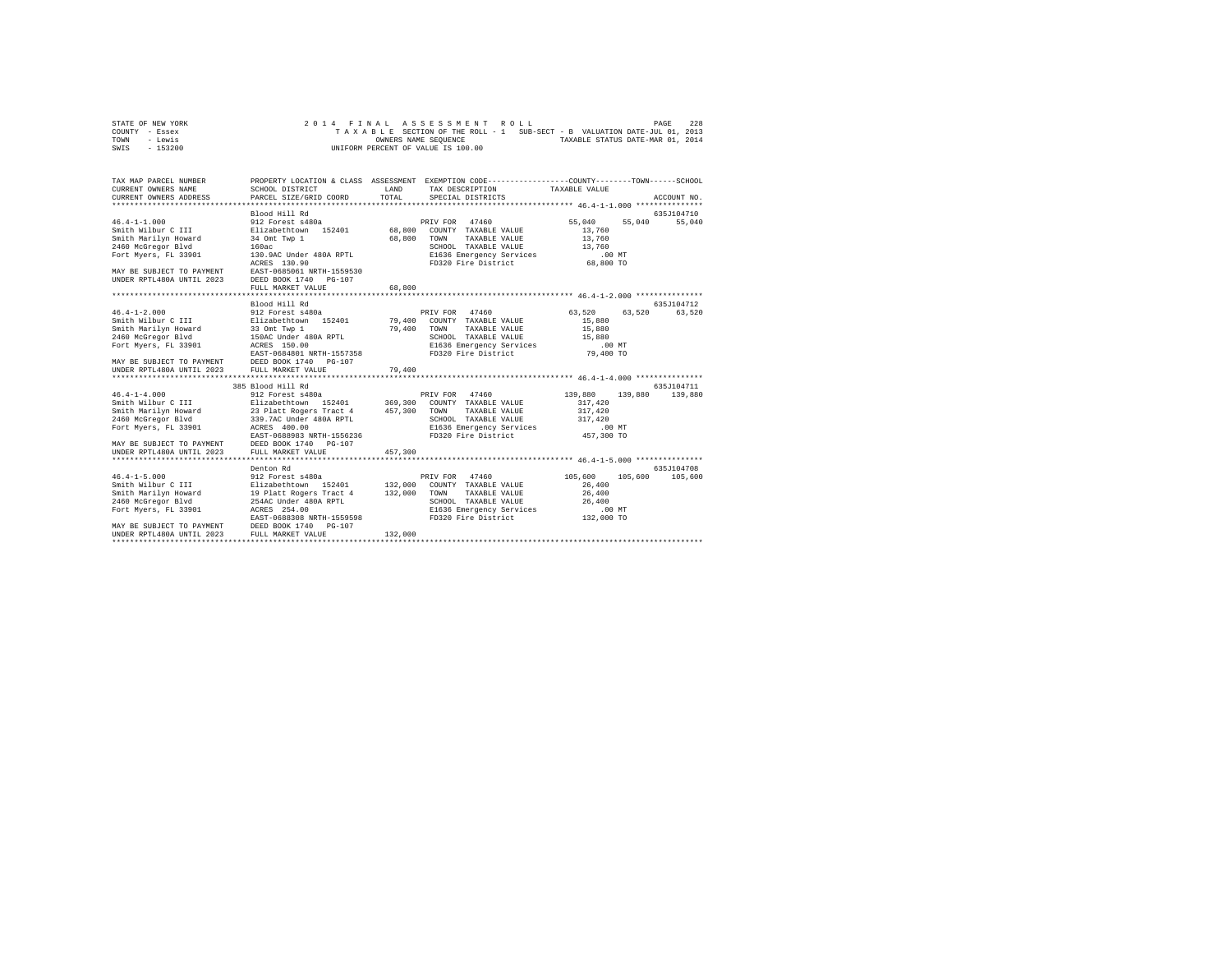| STATE OF NEW YORK |  |  |  | 2014 FINAL ASSESSMENT ROLL         |  |  |  |                                                                          | PAGE | 228 |
|-------------------|--|--|--|------------------------------------|--|--|--|--------------------------------------------------------------------------|------|-----|
| COUNTY - Essex    |  |  |  |                                    |  |  |  | TAXABLE SECTION OF THE ROLL - 1 SUB-SECT - B VALUATION DATE-JUL 01, 2013 |      |     |
| TOWN<br>- Lewis   |  |  |  | OWNERS NAME SEOUENCE               |  |  |  | TAXABLE STATUS DATE-MAR 01, 2014                                         |      |     |
| $-153200$<br>SWIS |  |  |  | UNIFORM PERCENT OF VALUE IS 100.00 |  |  |  |                                                                          |      |     |

| TAX MAP PARCEL NUMBER<br>CURRENT OWNERS NAME SCHOOL DISTRICT<br>CURRENT OWNERS ADDRESS PARCEL SIZE/GRID COORD                                                                                                                                                                                                                                                                                           | PROPERTY LOCATION & CLASS ASSESSMENT EXEMPTION CODE----------------COUNTY-------TOWN-----SCHOOL | <b>T.AND</b><br>TOTAL | TAX DESCRIPTION TAXABLE VALUE<br>SPECIAL DISTRICTS |                            | ACCOUNT NO.   |
|---------------------------------------------------------------------------------------------------------------------------------------------------------------------------------------------------------------------------------------------------------------------------------------------------------------------------------------------------------------------------------------------------------|-------------------------------------------------------------------------------------------------|-----------------------|----------------------------------------------------|----------------------------|---------------|
|                                                                                                                                                                                                                                                                                                                                                                                                         |                                                                                                 |                       |                                                    |                            |               |
|                                                                                                                                                                                                                                                                                                                                                                                                         |                                                                                                 |                       |                                                    |                            | 635J104710    |
| Smith Wilbur C 111 – 2014<br>Smith Marilyn Howard 24 Ont Twp 1 – 68,800 TOWN TAXABLE VALUE 13,760<br>2460 McGregor Blvd 160ac 160ac 160ac 160ac 174XBLE VALUE 13,760<br>Fort Myers, FL 33901 – 130.9AC Under 480A RPTL – E1536 Emergen<br>MAY BE SUBJECT TO PAYMENT EAST-0685061 NRTH-1559530<br>UNDER RPTL480A UNTIL 2023 DEED BOOK 1740 PG-107                                                        | FULL MARKET VALUE                                                                               | 68,800                |                                                    | 55,040<br>55,040<br>13,760 | 55,040        |
|                                                                                                                                                                                                                                                                                                                                                                                                         |                                                                                                 |                       |                                                    |                            |               |
|                                                                                                                                                                                                                                                                                                                                                                                                         | Blood Hill Rd                                                                                   |                       |                                                    |                            | 635J104712    |
| 46.4-1-2.000           912 Forest s480a             PRIV FOR  47460<br>Smith Wilbur C III       Elizabethtown  152401      79,400  COUNTY TAXABLE VALUE<br>Smith Narily Howard 30 Ont Twp 1<br>School (1994)<br>29 ONN TAXABLE VALUE 15,880<br>24 ONE TRANSPORT BOARD 1990 100 NM TAXABLE VALUE 15,880<br>26 ON TAXABLE VALUE 2003<br>26 ON TAXABLE VALUE 2003<br>26 ONE 2003<br>26 ONE REPORT OF PAYME |                                                                                                 |                       |                                                    | 63,520<br>15,880           | 63,520 63,520 |
|                                                                                                                                                                                                                                                                                                                                                                                                         |                                                                                                 |                       |                                                    |                            |               |
|                                                                                                                                                                                                                                                                                                                                                                                                         |                                                                                                 |                       |                                                    |                            |               |
|                                                                                                                                                                                                                                                                                                                                                                                                         | 385 Blood Hill Rd                                                                               |                       |                                                    |                            | 635J104711    |
| 46.4-1-4.000<br>Smith Wilbur C III 912 Forest a480a<br>Smith Wilbur C III 912 Forest a480a<br>2460 McChregor Blvd 23 Platt Rogers Tract 4 457,300 COUNTY TAXABLE VALUE 317,420<br>2460 McChregor Blvd 319,880 - 139,880 - 139,880 - 139,8                                                                                                                                                               |                                                                                                 |                       |                                                    |                            |               |
|                                                                                                                                                                                                                                                                                                                                                                                                         |                                                                                                 |                       |                                                    |                            |               |
| EAST-0688308 NRTH-1559598 FD320 Fire District 132,000 TO<br>MAY BE SUBJECT TO PAYMENT DEED BOOK 1740 PG-107                                                                                                                                                                                                                                                                                             |                                                                                                 |                       |                                                    |                            |               |
| UNDER RPTL480A UNTIL 2023 FULL MARKET VALUE                                                                                                                                                                                                                                                                                                                                                             |                                                                                                 | 132,000               |                                                    |                            |               |
|                                                                                                                                                                                                                                                                                                                                                                                                         |                                                                                                 |                       |                                                    |                            |               |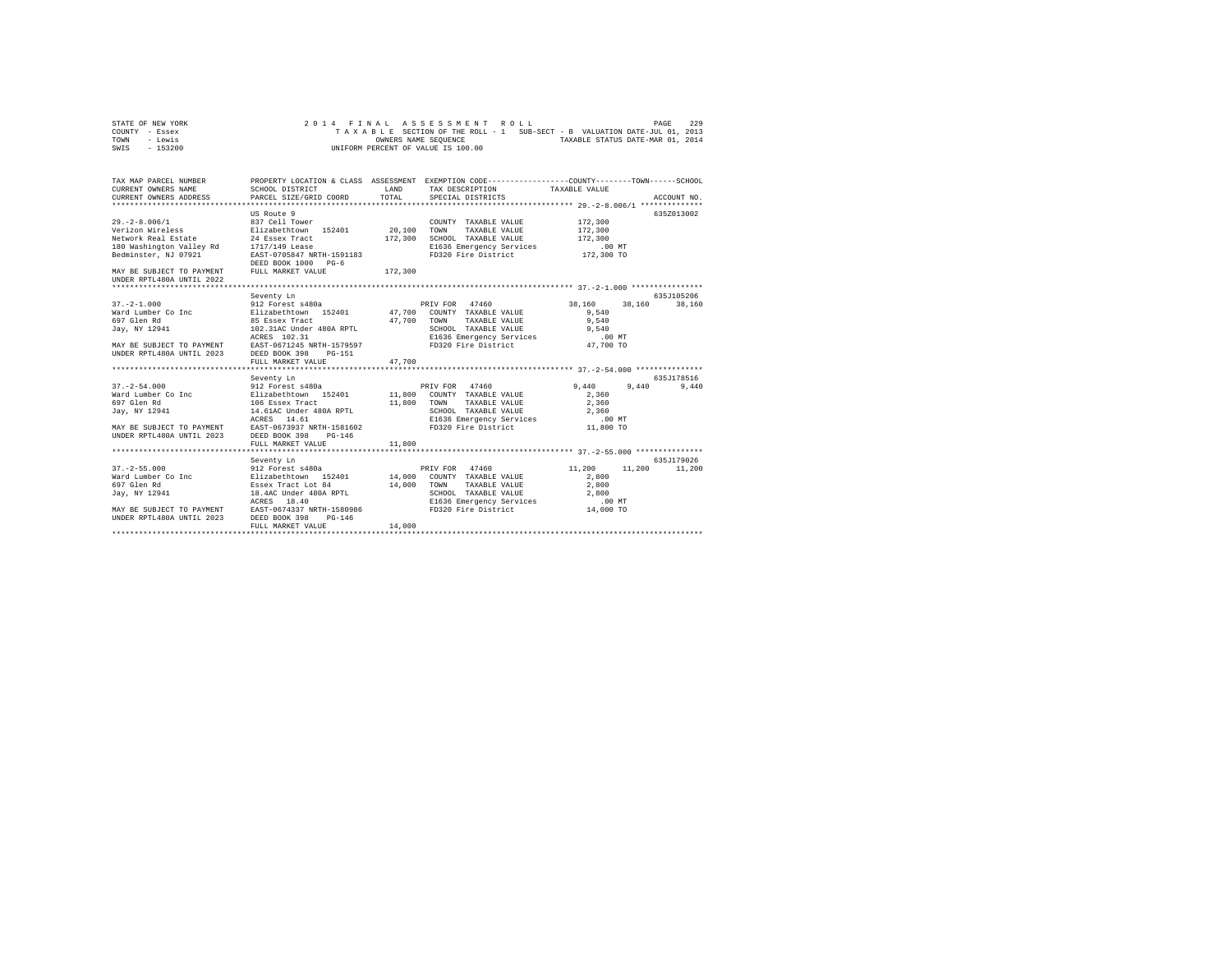| STATE OF NEW YORK | 2014 FINAL ASSESSMENT ROLL                                               | 229<br>PAGE                      |
|-------------------|--------------------------------------------------------------------------|----------------------------------|
| COUNTY - Essex    | TAXABLE SECTION OF THE ROLL - 1 SUB-SECT - B VALUATION DATE-JUL 01, 2013 |                                  |
| TOWN<br>- Lewis   | OWNERS NAME SEOUENCE                                                     | TAXABLE STATUS DATE-MAR 01, 2014 |
| - 153200<br>SWIS  | UNIFORM PERCENT OF VALUE IS 100.00                                       |                                  |

| TAX MAP PARCEL NUMBER                                                                                                                                                                                                                  | PROPERTY LOCATION & CLASS ASSESSMENT EXEMPTION CODE---------------COUNTY-------TOWN-----SCHOOL |        |                                                                                                                                                                                                                                                                                                                                                                                                             |                      |               |
|----------------------------------------------------------------------------------------------------------------------------------------------------------------------------------------------------------------------------------------|------------------------------------------------------------------------------------------------|--------|-------------------------------------------------------------------------------------------------------------------------------------------------------------------------------------------------------------------------------------------------------------------------------------------------------------------------------------------------------------------------------------------------------------|----------------------|---------------|
|                                                                                                                                                                                                                                        |                                                                                                |        |                                                                                                                                                                                                                                                                                                                                                                                                             |                      |               |
|                                                                                                                                                                                                                                        |                                                                                                |        |                                                                                                                                                                                                                                                                                                                                                                                                             |                      |               |
|                                                                                                                                                                                                                                        |                                                                                                |        |                                                                                                                                                                                                                                                                                                                                                                                                             |                      |               |
|                                                                                                                                                                                                                                        | US Route 9                                                                                     |        |                                                                                                                                                                                                                                                                                                                                                                                                             |                      | 635Z013002    |
| $29. -2 - 8.006/1$                                                                                                                                                                                                                     | 837 Cell Tower                                                                                 |        | COUNTY TAXABLE VALUE                                                                                                                                                                                                                                                                                                                                                                                        | 172,300              |               |
| Verizon Wireless Elizabethtown 152401 20,100 TOWN                                                                                                                                                                                      |                                                                                                |        | TAXABLE VALUE                                                                                                                                                                                                                                                                                                                                                                                               | 172,300              |               |
|                                                                                                                                                                                                                                        |                                                                                                |        |                                                                                                                                                                                                                                                                                                                                                                                                             |                      |               |
|                                                                                                                                                                                                                                        |                                                                                                |        |                                                                                                                                                                                                                                                                                                                                                                                                             |                      |               |
|                                                                                                                                                                                                                                        |                                                                                                |        | $172,300 \begin{array}{l} \texttt{SCHODL} \end{array} \begin{array}{l} \texttt{TXABLE VALUE} \\ \texttt{E1636} \\ \texttt{NE1636} \\ \texttt{F1936} \\ \texttt{F1936} \\ \texttt{F2300} \\ \texttt{F320} \\ \texttt{F172} \\ \texttt{F2300} \\ \texttt{TO320} \\ \texttt{TO320} \\ \texttt{F172} \\ \texttt{F2300} \\ \texttt{TO320} \\ \texttt{TO32} \\ \texttt{C130} \\ \texttt{C2300} \\ \texttt{TO320}$ |                      |               |
| Network Real Estate and 24 Essex Tract 177,300<br>180 Washington Valley Rd 171/149 Lease 1781<br>172,300 Manington Valley Rd 171/149 Lease 200K 1000 PG-6<br>MAY BE SUBJECT TO PAYMENT PEED BOOK 1000 PG-6<br>200K NAY BE SUBJECT TO P |                                                                                                |        |                                                                                                                                                                                                                                                                                                                                                                                                             |                      |               |
|                                                                                                                                                                                                                                        |                                                                                                |        |                                                                                                                                                                                                                                                                                                                                                                                                             |                      |               |
| UNDER RPTL480A UNTIL 2022                                                                                                                                                                                                              |                                                                                                |        |                                                                                                                                                                                                                                                                                                                                                                                                             |                      |               |
|                                                                                                                                                                                                                                        |                                                                                                |        |                                                                                                                                                                                                                                                                                                                                                                                                             |                      |               |
|                                                                                                                                                                                                                                        | Seventy Ln                                                                                     |        |                                                                                                                                                                                                                                                                                                                                                                                                             |                      | 635J105206    |
| $37. -2 - 1.000$                                                                                                                                                                                                                       | 912 Forest s480a extending provided by PRIV FOR 47460                                          |        |                                                                                                                                                                                                                                                                                                                                                                                                             | 38,160 38,160 38,160 |               |
| Ward Lumber Co Inc . Elizabethtown 152401 47,700 COUNTY TAXABLE VALUE                                                                                                                                                                  |                                                                                                |        |                                                                                                                                                                                                                                                                                                                                                                                                             | 9,540                |               |
|                                                                                                                                                                                                                                        |                                                                                                |        |                                                                                                                                                                                                                                                                                                                                                                                                             |                      |               |
|                                                                                                                                                                                                                                        |                                                                                                |        |                                                                                                                                                                                                                                                                                                                                                                                                             |                      |               |
| CONTROLLER CONTRACT DESCRIPTION AND DESCRIPTION AND DESCRIPTION OF TRANSLE VALUE OF A SAMELY AND SERVEL OF A SAMELY AND TOWN TRANSLE VALUE OF A SAMELY OF A SAMELY AND SAMELY AND SAMELY AND SAMELY AND SAMELY ACRES 102.31<br>M       |                                                                                                |        |                                                                                                                                                                                                                                                                                                                                                                                                             |                      |               |
|                                                                                                                                                                                                                                        |                                                                                                |        |                                                                                                                                                                                                                                                                                                                                                                                                             |                      |               |
|                                                                                                                                                                                                                                        |                                                                                                |        |                                                                                                                                                                                                                                                                                                                                                                                                             |                      |               |
|                                                                                                                                                                                                                                        | FULL MARKET VALUE                                                                              | 47,700 |                                                                                                                                                                                                                                                                                                                                                                                                             |                      |               |
|                                                                                                                                                                                                                                        |                                                                                                |        |                                                                                                                                                                                                                                                                                                                                                                                                             |                      |               |
|                                                                                                                                                                                                                                        | Seventy Ln                                                                                     |        |                                                                                                                                                                                                                                                                                                                                                                                                             |                      | 635J178516    |
| $37. - 2 - 54.000$                                                                                                                                                                                                                     | 912 Forest s480a                                                                               |        | PRIV FOR 47460                                                                                                                                                                                                                                                                                                                                                                                              | 9,440 9,440          | 9,440         |
|                                                                                                                                                                                                                                        |                                                                                                |        |                                                                                                                                                                                                                                                                                                                                                                                                             | 2.360                |               |
|                                                                                                                                                                                                                                        |                                                                                                |        |                                                                                                                                                                                                                                                                                                                                                                                                             | 2,360                |               |
|                                                                                                                                                                                                                                        |                                                                                                |        | SCHOOL TAXABLE VALUE<br>SCHOOL TAXABLE VALUE<br>E1636 Emergency Services 10 MT                                                                                                                                                                                                                                                                                                                              |                      |               |
|                                                                                                                                                                                                                                        |                                                                                                |        |                                                                                                                                                                                                                                                                                                                                                                                                             |                      |               |
|                                                                                                                                                                                                                                        |                                                                                                |        |                                                                                                                                                                                                                                                                                                                                                                                                             |                      |               |
|                                                                                                                                                                                                                                        |                                                                                                |        |                                                                                                                                                                                                                                                                                                                                                                                                             |                      |               |
|                                                                                                                                                                                                                                        | FULL MARKET VALUE                                                                              | 11,800 |                                                                                                                                                                                                                                                                                                                                                                                                             |                      |               |
|                                                                                                                                                                                                                                        |                                                                                                |        |                                                                                                                                                                                                                                                                                                                                                                                                             |                      |               |
|                                                                                                                                                                                                                                        | Seventy Ln                                                                                     |        |                                                                                                                                                                                                                                                                                                                                                                                                             |                      | 635.7179026   |
| $37. - 2 - 55.000$                                                                                                                                                                                                                     | 912 Forest s480a <b>black</b> PRIV FOR 47460 <b>11,200</b>                                     |        |                                                                                                                                                                                                                                                                                                                                                                                                             |                      | 11,200 11,200 |
| Ward Lumber Co Inc           Elizabethtown 152401     14,000 COUNTY TAXABLE VALUE                                                                                                                                                      |                                                                                                |        |                                                                                                                                                                                                                                                                                                                                                                                                             | 2,800                |               |
| 697 Glen Rd                                                                                                                                                                                                                            | Essex Tract Lot 84                                                                             |        |                                                                                                                                                                                                                                                                                                                                                                                                             | 2,800                |               |
| Jay, NY 12941                                                                                                                                                                                                                          | 18.4AC Under 480A RPTL                                                                         |        | 14,000 TOWN TAXABLE VALUE<br>SCHOOL TAXABLE VALUE<br>SCHOOL TAXABLE VALUE 2,800                                                                                                                                                                                                                                                                                                                             |                      |               |
|                                                                                                                                                                                                                                        | ACRES 18.40                                                                                    |        |                                                                                                                                                                                                                                                                                                                                                                                                             |                      |               |
| MAY BE SUBJECT TO PAYMENT EAST-0674337 NRTH-1580986<br>UNDER RPTL480A UNTIL 2023 DEED BOOK 398 PG-146                                                                                                                                  |                                                                                                |        | E1636 Emergency Services 00 MT<br>FD320 Fire District 14,000 TO                                                                                                                                                                                                                                                                                                                                             |                      |               |
|                                                                                                                                                                                                                                        |                                                                                                |        |                                                                                                                                                                                                                                                                                                                                                                                                             |                      |               |
|                                                                                                                                                                                                                                        | FULL MARKET VALUE                                                                              | 14,000 |                                                                                                                                                                                                                                                                                                                                                                                                             |                      |               |
|                                                                                                                                                                                                                                        |                                                                                                |        |                                                                                                                                                                                                                                                                                                                                                                                                             |                      |               |
|                                                                                                                                                                                                                                        |                                                                                                |        |                                                                                                                                                                                                                                                                                                                                                                                                             |                      |               |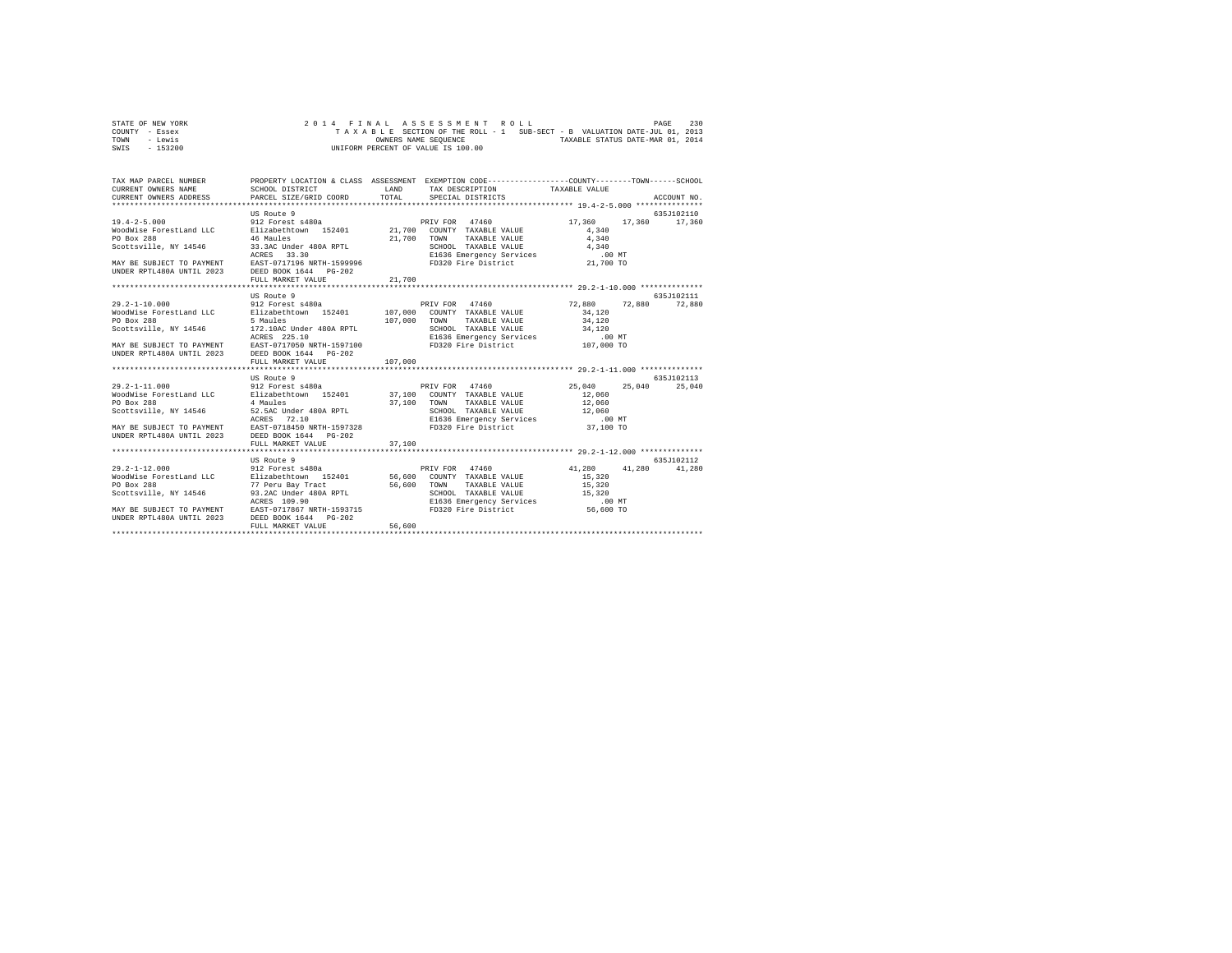| STATE OF NEW YORK |  |  |  |  | 2014 FINAL ASSESSMENT ROLL         |  |  |  |  |                                                                          | PAGE | 230 |
|-------------------|--|--|--|--|------------------------------------|--|--|--|--|--------------------------------------------------------------------------|------|-----|
| COUNTY - Essex    |  |  |  |  |                                    |  |  |  |  | TAXABLE SECTION OF THE ROLL - 1 SUB-SECT - B VALUATION DATE-JUL 01, 2013 |      |     |
| TOWN<br>- Lewis   |  |  |  |  | OWNERS NAME SEOUENCE               |  |  |  |  | TAXABLE STATUS DATE-MAR 01, 2014                                         |      |     |
| $-153200$<br>SWIS |  |  |  |  | UNIFORM PERCENT OF VALUE IS 100.00 |  |  |  |  |                                                                          |      |     |

| TAX MAP PARCEL NUMBER<br>CURRENT OWNERS NAME<br>CURRENT OWNERS ADDRESS PARCEL SIZE/GRID COORD          | SCHOOL DISTRICT                                   | LAND<br>TOTAL | PROPERTY LOCATION & CLASS ASSESSMENT EXEMPTION CODE----------------COUNTY-------TOWN-----SCHOOL<br>TAX DESCRIPTION TAXABLE VALUE<br>SPECIAL DISTRICTS |                  | ACCOUNT NO.      |
|--------------------------------------------------------------------------------------------------------|---------------------------------------------------|---------------|-------------------------------------------------------------------------------------------------------------------------------------------------------|------------------|------------------|
|                                                                                                        |                                                   |               |                                                                                                                                                       |                  |                  |
|                                                                                                        | US Route 9                                        |               |                                                                                                                                                       |                  | 635J102110       |
| $19.4 - 2 - 5.000$                                                                                     |                                                   |               |                                                                                                                                                       | 17,360           | 17,360 17,360    |
| WoodWise ForestLand LLC                                                                                |                                                   |               |                                                                                                                                                       | 4.340            |                  |
| PO Box 288                                                                                             | 46 Maules                                         | 21,700        | TOWN<br>TAXABLE VALUE                                                                                                                                 | 4,340            |                  |
|                                                                                                        |                                                   |               |                                                                                                                                                       |                  |                  |
|                                                                                                        |                                                   |               |                                                                                                                                                       |                  |                  |
|                                                                                                        |                                                   |               |                                                                                                                                                       |                  |                  |
| UNDER RPTL480A UNTIL 2023 DEED BOOK 1644 PG-202                                                        |                                                   |               |                                                                                                                                                       |                  |                  |
|                                                                                                        | FULL MARKET VALUE                                 | 21,700        |                                                                                                                                                       |                  |                  |
|                                                                                                        |                                                   |               |                                                                                                                                                       |                  |                  |
|                                                                                                        | US Route 9                                        |               |                                                                                                                                                       |                  | 635.7102111      |
| $29.2 - 1 - 10.000$                                                                                    | 912 Forest s480a                                  |               | PRIV FOR 47460                                                                                                                                        | 72.880 72.880    | 72,880           |
| WoodWise ForestLand LLC                                                                                | Elizabethtown 152401 107,000 COUNTY TAXABLE VALUE |               |                                                                                                                                                       | 34,120           |                  |
| PO Box 288                                                                                             | 5 Maules                                          | 107,000       | TOWN<br>TAXABLE VALUE                                                                                                                                 | 34,120           |                  |
| Scottsville, NY 14546                                                                                  | 172.10AC Under 480A RPTL                          |               |                                                                                                                                                       |                  |                  |
|                                                                                                        | ACRES 225.10                                      |               | SCHOOL TAXABLE VALUE 34,120<br>E1636 Emergency Services .00 MT<br>FD320 Fire District 107,000 TO                                                      |                  |                  |
| MAY BE SUBJECT TO PAYMENT                                                                              | EAST-0717050 NRTH-1597100                         |               |                                                                                                                                                       |                  |                  |
| UNDER RPTL480A UNTIL 2023                                                                              | DEED BOOK 1644 PG-202                             |               |                                                                                                                                                       |                  |                  |
|                                                                                                        | FULL MARKET VALUE                                 | 107,000       |                                                                                                                                                       |                  |                  |
|                                                                                                        |                                                   |               |                                                                                                                                                       |                  |                  |
|                                                                                                        | US Route 9                                        |               |                                                                                                                                                       |                  | 635J102113       |
| $29.2 - 1 - 11.000$                                                                                    | 912 Forest s480a                                  |               | PRIV FOR 47460                                                                                                                                        | 25,040           | 25,040<br>25,040 |
| WoodWise ForestLand LLC                                                                                | Elizabethtown 152401 37,100 COUNTY TAXABLE VALUE  |               |                                                                                                                                                       | 12,060           |                  |
| PO Box 288                                                                                             | 4 Maules                                          |               | TAXABLE VALUE<br>TOWN                                                                                                                                 | 12,060           |                  |
| Scottsville, NY 14546                                                                                  |                                                   | 37,100        | SCHOOL TAXABLE VALUE                                                                                                                                  | 12,060           |                  |
|                                                                                                        | 52.5AC Under 480A RPTL<br>ACRES 72.10             |               | E1636 Emergency Services .00 MT                                                                                                                       |                  |                  |
|                                                                                                        |                                                   |               | FD320 Fire District 37,100 TO                                                                                                                         |                  |                  |
| MAY BE SUBJECT TO PAYMENT EAST-0718450 NRTH-1597328<br>UNDER RPTL480A UNTIL 2023 DEED BOOK 1644 PG-202 |                                                   |               |                                                                                                                                                       |                  |                  |
|                                                                                                        |                                                   |               |                                                                                                                                                       |                  |                  |
|                                                                                                        | FULL MARKET VALUE                                 | 37,100        |                                                                                                                                                       |                  |                  |
|                                                                                                        |                                                   |               |                                                                                                                                                       |                  |                  |
|                                                                                                        | US Route 9<br>912 Forest s480a                    |               |                                                                                                                                                       |                  | 635.7102112      |
| $29.2 - 1 - 12.000$                                                                                    |                                                   |               | PRIV FOR 47460                                                                                                                                        | 41,280<br>41,280 | 41,280           |
| WoodWise ForestLand LLC Blizabethtown 152401 56,600 COUNTY TAXABLE VALUE                               |                                                   |               |                                                                                                                                                       | 15,320           |                  |
| PO Box 288                                                                                             | 77 Peru Bay Tract                                 | 56,600 TOWN   | TAXABLE VALUE                                                                                                                                         | 15,320           |                  |
| Scottsville, NY 14546                                                                                  | 93.2AC Under 480A RPTL                            |               | SCHOOL TAXABLE VALUE 15,320                                                                                                                           |                  |                  |
|                                                                                                        | ACRES 109.90                                      |               | E1636 Emergency Services<br>FD320 Fire District                                                                                                       | .00 MT           |                  |
| MAY BE SUBJECT TO PAYMENT EAST-0717867 NRTH-1593715<br>UNDER RPTL480A UNTIL 2023 DEED BOOK 1644 PG-202 |                                                   |               |                                                                                                                                                       | 56,600 TO        |                  |
|                                                                                                        |                                                   |               |                                                                                                                                                       |                  |                  |
|                                                                                                        | FULL MARKET VALUE                                 | 56,600        |                                                                                                                                                       |                  |                  |
|                                                                                                        |                                                   |               |                                                                                                                                                       |                  |                  |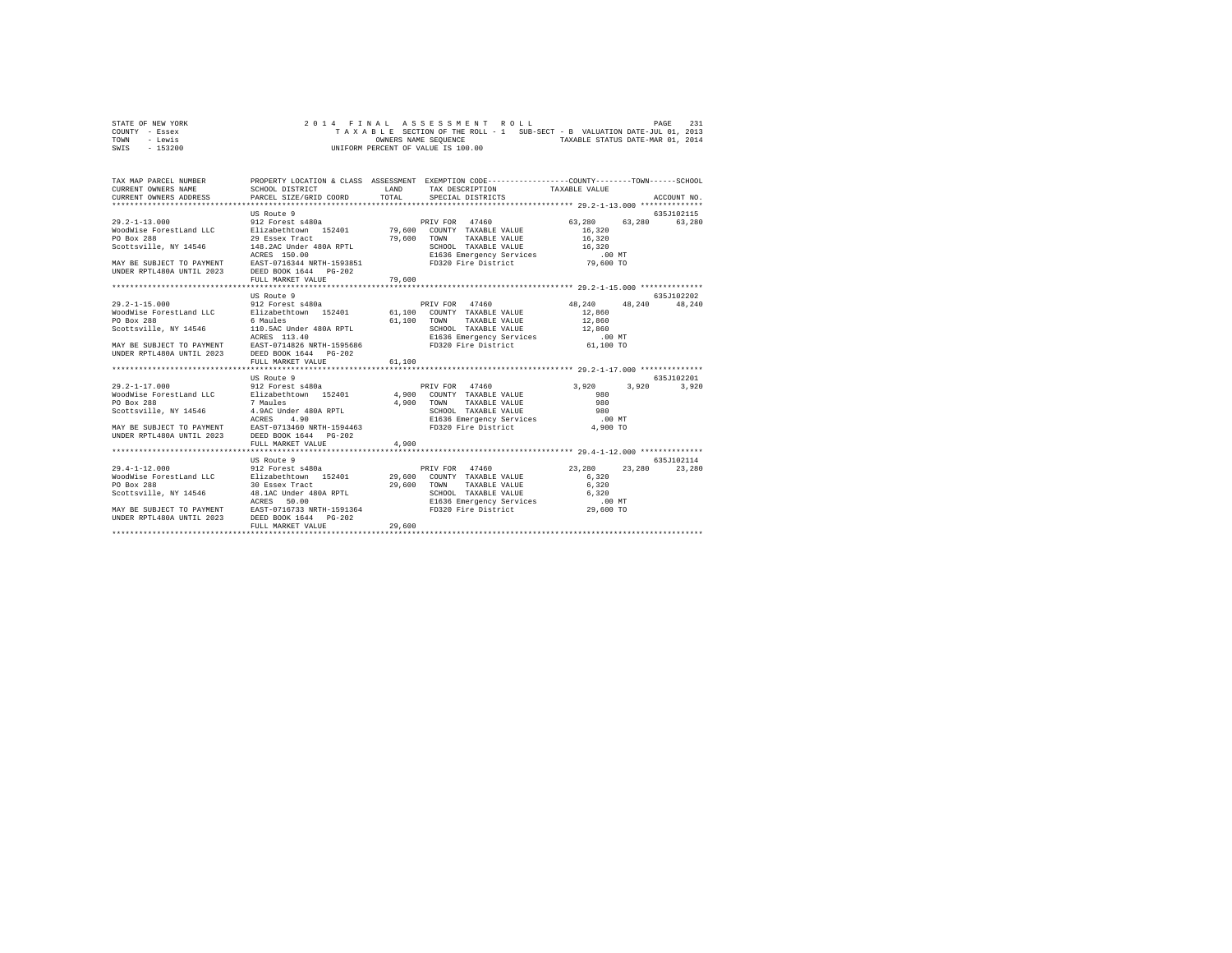| STATE OF NEW YORK |  |  |  |  | 2014 FINAL ASSESSMENT ROLL         |  |  |  |  |                                                                          | PAGE | 231 |
|-------------------|--|--|--|--|------------------------------------|--|--|--|--|--------------------------------------------------------------------------|------|-----|
| COUNTY - Essex    |  |  |  |  |                                    |  |  |  |  | TAXABLE SECTION OF THE ROLL - 1 SUB-SECT - B VALUATION DATE-JUL 01, 2013 |      |     |
| TOWN<br>- Lewis   |  |  |  |  | OWNERS NAME SEOUENCE               |  |  |  |  | TAXABLE STATUS DATE-MAR 01, 2014                                         |      |     |
| - 153200<br>SWIS  |  |  |  |  | UNIFORM PERCENT OF VALUE IS 100.00 |  |  |  |  |                                                                          |      |     |

| TAX MAP PARCEL NUMBER<br>CURRENT OWNERS NAME<br>CURRENT OWNERS ADDRESS PARCEL SIZE/GRID COORD                                                                                                                                                                                     | PROPERTY LOCATION & CLASS ASSESSMENT EXEMPTION CODE----------------COUNTY-------TOWN------SCHOOL<br>SCHOOL DISTRICT | LAND<br>TOTAL | TAX DESCRIPTION TAXABLE VALUE<br>SPECIAL DISTRICTS                                              |                                      | ACCOUNT NO. |
|-----------------------------------------------------------------------------------------------------------------------------------------------------------------------------------------------------------------------------------------------------------------------------------|---------------------------------------------------------------------------------------------------------------------|---------------|-------------------------------------------------------------------------------------------------|--------------------------------------|-------------|
|                                                                                                                                                                                                                                                                                   | US Route 9                                                                                                          |               |                                                                                                 |                                      | 635J102115  |
| $29.2 - 1 - 13.000$<br>WoodWise ForestLand LLC<br>PO Box 288<br>SCOLONIA (1973) 320 UNE 2008 2010 148.2AC Under 480A RPTL SCHOOL TAXABLE VALUE 16,320<br>2008 16,320 100 EXRES 150.00 16 2016 1636 E1536 Energency Services<br>2009 19,600 10 EXREM 16344 ARTH-1593851 16384 2017 | 912 Forest s480a<br>Elizabethtown 152401<br>29 Essex Tract                                                          | 79,600        | PRIV FOR 47460<br>79,600 COUNTY TAXABLE VALUE<br>TOWN<br>TAXABLE VALUE                          | 63,280<br>63,280<br>16.320<br>16,320 | 63,280      |
| UNDER RPTL480A UNTIL 2023 DEED BOOK 1644 PG-202                                                                                                                                                                                                                                   | FULL MARKET VALUE                                                                                                   | 79,600        |                                                                                                 |                                      |             |
|                                                                                                                                                                                                                                                                                   |                                                                                                                     |               |                                                                                                 |                                      |             |
|                                                                                                                                                                                                                                                                                   | US Route 9                                                                                                          |               |                                                                                                 |                                      | 635.7102202 |
| $29.2 - 1 - 15.000$                                                                                                                                                                                                                                                               | 912 Forest s480a                                                                                                    |               | PRIV FOR 47460                                                                                  | 48.240 48.240                        | 48,240      |
| WoodWise ForestLand LLC<br>PO Box 288                                                                                                                                                                                                                                             | Elizabethtown 152401 61,100 COUNTY TAXABLE VALUE<br>6 Maules                                                        | 61,100        | TOWN<br>TAXABLE VALUE                                                                           | 12,860<br>12,860                     |             |
| Scottsville, NY 14546                                                                                                                                                                                                                                                             | 110.5AC Under 480A RPTL                                                                                             |               |                                                                                                 |                                      |             |
|                                                                                                                                                                                                                                                                                   | ACRES 113.40                                                                                                        |               | SCHOOL TAXABLE VALUE 12,860<br>E1636 Emergency Services .00 MT<br>FD320 Fire District 61,100 TO |                                      |             |
| MAY BE SUBJECT TO PAYMENT<br>UNDER RPTL480A UNTIL 2023                                                                                                                                                                                                                            | EAST-0714826 NRTH-1595686<br>DEED BOOK 1644 PG-202<br>FULL MARKET VALUE                                             | 61,100        |                                                                                                 |                                      |             |
|                                                                                                                                                                                                                                                                                   |                                                                                                                     |               |                                                                                                 |                                      |             |
|                                                                                                                                                                                                                                                                                   | US Route 9                                                                                                          |               |                                                                                                 |                                      | 635J102201  |
| $29.2 - 1 - 17.000$                                                                                                                                                                                                                                                               | 912 Forest s480a                                                                                                    |               | PRIV FOR 47460                                                                                  | 3,920<br>3,920                       | 3,920       |
| WoodWise ForestLand LLC                                                                                                                                                                                                                                                           | Elizabethtown 152401 4,900 COUNTY TAXABLE VALUE                                                                     |               |                                                                                                 | 980                                  |             |
| PO Box 288                                                                                                                                                                                                                                                                        | 7 Maules                                                                                                            | 4,900         | TAXABLE VALUE<br>TOWN                                                                           | 980                                  |             |
| Scottsville, NY 14546                                                                                                                                                                                                                                                             | 4.9AC Under 480A RPTL<br>ACRES 4.90                                                                                 |               | SCHOOL TAXABLE VALUE                                                                            | 980                                  |             |
|                                                                                                                                                                                                                                                                                   | ACRES                                                                                                               |               | E1636 Emergency Services                                                                        | .00 MT                               |             |
| MAY BE SUBJECT TO PAYMENT EAST-0713460 NRTH-1594463<br>UNDER RPTL480A UNTIL 2023 DEED BOOK 1644 PG-202                                                                                                                                                                            |                                                                                                                     |               | FD320 Fire District                                                                             | 4,900 TO                             |             |
|                                                                                                                                                                                                                                                                                   | FULL MARKET VALUE<br>*************************                                                                      | 4,900         |                                                                                                 |                                      |             |
|                                                                                                                                                                                                                                                                                   | US Route 9                                                                                                          |               |                                                                                                 |                                      | 635.7102114 |
| $29.4 - 1 - 12.000$                                                                                                                                                                                                                                                               | 912 Forest s480a                                                                                                    |               | PRIV FOR 47460                                                                                  | 23,280<br>23,280                     | 23,280      |
| WoodWise ForestLand LLC Blizabethtown 152401 29,600 COUNTY TAXABLE VALUE                                                                                                                                                                                                          |                                                                                                                     |               |                                                                                                 | 6.320                                |             |
| PO Box 288<br>Scottsville, NY 14546 48.1AC Under 480A RPTL                                                                                                                                                                                                                        | 30 Essex Tract                                                                                                      |               | 29,600 TOWN<br>TAXABLE VALUE<br>SCHOOL TAXABLE VALUE                                            | 6,320<br>6.320                       |             |
|                                                                                                                                                                                                                                                                                   | ACRES<br>50.00                                                                                                      |               |                                                                                                 | .00 MT                               |             |
|                                                                                                                                                                                                                                                                                   |                                                                                                                     |               | E1636 Emergency Services<br>FD320 Fire District                                                 | 29,600 TO                            |             |
| MAY BE SUBJECT TO PAYMENT EAST-0716733 NRTH-1591364<br>UNDER RPTL480A UNTIL 2023 DEED BOOK 1644 PG-202                                                                                                                                                                            | FULL MARKET VALUE                                                                                                   | 29,600        |                                                                                                 |                                      |             |
|                                                                                                                                                                                                                                                                                   |                                                                                                                     |               |                                                                                                 |                                      |             |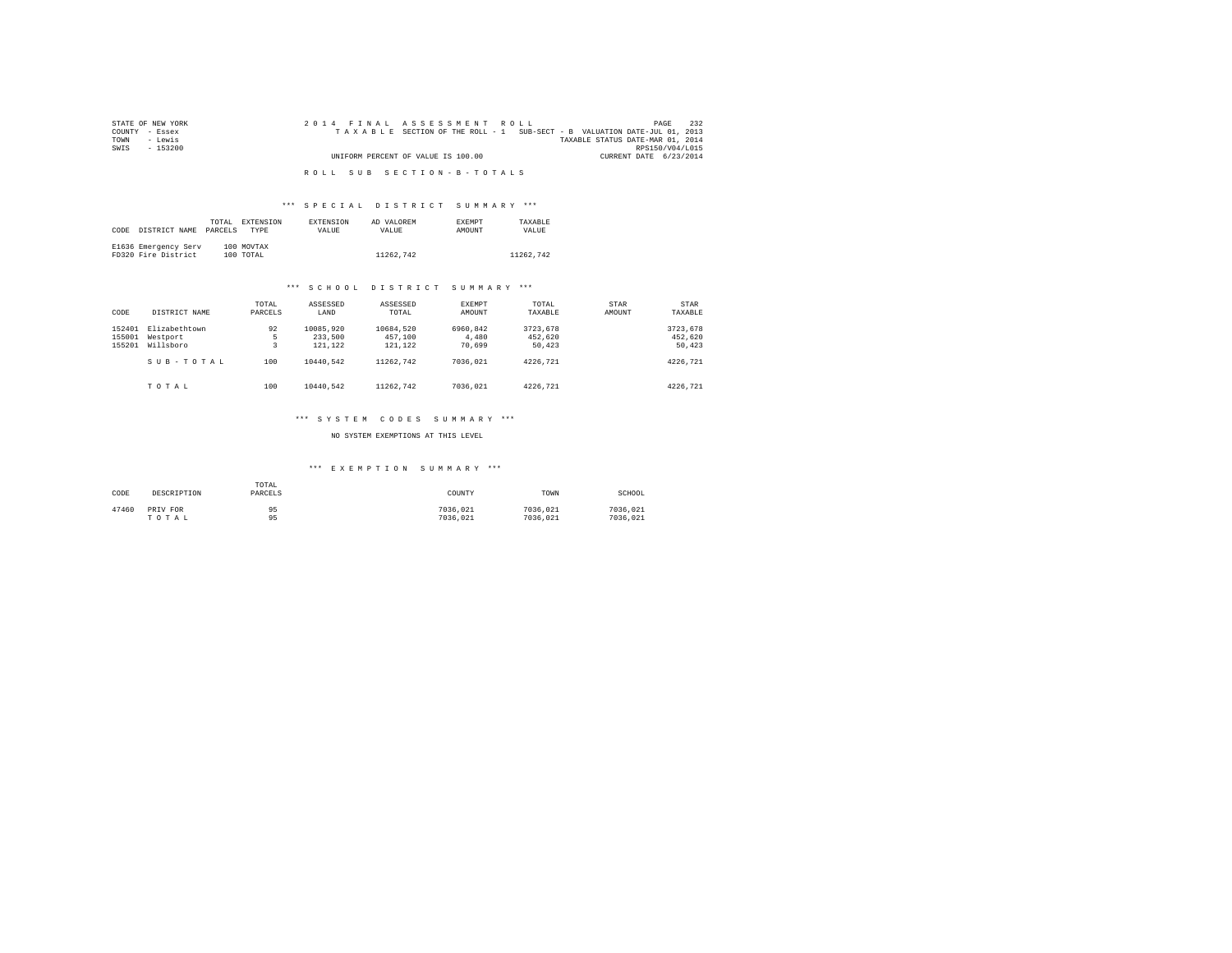| STATE OF NEW YORK | 2014 FINAL ASSESSMENT ROLL                                               | 232<br>PAGE     |
|-------------------|--------------------------------------------------------------------------|-----------------|
| COUNTY - Essex    | TAXABLE SECTION OF THE ROLL - 1 SUB-SECT - B VALUATION DATE-JUL 01, 2013 |                 |
| TOWN<br>siwe.T    | TAXABLE STATUS DATE-MAR 01, 2014                                         |                 |
| SWIS<br>$-153200$ |                                                                          | RPS150/V04/L015 |
|                   | UNIFORM PERCENT OF VALUE IS 100.00<br>CURRENT DATE 6/23/2014             |                 |
|                   |                                                                          |                 |
|                   | ROLL SUB SECTION-B-TOTALS                                                |                 |

# \*\*\* S P E C I A L D I S T R I C T S U M M A R Y \*\*\*

|      |                      | TOTAL   | <b>EXTENSION</b> | <b>EXTENSION</b> | AD VALOREM | <b>EXEMPT</b> | TAXARLE   |
|------|----------------------|---------|------------------|------------------|------------|---------------|-----------|
| CODE | DISTRICT NAME        | PARCELS | TYPE             | <b>VALUE</b>     | VALUE.     | AMOUNT        | VALUE     |
|      |                      |         |                  |                  |            |               |           |
|      | E1636 Emergency Serv |         | 100 MOVTAX       |                  |            |               |           |
|      | FD320 Fire District  |         | 100 TOTAL        |                  | 11262.742  |               | 11262.742 |

# \*\*\* S C H O O L D I S T R I C T S U M M A R Y \*\*\*

| CODE                       | DISTRICT NAME                          | TOTAL<br>PARCELS | ASSESSED<br>LAND                | ASSESSED<br>TOTAL               | <b>EXEMPT</b><br>AMOUNT     | TOTAL<br>TAXABLE              | STAR<br>AMOUNT | STAR<br>TAXABLE               |
|----------------------------|----------------------------------------|------------------|---------------------------------|---------------------------------|-----------------------------|-------------------------------|----------------|-------------------------------|
| 152401<br>155001<br>155201 | Elizabethtown<br>Westport<br>Willsboro | 92<br>5          | 10085.920<br>233,500<br>121,122 | 10684.520<br>457,100<br>121,122 | 6960.842<br>4,480<br>70.699 | 3723.678<br>452.620<br>50.423 |                | 3723,678<br>452.620<br>50,423 |
|                            | SUB-TOTAL                              | 100              | 10440.542                       | 11262.742                       | 7036.021                    | 4226.721                      |                | 4226.721                      |
|                            | TOTAL                                  | 100              | 10440.542                       | 11262.742                       | 7036.021                    | 4226.721                      |                | 4226.721                      |

# \*\*\* S Y S T E M C O D E S S U M M A R Y \*\*\*

# NO SYSTEM EXEMPTIONS AT THIS LEVEL

# \*\*\* E X E M P T I O N S U M M A R Y \*\*\*

| CODE<br>DESCRIPTION        | TOTAL<br>PARCELS | COUNTY               | TOWN                 | SCHOOL               |
|----------------------------|------------------|----------------------|----------------------|----------------------|
| 47460<br>PRIV FOR<br>TOTAL | 95<br>95         | 7036.021<br>7036.021 | 7036.021<br>7036.021 | 7036.021<br>7036.021 |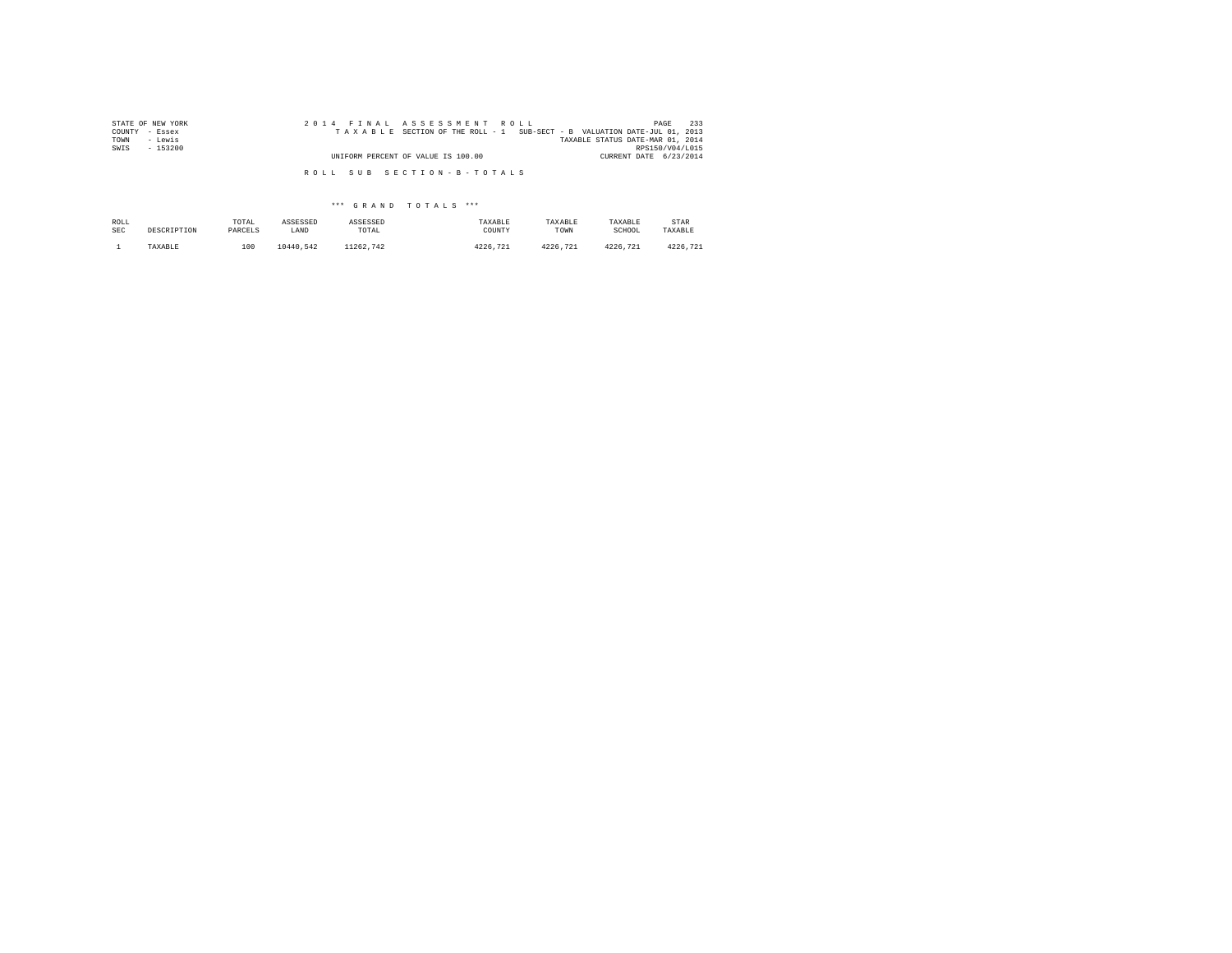| STATE OF NEW YORK | 2014 FINAL ASSESSMENT ROLL                                               | 233<br>PAGE                      |
|-------------------|--------------------------------------------------------------------------|----------------------------------|
| COUNTY - Essex    | TAXABLE SECTION OF THE ROLL - 1 SUB-SECT - B VALUATION DATE-JUL 01, 2013 |                                  |
| TOWN<br>- Lewis   |                                                                          | TAXABLE STATUS DATE-MAR 01, 2014 |
| SWIS<br>- 153200  |                                                                          | RPS150/V04/L015                  |
|                   | UNIFORM PERCENT OF VALUE IS 100.00                                       | CURRENT DATE 6/23/2014           |
|                   | ROLL SUB SECTION-B-TOTALS                                                |                                  |

| ROLL | DESCRIPTION | TOTAL   | ASSESSED  | ASSESSED  | TAXABLE     | TAXABLE      | TAXABLE  | STAR     |
|------|-------------|---------|-----------|-----------|-------------|--------------|----------|----------|
| SEC  |             | PARCELS | LAND      | TOTAL     | COUNTY      | TOWN         | SCHOOL   | TAXABLE  |
|      | TAXABLE     | 100     | 10440.542 | 11262.742 | 4226<br>721 | 4226<br>.721 | 4226.721 | 4226.721 |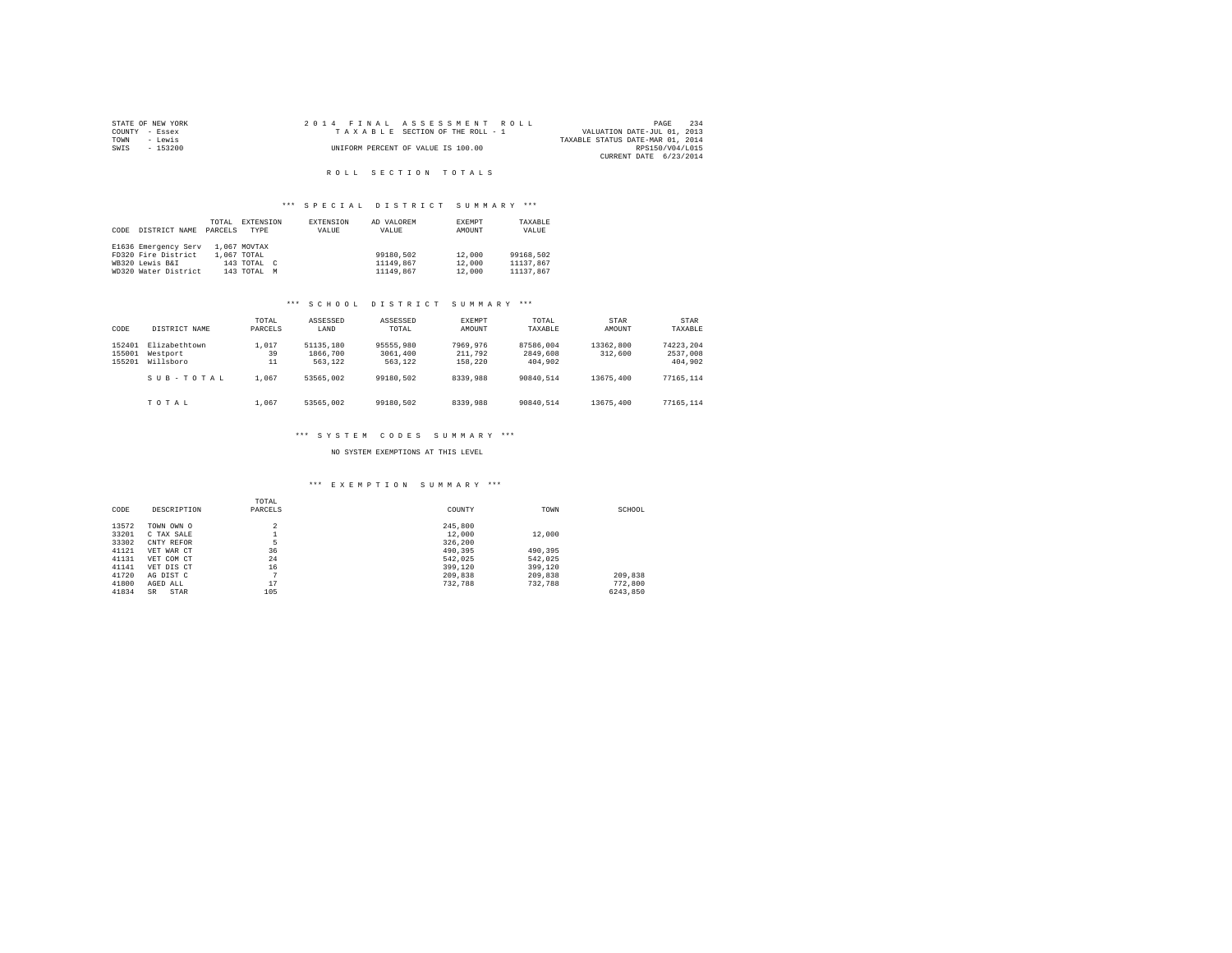|      | STATE OF NEW YORK |  |  |  | 2014 FINAL ASSESSMENT ROLL         |  |                                  |                 | PAGE | 234 |
|------|-------------------|--|--|--|------------------------------------|--|----------------------------------|-----------------|------|-----|
|      | COUNTY - Essex    |  |  |  | TAXABLE SECTION OF THE ROLL - 1    |  | VALUATION DATE-JUL 01, 2013      |                 |      |     |
| TOWN | - Lewis           |  |  |  |                                    |  | TAXABLE STATUS DATE-MAR 01, 2014 |                 |      |     |
| SWIS | $-153200$         |  |  |  | UNIFORM PERCENT OF VALUE IS 100.00 |  |                                  | RPS150/V04/L015 |      |     |
|      |                   |  |  |  |                                    |  | CURRENT DATE 6/23/2014           |                 |      |     |

# R O L L S E C T I O N T O T A L S

# \*\*\* S P E C I A L D I S T R I C T S U M M A R Y \*\*\*

| CODE | DISTRICT NAME        | TOTAL<br>PARCELS | <b>EXTENSION</b><br>TYPR | <b>EXTENSION</b><br>VALUE | AD VALOREM<br>VALUE | <b>EXEMPT</b><br>AMOUNT | TAXABLE<br>VALUE |
|------|----------------------|------------------|--------------------------|---------------------------|---------------------|-------------------------|------------------|
|      | E1636 Emergency Serv |                  | 1,067 MOVTAX             |                           |                     |                         |                  |
|      | FD320 Fire District  |                  | 1.067 TOTAL              |                           | 99180.502           | 12,000                  | 99168,502        |
|      | WR320 Lewis B&T      |                  | $143$ TOTAL $C$          |                           | 11149.867           | 12,000                  | 11137.867        |
|      | WD320 Water District |                  | 143 TOTAL M              |                           | 11149.867           | 12,000                  | 11137.867        |

# \*\*\* S C H O O L D I S T R I C T S U M M A R Y \*\*\*

| CODE                       | DISTRICT NAME                          | TOTAL<br>PARCELS  | ASSESSED<br>LAND                 | ASSESSED<br>TOTAL                | EXEMPT<br>AMOUNT               | TOTAL<br>TAXABLE                 | STAR<br>AMOUNT       | STAR<br>TAXABLE                  |
|----------------------------|----------------------------------------|-------------------|----------------------------------|----------------------------------|--------------------------------|----------------------------------|----------------------|----------------------------------|
| 152401<br>155001<br>155201 | Elizabethtown<br>Westport<br>Willsboro | 1,017<br>39<br>11 | 51135,180<br>1866,700<br>563.122 | 95555,980<br>3061,400<br>563,122 | 7969.976<br>211,792<br>158.220 | 87586.004<br>2849,608<br>404,902 | 13362,800<br>312,600 | 74223.204<br>2537,008<br>404,902 |
|                            | SUB-TOTAL                              | 1,067             | 53565.002                        | 99180.502                        | 8339,988                       | 90840.514                        | 13675,400            | 77165.114                        |
|                            | TOTAL                                  | 1.067             | 53565.002                        | 99180.502                        | 8339,988                       | 90840.514                        | 13675,400            | 77165.114                        |

### \*\*\* S Y S T E M C O D E S S U M M A R Y \*\*\*

NO SYSTEM EXEMPTIONS AT THIS LEVEL

# \*\*\* E X E M P T I O N S U M M A R Y \*\*\*

| CODE  | DESCRIPTION       | TOTAL<br>PARCELS | COUNTY  | TOWN    | SCHOOL   |
|-------|-------------------|------------------|---------|---------|----------|
| 13572 | TOWN OWN O        | $\overline{a}$   | 245,800 |         |          |
| 33201 | C TAX SALE        |                  | 12,000  | 12,000  |          |
| 33302 | CNTY REFOR        | 5                | 326,200 |         |          |
| 41121 | VET WAR CT        | 36               | 490.395 | 490.395 |          |
| 41131 | VET COM CT        | 24               | 542.025 | 542.025 |          |
| 41141 | VET DIS CT        | 16               | 399,120 | 399,120 |          |
| 41720 | AG DIST C         | $\overline{ }$   | 209,838 | 209,838 | 209,838  |
| 41800 | AGED ALL          | 17               | 732,788 | 732.788 | 772,800  |
| 41834 | STAR<br><b>SR</b> | 105              |         |         | 6243.850 |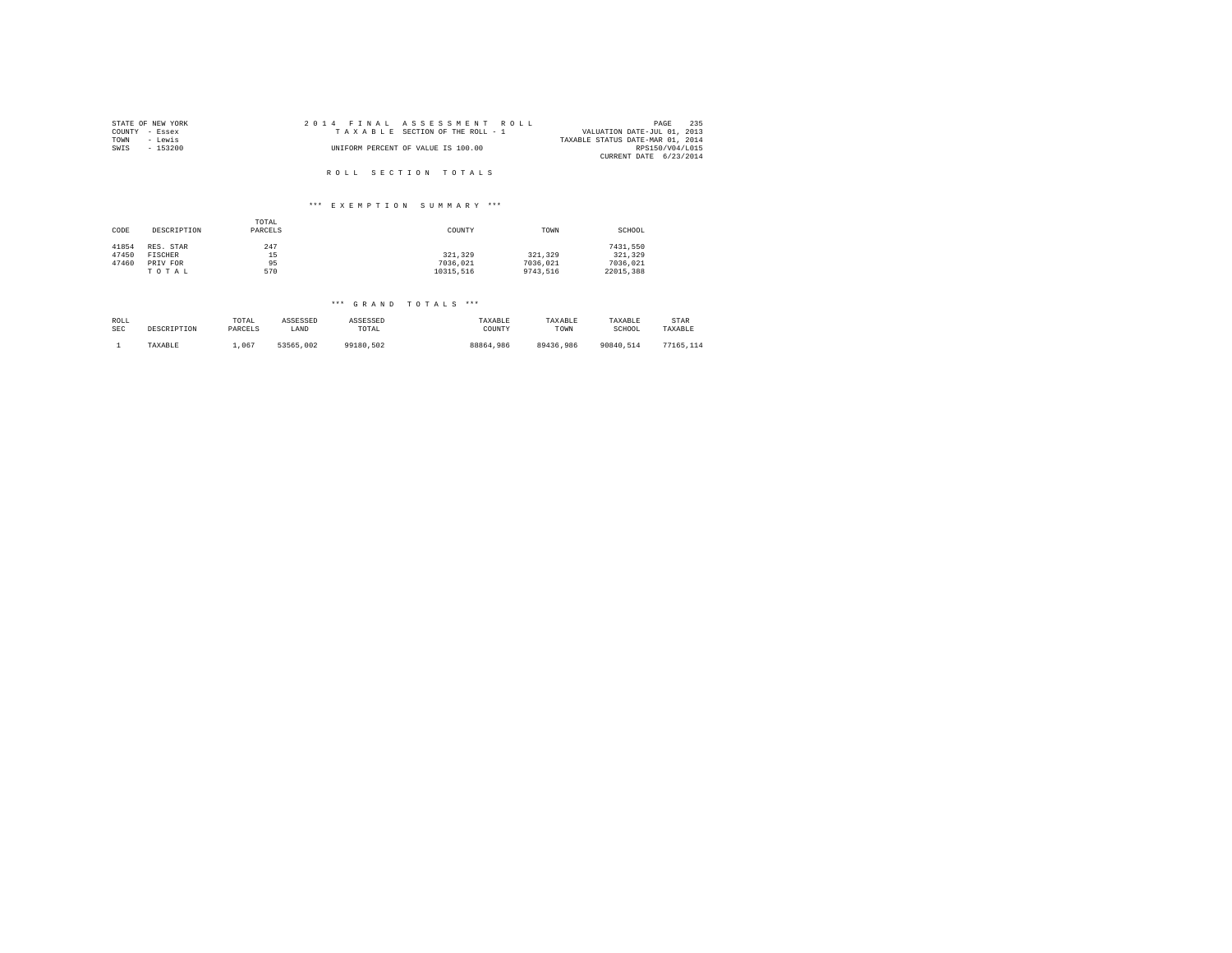| STATE OF NEW YORK | 2014 FINAL ASSESSMENT ROLL         | 235<br>PAGE                      |
|-------------------|------------------------------------|----------------------------------|
| COUNTY - Essex    | TAXABLE SECTION OF THE ROLL - 1    | VALUATION DATE-JUL 01, 2013      |
| TOWN<br>- Lewis   |                                    | TAXABLE STATUS DATE-MAR 01, 2014 |
| SWIS<br>$-153200$ | UNIFORM PERCENT OF VALUE IS 100.00 | RPS150/V04/L015                  |
|                   |                                    | CURRENT DATE 6/23/2014           |
|                   |                                    |                                  |
|                   | ROLL SECTION TOTALS                |                                  |

# \*\*\* E X E M P T I O N S U M M A R Y \*\*\*

| CODE  | DESCRIPTION | TOTAL<br>PARCELS | COUNTY    | TOWN     | SCHOOL    |
|-------|-------------|------------------|-----------|----------|-----------|
| 41854 | RES. STAR   | 247              |           |          | 7431.550  |
| 47450 | FISCHER     | 15               | 321.329   | 321,329  | 321,329   |
| 47460 | PRIV FOR    | 95               | 7036.021  | 7036.021 | 7036.021  |
|       | TOTAL       | 570              | 10315.516 | 9743.516 | 22015.388 |

| ROLL       | DESCRIPTION | TOTAL   | ASSESSED  | ASSESSED  | TAXABLE   | TAXABLE   | TAXABLE   | STAR      |
|------------|-------------|---------|-----------|-----------|-----------|-----------|-----------|-----------|
| <b>SEC</b> |             | PARCELS | LAND      | TOTAL     | COUNTY    | TOWN      | SCHOOL    | TAXABLE   |
|            | TAXABLE     | .067    | 53565.002 | 99180.502 | 88864,986 | 89436.986 | 90840.514 | 77165.114 |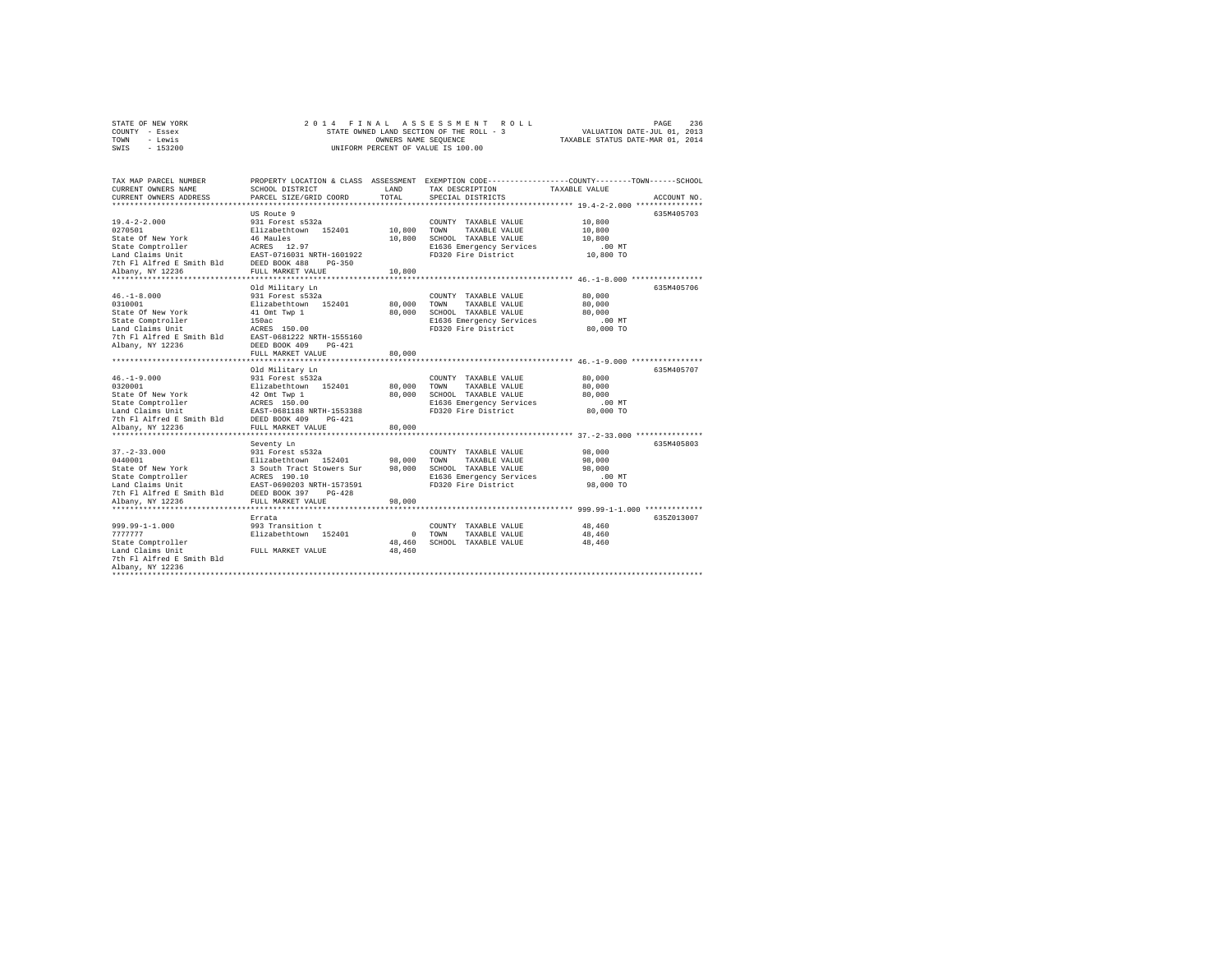| STATE OF NEW YORK |           |  |  |  | 2014 FINAL ASSESSMENT ROLL               |                                  | PAGE | 236 |
|-------------------|-----------|--|--|--|------------------------------------------|----------------------------------|------|-----|
| COUNTY - Essex    |           |  |  |  | STATE OWNED LAND SECTION OF THE ROLL - 3 | VALUATION DATE-JUL 01, 2013      |      |     |
| TOWN              | - Lewis   |  |  |  | OWNERS NAME SEOUENCE                     | TAXABLE STATUS DATE-MAR 01, 2014 |      |     |
| SWIS              | $-153200$ |  |  |  | UNIFORM PERCENT OF VALUE IS 100.00       |                                  |      |     |

| TAX MAP PARCEL NUMBER<br>CURRENT OWNERS NAME   | SCHOOL DISTRICT                                                                                                                                                                                                      | LAND        | PROPERTY LOCATION & CLASS ASSESSMENT EXEMPTION CODE----------------COUNTY-------TOWN------SCHOOL<br>TAX DESCRIPTION | TAXABLE VALUE |             |
|------------------------------------------------|----------------------------------------------------------------------------------------------------------------------------------------------------------------------------------------------------------------------|-------------|---------------------------------------------------------------------------------------------------------------------|---------------|-------------|
| CURRENT OWNERS ADDRESS                         | PARCEL SIZE/GRID COORD                                                                                                                                                                                               | TOTAL       | SPECIAL DISTRICTS                                                                                                   |               | ACCOUNT NO. |
|                                                | US Route 9                                                                                                                                                                                                           |             |                                                                                                                     |               | 635M405703  |
| $19.4 - 2 - 2.000$                             | 931 Forest s532a                                                                                                                                                                                                     |             | COUNTY TAXABLE VALUE                                                                                                | 10,800        |             |
| 0270501                                        | Elizabethtown 152401 10,800 TOWN                                                                                                                                                                                     |             | TAXABLE VALUE                                                                                                       | 10,800        |             |
| State Of New York                              | 46 Maules                                                                                                                                                                                                            |             | 10,800 SCHOOL TAXABLE VALUE                                                                                         | 10,800        |             |
|                                                |                                                                                                                                                                                                                      |             | E1636 Emergency Services                                                                                            | $.00$ MT      |             |
|                                                |                                                                                                                                                                                                                      |             | FD320 Fire District                                                                                                 | 10,800 TO     |             |
|                                                |                                                                                                                                                                                                                      |             |                                                                                                                     |               |             |
| Albany, NY 12236                               | FULL MARKET VALUE                                                                                                                                                                                                    | 10,800      |                                                                                                                     |               |             |
|                                                |                                                                                                                                                                                                                      |             |                                                                                                                     |               |             |
|                                                | Old Military Ln                                                                                                                                                                                                      |             |                                                                                                                     |               | 635M405706  |
| $46. - 1 - 8.000$                              | 931 Forest s532a                                                                                                                                                                                                     |             | COUNTY TAXABLE VALUE                                                                                                | 80,000        |             |
| 0310001                                        |                                                                                                                                                                                                                      |             | 80,000 TOWN TAXABLE VALUE                                                                                           | 80,000        |             |
| State Of New York                              | Elizabethtown 152401<br>41 Omt Twp 1                                                                                                                                                                                 | 80,000      | SCHOOL TAXABLE VALUE                                                                                                | 80,000        |             |
| State Comptroller                              |                                                                                                                                                                                                                      |             | E1636 Emergency Services                                                                                            | $.00$ MT      |             |
| Land Claims Unit                               | 150ac<br>ACRES 150.00                                                                                                                                                                                                |             | FD320 Fire District                                                                                                 | 80,000 TO     |             |
|                                                | 7th Fl Alfred E Smith Bld EAST-0681222 NRTH-1555160                                                                                                                                                                  |             |                                                                                                                     |               |             |
| Albany, NY 12236                               | DEED BOOK 409 PG-421                                                                                                                                                                                                 |             |                                                                                                                     |               |             |
|                                                | FULL MARKET VALUE                                                                                                                                                                                                    | 80,000      |                                                                                                                     |               |             |
|                                                |                                                                                                                                                                                                                      |             |                                                                                                                     |               |             |
|                                                | Old Military Ln                                                                                                                                                                                                      |             |                                                                                                                     |               | 635M405707  |
| $46. - 1 - 9.000$                              | 931 Forest s532a                                                                                                                                                                                                     |             | COUNTY TAXABLE VALUE                                                                                                | 80,000        |             |
| 0320001                                        | Elizabethtown 152401<br>42 Omt Twp 1                                                                                                                                                                                 | 80,000      | TAXABLE VALUE<br>TOWN                                                                                               | 80,000        |             |
| State Of New York                              |                                                                                                                                                                                                                      | 80,000      | SCHOOL TAXABLE VALUE                                                                                                | 80,000        |             |
| State Comptroller                              | ACRES 150.00<br>EAST-0681188 NRTH-1553388                                                                                                                                                                            |             | E1636 Emergency Services .00 MT                                                                                     |               |             |
| Land Claims Unit                               |                                                                                                                                                                                                                      |             | FD320 Fire District                                                                                                 | 80,000 TO     |             |
| 7th F1 Alfred E Smith Bld DEED BOOK 409 PG-421 |                                                                                                                                                                                                                      |             |                                                                                                                     |               |             |
| Albany, NY 12236                               | FULL MARKET VALUE                                                                                                                                                                                                    | 80,000      |                                                                                                                     |               |             |
|                                                | Seventy Ln                                                                                                                                                                                                           |             |                                                                                                                     |               | 635M405803  |
| $37. - 2 - 33.000$                             |                                                                                                                                                                                                                      |             | COUNTY TAXABLE VALUE                                                                                                | 98,000        |             |
| 0440001                                        | 931 Forest s532a<br>Elizabethtown 152401                                                                                                                                                                             | 98,000 TOWN | TAXABLE VALUE                                                                                                       | 98,000        |             |
| State Of New York                              | 3 South Tract Stowers Sur 98,000                                                                                                                                                                                     |             | SCHOOL TAXABLE VALUE                                                                                                | 98,000        |             |
|                                                |                                                                                                                                                                                                                      |             |                                                                                                                     | $.00$ MT      |             |
|                                                | State Comptroller<br>Land Claims Unit<br>Land Claims Unit<br>The Plaifred E Smith Bld<br>21 DEED BOK 397 PG-428<br>21 Denvis North Plain (19736 PDF)<br>21 Denvis North Plain (1974)<br>21 Denvis North Plain (1974) |             | E1636 Emergency Services<br>FD320 Fire District                                                                     | 98,000 TO     |             |
|                                                |                                                                                                                                                                                                                      |             |                                                                                                                     |               |             |
| Albany, NY 12236                               | FULL MARKET VALUE                                                                                                                                                                                                    | 98,000      |                                                                                                                     |               |             |
|                                                |                                                                                                                                                                                                                      |             |                                                                                                                     |               |             |
|                                                | Errata                                                                                                                                                                                                               |             |                                                                                                                     |               | 635Z013007  |
| 999.99-1-1.000                                 | 993 Transition t                                                                                                                                                                                                     |             | COUNTY TAXABLE VALUE                                                                                                | 48,460        |             |
| 7777777                                        | Elizabethtown 152401                                                                                                                                                                                                 | $0$ TOWN    | TAXABLE VALUE                                                                                                       | 48,460        |             |
| State Comptroller                              |                                                                                                                                                                                                                      | 48,460      | SCHOOL TAXABLE VALUE                                                                                                | 48,460        |             |
| Land Claims Unit                               | FULL MARKET VALUE                                                                                                                                                                                                    | 48,460      |                                                                                                                     |               |             |
| 7th Fl Alfred E Smith Bld                      |                                                                                                                                                                                                                      |             |                                                                                                                     |               |             |
| Albany, NY 12236                               |                                                                                                                                                                                                                      |             |                                                                                                                     |               |             |
|                                                |                                                                                                                                                                                                                      |             |                                                                                                                     |               |             |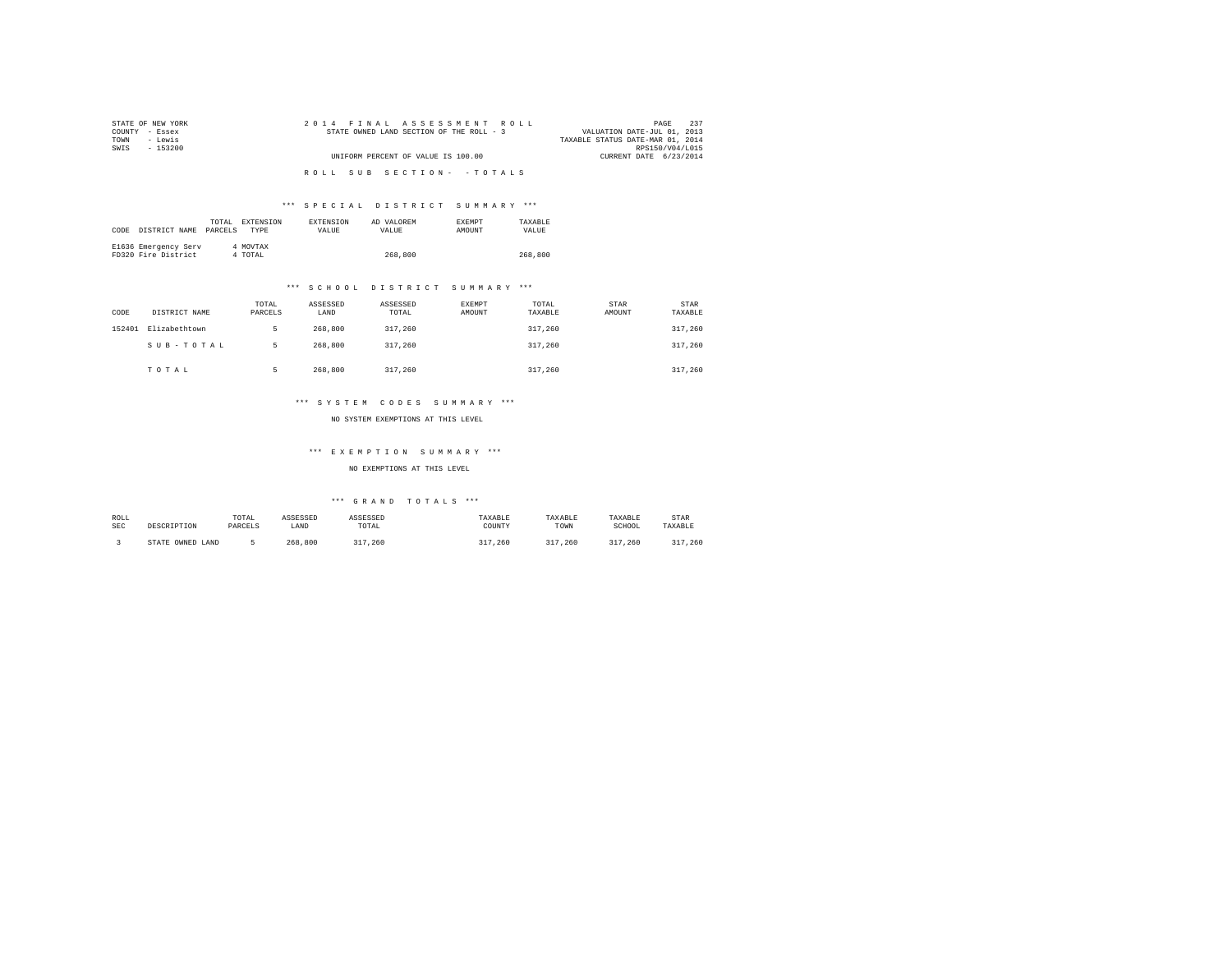| STATE OF NEW YORK | 2014 FINAL ASSESSMENT ROLL               | 237<br>PAGE                      |
|-------------------|------------------------------------------|----------------------------------|
| COUNTY - Essex    | STATE OWNED LAND SECTION OF THE ROLL - 3 | VALUATION DATE-JUL 01, 2013      |
| - Lewis<br>TOWN   |                                          | TAXABLE STATUS DATE-MAR 01, 2014 |
| SWIS<br>$-153200$ |                                          | RPS150/V04/L015                  |
|                   | UNIFORM PERCENT OF VALUE IS 100.00       | CURRENT DATE 6/23/2014           |
|                   |                                          |                                  |
|                   | ROLL SUB SECTION- - TOTALS               |                                  |

# \*\*\* S P E C I A L D I S T R I C T S U M M A R Y \*\*\*

| CODE | DISTRICT NAME                               | TOTAL.<br>PARCELS | EXTENSION<br><b>TYPE</b> | <b>EXTENSION</b><br>VALUE | AD VALOREM<br>VALUE | <b>EXEMPT</b><br>AMOUNT | TAXARLE<br>VALUE |
|------|---------------------------------------------|-------------------|--------------------------|---------------------------|---------------------|-------------------------|------------------|
|      | E1636 Emergency Serv<br>FD320 Fire District |                   | 4 MOVTAX<br>4 TOTAL      |                           | 268,800             |                         | 268,800          |

# \*\*\* S C H O O L D I S T R I C T S U M M A R Y \*\*\*

| CODE   | DISTRICT NAME | TOTAL<br>PARCELS | ASSESSED<br>LAND | ASSESSED<br>TOTAL | EXEMPT<br>AMOUNT | TOTAL<br>TAXABLE | STAR<br>AMOUNT | STAR<br>TAXABLE |
|--------|---------------|------------------|------------------|-------------------|------------------|------------------|----------------|-----------------|
| 152401 | Elizabethtown | ь                | 268,800          | 317,260           |                  | 317,260          |                | 317,260         |
|        | SUB-TOTAL     | 5                | 268,800          | 317,260           |                  | 317,260          |                | 317,260         |
|        | TOTAL         |                  | 268,800          | 317,260           |                  | 317,260          |                | 317,260         |

# \*\*\* S Y S T E M C O D E S S U M M A R Y \*\*\*

NO SYSTEM EXEMPTIONS AT THIS LEVEL

# \*\*\* E X E M P T I O N S U M M A R Y \*\*\*

NO EXEMPTIONS AT THIS LEVEL

| ROLL<br>SEC | DESCRIPTION      | TOTAL<br>PARCELS | ASSESSED<br>LAND | ASSESSED<br>TOTAL<br>the contract of the contract of the | TAXABLE<br>COUNTY | TAXABLE<br>TOWN | TAXABLE<br>SCHOOL | STAR<br>TAXABLE |
|-------------|------------------|------------------|------------------|----------------------------------------------------------|-------------------|-----------------|-------------------|-----------------|
|             | STATE OWNED LAND |                  | 268,800          | 317,260                                                  | .260              | 317<br>.260     | .260              | 217<br>.260     |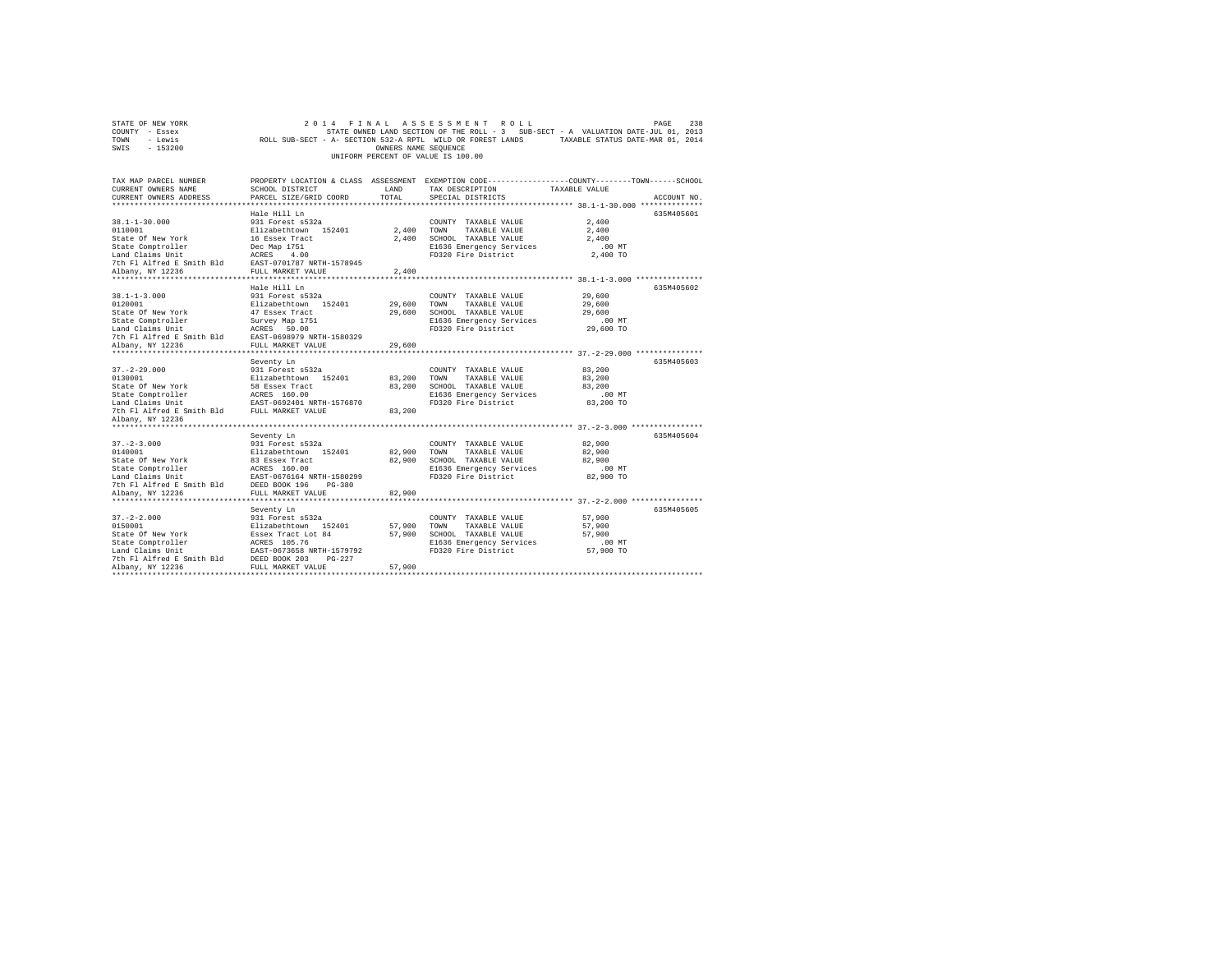| TOWN<br>- Lewis<br>SWIS<br>$-153200$                                                                                                                                        | ROLL SUB-SECT - A- SECTION 532-A RPTL WILD OR FOREST LANDS                                                                                                                                         | OWNERS NAME SEQUENCE                        | UNIFORM PERCENT OF VALUE IS 100.00                                                                                       | TAXABLE STATUS DATE-MAR 01, 2014                                                                                                                                   |  |
|-----------------------------------------------------------------------------------------------------------------------------------------------------------------------------|----------------------------------------------------------------------------------------------------------------------------------------------------------------------------------------------------|---------------------------------------------|--------------------------------------------------------------------------------------------------------------------------|--------------------------------------------------------------------------------------------------------------------------------------------------------------------|--|
| TAX MAP PARCEL NUMBER<br>CURRENT OWNERS NAME<br>CURRENT OWNERS ADDRESS                                                                                                      | SCHOOL DISTRICT<br>PARCEL SIZE/GRID COORD                                                                                                                                                          | LAND<br>TOTAL                               | TAX DESCRIPTION<br>SPECIAL DISTRICTS                                                                                     | PROPERTY LOCATION & CLASS ASSESSMENT EXEMPTION CODE---------------COUNTY-------TOWN-----SCHOOL<br>TAXABLE VALUE<br>ACCOUNT NO.                                     |  |
| $38.1 - 1 - 30.000$<br>0110001<br>State Of New York<br>State Comptroller<br>Land Claims Unit<br>7th Fl Alfred E Smith Bld<br>Albany, NY 12236                               | Hale Hill Ln<br>931 Forest s532a<br>Elizabethtown 152401<br>16 Essex Tract<br>Dec Map 1751<br>ACRES<br>4.00<br>EAST-0701787 NRTH-1578945<br>FULL MARKET VALUE                                      | 2,400<br>2,400<br>2,400                     | COUNTY TAXABLE VALUE<br>TOWN<br>TAXABLE VALUE<br>SCHOOL TAXABLE VALUE<br>E1636 Emergency Services<br>FD320 Fire District | 635M405601<br>2,400<br>2,400<br>2,400<br>.00 MT<br>2,400 TO                                                                                                        |  |
| $38.1 - 1 - 3.000$<br>0120001<br>State Of New York<br>State Comptroller<br>Land Claims Unit<br>7th Fl Alfred E Smith Bld<br>Albany, NY 12236<br>*************************** | Hale Hill Ln<br>931 Forest s532a<br>Elizabethtown 152401<br>47 Essex Tract<br>Survey Map 1751<br>ACRES 50.00<br>EAST-0698979 NRTH-1580329<br>FULL MARKET VALUE<br>************************         | 29,600<br>29,600<br>29,600<br>************* | COUNTY TAXABLE VALUE<br>TOWN<br>TAXABLE VALUE<br>SCHOOL TAXABLE VALUE<br>E1636 Emergency Services<br>FD320 Fire District | 635M405602<br>29,600<br>29,600<br>29,600<br>.00 MT<br>29,600 TO                                                                                                    |  |
| $37. - 2 - 29.000$<br>0130001<br>State Of New York<br>State Comptroller<br>Land Claims Unit<br>7th Fl Alfred E Smith Bld<br>Albany, NY 12236                                | Seventy Ln<br>931 Forest s532a<br>Elizabethtown 152401<br>58 Essex Tract<br>ACRES 160.00<br>EAST-0692401 NRTH-1576870<br>FULL MARKET VALUE                                                         | 83,200<br>83,200<br>83,200                  | COUNTY TAXABLE VALUE<br>TOWN<br>TAXABLE VALUE<br>SCHOOL TAXABLE VALUE<br>E1636 Emergency Services<br>FD320 Fire District | 635M405603<br>83,200<br>83,200<br>83,200<br>$.00$ MT<br>83,200 TO                                                                                                  |  |
| *****************<br>$37. - 2 - 3.000$<br>0140001<br>State Of New York<br>State Comptroller<br>Land Claims Unit<br>7th Fl Alfred E Smith Bld<br>Albany, NY 12236            | Seventy Ln<br>931 Forest s532a<br>Elizabethtown 152401<br>83 Essex Tract<br>ACRES 160.00<br>EAST-0676164 NRTH-1580299<br>DEED BOOK 196<br>$PG-380$<br>FULL MARKET VALUE<br>*********************** | 82,900<br>82,900<br>82,900                  | COUNTY TAXABLE VALUE<br>TOWN<br>TAXABLE VALUE<br>SCHOOL TAXABLE VALUE<br>E1636 Emergency Services<br>FD320 Fire District | ********* 37. -2-3.000 **************<br>635M405604<br>82,900<br>82,900<br>82,900<br>.00 MT<br>82,900 TO<br>************************ 37. -2-2.000 **************** |  |
| $37. - 2 - 2.000$<br>0150001<br>State Of New York<br>State Comptroller<br>Land Claims Unit<br>7th Fl Alfred E Smith Bld<br>Albany, NY 12236                                 | Seventy Ln<br>931 Forest s532a<br>Elizabethtown 152401<br>Essex Tract Lot 84<br>ACRES 105.76<br>EAST-0673658 NRTH-1579792<br>DEED BOOK 203<br>$PG-227$<br>FULL MARKET VALUE                        | 57,900<br>57,900<br>57,900                  | COUNTY TAXABLE VALUE<br>TOWN<br>TAXABLE VALUE<br>SCHOOL TAXABLE VALUE<br>E1636 Emergency Services<br>FD320 Fire District | 635M405605<br>57,900<br>57,900<br>57,900<br>.00MT<br>57,900 TO                                                                                                     |  |

STATE OF NEW YORK<br>COUNTY - Essex STATE ON A STATE OWNED LAND SECTION OF THE ROLL - 3 SUB-SECT - A VALUATION DATE-JUL 01, 2013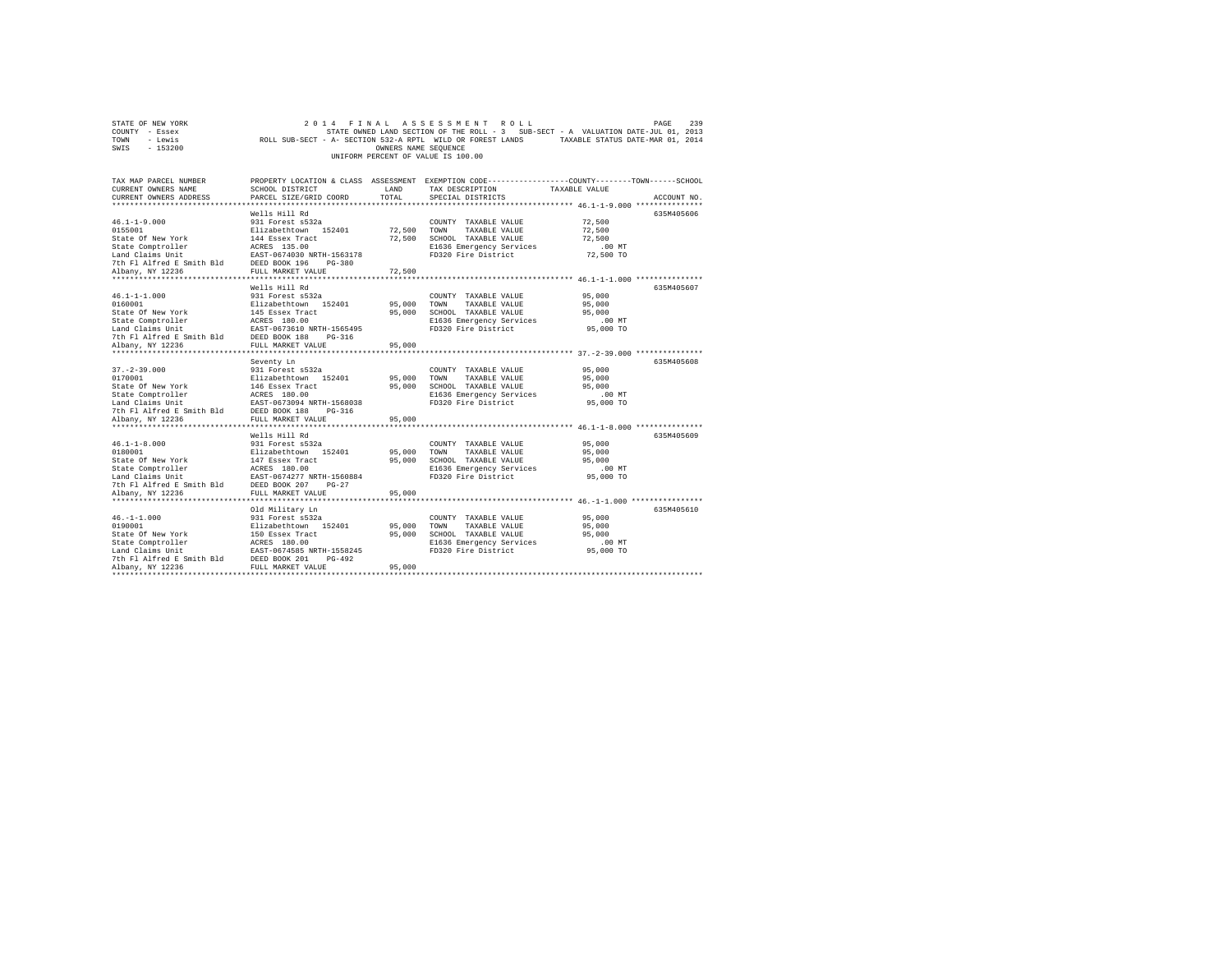| STATE OF NEW YORK |          |  |  |  |  |                                    |  | 2014 FINAL ASSESSMENT ROLL                                 |                                                                                   |  |                                  | PAGE | 239 |
|-------------------|----------|--|--|--|--|------------------------------------|--|------------------------------------------------------------|-----------------------------------------------------------------------------------|--|----------------------------------|------|-----|
| COUNTY - Essex    |          |  |  |  |  |                                    |  |                                                            | STATE OWNED LAND SECTION OF THE ROLL - 3 SUB-SECT - A VALUATION DATE-JUL 01, 2013 |  |                                  |      |     |
| TOWN              | - Lewis  |  |  |  |  |                                    |  | ROLL SUB-SECT - A- SECTION 532-A RPTL WILD OR FOREST LANDS |                                                                                   |  | TAXABLE STATUS DATE-MAR 01, 2014 |      |     |
| SWIS              | - 153200 |  |  |  |  | OWNERS NAME SEOUENCE               |  |                                                            |                                                                                   |  |                                  |      |     |
|                   |          |  |  |  |  | UNIFORM PERCENT OF VALUE IS 100.00 |  |                                                            |                                                                                   |  |                                  |      |     |

| TAX MAP PARCEL NUMBER<br>CURRENT OWNERS NAME<br>CURRENT OWNERS ADDRESS                                                                                                                                                                    | SCHOOL DISTRICT<br>PARCEL SIZE/GRID COORD | LAND<br>TOTAL | PROPERTY LOCATION & CLASS ASSESSMENT EXEMPTION CODE---------------COUNTY-------TOWN------SCHOOL<br>TAX DESCRIPTION<br>SPECIAL DISTRICTS | TAXABLE VALUE         | ACCOUNT NO. |
|-------------------------------------------------------------------------------------------------------------------------------------------------------------------------------------------------------------------------------------------|-------------------------------------------|---------------|-----------------------------------------------------------------------------------------------------------------------------------------|-----------------------|-------------|
|                                                                                                                                                                                                                                           | Wells Hill Rd                             |               |                                                                                                                                         |                       | 635M405606  |
| 46.1-1-9.000<br>931 Forest s532a<br>0155001<br>931 Forest s532a<br>Silzabethtown 152401 72,500 TOWN TAXABLE VALUE 72,500<br>State Of New York<br>State Comptroller ARSE 315.00<br>State Comptroller ARSE 315.00<br>27,500 ECHO1030 NRTH-1 |                                           |               |                                                                                                                                         |                       |             |
|                                                                                                                                                                                                                                           |                                           |               |                                                                                                                                         | $.00$ MT<br>72,500 TO |             |
|                                                                                                                                                                                                                                           |                                           |               |                                                                                                                                         |                       |             |
|                                                                                                                                                                                                                                           | Wells Hill Rd                             |               |                                                                                                                                         |                       | 635M405607  |
|                                                                                                                                                                                                                                           |                                           |               | COUNTY TAXABLE VALUE 95,000                                                                                                             |                       |             |
|                                                                                                                                                                                                                                           |                                           |               |                                                                                                                                         | 95,000                |             |
|                                                                                                                                                                                                                                           |                                           |               |                                                                                                                                         | 95,000                |             |
|                                                                                                                                                                                                                                           |                                           |               | E1636 Emergency Services<br>FD320 Fire District                                                                                         | .00 MT                |             |
| USALE USING THE RESULTS AND RESULTS AND RESULTS AND RESULTS AND RESULTS TO THE PLANE THAT THE PRESULTS OF THE RESULTS OF THE PLANE THAT THE PRESULTS OF THE PRESULTS OF THE PLANE THAT THE PRESULTS OF THE PLANE THAT THE PRES            |                                           |               |                                                                                                                                         | $95,000$ TO           |             |
|                                                                                                                                                                                                                                           |                                           | 95,000        |                                                                                                                                         |                       |             |
|                                                                                                                                                                                                                                           | Seventy Ln                                |               |                                                                                                                                         |                       | 635M405608  |
| $37. - 2 - 39.000$                                                                                                                                                                                                                        |                                           |               | COUNTY TAXABLE VALUE                                                                                                                    | 95,000                |             |
| 0170001                                                                                                                                                                                                                                   |                                           |               |                                                                                                                                         | 95,000                |             |
|                                                                                                                                                                                                                                           |                                           |               |                                                                                                                                         |                       |             |
|                                                                                                                                                                                                                                           |                                           |               |                                                                                                                                         |                       |             |
|                                                                                                                                                                                                                                           |                                           |               |                                                                                                                                         |                       |             |
|                                                                                                                                                                                                                                           |                                           |               |                                                                                                                                         |                       |             |
|                                                                                                                                                                                                                                           |                                           |               |                                                                                                                                         |                       |             |
|                                                                                                                                                                                                                                           |                                           |               |                                                                                                                                         |                       |             |
|                                                                                                                                                                                                                                           | Wells Hill Rd                             |               |                                                                                                                                         |                       | 635M405609  |
|                                                                                                                                                                                                                                           |                                           |               |                                                                                                                                         | 95,000                |             |
|                                                                                                                                                                                                                                           |                                           |               |                                                                                                                                         | 95,000                |             |
|                                                                                                                                                                                                                                           |                                           |               | 95,000 SCHOOL TAXABLE VALUE 95,000<br>E1636 Emergency Services .00 MT                                                                   |                       |             |
|                                                                                                                                                                                                                                           |                                           |               |                                                                                                                                         |                       |             |
|                                                                                                                                                                                                                                           |                                           |               |                                                                                                                                         | 95,000 TO             |             |
|                                                                                                                                                                                                                                           |                                           |               |                                                                                                                                         |                       |             |
|                                                                                                                                                                                                                                           |                                           |               |                                                                                                                                         |                       |             |
|                                                                                                                                                                                                                                           | Old Military Ln                           |               |                                                                                                                                         |                       | 635M405610  |
|                                                                                                                                                                                                                                           |                                           |               | COUNTY TAXABLE VALUE                                                                                                                    | 95,000                |             |
|                                                                                                                                                                                                                                           |                                           | 95,000 TOWN   | TAXABLE VALUE                                                                                                                           | 95,000                |             |
| 46. –1 –1. 000<br>931 Forest S32a<br>931 Forest S32a<br>95.000<br>State Of New York B11 and ISO Essex Tract 95,000<br>State Comptroller ACRES 180.00<br>EARST -0674585 NRTH-1558245<br>Acad Claims Unit EARST -0674585 NRTH-1558245       |                                           | 95,000        | SCHOOL TAXABLE VALUE                                                                                                                    | 95,000                |             |
|                                                                                                                                                                                                                                           |                                           |               |                                                                                                                                         |                       |             |
|                                                                                                                                                                                                                                           |                                           |               |                                                                                                                                         |                       |             |
| 7th F1 Alfred E Smith Bld DEED BOOK 201                                                                                                                                                                                                   | PG-492                                    |               |                                                                                                                                         |                       |             |
| Albany, NY 12236                                                                                                                                                                                                                          | FULL MARKET VALUE                         | 95,000        |                                                                                                                                         |                       |             |
|                                                                                                                                                                                                                                           |                                           |               |                                                                                                                                         |                       |             |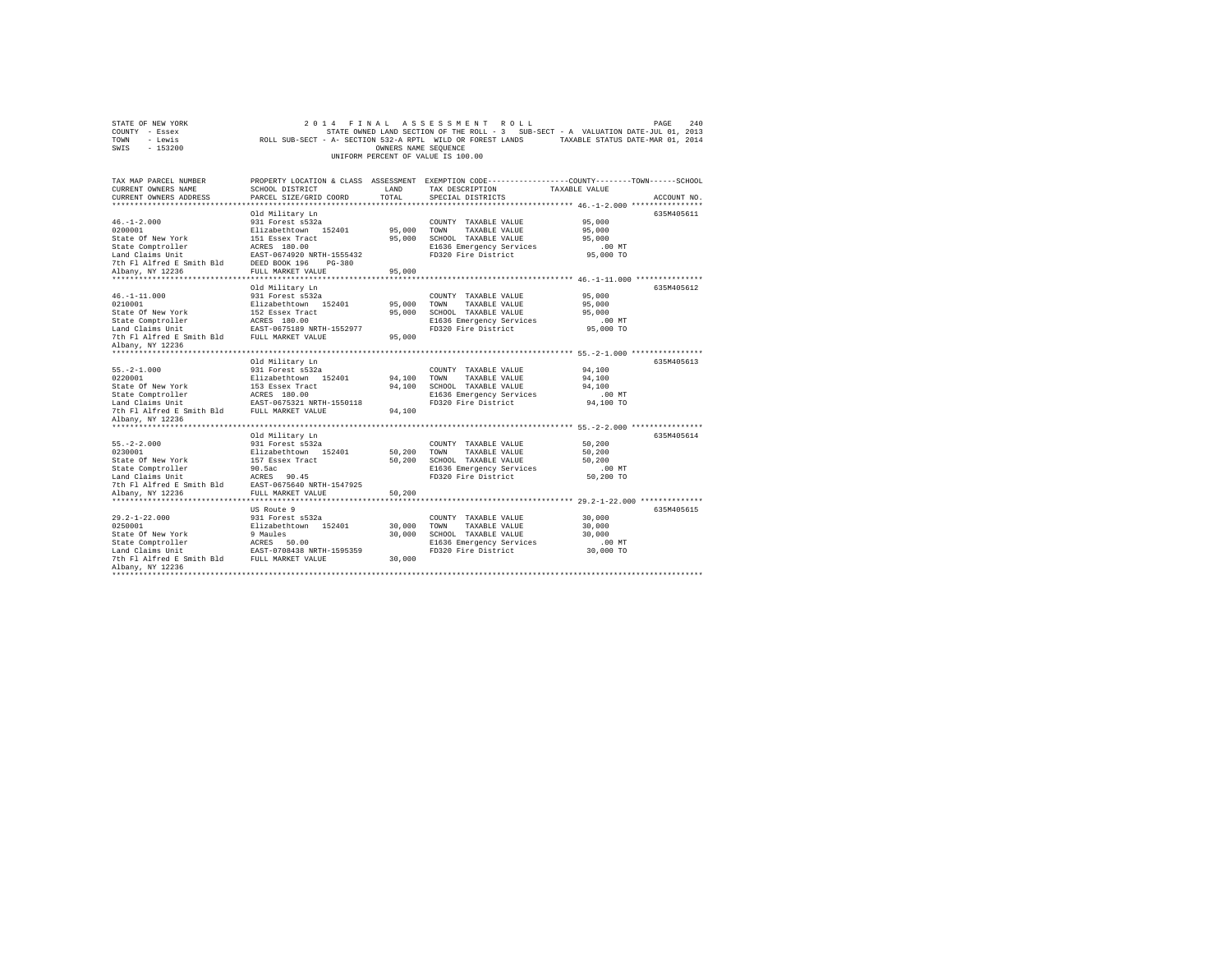| TOWN<br>- Lewis<br>SWIS<br>$-153200$                                                                                                                           | ROLL SUB-SECT - A- SECTION 532-A RPTL WILD OR FOREST LANDS                                                                                                                     | OWNERS NAME SEOUENCE       | UNIFORM PERCENT OF VALUE IS 100.00                                                                                       | TAXABLE STATUS DATE-MAR 01, 2014                                                                                                                                        |
|----------------------------------------------------------------------------------------------------------------------------------------------------------------|--------------------------------------------------------------------------------------------------------------------------------------------------------------------------------|----------------------------|--------------------------------------------------------------------------------------------------------------------------|-------------------------------------------------------------------------------------------------------------------------------------------------------------------------|
| TAX MAP PARCEL NUMBER<br>CURRENT OWNERS NAME<br>CURRENT OWNERS ADDRESS<br>************************                                                             | SCHOOL DISTRICT<br>PARCEL SIZE/GRID COORD                                                                                                                                      | LAND<br>TOTAL              | TAX DESCRIPTION<br>SPECIAL DISTRICTS                                                                                     | PROPERTY LOCATION & CLASS ASSESSMENT EXEMPTION CODE----------------COUNTY-------TOWN------SCHOOL<br>TAXABLE VALUE<br>ACCOUNT NO.                                        |
| $46. -1 - 2.000$<br>0200001<br>State Of New York<br>State Comptroller<br>Land Claims Unit<br>7th Fl Alfred E Smith Bld<br>Albany, NY 12236                     | Old Military Ln<br>931 Forest s532a<br>Elizabethtown 152401<br>151 Essex Tract<br>ACRES 180.00<br>EAST-0674920 NRTH-1555432<br>DEED BOOK 196<br>$PG-380$<br>FULL MARKET VALUE  | 95,000<br>95,000<br>95,000 | COUNTY TAXABLE VALUE<br>TOWN<br>TAXABLE VALUE<br>SCHOOL TAXABLE VALUE<br>E1636 Emergency Services<br>FD320 Fire District | 635M405611<br>95,000<br>95,000<br>95,000<br>.00 MT<br>95,000 TO                                                                                                         |
| $46. -1 - 11.000$<br>0210001<br>State Of New York<br>State Comptroller<br>Land Claims Unit<br>7th Fl Alfred E Smith Bld<br>Albany, NY 12236                    | **************************<br>Old Military Ln<br>931 Forest s532a<br>Elizabethtown 152401<br>152 Essex Tract<br>ACRES 180.00<br>EAST-0675189 NRTH-1552977<br>FULL MARKET VALUE | 95,000<br>95,000<br>95,000 | COUNTY TAXABLE VALUE<br>TOWN<br>TAXABLE VALUE<br>SCHOOL TAXABLE VALUE<br>E1636 Emergency Services<br>FD320 Fire District | *********************** 46. -1-11.000 ***************<br>635M405612<br>95,000<br>95,000<br>95,000<br>$.00$ MT<br>95,000 TO<br>*********** 55.-2-1.000 ***************** |
| $55. -2 - 1.000$<br>0220001<br>State Of New York<br>State Comptroller<br>Land Claims Unit<br>7th Fl Alfred E Smith Bld<br>Albany, NY 12236                     | Old Military Ln<br>931 Forest s532a<br>Elizabethtown 152401<br>153 Essex Tract<br>ACRES 180.00<br>EAST-0675321 NRTH-1550118<br>FULL MARKET VALUE                               | 94,100<br>94,100<br>94,100 | COUNTY TAXABLE VALUE<br>TOWN<br>TAXABLE VALUE<br>SCHOOL TAXABLE VALUE<br>E1636 Emergency Services<br>FD320 Fire District | 635M405613<br>94,100<br>94,100<br>94,100<br>$.00$ MT<br>94,100 TO                                                                                                       |
| ****************<br>$55. -2 - 2.000$<br>0230001<br>State Of New York<br>State Comptroller<br>Land Claims Unit<br>7th Fl Alfred E Smith Bld<br>Albany, NY 12236 | Old Military Ln<br>931 Forest s532a<br>Elizabethtown 152401<br>157 Essex Tract<br>90.5ac<br>ACRES 90.45<br>EAST-0675640 NRTH-1547925<br>FULL MARKET VALUE                      | 50,200<br>50,200<br>50,200 | COUNTY TAXABLE VALUE<br>TOWN<br>TAXABLE VALUE<br>SCHOOL TAXABLE VALUE<br>E1636 Emergency Services<br>FD320 Fire District | ********* 55.-2-2.000 *************<br>635M405614<br>50,200<br>50,200<br>50,200<br>$.00$ MT<br>50,200 TO<br>*************** 29.2-1-22.000 **************                |
| $29.2 - 1 - 22.000$<br>0250001<br>State Of New York<br>State Comptroller<br>Land Claims Unit<br>7th Fl Alfred E Smith Bld<br>Albany, NY 12236                  | US Route 9<br>931 Forest s532a<br>Elizabethtown 152401<br>9 Maules<br>ACRES 50.00<br>EAST-0708438 NRTH-1595359<br>FULL MARKET VALUE                                            | 30,000<br>30,000<br>30,000 | COUNTY TAXABLE VALUE<br>TOWN<br>TAXABLE VALUE<br>SCHOOL TAXABLE VALUE<br>E1636 Emergency Services<br>FD320 Fire District | 635M405615<br>30,000<br>30,000<br>30,000<br>.00MT<br>30,000 TO                                                                                                          |

STATE OF NEW YORK<br>COUNTY - Essex SAD STATE OWNED LAND SECTION OF THE ROLL - 3 SUB-SECT - A VALUATION DATE-JUL 01, 2013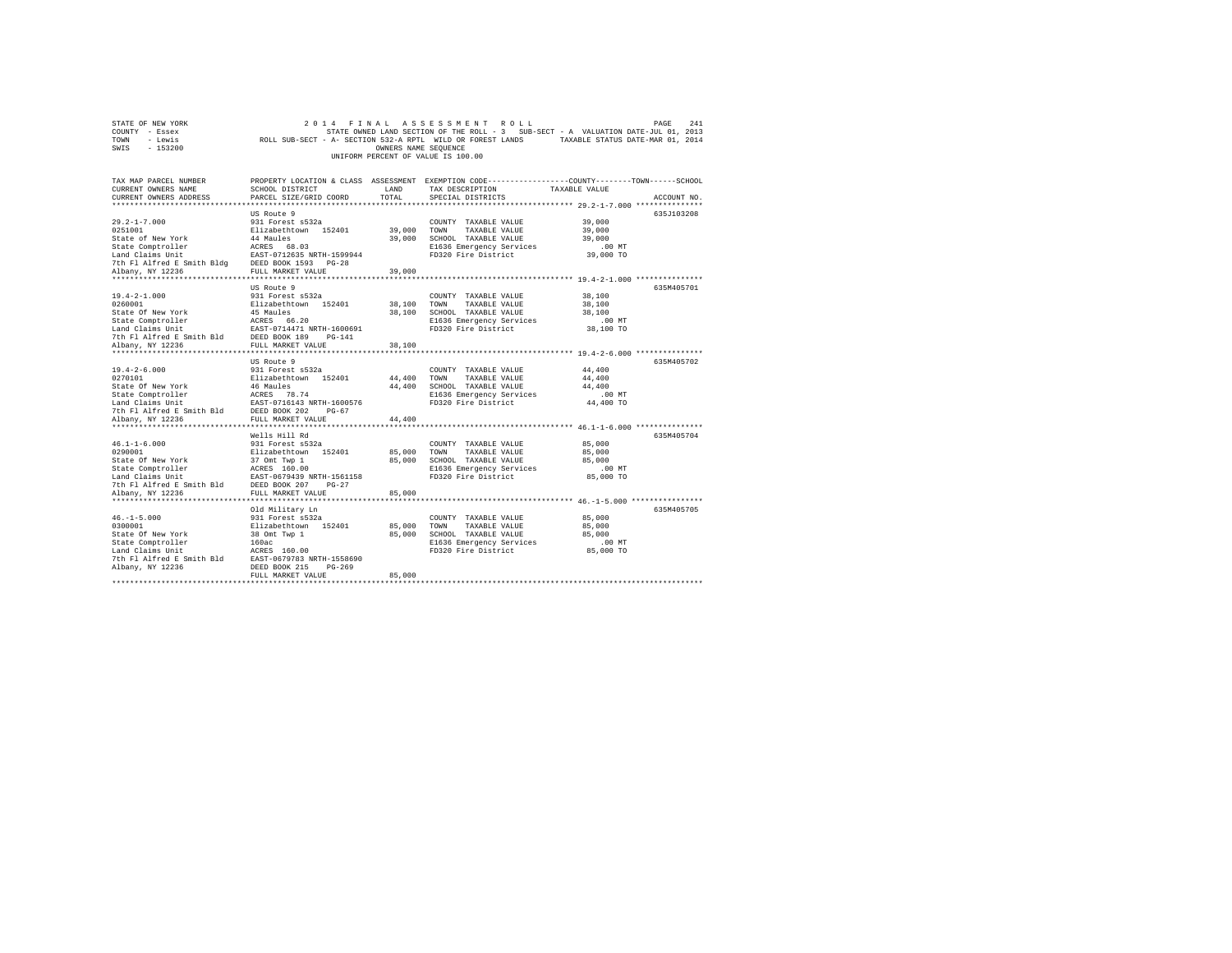|                | STATE OF NEW YORK                  |  |                                                            |  |  |  |  | 2014 FINAL ASSESSMENT ROLL |  |  |                                                                                   |  |                                  | PAGE | 2.41 |
|----------------|------------------------------------|--|------------------------------------------------------------|--|--|--|--|----------------------------|--|--|-----------------------------------------------------------------------------------|--|----------------------------------|------|------|
| COUNTY - Essex |                                    |  |                                                            |  |  |  |  |                            |  |  | STATE OWNED LAND SECTION OF THE ROLL - 3 SUB-SECT - A VALUATION DATE-JUL 01, 2013 |  |                                  |      |      |
| TOWN           | - Lewis                            |  | ROLL SUB-SECT - A- SECTION 532-A RPTL WILD OR FOREST LANDS |  |  |  |  |                            |  |  |                                                                                   |  | TAXABLE STATUS DATE-MAR 01, 2014 |      |      |
| SWIS           | - 153200                           |  |                                                            |  |  |  |  | OWNERS NAME SEOUENCE       |  |  |                                                                                   |  |                                  |      |      |
|                | UNIFORM PERCENT OF VALUE IS 100.00 |  |                                                            |  |  |  |  |                            |  |  |                                                                                   |  |                                  |      |      |

| TAX MAP PARCEL NUMBER<br>CURRENT OWNERS NAME                                                                                                                                                                                                       | SCHOOL DISTRICT                                                    | LAND         | TAX DESCRIPTION                                                  | PROPERTY LOCATION & CLASS ASSESSMENT EXEMPTION CODE----------------COUNTY-------TOWN-----SCHOOL<br>TAXABLE VALUE |             |
|----------------------------------------------------------------------------------------------------------------------------------------------------------------------------------------------------------------------------------------------------|--------------------------------------------------------------------|--------------|------------------------------------------------------------------|------------------------------------------------------------------------------------------------------------------|-------------|
| CURRENT OWNERS ADDRESS                                                                                                                                                                                                                             | PARCEL SIZE/GRID COORD                                             | TOTAL        | SPECIAL DISTRICTS                                                |                                                                                                                  | ACCOUNT NO. |
|                                                                                                                                                                                                                                                    |                                                                    |              |                                                                  |                                                                                                                  |             |
|                                                                                                                                                                                                                                                    | US Route 9                                                         |              |                                                                  |                                                                                                                  | 635J103208  |
|                                                                                                                                                                                                                                                    |                                                                    |              | COUNTY TAXABLE VALUE 39,000                                      |                                                                                                                  |             |
|                                                                                                                                                                                                                                                    |                                                                    |              |                                                                  | 39,000                                                                                                           |             |
|                                                                                                                                                                                                                                                    |                                                                    |              |                                                                  | 39,000                                                                                                           |             |
|                                                                                                                                                                                                                                                    |                                                                    |              | E1636 Emergency Services                                         | $.00$ MT                                                                                                         |             |
|                                                                                                                                                                                                                                                    |                                                                    |              | FD320 Fire District                                              | 39,000 TO                                                                                                        |             |
|                                                                                                                                                                                                                                                    |                                                                    |              |                                                                  |                                                                                                                  |             |
|                                                                                                                                                                                                                                                    |                                                                    |              |                                                                  |                                                                                                                  |             |
|                                                                                                                                                                                                                                                    | US Route 9                                                         |              |                                                                  |                                                                                                                  | 635M405701  |
|                                                                                                                                                                                                                                                    |                                                                    |              |                                                                  |                                                                                                                  |             |
| 19.4-2-1.000                                                                                                                                                                                                                                       | 931 Forest s532a<br>Elizabethtown 152401 38,100 TOWN TAXABLE VALUE |              | COUNTY TAXABLE VALUE                                             | 38,100                                                                                                           |             |
| 0260001                                                                                                                                                                                                                                            |                                                                    |              |                                                                  | 38,100                                                                                                           |             |
|                                                                                                                                                                                                                                                    |                                                                    |              |                                                                  |                                                                                                                  |             |
|                                                                                                                                                                                                                                                    |                                                                    |              |                                                                  |                                                                                                                  |             |
|                                                                                                                                                                                                                                                    |                                                                    |              |                                                                  |                                                                                                                  |             |
|                                                                                                                                                                                                                                                    |                                                                    |              |                                                                  |                                                                                                                  |             |
| 38,100<br>SCHOOL TAXABLE VALUE<br>STAR ON THE SACROST MANABLE VALUE<br>SCHOOL TAXABLE VALUE<br>28,100<br>200 FICS Emergency Services<br>28,100<br>200 FICS Emergency Services<br>28,100 FOR TAXABLE VALUE<br>28,100 FOR TAXABLE VALUE<br>28,100 FO |                                                                    |              |                                                                  |                                                                                                                  |             |
|                                                                                                                                                                                                                                                    | US Route 9                                                         |              |                                                                  |                                                                                                                  | 635M405702  |
|                                                                                                                                                                                                                                                    |                                                                    |              | COUNTY TAXABLE VALUE                                             | 44,400                                                                                                           |             |
|                                                                                                                                                                                                                                                    |                                                                    |              | TAXABLE VALUE                                                    | 44,400                                                                                                           |             |
|                                                                                                                                                                                                                                                    |                                                                    |              | 44,400 SCHOOL TAXABLE VALUE                                      | 44,400                                                                                                           |             |
|                                                                                                                                                                                                                                                    |                                                                    |              |                                                                  |                                                                                                                  |             |
|                                                                                                                                                                                                                                                    |                                                                    |              | E1636 Emergency Services .00 MT<br>FD320 Fire District 44,400 TO |                                                                                                                  |             |
|                                                                                                                                                                                                                                                    |                                                                    |              |                                                                  |                                                                                                                  |             |
| Albany, NY 12236                                                                                                                                                                                                                                   | FULL MARKET VALUE                                                  | 44,400       |                                                                  |                                                                                                                  |             |
|                                                                                                                                                                                                                                                    |                                                                    |              |                                                                  |                                                                                                                  |             |
|                                                                                                                                                                                                                                                    | Wells Hill Rd                                                      |              |                                                                  |                                                                                                                  | 635M405704  |
|                                                                                                                                                                                                                                                    |                                                                    |              |                                                                  | 85,000                                                                                                           |             |
|                                                                                                                                                                                                                                                    |                                                                    |              |                                                                  | 85,000                                                                                                           |             |
|                                                                                                                                                                                                                                                    |                                                                    |              |                                                                  | 85,000                                                                                                           |             |
|                                                                                                                                                                                                                                                    |                                                                    |              |                                                                  |                                                                                                                  |             |
|                                                                                                                                                                                                                                                    |                                                                    |              | E1636 Emergency Services .00 MT<br>FD320 Fire District 85,000 TO |                                                                                                                  |             |
|                                                                                                                                                                                                                                                    |                                                                    |              |                                                                  |                                                                                                                  |             |
| nand claims once<br>7th F1 Alfred E Smith Bld BEED BOOK 207 BG-27<br>*1banv NV 12236         FULL MARKET VALUE                                                                                                                                     |                                                                    | 85,000       |                                                                  |                                                                                                                  |             |
|                                                                                                                                                                                                                                                    | ***************************                                        | ************ |                                                                  |                                                                                                                  |             |
|                                                                                                                                                                                                                                                    | Old Military Ln                                                    |              |                                                                  |                                                                                                                  | 635M405705  |
| $46. - 1 - 5.000$                                                                                                                                                                                                                                  |                                                                    |              | COUNTY TAXABLE VALUE 85,000                                      |                                                                                                                  |             |
| 0300001                                                                                                                                                                                                                                            | 931 Forest s532a<br>Elizabethtown 152401                           |              | 85,000 TOWN TAXABLE VALUE                                        | 85,000                                                                                                           |             |
| State Of New York                                                                                                                                                                                                                                  | 38 Omt Twp 1                                                       |              | 85,000 SCHOOL TAXABLE VALUE 85,000                               |                                                                                                                  |             |
| State Comptroller                                                                                                                                                                                                                                  | 160ac                                                              |              | E1636 Emergency Services                                         | $.00$ MT                                                                                                         |             |
|                                                                                                                                                                                                                                                    |                                                                    |              | FD320 Fire District 85,000 TO                                    |                                                                                                                  |             |
|                                                                                                                                                                                                                                                    |                                                                    |              |                                                                  |                                                                                                                  |             |
| Scace Compecturer — 1992<br>Land Claims Unit — 1992 - 1993 RES 160.00<br>7th F1 Alfred E Smith Bld — EAST-0679783 RETH-1558690<br>Albany, NY 12236                                                                                                 |                                                                    |              |                                                                  |                                                                                                                  |             |
|                                                                                                                                                                                                                                                    | FULL MARKET VALUE                                                  | 85,000       |                                                                  |                                                                                                                  |             |
|                                                                                                                                                                                                                                                    |                                                                    |              |                                                                  |                                                                                                                  |             |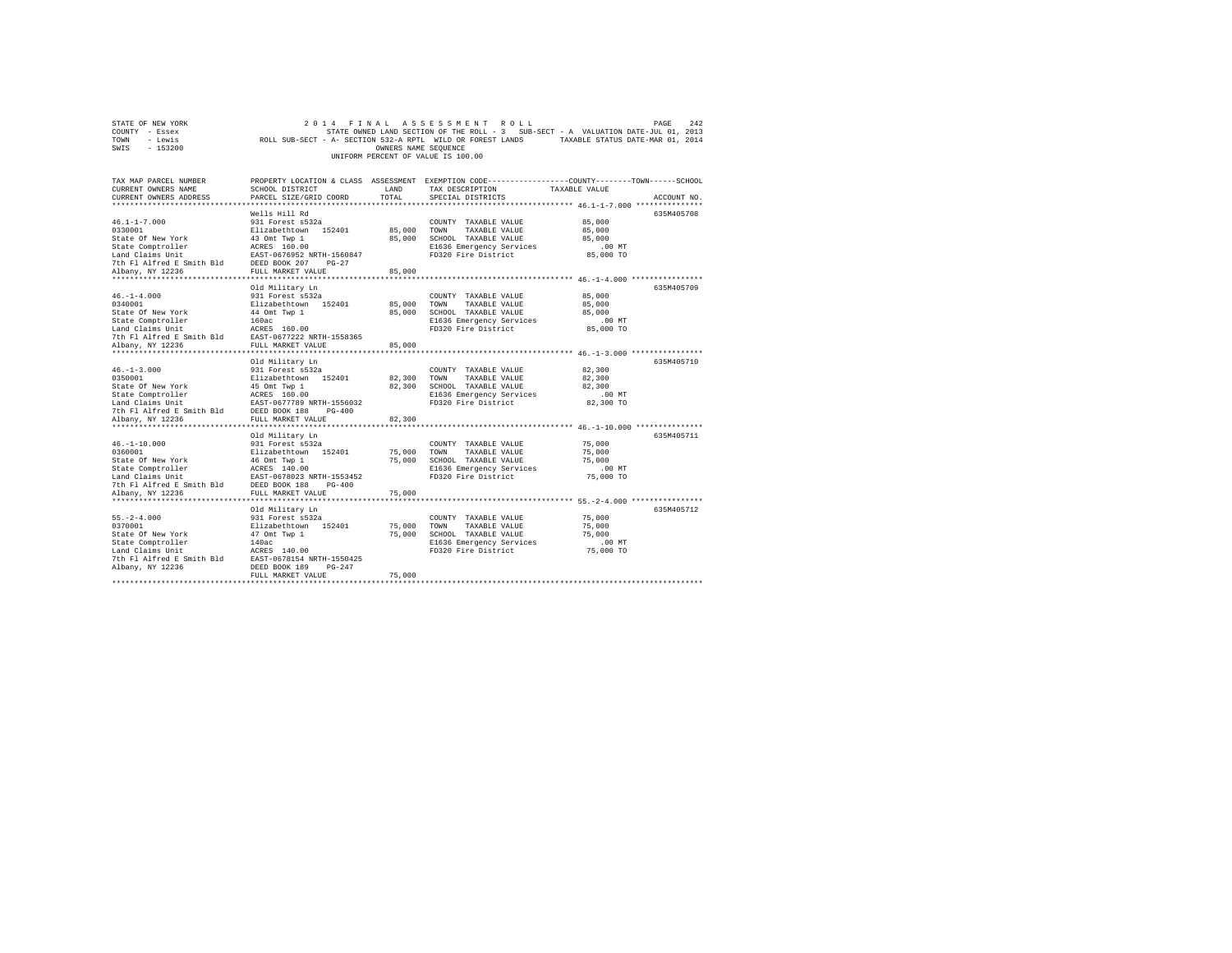|                                    | STATE OF NEW YORK |                                                            |  |  |  |                      |  |  | 2014 FINAL ASSESSMENT ROLL |                                                                                   | PAGE | 2.42 |
|------------------------------------|-------------------|------------------------------------------------------------|--|--|--|----------------------|--|--|----------------------------|-----------------------------------------------------------------------------------|------|------|
| COUNTY - Essex                     |                   |                                                            |  |  |  |                      |  |  |                            | STATE OWNED LAND SECTION OF THE ROLL - 3 SUB-SECT - A VALUATION DATE-JUL 01, 2013 |      |      |
| TOWN                               | - Lewis           | ROLL SUB-SECT - A- SECTION 532-A RPTL WILD OR FOREST LANDS |  |  |  |                      |  |  |                            | TAXABLE STATUS DATE-MAR 01, 2014                                                  |      |      |
| SWIS                               | $-153200$         |                                                            |  |  |  | OWNERS NAME SEOUENCE |  |  |                            |                                                                                   |      |      |
| UNIFORM PERCENT OF VALUE IS 100.00 |                   |                                                            |  |  |  |                      |  |  |                            |                                                                                   |      |      |

| TAX MAP PARCEL NUMBER<br>CURRENT OWNERS NAME                                                                                                      | SCHOOL DISTRICT                                | LAND                 | PROPERTY LOCATION & CLASS ASSESSMENT EXEMPTION CODE----------------COUNTY-------TOWN-----SCHOOL<br>TAX DESCRIPTION | TAXABLE VALUE                                         |             |
|---------------------------------------------------------------------------------------------------------------------------------------------------|------------------------------------------------|----------------------|--------------------------------------------------------------------------------------------------------------------|-------------------------------------------------------|-------------|
| CURRENT OWNERS ADDRESS                                                                                                                            | PARCEL SIZE/GRID COORD                         | TOTAL                | SPECIAL DISTRICTS                                                                                                  |                                                       | ACCOUNT NO. |
|                                                                                                                                                   |                                                |                      |                                                                                                                    |                                                       |             |
|                                                                                                                                                   | Wells Hill Rd                                  |                      |                                                                                                                    |                                                       | 635M405708  |
| $46.1 - 1 - 7.000$                                                                                                                                | 931 Forest s532a                               |                      | COUNTY TAXABLE VALUE                                                                                               | 85,000                                                |             |
| 0330001                                                                                                                                           | Elizabethtown 152401<br>43 Omt Twp 1           |                      | 85,000 TOWN TAXABLE VALUE                                                                                          | 85,000                                                |             |
| State Of New York                                                                                                                                 |                                                |                      | 85,000 SCHOOL TAXABLE VALUE                                                                                        | 85,000                                                |             |
|                                                                                                                                                   |                                                |                      | E1636 Emergency Services                                                                                           | .00 MT                                                |             |
| State Comptroller ACRES 160.00<br>Land Claims Unit EAST-0676952 NRTH-1560847<br>7th Fl Alfred E Smith Bld DEED BOOK 207 PG-27<br>Albany, NY 12236 |                                                |                      | FD320 Fire District                                                                                                | 85,000 TO                                             |             |
|                                                                                                                                                   |                                                |                      |                                                                                                                    |                                                       |             |
| Albany, NY 12236<br>***************                                                                                                               | FULL MARKET VALUE                              | 85,000               |                                                                                                                    |                                                       |             |
|                                                                                                                                                   |                                                |                      |                                                                                                                    |                                                       |             |
|                                                                                                                                                   | Old Military Ln                                |                      |                                                                                                                    |                                                       | 635M405709  |
| $46. - 1 - 4.000$                                                                                                                                 | 931 Forest s532a                               |                      | COUNTY TAXABLE VALUE                                                                                               | 85,000                                                |             |
| 0340001                                                                                                                                           | Elizabethtown 152401                           | 85,000               | TOWN<br>TAXABLE VALUE                                                                                              | 85,000                                                |             |
| State Of New York                                                                                                                                 | 44 Omt Twp 1<br>160ac                          | 85,000               | SCHOOL TAXABLE VALUE                                                                                               | 85,000                                                |             |
| State Comptroller                                                                                                                                 |                                                |                      | E1636 Emergency Services                                                                                           | $.00$ MT                                              |             |
| Land Claims Unit                                                                                                                                  | ACRES 160.00                                   |                      | FD320 Fire District                                                                                                | 85,000 TO                                             |             |
| The Fig. 11 Fig. 2010.00<br>The Fl Alfred E Smith Bld EAST-0677222 NRTH-1558365                                                                   |                                                |                      |                                                                                                                    |                                                       |             |
| Albany, NY 12236                                                                                                                                  | FULL MARKET VALUE                              | 85,000               |                                                                                                                    |                                                       |             |
|                                                                                                                                                   |                                                |                      |                                                                                                                    |                                                       |             |
|                                                                                                                                                   | Old Military Ln                                |                      |                                                                                                                    |                                                       | 635M405710  |
| $46. - 1 - 3.000$                                                                                                                                 | 931 Forest s532a<br>Elizabethtown 152401       |                      | COUNTY TAXABLE VALUE                                                                                               | 82,300                                                |             |
| 0350001                                                                                                                                           |                                                | 82,300 TOWN          | TAXABLE VALUE                                                                                                      | 82,300                                                |             |
| State Of New York                                                                                                                                 | 45 Omt Twp 1                                   | 82,300               | SCHOOL TAXABLE VALUE                                                                                               | 82,300                                                |             |
|                                                                                                                                                   |                                                |                      | E1636 Emergency Services                                                                                           | $.00$ MT                                              |             |
|                                                                                                                                                   |                                                |                      | FD320 Fire District                                                                                                | 82,300 TO                                             |             |
|                                                                                                                                                   |                                                |                      |                                                                                                                    |                                                       |             |
| Albany, NY 12236                                                                                                                                  | FULL MARKET VALUE                              | 82,300               |                                                                                                                    |                                                       |             |
|                                                                                                                                                   |                                                |                      |                                                                                                                    |                                                       |             |
|                                                                                                                                                   | Old Military Ln                                |                      |                                                                                                                    |                                                       | 635M405711  |
| $46. - 1 - 10.000$                                                                                                                                | 931 Forest s532a                               |                      | COUNTY TAXABLE VALUE                                                                                               | 75,000                                                |             |
| 0360001                                                                                                                                           | Elizabethtown 152401<br>46 Omt Twp 1           | 75,000 TOWN          | TAXABLE VALUE                                                                                                      | 75,000                                                |             |
| State Of New York                                                                                                                                 |                                                | 75,000               | SCHOOL TAXABLE VALUE                                                                                               | 75,000                                                |             |
|                                                                                                                                                   |                                                |                      | E1636 Emergency Services                                                                                           | $.00$ MT                                              |             |
|                                                                                                                                                   |                                                |                      | FD320 Fire District                                                                                                | 75,000 TO                                             |             |
| 7th Fl Alfred E Smith Bld DEED BOOK 188                                                                                                           | $PG-400$                                       |                      |                                                                                                                    |                                                       |             |
| Albany, NY 12236                                                                                                                                  | FULL MARKET VALUE<br>************************  | 75,000<br>********** |                                                                                                                    | *********************** 55.-2-4.000 ***************** |             |
|                                                                                                                                                   |                                                |                      |                                                                                                                    |                                                       |             |
|                                                                                                                                                   | Old Military Ln                                |                      |                                                                                                                    |                                                       | 635M405712  |
| $55. - 2 - 4.000$                                                                                                                                 | 931 Forest s532a                               |                      | COUNTY TAXABLE VALUE                                                                                               | 75,000                                                |             |
| 0370001                                                                                                                                           | Elizabethtown 152401                           |                      | 75,000 TOWN<br>TAXABLE VALUE                                                                                       | 75,000                                                |             |
| State Of New York                                                                                                                                 | 47 Omt Twp 1                                   | 75,000               | SCHOOL TAXABLE VALUE                                                                                               | 75,000                                                |             |
| State Comptroller                                                                                                                                 | 140ac                                          |                      | E1636 Emergency Services                                                                                           | $.00$ MT                                              |             |
| Land Claims Unit<br>The Flat and East 190.00<br>The Flatfred E Smith Bld EAST-0678154 NRTH-1550425                                                | ACRES 140.00                                   |                      | FD320 Fire District                                                                                                | 75,000 TO                                             |             |
|                                                                                                                                                   |                                                |                      |                                                                                                                    |                                                       |             |
| Albany, NY 12236                                                                                                                                  | DEED BOOK 189<br>$PG-247$<br>FULL MARKET VALUE | 75,000               |                                                                                                                    |                                                       |             |
|                                                                                                                                                   |                                                |                      |                                                                                                                    |                                                       |             |
|                                                                                                                                                   |                                                |                      |                                                                                                                    |                                                       |             |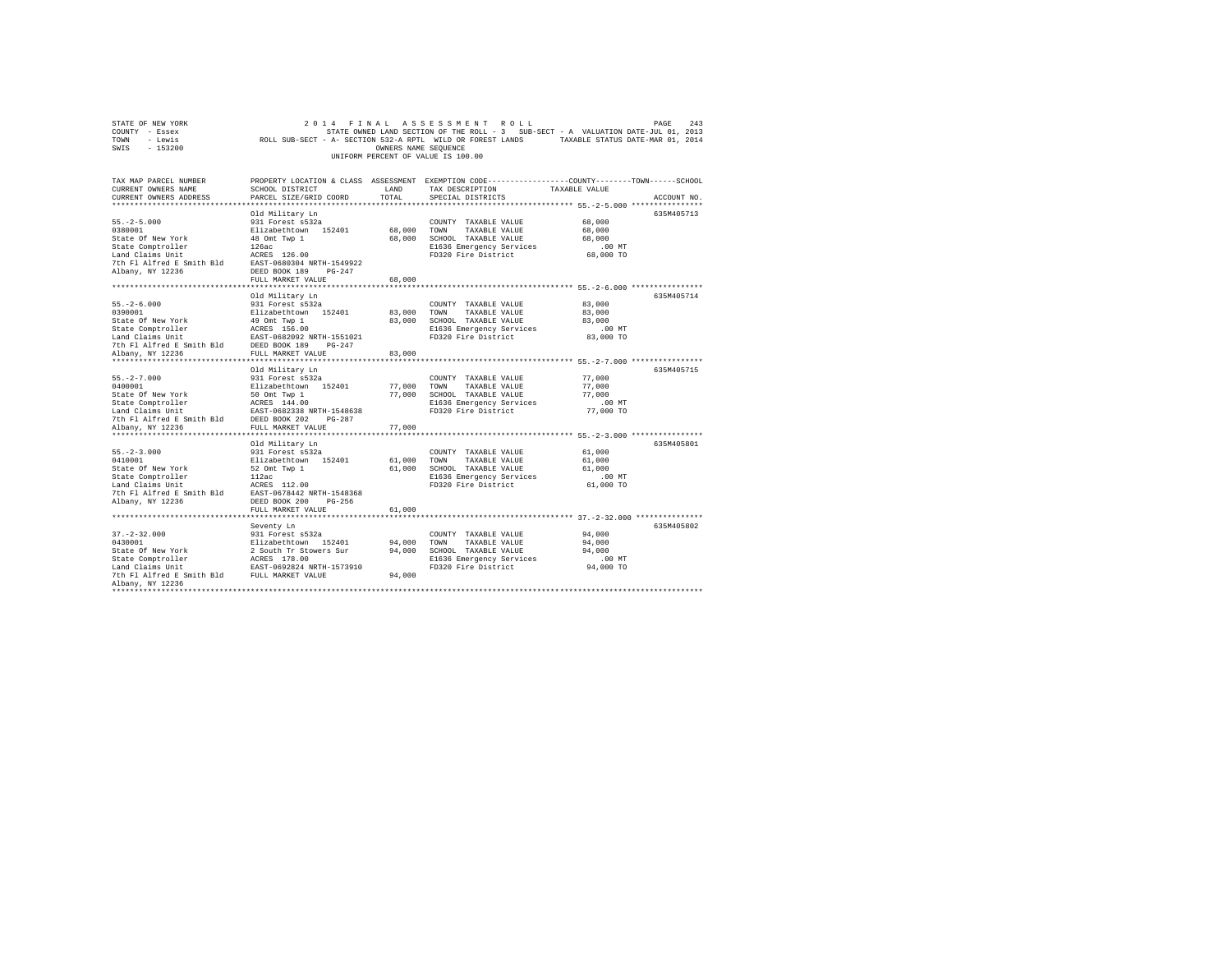| TOWN<br>- Lewis<br>SWIS<br>$-153200$                                                                                                                                                                                                                             | ROLL SUB-SECT - A- SECTION 532-A RPTL WILD OR FOREST LANDS                                                                                                 | OWNERS NAME SEQUENCE                 | UNIFORM PERCENT OF VALUE IS 100.00                                                                                       | TAXABLE STATUS DATE-MAR 01, 2014                                                                                                |
|------------------------------------------------------------------------------------------------------------------------------------------------------------------------------------------------------------------------------------------------------------------|------------------------------------------------------------------------------------------------------------------------------------------------------------|--------------------------------------|--------------------------------------------------------------------------------------------------------------------------|---------------------------------------------------------------------------------------------------------------------------------|
| TAX MAP PARCEL NUMBER<br>CURRENT OWNERS NAME<br>CURRENT OWNERS ADDRESS<br>*************************                                                                                                                                                              | SCHOOL DISTRICT<br>PARCEL SIZE/GRID COORD<br>*************************                                                                                     | LAND<br>TOTAL                        | TAX DESCRIPTION<br>SPECIAL DISTRICTS                                                                                     | PROPERTY LOCATION & CLASS ASSESSMENT EXEMPTION CODE---------------COUNTY-------TOWN------SCHOOL<br>TAXABLE VALUE<br>ACCOUNT NO. |
| $55. -2 - 5.000$<br>0380001<br>State Of New York<br>State Comptroller<br>Albany, NY 12236                                                                                                                                                                        | Old Military Ln<br>931 Forest s532a<br>Elizabethtown 152401<br>48 Omt Twp 1<br>126ac<br>126ac<br>ACRES 126.00<br>DEED BOOK 189 PG-247<br>FULL MARKET VALUE | 68,000<br>68,000<br>68,000           | COUNTY TAXABLE VALUE<br>TOWN<br>TAXABLE VALUE<br>SCHOOL TAXABLE VALUE<br>E1636 Emergency Services<br>FD320 Fire District | 635M405713<br>68,000<br>68,000<br>68,000<br>$.00$ MT<br>68,000 TO                                                               |
| $55. - 2 - 6.000$<br>9390001<br>20120011 Elizabethcown 152401<br>State Of New York 49 Ont Top 1<br>State Comptroller ACRES 156.00<br>Land Claims Unit<br>2013 EAST-0682092 NRTH-1551021<br>7th Fl Alfred E Smith Bld DEED BOOK 189<br>7th Fl Ariffed E Smith Bld | Old Military Ln<br>931 Forest s532a                                                                                                                        | 83,000<br>83,000                     | COUNTY TAXABLE VALUE<br>TOWN<br>TAXABLE VALUE<br>SCHOOL TAXABLE VALUE<br>E1636 Emergency Services<br>FD320 Fire District | 635M405714<br>83,000<br>83,000<br>83,000<br>$.00$ MT<br>83,000 TO                                                               |
| Albany, NY 12236<br>**********************<br>$55. - 2 - 7.000$<br>0400001<br>Albany, NY 12236                                                                                                                                                                   | FULL MARKET VALUE<br>******************************<br>Old Military Ln<br>931 Forest s532a<br>Elizabethtown 152401<br>FULL MARKET VALUE                    | 83,000<br>77,000<br>77.000<br>77,000 | COUNTY TAXABLE VALUE<br>TOWN<br>TAXABLE VALUE<br>SCHOOL TAXABLE VALUE<br>E1636 Emergency Services<br>FD320 Fire District | ************************* 55.-2-7.000 ****************<br>635M405715<br>77,000<br>77,000<br>77,000<br>$.00$ MT<br>77,000 TO     |
| $55. -2 - 3.000$<br>0410001<br>Albany, NY 12236<br>***********************                                                                                                                                                                                       | Old Military Ln<br>931 Forest s532a<br>Elizabethtown 152401<br>DEED BOOK 200 PG-256<br>FULL MARKET VALUE                                                   | 61,000<br>61,000<br>61,000           | COUNTY TAXABLE VALUE<br>TOWN<br>TAXABLE VALUE<br>SCHOOL TAXABLE VALUE<br>E1636 Emergency Services<br>FD320 Fire District | 635M405801<br>61,000<br>61,000<br>61,000<br>$.00$ MT<br>61,000 TO                                                               |
| $37. - 2 - 32.000$<br>0430001<br>State Of New York<br>State Comptroller <b>ACRES</b> 178.00<br>Land Claims Unit <b>EXEC</b> 178.00<br>The FI Alfred E Smith Bld FULL MARKET VALUE<br>Albany, NY 12236                                                            | ************************<br>Seventy Ln<br>931 Forest s532a<br>Elizabethtown 152401<br>2 South Tr Stowers Sur                                               | 94,000<br>94,000<br>94,000           | COUNTY TAXABLE VALUE<br>TOWN<br>TAXABLE VALUE<br>SCHOOL TAXABLE VALUE<br>E1636 Emergency Services<br>FD320 Fire District | ******************** 37.-2-32.000 ***************<br>635M405802<br>94,000<br>94,000<br>94,000<br>.00 MT<br>94,000 TO            |

STATE OF NEW YORK<br>COUNTY - Essex SAS STATE OWNED LAND SECTION OF THE ROLL - 3 SUB-SECT - A VALUATION DATE-JUL 01, 2013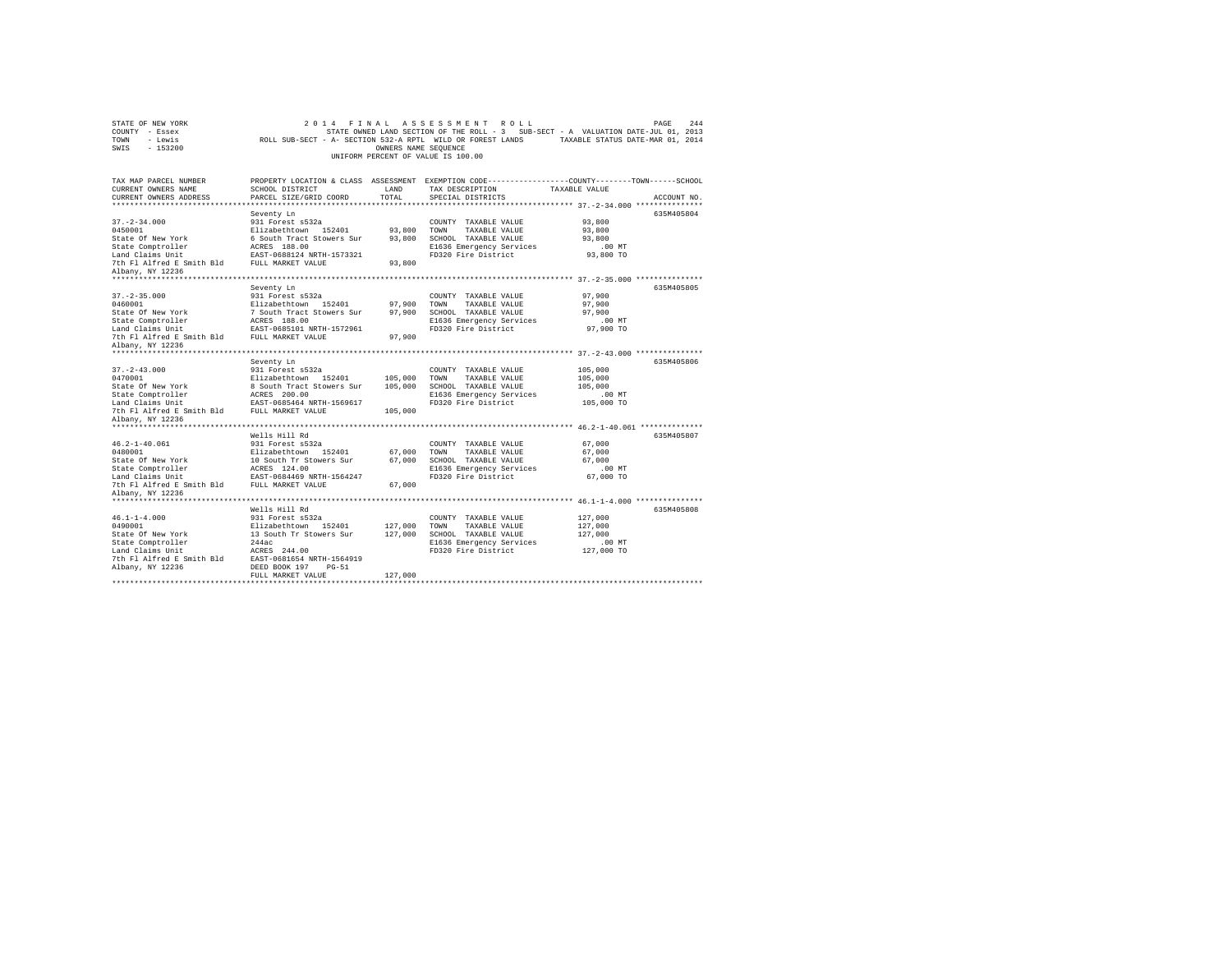| STATE OF NEW YORK<br>COUNTY - Essex<br>TOWN<br>- Lewis<br>SWIS - 153200                                                                                              |                                                                                                                                                                                        | OWNERS NAME SEQUENCE          | 2014 FINAL ASSESSMENT ROLL<br>UNIFORM PERCENT OF VALUE IS 100.00                                                                | PAGE<br>244<br>STATE OWNED LAND SECTION OF THE ROLL - 3 SUB-SECT - A VALUATION DATE-JUL 01, 2013<br>ROLL SUB-SECT - A- SECTION 532-A RPTL WILD OR FOREST LANDS TAXABLE STATUS DATE-MAR 01, 2014 |
|----------------------------------------------------------------------------------------------------------------------------------------------------------------------|----------------------------------------------------------------------------------------------------------------------------------------------------------------------------------------|-------------------------------|---------------------------------------------------------------------------------------------------------------------------------|-------------------------------------------------------------------------------------------------------------------------------------------------------------------------------------------------|
| TAX MAP PARCEL NUMBER<br>CURRENT OWNERS NAME<br>CURRENT OWNERS ADDRESS                                                                                               | SCHOOL DISTRICT<br>PARCEL SIZE/GRID COORD                                                                                                                                              | LAND<br>TOTAL                 | TAX DESCRIPTION<br>SPECIAL DISTRICTS                                                                                            | PROPERTY LOCATION & CLASS ASSESSMENT EXEMPTION CODE---------------COUNTY-------TOWN------SCHOOL<br>TAXABLE VALUE<br>ACCOUNT NO.                                                                 |
| $37. - 2 - 34.000$<br>0450001<br>State Of New York<br>State Comptroller<br>Land Claims Unit<br>The Fl Alfred E Smith Bld FULL MARKET VALUE<br>Albany, NY 12236       | Seventy Ln<br>931 Forest s532a<br>Elizabethtown 152401<br>6 South Tract Stowers Sur<br>ACRES 188.00<br>EAST-0688124 NRTH-1573321                                                       | 93,800<br>93,800<br>93,800    | COUNTY TAXABLE VALUE<br>TAXABLE VALUE<br>TOWN<br>SCHOOL TAXABLE VALUE<br>E1636 Emergency Services<br>FD320 Fire District        | 635M405804<br>93,800<br>93,800<br>93,800<br>.00 MT<br>93,800 TO                                                                                                                                 |
| $37. - 2 - 35.000$<br>0460001<br>State Of New York<br>State Comptroller<br>Land Claims Unit<br>7th Fl Alfred E Smith Bld FULL MARKET VALUE<br>Albany, NY 12236       | Seventy Ln<br>931 Forest s532a<br>Elizabethtown 152401<br>7 South Tract Stowers Sur<br>ACRES 188.00<br>EAST-0685101 NRTH-1572961                                                       | 97,900<br>97,900<br>97,900    | COUNTY TAXABLE VALUE<br>TOWN<br>TAXABLE VALUE<br>SCHOOL TAXABLE VALUE<br>E1636 Emergency Services<br>FD320 Fire District        | 635M405805<br>97,900<br>97,900<br>97,900<br>.00 MT<br>97,900 TO                                                                                                                                 |
| $37. - 2 - 43.000$<br>0470001<br>State Of New York<br>State On New<br>State Comptroller<br>Land Claims Unit<br>7th Fl Alfred E Smith Bld                             | Seventy Ln<br>931 Forest s532a<br>Elizabethtown 152401<br>8 South Tract Stowers Sur<br>ACRES 200.00<br>EAST-0685464 NRTH-1569617<br>FULL MARKET VALUE                                  | 105,000<br>105,000<br>105,000 | COUNTY TAXABLE VALUE<br>TOWN TAXABLE VALUE<br>SCHOOL TAXABLE VALUE<br>E1636 Emergency Services<br>FD320 Fire District           | 635M405806<br>105,000<br>105,000<br>105,000<br>.00MT<br>105,000 TO                                                                                                                              |
| Albany, NY 12236<br>$46.2 - 1 - 40.061$<br>0480001<br>State Of New York<br>State Comptroller<br>Land Claims Unit<br>7th Fl Alfred E Smith Bld<br>Albany, NY 12236    | Wells Hill Rd<br>931 Forest s532a<br>Elizabethtown 152401<br>10 South Tr Stowers Sur<br>ACRES 124.00<br>EAST-0684469 NRTH-1564247<br>FULL MARKET VALUE                                 | 67,000<br>67,000              | COUNTY TAXABLE VALUE<br>TOWN<br>TAXABLE VALUE<br>67,000 SCHOOL TAXABLE VALUE<br>E1636 Emergency Services<br>FD320 Fire District | 635M405807<br>67,000<br>67,000<br>67.000<br>$.00$ MT<br>67,000 TO                                                                                                                               |
| ********************<br>$46.1 - 1 - 4.000$<br>0490001<br>State Of New York<br>State Comptroller<br>Land Claims Unit<br>7th Fl Alfred E Smith Bld<br>Albany, NY 12236 | Wells Hill Rd<br>931 Forest s532a<br>Elizabethtown 152401<br>13 South Tr Stowers Sur<br>244ac<br>ACRES 244.00<br>EAST-0681654 NRTH-1564919<br>DEED BOOK 197 PG-51<br>FULL MARKET VALUE | 127,000<br>127,000<br>127,000 | COUNTY TAXABLE VALUE<br>TOWN<br>TAXABLE VALUE<br>SCHOOL TAXABLE VALUE<br>E1636 Emergency Services<br>FD320 Fire District        | 635M405808<br>127,000<br>127,000<br>127,000<br>.00MT<br>127,000 TO                                                                                                                              |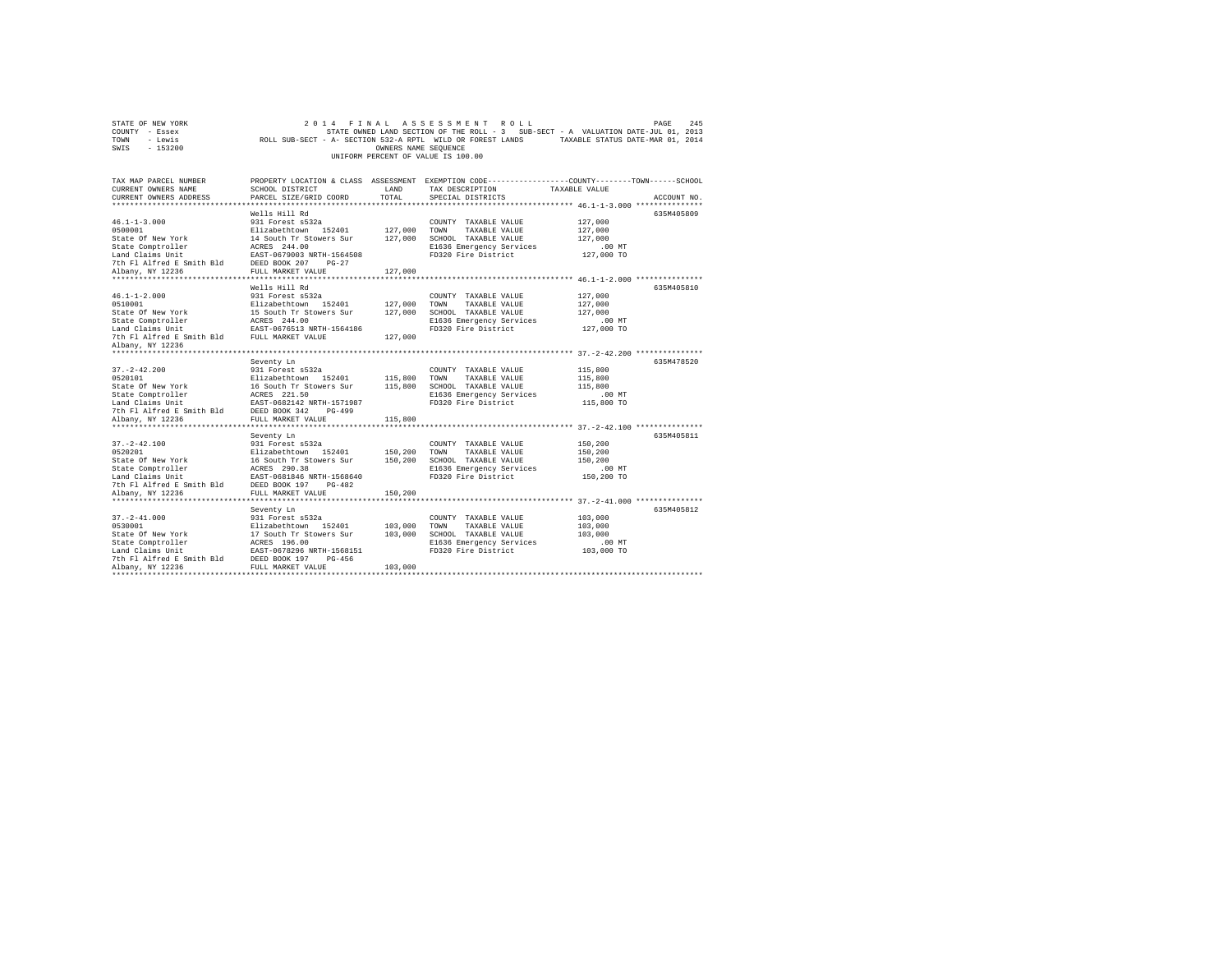| TOWN<br>- Lewis<br>SWIS<br>$-153200$                                                                                                                               | ROLL SUB-SECT - A- SECTION 532-A RPTL WILD OR FOREST LANDS                                                                                                                                                       | OWNERS NAME SEQUENCE          | UNIFORM PERCENT OF VALUE IS 100.00                                                                                       | TAXABLE STATUS DATE-MAR 01, 2014                                                                                                                                                    |  |
|--------------------------------------------------------------------------------------------------------------------------------------------------------------------|------------------------------------------------------------------------------------------------------------------------------------------------------------------------------------------------------------------|-------------------------------|--------------------------------------------------------------------------------------------------------------------------|-------------------------------------------------------------------------------------------------------------------------------------------------------------------------------------|--|
| TAX MAP PARCEL NUMBER<br>CURRENT OWNERS NAME<br>CURRENT OWNERS ADDRESS                                                                                             | SCHOOL DISTRICT<br>PARCEL SIZE/GRID COORD                                                                                                                                                                        | LAND<br>TOTAL                 | TAX DESCRIPTION<br>SPECIAL DISTRICTS                                                                                     | PROPERTY LOCATION & CLASS ASSESSMENT EXEMPTION CODE---------------COUNTY-------TOWN-----SCHOOL<br>TAXABLE VALUE<br>ACCOUNT NO.                                                      |  |
| $46.1 - 1 - 3.000$<br>0500001<br>State Of New York<br>State Comptroller<br>Land Claims Unit<br>7th Fl Alfred E Smith Bld<br>Albany, NY 12236                       | Wells Hill Rd<br>931 Forest s532a<br>Elizabethtown 152401<br>14 South Tr Stowers Sur<br>ACRES 244.00<br>EAST-0679003 NRTH-1564508<br>DEED BOOK 207<br>$PG-27$<br>FULL MARKET VALUE                               | 127,000<br>127,000<br>127,000 | COUNTY TAXABLE VALUE<br>TOWN<br>TAXABLE VALUE<br>SCHOOL TAXABLE VALUE<br>E1636 Emergency Services<br>FD320 Fire District | 635M405809<br>127,000<br>127,000<br>127,000<br>$.00$ MT<br>127,000 TO                                                                                                               |  |
| $46.1 - 1 - 2.000$<br>0510001<br>State Of New York<br>State Comptroller<br>Land Claims Unit<br>7th Fl Alfred E Smith Bld<br>Albany, NY 12236<br>****************** | Wells Hill Rd<br>931 Forest s532a<br>Elizabethtown 152401<br>15 South Tr Stowers Sur<br>ACRES 244.00<br>EAST-0676513 NRTH-1564186<br>FULL MARKET VALUE                                                           | 127,000<br>127,000<br>127,000 | COUNTY TAXABLE VALUE<br>TOWN<br>TAXABLE VALUE<br>SCHOOL TAXABLE VALUE<br>E1636 Emergency Services<br>FD320 Fire District | 635M405810<br>127,000<br>127,000<br>127,000<br>$.00$ MT<br>127,000 TO                                                                                                               |  |
| $37. - 2 - 42.200$<br>0520101<br>State Of New York<br>State Comptroller<br>Land Claims Unit<br>7th Fl Alfred E Smith Bld<br>Albany, NY 12236                       | Seventy Ln<br>931 Forest s532a<br>Elizabethtown 152401<br>16 South Tr Stowers Sur<br>ACRES 221.50<br>EAST-0682142 NRTH-1571987<br>DEED BOOK 342<br>$PG-499$<br>FULL MARKET VALUE                                 | 115,800<br>115,800<br>115,800 | COUNTY TAXABLE VALUE<br>TOWN<br>TAXABLE VALUE<br>SCHOOL TAXABLE VALUE<br>E1636 Emergency Services<br>FD320 Fire District | 635M478520<br>115,800<br>115,800<br>115,800<br>$.00$ MT<br>115,800 TO                                                                                                               |  |
| *****************<br>$37. - 2 - 42.100$<br>0520201<br>State Of New York<br>State Comptroller<br>Land Claims Unit<br>7th Fl Alfred E Smith Bld<br>Albany, NY 12236  | .<br>Seventy Ln<br>931 Forest s532a<br>Elizabethtown 152401<br>16 South Tr Stowers Sur<br>ACRES 290.38<br>EAST-0681846 NRTH-1568640<br>DEED BOOK 197<br>$PG-482$<br>FULL MARKET VALUE<br>*********************** | 150,200<br>150,200<br>150,200 | COUNTY TAXABLE VALUE<br>TOWN<br>TAXABLE VALUE<br>SCHOOL TAXABLE VALUE<br>E1636 Emergency Services<br>FD320 Fire District | ********** 37.-2-42.100 ***************<br>635M405811<br>150,200<br>150,200<br>150,200<br>$.00$ MT<br>150,200 TO<br>********************************* 37.-2-41.000 **************** |  |
| $37. - 2 - 41.000$<br>0530001<br>State Of New York<br>State Comptroller<br>Land Claims Unit<br>7th Fl Alfred E Smith Bld<br>Albany, NY 12236                       | Seventy Ln<br>931 Forest s532a<br>Elizabethtown 152401<br>17 South Tr Stowers Sur<br>ACRES 196.00<br>EAST-0678296 NRTH-1568151<br>DEED BOOK 197<br>$PG-456$<br>FULL MARKET VALUE                                 | 103,000<br>103,000<br>103,000 | COUNTY TAXABLE VALUE<br>TOWN<br>TAXABLE VALUE<br>SCHOOL TAXABLE VALUE<br>E1636 Emergency Services<br>FD320 Fire District | 635M405812<br>103,000<br>103,000<br>103,000<br>.00MT<br>103,000 TO                                                                                                                  |  |

STATE OF NEW YORK<br>COUNTY - Essex SAS STATE OWNED LAND SECTION OF THE ROLL - 3 SUB-SECT - A VALUATION DATE-JUL 01, 2013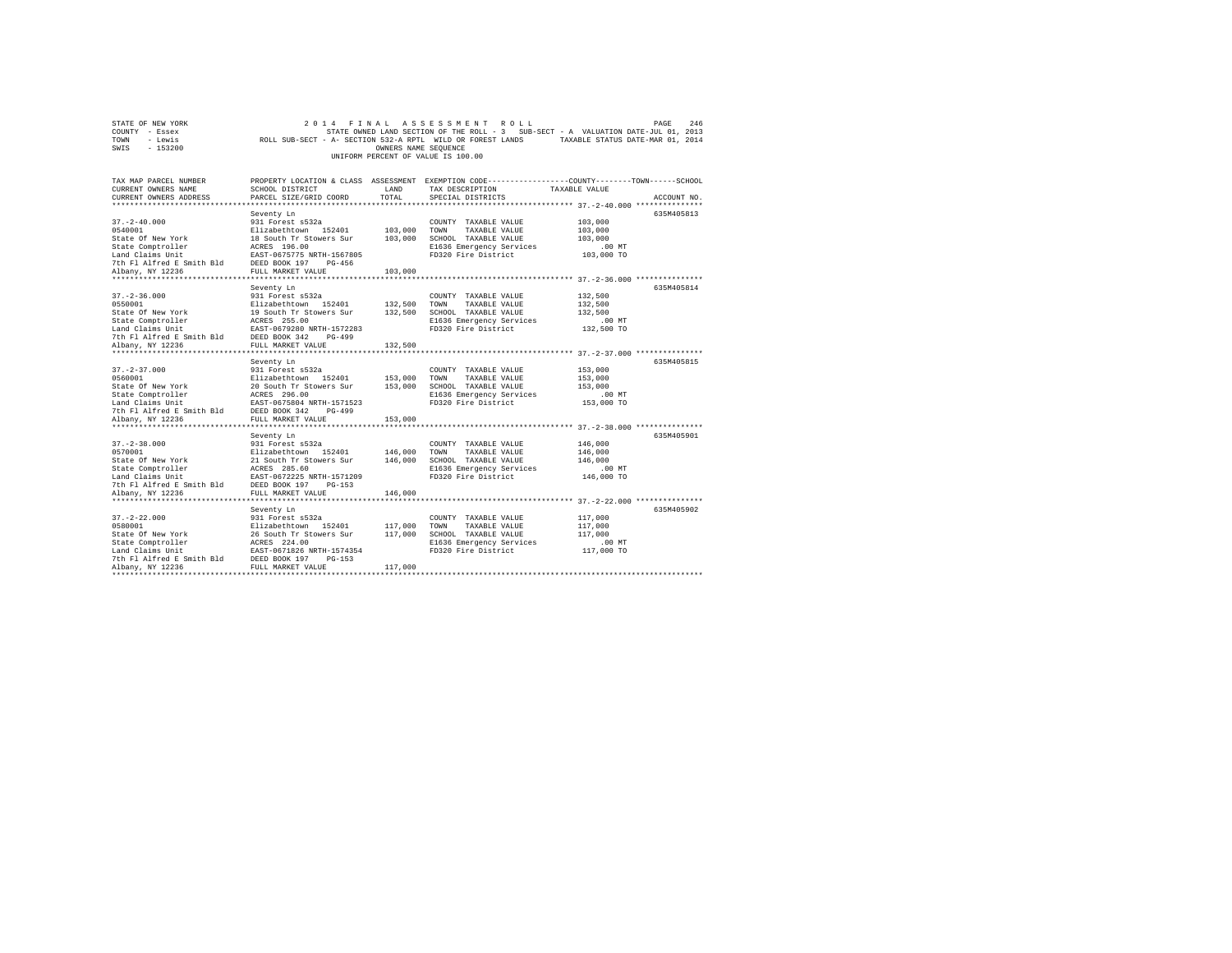|                                    | STATE OF NEW YORK |                                                            |  |  |  |                      |  | 2014 FINAL ASSESSMENT ROLL |                                                                                   | PAGE | 246 |
|------------------------------------|-------------------|------------------------------------------------------------|--|--|--|----------------------|--|----------------------------|-----------------------------------------------------------------------------------|------|-----|
| COUNTY - Essex                     |                   |                                                            |  |  |  |                      |  |                            | STATE OWNED LAND SECTION OF THE ROLL - 3 SUB-SECT - A VALUATION DATE-JUL 01, 2013 |      |     |
| TOWN                               | - Lewis           | ROLL SUB-SECT - A- SECTION 532-A RPTL WILD OR FOREST LANDS |  |  |  |                      |  |                            | TAXABLE STATUS DATE-MAR 01, 2014                                                  |      |     |
| SWIS                               | $-153200$         |                                                            |  |  |  | OWNERS NAME SEOUENCE |  |                            |                                                                                   |      |     |
| UNIFORM PERCENT OF VALUE IS 100.00 |                   |                                                            |  |  |  |                      |  |                            |                                                                                   |      |     |

| TAX MAP PARCEL NUMBER<br>CURRENT OWNERS NAME<br>CURRENT OWNERS ADDRESS                                                                              | SCHOOL DISTRICT<br>PARCEL SIZE/GRID COORD                                                    | LAND<br>TOTAL        | PROPERTY LOCATION & CLASS ASSESSMENT EXEMPTION CODE----------------COUNTY-------TOWN-----SCHOOL<br>TAX DESCRIPTION<br>SPECIAL DISTRICTS | TAXABLE VALUE                          | ACCOUNT NO |
|-----------------------------------------------------------------------------------------------------------------------------------------------------|----------------------------------------------------------------------------------------------|----------------------|-----------------------------------------------------------------------------------------------------------------------------------------|----------------------------------------|------------|
|                                                                                                                                                     |                                                                                              |                      |                                                                                                                                         |                                        |            |
|                                                                                                                                                     | Seventy Ln                                                                                   |                      |                                                                                                                                         |                                        | 635M405813 |
| $37. - 2 - 40.000$                                                                                                                                  | 931 Forest s532a                                                                             |                      | COUNTY TAXABLE VALUE                                                                                                                    | 103,000                                |            |
| 0540001                                                                                                                                             | Elizabethtown 152401 103,000<br>18 South Tr Stowers Sur 103,000                              |                      | TOWN TAXABLE VALUE                                                                                                                      | 103,000                                |            |
| State Of New York                                                                                                                                   |                                                                                              |                      | SCHOOL TAXABLE VALUE                                                                                                                    | 103,000                                |            |
| State Comptroller                                                                                                                                   | ACRES 196.00<br>EAST-0675775 NRTH-1567805                                                    |                      | E1636 Emergency Services                                                                                                                | .00MT<br>ىسى.<br>103,000 TO            |            |
| Land Claims Unit                                                                                                                                    |                                                                                              |                      | FD320 Fire District                                                                                                                     |                                        |            |
| 7th Fl Alfred E Smith Bld DEED BOOK 197                                                                                                             | PG-456                                                                                       |                      |                                                                                                                                         |                                        |            |
| Albany, NY 12236<br>*****************                                                                                                               | FULL MARKET VALUE<br>*********************                                                   | 103,000<br>********* |                                                                                                                                         |                                        |            |
|                                                                                                                                                     |                                                                                              |                      |                                                                                                                                         | ********** 37.-2-36.000 ************** | 635M405814 |
|                                                                                                                                                     | Seventy Ln                                                                                   |                      |                                                                                                                                         | 132,500                                |            |
|                                                                                                                                                     |                                                                                              |                      | COUNTY TAXABLE VALUE<br>132,500 TOWN<br>TAXABLE VALUE                                                                                   |                                        |            |
| 37.-2-36.000<br>0550001 931 Forest s532a<br>512abethtown 152401<br>212abethtown 19 South Tr Stowers Sur                                             |                                                                                              |                      | 132,500 SCHOOL TAXABLE VALUE                                                                                                            | 132,500<br>132,500                     |            |
|                                                                                                                                                     |                                                                                              |                      | E1636 Emergency Services                                                                                                                | $.00$ MT                               |            |
|                                                                                                                                                     |                                                                                              |                      | FD320 Fire District                                                                                                                     | 132,500 TO                             |            |
| State Comptroller<br>Land Claims Unit<br>The Flatfred E Smith Bld<br>The Flatfred E Smith Bld<br>DEED BOOK 342<br>PUTT MAPY TAILER<br>News WY 12236 |                                                                                              |                      |                                                                                                                                         |                                        |            |
| Albany, NY 12236                                                                                                                                    | FULL MARKET VALUE                                                                            | 132,500              |                                                                                                                                         |                                        |            |
|                                                                                                                                                     |                                                                                              |                      |                                                                                                                                         |                                        |            |
|                                                                                                                                                     | Seventy Ln                                                                                   |                      |                                                                                                                                         |                                        | 635M405815 |
| $37. - 2 - 37.000$                                                                                                                                  | 931 Forest s532a                                                                             |                      | COUNTY TAXABLE VALUE                                                                                                                    | 153,000                                |            |
| 0560001                                                                                                                                             | Elizabethtown 152401 153,000 TOWN                                                            |                      | TAXABLE VALUE                                                                                                                           | 153,000                                |            |
| State Of New York                                                                                                                                   |                                                                                              |                      | SCHOOL TAXABLE VALUE                                                                                                                    | 153,000                                |            |
| State Comptroller                                                                                                                                   | 20 South Tr Stowers Sur 153,000<br>ACRES 296.00                                              |                      | E1636 Emergency Services                                                                                                                | $.00$ MT                               |            |
|                                                                                                                                                     | EAST-0675804 NRTH-1571523                                                                    |                      | FD320 Fire District                                                                                                                     | 153,000 TO                             |            |
| Land Claims Unit FAST-0675804 NRTH-15715:<br>7th Fl Alfred E Smith Bld DEED BOOK 342 PG-499                                                         |                                                                                              |                      |                                                                                                                                         |                                        |            |
| Albany, NY 12236                                                                                                                                    | FULL MARKET VALUE                                                                            | 153,000              |                                                                                                                                         |                                        |            |
|                                                                                                                                                     |                                                                                              |                      |                                                                                                                                         |                                        |            |
|                                                                                                                                                     | Seventy Ln                                                                                   |                      |                                                                                                                                         |                                        | 635M405901 |
| $37. - 2 - 38.000$                                                                                                                                  | 931 Forest s532a                                                                             |                      | COUNTY TAXABLE VALUE                                                                                                                    | 146,000                                |            |
| 0570001                                                                                                                                             |                                                                                              | 146,000              | TOWN<br>TAXABLE VALUE                                                                                                                   | 146,000                                |            |
| State Of New York                                                                                                                                   |                                                                                              | 146,000              | SCHOOL TAXABLE VALUE                                                                                                                    | 146,000                                |            |
| State Comptroller                                                                                                                                   | Elizabethtown 152401<br>21 South Tr Stowers Sur<br>ACRES 285.60<br>EAST-0672225 NRTH-1571209 |                      | E1636 Emergency Services                                                                                                                | $.00$ MT                               |            |
| Land Claims Unit                                                                                                                                    |                                                                                              |                      | FD320 Fire District                                                                                                                     | 146,000 TO                             |            |
|                                                                                                                                                     |                                                                                              |                      |                                                                                                                                         |                                        |            |
|                                                                                                                                                     |                                                                                              | 146,000              |                                                                                                                                         |                                        |            |
|                                                                                                                                                     |                                                                                              |                      |                                                                                                                                         |                                        |            |
|                                                                                                                                                     | Seventy Ln                                                                                   |                      |                                                                                                                                         |                                        | 635M405902 |
| $37. - 2 - 22.000$                                                                                                                                  | 931 Forest s532a<br>Elizabethtown 152401                                                     |                      | COUNTY TAXABLE VALUE                                                                                                                    | 117,000                                |            |
| 0580001                                                                                                                                             |                                                                                              | 117,000              | TOWN<br>TAXABLE VALUE                                                                                                                   | 117,000                                |            |
| State Of New York                                                                                                                                   | 26 South Tr Stowers Sur                                                                      | 117,000              | SCHOOL TAXABLE VALUE                                                                                                                    | 117,000                                |            |
| State Comptroller                                                                                                                                   | ACRES 224.00                                                                                 |                      | E1636 Emergency Services                                                                                                                | $.00$ MT                               |            |
| Land Claims Unit                                                                                                                                    | EAST-0671826 NRTH-1574354                                                                    |                      | FD320 Fire District                                                                                                                     | 117,000 TO                             |            |
| 7th Fl Alfred E Smith Bld<br>Albany, NY 12236                                                                                                       | DEED BOOK 197<br>$PG-153$<br>FULL MARKET VALUE                                               | 117,000              |                                                                                                                                         |                                        |            |
|                                                                                                                                                     |                                                                                              |                      |                                                                                                                                         |                                        |            |
|                                                                                                                                                     |                                                                                              |                      |                                                                                                                                         |                                        |            |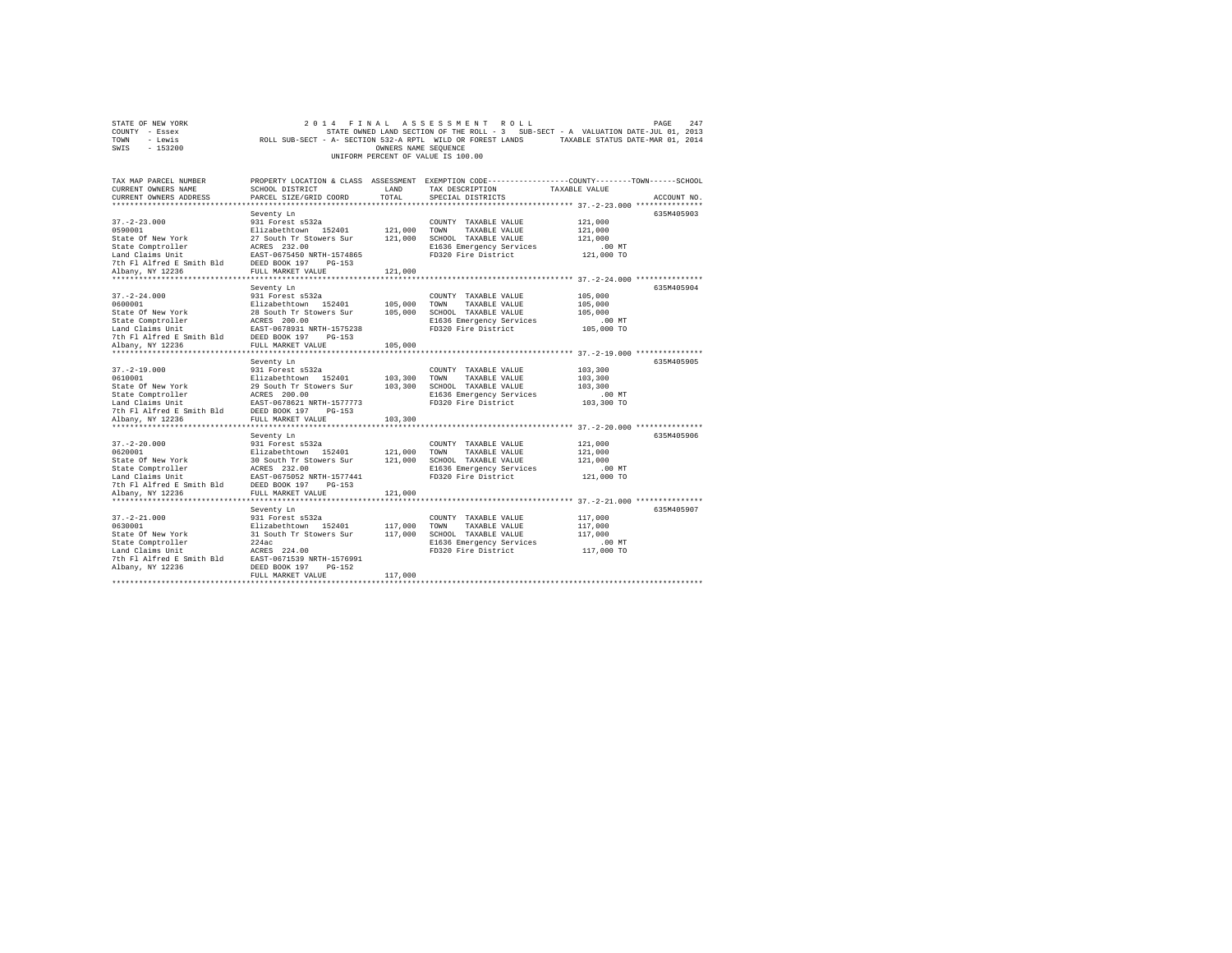|                | STATE OF NEW YORK |                                                            |  | 2014 FINAL ASSESSMENT ROLL         |  |                                                                                   | PAGE | 247 |
|----------------|-------------------|------------------------------------------------------------|--|------------------------------------|--|-----------------------------------------------------------------------------------|------|-----|
| COUNTY - Essex |                   |                                                            |  |                                    |  | STATE OWNED LAND SECTION OF THE ROLL - 3 SUB-SECT - A VALUATION DATE-JUL 01, 2013 |      |     |
| TOWN           | - Lewis           | ROLL SUB-SECT - A- SECTION 532-A RPTL WILD OR FOREST LANDS |  |                                    |  | TAXABLE STATUS DATE-MAR 01, 2014                                                  |      |     |
| SWIS           | - 153200          |                                                            |  | OWNERS NAME SEOUENCE               |  |                                                                                   |      |     |
|                |                   |                                                            |  | UNIFORM PERCENT OF VALUE IS 100.00 |  |                                                                                   |      |     |

| TAX MAP PARCEL NUMBER<br>CURRENT OWNERS NAME                                                                                                                                                                                                | SCHOOL DISTRICT                            | LAND         | PROPERTY LOCATION & CLASS ASSESSMENT EXEMPTION CODE---------------COUNTY-------TOWN------SCHOOL<br>TAX DESCRIPTION | TAXABLE VALUE |             |
|---------------------------------------------------------------------------------------------------------------------------------------------------------------------------------------------------------------------------------------------|--------------------------------------------|--------------|--------------------------------------------------------------------------------------------------------------------|---------------|-------------|
| CURRENT OWNERS ADDRESS                                                                                                                                                                                                                      | PARCEL SIZE/GRID COORD                     | TOTAL        | SPECIAL DISTRICTS                                                                                                  |               | ACCOUNT NO. |
|                                                                                                                                                                                                                                             |                                            |              |                                                                                                                    |               | 635M405903  |
| $37. - 2 - 23.000$                                                                                                                                                                                                                          | Seventy Ln<br>931 Forest s532a             |              | COUNTY TAXABLE VALUE                                                                                               | 121,000       |             |
|                                                                                                                                                                                                                                             |                                            |              | 121,000 TOWN TAXABLE VALUE                                                                                         | 121,000       |             |
|                                                                                                                                                                                                                                             |                                            |              | SCHOOL TAXABLE VALUE                                                                                               | 121,000       |             |
|                                                                                                                                                                                                                                             |                                            |              | E1636 Emergency Services                                                                                           | $.00$ MT      |             |
|                                                                                                                                                                                                                                             |                                            |              | FD320 Fire District                                                                                                | 121,000 TO    |             |
|                                                                                                                                                                                                                                             |                                            |              |                                                                                                                    |               |             |
|                                                                                                                                                                                                                                             |                                            |              |                                                                                                                    |               |             |
|                                                                                                                                                                                                                                             |                                            |              |                                                                                                                    |               |             |
|                                                                                                                                                                                                                                             | Seventy Ln                                 |              |                                                                                                                    |               | 635M405904  |
| $37. - 2 - 24.000$                                                                                                                                                                                                                          | 931 Forest s532a                           |              | COUNTY TAXABLE VALUE                                                                                               | 105,000       |             |
|                                                                                                                                                                                                                                             |                                            | 105,000      | TOWN<br>TAXABLE VALUE                                                                                              | 105,000       |             |
|                                                                                                                                                                                                                                             |                                            | 105,000      | SCHOOL TAXABLE VALUE                                                                                               | 105,000       |             |
| 911 Fuels and Elizabeth<br>Computer of New York 21 and 2010 112401<br>State Of New York 21 and 2010 112401<br>State Computeller 26 SCRS 200.00<br>Land Claims Unit<br>The Plaffed & Smith Bld 2025 200.00 1970 1970-153<br>Albany, NY 12236 |                                            |              | E1636 Emergency Services                                                                                           | .00MT         |             |
|                                                                                                                                                                                                                                             |                                            |              | FD320 Fire District                                                                                                | 105,000 TO    |             |
|                                                                                                                                                                                                                                             |                                            |              |                                                                                                                    |               |             |
|                                                                                                                                                                                                                                             |                                            | 105,000      |                                                                                                                    |               |             |
|                                                                                                                                                                                                                                             |                                            |              |                                                                                                                    |               |             |
|                                                                                                                                                                                                                                             | Seventy Ln                                 |              |                                                                                                                    |               | 635M405905  |
| $37. - 2 - 19.000$                                                                                                                                                                                                                          |                                            |              | COUNTY TAXABLE VALUE                                                                                               | 103,300       |             |
| 0610001                                                                                                                                                                                                                                     | 931 Forest s532a<br>Elizabethtown 152401   | 103,300 TOWN | TAXABLE VALUE                                                                                                      | 103,300       |             |
|                                                                                                                                                                                                                                             |                                            |              | SCHOOL TAXABLE VALUE                                                                                               | 103,300       |             |
|                                                                                                                                                                                                                                             |                                            |              | E1636 Emergency Services                                                                                           | $.00$ MT      |             |
|                                                                                                                                                                                                                                             |                                            |              | FD320 Fire District                                                                                                | 103,300 TO    |             |
|                                                                                                                                                                                                                                             |                                            |              |                                                                                                                    |               |             |
| Albany, NY 12236                                                                                                                                                                                                                            | FULL MARKET VALUE                          | 103,300      |                                                                                                                    |               |             |
| **********************                                                                                                                                                                                                                      | ****************************               |              |                                                                                                                    |               |             |
|                                                                                                                                                                                                                                             | Seventy Ln                                 |              |                                                                                                                    |               | 635M405906  |
| $37. - 2 - 20.000$                                                                                                                                                                                                                          |                                            |              | COUNTY TAXABLE VALUE                                                                                               | 121,000       |             |
| 0620001                                                                                                                                                                                                                                     |                                            |              |                                                                                                                    | 121,000       |             |
| State Of New York                                                                                                                                                                                                                           |                                            |              | SCHOOL TAXABLE VALUE                                                                                               | 121,000       |             |
| State Comptroller                                                                                                                                                                                                                           |                                            |              | E1636 Emergency Services                                                                                           | .00 MT        |             |
| Land Claims Unit                                                                                                                                                                                                                            |                                            |              | FD320 Fire District                                                                                                | 121,000 TO    |             |
| 7th Fl Alfred E Smith Bld DEED BOOK 197                                                                                                                                                                                                     | $PG-153$                                   |              |                                                                                                                    |               |             |
| Albany, NY 12236                                                                                                                                                                                                                            | FULL MARKET VALUE                          | 121,000      |                                                                                                                    |               |             |
| **********************                                                                                                                                                                                                                      | ***************************                |              |                                                                                                                    |               |             |
|                                                                                                                                                                                                                                             | Seventy Ln                                 |              |                                                                                                                    |               | 635M405907  |
| $37. - 2 - 21.000$                                                                                                                                                                                                                          | 931 Forest s532a                           |              | COUNTY TAXABLE VALUE                                                                                               | 117,000       |             |
| 0630001                                                                                                                                                                                                                                     | Elizabethtown 152401                       | 117,000 TOWN | TAXABLE VALUE                                                                                                      | 117,000       |             |
| State Of New York                                                                                                                                                                                                                           | 31 South Tr Stowers Sur $117,000$<br>224ac |              | SCHOOL TAXABLE VALUE                                                                                               | 117,000       |             |
| State Comptroller                                                                                                                                                                                                                           |                                            |              | E1636 Emergency Services                                                                                           | $.00$ MT      |             |
|                                                                                                                                                                                                                                             |                                            |              | FD320 Fire District                                                                                                | 117,000 TO    |             |
| State computering the research of the Land Claims Unit<br>Tand Claims Unit<br>The Flatfred E Smith Bld EAST-0671539 NRTH-1576991                                                                                                            |                                            |              |                                                                                                                    |               |             |
| Albany, NY 12236                                                                                                                                                                                                                            | DEED BOOK 197<br>$PG-152$                  |              |                                                                                                                    |               |             |
|                                                                                                                                                                                                                                             | FULL MARKET VALUE                          | 117,000      |                                                                                                                    |               |             |
|                                                                                                                                                                                                                                             |                                            |              |                                                                                                                    |               |             |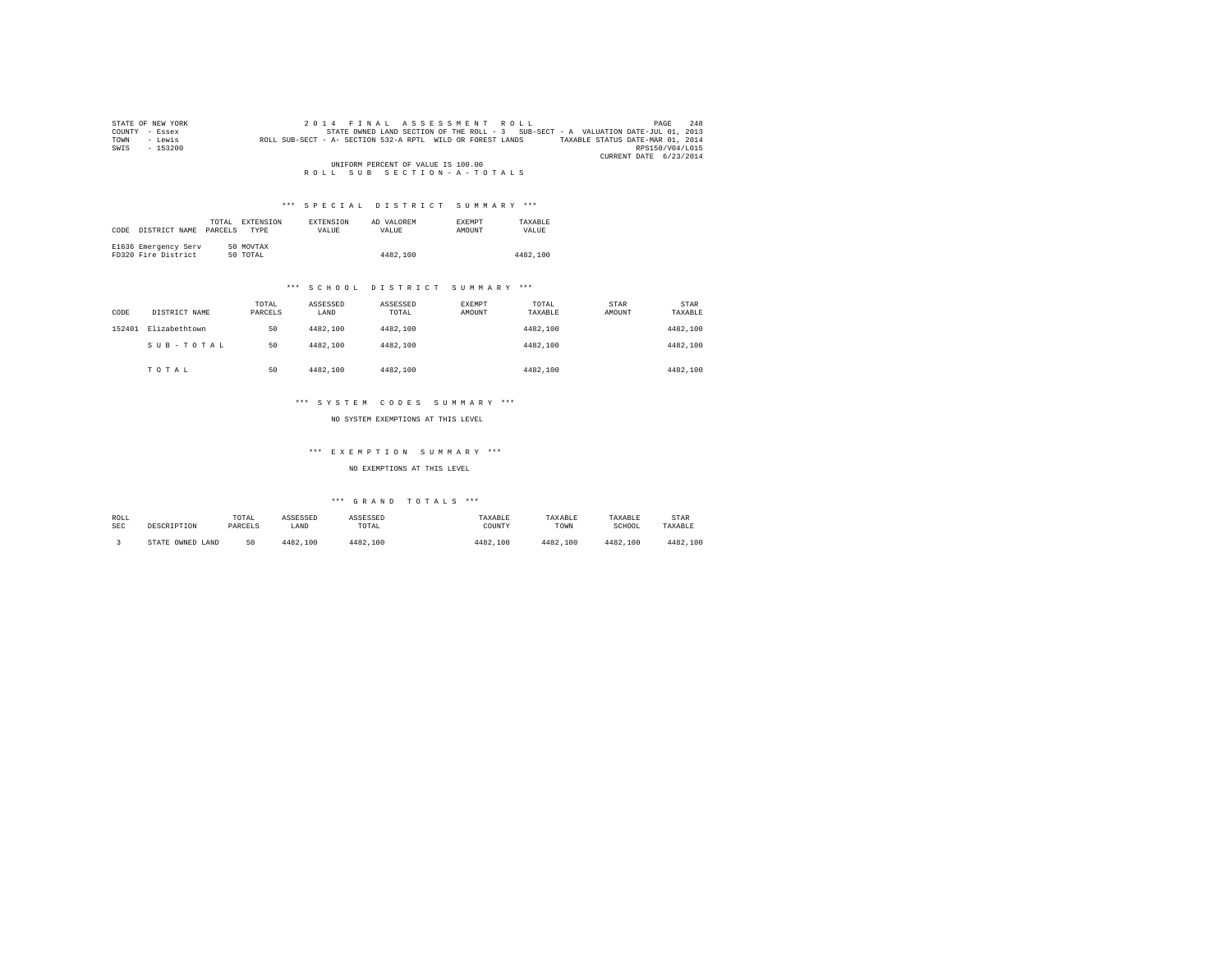| STATE OF NEW YORK                  | 2014 FINAL ASSESSMENT ROLL                                                                     | 248<br>PAGE            |  |  |  |
|------------------------------------|------------------------------------------------------------------------------------------------|------------------------|--|--|--|
| COUNTY<br>- Essex                  | STATE OWNED LAND SECTION OF THE ROLL - 3 SUB-SECT - A VALUATION DATE-JUL 01, 2013              |                        |  |  |  |
| - Lewis<br>TOWN                    | TAXABLE STATUS DATE-MAR 01, 2014<br>ROLL SUB-SECT - A- SECTION 532-A RPTL WILD OR FOREST LANDS |                        |  |  |  |
| $-153200$<br>SWIS                  |                                                                                                | RPS150/V04/L015        |  |  |  |
|                                    |                                                                                                | CURRENT DATE 6/23/2014 |  |  |  |
| UNIFORM PERCENT OF VALUE IS 100.00 |                                                                                                |                        |  |  |  |
|                                    | ROLL SUB SECTION-A-TOTALS                                                                      |                        |  |  |  |

# \*\*\* S P E C I A L D I S T R I C T S U M M A R Y \*\*\*

|      |                      | TOTAL   | EXTENSION   | <b>EXTENSION</b> | AD VALOREM | <b>EXEMPT</b> | TAXARLE  |
|------|----------------------|---------|-------------|------------------|------------|---------------|----------|
| CODE | DISTRICT NAME        | PARCELS | <b>TYPE</b> | <b>VALUE</b>     | VALUE.     | <b>AMOUNT</b> | VALUE    |
|      |                      |         |             |                  |            |               |          |
|      | E1636 Emergency Serv |         | 50 MOVTAX   |                  |            |               |          |
|      | FD320 Fire District  |         | 50 TOTAL    |                  | 4482,100   |               | 4482,100 |

# \*\*\* S C H O O L D I S T R I C T S U M M A R Y \*\*\*

| CODE   | DISTRICT NAME | TOTAL<br>PARCELS | ASSESSED<br>LAND | ASSESSED<br>TOTAL | EXEMPT<br>AMOUNT | TOTAL<br>TAXABLE | STAR<br>AMOUNT | STAR<br>TAXABLE |
|--------|---------------|------------------|------------------|-------------------|------------------|------------------|----------------|-----------------|
| 152401 | Elizabethtown | 50               | 4482.100         | 4482,100          |                  | 4482.100         |                | 4482,100        |
|        | SUB-TOTAL     | 50               | 4482.100         | 4482.100          |                  | 4482.100         |                | 4482,100        |
|        | TOTAL         | 50               | 4482.100         | 4482.100          |                  | 4482.100         |                | 4482,100        |

# \*\*\* S Y S T E M C O D E S S U M M A R Y \*\*\*

NO SYSTEM EXEMPTIONS AT THIS LEVEL

### \*\*\* E X E M P T I O N S U M M A R Y \*\*\*

NO EXEMPTIONS AT THIS LEVEL

| ROLL | DESCRIPTION         | TOTAL   | ASSESSED | ASSESSED | TAXABLE  | TAXABLE  | TAXABLE  | STAR     |
|------|---------------------|---------|----------|----------|----------|----------|----------|----------|
| SEC  |                     | PARCELS | LAND     | TOTAL    | COUNTY   | TOWN     | SCHOOL   | TAXABLE  |
|      | STATE OWNED<br>LAND | 50      | 4482.100 | 4482.100 | 4482,100 | 4482.100 | 4482.100 | 4482.100 |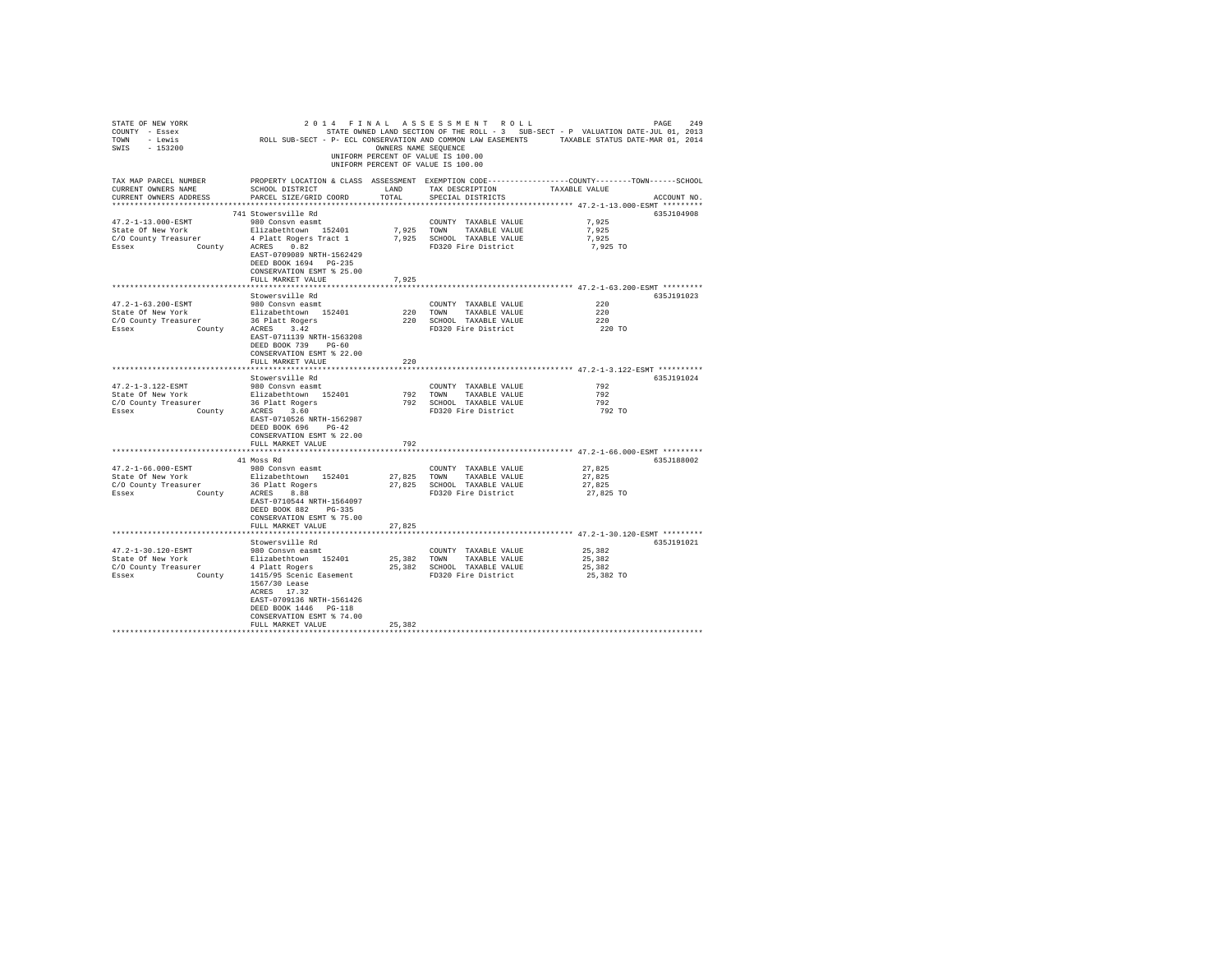| STATE OF NEW YORK<br>COUNTY - Essex<br>TOWN - Lewis<br>SWIS - 153200                                                                                                                  |                                                                                                                                                                                                                                      | OWNERS NAME SEQUENCE | 2014 FINAL ASSESSMENT ROLL<br>UNIFORM PERCENT OF VALUE IS 100.00<br>UNIFORM PERCENT OF VALUE IS 100.00  | 249<br>PAGE<br>STATE OWNED LAND SECTION OF THE ROLL - 3 SUB-SECT - P VALUATION DATE-JUL 01, 2013<br>ROLL SUB-SECT - P- ECL CONSERVATION AND COMMON LAW EASEMENTS TAXABLE STATUS DATE-MAR 01, 2014 |
|---------------------------------------------------------------------------------------------------------------------------------------------------------------------------------------|--------------------------------------------------------------------------------------------------------------------------------------------------------------------------------------------------------------------------------------|----------------------|---------------------------------------------------------------------------------------------------------|---------------------------------------------------------------------------------------------------------------------------------------------------------------------------------------------------|
| TAX MAP PARCEL NUMBER<br>CURRENT OWNERS NAME<br>CURRENT OWNERS ADDRESS                                                                                                                | SCHOOL DISTRICT<br>PARCEL SIZE/GRID COORD                                                                                                                                                                                            | LAND<br>TOTAL        | TAX DESCRIPTION<br>SPECIAL DISTRICTS                                                                    | PROPERTY LOCATION & CLASS ASSESSMENT EXEMPTION CODE----------------COUNTY-------TOWN------SCHOOL<br>TAXABLE VALUE<br>ACCOUNT NO.                                                                  |
| 47.2-1-13.000-ESMT<br>State Of New York<br>C/O County Treasurer<br>County<br>Essex                                                                                                    | 741 Stowersville Rd<br>980 Consvn easmt<br>Elizabethtown 152401<br>4 Platt Rogers Tract 1<br>ACRES 0.82<br>EAST-0709089 NRTH-1562429<br>DEED BOOK 1694 PG-235<br>CONSERVATION ESMT % 25.00<br>FULL MARKET VALUE                      | 7.925                | COUNTY TAXABLE VALUE<br>7,925 TOWN TAXABLE VALUE<br>7,925 SCHOOL TAXABLE VALUE<br>FD320 Fire District   | 635J104908<br>7.925<br>7.925<br>7.925<br>7,925 TO                                                                                                                                                 |
|                                                                                                                                                                                       |                                                                                                                                                                                                                                      |                      |                                                                                                         | ****************************** 47.2-1-63.200-ESMT *********                                                                                                                                       |
| 47.2-1-63.200-ESMT<br>State Of New York<br>State of new ional control and the control of the control of the control of the control of the control of the c<br>Essex County ACRES 3.42 | Stowersville Rd<br>980 Consvn easmt<br>Elizabethtown 152401<br>EAST-0711139 NRTH-1563208<br>DEED BOOK 739 PG-60<br>CONSERVATION ESMT % 22.00<br>FULL MARKET VALUE                                                                    | 220                  | COUNTY TAXABLE VALUE<br>220 TOWN TAXABLE VALUE<br>220 SCHOOL TAXABLE VALUE<br>FD320 Fire District       | 635J191023<br>220<br>220<br>220<br>220 TO                                                                                                                                                         |
|                                                                                                                                                                                       | *******************                                                                                                                                                                                                                  | ******************** |                                                                                                         | ******************************* 47.2-1-3.122-ESMT **********                                                                                                                                      |
|                                                                                                                                                                                       | Stowersville Rd                                                                                                                                                                                                                      |                      |                                                                                                         | 635J191024                                                                                                                                                                                        |
| 47.2-1-3.122-ESMT<br>State Of New York<br>C/O County Treasurer<br>Essex                                                                                                               | 980 Consvn easmt<br>Elizabethtown 152401<br>easurer 36 Platt Rogers<br>County ACRES 3.60<br>EAST-0710526 NRTH-1562987<br>DEED BOOK 696 PG-42<br>CONSERVATION ESMT % 22.00<br>FULL MARKET VALUE                                       | 792                  | COUNTY TAXABLE VALUE<br>792 TOWN TAXABLE VALUE<br>792 SCHOOL TAXABLE VALUE<br>FD320 Fire District       | 792<br>792<br>792<br>792 TO                                                                                                                                                                       |
|                                                                                                                                                                                       |                                                                                                                                                                                                                                      |                      |                                                                                                         | *************** 47.2-1-66.000-ESMT *********                                                                                                                                                      |
| 47.2-1-66.000-ESMT<br>State Of New York<br>C/O County Treasurer<br>County ACRES 8.88<br>Essex                                                                                         | 41 Moss Rd<br>980 Consvn easmt<br>Elizabethtown 152401<br>36 Platt Rogers<br>EAST-0710544 NRTH-1564097<br>DEED BOOK 882 PG-335<br>CONSERVATION ESMT % 75.00                                                                          |                      | COUNTY TAXABLE VALUE<br>27,825 TOWN TAXABLE VALUE<br>27,825 SCHOOL TAXABLE VALUE<br>FD320 Fire District | 635J188002<br>27.825<br>27,825<br>27,825<br>27,825 TO                                                                                                                                             |
|                                                                                                                                                                                       | FULL MARKET VALUE                                                                                                                                                                                                                    | 27.825               |                                                                                                         |                                                                                                                                                                                                   |
|                                                                                                                                                                                       |                                                                                                                                                                                                                                      |                      |                                                                                                         |                                                                                                                                                                                                   |
| 47.2-1-30.120-ESMT<br>State Of New York<br>C/O County Treasurer<br>Essex                                                                                                              | Stowersville Rd<br>980 Consvn easmt<br>Elizabethtown 152401<br>4 Platt Rogers<br>County 1415/95 Scenic Easement<br>1567/30 Lease<br>ACRES 17.32<br>EAST-0709136 NRTH-1561426<br>DEED BOOK 1446   PG-118<br>CONSERVATION ESMT % 74.00 |                      | COUNTY TAXABLE VALUE<br>25,382 TOWN TAXABLE VALUE<br>25,382 SCHOOL TAXABLE VALUE<br>FD320 Fire District | 635J191021<br>25,382<br>25.382<br>25,382<br>25,382 TO                                                                                                                                             |
|                                                                                                                                                                                       | FULL MARKET VALUE                                                                                                                                                                                                                    | 25,382               |                                                                                                         |                                                                                                                                                                                                   |
|                                                                                                                                                                                       |                                                                                                                                                                                                                                      |                      |                                                                                                         |                                                                                                                                                                                                   |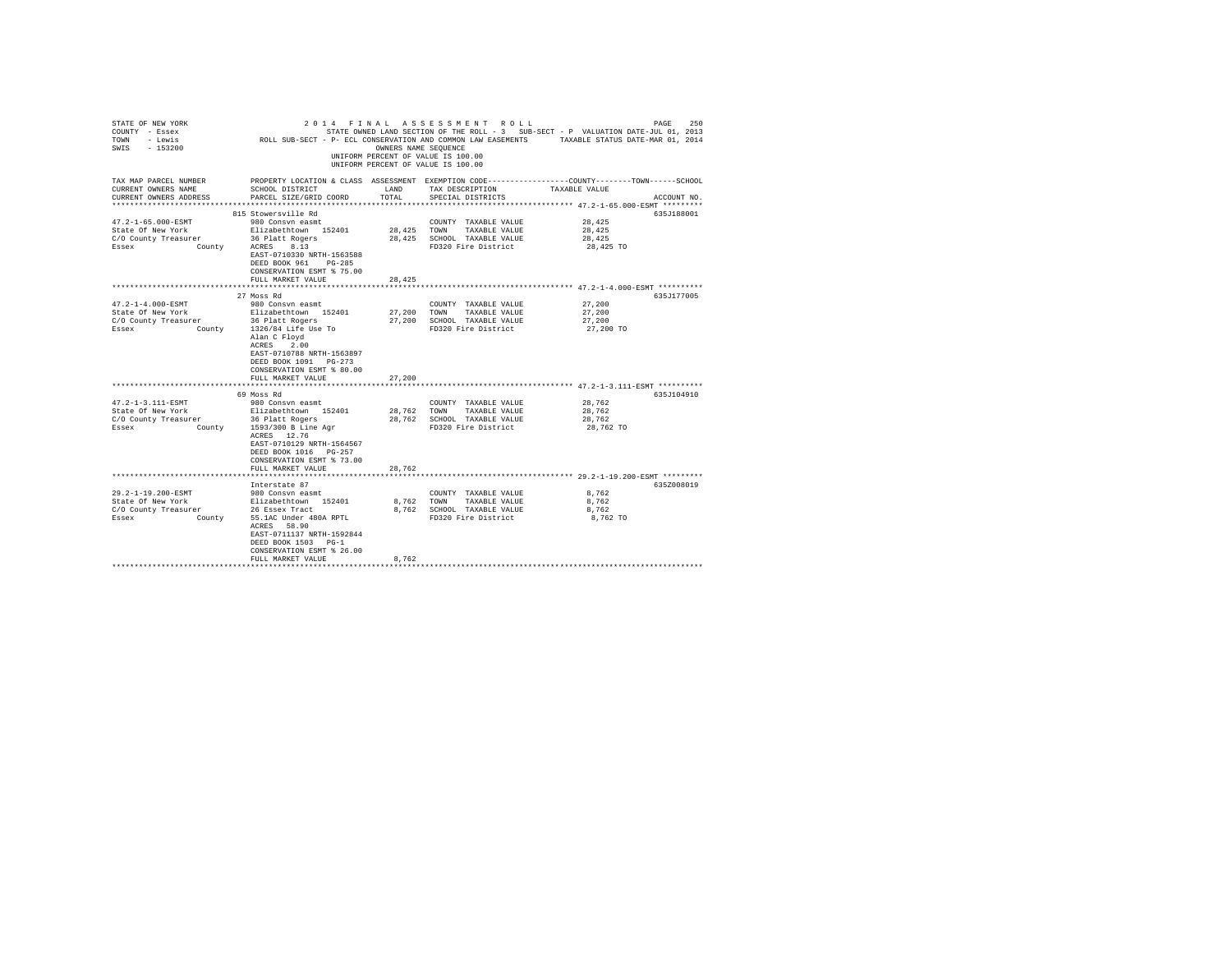| STATE OF NEW YORK<br>COUNTY - Essex<br>TOWN - Lewis<br>SWIS - 153200 |                                                                                                                               | OWNERS NAME SEQUENCE | 2014 FINAL ASSESSMENT ROLL<br>UNIFORM PERCENT OF VALUE IS 100.00<br>UNIFORM PERCENT OF VALUE IS 100.00 | PAGE<br>250<br>STATE OWNED LAND SECTION OF THE ROLL - 3 SUB-SECT - P VALUATION DATE-JUL 01, 2013<br>1013 / 1014 DEN DEN DE TRAND SELLION OF IRE ROLL " I SOB-SELL STATION DESCRIPTION OF THE STATUS DETERMINISTION AND COMMON LAW EASEMENTS TRANSLE STATUS DATE-MAR 01. 2014 |
|----------------------------------------------------------------------|-------------------------------------------------------------------------------------------------------------------------------|----------------------|--------------------------------------------------------------------------------------------------------|------------------------------------------------------------------------------------------------------------------------------------------------------------------------------------------------------------------------------------------------------------------------------|
|                                                                      |                                                                                                                               |                      |                                                                                                        | TAX MAP PARCEL NUMBER THE PROPERTY LOCATION & CLASS ASSESSMENT EXEMPTION CODE--------------COUNTY-------TOWN------SCHOOL                                                                                                                                                     |
| CURRENT OWNERS NAME<br>CURRENT OWNERS ADDRESS                        | SCHOOL DISTRICT<br>PARCEL SIZE/GRID COORD                                                                                     | LAND<br>TOTAL        | TAX DESCRIPTION<br>SPECIAL DISTRICTS                                                                   | TAXABLE VALUE<br>ACCOUNT NO.                                                                                                                                                                                                                                                 |
|                                                                      |                                                                                                                               |                      |                                                                                                        |                                                                                                                                                                                                                                                                              |
| 47.2-1-65.000-ESMT                                                   | 815 Stowersville Rd<br>980 Consyn easmt                                                                                       |                      |                                                                                                        | 635J188001<br>28,425                                                                                                                                                                                                                                                         |
| State Of New York                                                    | Elizabethtown 152401                                                                                                          | 28,425 TOWN          | COUNTY TAXABLE VALUE                                                                                   |                                                                                                                                                                                                                                                                              |
| C/O County Treasurer                                                 | 36 Platt Rogers                                                                                                               |                      | TAXABLE VALUE<br>28,425 SCHOOL TAXABLE VALUE                                                           | 28,425<br>28,425                                                                                                                                                                                                                                                             |
| <b>County</b><br>Essex                                               | ACRES 8.13                                                                                                                    |                      | FD320 Fire District                                                                                    | 28,425 TO                                                                                                                                                                                                                                                                    |
|                                                                      | EAST-0710330 NRTH-1563588<br>DEED BOOK 961 PG-285                                                                             |                      |                                                                                                        |                                                                                                                                                                                                                                                                              |
|                                                                      | CONSERVATION ESMT % 75.00                                                                                                     |                      |                                                                                                        |                                                                                                                                                                                                                                                                              |
|                                                                      | FULL MARKET VALUE                                                                                                             | 28,425               |                                                                                                        |                                                                                                                                                                                                                                                                              |
|                                                                      |                                                                                                                               |                      |                                                                                                        |                                                                                                                                                                                                                                                                              |
| $47.2 - 1 - 4.000 - ESMT$                                            | 27 Moss Rd<br>980 Consvn easmt                                                                                                |                      | COUNTY TAXABLE VALUE                                                                                   | 635J177005<br>27,200                                                                                                                                                                                                                                                         |
| State Of New York                                                    | Elizabethtown 152401                                                                                                          |                      | 27,200 TOWN TAXABLE VALUE                                                                              | 27,200                                                                                                                                                                                                                                                                       |
| C/O County Treasurer                                                 | 36 Platt Rogers                                                                                                               |                      | 27,200 SCHOOL TAXABLE VALUE                                                                            | 27,200                                                                                                                                                                                                                                                                       |
| Essex                                                                | County 1326/84 Life Use To                                                                                                    |                      | FD320 Fire District                                                                                    | 27,200 TO                                                                                                                                                                                                                                                                    |
|                                                                      | Alan C Floyd<br>ACRES 2.00<br>EAST-0710788 NRTH-1563897<br>DEED BOOK 1091 PG-273<br>CONSERVATION ESMT % 80.00                 |                      |                                                                                                        |                                                                                                                                                                                                                                                                              |
|                                                                      | FULL MARKET VALUE                                                                                                             | 27,200               |                                                                                                        |                                                                                                                                                                                                                                                                              |
|                                                                      |                                                                                                                               |                      |                                                                                                        | ******************************* 47.2-1-3.111-ESMT **********                                                                                                                                                                                                                 |
| 47.2-1-3.111-ESMT                                                    | 69 Moss Rd<br>980 Consvn easmt                                                                                                |                      | COUNTY TAXABLE VALUE                                                                                   | 635J104910<br>28,762                                                                                                                                                                                                                                                         |
| State Of New York                                                    | Elizabethtown 152401                                                                                                          |                      | 28,762 TOWN TAXABLE VALUE                                                                              | 28,762                                                                                                                                                                                                                                                                       |
| C/O County Treasurer                                                 | 36 Platt Rogers                                                                                                               |                      | 28.762 SCHOOL TAXABLE VALUE                                                                            | 28,762                                                                                                                                                                                                                                                                       |
| Essex County 1593/300 B Line Agr                                     |                                                                                                                               |                      | FD320 Fire District                                                                                    | 28,762 TO                                                                                                                                                                                                                                                                    |
|                                                                      | ACRES 12.76<br>EAST-0710129 NRTH-1564567<br>DEED BOOK 1016 PG-257<br>CONSERVATION ESMT % 73.00<br>FULL MARKET VALUE           | 28,762               |                                                                                                        |                                                                                                                                                                                                                                                                              |
|                                                                      |                                                                                                                               |                      |                                                                                                        | ************************* 29.2-1-19.200-ESMT *********                                                                                                                                                                                                                       |
|                                                                      | Interstate 87                                                                                                                 |                      |                                                                                                        | 635Z008019                                                                                                                                                                                                                                                                   |
| 29.2-1-19.200-ESMT                                                   | 980 Consvn easmt                                                                                                              |                      | COUNTY TAXABLE VALUE                                                                                   | 8,762                                                                                                                                                                                                                                                                        |
| State Of New York                                                    |                                                                                                                               |                      | 8.762 TOWN TAXABLE VALUE                                                                               | 8.762                                                                                                                                                                                                                                                                        |
| C/O County Treasurer                                                 | Elizabethtown 152401<br>26 Essex Tract                                                                                        |                      | 8.762 SCHOOL TAXABLE VALUE                                                                             | 8.762                                                                                                                                                                                                                                                                        |
| Essex                                                                | County 55.1AC Under 480A RPTL<br>ACRES 58.90<br>EAST-0711137 NRTH-1592844<br>DEED BOOK 1503 PG-1<br>CONSERVATION ESMT % 26.00 |                      | FD320 Fire District                                                                                    | 8,762 TO                                                                                                                                                                                                                                                                     |
|                                                                      | FULL MARKET VALUE                                                                                                             | 8.762                |                                                                                                        |                                                                                                                                                                                                                                                                              |
|                                                                      |                                                                                                                               |                      |                                                                                                        |                                                                                                                                                                                                                                                                              |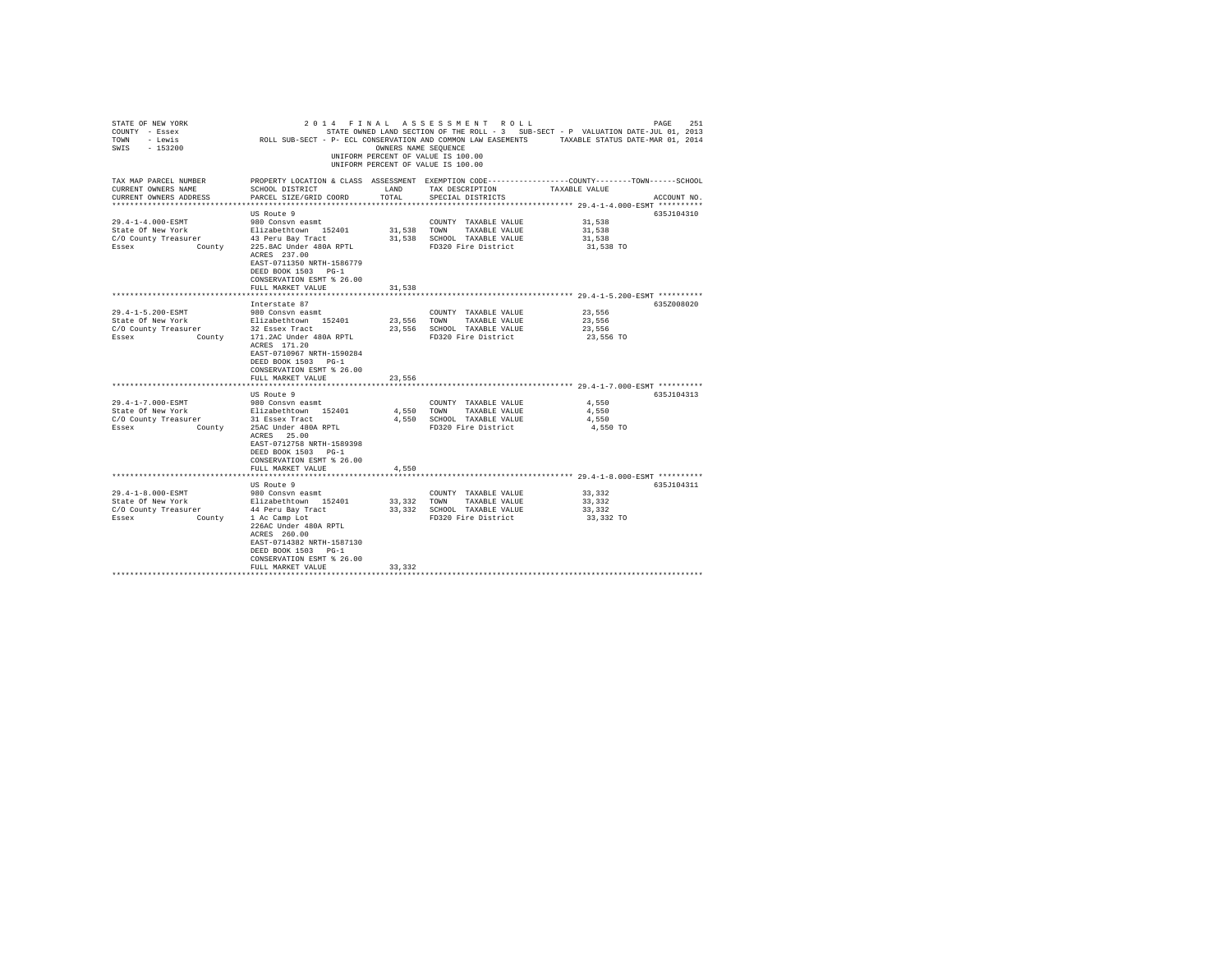| STATE OF NEW YORK<br>COUNTY - Essex<br>TOWN - Lewis<br>SWIS - 153200               | 2011 - 1982 - 1992 - 1992 - 1992 - 1992 - 1992 - 1992 - 1994 - 1994 - 1994 - 1994 - 1992 - 1992 - 1994 - 1994 - 1994 - 1994 - 1994 - 1994 - 1994 - 1994 - 1994 - 1994 - 1994 - 1994 - 1994 - 1994 - 1994 - 1994 - 1994 - 1994 | OWNERS NAME SEOUENCE | 2014 FINAL ASSESSMENT ROLL<br>UNIFORM PERCENT OF VALUE IS 100.00<br>UNIFORM PERCENT OF VALUE IS 100.00 |                                              | 251<br>PAGE |
|------------------------------------------------------------------------------------|-------------------------------------------------------------------------------------------------------------------------------------------------------------------------------------------------------------------------------|----------------------|--------------------------------------------------------------------------------------------------------|----------------------------------------------|-------------|
| TAX MAP PARCEL NUMBER<br>CURRENT OWNERS NAME<br>CURRENT OWNERS ADDRESS             | PROPERTY LOCATION & CLASS ASSESSMENT EXEMPTION CODE----------------COUNTY--------TOWN-----SCHOOL<br>SCHOOL DISTRICT<br>PARCEL SIZE/GRID COORD                                                                                 | LAND<br>TOTAL        | TAX DESCRIPTION<br>SPECIAL DISTRICTS                                                                   | TAXABLE VALUE                                | ACCOUNT NO. |
|                                                                                    |                                                                                                                                                                                                                               |                      |                                                                                                        |                                              |             |
| 29.4-1-4.000-ESMT                                                                  | US Route 9<br>980 Consvn easmt                                                                                                                                                                                                |                      | COUNTY TAXABLE VALUE                                                                                   | 31,538                                       | 635J104310  |
| State Of New York                                                                  |                                                                                                                                                                                                                               |                      | 31,538 TOWN TAXABLE VALUE                                                                              | 31,538                                       |             |
| C/O County Treasurer                                                               | Elizabethtown 152401<br>43 Peru Bay Tract                                                                                                                                                                                     |                      | 31,538 SCHOOL TAXABLE VALUE                                                                            | 31,538                                       |             |
| Essex County                                                                       | 225.8AC Under 480A RPTL<br>ACRES 237.00<br>EAST-0711350 NRTH-1586779<br>DEED BOOK 1503 PG-1<br>CONSERVATION ESMT % 26.00                                                                                                      |                      | FD320 Fire District                                                                                    | 31,538 TO                                    |             |
|                                                                                    | FULL MARKET VALUE                                                                                                                                                                                                             | 31,538               |                                                                                                        |                                              |             |
|                                                                                    |                                                                                                                                                                                                                               |                      |                                                                                                        |                                              |             |
|                                                                                    | Interstate 87                                                                                                                                                                                                                 |                      |                                                                                                        |                                              | 635Z008020  |
| 29.4-1-5.200-ESMT                                                                  | 980 Consvn easmt                                                                                                                                                                                                              |                      | COUNTY TAXABLE VALUE                                                                                   | 23,556                                       |             |
| State Of New York                                                                  | Elizabethtown 152401                                                                                                                                                                                                          |                      | 23,556 TOWN TAXABLE VALUE                                                                              | 23,556                                       |             |
| C/O County Treasurer 22 Essex Tract<br>Essex County County 171.2AC Under 480A RPTL |                                                                                                                                                                                                                               |                      | 23,556 SCHOOL TAXABLE VALUE                                                                            | 23,556<br>23,556 TO                          |             |
|                                                                                    | ACRES 171.20<br>EAST-0710967 NRTH-1590284<br>DEED BOOK 1503 PG-1<br>CONSERVATION ESMT % 26.00                                                                                                                                 |                      | FD320 Fire District                                                                                    |                                              |             |
|                                                                                    | FULL MARKET VALUE                                                                                                                                                                                                             | 23,556               |                                                                                                        |                                              |             |
|                                                                                    | US Route 9                                                                                                                                                                                                                    |                      |                                                                                                        |                                              | 635J104313  |
| 29.4-1-7.000-ESMT                                                                  |                                                                                                                                                                                                                               |                      | COUNTY TAXABLE VALUE                                                                                   | 4,550                                        |             |
| State Of New York                                                                  | 980 Consvn easmt<br>Elizabethtown 152401                                                                                                                                                                                      |                      | 4,550 TOWN TAXABLE VALUE                                                                               | 4.550                                        |             |
| C/O County Treasurer                                                               | 31 Essex Tract                                                                                                                                                                                                                |                      | 4,550 SCHOOL TAXABLE VALUE                                                                             | 4,550                                        |             |
| Essex                                                                              | County 25AC Under 480A RPTL<br>ACRES 25.00<br>EAST-0712758 NRTH-1589398<br>DEED BOOK 1503 PG-1<br>CONSERVATION ESMT % 26.00<br>FULL MARKET VALUE                                                                              | 4,550                | FD320 Fire District                                                                                    | 4,550 TO                                     |             |
|                                                                                    |                                                                                                                                                                                                                               |                      |                                                                                                        | *************** 29.4-1-8.000-ESMT ********** |             |
|                                                                                    | US Route 9                                                                                                                                                                                                                    |                      |                                                                                                        |                                              | 635J104311  |
| 29.4-1-8.000-ESMT                                                                  | 980 Consvn easmt                                                                                                                                                                                                              |                      | COUNTY TAXABLE VALUE                                                                                   | 33,332                                       |             |
| State Of New York<br>C/O County Treasurer                                          | Elizabethtown 152401<br>44 Peru Bay Tract                                                                                                                                                                                     |                      | 33,332 TOWN TAXABLE VALUE                                                                              | 33,332                                       |             |
|                                                                                    |                                                                                                                                                                                                                               |                      | 33,332 SCHOOL TAXABLE VALUE                                                                            | 33,332                                       |             |
| County<br>Essex                                                                    | 1 Ac Camp Lot<br>226AC Under 480A RPTL<br>ACRES 260.00<br>EAST-0714382 NRTH-1587130<br>DEED BOOK 1503 PG-1<br>CONSERVATION ESMT % 26.00<br>FULL MARKET VALUE                                                                  | 33,332               | FD320 Fire District                                                                                    | 33,332 TO                                    |             |
|                                                                                    |                                                                                                                                                                                                                               |                      |                                                                                                        |                                              |             |
|                                                                                    |                                                                                                                                                                                                                               |                      |                                                                                                        |                                              |             |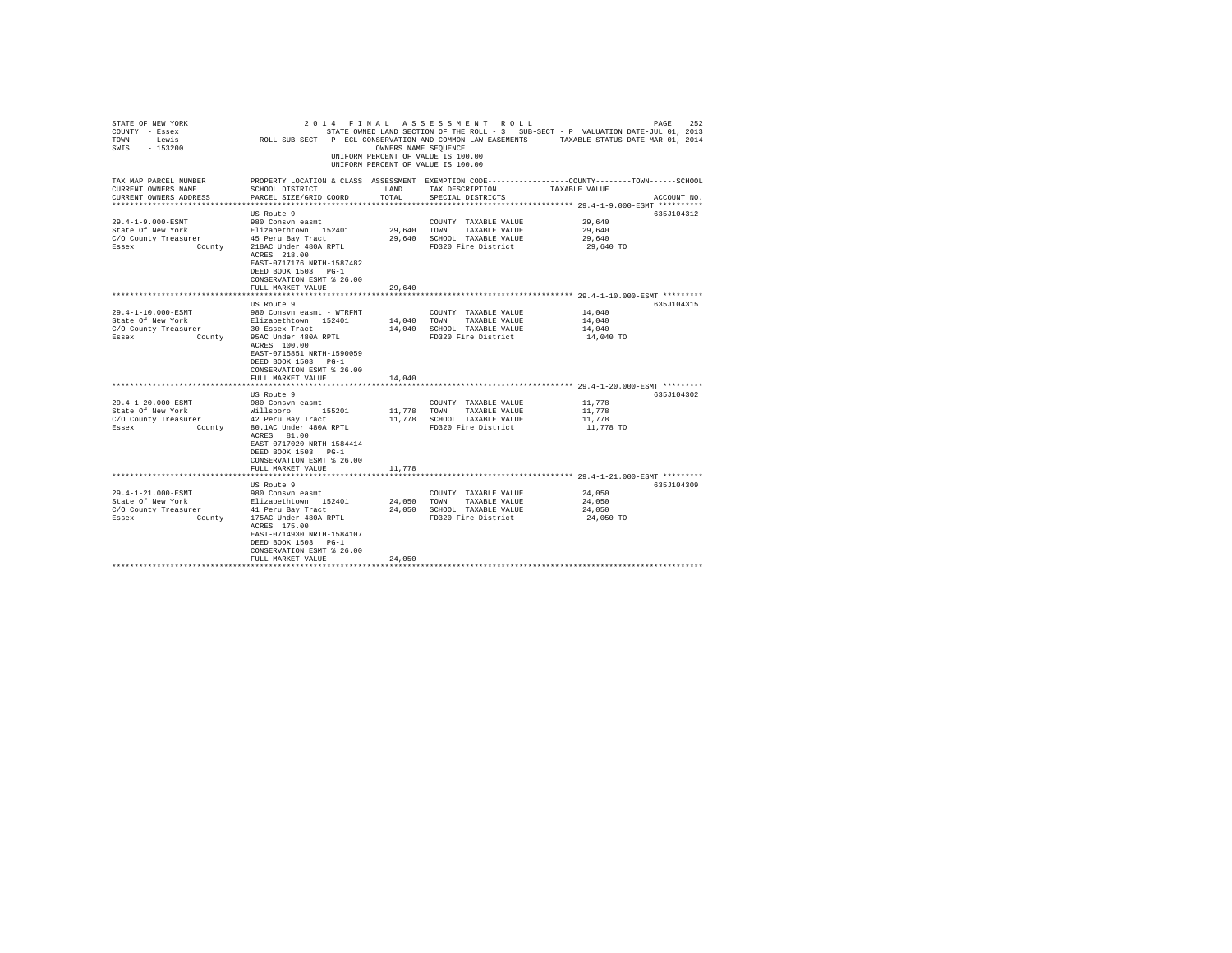| STATE OF NEW YORK<br>COUNTY - Essex<br>- Lewis<br>TOWN<br>SWIS<br>$-153200$ |                                                                                                                        | OWNERS NAME SEQUENCE | 2014 FINAL ASSESSMENT ROLL<br>UNIFORM PERCENT OF VALUE IS 100.00<br>UNIFORM PERCENT OF VALUE IS 100.00 | PAGE<br>252<br>STATE OWNED LAND SECTION OF THE ROLL - 3 SUB-SECT - P VALUATION DATE-JUL 01, 2013<br>ROLL SUB-SECT - P- ECL CONSERVATION AND COMMON LAW EASEMENTS TAXABLE STATUS DATE-MAR 01, 2014 |
|-----------------------------------------------------------------------------|------------------------------------------------------------------------------------------------------------------------|----------------------|--------------------------------------------------------------------------------------------------------|---------------------------------------------------------------------------------------------------------------------------------------------------------------------------------------------------|
| TAX MAP PARCEL NUMBER<br>CURRENT OWNERS NAME<br>CURRENT OWNERS ADDRESS      | SCHOOL DISTRICT<br>PARCEL SIZE/GRID COORD                                                                              | LAND<br>TOTAL        | TAX DESCRIPTION<br>SPECIAL DISTRICTS                                                                   | PROPERTY LOCATION & CLASS ASSESSMENT EXEMPTION CODE---------------COUNTY-------TOWN-----SCHOOL<br>TAXABLE VALUE<br>ACCOUNT NO.                                                                    |
|                                                                             |                                                                                                                        |                      |                                                                                                        | ****************************** 29.4-1-9.000-ESMT **********                                                                                                                                       |
|                                                                             | US Route 9                                                                                                             |                      |                                                                                                        | 635J104312                                                                                                                                                                                        |
| 29.4-1-9.000-ESMT                                                           | 980 Consyn easmt                                                                                                       |                      | COUNTY TAXABLE VALUE                                                                                   | 29,640                                                                                                                                                                                            |
| State Of New York                                                           | Elizabethtown 152401                                                                                                   | 29,640               | TAXABLE VALUE<br>TOWN                                                                                  | 29,640                                                                                                                                                                                            |
| C/O County Treasurer                                                        | 45 Peru Bay Tract                                                                                                      | 29,640               | SCHOOL TAXABLE VALUE                                                                                   | 29,640                                                                                                                                                                                            |
| Essex<br>County                                                             | 218AC Under 480A RPTL<br>ACRES 218.00<br>EAST-0717176 NRTH-1587482<br>DEED BOOK 1503 PG-1<br>CONSERVATION ESMT % 26.00 |                      | FD320 Fire District                                                                                    | 29,640 TO                                                                                                                                                                                         |
|                                                                             | FULL MARKET VALUE                                                                                                      | 29,640               |                                                                                                        |                                                                                                                                                                                                   |
|                                                                             | US Route 9                                                                                                             |                      |                                                                                                        | 635J104315                                                                                                                                                                                        |
| $29.4 - 1 - 10.000 -$ ESMT                                                  | 980 Consyn easmt - WTRFNT                                                                                              |                      | COUNTY TAXABLE VALUE                                                                                   | 14,040                                                                                                                                                                                            |
| State Of New York                                                           | Elizabethtown 152401                                                                                                   | 14,040               | TOWN<br>TAXABLE VALUE                                                                                  | 14,040                                                                                                                                                                                            |
| C/O County Treasurer                                                        | 30 Essex Tract                                                                                                         | 14,040               | SCHOOL TAXABLE VALUE                                                                                   | 14,040                                                                                                                                                                                            |
| Essex<br>County                                                             | 95AC Under 480A RPTL                                                                                                   |                      | FD320 Fire District                                                                                    | 14,040 TO                                                                                                                                                                                         |
|                                                                             | ACRES 100.00<br>EAST-0715851 NRTH-1590059<br>DEED BOOK 1503 PG-1<br>CONSERVATION ESMT % 26.00<br>FULL MARKET VALUE     | 14,040               |                                                                                                        |                                                                                                                                                                                                   |
|                                                                             |                                                                                                                        |                      |                                                                                                        | ********************************* 29.4-1-20.000-ESMT *********                                                                                                                                    |
|                                                                             | US Route 9                                                                                                             |                      |                                                                                                        | 635J104302                                                                                                                                                                                        |
| 29.4-1-20.000-ESMT                                                          | 980 Consyn easmt                                                                                                       |                      | COUNTY TAXABLE VALUE                                                                                   | 11,778                                                                                                                                                                                            |
| State Of New York                                                           | Willsboro<br>155201                                                                                                    | 11,778               | TOWN<br>TAXABLE VALUE                                                                                  | 11,778                                                                                                                                                                                            |
| C/O County Treasurer                                                        | 42 Peru Bay Tract                                                                                                      | 11,778               | SCHOOL TAXABLE VALUE                                                                                   | 11,778                                                                                                                                                                                            |
| Essex<br>County                                                             | 80.1AC Under 480A RPTL<br>ACRES 81.00<br>EAST-0717020 NRTH-1584414<br>DEED BOOK 1503 PG-1<br>CONSERVATION ESMT % 26.00 |                      | FD320 Fire District                                                                                    | 11,778 TO                                                                                                                                                                                         |
|                                                                             | FULL MARKET VALUE                                                                                                      | 11,778               |                                                                                                        |                                                                                                                                                                                                   |
|                                                                             |                                                                                                                        |                      |                                                                                                        | ********************** 29.4-1-21.000-ESMT *********                                                                                                                                               |
|                                                                             | US Route 9                                                                                                             |                      |                                                                                                        | 635J104309                                                                                                                                                                                        |
| 29.4-1-21.000-ESMT                                                          | 980 Consyn easmt                                                                                                       |                      | COUNTY TAXABLE VALUE                                                                                   | 24,050                                                                                                                                                                                            |
| State Of New York                                                           | Elizabethtown 152401                                                                                                   | 24,050               | TOWN<br>TAXABLE VALUE                                                                                  | 24,050                                                                                                                                                                                            |
| C/O County Treasurer                                                        | 41 Peru Bay Tract                                                                                                      | 24,050               | SCHOOL TAXABLE VALUE                                                                                   | 24,050                                                                                                                                                                                            |
| Essex<br>County                                                             | 175AC Under 480A RPTL<br>ACRES 175.00<br>EAST-0714930 NRTH-1584107<br>DEED BOOK 1503 PG-1<br>CONSERVATION ESMT % 26.00 |                      | FD320 Fire District                                                                                    | 24,050 TO                                                                                                                                                                                         |
|                                                                             | FULL MARKET VALUE                                                                                                      | 24,050               |                                                                                                        |                                                                                                                                                                                                   |
|                                                                             |                                                                                                                        |                      |                                                                                                        |                                                                                                                                                                                                   |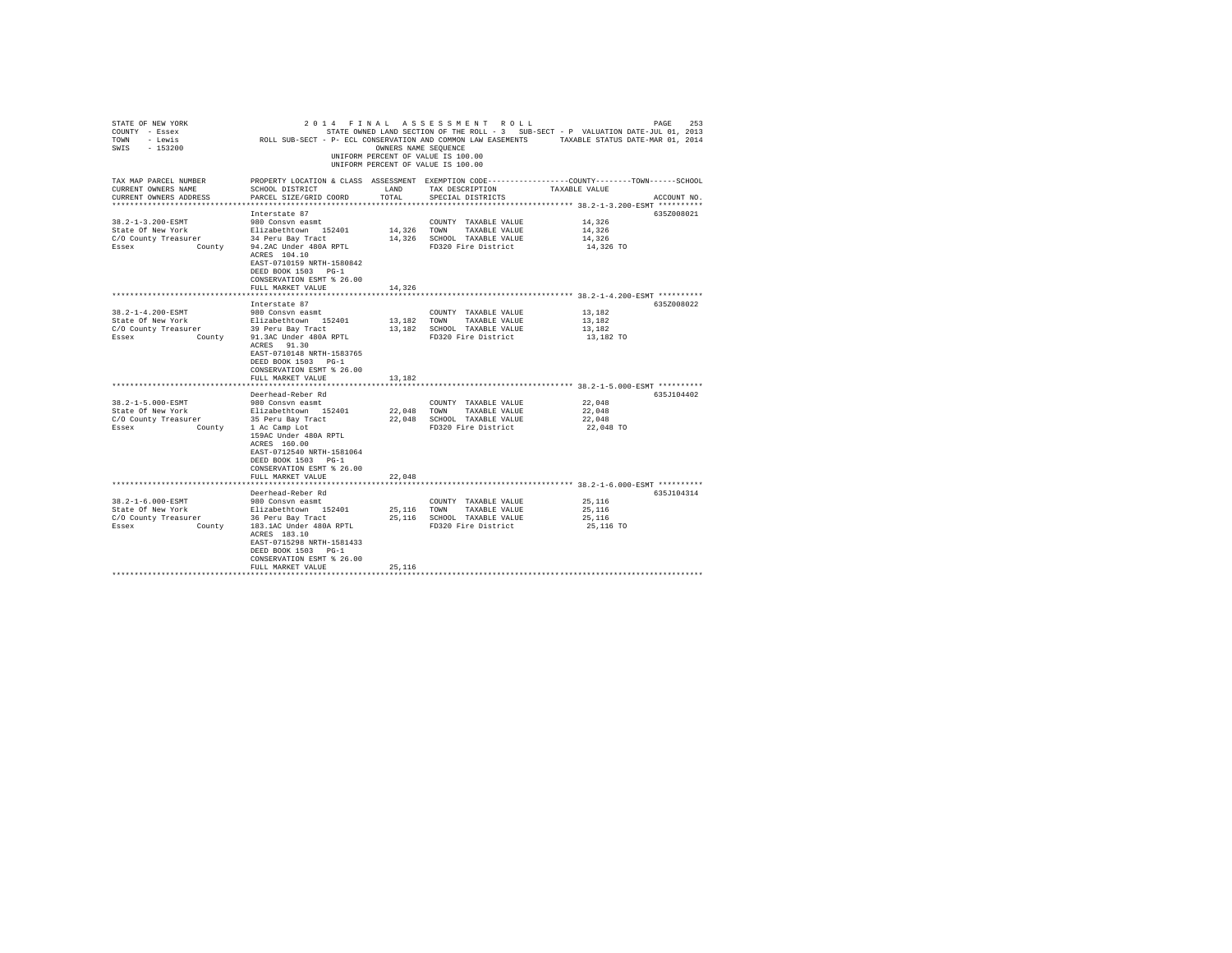| STATE OF NEW YORK<br>COUNTY - Essex<br>TOWN - Lewis<br>SWIS - 153200          |                                                                                                                                             |               | UNIFORM PERCENT OF VALUE IS 100.00<br>UNIFORM PERCENT OF VALUE IS 100.00 |                     |             |
|-------------------------------------------------------------------------------|---------------------------------------------------------------------------------------------------------------------------------------------|---------------|--------------------------------------------------------------------------|---------------------|-------------|
| TAX MAP PARCEL NUMBER<br>CURRENT OWNERS NAME<br>CURRENT OWNERS ADDRESS        | PROPERTY LOCATION & CLASS ASSESSMENT EXEMPTION CODE---------------COUNTY-------TOWN-----SCHOOL<br>SCHOOL DISTRICT<br>PARCEL SIZE/GRID COORD | LAND<br>TOTAL | TAX DESCRIPTION<br>SPECIAL DISTRICTS                                     | TAXABLE VALUE       | ACCOUNT NO. |
|                                                                               |                                                                                                                                             |               |                                                                          |                     |             |
|                                                                               | Interstate 87                                                                                                                               |               |                                                                          |                     | 635Z008021  |
| 38.2-1-3.200-ESMT<br>State Of New York                                        | 980 Consyn easmt                                                                                                                            |               | COUNTY TAXABLE VALUE                                                     | 14,326<br>14,326    |             |
| C/O County Treasurer                                                          | Elizabethtown 152401<br>34 Peru Bay Tract                                                                                                   | 14,326 TOWN   | TAXABLE VALUE<br>14,326 SCHOOL TAXABLE VALUE                             | 14,326              |             |
| Essex                                                                         | County 94.2AC Under 480A RPTL<br>ACRES 104.10<br>EAST-0710159 NRTH-1580842<br>DEED BOOK 1503 PG-1<br>CONSERVATION ESMT % 26.00              |               | FD320 Fire District                                                      | 14,326 TO           |             |
|                                                                               | FULL MARKET VALUE                                                                                                                           | 14,326        |                                                                          |                     |             |
|                                                                               |                                                                                                                                             |               |                                                                          |                     |             |
|                                                                               | Interstate 87                                                                                                                               |               |                                                                          |                     | 635Z008022  |
| 38.2-1-4.200-ESMT                                                             | 980 Consvn easmt                                                                                                                            |               | COUNTY TAXABLE VALUE                                                     | 13,182              |             |
| State Of New York                                                             | Elizabethtown 152401                                                                                                                        | 13,182 TOWN   | TAXABLE VALUE                                                            | 13,182              |             |
| C/O County Treasurer 29 Peru Bay Tract<br>Essex County 11.3AC Under 480A RPTL |                                                                                                                                             |               | 13,182 SCHOOL TAXABLE VALUE<br>FD320 Fire District                       | 13,182<br>13,182 TO |             |
|                                                                               | ACRES 91.30<br>EAST-0710148 NRTH-1583765<br>DEED BOOK 1503 PG-1<br>CONSERVATION ESMT % 26.00<br>FULL MARKET VALUE                           | 13,182        |                                                                          |                     |             |
|                                                                               |                                                                                                                                             |               |                                                                          |                     |             |
|                                                                               | Deerhead-Reber Rd                                                                                                                           |               |                                                                          |                     | 635J104402  |
| 38.2-1-5.000-ESMT                                                             | 980 Consvn easmt                                                                                                                            |               | COUNTY TAXABLE VALUE                                                     | 22,048              |             |
| State Of New York                                                             | Elizabethtown 152401                                                                                                                        |               | 22,048 TOWN TAXABLE VALUE                                                | 22,048              |             |
| C/O County Treasurer                                                          | 35 Peru Bay Tract<br>County 1 Ac Camp Lot                                                                                                   |               | 22,048 SCHOOL TAXABLE VALUE                                              | 22.048              |             |
| Essex                                                                         | 159AC Under 480A RPTL<br>ACRES 160.00<br>EAST-0712540 NRTH-1581064<br>DEED BOOK 1503 PG-1<br>CONSERVATION ESMT % 26.00                      |               | FD320 Fire District                                                      | 22,048 TO           |             |
|                                                                               | FULL MARKET VALUE                                                                                                                           | 22,048        |                                                                          |                     |             |
|                                                                               |                                                                                                                                             |               |                                                                          |                     |             |
| 38.2-1-6.000-ESMT                                                             | Deerhead-Reber Rd<br>980 Consvn easmt                                                                                                       |               | COUNTY TAXABLE VALUE                                                     | 25,116              | 635J104314  |
| State Of New York                                                             | Elizabethtown 152401                                                                                                                        | 25,116        | TOWN TAXABLE VALUE                                                       | 25,116              |             |
| C/O County Treasurer                                                          | 36 Peru Bay Tract                                                                                                                           |               | 25.116 SCHOOL TAXABLE VALUE                                              | 25,116              |             |
| County<br>Essex                                                               | 183.1AC Under 480A RPTL<br>ACRES 183.10<br>EAST-0715298 NRTH-1581433<br>DEED BOOK 1503 PG-1<br>CONSERVATION ESMT % 26.00                    |               | FD320 Fire District                                                      | 25,116 TO           |             |
|                                                                               | FULL MARKET VALUE                                                                                                                           | 25,116        |                                                                          |                     |             |
|                                                                               |                                                                                                                                             |               |                                                                          |                     |             |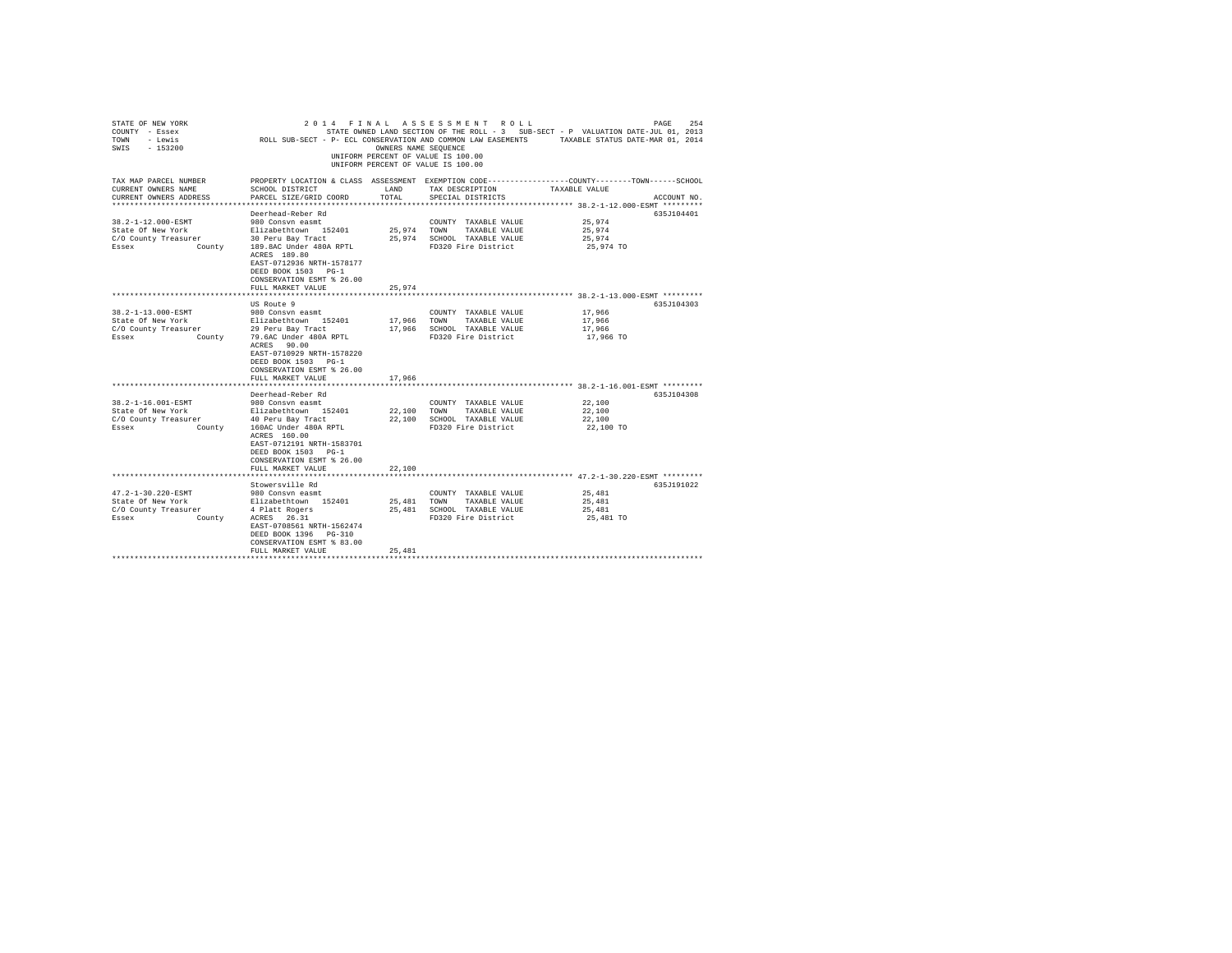| STATE OF NEW YORK<br>COUNTY - Essex<br>TOWN - Lewis<br>SWIS - 153200 |                                                                                                                        | OWNERS NAME SEQUENCE | 2014 FINAL ASSESSMENT ROLL<br>UNIFORM PERCENT OF VALUE IS 100.00<br>UNIFORM PERCENT OF VALUE IS 100.00 | PAGE<br>STATE OWNED LAND SECTION OF THE ROLL - 3 SUB-SECT - P VALUATION DATE-JUL 01, 2013<br>ROLL SUB-SECT - P- ECL CONSERVATION AND COMMON LAW EASEMENTS TAXABLE STATUS DATE-MAR 01, 2014 | 254 |
|----------------------------------------------------------------------|------------------------------------------------------------------------------------------------------------------------|----------------------|--------------------------------------------------------------------------------------------------------|--------------------------------------------------------------------------------------------------------------------------------------------------------------------------------------------|-----|
| TAX MAP PARCEL NUMBER<br>CURRENT OWNERS NAME                         | SCHOOL DISTRICT                                                                                                        | LAND                 | TAX DESCRIPTION                                                                                        | PROPERTY LOCATION & CLASS ASSESSMENT EXEMPTION CODE----------------COUNTY-------TOWN-----SCHOOL<br>TAXABLE VALUE                                                                           |     |
| CURRENT OWNERS ADDRESS                                               | PARCEL SIZE/GRID COORD                                                                                                 | TOTAL                | SPECIAL DISTRICTS                                                                                      | ACCOUNT NO.                                                                                                                                                                                |     |
|                                                                      | Deerhead-Reber Rd                                                                                                      |                      |                                                                                                        | 635J104401                                                                                                                                                                                 |     |
| 38.2-1-12.000-ESMT                                                   | 980 Consyn easmt                                                                                                       |                      | COUNTY TAXABLE VALUE                                                                                   | 25,974                                                                                                                                                                                     |     |
| State Of New York                                                    | Elizabethtown 152401                                                                                                   | 25,974 TOWN          | TAXABLE VALUE                                                                                          | 25.974                                                                                                                                                                                     |     |
| C/O County Treasurer                                                 | 30 Peru Bay Tract                                                                                                      |                      | 25,974 SCHOOL TAXABLE VALUE                                                                            | 25,974                                                                                                                                                                                     |     |
| Essex                                                                | County 189.8AC Under 480A RPTL<br>ACRES 189.80                                                                         |                      | FD320 Fire District                                                                                    | 25,974 TO                                                                                                                                                                                  |     |
|                                                                      | EAST-0712936 NRTH-1578177                                                                                              |                      |                                                                                                        |                                                                                                                                                                                            |     |
|                                                                      | DEED BOOK 1503 PG-1                                                                                                    |                      |                                                                                                        |                                                                                                                                                                                            |     |
|                                                                      | CONSERVATION ESMT % 26.00                                                                                              |                      |                                                                                                        |                                                                                                                                                                                            |     |
|                                                                      | FULL MARKET VALUE                                                                                                      | 25.974               |                                                                                                        |                                                                                                                                                                                            |     |
|                                                                      |                                                                                                                        |                      |                                                                                                        |                                                                                                                                                                                            |     |
|                                                                      | US Route 9                                                                                                             |                      |                                                                                                        | 635J104303                                                                                                                                                                                 |     |
| 38.2-1-13.000-ESMT                                                   | 980 Consvn easmt                                                                                                       |                      | COUNTY TAXABLE VALUE                                                                                   | 17,966                                                                                                                                                                                     |     |
| State Of New York                                                    | Elizabethtown 152401                                                                                                   | 17,966               | TOWN<br>TAXABLE VALUE                                                                                  | 17,966                                                                                                                                                                                     |     |
| C/O County Treasurer                                                 | 29 Peru Bay Tract                                                                                                      |                      | 17,966 SCHOOL TAXABLE VALUE                                                                            | 17,966                                                                                                                                                                                     |     |
| Essex<br>County                                                      | 79.6AC Under 480A RPTL<br>ACRES 90.00<br>EAST-0710929 NRTH-1578220<br>DEED BOOK 1503 PG-1<br>CONSERVATION ESMT % 26.00 |                      | FD320 Fire District                                                                                    | 17,966 TO                                                                                                                                                                                  |     |
|                                                                      | FULL MARKET VALUE                                                                                                      | 17,966               |                                                                                                        |                                                                                                                                                                                            |     |
|                                                                      |                                                                                                                        |                      |                                                                                                        |                                                                                                                                                                                            |     |
| 38.2-1-16.001-ESMT                                                   | Deerhead-Reber Rd                                                                                                      |                      |                                                                                                        | 635J104308<br>22,100                                                                                                                                                                       |     |
| State Of New York                                                    | 980 Consyn easmt<br>Elizabethtown 152401                                                                               | 22,100               | COUNTY TAXABLE VALUE<br>TOWN TAXABLE VALUE                                                             | 22,100                                                                                                                                                                                     |     |
| C/O County Treasurer                                                 | 40 Peru Bay Tract                                                                                                      | 22,100               | SCHOOL TAXABLE VALUE                                                                                   | 22,100                                                                                                                                                                                     |     |
| Essex<br>County                                                      | 160AC Under 480A RPTL                                                                                                  |                      | FD320 Fire District                                                                                    | 22,100 TO                                                                                                                                                                                  |     |
|                                                                      | ACRES 160.00<br>EAST-0712191 NRTH-1583701<br>DEED BOOK 1503 PG-1<br>CONSERVATION ESMT % 26.00                          |                      |                                                                                                        |                                                                                                                                                                                            |     |
|                                                                      | FULL MARKET VALUE                                                                                                      | 22,100               |                                                                                                        |                                                                                                                                                                                            |     |
|                                                                      |                                                                                                                        |                      |                                                                                                        |                                                                                                                                                                                            |     |
| 47.2-1-30.220-ESMT                                                   | Stowersville Rd                                                                                                        |                      |                                                                                                        | 635J191022                                                                                                                                                                                 |     |
| State Of New York                                                    | 980 Consyn easmt<br>Elizabethtown 152401                                                                               | 25,481               | COUNTY TAXABLE VALUE<br>TOWN TAXABLE VALUE                                                             | 25,481<br>25,481                                                                                                                                                                           |     |
| C/O County Treasurer                                                 | 4 Platt Rogers                                                                                                         | 25,481               | SCHOOL TAXABLE VALUE                                                                                   | 25,481                                                                                                                                                                                     |     |
| Essex<br>County                                                      | ACRES 26.31                                                                                                            |                      | FD320 Fire District                                                                                    | 25,481 TO                                                                                                                                                                                  |     |
|                                                                      | EAST-0708561 NRTH-1562474<br>DEED BOOK 1396 PG-310<br>CONSERVATION ESMT % 83.00                                        |                      |                                                                                                        |                                                                                                                                                                                            |     |
|                                                                      | FULL MARKET VALUE                                                                                                      | 25,481               |                                                                                                        |                                                                                                                                                                                            |     |
|                                                                      |                                                                                                                        |                      |                                                                                                        |                                                                                                                                                                                            |     |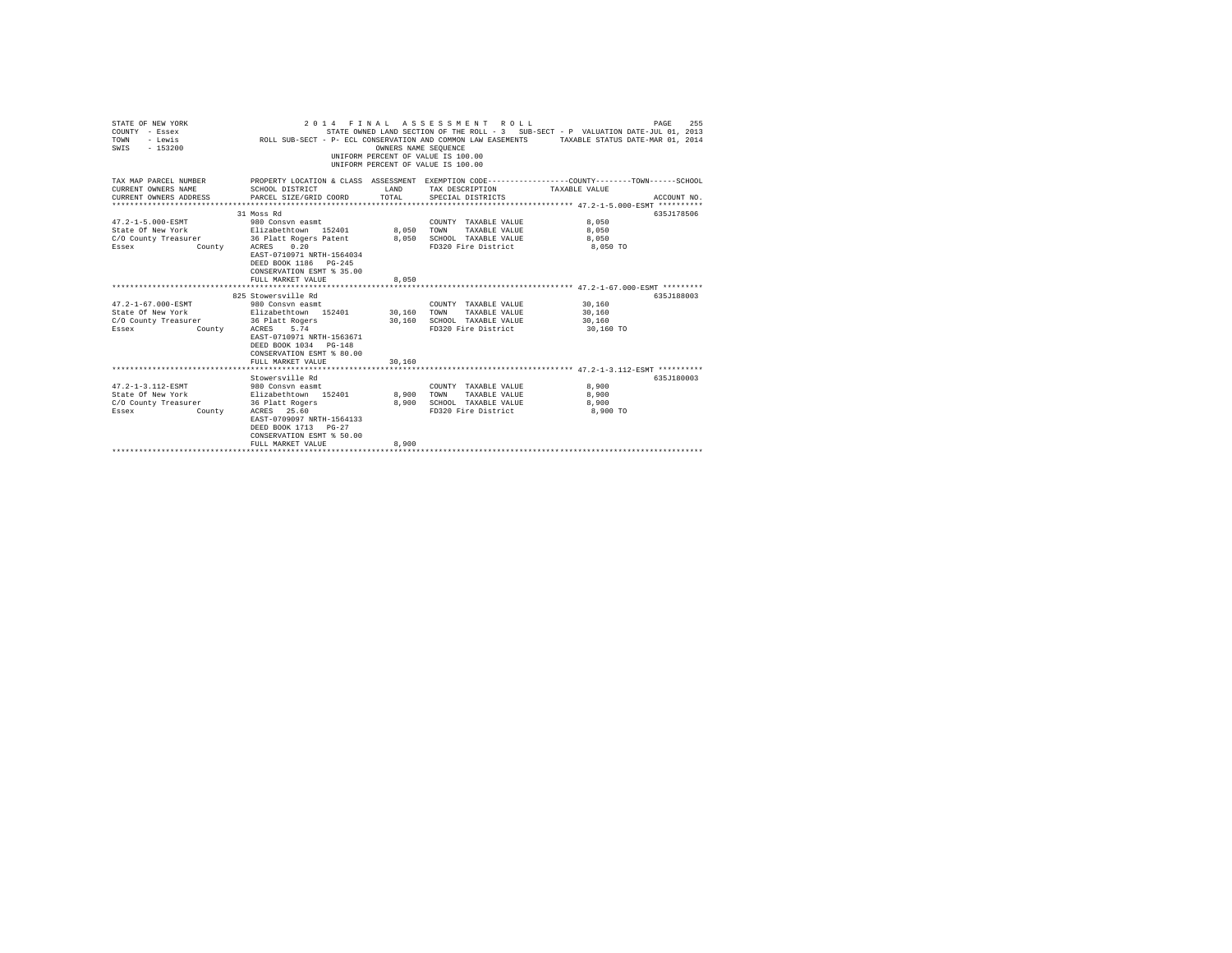| STATE OF NEW YORK<br>COUNTY - Essex<br>- Lewis<br>TOWN<br>SWIS<br>$-153200$                                                                   | ROLL SUB-SECT - P- ECL CONSERVATION AND COMMON LAW EASEMENTS TAXABLE STATUS DATE-MAR 01, 2014                                                                                         | OWNERS NAME SEOUENCE | 2014 FINAL ASSESSMENT ROLL<br>UNIFORM PERCENT OF VALUE IS 100.00<br>INIFORM PERCENT OF VALUE IS 100.00 | PAGE<br>STATE OWNED LAND SECTION OF THE ROLL - 3 SUB-SECT - P VALUATION DATE-JUL 01, 2013 | 255         |
|-----------------------------------------------------------------------------------------------------------------------------------------------|---------------------------------------------------------------------------------------------------------------------------------------------------------------------------------------|----------------------|--------------------------------------------------------------------------------------------------------|-------------------------------------------------------------------------------------------|-------------|
| TAX MAP PARCEL NUMBER<br>CURRENT OWNERS NAME<br>CURRENT OWNERS ADDRESS                                                                        | PROPERTY LOCATION & CLASS ASSESSMENT EXEMPTION CODE---------------COUNTY-------TOWN------SCHOOL<br>SCHOOL DISTRICT<br>PARCEL SIZE/GRID COORD                                          | LAND<br>TOTAL        | TAX DESCRIPTION<br>SPECIAL DISTRICTS                                                                   | TAXABLE VALUE                                                                             | ACCOUNT NO. |
| $47.2 - 1 - 5.000 - ESMT$<br>State Of New York Blizabethtown 152401 8,050<br>C/O County Treasurer<br>Essex                                    | 31 Moss Rd<br>980 Consyn easmt<br>36 Platt Rogers Patent<br>County ACRES 0.20<br>EAST-0710971 NRTH-1564034<br>DEED BOOK 1186 PG-245<br>CONSERVATION ESMT % 35.00<br>FULL MARKET VALUE | 8,050<br>8,050       | COUNTY TAXABLE VALUE 8,050<br>TOWN<br>TAXABLE VALUE<br>SCHOOL TAXABLE VALUE<br>FD320 Fire District     | 8,050<br>8,050<br>8,050 TO                                                                | 635J178506  |
|                                                                                                                                               |                                                                                                                                                                                       |                      |                                                                                                        |                                                                                           |             |
| $47.2 - 1 - 67.000 - \text{ESMT}$<br>State Of New York Blizabethtown 152401 30,160<br>C/O County Treasurer 36 Platt Rogers<br>Essex<br>County | 825 Stowersville Rd<br>980 Consyn easmt<br>ACRES 5.74<br>EAST-0710971 NRTH-1563671<br>DEED BOOK 1034 PG-148<br>CONSERVATION ESMT % 80.00                                              |                      | COUNTY TAXABLE VALUE<br>TAXABLE VALUE<br>TOWN<br>30,160 SCHOOL TAXABLE VALUE<br>FD320 Fire District    | 30,160<br>30,160<br>30,160<br>30,160 TO                                                   | 635J188003  |
|                                                                                                                                               | FULL MARKET VALUE                                                                                                                                                                     | 30,160               |                                                                                                        |                                                                                           |             |
| 47.2-1-3.112-ESMT 980 Consyn easmt<br>State Of New York<br>C/O County Treasurer 36 Platt Rogers<br>Essex<br>County                            | Stowersville Rd<br>Elizabethtown 152401 8,900<br>ACRES 25.60<br>EAST-0709097 NRTH-1564133<br>DEED BOOK 1713 PG-27<br>CONSERVATION ESMT % 50.00<br>FULL MARKET VALUE                   | 8,900<br>8,900       | COUNTY TAXABLE VALUE<br>TAXABLE VALUE<br>TOWN<br>SCHOOL TAXABLE VALUE<br>FD320 Fire District           | 8,900<br>8,900<br>8,900<br>8,900 TO                                                       | 635J180003  |
|                                                                                                                                               |                                                                                                                                                                                       |                      |                                                                                                        |                                                                                           |             |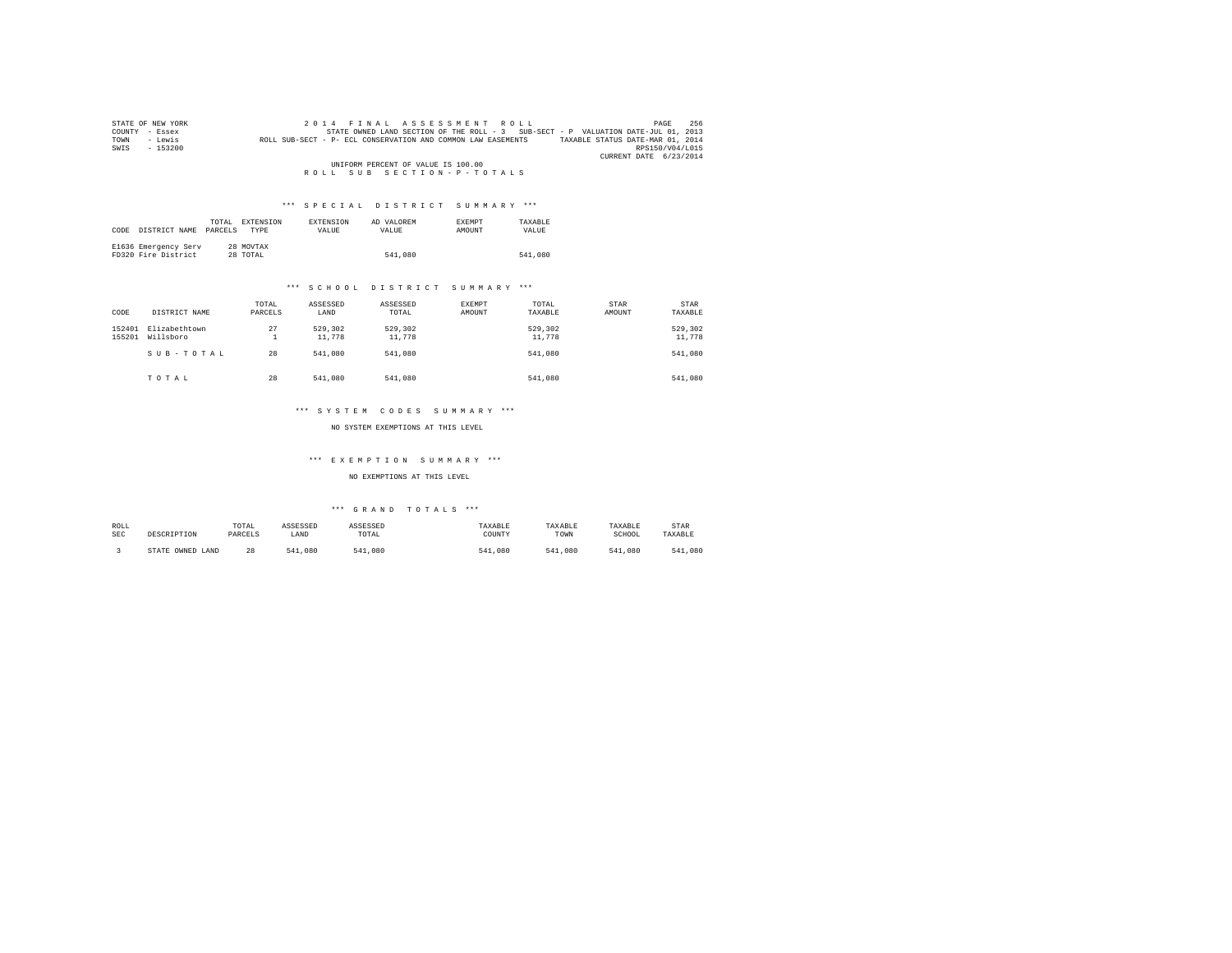| STATE OF NEW YORK | 256<br>2014 FINAL ASSESSMENT ROLL<br>PAGE                                                        |
|-------------------|--------------------------------------------------------------------------------------------------|
| COUNTY - Essex    | STATE OWNED LAND SECTION OF THE ROLL - 3 SUB-SECT - P VALUATION DATE-JUL 01, 2013                |
| - Lewis<br>TOWN   | TAXABLE STATUS DATE-MAR 01, 2014<br>ROLL SUB-SECT - P- ECL CONSERVATION AND COMMON LAW EASEMENTS |
| $-153200$<br>SWIS | RPS150/V04/L015                                                                                  |
|                   | CURRENT DATE 6/23/2014                                                                           |
|                   | UNIFORM PERCENT OF VALUE IS 100.00                                                               |
|                   | ROLL SUB SECTION-P-TOTALS                                                                        |

| CODE | DISTRICT NAME                               | TOTAL.<br>PARCELS | EXTENSION<br><b>TYPE</b> | <b>EXTENSION</b><br>VALUE | AD VALOREM<br>VALUE | <b>EXEMPT</b><br>AMOUNT | TAXARLE<br>VALUE |
|------|---------------------------------------------|-------------------|--------------------------|---------------------------|---------------------|-------------------------|------------------|
|      | E1636 Emergency Serv<br>FD320 Fire District |                   | 28 MOVTAX<br>28 TOTAL    |                           | 541,080             |                         | 541,080          |

# \*\*\* S C H O O L D I S T R I C T S U M M A R Y \*\*\*

| CODE             | DISTRICT NAME              | TOTAL<br>PARCELS | ASSESSED<br>LAND  | ASSESSED<br>TOTAL | EXEMPT<br>AMOUNT | TOTAL<br>TAXABLE  | STAR<br>AMOUNT | <b>STAR</b><br>TAXABLE |
|------------------|----------------------------|------------------|-------------------|-------------------|------------------|-------------------|----------------|------------------------|
| 152401<br>155201 | Elizabethtown<br>Willsboro | 27<br>∸          | 529,302<br>11,778 | 529,302<br>11,778 |                  | 529.302<br>11,778 |                | 529,302<br>11,778      |
|                  | SUB-TOTAL                  | 28               | 541,080           | 541,080           |                  | 541,080           |                | 541,080                |
|                  | TOTAL                      | 28               | 541,080           | 541,080           |                  | 541,080           |                | 541,080                |

#### \*\*\* S Y S T E M C O D E S S U M M A R Y \*\*\*

NO SYSTEM EXEMPTIONS AT THIS LEVEL

# \*\*\* E X E M P T I O N S U M M A R Y \*\*\*

#### NO EXEMPTIONS AT THIS LEVEL

| ROLL | DESCRIPTION            | TOTAL   | ASSESSED    | ASSESSED | TAXABLE    | TAXABLE | TAXABLE        | STAR        |
|------|------------------------|---------|-------------|----------|------------|---------|----------------|-------------|
| SEC  |                        | PARCELS | LAND        | TOTAL    | COUNTY     | TOWN    | SCHOOL         | TAXABLE     |
|      | OWNED<br>STATE<br>LAND | 28      | .080<br>541 | 541,080  | .080<br>54 | 541,080 | 541<br>. . 080 | ,080<br>541 |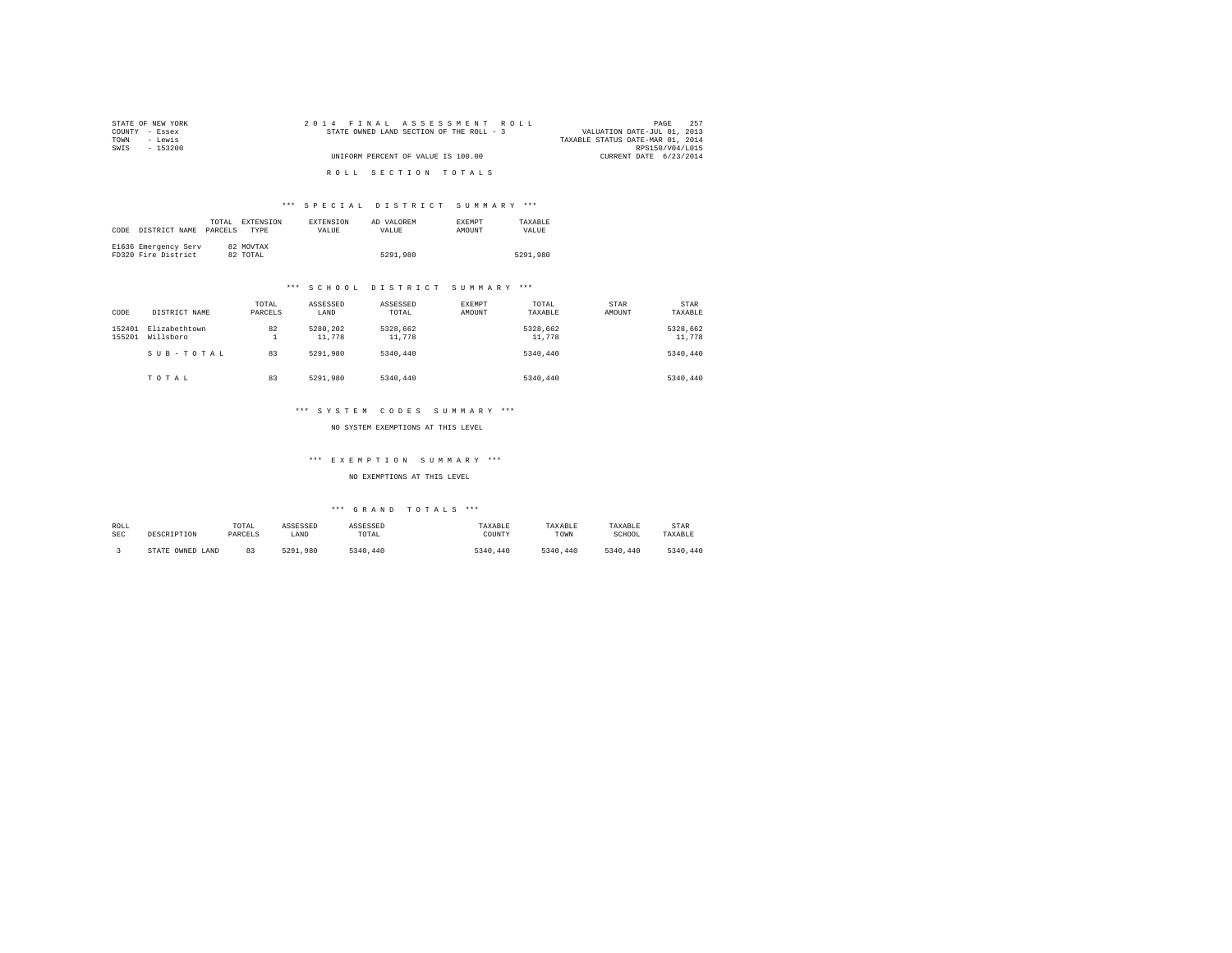| STATE OF NEW YORK | 2014 FINAL ASSESSMENT ROLL               | 257<br>PAGE                      |
|-------------------|------------------------------------------|----------------------------------|
| COUNTY - Essex    | STATE OWNED LAND SECTION OF THE ROLL - 3 | VALUATION DATE-JUL 01, 2013      |
| TOWN<br>- Lewis   |                                          | TAXABLE STATUS DATE-MAR 01, 2014 |
| SWIS<br>- 153200  |                                          | RPS150/V04/L015                  |
|                   | UNIFORM PERCENT OF VALUE IS 100.00       | CURRENT DATE 6/23/2014           |
|                   | ROLL SECTION TOTALS                      |                                  |

| CODE | DISTRICT NAME                               | TOTAL.<br>PARCELS | EXTENSION<br><b>TYPE</b> | <b>EXTENSION</b><br>VALUE | AD VALOREM<br>VALUE | <b>EXEMPT</b><br>AMOUNT | TAXABLE<br>VALUE |
|------|---------------------------------------------|-------------------|--------------------------|---------------------------|---------------------|-------------------------|------------------|
|      | E1636 Emergency Serv<br>FD320 Fire District |                   | 82 MOVTAX<br>82 TOTAL    |                           | 5291,980            |                         | 5291,980         |

# \*\*\* S C H O O L D I S T R I C T S U M M A R Y \*\*\*

| CODE             | DISTRICT NAME              | TOTAL<br>PARCELS | ASSESSED<br>LAND   | ASSESSED<br>TOTAL  | EXEMPT<br>AMOUNT | TOTAL<br>TAXABLE   | STAR<br>AMOUNT | STAR<br>TAXABLE    |
|------------------|----------------------------|------------------|--------------------|--------------------|------------------|--------------------|----------------|--------------------|
| 152401<br>155201 | Elizabethtown<br>Willsboro | 82<br>÷          | 5280.202<br>11,778 | 5328.662<br>11,778 |                  | 5328,662<br>11,778 |                | 5328.662<br>11,778 |
|                  | SUB-TOTAL                  | 83               | 5291.980           | 5340.440           |                  | 5340,440           |                | 5340.440           |
|                  | TOTAL                      | 83               | 5291.980           | 5340,440           |                  | 5340.440           |                | 5340.440           |

#### \*\*\* S Y S T E M C O D E S S U M M A R Y \*\*\*

NO SYSTEM EXEMPTIONS AT THIS LEVEL

# \*\*\* E X E M P T I O N S U M M A R Y \*\*\*

#### NO EXEMPTIONS AT THIS LEVEL

| ROLL       | DESCRIPTION      | TOTAL   | ASSESSED     | ASSESSED | TAXABLE  | TAXABLE  | TAXABLE  | <b>STAR</b> |
|------------|------------------|---------|--------------|----------|----------|----------|----------|-------------|
| <b>SEC</b> |                  | PARCELS | LAND         | TOTAL    | COUNTY   | TOWN     | SCHOOL   | TAXABLE     |
|            | STATE OWNED LAND |         | 5291<br>.980 | 5340.440 | 5340.440 | 5340.440 | 5340.440 | 5340.440    |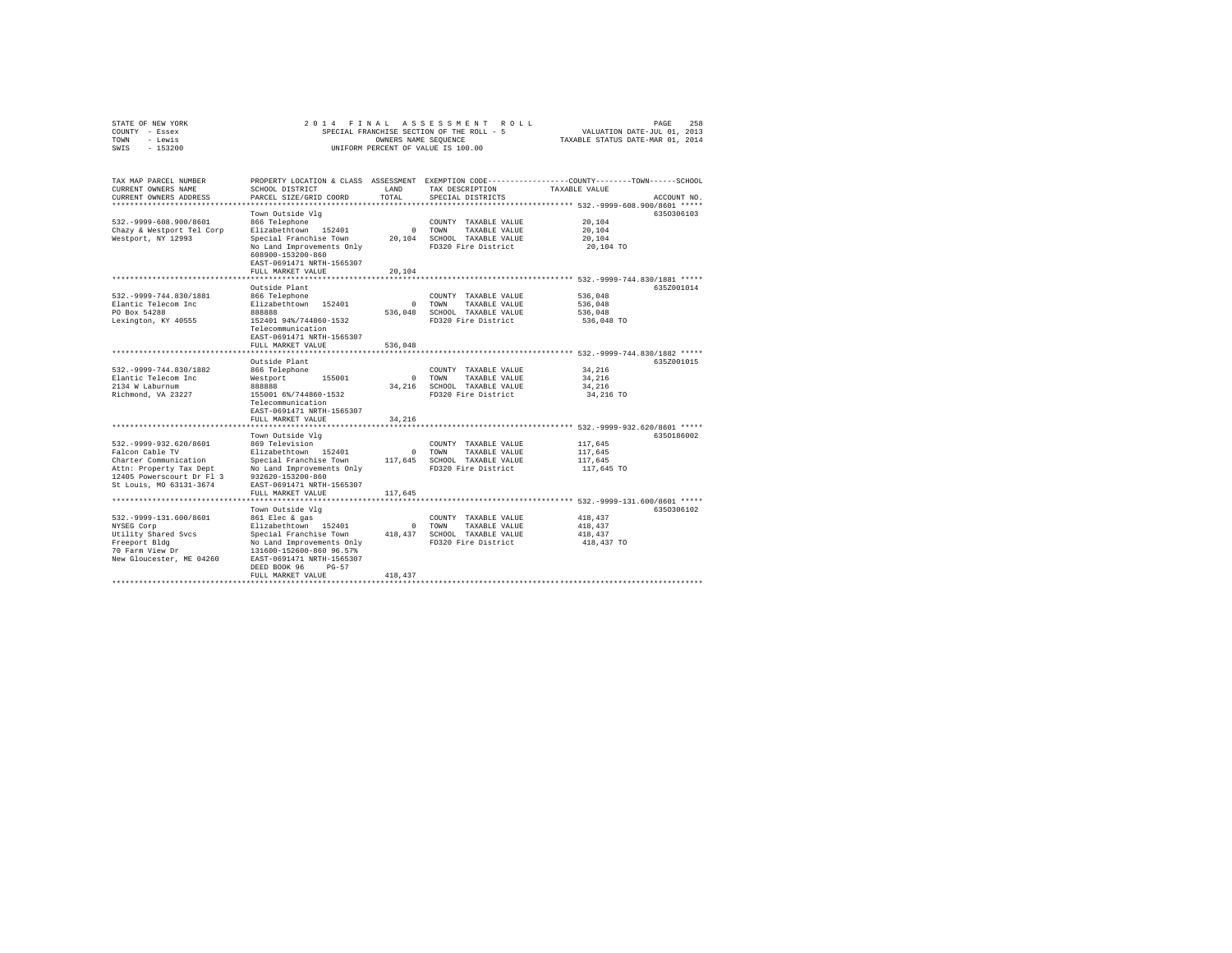| STATE OF NEW YORK<br>COUNTY - Essex<br>- Lewis<br>TOWN<br>SWIS<br>$-153200$                                                                                | 2 0 1 4<br>FINAL<br>SPECIAL FRANCHISE SECTION OF THE ROLL - 5<br>UNIFORM PERCENT OF VALUE IS 100.00                                                                                                                        | 258<br>PAGE<br>VALUATION DATE-JUL 01, 2013<br>TAXABLE STATUS DATE-MAR 01, 2014 |                                                                                              |                                                                                                                                 |
|------------------------------------------------------------------------------------------------------------------------------------------------------------|----------------------------------------------------------------------------------------------------------------------------------------------------------------------------------------------------------------------------|--------------------------------------------------------------------------------|----------------------------------------------------------------------------------------------|---------------------------------------------------------------------------------------------------------------------------------|
| TAX MAP PARCEL NUMBER<br>CURRENT OWNERS NAME<br>CURRENT OWNERS ADDRESS                                                                                     | SCHOOL DISTRICT<br>PARCEL SIZE/GRID COORD                                                                                                                                                                                  | LAND<br>TOTAL                                                                  | TAX DESCRIPTION<br>SPECIAL DISTRICTS                                                         | PROPERTY LOCATION & CLASS ASSESSMENT EXEMPTION CODE---------------COUNTY-------TOWN------SCHOOL<br>TAXABLE VALUE<br>ACCOUNT NO. |
| 532. - 9999-608.900/8601<br>Chazy & Westport Tel Corp<br>Westport, NY 12993                                                                                | Town Outside Vlq<br>866 Telephone<br>Elizabethtown 152401<br>Special Franchise Town<br>No Land Improvements Only<br>608900-153200-860<br>EAST-0691471 NRTH-1565307<br>FULL MARKET VALUE                                    | $\mathbf{r}$<br>20,104<br>20,104                                               | COUNTY TAXABLE VALUE<br>TOWN<br>TAXABLE VALUE<br>SCHOOL TAXABLE VALUE<br>FD320 Fire District | 6350306103<br>20,104<br>20,104<br>20,104<br>20,104 TO                                                                           |
| 532. - 9999 - 744.830/1881<br>Elantic Telecom Inc<br>PO Box 54288<br>Lexington, KY 40555                                                                   | ****************<br>Outside Plant<br>866 Telephone<br>Elizabethtown<br>152401<br>888888<br>152401 94%/744860-1532<br>Telecommunication<br>EAST-0691471 NRTH-1565307<br>FULL MARKET VALUE<br>*******************            | $\mathbf{r}$<br>536,048<br>536,048                                             | COUNTY TAXABLE VALUE<br>TOWN<br>TAXABLE VALUE<br>SCHOOL TAXABLE VALUE<br>FD320 Fire District | *************** 532.-9999-744.830/1881 *****<br>635Z001014<br>536,048<br>536,048<br>536,048<br>536,048 TO                       |
| 532. - 9999 - 744.830/1882<br>Elantic Telecom Inc<br>2134 W Laburnum<br>Richmond, VA 23227                                                                 | Outside Plant<br>866 Telephone<br>155001<br>Westport<br>888888<br>155001 6%/744860-1532<br>Telecommunication<br>EAST-0691471 NRTH-1565307<br>FULL MARKET VALUE                                                             | $\Omega$<br>34,216<br>34,216                                                   | COUNTY TAXABLE VALUE<br>TAXABLE VALUE<br>TOWN<br>SCHOOL TAXABLE VALUE<br>FD320 Fire District | ********************* 532.-9999-744.830/1882 *****<br>635Z001015<br>34,216<br>34,216<br>34,216<br>34,216 TO                     |
| 532. - 9999 - 932. 620/8601<br>Falcon Cable TV<br>Charter Communication<br>Attn: Property Tax Dept<br>12405 Powerscourt Dr Fl 3<br>St Louis, MO 63131-3674 | Town Outside Vlg<br>869 Television<br>Elizabethtown 152401<br>Special Franchise Town<br>No Land Improvements Only<br>932620-153200-860<br>EAST-0691471 NRTH-1565307<br>FULL MARKET VALUE                                   | $\mathbf{r}$<br>117,645<br>117,645                                             | COUNTY TAXABLE VALUE<br>TOWN<br>TAXABLE VALUE<br>SCHOOL TAXABLE VALUE<br>FD320 Fire District | ******* 532.-9999-932.620/8601 *****<br>6350186002<br>117,645<br>117,645<br>117,645<br>117,645 TO                               |
| 532. - 9999-131.600/8601<br>NYSEG Corp<br>Utility Shared Svcs<br>Freeport Bldg<br>70 Farm View Dr<br>New Gloucester, ME 04260                              | Town Outside Vlg<br>861 Elec & gas<br>Elizabethtown 152401<br>Special Franchise Town<br>No Land Improvements Only<br>131600-152600-860 96.57%<br>EAST-0691471 NRTH-1565307<br>DEED BOOK 96<br>$PG-57$<br>FULL MARKET VALUE | $^{\circ}$<br>418,437<br>418, 437                                              | COUNTY TAXABLE VALUE<br>TOWN<br>TAXABLE VALUE<br>SCHOOL TAXABLE VALUE<br>FD320 Fire District | 6350306102<br>418,437<br>418,437<br>418,437<br>418,437 TO                                                                       |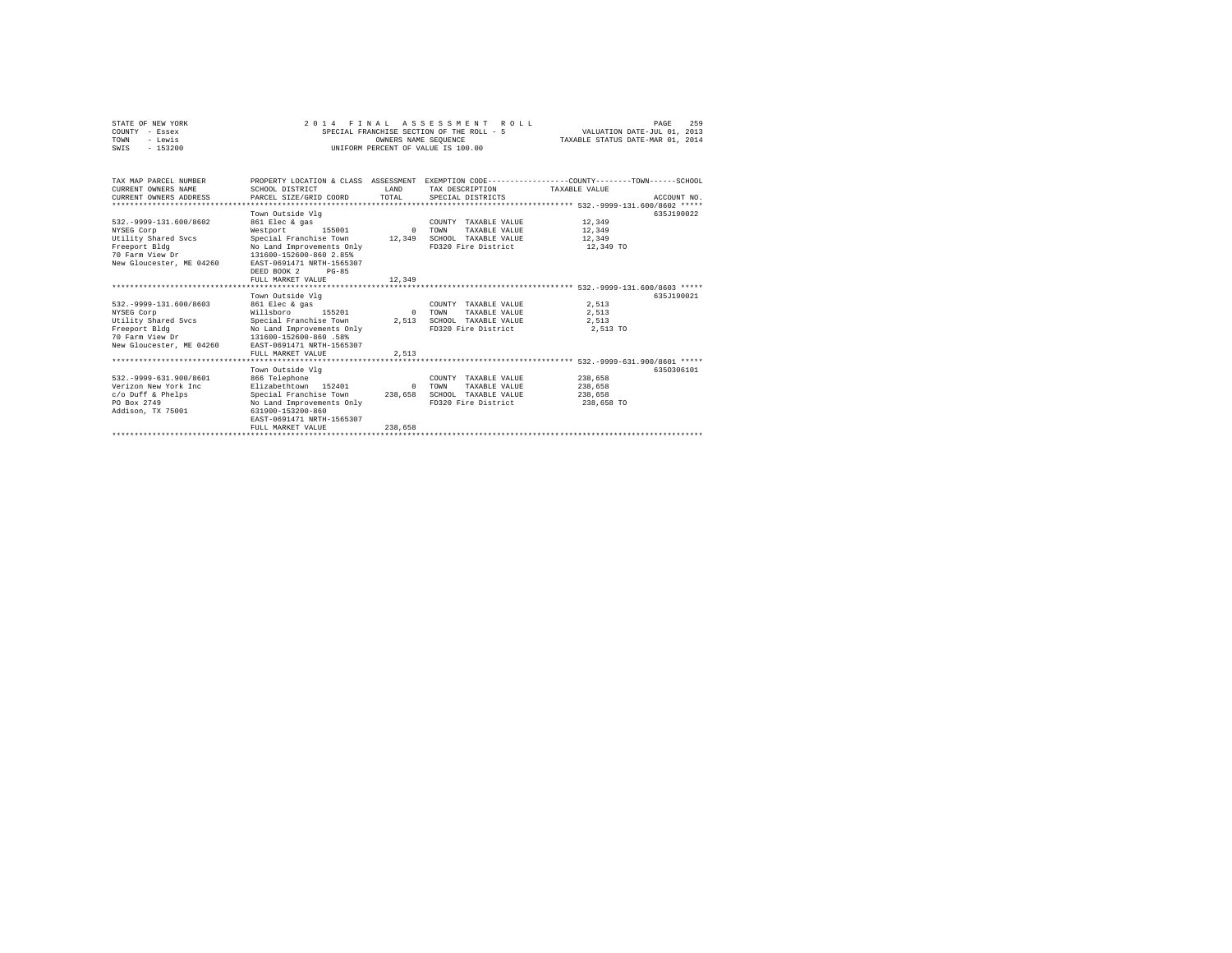| STATE OF NEW YORK<br>COUNTY - Essex<br>- Lewis<br>TOWN<br>$-153200$<br>SWTS                                                   | 2014 FINAL ASSESSMENT                                                                                                                                                                                                  | OWNERS NAME SEOUENCE           | ROLL.<br>SPECIAL FRANCHISE SECTION OF THE ROLL - 5<br>INIFORM PERCENT OF VALUE IS 100.00                                                | VALUATION DATE-JUL 01, 2013<br>TAXABLE STATUS DATE-MAR 01, 2014 | 259<br>PAGE |
|-------------------------------------------------------------------------------------------------------------------------------|------------------------------------------------------------------------------------------------------------------------------------------------------------------------------------------------------------------------|--------------------------------|-----------------------------------------------------------------------------------------------------------------------------------------|-----------------------------------------------------------------|-------------|
| TAX MAP PARCEL NUMBER<br>CURRENT OWNERS NAME<br>CURRENT OWNERS ADDRESS<br>*************************                           | SCHOOL DISTRICT<br>PARCEL SIZE/GRID COORD                                                                                                                                                                              | <b>T.AND</b><br>TOTAL.         | PROPERTY LOCATION & CLASS ASSESSMENT EXEMPTION CODE---------------COUNTY-------TOWN------SCHOOL<br>TAX DESCRIPTION<br>SPECIAL DISTRICTS | TAXABLE VALUE                                                   | ACCOUNT NO. |
| 532. - 9999-131.600/8602<br>NYSEG Corp<br>Utility Shared Svcs<br>Freeport Bldg<br>70 Farm View Dr<br>New Gloucester, ME 04260 | Town Outside Vlg<br>861 Elec & gas<br>Westport<br>155001<br>Special Franchise Town<br>No Land Improvements Only<br>131600-152600-860 2.85%<br>EAST-0691471 NRTH-1565307<br>DEED BOOK 2<br>$PG-85$<br>FULL MARKET VALUE | $\Omega$<br>12,349<br>12,349   | COUNTY TAXABLE VALUE<br><b>TOWN</b><br>TAXABLE VALUE<br>SCHOOL TAXABLE VALUE<br>FD320 Fire District                                     | 12,349<br>12,349<br>12,349<br>12,349 TO                         | 635J190022  |
| 532. - 9999-131.600/8603<br>NYSEG Corp<br>Utility Shared Svcs<br>Freeport Bldg<br>70 Farm View Dr<br>New Gloucester, ME 04260 | Town Outside Vlg<br>861 Elec & gas<br>Willsboro<br>155201<br>Special Franchise Town<br>No Land Improvements Only<br>131600-152600-860 .58%<br>EAST-0691471 NRTH-1565307<br>FULL MARKET VALUE                           | $\Omega$<br>2,513<br>2.513     | COUNTY TAXABLE VALUE<br>TOWN<br>TAXABLE VALUE<br>SCHOOL TAXABLE VALUE<br>FD320 Fire District                                            | 2.513<br>2.513<br>2.513<br>2,513 TO                             | 635.T190021 |
| 532. - 9999-631.900/8601<br>Verizon New York Inc<br>c/o Duff & Phelps<br>PO Box 2749<br>Addison, TX 75001                     | Town Outside Vlg<br>866 Telephone<br>Elizabethtown 152401<br>Special Franchise Town<br>No Land Improvements Only<br>631900-153200-860<br>EAST-0691471 NRTH-1565307<br>FULL MARKET VALUE                                | $\Omega$<br>238,658<br>238,658 | COUNTY TAXABLE VALUE<br><b>TOWN</b><br>TAXABLE VALUE<br>SCHOOL TAXABLE VALUE<br>FD320 Fire District                                     | 238,658<br>238,658<br>238,658<br>238,658 TO                     | 6350306101  |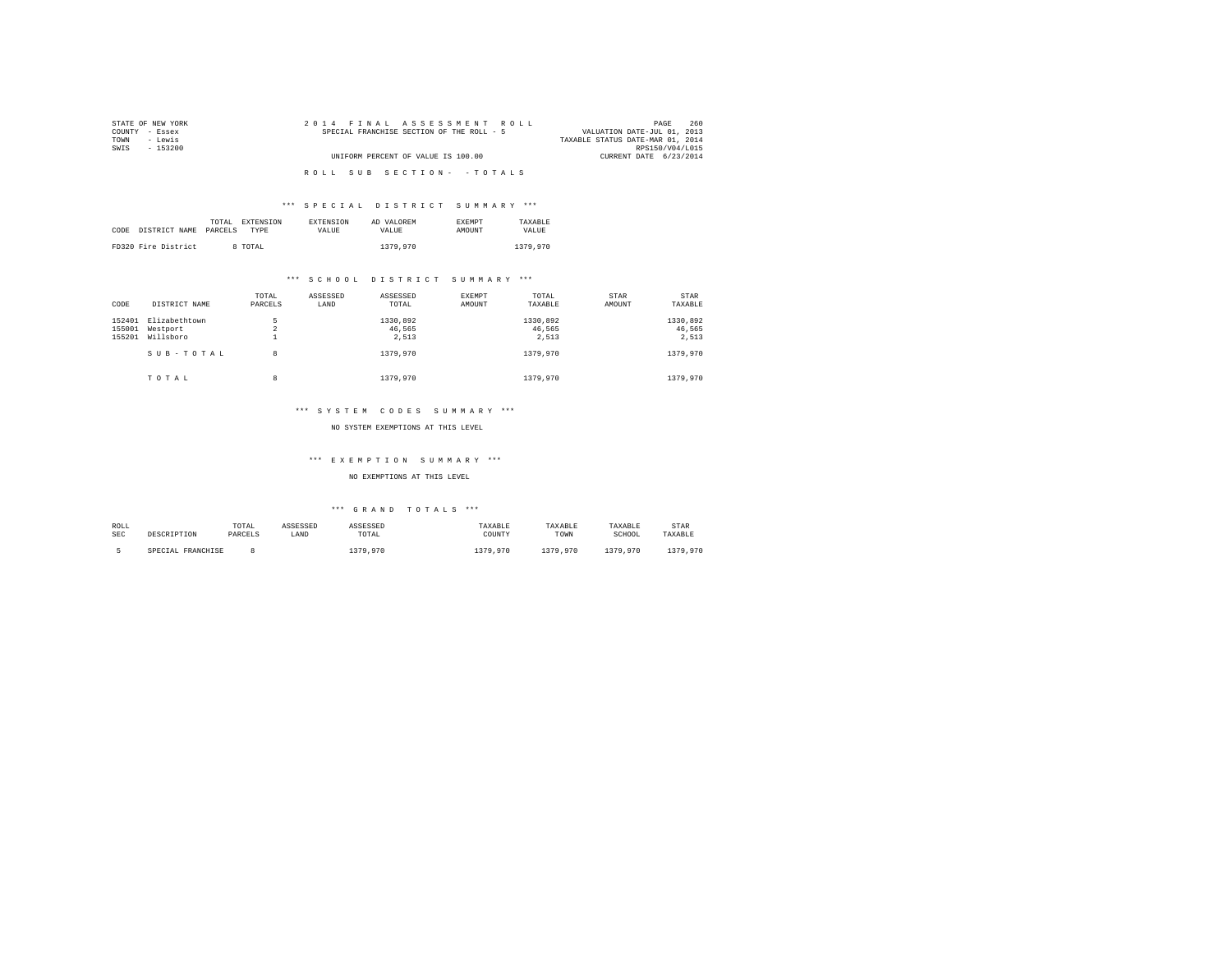| STATE OF NEW YORK | 2014 FINAL ASSESSMENT ROLL                | 260<br>PAGE                      |
|-------------------|-------------------------------------------|----------------------------------|
| COUNTY - Essex    | SPECIAL FRANCHISE SECTION OF THE ROLL - 5 | VALUATION DATE-JUL 01, 2013      |
| - Lewis<br>TOWN   |                                           | TAXABLE STATUS DATE-MAR 01, 2014 |
| SWIS<br>$-153200$ |                                           | RPS150/V04/L015                  |
|                   | UNIFORM PERCENT OF VALUE IS 100.00        | CURRENT DATE 6/23/2014           |
|                   |                                           |                                  |
|                   | ROLL SUB SECTION- - TOTALS                |                                  |

|      |                     | TOTAL<br>EXTENSION | <b>EXTENSION</b> | AD VALOREM | <b>EXEMPT</b> | TAXARLE  |
|------|---------------------|--------------------|------------------|------------|---------------|----------|
| CODE | DISTRICT NAME       | PARCELS<br>TYPE    | VALUE            | VALUE.     | AMOUNT        | VALUE.   |
|      |                     |                    |                  |            |               |          |
|      | FD320 Fire District | 8 TOTAL            |                  | 1379.970   |               | 1379.970 |

# \*\*\* S C H O O L D I S T R I C T S U M M A R Y \*\*\*

| CODE             | DISTRICT NAME             | TOTAL<br>PARCELS | ASSESSED<br>LAND | ASSESSED<br>TOTAL  | EXEMPT<br>AMOUNT | TOTAL<br>TAXABLE   | STAR<br>AMOUNT | STAR<br>TAXABLE    |
|------------------|---------------------------|------------------|------------------|--------------------|------------------|--------------------|----------------|--------------------|
| 152401<br>155001 | Elizabethtown<br>Westport | 5<br>$\sim$<br>4 |                  | 1330,892<br>46.565 |                  | 1330.892<br>46.565 |                | 1330,892<br>46.565 |
| 155201           | Willsboro<br>SUB-TOTAL    | <b>.</b><br>8    |                  | 2.513<br>1379,970  |                  | 2.513<br>1379,970  |                | 2.513<br>1379,970  |
|                  | TOTAL                     | 8                |                  | 1379,970           |                  | 1379,970           |                | 1379,970           |

#### \*\*\* S Y S T E M C O D E S S U M M A R Y \*\*\*

#### NO SYSTEM EXEMPTIONS AT THIS LEVEL

# \*\*\* E X E M P T I O N S U M M A R Y \*\*\*

#### NO EXEMPTIONS AT THIS LEVEL

| ROLL | DESCRIPTION       | TOTAL   | ASSESSED | ASSESSED | TAXABLE  | TAXABLE  | TAXABLE  | <b>STAR</b> |
|------|-------------------|---------|----------|----------|----------|----------|----------|-------------|
| SEC  |                   | PARCELS | LAND     | TOTAL    | COUNTY   | TOWN     | SCHOOL   | TAXABLE     |
|      | SPECIAL FRANCHISE |         |          | 379,970  | 1379,970 | 1379.970 | 1379.970 | 1379,970    |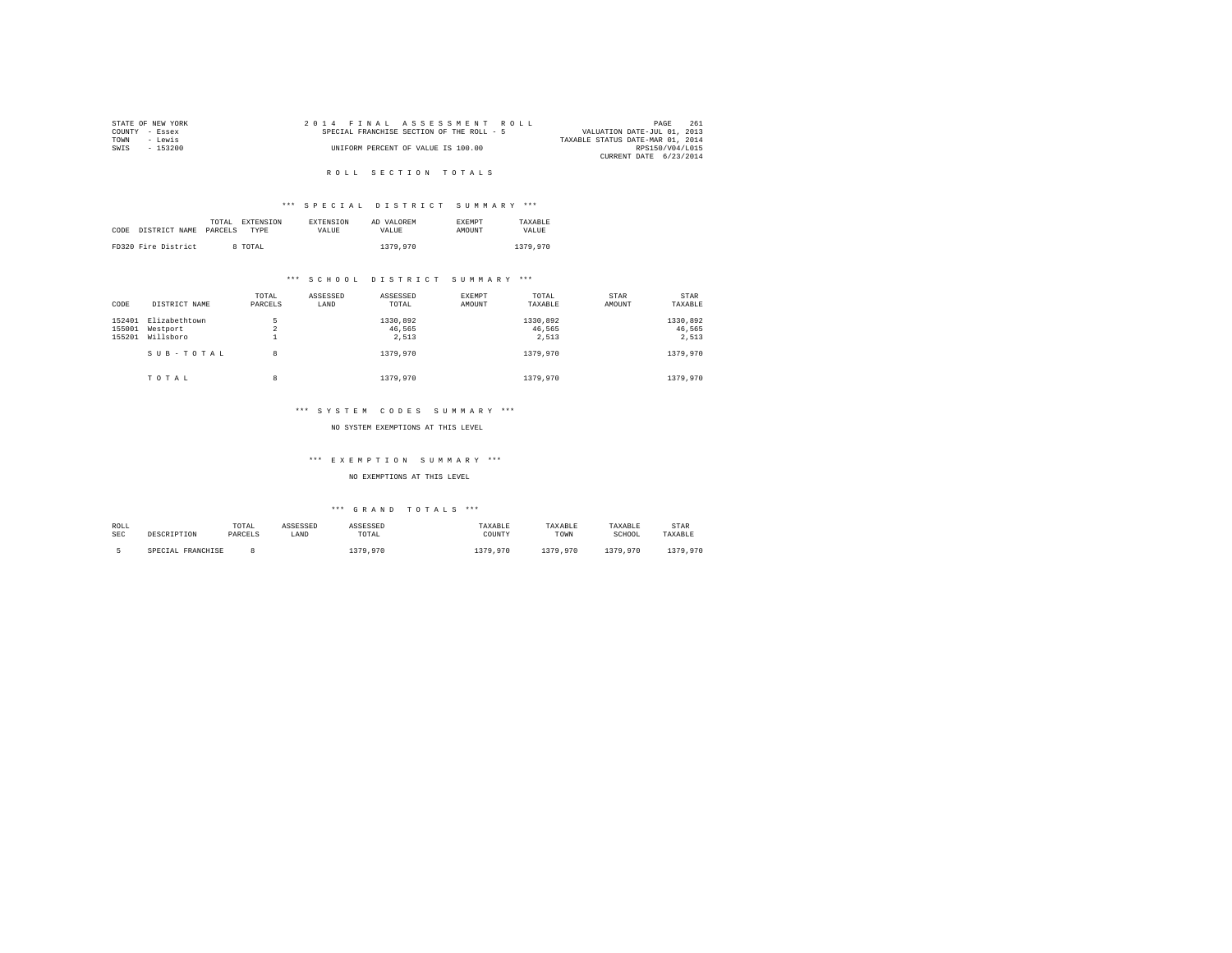|                | STATE OF NEW YORK |  |  | 2014 FINAL ASSESSMENT ROLL                |  |                                  | PAGE            | 261 |
|----------------|-------------------|--|--|-------------------------------------------|--|----------------------------------|-----------------|-----|
| COUNTY - Essex |                   |  |  | SPECIAL FRANCHISE SECTION OF THE ROLL - 5 |  | VALUATION DATE-JUL 01, 2013      |                 |     |
| TOWN           | - Lewis           |  |  |                                           |  | TAXABLE STATUS DATE-MAR 01, 2014 |                 |     |
| SWTS           | - 153200          |  |  | UNIFORM PERCENT OF VALUE IS 100.00        |  |                                  | RPS150/V04/L015 |     |
|                |                   |  |  |                                           |  | CURRENT DATE 6/23/2014           |                 |     |

# \*\*\* S P E C I A L D I S T R I C T S U M M A R Y \*\*\*

|      |                     | TOTAL EXTENSION | <b>EXTENSION</b> | AD VALOREM | <b>EXEMPT</b> | TAXARLE  |
|------|---------------------|-----------------|------------------|------------|---------------|----------|
| CODE | DISTRICT NAME       | PARCELS<br>TYPE | VALUE.           | VALUE.     | <b>AMOUNT</b> | VALUE    |
|      |                     |                 |                  |            |               |          |
|      | FD320 Fire District | 8 TOTAL         |                  | 1379,970   |               | 1379,970 |

# \*\*\* S C H O O L D I S T R I C T S U M M A R Y \*\*\*

| CODE             | DISTRICT NAME             | TOTAL<br>PARCELS | ASSESSED<br>LAND | ASSESSED<br>TOTAL  | EXEMPT<br>AMOUNT | TOTAL<br>TAXABLE   | STAR<br>AMOUNT | STAR<br>TAXABLE    |
|------------------|---------------------------|------------------|------------------|--------------------|------------------|--------------------|----------------|--------------------|
| 152401<br>155001 | Elizabethtown<br>Westport | 5<br>$\sim$<br>4 |                  | 1330,892<br>46.565 |                  | 1330.892<br>46.565 |                | 1330,892<br>46.565 |
| 155201           | Willsboro<br>SUB-TOTAL    | <b>.</b><br>8    |                  | 2.513<br>1379,970  |                  | 2.513<br>1379,970  |                | 2.513<br>1379,970  |
|                  | TOTAL                     | 8                |                  | 1379,970           |                  | 1379,970           |                | 1379,970           |

#### \*\*\* S Y S T E M C O D E S S U M M A R Y \*\*\*

#### NO SYSTEM EXEMPTIONS AT THIS LEVEL

# \*\*\* E X E M P T I O N S U M M A R Y \*\*\*

#### NO EXEMPTIONS AT THIS LEVEL

| ROLL | DESCRIPTION       | TOTAL   | ASSESSED | ASSESSED | TAXABLE  | TAXABLE  | TAXABLE  | <b>STAR</b> |
|------|-------------------|---------|----------|----------|----------|----------|----------|-------------|
| SEC  |                   | PARCELS | LAND     | TOTAL    | COUNTY   | TOWN     | SCHOOL   | TAXABLE     |
|      | SPECIAL FRANCHISE |         |          | 379,970  | 1379,970 | 1379.970 | 1379.970 | 1379,970    |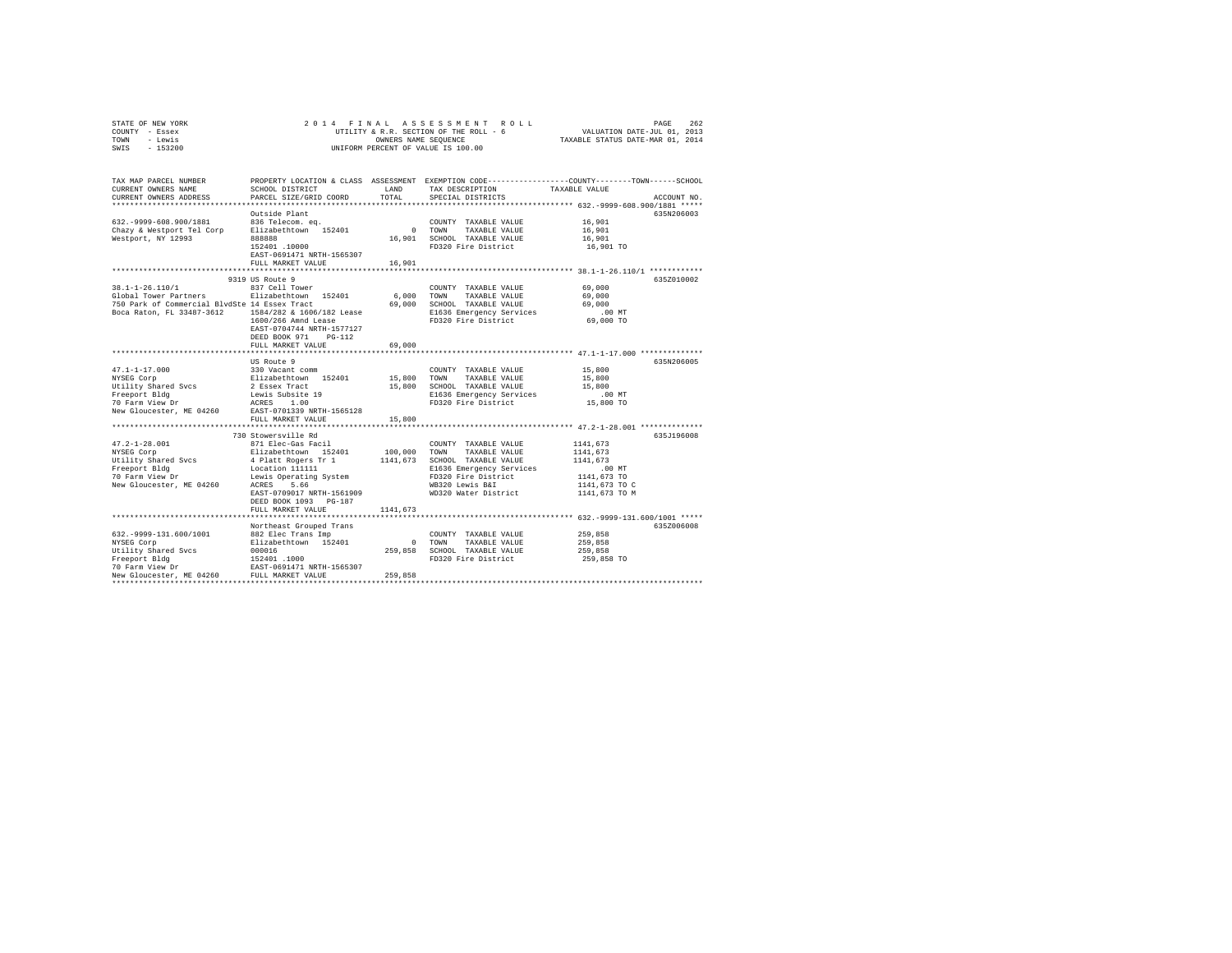| STATE OF NEW YORK<br>COUNTY - Essex<br>TOWN<br>- Lewis<br>SWIS<br>$-153200$                                                   | 2014 FINAL                                                                                                                                                                                                                        | OWNERS NAME SEQUENCE            | ASSESSMENT ROLL<br>UTILITY & R.R. SECTION OF THE ROLL - 6<br>UNIFORM PERCENT OF VALUE IS 100.00                                                                     | VALUATION DATE-JUL 01, 2013<br>TAXABLE STATUS DATE-MAR 01, 2014                                                                         | PAGE<br>262 |
|-------------------------------------------------------------------------------------------------------------------------------|-----------------------------------------------------------------------------------------------------------------------------------------------------------------------------------------------------------------------------------|---------------------------------|---------------------------------------------------------------------------------------------------------------------------------------------------------------------|-----------------------------------------------------------------------------------------------------------------------------------------|-------------|
| TAX MAP PARCEL NUMBER<br>CURRENT OWNERS NAME<br>CURRENT OWNERS ADDRESS                                                        | SCHOOL DISTRICT<br>PARCEL SIZE/GRID COORD                                                                                                                                                                                         | LAND<br>TOTAL                   | PROPERTY LOCATION & CLASS ASSESSMENT EXEMPTION CODE---------------COUNTY-------TOWN------SCHOOL<br>TAX DESCRIPTION<br>SPECIAL DISTRICTS                             | TAXABLE VALUE                                                                                                                           | ACCOUNT NO. |
| 632. - 9999-608.900/1881<br>Chazy & Westport Tel Corp<br>Westport, NY 12993                                                   | Outside Plant<br>836 Telecom. eq.<br>Elizabethtown 152401<br><b>BRASS</b><br>152401.10000<br>EAST-0691471 NRTH-1565307<br>FULL MARKET VALUE                                                                                       | $\sim$<br>16,901<br>16,901      | COUNTY TAXABLE VALUE<br>TOWN<br>TAXABLE VALUE<br>SCHOOL TAXABLE VALUE<br>FD320 Fire District                                                                        | 16,901<br>16,901<br>16,901<br>16,901 TO                                                                                                 | 635N206003  |
|                                                                                                                               |                                                                                                                                                                                                                                   |                                 |                                                                                                                                                                     |                                                                                                                                         |             |
| 38.1-1-26.110/1<br>Global Tower Partners<br>750 Park of Commercial BlvdSte 14 Essex Tract<br>Boca Raton, FL 33487-3612        | 9319 US Route 9<br>837 Cell Tower<br>Elizabethtown 152401<br>1584/282 & 1606/182 Lease<br>1600/266 Amnd Lease<br>EAST-0704744 NRTH-1577127<br>DEED BOOK 971 PG-112<br>FULL MARKET VALUE                                           | 6,000<br>69,000<br>69,000       | COUNTY TAXABLE VALUE<br>TOWN<br>TAXABLE VALUE<br>SCHOOL TAXABLE VALUE<br>E1636 Emergency Services<br>FD320 Fire District                                            | 69,000<br>69,000<br>69,000<br>$.00$ MT<br>69,000 TO                                                                                     | 635Z010002  |
|                                                                                                                               |                                                                                                                                                                                                                                   | **********                      |                                                                                                                                                                     | ********************************** 47.1-1-17.000 **************                                                                         |             |
| $47.1 - 1 - 17.000$<br>NYSEG Corp<br>Utility Shared Svcs<br>Freeport Bldg<br>70 Farm View Dr<br>New Gloucester, ME 04260      | US Route 9<br>330 Vacant comm<br>Elizabethtown 152401<br>2 Essex Tract<br>Lewis Subsite 19<br>ACRES 1.00<br>EAST-0701339 NRTH-1565128                                                                                             | 15,800<br>15,800                | COUNTY TAXABLE VALUE<br>TOWN<br>TAXABLE VALUE<br>SCHOOL TAXABLE VALUE<br>E1636 Emergency Services<br>FD320 Fire District                                            | 15,800<br>15,800<br>15,800<br>$.00$ MT<br>15,800 TO                                                                                     | 635N206005  |
|                                                                                                                               | FULL MARKET VALUE                                                                                                                                                                                                                 | 15,800                          |                                                                                                                                                                     |                                                                                                                                         |             |
| $47.2 - 1 - 28.001$<br>NYSEG Corp<br>Utility Shared Svcs<br>Freeport Bldg<br>70 Farm View Dr<br>New Gloucester, ME 04260      | 730 Stowersville Rd<br>871 Elec-Gas Facil<br>Elizabethtown 152401<br>4 Platt Rogers Tr 1<br>Location 111111<br>Lewis Operating System<br>5.66<br>ACRES<br>EAST-0709017 NRTH-1561909<br>DEED BOOK 1093 PG-187<br>FULL MARKET VALUE | 100,000<br>1141,673<br>1141,673 | COUNTY TAXABLE VALUE<br>TOWN<br>TAXABLE VALUE<br>SCHOOL TAXABLE VALUE<br>E1636 Emergency Services<br>FD320 Fire District<br>WB320 Lewis B&I<br>WD320 Water District | ********* 47.2-1-28.001 **************<br>1141,673<br>1141,673<br>1141,673<br>$.00$ MT<br>1141,673 TO<br>1141,673 TO C<br>1141,673 TO M | 635J196008  |
|                                                                                                                               |                                                                                                                                                                                                                                   |                                 |                                                                                                                                                                     | ************** 632.-9999-131.600/1001 *****                                                                                             |             |
| 632. - 9999-131.600/1001<br>NYSEG Corp<br>Utility Shared Svcs<br>Freeport Bldg<br>70 Farm View Dr<br>New Gloucester, ME 04260 | Northeast Grouped Trans<br>882 Elec Trans Imp<br>Elizabethtown 152401<br>000016<br>152401.1000<br>EAST-0691471 NRTH-1565307<br>FULL MARKET VALUE                                                                                  | $\sim$ 0<br>259,858<br>259,858  | COUNTY TAXABLE VALUE<br>TOWN<br>TAXABLE VALUE<br>SCHOOL TAXABLE VALUE<br>FD320 Fire District                                                                        | 259,858<br>259,858<br>259,858<br>259,858 TO                                                                                             | 635Z006008  |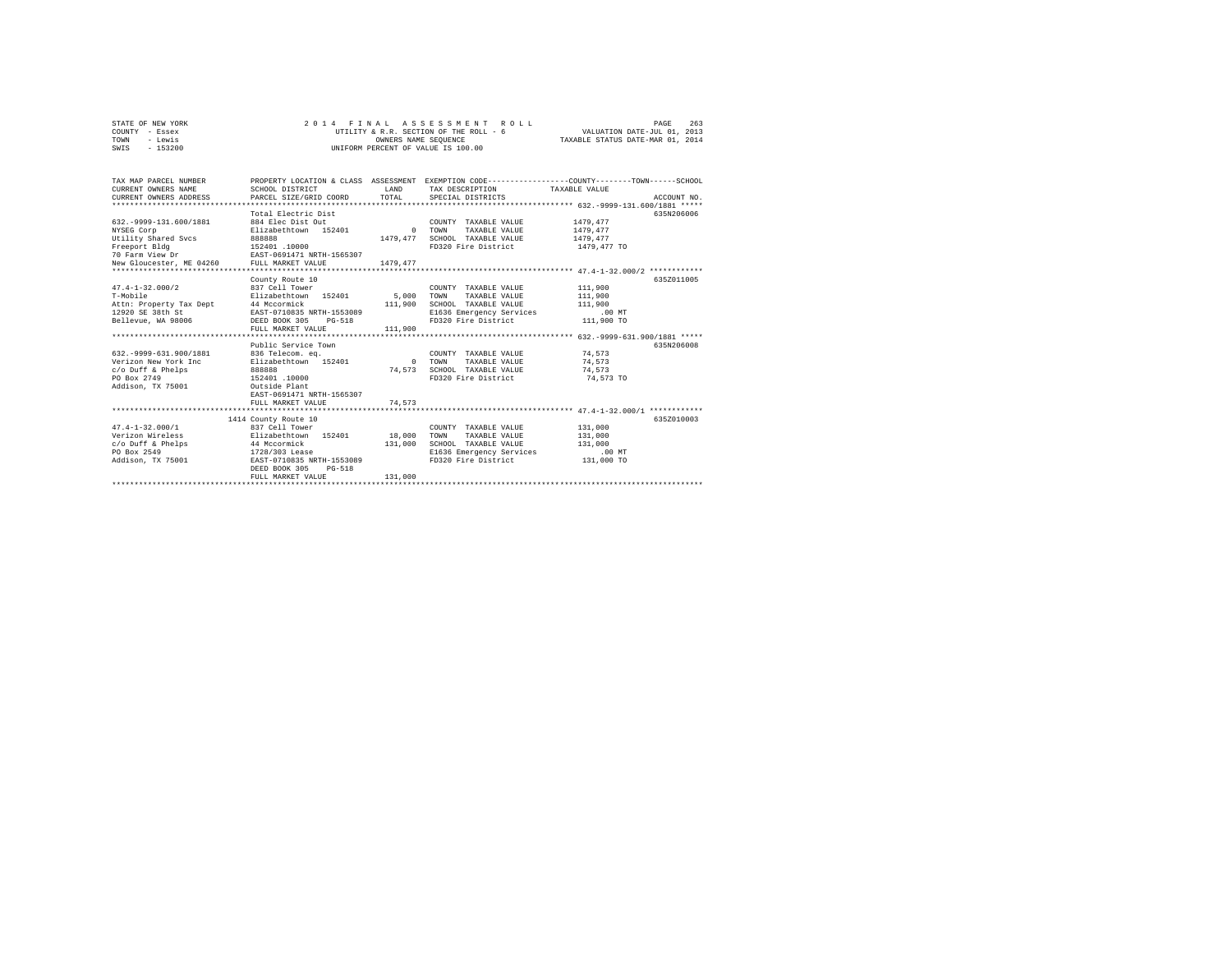| COUNTY - Essex<br>- Lewis<br>TOWN<br>$-153200$<br>SWIS                                                                                                  |                                                                                                                                                                                 | OWNERS NAME SEOUENCE             | UTILITY & R.R. SECTION OF THE ROLL - 6<br>UNIFORM PERCENT OF VALUE IS 100.00                                             | VALUATION DATE-JUL 01, 2013<br>TAXABLE STATUS DATE-MAR 01, 2014 |             |
|---------------------------------------------------------------------------------------------------------------------------------------------------------|---------------------------------------------------------------------------------------------------------------------------------------------------------------------------------|----------------------------------|--------------------------------------------------------------------------------------------------------------------------|-----------------------------------------------------------------|-------------|
| TAX MAP PARCEL NUMBER<br>CURRENT OWNERS NAME<br>CURRENT OWNERS ADDRESS                                                                                  | PROPERTY LOCATION & CLASS ASSESSMENT EXEMPTION CODE---------------COUNTY-------TOWN------SCHOOL<br>SCHOOL DISTRICT<br>PARCEL SIZE/GRID COORD                                    | LAND<br>TOTAL                    | TAX DESCRIPTION<br>SPECIAL DISTRICTS                                                                                     | TAXABLE VALUE                                                   | ACCOUNT NO. |
| 632. - 9999-131.600/1881<br>NYSEG Corp<br>Utility Shared Svcs<br>Freeport Bldg<br>70 Farm View Dr EAST-0691471 NRTH-1565307<br>New Gloucester, ME 04260 | Total Electric Dist<br>884 Elec Dist Out<br>Elizabethtown 152401<br>888888<br>152401.10000<br>FULL MARKET VALUE                                                                 | $\sim$ 0<br>1479.477<br>1479.477 | COUNTY TAXABLE VALUE<br>TAXABLE VALUE<br>TOWN<br>SCHOOL TAXABLE VALUE<br>FD320 Fire District                             | 1479.477<br>1479.477<br>1479,477<br>1479,477 TO                 | 635N206006  |
| $47.4 - 1 - 32.000/2$<br>T-Mobile<br>Attn: Property Tax Dept 44 Mccormick<br>12920 SE 38th St EAST-0710835 NRTH-1553089<br>Bellevue, WA 98006           | County Route 10<br>837 Cell Tower<br>Elizabethtown 152401<br>DEED BOOK 305 PG-518<br>FULL MARKET VALUE                                                                          | 5,000<br>111,900<br>111,900      | COUNTY TAXABLE VALUE<br>TOWN<br>TAXABLE VALUE<br>SCHOOL TAXABLE VALUE<br>E1636 Emergency Services<br>FD320 Fire District | 111,900<br>111,900<br>111,900<br>$.00$ MT<br>111,900 TO         | 635Z011005  |
| 632. - 9999-631.900/1881<br>Verizon New York Inc<br>c/o Duff & Phelps<br>PO Box 2749<br>Addison, TX 75001                                               | Public Service Town<br>836 Telecom, ea.<br>Elizabethtown 152401<br>888888<br>152401.10000<br>Outside Plant<br>EAST-0691471 NRTH-1565307<br>FULL MARKET VALUE                    | $\sim$ 0<br>74.573<br>74.573     | COUNTY TAXABLE VALUE<br>TOWN<br>TAXABLE VALUE<br>SCHOOL TAXABLE VALUE<br>FD320 Fire District                             | 74.573<br>74.573<br>74.573<br>74,573 TO                         | 635N206008  |
| $47.4 - 1 - 32.000 / 1$<br>Verizon Wireless<br>c/o Duff & Phelps<br>PO Box 2549<br>Addison, TX 75001                                                    | 1414 County Route 10<br>837 Cell Tower<br>Elizabethtown 152401<br>44 Mccormick<br>1728/303 Lease<br>EAST-0710835 NRTH-1553089<br>DEED BOOK 305<br>$PG-518$<br>FULL MARKET VALUE | 18,000<br>131,000<br>131,000     | COUNTY TAXABLE VALUE<br>TOWN<br>TAXABLE VALUE<br>SCHOOL TAXABLE VALUE<br>E1636 Emergency Services<br>FD320 Fire District | 131,000<br>131,000<br>131,000<br>$.00$ MT<br>131,000 TO         | 635Z010003  |

STATE OF NEW YORK 263 2001 4 FINAL ASSESSMENT ROLL 2001 263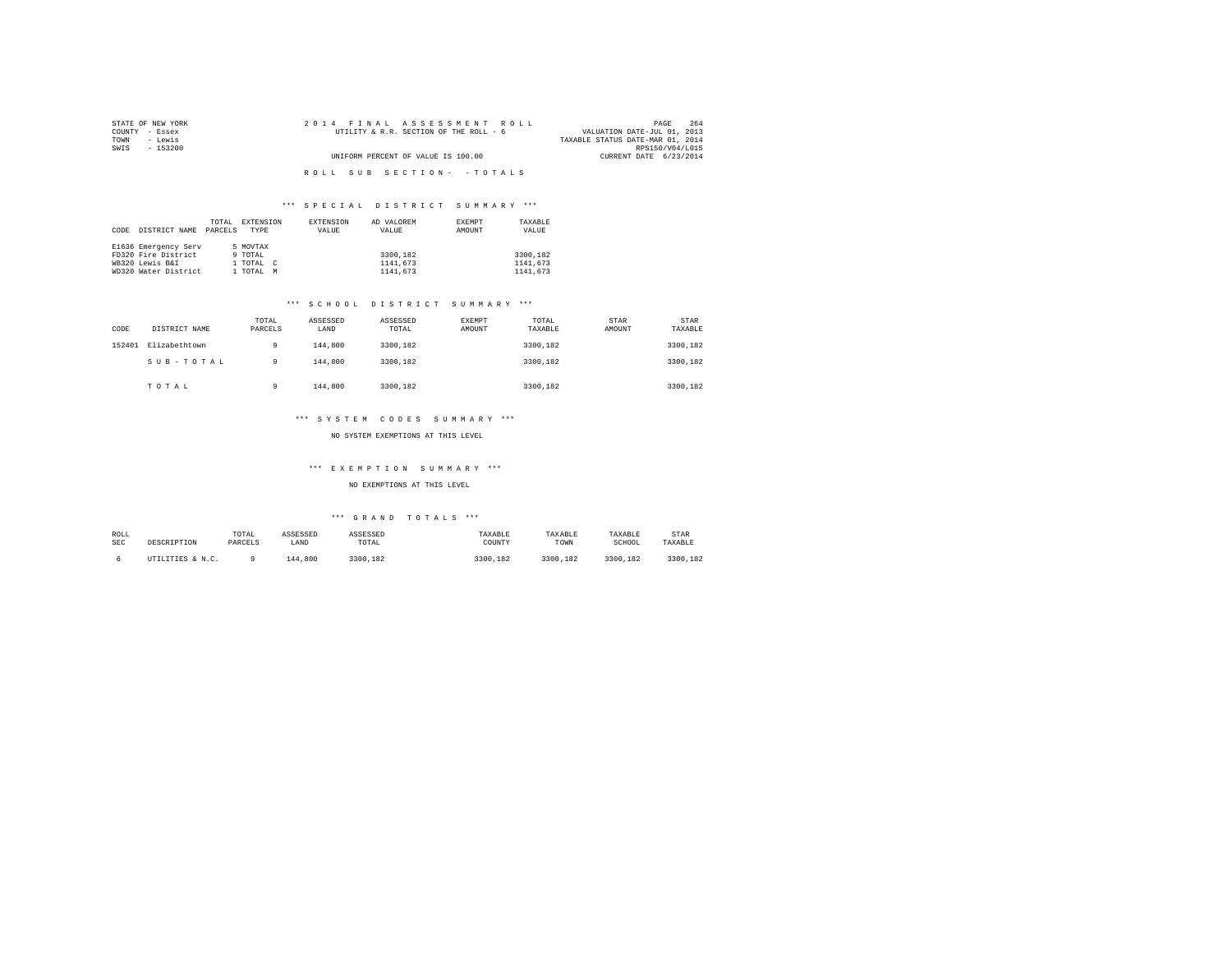| STATE OF NEW YORK | 2014 FINAL ASSESSMENT ROLL             | 264<br>PAGE                      |
|-------------------|----------------------------------------|----------------------------------|
| COUNTY - Essex    | UTILITY & R.R. SECTION OF THE ROLL - 6 | VALUATION DATE-JUL 01, 2013      |
| TOWN<br>- Lewis   |                                        | TAXABLE STATUS DATE-MAR 01, 2014 |
| SWIS<br>- 153200  |                                        | RPS150/V04/L015                  |
|                   | UNIFORM PERCENT OF VALUE IS 100.00     | CURRENT DATE 6/23/2014           |
|                   |                                        |                                  |
|                   | ROLL SUB SECTION- - TOTALS             |                                  |

|      |                      | TOTAL   | EXTENSION | EXTENSION | AD VALOREM | EXEMPT | TAXABLE  |
|------|----------------------|---------|-----------|-----------|------------|--------|----------|
| CODE | DISTRICT NAME        | PARCELS | TYPE      | VALUE     | VALUE      | AMOUNT | VALUE    |
|      |                      |         |           |           |            |        |          |
|      | E1636 Emergency Serv |         | 5 MOVTAX  |           |            |        |          |
|      | FD320 Fire District  |         | 9 TOTAL   |           | 3300.182   |        | 3300.182 |
|      | WB320 Lewis B&I      |         | 1 TOTAL C |           | 1141,673   |        | 1141.673 |
|      | WD320 Water District |         | 1 TOTAL   | M         | 1141,673   |        | 1141.673 |

# \*\*\* S C H O O L D I S T R I C T S U M M A R Y \*\*\*

| CODE   | DISTRICT NAME | TOTAL<br>PARCELS | ASSESSED<br>LAND | ASSESSED<br>TOTAL | <b>EXEMPT</b><br>AMOUNT | TOTAL<br>TAXABLE | STAR<br>AMOUNT | STAR<br>TAXABLE |
|--------|---------------|------------------|------------------|-------------------|-------------------------|------------------|----------------|-----------------|
| 152401 | Elizabethtown | 9                | 144,800          | 3300.182          |                         | 3300.182         |                | 3300,182        |
|        | SUB-TOTAL     | 9                | 144,800          | 3300.182          |                         | 3300.182         |                | 3300,182        |
|        | TOTAL         | 9                | 144,800          | 3300.182          |                         | 3300,182         |                | 3300,182        |

# \*\*\* S Y S T E M C O D E S S U M M A R Y \*\*\*

# NO SYSTEM EXEMPTIONS AT THIS LEVEL

# \*\*\* E X E M P T I O N S U M M A R Y \*\*\*

NO EXEMPTIONS AT THIS LEVEL

| ROLL       | DESCRIPTION      | TOTAL   | ASSESSED | ASSESSED | TAXABLE  | TAXABLE  | TAXABLE  | <b>STAR</b> |
|------------|------------------|---------|----------|----------|----------|----------|----------|-------------|
| <b>SEC</b> |                  | PARCELS | LAND     | TOTAL    | COUNTY   | TOWN     | SCHOOL   | TAXABLE     |
|            | UTILITIES & N.C. |         | 144,800  | 3300.182 | 3300.182 | 3300.182 | 3300.182 | 3300.182    |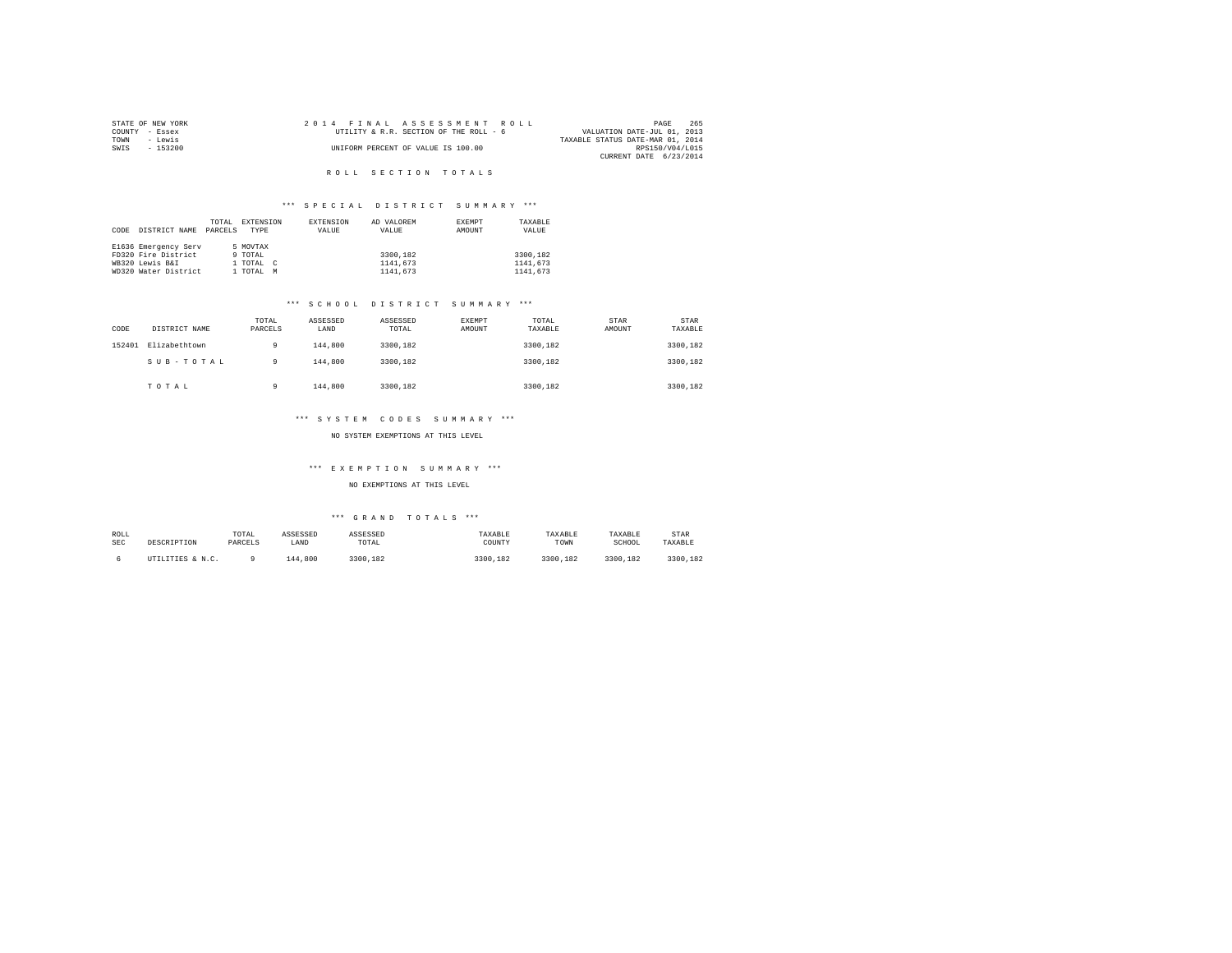| STATE OF NEW YORK |          |  | 2014 FINAL ASSESSMENT ROLL             |                                  | PAGE            | 265 |
|-------------------|----------|--|----------------------------------------|----------------------------------|-----------------|-----|
| COUNTY - Essex    |          |  | UTILITY & R.R. SECTION OF THE ROLL - 6 | VALUATION DATE-JUL 01, 2013      |                 |     |
| TOWN<br>- Lewis   |          |  |                                        | TAXABLE STATUS DATE-MAR 01, 2014 |                 |     |
| SWIS              | - 153200 |  | UNIFORM PERCENT OF VALUE IS 100.00     |                                  | RPS150/V04/L015 |     |
|                   |          |  |                                        | CURRENT DATE 6/23/2014           |                 |     |

# \*\*\* S P E C I A L D I S T R I C T S U M M A R Y \*\*\*

|      |                      | TOTAL   | EXTENSION                |   | <b>EXTENSION</b> | AD VALOREM | <b>EXEMPT</b> | TAXABLE  |
|------|----------------------|---------|--------------------------|---|------------------|------------|---------------|----------|
| CODE | DISTRICT NAME        | PARCELS | <b>TYPE</b>              |   | VALUE            | VALUE      | AMOUNT        | VALUE    |
|      |                      |         |                          |   |                  |            |               |          |
|      | E1636 Emergency Serv |         | 5 MOVTAX                 |   |                  |            |               |          |
|      | FD320 Fire District  |         | 9 TOTAL                  |   |                  | 3300.182   |               | 3300.182 |
|      | WB320 Lewis B&I      |         | 1 TOTAL<br>$\mathcal{C}$ |   |                  | 1141,673   |               | 1141.673 |
|      | WD320 Water District |         | l TOTAL                  | M |                  | 1141,673   |               | 1141.673 |

# \*\*\* S C H O O L D I S T R I C T S U M M A R Y \*\*\*

| CODE   | DISTRICT NAME | TOTAL<br>PARCELS | ASSESSED<br>LAND | ASSESSED<br>TOTAL | <b>EXEMPT</b><br>AMOUNT | TOTAL<br>TAXABLE | STAR<br>AMOUNT | STAR<br>TAXABLE |
|--------|---------------|------------------|------------------|-------------------|-------------------------|------------------|----------------|-----------------|
| 152401 | Elizabethtown | 9                | 144,800          | 3300.182          |                         | 3300.182         |                | 3300,182        |
|        | SUB-TOTAL     | 9                | 144,800          | 3300.182          |                         | 3300.182         |                | 3300,182        |
|        | TOTAL         | 9                | 144,800          | 3300.182          |                         | 3300,182         |                | 3300,182        |

# \*\*\* S Y S T E M C O D E S S U M M A R Y \*\*\*

# NO SYSTEM EXEMPTIONS AT THIS LEVEL

# \*\*\* E X E M P T I O N S U M M A R Y \*\*\*

NO EXEMPTIONS AT THIS LEVEL

| ROLL       | DESCRIPTION      | TOTAL   | ASSESSED | ASSESSED | TAXABLE  | TAXABLE       | TAXABLE  | STAR     |
|------------|------------------|---------|----------|----------|----------|---------------|----------|----------|
| <b>SEC</b> |                  | PARCELS | LAND     | TOTAL    | COUNTY   | TOWN          | SCHOOL   | TAXABLE  |
|            | UTILITIES & N.C. |         | 144,800  | 3300.182 | 3300.182 | 3300.<br>.182 | 3300.182 | 3300.182 |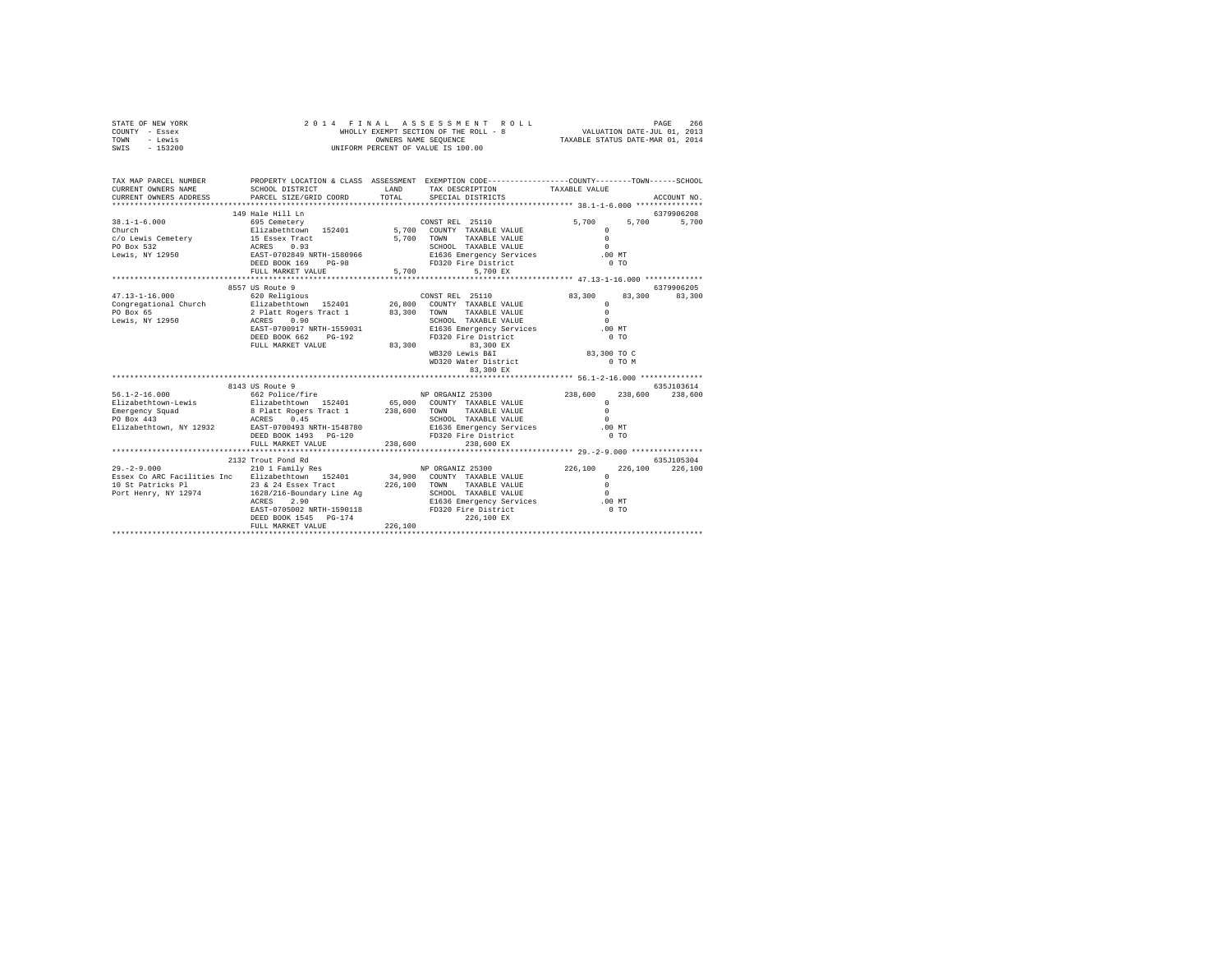| STATE OF NEW YORK | 2014 FINAL ASSESSMENT ROLL            | 266<br>PAGE                      |
|-------------------|---------------------------------------|----------------------------------|
| COUNTY - Essex    | WHOLLY EXEMPT SECTION OF THE ROLL - 8 | VALUATION DATE-JUL 01, 2013      |
| TOWN<br>- Lewis   | OWNERS NAME SEOUENCE                  | TAXABLE STATUS DATE-MAR 01, 2014 |
| $-153200$<br>SWIS | UNIFORM PERCENT OF VALUE IS 100.00    |                                  |

| TAX MAP PARCEL NUMBER<br>CURRENT OWNERS NAME<br>CURRENT OWNERS ADDRESS                                                                                                                                                                                                 | SCHOOL DISTRICT<br>PARCEL SIZE/GRID COORD                                                                                | LAND<br>TOTAL | PROPERTY LOCATION & CLASS ASSESSMENT EXEMPTION CODE----------------COUNTY-------TOWN-----SCHOOL<br>TAX DESCRIPTION TAXABLE VALUE<br>SPECIAL DISTRICTS |                                                                                                      | ACCOUNT NO.          |
|------------------------------------------------------------------------------------------------------------------------------------------------------------------------------------------------------------------------------------------------------------------------|--------------------------------------------------------------------------------------------------------------------------|---------------|-------------------------------------------------------------------------------------------------------------------------------------------------------|------------------------------------------------------------------------------------------------------|----------------------|
| $38.1 - 1 - 6.000$<br>Church<br>COLORED TRANSPORTED TO THE CONTRACT CONTRACT CONTRACT CONTRACT TRANSPORTED TRANSPORTED TRANSPORTED TRANSPORTED<br>PO Box 532<br>REVIS TO BOX 2013 CONTRESS 0.93<br>Lewis, NY 12950 BOX 169 PG-98 PD320 Fire District<br>DEED BOX 169 P | 149 Hale Hill Ln<br>FULL MARKET VALUE                                                                                    | 5,700         | TAXABLE VALUE<br>5.700 EX                                                                                                                             | 5,700<br>5,700<br>$\mathbf{r}$<br>$\Omega$<br>$\Omega$<br>.00MT<br>0.70                              | 6379906208<br>5,700  |
|                                                                                                                                                                                                                                                                        |                                                                                                                          |               |                                                                                                                                                       |                                                                                                      |                      |
| $47.13 - 1 - 16.000$                                                                                                                                                                                                                                                   | 8557 US Route 9<br>620 Religious<br>ACRES 0.90<br>EAST-0700917 NRTH-1559031<br>DEED BOOK 662 PG-192<br>FULL MARKET VALUE | 83,300        | CONST REL 25110<br>E1636 Emergency Services<br>ED330 Fire District<br>FD320 Fire District<br>83,300 EX<br>WB320 Lewis B&I<br>WD320 Water District     | 83,300<br>83,300<br>$\mathbf{r}$<br>$\Omega$<br>$\Omega$<br>.00MT<br>$0$ TO<br>83,300 TO C<br>0 TO M | 6379906205<br>83,300 |
|                                                                                                                                                                                                                                                                        |                                                                                                                          |               |                                                                                                                                                       |                                                                                                      |                      |
|                                                                                                                                                                                                                                                                        | 8143 US Route 9                                                                                                          |               |                                                                                                                                                       |                                                                                                      | 635.7103614          |
| $56.1 - 2 - 16.000$<br>Elizabethtown-Lewis<br>Emergency Squad<br>PO Box 443<br>Elizabethtown, NY 12932 EAST-0700493 NRTH-1548780                                                                                                                                       | 662 Police/fire NP ORGANIZ 25300<br>DEED BOOK 1493    PG-120<br>FULL MARKET VALUE                                        | 238,600       | SCHOOL TAXABLE VALUE<br>E1636 Emergency Services .00 MT<br>FD320 Fire District<br>238,600 EX                                                          | 238,600<br>238,600<br>$\Omega$<br>$\Omega$<br>$\Omega$<br>$0$ TO                                     | 238,600              |
|                                                                                                                                                                                                                                                                        | 2132 Trout Pond Rd                                                                                                       |               |                                                                                                                                                       |                                                                                                      | 635.7105304          |
| $29. - 2 - 9.000$<br>Essex Co ARC Facilities Inc = Elizabethtown 152401 = 34,900 COUNTY TAXABLE VALUE<br>10 St Patricks P1 = 23 24 Essex Tract = 226,100 TOWN TAXABLE VALUE<br>Port Henry, NY 12974 = 1628/216-Boundary Line Ag = SCHOOL TAXABLE VALUE                 | 2.90<br>ACRES<br>EAST-0705002 NRTH-1590118 FD320 Fire District<br>DEED BOOK 1545 PG-174<br>FULL MARKET VALUE             | 226,100       | 210 1 Family Res 6 NP ORGANIZ 25300 226,100<br>E1636 Emergency Services .00 MT<br>226,100 EX                                                          | 226,100<br>$^{\circ}$<br>$\Omega$<br>$\sim$<br>$0$ TO                                                | 226,100              |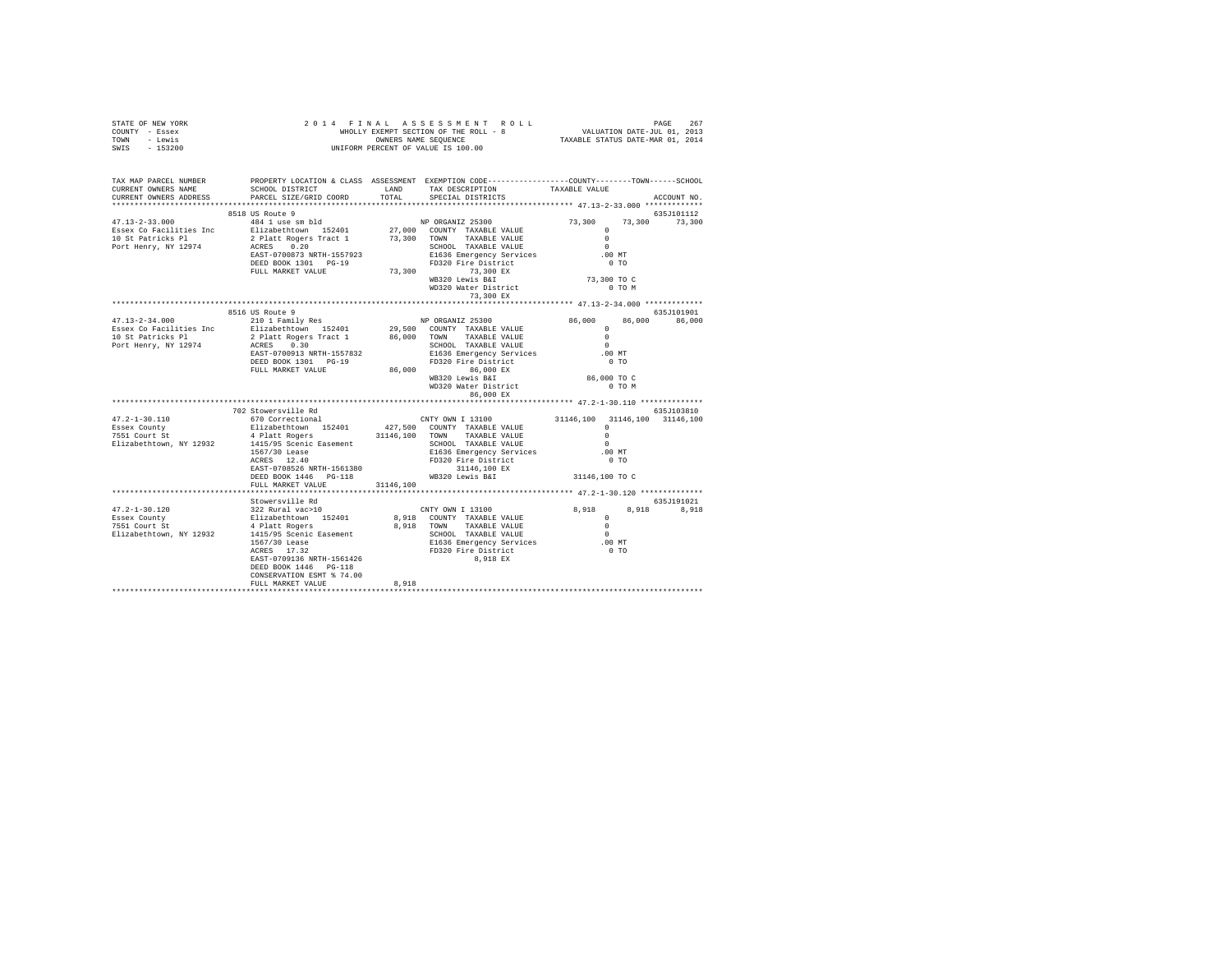| OWNERS NAME SEQUENCE<br>UNIFORM PERCENT OF VALUE IS 100.00<br>TOWN<br>- Lewis<br>SWIS<br>$-153200$                                                                    |                                                                                                          |           |                                                                                                                     | OWNERS NAME SEQUENCE TAXABLE STATUS DATE-MAR 01, 2014 |  |               |
|-----------------------------------------------------------------------------------------------------------------------------------------------------------------------|----------------------------------------------------------------------------------------------------------|-----------|---------------------------------------------------------------------------------------------------------------------|-------------------------------------------------------|--|---------------|
| TAX MAP PARCEL NUMBER PROPERTY LOCATION & CLASS ASSESSMENT EXEMPTION CODE--------------COUNTY-------TOWN------SCHOOL<br>CURRENT OWNERS NAME<br>CURRENT OWNERS ADDRESS | SCHOOL DISTRICT<br>PARCEL SIZE/GRID COORD                                                                | TOTAL     | LAND TAX DESCRIPTION<br>SPECIAL DISTRICTS                                                                           | TAXABLE VALUE                                         |  | ACCOUNT NO.   |
|                                                                                                                                                                       | 8518 US Route 9                                                                                          |           |                                                                                                                     |                                                       |  | 635J101112    |
| $47.13 - 2 - 33.000$                                                                                                                                                  | 484 1 use sm bld                                                                                         |           | NP ORGANIZ 25300                                                                                                    | 73,300                                                |  | 73,300 73,300 |
|                                                                                                                                                                       |                                                                                                          |           |                                                                                                                     | $\Omega$                                              |  |               |
| Essex Co Facilities Inc blizabethtown 152401<br>10 St Patricks Pl 2 Platt Rogers Tract 1                                                                              |                                                                                                          |           | 27,000 COUNTY TAXABLE VALUE<br>73,300 TOWN TAXABLE VALUE                                                            | $\Omega$                                              |  |               |
| Port Henry, NY 12974                                                                                                                                                  | ACRES 0.20                                                                                               |           | SCHOOL TAXABLE VALUE                                                                                                | $\sim$                                                |  |               |
|                                                                                                                                                                       | EAST-0700873 NRTH-1557923                                                                                |           | E1636 Emergency Services                                                                                            | .00 MT                                                |  |               |
|                                                                                                                                                                       | DEED BOOK 1301 PG-19                                                                                     |           | FD320 Fire District                                                                                                 | $0$ TO                                                |  |               |
|                                                                                                                                                                       | FULL MARKET VALUE                                                                                        |           | 73,300 73,300 EX<br>WB320 Lewis B&I<br>WD320 Water District                                                         |                                                       |  |               |
|                                                                                                                                                                       |                                                                                                          |           |                                                                                                                     | 73,300 TO C<br>0 TO M                                 |  |               |
|                                                                                                                                                                       |                                                                                                          |           | 73,300 EX                                                                                                           |                                                       |  |               |
|                                                                                                                                                                       |                                                                                                          |           | ********************************** 47.13-2-34.000 *************                                                     |                                                       |  |               |
|                                                                                                                                                                       | 8516 US Route 9                                                                                          |           |                                                                                                                     |                                                       |  | 635J101901    |
| $47.13 - 2 - 34.000$                                                                                                                                                  | 210 1 Family Res                                                                                         |           | NP ORGANIZ 25300                                                                                                    | 86,000                                                |  | 86,000 86,000 |
| Essex Co Facilities Inc                                                                                                                                               | Elizabethtown 152401                                                                                     |           | 29,500 COUNTY TAXABLE VALUE                                                                                         | $\Omega$                                              |  |               |
| 10 St Patricks Pl                                                                                                                                                     | 2 Platt Rogers Tract 1<br>ACRES 0.30<br>EAST-0700913 NRTH-1557832                                        |           | 86,000 TOWN TAXABLE VALUE                                                                                           | $\sim$ 0                                              |  |               |
| Port Henry, NY 12974                                                                                                                                                  |                                                                                                          |           | SCHOOL TAXABLE VALUE                                                                                                | $\sim$ 0                                              |  |               |
|                                                                                                                                                                       | DEED BOOK 1301 PG-19                                                                                     |           | E1636 Emergency Services<br>FD320 Fire District                                                                     | .00 MT<br>$0$ TO                                      |  |               |
|                                                                                                                                                                       | FULL MARKET VALUE                                                                                        |           |                                                                                                                     |                                                       |  |               |
|                                                                                                                                                                       |                                                                                                          |           | 86,000 86,000 EX<br>WB320 Lewis B&I                                                                                 | 86,000 TO C                                           |  |               |
|                                                                                                                                                                       |                                                                                                          |           |                                                                                                                     | 0 TO M                                                |  |               |
|                                                                                                                                                                       |                                                                                                          |           | WD320 Water District<br>86,000 EX                                                                                   |                                                       |  |               |
|                                                                                                                                                                       |                                                                                                          |           |                                                                                                                     |                                                       |  |               |
|                                                                                                                                                                       | 702 Stowersville Rd                                                                                      |           |                                                                                                                     |                                                       |  | 635J103810    |
| $47.2 - 1 - 30.110$                                                                                                                                                   | 670 Correctional<br>Elizabethtown 152401 427,500 COUNTY TAXABLE VALUE                                    |           | CNTY OWN I 13100                                                                                                    | 31146,100 31146,100 31146,100<br>$\Omega$             |  |               |
| Essex County<br>7551 Court St                                                                                                                                         | 4 Platt Rogers                                                                                           |           | 31146,100 TOWN TAXABLE VALUE                                                                                        | $\Omega$                                              |  |               |
| Elizabethtown, NY 12932                                                                                                                                               |                                                                                                          |           | SCHOOL TAXABLE VALUE                                                                                                | $\Omega$                                              |  |               |
|                                                                                                                                                                       |                                                                                                          |           | E1636 Emergency Services                                                                                            | .00MT                                                 |  |               |
|                                                                                                                                                                       |                                                                                                          |           | FD320 Fire District                                                                                                 | 0 <sub>T</sub>                                        |  |               |
|                                                                                                                                                                       |                                                                                                          |           |                                                                                                                     |                                                       |  |               |
|                                                                                                                                                                       |                                                                                                          |           |                                                                                                                     | 31146,100 TO C                                        |  |               |
|                                                                                                                                                                       | FULL MARKET VALUE                                                                                        | 31146,100 |                                                                                                                     |                                                       |  |               |
|                                                                                                                                                                       |                                                                                                          |           |                                                                                                                     |                                                       |  | 635J191021    |
| 47.2-1-30.120                                                                                                                                                         | Stowersville Rd<br>322 Rural vac>10<br>Elizabethtown 152401<br>4 Platt Rogers<br>1415/95 Scenic Easement |           | CNTY OWN I 13100                                                                                                    | 8,918                                                 |  | 8,918 8,918   |
| Essex County                                                                                                                                                          |                                                                                                          |           | 8,918 COUNTY TAXABLE VALUE                                                                                          | $\sim$ 0                                              |  |               |
| Essex County<br>7551 Court St                                                                                                                                         |                                                                                                          |           | 8,918 TOWN TAXABLE VALUE                                                                                            | $\sim$ 0                                              |  |               |
| Elizabethtown, NY 12932                                                                                                                                               |                                                                                                          |           | SCHOOL TAXABLE VALUE                                                                                                | $\sim$                                                |  |               |
|                                                                                                                                                                       |                                                                                                          |           |                                                                                                                     |                                                       |  |               |
|                                                                                                                                                                       | 1567/30 Lease<br>ACRES 17.32<br>EAST-0709136 NRTH-1561426                                                |           | SCHOOL TAXABLE VALUE<br>E1636 Emergency Services 6.00 MT<br>FD320 Fire District<br>5.000 TO 1000 TO 1000 TO 1000 TO |                                                       |  |               |
|                                                                                                                                                                       |                                                                                                          |           | 8,918 EX                                                                                                            |                                                       |  |               |
|                                                                                                                                                                       | DEED BOOK 1446 PG-118                                                                                    |           |                                                                                                                     |                                                       |  |               |
|                                                                                                                                                                       | CONSERVATION ESMT % 74.00<br>FULL MARKET VALUE                                                           | 8,918     |                                                                                                                     |                                                       |  |               |
|                                                                                                                                                                       |                                                                                                          |           |                                                                                                                     |                                                       |  |               |

STATE OF NEW YORK 2 0 1 4 F I N A L A S S E S S M E N T R O L L PAGE 267 COUNTY - Essex WHOLLY EXEMPT SECTION OF THE ROLL - 8 VALUATION DATE-JUL 01, 2013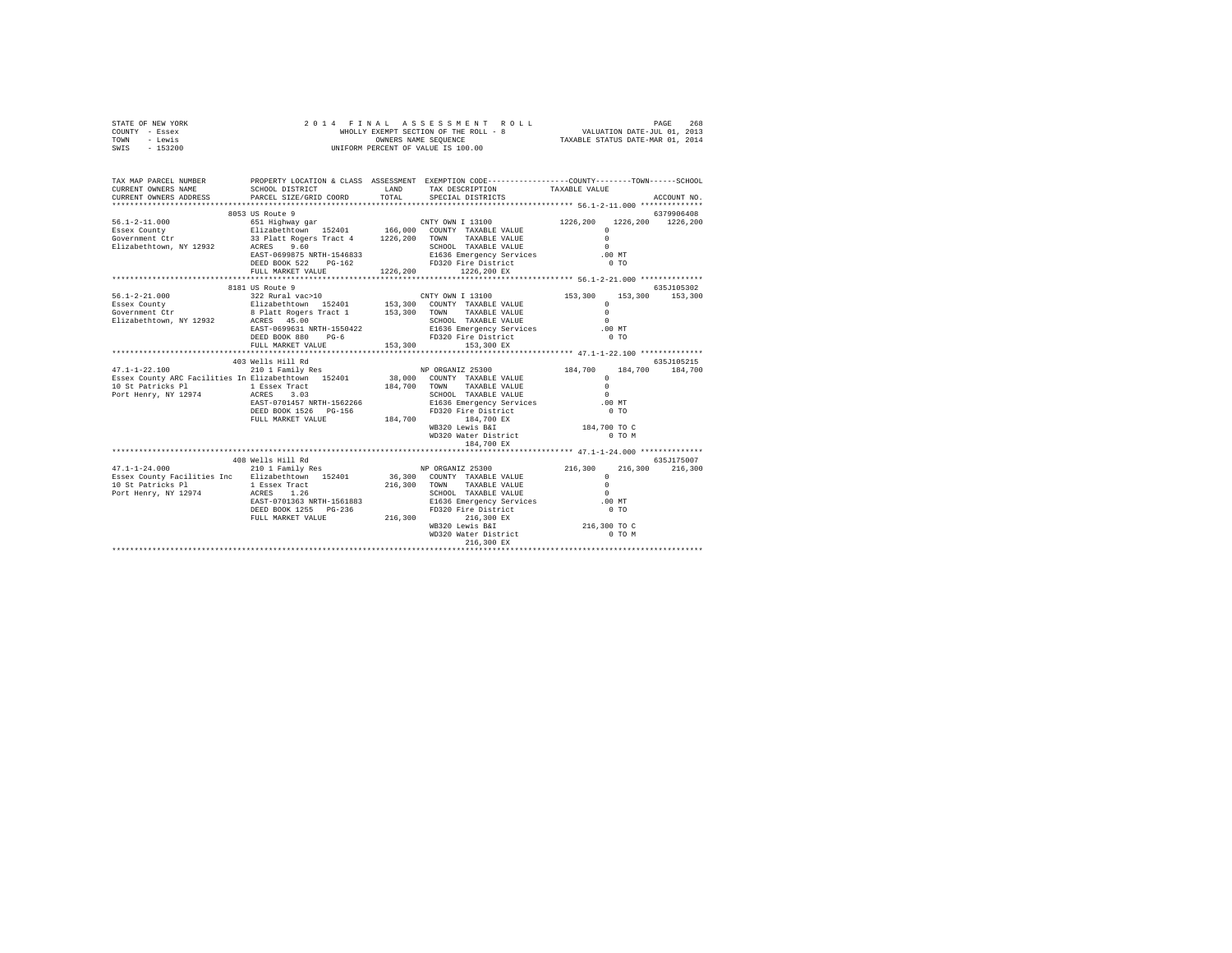| STATE OF NEW YORK<br>COUNTY - Essex<br>TOWN - Lewis<br>SWIS - 153200                                                                                                                                                                                                                                                                                                                                    |                   |                                                    |                        |             |
|---------------------------------------------------------------------------------------------------------------------------------------------------------------------------------------------------------------------------------------------------------------------------------------------------------------------------------------------------------------------------------------------------------|-------------------|----------------------------------------------------|------------------------|-------------|
| TAX MAP PARCEL NUMBER PROPERTY LOCATION & CLASS ASSESSMENT EXEMPTION CODE--------------COUNTY-------TOWN------SCHOOL<br>CURRENT OWNERS NAME<br>CURRENT OWNERS ADDRESS PARCEL SIZE/GRID COORD TOTAL SPECIAL DISTRICTS                                                                                                                                                                                    |                   | SCHOOL DISTRICT TAND TAX DESCRIPTION TAXABLE VALUE |                        | ACCOUNT NO. |
|                                                                                                                                                                                                                                                                                                                                                                                                         |                   |                                                    |                        |             |
|                                                                                                                                                                                                                                                                                                                                                                                                         | 8053 US Route 9   |                                                    |                        | 6379906408  |
| $\begin{tabular}{lllllllllllll} \textbf{56.1-2-11.000} & \textbf{8053 US Note 9} & \textbf{651} & \textbf{154510W20408} & \textbf{155.1-2-11.000} & \textbf{851 US AW1081008} & \textbf{156.000} & \textbf{1226.200} & \textbf{1226.200} & \textbf{1226.200} & \textbf{1226.200} & \textbf{1226.200} & \textbf{1226.200} & \textbf{1226.2$                                                              |                   |                                                    |                        |             |
|                                                                                                                                                                                                                                                                                                                                                                                                         |                   |                                                    |                        |             |
|                                                                                                                                                                                                                                                                                                                                                                                                         |                   |                                                    |                        |             |
|                                                                                                                                                                                                                                                                                                                                                                                                         |                   |                                                    |                        |             |
|                                                                                                                                                                                                                                                                                                                                                                                                         |                   |                                                    |                        |             |
|                                                                                                                                                                                                                                                                                                                                                                                                         |                   |                                                    |                        |             |
|                                                                                                                                                                                                                                                                                                                                                                                                         | 8181 US Route 9   |                                                    |                        | 635J105302  |
|                                                                                                                                                                                                                                                                                                                                                                                                         |                   |                                                    |                        |             |
|                                                                                                                                                                                                                                                                                                                                                                                                         |                   |                                                    |                        |             |
|                                                                                                                                                                                                                                                                                                                                                                                                         |                   |                                                    |                        |             |
|                                                                                                                                                                                                                                                                                                                                                                                                         |                   |                                                    |                        |             |
|                                                                                                                                                                                                                                                                                                                                                                                                         |                   |                                                    |                        |             |
|                                                                                                                                                                                                                                                                                                                                                                                                         |                   |                                                    |                        |             |
| $\begin{tabular}{l c c c c c} \multicolumn{4}{c c c c} \multicolumn{4}{c c c} \multicolumn{4}{c c c} \multicolumn{4}{c c c} \multicolumn{4}{c c c} \multicolumn{4}{c c c} \multicolumn{4}{c c c} \multicolumn{4}{c c c} \multicolumn{4}{c c c} \multicolumn{4}{c c c} \multicolumn{4}{c c c} \multicolumn{4}{c c c} \multicolumn{4}{c c c} \multicolumn{4}{c c c} \multicolumn{4}{c c c} \multicolumn{$ |                   |                                                    |                        |             |
|                                                                                                                                                                                                                                                                                                                                                                                                         |                   |                                                    |                        |             |
|                                                                                                                                                                                                                                                                                                                                                                                                         |                   |                                                    |                        |             |
|                                                                                                                                                                                                                                                                                                                                                                                                         |                   |                                                    |                        |             |
|                                                                                                                                                                                                                                                                                                                                                                                                         |                   |                                                    |                        |             |
|                                                                                                                                                                                                                                                                                                                                                                                                         |                   |                                                    |                        |             |
|                                                                                                                                                                                                                                                                                                                                                                                                         |                   |                                                    |                        |             |
|                                                                                                                                                                                                                                                                                                                                                                                                         |                   |                                                    |                        |             |
|                                                                                                                                                                                                                                                                                                                                                                                                         |                   |                                                    |                        |             |
|                                                                                                                                                                                                                                                                                                                                                                                                         |                   | 184,700 EX                                         |                        |             |
|                                                                                                                                                                                                                                                                                                                                                                                                         | 408 Wells Hill Rd |                                                    |                        | 635J175007  |
|                                                                                                                                                                                                                                                                                                                                                                                                         |                   |                                                    |                        |             |
|                                                                                                                                                                                                                                                                                                                                                                                                         |                   |                                                    |                        |             |
|                                                                                                                                                                                                                                                                                                                                                                                                         |                   |                                                    |                        |             |
|                                                                                                                                                                                                                                                                                                                                                                                                         |                   |                                                    |                        |             |
|                                                                                                                                                                                                                                                                                                                                                                                                         |                   |                                                    |                        |             |
|                                                                                                                                                                                                                                                                                                                                                                                                         |                   |                                                    |                        |             |
|                                                                                                                                                                                                                                                                                                                                                                                                         |                   | WB320 Lewis B&I<br>WD320 Water District            | 216,300 TO C<br>0 TO M |             |
|                                                                                                                                                                                                                                                                                                                                                                                                         |                   | 216,300 EX                                         |                        |             |
|                                                                                                                                                                                                                                                                                                                                                                                                         |                   |                                                    |                        |             |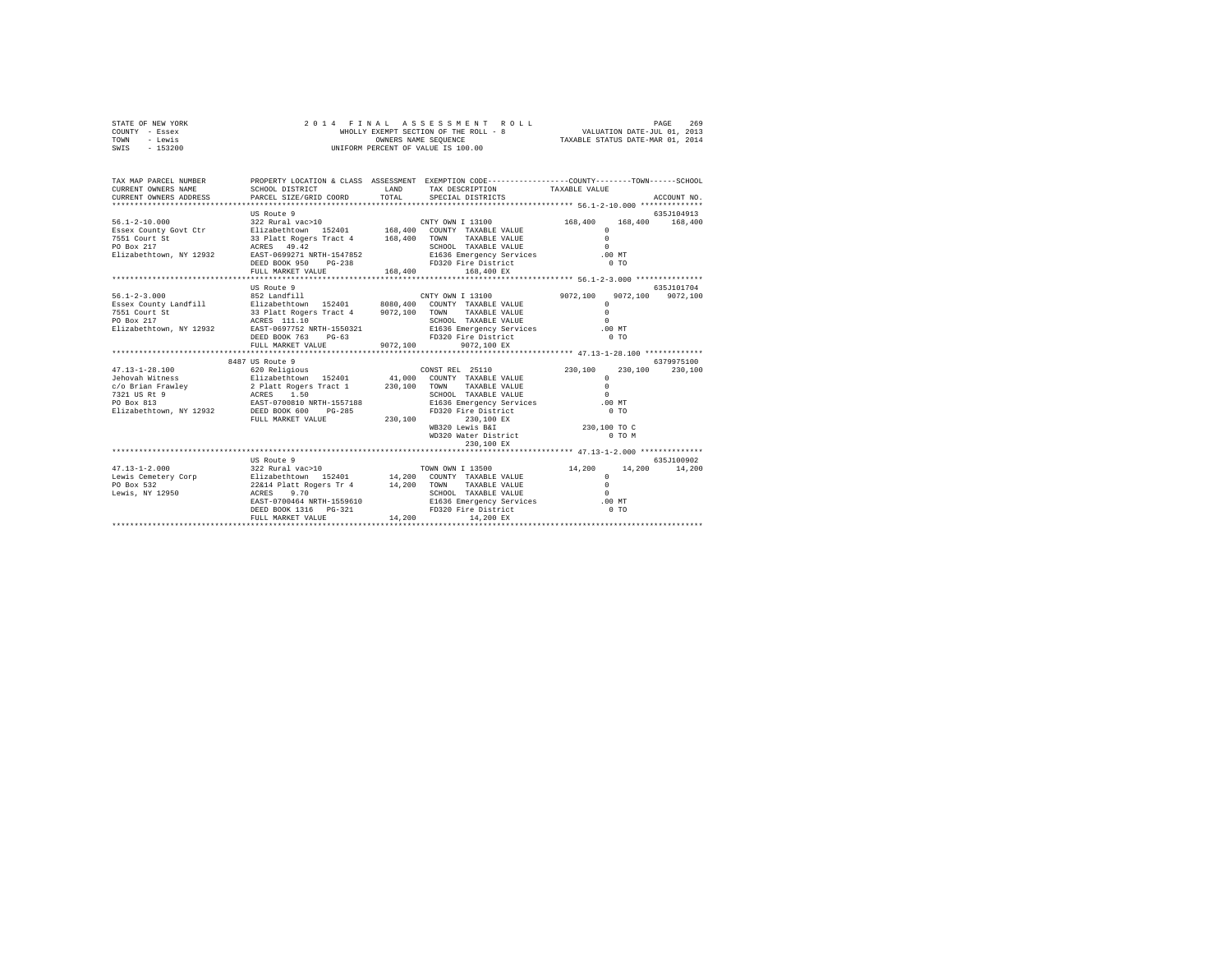| STATE OF NEW YORK<br>COUNTY - Essex<br>TOWN - Lewis<br>SWIS - 153200                                                                                                                                                                                                                                                                                                                                                                                                 | 2014 FINAL<br>WHOLLY EAEWEL SECTION OF THE SECTION OF OWNERS NAME SEQUENCE<br>UNIFORM PERCENT OF VALUE IS 100.00 |         | FINAL ASSESSMENT ROLL PAGE 269<br>WHOLLY EXEMPT SECTION OF THE ROLL - 8<br>TAXABLE STATUS DATE-MAR 01, 2013<br>TAXABLE STATUS DATE-MAR 01, 2014                                                                       |                                                                                 |                                    |
|----------------------------------------------------------------------------------------------------------------------------------------------------------------------------------------------------------------------------------------------------------------------------------------------------------------------------------------------------------------------------------------------------------------------------------------------------------------------|------------------------------------------------------------------------------------------------------------------|---------|-----------------------------------------------------------------------------------------------------------------------------------------------------------------------------------------------------------------------|---------------------------------------------------------------------------------|------------------------------------|
| TAX MAP PARCEL NUMBER<br>CURRENT OWNERS NAME<br>CURRENT OWNERS ADDRESS                                                                                                                                                                                                                                                                                                                                                                                               | PARCEL SIZE/GRID COORD                                                                                           | TOTAL   | PROPERTY LOCATION & CLASS ASSESSMENT EXEMPTION CODE---------------COUNTY-------TOWN------SCHOOL<br>SCHOOL DISTRICT                     LAND        TAX DESCRIPTION                 TAXABLE VALUE<br>SPECIAL DISTRICTS |                                                                                 | ACCOUNT NO.                        |
| 56.1-2-10.000<br>SSER COUNTY ON THE SERVICE SERVICE SERVICE SERVICE SERVICE SERVICE SERVICE SERVICE SERVICE SERVICE SERVICE S<br>THE STRING SERVICE STRING SERVICE S SERVICE S SERVICE S SERVICE S SERVICE S SERVICE S SERVICE S S<br>$\begin{array}{lllll} \text{PSD} & \text{S3} & \text{PIatt R9gers tract 4} \\ \text{PO Box 217} & \text{ACRES} & \text{ACEES} & \text{49.42} \\ \text{Elixabethtown, NY 12932} & \text{RAST-0699271 NRTH-1547852} \end{array}$ | US Route 9<br>DEED BOOK 950 PG-238<br>FULL MARKET VALUE                                                          | 168,400 | SCHOOL TAXABLE VALUE 0<br>E1636 Emergency Services 0.00 MT<br>FD320 Fire District<br>168,400 EX                                                                                                                       | $0$ TO                                                                          | 635J104913                         |
|                                                                                                                                                                                                                                                                                                                                                                                                                                                                      |                                                                                                                  |         |                                                                                                                                                                                                                       |                                                                                 |                                    |
| $\texttt{56.1-2-3.000}\quad \begin{array}{l} \texttt{852 Landfill} \quad \texttt{8532 Landfill} \quad \texttt{85401} \quad \texttt{8080,400}\quad \texttt{CONTY ONN I 13100} \quad \texttt{85402} \quad \texttt{85403} \quad \texttt{854040} \quad \texttt{35401} \quad \texttt{854040} \quad \texttt{35401} \quad \texttt{854040} \quad \texttt{35401} \quad \texttt{854040} \quad \texttt{35404} \quad \text$                                                      | US Route 9                                                                                                       |         | FULL MARKET VALUE 9072,100 9072,100 EX                                                                                                                                                                                | 9072,100 9072,100 9072,100<br>$\Omega$<br>$\Omega$<br>$\sim$<br>.00MT<br>$0$ TO | 635J101704                         |
|                                                                                                                                                                                                                                                                                                                                                                                                                                                                      | 8487 US Route 9                                                                                                  |         |                                                                                                                                                                                                                       |                                                                                 | 6379975100                         |
| $\begin{tabular}{lcccc} 47.13--1-28.100 & & 640.101 & & 640.11 & & 640.11 & & 640.11 & & 640.11 & & 640.11 & & 640.11 & & 640.11 & & 640.11 & & 640.11 & & 640.11 & & 640.11 & & 640.11 & & 640.11 & & 640.11 & & 640.11 & & 640.11 & & 640.11 & & 640.11 & & 640.11 & & 640.11 & & 640$<br>Elizabethtown, NY 12932 DEED BOOK 600 PG-285                                                                                                                             | DEED BOOK 600 PG-285<br>FULL MARKET VALUE 230,100 WB320 Lewis B&I<br>WB320 Water District WD320 Water District   |         | FD320 Fire District<br>230,100 EX                                                                                                                                                                                     | $\Omega$<br>$\Omega$<br>$\sim$<br>.00MT<br>$0$ TO<br>230,100 TO C<br>0 TO M     | 230,100 230,100 230,100            |
|                                                                                                                                                                                                                                                                                                                                                                                                                                                                      |                                                                                                                  |         |                                                                                                                                                                                                                       |                                                                                 |                                    |
|                                                                                                                                                                                                                                                                                                                                                                                                                                                                      | US Route 9                                                                                                       |         | $14,200$ $14,200$ EX                                                                                                                                                                                                  | $\begin{array}{c} 0 \\ 0 \end{array}$<br>$\sim$<br>.00MT<br>0 <sub>T</sub>      | 635J100902<br>14,200 14,200 14,200 |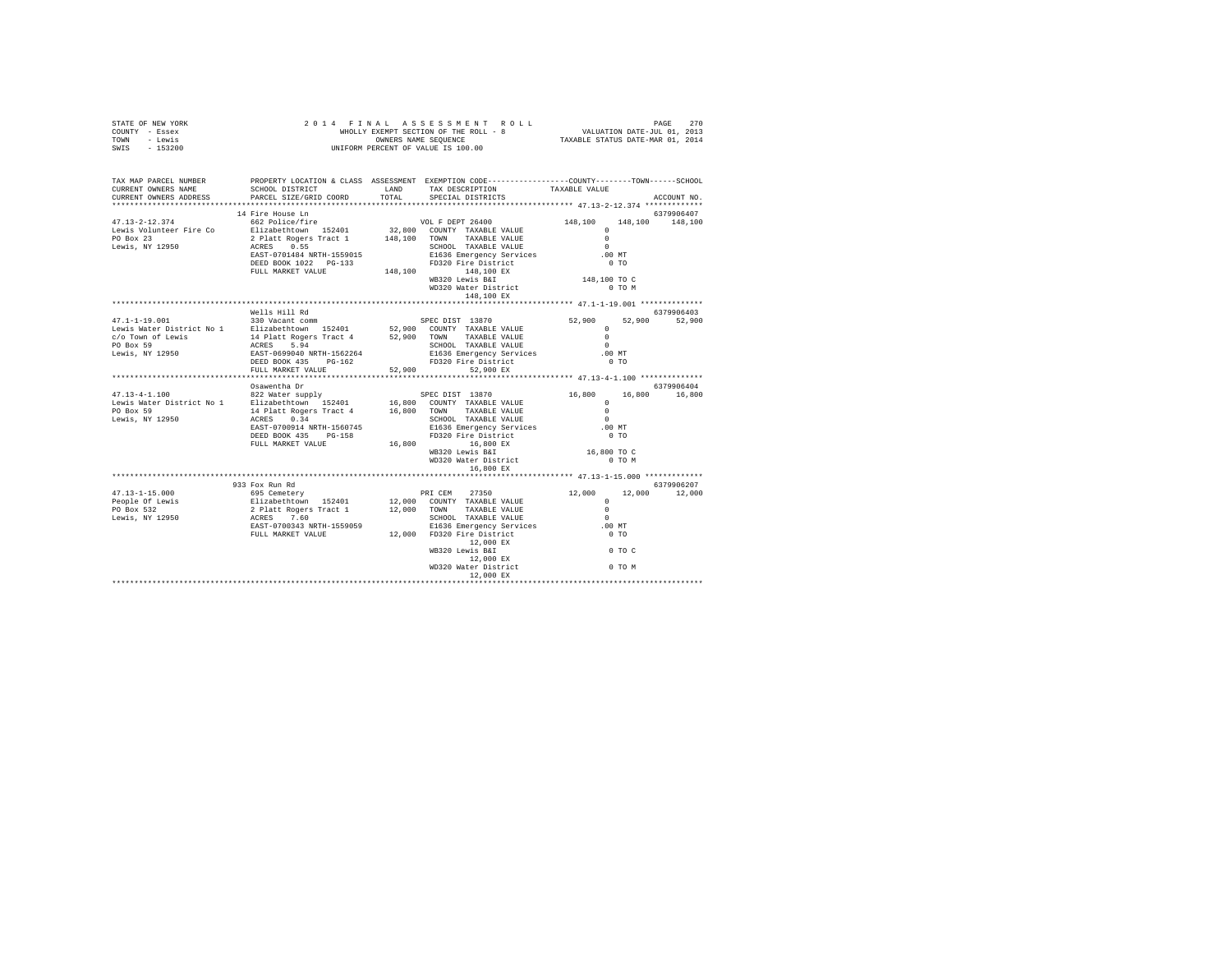| STATE OF NEW YORK<br>COUNTY - Essex<br>TOWN - Lewis<br>SWIS - 153200                                                                                                                                                                                                                                                                                                                            | 2014 FINAL ASSESSNENT ET ALST AUGUST ET A DIE SOLL - 8<br>WHOLLY EXEMPT SECTION OF THE ROLL - 8<br>OWNERS RAME DER VALUE IS 100.00 | FINAL ASSESSMENT ROLL PAGE 270<br>WHOLLY EXEMPT SECTION OF THE ROLL - 8<br>TAXABLE STATUS DATE-MAR 01, 2014<br>TAXABLE STATUS DATE-MAR 01, 2014 |                                            |               |
|-------------------------------------------------------------------------------------------------------------------------------------------------------------------------------------------------------------------------------------------------------------------------------------------------------------------------------------------------------------------------------------------------|------------------------------------------------------------------------------------------------------------------------------------|-------------------------------------------------------------------------------------------------------------------------------------------------|--------------------------------------------|---------------|
| TAX MAP PARCEL NUMBER PROPERTY LOCATION & CLASS ASSESSMENT EXEMPTION CODE---------------COUNTY-------TOWN------SCHOOL<br>CURRENT OWNERS NAME<br>CURRENT OWNERS ADDRESS                                                                                                                                                                                                                          | SCHOOL DISTRICT LAND<br>PARCEL SIZE/GRID COORD TOTAL                                                                               | TAX DESCRIPTION TAXABLE VALUE SPECIAL DISTRICTS                                                                                                 |                                            | ACCOUNT NO.   |
|                                                                                                                                                                                                                                                                                                                                                                                                 | 14 Fire House Ln                                                                                                                   |                                                                                                                                                 |                                            | 6379906407    |
|                                                                                                                                                                                                                                                                                                                                                                                                 |                                                                                                                                    |                                                                                                                                                 |                                            |               |
|                                                                                                                                                                                                                                                                                                                                                                                                 |                                                                                                                                    |                                                                                                                                                 |                                            |               |
| $\begin{tabular}{l c c c c c} \multicolumn{1}{c}{\textbf{47.13--2--12.374}} & \multicolumn{1}{c}{\textbf{48.100}} & \multicolumn{1}{c}{\textbf{56.21} & \textbf{148.100}} & \multicolumn{1}{c}{\textbf{57.13--2--12.374}} & \multicolumn{1}{c}{\textbf{58.21} & \textbf{148.100}} & \multicolumn{1}{c}{\textbf{59.21} & \textbf{148.100}} & \multicolumn{1}{c}{\textbf{59.21} & \textbf{$       |                                                                                                                                    | WD320 Water District<br>148,100 EX                                                                                                              | 0 TO M                                     |               |
|                                                                                                                                                                                                                                                                                                                                                                                                 |                                                                                                                                    |                                                                                                                                                 |                                            |               |
|                                                                                                                                                                                                                                                                                                                                                                                                 | Wells Hill Rd                                                                                                                      |                                                                                                                                                 |                                            | 6379906403    |
| $\begin{tabular}{l c c c c c} \multicolumn{3}{c}{\textbf{47.1-1-19.001}} & \multicolumn{3}{c}{\textbf{52.900}} & \multicolumn{3}{c}{\textbf{53.9006403}} & \multicolumn{3}{c}{\textbf{54.900}} & \multicolumn{3}{c}{\textbf{55.900}} & \multicolumn{3}{c}{\textbf{56.9906403}} & \multicolumn{3}{c}{\textbf{57.900}} & \multicolumn{3}{c}{\textbf{58.900}} & \multicolumn{3}{c}{\textbf{59.900$ |                                                                                                                                    |                                                                                                                                                 |                                            |               |
|                                                                                                                                                                                                                                                                                                                                                                                                 |                                                                                                                                    |                                                                                                                                                 |                                            |               |
|                                                                                                                                                                                                                                                                                                                                                                                                 |                                                                                                                                    |                                                                                                                                                 |                                            |               |
|                                                                                                                                                                                                                                                                                                                                                                                                 | Osawentha Dr                                                                                                                       |                                                                                                                                                 |                                            | 6379906404    |
|                                                                                                                                                                                                                                                                                                                                                                                                 |                                                                                                                                    |                                                                                                                                                 | $16,800$ $16,800$ $16,800$                 |               |
|                                                                                                                                                                                                                                                                                                                                                                                                 |                                                                                                                                    |                                                                                                                                                 | $\begin{array}{c} 0 \\ 0 \\ 0 \end{array}$ |               |
|                                                                                                                                                                                                                                                                                                                                                                                                 |                                                                                                                                    |                                                                                                                                                 | $\sim$ 0                                   |               |
|                                                                                                                                                                                                                                                                                                                                                                                                 |                                                                                                                                    |                                                                                                                                                 | .00 MT                                     |               |
| 47.13-4-1.100 9322 Water supply<br>$\begin{array}{r} \texttt{20.4} & \texttt{30.4} \\ \texttt{10.4} & \texttt{10.4} \\ \texttt{10.4} & \texttt{10.4} \\ \texttt{10.4} & \texttt{10.4} \\ \texttt{10.4} & \texttt{11.4} \\ \texttt{11.4} & \texttt{12.4} \\ \texttt{12.4} & \texttt{13.4} \\ \texttt{14.4} & \texttt{15.4} \\ \texttt{15.4} & \texttt{16.4} \\$                                  | FULL MARKET VALUE                                                                                                                  |                                                                                                                                                 | $0$ TO                                     |               |
|                                                                                                                                                                                                                                                                                                                                                                                                 |                                                                                                                                    | 16,800<br>WB320 Lewis B&I<br>WB320 Lewis B&I<br>WD320 Water District<br>16,800 EX                                                               | 16,800 TO C<br>$0$ TO $M$                  |               |
|                                                                                                                                                                                                                                                                                                                                                                                                 |                                                                                                                                    |                                                                                                                                                 |                                            |               |
|                                                                                                                                                                                                                                                                                                                                                                                                 | 933 Fox Run Rd                                                                                                                     |                                                                                                                                                 |                                            | 6379906207    |
|                                                                                                                                                                                                                                                                                                                                                                                                 |                                                                                                                                    |                                                                                                                                                 |                                            | 12,000 12,000 |
|                                                                                                                                                                                                                                                                                                                                                                                                 |                                                                                                                                    |                                                                                                                                                 |                                            |               |
|                                                                                                                                                                                                                                                                                                                                                                                                 |                                                                                                                                    |                                                                                                                                                 |                                            |               |
|                                                                                                                                                                                                                                                                                                                                                                                                 |                                                                                                                                    |                                                                                                                                                 |                                            |               |
|                                                                                                                                                                                                                                                                                                                                                                                                 |                                                                                                                                    |                                                                                                                                                 |                                            |               |
|                                                                                                                                                                                                                                                                                                                                                                                                 |                                                                                                                                    |                                                                                                                                                 |                                            |               |
|                                                                                                                                                                                                                                                                                                                                                                                                 |                                                                                                                                    |                                                                                                                                                 |                                            |               |
|                                                                                                                                                                                                                                                                                                                                                                                                 |                                                                                                                                    |                                                                                                                                                 |                                            |               |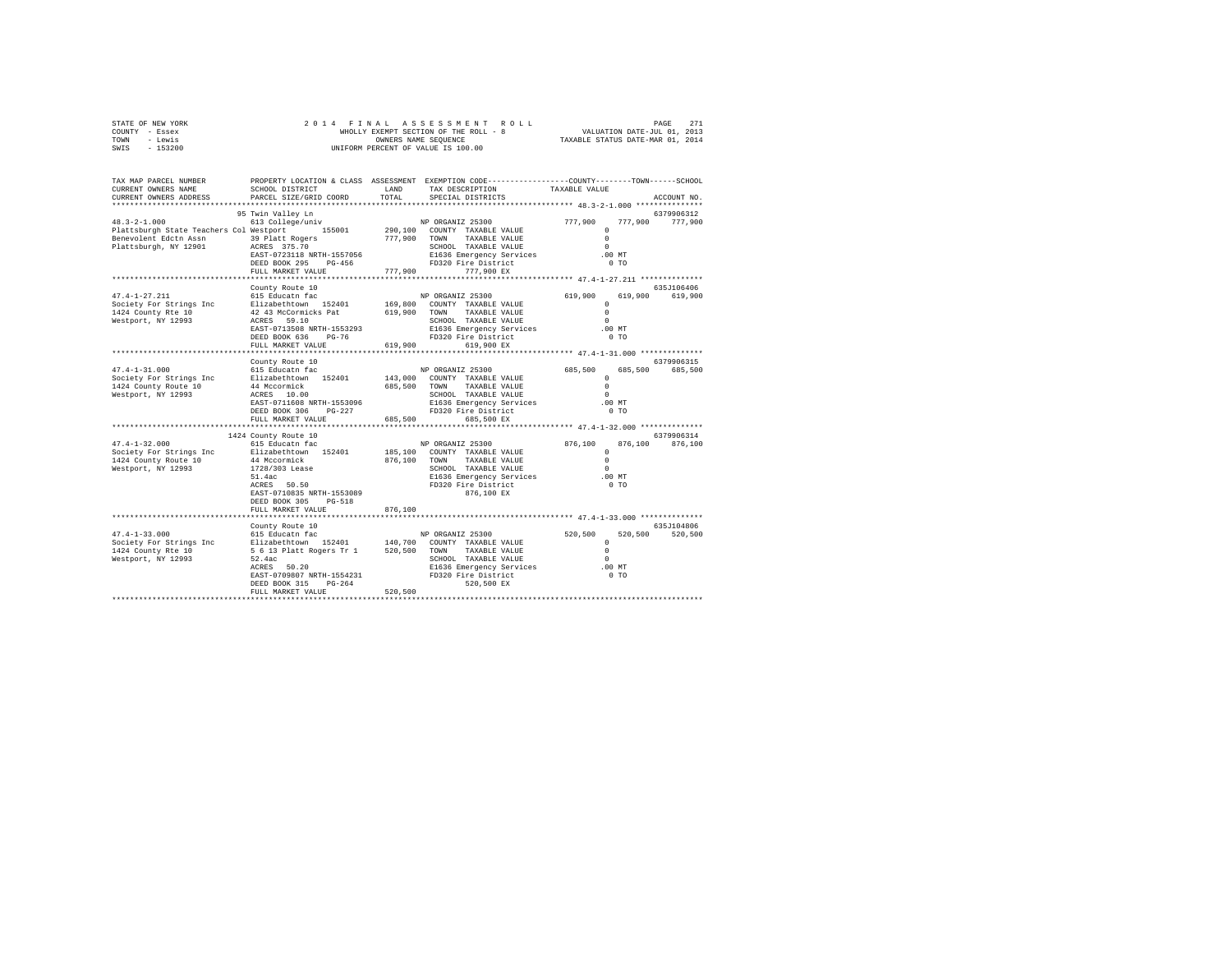| STATE OF NEW YORK | 2014 FINAL ASSESSMENT ROLL            | 271<br>PAGE                      |
|-------------------|---------------------------------------|----------------------------------|
| COUNTY - Essex    | WHOLLY EXEMPT SECTION OF THE ROLL - 8 | VALUATION DATE-JUL 01, 2013      |
| TOWN<br>- Lewis   | OWNERS NAME SEOUENCE                  | TAXABLE STATUS DATE-MAR 01, 2014 |
| $-153200$<br>SWIS | UNIFORM PERCENT OF VALUE IS 100.00    |                                  |

| TAX MAP PARCEL NUMBER<br>CURRENT OWNERS NAME<br>CURRENT OWNERS ADDRESS                                                                                                                                            | SCHOOL DISTRICT<br>PARCEL SIZE/GRID COORD                                                                                                                                                                                                                                                                                                                | LAND<br>TOTAL | PROPERTY LOCATION & CLASS ASSESSMENT EXEMPTION CODE----------------COUNTY-------TOWN------SCHOOL<br>TAX DESCRIPTION<br>SPECIAL DISTRICTS                                                                                                                                                                                                                                                                | TAXABLE VALUE                                                                                                                                  | ACCOUNT NO.                                                    |
|-------------------------------------------------------------------------------------------------------------------------------------------------------------------------------------------------------------------|----------------------------------------------------------------------------------------------------------------------------------------------------------------------------------------------------------------------------------------------------------------------------------------------------------------------------------------------------------|---------------|---------------------------------------------------------------------------------------------------------------------------------------------------------------------------------------------------------------------------------------------------------------------------------------------------------------------------------------------------------------------------------------------------------|------------------------------------------------------------------------------------------------------------------------------------------------|----------------------------------------------------------------|
|                                                                                                                                                                                                                   | **************************                                                                                                                                                                                                                                                                                                                               |               |                                                                                                                                                                                                                                                                                                                                                                                                         |                                                                                                                                                |                                                                |
| $48.3 - 2 - 1.000$<br>Plattsburgh State Teachers Col Westport 155001<br>Benevolent Edctn Assn 39 Platt Rogers<br>Plattsburgh, NY 12901 ACRES 375.70                                                               | 95 Twin Valley Ln<br>613 College/univ<br>EAST-0723118 NRTH-1557056<br>DEED BOOK 295 PG-456 FD320 Fire District<br>FULL MARKET VALUE                                                                                                                                                                                                                      |               | SCHOOL IMANDED<br>E1636 Emergency Services<br>777,900 777,900 EX                                                                                                                                                                                                                                                                                                                                        | $\Omega$<br>$\Omega$<br>$\sim$<br>$.00$ MT<br>0 <sub>T</sub>                                                                                   | 6379906312<br>777,900 777,900                                  |
|                                                                                                                                                                                                                   |                                                                                                                                                                                                                                                                                                                                                          |               |                                                                                                                                                                                                                                                                                                                                                                                                         | ****************** 47.4-1-27.211 **************                                                                                                |                                                                |
| $47.4 - 1 - 27.211$<br>Society For Strings Inc<br>1424 County Rte 10<br>Westport, NY 12993                                                                                                                        | County Route 10<br>42   43 McCormicks Pat   619,900 TOWN TAXABLE VALUE<br>ACRES   59.10   SCHOOL TAXABLE VALUE<br>EAST-0713508 NRTH-1553293<br>DEED BOOK 636<br>$PG-76$<br>FULL MARKET VALUE                                                                                                                                                             | 619,900       | SCHOOL TAXABLE VALUE<br>E1636 Emergency Services<br>FD320 Fire District<br>FD320 Fire District<br>619,900 EX                                                                                                                                                                                                                                                                                            | 619,900<br>$\Omega$<br>$\Omega$<br>$\Omega$<br>$.00$ MT<br>0 <sub>T</sub>                                                                      | 635J106406<br>619,900 619,900                                  |
|                                                                                                                                                                                                                   |                                                                                                                                                                                                                                                                                                                                                          |               |                                                                                                                                                                                                                                                                                                                                                                                                         |                                                                                                                                                |                                                                |
| $47.4 - 1 - 31.000$<br>Society For Strings Inc<br>1424 County Route 10<br>Westport, NY 12993<br>$47.4 - 1 - 32.000$<br>Society For Strings Inc Blizabethtown 152401<br>1424 County Route 10<br>Westport, NY 12993 | County Route 10<br>615 Educatn fac<br>Elizabethtown 152401<br>44 Mccormick<br>ACRES 10.00<br>EAST-0711608 NRTH-1553096<br>$PG-227$<br>DEED BOOK 306<br>FULL MARKET VALUE<br>1424 County Route 10<br>4 County Route 10<br>615 Educatn fac<br>44 Mccormick<br>1728/303 Lease<br>51.4ac<br>ACRES 50.50<br>EAST-0710835 NRTH-1553089<br>DEED BOOK 305 PG-518 |               | NP ORGANIZ 25300<br>143,000 COUNTY TAXABLE VALUE<br>685,500 TOWN TAXABLE VALUE<br>SCHOOL TAXABLE VALUE<br>E1636 Emergency Services<br>FD320 Fire District<br>FD320 Fire District<br>FD320 Fire District<br>685,500 EX<br>NP ORGANIZ 25300<br>185.100 COUNTY TAXABLE VALUE<br>876.100 TOWN TAXABLE VALUE<br>SCHOOL TAXABLE VALUE<br>E1636 Emergency Services .00 MT<br>FD320 Fire District<br>876,100 EX | 685,500<br>$\Omega$<br>$\Omega$<br>$\Omega$<br>.00 MT<br>0 <sub>T</sub><br>$876,100$ $\begin{array}{c} 0 \\ 0 \end{array}$<br>$\sim$<br>$0$ TO | 6379906315<br>685,500 685,500<br>6379906314<br>876,100 876,100 |
|                                                                                                                                                                                                                   | FULL MARKET VALUE                                                                                                                                                                                                                                                                                                                                        | 876,100       |                                                                                                                                                                                                                                                                                                                                                                                                         |                                                                                                                                                |                                                                |
|                                                                                                                                                                                                                   | County Route 10<br>615 Educatn fac<br>ACRES 50.20<br>EAST-0709807 NRTH-1554231<br>DEED BOOK 315<br>$PG-264$<br>FULL MARKET VALUE                                                                                                                                                                                                                         | 520,500       | CHOOL TAXABLE VALUE<br>E1636 Emergency Services 0<br>FD320 Fire District 0 0 mm<br>520,500 EX                                                                                                                                                                                                                                                                                                           |                                                                                                                                                | 635J104806<br>520,500 520,500                                  |
|                                                                                                                                                                                                                   |                                                                                                                                                                                                                                                                                                                                                          |               |                                                                                                                                                                                                                                                                                                                                                                                                         |                                                                                                                                                |                                                                |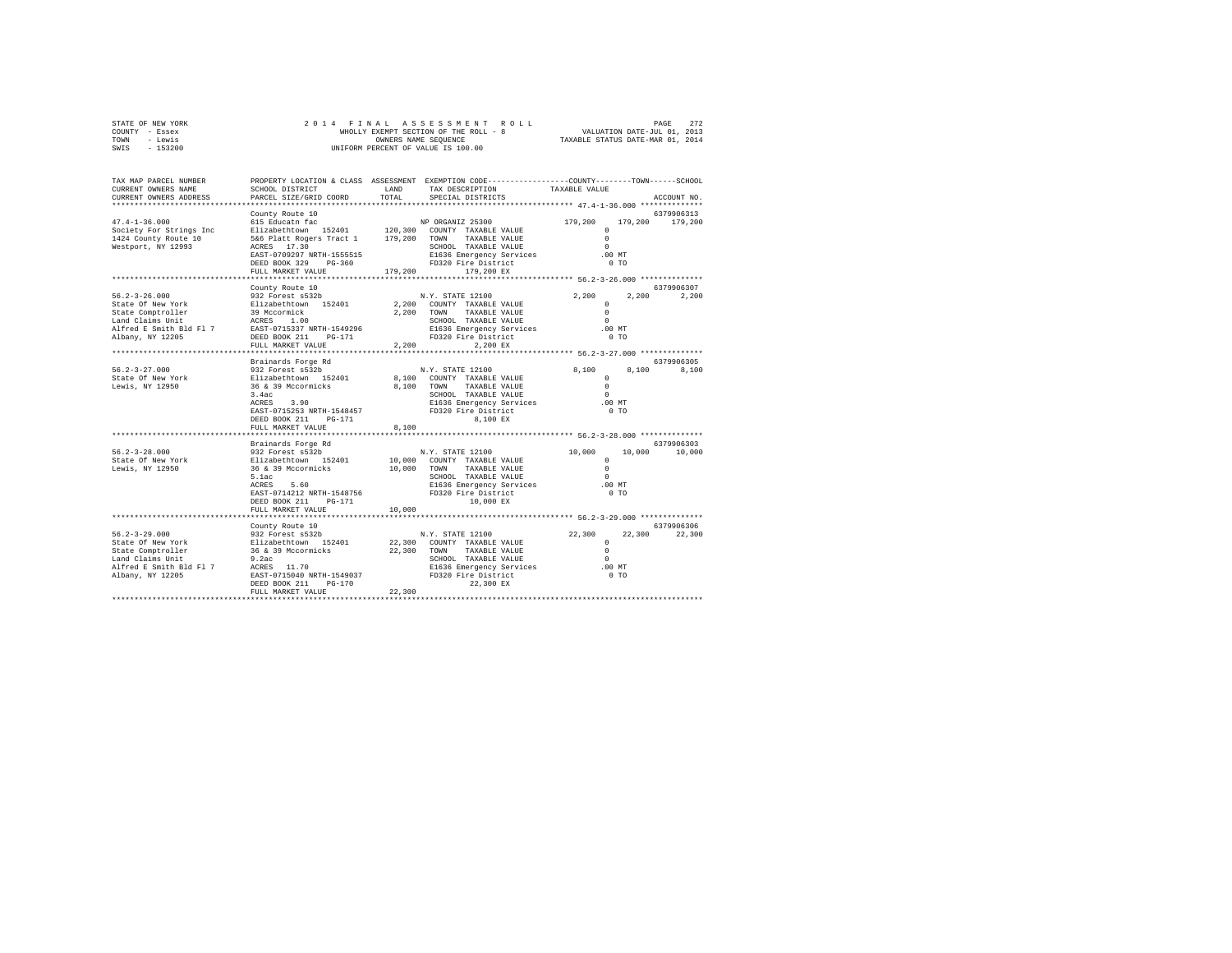|      | STATE OF NEW YORK |  | 2014 FINAL ASSESSMENT ROLL            |                                  | PAGE                        | 272 |
|------|-------------------|--|---------------------------------------|----------------------------------|-----------------------------|-----|
|      | COUNTY - Essex    |  | WHOLLY EXEMPT SECTION OF THE ROLL - 8 |                                  | VALUATION DATE-JUL 01, 2013 |     |
| TOWN | - Lewis           |  | OWNERS NAME SEOUENCE                  | TAXABLE STATUS DATE-MAR 01, 2014 |                             |     |
| SWIS | $-153200$         |  | UNIFORM PERCENT OF VALUE IS 100.00    |                                  |                             |     |

| TAX MAP PARCEL NUMBER<br>CURRENT OWNERS NAME<br>CURRENT OWNERS ADDRESS       | SCHOOL DISTRICT<br>PARCEL SIZE/GRID COORD                                                                               | LAND<br>TOTAL | PROPERTY LOCATION & CLASS ASSESSMENT EXEMPTION CODE---------------COUNTY-------TOWN-----SCHOOL<br>TAX DESCRIPTION<br>SPECIAL DISTRICTS | TAXABLE VALUE                                                | ACCOUNT NO.                   |
|------------------------------------------------------------------------------|-------------------------------------------------------------------------------------------------------------------------|---------------|----------------------------------------------------------------------------------------------------------------------------------------|--------------------------------------------------------------|-------------------------------|
| ************************                                                     |                                                                                                                         |               |                                                                                                                                        |                                                              |                               |
| $47.4 - 1 - 36.000$<br>Society For Strings Inc                               | County Route 10<br>615 Educatn fac<br>Elizabethtown 152401 120,300 COUNTY TAXABLE VALUE                                 |               | NP ORGANIZ 25300 179,200                                                                                                               | $\Omega$                                                     | 6379906313<br>179,200 179,200 |
| 1424 County Route 10<br>Westport, NY 12993                                   | 5&6 Platt Rogers Tract 1 179,200 TOWN TAXABLE VALUE<br>ACRES 17.30<br>EAST-0709297 NRTH-1555515<br>DEED BOOK 329 PG-360 |               | SCHOOL TAXABLE VALUE<br>E1636 Emergency Services<br>FD320 Fire District                                                                | $\Omega$<br>$\Omega$<br>.00MT<br>0 <sub>T</sub>              |                               |
|                                                                              | FULL MARKET VALUE                                                                                                       | 179,200       | 179,200 EX                                                                                                                             |                                                              |                               |
|                                                                              |                                                                                                                         |               |                                                                                                                                        | ****************** 56.2-3-26.000 **************              | 6379906307                    |
| $56.2 - 3 - 26.000$                                                          | County Route 10<br>932 Forest s532b                                                                                     |               | N.Y. STATE 12100                                                                                                                       | 2,200                                                        | 2.200<br>2,200                |
| State Of New York                                                            | Elizabethtown 152401                                                                                                    |               | 2,200 COUNTY TAXABLE VALUE                                                                                                             | $\Omega$                                                     |                               |
| State Comptroller                                                            | 39 Mccormick<br>ACRES 1.00                                                                                              |               | 2.200 TOWN TAXABLE VALUE                                                                                                               | $\circ$                                                      |                               |
| Land Claims Unit                                                             |                                                                                                                         |               | SCHOOL TAXABLE VALUE                                                                                                                   | $\Omega$                                                     |                               |
| Alfred E Smith Bld Fl 7 EAST-0715337 NRTH-1549296                            |                                                                                                                         |               | E1636 Emergency Services 6.00 MT<br>FD320 Fire District 6.00 TO                                                                        |                                                              |                               |
| Albany, NY 12205                                                             | DEED BOOK 211<br>PG-171                                                                                                 |               |                                                                                                                                        |                                                              |                               |
|                                                                              | FULL MARKET VALUE                                                                                                       | 2.200         | 2.200 EX                                                                                                                               |                                                              |                               |
|                                                                              | *******************************                                                                                         |               |                                                                                                                                        |                                                              |                               |
|                                                                              | Brainards Forge Rd                                                                                                      |               |                                                                                                                                        |                                                              | 6379906305                    |
| $56.2 - 3 - 27.000$                                                          | 932 Forest s532b<br>Elizabethtown 152401                                                                                |               | N.Y. STATE 12100                                                                                                                       | 8,100<br>8,100                                               | 8.100                         |
| State Of New York                                                            |                                                                                                                         |               | 8,100 COUNTY TAXABLE VALUE                                                                                                             | $\Omega$                                                     |                               |
| Lewis, NY 12950                                                              | 36 & 39 Mccormicks                                                                                                      | 8,100 TOWN    | TAXABLE VALUE                                                                                                                          | $\Omega$                                                     |                               |
|                                                                              | 3.4ac<br>ACRES 3.90                                                                                                     |               | SCHOOL TAXABLE VALUE                                                                                                                   | $\Omega$                                                     |                               |
|                                                                              |                                                                                                                         |               | E1636 Emergency Services                                                                                                               | $.00$ MT                                                     |                               |
|                                                                              | EAST-0715253 NRTH-1548457                                                                                               |               | FD320 Fire District                                                                                                                    | $0$ TO                                                       |                               |
|                                                                              | DEED BOOK 211 PG-171                                                                                                    |               | 8,100 EX                                                                                                                               |                                                              |                               |
|                                                                              | FULL MARKET VALUE                                                                                                       | 8,100         |                                                                                                                                        |                                                              |                               |
|                                                                              |                                                                                                                         |               |                                                                                                                                        |                                                              | 6379906303                    |
| $56.2 - 3 - 28.000$                                                          | Brainards Forge Rd<br>932 Forest s532b                                                                                  |               | N.Y. STATE 12100                                                                                                                       | 10,000                                                       | 10,000 10,000                 |
|                                                                              |                                                                                                                         |               | 10,000 COUNTY TAXABLE VALUE                                                                                                            | $^{\circ}$                                                   |                               |
| State Of New York Blizabethtown 152401<br>Lewis, NY 12950 36 & 39 Mccormicks |                                                                                                                         |               | 10,000 TOWN TAXABLE VALUE                                                                                                              | $\Omega$                                                     |                               |
|                                                                              | 5.1ac                                                                                                                   |               | SCHOOL TAXABLE VALUE                                                                                                                   | $\Omega$                                                     |                               |
|                                                                              | ACRES 5.60                                                                                                              |               | SCHOOL TAXABLE VALUE<br>E1636 Emergency Services .00 MT                                                                                |                                                              |                               |
|                                                                              | EAST-0714212 NRTH-1548756                                                                                               |               | FD320 Fire District                                                                                                                    | 0 <sub>T</sub>                                               |                               |
|                                                                              | DEED BOOK 211<br>PG-171                                                                                                 |               | 10,000 EX                                                                                                                              |                                                              |                               |
|                                                                              | FULL MARKET VALUE                                                                                                       | 10,000        |                                                                                                                                        |                                                              |                               |
|                                                                              |                                                                                                                         |               |                                                                                                                                        | ******************************* 56.2-3-29.000 ************** |                               |
|                                                                              | County Route 10                                                                                                         |               |                                                                                                                                        |                                                              | 6379906306                    |
| $56.2 - 3 - 29.000$                                                          |                                                                                                                         |               |                                                                                                                                        | 22,300                                                       | 22,300 22,300                 |
| State Of New York                                                            |                                                                                                                         |               |                                                                                                                                        | $\circ$                                                      |                               |
| State Comptroller                                                            |                                                                                                                         |               |                                                                                                                                        | $\Omega$                                                     |                               |
| Land Claims Unit                                                             | 9.2ac                                                                                                                   |               | SCHOOL TAXABLE VALUE                                                                                                                   | $\Omega$                                                     |                               |
| Alfred E Smith Bld Fl 7                                                      | ACRES 11.70                                                                                                             |               | E1636 Emergency Services                                                                                                               | .00 MT                                                       |                               |
| Albany, NY 12205                                                             | EAST-0715040 NRTH-1549037 FD320 Fire District                                                                           |               |                                                                                                                                        | $0$ TO                                                       |                               |
|                                                                              | DEED BOOK 211<br>$PG - 170$                                                                                             |               | 22,300 EX                                                                                                                              |                                                              |                               |
|                                                                              | FULL MARKET VALUE                                                                                                       | 22,300        |                                                                                                                                        |                                                              |                               |
|                                                                              |                                                                                                                         |               |                                                                                                                                        |                                                              |                               |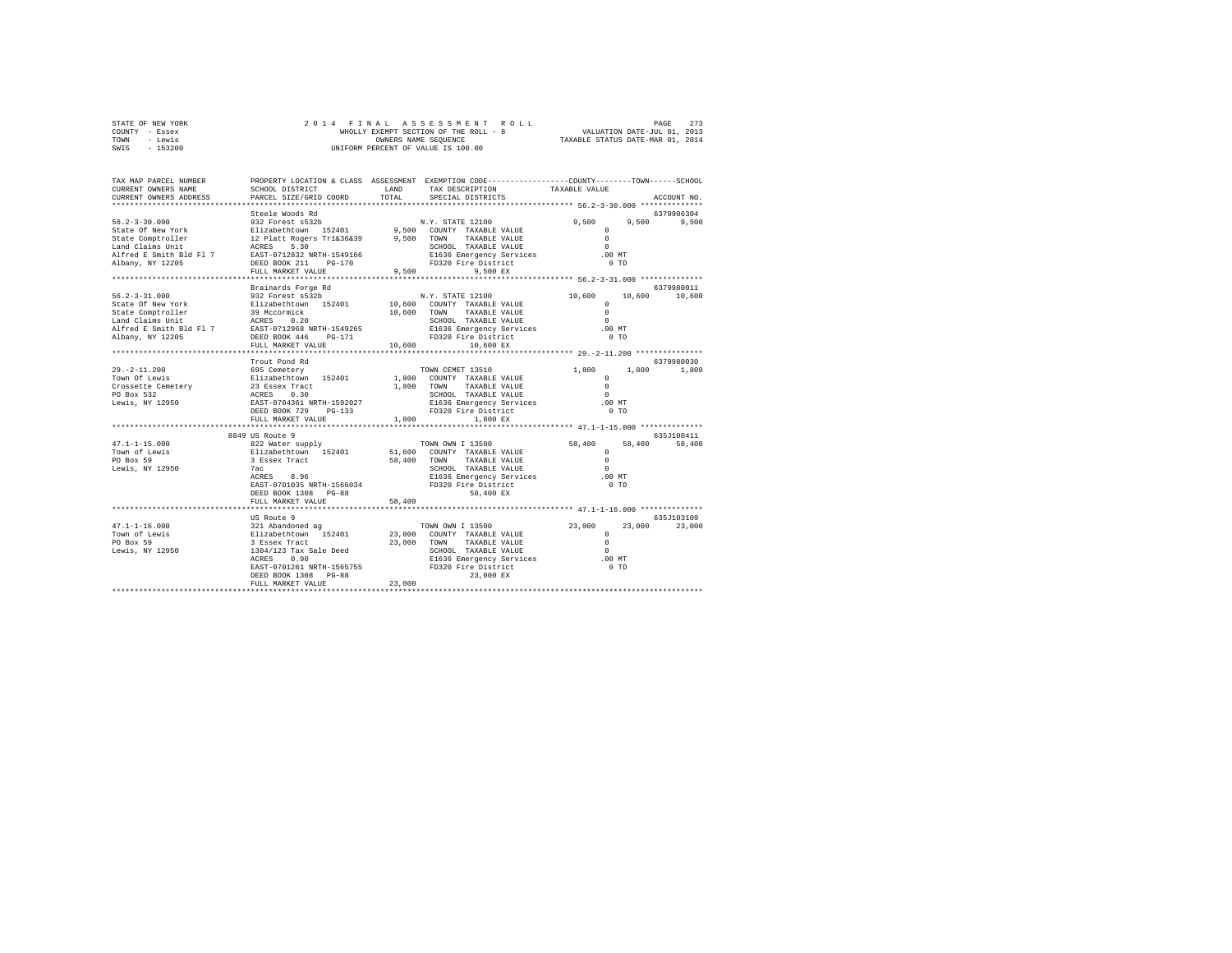|      | STATE OF NEW YORK | 2014 FINAL ASSESSMENT ROLL            |  | PAGE                             | 273 |
|------|-------------------|---------------------------------------|--|----------------------------------|-----|
|      | COUNTY - Essex    | WHOLLY EXEMPT SECTION OF THE ROLL - 8 |  | VALUATION DATE-JUL 01, 2013      |     |
| TOWN | - Lewis           | OWNERS NAME SEOUENCE                  |  | TAXABLE STATUS DATE-MAR 01, 2014 |     |
| SWIS | $-153200$         | UNIFORM PERCENT OF VALUE IS 100.00    |  |                                  |     |

| TAX MAP PARCEL NUMBER<br>CURRENT OWNERS NAME                                                                                                                                                                                                                                                                                                                                          |                                                               |        | PROPERTY LOCATION & CLASS ASSESSMENT EXEMPTION CODE----------------COUNTY-------TOWN------SCHOOL                                                                                                                          |               |
|---------------------------------------------------------------------------------------------------------------------------------------------------------------------------------------------------------------------------------------------------------------------------------------------------------------------------------------------------------------------------------------|---------------------------------------------------------------|--------|---------------------------------------------------------------------------------------------------------------------------------------------------------------------------------------------------------------------------|---------------|
| CURRENT OWNERS ADDRESS                                                                                                                                                                                                                                                                                                                                                                |                                                               |        | ${\tt SCHOOL\ DISTRICT}\qquad\qquad {\tt LAND}\qquad\qquad {\tt TAX\ DESCRIPTION}\qquad\qquad {\tt TAXABLE\ VALUE}\label{thm:opt}$ PARCEL SIZE/GRID COORD $\qquad\qquad {\tt TOTAL}\qquad\qquad {\tt SPECTAL\ DISTRICTS}$ | ACCOUNT NO.   |
|                                                                                                                                                                                                                                                                                                                                                                                       |                                                               |        |                                                                                                                                                                                                                           |               |
|                                                                                                                                                                                                                                                                                                                                                                                       |                                                               |        |                                                                                                                                                                                                                           |               |
|                                                                                                                                                                                                                                                                                                                                                                                       |                                                               |        |                                                                                                                                                                                                                           |               |
|                                                                                                                                                                                                                                                                                                                                                                                       |                                                               |        |                                                                                                                                                                                                                           |               |
|                                                                                                                                                                                                                                                                                                                                                                                       |                                                               |        |                                                                                                                                                                                                                           |               |
|                                                                                                                                                                                                                                                                                                                                                                                       |                                                               |        |                                                                                                                                                                                                                           |               |
|                                                                                                                                                                                                                                                                                                                                                                                       |                                                               |        |                                                                                                                                                                                                                           |               |
|                                                                                                                                                                                                                                                                                                                                                                                       |                                                               |        |                                                                                                                                                                                                                           |               |
|                                                                                                                                                                                                                                                                                                                                                                                       |                                                               |        |                                                                                                                                                                                                                           |               |
|                                                                                                                                                                                                                                                                                                                                                                                       | Brainards Forge Rd                                            |        |                                                                                                                                                                                                                           | 6379980011    |
|                                                                                                                                                                                                                                                                                                                                                                                       |                                                               |        |                                                                                                                                                                                                                           | 10,600 10,600 |
|                                                                                                                                                                                                                                                                                                                                                                                       |                                                               |        |                                                                                                                                                                                                                           |               |
|                                                                                                                                                                                                                                                                                                                                                                                       |                                                               |        |                                                                                                                                                                                                                           |               |
|                                                                                                                                                                                                                                                                                                                                                                                       |                                                               |        |                                                                                                                                                                                                                           |               |
|                                                                                                                                                                                                                                                                                                                                                                                       |                                                               |        |                                                                                                                                                                                                                           |               |
|                                                                                                                                                                                                                                                                                                                                                                                       |                                                               |        |                                                                                                                                                                                                                           |               |
|                                                                                                                                                                                                                                                                                                                                                                                       |                                                               |        |                                                                                                                                                                                                                           |               |
|                                                                                                                                                                                                                                                                                                                                                                                       |                                                               |        | ******************************** 29.-2-11.200 **************                                                                                                                                                              |               |
|                                                                                                                                                                                                                                                                                                                                                                                       | Trout Pond Rd                                                 |        |                                                                                                                                                                                                                           | 6379980030    |
|                                                                                                                                                                                                                                                                                                                                                                                       |                                                               |        |                                                                                                                                                                                                                           |               |
|                                                                                                                                                                                                                                                                                                                                                                                       |                                                               |        |                                                                                                                                                                                                                           |               |
|                                                                                                                                                                                                                                                                                                                                                                                       |                                                               |        |                                                                                                                                                                                                                           |               |
|                                                                                                                                                                                                                                                                                                                                                                                       |                                                               |        |                                                                                                                                                                                                                           |               |
|                                                                                                                                                                                                                                                                                                                                                                                       |                                                               |        |                                                                                                                                                                                                                           |               |
|                                                                                                                                                                                                                                                                                                                                                                                       |                                                               |        |                                                                                                                                                                                                                           |               |
|                                                                                                                                                                                                                                                                                                                                                                                       | FULL MARKET VALUE $1,800 \qquad \qquad 1,800 \quad \text{EX}$ |        |                                                                                                                                                                                                                           |               |
|                                                                                                                                                                                                                                                                                                                                                                                       |                                                               |        |                                                                                                                                                                                                                           |               |
|                                                                                                                                                                                                                                                                                                                                                                                       | 8849 US Route 9                                               |        |                                                                                                                                                                                                                           | 635J100411    |
|                                                                                                                                                                                                                                                                                                                                                                                       |                                                               |        |                                                                                                                                                                                                                           | 58,400        |
|                                                                                                                                                                                                                                                                                                                                                                                       |                                                               |        |                                                                                                                                                                                                                           |               |
|                                                                                                                                                                                                                                                                                                                                                                                       |                                                               |        |                                                                                                                                                                                                                           |               |
|                                                                                                                                                                                                                                                                                                                                                                                       |                                                               |        |                                                                                                                                                                                                                           |               |
|                                                                                                                                                                                                                                                                                                                                                                                       |                                                               |        |                                                                                                                                                                                                                           |               |
| $\begin{tabular}{l c c c c c} \multicolumn{3}{c}{\textbf{47.1--1-15.000}} & $\textbf{6849} \text{ S5,400} & $\textbf{58.400}$ & $\textbf{58.400}$ & $\textbf{58.400}$ & $\textbf{58.400}$ & $\textbf{58.400}$ \\ \multicolumn{3}{c}{\textbf{To New} 1520} & $\textbf{51.420} \textbf{R} & $\textbf{51.400}$ & $\textbf{51.400}$ & $\textbf{51.400}$ & $\textbf{58.400}$ & $\textbf{5$ |                                                               |        |                                                                                                                                                                                                                           |               |
|                                                                                                                                                                                                                                                                                                                                                                                       | DEED BOOK 1308 PG-88                                          |        | 58,400 EX                                                                                                                                                                                                                 |               |
|                                                                                                                                                                                                                                                                                                                                                                                       | FULL MARKET VALUE                                             | 58,400 |                                                                                                                                                                                                                           |               |
|                                                                                                                                                                                                                                                                                                                                                                                       |                                                               |        |                                                                                                                                                                                                                           |               |
|                                                                                                                                                                                                                                                                                                                                                                                       |                                                               |        |                                                                                                                                                                                                                           |               |
|                                                                                                                                                                                                                                                                                                                                                                                       |                                                               |        |                                                                                                                                                                                                                           |               |
|                                                                                                                                                                                                                                                                                                                                                                                       |                                                               |        |                                                                                                                                                                                                                           |               |
|                                                                                                                                                                                                                                                                                                                                                                                       |                                                               |        |                                                                                                                                                                                                                           |               |
|                                                                                                                                                                                                                                                                                                                                                                                       |                                                               |        |                                                                                                                                                                                                                           |               |
|                                                                                                                                                                                                                                                                                                                                                                                       |                                                               |        |                                                                                                                                                                                                                           |               |
|                                                                                                                                                                                                                                                                                                                                                                                       | DEED BOOK 1308 PG-88                                          |        |                                                                                                                                                                                                                           |               |
|                                                                                                                                                                                                                                                                                                                                                                                       | FULL MARKET VALUE                                             | 23,000 |                                                                                                                                                                                                                           |               |
|                                                                                                                                                                                                                                                                                                                                                                                       |                                                               |        |                                                                                                                                                                                                                           |               |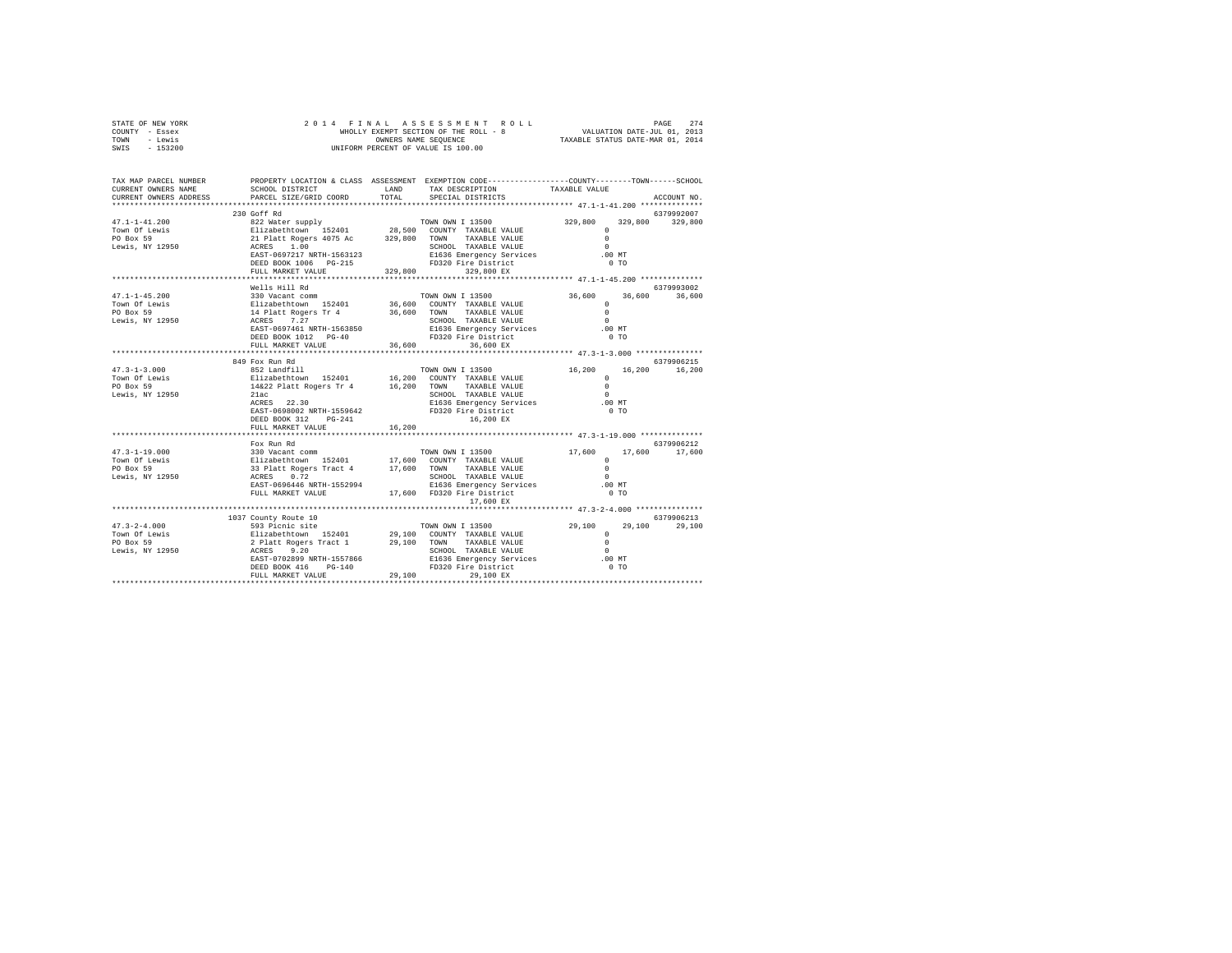| STATE OF NEW YORK | 2014 FINAL ASSESSMENT ROLL            | 274<br>PAGE                      |
|-------------------|---------------------------------------|----------------------------------|
| COUNTY - Essex    | WHOLLY EXEMPT SECTION OF THE ROLL - 8 | VALUATION DATE-JUL 01, 2013      |
| TOWN<br>- Lewis   | OWNERS NAME SEOUENCE                  | TAXABLE STATUS DATE-MAR 01, 2014 |
| $-153200$<br>SWIS | UNIFORM PERCENT OF VALUE IS 100.00    |                                  |

| TAX MAP PARCEL NUMBER<br>CURRENT OWNERS NAME<br>CURRENT OWNERS ADDRESS                                                                                                                                                                                                                                                                                                                                                     | SCHOOL DISTRICT<br>PARCEL SIZE/GRID COORD                                            |        | PROPERTY LOCATION & CLASS ASSESSMENT EXEMPTION CODE---------------COUNTY-------TOWN-----SCHOOL<br>LAND TAX DESCRIPTION<br>TOTAL SPECIAL DISTRICTS | TAXABLE VALUE                                      | ACCOUNT NO.                 |
|----------------------------------------------------------------------------------------------------------------------------------------------------------------------------------------------------------------------------------------------------------------------------------------------------------------------------------------------------------------------------------------------------------------------------|--------------------------------------------------------------------------------------|--------|---------------------------------------------------------------------------------------------------------------------------------------------------|----------------------------------------------------|-----------------------------|
|                                                                                                                                                                                                                                                                                                                                                                                                                            |                                                                                      |        |                                                                                                                                                   |                                                    |                             |
|                                                                                                                                                                                                                                                                                                                                                                                                                            | 230 Goff Rd                                                                          |        |                                                                                                                                                   |                                                    | 6379992007                  |
|                                                                                                                                                                                                                                                                                                                                                                                                                            |                                                                                      |        |                                                                                                                                                   |                                                    |                             |
|                                                                                                                                                                                                                                                                                                                                                                                                                            | FULL MARKET VALUE                                                                    |        | 329,800 329,800 EX                                                                                                                                |                                                    |                             |
|                                                                                                                                                                                                                                                                                                                                                                                                                            | Wells Hill Rd                                                                        |        |                                                                                                                                                   |                                                    | 6379993002                  |
| $\begin{tabular}{lllllllllllllllllll} \multicolumn{3}{c}{\textbf{47.1--1-45.200}} & \multicolumn{3}{c}{\textbf{5.600}} & \multicolumn{3}{c}{\textbf{5.600}} & \multicolumn{3}{c}{\textbf{7.600}} & \multicolumn{3}{c}{\textbf{7.600}} & \multicolumn{3}{c}{\textbf{7.600}} & \multicolumn{3}{c}{\textbf{7.600}} & \multicolumn{3}{c}{\textbf{7.600}} & \multicolumn{3}{c}{\textbf{7.600}} & \multicolumn{3}{c}{\textbf{7.$ |                                                                                      |        |                                                                                                                                                   | $36,600$ $36,600$ $36,600$                         |                             |
|                                                                                                                                                                                                                                                                                                                                                                                                                            | FULL MARKET VALUE 36,600                                                             |        | 36,600 EX                                                                                                                                         |                                                    |                             |
|                                                                                                                                                                                                                                                                                                                                                                                                                            | 849 Fox Run Rd                                                                       |        |                                                                                                                                                   |                                                    | 6379906215                  |
|                                                                                                                                                                                                                                                                                                                                                                                                                            | ACRES 22.30<br>EAST-0698002 NRTH-1559642 FD320 Fire District<br>DEED BOOK 312 PG-241 |        | TOWN OWN I 13500 16,200<br>E1636 Emergency Services .00 MT<br>16,200 EX                                                                           | $^{\circ}$<br>$\Omega$<br>$\sim$<br>0 <sub>T</sub> | 16,200 16,200               |
|                                                                                                                                                                                                                                                                                                                                                                                                                            | FULL MARKET VALUE<br>**************************                                      | 16,200 |                                                                                                                                                   |                                                    |                             |
|                                                                                                                                                                                                                                                                                                                                                                                                                            | Fox Run Rd                                                                           |        |                                                                                                                                                   |                                                    | 6379906212<br>17,600        |
|                                                                                                                                                                                                                                                                                                                                                                                                                            |                                                                                      |        | 17,600 EX                                                                                                                                         |                                                    |                             |
|                                                                                                                                                                                                                                                                                                                                                                                                                            |                                                                                      |        |                                                                                                                                                   |                                                    |                             |
| $\begin{tabular}{l c c c c c} \multicolumn{3}{c}{\textbf{47.3--2-4.000}} & \multicolumn{3}{c}{1037} & \multicolumn{3}{c}{533} & \multicolumn{3}{c}{1038} & \multicolumn{3}{c}{1039} & \multicolumn{3}{c}{1039} & \multicolumn{3}{c}{1039} & \multicolumn{3}{c}{1039} & \multicolumn{3}{c}{1030} & \multicolumn{3}{c}{29.100} & \multicolumn{3}{c}{700N0} & \multicolumn{3}{c}{113500} & \multicolumn{3$                    | 1037 County Route 10                                                                 |        |                                                                                                                                                   |                                                    | 6379906213<br>29,100 29,100 |
|                                                                                                                                                                                                                                                                                                                                                                                                                            |                                                                                      |        |                                                                                                                                                   |                                                    |                             |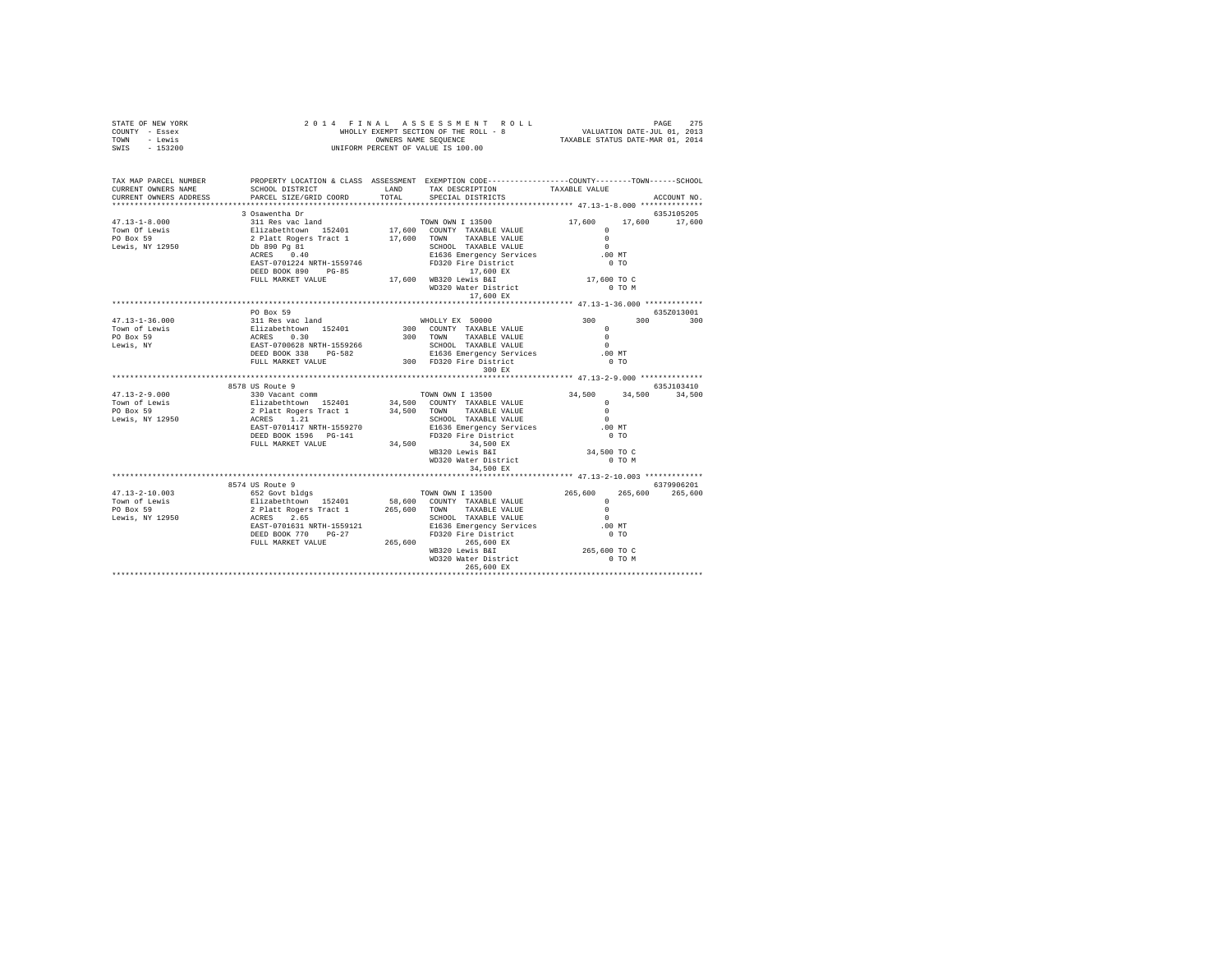| STATE OF NEW YORK<br>COUNTY - Essex<br>TOWN - Lewis<br>SWIS - 153200                                                                                                                                                                                                                                                                                                            |           |                                                                                                                                                                                                                                                                                                                                                    |             |
|---------------------------------------------------------------------------------------------------------------------------------------------------------------------------------------------------------------------------------------------------------------------------------------------------------------------------------------------------------------------------------|-----------|----------------------------------------------------------------------------------------------------------------------------------------------------------------------------------------------------------------------------------------------------------------------------------------------------------------------------------------------------|-------------|
| TAX MAP PARCEL NUMBER PROPERTY LOCATION & CLASS ASSESSMENT EXEMPTION CODE---------------COUNTY-------TOWN-----SCHOOL                                                                                                                                                                                                                                                            |           |                                                                                                                                                                                                                                                                                                                                                    | ACCOUNT NO. |
| 17,600 17,600 17,600 17,600 17,600 17,600 17,600 17,600 17,600 17,600 17,600 17,600 17,600 17,600 17,600 17,600 17,600 17,600 17,600 17,600 17,600 17,600 17,600 17,600 17,600 17,600 17,600 17,600 17,600 17,600 17,600 17,60                                                                                                                                                  |           |                                                                                                                                                                                                                                                                                                                                                    |             |
|                                                                                                                                                                                                                                                                                                                                                                                 |           |                                                                                                                                                                                                                                                                                                                                                    |             |
|                                                                                                                                                                                                                                                                                                                                                                                 |           |                                                                                                                                                                                                                                                                                                                                                    |             |
|                                                                                                                                                                                                                                                                                                                                                                                 |           |                                                                                                                                                                                                                                                                                                                                                    |             |
|                                                                                                                                                                                                                                                                                                                                                                                 |           |                                                                                                                                                                                                                                                                                                                                                    |             |
|                                                                                                                                                                                                                                                                                                                                                                                 |           |                                                                                                                                                                                                                                                                                                                                                    |             |
|                                                                                                                                                                                                                                                                                                                                                                                 |           |                                                                                                                                                                                                                                                                                                                                                    |             |
|                                                                                                                                                                                                                                                                                                                                                                                 |           |                                                                                                                                                                                                                                                                                                                                                    |             |
|                                                                                                                                                                                                                                                                                                                                                                                 |           |                                                                                                                                                                                                                                                                                                                                                    |             |
|                                                                                                                                                                                                                                                                                                                                                                                 |           |                                                                                                                                                                                                                                                                                                                                                    |             |
|                                                                                                                                                                                                                                                                                                                                                                                 |           |                                                                                                                                                                                                                                                                                                                                                    |             |
|                                                                                                                                                                                                                                                                                                                                                                                 | PO Box 59 |                                                                                                                                                                                                                                                                                                                                                    |             |
| $47.13 - 1 - 36.000$                                                                                                                                                                                                                                                                                                                                                            |           |                                                                                                                                                                                                                                                                                                                                                    |             |
| Town of Lewis                                                                                                                                                                                                                                                                                                                                                                   |           |                                                                                                                                                                                                                                                                                                                                                    |             |
| PO Box 59                                                                                                                                                                                                                                                                                                                                                                       |           |                                                                                                                                                                                                                                                                                                                                                    |             |
| Lewis, NY                                                                                                                                                                                                                                                                                                                                                                       |           |                                                                                                                                                                                                                                                                                                                                                    |             |
|                                                                                                                                                                                                                                                                                                                                                                                 |           |                                                                                                                                                                                                                                                                                                                                                    |             |
|                                                                                                                                                                                                                                                                                                                                                                                 |           |                                                                                                                                                                                                                                                                                                                                                    |             |
|                                                                                                                                                                                                                                                                                                                                                                                 |           | $\begin{tabular}{l c c c c c} \hline \texttt{PO Box 59} & \texttt{0-0.52015} & \texttt{0-0.52015} & \texttt{0-0.52015} & \texttt{0-0.52015} \\ \hline 311~\texttt{kase}~\texttt{vac}~1~\texttt{and} & \texttt{NHOLLY EX} & 50000 & 300 & 300 & 300 \\ \hline \texttt{RRES} & 0.30 & 300 & 300 & 300 & 300 \\ \texttt{RRES} & 0.30 & 300 & 300 & 3$ |             |
|                                                                                                                                                                                                                                                                                                                                                                                 |           |                                                                                                                                                                                                                                                                                                                                                    |             |
|                                                                                                                                                                                                                                                                                                                                                                                 |           |                                                                                                                                                                                                                                                                                                                                                    |             |
|                                                                                                                                                                                                                                                                                                                                                                                 |           |                                                                                                                                                                                                                                                                                                                                                    |             |
|                                                                                                                                                                                                                                                                                                                                                                                 |           |                                                                                                                                                                                                                                                                                                                                                    |             |
|                                                                                                                                                                                                                                                                                                                                                                                 |           |                                                                                                                                                                                                                                                                                                                                                    |             |
|                                                                                                                                                                                                                                                                                                                                                                                 |           |                                                                                                                                                                                                                                                                                                                                                    |             |
|                                                                                                                                                                                                                                                                                                                                                                                 |           |                                                                                                                                                                                                                                                                                                                                                    |             |
|                                                                                                                                                                                                                                                                                                                                                                                 |           |                                                                                                                                                                                                                                                                                                                                                    |             |
| $\begin{tabular}{l c c c c c} \multicolumn{4}{c}{\textbf{47.13--2-9.000}} & \multicolumn{4}{c}{8570\text{ N} & \multicolumn{4}{c}{\textbf{58.1018-101}} & \multicolumn{4}{c}{\textbf{58.1018-101}} & \multicolumn{4}{c}{\textbf{58.1018-101}} & \multicolumn{4}{c}{\textbf{58.1018-101}} & \multicolumn{4}{c}{\textbf{58.1018-101}} & \multicolumn{4}{c}{\textbf{58.1018-101}}$ |           |                                                                                                                                                                                                                                                                                                                                                    |             |
|                                                                                                                                                                                                                                                                                                                                                                                 |           |                                                                                                                                                                                                                                                                                                                                                    |             |
|                                                                                                                                                                                                                                                                                                                                                                                 |           |                                                                                                                                                                                                                                                                                                                                                    |             |
|                                                                                                                                                                                                                                                                                                                                                                                 |           |                                                                                                                                                                                                                                                                                                                                                    |             |
|                                                                                                                                                                                                                                                                                                                                                                                 |           |                                                                                                                                                                                                                                                                                                                                                    |             |
|                                                                                                                                                                                                                                                                                                                                                                                 |           |                                                                                                                                                                                                                                                                                                                                                    |             |
|                                                                                                                                                                                                                                                                                                                                                                                 |           |                                                                                                                                                                                                                                                                                                                                                    |             |
|                                                                                                                                                                                                                                                                                                                                                                                 |           |                                                                                                                                                                                                                                                                                                                                                    |             |
|                                                                                                                                                                                                                                                                                                                                                                                 |           |                                                                                                                                                                                                                                                                                                                                                    |             |
|                                                                                                                                                                                                                                                                                                                                                                                 |           |                                                                                                                                                                                                                                                                                                                                                    |             |
|                                                                                                                                                                                                                                                                                                                                                                                 |           |                                                                                                                                                                                                                                                                                                                                                    |             |
|                                                                                                                                                                                                                                                                                                                                                                                 |           |                                                                                                                                                                                                                                                                                                                                                    |             |
|                                                                                                                                                                                                                                                                                                                                                                                 |           |                                                                                                                                                                                                                                                                                                                                                    |             |
|                                                                                                                                                                                                                                                                                                                                                                                 |           |                                                                                                                                                                                                                                                                                                                                                    |             |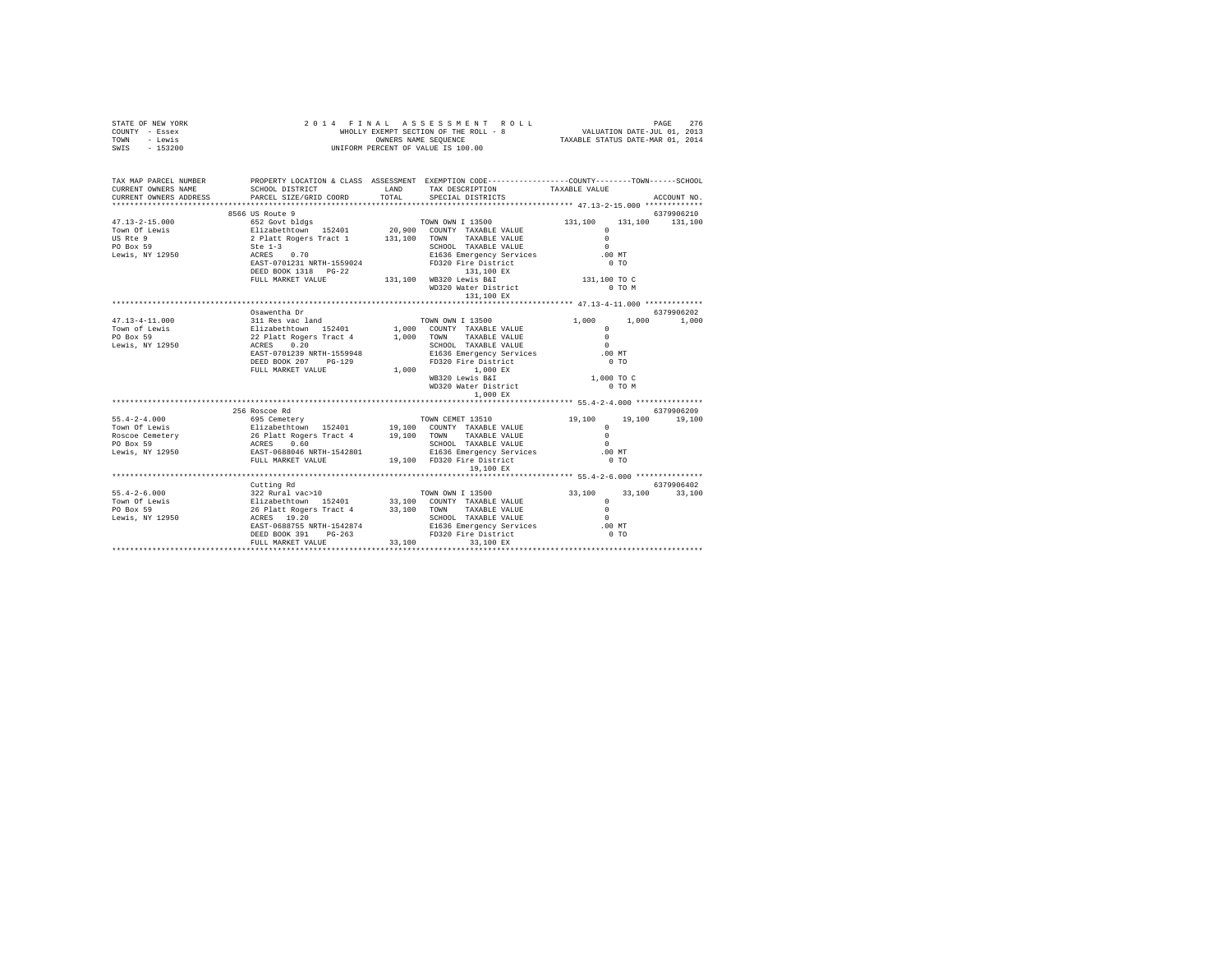| STATE OF NEW YORK<br>COUNTY - Essex<br>TOWN - Lewis<br>SWIS - 153200                                                                                                                                                                                                                                                                                                                                             |                                      | FINAL ASSES MENT ROLL<br>WHOLLY EXEMPT SECTION OF THE ROLL - 8<br>TRANS CROWNERS NAME SEQUENCE AT A TRANSLE STATUS DATE-JUL 01, 2013<br>TRANSLE STATUS DATE-MAR 01, 2014<br>2014 FINAL ASSESSMENT ROLL<br>UNIFORM PERCENT OF VALUE IS 100.00 |                        |            |                 |
|------------------------------------------------------------------------------------------------------------------------------------------------------------------------------------------------------------------------------------------------------------------------------------------------------------------------------------------------------------------------------------------------------------------|--------------------------------------|----------------------------------------------------------------------------------------------------------------------------------------------------------------------------------------------------------------------------------------------|------------------------|------------|-----------------|
| TAX MAP PARCEL NUMBER PROPERTY LOCATION & CLASS ASSESSMENT EXEMPTION CODE--------------COUNTY-------TOWN-----SCHOOL                                                                                                                                                                                                                                                                                              |                                      |                                                                                                                                                                                                                                              |                        |            |                 |
| CURRENT OWNERS NAME                                                                                                                                                                                                                                                                                                                                                                                              | SCHOOL DISTRICT TAND TAX DESCRIPTION |                                                                                                                                                                                                                                              | TAXABLE VALUE          |            |                 |
| CURRENT OWNERS ADDRESS PARCEL SIZE/GRID COORD TOTAL                                                                                                                                                                                                                                                                                                                                                              |                                      | SPECIAL DISTRICTS                                                                                                                                                                                                                            |                        |            | ACCOUNT NO.     |
| $\begin{tabular}{lllllllllllll} 47.13-2-15.000 & \text{6500 to } \text{Koute 9} & \text{TOWN OWN 1 13500} \\ \text{Town of Lewis} & 652~\text{Govt bildgs} & \text{TOWN OWN 1 13500} \\ \text{TSwe 9} & 2 \text{ Platt Regers Tract 1} & 131,100 & \text{COMN T 1XABLE VALUE} \\ \text{PO Box S} & 2 \text{ Platt Regers Tract 1} & 131,100 & \text{TOWN  TAXABLE VALUE} \\ \text{PO Box S} & 2 \text{ NCE S} &$ |                                      |                                                                                                                                                                                                                                              |                        |            | 6379906210      |
|                                                                                                                                                                                                                                                                                                                                                                                                                  |                                      | TOWN OWN I 13500 131,100                                                                                                                                                                                                                     |                        |            | 131,100 131,100 |
|                                                                                                                                                                                                                                                                                                                                                                                                                  |                                      |                                                                                                                                                                                                                                              | $\Omega$               |            |                 |
|                                                                                                                                                                                                                                                                                                                                                                                                                  |                                      |                                                                                                                                                                                                                                              | $\Omega$               |            |                 |
|                                                                                                                                                                                                                                                                                                                                                                                                                  |                                      |                                                                                                                                                                                                                                              | $\sim$                 |            |                 |
|                                                                                                                                                                                                                                                                                                                                                                                                                  |                                      | E1636 Emergency Services                                                                                                                                                                                                                     | .00 MT                 |            |                 |
|                                                                                                                                                                                                                                                                                                                                                                                                                  |                                      | FD320 Fire District                                                                                                                                                                                                                          | 0T0                    |            |                 |
|                                                                                                                                                                                                                                                                                                                                                                                                                  |                                      | DEED BOOK 1318 PG-22 131,100 NB320 Lewis B&I<br>FULL MARKET VALUE 131,100 WB320 Lewis B&I                                                                                                                                                    |                        |            |                 |
|                                                                                                                                                                                                                                                                                                                                                                                                                  |                                      | WD320 Water District<br>131,100 EX                                                                                                                                                                                                           | 131,100 TO C<br>0 TO M |            |                 |
|                                                                                                                                                                                                                                                                                                                                                                                                                  |                                      |                                                                                                                                                                                                                                              |                        |            |                 |
|                                                                                                                                                                                                                                                                                                                                                                                                                  | Osawentha Dr                         |                                                                                                                                                                                                                                              |                        |            | 6379906202      |
|                                                                                                                                                                                                                                                                                                                                                                                                                  |                                      |                                                                                                                                                                                                                                              |                        |            |                 |
|                                                                                                                                                                                                                                                                                                                                                                                                                  |                                      |                                                                                                                                                                                                                                              |                        |            |                 |
|                                                                                                                                                                                                                                                                                                                                                                                                                  |                                      |                                                                                                                                                                                                                                              |                        |            |                 |
| $\begin{tabular}{lcccc} $47.13-4-11.000$ & 311 Res we then & 5000\\ 231 Res we I and & 1,000 & 1,000 & 1,000\\ 311 Res we I and & 1,000 & 1,000 & 1,000\\ 1,000 & 211 Rehchermon & 152401 & 1,000 & 0000717 & TAXABLE VALUE & 0\\ 1,000 EWS & 0 & 22 \text{  12} & 1,001 & 000 & 000717 & TAXABLE VALUE & 0\\ 1,000 EWS & 0.20 & 0.2$                                                                            |                                      |                                                                                                                                                                                                                                              |                        |            |                 |
|                                                                                                                                                                                                                                                                                                                                                                                                                  |                                      | E1636 Emergency Services<br>FD320 Fire District                                                                                                                                                                                              | .00 MT                 |            |                 |
|                                                                                                                                                                                                                                                                                                                                                                                                                  | DEED BOOK 207 PG-129                 |                                                                                                                                                                                                                                              | $0$ TO                 |            |                 |
|                                                                                                                                                                                                                                                                                                                                                                                                                  | FULL MARKET VALUE                    | 1,000 1,000 EX<br>WB320 Lewis B&I                                                                                                                                                                                                            | 1,000 TO C             |            |                 |
|                                                                                                                                                                                                                                                                                                                                                                                                                  |                                      | WD320 Water District                                                                                                                                                                                                                         |                        | $0$ TO $M$ |                 |
|                                                                                                                                                                                                                                                                                                                                                                                                                  |                                      | 1,000 EX                                                                                                                                                                                                                                     |                        |            |                 |
|                                                                                                                                                                                                                                                                                                                                                                                                                  |                                      |                                                                                                                                                                                                                                              |                        |            |                 |
|                                                                                                                                                                                                                                                                                                                                                                                                                  | 256 Roscoe Rd                        |                                                                                                                                                                                                                                              |                        |            | 6379906209      |
|                                                                                                                                                                                                                                                                                                                                                                                                                  |                                      |                                                                                                                                                                                                                                              | 19,100                 |            | 19,100 19,100   |
|                                                                                                                                                                                                                                                                                                                                                                                                                  |                                      |                                                                                                                                                                                                                                              | $\Omega$               |            |                 |
|                                                                                                                                                                                                                                                                                                                                                                                                                  |                                      |                                                                                                                                                                                                                                              | $\Omega$               |            |                 |
|                                                                                                                                                                                                                                                                                                                                                                                                                  |                                      |                                                                                                                                                                                                                                              | $\sim$ 0               |            |                 |
|                                                                                                                                                                                                                                                                                                                                                                                                                  |                                      |                                                                                                                                                                                                                                              | .00 MT                 |            |                 |
|                                                                                                                                                                                                                                                                                                                                                                                                                  |                                      | 19,100 EX                                                                                                                                                                                                                                    | 0.70                   |            |                 |
|                                                                                                                                                                                                                                                                                                                                                                                                                  |                                      |                                                                                                                                                                                                                                              |                        |            |                 |
|                                                                                                                                                                                                                                                                                                                                                                                                                  | Cutting Rd                           |                                                                                                                                                                                                                                              |                        |            | 6379906402      |
|                                                                                                                                                                                                                                                                                                                                                                                                                  |                                      |                                                                                                                                                                                                                                              |                        |            | 33,100          |
|                                                                                                                                                                                                                                                                                                                                                                                                                  |                                      |                                                                                                                                                                                                                                              |                        |            |                 |
|                                                                                                                                                                                                                                                                                                                                                                                                                  |                                      |                                                                                                                                                                                                                                              |                        |            |                 |
|                                                                                                                                                                                                                                                                                                                                                                                                                  |                                      |                                                                                                                                                                                                                                              | $\sim$ 0               |            |                 |
|                                                                                                                                                                                                                                                                                                                                                                                                                  |                                      | E1636 Emergency Services<br>FD320 Fire District                                                                                                                                                                                              | $.00$ MT               |            |                 |
|                                                                                                                                                                                                                                                                                                                                                                                                                  | DEED BOOK 391 PG-263                 |                                                                                                                                                                                                                                              | 0.70                   |            |                 |
|                                                                                                                                                                                                                                                                                                                                                                                                                  | FULL MARKET VALUE                    | 33,100 33,100 EX                                                                                                                                                                                                                             |                        |            |                 |
|                                                                                                                                                                                                                                                                                                                                                                                                                  |                                      |                                                                                                                                                                                                                                              |                        |            |                 |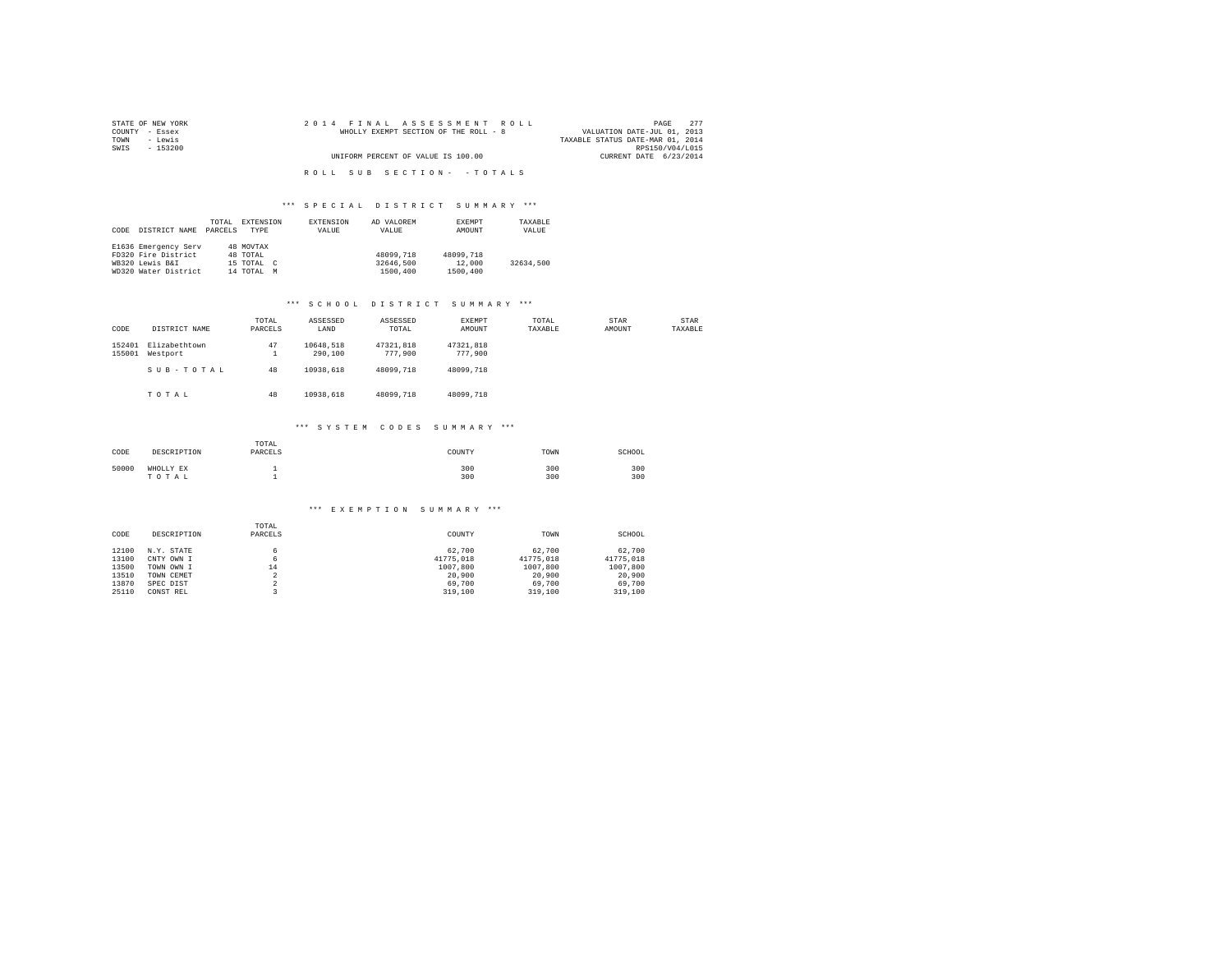| STATE OF NEW YORK | 2014 FINAL ASSESSMENT ROLL            | 2.77<br>PAGE                     |
|-------------------|---------------------------------------|----------------------------------|
| COUNTY - Essex    | WHOLLY EXEMPT SECTION OF THE ROLL - 8 | VALUATION DATE-JUL 01, 2013      |
| TOWN<br>- Lewis   |                                       | TAXABLE STATUS DATE-MAR 01, 2014 |
| SWIS<br>- 153200  |                                       | RPS150/V04/L015                  |
|                   | UNIFORM PERCENT OF VALUE IS 100.00    | CURRENT DATE 6/23/2014           |
|                   |                                       |                                  |
|                   | ROLL SUB SECTION- - TOTALS            |                                  |

|      |                      | TOTAL   | EXTENSION                 | EXTENSION | AD VALOREM | EXEMPT    | TAXABLE   |
|------|----------------------|---------|---------------------------|-----------|------------|-----------|-----------|
| CODE | DISTRICT NAME        | PARCELS | TYPE                      | VALUE     | VALUE      | AMOUNT    | VALUE     |
|      |                      |         |                           |           |            |           |           |
|      | E1636 Emergency Serv |         | 48 MOVTAX                 |           |            |           |           |
|      | FD320 Fire District  |         | 48 TOTAL                  |           | 48099,718  | 48099,718 |           |
|      | WB320 Lewis B&I      |         | 15 TOTAL<br>$\mathcal{C}$ |           | 32646.500  | 12,000    | 32634,500 |
|      | WD320 Water District |         | 14 TOTAL<br>M             |           | 1500,400   | 1500,400  |           |

# \*\*\* S C H O O L D I S T R I C T S U M M A R Y \*\*\*

| CODE             | DISTRICT NAME             | TOTAL<br>PARCELS   | ASSESSED<br>LAND     | ASSESSED<br>TOTAL    | <b>EXEMPT</b><br>AMOUNT | TOTAL<br>TAXABLE | STAR<br>AMOUNT | STAR<br>TAXABLE |
|------------------|---------------------------|--------------------|----------------------|----------------------|-------------------------|------------------|----------------|-----------------|
| 152401<br>155001 | Elizabethtown<br>Westport | 47<br>$\mathbf{1}$ | 10648.518<br>290,100 | 47321.818<br>777,900 | 47321,818<br>777.900    |                  |                |                 |
|                  | SUB-TOTAL                 | 48                 | 10938.618            | 48099,718            | 48099.718               |                  |                |                 |
|                  | TOTAL                     | 48                 | 10938.618            | 48099,718            | 48099.718               |                  |                |                 |
|                  |                           |                    | *** SYSTEM CODES     |                      | SUMMARY ***             |                  |                |                 |
|                  |                           | TOTAL              |                      |                      |                         |                  |                |                 |

| CODE  | DESCRIPTION        | PARCELS  | COUNTY     | TOWN       | SCHOOL     |
|-------|--------------------|----------|------------|------------|------------|
| 50000 | WHOLLY EX<br>TOTAL | <b>.</b> | 300<br>300 | 300<br>300 | 300<br>300 |

| CODE  | DESCRIPTION | TOTAL<br>PARCELS | COUNTY    | TOWN      | SCHOOL    |
|-------|-------------|------------------|-----------|-----------|-----------|
| 12100 | N.Y. STATE  |                  | 62,700    | 62,700    | 62,700    |
| 13100 | CNTY OWN I  | 6                | 41775.018 | 41775.018 | 41775.018 |
| 13500 | TOWN OWN I  | 14               | 1007.800  | 1007,800  | 1007.800  |
| 13510 | TOWN CEMET  |                  | 20,900    | 20,900    | 20,900    |
| 13870 | SPEC DIST   |                  | 69,700    | 69,700    | 69,700    |
| 25110 | CONST REL   |                  | 319,100   | 319,100   | 319,100   |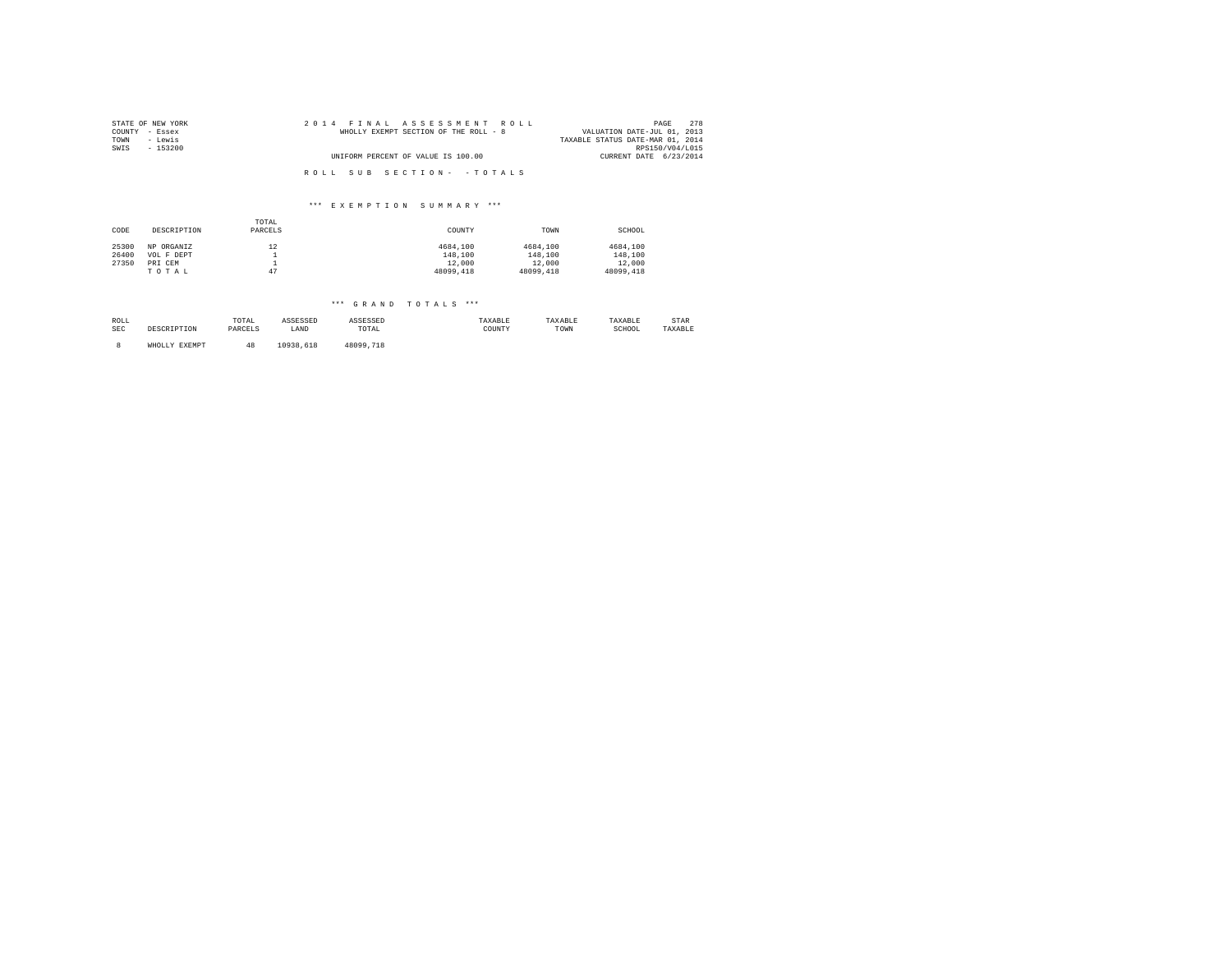| STATE OF NEW YORK | 2014 FINAL ASSESSMENT ROLL            | 2.78<br>PAGE                     |
|-------------------|---------------------------------------|----------------------------------|
| COUNTY - Essex    | WHOLLY EXEMPT SECTION OF THE ROLL - 8 | VALUATION DATE-JUL 01, 2013      |
| - Lewis<br>TOWN   |                                       | TAXABLE STATUS DATE-MAR 01, 2014 |
| SWIS<br>- 153200  |                                       | RPS150/V04/L015                  |
|                   | UNIFORM PERCENT OF VALUE IS 100.00    | CURRENT DATE 6/23/2014           |
|                   |                                       |                                  |
|                   | ROLL SUB SECTION- - TOTALS            |                                  |

| CODE  | DESCRIPTION | TOTAL<br>PARCELS | COUNTY    | TOWN      | SCHOOL    |
|-------|-------------|------------------|-----------|-----------|-----------|
| 25300 | NP ORGANIZ  | 12               | 4684,100  | 4684,100  | 4684,100  |
| 26400 | VOL F DEPT  |                  | 148,100   | 148,100   | 148,100   |
| 27350 | PRI CEM     | <b>.</b>         | 12,000    | 12,000    | 12,000    |
|       | TOTAL       | 47               | 48099,418 | 48099,418 | 48099,418 |

| ROLL       | DESCRIPTION   | TOTAL   | ASSESSED  | ASSESSED  | TAXABLE | TAXABLE | TAXABLE | STAR    |
|------------|---------------|---------|-----------|-----------|---------|---------|---------|---------|
| <b>SEC</b> |               | PARCELS | LAND      | TOTAL     | COUNTY  | TOWN    | SCHOOL  | TAXABLE |
|            | WHOLLY EXEMPT |         | 10938,618 | 48099.718 |         |         |         |         |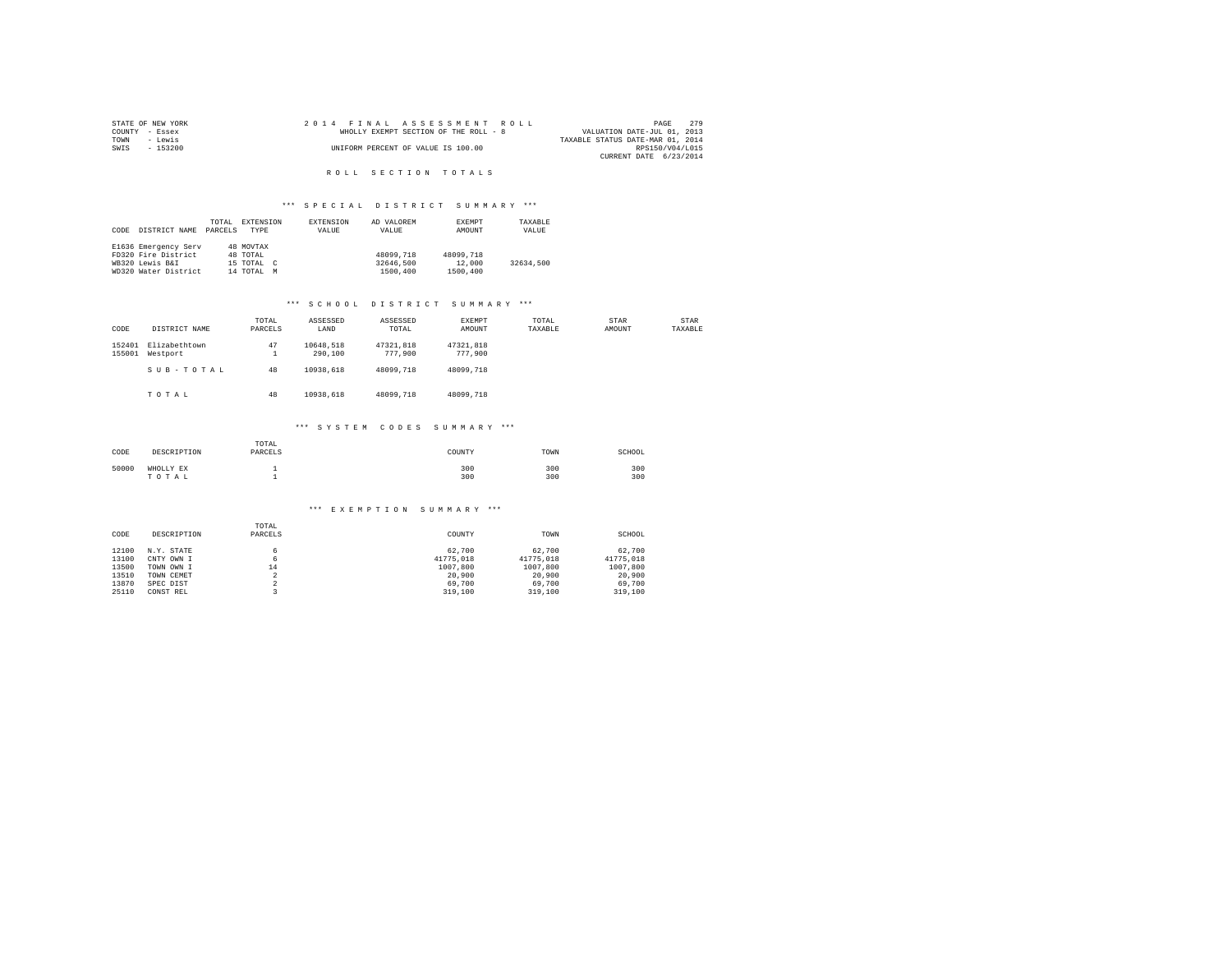|                | STATE OF NEW YORK |  |  | 2014 FINAL ASSESSMENT ROLL            |  |  |  |  |                                  | PAGE            | 2.79 |  |
|----------------|-------------------|--|--|---------------------------------------|--|--|--|--|----------------------------------|-----------------|------|--|
| COUNTY - Essex |                   |  |  | WHOLLY EXEMPT SECTION OF THE ROLL - 8 |  |  |  |  | VALUATION DATE-JUL 01, 2013      |                 |      |  |
| TOWN           | - Lewis           |  |  |                                       |  |  |  |  | TAXABLE STATUS DATE-MAR 01, 2014 |                 |      |  |
| SWIS           | - 153200          |  |  | UNIFORM PERCENT OF VALUE IS 100.00    |  |  |  |  |                                  | RPS150/V04/L015 |      |  |
|                |                   |  |  |                                       |  |  |  |  | CURRENT DATE 6/23/2014           |                 |      |  |

#### \*\*\* SPECIAL DISTRICT SUMMARY \*\*\*

|      |                      | TOTAL   | EXTENSION     | <b>EXTENSION</b> | AD VALOREM | EXEMPT    | TAXABLE   |
|------|----------------------|---------|---------------|------------------|------------|-----------|-----------|
| CODE | DISTRICT NAME        | PARCELS | TYPE          | VALUE            | VALUE      | AMOUNT    | VALUE     |
|      |                      |         |               |                  |            |           |           |
|      | E1636 Emergency Serv |         | 48 MOVTAX     |                  |            |           |           |
|      | FD320 Fire District  |         | 48 TOTAL      |                  | 48099,718  | 48099,718 |           |
|      | WB320 Lewis B&I      |         | 15 TOTAL C    |                  | 32646,500  | 12,000    | 32634.500 |
|      | WD320 Water District |         | 14 TOTAL<br>M |                  | 1500,400   | 1500,400  |           |

# \*\*\* S C H O O L D I S T R I C T S U M M A R Y \*\*\*

| CODE             | DISTRICT NAME             | TOTAL<br>PARCELS | ASSESSED<br>LAND     | ASSESSED<br>TOTAL    | <b>EXEMPT</b><br>AMOUNT | TOTAL<br>TAXABLE | STAR<br>AMOUNT | STAR<br>TAXABLE |
|------------------|---------------------------|------------------|----------------------|----------------------|-------------------------|------------------|----------------|-----------------|
| 152401<br>155001 | Elizabethtown<br>Westport | 47<br>1          | 10648.518<br>290,100 | 47321.818<br>777,900 | 47321.818<br>777.900    |                  |                |                 |
|                  | SUB-TOTAL                 | 48               | 10938.618            | 48099,718            | 48099.718               |                  |                |                 |
|                  | TOTAL                     | 48               | 10938.618            | 48099,718            | 48099.718               |                  |                |                 |
|                  |                           |                  | *** SYSTEM CODES     |                      | SUMMARY ***             |                  |                |                 |
|                  |                           | TOTAL            |                      |                      |                         |                  |                |                 |

| CODE  | DESCRIPTION        | TOTAL<br>PARCELS | COUNTY     | TOWN       | SCHOOL     |
|-------|--------------------|------------------|------------|------------|------------|
| 50000 | WHOLLY EX<br>TOTAL |                  | 300<br>300 | 300<br>300 | 300<br>300 |

| CODE  | DESCRIPTION | TOTAL<br>PARCELS | COUNTY    | TOWN      | SCHOOL    |
|-------|-------------|------------------|-----------|-----------|-----------|
| 12100 | N.Y. STATE  |                  | 62,700    | 62,700    | 62,700    |
| 13100 | CNTY OWN I  | 6                | 41775.018 | 41775.018 | 41775.018 |
| 13500 | TOWN OWN I  | 14               | 1007.800  | 1007,800  | 1007.800  |
| 13510 | TOWN CEMET  |                  | 20,900    | 20,900    | 20,900    |
| 13870 | SPEC DIST   |                  | 69,700    | 69,700    | 69,700    |
| 25110 | CONST REL   |                  | 319,100   | 319,100   | 319,100   |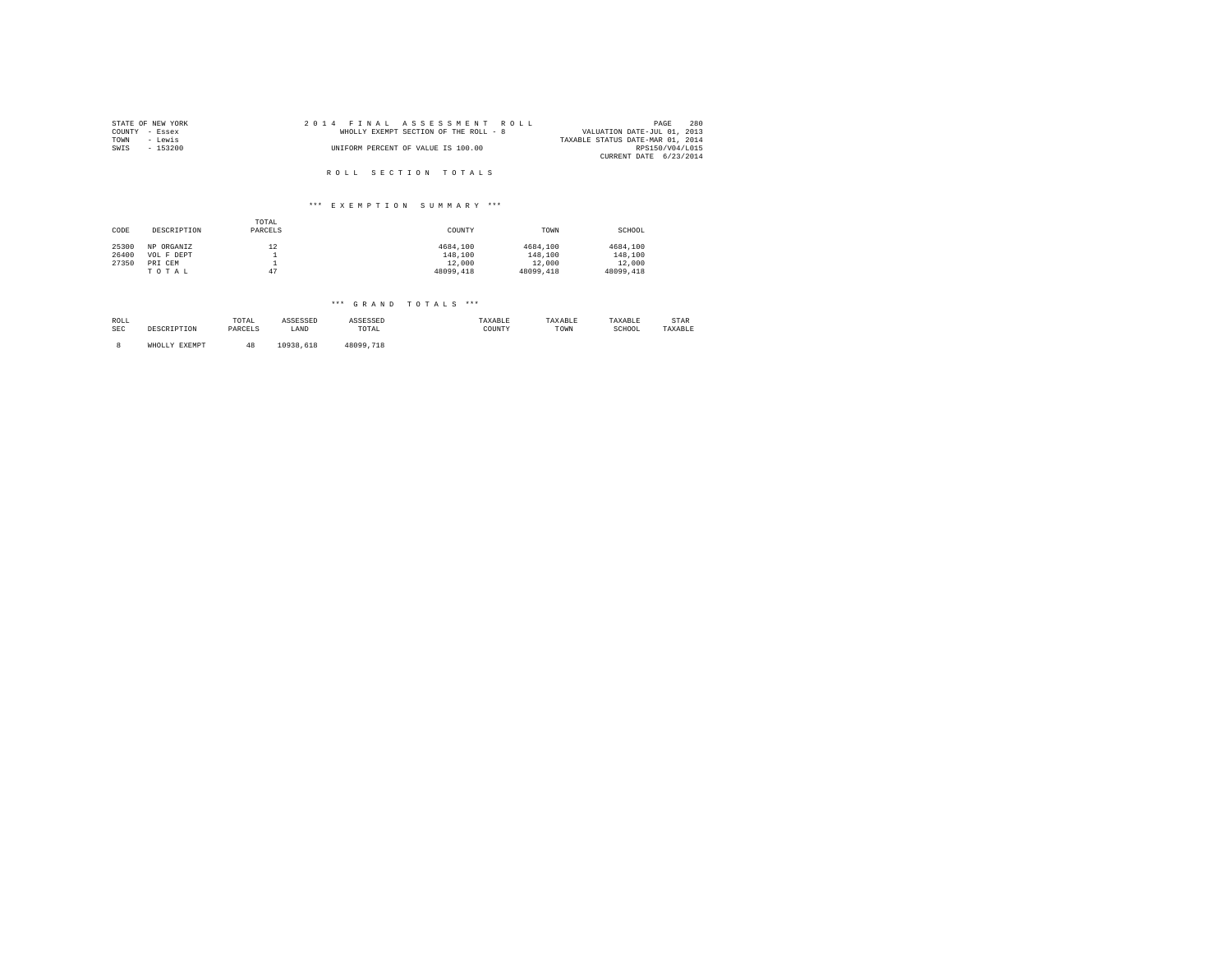| STATE OF NEW YORK | 2014 FINAL ASSESSMENT ROLL            | 280<br>PAGE                      |
|-------------------|---------------------------------------|----------------------------------|
| COUNTY - Essex    | WHOLLY EXEMPT SECTION OF THE ROLL - 8 | VALUATION DATE-JUL 01, 2013      |
| TOWN<br>- Lewis   |                                       | TAXABLE STATUS DATE-MAR 01, 2014 |
| SWIS<br>- 153200  | UNIFORM PERCENT OF VALUE IS 100.00    | RPS150/V04/L015                  |
|                   |                                       | CURRENT DATE 6/23/2014           |
|                   |                                       |                                  |
|                   | ROLL SECTION TOTALS                   |                                  |

| CODE  | DESCRIPTION | TOTAL<br>PARCELS | COUNTY    | TOWN      | SCHOOL    |
|-------|-------------|------------------|-----------|-----------|-----------|
| 25300 | NP ORGANIZ  | 12               | 4684,100  | 4684,100  | 4684,100  |
| 26400 | VOL F DEPT  |                  | 148,100   | 148,100   | 148,100   |
| 27350 | PRI CEM     |                  | 12,000    | 12,000    | 12,000    |
|       | TOTAL       |                  | 48099,418 | 48099,418 | 48099,418 |

| ROLL       | DESCRIPTION   | TOTAL   | ASSESSED  | ASSESSED  | TAXABLE | TAXABLE | TAXABLE | STAR    |
|------------|---------------|---------|-----------|-----------|---------|---------|---------|---------|
| <b>SEC</b> |               | PARCELS | LAND      | TOTAL     | COUNTY  | TOWN    | SCHOOL  | TAXABLE |
|            | WHOLLY EXEMPT |         | 10938,618 | 48099.718 |         |         |         |         |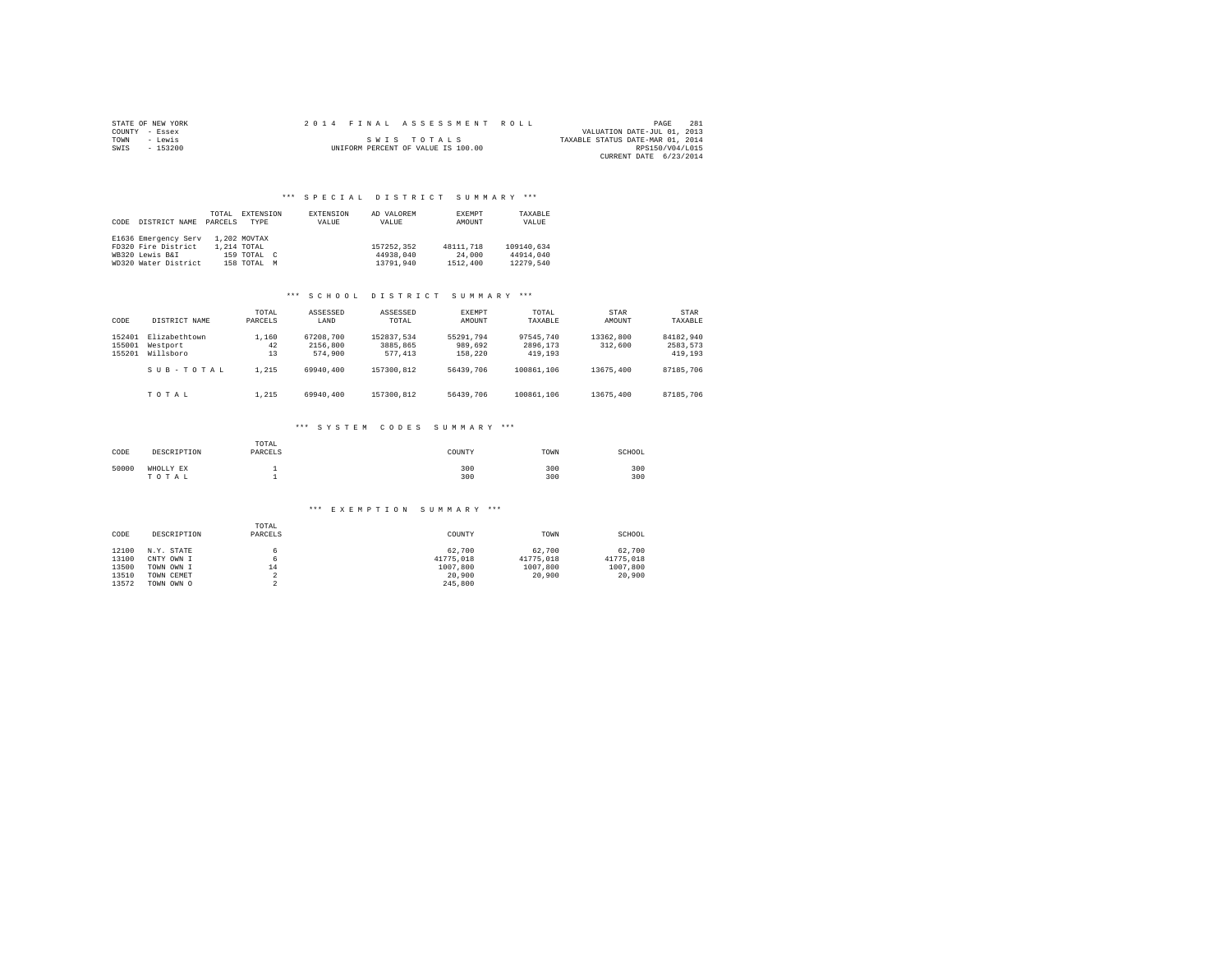|                | STATE OF NEW YORK |  | 2014 FINAL ASSESSMENT ROLL         |                                  | PAGE            | 281 |
|----------------|-------------------|--|------------------------------------|----------------------------------|-----------------|-----|
| COUNTY - Essex |                   |  |                                    | VALUATION DATE-JUL 01, 2013      |                 |     |
| TOWN           | - Lewis           |  | SWIS TOTALS                        | TAXABLE STATUS DATE-MAR 01, 2014 |                 |     |
| SWIS           | $-153200$         |  | UNIFORM PERCENT OF VALUE IS 100.00 |                                  | RPS150/V04/L015 |     |
|                |                   |  |                                    | CURRENT DATE 6/23/2014           |                 |     |

| CODE | DISTRICT NAME        | TOTAL<br>PARCELS | EXTENSION<br><b>TYPE</b> | EXTENSION<br>VALUE | AD VALOREM<br>VALUE | EXEMPT<br>AMOUNT | TAXABLE<br>VALUE |
|------|----------------------|------------------|--------------------------|--------------------|---------------------|------------------|------------------|
|      | E1636 Emergency Serv |                  | 1,202 MOVTAX             |                    |                     |                  |                  |
|      | FD320 Fire District  |                  | 1,214 TOTAL              |                    | 157252.352          | 48111.718        | 109140.634       |
|      | WB320 Lewis B&I      |                  | 159 TOTAL C              |                    | 44938,040           | 24,000           | 44914,040        |
|      | WD320 Water District |                  | 158 TOTAL                | M                  | 13791.940           | 1512,400         | 12279.540        |

#### \*\*\* S C H O O L D I S T R I C T S U M M A R Y \*\*\*

| CODE                       | DISTRICT NAME                          | TOTAL<br>PARCELS  | ASSESSED<br>LAND                 | ASSESSED<br>TOTAL.                | EXEMPT<br>AMOUNT                | TOTAL<br>TAXARLE                 | STAR<br>AMOUNT       | STAR<br>TAXARLE                  |
|----------------------------|----------------------------------------|-------------------|----------------------------------|-----------------------------------|---------------------------------|----------------------------------|----------------------|----------------------------------|
| 152401<br>155001<br>155201 | Elizabethtown<br>Westport<br>Willsboro | 1,160<br>42<br>13 | 67208.700<br>2156,800<br>574,900 | 152837.534<br>3885,865<br>577.413 | 55291.794<br>989,692<br>158,220 | 97545.740<br>2896,173<br>419,193 | 13362,800<br>312,600 | 84182.940<br>2583.573<br>419,193 |
|                            | $S$ II $B - T$ $O$ $T$ $A$ $I$ .       | 1.215             | 69940,400                        | 157300.812                        | 56439,706                       | 100861,106                       | 13675,400            | 87185,706                        |
|                            | TOTAL                                  | 1.215             | 69940,400                        | 157300.812                        | 56439,706                       | 100861,106                       | 13675,400            | 87185,706                        |

### \*\*\* S Y S T E M C O D E S S U M M A R Y \*\*\*

| CODE  | DESCRIPTION        | TOTAL<br>PARCELS | COUNTY     | TOWN       | SCHOOL     |
|-------|--------------------|------------------|------------|------------|------------|
| 50000 | WHOLLY EX<br>TOTAL |                  | 300<br>300 | 300<br>300 | 300<br>300 |

| CODE  | DESCRIPTION | TOTAL<br>PARCELS | COUNTY    | TOWN      | SCHOOL    |
|-------|-------------|------------------|-----------|-----------|-----------|
| 12100 | N.Y. STATE  |                  | 62,700    | 62,700    | 62,700    |
| 13100 | CNTY OWN I  | 6                | 41775.018 | 41775.018 | 41775.018 |
| 13500 | TOWN OWN I  | 14               | 1007.800  | 1007.800  | 1007,800  |
| 13510 | TOWN CEMET  | ∡                | 20,900    | 20,900    | 20,900    |
| 13572 | TOWN OWN O  |                  | 245,800   |           |           |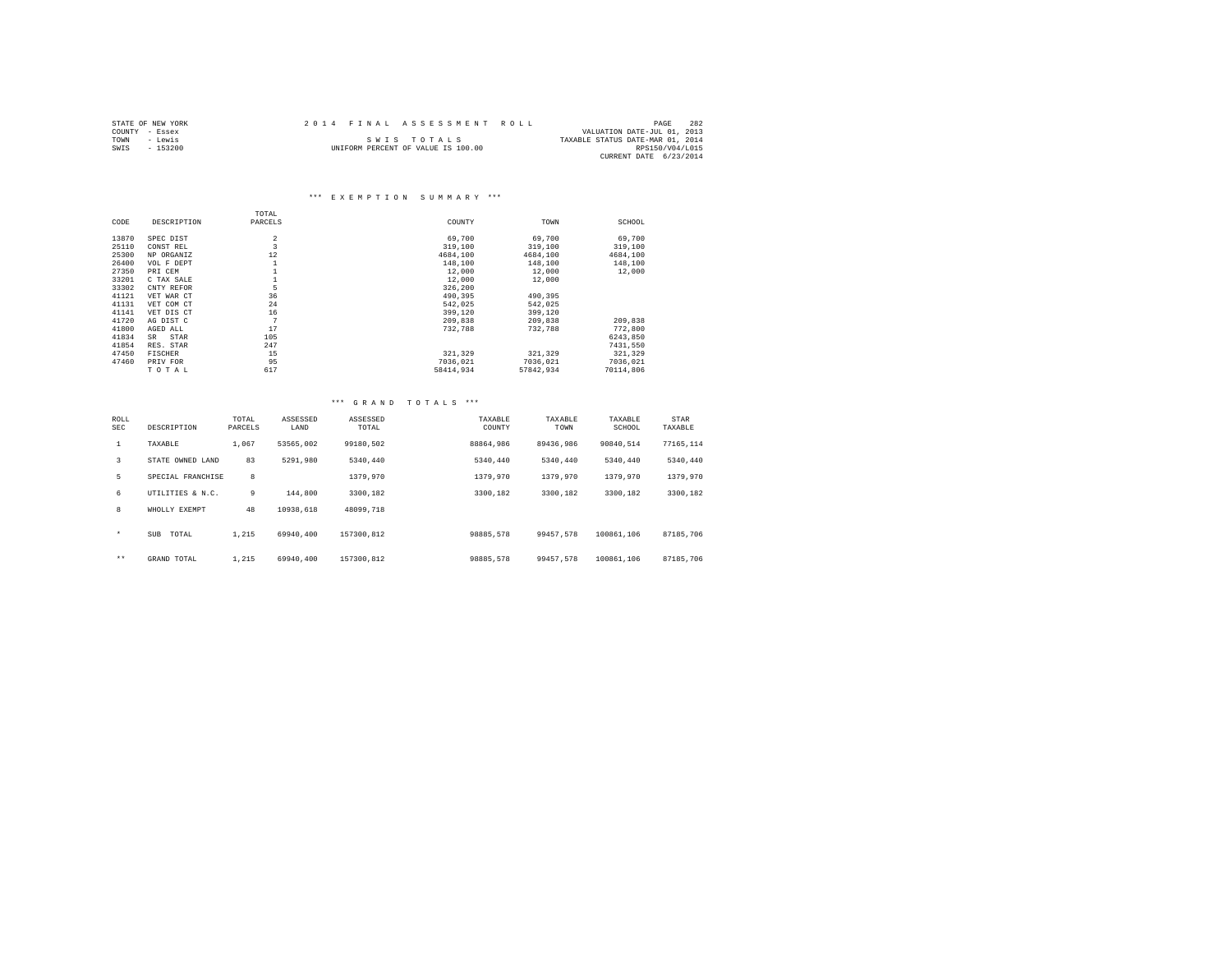|      | STATE OF NEW YORK |  | 2014 FINAL ASSESSMENT ROLL         |                                  | PAGE            | 282 |
|------|-------------------|--|------------------------------------|----------------------------------|-----------------|-----|
|      | COUNTY - Essex    |  |                                    | VALUATION DATE-JUL 01, 2013      |                 |     |
| TOWN | - Lewis           |  | SWIS TOTALS                        | TAXABLE STATUS DATE-MAR 01, 2014 |                 |     |
| SWIS | $-153200$         |  | UNIFORM PERCENT OF VALUE IS 100.00 |                                  | RPS150/V04/L015 |     |
|      |                   |  |                                    | CURRENT DATE 6/23/2014           |                 |     |

|       |                | TOTAL          |           |           |           |
|-------|----------------|----------------|-----------|-----------|-----------|
| CODE  | DESCRIPTION    | PARCELS        | COUNTY    | TOWN      | SCHOOL    |
| 13870 | SPEC DIST      | $\overline{2}$ | 69,700    | 69,700    | 69,700    |
| 25110 | CONST REL      | 3              | 319,100   | 319,100   | 319,100   |
| 25300 | NP ORGANIZ     | 12             | 4684,100  | 4684,100  | 4684,100  |
| 26400 | VOL F DEPT     |                | 148,100   | 148,100   | 148,100   |
| 27350 | PRI CEM        |                | 12,000    | 12,000    | 12,000    |
| 33201 | C TAX SALE     |                | 12,000    | 12,000    |           |
| 33302 | CNTY REFOR     | 5              | 326,200   |           |           |
| 41121 | VET WAR CT     | 36             | 490.395   | 490,395   |           |
| 41131 | VET COM CT     | 24             | 542,025   | 542,025   |           |
| 41141 | VET DIS CT     | 16             | 399,120   | 399,120   |           |
| 41720 | AG DIST C      | 7              | 209,838   | 209,838   | 209,838   |
| 41800 | AGED ALL       | 17             | 732.788   | 732,788   | 772,800   |
| 41834 | STAR<br>SR     | 105            |           |           | 6243.850  |
| 41854 | RES. STAR      | 247            |           |           | 7431,550  |
| 47450 | <b>FISCHER</b> | 15             | 321.329   | 321,329   | 321,329   |
| 47460 | PRIV FOR       | 95             | 7036.021  | 7036.021  | 7036.021  |
|       | TOTAL          | 617            | 58414.934 | 57842.934 | 70114,806 |

| ROLL<br>SEC  | DESCRIPTION       | TOTAL<br>PARCELS | ASSESSED<br>LAND | ASSESSED<br>TOTAL | TAXABLE<br>COUNTY | TAXABLE<br>TOWN | TAXABLE<br>SCHOOL | STAR<br>TAXABLE |  |
|--------------|-------------------|------------------|------------------|-------------------|-------------------|-----------------|-------------------|-----------------|--|
| $\mathbf{1}$ | TAXABLE           | 1,067            | 53565,002        | 99180.502         | 88864.986         | 89436.986       | 90840.514         | 77165.114       |  |
| 3            | STATE OWNED LAND  | 83               | 5291,980         | 5340.440          | 5340.440          | 5340.440        | 5340.440          | 5340.440        |  |
| 5            | SPECIAL FRANCHISE | 8                |                  | 1379,970          | 1379,970          | 1379.970        | 1379,970          | 1379,970        |  |
| 6            | UTILITIES & N.C.  | 9                | 144,800          | 3300.182          | 3300.182          | 3300.182        | 3300.182          | 3300.182        |  |
| 8            | WHOLLY EXEMPT     | 48               | 10938.618        | 48099.718         |                   |                 |                   |                 |  |
| $\star$      | SUB<br>TOTAL      | 1.215            | 69940.400        | 157300.812        | 98885,578         | 99457.578       | 100861,106        | 87185,706       |  |
| $\star\star$ | GRAND TOTAL       | 1.215            | 69940,400        | 157300.812        | 98885,578         | 99457.578       | 100861,106        | 87185,706       |  |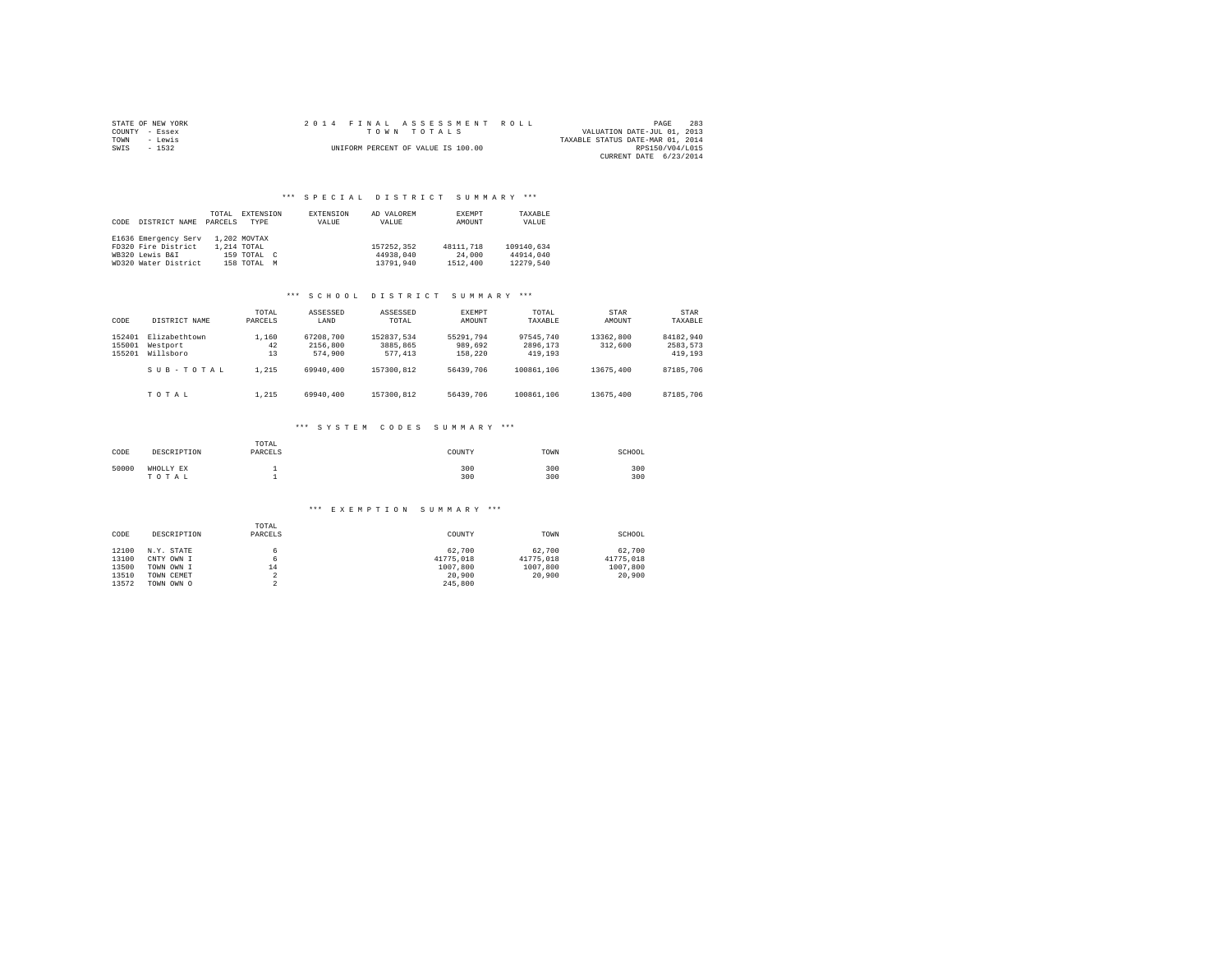| STATE OF NEW YORK | 2014 FINAL ASSESSMENT ROLL         | 283<br>PAGE                      |
|-------------------|------------------------------------|----------------------------------|
| COUNTY - Essex    | TOWN TOTALS                        | VALUATION DATE-JUL 01, 2013      |
| TOWN<br>- Lewis   |                                    | TAXABLE STATUS DATE-MAR 01, 2014 |
| SWIS<br>$-1532$   | UNIFORM PERCENT OF VALUE IS 100.00 | RPS150/V04/L015                  |
|                   |                                    | CURRENT DATE 6/23/2014           |

| CODE | DISTRICT NAME        | TOTAL<br>PARCELS | EXTENSION<br><b>TYPE</b> | EXTENSION<br>VALUE | AD VALOREM<br>VALUE | <b>EXEMPT</b><br>AMOUNT | TAXABLE<br>VALUE |
|------|----------------------|------------------|--------------------------|--------------------|---------------------|-------------------------|------------------|
|      | E1636 Emergency Serv |                  | 1,202 MOVTAX             |                    |                     |                         |                  |
|      | FD320 Fire District  |                  | 1,214 TOTAL              |                    | 157252.352          | 48111.718               | 109140.634       |
|      | WB320 Lewis B&I      |                  | 159 TOTAL C              |                    | 44938,040           | 24,000                  | 44914,040        |
|      | WD320 Water District |                  | 158 TOTAL M              |                    | 13791.940           | 1512,400                | 12279.540        |

#### \*\*\* S C H O O L D I S T R I C T S U M M A R Y \*\*\*

| CODE                       | DISTRICT NAME                          | TOTAL<br>PARCELS  | ASSESSED<br>LAND                 | ASSESSED<br>TOTAL                 | EXEMPT<br>AMOUNT                | TOTAL<br>TAXABLE                 | STAR<br>AMOUNT       | STAR<br>TAXABLE                  |
|----------------------------|----------------------------------------|-------------------|----------------------------------|-----------------------------------|---------------------------------|----------------------------------|----------------------|----------------------------------|
| 152401<br>155001<br>155201 | Elizabethtown<br>Westport<br>Willsboro | 1,160<br>42<br>13 | 67208.700<br>2156,800<br>574,900 | 152837.534<br>3885,865<br>577.413 | 55291.794<br>989,692<br>158,220 | 97545.740<br>2896,173<br>419,193 | 13362,800<br>312,600 | 84182.940<br>2583.573<br>419,193 |
|                            | $S$ II $B - T$ $O$ $T$ $A$ $I$ .       | 1.215             | 69940,400                        | 157300.812                        | 56439.706                       | 100861,106                       | 13675,400            | 87185,706                        |
|                            | TOTAL                                  | 1.215             | 69940,400                        | 157300.812                        | 56439,706                       | 100861,106                       | 13675,400            | 87185,706                        |

### \*\*\* S Y S T E M C O D E S S U M M A R Y \*\*\*

| CODE  | DESCRIPTION        | TOTAL<br>PARCELS | COUNTY     | TOWN       | SCHOOL     |
|-------|--------------------|------------------|------------|------------|------------|
| 50000 | WHOLLY EX<br>TOTAL |                  | 300<br>300 | 300<br>300 | 300<br>300 |

| CODE  | DESCRIPTION | TOTAL<br>PARCELS | COUNTY    | TOWN      | SCHOOL    |
|-------|-------------|------------------|-----------|-----------|-----------|
| 12100 | N.Y. STATE  |                  | 62.700    | 62,700    | 62,700    |
| 13100 | CNTY OWN I  | 6                | 41775.018 | 41775.018 | 41775.018 |
| 13500 | TOWN OWN I  | 14               | 1007.800  | 1007.800  | 1007,800  |
| 13510 | TOWN CEMET  |                  | 20,900    | 20,900    | 20,900    |
| 13572 | TOWN OWN O  |                  | 245,800   |           |           |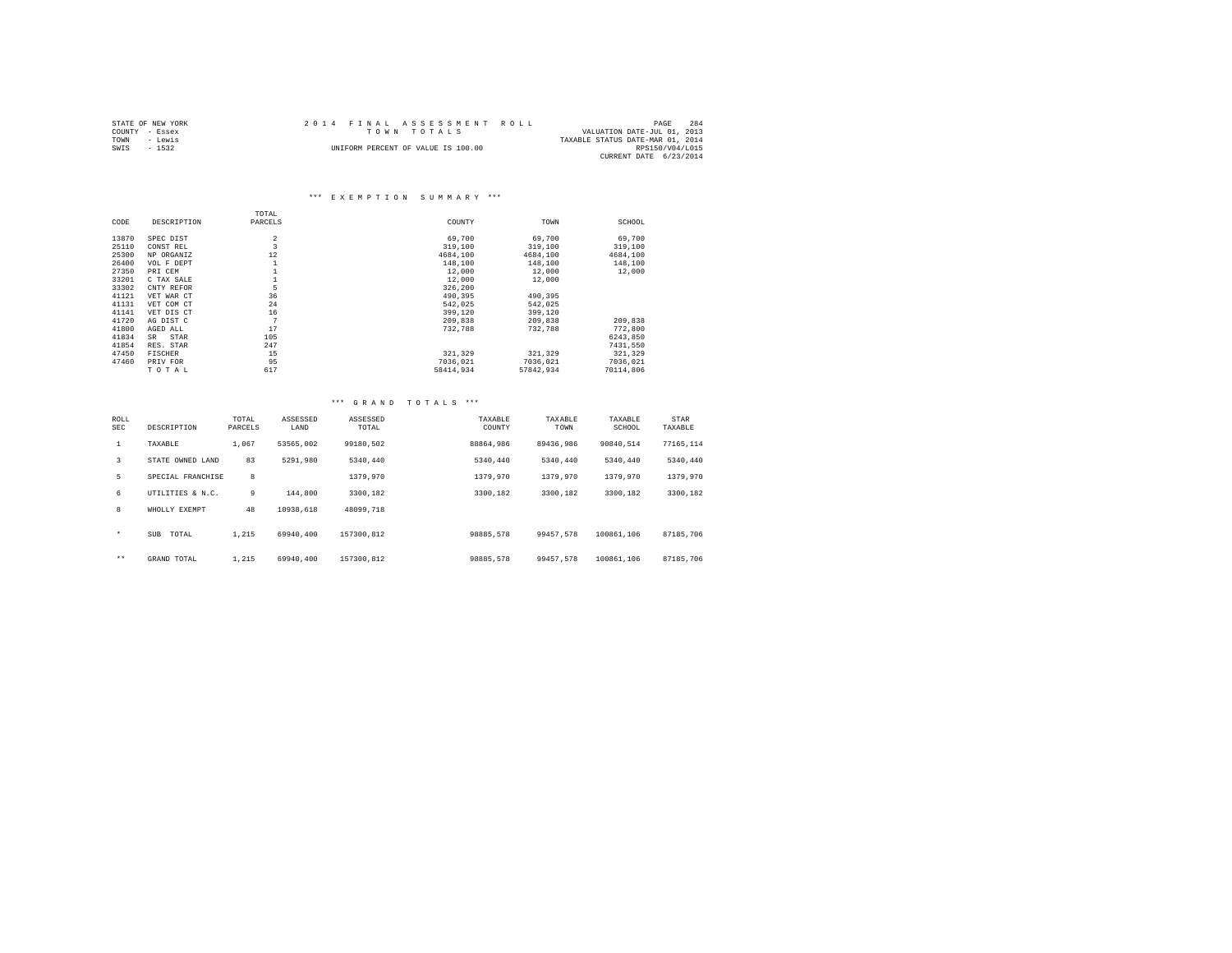|                | STATE OF NEW YORK | 2014 FINAL ASSESSMENT ROLL         |                                  | PAGE            | 284 |
|----------------|-------------------|------------------------------------|----------------------------------|-----------------|-----|
| COUNTY - Essex |                   | TOWN TOTALS                        | VALUATION DATE-JUL 01, 2013      |                 |     |
| TOWN           | - Lewis           |                                    | TAXABLE STATUS DATE-MAR 01, 2014 |                 |     |
| SWIS           | $-1532$           | UNIFORM PERCENT OF VALUE IS 100.00 |                                  | RPS150/V04/L015 |     |
|                |                   |                                    | CURRENT DATE 6/23/2014           |                 |     |

|       |                | TOTAL          |           |           |           |
|-------|----------------|----------------|-----------|-----------|-----------|
| CODE  | DESCRIPTION    | PARCELS        | COUNTY    | TOWN      | SCHOOL    |
| 13870 | SPEC DIST      | $\overline{2}$ | 69,700    | 69,700    | 69,700    |
| 25110 | CONST REL      | 3              | 319,100   | 319,100   | 319,100   |
| 25300 | NP ORGANIZ     | 12             | 4684,100  | 4684.100  | 4684,100  |
| 26400 | VOL F DEPT     | 1              | 148,100   | 148,100   | 148,100   |
| 27350 | PRI CEM        |                | 12,000    | 12,000    | 12,000    |
| 33201 | C TAX SALE     |                | 12,000    | 12,000    |           |
| 33302 | CNTY REFOR     | 5              | 326,200   |           |           |
| 41121 | VET WAR CT     | 36             | 490,395   | 490,395   |           |
| 41131 | VET COM CT     | 24             | 542.025   | 542.025   |           |
| 41141 | VET DIS CT     | 16             | 399,120   | 399,120   |           |
| 41720 | AG DIST C      | 7              | 209,838   | 209,838   | 209,838   |
| 41800 | AGED ALL       | 17             | 732,788   | 732,788   | 772,800   |
| 41834 | STAR<br>SR.    | 105            |           |           | 6243.850  |
| 41854 | RES. STAR      | 247            |           |           | 7431.550  |
| 47450 | <b>FISCHER</b> | 15             | 321,329   | 321,329   | 321,329   |
| 47460 | PRIV FOR       | 95             | 7036.021  | 7036.021  | 7036.021  |
|       | TOTAL          | 617            | 58414,934 | 57842.934 | 70114,806 |

| ROLL<br>SEC  | DESCRIPTION       | TOTAL<br>PARCELS | ASSESSED<br>LAND | ASSESSED<br>TOTAL | TAXABLE<br>COUNTY | TAXABLE<br>TOWN | TAXABLE<br>SCHOOL | STAR<br>TAXABLE |  |
|--------------|-------------------|------------------|------------------|-------------------|-------------------|-----------------|-------------------|-----------------|--|
| $\mathbf{1}$ | TAXABLE           | 1,067            | 53565.002        | 99180.502         | 88864,986         | 89436.986       | 90840.514         | 77165.114       |  |
| 3            | STATE OWNED LAND  | 83               | 5291,980         | 5340.440          | 5340.440          | 5340.440        | 5340.440          | 5340,440        |  |
| 5            | SPECIAL FRANCHISE | 8                |                  | 1379,970          | 1379,970          | 1379.970        | 1379,970          | 1379,970        |  |
| 6            | UTILITIES & N.C.  | 9                | 144,800          | 3300.182          | 3300.182          | 3300.182        | 3300.182          | 3300.182        |  |
| 8            | WHOLLY EXEMPT     | 48               | 10938.618        | 48099,718         |                   |                 |                   |                 |  |
| $\star$      | SUB<br>TOTAL      | 1.215            | 69940.400        | 157300.812        | 98885,578         | 99457.578       | 100861,106        | 87185.706       |  |
| $\star\star$ | GRAND TOTAL       | 1.215            | 69940.400        | 157300.812        | 98885,578         | 99457.578       | 100861,106        | 87185,706       |  |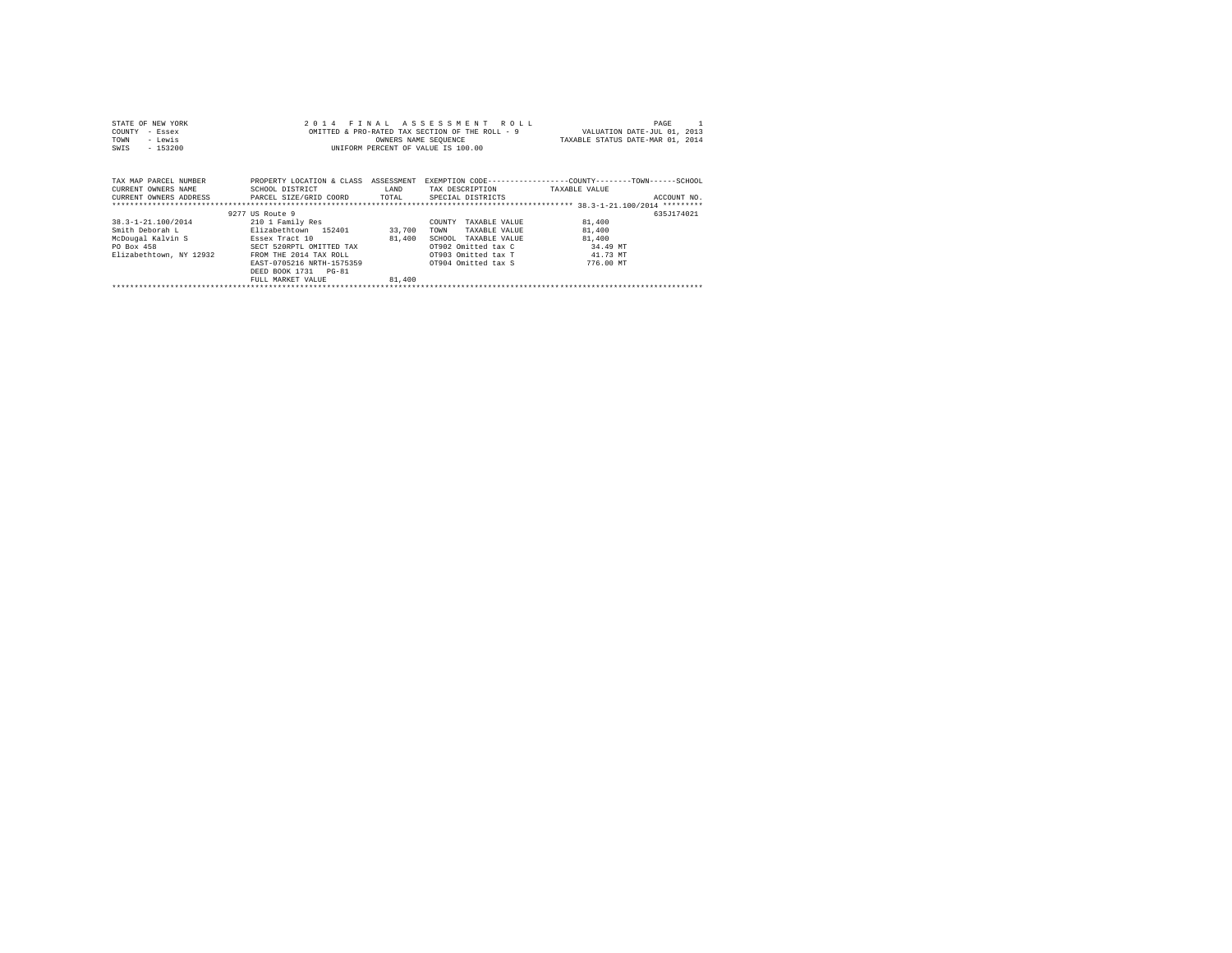| STATE OF NEW YORK<br>- Essex<br>COUNTY<br>- Lewis<br>TOWN<br>$-153200$<br>SWIS |                                                                                         | OWNERS NAME SEQUENCE | 2014 FINAL ASSESSMENT ROLL<br>OMITTED & PRO-RATED TAX SECTION OF THE ROLL - 9<br>INIFORM PERCENT OF VALUE IS 100.00 | PAGE<br>VALUATION DATE-JUL 01, 2013<br>TAXABLE STATUS DATE-MAR 01, 2014                      |
|--------------------------------------------------------------------------------|-----------------------------------------------------------------------------------------|----------------------|---------------------------------------------------------------------------------------------------------------------|----------------------------------------------------------------------------------------------|
| TAX MAP PARCEL NUMBER<br>CURRENT OWNERS NAME<br>CURRENT OWNERS ADDRESS         | PROPERTY LOCATION & CLASS ASSESSMENT<br>SCHOOL DISTRICT<br>PARCEL SIZE/GRID COORD TOTAL | LAND                 | TAX DESCRIPTION<br>SPECIAL DISTRICTS                                                                                | EXEMPTION CODE-----------------COUNTY-------TOWN------SCHOOL<br>TAXABLE VALUE<br>ACCOUNT NO. |
|                                                                                | 9277 US Route 9                                                                         |                      |                                                                                                                     | 635J174021                                                                                   |
| 38.3-1-21.100/2014                                                             | 210 1 Family Res                                                                        |                      | COUNTY<br>TAXABLE VALUE                                                                                             | 81,400                                                                                       |
| Smith Deborah L                                                                | Elizabethtown 152401                                                                    | 33,700               | TOWN<br>TAXABLE VALUE                                                                                               | 81,400                                                                                       |
| McDougal Kalvin S                                                              | Essex Tract 10                                                                          | 81,400               | SCHOOL<br>TAXABLE VALUE                                                                                             | 81,400                                                                                       |
| PO Box 458                                                                     | SECT 520RPTL OMITTED TAX                                                                |                      | OT902 Omitted tax C                                                                                                 | 34.49 MT                                                                                     |
| Elizabethtown, NY 12932                                                        | FROM THE 2014 TAX ROLL                                                                  |                      | OT903 Omitted tax T                                                                                                 | 41.73 MT                                                                                     |
|                                                                                | EAST-0705216 NRTH-1575359                                                               |                      | OT904 Omitted tax S                                                                                                 | 776.00 MT                                                                                    |
|                                                                                | DEED BOOK 1731 PG-81<br>FULL MARKET VALUE                                               | 81,400               |                                                                                                                     |                                                                                              |
|                                                                                |                                                                                         |                      |                                                                                                                     |                                                                                              |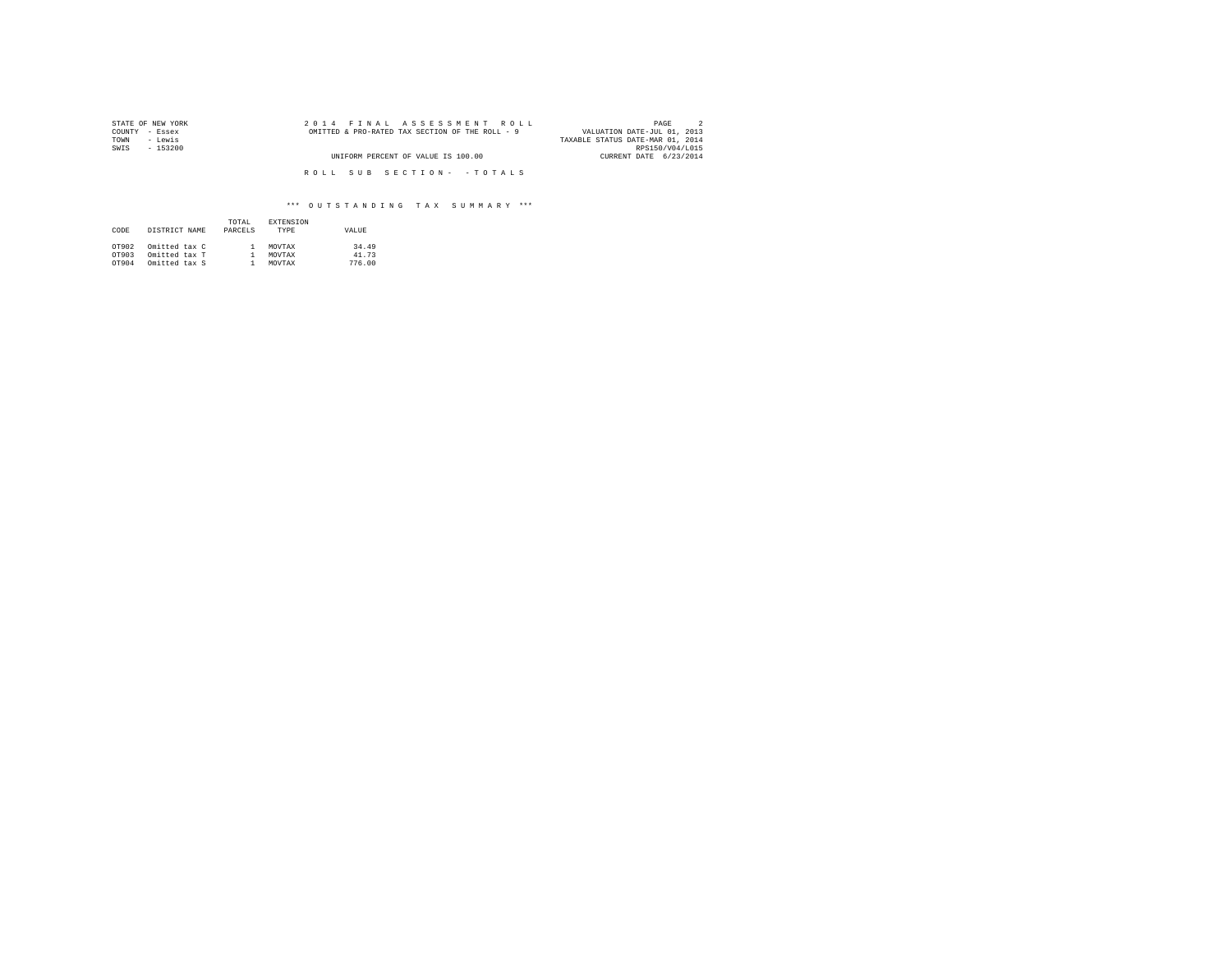| STATE OF NEW YORK | 2014 FINAL ASSESSMENT ROLL                      | PAGE                             |
|-------------------|-------------------------------------------------|----------------------------------|
| COUNTY - Essex    | OMITTED & PRO-RATED TAX SECTION OF THE ROLL - 9 | VALUATION DATE-JUL 01, 2013      |
| - Lewis<br>TOWN   |                                                 | TAXABLE STATUS DATE-MAR 01, 2014 |
| SWIS<br>$-153200$ |                                                 | RPS150/V04/L015                  |
|                   | UNIFORM PERCENT OF VALUE IS 100.00              | CURRENT DATE 6/23/2014           |
|                   |                                                 |                                  |
|                   | ROLL SUB SECTION- - TOTALS                      |                                  |

# \*\*\* O U T S T A N D I N G T A X S U M M A R Y \*\*\*

| CODE  | DISTRICT NAME | TOTAL.<br>PARCELS | <b>EXTENSION</b><br><b>TYPE</b> | VALUE  |
|-------|---------------|-------------------|---------------------------------|--------|
| OT902 | Omitted tax C |                   | MOVTAX                          | 34.49  |
| OT903 | Omitted tax T |                   | MOVTAX                          | 41.73  |
| OT904 | Omitted tax S |                   | MOVTAX                          | 776.00 |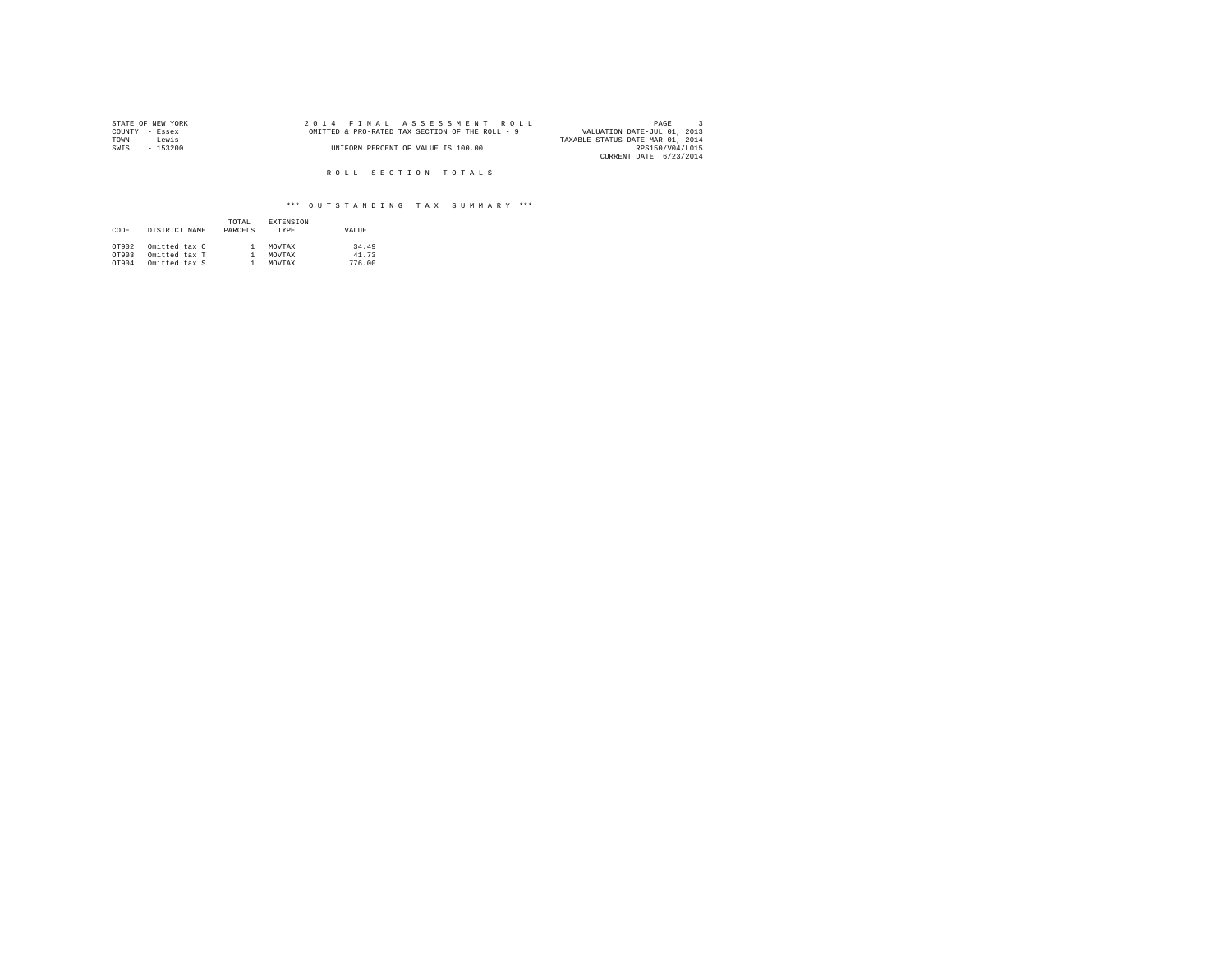| STATE OF NEW YORK | 2014 FINAL ASSESSMENT ROLL                      | PAGE                             |
|-------------------|-------------------------------------------------|----------------------------------|
| COUNTY - Essex    | OMITTED & PRO-RATED TAX SECTION OF THE ROLL - 9 | VALUATION DATE-JUL 01, 2013      |
| TOWN<br>- Lewis   |                                                 | TAXABLE STATUS DATE-MAR 01, 2014 |
| $-153200$<br>SWIS | UNIFORM PERCENT OF VALUE IS 100.00              | RPS150/V04/L015                  |
|                   |                                                 | CURRENT DATE 6/23/2014           |

# \*\*\* O U T S T A N D I N G T A X S U M M A R Y \*\*\*

| CODE  | DISTRICT NAME | TOTAL.<br>PARCELS | <b>EXTENSION</b><br><b>TYPE</b> | VALUE  |
|-------|---------------|-------------------|---------------------------------|--------|
| OT902 | Omitted tax C |                   | MOVTAX                          | 34.49  |
| OT903 | Omitted tax T |                   | MOVTAX                          | 41.73  |
| OT904 | Omitted tax S |                   | MOVTAX                          | 776.00 |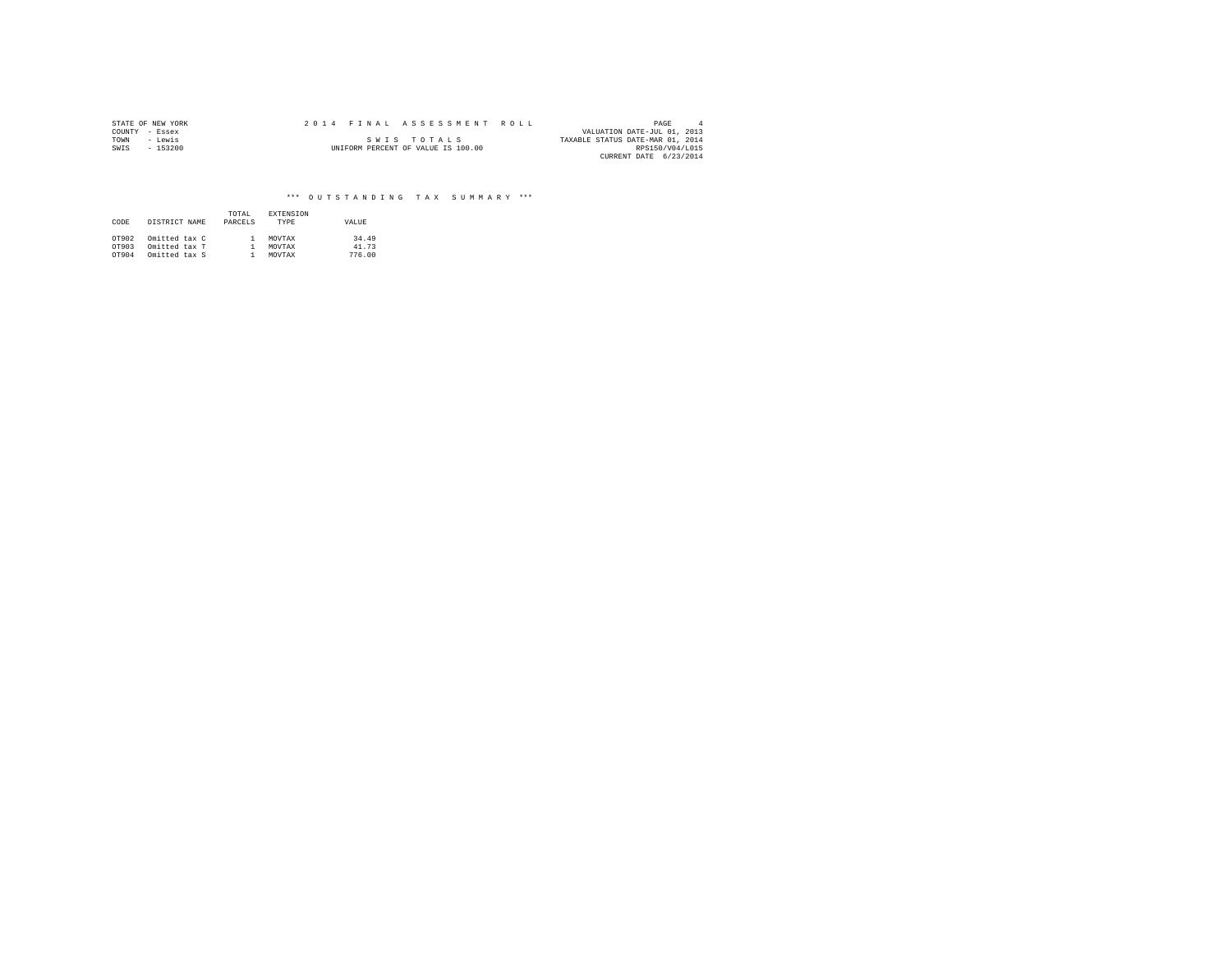|                | STATE OF NEW YORK | 2014 FINAL ASSESSMENT ROLL |                                    |                                  | PAGE            |  |
|----------------|-------------------|----------------------------|------------------------------------|----------------------------------|-----------------|--|
| COUNTY - Essex |                   |                            |                                    | VALUATION DATE-JUL 01, 2013      |                 |  |
| TOWN           | - Lewis           |                            | SWIS TOTALS                        | TAXABLE STATUS DATE-MAR 01, 2014 |                 |  |
| SWIS           | $-153200$         |                            | UNIFORM PERCENT OF VALUE IS 100.00 |                                  | RPS150/V04/L015 |  |
|                |                   |                            |                                    | CURRENT DATE 6/23/2014           |                 |  |

# \*\*\* O U T S T A N D I N G T A X S U M M A R Y \*\*\*

| CODE  | DISTRICT NAME | TOTAL<br>PARCELS | <b>EXTENSION</b><br>TYPE | VALUE  |
|-------|---------------|------------------|--------------------------|--------|
| OT902 | Omitted tax C |                  | MOVTAX                   | 34.49  |
| OT903 | Omitted tax T |                  | MOVTAX                   | 41.73  |
| OT904 | Omitted tax S |                  | MOVTAX                   | 776.00 |